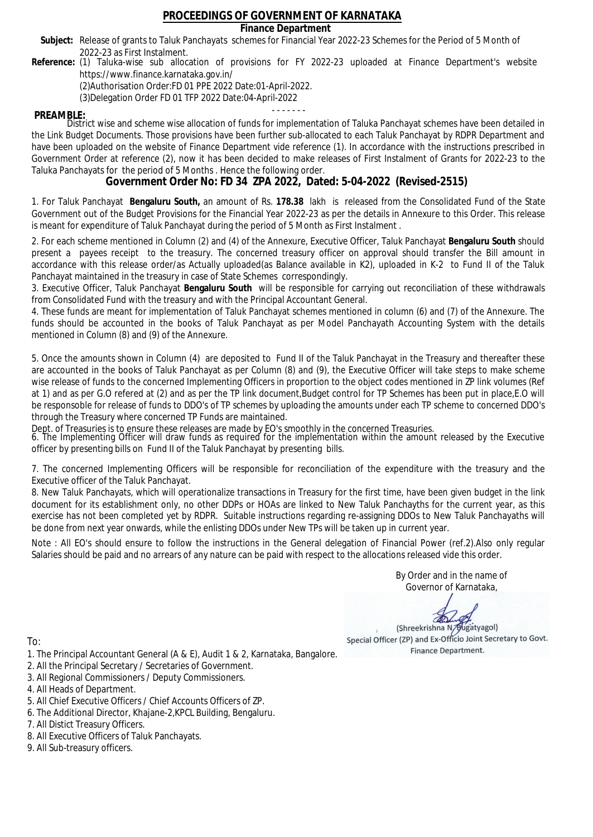### **Finance Department**

- Subject: Release of grants to Taluk Panchayats schemes for Financial Year 2022-23 Schemes for the Period of 5 Month of 2022-23 as First Instalment.
- **Reference:** (1) Taluka-wise sub allocation of provisions for FY 2022-23 uploaded at Finance Department's website https://www.finance.karnataka.gov.in/

(2)Authorisation Order:FD 01 PPE 2022 Date:01-April-2022.

(3)Delegation Order FD 01 TFP 2022 Date:04-April-2022

- - - - - - - **PREAMBLE:** District wise and scheme wise allocation of funds for implementation of Taluka Panchayat schemes have been detailed in the Link Budget Documents. Those provisions have been further sub-allocated to each Taluk Panchayat by RDPR Department and have been uploaded on the website of Finance Department vide reference (1). In accordance with the instructions prescribed in Government Order at reference (2), now it has been decided to make releases of First Instalment of Grants for 2022-23 to the Taluka Panchayats for the period of 5 Months . Hence the following order.

**Government Order No: FD 34 ZPA 2022, Dated: 5-04-2022 (Revised-2515)**

1. For Taluk Panchayat **Bengaluru South,** an amount of Rs. **178.38** lakh is released from the Consolidated Fund of the State Government out of the Budget Provisions for the Financial Year 2022-23 as per the details in Annexure to this Order. This release is meant for expenditure of Taluk Panchayat during the period of 5 Month as First Instalment .

2. For each scheme mentioned in Column (2) and (4) of the Annexure, Executive Officer, Taluk Panchayat **Bengaluru South** should present a payees receipt to the treasury. The concerned treasury officer on approval should transfer the Bill amount in accordance with this release order/as Actually uploaded(as Balance available in K2), uploaded in K-2 to Fund II of the Taluk Panchayat maintained in the treasury in case of State Schemes correspondingly.

3. Executive Officer, Taluk Panchayat **Bengaluru South** will be responsible for carrying out reconciliation of these withdrawals from Consolidated Fund with the treasury and with the Principal Accountant General.

4. These funds are meant for implementation of Taluk Panchayat schemes mentioned in column (6) and (7) of the Annexure. The funds should be accounted in the books of Taluk Panchayat as per Model Panchayath Accounting System with the details mentioned in Column (8) and (9) of the Annexure.

5. Once the amounts shown in Column (4) are deposited to Fund II of the Taluk Panchayat in the Treasury and thereafter these are accounted in the books of Taluk Panchayat as per Column (8) and (9), the Executive Officer will take steps to make scheme wise release of funds to the concerned Implementing Officers in proportion to the object codes mentioned in ZP link volumes (Ref at 1) and as per G.O refered at (2) and as per the TP link document,Budget control for TP Schemes has been put in place,E.O will be responsoble for release of funds to DDO's of TP schemes by uploading the amounts under each TP scheme to concerned DDO's through the Treasury where concerned TP Funds are maintained.

Dept. of Treasuries is to ensure these releases are made by EO's smoothly in the concerned Treasuries.

6. The Implementing Officer will draw funds as required for the implementation within the amount released by the Executive officer by presenting bills on Fund II of the Taluk Panchayat by presenting bills.

7. The concerned Implementing Officers will be responsible for reconciliation of the expenditure with the treasury and the Executive officer of the Taluk Panchayat.

8. New Taluk Panchayats, which will operationalize transactions in Treasury for the first time, have been given budget in the link document for its establishment only, no other DDPs or HOAs are linked to New Taluk Panchayths for the current year, as this exercise has not been completed yet by RDPR. Suitable instructions regarding re-assigning DDOs to New Taluk Panchayaths will be done from next year onwards, while the enlisting DDOs under New TPs will be taken up in current year.

Note : All EO's should ensure to follow the instructions in the General delegation of Financial Power (ref.2).Also only regular Salaries should be paid and no arrears of any nature can be paid with respect to the allocations released vide this order.

> By Order and in the name of Governor of Karnataka,

**PD** 

(Shreekrishna N/Bugatyagol) Special Officer (ZP) and Ex-Officio Joint Secretary to Govt. Finance Department.

- 1. The Principal Accountant General (A & E), Audit 1 & 2, Karnataka, Bangalore.
- 2. All the Principal Secretary / Secretaries of Government.
- 3. All Regional Commissioners / Deputy Commissioners.
- 4. All Heads of Department.
- 5. All Chief Executive Officers / Chief Accounts Officers of ZP.
- 6. The Additional Director, Khajane-2,KPCL Building, Bengaluru.
- 7. All Distict Treasury Officers.
- 8. All Executive Officers of Taluk Panchayats.
- 9. All Sub-treasury officers.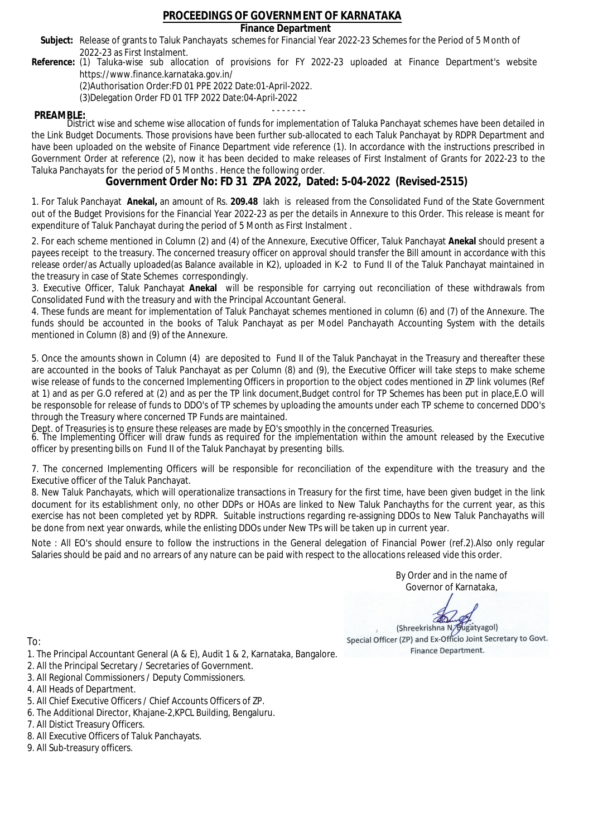### **Finance Department**

- Subject: Release of grants to Taluk Panchayats schemes for Financial Year 2022-23 Schemes for the Period of 5 Month of 2022-23 as First Instalment.
- **Reference:** (1) Taluka-wise sub allocation of provisions for FY 2022-23 uploaded at Finance Department's website https://www.finance.karnataka.gov.in/

(2)Authorisation Order:FD 01 PPE 2022 Date:01-April-2022.

(3)Delegation Order FD 01 TFP 2022 Date:04-April-2022

- - - - - - - **PREAMBLE:** District wise and scheme wise allocation of funds for implementation of Taluka Panchayat schemes have been detailed in the Link Budget Documents. Those provisions have been further sub-allocated to each Taluk Panchayat by RDPR Department and have been uploaded on the website of Finance Department vide reference (1). In accordance with the instructions prescribed in Government Order at reference (2), now it has been decided to make releases of First Instalment of Grants for 2022-23 to the Taluka Panchayats for the period of 5 Months . Hence the following order.

**Government Order No: FD 31 ZPA 2022, Dated: 5-04-2022 (Revised-2515)**

1. For Taluk Panchayat **Anekal,** an amount of Rs. **209.48** lakh is released from the Consolidated Fund of the State Government out of the Budget Provisions for the Financial Year 2022-23 as per the details in Annexure to this Order. This release is meant for expenditure of Taluk Panchayat during the period of 5 Month as First Instalment .

2. For each scheme mentioned in Column (2) and (4) of the Annexure, Executive Officer, Taluk Panchayat **Anekal** should present a payees receipt to the treasury. The concerned treasury officer on approval should transfer the Bill amount in accordance with this release order/as Actually uploaded(as Balance available in K2), uploaded in K-2 to Fund II of the Taluk Panchayat maintained in the treasury in case of State Schemes correspondingly.

3. Executive Officer, Taluk Panchayat **Anekal** will be responsible for carrying out reconciliation of these withdrawals from Consolidated Fund with the treasury and with the Principal Accountant General.

4. These funds are meant for implementation of Taluk Panchayat schemes mentioned in column (6) and (7) of the Annexure. The funds should be accounted in the books of Taluk Panchayat as per Model Panchayath Accounting System with the details mentioned in Column (8) and (9) of the Annexure.

5. Once the amounts shown in Column (4) are deposited to Fund II of the Taluk Panchayat in the Treasury and thereafter these are accounted in the books of Taluk Panchayat as per Column (8) and (9), the Executive Officer will take steps to make scheme wise release of funds to the concerned Implementing Officers in proportion to the object codes mentioned in ZP link volumes (Ref at 1) and as per G.O refered at (2) and as per the TP link document,Budget control for TP Schemes has been put in place,E.O will be responsoble for release of funds to DDO's of TP schemes by uploading the amounts under each TP scheme to concerned DDO's through the Treasury where concerned TP Funds are maintained.

Dept. of Treasuries is to ensure these releases are made by EO's smoothly in the concerned Treasuries.

6. The Implementing Officer will draw funds as required for the implementation within the amount released by the Executive officer by presenting bills on Fund II of the Taluk Panchayat by presenting bills.

7. The concerned Implementing Officers will be responsible for reconciliation of the expenditure with the treasury and the Executive officer of the Taluk Panchayat.

8. New Taluk Panchayats, which will operationalize transactions in Treasury for the first time, have been given budget in the link document for its establishment only, no other DDPs or HOAs are linked to New Taluk Panchayths for the current year, as this exercise has not been completed yet by RDPR. Suitable instructions regarding re-assigning DDOs to New Taluk Panchayaths will be done from next year onwards, while the enlisting DDOs under New TPs will be taken up in current year.

Note : All EO's should ensure to follow the instructions in the General delegation of Financial Power (ref.2).Also only regular Salaries should be paid and no arrears of any nature can be paid with respect to the allocations released vide this order.

> By Order and in the name of Governor of Karnataka,

**PD** 

(Shreekrishna N/Bugatyagol) Special Officer (ZP) and Ex-Officio Joint Secretary to Govt. Finance Department.

To:

- 1. The Principal Accountant General (A & E), Audit 1 & 2, Karnataka, Bangalore.
- 2. All the Principal Secretary / Secretaries of Government.
- 3. All Regional Commissioners / Deputy Commissioners.
- 4. All Heads of Department.
- 5. All Chief Executive Officers / Chief Accounts Officers of ZP.
- 6. The Additional Director, Khajane-2,KPCL Building, Bengaluru.

- 8. All Executive Officers of Taluk Panchayats.
- 9. All Sub-treasury officers.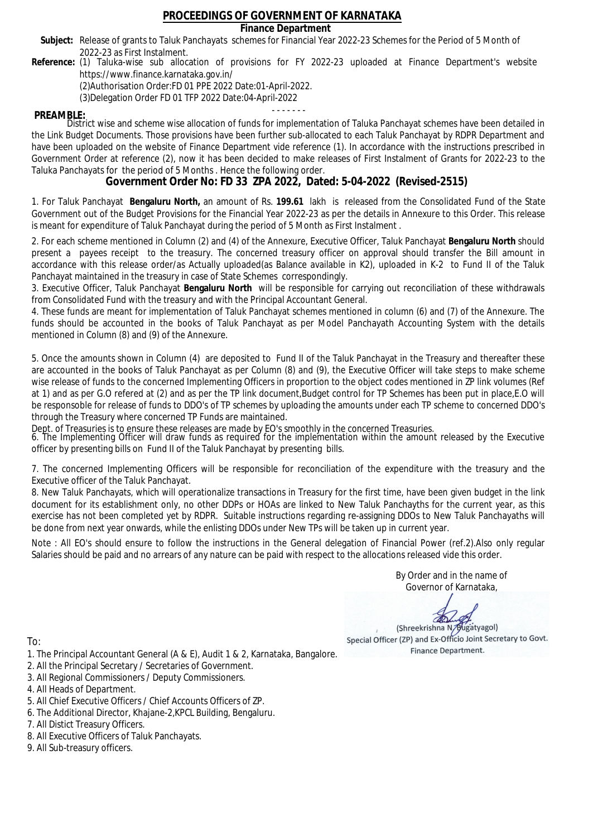### **Finance Department**

- Subject: Release of grants to Taluk Panchayats schemes for Financial Year 2022-23 Schemes for the Period of 5 Month of 2022-23 as First Instalment.
- **Reference:** (1) Taluka-wise sub allocation of provisions for FY 2022-23 uploaded at Finance Department's website https://www.finance.karnataka.gov.in/

(2)Authorisation Order:FD 01 PPE 2022 Date:01-April-2022.

(3)Delegation Order FD 01 TFP 2022 Date:04-April-2022

- - - - - - - **PREAMBLE:** District wise and scheme wise allocation of funds for implementation of Taluka Panchayat schemes have been detailed in the Link Budget Documents. Those provisions have been further sub-allocated to each Taluk Panchayat by RDPR Department and have been uploaded on the website of Finance Department vide reference (1). In accordance with the instructions prescribed in Government Order at reference (2), now it has been decided to make releases of First Instalment of Grants for 2022-23 to the Taluka Panchayats for the period of 5 Months . Hence the following order.

**Government Order No: FD 33 ZPA 2022, Dated: 5-04-2022 (Revised-2515)**

1. For Taluk Panchayat **Bengaluru North,** an amount of Rs. **199.61** lakh is released from the Consolidated Fund of the State Government out of the Budget Provisions for the Financial Year 2022-23 as per the details in Annexure to this Order. This release is meant for expenditure of Taluk Panchayat during the period of 5 Month as First Instalment .

2. For each scheme mentioned in Column (2) and (4) of the Annexure, Executive Officer, Taluk Panchayat **Bengaluru North** should present a payees receipt to the treasury. The concerned treasury officer on approval should transfer the Bill amount in accordance with this release order/as Actually uploaded(as Balance available in K2), uploaded in K-2 to Fund II of the Taluk Panchayat maintained in the treasury in case of State Schemes correspondingly.

3. Executive Officer, Taluk Panchayat **Bengaluru North** will be responsible for carrying out reconciliation of these withdrawals from Consolidated Fund with the treasury and with the Principal Accountant General.

4. These funds are meant for implementation of Taluk Panchayat schemes mentioned in column (6) and (7) of the Annexure. The funds should be accounted in the books of Taluk Panchayat as per Model Panchayath Accounting System with the details mentioned in Column (8) and (9) of the Annexure.

5. Once the amounts shown in Column (4) are deposited to Fund II of the Taluk Panchayat in the Treasury and thereafter these are accounted in the books of Taluk Panchayat as per Column (8) and (9), the Executive Officer will take steps to make scheme wise release of funds to the concerned Implementing Officers in proportion to the object codes mentioned in ZP link volumes (Ref at 1) and as per G.O refered at (2) and as per the TP link document,Budget control for TP Schemes has been put in place,E.O will be responsoble for release of funds to DDO's of TP schemes by uploading the amounts under each TP scheme to concerned DDO's through the Treasury where concerned TP Funds are maintained.

Dept. of Treasuries is to ensure these releases are made by EO's smoothly in the concerned Treasuries.

6. The Implementing Officer will draw funds as required for the implementation within the amount released by the Executive officer by presenting bills on Fund II of the Taluk Panchayat by presenting bills.

7. The concerned Implementing Officers will be responsible for reconciliation of the expenditure with the treasury and the Executive officer of the Taluk Panchayat.

8. New Taluk Panchayats, which will operationalize transactions in Treasury for the first time, have been given budget in the link document for its establishment only, no other DDPs or HOAs are linked to New Taluk Panchayths for the current year, as this exercise has not been completed yet by RDPR. Suitable instructions regarding re-assigning DDOs to New Taluk Panchayaths will be done from next year onwards, while the enlisting DDOs under New TPs will be taken up in current year.

Note : All EO's should ensure to follow the instructions in the General delegation of Financial Power (ref.2).Also only regular Salaries should be paid and no arrears of any nature can be paid with respect to the allocations released vide this order.

> By Order and in the name of Governor of Karnataka,

**PD** 

(Shreekrishna N/Bugatyagol) Special Officer (ZP) and Ex-Officio Joint Secretary to Govt. Finance Department.

- 1. The Principal Accountant General (A & E), Audit 1 & 2, Karnataka, Bangalore.
- 2. All the Principal Secretary / Secretaries of Government.
- 3. All Regional Commissioners / Deputy Commissioners.
- 4. All Heads of Department.
- 5. All Chief Executive Officers / Chief Accounts Officers of ZP.
- 6. The Additional Director, Khajane-2,KPCL Building, Bengaluru.
- 7. All Distict Treasury Officers.
- 8. All Executive Officers of Taluk Panchayats.
- 9. All Sub-treasury officers.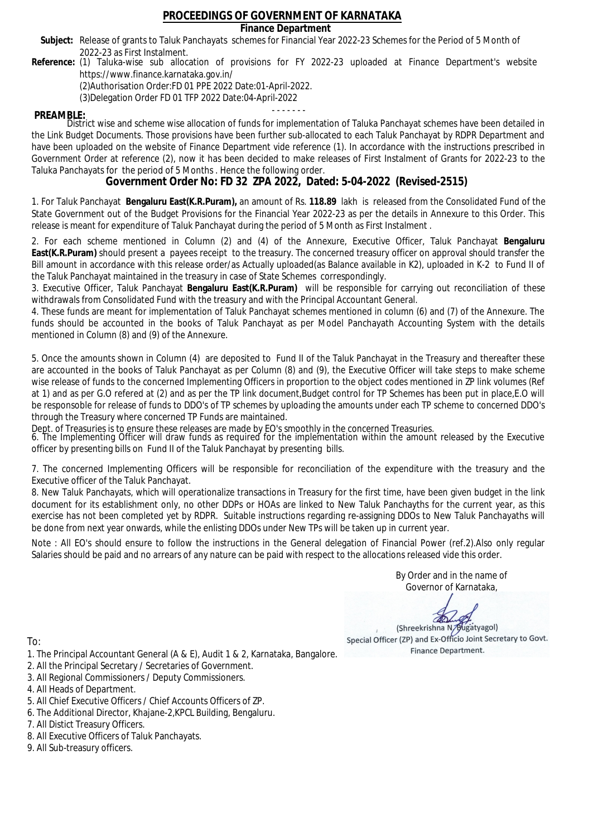### **Finance Department**

- Subject: Release of grants to Taluk Panchayats schemes for Financial Year 2022-23 Schemes for the Period of 5 Month of 2022-23 as First Instalment.
- **Reference:** (1) Taluka-wise sub allocation of provisions for FY 2022-23 uploaded at Finance Department's website https://www.finance.karnataka.gov.in/

(2)Authorisation Order:FD 01 PPE 2022 Date:01-April-2022.

(3)Delegation Order FD 01 TFP 2022 Date:04-April-2022

- - - - - - - **PREAMBLE:** District wise and scheme wise allocation of funds for implementation of Taluka Panchayat schemes have been detailed in the Link Budget Documents. Those provisions have been further sub-allocated to each Taluk Panchayat by RDPR Department and have been uploaded on the website of Finance Department vide reference (1). In accordance with the instructions prescribed in Government Order at reference (2), now it has been decided to make releases of First Instalment of Grants for 2022-23 to the Taluka Panchayats for the period of 5 Months . Hence the following order.

**Government Order No: FD 32 ZPA 2022, Dated: 5-04-2022 (Revised-2515)**

1. For Taluk Panchayat **Bengaluru East(K.R.Puram),** an amount of Rs. **118.89** lakh is released from the Consolidated Fund of the State Government out of the Budget Provisions for the Financial Year 2022-23 as per the details in Annexure to this Order. This release is meant for expenditure of Taluk Panchayat during the period of 5 Month as First Instalment .

2. For each scheme mentioned in Column (2) and (4) of the Annexure, Executive Officer, Taluk Panchayat **Bengaluru East(K.R.Puram)** should present a payees receipt to the treasury. The concerned treasury officer on approval should transfer the Bill amount in accordance with this release order/as Actually uploaded(as Balance available in K2), uploaded in K-2 to Fund II of the Taluk Panchayat maintained in the treasury in case of State Schemes correspondingly.

3. Executive Officer, Taluk Panchayat **Bengaluru East(K.R.Puram)** will be responsible for carrying out reconciliation of these withdrawals from Consolidated Fund with the treasury and with the Principal Accountant General.

4. These funds are meant for implementation of Taluk Panchayat schemes mentioned in column (6) and (7) of the Annexure. The funds should be accounted in the books of Taluk Panchayat as per Model Panchayath Accounting System with the details mentioned in Column (8) and (9) of the Annexure.

5. Once the amounts shown in Column (4) are deposited to Fund II of the Taluk Panchayat in the Treasury and thereafter these are accounted in the books of Taluk Panchayat as per Column (8) and (9), the Executive Officer will take steps to make scheme wise release of funds to the concerned Implementing Officers in proportion to the object codes mentioned in ZP link volumes (Ref at 1) and as per G.O refered at (2) and as per the TP link document,Budget control for TP Schemes has been put in place,E.O will be responsoble for release of funds to DDO's of TP schemes by uploading the amounts under each TP scheme to concerned DDO's through the Treasury where concerned TP Funds are maintained.

Dept. of Treasuries is to ensure these releases are made by EO's smoothly in the concerned Treasuries.

6. The Implementing Officer will draw funds as required for the implementation within the amount released by the Executive officer by presenting bills on Fund II of the Taluk Panchayat by presenting bills.

7. The concerned Implementing Officers will be responsible for reconciliation of the expenditure with the treasury and the Executive officer of the Taluk Panchayat.

8. New Taluk Panchayats, which will operationalize transactions in Treasury for the first time, have been given budget in the link document for its establishment only, no other DDPs or HOAs are linked to New Taluk Panchayths for the current year, as this exercise has not been completed yet by RDPR. Suitable instructions regarding re-assigning DDOs to New Taluk Panchayaths will be done from next year onwards, while the enlisting DDOs under New TPs will be taken up in current year.

Note : All EO's should ensure to follow the instructions in the General delegation of Financial Power (ref.2).Also only regular Salaries should be paid and no arrears of any nature can be paid with respect to the allocations released vide this order.

> By Order and in the name of Governor of Karnataka,

**PD** 

(Shreekrishna N/Bugatyagol) Special Officer (ZP) and Ex-Officio Joint Secretary to Govt. Finance Department.

- 1. The Principal Accountant General (A & E), Audit 1 & 2, Karnataka, Bangalore.
- 2. All the Principal Secretary / Secretaries of Government.
- 3. All Regional Commissioners / Deputy Commissioners.
- 4. All Heads of Department.
- 5. All Chief Executive Officers / Chief Accounts Officers of ZP.
- 6. The Additional Director, Khajane-2,KPCL Building, Bengaluru.
- 7. All Distict Treasury Officers.
- 8. All Executive Officers of Taluk Panchayats.
- 9. All Sub-treasury officers.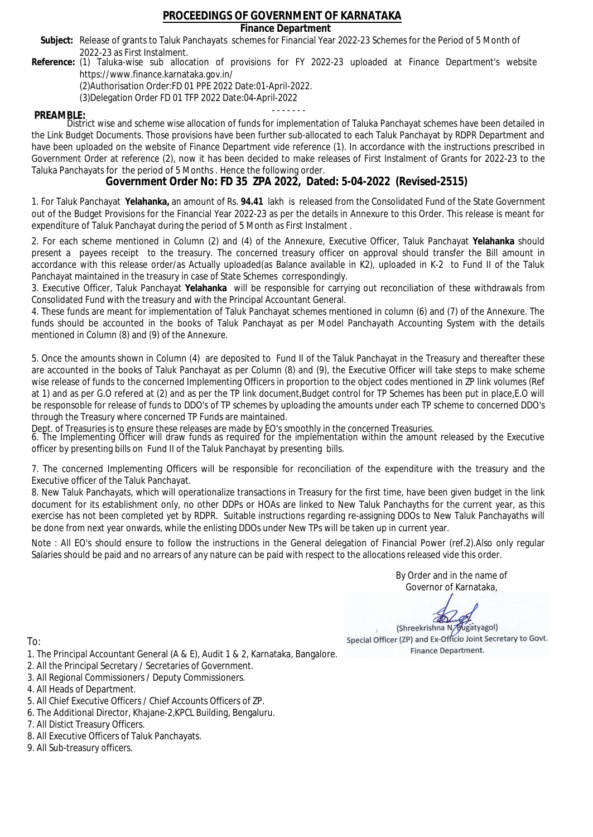### **Finance Department**

- Subject: Release of grants to Taluk Panchayats schemes for Financial Year 2022-23 Schemes for the Period of 5 Month of 2022-23 as First Instalment.
- **Reference:** (1) Taluka-wise sub allocation of provisions for FY 2022-23 uploaded at Finance Department's website https://www.finance.karnataka.gov.in/

(2)Authorisation Order:FD 01 PPE 2022 Date:01-April-2022.

(3)Delegation Order FD 01 TFP 2022 Date:04-April-2022

- - - - - - - **PREAMBLE:** District wise and scheme wise allocation of funds for implementation of Taluka Panchayat schemes have been detailed in the Link Budget Documents. Those provisions have been further sub-allocated to each Taluk Panchayat by RDPR Department and have been uploaded on the website of Finance Department vide reference (1). In accordance with the instructions prescribed in Government Order at reference (2), now it has been decided to make releases of First Instalment of Grants for 2022-23 to the Taluka Panchayats for the period of 5 Months . Hence the following order.

**Government Order No: FD 35 ZPA 2022, Dated: 5-04-2022 (Revised-2515)**

1. For Taluk Panchayat **Yelahanka,** an amount of Rs. **94.41** lakh is released from the Consolidated Fund of the State Government out of the Budget Provisions for the Financial Year 2022-23 as per the details in Annexure to this Order. This release is meant for expenditure of Taluk Panchayat during the period of 5 Month as First Instalment .

2. For each scheme mentioned in Column (2) and (4) of the Annexure, Executive Officer, Taluk Panchayat **Yelahanka** should present a payees receipt to the treasury. The concerned treasury officer on approval should transfer the Bill amount in accordance with this release order/as Actually uploaded(as Balance available in K2), uploaded in K-2 to Fund II of the Taluk Panchayat maintained in the treasury in case of State Schemes correspondingly.

3. Executive Officer, Taluk Panchayat **Yelahanka** will be responsible for carrying out reconciliation of these withdrawals from Consolidated Fund with the treasury and with the Principal Accountant General.

4. These funds are meant for implementation of Taluk Panchayat schemes mentioned in column (6) and (7) of the Annexure. The funds should be accounted in the books of Taluk Panchayat as per Model Panchayath Accounting System with the details mentioned in Column (8) and (9) of the Annexure.

5. Once the amounts shown in Column (4) are deposited to Fund II of the Taluk Panchayat in the Treasury and thereafter these are accounted in the books of Taluk Panchayat as per Column (8) and (9), the Executive Officer will take steps to make scheme wise release of funds to the concerned Implementing Officers in proportion to the object codes mentioned in ZP link volumes (Ref at 1) and as per G.O refered at (2) and as per the TP link document,Budget control for TP Schemes has been put in place,E.O will be responsoble for release of funds to DDO's of TP schemes by uploading the amounts under each TP scheme to concerned DDO's through the Treasury where concerned TP Funds are maintained.

Dept. of Treasuries is to ensure these releases are made by EO's smoothly in the concerned Treasuries.

6. The Implementing Officer will draw funds as required for the implementation within the amount released by the Executive officer by presenting bills on Fund II of the Taluk Panchayat by presenting bills.

7. The concerned Implementing Officers will be responsible for reconciliation of the expenditure with the treasury and the Executive officer of the Taluk Panchayat.

8. New Taluk Panchayats, which will operationalize transactions in Treasury for the first time, have been given budget in the link document for its establishment only, no other DDPs or HOAs are linked to New Taluk Panchayths for the current year, as this exercise has not been completed yet by RDPR. Suitable instructions regarding re-assigning DDOs to New Taluk Panchayaths will be done from next year onwards, while the enlisting DDOs under New TPs will be taken up in current year.

Note : All EO's should ensure to follow the instructions in the General delegation of Financial Power (ref.2).Also only regular Salaries should be paid and no arrears of any nature can be paid with respect to the allocations released vide this order.

> By Order and in the name of Governor of Karnataka,

**PD** 

(Shreekrishna N/Bugatyagol) Special Officer (ZP) and Ex-Officio Joint Secretary to Govt. Finance Department.

- 1. The Principal Accountant General (A & E), Audit 1 & 2, Karnataka, Bangalore.
- 2. All the Principal Secretary / Secretaries of Government.
- 3. All Regional Commissioners / Deputy Commissioners.
- 4. All Heads of Department.
- 5. All Chief Executive Officers / Chief Accounts Officers of ZP.
- 6. The Additional Director, Khajane-2,KPCL Building, Bengaluru.
- 7. All Distict Treasury Officers.
- 8. All Executive Officers of Taluk Panchayats.
- 9. All Sub-treasury officers.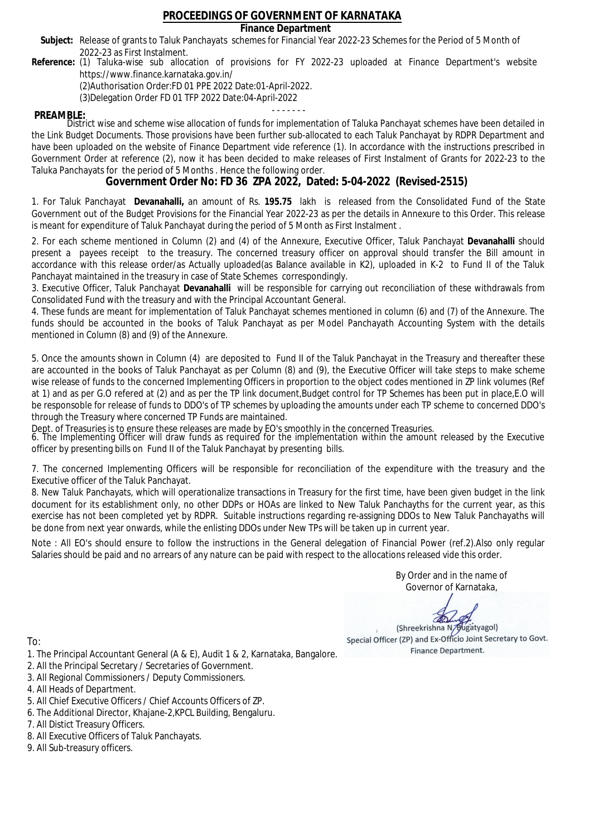### **Finance Department**

- Subject: Release of grants to Taluk Panchayats schemes for Financial Year 2022-23 Schemes for the Period of 5 Month of 2022-23 as First Instalment.
- **Reference:** (1) Taluka-wise sub allocation of provisions for FY 2022-23 uploaded at Finance Department's website https://www.finance.karnataka.gov.in/

(2)Authorisation Order:FD 01 PPE 2022 Date:01-April-2022.

(3)Delegation Order FD 01 TFP 2022 Date:04-April-2022

- - - - - - - **PREAMBLE:** District wise and scheme wise allocation of funds for implementation of Taluka Panchayat schemes have been detailed in the Link Budget Documents. Those provisions have been further sub-allocated to each Taluk Panchayat by RDPR Department and have been uploaded on the website of Finance Department vide reference (1). In accordance with the instructions prescribed in Government Order at reference (2), now it has been decided to make releases of First Instalment of Grants for 2022-23 to the Taluka Panchayats for the period of 5 Months . Hence the following order.

**Government Order No: FD 36 ZPA 2022, Dated: 5-04-2022 (Revised-2515)**

1. For Taluk Panchayat **Devanahalli,** an amount of Rs. **195.75** lakh is released from the Consolidated Fund of the State Government out of the Budget Provisions for the Financial Year 2022-23 as per the details in Annexure to this Order. This release is meant for expenditure of Taluk Panchayat during the period of 5 Month as First Instalment .

2. For each scheme mentioned in Column (2) and (4) of the Annexure, Executive Officer, Taluk Panchayat **Devanahalli** should present a payees receipt to the treasury. The concerned treasury officer on approval should transfer the Bill amount in accordance with this release order/as Actually uploaded(as Balance available in K2), uploaded in K-2 to Fund II of the Taluk Panchayat maintained in the treasury in case of State Schemes correspondingly.

3. Executive Officer, Taluk Panchayat **Devanahalli** will be responsible for carrying out reconciliation of these withdrawals from Consolidated Fund with the treasury and with the Principal Accountant General.

4. These funds are meant for implementation of Taluk Panchayat schemes mentioned in column (6) and (7) of the Annexure. The funds should be accounted in the books of Taluk Panchayat as per Model Panchayath Accounting System with the details mentioned in Column (8) and (9) of the Annexure.

5. Once the amounts shown in Column (4) are deposited to Fund II of the Taluk Panchayat in the Treasury and thereafter these are accounted in the books of Taluk Panchayat as per Column (8) and (9), the Executive Officer will take steps to make scheme wise release of funds to the concerned Implementing Officers in proportion to the object codes mentioned in ZP link volumes (Ref at 1) and as per G.O refered at (2) and as per the TP link document,Budget control for TP Schemes has been put in place,E.O will be responsoble for release of funds to DDO's of TP schemes by uploading the amounts under each TP scheme to concerned DDO's through the Treasury where concerned TP Funds are maintained.

Dept. of Treasuries is to ensure these releases are made by EO's smoothly in the concerned Treasuries.

6. The Implementing Officer will draw funds as required for the implementation within the amount released by the Executive officer by presenting bills on Fund II of the Taluk Panchayat by presenting bills.

7. The concerned Implementing Officers will be responsible for reconciliation of the expenditure with the treasury and the Executive officer of the Taluk Panchayat.

8. New Taluk Panchayats, which will operationalize transactions in Treasury for the first time, have been given budget in the link document for its establishment only, no other DDPs or HOAs are linked to New Taluk Panchayths for the current year, as this exercise has not been completed yet by RDPR. Suitable instructions regarding re-assigning DDOs to New Taluk Panchayaths will be done from next year onwards, while the enlisting DDOs under New TPs will be taken up in current year.

Note : All EO's should ensure to follow the instructions in the General delegation of Financial Power (ref.2).Also only regular Salaries should be paid and no arrears of any nature can be paid with respect to the allocations released vide this order.

> By Order and in the name of Governor of Karnataka,

**PD** 

(Shreekrishna N/Bugatyagol) Special Officer (ZP) and Ex-Officio Joint Secretary to Govt. Finance Department.

- 1. The Principal Accountant General (A & E), Audit 1 & 2, Karnataka, Bangalore.
- 2. All the Principal Secretary / Secretaries of Government.
- 3. All Regional Commissioners / Deputy Commissioners.
- 4. All Heads of Department.
- 5. All Chief Executive Officers / Chief Accounts Officers of ZP.
- 6. The Additional Director, Khajane-2,KPCL Building, Bengaluru.
- 7. All Distict Treasury Officers.
- 8. All Executive Officers of Taluk Panchayats.
- 9. All Sub-treasury officers.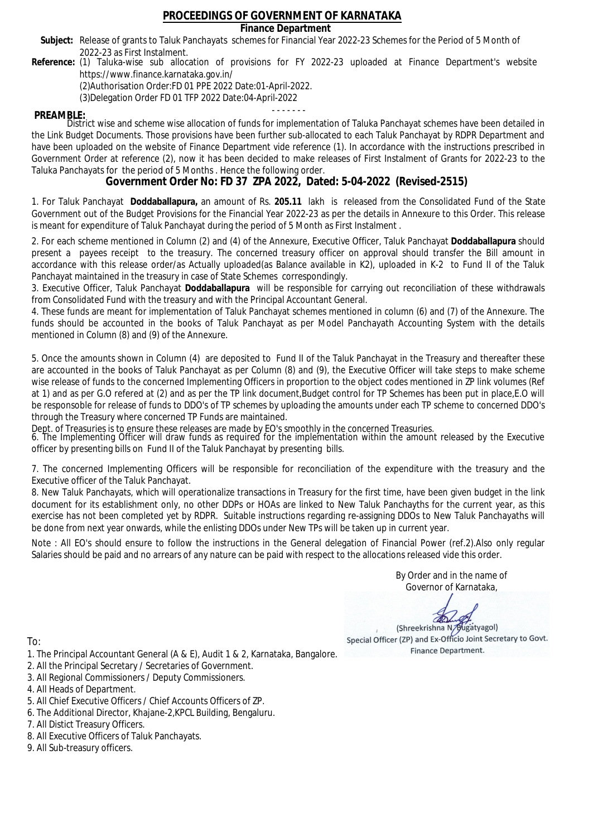### **Finance Department**

- Subject: Release of grants to Taluk Panchayats schemes for Financial Year 2022-23 Schemes for the Period of 5 Month of 2022-23 as First Instalment.
- **Reference:** (1) Taluka-wise sub allocation of provisions for FY 2022-23 uploaded at Finance Department's website https://www.finance.karnataka.gov.in/

(2)Authorisation Order:FD 01 PPE 2022 Date:01-April-2022.

(3)Delegation Order FD 01 TFP 2022 Date:04-April-2022

- - - - - - - **PREAMBLE:** District wise and scheme wise allocation of funds for implementation of Taluka Panchayat schemes have been detailed in the Link Budget Documents. Those provisions have been further sub-allocated to each Taluk Panchayat by RDPR Department and have been uploaded on the website of Finance Department vide reference (1). In accordance with the instructions prescribed in Government Order at reference (2), now it has been decided to make releases of First Instalment of Grants for 2022-23 to the Taluka Panchayats for the period of 5 Months . Hence the following order.

**Government Order No: FD 37 ZPA 2022, Dated: 5-04-2022 (Revised-2515)**

1. For Taluk Panchayat **Doddaballapura,** an amount of Rs. **205.11** lakh is released from the Consolidated Fund of the State Government out of the Budget Provisions for the Financial Year 2022-23 as per the details in Annexure to this Order. This release is meant for expenditure of Taluk Panchayat during the period of 5 Month as First Instalment .

2. For each scheme mentioned in Column (2) and (4) of the Annexure, Executive Officer, Taluk Panchayat **Doddaballapura** should present a payees receipt to the treasury. The concerned treasury officer on approval should transfer the Bill amount in accordance with this release order/as Actually uploaded(as Balance available in K2), uploaded in K-2 to Fund II of the Taluk Panchayat maintained in the treasury in case of State Schemes correspondingly.

3. Executive Officer, Taluk Panchayat **Doddaballapura** will be responsible for carrying out reconciliation of these withdrawals from Consolidated Fund with the treasury and with the Principal Accountant General.

4. These funds are meant for implementation of Taluk Panchayat schemes mentioned in column (6) and (7) of the Annexure. The funds should be accounted in the books of Taluk Panchayat as per Model Panchayath Accounting System with the details mentioned in Column (8) and (9) of the Annexure.

5. Once the amounts shown in Column (4) are deposited to Fund II of the Taluk Panchayat in the Treasury and thereafter these are accounted in the books of Taluk Panchayat as per Column (8) and (9), the Executive Officer will take steps to make scheme wise release of funds to the concerned Implementing Officers in proportion to the object codes mentioned in ZP link volumes (Ref at 1) and as per G.O refered at (2) and as per the TP link document,Budget control for TP Schemes has been put in place,E.O will be responsoble for release of funds to DDO's of TP schemes by uploading the amounts under each TP scheme to concerned DDO's through the Treasury where concerned TP Funds are maintained.

Dept. of Treasuries is to ensure these releases are made by EO's smoothly in the concerned Treasuries.

6. The Implementing Officer will draw funds as required for the implementation within the amount released by the Executive officer by presenting bills on Fund II of the Taluk Panchayat by presenting bills.

7. The concerned Implementing Officers will be responsible for reconciliation of the expenditure with the treasury and the Executive officer of the Taluk Panchayat.

8. New Taluk Panchayats, which will operationalize transactions in Treasury for the first time, have been given budget in the link document for its establishment only, no other DDPs or HOAs are linked to New Taluk Panchayths for the current year, as this exercise has not been completed yet by RDPR. Suitable instructions regarding re-assigning DDOs to New Taluk Panchayaths will be done from next year onwards, while the enlisting DDOs under New TPs will be taken up in current year.

Note : All EO's should ensure to follow the instructions in the General delegation of Financial Power (ref.2).Also only regular Salaries should be paid and no arrears of any nature can be paid with respect to the allocations released vide this order.

> By Order and in the name of Governor of Karnataka,

**PD** 

(Shreekrishna N/Bugatyagol) Special Officer (ZP) and Ex-Officio Joint Secretary to Govt. Finance Department.

- 1. The Principal Accountant General (A & E), Audit 1 & 2, Karnataka, Bangalore.
- 2. All the Principal Secretary / Secretaries of Government.
- 3. All Regional Commissioners / Deputy Commissioners.
- 4. All Heads of Department.
- 5. All Chief Executive Officers / Chief Accounts Officers of ZP.
- 6. The Additional Director, Khajane-2,KPCL Building, Bengaluru.
- 7. All Distict Treasury Officers.
- 8. All Executive Officers of Taluk Panchayats.
- 9. All Sub-treasury officers.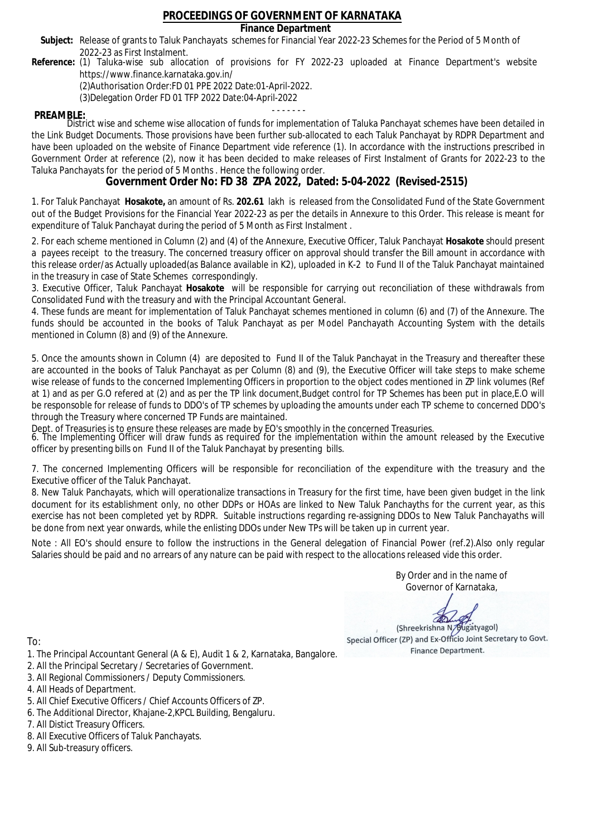### **Finance Department**

- Subject: Release of grants to Taluk Panchayats schemes for Financial Year 2022-23 Schemes for the Period of 5 Month of 2022-23 as First Instalment.
- **Reference:** (1) Taluka-wise sub allocation of provisions for FY 2022-23 uploaded at Finance Department's website https://www.finance.karnataka.gov.in/

(2)Authorisation Order:FD 01 PPE 2022 Date:01-April-2022.

(3)Delegation Order FD 01 TFP 2022 Date:04-April-2022

- - - - - - - **PREAMBLE:** District wise and scheme wise allocation of funds for implementation of Taluka Panchayat schemes have been detailed in the Link Budget Documents. Those provisions have been further sub-allocated to each Taluk Panchayat by RDPR Department and have been uploaded on the website of Finance Department vide reference (1). In accordance with the instructions prescribed in Government Order at reference (2), now it has been decided to make releases of First Instalment of Grants for 2022-23 to the Taluka Panchayats for the period of 5 Months . Hence the following order.

**Government Order No: FD 38 ZPA 2022, Dated: 5-04-2022 (Revised-2515)**

1. For Taluk Panchayat **Hosakote,** an amount of Rs. **202.61** lakh is released from the Consolidated Fund of the State Government out of the Budget Provisions for the Financial Year 2022-23 as per the details in Annexure to this Order. This release is meant for expenditure of Taluk Panchayat during the period of 5 Month as First Instalment .

2. For each scheme mentioned in Column (2) and (4) of the Annexure, Executive Officer, Taluk Panchayat **Hosakote** should present a payees receipt to the treasury. The concerned treasury officer on approval should transfer the Bill amount in accordance with this release order/as Actually uploaded(as Balance available in K2), uploaded in K-2 to Fund II of the Taluk Panchayat maintained in the treasury in case of State Schemes correspondingly.

3. Executive Officer, Taluk Panchayat **Hosakote** will be responsible for carrying out reconciliation of these withdrawals from Consolidated Fund with the treasury and with the Principal Accountant General.

4. These funds are meant for implementation of Taluk Panchayat schemes mentioned in column (6) and (7) of the Annexure. The funds should be accounted in the books of Taluk Panchayat as per Model Panchayath Accounting System with the details mentioned in Column (8) and (9) of the Annexure.

5. Once the amounts shown in Column (4) are deposited to Fund II of the Taluk Panchayat in the Treasury and thereafter these are accounted in the books of Taluk Panchayat as per Column (8) and (9), the Executive Officer will take steps to make scheme wise release of funds to the concerned Implementing Officers in proportion to the object codes mentioned in ZP link volumes (Ref at 1) and as per G.O refered at (2) and as per the TP link document,Budget control for TP Schemes has been put in place,E.O will be responsoble for release of funds to DDO's of TP schemes by uploading the amounts under each TP scheme to concerned DDO's through the Treasury where concerned TP Funds are maintained.

Dept. of Treasuries is to ensure these releases are made by EO's smoothly in the concerned Treasuries.

6. The Implementing Officer will draw funds as required for the implementation within the amount released by the Executive officer by presenting bills on Fund II of the Taluk Panchayat by presenting bills.

7. The concerned Implementing Officers will be responsible for reconciliation of the expenditure with the treasury and the Executive officer of the Taluk Panchayat.

8. New Taluk Panchayats, which will operationalize transactions in Treasury for the first time, have been given budget in the link document for its establishment only, no other DDPs or HOAs are linked to New Taluk Panchayths for the current year, as this exercise has not been completed yet by RDPR. Suitable instructions regarding re-assigning DDOs to New Taluk Panchayaths will be done from next year onwards, while the enlisting DDOs under New TPs will be taken up in current year.

Note : All EO's should ensure to follow the instructions in the General delegation of Financial Power (ref.2).Also only regular Salaries should be paid and no arrears of any nature can be paid with respect to the allocations released vide this order.

> By Order and in the name of Governor of Karnataka,

**PD** 

(Shreekrishna N/Bugatyagol) Special Officer (ZP) and Ex-Officio Joint Secretary to Govt. Finance Department.

- 1. The Principal Accountant General (A & E), Audit 1 & 2, Karnataka, Bangalore.
- 2. All the Principal Secretary / Secretaries of Government.
- 3. All Regional Commissioners / Deputy Commissioners.
- 4. All Heads of Department.
- 5. All Chief Executive Officers / Chief Accounts Officers of ZP.
- 6. The Additional Director, Khajane-2,KPCL Building, Bengaluru.
- 7. All Distict Treasury Officers.
- 8. All Executive Officers of Taluk Panchayats.
- 9. All Sub-treasury officers.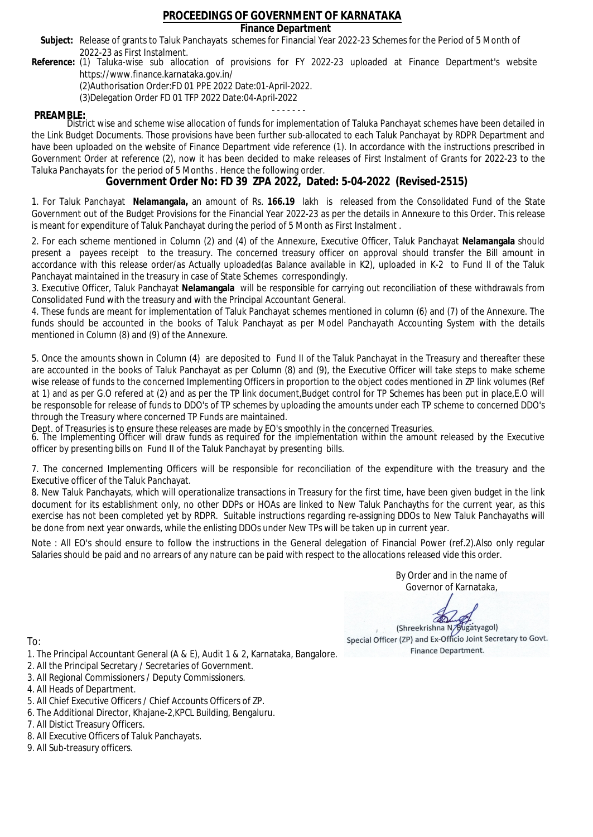### **Finance Department**

- Subject: Release of grants to Taluk Panchayats schemes for Financial Year 2022-23 Schemes for the Period of 5 Month of 2022-23 as First Instalment.
- **Reference:** (1) Taluka-wise sub allocation of provisions for FY 2022-23 uploaded at Finance Department's website https://www.finance.karnataka.gov.in/

(2)Authorisation Order:FD 01 PPE 2022 Date:01-April-2022.

(3)Delegation Order FD 01 TFP 2022 Date:04-April-2022

- - - - - - - **PREAMBLE:** District wise and scheme wise allocation of funds for implementation of Taluka Panchayat schemes have been detailed in the Link Budget Documents. Those provisions have been further sub-allocated to each Taluk Panchayat by RDPR Department and have been uploaded on the website of Finance Department vide reference (1). In accordance with the instructions prescribed in Government Order at reference (2), now it has been decided to make releases of First Instalment of Grants for 2022-23 to the Taluka Panchayats for the period of 5 Months . Hence the following order.

**Government Order No: FD 39 ZPA 2022, Dated: 5-04-2022 (Revised-2515)**

1. For Taluk Panchayat **Nelamangala,** an amount of Rs. **166.19** lakh is released from the Consolidated Fund of the State Government out of the Budget Provisions for the Financial Year 2022-23 as per the details in Annexure to this Order. This release is meant for expenditure of Taluk Panchayat during the period of 5 Month as First Instalment .

2. For each scheme mentioned in Column (2) and (4) of the Annexure, Executive Officer, Taluk Panchayat **Nelamangala** should present a payees receipt to the treasury. The concerned treasury officer on approval should transfer the Bill amount in accordance with this release order/as Actually uploaded(as Balance available in K2), uploaded in K-2 to Fund II of the Taluk Panchayat maintained in the treasury in case of State Schemes correspondingly.

3. Executive Officer, Taluk Panchayat **Nelamangala** will be responsible for carrying out reconciliation of these withdrawals from Consolidated Fund with the treasury and with the Principal Accountant General.

4. These funds are meant for implementation of Taluk Panchayat schemes mentioned in column (6) and (7) of the Annexure. The funds should be accounted in the books of Taluk Panchayat as per Model Panchayath Accounting System with the details mentioned in Column (8) and (9) of the Annexure.

5. Once the amounts shown in Column (4) are deposited to Fund II of the Taluk Panchayat in the Treasury and thereafter these are accounted in the books of Taluk Panchayat as per Column (8) and (9), the Executive Officer will take steps to make scheme wise release of funds to the concerned Implementing Officers in proportion to the object codes mentioned in ZP link volumes (Ref at 1) and as per G.O refered at (2) and as per the TP link document,Budget control for TP Schemes has been put in place,E.O will be responsoble for release of funds to DDO's of TP schemes by uploading the amounts under each TP scheme to concerned DDO's through the Treasury where concerned TP Funds are maintained.

Dept. of Treasuries is to ensure these releases are made by EO's smoothly in the concerned Treasuries.

6. The Implementing Officer will draw funds as required for the implementation within the amount released by the Executive officer by presenting bills on Fund II of the Taluk Panchayat by presenting bills.

7. The concerned Implementing Officers will be responsible for reconciliation of the expenditure with the treasury and the Executive officer of the Taluk Panchayat.

8. New Taluk Panchayats, which will operationalize transactions in Treasury for the first time, have been given budget in the link document for its establishment only, no other DDPs or HOAs are linked to New Taluk Panchayths for the current year, as this exercise has not been completed yet by RDPR. Suitable instructions regarding re-assigning DDOs to New Taluk Panchayaths will be done from next year onwards, while the enlisting DDOs under New TPs will be taken up in current year.

Note : All EO's should ensure to follow the instructions in the General delegation of Financial Power (ref.2).Also only regular Salaries should be paid and no arrears of any nature can be paid with respect to the allocations released vide this order.

> By Order and in the name of Governor of Karnataka,

**PD** 

(Shreekrishna N/Bugatyagol) Special Officer (ZP) and Ex-Officio Joint Secretary to Govt. Finance Department.

- 1. The Principal Accountant General (A & E), Audit 1 & 2, Karnataka, Bangalore.
- 2. All the Principal Secretary / Secretaries of Government.
- 3. All Regional Commissioners / Deputy Commissioners.
- 4. All Heads of Department.
- 5. All Chief Executive Officers / Chief Accounts Officers of ZP.
- 6. The Additional Director, Khajane-2,KPCL Building, Bengaluru.
- 7. All Distict Treasury Officers.
- 8. All Executive Officers of Taluk Panchayats.
- 9. All Sub-treasury officers.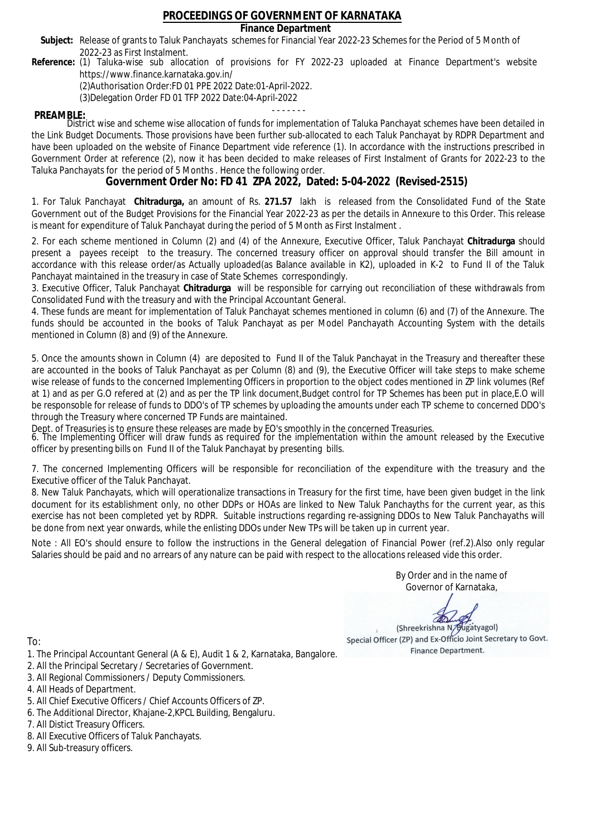### **Finance Department**

- Subject: Release of grants to Taluk Panchayats schemes for Financial Year 2022-23 Schemes for the Period of 5 Month of 2022-23 as First Instalment.
- **Reference:** (1) Taluka-wise sub allocation of provisions for FY 2022-23 uploaded at Finance Department's website https://www.finance.karnataka.gov.in/

(2)Authorisation Order:FD 01 PPE 2022 Date:01-April-2022.

(3)Delegation Order FD 01 TFP 2022 Date:04-April-2022

- - - - - - - **PREAMBLE:** District wise and scheme wise allocation of funds for implementation of Taluka Panchayat schemes have been detailed in the Link Budget Documents. Those provisions have been further sub-allocated to each Taluk Panchayat by RDPR Department and have been uploaded on the website of Finance Department vide reference (1). In accordance with the instructions prescribed in Government Order at reference (2), now it has been decided to make releases of First Instalment of Grants for 2022-23 to the Taluka Panchayats for the period of 5 Months . Hence the following order.

**Government Order No: FD 41 ZPA 2022, Dated: 5-04-2022 (Revised-2515)**

1. For Taluk Panchayat **Chitradurga,** an amount of Rs. **271.57** lakh is released from the Consolidated Fund of the State Government out of the Budget Provisions for the Financial Year 2022-23 as per the details in Annexure to this Order. This release is meant for expenditure of Taluk Panchayat during the period of 5 Month as First Instalment .

2. For each scheme mentioned in Column (2) and (4) of the Annexure, Executive Officer, Taluk Panchayat **Chitradurga** should present a payees receipt to the treasury. The concerned treasury officer on approval should transfer the Bill amount in accordance with this release order/as Actually uploaded(as Balance available in K2), uploaded in K-2 to Fund II of the Taluk Panchayat maintained in the treasury in case of State Schemes correspondingly.

3. Executive Officer, Taluk Panchayat **Chitradurga** will be responsible for carrying out reconciliation of these withdrawals from Consolidated Fund with the treasury and with the Principal Accountant General.

4. These funds are meant for implementation of Taluk Panchayat schemes mentioned in column (6) and (7) of the Annexure. The funds should be accounted in the books of Taluk Panchayat as per Model Panchayath Accounting System with the details mentioned in Column (8) and (9) of the Annexure.

5. Once the amounts shown in Column (4) are deposited to Fund II of the Taluk Panchayat in the Treasury and thereafter these are accounted in the books of Taluk Panchayat as per Column (8) and (9), the Executive Officer will take steps to make scheme wise release of funds to the concerned Implementing Officers in proportion to the object codes mentioned in ZP link volumes (Ref at 1) and as per G.O refered at (2) and as per the TP link document,Budget control for TP Schemes has been put in place,E.O will be responsoble for release of funds to DDO's of TP schemes by uploading the amounts under each TP scheme to concerned DDO's through the Treasury where concerned TP Funds are maintained.

Dept. of Treasuries is to ensure these releases are made by EO's smoothly in the concerned Treasuries.

6. The Implementing Officer will draw funds as required for the implementation within the amount released by the Executive officer by presenting bills on Fund II of the Taluk Panchayat by presenting bills.

7. The concerned Implementing Officers will be responsible for reconciliation of the expenditure with the treasury and the Executive officer of the Taluk Panchayat.

8. New Taluk Panchayats, which will operationalize transactions in Treasury for the first time, have been given budget in the link document for its establishment only, no other DDPs or HOAs are linked to New Taluk Panchayths for the current year, as this exercise has not been completed yet by RDPR. Suitable instructions regarding re-assigning DDOs to New Taluk Panchayaths will be done from next year onwards, while the enlisting DDOs under New TPs will be taken up in current year.

Note : All EO's should ensure to follow the instructions in the General delegation of Financial Power (ref.2).Also only regular Salaries should be paid and no arrears of any nature can be paid with respect to the allocations released vide this order.

> By Order and in the name of Governor of Karnataka,

**PD** 

(Shreekrishna N/Bugatyagol) Special Officer (ZP) and Ex-Officio Joint Secretary to Govt. Finance Department.

- 1. The Principal Accountant General (A & E), Audit 1 & 2, Karnataka, Bangalore.
- 2. All the Principal Secretary / Secretaries of Government.
- 3. All Regional Commissioners / Deputy Commissioners.
- 4. All Heads of Department.
- 5. All Chief Executive Officers / Chief Accounts Officers of ZP.
- 6. The Additional Director, Khajane-2,KPCL Building, Bengaluru.
- 7. All Distict Treasury Officers.
- 8. All Executive Officers of Taluk Panchayats.
- 9. All Sub-treasury officers.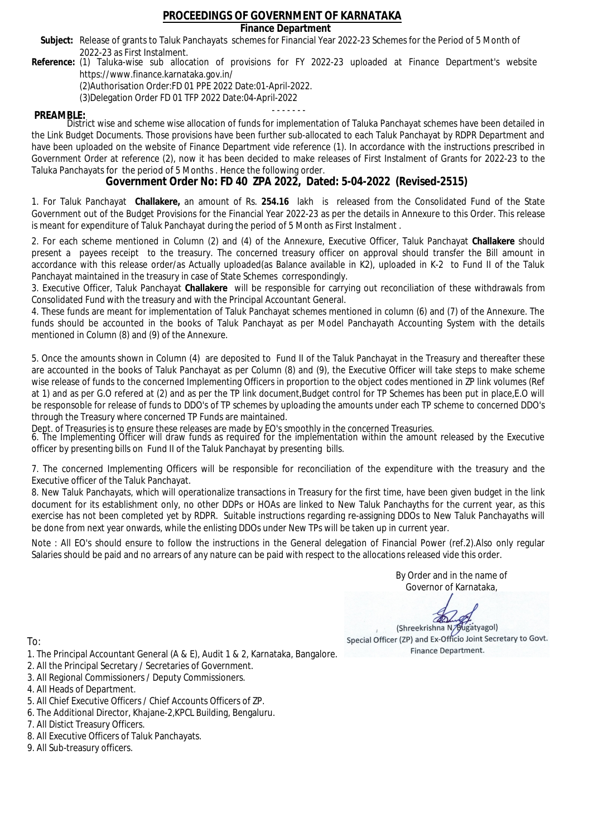### **Finance Department**

- Subject: Release of grants to Taluk Panchayats schemes for Financial Year 2022-23 Schemes for the Period of 5 Month of 2022-23 as First Instalment.
- **Reference:** (1) Taluka-wise sub allocation of provisions for FY 2022-23 uploaded at Finance Department's website https://www.finance.karnataka.gov.in/

(2)Authorisation Order:FD 01 PPE 2022 Date:01-April-2022.

(3)Delegation Order FD 01 TFP 2022 Date:04-April-2022

- - - - - - - **PREAMBLE:** District wise and scheme wise allocation of funds for implementation of Taluka Panchayat schemes have been detailed in the Link Budget Documents. Those provisions have been further sub-allocated to each Taluk Panchayat by RDPR Department and have been uploaded on the website of Finance Department vide reference (1). In accordance with the instructions prescribed in Government Order at reference (2), now it has been decided to make releases of First Instalment of Grants for 2022-23 to the Taluka Panchayats for the period of 5 Months . Hence the following order.

**Government Order No: FD 40 ZPA 2022, Dated: 5-04-2022 (Revised-2515)**

1. For Taluk Panchayat **Challakere,** an amount of Rs. **254.16** lakh is released from the Consolidated Fund of the State Government out of the Budget Provisions for the Financial Year 2022-23 as per the details in Annexure to this Order. This release is meant for expenditure of Taluk Panchayat during the period of 5 Month as First Instalment .

2. For each scheme mentioned in Column (2) and (4) of the Annexure, Executive Officer, Taluk Panchayat **Challakere** should present a payees receipt to the treasury. The concerned treasury officer on approval should transfer the Bill amount in accordance with this release order/as Actually uploaded(as Balance available in K2), uploaded in K-2 to Fund II of the Taluk Panchayat maintained in the treasury in case of State Schemes correspondingly.

3. Executive Officer, Taluk Panchayat **Challakere** will be responsible for carrying out reconciliation of these withdrawals from Consolidated Fund with the treasury and with the Principal Accountant General.

4. These funds are meant for implementation of Taluk Panchayat schemes mentioned in column (6) and (7) of the Annexure. The funds should be accounted in the books of Taluk Panchayat as per Model Panchayath Accounting System with the details mentioned in Column (8) and (9) of the Annexure.

5. Once the amounts shown in Column (4) are deposited to Fund II of the Taluk Panchayat in the Treasury and thereafter these are accounted in the books of Taluk Panchayat as per Column (8) and (9), the Executive Officer will take steps to make scheme wise release of funds to the concerned Implementing Officers in proportion to the object codes mentioned in ZP link volumes (Ref at 1) and as per G.O refered at (2) and as per the TP link document,Budget control for TP Schemes has been put in place,E.O will be responsoble for release of funds to DDO's of TP schemes by uploading the amounts under each TP scheme to concerned DDO's through the Treasury where concerned TP Funds are maintained.

Dept. of Treasuries is to ensure these releases are made by EO's smoothly in the concerned Treasuries.

6. The Implementing Officer will draw funds as required for the implementation within the amount released by the Executive officer by presenting bills on Fund II of the Taluk Panchayat by presenting bills.

7. The concerned Implementing Officers will be responsible for reconciliation of the expenditure with the treasury and the Executive officer of the Taluk Panchayat.

8. New Taluk Panchayats, which will operationalize transactions in Treasury for the first time, have been given budget in the link document for its establishment only, no other DDPs or HOAs are linked to New Taluk Panchayths for the current year, as this exercise has not been completed yet by RDPR. Suitable instructions regarding re-assigning DDOs to New Taluk Panchayaths will be done from next year onwards, while the enlisting DDOs under New TPs will be taken up in current year.

Note : All EO's should ensure to follow the instructions in the General delegation of Financial Power (ref.2).Also only regular Salaries should be paid and no arrears of any nature can be paid with respect to the allocations released vide this order.

> By Order and in the name of Governor of Karnataka,

**PD** 

(Shreekrishna N/Bugatyagol) Special Officer (ZP) and Ex-Officio Joint Secretary to Govt. Finance Department.

- 1. The Principal Accountant General (A & E), Audit 1 & 2, Karnataka, Bangalore.
- 2. All the Principal Secretary / Secretaries of Government.
- 3. All Regional Commissioners / Deputy Commissioners.
- 4. All Heads of Department.
- 5. All Chief Executive Officers / Chief Accounts Officers of ZP.
- 6. The Additional Director, Khajane-2,KPCL Building, Bengaluru.
- 7. All Distict Treasury Officers.
- 8. All Executive Officers of Taluk Panchayats.
- 9. All Sub-treasury officers.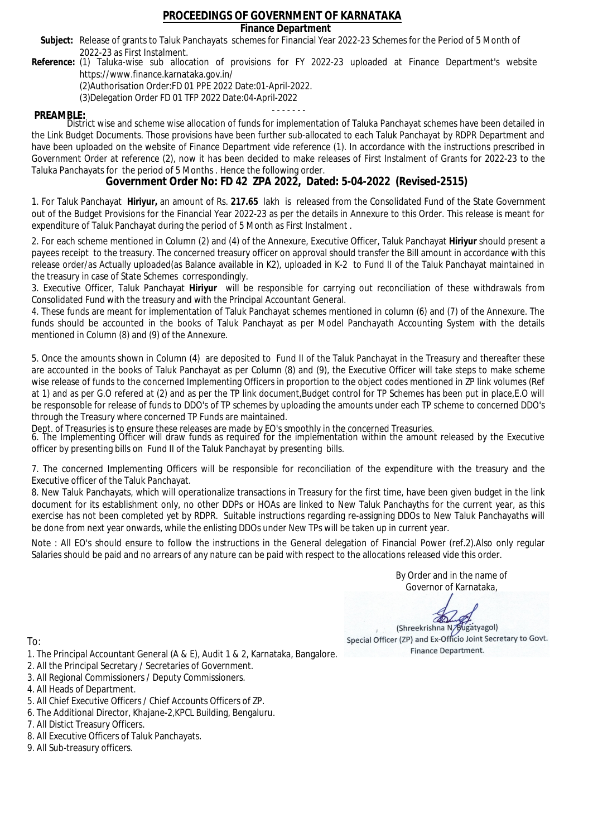### **Finance Department**

- Subject: Release of grants to Taluk Panchayats schemes for Financial Year 2022-23 Schemes for the Period of 5 Month of 2022-23 as First Instalment.
- **Reference:** (1) Taluka-wise sub allocation of provisions for FY 2022-23 uploaded at Finance Department's website https://www.finance.karnataka.gov.in/

(2)Authorisation Order:FD 01 PPE 2022 Date:01-April-2022.

(3)Delegation Order FD 01 TFP 2022 Date:04-April-2022

- - - - - - - **PREAMBLE:** District wise and scheme wise allocation of funds for implementation of Taluka Panchayat schemes have been detailed in the Link Budget Documents. Those provisions have been further sub-allocated to each Taluk Panchayat by RDPR Department and have been uploaded on the website of Finance Department vide reference (1). In accordance with the instructions prescribed in Government Order at reference (2), now it has been decided to make releases of First Instalment of Grants for 2022-23 to the Taluka Panchayats for the period of 5 Months . Hence the following order.

**Government Order No: FD 42 ZPA 2022, Dated: 5-04-2022 (Revised-2515)**

1. For Taluk Panchayat **Hiriyur,** an amount of Rs. **217.65** lakh is released from the Consolidated Fund of the State Government out of the Budget Provisions for the Financial Year 2022-23 as per the details in Annexure to this Order. This release is meant for expenditure of Taluk Panchayat during the period of 5 Month as First Instalment .

2. For each scheme mentioned in Column (2) and (4) of the Annexure, Executive Officer, Taluk Panchayat **Hiriyur** should present a payees receipt to the treasury. The concerned treasury officer on approval should transfer the Bill amount in accordance with this release order/as Actually uploaded(as Balance available in K2), uploaded in K-2 to Fund II of the Taluk Panchayat maintained in the treasury in case of State Schemes correspondingly.

3. Executive Officer, Taluk Panchayat **Hiriyur** will be responsible for carrying out reconciliation of these withdrawals from Consolidated Fund with the treasury and with the Principal Accountant General.

4. These funds are meant for implementation of Taluk Panchayat schemes mentioned in column (6) and (7) of the Annexure. The funds should be accounted in the books of Taluk Panchayat as per Model Panchayath Accounting System with the details mentioned in Column (8) and (9) of the Annexure.

5. Once the amounts shown in Column (4) are deposited to Fund II of the Taluk Panchayat in the Treasury and thereafter these are accounted in the books of Taluk Panchayat as per Column (8) and (9), the Executive Officer will take steps to make scheme wise release of funds to the concerned Implementing Officers in proportion to the object codes mentioned in ZP link volumes (Ref at 1) and as per G.O refered at (2) and as per the TP link document,Budget control for TP Schemes has been put in place,E.O will be responsoble for release of funds to DDO's of TP schemes by uploading the amounts under each TP scheme to concerned DDO's through the Treasury where concerned TP Funds are maintained.

Dept. of Treasuries is to ensure these releases are made by EO's smoothly in the concerned Treasuries.

6. The Implementing Officer will draw funds as required for the implementation within the amount released by the Executive officer by presenting bills on Fund II of the Taluk Panchayat by presenting bills.

7. The concerned Implementing Officers will be responsible for reconciliation of the expenditure with the treasury and the Executive officer of the Taluk Panchayat.

8. New Taluk Panchayats, which will operationalize transactions in Treasury for the first time, have been given budget in the link document for its establishment only, no other DDPs or HOAs are linked to New Taluk Panchayths for the current year, as this exercise has not been completed yet by RDPR. Suitable instructions regarding re-assigning DDOs to New Taluk Panchayaths will be done from next year onwards, while the enlisting DDOs under New TPs will be taken up in current year.

Note : All EO's should ensure to follow the instructions in the General delegation of Financial Power (ref.2).Also only regular Salaries should be paid and no arrears of any nature can be paid with respect to the allocations released vide this order.

> By Order and in the name of Governor of Karnataka,

**PD** 

(Shreekrishna N/Bugatyagol) Special Officer (ZP) and Ex-Officio Joint Secretary to Govt. Finance Department.

To:

- 1. The Principal Accountant General (A & E), Audit 1 & 2, Karnataka, Bangalore.
- 2. All the Principal Secretary / Secretaries of Government.
- 3. All Regional Commissioners / Deputy Commissioners.
- 4. All Heads of Department.
- 5. All Chief Executive Officers / Chief Accounts Officers of ZP.
- 6. The Additional Director, Khajane-2,KPCL Building, Bengaluru.

- 8. All Executive Officers of Taluk Panchayats.
- 9. All Sub-treasury officers.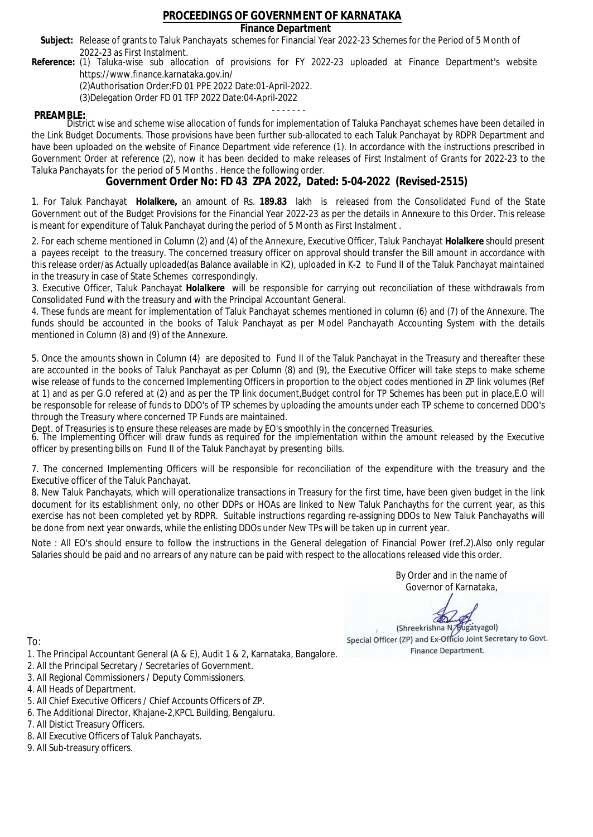### **Finance Department**

- Subject: Release of grants to Taluk Panchayats schemes for Financial Year 2022-23 Schemes for the Period of 5 Month of 2022-23 as First Instalment.
- **Reference:** (1) Taluka-wise sub allocation of provisions for FY 2022-23 uploaded at Finance Department's website https://www.finance.karnataka.gov.in/

(2)Authorisation Order:FD 01 PPE 2022 Date:01-April-2022.

(3)Delegation Order FD 01 TFP 2022 Date:04-April-2022

- - - - - - - **PREAMBLE:** District wise and scheme wise allocation of funds for implementation of Taluka Panchayat schemes have been detailed in the Link Budget Documents. Those provisions have been further sub-allocated to each Taluk Panchayat by RDPR Department and have been uploaded on the website of Finance Department vide reference (1). In accordance with the instructions prescribed in Government Order at reference (2), now it has been decided to make releases of First Instalment of Grants for 2022-23 to the Taluka Panchayats for the period of 5 Months . Hence the following order.

**Government Order No: FD 43 ZPA 2022, Dated: 5-04-2022 (Revised-2515)**

1. For Taluk Panchayat **Holalkere,** an amount of Rs. **189.83** lakh is released from the Consolidated Fund of the State Government out of the Budget Provisions for the Financial Year 2022-23 as per the details in Annexure to this Order. This release is meant for expenditure of Taluk Panchayat during the period of 5 Month as First Instalment .

2. For each scheme mentioned in Column (2) and (4) of the Annexure, Executive Officer, Taluk Panchayat **Holalkere** should present a payees receipt to the treasury. The concerned treasury officer on approval should transfer the Bill amount in accordance with this release order/as Actually uploaded(as Balance available in K2), uploaded in K-2 to Fund II of the Taluk Panchayat maintained in the treasury in case of State Schemes correspondingly.

3. Executive Officer, Taluk Panchayat **Holalkere** will be responsible for carrying out reconciliation of these withdrawals from Consolidated Fund with the treasury and with the Principal Accountant General.

4. These funds are meant for implementation of Taluk Panchayat schemes mentioned in column (6) and (7) of the Annexure. The funds should be accounted in the books of Taluk Panchayat as per Model Panchayath Accounting System with the details mentioned in Column (8) and (9) of the Annexure.

5. Once the amounts shown in Column (4) are deposited to Fund II of the Taluk Panchayat in the Treasury and thereafter these are accounted in the books of Taluk Panchayat as per Column (8) and (9), the Executive Officer will take steps to make scheme wise release of funds to the concerned Implementing Officers in proportion to the object codes mentioned in ZP link volumes (Ref at 1) and as per G.O refered at (2) and as per the TP link document,Budget control for TP Schemes has been put in place,E.O will be responsoble for release of funds to DDO's of TP schemes by uploading the amounts under each TP scheme to concerned DDO's through the Treasury where concerned TP Funds are maintained.

Dept. of Treasuries is to ensure these releases are made by EO's smoothly in the concerned Treasuries.

6. The Implementing Officer will draw funds as required for the implementation within the amount released by the Executive officer by presenting bills on Fund II of the Taluk Panchayat by presenting bills.

7. The concerned Implementing Officers will be responsible for reconciliation of the expenditure with the treasury and the Executive officer of the Taluk Panchayat.

8. New Taluk Panchayats, which will operationalize transactions in Treasury for the first time, have been given budget in the link document for its establishment only, no other DDPs or HOAs are linked to New Taluk Panchayths for the current year, as this exercise has not been completed yet by RDPR. Suitable instructions regarding re-assigning DDOs to New Taluk Panchayaths will be done from next year onwards, while the enlisting DDOs under New TPs will be taken up in current year.

Note : All EO's should ensure to follow the instructions in the General delegation of Financial Power (ref.2).Also only regular Salaries should be paid and no arrears of any nature can be paid with respect to the allocations released vide this order.

> By Order and in the name of Governor of Karnataka,

**PD** 

(Shreekrishna N/Bugatyagol) Special Officer (ZP) and Ex-Officio Joint Secretary to Govt. Finance Department.

To:

- 1. The Principal Accountant General (A & E), Audit 1 & 2, Karnataka, Bangalore.
- 2. All the Principal Secretary / Secretaries of Government.
- 3. All Regional Commissioners / Deputy Commissioners.
- 4. All Heads of Department.
- 5. All Chief Executive Officers / Chief Accounts Officers of ZP.
- 6. The Additional Director, Khajane-2,KPCL Building, Bengaluru.

- 8. All Executive Officers of Taluk Panchayats.
- 9. All Sub-treasury officers.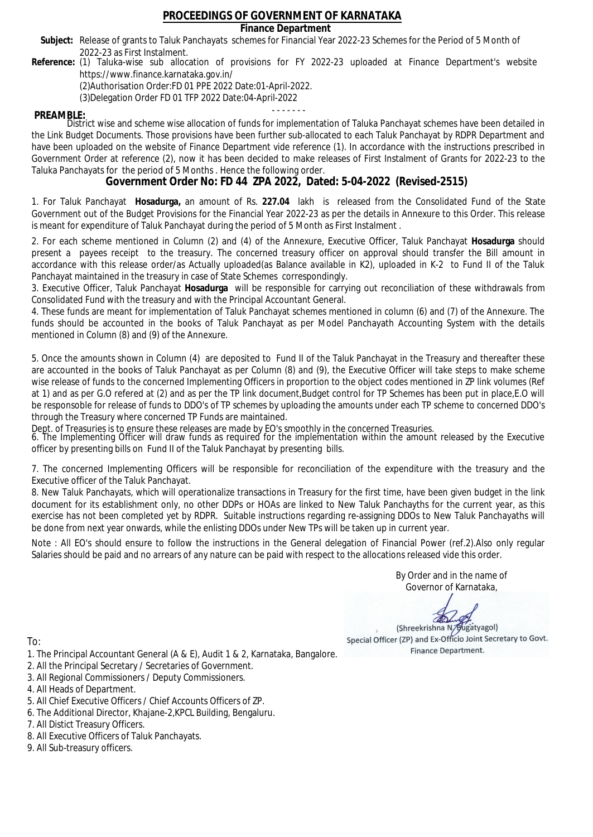### **Finance Department**

- Subject: Release of grants to Taluk Panchayats schemes for Financial Year 2022-23 Schemes for the Period of 5 Month of 2022-23 as First Instalment.
- **Reference:** (1) Taluka-wise sub allocation of provisions for FY 2022-23 uploaded at Finance Department's website https://www.finance.karnataka.gov.in/

(2)Authorisation Order:FD 01 PPE 2022 Date:01-April-2022.

(3)Delegation Order FD 01 TFP 2022 Date:04-April-2022

- - - - - - - **PREAMBLE:** District wise and scheme wise allocation of funds for implementation of Taluka Panchayat schemes have been detailed in the Link Budget Documents. Those provisions have been further sub-allocated to each Taluk Panchayat by RDPR Department and have been uploaded on the website of Finance Department vide reference (1). In accordance with the instructions prescribed in Government Order at reference (2), now it has been decided to make releases of First Instalment of Grants for 2022-23 to the Taluka Panchayats for the period of 5 Months . Hence the following order.

**Government Order No: FD 44 ZPA 2022, Dated: 5-04-2022 (Revised-2515)**

1. For Taluk Panchayat **Hosadurga,** an amount of Rs. **227.04** lakh is released from the Consolidated Fund of the State Government out of the Budget Provisions for the Financial Year 2022-23 as per the details in Annexure to this Order. This release is meant for expenditure of Taluk Panchayat during the period of 5 Month as First Instalment .

2. For each scheme mentioned in Column (2) and (4) of the Annexure, Executive Officer, Taluk Panchayat **Hosadurga** should present a payees receipt to the treasury. The concerned treasury officer on approval should transfer the Bill amount in accordance with this release order/as Actually uploaded(as Balance available in K2), uploaded in K-2 to Fund II of the Taluk Panchayat maintained in the treasury in case of State Schemes correspondingly.

3. Executive Officer, Taluk Panchayat **Hosadurga** will be responsible for carrying out reconciliation of these withdrawals from Consolidated Fund with the treasury and with the Principal Accountant General.

4. These funds are meant for implementation of Taluk Panchayat schemes mentioned in column (6) and (7) of the Annexure. The funds should be accounted in the books of Taluk Panchayat as per Model Panchayath Accounting System with the details mentioned in Column (8) and (9) of the Annexure.

5. Once the amounts shown in Column (4) are deposited to Fund II of the Taluk Panchayat in the Treasury and thereafter these are accounted in the books of Taluk Panchayat as per Column (8) and (9), the Executive Officer will take steps to make scheme wise release of funds to the concerned Implementing Officers in proportion to the object codes mentioned in ZP link volumes (Ref at 1) and as per G.O refered at (2) and as per the TP link document,Budget control for TP Schemes has been put in place,E.O will be responsoble for release of funds to DDO's of TP schemes by uploading the amounts under each TP scheme to concerned DDO's through the Treasury where concerned TP Funds are maintained.

Dept. of Treasuries is to ensure these releases are made by EO's smoothly in the concerned Treasuries.

6. The Implementing Officer will draw funds as required for the implementation within the amount released by the Executive officer by presenting bills on Fund II of the Taluk Panchayat by presenting bills.

7. The concerned Implementing Officers will be responsible for reconciliation of the expenditure with the treasury and the Executive officer of the Taluk Panchayat.

8. New Taluk Panchayats, which will operationalize transactions in Treasury for the first time, have been given budget in the link document for its establishment only, no other DDPs or HOAs are linked to New Taluk Panchayths for the current year, as this exercise has not been completed yet by RDPR. Suitable instructions regarding re-assigning DDOs to New Taluk Panchayaths will be done from next year onwards, while the enlisting DDOs under New TPs will be taken up in current year.

Note : All EO's should ensure to follow the instructions in the General delegation of Financial Power (ref.2).Also only regular Salaries should be paid and no arrears of any nature can be paid with respect to the allocations released vide this order.

> By Order and in the name of Governor of Karnataka,

**PD** 

(Shreekrishna N/Bugatyagol) Special Officer (ZP) and Ex-Officio Joint Secretary to Govt. Finance Department.

- 1. The Principal Accountant General (A & E), Audit 1 & 2, Karnataka, Bangalore.
- 2. All the Principal Secretary / Secretaries of Government.
- 3. All Regional Commissioners / Deputy Commissioners.
- 4. All Heads of Department.
- 5. All Chief Executive Officers / Chief Accounts Officers of ZP.
- 6. The Additional Director, Khajane-2,KPCL Building, Bengaluru.
- 7. All Distict Treasury Officers.
- 8. All Executive Officers of Taluk Panchayats.
- 9. All Sub-treasury officers.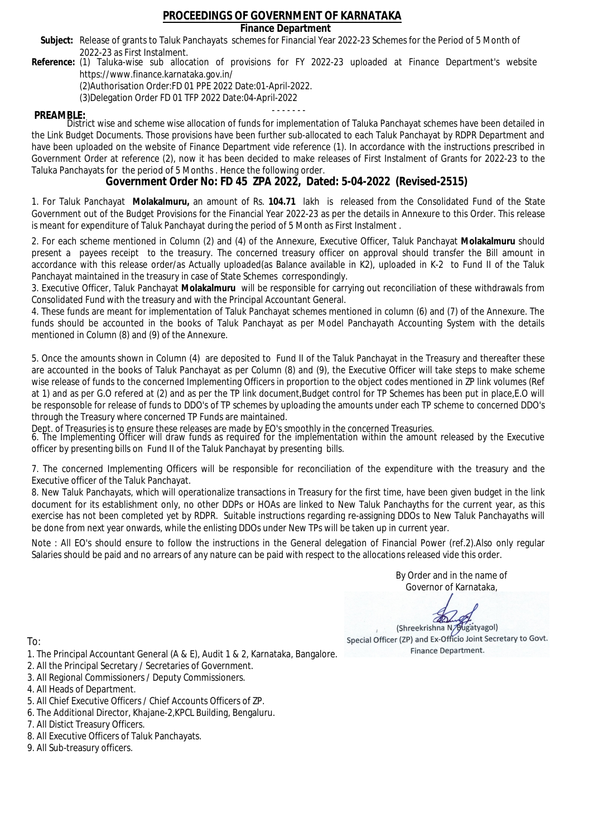### **Finance Department**

- Subject: Release of grants to Taluk Panchayats schemes for Financial Year 2022-23 Schemes for the Period of 5 Month of 2022-23 as First Instalment.
- **Reference:** (1) Taluka-wise sub allocation of provisions for FY 2022-23 uploaded at Finance Department's website https://www.finance.karnataka.gov.in/

(2)Authorisation Order:FD 01 PPE 2022 Date:01-April-2022.

(3)Delegation Order FD 01 TFP 2022 Date:04-April-2022

- - - - - - - **PREAMBLE:** District wise and scheme wise allocation of funds for implementation of Taluka Panchayat schemes have been detailed in the Link Budget Documents. Those provisions have been further sub-allocated to each Taluk Panchayat by RDPR Department and have been uploaded on the website of Finance Department vide reference (1). In accordance with the instructions prescribed in Government Order at reference (2), now it has been decided to make releases of First Instalment of Grants for 2022-23 to the Taluka Panchayats for the period of 5 Months . Hence the following order.

**Government Order No: FD 45 ZPA 2022, Dated: 5-04-2022 (Revised-2515)**

1. For Taluk Panchayat **Molakalmuru,** an amount of Rs. **104.71** lakh is released from the Consolidated Fund of the State Government out of the Budget Provisions for the Financial Year 2022-23 as per the details in Annexure to this Order. This release is meant for expenditure of Taluk Panchayat during the period of 5 Month as First Instalment .

2. For each scheme mentioned in Column (2) and (4) of the Annexure, Executive Officer, Taluk Panchayat **Molakalmuru** should present a payees receipt to the treasury. The concerned treasury officer on approval should transfer the Bill amount in accordance with this release order/as Actually uploaded(as Balance available in K2), uploaded in K-2 to Fund II of the Taluk Panchayat maintained in the treasury in case of State Schemes correspondingly.

3. Executive Officer, Taluk Panchayat **Molakalmuru** will be responsible for carrying out reconciliation of these withdrawals from Consolidated Fund with the treasury and with the Principal Accountant General.

4. These funds are meant for implementation of Taluk Panchayat schemes mentioned in column (6) and (7) of the Annexure. The funds should be accounted in the books of Taluk Panchayat as per Model Panchayath Accounting System with the details mentioned in Column (8) and (9) of the Annexure.

5. Once the amounts shown in Column (4) are deposited to Fund II of the Taluk Panchayat in the Treasury and thereafter these are accounted in the books of Taluk Panchayat as per Column (8) and (9), the Executive Officer will take steps to make scheme wise release of funds to the concerned Implementing Officers in proportion to the object codes mentioned in ZP link volumes (Ref at 1) and as per G.O refered at (2) and as per the TP link document,Budget control for TP Schemes has been put in place,E.O will be responsoble for release of funds to DDO's of TP schemes by uploading the amounts under each TP scheme to concerned DDO's through the Treasury where concerned TP Funds are maintained.

Dept. of Treasuries is to ensure these releases are made by EO's smoothly in the concerned Treasuries.

6. The Implementing Officer will draw funds as required for the implementation within the amount released by the Executive officer by presenting bills on Fund II of the Taluk Panchayat by presenting bills.

7. The concerned Implementing Officers will be responsible for reconciliation of the expenditure with the treasury and the Executive officer of the Taluk Panchayat.

8. New Taluk Panchayats, which will operationalize transactions in Treasury for the first time, have been given budget in the link document for its establishment only, no other DDPs or HOAs are linked to New Taluk Panchayths for the current year, as this exercise has not been completed yet by RDPR. Suitable instructions regarding re-assigning DDOs to New Taluk Panchayaths will be done from next year onwards, while the enlisting DDOs under New TPs will be taken up in current year.

Note : All EO's should ensure to follow the instructions in the General delegation of Financial Power (ref.2).Also only regular Salaries should be paid and no arrears of any nature can be paid with respect to the allocations released vide this order.

> By Order and in the name of Governor of Karnataka,

**PD** 

(Shreekrishna N/Bugatyagol) Special Officer (ZP) and Ex-Officio Joint Secretary to Govt. Finance Department.

- 1. The Principal Accountant General (A & E), Audit 1 & 2, Karnataka, Bangalore.
- 2. All the Principal Secretary / Secretaries of Government.
- 3. All Regional Commissioners / Deputy Commissioners.
- 4. All Heads of Department.
- 5. All Chief Executive Officers / Chief Accounts Officers of ZP.
- 6. The Additional Director, Khajane-2,KPCL Building, Bengaluru.
- 7. All Distict Treasury Officers.
- 8. All Executive Officers of Taluk Panchayats.
- 9. All Sub-treasury officers.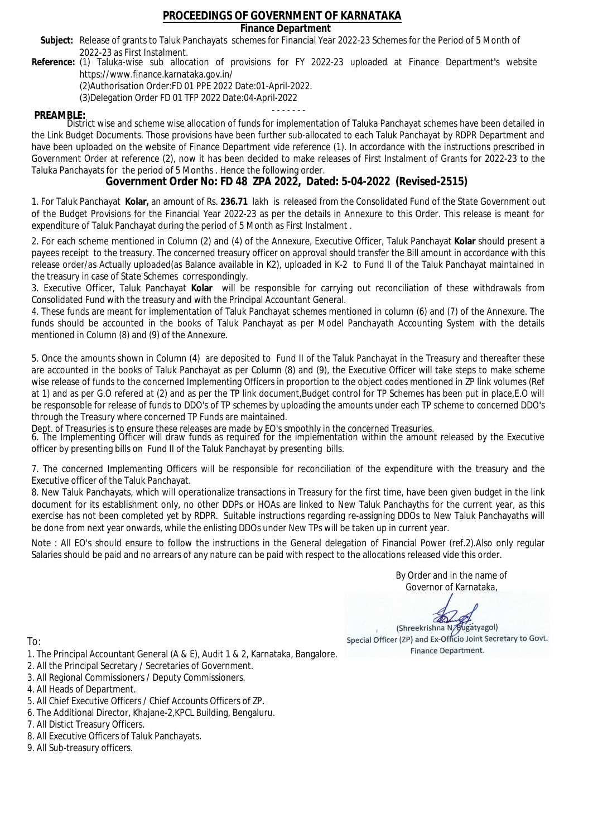### **Finance Department**

- Subject: Release of grants to Taluk Panchayats schemes for Financial Year 2022-23 Schemes for the Period of 5 Month of 2022-23 as First Instalment.
- **Reference:** (1) Taluka-wise sub allocation of provisions for FY 2022-23 uploaded at Finance Department's website https://www.finance.karnataka.gov.in/

(2)Authorisation Order:FD 01 PPE 2022 Date:01-April-2022.

(3)Delegation Order FD 01 TFP 2022 Date:04-April-2022

- - - - - - - **PREAMBLE:** District wise and scheme wise allocation of funds for implementation of Taluka Panchayat schemes have been detailed in the Link Budget Documents. Those provisions have been further sub-allocated to each Taluk Panchayat by RDPR Department and have been uploaded on the website of Finance Department vide reference (1). In accordance with the instructions prescribed in Government Order at reference (2), now it has been decided to make releases of First Instalment of Grants for 2022-23 to the Taluka Panchayats for the period of 5 Months . Hence the following order.

**Government Order No: FD 48 ZPA 2022, Dated: 5-04-2022 (Revised-2515)**

1. For Taluk Panchayat **Kolar,** an amount of Rs. **236.71** lakh is released from the Consolidated Fund of the State Government out of the Budget Provisions for the Financial Year 2022-23 as per the details in Annexure to this Order. This release is meant for expenditure of Taluk Panchayat during the period of 5 Month as First Instalment .

2. For each scheme mentioned in Column (2) and (4) of the Annexure, Executive Officer, Taluk Panchayat **Kolar** should present a payees receipt to the treasury. The concerned treasury officer on approval should transfer the Bill amount in accordance with this release order/as Actually uploaded(as Balance available in K2), uploaded in K-2 to Fund II of the Taluk Panchayat maintained in the treasury in case of State Schemes correspondingly.

3. Executive Officer, Taluk Panchayat **Kolar** will be responsible for carrying out reconciliation of these withdrawals from Consolidated Fund with the treasury and with the Principal Accountant General.

4. These funds are meant for implementation of Taluk Panchayat schemes mentioned in column (6) and (7) of the Annexure. The funds should be accounted in the books of Taluk Panchayat as per Model Panchayath Accounting System with the details mentioned in Column (8) and (9) of the Annexure.

5. Once the amounts shown in Column (4) are deposited to Fund II of the Taluk Panchayat in the Treasury and thereafter these are accounted in the books of Taluk Panchayat as per Column (8) and (9), the Executive Officer will take steps to make scheme wise release of funds to the concerned Implementing Officers in proportion to the object codes mentioned in ZP link volumes (Ref at 1) and as per G.O refered at (2) and as per the TP link document,Budget control for TP Schemes has been put in place,E.O will be responsoble for release of funds to DDO's of TP schemes by uploading the amounts under each TP scheme to concerned DDO's through the Treasury where concerned TP Funds are maintained.

Dept. of Treasuries is to ensure these releases are made by EO's smoothly in the concerned Treasuries.

6. The Implementing Officer will draw funds as required for the implementation within the amount released by the Executive officer by presenting bills on Fund II of the Taluk Panchayat by presenting bills.

7. The concerned Implementing Officers will be responsible for reconciliation of the expenditure with the treasury and the Executive officer of the Taluk Panchayat.

8. New Taluk Panchayats, which will operationalize transactions in Treasury for the first time, have been given budget in the link document for its establishment only, no other DDPs or HOAs are linked to New Taluk Panchayths for the current year, as this exercise has not been completed yet by RDPR. Suitable instructions regarding re-assigning DDOs to New Taluk Panchayaths will be done from next year onwards, while the enlisting DDOs under New TPs will be taken up in current year.

Note : All EO's should ensure to follow the instructions in the General delegation of Financial Power (ref.2).Also only regular Salaries should be paid and no arrears of any nature can be paid with respect to the allocations released vide this order.

> By Order and in the name of Governor of Karnataka,

**PD** 

(Shreekrishna N/Bugatyagol) Special Officer (ZP) and Ex-Officio Joint Secretary to Govt. Finance Department.

- 1. The Principal Accountant General (A & E), Audit 1 & 2, Karnataka, Bangalore.
- 2. All the Principal Secretary / Secretaries of Government.
- 3. All Regional Commissioners / Deputy Commissioners.
- 4. All Heads of Department.
- 5. All Chief Executive Officers / Chief Accounts Officers of ZP.
- 6. The Additional Director, Khajane-2,KPCL Building, Bengaluru.
- 7. All Distict Treasury Officers.
- 8. All Executive Officers of Taluk Panchayats.
- 9. All Sub-treasury officers.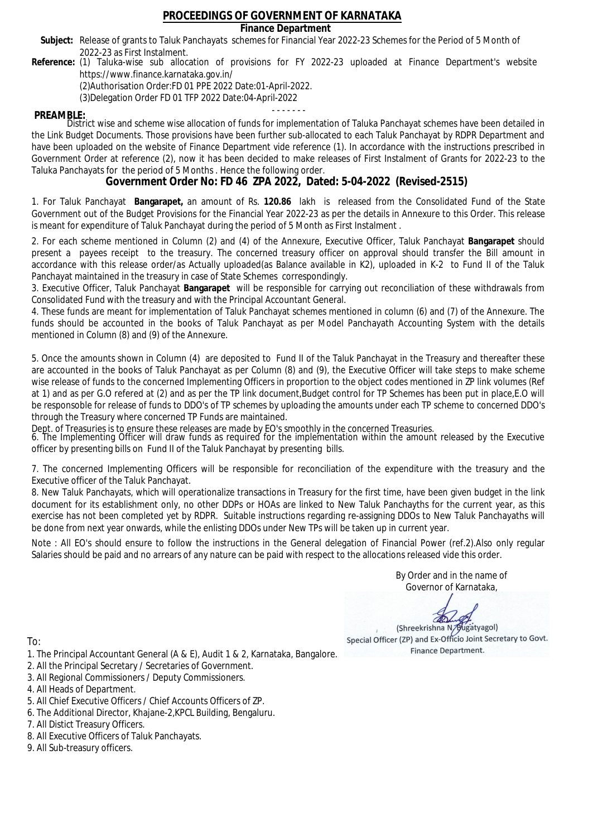### **Finance Department**

- Subject: Release of grants to Taluk Panchayats schemes for Financial Year 2022-23 Schemes for the Period of 5 Month of 2022-23 as First Instalment.
- **Reference:** (1) Taluka-wise sub allocation of provisions for FY 2022-23 uploaded at Finance Department's website https://www.finance.karnataka.gov.in/

(2)Authorisation Order:FD 01 PPE 2022 Date:01-April-2022.

(3)Delegation Order FD 01 TFP 2022 Date:04-April-2022

- - - - - - - **PREAMBLE:** District wise and scheme wise allocation of funds for implementation of Taluka Panchayat schemes have been detailed in the Link Budget Documents. Those provisions have been further sub-allocated to each Taluk Panchayat by RDPR Department and have been uploaded on the website of Finance Department vide reference (1). In accordance with the instructions prescribed in Government Order at reference (2), now it has been decided to make releases of First Instalment of Grants for 2022-23 to the Taluka Panchayats for the period of 5 Months . Hence the following order.

**Government Order No: FD 46 ZPA 2022, Dated: 5-04-2022 (Revised-2515)**

1. For Taluk Panchayat **Bangarapet,** an amount of Rs. **120.86** lakh is released from the Consolidated Fund of the State Government out of the Budget Provisions for the Financial Year 2022-23 as per the details in Annexure to this Order. This release is meant for expenditure of Taluk Panchayat during the period of 5 Month as First Instalment .

2. For each scheme mentioned in Column (2) and (4) of the Annexure, Executive Officer, Taluk Panchayat **Bangarapet** should present a payees receipt to the treasury. The concerned treasury officer on approval should transfer the Bill amount in accordance with this release order/as Actually uploaded(as Balance available in K2), uploaded in K-2 to Fund II of the Taluk Panchayat maintained in the treasury in case of State Schemes correspondingly.

3. Executive Officer, Taluk Panchayat **Bangarapet** will be responsible for carrying out reconciliation of these withdrawals from Consolidated Fund with the treasury and with the Principal Accountant General.

4. These funds are meant for implementation of Taluk Panchayat schemes mentioned in column (6) and (7) of the Annexure. The funds should be accounted in the books of Taluk Panchayat as per Model Panchayath Accounting System with the details mentioned in Column (8) and (9) of the Annexure.

5. Once the amounts shown in Column (4) are deposited to Fund II of the Taluk Panchayat in the Treasury and thereafter these are accounted in the books of Taluk Panchayat as per Column (8) and (9), the Executive Officer will take steps to make scheme wise release of funds to the concerned Implementing Officers in proportion to the object codes mentioned in ZP link volumes (Ref at 1) and as per G.O refered at (2) and as per the TP link document,Budget control for TP Schemes has been put in place,E.O will be responsoble for release of funds to DDO's of TP schemes by uploading the amounts under each TP scheme to concerned DDO's through the Treasury where concerned TP Funds are maintained.

Dept. of Treasuries is to ensure these releases are made by EO's smoothly in the concerned Treasuries.

6. The Implementing Officer will draw funds as required for the implementation within the amount released by the Executive officer by presenting bills on Fund II of the Taluk Panchayat by presenting bills.

7. The concerned Implementing Officers will be responsible for reconciliation of the expenditure with the treasury and the Executive officer of the Taluk Panchayat.

8. New Taluk Panchayats, which will operationalize transactions in Treasury for the first time, have been given budget in the link document for its establishment only, no other DDPs or HOAs are linked to New Taluk Panchayths for the current year, as this exercise has not been completed yet by RDPR. Suitable instructions regarding re-assigning DDOs to New Taluk Panchayaths will be done from next year onwards, while the enlisting DDOs under New TPs will be taken up in current year.

Note : All EO's should ensure to follow the instructions in the General delegation of Financial Power (ref.2).Also only regular Salaries should be paid and no arrears of any nature can be paid with respect to the allocations released vide this order.

> By Order and in the name of Governor of Karnataka,

**PD** 

(Shreekrishna N/Bugatyagol) Special Officer (ZP) and Ex-Officio Joint Secretary to Govt. Finance Department.

- 1. The Principal Accountant General (A & E), Audit 1 & 2, Karnataka, Bangalore.
- 2. All the Principal Secretary / Secretaries of Government.
- 3. All Regional Commissioners / Deputy Commissioners.
- 4. All Heads of Department.
- 5. All Chief Executive Officers / Chief Accounts Officers of ZP.
- 6. The Additional Director, Khajane-2,KPCL Building, Bengaluru.
- 7. All Distict Treasury Officers.
- 8. All Executive Officers of Taluk Panchayats.
- 9. All Sub-treasury officers.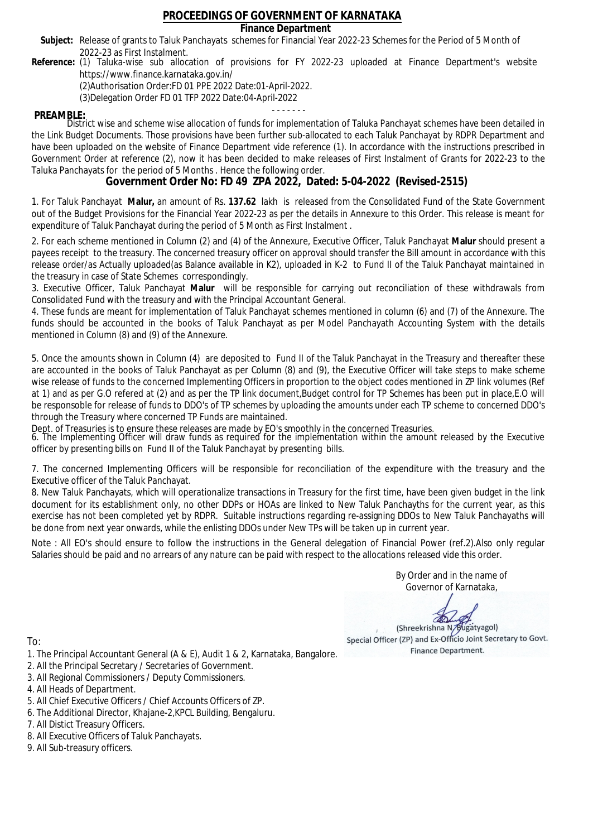### **Finance Department**

- Subject: Release of grants to Taluk Panchayats schemes for Financial Year 2022-23 Schemes for the Period of 5 Month of 2022-23 as First Instalment.
- **Reference:** (1) Taluka-wise sub allocation of provisions for FY 2022-23 uploaded at Finance Department's website https://www.finance.karnataka.gov.in/

(2)Authorisation Order:FD 01 PPE 2022 Date:01-April-2022.

(3)Delegation Order FD 01 TFP 2022 Date:04-April-2022

- - - - - - - **PREAMBLE:** District wise and scheme wise allocation of funds for implementation of Taluka Panchayat schemes have been detailed in the Link Budget Documents. Those provisions have been further sub-allocated to each Taluk Panchayat by RDPR Department and have been uploaded on the website of Finance Department vide reference (1). In accordance with the instructions prescribed in Government Order at reference (2), now it has been decided to make releases of First Instalment of Grants for 2022-23 to the Taluka Panchayats for the period of 5 Months . Hence the following order.

**Government Order No: FD 49 ZPA 2022, Dated: 5-04-2022 (Revised-2515)**

1. For Taluk Panchayat **Malur,** an amount of Rs. **137.62** lakh is released from the Consolidated Fund of the State Government out of the Budget Provisions for the Financial Year 2022-23 as per the details in Annexure to this Order. This release is meant for expenditure of Taluk Panchayat during the period of 5 Month as First Instalment .

2. For each scheme mentioned in Column (2) and (4) of the Annexure, Executive Officer, Taluk Panchayat **Malur** should present a payees receipt to the treasury. The concerned treasury officer on approval should transfer the Bill amount in accordance with this release order/as Actually uploaded(as Balance available in K2), uploaded in K-2 to Fund II of the Taluk Panchayat maintained in the treasury in case of State Schemes correspondingly.

3. Executive Officer, Taluk Panchayat **Malur** will be responsible for carrying out reconciliation of these withdrawals from Consolidated Fund with the treasury and with the Principal Accountant General.

4. These funds are meant for implementation of Taluk Panchayat schemes mentioned in column (6) and (7) of the Annexure. The funds should be accounted in the books of Taluk Panchayat as per Model Panchayath Accounting System with the details mentioned in Column (8) and (9) of the Annexure.

5. Once the amounts shown in Column (4) are deposited to Fund II of the Taluk Panchayat in the Treasury and thereafter these are accounted in the books of Taluk Panchayat as per Column (8) and (9), the Executive Officer will take steps to make scheme wise release of funds to the concerned Implementing Officers in proportion to the object codes mentioned in ZP link volumes (Ref at 1) and as per G.O refered at (2) and as per the TP link document,Budget control for TP Schemes has been put in place,E.O will be responsoble for release of funds to DDO's of TP schemes by uploading the amounts under each TP scheme to concerned DDO's through the Treasury where concerned TP Funds are maintained.

Dept. of Treasuries is to ensure these releases are made by EO's smoothly in the concerned Treasuries.

6. The Implementing Officer will draw funds as required for the implementation within the amount released by the Executive officer by presenting bills on Fund II of the Taluk Panchayat by presenting bills.

7. The concerned Implementing Officers will be responsible for reconciliation of the expenditure with the treasury and the Executive officer of the Taluk Panchayat.

8. New Taluk Panchayats, which will operationalize transactions in Treasury for the first time, have been given budget in the link document for its establishment only, no other DDPs or HOAs are linked to New Taluk Panchayths for the current year, as this exercise has not been completed yet by RDPR. Suitable instructions regarding re-assigning DDOs to New Taluk Panchayaths will be done from next year onwards, while the enlisting DDOs under New TPs will be taken up in current year.

Note : All EO's should ensure to follow the instructions in the General delegation of Financial Power (ref.2).Also only regular Salaries should be paid and no arrears of any nature can be paid with respect to the allocations released vide this order.

> By Order and in the name of Governor of Karnataka,

**PD** 

(Shreekrishna N/Bugatyagol) Special Officer (ZP) and Ex-Officio Joint Secretary to Govt. Finance Department.

To:

- 1. The Principal Accountant General (A & E), Audit 1 & 2, Karnataka, Bangalore.
- 2. All the Principal Secretary / Secretaries of Government.
- 3. All Regional Commissioners / Deputy Commissioners.
- 4. All Heads of Department.
- 5. All Chief Executive Officers / Chief Accounts Officers of ZP.
- 6. The Additional Director, Khajane-2,KPCL Building, Bengaluru.

- 8. All Executive Officers of Taluk Panchayats.
- 9. All Sub-treasury officers.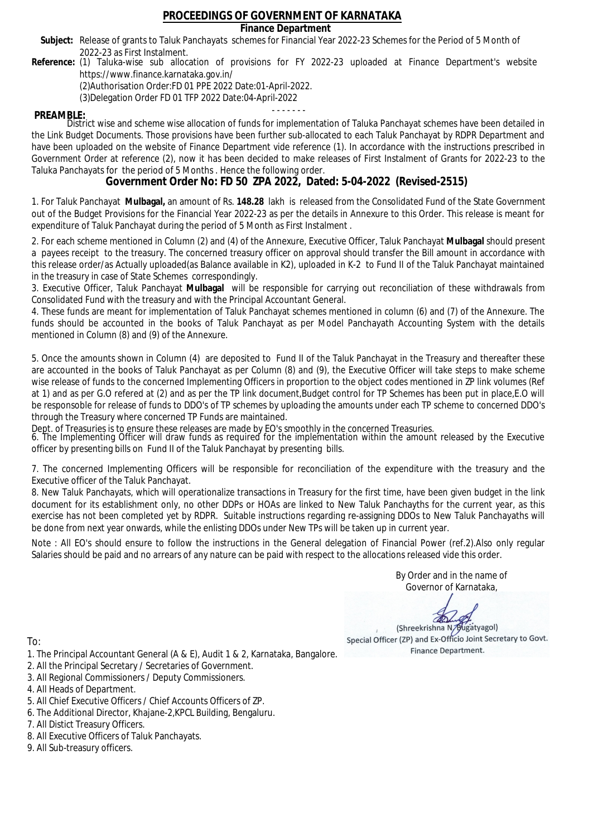### **Finance Department**

- Subject: Release of grants to Taluk Panchayats schemes for Financial Year 2022-23 Schemes for the Period of 5 Month of 2022-23 as First Instalment.
- **Reference:** (1) Taluka-wise sub allocation of provisions for FY 2022-23 uploaded at Finance Department's website https://www.finance.karnataka.gov.in/

(2)Authorisation Order:FD 01 PPE 2022 Date:01-April-2022.

(3)Delegation Order FD 01 TFP 2022 Date:04-April-2022

- - - - - - - **PREAMBLE:** District wise and scheme wise allocation of funds for implementation of Taluka Panchayat schemes have been detailed in the Link Budget Documents. Those provisions have been further sub-allocated to each Taluk Panchayat by RDPR Department and have been uploaded on the website of Finance Department vide reference (1). In accordance with the instructions prescribed in Government Order at reference (2), now it has been decided to make releases of First Instalment of Grants for 2022-23 to the Taluka Panchayats for the period of 5 Months . Hence the following order.

**Government Order No: FD 50 ZPA 2022, Dated: 5-04-2022 (Revised-2515)**

1. For Taluk Panchayat **Mulbagal,** an amount of Rs. **148.28** lakh is released from the Consolidated Fund of the State Government out of the Budget Provisions for the Financial Year 2022-23 as per the details in Annexure to this Order. This release is meant for expenditure of Taluk Panchayat during the period of 5 Month as First Instalment .

2. For each scheme mentioned in Column (2) and (4) of the Annexure, Executive Officer, Taluk Panchayat **Mulbagal** should present a payees receipt to the treasury. The concerned treasury officer on approval should transfer the Bill amount in accordance with this release order/as Actually uploaded(as Balance available in K2), uploaded in K-2 to Fund II of the Taluk Panchayat maintained in the treasury in case of State Schemes correspondingly.

3. Executive Officer, Taluk Panchayat **Mulbagal** will be responsible for carrying out reconciliation of these withdrawals from Consolidated Fund with the treasury and with the Principal Accountant General.

4. These funds are meant for implementation of Taluk Panchayat schemes mentioned in column (6) and (7) of the Annexure. The funds should be accounted in the books of Taluk Panchayat as per Model Panchayath Accounting System with the details mentioned in Column (8) and (9) of the Annexure.

5. Once the amounts shown in Column (4) are deposited to Fund II of the Taluk Panchayat in the Treasury and thereafter these are accounted in the books of Taluk Panchayat as per Column (8) and (9), the Executive Officer will take steps to make scheme wise release of funds to the concerned Implementing Officers in proportion to the object codes mentioned in ZP link volumes (Ref at 1) and as per G.O refered at (2) and as per the TP link document,Budget control for TP Schemes has been put in place,E.O will be responsoble for release of funds to DDO's of TP schemes by uploading the amounts under each TP scheme to concerned DDO's through the Treasury where concerned TP Funds are maintained.

Dept. of Treasuries is to ensure these releases are made by EO's smoothly in the concerned Treasuries.

6. The Implementing Officer will draw funds as required for the implementation within the amount released by the Executive officer by presenting bills on Fund II of the Taluk Panchayat by presenting bills.

7. The concerned Implementing Officers will be responsible for reconciliation of the expenditure with the treasury and the Executive officer of the Taluk Panchayat.

8. New Taluk Panchayats, which will operationalize transactions in Treasury for the first time, have been given budget in the link document for its establishment only, no other DDPs or HOAs are linked to New Taluk Panchayths for the current year, as this exercise has not been completed yet by RDPR. Suitable instructions regarding re-assigning DDOs to New Taluk Panchayaths will be done from next year onwards, while the enlisting DDOs under New TPs will be taken up in current year.

Note : All EO's should ensure to follow the instructions in the General delegation of Financial Power (ref.2).Also only regular Salaries should be paid and no arrears of any nature can be paid with respect to the allocations released vide this order.

> By Order and in the name of Governor of Karnataka,

**PD** 

(Shreekrishna N/Bugatyagol) Special Officer (ZP) and Ex-Officio Joint Secretary to Govt. Finance Department.

To:

- 1. The Principal Accountant General (A & E), Audit 1 & 2, Karnataka, Bangalore.
- 2. All the Principal Secretary / Secretaries of Government.
- 3. All Regional Commissioners / Deputy Commissioners.
- 4. All Heads of Department.
- 5. All Chief Executive Officers / Chief Accounts Officers of ZP.
- 6. The Additional Director, Khajane-2,KPCL Building, Bengaluru.

- 8. All Executive Officers of Taluk Panchayats.
- 9. All Sub-treasury officers.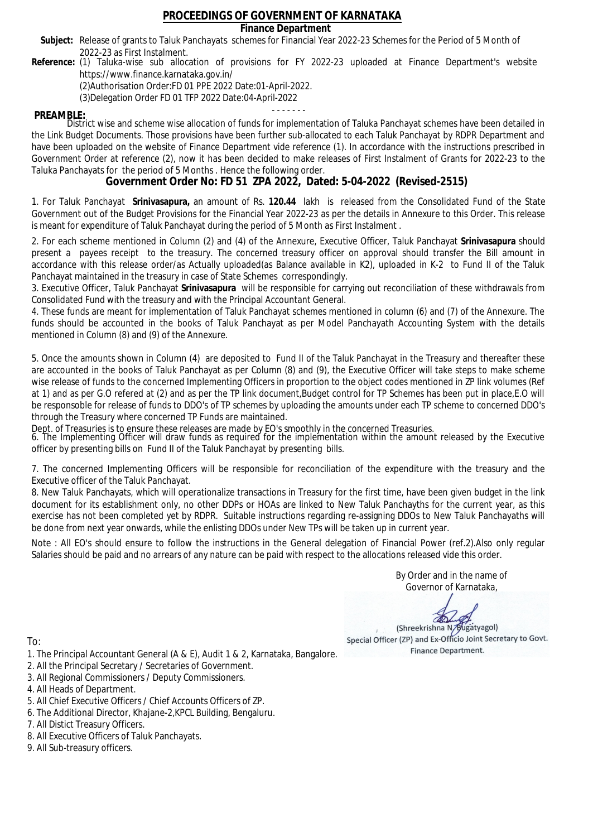### **Finance Department**

- Subject: Release of grants to Taluk Panchayats schemes for Financial Year 2022-23 Schemes for the Period of 5 Month of 2022-23 as First Instalment.
- **Reference:** (1) Taluka-wise sub allocation of provisions for FY 2022-23 uploaded at Finance Department's website https://www.finance.karnataka.gov.in/

(2)Authorisation Order:FD 01 PPE 2022 Date:01-April-2022.

(3)Delegation Order FD 01 TFP 2022 Date:04-April-2022

- - - - - - - **PREAMBLE:** District wise and scheme wise allocation of funds for implementation of Taluka Panchayat schemes have been detailed in the Link Budget Documents. Those provisions have been further sub-allocated to each Taluk Panchayat by RDPR Department and have been uploaded on the website of Finance Department vide reference (1). In accordance with the instructions prescribed in Government Order at reference (2), now it has been decided to make releases of First Instalment of Grants for 2022-23 to the Taluka Panchayats for the period of 5 Months . Hence the following order.

**Government Order No: FD 51 ZPA 2022, Dated: 5-04-2022 (Revised-2515)**

1. For Taluk Panchayat **Srinivasapura,** an amount of Rs. **120.44** lakh is released from the Consolidated Fund of the State Government out of the Budget Provisions for the Financial Year 2022-23 as per the details in Annexure to this Order. This release is meant for expenditure of Taluk Panchayat during the period of 5 Month as First Instalment .

2. For each scheme mentioned in Column (2) and (4) of the Annexure, Executive Officer, Taluk Panchayat **Srinivasapura** should present a payees receipt to the treasury. The concerned treasury officer on approval should transfer the Bill amount in accordance with this release order/as Actually uploaded(as Balance available in K2), uploaded in K-2 to Fund II of the Taluk Panchayat maintained in the treasury in case of State Schemes correspondingly.

3. Executive Officer, Taluk Panchayat **Srinivasapura** will be responsible for carrying out reconciliation of these withdrawals from Consolidated Fund with the treasury and with the Principal Accountant General.

4. These funds are meant for implementation of Taluk Panchayat schemes mentioned in column (6) and (7) of the Annexure. The funds should be accounted in the books of Taluk Panchayat as per Model Panchayath Accounting System with the details mentioned in Column (8) and (9) of the Annexure.

5. Once the amounts shown in Column (4) are deposited to Fund II of the Taluk Panchayat in the Treasury and thereafter these are accounted in the books of Taluk Panchayat as per Column (8) and (9), the Executive Officer will take steps to make scheme wise release of funds to the concerned Implementing Officers in proportion to the object codes mentioned in ZP link volumes (Ref at 1) and as per G.O refered at (2) and as per the TP link document,Budget control for TP Schemes has been put in place,E.O will be responsoble for release of funds to DDO's of TP schemes by uploading the amounts under each TP scheme to concerned DDO's through the Treasury where concerned TP Funds are maintained.

Dept. of Treasuries is to ensure these releases are made by EO's smoothly in the concerned Treasuries.

6. The Implementing Officer will draw funds as required for the implementation within the amount released by the Executive officer by presenting bills on Fund II of the Taluk Panchayat by presenting bills.

7. The concerned Implementing Officers will be responsible for reconciliation of the expenditure with the treasury and the Executive officer of the Taluk Panchayat.

8. New Taluk Panchayats, which will operationalize transactions in Treasury for the first time, have been given budget in the link document for its establishment only, no other DDPs or HOAs are linked to New Taluk Panchayths for the current year, as this exercise has not been completed yet by RDPR. Suitable instructions regarding re-assigning DDOs to New Taluk Panchayaths will be done from next year onwards, while the enlisting DDOs under New TPs will be taken up in current year.

Note : All EO's should ensure to follow the instructions in the General delegation of Financial Power (ref.2).Also only regular Salaries should be paid and no arrears of any nature can be paid with respect to the allocations released vide this order.

> By Order and in the name of Governor of Karnataka,

**PD** 

(Shreekrishna N/Bugatyagol) Special Officer (ZP) and Ex-Officio Joint Secretary to Govt. Finance Department.

- 1. The Principal Accountant General (A & E), Audit 1 & 2, Karnataka, Bangalore.
- 2. All the Principal Secretary / Secretaries of Government.
- 3. All Regional Commissioners / Deputy Commissioners.
- 4. All Heads of Department.
- 5. All Chief Executive Officers / Chief Accounts Officers of ZP.
- 6. The Additional Director, Khajane-2,KPCL Building, Bengaluru.
- 7. All Distict Treasury Officers.
- 8. All Executive Officers of Taluk Panchayats.
- 9. All Sub-treasury officers.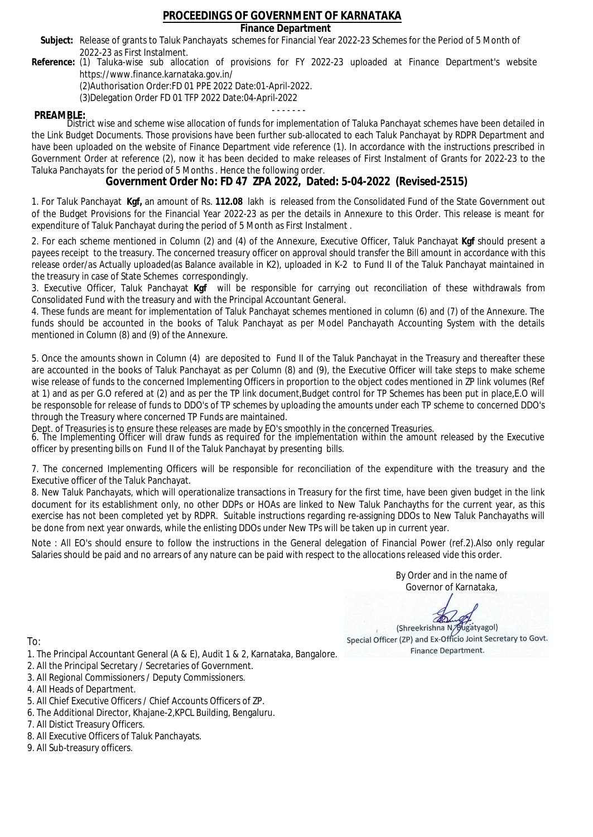### **Finance Department**

- Subject: Release of grants to Taluk Panchayats schemes for Financial Year 2022-23 Schemes for the Period of 5 Month of 2022-23 as First Instalment.
- **Reference:** (1) Taluka-wise sub allocation of provisions for FY 2022-23 uploaded at Finance Department's website https://www.finance.karnataka.gov.in/

(2)Authorisation Order:FD 01 PPE 2022 Date:01-April-2022.

(3)Delegation Order FD 01 TFP 2022 Date:04-April-2022

- - - - - - - **PREAMBLE:** District wise and scheme wise allocation of funds for implementation of Taluka Panchayat schemes have been detailed in the Link Budget Documents. Those provisions have been further sub-allocated to each Taluk Panchayat by RDPR Department and have been uploaded on the website of Finance Department vide reference (1). In accordance with the instructions prescribed in Government Order at reference (2), now it has been decided to make releases of First Instalment of Grants for 2022-23 to the Taluka Panchayats for the period of 5 Months . Hence the following order.

**Government Order No: FD 47 ZPA 2022, Dated: 5-04-2022 (Revised-2515)**

1. For Taluk Panchayat **Kgf,** an amount of Rs. **112.08** lakh is released from the Consolidated Fund of the State Government out of the Budget Provisions for the Financial Year 2022-23 as per the details in Annexure to this Order. This release is meant for expenditure of Taluk Panchayat during the period of 5 Month as First Instalment .

2. For each scheme mentioned in Column (2) and (4) of the Annexure, Executive Officer, Taluk Panchayat **Kgf** should present a payees receipt to the treasury. The concerned treasury officer on approval should transfer the Bill amount in accordance with this release order/as Actually uploaded(as Balance available in K2), uploaded in K-2 to Fund II of the Taluk Panchayat maintained in the treasury in case of State Schemes correspondingly.

3. Executive Officer, Taluk Panchayat **Kgf** will be responsible for carrying out reconciliation of these withdrawals from Consolidated Fund with the treasury and with the Principal Accountant General.

4. These funds are meant for implementation of Taluk Panchayat schemes mentioned in column (6) and (7) of the Annexure. The funds should be accounted in the books of Taluk Panchayat as per Model Panchayath Accounting System with the details mentioned in Column (8) and (9) of the Annexure.

5. Once the amounts shown in Column (4) are deposited to Fund II of the Taluk Panchayat in the Treasury and thereafter these are accounted in the books of Taluk Panchayat as per Column (8) and (9), the Executive Officer will take steps to make scheme wise release of funds to the concerned Implementing Officers in proportion to the object codes mentioned in ZP link volumes (Ref at 1) and as per G.O refered at (2) and as per the TP link document,Budget control for TP Schemes has been put in place,E.O will be responsoble for release of funds to DDO's of TP schemes by uploading the amounts under each TP scheme to concerned DDO's through the Treasury where concerned TP Funds are maintained.

Dept. of Treasuries is to ensure these releases are made by EO's smoothly in the concerned Treasuries.

6. The Implementing Officer will draw funds as required for the implementation within the amount released by the Executive officer by presenting bills on Fund II of the Taluk Panchayat by presenting bills.

7. The concerned Implementing Officers will be responsible for reconciliation of the expenditure with the treasury and the Executive officer of the Taluk Panchayat.

8. New Taluk Panchayats, which will operationalize transactions in Treasury for the first time, have been given budget in the link document for its establishment only, no other DDPs or HOAs are linked to New Taluk Panchayths for the current year, as this exercise has not been completed yet by RDPR. Suitable instructions regarding re-assigning DDOs to New Taluk Panchayaths will be done from next year onwards, while the enlisting DDOs under New TPs will be taken up in current year.

Note : All EO's should ensure to follow the instructions in the General delegation of Financial Power (ref.2).Also only regular Salaries should be paid and no arrears of any nature can be paid with respect to the allocations released vide this order.

> By Order and in the name of Governor of Karnataka,

**PD** 

(Shreekrishna N/Bugatyagol) Special Officer (ZP) and Ex-Officio Joint Secretary to Govt. Finance Department.

- 1. The Principal Accountant General (A & E), Audit 1 & 2, Karnataka, Bangalore.
- 2. All the Principal Secretary / Secretaries of Government.
- 3. All Regional Commissioners / Deputy Commissioners.
- 4. All Heads of Department.
- 5. All Chief Executive Officers / Chief Accounts Officers of ZP.
- 6. The Additional Director, Khajane-2,KPCL Building, Bengaluru.
- 7. All Distict Treasury Officers.
- 8. All Executive Officers of Taluk Panchayats.
- 9. All Sub-treasury officers.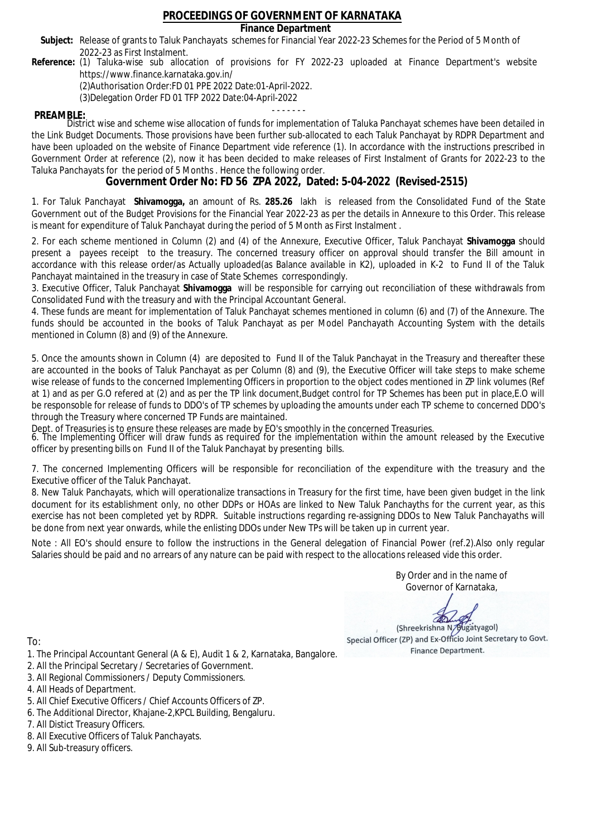### **Finance Department**

- Subject: Release of grants to Taluk Panchayats schemes for Financial Year 2022-23 Schemes for the Period of 5 Month of 2022-23 as First Instalment.
- **Reference:** (1) Taluka-wise sub allocation of provisions for FY 2022-23 uploaded at Finance Department's website https://www.finance.karnataka.gov.in/

(2)Authorisation Order:FD 01 PPE 2022 Date:01-April-2022.

(3)Delegation Order FD 01 TFP 2022 Date:04-April-2022

- - - - - - - **PREAMBLE:** District wise and scheme wise allocation of funds for implementation of Taluka Panchayat schemes have been detailed in the Link Budget Documents. Those provisions have been further sub-allocated to each Taluk Panchayat by RDPR Department and have been uploaded on the website of Finance Department vide reference (1). In accordance with the instructions prescribed in Government Order at reference (2), now it has been decided to make releases of First Instalment of Grants for 2022-23 to the Taluka Panchayats for the period of 5 Months . Hence the following order.

**Government Order No: FD 56 ZPA 2022, Dated: 5-04-2022 (Revised-2515)**

1. For Taluk Panchayat **Shivamogga,** an amount of Rs. **285.26** lakh is released from the Consolidated Fund of the State Government out of the Budget Provisions for the Financial Year 2022-23 as per the details in Annexure to this Order. This release is meant for expenditure of Taluk Panchayat during the period of 5 Month as First Instalment .

2. For each scheme mentioned in Column (2) and (4) of the Annexure, Executive Officer, Taluk Panchayat **Shivamogga** should present a payees receipt to the treasury. The concerned treasury officer on approval should transfer the Bill amount in accordance with this release order/as Actually uploaded(as Balance available in K2), uploaded in K-2 to Fund II of the Taluk Panchayat maintained in the treasury in case of State Schemes correspondingly.

3. Executive Officer, Taluk Panchayat **Shivamogga** will be responsible for carrying out reconciliation of these withdrawals from Consolidated Fund with the treasury and with the Principal Accountant General.

4. These funds are meant for implementation of Taluk Panchayat schemes mentioned in column (6) and (7) of the Annexure. The funds should be accounted in the books of Taluk Panchayat as per Model Panchayath Accounting System with the details mentioned in Column (8) and (9) of the Annexure.

5. Once the amounts shown in Column (4) are deposited to Fund II of the Taluk Panchayat in the Treasury and thereafter these are accounted in the books of Taluk Panchayat as per Column (8) and (9), the Executive Officer will take steps to make scheme wise release of funds to the concerned Implementing Officers in proportion to the object codes mentioned in ZP link volumes (Ref at 1) and as per G.O refered at (2) and as per the TP link document,Budget control for TP Schemes has been put in place,E.O will be responsoble for release of funds to DDO's of TP schemes by uploading the amounts under each TP scheme to concerned DDO's through the Treasury where concerned TP Funds are maintained.

Dept. of Treasuries is to ensure these releases are made by EO's smoothly in the concerned Treasuries.

6. The Implementing Officer will draw funds as required for the implementation within the amount released by the Executive officer by presenting bills on Fund II of the Taluk Panchayat by presenting bills.

7. The concerned Implementing Officers will be responsible for reconciliation of the expenditure with the treasury and the Executive officer of the Taluk Panchayat.

8. New Taluk Panchayats, which will operationalize transactions in Treasury for the first time, have been given budget in the link document for its establishment only, no other DDPs or HOAs are linked to New Taluk Panchayths for the current year, as this exercise has not been completed yet by RDPR. Suitable instructions regarding re-assigning DDOs to New Taluk Panchayaths will be done from next year onwards, while the enlisting DDOs under New TPs will be taken up in current year.

Note : All EO's should ensure to follow the instructions in the General delegation of Financial Power (ref.2).Also only regular Salaries should be paid and no arrears of any nature can be paid with respect to the allocations released vide this order.

> By Order and in the name of Governor of Karnataka,

**PD** 

(Shreekrishna N/Bugatyagol) Special Officer (ZP) and Ex-Officio Joint Secretary to Govt. Finance Department.

- 1. The Principal Accountant General (A & E), Audit 1 & 2, Karnataka, Bangalore.
- 2. All the Principal Secretary / Secretaries of Government.
- 3. All Regional Commissioners / Deputy Commissioners.
- 4. All Heads of Department.
- 5. All Chief Executive Officers / Chief Accounts Officers of ZP.
- 6. The Additional Director, Khajane-2,KPCL Building, Bengaluru.
- 7. All Distict Treasury Officers.
- 8. All Executive Officers of Taluk Panchayats.
- 9. All Sub-treasury officers.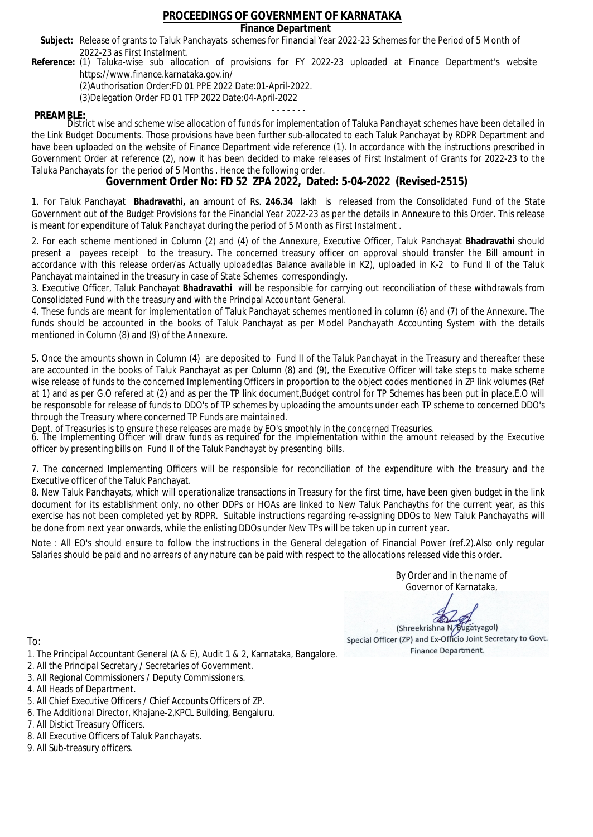### **Finance Department**

- Subject: Release of grants to Taluk Panchayats schemes for Financial Year 2022-23 Schemes for the Period of 5 Month of 2022-23 as First Instalment.
- **Reference:** (1) Taluka-wise sub allocation of provisions for FY 2022-23 uploaded at Finance Department's website https://www.finance.karnataka.gov.in/

(2)Authorisation Order:FD 01 PPE 2022 Date:01-April-2022.

(3)Delegation Order FD 01 TFP 2022 Date:04-April-2022

- - - - - - - **PREAMBLE:** District wise and scheme wise allocation of funds for implementation of Taluka Panchayat schemes have been detailed in the Link Budget Documents. Those provisions have been further sub-allocated to each Taluk Panchayat by RDPR Department and have been uploaded on the website of Finance Department vide reference (1). In accordance with the instructions prescribed in Government Order at reference (2), now it has been decided to make releases of First Instalment of Grants for 2022-23 to the Taluka Panchayats for the period of 5 Months . Hence the following order.

**Government Order No: FD 52 ZPA 2022, Dated: 5-04-2022 (Revised-2515)**

1. For Taluk Panchayat **Bhadravathi,** an amount of Rs. **246.34** lakh is released from the Consolidated Fund of the State Government out of the Budget Provisions for the Financial Year 2022-23 as per the details in Annexure to this Order. This release is meant for expenditure of Taluk Panchayat during the period of 5 Month as First Instalment .

2. For each scheme mentioned in Column (2) and (4) of the Annexure, Executive Officer, Taluk Panchayat **Bhadravathi** should present a payees receipt to the treasury. The concerned treasury officer on approval should transfer the Bill amount in accordance with this release order/as Actually uploaded(as Balance available in K2), uploaded in K-2 to Fund II of the Taluk Panchayat maintained in the treasury in case of State Schemes correspondingly.

3. Executive Officer, Taluk Panchayat **Bhadravathi** will be responsible for carrying out reconciliation of these withdrawals from Consolidated Fund with the treasury and with the Principal Accountant General.

4. These funds are meant for implementation of Taluk Panchayat schemes mentioned in column (6) and (7) of the Annexure. The funds should be accounted in the books of Taluk Panchayat as per Model Panchayath Accounting System with the details mentioned in Column (8) and (9) of the Annexure.

5. Once the amounts shown in Column (4) are deposited to Fund II of the Taluk Panchayat in the Treasury and thereafter these are accounted in the books of Taluk Panchayat as per Column (8) and (9), the Executive Officer will take steps to make scheme wise release of funds to the concerned Implementing Officers in proportion to the object codes mentioned in ZP link volumes (Ref at 1) and as per G.O refered at (2) and as per the TP link document,Budget control for TP Schemes has been put in place,E.O will be responsoble for release of funds to DDO's of TP schemes by uploading the amounts under each TP scheme to concerned DDO's through the Treasury where concerned TP Funds are maintained.

Dept. of Treasuries is to ensure these releases are made by EO's smoothly in the concerned Treasuries.

6. The Implementing Officer will draw funds as required for the implementation within the amount released by the Executive officer by presenting bills on Fund II of the Taluk Panchayat by presenting bills.

7. The concerned Implementing Officers will be responsible for reconciliation of the expenditure with the treasury and the Executive officer of the Taluk Panchayat.

8. New Taluk Panchayats, which will operationalize transactions in Treasury for the first time, have been given budget in the link document for its establishment only, no other DDPs or HOAs are linked to New Taluk Panchayths for the current year, as this exercise has not been completed yet by RDPR. Suitable instructions regarding re-assigning DDOs to New Taluk Panchayaths will be done from next year onwards, while the enlisting DDOs under New TPs will be taken up in current year.

Note : All EO's should ensure to follow the instructions in the General delegation of Financial Power (ref.2).Also only regular Salaries should be paid and no arrears of any nature can be paid with respect to the allocations released vide this order.

> By Order and in the name of Governor of Karnataka,

**PD** 

(Shreekrishna N/Bugatyagol) Special Officer (ZP) and Ex-Officio Joint Secretary to Govt. Finance Department.

- 1. The Principal Accountant General (A & E), Audit 1 & 2, Karnataka, Bangalore.
- 2. All the Principal Secretary / Secretaries of Government.
- 3. All Regional Commissioners / Deputy Commissioners.
- 4. All Heads of Department.
- 5. All Chief Executive Officers / Chief Accounts Officers of ZP.
- 6. The Additional Director, Khajane-2,KPCL Building, Bengaluru.
- 7. All Distict Treasury Officers.
- 8. All Executive Officers of Taluk Panchayats.
- 9. All Sub-treasury officers.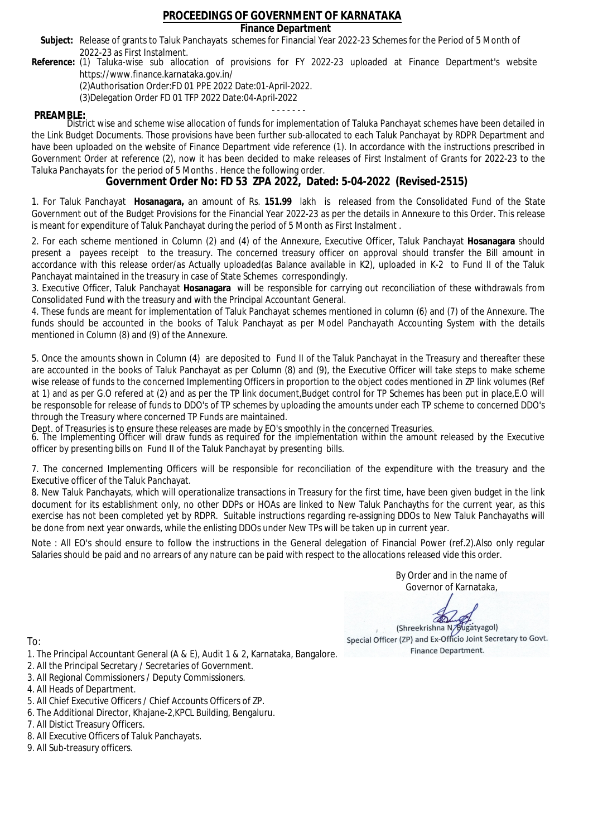### **Finance Department**

- Subject: Release of grants to Taluk Panchayats schemes for Financial Year 2022-23 Schemes for the Period of 5 Month of 2022-23 as First Instalment.
- **Reference:** (1) Taluka-wise sub allocation of provisions for FY 2022-23 uploaded at Finance Department's website https://www.finance.karnataka.gov.in/

(2)Authorisation Order:FD 01 PPE 2022 Date:01-April-2022.

(3)Delegation Order FD 01 TFP 2022 Date:04-April-2022

- - - - - - - **PREAMBLE:** District wise and scheme wise allocation of funds for implementation of Taluka Panchayat schemes have been detailed in the Link Budget Documents. Those provisions have been further sub-allocated to each Taluk Panchayat by RDPR Department and have been uploaded on the website of Finance Department vide reference (1). In accordance with the instructions prescribed in Government Order at reference (2), now it has been decided to make releases of First Instalment of Grants for 2022-23 to the Taluka Panchayats for the period of 5 Months . Hence the following order.

**Government Order No: FD 53 ZPA 2022, Dated: 5-04-2022 (Revised-2515)**

1. For Taluk Panchayat **Hosanagara,** an amount of Rs. **151.99** lakh is released from the Consolidated Fund of the State Government out of the Budget Provisions for the Financial Year 2022-23 as per the details in Annexure to this Order. This release is meant for expenditure of Taluk Panchayat during the period of 5 Month as First Instalment .

2. For each scheme mentioned in Column (2) and (4) of the Annexure, Executive Officer, Taluk Panchayat **Hosanagara** should present a payees receipt to the treasury. The concerned treasury officer on approval should transfer the Bill amount in accordance with this release order/as Actually uploaded(as Balance available in K2), uploaded in K-2 to Fund II of the Taluk Panchayat maintained in the treasury in case of State Schemes correspondingly.

3. Executive Officer, Taluk Panchayat **Hosanagara** will be responsible for carrying out reconciliation of these withdrawals from Consolidated Fund with the treasury and with the Principal Accountant General.

4. These funds are meant for implementation of Taluk Panchayat schemes mentioned in column (6) and (7) of the Annexure. The funds should be accounted in the books of Taluk Panchayat as per Model Panchayath Accounting System with the details mentioned in Column (8) and (9) of the Annexure.

5. Once the amounts shown in Column (4) are deposited to Fund II of the Taluk Panchayat in the Treasury and thereafter these are accounted in the books of Taluk Panchayat as per Column (8) and (9), the Executive Officer will take steps to make scheme wise release of funds to the concerned Implementing Officers in proportion to the object codes mentioned in ZP link volumes (Ref at 1) and as per G.O refered at (2) and as per the TP link document,Budget control for TP Schemes has been put in place,E.O will be responsoble for release of funds to DDO's of TP schemes by uploading the amounts under each TP scheme to concerned DDO's through the Treasury where concerned TP Funds are maintained.

Dept. of Treasuries is to ensure these releases are made by EO's smoothly in the concerned Treasuries.

6. The Implementing Officer will draw funds as required for the implementation within the amount released by the Executive officer by presenting bills on Fund II of the Taluk Panchayat by presenting bills.

7. The concerned Implementing Officers will be responsible for reconciliation of the expenditure with the treasury and the Executive officer of the Taluk Panchayat.

8. New Taluk Panchayats, which will operationalize transactions in Treasury for the first time, have been given budget in the link document for its establishment only, no other DDPs or HOAs are linked to New Taluk Panchayths for the current year, as this exercise has not been completed yet by RDPR. Suitable instructions regarding re-assigning DDOs to New Taluk Panchayaths will be done from next year onwards, while the enlisting DDOs under New TPs will be taken up in current year.

Note : All EO's should ensure to follow the instructions in the General delegation of Financial Power (ref.2).Also only regular Salaries should be paid and no arrears of any nature can be paid with respect to the allocations released vide this order.

> By Order and in the name of Governor of Karnataka,

**PD** 

(Shreekrishna N/Bugatyagol) Special Officer (ZP) and Ex-Officio Joint Secretary to Govt. Finance Department.

- 1. The Principal Accountant General (A & E), Audit 1 & 2, Karnataka, Bangalore.
- 2. All the Principal Secretary / Secretaries of Government.
- 3. All Regional Commissioners / Deputy Commissioners.
- 4. All Heads of Department.
- 5. All Chief Executive Officers / Chief Accounts Officers of ZP.
- 6. The Additional Director, Khajane-2,KPCL Building, Bengaluru.
- 7. All Distict Treasury Officers.
- 8. All Executive Officers of Taluk Panchayats.
- 9. All Sub-treasury officers.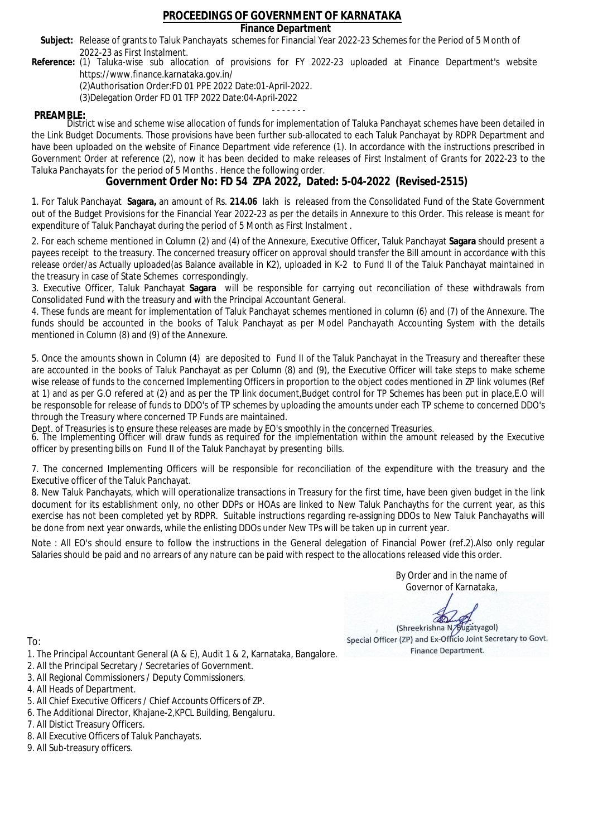### **Finance Department**

- Subject: Release of grants to Taluk Panchayats schemes for Financial Year 2022-23 Schemes for the Period of 5 Month of 2022-23 as First Instalment.
- **Reference:** (1) Taluka-wise sub allocation of provisions for FY 2022-23 uploaded at Finance Department's website https://www.finance.karnataka.gov.in/

(2)Authorisation Order:FD 01 PPE 2022 Date:01-April-2022.

(3)Delegation Order FD 01 TFP 2022 Date:04-April-2022

- - - - - - - **PREAMBLE:** District wise and scheme wise allocation of funds for implementation of Taluka Panchayat schemes have been detailed in the Link Budget Documents. Those provisions have been further sub-allocated to each Taluk Panchayat by RDPR Department and have been uploaded on the website of Finance Department vide reference (1). In accordance with the instructions prescribed in Government Order at reference (2), now it has been decided to make releases of First Instalment of Grants for 2022-23 to the Taluka Panchayats for the period of 5 Months . Hence the following order.

**Government Order No: FD 54 ZPA 2022, Dated: 5-04-2022 (Revised-2515)**

1. For Taluk Panchayat **Sagara,** an amount of Rs. **214.06** lakh is released from the Consolidated Fund of the State Government out of the Budget Provisions for the Financial Year 2022-23 as per the details in Annexure to this Order. This release is meant for expenditure of Taluk Panchayat during the period of 5 Month as First Instalment .

2. For each scheme mentioned in Column (2) and (4) of the Annexure, Executive Officer, Taluk Panchayat **Sagara** should present a payees receipt to the treasury. The concerned treasury officer on approval should transfer the Bill amount in accordance with this release order/as Actually uploaded(as Balance available in K2), uploaded in K-2 to Fund II of the Taluk Panchayat maintained in the treasury in case of State Schemes correspondingly.

3. Executive Officer, Taluk Panchayat **Sagara** will be responsible for carrying out reconciliation of these withdrawals from Consolidated Fund with the treasury and with the Principal Accountant General.

4. These funds are meant for implementation of Taluk Panchayat schemes mentioned in column (6) and (7) of the Annexure. The funds should be accounted in the books of Taluk Panchayat as per Model Panchayath Accounting System with the details mentioned in Column (8) and (9) of the Annexure.

5. Once the amounts shown in Column (4) are deposited to Fund II of the Taluk Panchayat in the Treasury and thereafter these are accounted in the books of Taluk Panchayat as per Column (8) and (9), the Executive Officer will take steps to make scheme wise release of funds to the concerned Implementing Officers in proportion to the object codes mentioned in ZP link volumes (Ref at 1) and as per G.O refered at (2) and as per the TP link document,Budget control for TP Schemes has been put in place,E.O will be responsoble for release of funds to DDO's of TP schemes by uploading the amounts under each TP scheme to concerned DDO's through the Treasury where concerned TP Funds are maintained.

Dept. of Treasuries is to ensure these releases are made by EO's smoothly in the concerned Treasuries.

6. The Implementing Officer will draw funds as required for the implementation within the amount released by the Executive officer by presenting bills on Fund II of the Taluk Panchayat by presenting bills.

7. The concerned Implementing Officers will be responsible for reconciliation of the expenditure with the treasury and the Executive officer of the Taluk Panchayat.

8. New Taluk Panchayats, which will operationalize transactions in Treasury for the first time, have been given budget in the link document for its establishment only, no other DDPs or HOAs are linked to New Taluk Panchayths for the current year, as this exercise has not been completed yet by RDPR. Suitable instructions regarding re-assigning DDOs to New Taluk Panchayaths will be done from next year onwards, while the enlisting DDOs under New TPs will be taken up in current year.

Note : All EO's should ensure to follow the instructions in the General delegation of Financial Power (ref.2).Also only regular Salaries should be paid and no arrears of any nature can be paid with respect to the allocations released vide this order.

> By Order and in the name of Governor of Karnataka,

**PD** 

(Shreekrishna N/Bugatyagol) Special Officer (ZP) and Ex-Officio Joint Secretary to Govt. Finance Department.

- 1. The Principal Accountant General (A & E), Audit 1 & 2, Karnataka, Bangalore.
- 2. All the Principal Secretary / Secretaries of Government.
- 3. All Regional Commissioners / Deputy Commissioners.
- 4. All Heads of Department.
- 5. All Chief Executive Officers / Chief Accounts Officers of ZP.
- 6. The Additional Director, Khajane-2,KPCL Building, Bengaluru.
- 7. All Distict Treasury Officers.
- 8. All Executive Officers of Taluk Panchayats.
- 9. All Sub-treasury officers.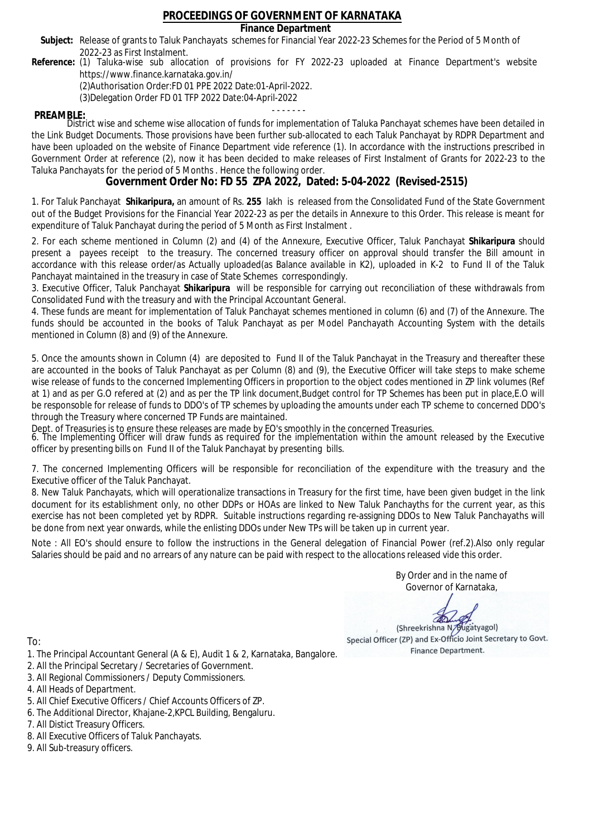### **Finance Department**

- Subject: Release of grants to Taluk Panchayats schemes for Financial Year 2022-23 Schemes for the Period of 5 Month of 2022-23 as First Instalment.
- **Reference:** (1) Taluka-wise sub allocation of provisions for FY 2022-23 uploaded at Finance Department's website https://www.finance.karnataka.gov.in/

(2)Authorisation Order:FD 01 PPE 2022 Date:01-April-2022.

(3)Delegation Order FD 01 TFP 2022 Date:04-April-2022

- - - - - - - **PREAMBLE:** District wise and scheme wise allocation of funds for implementation of Taluka Panchayat schemes have been detailed in the Link Budget Documents. Those provisions have been further sub-allocated to each Taluk Panchayat by RDPR Department and have been uploaded on the website of Finance Department vide reference (1). In accordance with the instructions prescribed in Government Order at reference (2), now it has been decided to make releases of First Instalment of Grants for 2022-23 to the Taluka Panchayats for the period of 5 Months . Hence the following order.

**Government Order No: FD 55 ZPA 2022, Dated: 5-04-2022 (Revised-2515)**

1. For Taluk Panchayat **Shikaripura,** an amount of Rs. **255** lakh is released from the Consolidated Fund of the State Government out of the Budget Provisions for the Financial Year 2022-23 as per the details in Annexure to this Order. This release is meant for expenditure of Taluk Panchayat during the period of 5 Month as First Instalment .

2. For each scheme mentioned in Column (2) and (4) of the Annexure, Executive Officer, Taluk Panchayat **Shikaripura** should present a payees receipt to the treasury. The concerned treasury officer on approval should transfer the Bill amount in accordance with this release order/as Actually uploaded(as Balance available in K2), uploaded in K-2 to Fund II of the Taluk Panchayat maintained in the treasury in case of State Schemes correspondingly.

3. Executive Officer, Taluk Panchayat **Shikaripura** will be responsible for carrying out reconciliation of these withdrawals from Consolidated Fund with the treasury and with the Principal Accountant General.

4. These funds are meant for implementation of Taluk Panchayat schemes mentioned in column (6) and (7) of the Annexure. The funds should be accounted in the books of Taluk Panchayat as per Model Panchayath Accounting System with the details mentioned in Column (8) and (9) of the Annexure.

5. Once the amounts shown in Column (4) are deposited to Fund II of the Taluk Panchayat in the Treasury and thereafter these are accounted in the books of Taluk Panchayat as per Column (8) and (9), the Executive Officer will take steps to make scheme wise release of funds to the concerned Implementing Officers in proportion to the object codes mentioned in ZP link volumes (Ref at 1) and as per G.O refered at (2) and as per the TP link document,Budget control for TP Schemes has been put in place,E.O will be responsoble for release of funds to DDO's of TP schemes by uploading the amounts under each TP scheme to concerned DDO's through the Treasury where concerned TP Funds are maintained.

Dept. of Treasuries is to ensure these releases are made by EO's smoothly in the concerned Treasuries.

6. The Implementing Officer will draw funds as required for the implementation within the amount released by the Executive officer by presenting bills on Fund II of the Taluk Panchayat by presenting bills.

7. The concerned Implementing Officers will be responsible for reconciliation of the expenditure with the treasury and the Executive officer of the Taluk Panchayat.

8. New Taluk Panchayats, which will operationalize transactions in Treasury for the first time, have been given budget in the link document for its establishment only, no other DDPs or HOAs are linked to New Taluk Panchayths for the current year, as this exercise has not been completed yet by RDPR. Suitable instructions regarding re-assigning DDOs to New Taluk Panchayaths will be done from next year onwards, while the enlisting DDOs under New TPs will be taken up in current year.

Note : All EO's should ensure to follow the instructions in the General delegation of Financial Power (ref.2).Also only regular Salaries should be paid and no arrears of any nature can be paid with respect to the allocations released vide this order.

> By Order and in the name of Governor of Karnataka,

**PD** 

(Shreekrishna N/Bugatyagol) Special Officer (ZP) and Ex-Officio Joint Secretary to Govt. Finance Department.

- 1. The Principal Accountant General (A & E), Audit 1 & 2, Karnataka, Bangalore.
- 2. All the Principal Secretary / Secretaries of Government.
- 3. All Regional Commissioners / Deputy Commissioners.
- 4. All Heads of Department.
- 5. All Chief Executive Officers / Chief Accounts Officers of ZP.
- 6. The Additional Director, Khajane-2,KPCL Building, Bengaluru.
- 7. All Distict Treasury Officers.
- 8. All Executive Officers of Taluk Panchayats.
- 9. All Sub-treasury officers.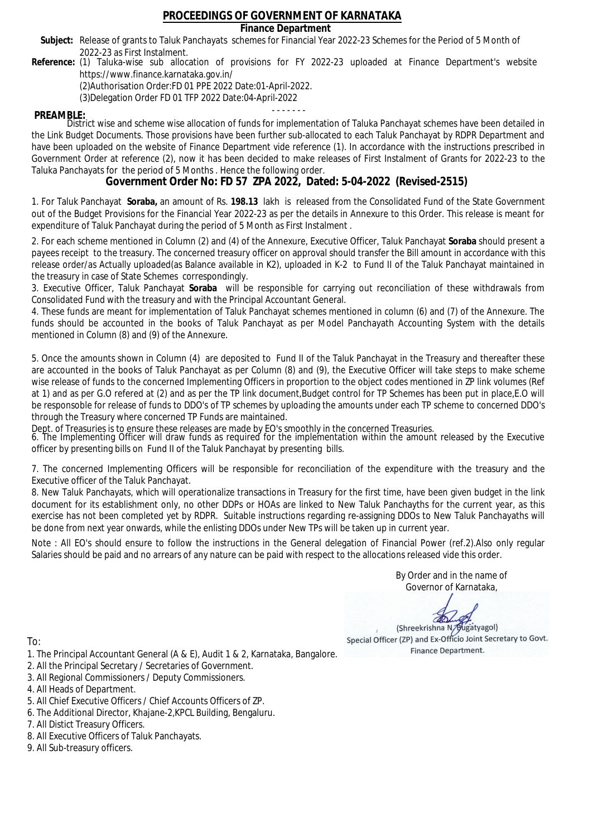### **Finance Department**

- Subject: Release of grants to Taluk Panchayats schemes for Financial Year 2022-23 Schemes for the Period of 5 Month of 2022-23 as First Instalment.
- **Reference:** (1) Taluka-wise sub allocation of provisions for FY 2022-23 uploaded at Finance Department's website https://www.finance.karnataka.gov.in/

(2)Authorisation Order:FD 01 PPE 2022 Date:01-April-2022.

(3)Delegation Order FD 01 TFP 2022 Date:04-April-2022

- - - - - - - **PREAMBLE:** District wise and scheme wise allocation of funds for implementation of Taluka Panchayat schemes have been detailed in the Link Budget Documents. Those provisions have been further sub-allocated to each Taluk Panchayat by RDPR Department and have been uploaded on the website of Finance Department vide reference (1). In accordance with the instructions prescribed in Government Order at reference (2), now it has been decided to make releases of First Instalment of Grants for 2022-23 to the Taluka Panchayats for the period of 5 Months . Hence the following order.

**Government Order No: FD 57 ZPA 2022, Dated: 5-04-2022 (Revised-2515)**

1. For Taluk Panchayat **Soraba,** an amount of Rs. **198.13** lakh is released from the Consolidated Fund of the State Government out of the Budget Provisions for the Financial Year 2022-23 as per the details in Annexure to this Order. This release is meant for expenditure of Taluk Panchayat during the period of 5 Month as First Instalment .

2. For each scheme mentioned in Column (2) and (4) of the Annexure, Executive Officer, Taluk Panchayat **Soraba** should present a payees receipt to the treasury. The concerned treasury officer on approval should transfer the Bill amount in accordance with this release order/as Actually uploaded(as Balance available in K2), uploaded in K-2 to Fund II of the Taluk Panchayat maintained in the treasury in case of State Schemes correspondingly.

3. Executive Officer, Taluk Panchayat **Soraba** will be responsible for carrying out reconciliation of these withdrawals from Consolidated Fund with the treasury and with the Principal Accountant General.

4. These funds are meant for implementation of Taluk Panchayat schemes mentioned in column (6) and (7) of the Annexure. The funds should be accounted in the books of Taluk Panchayat as per Model Panchayath Accounting System with the details mentioned in Column (8) and (9) of the Annexure.

5. Once the amounts shown in Column (4) are deposited to Fund II of the Taluk Panchayat in the Treasury and thereafter these are accounted in the books of Taluk Panchayat as per Column (8) and (9), the Executive Officer will take steps to make scheme wise release of funds to the concerned Implementing Officers in proportion to the object codes mentioned in ZP link volumes (Ref at 1) and as per G.O refered at (2) and as per the TP link document,Budget control for TP Schemes has been put in place,E.O will be responsoble for release of funds to DDO's of TP schemes by uploading the amounts under each TP scheme to concerned DDO's through the Treasury where concerned TP Funds are maintained.

Dept. of Treasuries is to ensure these releases are made by EO's smoothly in the concerned Treasuries.

6. The Implementing Officer will draw funds as required for the implementation within the amount released by the Executive officer by presenting bills on Fund II of the Taluk Panchayat by presenting bills.

7. The concerned Implementing Officers will be responsible for reconciliation of the expenditure with the treasury and the Executive officer of the Taluk Panchayat.

8. New Taluk Panchayats, which will operationalize transactions in Treasury for the first time, have been given budget in the link document for its establishment only, no other DDPs or HOAs are linked to New Taluk Panchayths for the current year, as this exercise has not been completed yet by RDPR. Suitable instructions regarding re-assigning DDOs to New Taluk Panchayaths will be done from next year onwards, while the enlisting DDOs under New TPs will be taken up in current year.

Note : All EO's should ensure to follow the instructions in the General delegation of Financial Power (ref.2).Also only regular Salaries should be paid and no arrears of any nature can be paid with respect to the allocations released vide this order.

> By Order and in the name of Governor of Karnataka,

**PD** 

(Shreekrishna N/Bugatyagol) Special Officer (ZP) and Ex-Officio Joint Secretary to Govt. Finance Department.

- 1. The Principal Accountant General (A & E), Audit 1 & 2, Karnataka, Bangalore.
- 2. All the Principal Secretary / Secretaries of Government.
- 3. All Regional Commissioners / Deputy Commissioners.
- 4. All Heads of Department.
- 5. All Chief Executive Officers / Chief Accounts Officers of ZP.
- 6. The Additional Director, Khajane-2,KPCL Building, Bengaluru.
- 7. All Distict Treasury Officers.
- 8. All Executive Officers of Taluk Panchayats.
- 9. All Sub-treasury officers.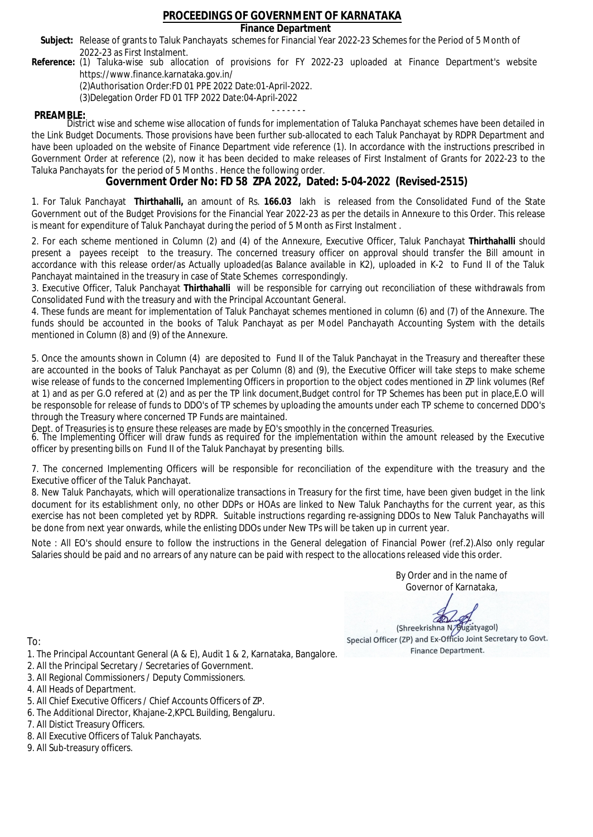### **Finance Department**

- Subject: Release of grants to Taluk Panchayats schemes for Financial Year 2022-23 Schemes for the Period of 5 Month of 2022-23 as First Instalment.
- **Reference:** (1) Taluka-wise sub allocation of provisions for FY 2022-23 uploaded at Finance Department's website https://www.finance.karnataka.gov.in/

(2)Authorisation Order:FD 01 PPE 2022 Date:01-April-2022.

(3)Delegation Order FD 01 TFP 2022 Date:04-April-2022

- - - - - - - **PREAMBLE:** District wise and scheme wise allocation of funds for implementation of Taluka Panchayat schemes have been detailed in the Link Budget Documents. Those provisions have been further sub-allocated to each Taluk Panchayat by RDPR Department and have been uploaded on the website of Finance Department vide reference (1). In accordance with the instructions prescribed in Government Order at reference (2), now it has been decided to make releases of First Instalment of Grants for 2022-23 to the Taluka Panchayats for the period of 5 Months . Hence the following order.

**Government Order No: FD 58 ZPA 2022, Dated: 5-04-2022 (Revised-2515)**

1. For Taluk Panchayat **Thirthahalli,** an amount of Rs. **166.03** lakh is released from the Consolidated Fund of the State Government out of the Budget Provisions for the Financial Year 2022-23 as per the details in Annexure to this Order. This release is meant for expenditure of Taluk Panchayat during the period of 5 Month as First Instalment .

2. For each scheme mentioned in Column (2) and (4) of the Annexure, Executive Officer, Taluk Panchayat **Thirthahalli** should present a payees receipt to the treasury. The concerned treasury officer on approval should transfer the Bill amount in accordance with this release order/as Actually uploaded(as Balance available in K2), uploaded in K-2 to Fund II of the Taluk Panchayat maintained in the treasury in case of State Schemes correspondingly.

3. Executive Officer, Taluk Panchayat **Thirthahalli** will be responsible for carrying out reconciliation of these withdrawals from Consolidated Fund with the treasury and with the Principal Accountant General.

4. These funds are meant for implementation of Taluk Panchayat schemes mentioned in column (6) and (7) of the Annexure. The funds should be accounted in the books of Taluk Panchayat as per Model Panchayath Accounting System with the details mentioned in Column (8) and (9) of the Annexure.

5. Once the amounts shown in Column (4) are deposited to Fund II of the Taluk Panchayat in the Treasury and thereafter these are accounted in the books of Taluk Panchayat as per Column (8) and (9), the Executive Officer will take steps to make scheme wise release of funds to the concerned Implementing Officers in proportion to the object codes mentioned in ZP link volumes (Ref at 1) and as per G.O refered at (2) and as per the TP link document,Budget control for TP Schemes has been put in place,E.O will be responsoble for release of funds to DDO's of TP schemes by uploading the amounts under each TP scheme to concerned DDO's through the Treasury where concerned TP Funds are maintained.

Dept. of Treasuries is to ensure these releases are made by EO's smoothly in the concerned Treasuries.

6. The Implementing Officer will draw funds as required for the implementation within the amount released by the Executive officer by presenting bills on Fund II of the Taluk Panchayat by presenting bills.

7. The concerned Implementing Officers will be responsible for reconciliation of the expenditure with the treasury and the Executive officer of the Taluk Panchayat.

8. New Taluk Panchayats, which will operationalize transactions in Treasury for the first time, have been given budget in the link document for its establishment only, no other DDPs or HOAs are linked to New Taluk Panchayths for the current year, as this exercise has not been completed yet by RDPR. Suitable instructions regarding re-assigning DDOs to New Taluk Panchayaths will be done from next year onwards, while the enlisting DDOs under New TPs will be taken up in current year.

Note : All EO's should ensure to follow the instructions in the General delegation of Financial Power (ref.2).Also only regular Salaries should be paid and no arrears of any nature can be paid with respect to the allocations released vide this order.

> By Order and in the name of Governor of Karnataka,

**PD** 

(Shreekrishna N/Bugatyagol) Special Officer (ZP) and Ex-Officio Joint Secretary to Govt. Finance Department.

- 1. The Principal Accountant General (A & E), Audit 1 & 2, Karnataka, Bangalore.
- 2. All the Principal Secretary / Secretaries of Government.
- 3. All Regional Commissioners / Deputy Commissioners.
- 4. All Heads of Department.
- 5. All Chief Executive Officers / Chief Accounts Officers of ZP.
- 6. The Additional Director, Khajane-2,KPCL Building, Bengaluru.
- 7. All Distict Treasury Officers.
- 8. All Executive Officers of Taluk Panchayats.
- 9. All Sub-treasury officers.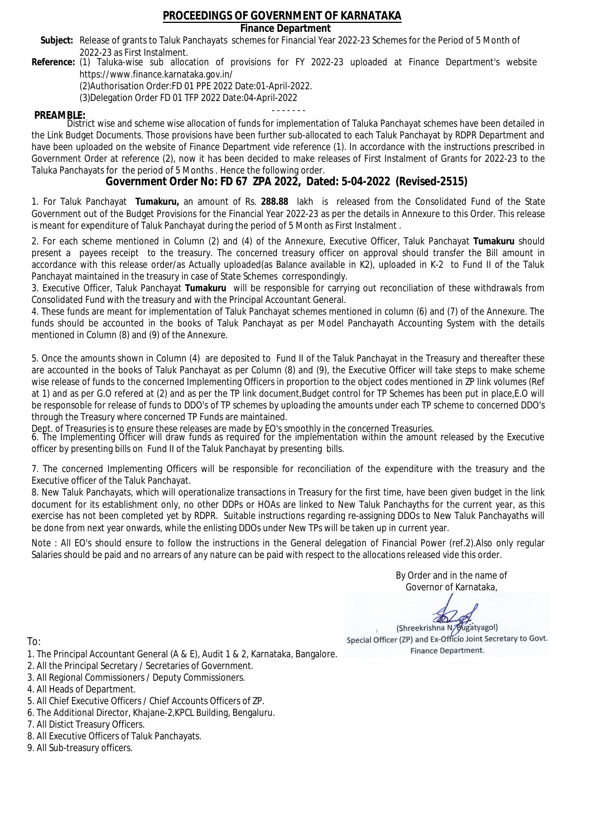### **Finance Department**

- Subject: Release of grants to Taluk Panchayats schemes for Financial Year 2022-23 Schemes for the Period of 5 Month of 2022-23 as First Instalment.
- **Reference:** (1) Taluka-wise sub allocation of provisions for FY 2022-23 uploaded at Finance Department's website https://www.finance.karnataka.gov.in/

(2)Authorisation Order:FD 01 PPE 2022 Date:01-April-2022.

(3)Delegation Order FD 01 TFP 2022 Date:04-April-2022

- - - - - - - **PREAMBLE:** District wise and scheme wise allocation of funds for implementation of Taluka Panchayat schemes have been detailed in the Link Budget Documents. Those provisions have been further sub-allocated to each Taluk Panchayat by RDPR Department and have been uploaded on the website of Finance Department vide reference (1). In accordance with the instructions prescribed in Government Order at reference (2), now it has been decided to make releases of First Instalment of Grants for 2022-23 to the Taluka Panchayats for the period of 5 Months . Hence the following order.

**Government Order No: FD 67 ZPA 2022, Dated: 5-04-2022 (Revised-2515)**

1. For Taluk Panchayat **Tumakuru,** an amount of Rs. **288.88** lakh is released from the Consolidated Fund of the State Government out of the Budget Provisions for the Financial Year 2022-23 as per the details in Annexure to this Order. This release is meant for expenditure of Taluk Panchayat during the period of 5 Month as First Instalment .

2. For each scheme mentioned in Column (2) and (4) of the Annexure, Executive Officer, Taluk Panchayat **Tumakuru** should present a payees receipt to the treasury. The concerned treasury officer on approval should transfer the Bill amount in accordance with this release order/as Actually uploaded(as Balance available in K2), uploaded in K-2 to Fund II of the Taluk Panchayat maintained in the treasury in case of State Schemes correspondingly.

3. Executive Officer, Taluk Panchayat **Tumakuru** will be responsible for carrying out reconciliation of these withdrawals from Consolidated Fund with the treasury and with the Principal Accountant General.

4. These funds are meant for implementation of Taluk Panchayat schemes mentioned in column (6) and (7) of the Annexure. The funds should be accounted in the books of Taluk Panchayat as per Model Panchayath Accounting System with the details mentioned in Column (8) and (9) of the Annexure.

5. Once the amounts shown in Column (4) are deposited to Fund II of the Taluk Panchayat in the Treasury and thereafter these are accounted in the books of Taluk Panchayat as per Column (8) and (9), the Executive Officer will take steps to make scheme wise release of funds to the concerned Implementing Officers in proportion to the object codes mentioned in ZP link volumes (Ref at 1) and as per G.O refered at (2) and as per the TP link document,Budget control for TP Schemes has been put in place,E.O will be responsoble for release of funds to DDO's of TP schemes by uploading the amounts under each TP scheme to concerned DDO's through the Treasury where concerned TP Funds are maintained.

Dept. of Treasuries is to ensure these releases are made by EO's smoothly in the concerned Treasuries.

6. The Implementing Officer will draw funds as required for the implementation within the amount released by the Executive officer by presenting bills on Fund II of the Taluk Panchayat by presenting bills.

7. The concerned Implementing Officers will be responsible for reconciliation of the expenditure with the treasury and the Executive officer of the Taluk Panchayat.

8. New Taluk Panchayats, which will operationalize transactions in Treasury for the first time, have been given budget in the link document for its establishment only, no other DDPs or HOAs are linked to New Taluk Panchayths for the current year, as this exercise has not been completed yet by RDPR. Suitable instructions regarding re-assigning DDOs to New Taluk Panchayaths will be done from next year onwards, while the enlisting DDOs under New TPs will be taken up in current year.

Note : All EO's should ensure to follow the instructions in the General delegation of Financial Power (ref.2).Also only regular Salaries should be paid and no arrears of any nature can be paid with respect to the allocations released vide this order.

> By Order and in the name of Governor of Karnataka,

**PD** 

(Shreekrishna N/Bugatyagol) Special Officer (ZP) and Ex-Officio Joint Secretary to Govt. Finance Department.

To:

- 1. The Principal Accountant General (A & E), Audit 1 & 2, Karnataka, Bangalore.
- 2. All the Principal Secretary / Secretaries of Government.
- 3. All Regional Commissioners / Deputy Commissioners.
- 4. All Heads of Department.
- 5. All Chief Executive Officers / Chief Accounts Officers of ZP.
- 6. The Additional Director, Khajane-2,KPCL Building, Bengaluru.

- 8. All Executive Officers of Taluk Panchayats.
- 9. All Sub-treasury officers.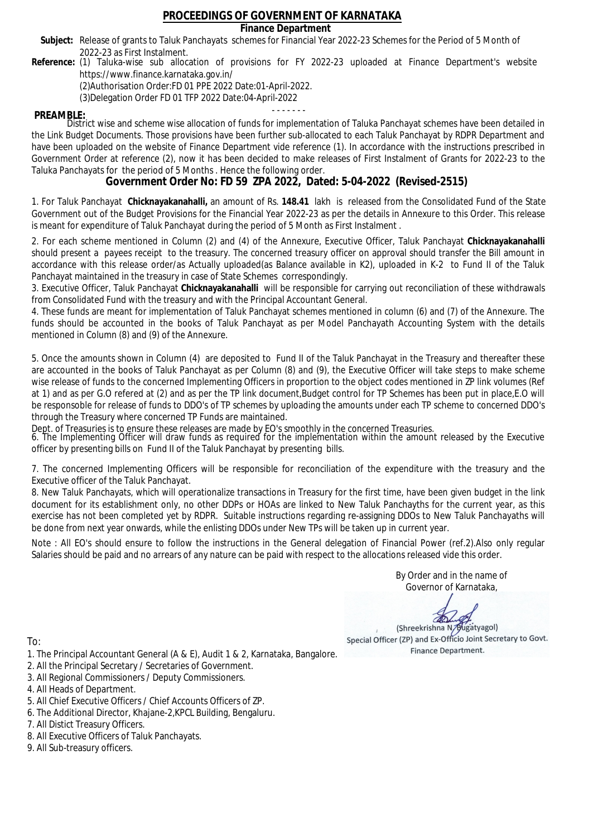### **Finance Department**

- Subject: Release of grants to Taluk Panchayats schemes for Financial Year 2022-23 Schemes for the Period of 5 Month of 2022-23 as First Instalment.
- **Reference:** (1) Taluka-wise sub allocation of provisions for FY 2022-23 uploaded at Finance Department's website https://www.finance.karnataka.gov.in/

(2)Authorisation Order:FD 01 PPE 2022 Date:01-April-2022.

(3)Delegation Order FD 01 TFP 2022 Date:04-April-2022

- - - - - - - **PREAMBLE:** District wise and scheme wise allocation of funds for implementation of Taluka Panchayat schemes have been detailed in the Link Budget Documents. Those provisions have been further sub-allocated to each Taluk Panchayat by RDPR Department and have been uploaded on the website of Finance Department vide reference (1). In accordance with the instructions prescribed in Government Order at reference (2), now it has been decided to make releases of First Instalment of Grants for 2022-23 to the Taluka Panchayats for the period of 5 Months . Hence the following order.

**Government Order No: FD 59 ZPA 2022, Dated: 5-04-2022 (Revised-2515)**

1. For Taluk Panchayat **Chicknayakanahalli,** an amount of Rs. **148.41** lakh is released from the Consolidated Fund of the State Government out of the Budget Provisions for the Financial Year 2022-23 as per the details in Annexure to this Order. This release is meant for expenditure of Taluk Panchayat during the period of 5 Month as First Instalment .

2. For each scheme mentioned in Column (2) and (4) of the Annexure, Executive Officer, Taluk Panchayat **Chicknayakanahalli** should present a payees receipt to the treasury. The concerned treasury officer on approval should transfer the Bill amount in accordance with this release order/as Actually uploaded(as Balance available in K2), uploaded in K-2 to Fund II of the Taluk Panchayat maintained in the treasury in case of State Schemes correspondingly.

3. Executive Officer, Taluk Panchayat **Chicknayakanahalli** will be responsible for carrying out reconciliation of these withdrawals from Consolidated Fund with the treasury and with the Principal Accountant General.

4. These funds are meant for implementation of Taluk Panchayat schemes mentioned in column (6) and (7) of the Annexure. The funds should be accounted in the books of Taluk Panchayat as per Model Panchayath Accounting System with the details mentioned in Column (8) and (9) of the Annexure.

5. Once the amounts shown in Column (4) are deposited to Fund II of the Taluk Panchayat in the Treasury and thereafter these are accounted in the books of Taluk Panchayat as per Column (8) and (9), the Executive Officer will take steps to make scheme wise release of funds to the concerned Implementing Officers in proportion to the object codes mentioned in ZP link volumes (Ref at 1) and as per G.O refered at (2) and as per the TP link document,Budget control for TP Schemes has been put in place,E.O will be responsoble for release of funds to DDO's of TP schemes by uploading the amounts under each TP scheme to concerned DDO's through the Treasury where concerned TP Funds are maintained.

Dept. of Treasuries is to ensure these releases are made by EO's smoothly in the concerned Treasuries.

6. The Implementing Officer will draw funds as required for the implementation within the amount released by the Executive officer by presenting bills on Fund II of the Taluk Panchayat by presenting bills.

7. The concerned Implementing Officers will be responsible for reconciliation of the expenditure with the treasury and the Executive officer of the Taluk Panchayat.

8. New Taluk Panchayats, which will operationalize transactions in Treasury for the first time, have been given budget in the link document for its establishment only, no other DDPs or HOAs are linked to New Taluk Panchayths for the current year, as this exercise has not been completed yet by RDPR. Suitable instructions regarding re-assigning DDOs to New Taluk Panchayaths will be done from next year onwards, while the enlisting DDOs under New TPs will be taken up in current year.

Note : All EO's should ensure to follow the instructions in the General delegation of Financial Power (ref.2).Also only regular Salaries should be paid and no arrears of any nature can be paid with respect to the allocations released vide this order.

> By Order and in the name of Governor of Karnataka,

**PD** 

(Shreekrishna N/Bugatyagol) Special Officer (ZP) and Ex-Officio Joint Secretary to Govt. Finance Department.

- 1. The Principal Accountant General (A & E), Audit 1 & 2, Karnataka, Bangalore.
- 2. All the Principal Secretary / Secretaries of Government.
- 3. All Regional Commissioners / Deputy Commissioners.
- 4. All Heads of Department.
- 5. All Chief Executive Officers / Chief Accounts Officers of ZP.
- 6. The Additional Director, Khajane-2,KPCL Building, Bengaluru.
- 7. All Distict Treasury Officers.
- 8. All Executive Officers of Taluk Panchayats.
- 9. All Sub-treasury officers.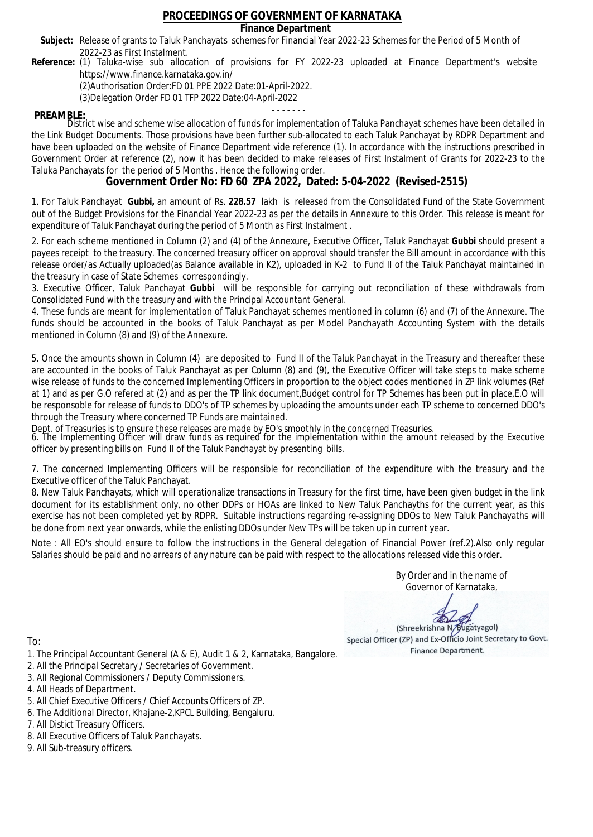### **Finance Department**

- Subject: Release of grants to Taluk Panchayats schemes for Financial Year 2022-23 Schemes for the Period of 5 Month of 2022-23 as First Instalment.
- **Reference:** (1) Taluka-wise sub allocation of provisions for FY 2022-23 uploaded at Finance Department's website https://www.finance.karnataka.gov.in/

(2)Authorisation Order:FD 01 PPE 2022 Date:01-April-2022.

(3)Delegation Order FD 01 TFP 2022 Date:04-April-2022

- - - - - - - **PREAMBLE:** District wise and scheme wise allocation of funds for implementation of Taluka Panchayat schemes have been detailed in the Link Budget Documents. Those provisions have been further sub-allocated to each Taluk Panchayat by RDPR Department and have been uploaded on the website of Finance Department vide reference (1). In accordance with the instructions prescribed in Government Order at reference (2), now it has been decided to make releases of First Instalment of Grants for 2022-23 to the Taluka Panchayats for the period of 5 Months . Hence the following order.

**Government Order No: FD 60 ZPA 2022, Dated: 5-04-2022 (Revised-2515)**

1. For Taluk Panchayat **Gubbi,** an amount of Rs. **228.57** lakh is released from the Consolidated Fund of the State Government out of the Budget Provisions for the Financial Year 2022-23 as per the details in Annexure to this Order. This release is meant for expenditure of Taluk Panchayat during the period of 5 Month as First Instalment .

2. For each scheme mentioned in Column (2) and (4) of the Annexure, Executive Officer, Taluk Panchayat **Gubbi** should present a payees receipt to the treasury. The concerned treasury officer on approval should transfer the Bill amount in accordance with this release order/as Actually uploaded(as Balance available in K2), uploaded in K-2 to Fund II of the Taluk Panchayat maintained in the treasury in case of State Schemes correspondingly.

3. Executive Officer, Taluk Panchayat **Gubbi** will be responsible for carrying out reconciliation of these withdrawals from Consolidated Fund with the treasury and with the Principal Accountant General.

4. These funds are meant for implementation of Taluk Panchayat schemes mentioned in column (6) and (7) of the Annexure. The funds should be accounted in the books of Taluk Panchayat as per Model Panchayath Accounting System with the details mentioned in Column (8) and (9) of the Annexure.

5. Once the amounts shown in Column (4) are deposited to Fund II of the Taluk Panchayat in the Treasury and thereafter these are accounted in the books of Taluk Panchayat as per Column (8) and (9), the Executive Officer will take steps to make scheme wise release of funds to the concerned Implementing Officers in proportion to the object codes mentioned in ZP link volumes (Ref at 1) and as per G.O refered at (2) and as per the TP link document,Budget control for TP Schemes has been put in place,E.O will be responsoble for release of funds to DDO's of TP schemes by uploading the amounts under each TP scheme to concerned DDO's through the Treasury where concerned TP Funds are maintained.

Dept. of Treasuries is to ensure these releases are made by EO's smoothly in the concerned Treasuries.

6. The Implementing Officer will draw funds as required for the implementation within the amount released by the Executive officer by presenting bills on Fund II of the Taluk Panchayat by presenting bills.

7. The concerned Implementing Officers will be responsible for reconciliation of the expenditure with the treasury and the Executive officer of the Taluk Panchayat.

8. New Taluk Panchayats, which will operationalize transactions in Treasury for the first time, have been given budget in the link document for its establishment only, no other DDPs or HOAs are linked to New Taluk Panchayths for the current year, as this exercise has not been completed yet by RDPR. Suitable instructions regarding re-assigning DDOs to New Taluk Panchayaths will be done from next year onwards, while the enlisting DDOs under New TPs will be taken up in current year.

Note : All EO's should ensure to follow the instructions in the General delegation of Financial Power (ref.2).Also only regular Salaries should be paid and no arrears of any nature can be paid with respect to the allocations released vide this order.

> By Order and in the name of Governor of Karnataka,

**PD** 

(Shreekrishna N/Bugatyagol) Special Officer (ZP) and Ex-Officio Joint Secretary to Govt. Finance Department.

To:

- 1. The Principal Accountant General (A & E), Audit 1 & 2, Karnataka, Bangalore.
- 2. All the Principal Secretary / Secretaries of Government.
- 3. All Regional Commissioners / Deputy Commissioners.
- 4. All Heads of Department.
- 5. All Chief Executive Officers / Chief Accounts Officers of ZP.
- 6. The Additional Director, Khajane-2,KPCL Building, Bengaluru.

- 8. All Executive Officers of Taluk Panchayats.
- 9. All Sub-treasury officers.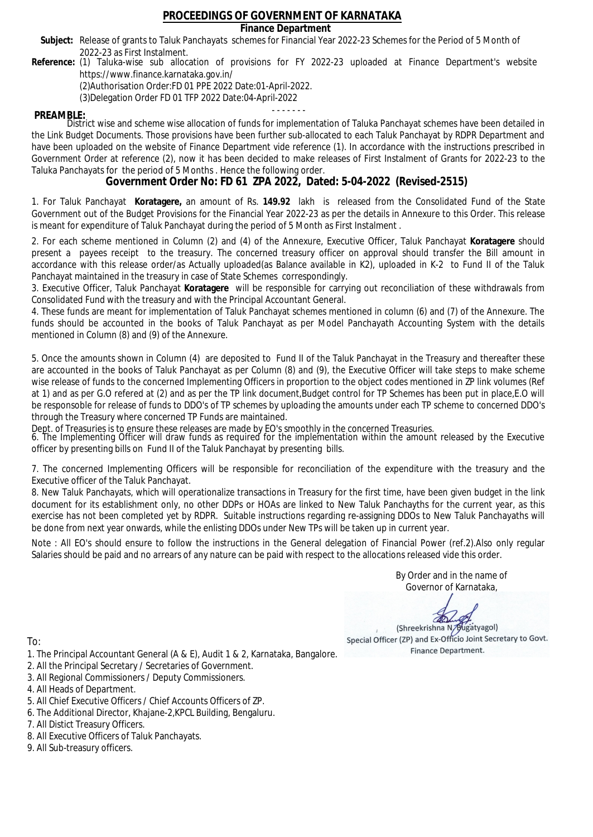### **Finance Department**

- Subject: Release of grants to Taluk Panchayats schemes for Financial Year 2022-23 Schemes for the Period of 5 Month of 2022-23 as First Instalment.
- **Reference:** (1) Taluka-wise sub allocation of provisions for FY 2022-23 uploaded at Finance Department's website https://www.finance.karnataka.gov.in/

(2)Authorisation Order:FD 01 PPE 2022 Date:01-April-2022.

(3)Delegation Order FD 01 TFP 2022 Date:04-April-2022

- - - - - - - **PREAMBLE:** District wise and scheme wise allocation of funds for implementation of Taluka Panchayat schemes have been detailed in the Link Budget Documents. Those provisions have been further sub-allocated to each Taluk Panchayat by RDPR Department and have been uploaded on the website of Finance Department vide reference (1). In accordance with the instructions prescribed in Government Order at reference (2), now it has been decided to make releases of First Instalment of Grants for 2022-23 to the Taluka Panchayats for the period of 5 Months . Hence the following order.

**Government Order No: FD 61 ZPA 2022, Dated: 5-04-2022 (Revised-2515)**

1. For Taluk Panchayat **Koratagere,** an amount of Rs. **149.92** lakh is released from the Consolidated Fund of the State Government out of the Budget Provisions for the Financial Year 2022-23 as per the details in Annexure to this Order. This release is meant for expenditure of Taluk Panchayat during the period of 5 Month as First Instalment .

2. For each scheme mentioned in Column (2) and (4) of the Annexure, Executive Officer, Taluk Panchayat **Koratagere** should present a payees receipt to the treasury. The concerned treasury officer on approval should transfer the Bill amount in accordance with this release order/as Actually uploaded(as Balance available in K2), uploaded in K-2 to Fund II of the Taluk Panchayat maintained in the treasury in case of State Schemes correspondingly.

3. Executive Officer, Taluk Panchayat **Koratagere** will be responsible for carrying out reconciliation of these withdrawals from Consolidated Fund with the treasury and with the Principal Accountant General.

4. These funds are meant for implementation of Taluk Panchayat schemes mentioned in column (6) and (7) of the Annexure. The funds should be accounted in the books of Taluk Panchayat as per Model Panchayath Accounting System with the details mentioned in Column (8) and (9) of the Annexure.

5. Once the amounts shown in Column (4) are deposited to Fund II of the Taluk Panchayat in the Treasury and thereafter these are accounted in the books of Taluk Panchayat as per Column (8) and (9), the Executive Officer will take steps to make scheme wise release of funds to the concerned Implementing Officers in proportion to the object codes mentioned in ZP link volumes (Ref at 1) and as per G.O refered at (2) and as per the TP link document,Budget control for TP Schemes has been put in place,E.O will be responsoble for release of funds to DDO's of TP schemes by uploading the amounts under each TP scheme to concerned DDO's through the Treasury where concerned TP Funds are maintained.

Dept. of Treasuries is to ensure these releases are made by EO's smoothly in the concerned Treasuries.

6. The Implementing Officer will draw funds as required for the implementation within the amount released by the Executive officer by presenting bills on Fund II of the Taluk Panchayat by presenting bills.

7. The concerned Implementing Officers will be responsible for reconciliation of the expenditure with the treasury and the Executive officer of the Taluk Panchayat.

8. New Taluk Panchayats, which will operationalize transactions in Treasury for the first time, have been given budget in the link document for its establishment only, no other DDPs or HOAs are linked to New Taluk Panchayths for the current year, as this exercise has not been completed yet by RDPR. Suitable instructions regarding re-assigning DDOs to New Taluk Panchayaths will be done from next year onwards, while the enlisting DDOs under New TPs will be taken up in current year.

Note : All EO's should ensure to follow the instructions in the General delegation of Financial Power (ref.2).Also only regular Salaries should be paid and no arrears of any nature can be paid with respect to the allocations released vide this order.

> By Order and in the name of Governor of Karnataka,

**PD** 

(Shreekrishna N/Bugatyagol) Special Officer (ZP) and Ex-Officio Joint Secretary to Govt. Finance Department.

- 1. The Principal Accountant General (A & E), Audit 1 & 2, Karnataka, Bangalore.
- 2. All the Principal Secretary / Secretaries of Government.
- 3. All Regional Commissioners / Deputy Commissioners.
- 4. All Heads of Department.
- 5. All Chief Executive Officers / Chief Accounts Officers of ZP.
- 6. The Additional Director, Khajane-2,KPCL Building, Bengaluru.
- 7. All Distict Treasury Officers.
- 8. All Executive Officers of Taluk Panchayats.
- 9. All Sub-treasury officers.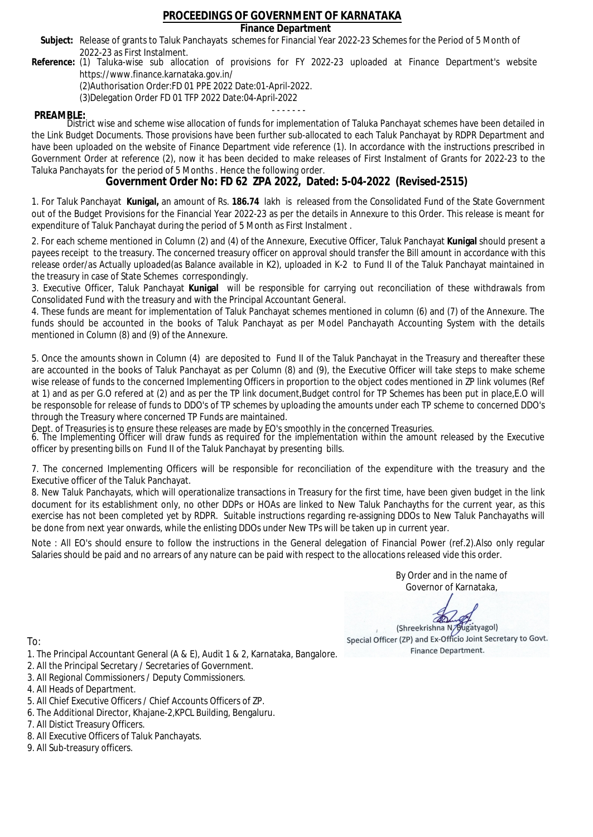### **Finance Department**

- Subject: Release of grants to Taluk Panchayats schemes for Financial Year 2022-23 Schemes for the Period of 5 Month of 2022-23 as First Instalment.
- **Reference:** (1) Taluka-wise sub allocation of provisions for FY 2022-23 uploaded at Finance Department's website https://www.finance.karnataka.gov.in/

(2)Authorisation Order:FD 01 PPE 2022 Date:01-April-2022.

(3)Delegation Order FD 01 TFP 2022 Date:04-April-2022

- - - - - - - **PREAMBLE:** District wise and scheme wise allocation of funds for implementation of Taluka Panchayat schemes have been detailed in the Link Budget Documents. Those provisions have been further sub-allocated to each Taluk Panchayat by RDPR Department and have been uploaded on the website of Finance Department vide reference (1). In accordance with the instructions prescribed in Government Order at reference (2), now it has been decided to make releases of First Instalment of Grants for 2022-23 to the Taluka Panchayats for the period of 5 Months . Hence the following order.

**Government Order No: FD 62 ZPA 2022, Dated: 5-04-2022 (Revised-2515)**

1. For Taluk Panchayat **Kunigal,** an amount of Rs. **186.74** lakh is released from the Consolidated Fund of the State Government out of the Budget Provisions for the Financial Year 2022-23 as per the details in Annexure to this Order. This release is meant for expenditure of Taluk Panchayat during the period of 5 Month as First Instalment .

2. For each scheme mentioned in Column (2) and (4) of the Annexure, Executive Officer, Taluk Panchayat **Kunigal** should present a payees receipt to the treasury. The concerned treasury officer on approval should transfer the Bill amount in accordance with this release order/as Actually uploaded(as Balance available in K2), uploaded in K-2 to Fund II of the Taluk Panchayat maintained in the treasury in case of State Schemes correspondingly.

3. Executive Officer, Taluk Panchayat **Kunigal** will be responsible for carrying out reconciliation of these withdrawals from Consolidated Fund with the treasury and with the Principal Accountant General.

4. These funds are meant for implementation of Taluk Panchayat schemes mentioned in column (6) and (7) of the Annexure. The funds should be accounted in the books of Taluk Panchayat as per Model Panchayath Accounting System with the details mentioned in Column (8) and (9) of the Annexure.

5. Once the amounts shown in Column (4) are deposited to Fund II of the Taluk Panchayat in the Treasury and thereafter these are accounted in the books of Taluk Panchayat as per Column (8) and (9), the Executive Officer will take steps to make scheme wise release of funds to the concerned Implementing Officers in proportion to the object codes mentioned in ZP link volumes (Ref at 1) and as per G.O refered at (2) and as per the TP link document,Budget control for TP Schemes has been put in place,E.O will be responsoble for release of funds to DDO's of TP schemes by uploading the amounts under each TP scheme to concerned DDO's through the Treasury where concerned TP Funds are maintained.

Dept. of Treasuries is to ensure these releases are made by EO's smoothly in the concerned Treasuries.

6. The Implementing Officer will draw funds as required for the implementation within the amount released by the Executive officer by presenting bills on Fund II of the Taluk Panchayat by presenting bills.

7. The concerned Implementing Officers will be responsible for reconciliation of the expenditure with the treasury and the Executive officer of the Taluk Panchayat.

8. New Taluk Panchayats, which will operationalize transactions in Treasury for the first time, have been given budget in the link document for its establishment only, no other DDPs or HOAs are linked to New Taluk Panchayths for the current year, as this exercise has not been completed yet by RDPR. Suitable instructions regarding re-assigning DDOs to New Taluk Panchayaths will be done from next year onwards, while the enlisting DDOs under New TPs will be taken up in current year.

Note : All EO's should ensure to follow the instructions in the General delegation of Financial Power (ref.2).Also only regular Salaries should be paid and no arrears of any nature can be paid with respect to the allocations released vide this order.

> By Order and in the name of Governor of Karnataka,

**PD** 

(Shreekrishna N/Bugatyagol) Special Officer (ZP) and Ex-Officio Joint Secretary to Govt. Finance Department.

To:

- 1. The Principal Accountant General (A & E), Audit 1 & 2, Karnataka, Bangalore.
- 2. All the Principal Secretary / Secretaries of Government.
- 3. All Regional Commissioners / Deputy Commissioners.
- 4. All Heads of Department.
- 5. All Chief Executive Officers / Chief Accounts Officers of ZP.
- 6. The Additional Director, Khajane-2,KPCL Building, Bengaluru.

- 8. All Executive Officers of Taluk Panchayats.
- 9. All Sub-treasury officers.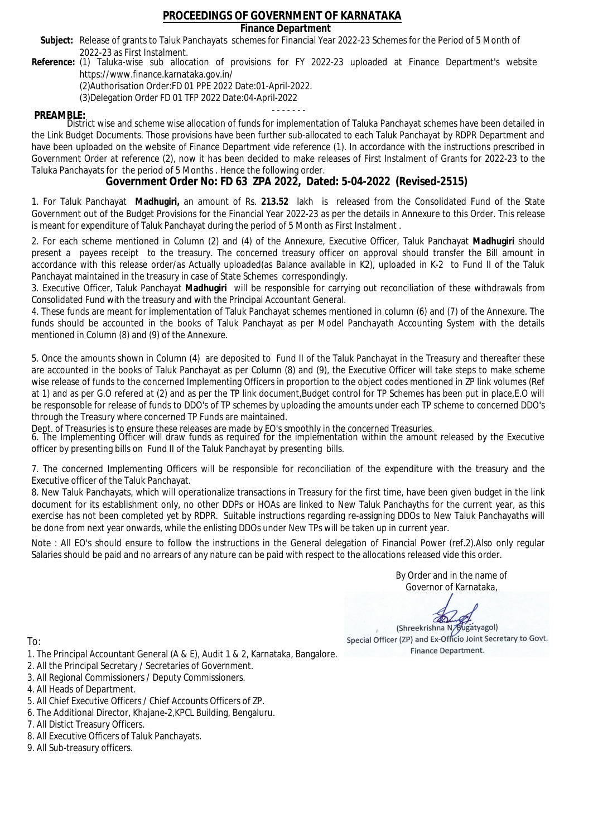### **Finance Department**

- Subject: Release of grants to Taluk Panchayats schemes for Financial Year 2022-23 Schemes for the Period of 5 Month of 2022-23 as First Instalment.
- **Reference:** (1) Taluka-wise sub allocation of provisions for FY 2022-23 uploaded at Finance Department's website https://www.finance.karnataka.gov.in/

(2)Authorisation Order:FD 01 PPE 2022 Date:01-April-2022.

(3)Delegation Order FD 01 TFP 2022 Date:04-April-2022

- - - - - - - **PREAMBLE:** District wise and scheme wise allocation of funds for implementation of Taluka Panchayat schemes have been detailed in the Link Budget Documents. Those provisions have been further sub-allocated to each Taluk Panchayat by RDPR Department and have been uploaded on the website of Finance Department vide reference (1). In accordance with the instructions prescribed in Government Order at reference (2), now it has been decided to make releases of First Instalment of Grants for 2022-23 to the Taluka Panchayats for the period of 5 Months . Hence the following order.

**Government Order No: FD 63 ZPA 2022, Dated: 5-04-2022 (Revised-2515)**

1. For Taluk Panchayat **Madhugiri,** an amount of Rs. **213.52** lakh is released from the Consolidated Fund of the State Government out of the Budget Provisions for the Financial Year 2022-23 as per the details in Annexure to this Order. This release is meant for expenditure of Taluk Panchayat during the period of 5 Month as First Instalment .

2. For each scheme mentioned in Column (2) and (4) of the Annexure, Executive Officer, Taluk Panchayat **Madhugiri** should present a payees receipt to the treasury. The concerned treasury officer on approval should transfer the Bill amount in accordance with this release order/as Actually uploaded(as Balance available in K2), uploaded in K-2 to Fund II of the Taluk Panchayat maintained in the treasury in case of State Schemes correspondingly.

3. Executive Officer, Taluk Panchayat **Madhugiri** will be responsible for carrying out reconciliation of these withdrawals from Consolidated Fund with the treasury and with the Principal Accountant General.

4. These funds are meant for implementation of Taluk Panchayat schemes mentioned in column (6) and (7) of the Annexure. The funds should be accounted in the books of Taluk Panchayat as per Model Panchayath Accounting System with the details mentioned in Column (8) and (9) of the Annexure.

5. Once the amounts shown in Column (4) are deposited to Fund II of the Taluk Panchayat in the Treasury and thereafter these are accounted in the books of Taluk Panchayat as per Column (8) and (9), the Executive Officer will take steps to make scheme wise release of funds to the concerned Implementing Officers in proportion to the object codes mentioned in ZP link volumes (Ref at 1) and as per G.O refered at (2) and as per the TP link document,Budget control for TP Schemes has been put in place,E.O will be responsoble for release of funds to DDO's of TP schemes by uploading the amounts under each TP scheme to concerned DDO's through the Treasury where concerned TP Funds are maintained.

Dept. of Treasuries is to ensure these releases are made by EO's smoothly in the concerned Treasuries.

6. The Implementing Officer will draw funds as required for the implementation within the amount released by the Executive officer by presenting bills on Fund II of the Taluk Panchayat by presenting bills.

7. The concerned Implementing Officers will be responsible for reconciliation of the expenditure with the treasury and the Executive officer of the Taluk Panchayat.

8. New Taluk Panchayats, which will operationalize transactions in Treasury for the first time, have been given budget in the link document for its establishment only, no other DDPs or HOAs are linked to New Taluk Panchayths for the current year, as this exercise has not been completed yet by RDPR. Suitable instructions regarding re-assigning DDOs to New Taluk Panchayaths will be done from next year onwards, while the enlisting DDOs under New TPs will be taken up in current year.

Note : All EO's should ensure to follow the instructions in the General delegation of Financial Power (ref.2).Also only regular Salaries should be paid and no arrears of any nature can be paid with respect to the allocations released vide this order.

> By Order and in the name of Governor of Karnataka,

**PD** 

(Shreekrishna N/Bugatyagol) Special Officer (ZP) and Ex-Officio Joint Secretary to Govt. Finance Department.

- 1. The Principal Accountant General (A & E), Audit 1 & 2, Karnataka, Bangalore.
- 2. All the Principal Secretary / Secretaries of Government.
- 3. All Regional Commissioners / Deputy Commissioners.
- 4. All Heads of Department.
- 5. All Chief Executive Officers / Chief Accounts Officers of ZP.
- 6. The Additional Director, Khajane-2,KPCL Building, Bengaluru.
- 7. All Distict Treasury Officers.
- 8. All Executive Officers of Taluk Panchayats.
- 9. All Sub-treasury officers.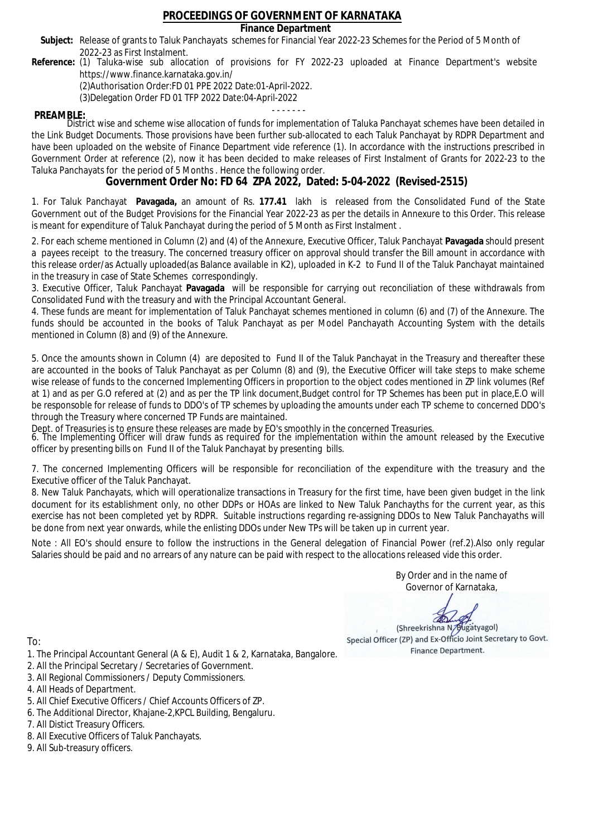### **Finance Department**

- Subject: Release of grants to Taluk Panchayats schemes for Financial Year 2022-23 Schemes for the Period of 5 Month of 2022-23 as First Instalment.
- **Reference:** (1) Taluka-wise sub allocation of provisions for FY 2022-23 uploaded at Finance Department's website https://www.finance.karnataka.gov.in/

(2)Authorisation Order:FD 01 PPE 2022 Date:01-April-2022.

(3)Delegation Order FD 01 TFP 2022 Date:04-April-2022

- - - - - - - **PREAMBLE:** District wise and scheme wise allocation of funds for implementation of Taluka Panchayat schemes have been detailed in the Link Budget Documents. Those provisions have been further sub-allocated to each Taluk Panchayat by RDPR Department and have been uploaded on the website of Finance Department vide reference (1). In accordance with the instructions prescribed in Government Order at reference (2), now it has been decided to make releases of First Instalment of Grants for 2022-23 to the Taluka Panchayats for the period of 5 Months . Hence the following order.

**Government Order No: FD 64 ZPA 2022, Dated: 5-04-2022 (Revised-2515)**

1. For Taluk Panchayat **Pavagada,** an amount of Rs. **177.41** lakh is released from the Consolidated Fund of the State Government out of the Budget Provisions for the Financial Year 2022-23 as per the details in Annexure to this Order. This release is meant for expenditure of Taluk Panchayat during the period of 5 Month as First Instalment .

2. For each scheme mentioned in Column (2) and (4) of the Annexure, Executive Officer, Taluk Panchayat **Pavagada** should present a payees receipt to the treasury. The concerned treasury officer on approval should transfer the Bill amount in accordance with this release order/as Actually uploaded(as Balance available in K2), uploaded in K-2 to Fund II of the Taluk Panchayat maintained in the treasury in case of State Schemes correspondingly.

3. Executive Officer, Taluk Panchayat **Pavagada** will be responsible for carrying out reconciliation of these withdrawals from Consolidated Fund with the treasury and with the Principal Accountant General.

4. These funds are meant for implementation of Taluk Panchayat schemes mentioned in column (6) and (7) of the Annexure. The funds should be accounted in the books of Taluk Panchayat as per Model Panchayath Accounting System with the details mentioned in Column (8) and (9) of the Annexure.

5. Once the amounts shown in Column (4) are deposited to Fund II of the Taluk Panchayat in the Treasury and thereafter these are accounted in the books of Taluk Panchayat as per Column (8) and (9), the Executive Officer will take steps to make scheme wise release of funds to the concerned Implementing Officers in proportion to the object codes mentioned in ZP link volumes (Ref at 1) and as per G.O refered at (2) and as per the TP link document,Budget control for TP Schemes has been put in place,E.O will be responsoble for release of funds to DDO's of TP schemes by uploading the amounts under each TP scheme to concerned DDO's through the Treasury where concerned TP Funds are maintained.

Dept. of Treasuries is to ensure these releases are made by EO's smoothly in the concerned Treasuries.

6. The Implementing Officer will draw funds as required for the implementation within the amount released by the Executive officer by presenting bills on Fund II of the Taluk Panchayat by presenting bills.

7. The concerned Implementing Officers will be responsible for reconciliation of the expenditure with the treasury and the Executive officer of the Taluk Panchayat.

8. New Taluk Panchayats, which will operationalize transactions in Treasury for the first time, have been given budget in the link document for its establishment only, no other DDPs or HOAs are linked to New Taluk Panchayths for the current year, as this exercise has not been completed yet by RDPR. Suitable instructions regarding re-assigning DDOs to New Taluk Panchayaths will be done from next year onwards, while the enlisting DDOs under New TPs will be taken up in current year.

Note : All EO's should ensure to follow the instructions in the General delegation of Financial Power (ref.2).Also only regular Salaries should be paid and no arrears of any nature can be paid with respect to the allocations released vide this order.

> By Order and in the name of Governor of Karnataka,

**PD** 

(Shreekrishna N/Bugatyagol) Special Officer (ZP) and Ex-Officio Joint Secretary to Govt. Finance Department.

- 1. The Principal Accountant General (A & E), Audit 1 & 2, Karnataka, Bangalore.
- 2. All the Principal Secretary / Secretaries of Government.
- 3. All Regional Commissioners / Deputy Commissioners.
- 4. All Heads of Department.
- 5. All Chief Executive Officers / Chief Accounts Officers of ZP.
- 6. The Additional Director, Khajane-2,KPCL Building, Bengaluru.
- 7. All Distict Treasury Officers.
- 8. All Executive Officers of Taluk Panchayats.
- 9. All Sub-treasury officers.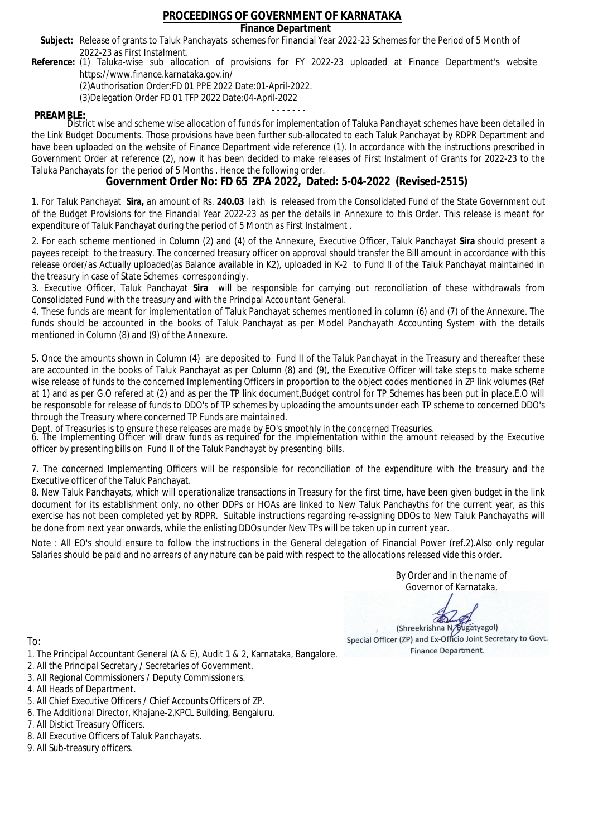### **Finance Department**

- Subject: Release of grants to Taluk Panchayats schemes for Financial Year 2022-23 Schemes for the Period of 5 Month of 2022-23 as First Instalment.
- **Reference:** (1) Taluka-wise sub allocation of provisions for FY 2022-23 uploaded at Finance Department's website https://www.finance.karnataka.gov.in/

(2)Authorisation Order:FD 01 PPE 2022 Date:01-April-2022.

(3)Delegation Order FD 01 TFP 2022 Date:04-April-2022

- - - - - - - **PREAMBLE:** District wise and scheme wise allocation of funds for implementation of Taluka Panchayat schemes have been detailed in the Link Budget Documents. Those provisions have been further sub-allocated to each Taluk Panchayat by RDPR Department and have been uploaded on the website of Finance Department vide reference (1). In accordance with the instructions prescribed in Government Order at reference (2), now it has been decided to make releases of First Instalment of Grants for 2022-23 to the Taluka Panchayats for the period of 5 Months . Hence the following order.

**Government Order No: FD 65 ZPA 2022, Dated: 5-04-2022 (Revised-2515)**

1. For Taluk Panchayat **Sira,** an amount of Rs. **240.03** lakh is released from the Consolidated Fund of the State Government out of the Budget Provisions for the Financial Year 2022-23 as per the details in Annexure to this Order. This release is meant for expenditure of Taluk Panchayat during the period of 5 Month as First Instalment .

2. For each scheme mentioned in Column (2) and (4) of the Annexure, Executive Officer, Taluk Panchayat **Sira** should present a payees receipt to the treasury. The concerned treasury officer on approval should transfer the Bill amount in accordance with this release order/as Actually uploaded(as Balance available in K2), uploaded in K-2 to Fund II of the Taluk Panchayat maintained in the treasury in case of State Schemes correspondingly.

3. Executive Officer, Taluk Panchayat **Sira** will be responsible for carrying out reconciliation of these withdrawals from Consolidated Fund with the treasury and with the Principal Accountant General.

4. These funds are meant for implementation of Taluk Panchayat schemes mentioned in column (6) and (7) of the Annexure. The funds should be accounted in the books of Taluk Panchayat as per Model Panchayath Accounting System with the details mentioned in Column (8) and (9) of the Annexure.

5. Once the amounts shown in Column (4) are deposited to Fund II of the Taluk Panchayat in the Treasury and thereafter these are accounted in the books of Taluk Panchayat as per Column (8) and (9), the Executive Officer will take steps to make scheme wise release of funds to the concerned Implementing Officers in proportion to the object codes mentioned in ZP link volumes (Ref at 1) and as per G.O refered at (2) and as per the TP link document,Budget control for TP Schemes has been put in place,E.O will be responsoble for release of funds to DDO's of TP schemes by uploading the amounts under each TP scheme to concerned DDO's through the Treasury where concerned TP Funds are maintained.

Dept. of Treasuries is to ensure these releases are made by EO's smoothly in the concerned Treasuries.

6. The Implementing Officer will draw funds as required for the implementation within the amount released by the Executive officer by presenting bills on Fund II of the Taluk Panchayat by presenting bills.

7. The concerned Implementing Officers will be responsible for reconciliation of the expenditure with the treasury and the Executive officer of the Taluk Panchayat.

8. New Taluk Panchayats, which will operationalize transactions in Treasury for the first time, have been given budget in the link document for its establishment only, no other DDPs or HOAs are linked to New Taluk Panchayths for the current year, as this exercise has not been completed yet by RDPR. Suitable instructions regarding re-assigning DDOs to New Taluk Panchayaths will be done from next year onwards, while the enlisting DDOs under New TPs will be taken up in current year.

Note : All EO's should ensure to follow the instructions in the General delegation of Financial Power (ref.2).Also only regular Salaries should be paid and no arrears of any nature can be paid with respect to the allocations released vide this order.

> By Order and in the name of Governor of Karnataka,

**PD** 

(Shreekrishna N/Bugatyagol) Special Officer (ZP) and Ex-Officio Joint Secretary to Govt. Finance Department.

To:

- 1. The Principal Accountant General (A & E), Audit 1 & 2, Karnataka, Bangalore.
- 2. All the Principal Secretary / Secretaries of Government.
- 3. All Regional Commissioners / Deputy Commissioners.
- 4. All Heads of Department.
- 5. All Chief Executive Officers / Chief Accounts Officers of ZP.
- 6. The Additional Director, Khajane-2,KPCL Building, Bengaluru.

- 8. All Executive Officers of Taluk Panchayats.
- 9. All Sub-treasury officers.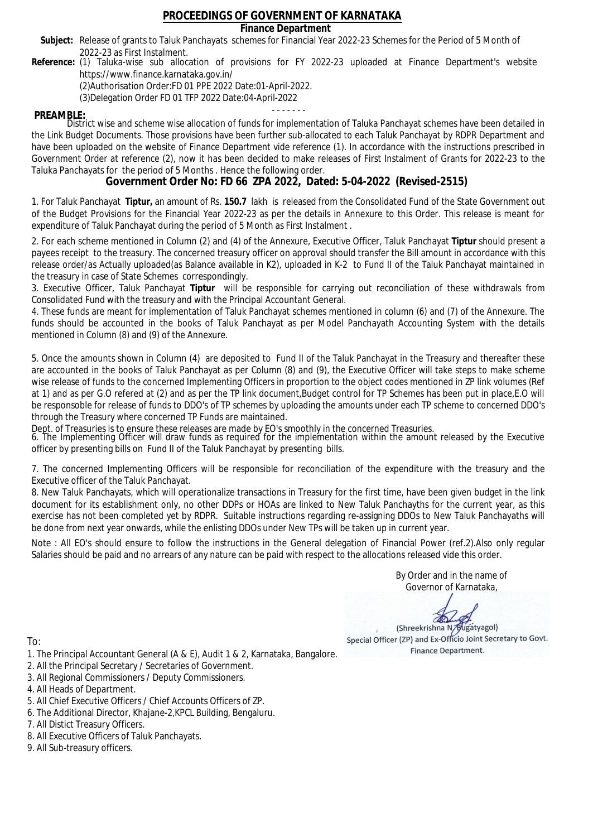## **Finance Department**

- Subject: Release of grants to Taluk Panchayats schemes for Financial Year 2022-23 Schemes for the Period of 5 Month of 2022-23 as First Instalment.
- **Reference:** (1) Taluka-wise sub allocation of provisions for FY 2022-23 uploaded at Finance Department's website https://www.finance.karnataka.gov.in/

(2)Authorisation Order:FD 01 PPE 2022 Date:01-April-2022.

(3)Delegation Order FD 01 TFP 2022 Date:04-April-2022

- - - - - - - **PREAMBLE:** District wise and scheme wise allocation of funds for implementation of Taluka Panchayat schemes have been detailed in the Link Budget Documents. Those provisions have been further sub-allocated to each Taluk Panchayat by RDPR Department and have been uploaded on the website of Finance Department vide reference (1). In accordance with the instructions prescribed in Government Order at reference (2), now it has been decided to make releases of First Instalment of Grants for 2022-23 to the Taluka Panchayats for the period of 5 Months . Hence the following order.

**Government Order No: FD 66 ZPA 2022, Dated: 5-04-2022 (Revised-2515)**

1. For Taluk Panchayat **Tiptur,** an amount of Rs. **150.7** lakh is released from the Consolidated Fund of the State Government out of the Budget Provisions for the Financial Year 2022-23 as per the details in Annexure to this Order. This release is meant for expenditure of Taluk Panchayat during the period of 5 Month as First Instalment .

2. For each scheme mentioned in Column (2) and (4) of the Annexure, Executive Officer, Taluk Panchayat **Tiptur** should present a payees receipt to the treasury. The concerned treasury officer on approval should transfer the Bill amount in accordance with this release order/as Actually uploaded(as Balance available in K2), uploaded in K-2 to Fund II of the Taluk Panchayat maintained in the treasury in case of State Schemes correspondingly.

3. Executive Officer, Taluk Panchayat **Tiptur** will be responsible for carrying out reconciliation of these withdrawals from Consolidated Fund with the treasury and with the Principal Accountant General.

4. These funds are meant for implementation of Taluk Panchayat schemes mentioned in column (6) and (7) of the Annexure. The funds should be accounted in the books of Taluk Panchayat as per Model Panchayath Accounting System with the details mentioned in Column (8) and (9) of the Annexure.

5. Once the amounts shown in Column (4) are deposited to Fund II of the Taluk Panchayat in the Treasury and thereafter these are accounted in the books of Taluk Panchayat as per Column (8) and (9), the Executive Officer will take steps to make scheme wise release of funds to the concerned Implementing Officers in proportion to the object codes mentioned in ZP link volumes (Ref at 1) and as per G.O refered at (2) and as per the TP link document,Budget control for TP Schemes has been put in place,E.O will be responsoble for release of funds to DDO's of TP schemes by uploading the amounts under each TP scheme to concerned DDO's through the Treasury where concerned TP Funds are maintained.

Dept. of Treasuries is to ensure these releases are made by EO's smoothly in the concerned Treasuries.

6. The Implementing Officer will draw funds as required for the implementation within the amount released by the Executive officer by presenting bills on Fund II of the Taluk Panchayat by presenting bills.

7. The concerned Implementing Officers will be responsible for reconciliation of the expenditure with the treasury and the Executive officer of the Taluk Panchayat.

8. New Taluk Panchayats, which will operationalize transactions in Treasury for the first time, have been given budget in the link document for its establishment only, no other DDPs or HOAs are linked to New Taluk Panchayths for the current year, as this exercise has not been completed yet by RDPR. Suitable instructions regarding re-assigning DDOs to New Taluk Panchayaths will be done from next year onwards, while the enlisting DDOs under New TPs will be taken up in current year.

Note : All EO's should ensure to follow the instructions in the General delegation of Financial Power (ref.2).Also only regular Salaries should be paid and no arrears of any nature can be paid with respect to the allocations released vide this order.

> By Order and in the name of Governor of Karnataka,

**PD** 

(Shreekrishna N/Bugatyagol) Special Officer (ZP) and Ex-Officio Joint Secretary to Govt. Finance Department.

- 1. The Principal Accountant General (A & E), Audit 1 & 2, Karnataka, Bangalore.
- 2. All the Principal Secretary / Secretaries of Government.
- 3. All Regional Commissioners / Deputy Commissioners.
- 4. All Heads of Department.
- 5. All Chief Executive Officers / Chief Accounts Officers of ZP.
- 6. The Additional Director, Khajane-2,KPCL Building, Bengaluru.
- 7. All Distict Treasury Officers.
- 8. All Executive Officers of Taluk Panchayats.
- 9. All Sub-treasury officers.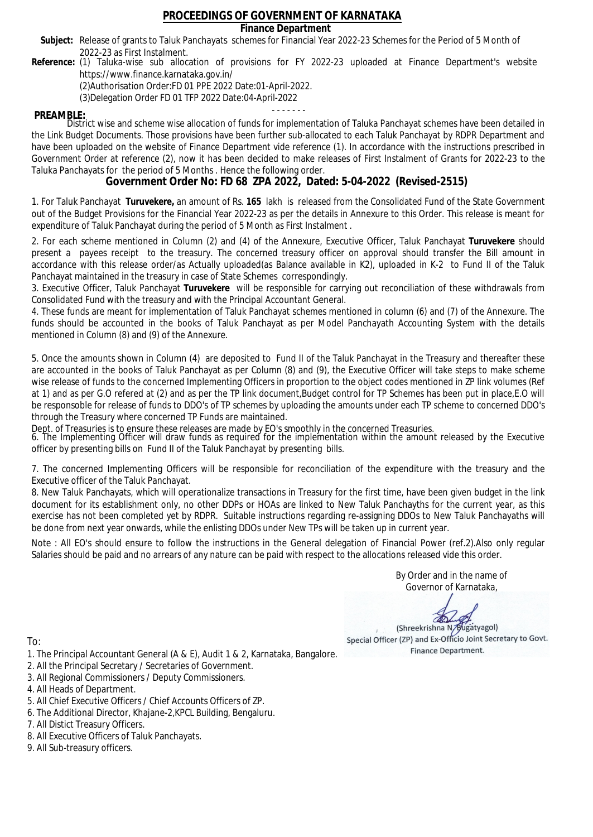## **Finance Department**

- Subject: Release of grants to Taluk Panchayats schemes for Financial Year 2022-23 Schemes for the Period of 5 Month of 2022-23 as First Instalment.
- **Reference:** (1) Taluka-wise sub allocation of provisions for FY 2022-23 uploaded at Finance Department's website https://www.finance.karnataka.gov.in/

(2)Authorisation Order:FD 01 PPE 2022 Date:01-April-2022.

(3)Delegation Order FD 01 TFP 2022 Date:04-April-2022

- - - - - - - **PREAMBLE:** District wise and scheme wise allocation of funds for implementation of Taluka Panchayat schemes have been detailed in the Link Budget Documents. Those provisions have been further sub-allocated to each Taluk Panchayat by RDPR Department and have been uploaded on the website of Finance Department vide reference (1). In accordance with the instructions prescribed in Government Order at reference (2), now it has been decided to make releases of First Instalment of Grants for 2022-23 to the Taluka Panchayats for the period of 5 Months . Hence the following order.

**Government Order No: FD 68 ZPA 2022, Dated: 5-04-2022 (Revised-2515)**

1. For Taluk Panchayat **Turuvekere,** an amount of Rs. **165** lakh is released from the Consolidated Fund of the State Government out of the Budget Provisions for the Financial Year 2022-23 as per the details in Annexure to this Order. This release is meant for expenditure of Taluk Panchayat during the period of 5 Month as First Instalment .

2. For each scheme mentioned in Column (2) and (4) of the Annexure, Executive Officer, Taluk Panchayat **Turuvekere** should present a payees receipt to the treasury. The concerned treasury officer on approval should transfer the Bill amount in accordance with this release order/as Actually uploaded(as Balance available in K2), uploaded in K-2 to Fund II of the Taluk Panchayat maintained in the treasury in case of State Schemes correspondingly.

3. Executive Officer, Taluk Panchayat **Turuvekere** will be responsible for carrying out reconciliation of these withdrawals from Consolidated Fund with the treasury and with the Principal Accountant General.

4. These funds are meant for implementation of Taluk Panchayat schemes mentioned in column (6) and (7) of the Annexure. The funds should be accounted in the books of Taluk Panchayat as per Model Panchayath Accounting System with the details mentioned in Column (8) and (9) of the Annexure.

5. Once the amounts shown in Column (4) are deposited to Fund II of the Taluk Panchayat in the Treasury and thereafter these are accounted in the books of Taluk Panchayat as per Column (8) and (9), the Executive Officer will take steps to make scheme wise release of funds to the concerned Implementing Officers in proportion to the object codes mentioned in ZP link volumes (Ref at 1) and as per G.O refered at (2) and as per the TP link document,Budget control for TP Schemes has been put in place,E.O will be responsoble for release of funds to DDO's of TP schemes by uploading the amounts under each TP scheme to concerned DDO's through the Treasury where concerned TP Funds are maintained.

Dept. of Treasuries is to ensure these releases are made by EO's smoothly in the concerned Treasuries.

6. The Implementing Officer will draw funds as required for the implementation within the amount released by the Executive officer by presenting bills on Fund II of the Taluk Panchayat by presenting bills.

7. The concerned Implementing Officers will be responsible for reconciliation of the expenditure with the treasury and the Executive officer of the Taluk Panchayat.

8. New Taluk Panchayats, which will operationalize transactions in Treasury for the first time, have been given budget in the link document for its establishment only, no other DDPs or HOAs are linked to New Taluk Panchayths for the current year, as this exercise has not been completed yet by RDPR. Suitable instructions regarding re-assigning DDOs to New Taluk Panchayaths will be done from next year onwards, while the enlisting DDOs under New TPs will be taken up in current year.

Note : All EO's should ensure to follow the instructions in the General delegation of Financial Power (ref.2).Also only regular Salaries should be paid and no arrears of any nature can be paid with respect to the allocations released vide this order.

> By Order and in the name of Governor of Karnataka,

**PD** 

(Shreekrishna N/Bugatyagol) Special Officer (ZP) and Ex-Officio Joint Secretary to Govt. Finance Department.

- 1. The Principal Accountant General (A & E), Audit 1 & 2, Karnataka, Bangalore.
- 2. All the Principal Secretary / Secretaries of Government.
- 3. All Regional Commissioners / Deputy Commissioners.
- 4. All Heads of Department.
- 5. All Chief Executive Officers / Chief Accounts Officers of ZP.
- 6. The Additional Director, Khajane-2,KPCL Building, Bengaluru.
- 7. All Distict Treasury Officers.
- 8. All Executive Officers of Taluk Panchayats.
- 9. All Sub-treasury officers.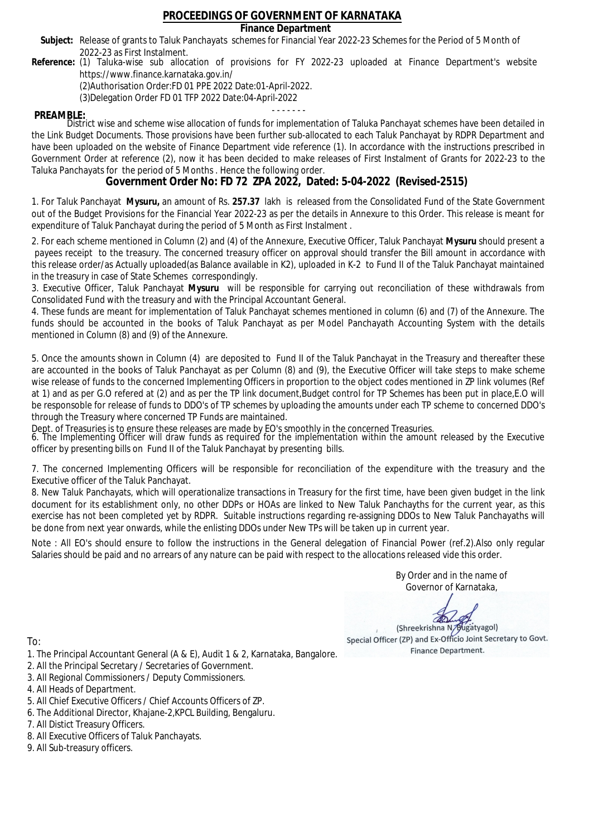## **Finance Department**

- Subject: Release of grants to Taluk Panchayats schemes for Financial Year 2022-23 Schemes for the Period of 5 Month of 2022-23 as First Instalment.
- **Reference:** (1) Taluka-wise sub allocation of provisions for FY 2022-23 uploaded at Finance Department's website https://www.finance.karnataka.gov.in/

(2)Authorisation Order:FD 01 PPE 2022 Date:01-April-2022.

(3)Delegation Order FD 01 TFP 2022 Date:04-April-2022

- - - - - - - **PREAMBLE:** District wise and scheme wise allocation of funds for implementation of Taluka Panchayat schemes have been detailed in the Link Budget Documents. Those provisions have been further sub-allocated to each Taluk Panchayat by RDPR Department and have been uploaded on the website of Finance Department vide reference (1). In accordance with the instructions prescribed in Government Order at reference (2), now it has been decided to make releases of First Instalment of Grants for 2022-23 to the Taluka Panchayats for the period of 5 Months . Hence the following order.

**Government Order No: FD 72 ZPA 2022, Dated: 5-04-2022 (Revised-2515)**

1. For Taluk Panchayat **Mysuru,** an amount of Rs. **257.37** lakh is released from the Consolidated Fund of the State Government out of the Budget Provisions for the Financial Year 2022-23 as per the details in Annexure to this Order. This release is meant for expenditure of Taluk Panchayat during the period of 5 Month as First Instalment .

2. For each scheme mentioned in Column (2) and (4) of the Annexure, Executive Officer, Taluk Panchayat **Mysuru** should present a payees receipt to the treasury. The concerned treasury officer on approval should transfer the Bill amount in accordance with this release order/as Actually uploaded(as Balance available in K2), uploaded in K-2 to Fund II of the Taluk Panchayat maintained in the treasury in case of State Schemes correspondingly.

3. Executive Officer, Taluk Panchayat **Mysuru** will be responsible for carrying out reconciliation of these withdrawals from Consolidated Fund with the treasury and with the Principal Accountant General.

4. These funds are meant for implementation of Taluk Panchayat schemes mentioned in column (6) and (7) of the Annexure. The funds should be accounted in the books of Taluk Panchayat as per Model Panchayath Accounting System with the details mentioned in Column (8) and (9) of the Annexure.

5. Once the amounts shown in Column (4) are deposited to Fund II of the Taluk Panchayat in the Treasury and thereafter these are accounted in the books of Taluk Panchayat as per Column (8) and (9), the Executive Officer will take steps to make scheme wise release of funds to the concerned Implementing Officers in proportion to the object codes mentioned in ZP link volumes (Ref at 1) and as per G.O refered at (2) and as per the TP link document,Budget control for TP Schemes has been put in place,E.O will be responsoble for release of funds to DDO's of TP schemes by uploading the amounts under each TP scheme to concerned DDO's through the Treasury where concerned TP Funds are maintained.

Dept. of Treasuries is to ensure these releases are made by EO's smoothly in the concerned Treasuries.

6. The Implementing Officer will draw funds as required for the implementation within the amount released by the Executive officer by presenting bills on Fund II of the Taluk Panchayat by presenting bills.

7. The concerned Implementing Officers will be responsible for reconciliation of the expenditure with the treasury and the Executive officer of the Taluk Panchayat.

8. New Taluk Panchayats, which will operationalize transactions in Treasury for the first time, have been given budget in the link document for its establishment only, no other DDPs or HOAs are linked to New Taluk Panchayths for the current year, as this exercise has not been completed yet by RDPR. Suitable instructions regarding re-assigning DDOs to New Taluk Panchayaths will be done from next year onwards, while the enlisting DDOs under New TPs will be taken up in current year.

Note : All EO's should ensure to follow the instructions in the General delegation of Financial Power (ref.2).Also only regular Salaries should be paid and no arrears of any nature can be paid with respect to the allocations released vide this order.

> By Order and in the name of Governor of Karnataka,

**PD** 

(Shreekrishna N/Bugatyagol) Special Officer (ZP) and Ex-Officio Joint Secretary to Govt. Finance Department.

To:

- 1. The Principal Accountant General (A & E), Audit 1 & 2, Karnataka, Bangalore.
- 2. All the Principal Secretary / Secretaries of Government.
- 3. All Regional Commissioners / Deputy Commissioners.
- 4. All Heads of Department.
- 5. All Chief Executive Officers / Chief Accounts Officers of ZP.
- 6. The Additional Director, Khajane-2,KPCL Building, Bengaluru.

- 8. All Executive Officers of Taluk Panchayats.
- 9. All Sub-treasury officers.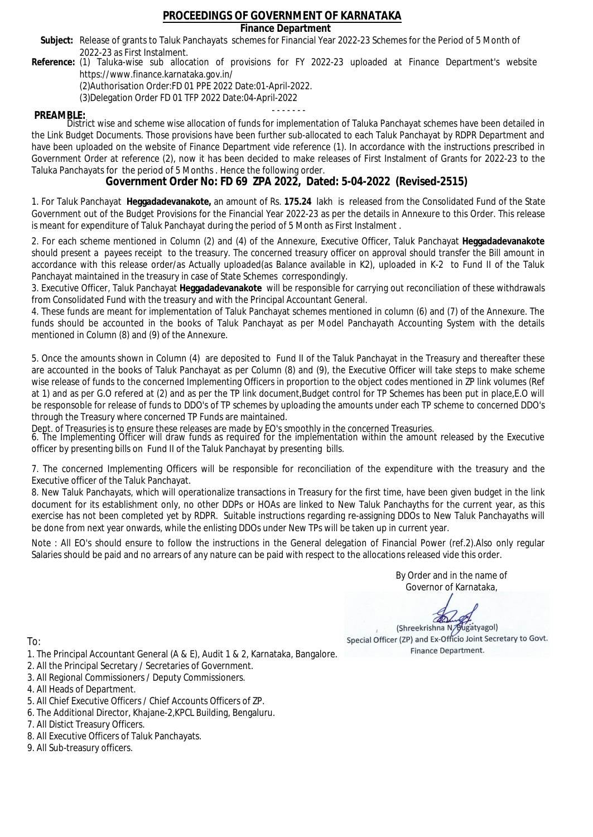## **Finance Department**

- Subject: Release of grants to Taluk Panchayats schemes for Financial Year 2022-23 Schemes for the Period of 5 Month of 2022-23 as First Instalment.
- **Reference:** (1) Taluka-wise sub allocation of provisions for FY 2022-23 uploaded at Finance Department's website https://www.finance.karnataka.gov.in/

(2)Authorisation Order:FD 01 PPE 2022 Date:01-April-2022.

(3)Delegation Order FD 01 TFP 2022 Date:04-April-2022

- - - - - - - **PREAMBLE:** District wise and scheme wise allocation of funds for implementation of Taluka Panchayat schemes have been detailed in the Link Budget Documents. Those provisions have been further sub-allocated to each Taluk Panchayat by RDPR Department and have been uploaded on the website of Finance Department vide reference (1). In accordance with the instructions prescribed in Government Order at reference (2), now it has been decided to make releases of First Instalment of Grants for 2022-23 to the Taluka Panchayats for the period of 5 Months . Hence the following order.

**Government Order No: FD 69 ZPA 2022, Dated: 5-04-2022 (Revised-2515)**

1. For Taluk Panchayat **Heggadadevanakote,** an amount of Rs. **175.24** lakh is released from the Consolidated Fund of the State Government out of the Budget Provisions for the Financial Year 2022-23 as per the details in Annexure to this Order. This release is meant for expenditure of Taluk Panchayat during the period of 5 Month as First Instalment .

2. For each scheme mentioned in Column (2) and (4) of the Annexure, Executive Officer, Taluk Panchayat **Heggadadevanakote** should present a payees receipt to the treasury. The concerned treasury officer on approval should transfer the Bill amount in accordance with this release order/as Actually uploaded(as Balance available in K2), uploaded in K-2 to Fund II of the Taluk Panchayat maintained in the treasury in case of State Schemes correspondingly.

3. Executive Officer, Taluk Panchayat **Heggadadevanakote** will be responsible for carrying out reconciliation of these withdrawals from Consolidated Fund with the treasury and with the Principal Accountant General.

4. These funds are meant for implementation of Taluk Panchayat schemes mentioned in column (6) and (7) of the Annexure. The funds should be accounted in the books of Taluk Panchayat as per Model Panchayath Accounting System with the details mentioned in Column (8) and (9) of the Annexure.

5. Once the amounts shown in Column (4) are deposited to Fund II of the Taluk Panchayat in the Treasury and thereafter these are accounted in the books of Taluk Panchayat as per Column (8) and (9), the Executive Officer will take steps to make scheme wise release of funds to the concerned Implementing Officers in proportion to the object codes mentioned in ZP link volumes (Ref at 1) and as per G.O refered at (2) and as per the TP link document,Budget control for TP Schemes has been put in place,E.O will be responsoble for release of funds to DDO's of TP schemes by uploading the amounts under each TP scheme to concerned DDO's through the Treasury where concerned TP Funds are maintained.

Dept. of Treasuries is to ensure these releases are made by EO's smoothly in the concerned Treasuries.

6. The Implementing Officer will draw funds as required for the implementation within the amount released by the Executive officer by presenting bills on Fund II of the Taluk Panchayat by presenting bills.

7. The concerned Implementing Officers will be responsible for reconciliation of the expenditure with the treasury and the Executive officer of the Taluk Panchayat.

8. New Taluk Panchayats, which will operationalize transactions in Treasury for the first time, have been given budget in the link document for its establishment only, no other DDPs or HOAs are linked to New Taluk Panchayths for the current year, as this exercise has not been completed yet by RDPR. Suitable instructions regarding re-assigning DDOs to New Taluk Panchayaths will be done from next year onwards, while the enlisting DDOs under New TPs will be taken up in current year.

Note : All EO's should ensure to follow the instructions in the General delegation of Financial Power (ref.2).Also only regular Salaries should be paid and no arrears of any nature can be paid with respect to the allocations released vide this order.

> By Order and in the name of Governor of Karnataka,

**PD** 

(Shreekrishna N/Bugatyagol) Special Officer (ZP) and Ex-Officio Joint Secretary to Govt. Finance Department.

- 1. The Principal Accountant General (A & E), Audit 1 & 2, Karnataka, Bangalore.
- 2. All the Principal Secretary / Secretaries of Government.
- 3. All Regional Commissioners / Deputy Commissioners.
- 4. All Heads of Department.
- 5. All Chief Executive Officers / Chief Accounts Officers of ZP.
- 6. The Additional Director, Khajane-2,KPCL Building, Bengaluru.
- 7. All Distict Treasury Officers.
- 8. All Executive Officers of Taluk Panchayats.
- 9. All Sub-treasury officers.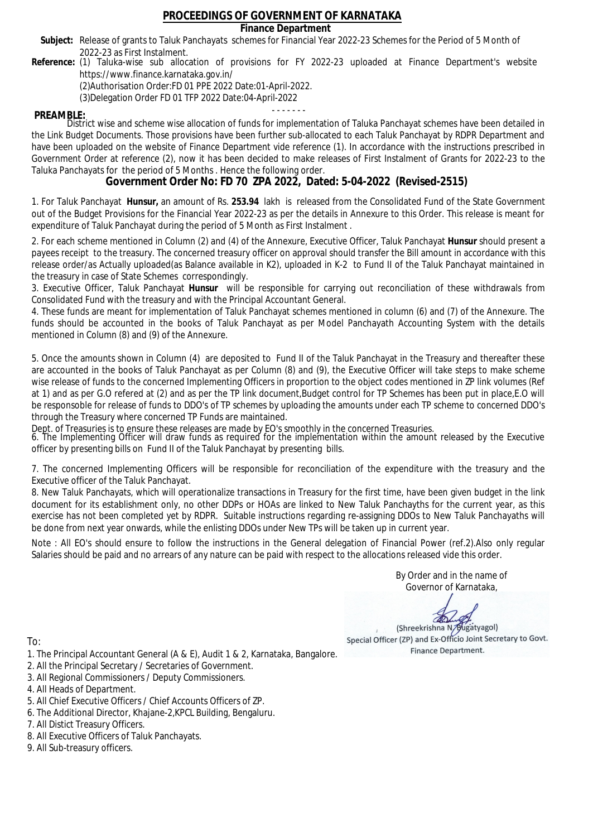## **Finance Department**

- Subject: Release of grants to Taluk Panchayats schemes for Financial Year 2022-23 Schemes for the Period of 5 Month of 2022-23 as First Instalment.
- **Reference:** (1) Taluka-wise sub allocation of provisions for FY 2022-23 uploaded at Finance Department's website https://www.finance.karnataka.gov.in/

(2)Authorisation Order:FD 01 PPE 2022 Date:01-April-2022.

(3)Delegation Order FD 01 TFP 2022 Date:04-April-2022

- - - - - - - **PREAMBLE:** District wise and scheme wise allocation of funds for implementation of Taluka Panchayat schemes have been detailed in the Link Budget Documents. Those provisions have been further sub-allocated to each Taluk Panchayat by RDPR Department and have been uploaded on the website of Finance Department vide reference (1). In accordance with the instructions prescribed in Government Order at reference (2), now it has been decided to make releases of First Instalment of Grants for 2022-23 to the Taluka Panchayats for the period of 5 Months . Hence the following order.

**Government Order No: FD 70 ZPA 2022, Dated: 5-04-2022 (Revised-2515)**

1. For Taluk Panchayat **Hunsur,** an amount of Rs. **253.94** lakh is released from the Consolidated Fund of the State Government out of the Budget Provisions for the Financial Year 2022-23 as per the details in Annexure to this Order. This release is meant for expenditure of Taluk Panchayat during the period of 5 Month as First Instalment .

2. For each scheme mentioned in Column (2) and (4) of the Annexure, Executive Officer, Taluk Panchayat **Hunsur** should present a payees receipt to the treasury. The concerned treasury officer on approval should transfer the Bill amount in accordance with this release order/as Actually uploaded(as Balance available in K2), uploaded in K-2 to Fund II of the Taluk Panchayat maintained in the treasury in case of State Schemes correspondingly.

3. Executive Officer, Taluk Panchayat **Hunsur** will be responsible for carrying out reconciliation of these withdrawals from Consolidated Fund with the treasury and with the Principal Accountant General.

4. These funds are meant for implementation of Taluk Panchayat schemes mentioned in column (6) and (7) of the Annexure. The funds should be accounted in the books of Taluk Panchayat as per Model Panchayath Accounting System with the details mentioned in Column (8) and (9) of the Annexure.

5. Once the amounts shown in Column (4) are deposited to Fund II of the Taluk Panchayat in the Treasury and thereafter these are accounted in the books of Taluk Panchayat as per Column (8) and (9), the Executive Officer will take steps to make scheme wise release of funds to the concerned Implementing Officers in proportion to the object codes mentioned in ZP link volumes (Ref at 1) and as per G.O refered at (2) and as per the TP link document,Budget control for TP Schemes has been put in place,E.O will be responsoble for release of funds to DDO's of TP schemes by uploading the amounts under each TP scheme to concerned DDO's through the Treasury where concerned TP Funds are maintained.

Dept. of Treasuries is to ensure these releases are made by EO's smoothly in the concerned Treasuries.

6. The Implementing Officer will draw funds as required for the implementation within the amount released by the Executive officer by presenting bills on Fund II of the Taluk Panchayat by presenting bills.

7. The concerned Implementing Officers will be responsible for reconciliation of the expenditure with the treasury and the Executive officer of the Taluk Panchayat.

8. New Taluk Panchayats, which will operationalize transactions in Treasury for the first time, have been given budget in the link document for its establishment only, no other DDPs or HOAs are linked to New Taluk Panchayths for the current year, as this exercise has not been completed yet by RDPR. Suitable instructions regarding re-assigning DDOs to New Taluk Panchayaths will be done from next year onwards, while the enlisting DDOs under New TPs will be taken up in current year.

Note : All EO's should ensure to follow the instructions in the General delegation of Financial Power (ref.2).Also only regular Salaries should be paid and no arrears of any nature can be paid with respect to the allocations released vide this order.

> By Order and in the name of Governor of Karnataka,

**PD** 

(Shreekrishna N/Bugatyagol) Special Officer (ZP) and Ex-Officio Joint Secretary to Govt. Finance Department.

- 1. The Principal Accountant General (A & E), Audit 1 & 2, Karnataka, Bangalore.
- 2. All the Principal Secretary / Secretaries of Government.
- 3. All Regional Commissioners / Deputy Commissioners.
- 4. All Heads of Department.
- 5. All Chief Executive Officers / Chief Accounts Officers of ZP.
- 6. The Additional Director, Khajane-2,KPCL Building, Bengaluru.
- 7. All Distict Treasury Officers.
- 8. All Executive Officers of Taluk Panchayats.
- 9. All Sub-treasury officers.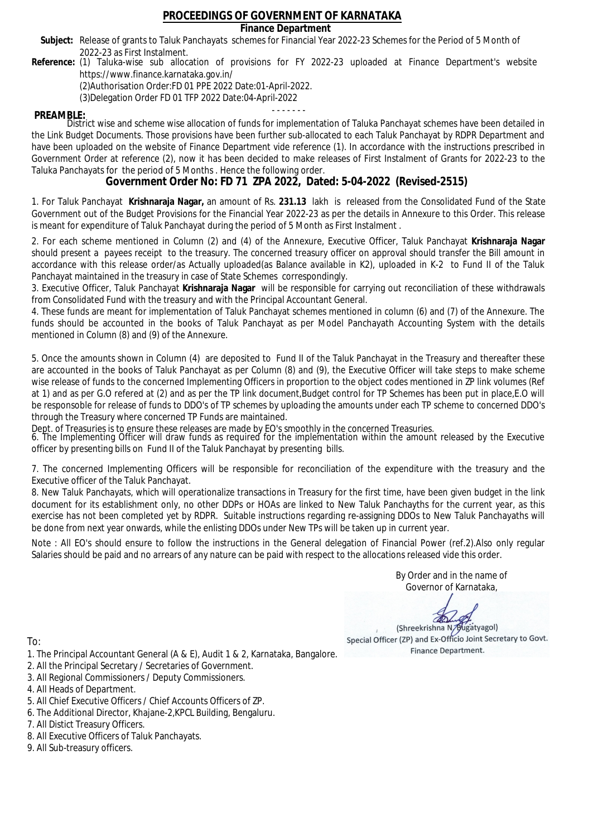## **Finance Department**

- Subject: Release of grants to Taluk Panchayats schemes for Financial Year 2022-23 Schemes for the Period of 5 Month of 2022-23 as First Instalment.
- **Reference:** (1) Taluka-wise sub allocation of provisions for FY 2022-23 uploaded at Finance Department's website https://www.finance.karnataka.gov.in/

(2)Authorisation Order:FD 01 PPE 2022 Date:01-April-2022.

(3)Delegation Order FD 01 TFP 2022 Date:04-April-2022

- - - - - - - **PREAMBLE:** District wise and scheme wise allocation of funds for implementation of Taluka Panchayat schemes have been detailed in the Link Budget Documents. Those provisions have been further sub-allocated to each Taluk Panchayat by RDPR Department and have been uploaded on the website of Finance Department vide reference (1). In accordance with the instructions prescribed in Government Order at reference (2), now it has been decided to make releases of First Instalment of Grants for 2022-23 to the Taluka Panchayats for the period of 5 Months . Hence the following order.

**Government Order No: FD 71 ZPA 2022, Dated: 5-04-2022 (Revised-2515)**

1. For Taluk Panchayat **Krishnaraja Nagar,** an amount of Rs. **231.13** lakh is released from the Consolidated Fund of the State Government out of the Budget Provisions for the Financial Year 2022-23 as per the details in Annexure to this Order. This release is meant for expenditure of Taluk Panchayat during the period of 5 Month as First Instalment .

2. For each scheme mentioned in Column (2) and (4) of the Annexure, Executive Officer, Taluk Panchayat **Krishnaraja Nagar** should present a payees receipt to the treasury. The concerned treasury officer on approval should transfer the Bill amount in accordance with this release order/as Actually uploaded(as Balance available in K2), uploaded in K-2 to Fund II of the Taluk Panchayat maintained in the treasury in case of State Schemes correspondingly.

3. Executive Officer, Taluk Panchayat **Krishnaraja Nagar** will be responsible for carrying out reconciliation of these withdrawals from Consolidated Fund with the treasury and with the Principal Accountant General.

4. These funds are meant for implementation of Taluk Panchayat schemes mentioned in column (6) and (7) of the Annexure. The funds should be accounted in the books of Taluk Panchayat as per Model Panchayath Accounting System with the details mentioned in Column (8) and (9) of the Annexure.

5. Once the amounts shown in Column (4) are deposited to Fund II of the Taluk Panchayat in the Treasury and thereafter these are accounted in the books of Taluk Panchayat as per Column (8) and (9), the Executive Officer will take steps to make scheme wise release of funds to the concerned Implementing Officers in proportion to the object codes mentioned in ZP link volumes (Ref at 1) and as per G.O refered at (2) and as per the TP link document,Budget control for TP Schemes has been put in place,E.O will be responsoble for release of funds to DDO's of TP schemes by uploading the amounts under each TP scheme to concerned DDO's through the Treasury where concerned TP Funds are maintained.

Dept. of Treasuries is to ensure these releases are made by EO's smoothly in the concerned Treasuries.

6. The Implementing Officer will draw funds as required for the implementation within the amount released by the Executive officer by presenting bills on Fund II of the Taluk Panchayat by presenting bills.

7. The concerned Implementing Officers will be responsible for reconciliation of the expenditure with the treasury and the Executive officer of the Taluk Panchayat.

8. New Taluk Panchayats, which will operationalize transactions in Treasury for the first time, have been given budget in the link document for its establishment only, no other DDPs or HOAs are linked to New Taluk Panchayths for the current year, as this exercise has not been completed yet by RDPR. Suitable instructions regarding re-assigning DDOs to New Taluk Panchayaths will be done from next year onwards, while the enlisting DDOs under New TPs will be taken up in current year.

Note : All EO's should ensure to follow the instructions in the General delegation of Financial Power (ref.2).Also only regular Salaries should be paid and no arrears of any nature can be paid with respect to the allocations released vide this order.

> By Order and in the name of Governor of Karnataka,

**PD** 

(Shreekrishna N/Bugatyagol) Special Officer (ZP) and Ex-Officio Joint Secretary to Govt. Finance Department.

- 1. The Principal Accountant General (A & E), Audit 1 & 2, Karnataka, Bangalore.
- 2. All the Principal Secretary / Secretaries of Government.
- 3. All Regional Commissioners / Deputy Commissioners.
- 4. All Heads of Department.
- 5. All Chief Executive Officers / Chief Accounts Officers of ZP.
- 6. The Additional Director, Khajane-2,KPCL Building, Bengaluru.
- 7. All Distict Treasury Officers.
- 8. All Executive Officers of Taluk Panchayats.
- 9. All Sub-treasury officers.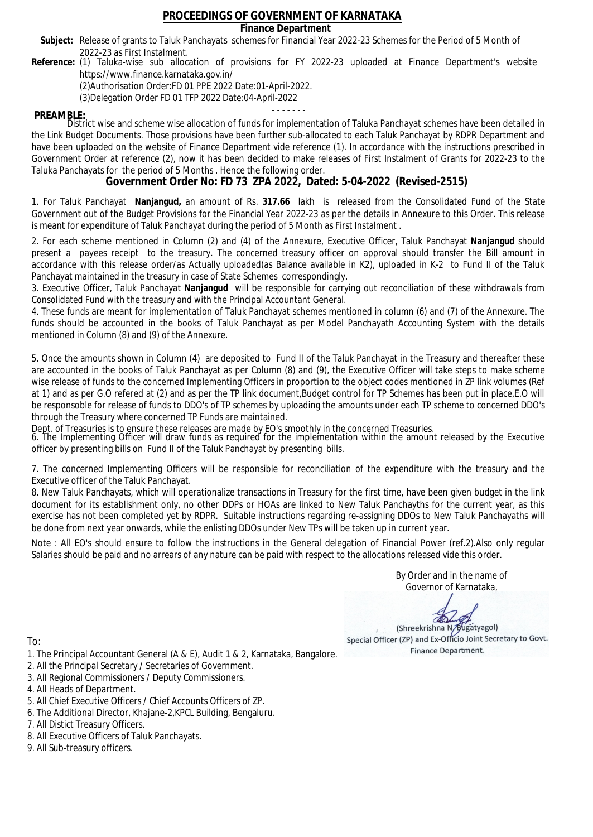## **Finance Department**

- Subject: Release of grants to Taluk Panchayats schemes for Financial Year 2022-23 Schemes for the Period of 5 Month of 2022-23 as First Instalment.
- **Reference:** (1) Taluka-wise sub allocation of provisions for FY 2022-23 uploaded at Finance Department's website https://www.finance.karnataka.gov.in/

(2)Authorisation Order:FD 01 PPE 2022 Date:01-April-2022.

(3)Delegation Order FD 01 TFP 2022 Date:04-April-2022

- - - - - - - **PREAMBLE:** District wise and scheme wise allocation of funds for implementation of Taluka Panchayat schemes have been detailed in the Link Budget Documents. Those provisions have been further sub-allocated to each Taluk Panchayat by RDPR Department and have been uploaded on the website of Finance Department vide reference (1). In accordance with the instructions prescribed in Government Order at reference (2), now it has been decided to make releases of First Instalment of Grants for 2022-23 to the Taluka Panchayats for the period of 5 Months . Hence the following order.

**Government Order No: FD 73 ZPA 2022, Dated: 5-04-2022 (Revised-2515)**

1. For Taluk Panchayat **Nanjangud,** an amount of Rs. **317.66** lakh is released from the Consolidated Fund of the State Government out of the Budget Provisions for the Financial Year 2022-23 as per the details in Annexure to this Order. This release is meant for expenditure of Taluk Panchayat during the period of 5 Month as First Instalment .

2. For each scheme mentioned in Column (2) and (4) of the Annexure, Executive Officer, Taluk Panchayat **Nanjangud** should present a payees receipt to the treasury. The concerned treasury officer on approval should transfer the Bill amount in accordance with this release order/as Actually uploaded(as Balance available in K2), uploaded in K-2 to Fund II of the Taluk Panchayat maintained in the treasury in case of State Schemes correspondingly.

3. Executive Officer, Taluk Panchayat **Nanjangud** will be responsible for carrying out reconciliation of these withdrawals from Consolidated Fund with the treasury and with the Principal Accountant General.

4. These funds are meant for implementation of Taluk Panchayat schemes mentioned in column (6) and (7) of the Annexure. The funds should be accounted in the books of Taluk Panchayat as per Model Panchayath Accounting System with the details mentioned in Column (8) and (9) of the Annexure.

5. Once the amounts shown in Column (4) are deposited to Fund II of the Taluk Panchayat in the Treasury and thereafter these are accounted in the books of Taluk Panchayat as per Column (8) and (9), the Executive Officer will take steps to make scheme wise release of funds to the concerned Implementing Officers in proportion to the object codes mentioned in ZP link volumes (Ref at 1) and as per G.O refered at (2) and as per the TP link document,Budget control for TP Schemes has been put in place,E.O will be responsoble for release of funds to DDO's of TP schemes by uploading the amounts under each TP scheme to concerned DDO's through the Treasury where concerned TP Funds are maintained.

Dept. of Treasuries is to ensure these releases are made by EO's smoothly in the concerned Treasuries.

6. The Implementing Officer will draw funds as required for the implementation within the amount released by the Executive officer by presenting bills on Fund II of the Taluk Panchayat by presenting bills.

7. The concerned Implementing Officers will be responsible for reconciliation of the expenditure with the treasury and the Executive officer of the Taluk Panchayat.

8. New Taluk Panchayats, which will operationalize transactions in Treasury for the first time, have been given budget in the link document for its establishment only, no other DDPs or HOAs are linked to New Taluk Panchayths for the current year, as this exercise has not been completed yet by RDPR. Suitable instructions regarding re-assigning DDOs to New Taluk Panchayaths will be done from next year onwards, while the enlisting DDOs under New TPs will be taken up in current year.

Note : All EO's should ensure to follow the instructions in the General delegation of Financial Power (ref.2).Also only regular Salaries should be paid and no arrears of any nature can be paid with respect to the allocations released vide this order.

> By Order and in the name of Governor of Karnataka,

**PD** 

(Shreekrishna N/Bugatyagol) Special Officer (ZP) and Ex-Officio Joint Secretary to Govt. Finance Department.

- 1. The Principal Accountant General (A & E), Audit 1 & 2, Karnataka, Bangalore.
- 2. All the Principal Secretary / Secretaries of Government.
- 3. All Regional Commissioners / Deputy Commissioners.
- 4. All Heads of Department.
- 5. All Chief Executive Officers / Chief Accounts Officers of ZP.
- 6. The Additional Director, Khajane-2,KPCL Building, Bengaluru.
- 7. All Distict Treasury Officers.
- 8. All Executive Officers of Taluk Panchayats.
- 9. All Sub-treasury officers.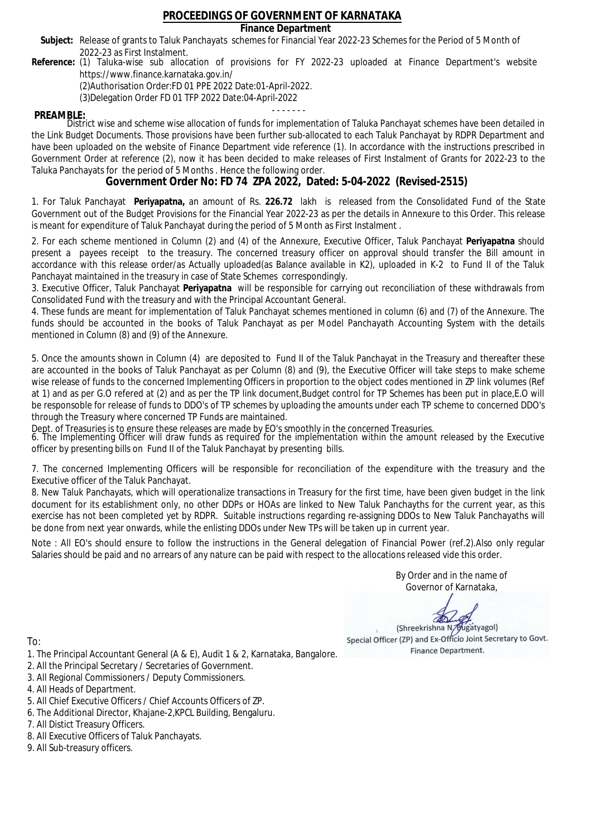## **Finance Department**

- Subject: Release of grants to Taluk Panchayats schemes for Financial Year 2022-23 Schemes for the Period of 5 Month of 2022-23 as First Instalment.
- **Reference:** (1) Taluka-wise sub allocation of provisions for FY 2022-23 uploaded at Finance Department's website https://www.finance.karnataka.gov.in/

(2)Authorisation Order:FD 01 PPE 2022 Date:01-April-2022.

(3)Delegation Order FD 01 TFP 2022 Date:04-April-2022

- - - - - - - **PREAMBLE:** District wise and scheme wise allocation of funds for implementation of Taluka Panchayat schemes have been detailed in the Link Budget Documents. Those provisions have been further sub-allocated to each Taluk Panchayat by RDPR Department and have been uploaded on the website of Finance Department vide reference (1). In accordance with the instructions prescribed in Government Order at reference (2), now it has been decided to make releases of First Instalment of Grants for 2022-23 to the Taluka Panchayats for the period of 5 Months . Hence the following order.

**Government Order No: FD 74 ZPA 2022, Dated: 5-04-2022 (Revised-2515)**

1. For Taluk Panchayat **Periyapatna,** an amount of Rs. **226.72** lakh is released from the Consolidated Fund of the State Government out of the Budget Provisions for the Financial Year 2022-23 as per the details in Annexure to this Order. This release is meant for expenditure of Taluk Panchayat during the period of 5 Month as First Instalment .

2. For each scheme mentioned in Column (2) and (4) of the Annexure, Executive Officer, Taluk Panchayat **Periyapatna** should present a payees receipt to the treasury. The concerned treasury officer on approval should transfer the Bill amount in accordance with this release order/as Actually uploaded(as Balance available in K2), uploaded in K-2 to Fund II of the Taluk Panchayat maintained in the treasury in case of State Schemes correspondingly.

3. Executive Officer, Taluk Panchayat **Periyapatna** will be responsible for carrying out reconciliation of these withdrawals from Consolidated Fund with the treasury and with the Principal Accountant General.

4. These funds are meant for implementation of Taluk Panchayat schemes mentioned in column (6) and (7) of the Annexure. The funds should be accounted in the books of Taluk Panchayat as per Model Panchayath Accounting System with the details mentioned in Column (8) and (9) of the Annexure.

5. Once the amounts shown in Column (4) are deposited to Fund II of the Taluk Panchayat in the Treasury and thereafter these are accounted in the books of Taluk Panchayat as per Column (8) and (9), the Executive Officer will take steps to make scheme wise release of funds to the concerned Implementing Officers in proportion to the object codes mentioned in ZP link volumes (Ref at 1) and as per G.O refered at (2) and as per the TP link document,Budget control for TP Schemes has been put in place,E.O will be responsoble for release of funds to DDO's of TP schemes by uploading the amounts under each TP scheme to concerned DDO's through the Treasury where concerned TP Funds are maintained.

Dept. of Treasuries is to ensure these releases are made by EO's smoothly in the concerned Treasuries.

6. The Implementing Officer will draw funds as required for the implementation within the amount released by the Executive officer by presenting bills on Fund II of the Taluk Panchayat by presenting bills.

7. The concerned Implementing Officers will be responsible for reconciliation of the expenditure with the treasury and the Executive officer of the Taluk Panchayat.

8. New Taluk Panchayats, which will operationalize transactions in Treasury for the first time, have been given budget in the link document for its establishment only, no other DDPs or HOAs are linked to New Taluk Panchayths for the current year, as this exercise has not been completed yet by RDPR. Suitable instructions regarding re-assigning DDOs to New Taluk Panchayaths will be done from next year onwards, while the enlisting DDOs under New TPs will be taken up in current year.

Note : All EO's should ensure to follow the instructions in the General delegation of Financial Power (ref.2).Also only regular Salaries should be paid and no arrears of any nature can be paid with respect to the allocations released vide this order.

> By Order and in the name of Governor of Karnataka,

**PD** 

(Shreekrishna N/Bugatyagol) Special Officer (ZP) and Ex-Officio Joint Secretary to Govt. Finance Department.

- 1. The Principal Accountant General (A & E), Audit 1 & 2, Karnataka, Bangalore.
- 2. All the Principal Secretary / Secretaries of Government.
- 3. All Regional Commissioners / Deputy Commissioners.
- 4. All Heads of Department.
- 5. All Chief Executive Officers / Chief Accounts Officers of ZP.
- 6. The Additional Director, Khajane-2,KPCL Building, Bengaluru.
- 7. All Distict Treasury Officers.
- 8. All Executive Officers of Taluk Panchayats.
- 9. All Sub-treasury officers.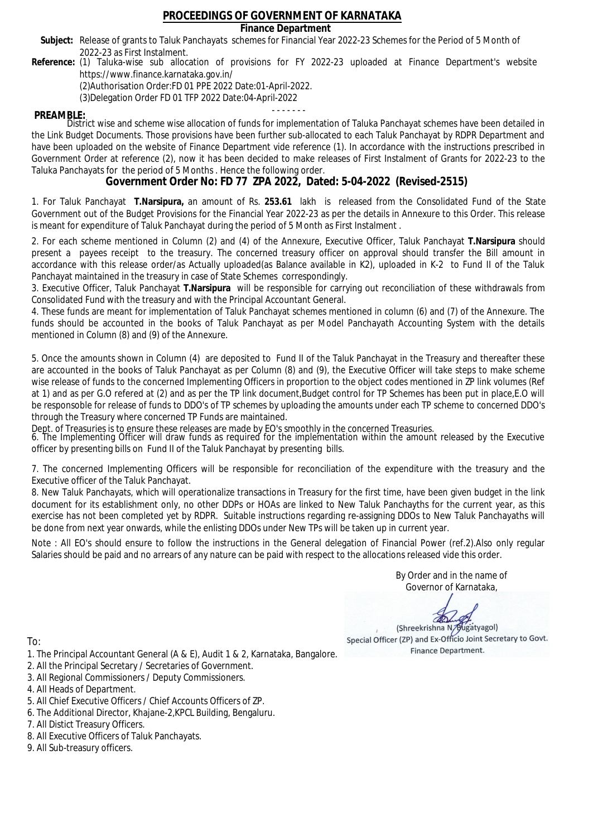## **Finance Department**

- Subject: Release of grants to Taluk Panchayats schemes for Financial Year 2022-23 Schemes for the Period of 5 Month of 2022-23 as First Instalment.
- **Reference:** (1) Taluka-wise sub allocation of provisions for FY 2022-23 uploaded at Finance Department's website https://www.finance.karnataka.gov.in/

(2)Authorisation Order:FD 01 PPE 2022 Date:01-April-2022.

(3)Delegation Order FD 01 TFP 2022 Date:04-April-2022

- - - - - - - **PREAMBLE:** District wise and scheme wise allocation of funds for implementation of Taluka Panchayat schemes have been detailed in the Link Budget Documents. Those provisions have been further sub-allocated to each Taluk Panchayat by RDPR Department and have been uploaded on the website of Finance Department vide reference (1). In accordance with the instructions prescribed in Government Order at reference (2), now it has been decided to make releases of First Instalment of Grants for 2022-23 to the Taluka Panchayats for the period of 5 Months . Hence the following order.

**Government Order No: FD 77 ZPA 2022, Dated: 5-04-2022 (Revised-2515)**

1. For Taluk Panchayat **T.Narsipura,** an amount of Rs. **253.61** lakh is released from the Consolidated Fund of the State Government out of the Budget Provisions for the Financial Year 2022-23 as per the details in Annexure to this Order. This release is meant for expenditure of Taluk Panchayat during the period of 5 Month as First Instalment .

2. For each scheme mentioned in Column (2) and (4) of the Annexure, Executive Officer, Taluk Panchayat **T.Narsipura** should present a payees receipt to the treasury. The concerned treasury officer on approval should transfer the Bill amount in accordance with this release order/as Actually uploaded(as Balance available in K2), uploaded in K-2 to Fund II of the Taluk Panchayat maintained in the treasury in case of State Schemes correspondingly.

3. Executive Officer, Taluk Panchayat **T.Narsipura** will be responsible for carrying out reconciliation of these withdrawals from Consolidated Fund with the treasury and with the Principal Accountant General.

4. These funds are meant for implementation of Taluk Panchayat schemes mentioned in column (6) and (7) of the Annexure. The funds should be accounted in the books of Taluk Panchayat as per Model Panchayath Accounting System with the details mentioned in Column (8) and (9) of the Annexure.

5. Once the amounts shown in Column (4) are deposited to Fund II of the Taluk Panchayat in the Treasury and thereafter these are accounted in the books of Taluk Panchayat as per Column (8) and (9), the Executive Officer will take steps to make scheme wise release of funds to the concerned Implementing Officers in proportion to the object codes mentioned in ZP link volumes (Ref at 1) and as per G.O refered at (2) and as per the TP link document,Budget control for TP Schemes has been put in place,E.O will be responsoble for release of funds to DDO's of TP schemes by uploading the amounts under each TP scheme to concerned DDO's through the Treasury where concerned TP Funds are maintained.

Dept. of Treasuries is to ensure these releases are made by EO's smoothly in the concerned Treasuries.

6. The Implementing Officer will draw funds as required for the implementation within the amount released by the Executive officer by presenting bills on Fund II of the Taluk Panchayat by presenting bills.

7. The concerned Implementing Officers will be responsible for reconciliation of the expenditure with the treasury and the Executive officer of the Taluk Panchayat.

8. New Taluk Panchayats, which will operationalize transactions in Treasury for the first time, have been given budget in the link document for its establishment only, no other DDPs or HOAs are linked to New Taluk Panchayths for the current year, as this exercise has not been completed yet by RDPR. Suitable instructions regarding re-assigning DDOs to New Taluk Panchayaths will be done from next year onwards, while the enlisting DDOs under New TPs will be taken up in current year.

Note : All EO's should ensure to follow the instructions in the General delegation of Financial Power (ref.2).Also only regular Salaries should be paid and no arrears of any nature can be paid with respect to the allocations released vide this order.

> By Order and in the name of Governor of Karnataka,

**PD** 

(Shreekrishna N/Bugatyagol) Special Officer (ZP) and Ex-Officio Joint Secretary to Govt. Finance Department.

- 1. The Principal Accountant General (A & E), Audit 1 & 2, Karnataka, Bangalore.
- 2. All the Principal Secretary / Secretaries of Government.
- 3. All Regional Commissioners / Deputy Commissioners.
- 4. All Heads of Department.
- 5. All Chief Executive Officers / Chief Accounts Officers of ZP.
- 6. The Additional Director, Khajane-2,KPCL Building, Bengaluru.
- 7. All Distict Treasury Officers.
- 8. All Executive Officers of Taluk Panchayats.
- 9. All Sub-treasury officers.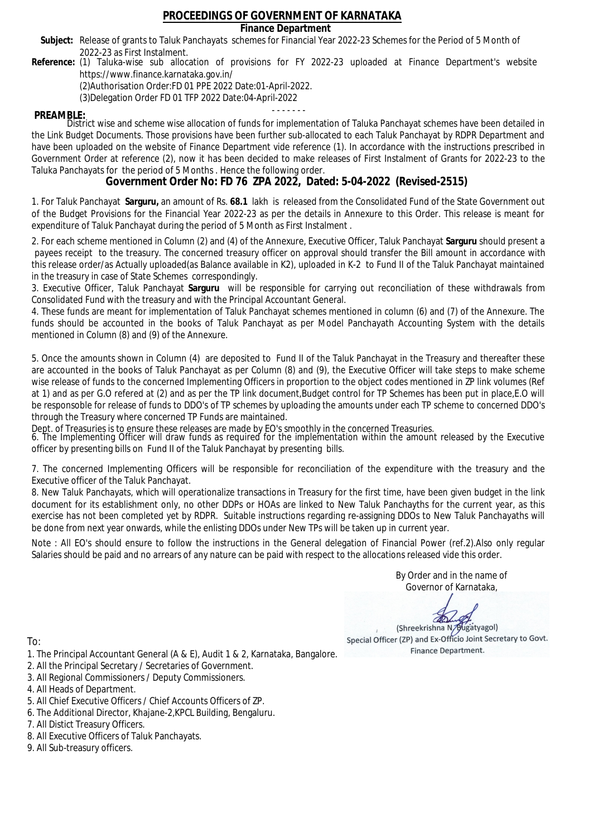## **Finance Department**

- Subject: Release of grants to Taluk Panchayats schemes for Financial Year 2022-23 Schemes for the Period of 5 Month of 2022-23 as First Instalment.
- **Reference:** (1) Taluka-wise sub allocation of provisions for FY 2022-23 uploaded at Finance Department's website https://www.finance.karnataka.gov.in/

(2)Authorisation Order:FD 01 PPE 2022 Date:01-April-2022.

(3)Delegation Order FD 01 TFP 2022 Date:04-April-2022

- - - - - - - **PREAMBLE:** District wise and scheme wise allocation of funds for implementation of Taluka Panchayat schemes have been detailed in the Link Budget Documents. Those provisions have been further sub-allocated to each Taluk Panchayat by RDPR Department and have been uploaded on the website of Finance Department vide reference (1). In accordance with the instructions prescribed in Government Order at reference (2), now it has been decided to make releases of First Instalment of Grants for 2022-23 to the Taluka Panchayats for the period of 5 Months . Hence the following order.

**Government Order No: FD 76 ZPA 2022, Dated: 5-04-2022 (Revised-2515)**

1. For Taluk Panchayat **Sarguru,** an amount of Rs. **68.1** lakh is released from the Consolidated Fund of the State Government out of the Budget Provisions for the Financial Year 2022-23 as per the details in Annexure to this Order. This release is meant for expenditure of Taluk Panchayat during the period of 5 Month as First Instalment .

2. For each scheme mentioned in Column (2) and (4) of the Annexure, Executive Officer, Taluk Panchayat **Sarguru** should present a payees receipt to the treasury. The concerned treasury officer on approval should transfer the Bill amount in accordance with this release order/as Actually uploaded(as Balance available in K2), uploaded in K-2 to Fund II of the Taluk Panchayat maintained in the treasury in case of State Schemes correspondingly.

3. Executive Officer, Taluk Panchayat **Sarguru** will be responsible for carrying out reconciliation of these withdrawals from Consolidated Fund with the treasury and with the Principal Accountant General.

4. These funds are meant for implementation of Taluk Panchayat schemes mentioned in column (6) and (7) of the Annexure. The funds should be accounted in the books of Taluk Panchayat as per Model Panchayath Accounting System with the details mentioned in Column (8) and (9) of the Annexure.

5. Once the amounts shown in Column (4) are deposited to Fund II of the Taluk Panchayat in the Treasury and thereafter these are accounted in the books of Taluk Panchayat as per Column (8) and (9), the Executive Officer will take steps to make scheme wise release of funds to the concerned Implementing Officers in proportion to the object codes mentioned in ZP link volumes (Ref at 1) and as per G.O refered at (2) and as per the TP link document,Budget control for TP Schemes has been put in place,E.O will be responsoble for release of funds to DDO's of TP schemes by uploading the amounts under each TP scheme to concerned DDO's through the Treasury where concerned TP Funds are maintained.

Dept. of Treasuries is to ensure these releases are made by EO's smoothly in the concerned Treasuries.

6. The Implementing Officer will draw funds as required for the implementation within the amount released by the Executive officer by presenting bills on Fund II of the Taluk Panchayat by presenting bills.

7. The concerned Implementing Officers will be responsible for reconciliation of the expenditure with the treasury and the Executive officer of the Taluk Panchayat.

8. New Taluk Panchayats, which will operationalize transactions in Treasury for the first time, have been given budget in the link document for its establishment only, no other DDPs or HOAs are linked to New Taluk Panchayths for the current year, as this exercise has not been completed yet by RDPR. Suitable instructions regarding re-assigning DDOs to New Taluk Panchayaths will be done from next year onwards, while the enlisting DDOs under New TPs will be taken up in current year.

Note : All EO's should ensure to follow the instructions in the General delegation of Financial Power (ref.2).Also only regular Salaries should be paid and no arrears of any nature can be paid with respect to the allocations released vide this order.

> By Order and in the name of Governor of Karnataka,

**PD** 

(Shreekrishna N/Bugatyagol) Special Officer (ZP) and Ex-Officio Joint Secretary to Govt. Finance Department.

- 1. The Principal Accountant General (A & E), Audit 1 & 2, Karnataka, Bangalore.
- 2. All the Principal Secretary / Secretaries of Government.
- 3. All Regional Commissioners / Deputy Commissioners.
- 4. All Heads of Department.
- 5. All Chief Executive Officers / Chief Accounts Officers of ZP.
- 6. The Additional Director, Khajane-2,KPCL Building, Bengaluru.
- 7. All Distict Treasury Officers.
- 8. All Executive Officers of Taluk Panchayats.
- 9. All Sub-treasury officers.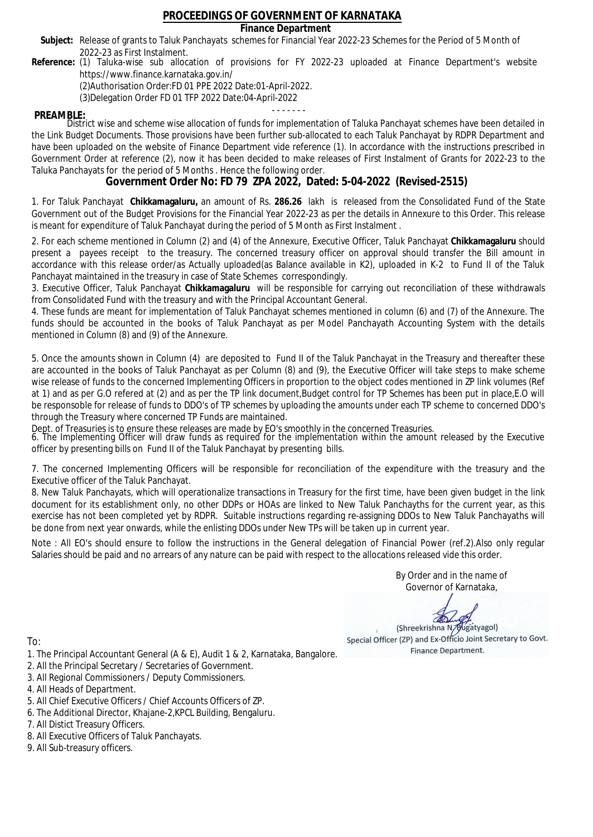## **Finance Department**

- Subject: Release of grants to Taluk Panchayats schemes for Financial Year 2022-23 Schemes for the Period of 5 Month of 2022-23 as First Instalment.
- **Reference:** (1) Taluka-wise sub allocation of provisions for FY 2022-23 uploaded at Finance Department's website https://www.finance.karnataka.gov.in/

(2)Authorisation Order:FD 01 PPE 2022 Date:01-April-2022.

(3)Delegation Order FD 01 TFP 2022 Date:04-April-2022

- - - - - - - **PREAMBLE:** District wise and scheme wise allocation of funds for implementation of Taluka Panchayat schemes have been detailed in the Link Budget Documents. Those provisions have been further sub-allocated to each Taluk Panchayat by RDPR Department and have been uploaded on the website of Finance Department vide reference (1). In accordance with the instructions prescribed in Government Order at reference (2), now it has been decided to make releases of First Instalment of Grants for 2022-23 to the Taluka Panchayats for the period of 5 Months . Hence the following order.

**Government Order No: FD 79 ZPA 2022, Dated: 5-04-2022 (Revised-2515)**

1. For Taluk Panchayat **Chikkamagaluru,** an amount of Rs. **286.26** lakh is released from the Consolidated Fund of the State Government out of the Budget Provisions for the Financial Year 2022-23 as per the details in Annexure to this Order. This release is meant for expenditure of Taluk Panchayat during the period of 5 Month as First Instalment .

2. For each scheme mentioned in Column (2) and (4) of the Annexure, Executive Officer, Taluk Panchayat **Chikkamagaluru** should present a payees receipt to the treasury. The concerned treasury officer on approval should transfer the Bill amount in accordance with this release order/as Actually uploaded(as Balance available in K2), uploaded in K-2 to Fund II of the Taluk Panchayat maintained in the treasury in case of State Schemes correspondingly.

3. Executive Officer, Taluk Panchayat **Chikkamagaluru** will be responsible for carrying out reconciliation of these withdrawals from Consolidated Fund with the treasury and with the Principal Accountant General.

4. These funds are meant for implementation of Taluk Panchayat schemes mentioned in column (6) and (7) of the Annexure. The funds should be accounted in the books of Taluk Panchayat as per Model Panchayath Accounting System with the details mentioned in Column (8) and (9) of the Annexure.

5. Once the amounts shown in Column (4) are deposited to Fund II of the Taluk Panchayat in the Treasury and thereafter these are accounted in the books of Taluk Panchayat as per Column (8) and (9), the Executive Officer will take steps to make scheme wise release of funds to the concerned Implementing Officers in proportion to the object codes mentioned in ZP link volumes (Ref at 1) and as per G.O refered at (2) and as per the TP link document,Budget control for TP Schemes has been put in place,E.O will be responsoble for release of funds to DDO's of TP schemes by uploading the amounts under each TP scheme to concerned DDO's through the Treasury where concerned TP Funds are maintained.

Dept. of Treasuries is to ensure these releases are made by EO's smoothly in the concerned Treasuries.

6. The Implementing Officer will draw funds as required for the implementation within the amount released by the Executive officer by presenting bills on Fund II of the Taluk Panchayat by presenting bills.

7. The concerned Implementing Officers will be responsible for reconciliation of the expenditure with the treasury and the Executive officer of the Taluk Panchayat.

8. New Taluk Panchayats, which will operationalize transactions in Treasury for the first time, have been given budget in the link document for its establishment only, no other DDPs or HOAs are linked to New Taluk Panchayths for the current year, as this exercise has not been completed yet by RDPR. Suitable instructions regarding re-assigning DDOs to New Taluk Panchayaths will be done from next year onwards, while the enlisting DDOs under New TPs will be taken up in current year.

Note : All EO's should ensure to follow the instructions in the General delegation of Financial Power (ref.2).Also only regular Salaries should be paid and no arrears of any nature can be paid with respect to the allocations released vide this order.

> By Order and in the name of Governor of Karnataka,

**PD** 

(Shreekrishna N/Bugatyagol) Special Officer (ZP) and Ex-Officio Joint Secretary to Govt. Finance Department.

- 1. The Principal Accountant General (A & E), Audit 1 & 2, Karnataka, Bangalore.
- 2. All the Principal Secretary / Secretaries of Government.
- 3. All Regional Commissioners / Deputy Commissioners.
- 4. All Heads of Department.
- 5. All Chief Executive Officers / Chief Accounts Officers of ZP.
- 6. The Additional Director, Khajane-2,KPCL Building, Bengaluru.
- 7. All Distict Treasury Officers.
- 8. All Executive Officers of Taluk Panchayats.
- 9. All Sub-treasury officers.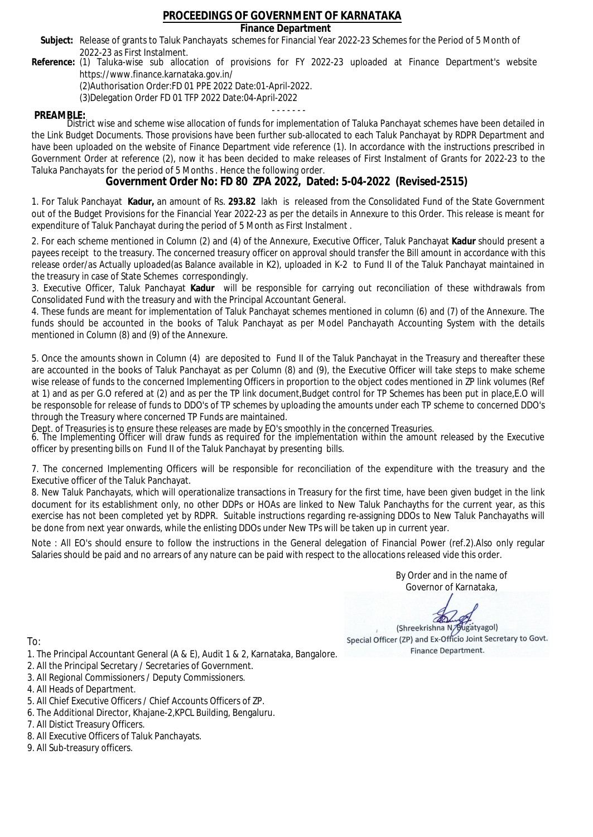## **Finance Department**

- Subject: Release of grants to Taluk Panchayats schemes for Financial Year 2022-23 Schemes for the Period of 5 Month of 2022-23 as First Instalment.
- **Reference:** (1) Taluka-wise sub allocation of provisions for FY 2022-23 uploaded at Finance Department's website https://www.finance.karnataka.gov.in/

(2)Authorisation Order:FD 01 PPE 2022 Date:01-April-2022.

(3)Delegation Order FD 01 TFP 2022 Date:04-April-2022

- - - - - - - **PREAMBLE:** District wise and scheme wise allocation of funds for implementation of Taluka Panchayat schemes have been detailed in the Link Budget Documents. Those provisions have been further sub-allocated to each Taluk Panchayat by RDPR Department and have been uploaded on the website of Finance Department vide reference (1). In accordance with the instructions prescribed in Government Order at reference (2), now it has been decided to make releases of First Instalment of Grants for 2022-23 to the Taluka Panchayats for the period of 5 Months . Hence the following order.

**Government Order No: FD 80 ZPA 2022, Dated: 5-04-2022 (Revised-2515)**

1. For Taluk Panchayat **Kadur,** an amount of Rs. **293.82** lakh is released from the Consolidated Fund of the State Government out of the Budget Provisions for the Financial Year 2022-23 as per the details in Annexure to this Order. This release is meant for expenditure of Taluk Panchayat during the period of 5 Month as First Instalment .

2. For each scheme mentioned in Column (2) and (4) of the Annexure, Executive Officer, Taluk Panchayat **Kadur** should present a payees receipt to the treasury. The concerned treasury officer on approval should transfer the Bill amount in accordance with this release order/as Actually uploaded(as Balance available in K2), uploaded in K-2 to Fund II of the Taluk Panchayat maintained in the treasury in case of State Schemes correspondingly.

3. Executive Officer, Taluk Panchayat **Kadur** will be responsible for carrying out reconciliation of these withdrawals from Consolidated Fund with the treasury and with the Principal Accountant General.

4. These funds are meant for implementation of Taluk Panchayat schemes mentioned in column (6) and (7) of the Annexure. The funds should be accounted in the books of Taluk Panchayat as per Model Panchayath Accounting System with the details mentioned in Column (8) and (9) of the Annexure.

5. Once the amounts shown in Column (4) are deposited to Fund II of the Taluk Panchayat in the Treasury and thereafter these are accounted in the books of Taluk Panchayat as per Column (8) and (9), the Executive Officer will take steps to make scheme wise release of funds to the concerned Implementing Officers in proportion to the object codes mentioned in ZP link volumes (Ref at 1) and as per G.O refered at (2) and as per the TP link document,Budget control for TP Schemes has been put in place,E.O will be responsoble for release of funds to DDO's of TP schemes by uploading the amounts under each TP scheme to concerned DDO's through the Treasury where concerned TP Funds are maintained.

Dept. of Treasuries is to ensure these releases are made by EO's smoothly in the concerned Treasuries.

6. The Implementing Officer will draw funds as required for the implementation within the amount released by the Executive officer by presenting bills on Fund II of the Taluk Panchayat by presenting bills.

7. The concerned Implementing Officers will be responsible for reconciliation of the expenditure with the treasury and the Executive officer of the Taluk Panchayat.

8. New Taluk Panchayats, which will operationalize transactions in Treasury for the first time, have been given budget in the link document for its establishment only, no other DDPs or HOAs are linked to New Taluk Panchayths for the current year, as this exercise has not been completed yet by RDPR. Suitable instructions regarding re-assigning DDOs to New Taluk Panchayaths will be done from next year onwards, while the enlisting DDOs under New TPs will be taken up in current year.

Note : All EO's should ensure to follow the instructions in the General delegation of Financial Power (ref.2).Also only regular Salaries should be paid and no arrears of any nature can be paid with respect to the allocations released vide this order.

> By Order and in the name of Governor of Karnataka,

**PD** 

(Shreekrishna N/Bugatyagol) Special Officer (ZP) and Ex-Officio Joint Secretary to Govt. Finance Department.

- 1. The Principal Accountant General (A & E), Audit 1 & 2, Karnataka, Bangalore.
- 2. All the Principal Secretary / Secretaries of Government.
- 3. All Regional Commissioners / Deputy Commissioners.
- 4. All Heads of Department.
- 5. All Chief Executive Officers / Chief Accounts Officers of ZP.
- 6. The Additional Director, Khajane-2,KPCL Building, Bengaluru.
- 7. All Distict Treasury Officers.
- 8. All Executive Officers of Taluk Panchayats.
- 9. All Sub-treasury officers.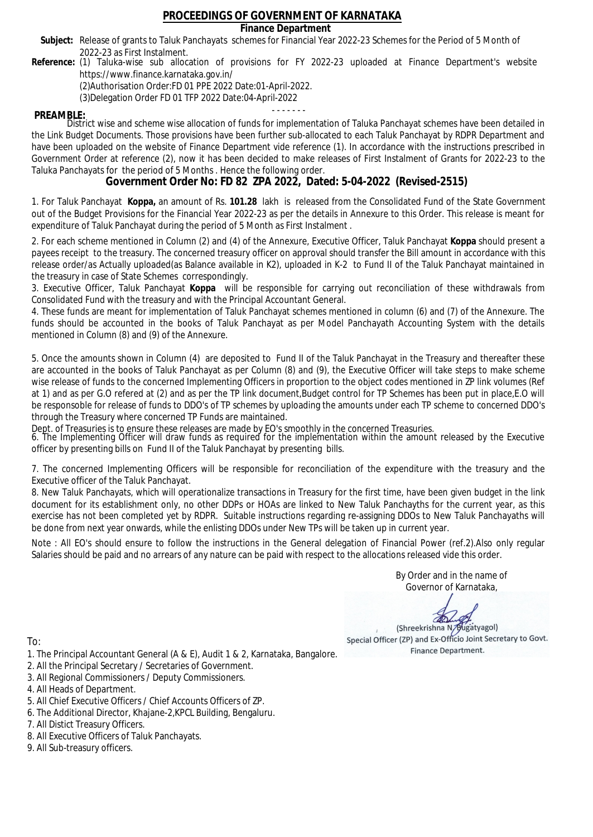## **Finance Department**

- Subject: Release of grants to Taluk Panchayats schemes for Financial Year 2022-23 Schemes for the Period of 5 Month of 2022-23 as First Instalment.
- **Reference:** (1) Taluka-wise sub allocation of provisions for FY 2022-23 uploaded at Finance Department's website https://www.finance.karnataka.gov.in/

(2)Authorisation Order:FD 01 PPE 2022 Date:01-April-2022.

(3)Delegation Order FD 01 TFP 2022 Date:04-April-2022

- - - - - - - **PREAMBLE:** District wise and scheme wise allocation of funds for implementation of Taluka Panchayat schemes have been detailed in the Link Budget Documents. Those provisions have been further sub-allocated to each Taluk Panchayat by RDPR Department and have been uploaded on the website of Finance Department vide reference (1). In accordance with the instructions prescribed in Government Order at reference (2), now it has been decided to make releases of First Instalment of Grants for 2022-23 to the Taluka Panchayats for the period of 5 Months . Hence the following order.

**Government Order No: FD 82 ZPA 2022, Dated: 5-04-2022 (Revised-2515)**

1. For Taluk Panchayat **Koppa,** an amount of Rs. **101.28** lakh is released from the Consolidated Fund of the State Government out of the Budget Provisions for the Financial Year 2022-23 as per the details in Annexure to this Order. This release is meant for expenditure of Taluk Panchayat during the period of 5 Month as First Instalment .

2. For each scheme mentioned in Column (2) and (4) of the Annexure, Executive Officer, Taluk Panchayat **Koppa** should present a payees receipt to the treasury. The concerned treasury officer on approval should transfer the Bill amount in accordance with this release order/as Actually uploaded(as Balance available in K2), uploaded in K-2 to Fund II of the Taluk Panchayat maintained in the treasury in case of State Schemes correspondingly.

3. Executive Officer, Taluk Panchayat **Koppa** will be responsible for carrying out reconciliation of these withdrawals from Consolidated Fund with the treasury and with the Principal Accountant General.

4. These funds are meant for implementation of Taluk Panchayat schemes mentioned in column (6) and (7) of the Annexure. The funds should be accounted in the books of Taluk Panchayat as per Model Panchayath Accounting System with the details mentioned in Column (8) and (9) of the Annexure.

5. Once the amounts shown in Column (4) are deposited to Fund II of the Taluk Panchayat in the Treasury and thereafter these are accounted in the books of Taluk Panchayat as per Column (8) and (9), the Executive Officer will take steps to make scheme wise release of funds to the concerned Implementing Officers in proportion to the object codes mentioned in ZP link volumes (Ref at 1) and as per G.O refered at (2) and as per the TP link document,Budget control for TP Schemes has been put in place,E.O will be responsoble for release of funds to DDO's of TP schemes by uploading the amounts under each TP scheme to concerned DDO's through the Treasury where concerned TP Funds are maintained.

Dept. of Treasuries is to ensure these releases are made by EO's smoothly in the concerned Treasuries.

6. The Implementing Officer will draw funds as required for the implementation within the amount released by the Executive officer by presenting bills on Fund II of the Taluk Panchayat by presenting bills.

7. The concerned Implementing Officers will be responsible for reconciliation of the expenditure with the treasury and the Executive officer of the Taluk Panchayat.

8. New Taluk Panchayats, which will operationalize transactions in Treasury for the first time, have been given budget in the link document for its establishment only, no other DDPs or HOAs are linked to New Taluk Panchayths for the current year, as this exercise has not been completed yet by RDPR. Suitable instructions regarding re-assigning DDOs to New Taluk Panchayaths will be done from next year onwards, while the enlisting DDOs under New TPs will be taken up in current year.

Note : All EO's should ensure to follow the instructions in the General delegation of Financial Power (ref.2).Also only regular Salaries should be paid and no arrears of any nature can be paid with respect to the allocations released vide this order.

> By Order and in the name of Governor of Karnataka,

**PD** 

(Shreekrishna N/Bugatyagol) Special Officer (ZP) and Ex-Officio Joint Secretary to Govt. Finance Department.

To:

- 1. The Principal Accountant General (A & E), Audit 1 & 2, Karnataka, Bangalore.
- 2. All the Principal Secretary / Secretaries of Government.
- 3. All Regional Commissioners / Deputy Commissioners.
- 4. All Heads of Department.
- 5. All Chief Executive Officers / Chief Accounts Officers of ZP.
- 6. The Additional Director, Khajane-2,KPCL Building, Bengaluru.

- 8. All Executive Officers of Taluk Panchayats.
- 9. All Sub-treasury officers.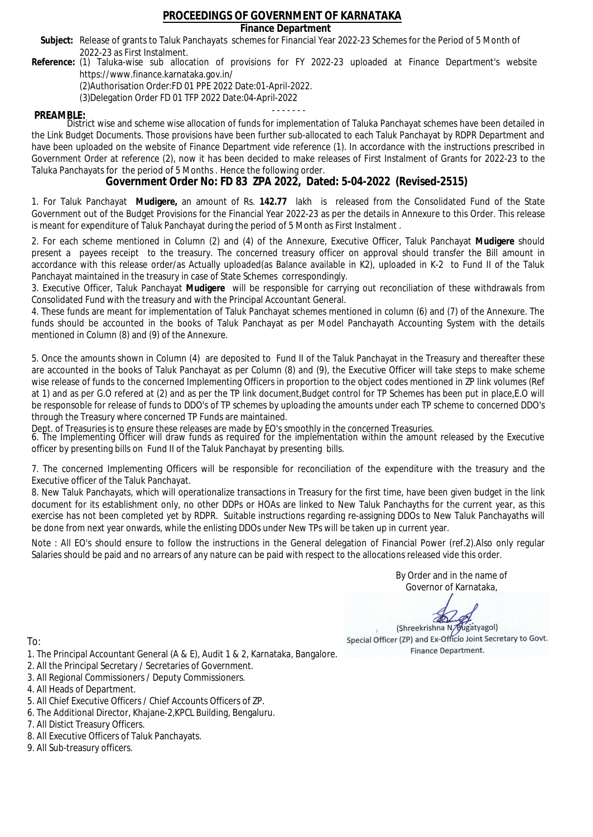## **Finance Department**

- Subject: Release of grants to Taluk Panchayats schemes for Financial Year 2022-23 Schemes for the Period of 5 Month of 2022-23 as First Instalment.
- **Reference:** (1) Taluka-wise sub allocation of provisions for FY 2022-23 uploaded at Finance Department's website https://www.finance.karnataka.gov.in/

(2)Authorisation Order:FD 01 PPE 2022 Date:01-April-2022.

(3)Delegation Order FD 01 TFP 2022 Date:04-April-2022

- - - - - - - **PREAMBLE:** District wise and scheme wise allocation of funds for implementation of Taluka Panchayat schemes have been detailed in the Link Budget Documents. Those provisions have been further sub-allocated to each Taluk Panchayat by RDPR Department and have been uploaded on the website of Finance Department vide reference (1). In accordance with the instructions prescribed in Government Order at reference (2), now it has been decided to make releases of First Instalment of Grants for 2022-23 to the Taluka Panchayats for the period of 5 Months . Hence the following order.

**Government Order No: FD 83 ZPA 2022, Dated: 5-04-2022 (Revised-2515)**

1. For Taluk Panchayat **Mudigere,** an amount of Rs. **142.77** lakh is released from the Consolidated Fund of the State Government out of the Budget Provisions for the Financial Year 2022-23 as per the details in Annexure to this Order. This release is meant for expenditure of Taluk Panchayat during the period of 5 Month as First Instalment .

2. For each scheme mentioned in Column (2) and (4) of the Annexure, Executive Officer, Taluk Panchayat **Mudigere** should present a payees receipt to the treasury. The concerned treasury officer on approval should transfer the Bill amount in accordance with this release order/as Actually uploaded(as Balance available in K2), uploaded in K-2 to Fund II of the Taluk Panchayat maintained in the treasury in case of State Schemes correspondingly.

3. Executive Officer, Taluk Panchayat **Mudigere** will be responsible for carrying out reconciliation of these withdrawals from Consolidated Fund with the treasury and with the Principal Accountant General.

4. These funds are meant for implementation of Taluk Panchayat schemes mentioned in column (6) and (7) of the Annexure. The funds should be accounted in the books of Taluk Panchayat as per Model Panchayath Accounting System with the details mentioned in Column (8) and (9) of the Annexure.

5. Once the amounts shown in Column (4) are deposited to Fund II of the Taluk Panchayat in the Treasury and thereafter these are accounted in the books of Taluk Panchayat as per Column (8) and (9), the Executive Officer will take steps to make scheme wise release of funds to the concerned Implementing Officers in proportion to the object codes mentioned in ZP link volumes (Ref at 1) and as per G.O refered at (2) and as per the TP link document,Budget control for TP Schemes has been put in place,E.O will be responsoble for release of funds to DDO's of TP schemes by uploading the amounts under each TP scheme to concerned DDO's through the Treasury where concerned TP Funds are maintained.

Dept. of Treasuries is to ensure these releases are made by EO's smoothly in the concerned Treasuries.

6. The Implementing Officer will draw funds as required for the implementation within the amount released by the Executive officer by presenting bills on Fund II of the Taluk Panchayat by presenting bills.

7. The concerned Implementing Officers will be responsible for reconciliation of the expenditure with the treasury and the Executive officer of the Taluk Panchayat.

8. New Taluk Panchayats, which will operationalize transactions in Treasury for the first time, have been given budget in the link document for its establishment only, no other DDPs or HOAs are linked to New Taluk Panchayths for the current year, as this exercise has not been completed yet by RDPR. Suitable instructions regarding re-assigning DDOs to New Taluk Panchayaths will be done from next year onwards, while the enlisting DDOs under New TPs will be taken up in current year.

Note : All EO's should ensure to follow the instructions in the General delegation of Financial Power (ref.2).Also only regular Salaries should be paid and no arrears of any nature can be paid with respect to the allocations released vide this order.

> By Order and in the name of Governor of Karnataka,

**PD** 

(Shreekrishna N/Bugatyagol) Special Officer (ZP) and Ex-Officio Joint Secretary to Govt. Finance Department.

- 1. The Principal Accountant General (A & E), Audit 1 & 2, Karnataka, Bangalore.
- 2. All the Principal Secretary / Secretaries of Government.
- 3. All Regional Commissioners / Deputy Commissioners.
- 4. All Heads of Department.
- 5. All Chief Executive Officers / Chief Accounts Officers of ZP.
- 6. The Additional Director, Khajane-2,KPCL Building, Bengaluru.
- 7. All Distict Treasury Officers.
- 8. All Executive Officers of Taluk Panchayats.
- 9. All Sub-treasury officers.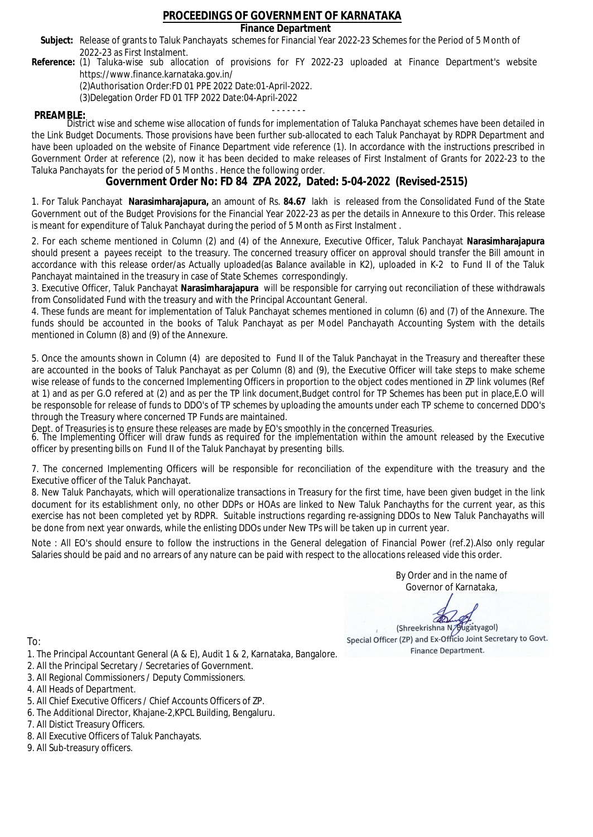## **Finance Department**

- Subject: Release of grants to Taluk Panchayats schemes for Financial Year 2022-23 Schemes for the Period of 5 Month of 2022-23 as First Instalment.
- **Reference:** (1) Taluka-wise sub allocation of provisions for FY 2022-23 uploaded at Finance Department's website https://www.finance.karnataka.gov.in/

(2)Authorisation Order:FD 01 PPE 2022 Date:01-April-2022.

(3)Delegation Order FD 01 TFP 2022 Date:04-April-2022

- - - - - - - **PREAMBLE:** District wise and scheme wise allocation of funds for implementation of Taluka Panchayat schemes have been detailed in the Link Budget Documents. Those provisions have been further sub-allocated to each Taluk Panchayat by RDPR Department and have been uploaded on the website of Finance Department vide reference (1). In accordance with the instructions prescribed in Government Order at reference (2), now it has been decided to make releases of First Instalment of Grants for 2022-23 to the Taluka Panchayats for the period of 5 Months . Hence the following order.

**Government Order No: FD 84 ZPA 2022, Dated: 5-04-2022 (Revised-2515)**

1. For Taluk Panchayat **Narasimharajapura,** an amount of Rs. **84.67** lakh is released from the Consolidated Fund of the State Government out of the Budget Provisions for the Financial Year 2022-23 as per the details in Annexure to this Order. This release is meant for expenditure of Taluk Panchayat during the period of 5 Month as First Instalment .

2. For each scheme mentioned in Column (2) and (4) of the Annexure, Executive Officer, Taluk Panchayat **Narasimharajapura** should present a payees receipt to the treasury. The concerned treasury officer on approval should transfer the Bill amount in accordance with this release order/as Actually uploaded(as Balance available in K2), uploaded in K-2 to Fund II of the Taluk Panchayat maintained in the treasury in case of State Schemes correspondingly.

3. Executive Officer, Taluk Panchayat **Narasimharajapura** will be responsible for carrying out reconciliation of these withdrawals from Consolidated Fund with the treasury and with the Principal Accountant General.

4. These funds are meant for implementation of Taluk Panchayat schemes mentioned in column (6) and (7) of the Annexure. The funds should be accounted in the books of Taluk Panchayat as per Model Panchayath Accounting System with the details mentioned in Column (8) and (9) of the Annexure.

5. Once the amounts shown in Column (4) are deposited to Fund II of the Taluk Panchayat in the Treasury and thereafter these are accounted in the books of Taluk Panchayat as per Column (8) and (9), the Executive Officer will take steps to make scheme wise release of funds to the concerned Implementing Officers in proportion to the object codes mentioned in ZP link volumes (Ref at 1) and as per G.O refered at (2) and as per the TP link document,Budget control for TP Schemes has been put in place,E.O will be responsoble for release of funds to DDO's of TP schemes by uploading the amounts under each TP scheme to concerned DDO's through the Treasury where concerned TP Funds are maintained.

Dept. of Treasuries is to ensure these releases are made by EO's smoothly in the concerned Treasuries.

6. The Implementing Officer will draw funds as required for the implementation within the amount released by the Executive officer by presenting bills on Fund II of the Taluk Panchayat by presenting bills.

7. The concerned Implementing Officers will be responsible for reconciliation of the expenditure with the treasury and the Executive officer of the Taluk Panchayat.

8. New Taluk Panchayats, which will operationalize transactions in Treasury for the first time, have been given budget in the link document for its establishment only, no other DDPs or HOAs are linked to New Taluk Panchayths for the current year, as this exercise has not been completed yet by RDPR. Suitable instructions regarding re-assigning DDOs to New Taluk Panchayaths will be done from next year onwards, while the enlisting DDOs under New TPs will be taken up in current year.

Note : All EO's should ensure to follow the instructions in the General delegation of Financial Power (ref.2).Also only regular Salaries should be paid and no arrears of any nature can be paid with respect to the allocations released vide this order.

> By Order and in the name of Governor of Karnataka,

**PD** 

(Shreekrishna N/Bugatyagol) Special Officer (ZP) and Ex-Officio Joint Secretary to Govt. Finance Department.

- 1. The Principal Accountant General (A & E), Audit 1 & 2, Karnataka, Bangalore.
- 2. All the Principal Secretary / Secretaries of Government.
- 3. All Regional Commissioners / Deputy Commissioners.
- 4. All Heads of Department.
- 5. All Chief Executive Officers / Chief Accounts Officers of ZP.
- 6. The Additional Director, Khajane-2,KPCL Building, Bengaluru.
- 7. All Distict Treasury Officers.
- 8. All Executive Officers of Taluk Panchayats.
- 9. All Sub-treasury officers.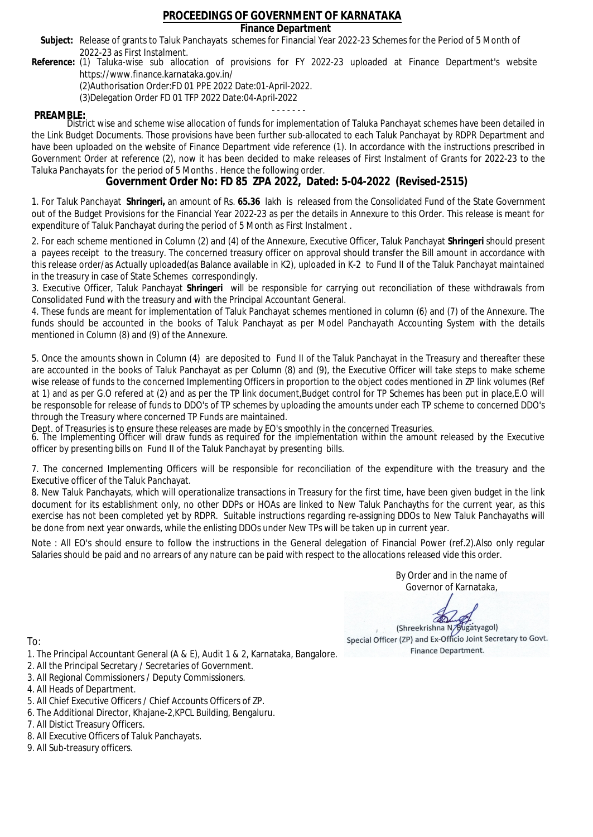## **Finance Department**

- Subject: Release of grants to Taluk Panchayats schemes for Financial Year 2022-23 Schemes for the Period of 5 Month of 2022-23 as First Instalment.
- **Reference:** (1) Taluka-wise sub allocation of provisions for FY 2022-23 uploaded at Finance Department's website https://www.finance.karnataka.gov.in/

(2)Authorisation Order:FD 01 PPE 2022 Date:01-April-2022.

(3)Delegation Order FD 01 TFP 2022 Date:04-April-2022

- - - - - - - **PREAMBLE:** District wise and scheme wise allocation of funds for implementation of Taluka Panchayat schemes have been detailed in the Link Budget Documents. Those provisions have been further sub-allocated to each Taluk Panchayat by RDPR Department and have been uploaded on the website of Finance Department vide reference (1). In accordance with the instructions prescribed in Government Order at reference (2), now it has been decided to make releases of First Instalment of Grants for 2022-23 to the Taluka Panchayats for the period of 5 Months . Hence the following order.

**Government Order No: FD 85 ZPA 2022, Dated: 5-04-2022 (Revised-2515)**

1. For Taluk Panchayat **Shringeri,** an amount of Rs. **65.36** lakh is released from the Consolidated Fund of the State Government out of the Budget Provisions for the Financial Year 2022-23 as per the details in Annexure to this Order. This release is meant for expenditure of Taluk Panchayat during the period of 5 Month as First Instalment .

2. For each scheme mentioned in Column (2) and (4) of the Annexure, Executive Officer, Taluk Panchayat **Shringeri** should present a payees receipt to the treasury. The concerned treasury officer on approval should transfer the Bill amount in accordance with this release order/as Actually uploaded(as Balance available in K2), uploaded in K-2 to Fund II of the Taluk Panchayat maintained in the treasury in case of State Schemes correspondingly.

3. Executive Officer, Taluk Panchayat **Shringeri** will be responsible for carrying out reconciliation of these withdrawals from Consolidated Fund with the treasury and with the Principal Accountant General.

4. These funds are meant for implementation of Taluk Panchayat schemes mentioned in column (6) and (7) of the Annexure. The funds should be accounted in the books of Taluk Panchayat as per Model Panchayath Accounting System with the details mentioned in Column (8) and (9) of the Annexure.

5. Once the amounts shown in Column (4) are deposited to Fund II of the Taluk Panchayat in the Treasury and thereafter these are accounted in the books of Taluk Panchayat as per Column (8) and (9), the Executive Officer will take steps to make scheme wise release of funds to the concerned Implementing Officers in proportion to the object codes mentioned in ZP link volumes (Ref at 1) and as per G.O refered at (2) and as per the TP link document,Budget control for TP Schemes has been put in place,E.O will be responsoble for release of funds to DDO's of TP schemes by uploading the amounts under each TP scheme to concerned DDO's through the Treasury where concerned TP Funds are maintained.

Dept. of Treasuries is to ensure these releases are made by EO's smoothly in the concerned Treasuries.

6. The Implementing Officer will draw funds as required for the implementation within the amount released by the Executive officer by presenting bills on Fund II of the Taluk Panchayat by presenting bills.

7. The concerned Implementing Officers will be responsible for reconciliation of the expenditure with the treasury and the Executive officer of the Taluk Panchayat.

8. New Taluk Panchayats, which will operationalize transactions in Treasury for the first time, have been given budget in the link document for its establishment only, no other DDPs or HOAs are linked to New Taluk Panchayths for the current year, as this exercise has not been completed yet by RDPR. Suitable instructions regarding re-assigning DDOs to New Taluk Panchayaths will be done from next year onwards, while the enlisting DDOs under New TPs will be taken up in current year.

Note : All EO's should ensure to follow the instructions in the General delegation of Financial Power (ref.2).Also only regular Salaries should be paid and no arrears of any nature can be paid with respect to the allocations released vide this order.

> By Order and in the name of Governor of Karnataka,

**PD** 

(Shreekrishna N/Bugatyagol) Special Officer (ZP) and Ex-Officio Joint Secretary to Govt. Finance Department.

To:

- 1. The Principal Accountant General (A & E), Audit 1 & 2, Karnataka, Bangalore.
- 2. All the Principal Secretary / Secretaries of Government.
- 3. All Regional Commissioners / Deputy Commissioners.
- 4. All Heads of Department.
- 5. All Chief Executive Officers / Chief Accounts Officers of ZP.
- 6. The Additional Director, Khajane-2,KPCL Building, Bengaluru.

- 8. All Executive Officers of Taluk Panchayats.
- 9. All Sub-treasury officers.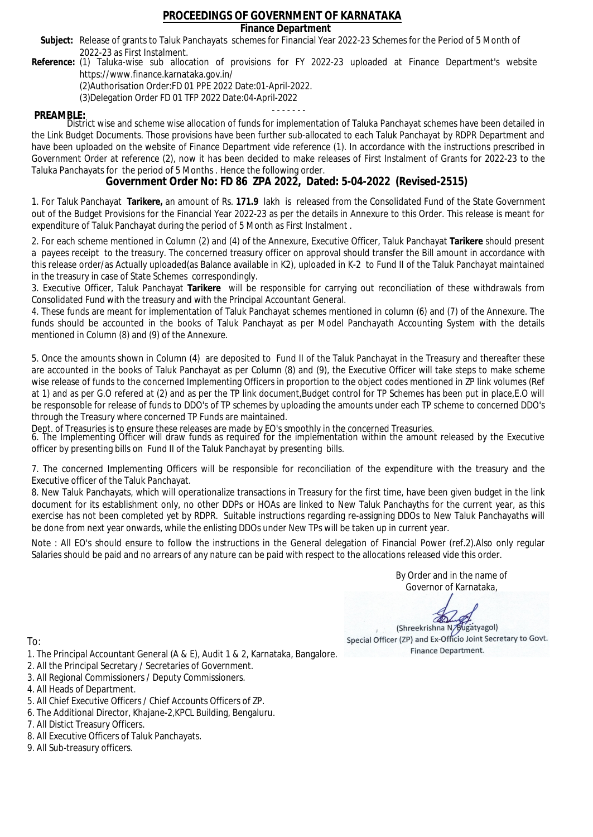## **Finance Department**

- Subject: Release of grants to Taluk Panchayats schemes for Financial Year 2022-23 Schemes for the Period of 5 Month of 2022-23 as First Instalment.
- **Reference:** (1) Taluka-wise sub allocation of provisions for FY 2022-23 uploaded at Finance Department's website https://www.finance.karnataka.gov.in/

(2)Authorisation Order:FD 01 PPE 2022 Date:01-April-2022.

(3)Delegation Order FD 01 TFP 2022 Date:04-April-2022

- - - - - - - **PREAMBLE:** District wise and scheme wise allocation of funds for implementation of Taluka Panchayat schemes have been detailed in the Link Budget Documents. Those provisions have been further sub-allocated to each Taluk Panchayat by RDPR Department and have been uploaded on the website of Finance Department vide reference (1). In accordance with the instructions prescribed in Government Order at reference (2), now it has been decided to make releases of First Instalment of Grants for 2022-23 to the Taluka Panchayats for the period of 5 Months . Hence the following order.

**Government Order No: FD 86 ZPA 2022, Dated: 5-04-2022 (Revised-2515)**

1. For Taluk Panchayat **Tarikere,** an amount of Rs. **171.9** lakh is released from the Consolidated Fund of the State Government out of the Budget Provisions for the Financial Year 2022-23 as per the details in Annexure to this Order. This release is meant for expenditure of Taluk Panchayat during the period of 5 Month as First Instalment .

2. For each scheme mentioned in Column (2) and (4) of the Annexure, Executive Officer, Taluk Panchayat **Tarikere** should present a payees receipt to the treasury. The concerned treasury officer on approval should transfer the Bill amount in accordance with this release order/as Actually uploaded(as Balance available in K2), uploaded in K-2 to Fund II of the Taluk Panchayat maintained in the treasury in case of State Schemes correspondingly.

3. Executive Officer, Taluk Panchayat **Tarikere** will be responsible for carrying out reconciliation of these withdrawals from Consolidated Fund with the treasury and with the Principal Accountant General.

4. These funds are meant for implementation of Taluk Panchayat schemes mentioned in column (6) and (7) of the Annexure. The funds should be accounted in the books of Taluk Panchayat as per Model Panchayath Accounting System with the details mentioned in Column (8) and (9) of the Annexure.

5. Once the amounts shown in Column (4) are deposited to Fund II of the Taluk Panchayat in the Treasury and thereafter these are accounted in the books of Taluk Panchayat as per Column (8) and (9), the Executive Officer will take steps to make scheme wise release of funds to the concerned Implementing Officers in proportion to the object codes mentioned in ZP link volumes (Ref at 1) and as per G.O refered at (2) and as per the TP link document,Budget control for TP Schemes has been put in place,E.O will be responsoble for release of funds to DDO's of TP schemes by uploading the amounts under each TP scheme to concerned DDO's through the Treasury where concerned TP Funds are maintained.

Dept. of Treasuries is to ensure these releases are made by EO's smoothly in the concerned Treasuries.

6. The Implementing Officer will draw funds as required for the implementation within the amount released by the Executive officer by presenting bills on Fund II of the Taluk Panchayat by presenting bills.

7. The concerned Implementing Officers will be responsible for reconciliation of the expenditure with the treasury and the Executive officer of the Taluk Panchayat.

8. New Taluk Panchayats, which will operationalize transactions in Treasury for the first time, have been given budget in the link document for its establishment only, no other DDPs or HOAs are linked to New Taluk Panchayths for the current year, as this exercise has not been completed yet by RDPR. Suitable instructions regarding re-assigning DDOs to New Taluk Panchayaths will be done from next year onwards, while the enlisting DDOs under New TPs will be taken up in current year.

Note : All EO's should ensure to follow the instructions in the General delegation of Financial Power (ref.2).Also only regular Salaries should be paid and no arrears of any nature can be paid with respect to the allocations released vide this order.

> By Order and in the name of Governor of Karnataka,

**PD** 

(Shreekrishna N/Bugatyagol) Special Officer (ZP) and Ex-Officio Joint Secretary to Govt. Finance Department.

- 1. The Principal Accountant General (A & E), Audit 1 & 2, Karnataka, Bangalore.
- 2. All the Principal Secretary / Secretaries of Government.
- 3. All Regional Commissioners / Deputy Commissioners.
- 4. All Heads of Department.
- 5. All Chief Executive Officers / Chief Accounts Officers of ZP.
- 6. The Additional Director, Khajane-2,KPCL Building, Bengaluru.
- 7. All Distict Treasury Officers.
- 8. All Executive Officers of Taluk Panchayats.
- 9. All Sub-treasury officers.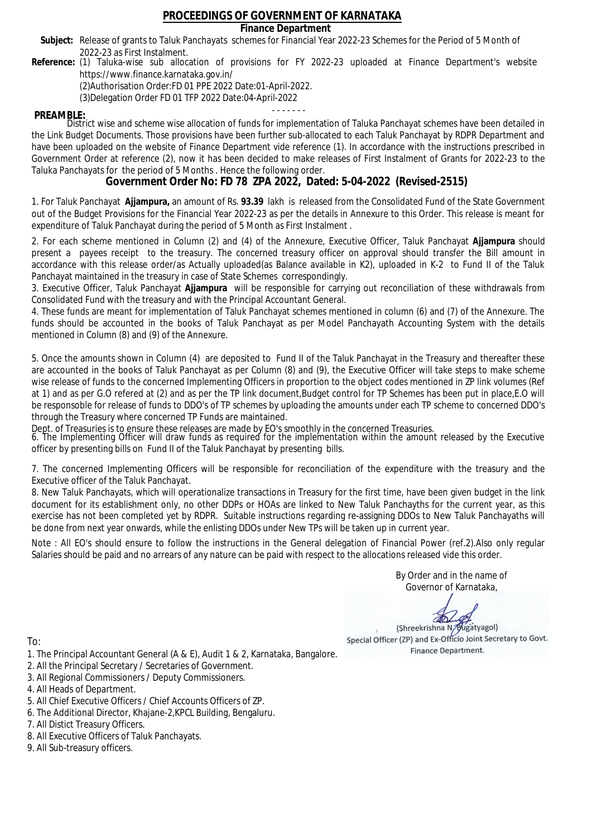## **Finance Department**

- Subject: Release of grants to Taluk Panchayats schemes for Financial Year 2022-23 Schemes for the Period of 5 Month of 2022-23 as First Instalment.
- **Reference:** (1) Taluka-wise sub allocation of provisions for FY 2022-23 uploaded at Finance Department's website https://www.finance.karnataka.gov.in/

(2)Authorisation Order:FD 01 PPE 2022 Date:01-April-2022.

(3)Delegation Order FD 01 TFP 2022 Date:04-April-2022

- - - - - - - **PREAMBLE:** District wise and scheme wise allocation of funds for implementation of Taluka Panchayat schemes have been detailed in the Link Budget Documents. Those provisions have been further sub-allocated to each Taluk Panchayat by RDPR Department and have been uploaded on the website of Finance Department vide reference (1). In accordance with the instructions prescribed in Government Order at reference (2), now it has been decided to make releases of First Instalment of Grants for 2022-23 to the Taluka Panchayats for the period of 5 Months . Hence the following order.

**Government Order No: FD 78 ZPA 2022, Dated: 5-04-2022 (Revised-2515)**

1. For Taluk Panchayat **Ajjampura,** an amount of Rs. **93.39** lakh is released from the Consolidated Fund of the State Government out of the Budget Provisions for the Financial Year 2022-23 as per the details in Annexure to this Order. This release is meant for expenditure of Taluk Panchayat during the period of 5 Month as First Instalment .

2. For each scheme mentioned in Column (2) and (4) of the Annexure, Executive Officer, Taluk Panchayat **Ajjampura** should present a payees receipt to the treasury. The concerned treasury officer on approval should transfer the Bill amount in accordance with this release order/as Actually uploaded(as Balance available in K2), uploaded in K-2 to Fund II of the Taluk Panchayat maintained in the treasury in case of State Schemes correspondingly.

3. Executive Officer, Taluk Panchayat **Ajjampura** will be responsible for carrying out reconciliation of these withdrawals from Consolidated Fund with the treasury and with the Principal Accountant General.

4. These funds are meant for implementation of Taluk Panchayat schemes mentioned in column (6) and (7) of the Annexure. The funds should be accounted in the books of Taluk Panchayat as per Model Panchayath Accounting System with the details mentioned in Column (8) and (9) of the Annexure.

5. Once the amounts shown in Column (4) are deposited to Fund II of the Taluk Panchayat in the Treasury and thereafter these are accounted in the books of Taluk Panchayat as per Column (8) and (9), the Executive Officer will take steps to make scheme wise release of funds to the concerned Implementing Officers in proportion to the object codes mentioned in ZP link volumes (Ref at 1) and as per G.O refered at (2) and as per the TP link document,Budget control for TP Schemes has been put in place,E.O will be responsoble for release of funds to DDO's of TP schemes by uploading the amounts under each TP scheme to concerned DDO's through the Treasury where concerned TP Funds are maintained.

Dept. of Treasuries is to ensure these releases are made by EO's smoothly in the concerned Treasuries.

6. The Implementing Officer will draw funds as required for the implementation within the amount released by the Executive officer by presenting bills on Fund II of the Taluk Panchayat by presenting bills.

7. The concerned Implementing Officers will be responsible for reconciliation of the expenditure with the treasury and the Executive officer of the Taluk Panchayat.

8. New Taluk Panchayats, which will operationalize transactions in Treasury for the first time, have been given budget in the link document for its establishment only, no other DDPs or HOAs are linked to New Taluk Panchayths for the current year, as this exercise has not been completed yet by RDPR. Suitable instructions regarding re-assigning DDOs to New Taluk Panchayaths will be done from next year onwards, while the enlisting DDOs under New TPs will be taken up in current year.

Note : All EO's should ensure to follow the instructions in the General delegation of Financial Power (ref.2).Also only regular Salaries should be paid and no arrears of any nature can be paid with respect to the allocations released vide this order.

> By Order and in the name of Governor of Karnataka,

**PD** 

(Shreekrishna N/Bugatyagol) Special Officer (ZP) and Ex-Officio Joint Secretary to Govt. Finance Department.

- 1. The Principal Accountant General (A & E), Audit 1 & 2, Karnataka, Bangalore.
- 2. All the Principal Secretary / Secretaries of Government.
- 3. All Regional Commissioners / Deputy Commissioners.
- 4. All Heads of Department.
- 5. All Chief Executive Officers / Chief Accounts Officers of ZP.
- 6. The Additional Director, Khajane-2,KPCL Building, Bengaluru.
- 7. All Distict Treasury Officers.
- 8. All Executive Officers of Taluk Panchayats.
- 9. All Sub-treasury officers.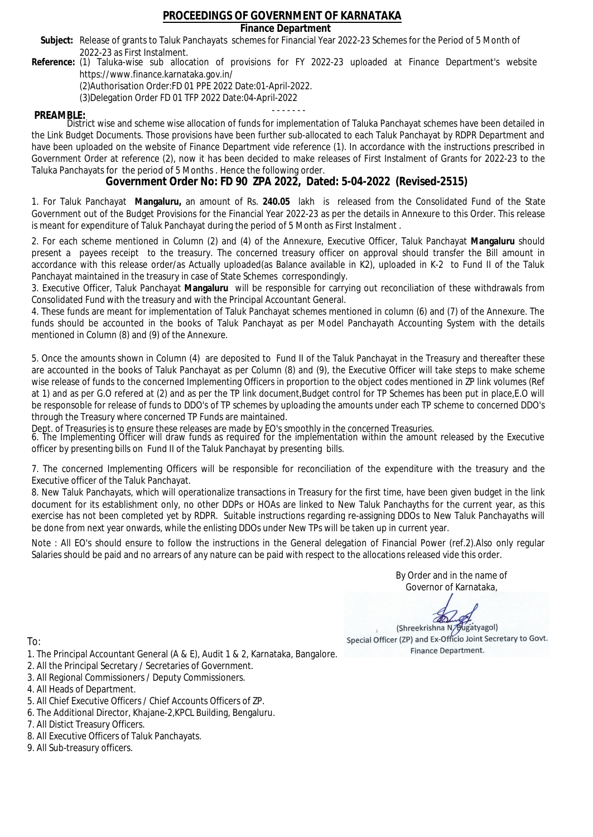## **Finance Department**

- Subject: Release of grants to Taluk Panchayats schemes for Financial Year 2022-23 Schemes for the Period of 5 Month of 2022-23 as First Instalment.
- **Reference:** (1) Taluka-wise sub allocation of provisions for FY 2022-23 uploaded at Finance Department's website https://www.finance.karnataka.gov.in/

(2)Authorisation Order:FD 01 PPE 2022 Date:01-April-2022.

(3)Delegation Order FD 01 TFP 2022 Date:04-April-2022

- - - - - - - **PREAMBLE:** District wise and scheme wise allocation of funds for implementation of Taluka Panchayat schemes have been detailed in the Link Budget Documents. Those provisions have been further sub-allocated to each Taluk Panchayat by RDPR Department and have been uploaded on the website of Finance Department vide reference (1). In accordance with the instructions prescribed in Government Order at reference (2), now it has been decided to make releases of First Instalment of Grants for 2022-23 to the Taluka Panchayats for the period of 5 Months . Hence the following order.

**Government Order No: FD 90 ZPA 2022, Dated: 5-04-2022 (Revised-2515)**

1. For Taluk Panchayat **Mangaluru,** an amount of Rs. **240.05** lakh is released from the Consolidated Fund of the State Government out of the Budget Provisions for the Financial Year 2022-23 as per the details in Annexure to this Order. This release is meant for expenditure of Taluk Panchayat during the period of 5 Month as First Instalment .

2. For each scheme mentioned in Column (2) and (4) of the Annexure, Executive Officer, Taluk Panchayat **Mangaluru** should present a payees receipt to the treasury. The concerned treasury officer on approval should transfer the Bill amount in accordance with this release order/as Actually uploaded(as Balance available in K2), uploaded in K-2 to Fund II of the Taluk Panchayat maintained in the treasury in case of State Schemes correspondingly.

3. Executive Officer, Taluk Panchayat **Mangaluru** will be responsible for carrying out reconciliation of these withdrawals from Consolidated Fund with the treasury and with the Principal Accountant General.

4. These funds are meant for implementation of Taluk Panchayat schemes mentioned in column (6) and (7) of the Annexure. The funds should be accounted in the books of Taluk Panchayat as per Model Panchayath Accounting System with the details mentioned in Column (8) and (9) of the Annexure.

5. Once the amounts shown in Column (4) are deposited to Fund II of the Taluk Panchayat in the Treasury and thereafter these are accounted in the books of Taluk Panchayat as per Column (8) and (9), the Executive Officer will take steps to make scheme wise release of funds to the concerned Implementing Officers in proportion to the object codes mentioned in ZP link volumes (Ref at 1) and as per G.O refered at (2) and as per the TP link document,Budget control for TP Schemes has been put in place,E.O will be responsoble for release of funds to DDO's of TP schemes by uploading the amounts under each TP scheme to concerned DDO's through the Treasury where concerned TP Funds are maintained.

Dept. of Treasuries is to ensure these releases are made by EO's smoothly in the concerned Treasuries.

6. The Implementing Officer will draw funds as required for the implementation within the amount released by the Executive officer by presenting bills on Fund II of the Taluk Panchayat by presenting bills.

7. The concerned Implementing Officers will be responsible for reconciliation of the expenditure with the treasury and the Executive officer of the Taluk Panchayat.

8. New Taluk Panchayats, which will operationalize transactions in Treasury for the first time, have been given budget in the link document for its establishment only, no other DDPs or HOAs are linked to New Taluk Panchayths for the current year, as this exercise has not been completed yet by RDPR. Suitable instructions regarding re-assigning DDOs to New Taluk Panchayaths will be done from next year onwards, while the enlisting DDOs under New TPs will be taken up in current year.

Note : All EO's should ensure to follow the instructions in the General delegation of Financial Power (ref.2).Also only regular Salaries should be paid and no arrears of any nature can be paid with respect to the allocations released vide this order.

> By Order and in the name of Governor of Karnataka,

**PD** 

(Shreekrishna N/Bugatyagol) Special Officer (ZP) and Ex-Officio Joint Secretary to Govt. Finance Department.

- 1. The Principal Accountant General (A & E), Audit 1 & 2, Karnataka, Bangalore.
- 2. All the Principal Secretary / Secretaries of Government.
- 3. All Regional Commissioners / Deputy Commissioners.
- 4. All Heads of Department.
- 5. All Chief Executive Officers / Chief Accounts Officers of ZP.
- 6. The Additional Director, Khajane-2,KPCL Building, Bengaluru.
- 7. All Distict Treasury Officers.
- 8. All Executive Officers of Taluk Panchayats.
- 9. All Sub-treasury officers.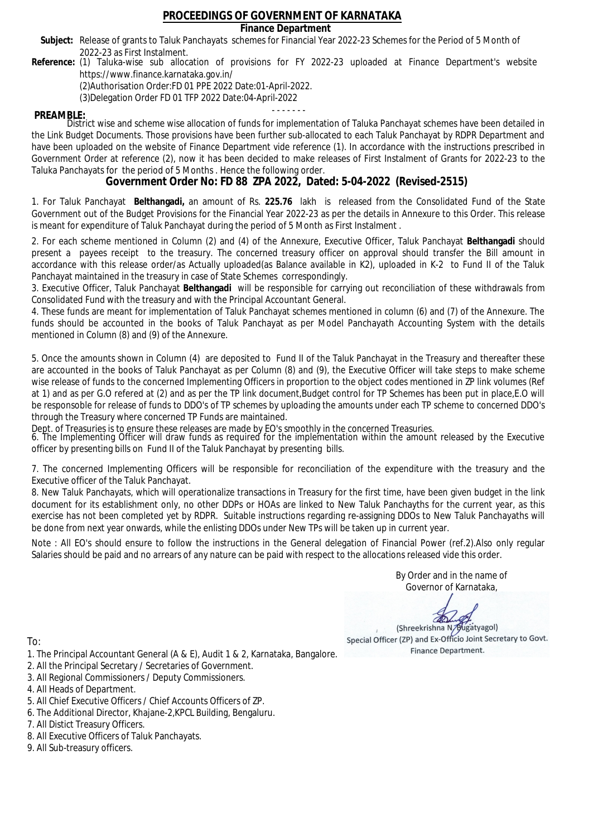## **Finance Department**

- Subject: Release of grants to Taluk Panchayats schemes for Financial Year 2022-23 Schemes for the Period of 5 Month of 2022-23 as First Instalment.
- **Reference:** (1) Taluka-wise sub allocation of provisions for FY 2022-23 uploaded at Finance Department's website https://www.finance.karnataka.gov.in/

(2)Authorisation Order:FD 01 PPE 2022 Date:01-April-2022.

(3)Delegation Order FD 01 TFP 2022 Date:04-April-2022

- - - - - - - **PREAMBLE:** District wise and scheme wise allocation of funds for implementation of Taluka Panchayat schemes have been detailed in the Link Budget Documents. Those provisions have been further sub-allocated to each Taluk Panchayat by RDPR Department and have been uploaded on the website of Finance Department vide reference (1). In accordance with the instructions prescribed in Government Order at reference (2), now it has been decided to make releases of First Instalment of Grants for 2022-23 to the Taluka Panchayats for the period of 5 Months . Hence the following order.

**Government Order No: FD 88 ZPA 2022, Dated: 5-04-2022 (Revised-2515)**

1. For Taluk Panchayat **Belthangadi,** an amount of Rs. **225.76** lakh is released from the Consolidated Fund of the State Government out of the Budget Provisions for the Financial Year 2022-23 as per the details in Annexure to this Order. This release is meant for expenditure of Taluk Panchayat during the period of 5 Month as First Instalment .

2. For each scheme mentioned in Column (2) and (4) of the Annexure, Executive Officer, Taluk Panchayat **Belthangadi** should present a payees receipt to the treasury. The concerned treasury officer on approval should transfer the Bill amount in accordance with this release order/as Actually uploaded(as Balance available in K2), uploaded in K-2 to Fund II of the Taluk Panchayat maintained in the treasury in case of State Schemes correspondingly.

3. Executive Officer, Taluk Panchayat **Belthangadi** will be responsible for carrying out reconciliation of these withdrawals from Consolidated Fund with the treasury and with the Principal Accountant General.

4. These funds are meant for implementation of Taluk Panchayat schemes mentioned in column (6) and (7) of the Annexure. The funds should be accounted in the books of Taluk Panchayat as per Model Panchayath Accounting System with the details mentioned in Column (8) and (9) of the Annexure.

5. Once the amounts shown in Column (4) are deposited to Fund II of the Taluk Panchayat in the Treasury and thereafter these are accounted in the books of Taluk Panchayat as per Column (8) and (9), the Executive Officer will take steps to make scheme wise release of funds to the concerned Implementing Officers in proportion to the object codes mentioned in ZP link volumes (Ref at 1) and as per G.O refered at (2) and as per the TP link document,Budget control for TP Schemes has been put in place,E.O will be responsoble for release of funds to DDO's of TP schemes by uploading the amounts under each TP scheme to concerned DDO's through the Treasury where concerned TP Funds are maintained.

Dept. of Treasuries is to ensure these releases are made by EO's smoothly in the concerned Treasuries.

6. The Implementing Officer will draw funds as required for the implementation within the amount released by the Executive officer by presenting bills on Fund II of the Taluk Panchayat by presenting bills.

7. The concerned Implementing Officers will be responsible for reconciliation of the expenditure with the treasury and the Executive officer of the Taluk Panchayat.

8. New Taluk Panchayats, which will operationalize transactions in Treasury for the first time, have been given budget in the link document for its establishment only, no other DDPs or HOAs are linked to New Taluk Panchayths for the current year, as this exercise has not been completed yet by RDPR. Suitable instructions regarding re-assigning DDOs to New Taluk Panchayaths will be done from next year onwards, while the enlisting DDOs under New TPs will be taken up in current year.

Note : All EO's should ensure to follow the instructions in the General delegation of Financial Power (ref.2).Also only regular Salaries should be paid and no arrears of any nature can be paid with respect to the allocations released vide this order.

> By Order and in the name of Governor of Karnataka,

**PD** 

(Shreekrishna N/Bugatyagol) Special Officer (ZP) and Ex-Officio Joint Secretary to Govt. Finance Department.

- 1. The Principal Accountant General (A & E), Audit 1 & 2, Karnataka, Bangalore.
- 2. All the Principal Secretary / Secretaries of Government.
- 3. All Regional Commissioners / Deputy Commissioners.
- 4. All Heads of Department.
- 5. All Chief Executive Officers / Chief Accounts Officers of ZP.
- 6. The Additional Director, Khajane-2,KPCL Building, Bengaluru.
- 7. All Distict Treasury Officers.
- 8. All Executive Officers of Taluk Panchayats.
- 9. All Sub-treasury officers.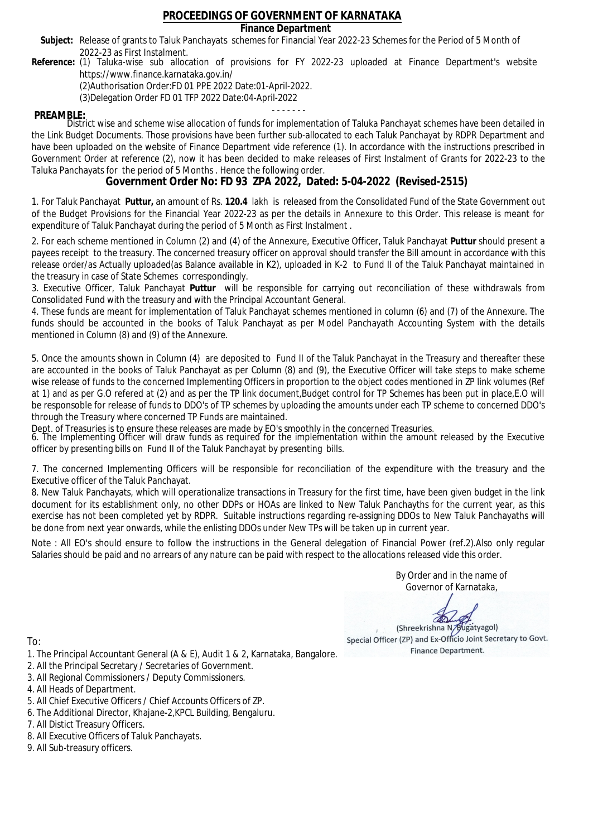## **Finance Department**

- Subject: Release of grants to Taluk Panchayats schemes for Financial Year 2022-23 Schemes for the Period of 5 Month of 2022-23 as First Instalment.
- **Reference:** (1) Taluka-wise sub allocation of provisions for FY 2022-23 uploaded at Finance Department's website https://www.finance.karnataka.gov.in/

(2)Authorisation Order:FD 01 PPE 2022 Date:01-April-2022.

(3)Delegation Order FD 01 TFP 2022 Date:04-April-2022

- - - - - - - **PREAMBLE:** District wise and scheme wise allocation of funds for implementation of Taluka Panchayat schemes have been detailed in the Link Budget Documents. Those provisions have been further sub-allocated to each Taluk Panchayat by RDPR Department and have been uploaded on the website of Finance Department vide reference (1). In accordance with the instructions prescribed in Government Order at reference (2), now it has been decided to make releases of First Instalment of Grants for 2022-23 to the Taluka Panchayats for the period of 5 Months . Hence the following order.

**Government Order No: FD 93 ZPA 2022, Dated: 5-04-2022 (Revised-2515)**

1. For Taluk Panchayat **Puttur,** an amount of Rs. **120.4** lakh is released from the Consolidated Fund of the State Government out of the Budget Provisions for the Financial Year 2022-23 as per the details in Annexure to this Order. This release is meant for expenditure of Taluk Panchayat during the period of 5 Month as First Instalment .

2. For each scheme mentioned in Column (2) and (4) of the Annexure, Executive Officer, Taluk Panchayat **Puttur** should present a payees receipt to the treasury. The concerned treasury officer on approval should transfer the Bill amount in accordance with this release order/as Actually uploaded(as Balance available in K2), uploaded in K-2 to Fund II of the Taluk Panchayat maintained in the treasury in case of State Schemes correspondingly.

3. Executive Officer, Taluk Panchayat **Puttur** will be responsible for carrying out reconciliation of these withdrawals from Consolidated Fund with the treasury and with the Principal Accountant General.

4. These funds are meant for implementation of Taluk Panchayat schemes mentioned in column (6) and (7) of the Annexure. The funds should be accounted in the books of Taluk Panchayat as per Model Panchayath Accounting System with the details mentioned in Column (8) and (9) of the Annexure.

5. Once the amounts shown in Column (4) are deposited to Fund II of the Taluk Panchayat in the Treasury and thereafter these are accounted in the books of Taluk Panchayat as per Column (8) and (9), the Executive Officer will take steps to make scheme wise release of funds to the concerned Implementing Officers in proportion to the object codes mentioned in ZP link volumes (Ref at 1) and as per G.O refered at (2) and as per the TP link document,Budget control for TP Schemes has been put in place,E.O will be responsoble for release of funds to DDO's of TP schemes by uploading the amounts under each TP scheme to concerned DDO's through the Treasury where concerned TP Funds are maintained.

Dept. of Treasuries is to ensure these releases are made by EO's smoothly in the concerned Treasuries.

6. The Implementing Officer will draw funds as required for the implementation within the amount released by the Executive officer by presenting bills on Fund II of the Taluk Panchayat by presenting bills.

7. The concerned Implementing Officers will be responsible for reconciliation of the expenditure with the treasury and the Executive officer of the Taluk Panchayat.

8. New Taluk Panchayats, which will operationalize transactions in Treasury for the first time, have been given budget in the link document for its establishment only, no other DDPs or HOAs are linked to New Taluk Panchayths for the current year, as this exercise has not been completed yet by RDPR. Suitable instructions regarding re-assigning DDOs to New Taluk Panchayaths will be done from next year onwards, while the enlisting DDOs under New TPs will be taken up in current year.

Note : All EO's should ensure to follow the instructions in the General delegation of Financial Power (ref.2).Also only regular Salaries should be paid and no arrears of any nature can be paid with respect to the allocations released vide this order.

> By Order and in the name of Governor of Karnataka,

**PD** 

(Shreekrishna N/Bugatyagol) Special Officer (ZP) and Ex-Officio Joint Secretary to Govt. Finance Department.

- 1. The Principal Accountant General (A & E), Audit 1 & 2, Karnataka, Bangalore.
- 2. All the Principal Secretary / Secretaries of Government.
- 3. All Regional Commissioners / Deputy Commissioners.
- 4. All Heads of Department.
- 5. All Chief Executive Officers / Chief Accounts Officers of ZP.
- 6. The Additional Director, Khajane-2,KPCL Building, Bengaluru.
- 7. All Distict Treasury Officers.
- 8. All Executive Officers of Taluk Panchayats.
- 9. All Sub-treasury officers.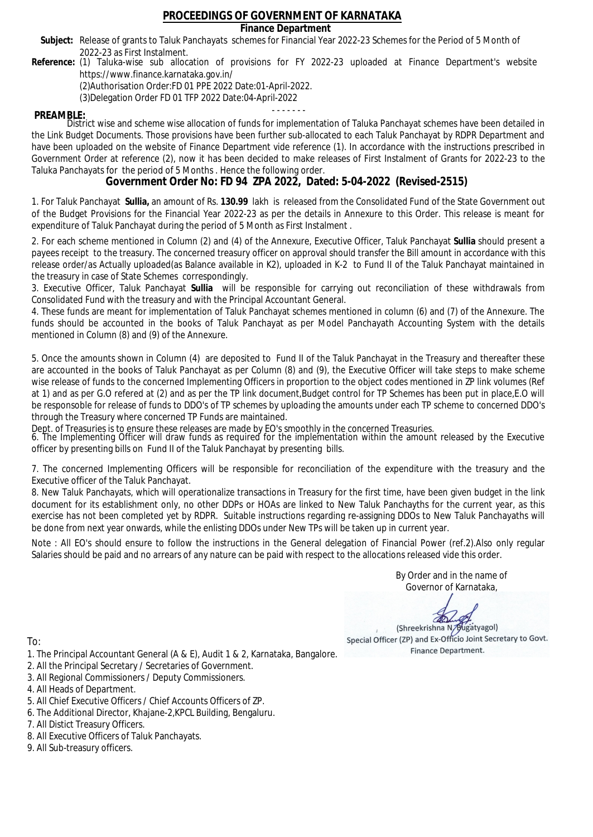## **Finance Department**

- Subject: Release of grants to Taluk Panchayats schemes for Financial Year 2022-23 Schemes for the Period of 5 Month of 2022-23 as First Instalment.
- **Reference:** (1) Taluka-wise sub allocation of provisions for FY 2022-23 uploaded at Finance Department's website https://www.finance.karnataka.gov.in/

(2)Authorisation Order:FD 01 PPE 2022 Date:01-April-2022.

(3)Delegation Order FD 01 TFP 2022 Date:04-April-2022

- - - - - - - **PREAMBLE:** District wise and scheme wise allocation of funds for implementation of Taluka Panchayat schemes have been detailed in the Link Budget Documents. Those provisions have been further sub-allocated to each Taluk Panchayat by RDPR Department and have been uploaded on the website of Finance Department vide reference (1). In accordance with the instructions prescribed in Government Order at reference (2), now it has been decided to make releases of First Instalment of Grants for 2022-23 to the Taluka Panchayats for the period of 5 Months . Hence the following order.

**Government Order No: FD 94 ZPA 2022, Dated: 5-04-2022 (Revised-2515)**

1. For Taluk Panchayat **Sullia,** an amount of Rs. **130.99** lakh is released from the Consolidated Fund of the State Government out of the Budget Provisions for the Financial Year 2022-23 as per the details in Annexure to this Order. This release is meant for expenditure of Taluk Panchayat during the period of 5 Month as First Instalment .

2. For each scheme mentioned in Column (2) and (4) of the Annexure, Executive Officer, Taluk Panchayat **Sullia** should present a payees receipt to the treasury. The concerned treasury officer on approval should transfer the Bill amount in accordance with this release order/as Actually uploaded(as Balance available in K2), uploaded in K-2 to Fund II of the Taluk Panchayat maintained in the treasury in case of State Schemes correspondingly.

3. Executive Officer, Taluk Panchayat **Sullia** will be responsible for carrying out reconciliation of these withdrawals from Consolidated Fund with the treasury and with the Principal Accountant General.

4. These funds are meant for implementation of Taluk Panchayat schemes mentioned in column (6) and (7) of the Annexure. The funds should be accounted in the books of Taluk Panchayat as per Model Panchayath Accounting System with the details mentioned in Column (8) and (9) of the Annexure.

5. Once the amounts shown in Column (4) are deposited to Fund II of the Taluk Panchayat in the Treasury and thereafter these are accounted in the books of Taluk Panchayat as per Column (8) and (9), the Executive Officer will take steps to make scheme wise release of funds to the concerned Implementing Officers in proportion to the object codes mentioned in ZP link volumes (Ref at 1) and as per G.O refered at (2) and as per the TP link document,Budget control for TP Schemes has been put in place,E.O will be responsoble for release of funds to DDO's of TP schemes by uploading the amounts under each TP scheme to concerned DDO's through the Treasury where concerned TP Funds are maintained.

Dept. of Treasuries is to ensure these releases are made by EO's smoothly in the concerned Treasuries.

6. The Implementing Officer will draw funds as required for the implementation within the amount released by the Executive officer by presenting bills on Fund II of the Taluk Panchayat by presenting bills.

7. The concerned Implementing Officers will be responsible for reconciliation of the expenditure with the treasury and the Executive officer of the Taluk Panchayat.

8. New Taluk Panchayats, which will operationalize transactions in Treasury for the first time, have been given budget in the link document for its establishment only, no other DDPs or HOAs are linked to New Taluk Panchayths for the current year, as this exercise has not been completed yet by RDPR. Suitable instructions regarding re-assigning DDOs to New Taluk Panchayaths will be done from next year onwards, while the enlisting DDOs under New TPs will be taken up in current year.

Note : All EO's should ensure to follow the instructions in the General delegation of Financial Power (ref.2).Also only regular Salaries should be paid and no arrears of any nature can be paid with respect to the allocations released vide this order.

> By Order and in the name of Governor of Karnataka,

**PD** 

(Shreekrishna N/Bugatyagol) Special Officer (ZP) and Ex-Officio Joint Secretary to Govt. Finance Department.

To:

- 1. The Principal Accountant General (A & E), Audit 1 & 2, Karnataka, Bangalore.
- 2. All the Principal Secretary / Secretaries of Government.
- 3. All Regional Commissioners / Deputy Commissioners.
- 4. All Heads of Department.
- 5. All Chief Executive Officers / Chief Accounts Officers of ZP.
- 6. The Additional Director, Khajane-2,KPCL Building, Bengaluru.

- 8. All Executive Officers of Taluk Panchayats.
- 9. All Sub-treasury officers.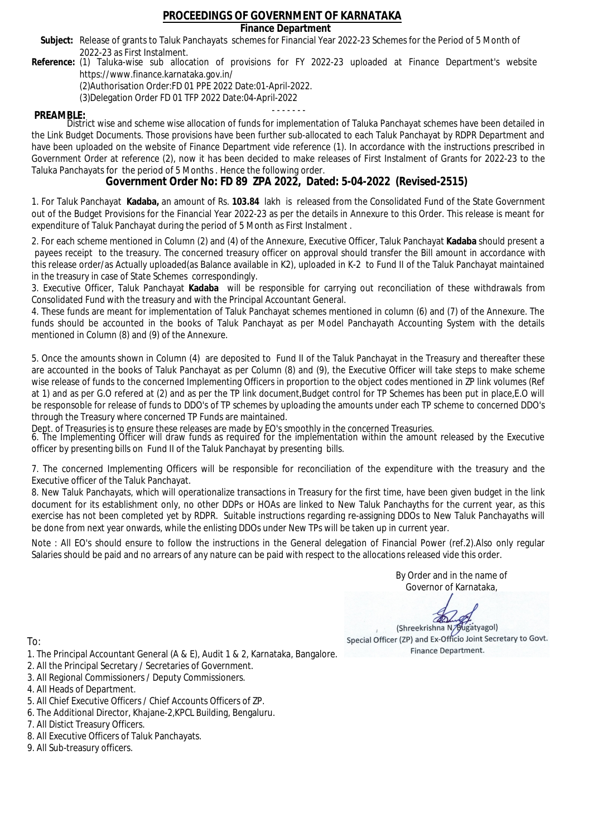## **Finance Department**

- Subject: Release of grants to Taluk Panchayats schemes for Financial Year 2022-23 Schemes for the Period of 5 Month of 2022-23 as First Instalment.
- **Reference:** (1) Taluka-wise sub allocation of provisions for FY 2022-23 uploaded at Finance Department's website https://www.finance.karnataka.gov.in/

(2)Authorisation Order:FD 01 PPE 2022 Date:01-April-2022.

(3)Delegation Order FD 01 TFP 2022 Date:04-April-2022

- - - - - - - **PREAMBLE:** District wise and scheme wise allocation of funds for implementation of Taluka Panchayat schemes have been detailed in the Link Budget Documents. Those provisions have been further sub-allocated to each Taluk Panchayat by RDPR Department and have been uploaded on the website of Finance Department vide reference (1). In accordance with the instructions prescribed in Government Order at reference (2), now it has been decided to make releases of First Instalment of Grants for 2022-23 to the Taluka Panchayats for the period of 5 Months . Hence the following order.

**Government Order No: FD 89 ZPA 2022, Dated: 5-04-2022 (Revised-2515)**

1. For Taluk Panchayat **Kadaba,** an amount of Rs. **103.84** lakh is released from the Consolidated Fund of the State Government out of the Budget Provisions for the Financial Year 2022-23 as per the details in Annexure to this Order. This release is meant for expenditure of Taluk Panchayat during the period of 5 Month as First Instalment .

2. For each scheme mentioned in Column (2) and (4) of the Annexure, Executive Officer, Taluk Panchayat **Kadaba** should present a payees receipt to the treasury. The concerned treasury officer on approval should transfer the Bill amount in accordance with this release order/as Actually uploaded(as Balance available in K2), uploaded in K-2 to Fund II of the Taluk Panchayat maintained in the treasury in case of State Schemes correspondingly.

3. Executive Officer, Taluk Panchayat **Kadaba** will be responsible for carrying out reconciliation of these withdrawals from Consolidated Fund with the treasury and with the Principal Accountant General.

4. These funds are meant for implementation of Taluk Panchayat schemes mentioned in column (6) and (7) of the Annexure. The funds should be accounted in the books of Taluk Panchayat as per Model Panchayath Accounting System with the details mentioned in Column (8) and (9) of the Annexure.

5. Once the amounts shown in Column (4) are deposited to Fund II of the Taluk Panchayat in the Treasury and thereafter these are accounted in the books of Taluk Panchayat as per Column (8) and (9), the Executive Officer will take steps to make scheme wise release of funds to the concerned Implementing Officers in proportion to the object codes mentioned in ZP link volumes (Ref at 1) and as per G.O refered at (2) and as per the TP link document,Budget control for TP Schemes has been put in place,E.O will be responsoble for release of funds to DDO's of TP schemes by uploading the amounts under each TP scheme to concerned DDO's through the Treasury where concerned TP Funds are maintained.

Dept. of Treasuries is to ensure these releases are made by EO's smoothly in the concerned Treasuries.

6. The Implementing Officer will draw funds as required for the implementation within the amount released by the Executive officer by presenting bills on Fund II of the Taluk Panchayat by presenting bills.

7. The concerned Implementing Officers will be responsible for reconciliation of the expenditure with the treasury and the Executive officer of the Taluk Panchayat.

8. New Taluk Panchayats, which will operationalize transactions in Treasury for the first time, have been given budget in the link document for its establishment only, no other DDPs or HOAs are linked to New Taluk Panchayths for the current year, as this exercise has not been completed yet by RDPR. Suitable instructions regarding re-assigning DDOs to New Taluk Panchayaths will be done from next year onwards, while the enlisting DDOs under New TPs will be taken up in current year.

Note : All EO's should ensure to follow the instructions in the General delegation of Financial Power (ref.2).Also only regular Salaries should be paid and no arrears of any nature can be paid with respect to the allocations released vide this order.

> By Order and in the name of Governor of Karnataka,

**PD** 

(Shreekrishna N/Bugatyagol) Special Officer (ZP) and Ex-Officio Joint Secretary to Govt. Finance Department.

To:

- 1. The Principal Accountant General (A & E), Audit 1 & 2, Karnataka, Bangalore.
- 2. All the Principal Secretary / Secretaries of Government.
- 3. All Regional Commissioners / Deputy Commissioners.
- 4. All Heads of Department.
- 5. All Chief Executive Officers / Chief Accounts Officers of ZP.
- 6. The Additional Director, Khajane-2,KPCL Building, Bengaluru.

- 8. All Executive Officers of Taluk Panchayats.
- 9. All Sub-treasury officers.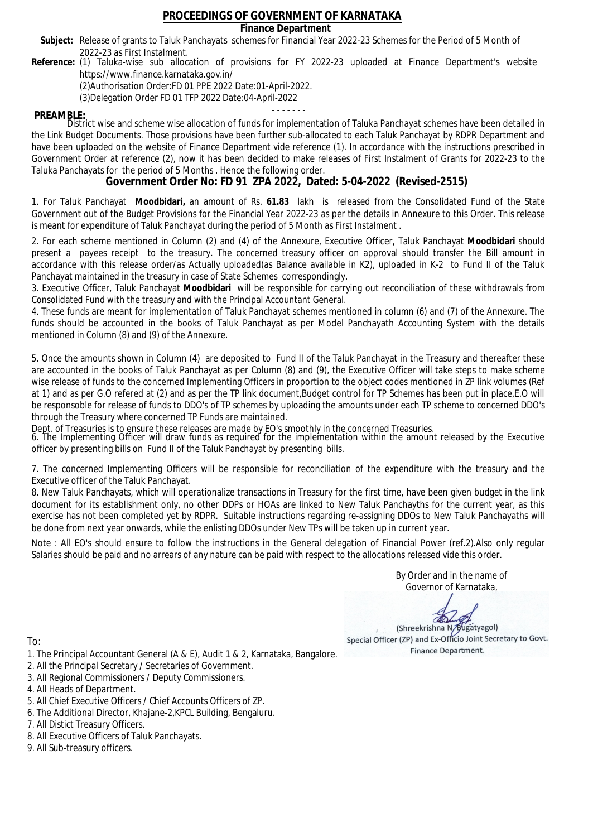## **Finance Department**

- Subject: Release of grants to Taluk Panchayats schemes for Financial Year 2022-23 Schemes for the Period of 5 Month of 2022-23 as First Instalment.
- **Reference:** (1) Taluka-wise sub allocation of provisions for FY 2022-23 uploaded at Finance Department's website https://www.finance.karnataka.gov.in/

(2)Authorisation Order:FD 01 PPE 2022 Date:01-April-2022.

(3)Delegation Order FD 01 TFP 2022 Date:04-April-2022

- - - - - - - **PREAMBLE:** District wise and scheme wise allocation of funds for implementation of Taluka Panchayat schemes have been detailed in the Link Budget Documents. Those provisions have been further sub-allocated to each Taluk Panchayat by RDPR Department and have been uploaded on the website of Finance Department vide reference (1). In accordance with the instructions prescribed in Government Order at reference (2), now it has been decided to make releases of First Instalment of Grants for 2022-23 to the Taluka Panchayats for the period of 5 Months . Hence the following order.

**Government Order No: FD 91 ZPA 2022, Dated: 5-04-2022 (Revised-2515)**

1. For Taluk Panchayat **Moodbidari,** an amount of Rs. **61.83** lakh is released from the Consolidated Fund of the State Government out of the Budget Provisions for the Financial Year 2022-23 as per the details in Annexure to this Order. This release is meant for expenditure of Taluk Panchayat during the period of 5 Month as First Instalment .

2. For each scheme mentioned in Column (2) and (4) of the Annexure, Executive Officer, Taluk Panchayat **Moodbidari** should present a payees receipt to the treasury. The concerned treasury officer on approval should transfer the Bill amount in accordance with this release order/as Actually uploaded(as Balance available in K2), uploaded in K-2 to Fund II of the Taluk Panchayat maintained in the treasury in case of State Schemes correspondingly.

3. Executive Officer, Taluk Panchayat **Moodbidari** will be responsible for carrying out reconciliation of these withdrawals from Consolidated Fund with the treasury and with the Principal Accountant General.

4. These funds are meant for implementation of Taluk Panchayat schemes mentioned in column (6) and (7) of the Annexure. The funds should be accounted in the books of Taluk Panchayat as per Model Panchayath Accounting System with the details mentioned in Column (8) and (9) of the Annexure.

5. Once the amounts shown in Column (4) are deposited to Fund II of the Taluk Panchayat in the Treasury and thereafter these are accounted in the books of Taluk Panchayat as per Column (8) and (9), the Executive Officer will take steps to make scheme wise release of funds to the concerned Implementing Officers in proportion to the object codes mentioned in ZP link volumes (Ref at 1) and as per G.O refered at (2) and as per the TP link document,Budget control for TP Schemes has been put in place,E.O will be responsoble for release of funds to DDO's of TP schemes by uploading the amounts under each TP scheme to concerned DDO's through the Treasury where concerned TP Funds are maintained.

Dept. of Treasuries is to ensure these releases are made by EO's smoothly in the concerned Treasuries.

6. The Implementing Officer will draw funds as required for the implementation within the amount released by the Executive officer by presenting bills on Fund II of the Taluk Panchayat by presenting bills.

7. The concerned Implementing Officers will be responsible for reconciliation of the expenditure with the treasury and the Executive officer of the Taluk Panchayat.

8. New Taluk Panchayats, which will operationalize transactions in Treasury for the first time, have been given budget in the link document for its establishment only, no other DDPs or HOAs are linked to New Taluk Panchayths for the current year, as this exercise has not been completed yet by RDPR. Suitable instructions regarding re-assigning DDOs to New Taluk Panchayaths will be done from next year onwards, while the enlisting DDOs under New TPs will be taken up in current year.

Note : All EO's should ensure to follow the instructions in the General delegation of Financial Power (ref.2).Also only regular Salaries should be paid and no arrears of any nature can be paid with respect to the allocations released vide this order.

> By Order and in the name of Governor of Karnataka,

**PD** 

(Shreekrishna N/Bugatyagol) Special Officer (ZP) and Ex-Officio Joint Secretary to Govt. Finance Department.

- 1. The Principal Accountant General (A & E), Audit 1 & 2, Karnataka, Bangalore.
- 2. All the Principal Secretary / Secretaries of Government.
- 3. All Regional Commissioners / Deputy Commissioners.
- 4. All Heads of Department.
- 5. All Chief Executive Officers / Chief Accounts Officers of ZP.
- 6. The Additional Director, Khajane-2,KPCL Building, Bengaluru.
- 7. All Distict Treasury Officers.
- 8. All Executive Officers of Taluk Panchayats.
- 9. All Sub-treasury officers.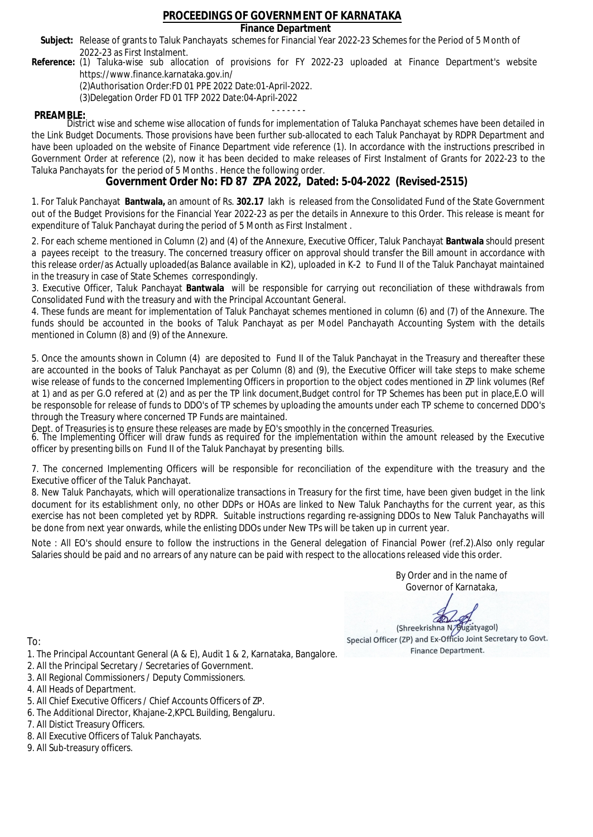## **Finance Department**

- Subject: Release of grants to Taluk Panchayats schemes for Financial Year 2022-23 Schemes for the Period of 5 Month of 2022-23 as First Instalment.
- **Reference:** (1) Taluka-wise sub allocation of provisions for FY 2022-23 uploaded at Finance Department's website https://www.finance.karnataka.gov.in/

(2)Authorisation Order:FD 01 PPE 2022 Date:01-April-2022.

(3)Delegation Order FD 01 TFP 2022 Date:04-April-2022

- - - - - - - **PREAMBLE:** District wise and scheme wise allocation of funds for implementation of Taluka Panchayat schemes have been detailed in the Link Budget Documents. Those provisions have been further sub-allocated to each Taluk Panchayat by RDPR Department and have been uploaded on the website of Finance Department vide reference (1). In accordance with the instructions prescribed in Government Order at reference (2), now it has been decided to make releases of First Instalment of Grants for 2022-23 to the Taluka Panchayats for the period of 5 Months . Hence the following order.

**Government Order No: FD 87 ZPA 2022, Dated: 5-04-2022 (Revised-2515)**

1. For Taluk Panchayat **Bantwala,** an amount of Rs. **302.17** lakh is released from the Consolidated Fund of the State Government out of the Budget Provisions for the Financial Year 2022-23 as per the details in Annexure to this Order. This release is meant for expenditure of Taluk Panchayat during the period of 5 Month as First Instalment .

2. For each scheme mentioned in Column (2) and (4) of the Annexure, Executive Officer, Taluk Panchayat **Bantwala** should present a payees receipt to the treasury. The concerned treasury officer on approval should transfer the Bill amount in accordance with this release order/as Actually uploaded(as Balance available in K2), uploaded in K-2 to Fund II of the Taluk Panchayat maintained in the treasury in case of State Schemes correspondingly.

3. Executive Officer, Taluk Panchayat **Bantwala** will be responsible for carrying out reconciliation of these withdrawals from Consolidated Fund with the treasury and with the Principal Accountant General.

4. These funds are meant for implementation of Taluk Panchayat schemes mentioned in column (6) and (7) of the Annexure. The funds should be accounted in the books of Taluk Panchayat as per Model Panchayath Accounting System with the details mentioned in Column (8) and (9) of the Annexure.

5. Once the amounts shown in Column (4) are deposited to Fund II of the Taluk Panchayat in the Treasury and thereafter these are accounted in the books of Taluk Panchayat as per Column (8) and (9), the Executive Officer will take steps to make scheme wise release of funds to the concerned Implementing Officers in proportion to the object codes mentioned in ZP link volumes (Ref at 1) and as per G.O refered at (2) and as per the TP link document,Budget control for TP Schemes has been put in place,E.O will be responsoble for release of funds to DDO's of TP schemes by uploading the amounts under each TP scheme to concerned DDO's through the Treasury where concerned TP Funds are maintained.

Dept. of Treasuries is to ensure these releases are made by EO's smoothly in the concerned Treasuries.

6. The Implementing Officer will draw funds as required for the implementation within the amount released by the Executive officer by presenting bills on Fund II of the Taluk Panchayat by presenting bills.

7. The concerned Implementing Officers will be responsible for reconciliation of the expenditure with the treasury and the Executive officer of the Taluk Panchayat.

8. New Taluk Panchayats, which will operationalize transactions in Treasury for the first time, have been given budget in the link document for its establishment only, no other DDPs or HOAs are linked to New Taluk Panchayths for the current year, as this exercise has not been completed yet by RDPR. Suitable instructions regarding re-assigning DDOs to New Taluk Panchayaths will be done from next year onwards, while the enlisting DDOs under New TPs will be taken up in current year.

Note : All EO's should ensure to follow the instructions in the General delegation of Financial Power (ref.2).Also only regular Salaries should be paid and no arrears of any nature can be paid with respect to the allocations released vide this order.

> By Order and in the name of Governor of Karnataka,

**PD** 

(Shreekrishna N/Bugatyagol) Special Officer (ZP) and Ex-Officio Joint Secretary to Govt. Finance Department.

To:

- 1. The Principal Accountant General (A & E), Audit 1 & 2, Karnataka, Bangalore.
- 2. All the Principal Secretary / Secretaries of Government.
- 3. All Regional Commissioners / Deputy Commissioners.
- 4. All Heads of Department.
- 5. All Chief Executive Officers / Chief Accounts Officers of ZP.
- 6. The Additional Director, Khajane-2,KPCL Building, Bengaluru.

- 8. All Executive Officers of Taluk Panchayats.
- 9. All Sub-treasury officers.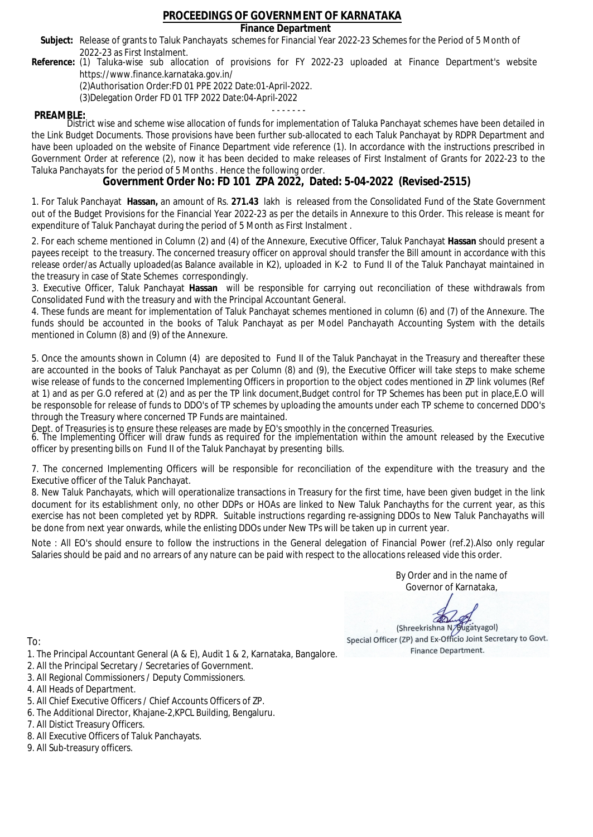## **Finance Department**

- Subject: Release of grants to Taluk Panchayats schemes for Financial Year 2022-23 Schemes for the Period of 5 Month of 2022-23 as First Instalment.
- **Reference:** (1) Taluka-wise sub allocation of provisions for FY 2022-23 uploaded at Finance Department's website https://www.finance.karnataka.gov.in/

(2)Authorisation Order:FD 01 PPE 2022 Date:01-April-2022.

(3)Delegation Order FD 01 TFP 2022 Date:04-April-2022

- - - - - - - **PREAMBLE:** District wise and scheme wise allocation of funds for implementation of Taluka Panchayat schemes have been detailed in the Link Budget Documents. Those provisions have been further sub-allocated to each Taluk Panchayat by RDPR Department and have been uploaded on the website of Finance Department vide reference (1). In accordance with the instructions prescribed in Government Order at reference (2), now it has been decided to make releases of First Instalment of Grants for 2022-23 to the Taluka Panchayats for the period of 5 Months . Hence the following order.

**Government Order No: FD 101 ZPA 2022, Dated: 5-04-2022 (Revised-2515)**

1. For Taluk Panchayat **Hassan,** an amount of Rs. **271.43** lakh is released from the Consolidated Fund of the State Government out of the Budget Provisions for the Financial Year 2022-23 as per the details in Annexure to this Order. This release is meant for expenditure of Taluk Panchayat during the period of 5 Month as First Instalment .

2. For each scheme mentioned in Column (2) and (4) of the Annexure, Executive Officer, Taluk Panchayat **Hassan** should present a payees receipt to the treasury. The concerned treasury officer on approval should transfer the Bill amount in accordance with this release order/as Actually uploaded(as Balance available in K2), uploaded in K-2 to Fund II of the Taluk Panchayat maintained in the treasury in case of State Schemes correspondingly.

3. Executive Officer, Taluk Panchayat **Hassan** will be responsible for carrying out reconciliation of these withdrawals from Consolidated Fund with the treasury and with the Principal Accountant General.

4. These funds are meant for implementation of Taluk Panchayat schemes mentioned in column (6) and (7) of the Annexure. The funds should be accounted in the books of Taluk Panchayat as per Model Panchayath Accounting System with the details mentioned in Column (8) and (9) of the Annexure.

5. Once the amounts shown in Column (4) are deposited to Fund II of the Taluk Panchayat in the Treasury and thereafter these are accounted in the books of Taluk Panchayat as per Column (8) and (9), the Executive Officer will take steps to make scheme wise release of funds to the concerned Implementing Officers in proportion to the object codes mentioned in ZP link volumes (Ref at 1) and as per G.O refered at (2) and as per the TP link document,Budget control for TP Schemes has been put in place,E.O will be responsoble for release of funds to DDO's of TP schemes by uploading the amounts under each TP scheme to concerned DDO's through the Treasury where concerned TP Funds are maintained.

Dept. of Treasuries is to ensure these releases are made by EO's smoothly in the concerned Treasuries.

6. The Implementing Officer will draw funds as required for the implementation within the amount released by the Executive officer by presenting bills on Fund II of the Taluk Panchayat by presenting bills.

7. The concerned Implementing Officers will be responsible for reconciliation of the expenditure with the treasury and the Executive officer of the Taluk Panchayat.

8. New Taluk Panchayats, which will operationalize transactions in Treasury for the first time, have been given budget in the link document for its establishment only, no other DDPs or HOAs are linked to New Taluk Panchayths for the current year, as this exercise has not been completed yet by RDPR. Suitable instructions regarding re-assigning DDOs to New Taluk Panchayaths will be done from next year onwards, while the enlisting DDOs under New TPs will be taken up in current year.

Note : All EO's should ensure to follow the instructions in the General delegation of Financial Power (ref.2).Also only regular Salaries should be paid and no arrears of any nature can be paid with respect to the allocations released vide this order.

> By Order and in the name of Governor of Karnataka,

**PD** 

(Shreekrishna N/Bugatyagol) Special Officer (ZP) and Ex-Officio Joint Secretary to Govt. Finance Department.

- 1. The Principal Accountant General (A & E), Audit 1 & 2, Karnataka, Bangalore.
- 2. All the Principal Secretary / Secretaries of Government.
- 3. All Regional Commissioners / Deputy Commissioners.
- 4. All Heads of Department.
- 5. All Chief Executive Officers / Chief Accounts Officers of ZP.
- 6. The Additional Director, Khajane-2,KPCL Building, Bengaluru.
- 7. All Distict Treasury Officers.
- 8. All Executive Officers of Taluk Panchayats.
- 9. All Sub-treasury officers.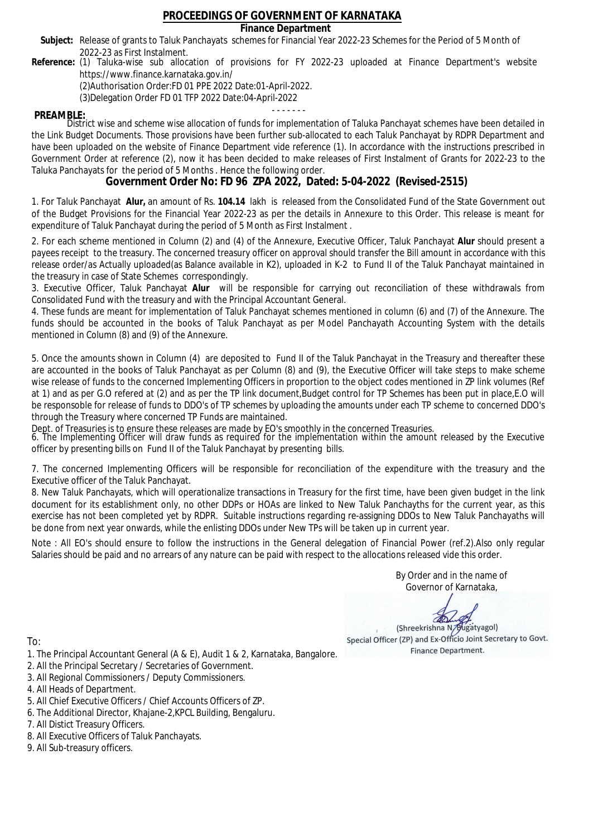## **Finance Department**

- Subject: Release of grants to Taluk Panchayats schemes for Financial Year 2022-23 Schemes for the Period of 5 Month of 2022-23 as First Instalment.
- **Reference:** (1) Taluka-wise sub allocation of provisions for FY 2022-23 uploaded at Finance Department's website https://www.finance.karnataka.gov.in/

(2)Authorisation Order:FD 01 PPE 2022 Date:01-April-2022.

(3)Delegation Order FD 01 TFP 2022 Date:04-April-2022

- - - - - - - **PREAMBLE:** District wise and scheme wise allocation of funds for implementation of Taluka Panchayat schemes have been detailed in the Link Budget Documents. Those provisions have been further sub-allocated to each Taluk Panchayat by RDPR Department and have been uploaded on the website of Finance Department vide reference (1). In accordance with the instructions prescribed in Government Order at reference (2), now it has been decided to make releases of First Instalment of Grants for 2022-23 to the Taluka Panchayats for the period of 5 Months . Hence the following order.

**Government Order No: FD 96 ZPA 2022, Dated: 5-04-2022 (Revised-2515)**

1. For Taluk Panchayat **Alur,** an amount of Rs. **104.14** lakh is released from the Consolidated Fund of the State Government out of the Budget Provisions for the Financial Year 2022-23 as per the details in Annexure to this Order. This release is meant for expenditure of Taluk Panchayat during the period of 5 Month as First Instalment .

2. For each scheme mentioned in Column (2) and (4) of the Annexure, Executive Officer, Taluk Panchayat **Alur** should present a payees receipt to the treasury. The concerned treasury officer on approval should transfer the Bill amount in accordance with this release order/as Actually uploaded(as Balance available in K2), uploaded in K-2 to Fund II of the Taluk Panchayat maintained in the treasury in case of State Schemes correspondingly.

3. Executive Officer, Taluk Panchayat **Alur** will be responsible for carrying out reconciliation of these withdrawals from Consolidated Fund with the treasury and with the Principal Accountant General.

4. These funds are meant for implementation of Taluk Panchayat schemes mentioned in column (6) and (7) of the Annexure. The funds should be accounted in the books of Taluk Panchayat as per Model Panchayath Accounting System with the details mentioned in Column (8) and (9) of the Annexure.

5. Once the amounts shown in Column (4) are deposited to Fund II of the Taluk Panchayat in the Treasury and thereafter these are accounted in the books of Taluk Panchayat as per Column (8) and (9), the Executive Officer will take steps to make scheme wise release of funds to the concerned Implementing Officers in proportion to the object codes mentioned in ZP link volumes (Ref at 1) and as per G.O refered at (2) and as per the TP link document,Budget control for TP Schemes has been put in place,E.O will be responsoble for release of funds to DDO's of TP schemes by uploading the amounts under each TP scheme to concerned DDO's through the Treasury where concerned TP Funds are maintained.

Dept. of Treasuries is to ensure these releases are made by EO's smoothly in the concerned Treasuries.

6. The Implementing Officer will draw funds as required for the implementation within the amount released by the Executive officer by presenting bills on Fund II of the Taluk Panchayat by presenting bills.

7. The concerned Implementing Officers will be responsible for reconciliation of the expenditure with the treasury and the Executive officer of the Taluk Panchayat.

8. New Taluk Panchayats, which will operationalize transactions in Treasury for the first time, have been given budget in the link document for its establishment only, no other DDPs or HOAs are linked to New Taluk Panchayths for the current year, as this exercise has not been completed yet by RDPR. Suitable instructions regarding re-assigning DDOs to New Taluk Panchayaths will be done from next year onwards, while the enlisting DDOs under New TPs will be taken up in current year.

Note : All EO's should ensure to follow the instructions in the General delegation of Financial Power (ref.2).Also only regular Salaries should be paid and no arrears of any nature can be paid with respect to the allocations released vide this order.

> By Order and in the name of Governor of Karnataka,

**PD** 

(Shreekrishna N/Bugatyagol) Special Officer (ZP) and Ex-Officio Joint Secretary to Govt. Finance Department.

To:

- 1. The Principal Accountant General (A & E), Audit 1 & 2, Karnataka, Bangalore.
- 2. All the Principal Secretary / Secretaries of Government.
- 3. All Regional Commissioners / Deputy Commissioners.
- 4. All Heads of Department.
- 5. All Chief Executive Officers / Chief Accounts Officers of ZP.
- 6. The Additional Director, Khajane-2,KPCL Building, Bengaluru.

- 8. All Executive Officers of Taluk Panchayats.
- 9. All Sub-treasury officers.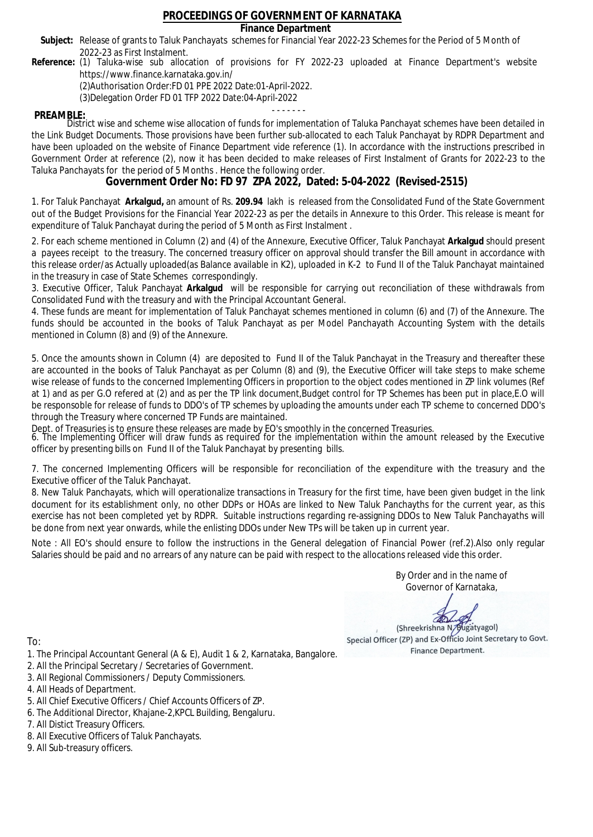## **Finance Department**

- Subject: Release of grants to Taluk Panchayats schemes for Financial Year 2022-23 Schemes for the Period of 5 Month of 2022-23 as First Instalment.
- **Reference:** (1) Taluka-wise sub allocation of provisions for FY 2022-23 uploaded at Finance Department's website https://www.finance.karnataka.gov.in/

(2)Authorisation Order:FD 01 PPE 2022 Date:01-April-2022.

(3)Delegation Order FD 01 TFP 2022 Date:04-April-2022

- - - - - - - **PREAMBLE:** District wise and scheme wise allocation of funds for implementation of Taluka Panchayat schemes have been detailed in the Link Budget Documents. Those provisions have been further sub-allocated to each Taluk Panchayat by RDPR Department and have been uploaded on the website of Finance Department vide reference (1). In accordance with the instructions prescribed in Government Order at reference (2), now it has been decided to make releases of First Instalment of Grants for 2022-23 to the Taluka Panchayats for the period of 5 Months . Hence the following order.

**Government Order No: FD 97 ZPA 2022, Dated: 5-04-2022 (Revised-2515)**

1. For Taluk Panchayat **Arkalgud,** an amount of Rs. **209.94** lakh is released from the Consolidated Fund of the State Government out of the Budget Provisions for the Financial Year 2022-23 as per the details in Annexure to this Order. This release is meant for expenditure of Taluk Panchayat during the period of 5 Month as First Instalment .

2. For each scheme mentioned in Column (2) and (4) of the Annexure, Executive Officer, Taluk Panchayat **Arkalgud** should present a payees receipt to the treasury. The concerned treasury officer on approval should transfer the Bill amount in accordance with this release order/as Actually uploaded(as Balance available in K2), uploaded in K-2 to Fund II of the Taluk Panchayat maintained in the treasury in case of State Schemes correspondingly.

3. Executive Officer, Taluk Panchayat **Arkalgud** will be responsible for carrying out reconciliation of these withdrawals from Consolidated Fund with the treasury and with the Principal Accountant General.

4. These funds are meant for implementation of Taluk Panchayat schemes mentioned in column (6) and (7) of the Annexure. The funds should be accounted in the books of Taluk Panchayat as per Model Panchayath Accounting System with the details mentioned in Column (8) and (9) of the Annexure.

5. Once the amounts shown in Column (4) are deposited to Fund II of the Taluk Panchayat in the Treasury and thereafter these are accounted in the books of Taluk Panchayat as per Column (8) and (9), the Executive Officer will take steps to make scheme wise release of funds to the concerned Implementing Officers in proportion to the object codes mentioned in ZP link volumes (Ref at 1) and as per G.O refered at (2) and as per the TP link document,Budget control for TP Schemes has been put in place,E.O will be responsoble for release of funds to DDO's of TP schemes by uploading the amounts under each TP scheme to concerned DDO's through the Treasury where concerned TP Funds are maintained.

Dept. of Treasuries is to ensure these releases are made by EO's smoothly in the concerned Treasuries.

6. The Implementing Officer will draw funds as required for the implementation within the amount released by the Executive officer by presenting bills on Fund II of the Taluk Panchayat by presenting bills.

7. The concerned Implementing Officers will be responsible for reconciliation of the expenditure with the treasury and the Executive officer of the Taluk Panchayat.

8. New Taluk Panchayats, which will operationalize transactions in Treasury for the first time, have been given budget in the link document for its establishment only, no other DDPs or HOAs are linked to New Taluk Panchayths for the current year, as this exercise has not been completed yet by RDPR. Suitable instructions regarding re-assigning DDOs to New Taluk Panchayaths will be done from next year onwards, while the enlisting DDOs under New TPs will be taken up in current year.

Note : All EO's should ensure to follow the instructions in the General delegation of Financial Power (ref.2).Also only regular Salaries should be paid and no arrears of any nature can be paid with respect to the allocations released vide this order.

> By Order and in the name of Governor of Karnataka,

**PD** 

(Shreekrishna N/Bugatyagol) Special Officer (ZP) and Ex-Officio Joint Secretary to Govt. Finance Department.

To:

- 1. The Principal Accountant General (A & E), Audit 1 & 2, Karnataka, Bangalore.
- 2. All the Principal Secretary / Secretaries of Government.
- 3. All Regional Commissioners / Deputy Commissioners.
- 4. All Heads of Department.
- 5. All Chief Executive Officers / Chief Accounts Officers of ZP.
- 6. The Additional Director, Khajane-2,KPCL Building, Bengaluru.

- 8. All Executive Officers of Taluk Panchayats.
- 9. All Sub-treasury officers.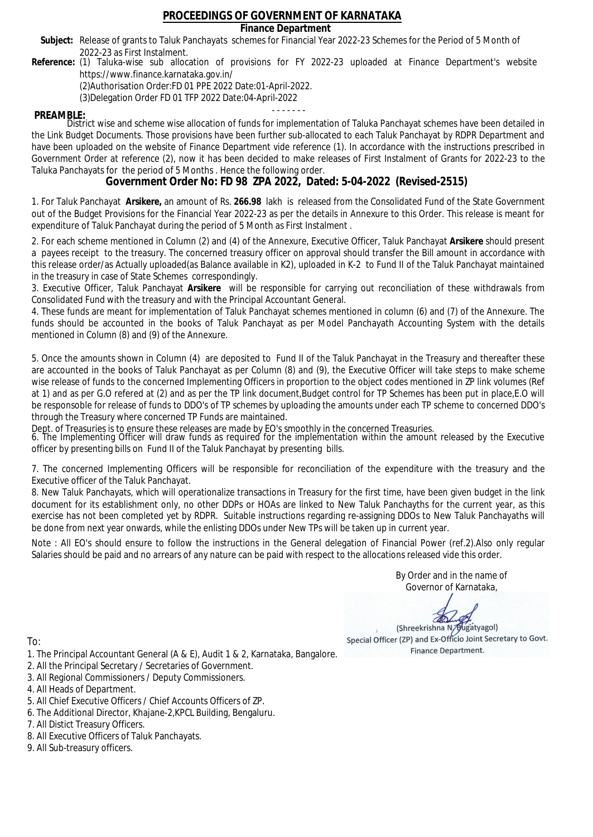## **Finance Department**

- Subject: Release of grants to Taluk Panchayats schemes for Financial Year 2022-23 Schemes for the Period of 5 Month of 2022-23 as First Instalment.
- **Reference:** (1) Taluka-wise sub allocation of provisions for FY 2022-23 uploaded at Finance Department's website https://www.finance.karnataka.gov.in/

(2)Authorisation Order:FD 01 PPE 2022 Date:01-April-2022.

(3)Delegation Order FD 01 TFP 2022 Date:04-April-2022

- - - - - - - **PREAMBLE:** District wise and scheme wise allocation of funds for implementation of Taluka Panchayat schemes have been detailed in the Link Budget Documents. Those provisions have been further sub-allocated to each Taluk Panchayat by RDPR Department and have been uploaded on the website of Finance Department vide reference (1). In accordance with the instructions prescribed in Government Order at reference (2), now it has been decided to make releases of First Instalment of Grants for 2022-23 to the Taluka Panchayats for the period of 5 Months . Hence the following order.

**Government Order No: FD 98 ZPA 2022, Dated: 5-04-2022 (Revised-2515)**

1. For Taluk Panchayat **Arsikere,** an amount of Rs. **266.98** lakh is released from the Consolidated Fund of the State Government out of the Budget Provisions for the Financial Year 2022-23 as per the details in Annexure to this Order. This release is meant for expenditure of Taluk Panchayat during the period of 5 Month as First Instalment .

2. For each scheme mentioned in Column (2) and (4) of the Annexure, Executive Officer, Taluk Panchayat **Arsikere** should present a payees receipt to the treasury. The concerned treasury officer on approval should transfer the Bill amount in accordance with this release order/as Actually uploaded(as Balance available in K2), uploaded in K-2 to Fund II of the Taluk Panchayat maintained in the treasury in case of State Schemes correspondingly.

3. Executive Officer, Taluk Panchayat **Arsikere** will be responsible for carrying out reconciliation of these withdrawals from Consolidated Fund with the treasury and with the Principal Accountant General.

4. These funds are meant for implementation of Taluk Panchayat schemes mentioned in column (6) and (7) of the Annexure. The funds should be accounted in the books of Taluk Panchayat as per Model Panchayath Accounting System with the details mentioned in Column (8) and (9) of the Annexure.

5. Once the amounts shown in Column (4) are deposited to Fund II of the Taluk Panchayat in the Treasury and thereafter these are accounted in the books of Taluk Panchayat as per Column (8) and (9), the Executive Officer will take steps to make scheme wise release of funds to the concerned Implementing Officers in proportion to the object codes mentioned in ZP link volumes (Ref at 1) and as per G.O refered at (2) and as per the TP link document,Budget control for TP Schemes has been put in place,E.O will be responsoble for release of funds to DDO's of TP schemes by uploading the amounts under each TP scheme to concerned DDO's through the Treasury where concerned TP Funds are maintained.

Dept. of Treasuries is to ensure these releases are made by EO's smoothly in the concerned Treasuries.

6. The Implementing Officer will draw funds as required for the implementation within the amount released by the Executive officer by presenting bills on Fund II of the Taluk Panchayat by presenting bills.

7. The concerned Implementing Officers will be responsible for reconciliation of the expenditure with the treasury and the Executive officer of the Taluk Panchayat.

8. New Taluk Panchayats, which will operationalize transactions in Treasury for the first time, have been given budget in the link document for its establishment only, no other DDPs or HOAs are linked to New Taluk Panchayths for the current year, as this exercise has not been completed yet by RDPR. Suitable instructions regarding re-assigning DDOs to New Taluk Panchayaths will be done from next year onwards, while the enlisting DDOs under New TPs will be taken up in current year.

Note : All EO's should ensure to follow the instructions in the General delegation of Financial Power (ref.2).Also only regular Salaries should be paid and no arrears of any nature can be paid with respect to the allocations released vide this order.

> By Order and in the name of Governor of Karnataka,

**PD** 

(Shreekrishna N/Bugatyagol) Special Officer (ZP) and Ex-Officio Joint Secretary to Govt. Finance Department.

- 1. The Principal Accountant General (A & E), Audit 1 & 2, Karnataka, Bangalore.
- 2. All the Principal Secretary / Secretaries of Government.
- 3. All Regional Commissioners / Deputy Commissioners.
- 4. All Heads of Department.
- 5. All Chief Executive Officers / Chief Accounts Officers of ZP.
- 6. The Additional Director, Khajane-2,KPCL Building, Bengaluru.
- 7. All Distict Treasury Officers.
- 8. All Executive Officers of Taluk Panchayats.
- 9. All Sub-treasury officers.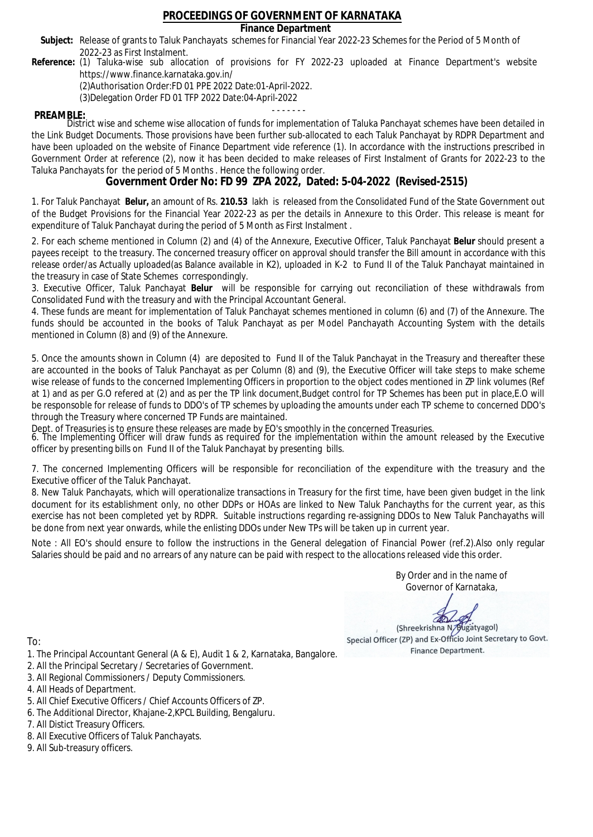## **Finance Department**

- Subject: Release of grants to Taluk Panchayats schemes for Financial Year 2022-23 Schemes for the Period of 5 Month of 2022-23 as First Instalment.
- **Reference:** (1) Taluka-wise sub allocation of provisions for FY 2022-23 uploaded at Finance Department's website https://www.finance.karnataka.gov.in/

(2)Authorisation Order:FD 01 PPE 2022 Date:01-April-2022.

(3)Delegation Order FD 01 TFP 2022 Date:04-April-2022

- - - - - - - **PREAMBLE:** District wise and scheme wise allocation of funds for implementation of Taluka Panchayat schemes have been detailed in the Link Budget Documents. Those provisions have been further sub-allocated to each Taluk Panchayat by RDPR Department and have been uploaded on the website of Finance Department vide reference (1). In accordance with the instructions prescribed in Government Order at reference (2), now it has been decided to make releases of First Instalment of Grants for 2022-23 to the Taluka Panchayats for the period of 5 Months . Hence the following order.

**Government Order No: FD 99 ZPA 2022, Dated: 5-04-2022 (Revised-2515)**

1. For Taluk Panchayat **Belur,** an amount of Rs. **210.53** lakh is released from the Consolidated Fund of the State Government out of the Budget Provisions for the Financial Year 2022-23 as per the details in Annexure to this Order. This release is meant for expenditure of Taluk Panchayat during the period of 5 Month as First Instalment .

2. For each scheme mentioned in Column (2) and (4) of the Annexure, Executive Officer, Taluk Panchayat **Belur** should present a payees receipt to the treasury. The concerned treasury officer on approval should transfer the Bill amount in accordance with this release order/as Actually uploaded(as Balance available in K2), uploaded in K-2 to Fund II of the Taluk Panchayat maintained in the treasury in case of State Schemes correspondingly.

3. Executive Officer, Taluk Panchayat **Belur** will be responsible for carrying out reconciliation of these withdrawals from Consolidated Fund with the treasury and with the Principal Accountant General.

4. These funds are meant for implementation of Taluk Panchayat schemes mentioned in column (6) and (7) of the Annexure. The funds should be accounted in the books of Taluk Panchayat as per Model Panchayath Accounting System with the details mentioned in Column (8) and (9) of the Annexure.

5. Once the amounts shown in Column (4) are deposited to Fund II of the Taluk Panchayat in the Treasury and thereafter these are accounted in the books of Taluk Panchayat as per Column (8) and (9), the Executive Officer will take steps to make scheme wise release of funds to the concerned Implementing Officers in proportion to the object codes mentioned in ZP link volumes (Ref at 1) and as per G.O refered at (2) and as per the TP link document,Budget control for TP Schemes has been put in place,E.O will be responsoble for release of funds to DDO's of TP schemes by uploading the amounts under each TP scheme to concerned DDO's through the Treasury where concerned TP Funds are maintained.

Dept. of Treasuries is to ensure these releases are made by EO's smoothly in the concerned Treasuries.

6. The Implementing Officer will draw funds as required for the implementation within the amount released by the Executive officer by presenting bills on Fund II of the Taluk Panchayat by presenting bills.

7. The concerned Implementing Officers will be responsible for reconciliation of the expenditure with the treasury and the Executive officer of the Taluk Panchayat.

8. New Taluk Panchayats, which will operationalize transactions in Treasury for the first time, have been given budget in the link document for its establishment only, no other DDPs or HOAs are linked to New Taluk Panchayths for the current year, as this exercise has not been completed yet by RDPR. Suitable instructions regarding re-assigning DDOs to New Taluk Panchayaths will be done from next year onwards, while the enlisting DDOs under New TPs will be taken up in current year.

Note : All EO's should ensure to follow the instructions in the General delegation of Financial Power (ref.2).Also only regular Salaries should be paid and no arrears of any nature can be paid with respect to the allocations released vide this order.

> By Order and in the name of Governor of Karnataka,

**PD** 

(Shreekrishna N/Bugatyagol) Special Officer (ZP) and Ex-Officio Joint Secretary to Govt. Finance Department.

To:

- 1. The Principal Accountant General (A & E), Audit 1 & 2, Karnataka, Bangalore.
- 2. All the Principal Secretary / Secretaries of Government.
- 3. All Regional Commissioners / Deputy Commissioners.
- 4. All Heads of Department.
- 5. All Chief Executive Officers / Chief Accounts Officers of ZP.
- 6. The Additional Director, Khajane-2,KPCL Building, Bengaluru.

- 8. All Executive Officers of Taluk Panchayats.
- 9. All Sub-treasury officers.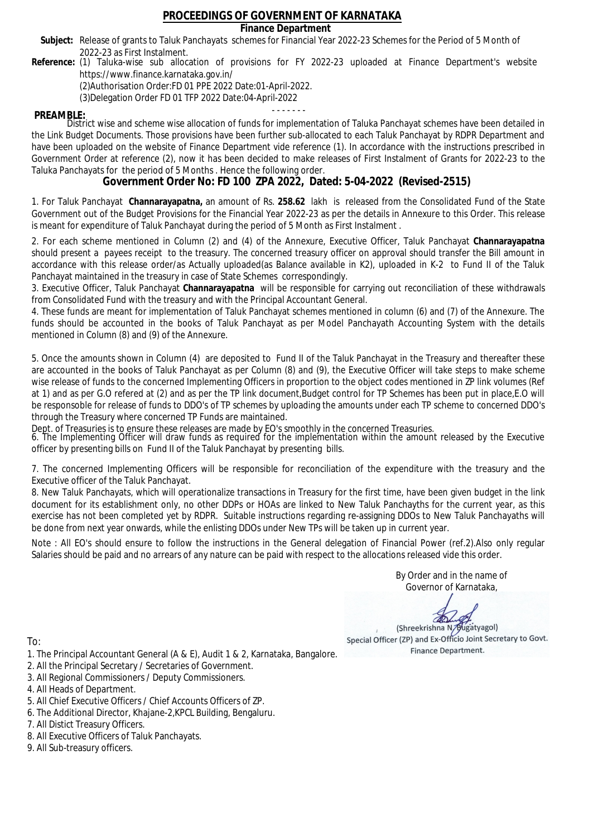## **Finance Department**

- Subject: Release of grants to Taluk Panchayats schemes for Financial Year 2022-23 Schemes for the Period of 5 Month of 2022-23 as First Instalment.
- **Reference:** (1) Taluka-wise sub allocation of provisions for FY 2022-23 uploaded at Finance Department's website https://www.finance.karnataka.gov.in/

(2)Authorisation Order:FD 01 PPE 2022 Date:01-April-2022.

(3)Delegation Order FD 01 TFP 2022 Date:04-April-2022

- - - - - - - **PREAMBLE:** District wise and scheme wise allocation of funds for implementation of Taluka Panchayat schemes have been detailed in the Link Budget Documents. Those provisions have been further sub-allocated to each Taluk Panchayat by RDPR Department and have been uploaded on the website of Finance Department vide reference (1). In accordance with the instructions prescribed in Government Order at reference (2), now it has been decided to make releases of First Instalment of Grants for 2022-23 to the Taluka Panchayats for the period of 5 Months . Hence the following order.

**Government Order No: FD 100 ZPA 2022, Dated: 5-04-2022 (Revised-2515)**

1. For Taluk Panchayat **Channarayapatna,** an amount of Rs. **258.62** lakh is released from the Consolidated Fund of the State Government out of the Budget Provisions for the Financial Year 2022-23 as per the details in Annexure to this Order. This release is meant for expenditure of Taluk Panchayat during the period of 5 Month as First Instalment .

2. For each scheme mentioned in Column (2) and (4) of the Annexure, Executive Officer, Taluk Panchayat **Channarayapatna** should present a payees receipt to the treasury. The concerned treasury officer on approval should transfer the Bill amount in accordance with this release order/as Actually uploaded(as Balance available in K2), uploaded in K-2 to Fund II of the Taluk Panchayat maintained in the treasury in case of State Schemes correspondingly.

3. Executive Officer, Taluk Panchayat **Channarayapatna** will be responsible for carrying out reconciliation of these withdrawals from Consolidated Fund with the treasury and with the Principal Accountant General.

4. These funds are meant for implementation of Taluk Panchayat schemes mentioned in column (6) and (7) of the Annexure. The funds should be accounted in the books of Taluk Panchayat as per Model Panchayath Accounting System with the details mentioned in Column (8) and (9) of the Annexure.

5. Once the amounts shown in Column (4) are deposited to Fund II of the Taluk Panchayat in the Treasury and thereafter these are accounted in the books of Taluk Panchayat as per Column (8) and (9), the Executive Officer will take steps to make scheme wise release of funds to the concerned Implementing Officers in proportion to the object codes mentioned in ZP link volumes (Ref at 1) and as per G.O refered at (2) and as per the TP link document,Budget control for TP Schemes has been put in place,E.O will be responsoble for release of funds to DDO's of TP schemes by uploading the amounts under each TP scheme to concerned DDO's through the Treasury where concerned TP Funds are maintained.

Dept. of Treasuries is to ensure these releases are made by EO's smoothly in the concerned Treasuries.

6. The Implementing Officer will draw funds as required for the implementation within the amount released by the Executive officer by presenting bills on Fund II of the Taluk Panchayat by presenting bills.

7. The concerned Implementing Officers will be responsible for reconciliation of the expenditure with the treasury and the Executive officer of the Taluk Panchayat.

8. New Taluk Panchayats, which will operationalize transactions in Treasury for the first time, have been given budget in the link document for its establishment only, no other DDPs or HOAs are linked to New Taluk Panchayths for the current year, as this exercise has not been completed yet by RDPR. Suitable instructions regarding re-assigning DDOs to New Taluk Panchayaths will be done from next year onwards, while the enlisting DDOs under New TPs will be taken up in current year.

Note : All EO's should ensure to follow the instructions in the General delegation of Financial Power (ref.2).Also only regular Salaries should be paid and no arrears of any nature can be paid with respect to the allocations released vide this order.

> By Order and in the name of Governor of Karnataka,

**PD** 

(Shreekrishna N/Bugatyagol) Special Officer (ZP) and Ex-Officio Joint Secretary to Govt. Finance Department.

- 1. The Principal Accountant General (A & E), Audit 1 & 2, Karnataka, Bangalore.
- 2. All the Principal Secretary / Secretaries of Government.
- 3. All Regional Commissioners / Deputy Commissioners.
- 4. All Heads of Department.
- 5. All Chief Executive Officers / Chief Accounts Officers of ZP.
- 6. The Additional Director, Khajane-2,KPCL Building, Bengaluru.
- 7. All Distict Treasury Officers.
- 8. All Executive Officers of Taluk Panchayats.
- 9. All Sub-treasury officers.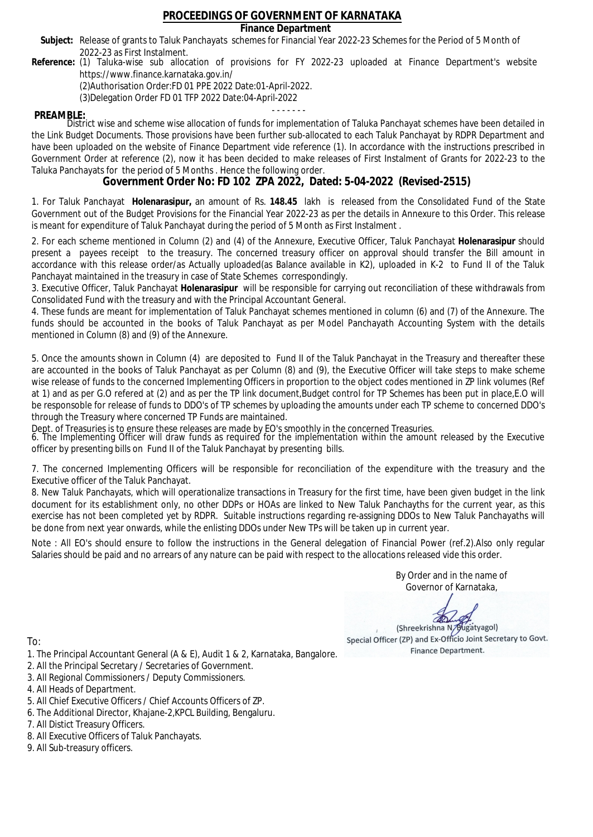## **Finance Department**

- Subject: Release of grants to Taluk Panchayats schemes for Financial Year 2022-23 Schemes for the Period of 5 Month of 2022-23 as First Instalment.
- **Reference:** (1) Taluka-wise sub allocation of provisions for FY 2022-23 uploaded at Finance Department's website https://www.finance.karnataka.gov.in/

(2)Authorisation Order:FD 01 PPE 2022 Date:01-April-2022.

(3)Delegation Order FD 01 TFP 2022 Date:04-April-2022

- - - - - - - **PREAMBLE:** District wise and scheme wise allocation of funds for implementation of Taluka Panchayat schemes have been detailed in the Link Budget Documents. Those provisions have been further sub-allocated to each Taluk Panchayat by RDPR Department and have been uploaded on the website of Finance Department vide reference (1). In accordance with the instructions prescribed in Government Order at reference (2), now it has been decided to make releases of First Instalment of Grants for 2022-23 to the Taluka Panchayats for the period of 5 Months . Hence the following order.

**Government Order No: FD 102 ZPA 2022, Dated: 5-04-2022 (Revised-2515)**

1. For Taluk Panchayat **Holenarasipur,** an amount of Rs. **148.45** lakh is released from the Consolidated Fund of the State Government out of the Budget Provisions for the Financial Year 2022-23 as per the details in Annexure to this Order. This release is meant for expenditure of Taluk Panchayat during the period of 5 Month as First Instalment .

2. For each scheme mentioned in Column (2) and (4) of the Annexure, Executive Officer, Taluk Panchayat **Holenarasipur** should present a payees receipt to the treasury. The concerned treasury officer on approval should transfer the Bill amount in accordance with this release order/as Actually uploaded(as Balance available in K2), uploaded in K-2 to Fund II of the Taluk Panchayat maintained in the treasury in case of State Schemes correspondingly.

3. Executive Officer, Taluk Panchayat **Holenarasipur** will be responsible for carrying out reconciliation of these withdrawals from Consolidated Fund with the treasury and with the Principal Accountant General.

4. These funds are meant for implementation of Taluk Panchayat schemes mentioned in column (6) and (7) of the Annexure. The funds should be accounted in the books of Taluk Panchayat as per Model Panchayath Accounting System with the details mentioned in Column (8) and (9) of the Annexure.

5. Once the amounts shown in Column (4) are deposited to Fund II of the Taluk Panchayat in the Treasury and thereafter these are accounted in the books of Taluk Panchayat as per Column (8) and (9), the Executive Officer will take steps to make scheme wise release of funds to the concerned Implementing Officers in proportion to the object codes mentioned in ZP link volumes (Ref at 1) and as per G.O refered at (2) and as per the TP link document,Budget control for TP Schemes has been put in place,E.O will be responsoble for release of funds to DDO's of TP schemes by uploading the amounts under each TP scheme to concerned DDO's through the Treasury where concerned TP Funds are maintained.

Dept. of Treasuries is to ensure these releases are made by EO's smoothly in the concerned Treasuries.

6. The Implementing Officer will draw funds as required for the implementation within the amount released by the Executive officer by presenting bills on Fund II of the Taluk Panchayat by presenting bills.

7. The concerned Implementing Officers will be responsible for reconciliation of the expenditure with the treasury and the Executive officer of the Taluk Panchayat.

8. New Taluk Panchayats, which will operationalize transactions in Treasury for the first time, have been given budget in the link document for its establishment only, no other DDPs or HOAs are linked to New Taluk Panchayths for the current year, as this exercise has not been completed yet by RDPR. Suitable instructions regarding re-assigning DDOs to New Taluk Panchayaths will be done from next year onwards, while the enlisting DDOs under New TPs will be taken up in current year.

Note : All EO's should ensure to follow the instructions in the General delegation of Financial Power (ref.2).Also only regular Salaries should be paid and no arrears of any nature can be paid with respect to the allocations released vide this order.

> By Order and in the name of Governor of Karnataka,

**PD** 

(Shreekrishna N/Bugatyagol) Special Officer (ZP) and Ex-Officio Joint Secretary to Govt. Finance Department.

- 1. The Principal Accountant General (A & E), Audit 1 & 2, Karnataka, Bangalore.
- 2. All the Principal Secretary / Secretaries of Government.
- 3. All Regional Commissioners / Deputy Commissioners.
- 4. All Heads of Department.
- 5. All Chief Executive Officers / Chief Accounts Officers of ZP.
- 6. The Additional Director, Khajane-2,KPCL Building, Bengaluru.
- 7. All Distict Treasury Officers.
- 8. All Executive Officers of Taluk Panchayats.
- 9. All Sub-treasury officers.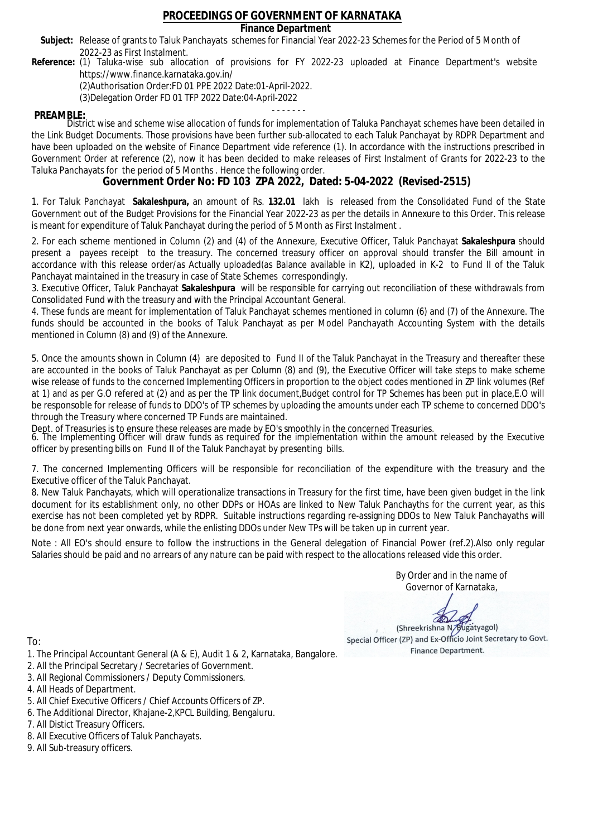## **Finance Department**

- Subject: Release of grants to Taluk Panchayats schemes for Financial Year 2022-23 Schemes for the Period of 5 Month of 2022-23 as First Instalment.
- **Reference:** (1) Taluka-wise sub allocation of provisions for FY 2022-23 uploaded at Finance Department's website https://www.finance.karnataka.gov.in/

(2)Authorisation Order:FD 01 PPE 2022 Date:01-April-2022.

(3)Delegation Order FD 01 TFP 2022 Date:04-April-2022

- - - - - - - **PREAMBLE:** District wise and scheme wise allocation of funds for implementation of Taluka Panchayat schemes have been detailed in the Link Budget Documents. Those provisions have been further sub-allocated to each Taluk Panchayat by RDPR Department and have been uploaded on the website of Finance Department vide reference (1). In accordance with the instructions prescribed in Government Order at reference (2), now it has been decided to make releases of First Instalment of Grants for 2022-23 to the Taluka Panchayats for the period of 5 Months . Hence the following order.

**Government Order No: FD 103 ZPA 2022, Dated: 5-04-2022 (Revised-2515)**

1. For Taluk Panchayat **Sakaleshpura,** an amount of Rs. **132.01** lakh is released from the Consolidated Fund of the State Government out of the Budget Provisions for the Financial Year 2022-23 as per the details in Annexure to this Order. This release is meant for expenditure of Taluk Panchayat during the period of 5 Month as First Instalment .

2. For each scheme mentioned in Column (2) and (4) of the Annexure, Executive Officer, Taluk Panchayat **Sakaleshpura** should present a payees receipt to the treasury. The concerned treasury officer on approval should transfer the Bill amount in accordance with this release order/as Actually uploaded(as Balance available in K2), uploaded in K-2 to Fund II of the Taluk Panchayat maintained in the treasury in case of State Schemes correspondingly.

3. Executive Officer, Taluk Panchayat **Sakaleshpura** will be responsible for carrying out reconciliation of these withdrawals from Consolidated Fund with the treasury and with the Principal Accountant General.

4. These funds are meant for implementation of Taluk Panchayat schemes mentioned in column (6) and (7) of the Annexure. The funds should be accounted in the books of Taluk Panchayat as per Model Panchayath Accounting System with the details mentioned in Column (8) and (9) of the Annexure.

5. Once the amounts shown in Column (4) are deposited to Fund II of the Taluk Panchayat in the Treasury and thereafter these are accounted in the books of Taluk Panchayat as per Column (8) and (9), the Executive Officer will take steps to make scheme wise release of funds to the concerned Implementing Officers in proportion to the object codes mentioned in ZP link volumes (Ref at 1) and as per G.O refered at (2) and as per the TP link document,Budget control for TP Schemes has been put in place,E.O will be responsoble for release of funds to DDO's of TP schemes by uploading the amounts under each TP scheme to concerned DDO's through the Treasury where concerned TP Funds are maintained.

Dept. of Treasuries is to ensure these releases are made by EO's smoothly in the concerned Treasuries.

6. The Implementing Officer will draw funds as required for the implementation within the amount released by the Executive officer by presenting bills on Fund II of the Taluk Panchayat by presenting bills.

7. The concerned Implementing Officers will be responsible for reconciliation of the expenditure with the treasury and the Executive officer of the Taluk Panchayat.

8. New Taluk Panchayats, which will operationalize transactions in Treasury for the first time, have been given budget in the link document for its establishment only, no other DDPs or HOAs are linked to New Taluk Panchayths for the current year, as this exercise has not been completed yet by RDPR. Suitable instructions regarding re-assigning DDOs to New Taluk Panchayaths will be done from next year onwards, while the enlisting DDOs under New TPs will be taken up in current year.

Note : All EO's should ensure to follow the instructions in the General delegation of Financial Power (ref.2).Also only regular Salaries should be paid and no arrears of any nature can be paid with respect to the allocations released vide this order.

> By Order and in the name of Governor of Karnataka,

**PD** 

(Shreekrishna N/Bugatyagol) Special Officer (ZP) and Ex-Officio Joint Secretary to Govt. Finance Department.

- 1. The Principal Accountant General (A & E), Audit 1 & 2, Karnataka, Bangalore.
- 2. All the Principal Secretary / Secretaries of Government.
- 3. All Regional Commissioners / Deputy Commissioners.
- 4. All Heads of Department.
- 5. All Chief Executive Officers / Chief Accounts Officers of ZP.
- 6. The Additional Director, Khajane-2,KPCL Building, Bengaluru.
- 7. All Distict Treasury Officers.
- 8. All Executive Officers of Taluk Panchayats.
- 9. All Sub-treasury officers.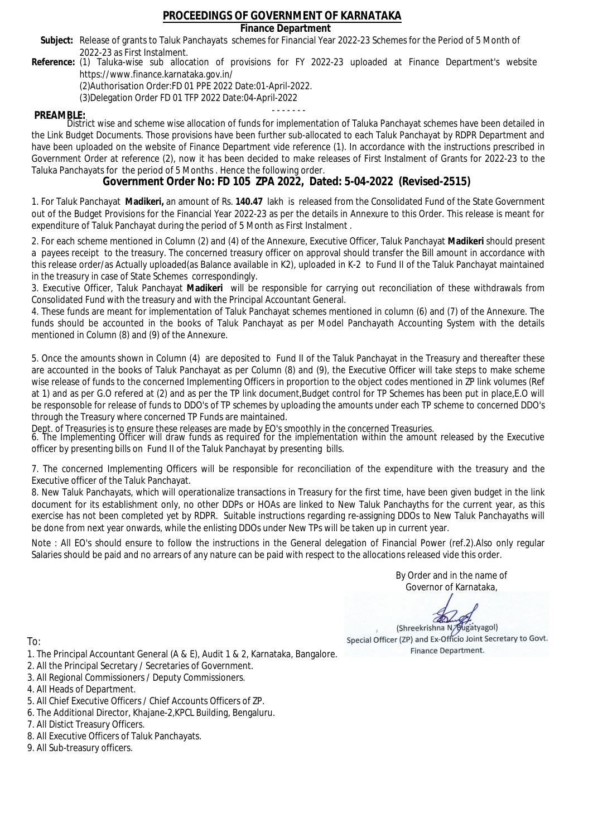## **Finance Department**

- Subject: Release of grants to Taluk Panchayats schemes for Financial Year 2022-23 Schemes for the Period of 5 Month of 2022-23 as First Instalment.
- **Reference:** (1) Taluka-wise sub allocation of provisions for FY 2022-23 uploaded at Finance Department's website https://www.finance.karnataka.gov.in/

(2)Authorisation Order:FD 01 PPE 2022 Date:01-April-2022.

(3)Delegation Order FD 01 TFP 2022 Date:04-April-2022

- - - - - - - **PREAMBLE:** District wise and scheme wise allocation of funds for implementation of Taluka Panchayat schemes have been detailed in the Link Budget Documents. Those provisions have been further sub-allocated to each Taluk Panchayat by RDPR Department and have been uploaded on the website of Finance Department vide reference (1). In accordance with the instructions prescribed in Government Order at reference (2), now it has been decided to make releases of First Instalment of Grants for 2022-23 to the Taluka Panchayats for the period of 5 Months . Hence the following order.

**Government Order No: FD 105 ZPA 2022, Dated: 5-04-2022 (Revised-2515)**

1. For Taluk Panchayat **Madikeri,** an amount of Rs. **140.47** lakh is released from the Consolidated Fund of the State Government out of the Budget Provisions for the Financial Year 2022-23 as per the details in Annexure to this Order. This release is meant for expenditure of Taluk Panchayat during the period of 5 Month as First Instalment .

2. For each scheme mentioned in Column (2) and (4) of the Annexure, Executive Officer, Taluk Panchayat **Madikeri** should present a payees receipt to the treasury. The concerned treasury officer on approval should transfer the Bill amount in accordance with this release order/as Actually uploaded(as Balance available in K2), uploaded in K-2 to Fund II of the Taluk Panchayat maintained in the treasury in case of State Schemes correspondingly.

3. Executive Officer, Taluk Panchayat **Madikeri** will be responsible for carrying out reconciliation of these withdrawals from Consolidated Fund with the treasury and with the Principal Accountant General.

4. These funds are meant for implementation of Taluk Panchayat schemes mentioned in column (6) and (7) of the Annexure. The funds should be accounted in the books of Taluk Panchayat as per Model Panchayath Accounting System with the details mentioned in Column (8) and (9) of the Annexure.

5. Once the amounts shown in Column (4) are deposited to Fund II of the Taluk Panchayat in the Treasury and thereafter these are accounted in the books of Taluk Panchayat as per Column (8) and (9), the Executive Officer will take steps to make scheme wise release of funds to the concerned Implementing Officers in proportion to the object codes mentioned in ZP link volumes (Ref at 1) and as per G.O refered at (2) and as per the TP link document,Budget control for TP Schemes has been put in place,E.O will be responsoble for release of funds to DDO's of TP schemes by uploading the amounts under each TP scheme to concerned DDO's through the Treasury where concerned TP Funds are maintained.

Dept. of Treasuries is to ensure these releases are made by EO's smoothly in the concerned Treasuries.

6. The Implementing Officer will draw funds as required for the implementation within the amount released by the Executive officer by presenting bills on Fund II of the Taluk Panchayat by presenting bills.

7. The concerned Implementing Officers will be responsible for reconciliation of the expenditure with the treasury and the Executive officer of the Taluk Panchayat.

8. New Taluk Panchayats, which will operationalize transactions in Treasury for the first time, have been given budget in the link document for its establishment only, no other DDPs or HOAs are linked to New Taluk Panchayths for the current year, as this exercise has not been completed yet by RDPR. Suitable instructions regarding re-assigning DDOs to New Taluk Panchayaths will be done from next year onwards, while the enlisting DDOs under New TPs will be taken up in current year.

Note : All EO's should ensure to follow the instructions in the General delegation of Financial Power (ref.2).Also only regular Salaries should be paid and no arrears of any nature can be paid with respect to the allocations released vide this order.

> By Order and in the name of Governor of Karnataka,

**PD** 

(Shreekrishna N/Bugatyagol) Special Officer (ZP) and Ex-Officio Joint Secretary to Govt. Finance Department.

To:

- 1. The Principal Accountant General (A & E), Audit 1 & 2, Karnataka, Bangalore.
- 2. All the Principal Secretary / Secretaries of Government.
- 3. All Regional Commissioners / Deputy Commissioners.
- 4. All Heads of Department.
- 5. All Chief Executive Officers / Chief Accounts Officers of ZP.
- 6. The Additional Director, Khajane-2,KPCL Building, Bengaluru.

- 8. All Executive Officers of Taluk Panchayats.
- 9. All Sub-treasury officers.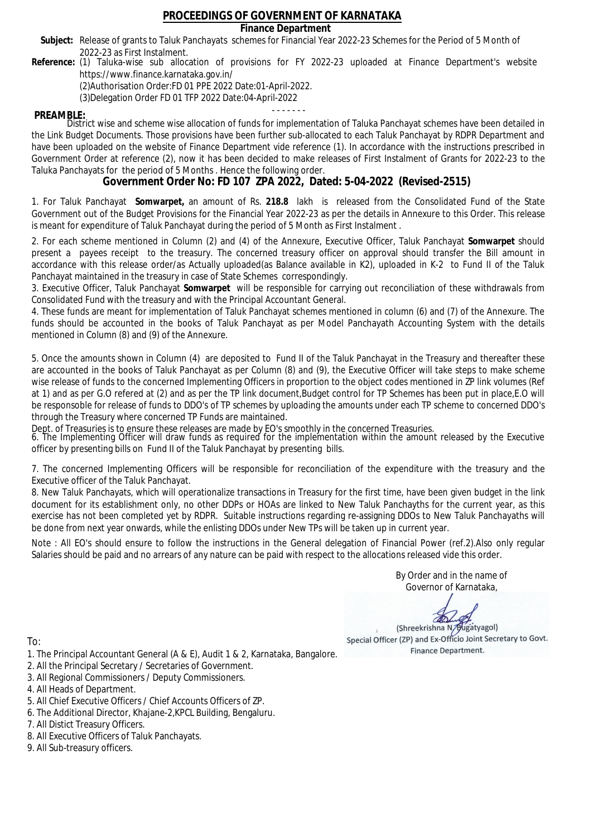**Finance Department**

- Subject: Release of grants to Taluk Panchayats schemes for Financial Year 2022-23 Schemes for the Period of 5 Month of 2022-23 as First Instalment.
- **Reference:** (1) Taluka-wise sub allocation of provisions for FY 2022-23 uploaded at Finance Department's website https://www.finance.karnataka.gov.in/

(2)Authorisation Order:FD 01 PPE 2022 Date:01-April-2022.

(3)Delegation Order FD 01 TFP 2022 Date:04-April-2022

- - - - - - - **PREAMBLE:** District wise and scheme wise allocation of funds for implementation of Taluka Panchayat schemes have been detailed in the Link Budget Documents. Those provisions have been further sub-allocated to each Taluk Panchayat by RDPR Department and have been uploaded on the website of Finance Department vide reference (1). In accordance with the instructions prescribed in Government Order at reference (2), now it has been decided to make releases of First Instalment of Grants for 2022-23 to the Taluka Panchayats for the period of 5 Months . Hence the following order.

**Government Order No: FD 107 ZPA 2022, Dated: 5-04-2022 (Revised-2515)**

1. For Taluk Panchayat **Somwarpet,** an amount of Rs. **218.8** lakh is released from the Consolidated Fund of the State Government out of the Budget Provisions for the Financial Year 2022-23 as per the details in Annexure to this Order. This release is meant for expenditure of Taluk Panchayat during the period of 5 Month as First Instalment .

2. For each scheme mentioned in Column (2) and (4) of the Annexure, Executive Officer, Taluk Panchayat **Somwarpet** should present a payees receipt to the treasury. The concerned treasury officer on approval should transfer the Bill amount in accordance with this release order/as Actually uploaded(as Balance available in K2), uploaded in K-2 to Fund II of the Taluk Panchayat maintained in the treasury in case of State Schemes correspondingly.

3. Executive Officer, Taluk Panchayat **Somwarpet** will be responsible for carrying out reconciliation of these withdrawals from Consolidated Fund with the treasury and with the Principal Accountant General.

4. These funds are meant for implementation of Taluk Panchayat schemes mentioned in column (6) and (7) of the Annexure. The funds should be accounted in the books of Taluk Panchayat as per Model Panchayath Accounting System with the details mentioned in Column (8) and (9) of the Annexure.

5. Once the amounts shown in Column (4) are deposited to Fund II of the Taluk Panchayat in the Treasury and thereafter these are accounted in the books of Taluk Panchayat as per Column (8) and (9), the Executive Officer will take steps to make scheme wise release of funds to the concerned Implementing Officers in proportion to the object codes mentioned in ZP link volumes (Ref at 1) and as per G.O refered at (2) and as per the TP link document,Budget control for TP Schemes has been put in place,E.O will be responsoble for release of funds to DDO's of TP schemes by uploading the amounts under each TP scheme to concerned DDO's through the Treasury where concerned TP Funds are maintained.

Dept. of Treasuries is to ensure these releases are made by EO's smoothly in the concerned Treasuries.

6. The Implementing Officer will draw funds as required for the implementation within the amount released by the Executive officer by presenting bills on Fund II of the Taluk Panchayat by presenting bills.

7. The concerned Implementing Officers will be responsible for reconciliation of the expenditure with the treasury and the Executive officer of the Taluk Panchayat.

8. New Taluk Panchayats, which will operationalize transactions in Treasury for the first time, have been given budget in the link document for its establishment only, no other DDPs or HOAs are linked to New Taluk Panchayths for the current year, as this exercise has not been completed yet by RDPR. Suitable instructions regarding re-assigning DDOs to New Taluk Panchayaths will be done from next year onwards, while the enlisting DDOs under New TPs will be taken up in current year.

Note : All EO's should ensure to follow the instructions in the General delegation of Financial Power (ref.2).Also only regular Salaries should be paid and no arrears of any nature can be paid with respect to the allocations released vide this order.

> By Order and in the name of Governor of Karnataka,

**PD** 

(Shreekrishna N/Bugatyagol) Special Officer (ZP) and Ex-Officio Joint Secretary to Govt. Finance Department.

- 1. The Principal Accountant General (A & E), Audit 1 & 2, Karnataka, Bangalore.
- 2. All the Principal Secretary / Secretaries of Government.
- 3. All Regional Commissioners / Deputy Commissioners.
- 4. All Heads of Department.
- 5. All Chief Executive Officers / Chief Accounts Officers of ZP.
- 6. The Additional Director, Khajane-2,KPCL Building, Bengaluru.
- 7. All Distict Treasury Officers.
- 8. All Executive Officers of Taluk Panchayats.
- 9. All Sub-treasury officers.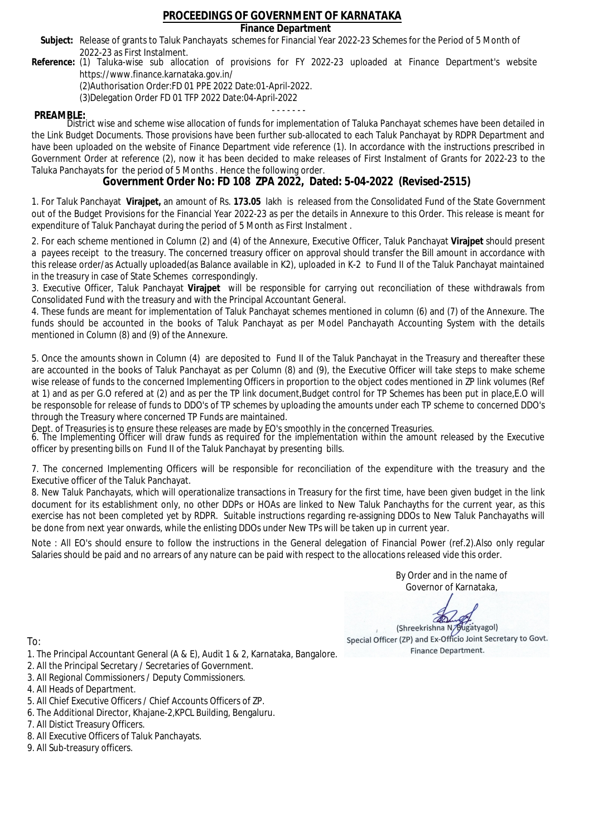## **Finance Department**

- Subject: Release of grants to Taluk Panchayats schemes for Financial Year 2022-23 Schemes for the Period of 5 Month of 2022-23 as First Instalment.
- **Reference:** (1) Taluka-wise sub allocation of provisions for FY 2022-23 uploaded at Finance Department's website https://www.finance.karnataka.gov.in/

(2)Authorisation Order:FD 01 PPE 2022 Date:01-April-2022.

(3)Delegation Order FD 01 TFP 2022 Date:04-April-2022

- - - - - - - **PREAMBLE:** District wise and scheme wise allocation of funds for implementation of Taluka Panchayat schemes have been detailed in the Link Budget Documents. Those provisions have been further sub-allocated to each Taluk Panchayat by RDPR Department and have been uploaded on the website of Finance Department vide reference (1). In accordance with the instructions prescribed in Government Order at reference (2), now it has been decided to make releases of First Instalment of Grants for 2022-23 to the Taluka Panchayats for the period of 5 Months . Hence the following order.

**Government Order No: FD 108 ZPA 2022, Dated: 5-04-2022 (Revised-2515)**

1. For Taluk Panchayat **Virajpet,** an amount of Rs. **173.05** lakh is released from the Consolidated Fund of the State Government out of the Budget Provisions for the Financial Year 2022-23 as per the details in Annexure to this Order. This release is meant for expenditure of Taluk Panchayat during the period of 5 Month as First Instalment .

2. For each scheme mentioned in Column (2) and (4) of the Annexure, Executive Officer, Taluk Panchayat **Virajpet** should present a payees receipt to the treasury. The concerned treasury officer on approval should transfer the Bill amount in accordance with this release order/as Actually uploaded(as Balance available in K2), uploaded in K-2 to Fund II of the Taluk Panchayat maintained in the treasury in case of State Schemes correspondingly.

3. Executive Officer, Taluk Panchayat **Virajpet** will be responsible for carrying out reconciliation of these withdrawals from Consolidated Fund with the treasury and with the Principal Accountant General.

4. These funds are meant for implementation of Taluk Panchayat schemes mentioned in column (6) and (7) of the Annexure. The funds should be accounted in the books of Taluk Panchayat as per Model Panchayath Accounting System with the details mentioned in Column (8) and (9) of the Annexure.

5. Once the amounts shown in Column (4) are deposited to Fund II of the Taluk Panchayat in the Treasury and thereafter these are accounted in the books of Taluk Panchayat as per Column (8) and (9), the Executive Officer will take steps to make scheme wise release of funds to the concerned Implementing Officers in proportion to the object codes mentioned in ZP link volumes (Ref at 1) and as per G.O refered at (2) and as per the TP link document,Budget control for TP Schemes has been put in place,E.O will be responsoble for release of funds to DDO's of TP schemes by uploading the amounts under each TP scheme to concerned DDO's through the Treasury where concerned TP Funds are maintained.

Dept. of Treasuries is to ensure these releases are made by EO's smoothly in the concerned Treasuries.

6. The Implementing Officer will draw funds as required for the implementation within the amount released by the Executive officer by presenting bills on Fund II of the Taluk Panchayat by presenting bills.

7. The concerned Implementing Officers will be responsible for reconciliation of the expenditure with the treasury and the Executive officer of the Taluk Panchayat.

8. New Taluk Panchayats, which will operationalize transactions in Treasury for the first time, have been given budget in the link document for its establishment only, no other DDPs or HOAs are linked to New Taluk Panchayths for the current year, as this exercise has not been completed yet by RDPR. Suitable instructions regarding re-assigning DDOs to New Taluk Panchayaths will be done from next year onwards, while the enlisting DDOs under New TPs will be taken up in current year.

Note : All EO's should ensure to follow the instructions in the General delegation of Financial Power (ref.2).Also only regular Salaries should be paid and no arrears of any nature can be paid with respect to the allocations released vide this order.

> By Order and in the name of Governor of Karnataka,

**PD** 

(Shreekrishna N/Bugatyagol) Special Officer (ZP) and Ex-Officio Joint Secretary to Govt. Finance Department.

To:

- 1. The Principal Accountant General (A & E), Audit 1 & 2, Karnataka, Bangalore.
- 2. All the Principal Secretary / Secretaries of Government.
- 3. All Regional Commissioners / Deputy Commissioners.
- 4. All Heads of Department.
- 5. All Chief Executive Officers / Chief Accounts Officers of ZP.
- 6. The Additional Director, Khajane-2,KPCL Building, Bengaluru.

- 8. All Executive Officers of Taluk Panchayats.
- 9. All Sub-treasury officers.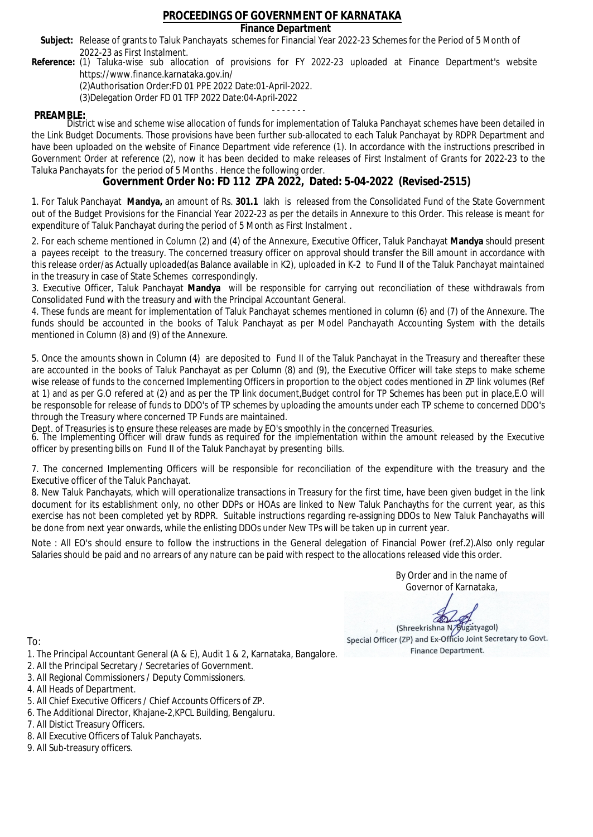### **Finance Department**

- Subject: Release of grants to Taluk Panchayats schemes for Financial Year 2022-23 Schemes for the Period of 5 Month of 2022-23 as First Instalment.
- **Reference:** (1) Taluka-wise sub allocation of provisions for FY 2022-23 uploaded at Finance Department's website https://www.finance.karnataka.gov.in/

(2)Authorisation Order:FD 01 PPE 2022 Date:01-April-2022.

(3)Delegation Order FD 01 TFP 2022 Date:04-April-2022

- - - - - - - **PREAMBLE:** District wise and scheme wise allocation of funds for implementation of Taluka Panchayat schemes have been detailed in the Link Budget Documents. Those provisions have been further sub-allocated to each Taluk Panchayat by RDPR Department and have been uploaded on the website of Finance Department vide reference (1). In accordance with the instructions prescribed in Government Order at reference (2), now it has been decided to make releases of First Instalment of Grants for 2022-23 to the Taluka Panchayats for the period of 5 Months . Hence the following order.

**Government Order No: FD 112 ZPA 2022, Dated: 5-04-2022 (Revised-2515)**

1. For Taluk Panchayat **Mandya,** an amount of Rs. **301.1** lakh is released from the Consolidated Fund of the State Government out of the Budget Provisions for the Financial Year 2022-23 as per the details in Annexure to this Order. This release is meant for expenditure of Taluk Panchayat during the period of 5 Month as First Instalment .

2. For each scheme mentioned in Column (2) and (4) of the Annexure, Executive Officer, Taluk Panchayat **Mandya** should present a payees receipt to the treasury. The concerned treasury officer on approval should transfer the Bill amount in accordance with this release order/as Actually uploaded(as Balance available in K2), uploaded in K-2 to Fund II of the Taluk Panchayat maintained in the treasury in case of State Schemes correspondingly.

3. Executive Officer, Taluk Panchayat **Mandya** will be responsible for carrying out reconciliation of these withdrawals from Consolidated Fund with the treasury and with the Principal Accountant General.

4. These funds are meant for implementation of Taluk Panchayat schemes mentioned in column (6) and (7) of the Annexure. The funds should be accounted in the books of Taluk Panchayat as per Model Panchayath Accounting System with the details mentioned in Column (8) and (9) of the Annexure.

5. Once the amounts shown in Column (4) are deposited to Fund II of the Taluk Panchayat in the Treasury and thereafter these are accounted in the books of Taluk Panchayat as per Column (8) and (9), the Executive Officer will take steps to make scheme wise release of funds to the concerned Implementing Officers in proportion to the object codes mentioned in ZP link volumes (Ref at 1) and as per G.O refered at (2) and as per the TP link document,Budget control for TP Schemes has been put in place,E.O will be responsoble for release of funds to DDO's of TP schemes by uploading the amounts under each TP scheme to concerned DDO's through the Treasury where concerned TP Funds are maintained.

Dept. of Treasuries is to ensure these releases are made by EO's smoothly in the concerned Treasuries.

6. The Implementing Officer will draw funds as required for the implementation within the amount released by the Executive officer by presenting bills on Fund II of the Taluk Panchayat by presenting bills.

7. The concerned Implementing Officers will be responsible for reconciliation of the expenditure with the treasury and the Executive officer of the Taluk Panchayat.

8. New Taluk Panchayats, which will operationalize transactions in Treasury for the first time, have been given budget in the link document for its establishment only, no other DDPs or HOAs are linked to New Taluk Panchayths for the current year, as this exercise has not been completed yet by RDPR. Suitable instructions regarding re-assigning DDOs to New Taluk Panchayaths will be done from next year onwards, while the enlisting DDOs under New TPs will be taken up in current year.

Note : All EO's should ensure to follow the instructions in the General delegation of Financial Power (ref.2).Also only regular Salaries should be paid and no arrears of any nature can be paid with respect to the allocations released vide this order.

> By Order and in the name of Governor of Karnataka,

**PD** 

(Shreekrishna N/Bugatyagol) Special Officer (ZP) and Ex-Officio Joint Secretary to Govt. Finance Department.

- 1. The Principal Accountant General (A & E), Audit 1 & 2, Karnataka, Bangalore.
- 2. All the Principal Secretary / Secretaries of Government.
- 3. All Regional Commissioners / Deputy Commissioners.
- 4. All Heads of Department.
- 5. All Chief Executive Officers / Chief Accounts Officers of ZP.
- 6. The Additional Director, Khajane-2,KPCL Building, Bengaluru.
- 7. All Distict Treasury Officers.
- 8. All Executive Officers of Taluk Panchayats.
- 9. All Sub-treasury officers.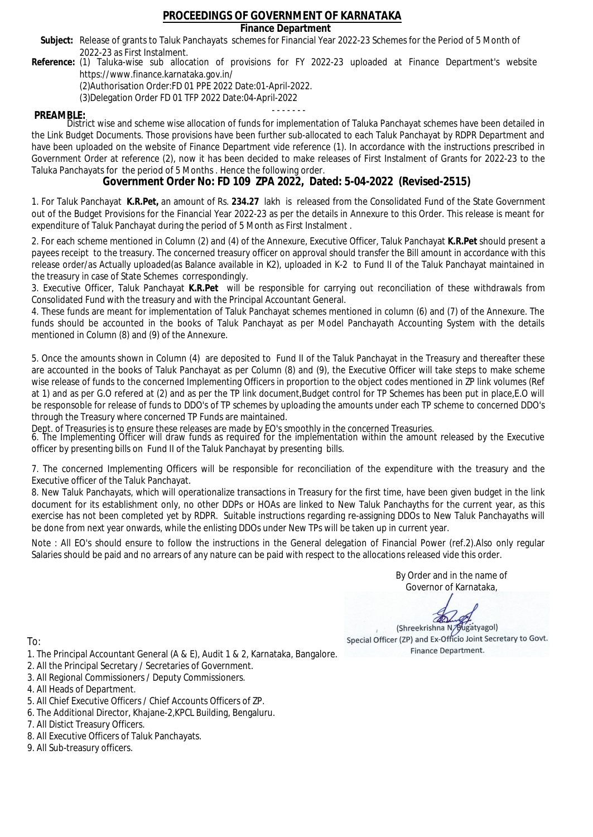### **Finance Department**

- Subject: Release of grants to Taluk Panchayats schemes for Financial Year 2022-23 Schemes for the Period of 5 Month of 2022-23 as First Instalment.
- **Reference:** (1) Taluka-wise sub allocation of provisions for FY 2022-23 uploaded at Finance Department's website https://www.finance.karnataka.gov.in/

(2)Authorisation Order:FD 01 PPE 2022 Date:01-April-2022.

(3)Delegation Order FD 01 TFP 2022 Date:04-April-2022

- - - - - - - **PREAMBLE:** District wise and scheme wise allocation of funds for implementation of Taluka Panchayat schemes have been detailed in the Link Budget Documents. Those provisions have been further sub-allocated to each Taluk Panchayat by RDPR Department and have been uploaded on the website of Finance Department vide reference (1). In accordance with the instructions prescribed in Government Order at reference (2), now it has been decided to make releases of First Instalment of Grants for 2022-23 to the Taluka Panchayats for the period of 5 Months . Hence the following order.

**Government Order No: FD 109 ZPA 2022, Dated: 5-04-2022 (Revised-2515)**

1. For Taluk Panchayat **K.R.Pet,** an amount of Rs. **234.27** lakh is released from the Consolidated Fund of the State Government out of the Budget Provisions for the Financial Year 2022-23 as per the details in Annexure to this Order. This release is meant for expenditure of Taluk Panchayat during the period of 5 Month as First Instalment .

2. For each scheme mentioned in Column (2) and (4) of the Annexure, Executive Officer, Taluk Panchayat **K.R.Pet** should present a payees receipt to the treasury. The concerned treasury officer on approval should transfer the Bill amount in accordance with this release order/as Actually uploaded(as Balance available in K2), uploaded in K-2 to Fund II of the Taluk Panchayat maintained in the treasury in case of State Schemes correspondingly.

3. Executive Officer, Taluk Panchayat **K.R.Pet** will be responsible for carrying out reconciliation of these withdrawals from Consolidated Fund with the treasury and with the Principal Accountant General.

4. These funds are meant for implementation of Taluk Panchayat schemes mentioned in column (6) and (7) of the Annexure. The funds should be accounted in the books of Taluk Panchayat as per Model Panchayath Accounting System with the details mentioned in Column (8) and (9) of the Annexure.

5. Once the amounts shown in Column (4) are deposited to Fund II of the Taluk Panchayat in the Treasury and thereafter these are accounted in the books of Taluk Panchayat as per Column (8) and (9), the Executive Officer will take steps to make scheme wise release of funds to the concerned Implementing Officers in proportion to the object codes mentioned in ZP link volumes (Ref at 1) and as per G.O refered at (2) and as per the TP link document,Budget control for TP Schemes has been put in place,E.O will be responsoble for release of funds to DDO's of TP schemes by uploading the amounts under each TP scheme to concerned DDO's through the Treasury where concerned TP Funds are maintained.

Dept. of Treasuries is to ensure these releases are made by EO's smoothly in the concerned Treasuries.

6. The Implementing Officer will draw funds as required for the implementation within the amount released by the Executive officer by presenting bills on Fund II of the Taluk Panchayat by presenting bills.

7. The concerned Implementing Officers will be responsible for reconciliation of the expenditure with the treasury and the Executive officer of the Taluk Panchayat.

8. New Taluk Panchayats, which will operationalize transactions in Treasury for the first time, have been given budget in the link document for its establishment only, no other DDPs or HOAs are linked to New Taluk Panchayths for the current year, as this exercise has not been completed yet by RDPR. Suitable instructions regarding re-assigning DDOs to New Taluk Panchayaths will be done from next year onwards, while the enlisting DDOs under New TPs will be taken up in current year.

Note : All EO's should ensure to follow the instructions in the General delegation of Financial Power (ref.2).Also only regular Salaries should be paid and no arrears of any nature can be paid with respect to the allocations released vide this order.

> By Order and in the name of Governor of Karnataka,

**PD** 

(Shreekrishna N/Bugatyagol) Special Officer (ZP) and Ex-Officio Joint Secretary to Govt. Finance Department.

To:

- 1. The Principal Accountant General (A & E), Audit 1 & 2, Karnataka, Bangalore.
- 2. All the Principal Secretary / Secretaries of Government.
- 3. All Regional Commissioners / Deputy Commissioners.
- 4. All Heads of Department.
- 5. All Chief Executive Officers / Chief Accounts Officers of ZP.
- 6. The Additional Director, Khajane-2,KPCL Building, Bengaluru.

- 8. All Executive Officers of Taluk Panchayats.
- 9. All Sub-treasury officers.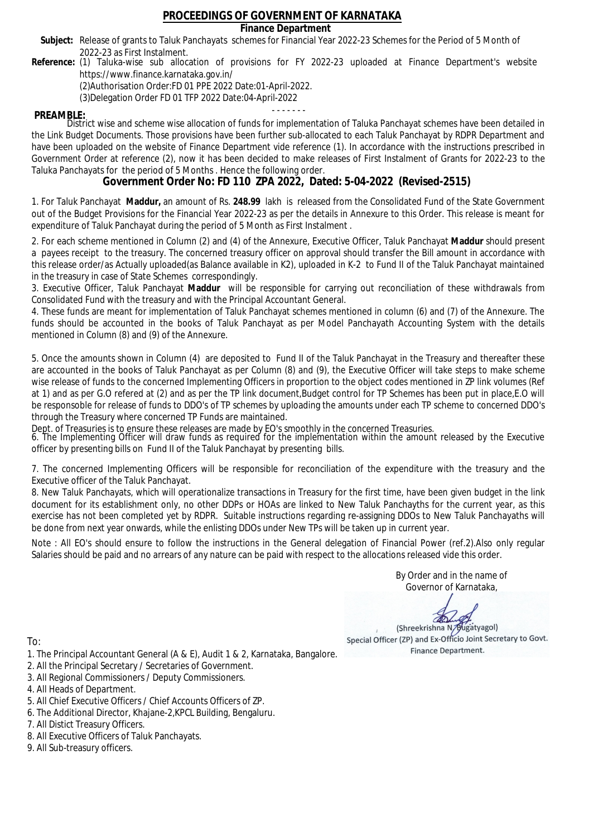### **Finance Department**

- Subject: Release of grants to Taluk Panchayats schemes for Financial Year 2022-23 Schemes for the Period of 5 Month of 2022-23 as First Instalment.
- **Reference:** (1) Taluka-wise sub allocation of provisions for FY 2022-23 uploaded at Finance Department's website https://www.finance.karnataka.gov.in/

(2)Authorisation Order:FD 01 PPE 2022 Date:01-April-2022.

(3)Delegation Order FD 01 TFP 2022 Date:04-April-2022

- - - - - - - **PREAMBLE:** District wise and scheme wise allocation of funds for implementation of Taluka Panchayat schemes have been detailed in the Link Budget Documents. Those provisions have been further sub-allocated to each Taluk Panchayat by RDPR Department and have been uploaded on the website of Finance Department vide reference (1). In accordance with the instructions prescribed in Government Order at reference (2), now it has been decided to make releases of First Instalment of Grants for 2022-23 to the Taluka Panchayats for the period of 5 Months . Hence the following order.

**Government Order No: FD 110 ZPA 2022, Dated: 5-04-2022 (Revised-2515)**

1. For Taluk Panchayat **Maddur,** an amount of Rs. **248.99** lakh is released from the Consolidated Fund of the State Government out of the Budget Provisions for the Financial Year 2022-23 as per the details in Annexure to this Order. This release is meant for expenditure of Taluk Panchayat during the period of 5 Month as First Instalment .

2. For each scheme mentioned in Column (2) and (4) of the Annexure, Executive Officer, Taluk Panchayat **Maddur** should present a payees receipt to the treasury. The concerned treasury officer on approval should transfer the Bill amount in accordance with this release order/as Actually uploaded(as Balance available in K2), uploaded in K-2 to Fund II of the Taluk Panchayat maintained in the treasury in case of State Schemes correspondingly.

3. Executive Officer, Taluk Panchayat **Maddur** will be responsible for carrying out reconciliation of these withdrawals from Consolidated Fund with the treasury and with the Principal Accountant General.

4. These funds are meant for implementation of Taluk Panchayat schemes mentioned in column (6) and (7) of the Annexure. The funds should be accounted in the books of Taluk Panchayat as per Model Panchayath Accounting System with the details mentioned in Column (8) and (9) of the Annexure.

5. Once the amounts shown in Column (4) are deposited to Fund II of the Taluk Panchayat in the Treasury and thereafter these are accounted in the books of Taluk Panchayat as per Column (8) and (9), the Executive Officer will take steps to make scheme wise release of funds to the concerned Implementing Officers in proportion to the object codes mentioned in ZP link volumes (Ref at 1) and as per G.O refered at (2) and as per the TP link document,Budget control for TP Schemes has been put in place,E.O will be responsoble for release of funds to DDO's of TP schemes by uploading the amounts under each TP scheme to concerned DDO's through the Treasury where concerned TP Funds are maintained.

Dept. of Treasuries is to ensure these releases are made by EO's smoothly in the concerned Treasuries.

6. The Implementing Officer will draw funds as required for the implementation within the amount released by the Executive officer by presenting bills on Fund II of the Taluk Panchayat by presenting bills.

7. The concerned Implementing Officers will be responsible for reconciliation of the expenditure with the treasury and the Executive officer of the Taluk Panchayat.

8. New Taluk Panchayats, which will operationalize transactions in Treasury for the first time, have been given budget in the link document for its establishment only, no other DDPs or HOAs are linked to New Taluk Panchayths for the current year, as this exercise has not been completed yet by RDPR. Suitable instructions regarding re-assigning DDOs to New Taluk Panchayaths will be done from next year onwards, while the enlisting DDOs under New TPs will be taken up in current year.

Note : All EO's should ensure to follow the instructions in the General delegation of Financial Power (ref.2).Also only regular Salaries should be paid and no arrears of any nature can be paid with respect to the allocations released vide this order.

> By Order and in the name of Governor of Karnataka,

**PD** 

(Shreekrishna N/Bugatyagol) Special Officer (ZP) and Ex-Officio Joint Secretary to Govt. Finance Department.

- 1. The Principal Accountant General (A & E), Audit 1 & 2, Karnataka, Bangalore.
- 2. All the Principal Secretary / Secretaries of Government.
- 3. All Regional Commissioners / Deputy Commissioners.
- 4. All Heads of Department.
- 5. All Chief Executive Officers / Chief Accounts Officers of ZP.
- 6. The Additional Director, Khajane-2,KPCL Building, Bengaluru.
- 7. All Distict Treasury Officers.
- 8. All Executive Officers of Taluk Panchayats.
- 9. All Sub-treasury officers.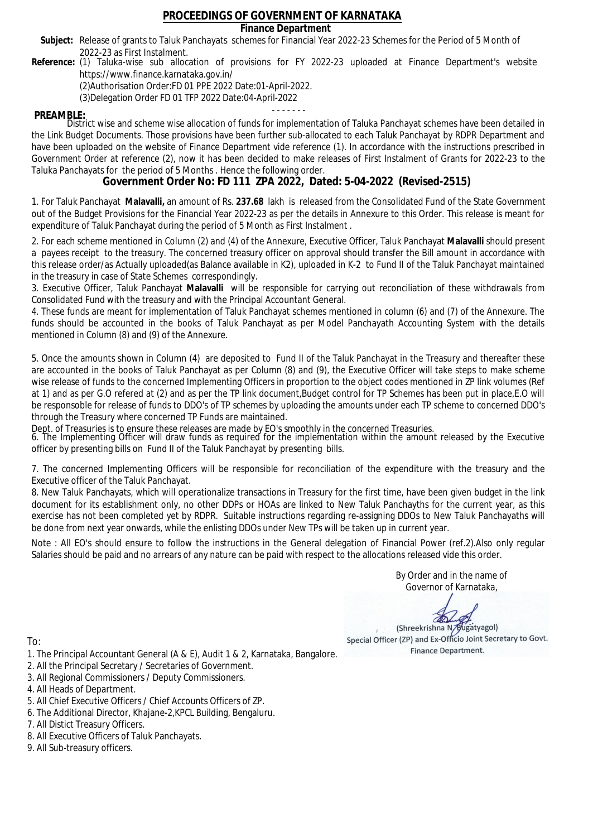### **Finance Department**

- Subject: Release of grants to Taluk Panchayats schemes for Financial Year 2022-23 Schemes for the Period of 5 Month of 2022-23 as First Instalment.
- **Reference:** (1) Taluka-wise sub allocation of provisions for FY 2022-23 uploaded at Finance Department's website https://www.finance.karnataka.gov.in/

(2)Authorisation Order:FD 01 PPE 2022 Date:01-April-2022.

(3)Delegation Order FD 01 TFP 2022 Date:04-April-2022

- - - - - - - **PREAMBLE:** District wise and scheme wise allocation of funds for implementation of Taluka Panchayat schemes have been detailed in the Link Budget Documents. Those provisions have been further sub-allocated to each Taluk Panchayat by RDPR Department and have been uploaded on the website of Finance Department vide reference (1). In accordance with the instructions prescribed in Government Order at reference (2), now it has been decided to make releases of First Instalment of Grants for 2022-23 to the Taluka Panchayats for the period of 5 Months . Hence the following order.

**Government Order No: FD 111 ZPA 2022, Dated: 5-04-2022 (Revised-2515)**

1. For Taluk Panchayat **Malavalli,** an amount of Rs. **237.68** lakh is released from the Consolidated Fund of the State Government out of the Budget Provisions for the Financial Year 2022-23 as per the details in Annexure to this Order. This release is meant for expenditure of Taluk Panchayat during the period of 5 Month as First Instalment .

2. For each scheme mentioned in Column (2) and (4) of the Annexure, Executive Officer, Taluk Panchayat **Malavalli** should present a payees receipt to the treasury. The concerned treasury officer on approval should transfer the Bill amount in accordance with this release order/as Actually uploaded(as Balance available in K2), uploaded in K-2 to Fund II of the Taluk Panchayat maintained in the treasury in case of State Schemes correspondingly.

3. Executive Officer, Taluk Panchayat **Malavalli** will be responsible for carrying out reconciliation of these withdrawals from Consolidated Fund with the treasury and with the Principal Accountant General.

4. These funds are meant for implementation of Taluk Panchayat schemes mentioned in column (6) and (7) of the Annexure. The funds should be accounted in the books of Taluk Panchayat as per Model Panchayath Accounting System with the details mentioned in Column (8) and (9) of the Annexure.

5. Once the amounts shown in Column (4) are deposited to Fund II of the Taluk Panchayat in the Treasury and thereafter these are accounted in the books of Taluk Panchayat as per Column (8) and (9), the Executive Officer will take steps to make scheme wise release of funds to the concerned Implementing Officers in proportion to the object codes mentioned in ZP link volumes (Ref at 1) and as per G.O refered at (2) and as per the TP link document,Budget control for TP Schemes has been put in place,E.O will be responsoble for release of funds to DDO's of TP schemes by uploading the amounts under each TP scheme to concerned DDO's through the Treasury where concerned TP Funds are maintained.

Dept. of Treasuries is to ensure these releases are made by EO's smoothly in the concerned Treasuries.

6. The Implementing Officer will draw funds as required for the implementation within the amount released by the Executive officer by presenting bills on Fund II of the Taluk Panchayat by presenting bills.

7. The concerned Implementing Officers will be responsible for reconciliation of the expenditure with the treasury and the Executive officer of the Taluk Panchayat.

8. New Taluk Panchayats, which will operationalize transactions in Treasury for the first time, have been given budget in the link document for its establishment only, no other DDPs or HOAs are linked to New Taluk Panchayths for the current year, as this exercise has not been completed yet by RDPR. Suitable instructions regarding re-assigning DDOs to New Taluk Panchayaths will be done from next year onwards, while the enlisting DDOs under New TPs will be taken up in current year.

Note : All EO's should ensure to follow the instructions in the General delegation of Financial Power (ref.2).Also only regular Salaries should be paid and no arrears of any nature can be paid with respect to the allocations released vide this order.

> By Order and in the name of Governor of Karnataka,

**PD** 

(Shreekrishna N/Bugatyagol) Special Officer (ZP) and Ex-Officio Joint Secretary to Govt. Finance Department.

- 1. The Principal Accountant General (A & E), Audit 1 & 2, Karnataka, Bangalore.
- 2. All the Principal Secretary / Secretaries of Government.
- 3. All Regional Commissioners / Deputy Commissioners.
- 4. All Heads of Department.
- 5. All Chief Executive Officers / Chief Accounts Officers of ZP.
- 6. The Additional Director, Khajane-2,KPCL Building, Bengaluru.
- 7. All Distict Treasury Officers.
- 8. All Executive Officers of Taluk Panchayats.
- 9. All Sub-treasury officers.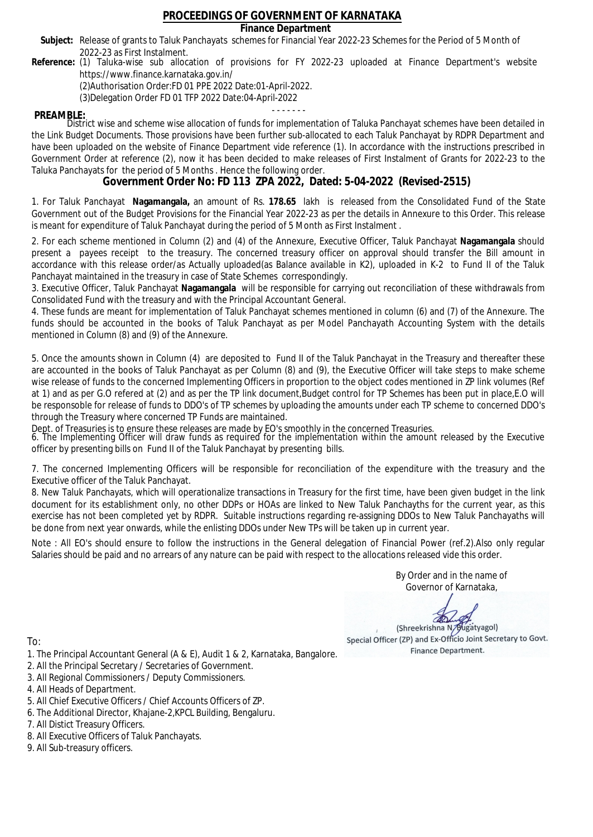### **Finance Department**

- Subject: Release of grants to Taluk Panchayats schemes for Financial Year 2022-23 Schemes for the Period of 5 Month of 2022-23 as First Instalment.
- **Reference:** (1) Taluka-wise sub allocation of provisions for FY 2022-23 uploaded at Finance Department's website https://www.finance.karnataka.gov.in/

(2)Authorisation Order:FD 01 PPE 2022 Date:01-April-2022.

(3)Delegation Order FD 01 TFP 2022 Date:04-April-2022

- - - - - - - **PREAMBLE:** District wise and scheme wise allocation of funds for implementation of Taluka Panchayat schemes have been detailed in the Link Budget Documents. Those provisions have been further sub-allocated to each Taluk Panchayat by RDPR Department and have been uploaded on the website of Finance Department vide reference (1). In accordance with the instructions prescribed in Government Order at reference (2), now it has been decided to make releases of First Instalment of Grants for 2022-23 to the Taluka Panchayats for the period of 5 Months . Hence the following order.

**Government Order No: FD 113 ZPA 2022, Dated: 5-04-2022 (Revised-2515)**

1. For Taluk Panchayat **Nagamangala,** an amount of Rs. **178.65** lakh is released from the Consolidated Fund of the State Government out of the Budget Provisions for the Financial Year 2022-23 as per the details in Annexure to this Order. This release is meant for expenditure of Taluk Panchayat during the period of 5 Month as First Instalment .

2. For each scheme mentioned in Column (2) and (4) of the Annexure, Executive Officer, Taluk Panchayat **Nagamangala** should present a payees receipt to the treasury. The concerned treasury officer on approval should transfer the Bill amount in accordance with this release order/as Actually uploaded(as Balance available in K2), uploaded in K-2 to Fund II of the Taluk Panchayat maintained in the treasury in case of State Schemes correspondingly.

3. Executive Officer, Taluk Panchayat **Nagamangala** will be responsible for carrying out reconciliation of these withdrawals from Consolidated Fund with the treasury and with the Principal Accountant General.

4. These funds are meant for implementation of Taluk Panchayat schemes mentioned in column (6) and (7) of the Annexure. The funds should be accounted in the books of Taluk Panchayat as per Model Panchayath Accounting System with the details mentioned in Column (8) and (9) of the Annexure.

5. Once the amounts shown in Column (4) are deposited to Fund II of the Taluk Panchayat in the Treasury and thereafter these are accounted in the books of Taluk Panchayat as per Column (8) and (9), the Executive Officer will take steps to make scheme wise release of funds to the concerned Implementing Officers in proportion to the object codes mentioned in ZP link volumes (Ref at 1) and as per G.O refered at (2) and as per the TP link document,Budget control for TP Schemes has been put in place,E.O will be responsoble for release of funds to DDO's of TP schemes by uploading the amounts under each TP scheme to concerned DDO's through the Treasury where concerned TP Funds are maintained.

Dept. of Treasuries is to ensure these releases are made by EO's smoothly in the concerned Treasuries.

6. The Implementing Officer will draw funds as required for the implementation within the amount released by the Executive officer by presenting bills on Fund II of the Taluk Panchayat by presenting bills.

7. The concerned Implementing Officers will be responsible for reconciliation of the expenditure with the treasury and the Executive officer of the Taluk Panchayat.

8. New Taluk Panchayats, which will operationalize transactions in Treasury for the first time, have been given budget in the link document for its establishment only, no other DDPs or HOAs are linked to New Taluk Panchayths for the current year, as this exercise has not been completed yet by RDPR. Suitable instructions regarding re-assigning DDOs to New Taluk Panchayaths will be done from next year onwards, while the enlisting DDOs under New TPs will be taken up in current year.

Note : All EO's should ensure to follow the instructions in the General delegation of Financial Power (ref.2).Also only regular Salaries should be paid and no arrears of any nature can be paid with respect to the allocations released vide this order.

> By Order and in the name of Governor of Karnataka,

**PD** 

(Shreekrishna N/Bugatyagol) Special Officer (ZP) and Ex-Officio Joint Secretary to Govt. Finance Department.

- 1. The Principal Accountant General (A & E), Audit 1 & 2, Karnataka, Bangalore.
- 2. All the Principal Secretary / Secretaries of Government.
- 3. All Regional Commissioners / Deputy Commissioners.
- 4. All Heads of Department.
- 5. All Chief Executive Officers / Chief Accounts Officers of ZP.
- 6. The Additional Director, Khajane-2,KPCL Building, Bengaluru.
- 7. All Distict Treasury Officers.
- 8. All Executive Officers of Taluk Panchayats.
- 9. All Sub-treasury officers.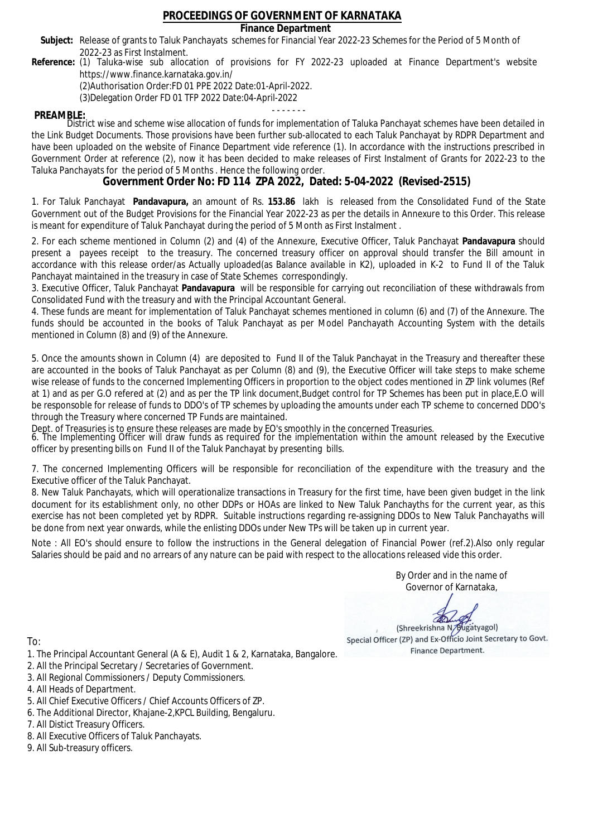### **Finance Department**

- Subject: Release of grants to Taluk Panchayats schemes for Financial Year 2022-23 Schemes for the Period of 5 Month of 2022-23 as First Instalment.
- **Reference:** (1) Taluka-wise sub allocation of provisions for FY 2022-23 uploaded at Finance Department's website https://www.finance.karnataka.gov.in/

(2)Authorisation Order:FD 01 PPE 2022 Date:01-April-2022.

(3)Delegation Order FD 01 TFP 2022 Date:04-April-2022

- - - - - - - **PREAMBLE:** District wise and scheme wise allocation of funds for implementation of Taluka Panchayat schemes have been detailed in the Link Budget Documents. Those provisions have been further sub-allocated to each Taluk Panchayat by RDPR Department and have been uploaded on the website of Finance Department vide reference (1). In accordance with the instructions prescribed in Government Order at reference (2), now it has been decided to make releases of First Instalment of Grants for 2022-23 to the Taluka Panchayats for the period of 5 Months . Hence the following order.

**Government Order No: FD 114 ZPA 2022, Dated: 5-04-2022 (Revised-2515)**

1. For Taluk Panchayat **Pandavapura,** an amount of Rs. **153.86** lakh is released from the Consolidated Fund of the State Government out of the Budget Provisions for the Financial Year 2022-23 as per the details in Annexure to this Order. This release is meant for expenditure of Taluk Panchayat during the period of 5 Month as First Instalment .

2. For each scheme mentioned in Column (2) and (4) of the Annexure, Executive Officer, Taluk Panchayat **Pandavapura** should present a payees receipt to the treasury. The concerned treasury officer on approval should transfer the Bill amount in accordance with this release order/as Actually uploaded(as Balance available in K2), uploaded in K-2 to Fund II of the Taluk Panchayat maintained in the treasury in case of State Schemes correspondingly.

3. Executive Officer, Taluk Panchayat **Pandavapura** will be responsible for carrying out reconciliation of these withdrawals from Consolidated Fund with the treasury and with the Principal Accountant General.

4. These funds are meant for implementation of Taluk Panchayat schemes mentioned in column (6) and (7) of the Annexure. The funds should be accounted in the books of Taluk Panchayat as per Model Panchayath Accounting System with the details mentioned in Column (8) and (9) of the Annexure.

5. Once the amounts shown in Column (4) are deposited to Fund II of the Taluk Panchayat in the Treasury and thereafter these are accounted in the books of Taluk Panchayat as per Column (8) and (9), the Executive Officer will take steps to make scheme wise release of funds to the concerned Implementing Officers in proportion to the object codes mentioned in ZP link volumes (Ref at 1) and as per G.O refered at (2) and as per the TP link document,Budget control for TP Schemes has been put in place,E.O will be responsoble for release of funds to DDO's of TP schemes by uploading the amounts under each TP scheme to concerned DDO's through the Treasury where concerned TP Funds are maintained.

Dept. of Treasuries is to ensure these releases are made by EO's smoothly in the concerned Treasuries.

6. The Implementing Officer will draw funds as required for the implementation within the amount released by the Executive officer by presenting bills on Fund II of the Taluk Panchayat by presenting bills.

7. The concerned Implementing Officers will be responsible for reconciliation of the expenditure with the treasury and the Executive officer of the Taluk Panchayat.

8. New Taluk Panchayats, which will operationalize transactions in Treasury for the first time, have been given budget in the link document for its establishment only, no other DDPs or HOAs are linked to New Taluk Panchayths for the current year, as this exercise has not been completed yet by RDPR. Suitable instructions regarding re-assigning DDOs to New Taluk Panchayaths will be done from next year onwards, while the enlisting DDOs under New TPs will be taken up in current year.

Note : All EO's should ensure to follow the instructions in the General delegation of Financial Power (ref.2).Also only regular Salaries should be paid and no arrears of any nature can be paid with respect to the allocations released vide this order.

> By Order and in the name of Governor of Karnataka,

**PD** 

(Shreekrishna N/Bugatyagol) Special Officer (ZP) and Ex-Officio Joint Secretary to Govt. Finance Department.

- 1. The Principal Accountant General (A & E), Audit 1 & 2, Karnataka, Bangalore.
- 2. All the Principal Secretary / Secretaries of Government.
- 3. All Regional Commissioners / Deputy Commissioners.
- 4. All Heads of Department.
- 5. All Chief Executive Officers / Chief Accounts Officers of ZP.
- 6. The Additional Director, Khajane-2,KPCL Building, Bengaluru.
- 7. All Distict Treasury Officers.
- 8. All Executive Officers of Taluk Panchayats.
- 9. All Sub-treasury officers.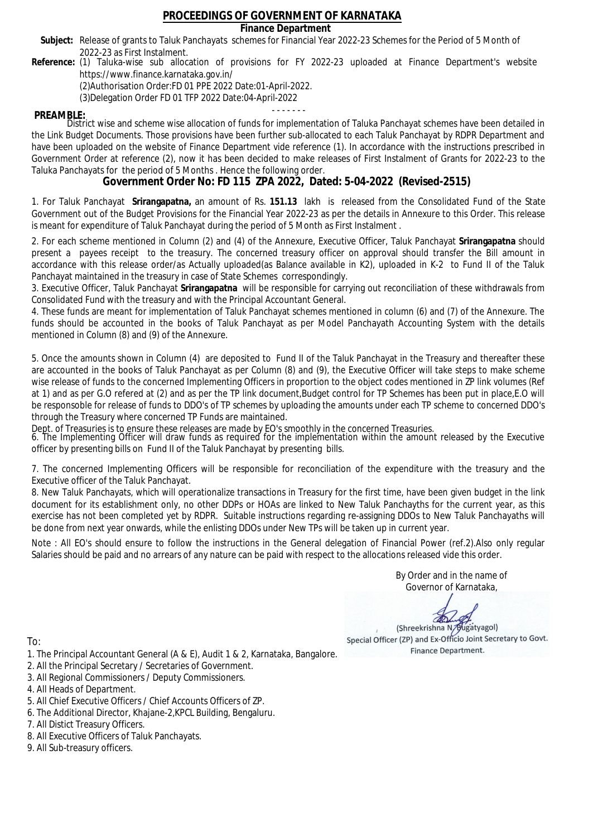### **Finance Department**

- Subject: Release of grants to Taluk Panchayats schemes for Financial Year 2022-23 Schemes for the Period of 5 Month of 2022-23 as First Instalment.
- **Reference:** (1) Taluka-wise sub allocation of provisions for FY 2022-23 uploaded at Finance Department's website https://www.finance.karnataka.gov.in/

(2)Authorisation Order:FD 01 PPE 2022 Date:01-April-2022.

(3)Delegation Order FD 01 TFP 2022 Date:04-April-2022

- - - - - - - **PREAMBLE:** District wise and scheme wise allocation of funds for implementation of Taluka Panchayat schemes have been detailed in the Link Budget Documents. Those provisions have been further sub-allocated to each Taluk Panchayat by RDPR Department and have been uploaded on the website of Finance Department vide reference (1). In accordance with the instructions prescribed in Government Order at reference (2), now it has been decided to make releases of First Instalment of Grants for 2022-23 to the Taluka Panchayats for the period of 5 Months . Hence the following order.

**Government Order No: FD 115 ZPA 2022, Dated: 5-04-2022 (Revised-2515)**

1. For Taluk Panchayat **Srirangapatna,** an amount of Rs. **151.13** lakh is released from the Consolidated Fund of the State Government out of the Budget Provisions for the Financial Year 2022-23 as per the details in Annexure to this Order. This release is meant for expenditure of Taluk Panchayat during the period of 5 Month as First Instalment .

2. For each scheme mentioned in Column (2) and (4) of the Annexure, Executive Officer, Taluk Panchayat **Srirangapatna** should present a payees receipt to the treasury. The concerned treasury officer on approval should transfer the Bill amount in accordance with this release order/as Actually uploaded(as Balance available in K2), uploaded in K-2 to Fund II of the Taluk Panchayat maintained in the treasury in case of State Schemes correspondingly.

3. Executive Officer, Taluk Panchayat **Srirangapatna** will be responsible for carrying out reconciliation of these withdrawals from Consolidated Fund with the treasury and with the Principal Accountant General.

4. These funds are meant for implementation of Taluk Panchayat schemes mentioned in column (6) and (7) of the Annexure. The funds should be accounted in the books of Taluk Panchayat as per Model Panchayath Accounting System with the details mentioned in Column (8) and (9) of the Annexure.

5. Once the amounts shown in Column (4) are deposited to Fund II of the Taluk Panchayat in the Treasury and thereafter these are accounted in the books of Taluk Panchayat as per Column (8) and (9), the Executive Officer will take steps to make scheme wise release of funds to the concerned Implementing Officers in proportion to the object codes mentioned in ZP link volumes (Ref at 1) and as per G.O refered at (2) and as per the TP link document,Budget control for TP Schemes has been put in place,E.O will be responsoble for release of funds to DDO's of TP schemes by uploading the amounts under each TP scheme to concerned DDO's through the Treasury where concerned TP Funds are maintained.

Dept. of Treasuries is to ensure these releases are made by EO's smoothly in the concerned Treasuries.

6. The Implementing Officer will draw funds as required for the implementation within the amount released by the Executive officer by presenting bills on Fund II of the Taluk Panchayat by presenting bills.

7. The concerned Implementing Officers will be responsible for reconciliation of the expenditure with the treasury and the Executive officer of the Taluk Panchayat.

8. New Taluk Panchayats, which will operationalize transactions in Treasury for the first time, have been given budget in the link document for its establishment only, no other DDPs or HOAs are linked to New Taluk Panchayths for the current year, as this exercise has not been completed yet by RDPR. Suitable instructions regarding re-assigning DDOs to New Taluk Panchayaths will be done from next year onwards, while the enlisting DDOs under New TPs will be taken up in current year.

Note : All EO's should ensure to follow the instructions in the General delegation of Financial Power (ref.2).Also only regular Salaries should be paid and no arrears of any nature can be paid with respect to the allocations released vide this order.

> By Order and in the name of Governor of Karnataka,

**PD** 

(Shreekrishna N/Bugatyagol) Special Officer (ZP) and Ex-Officio Joint Secretary to Govt. Finance Department.

- 1. The Principal Accountant General (A & E), Audit 1 & 2, Karnataka, Bangalore.
- 2. All the Principal Secretary / Secretaries of Government.
- 3. All Regional Commissioners / Deputy Commissioners.
- 4. All Heads of Department.
- 5. All Chief Executive Officers / Chief Accounts Officers of ZP.
- 6. The Additional Director, Khajane-2,KPCL Building, Bengaluru.
- 7. All Distict Treasury Officers.
- 8. All Executive Officers of Taluk Panchayats.
- 9. All Sub-treasury officers.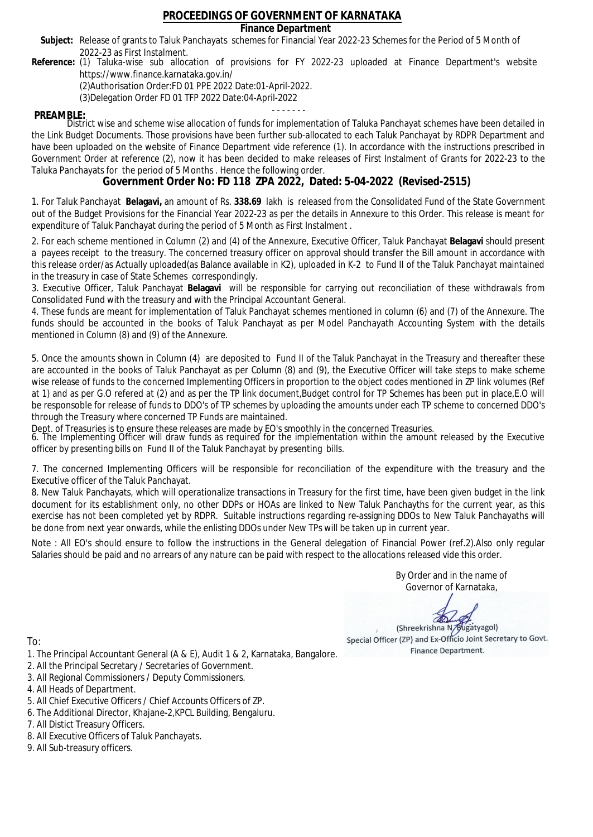### **Finance Department**

- Subject: Release of grants to Taluk Panchayats schemes for Financial Year 2022-23 Schemes for the Period of 5 Month of 2022-23 as First Instalment.
- **Reference:** (1) Taluka-wise sub allocation of provisions for FY 2022-23 uploaded at Finance Department's website https://www.finance.karnataka.gov.in/

(2)Authorisation Order:FD 01 PPE 2022 Date:01-April-2022.

(3)Delegation Order FD 01 TFP 2022 Date:04-April-2022

- - - - - - - **PREAMBLE:** District wise and scheme wise allocation of funds for implementation of Taluka Panchayat schemes have been detailed in the Link Budget Documents. Those provisions have been further sub-allocated to each Taluk Panchayat by RDPR Department and have been uploaded on the website of Finance Department vide reference (1). In accordance with the instructions prescribed in Government Order at reference (2), now it has been decided to make releases of First Instalment of Grants for 2022-23 to the Taluka Panchayats for the period of 5 Months . Hence the following order.

**Government Order No: FD 118 ZPA 2022, Dated: 5-04-2022 (Revised-2515)**

1. For Taluk Panchayat **Belagavi,** an amount of Rs. **338.69** lakh is released from the Consolidated Fund of the State Government out of the Budget Provisions for the Financial Year 2022-23 as per the details in Annexure to this Order. This release is meant for expenditure of Taluk Panchayat during the period of 5 Month as First Instalment .

2. For each scheme mentioned in Column (2) and (4) of the Annexure, Executive Officer, Taluk Panchayat **Belagavi** should present a payees receipt to the treasury. The concerned treasury officer on approval should transfer the Bill amount in accordance with this release order/as Actually uploaded(as Balance available in K2), uploaded in K-2 to Fund II of the Taluk Panchayat maintained in the treasury in case of State Schemes correspondingly.

3. Executive Officer, Taluk Panchayat **Belagavi** will be responsible for carrying out reconciliation of these withdrawals from Consolidated Fund with the treasury and with the Principal Accountant General.

4. These funds are meant for implementation of Taluk Panchayat schemes mentioned in column (6) and (7) of the Annexure. The funds should be accounted in the books of Taluk Panchayat as per Model Panchayath Accounting System with the details mentioned in Column (8) and (9) of the Annexure.

5. Once the amounts shown in Column (4) are deposited to Fund II of the Taluk Panchayat in the Treasury and thereafter these are accounted in the books of Taluk Panchayat as per Column (8) and (9), the Executive Officer will take steps to make scheme wise release of funds to the concerned Implementing Officers in proportion to the object codes mentioned in ZP link volumes (Ref at 1) and as per G.O refered at (2) and as per the TP link document,Budget control for TP Schemes has been put in place,E.O will be responsoble for release of funds to DDO's of TP schemes by uploading the amounts under each TP scheme to concerned DDO's through the Treasury where concerned TP Funds are maintained.

Dept. of Treasuries is to ensure these releases are made by EO's smoothly in the concerned Treasuries.

6. The Implementing Officer will draw funds as required for the implementation within the amount released by the Executive officer by presenting bills on Fund II of the Taluk Panchayat by presenting bills.

7. The concerned Implementing Officers will be responsible for reconciliation of the expenditure with the treasury and the Executive officer of the Taluk Panchayat.

8. New Taluk Panchayats, which will operationalize transactions in Treasury for the first time, have been given budget in the link document for its establishment only, no other DDPs or HOAs are linked to New Taluk Panchayths for the current year, as this exercise has not been completed yet by RDPR. Suitable instructions regarding re-assigning DDOs to New Taluk Panchayaths will be done from next year onwards, while the enlisting DDOs under New TPs will be taken up in current year.

Note : All EO's should ensure to follow the instructions in the General delegation of Financial Power (ref.2).Also only regular Salaries should be paid and no arrears of any nature can be paid with respect to the allocations released vide this order.

> By Order and in the name of Governor of Karnataka,

**PD** 

(Shreekrishna N/Bugatyagol) Special Officer (ZP) and Ex-Officio Joint Secretary to Govt. Finance Department.

To:

- 1. The Principal Accountant General (A & E), Audit 1 & 2, Karnataka, Bangalore.
- 2. All the Principal Secretary / Secretaries of Government.
- 3. All Regional Commissioners / Deputy Commissioners.
- 4. All Heads of Department.
- 5. All Chief Executive Officers / Chief Accounts Officers of ZP.
- 6. The Additional Director, Khajane-2,KPCL Building, Bengaluru.

- 8. All Executive Officers of Taluk Panchayats.
- 9. All Sub-treasury officers.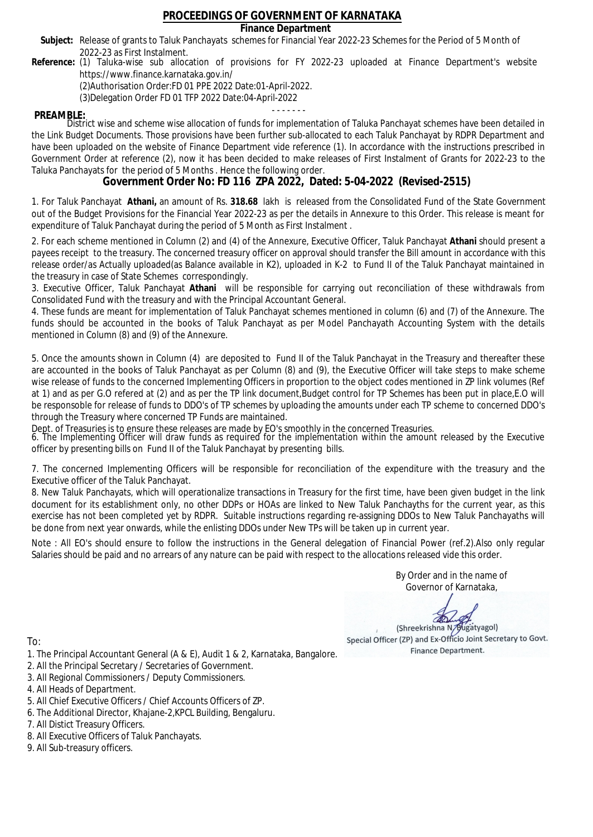### **Finance Department**

- Subject: Release of grants to Taluk Panchayats schemes for Financial Year 2022-23 Schemes for the Period of 5 Month of 2022-23 as First Instalment.
- **Reference:** (1) Taluka-wise sub allocation of provisions for FY 2022-23 uploaded at Finance Department's website https://www.finance.karnataka.gov.in/

(2)Authorisation Order:FD 01 PPE 2022 Date:01-April-2022.

(3)Delegation Order FD 01 TFP 2022 Date:04-April-2022

- - - - - - - **PREAMBLE:** District wise and scheme wise allocation of funds for implementation of Taluka Panchayat schemes have been detailed in the Link Budget Documents. Those provisions have been further sub-allocated to each Taluk Panchayat by RDPR Department and have been uploaded on the website of Finance Department vide reference (1). In accordance with the instructions prescribed in Government Order at reference (2), now it has been decided to make releases of First Instalment of Grants for 2022-23 to the Taluka Panchayats for the period of 5 Months . Hence the following order.

**Government Order No: FD 116 ZPA 2022, Dated: 5-04-2022 (Revised-2515)**

1. For Taluk Panchayat **Athani,** an amount of Rs. **318.68** lakh is released from the Consolidated Fund of the State Government out of the Budget Provisions for the Financial Year 2022-23 as per the details in Annexure to this Order. This release is meant for expenditure of Taluk Panchayat during the period of 5 Month as First Instalment .

2. For each scheme mentioned in Column (2) and (4) of the Annexure, Executive Officer, Taluk Panchayat **Athani** should present a payees receipt to the treasury. The concerned treasury officer on approval should transfer the Bill amount in accordance with this release order/as Actually uploaded(as Balance available in K2), uploaded in K-2 to Fund II of the Taluk Panchayat maintained in the treasury in case of State Schemes correspondingly.

3. Executive Officer, Taluk Panchayat **Athani** will be responsible for carrying out reconciliation of these withdrawals from Consolidated Fund with the treasury and with the Principal Accountant General.

4. These funds are meant for implementation of Taluk Panchayat schemes mentioned in column (6) and (7) of the Annexure. The funds should be accounted in the books of Taluk Panchayat as per Model Panchayath Accounting System with the details mentioned in Column (8) and (9) of the Annexure.

5. Once the amounts shown in Column (4) are deposited to Fund II of the Taluk Panchayat in the Treasury and thereafter these are accounted in the books of Taluk Panchayat as per Column (8) and (9), the Executive Officer will take steps to make scheme wise release of funds to the concerned Implementing Officers in proportion to the object codes mentioned in ZP link volumes (Ref at 1) and as per G.O refered at (2) and as per the TP link document,Budget control for TP Schemes has been put in place,E.O will be responsoble for release of funds to DDO's of TP schemes by uploading the amounts under each TP scheme to concerned DDO's through the Treasury where concerned TP Funds are maintained.

Dept. of Treasuries is to ensure these releases are made by EO's smoothly in the concerned Treasuries.

6. The Implementing Officer will draw funds as required for the implementation within the amount released by the Executive officer by presenting bills on Fund II of the Taluk Panchayat by presenting bills.

7. The concerned Implementing Officers will be responsible for reconciliation of the expenditure with the treasury and the Executive officer of the Taluk Panchayat.

8. New Taluk Panchayats, which will operationalize transactions in Treasury for the first time, have been given budget in the link document for its establishment only, no other DDPs or HOAs are linked to New Taluk Panchayths for the current year, as this exercise has not been completed yet by RDPR. Suitable instructions regarding re-assigning DDOs to New Taluk Panchayaths will be done from next year onwards, while the enlisting DDOs under New TPs will be taken up in current year.

Note : All EO's should ensure to follow the instructions in the General delegation of Financial Power (ref.2).Also only regular Salaries should be paid and no arrears of any nature can be paid with respect to the allocations released vide this order.

> By Order and in the name of Governor of Karnataka,

**PD** 

(Shreekrishna N/Bugatyagol) Special Officer (ZP) and Ex-Officio Joint Secretary to Govt. Finance Department.

- 1. The Principal Accountant General (A & E), Audit 1 & 2, Karnataka, Bangalore.
- 2. All the Principal Secretary / Secretaries of Government.
- 3. All Regional Commissioners / Deputy Commissioners.
- 4. All Heads of Department.
- 5. All Chief Executive Officers / Chief Accounts Officers of ZP.
- 6. The Additional Director, Khajane-2,KPCL Building, Bengaluru.
- 7. All Distict Treasury Officers.
- 8. All Executive Officers of Taluk Panchayats.
- 9. All Sub-treasury officers.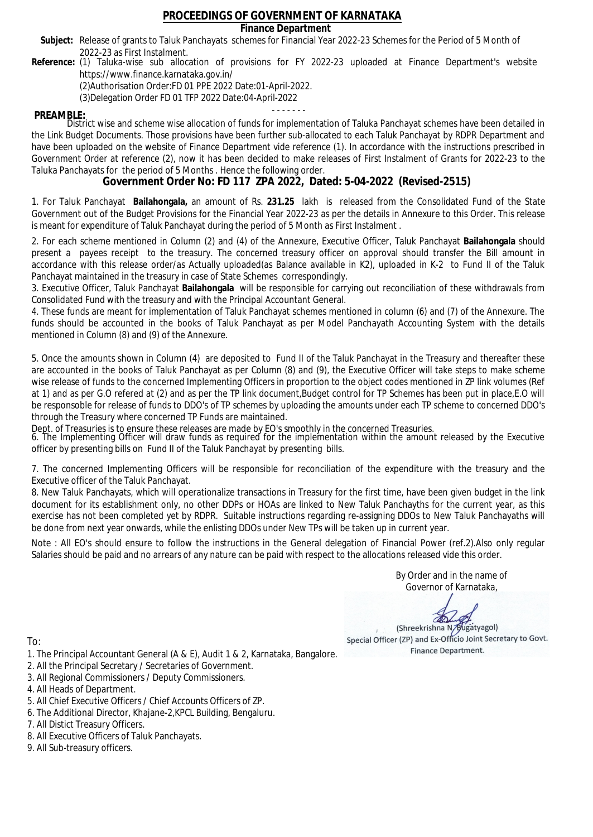### **Finance Department**

- Subject: Release of grants to Taluk Panchayats schemes for Financial Year 2022-23 Schemes for the Period of 5 Month of 2022-23 as First Instalment.
- **Reference:** (1) Taluka-wise sub allocation of provisions for FY 2022-23 uploaded at Finance Department's website https://www.finance.karnataka.gov.in/

(2)Authorisation Order:FD 01 PPE 2022 Date:01-April-2022.

(3)Delegation Order FD 01 TFP 2022 Date:04-April-2022

- - - - - - - **PREAMBLE:** District wise and scheme wise allocation of funds for implementation of Taluka Panchayat schemes have been detailed in the Link Budget Documents. Those provisions have been further sub-allocated to each Taluk Panchayat by RDPR Department and have been uploaded on the website of Finance Department vide reference (1). In accordance with the instructions prescribed in Government Order at reference (2), now it has been decided to make releases of First Instalment of Grants for 2022-23 to the Taluka Panchayats for the period of 5 Months . Hence the following order.

**Government Order No: FD 117 ZPA 2022, Dated: 5-04-2022 (Revised-2515)**

1. For Taluk Panchayat **Bailahongala,** an amount of Rs. **231.25** lakh is released from the Consolidated Fund of the State Government out of the Budget Provisions for the Financial Year 2022-23 as per the details in Annexure to this Order. This release is meant for expenditure of Taluk Panchayat during the period of 5 Month as First Instalment .

2. For each scheme mentioned in Column (2) and (4) of the Annexure, Executive Officer, Taluk Panchayat **Bailahongala** should present a payees receipt to the treasury. The concerned treasury officer on approval should transfer the Bill amount in accordance with this release order/as Actually uploaded(as Balance available in K2), uploaded in K-2 to Fund II of the Taluk Panchayat maintained in the treasury in case of State Schemes correspondingly.

3. Executive Officer, Taluk Panchayat **Bailahongala** will be responsible for carrying out reconciliation of these withdrawals from Consolidated Fund with the treasury and with the Principal Accountant General.

4. These funds are meant for implementation of Taluk Panchayat schemes mentioned in column (6) and (7) of the Annexure. The funds should be accounted in the books of Taluk Panchayat as per Model Panchayath Accounting System with the details mentioned in Column (8) and (9) of the Annexure.

5. Once the amounts shown in Column (4) are deposited to Fund II of the Taluk Panchayat in the Treasury and thereafter these are accounted in the books of Taluk Panchayat as per Column (8) and (9), the Executive Officer will take steps to make scheme wise release of funds to the concerned Implementing Officers in proportion to the object codes mentioned in ZP link volumes (Ref at 1) and as per G.O refered at (2) and as per the TP link document,Budget control for TP Schemes has been put in place,E.O will be responsoble for release of funds to DDO's of TP schemes by uploading the amounts under each TP scheme to concerned DDO's through the Treasury where concerned TP Funds are maintained.

Dept. of Treasuries is to ensure these releases are made by EO's smoothly in the concerned Treasuries.

6. The Implementing Officer will draw funds as required for the implementation within the amount released by the Executive officer by presenting bills on Fund II of the Taluk Panchayat by presenting bills.

7. The concerned Implementing Officers will be responsible for reconciliation of the expenditure with the treasury and the Executive officer of the Taluk Panchayat.

8. New Taluk Panchayats, which will operationalize transactions in Treasury for the first time, have been given budget in the link document for its establishment only, no other DDPs or HOAs are linked to New Taluk Panchayths for the current year, as this exercise has not been completed yet by RDPR. Suitable instructions regarding re-assigning DDOs to New Taluk Panchayaths will be done from next year onwards, while the enlisting DDOs under New TPs will be taken up in current year.

Note : All EO's should ensure to follow the instructions in the General delegation of Financial Power (ref.2).Also only regular Salaries should be paid and no arrears of any nature can be paid with respect to the allocations released vide this order.

> By Order and in the name of Governor of Karnataka,

**PD** 

(Shreekrishna N/Bugatyagol) Special Officer (ZP) and Ex-Officio Joint Secretary to Govt. Finance Department.

To:

- 1. The Principal Accountant General (A & E), Audit 1 & 2, Karnataka, Bangalore.
- 2. All the Principal Secretary / Secretaries of Government.
- 3. All Regional Commissioners / Deputy Commissioners.
- 4. All Heads of Department.
- 5. All Chief Executive Officers / Chief Accounts Officers of ZP.
- 6. The Additional Director, Khajane-2,KPCL Building, Bengaluru.

- 8. All Executive Officers of Taluk Panchayats.
- 9. All Sub-treasury officers.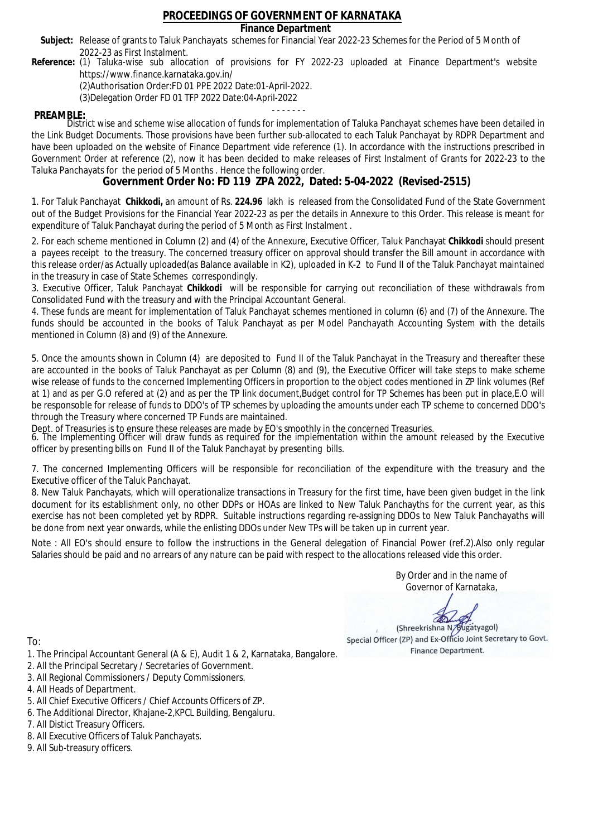### **Finance Department**

- Subject: Release of grants to Taluk Panchayats schemes for Financial Year 2022-23 Schemes for the Period of 5 Month of 2022-23 as First Instalment.
- **Reference:** (1) Taluka-wise sub allocation of provisions for FY 2022-23 uploaded at Finance Department's website https://www.finance.karnataka.gov.in/

(2)Authorisation Order:FD 01 PPE 2022 Date:01-April-2022.

(3)Delegation Order FD 01 TFP 2022 Date:04-April-2022

- - - - - - - **PREAMBLE:** District wise and scheme wise allocation of funds for implementation of Taluka Panchayat schemes have been detailed in the Link Budget Documents. Those provisions have been further sub-allocated to each Taluk Panchayat by RDPR Department and have been uploaded on the website of Finance Department vide reference (1). In accordance with the instructions prescribed in Government Order at reference (2), now it has been decided to make releases of First Instalment of Grants for 2022-23 to the Taluka Panchayats for the period of 5 Months . Hence the following order.

**Government Order No: FD 119 ZPA 2022, Dated: 5-04-2022 (Revised-2515)**

1. For Taluk Panchayat **Chikkodi,** an amount of Rs. **224.96** lakh is released from the Consolidated Fund of the State Government out of the Budget Provisions for the Financial Year 2022-23 as per the details in Annexure to this Order. This release is meant for expenditure of Taluk Panchayat during the period of 5 Month as First Instalment .

2. For each scheme mentioned in Column (2) and (4) of the Annexure, Executive Officer, Taluk Panchayat **Chikkodi** should present a payees receipt to the treasury. The concerned treasury officer on approval should transfer the Bill amount in accordance with this release order/as Actually uploaded(as Balance available in K2), uploaded in K-2 to Fund II of the Taluk Panchayat maintained in the treasury in case of State Schemes correspondingly.

3. Executive Officer, Taluk Panchayat **Chikkodi** will be responsible for carrying out reconciliation of these withdrawals from Consolidated Fund with the treasury and with the Principal Accountant General.

4. These funds are meant for implementation of Taluk Panchayat schemes mentioned in column (6) and (7) of the Annexure. The funds should be accounted in the books of Taluk Panchayat as per Model Panchayath Accounting System with the details mentioned in Column (8) and (9) of the Annexure.

5. Once the amounts shown in Column (4) are deposited to Fund II of the Taluk Panchayat in the Treasury and thereafter these are accounted in the books of Taluk Panchayat as per Column (8) and (9), the Executive Officer will take steps to make scheme wise release of funds to the concerned Implementing Officers in proportion to the object codes mentioned in ZP link volumes (Ref at 1) and as per G.O refered at (2) and as per the TP link document,Budget control for TP Schemes has been put in place,E.O will be responsoble for release of funds to DDO's of TP schemes by uploading the amounts under each TP scheme to concerned DDO's through the Treasury where concerned TP Funds are maintained.

Dept. of Treasuries is to ensure these releases are made by EO's smoothly in the concerned Treasuries.

6. The Implementing Officer will draw funds as required for the implementation within the amount released by the Executive officer by presenting bills on Fund II of the Taluk Panchayat by presenting bills.

7. The concerned Implementing Officers will be responsible for reconciliation of the expenditure with the treasury and the Executive officer of the Taluk Panchayat.

8. New Taluk Panchayats, which will operationalize transactions in Treasury for the first time, have been given budget in the link document for its establishment only, no other DDPs or HOAs are linked to New Taluk Panchayths for the current year, as this exercise has not been completed yet by RDPR. Suitable instructions regarding re-assigning DDOs to New Taluk Panchayaths will be done from next year onwards, while the enlisting DDOs under New TPs will be taken up in current year.

Note : All EO's should ensure to follow the instructions in the General delegation of Financial Power (ref.2).Also only regular Salaries should be paid and no arrears of any nature can be paid with respect to the allocations released vide this order.

> By Order and in the name of Governor of Karnataka,

**PD** 

(Shreekrishna N/Bugatyagol) Special Officer (ZP) and Ex-Officio Joint Secretary to Govt. Finance Department.

To:

- 1. The Principal Accountant General (A & E), Audit 1 & 2, Karnataka, Bangalore.
- 2. All the Principal Secretary / Secretaries of Government.
- 3. All Regional Commissioners / Deputy Commissioners.
- 4. All Heads of Department.
- 5. All Chief Executive Officers / Chief Accounts Officers of ZP.
- 6. The Additional Director, Khajane-2,KPCL Building, Bengaluru.

- 8. All Executive Officers of Taluk Panchayats.
- 9. All Sub-treasury officers.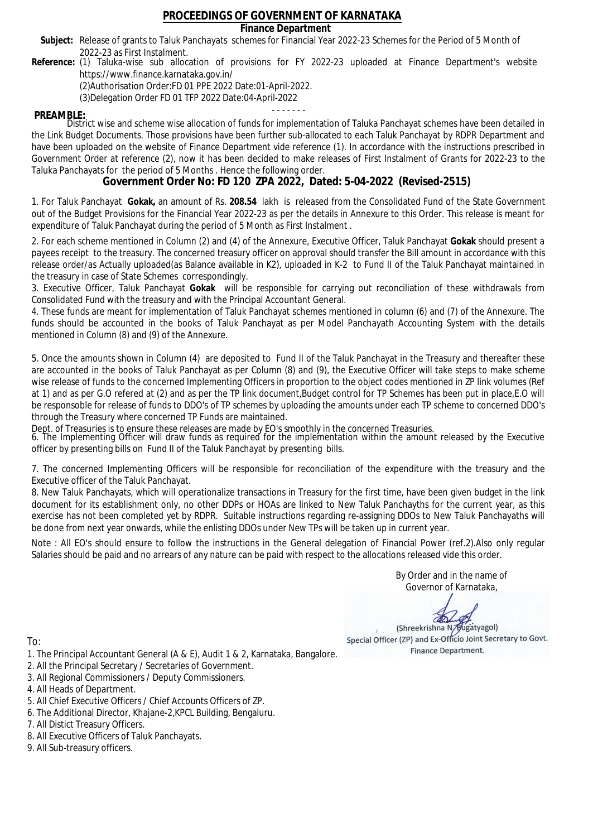### **Finance Department**

- Subject: Release of grants to Taluk Panchayats schemes for Financial Year 2022-23 Schemes for the Period of 5 Month of 2022-23 as First Instalment.
- **Reference:** (1) Taluka-wise sub allocation of provisions for FY 2022-23 uploaded at Finance Department's website https://www.finance.karnataka.gov.in/

(2)Authorisation Order:FD 01 PPE 2022 Date:01-April-2022.

(3)Delegation Order FD 01 TFP 2022 Date:04-April-2022

- - - - - - - **PREAMBLE:** District wise and scheme wise allocation of funds for implementation of Taluka Panchayat schemes have been detailed in the Link Budget Documents. Those provisions have been further sub-allocated to each Taluk Panchayat by RDPR Department and have been uploaded on the website of Finance Department vide reference (1). In accordance with the instructions prescribed in Government Order at reference (2), now it has been decided to make releases of First Instalment of Grants for 2022-23 to the Taluka Panchayats for the period of 5 Months . Hence the following order.

**Government Order No: FD 120 ZPA 2022, Dated: 5-04-2022 (Revised-2515)**

1. For Taluk Panchayat **Gokak,** an amount of Rs. **208.54** lakh is released from the Consolidated Fund of the State Government out of the Budget Provisions for the Financial Year 2022-23 as per the details in Annexure to this Order. This release is meant for expenditure of Taluk Panchayat during the period of 5 Month as First Instalment .

2. For each scheme mentioned in Column (2) and (4) of the Annexure, Executive Officer, Taluk Panchayat **Gokak** should present a payees receipt to the treasury. The concerned treasury officer on approval should transfer the Bill amount in accordance with this release order/as Actually uploaded(as Balance available in K2), uploaded in K-2 to Fund II of the Taluk Panchayat maintained in the treasury in case of State Schemes correspondingly.

3. Executive Officer, Taluk Panchayat **Gokak** will be responsible for carrying out reconciliation of these withdrawals from Consolidated Fund with the treasury and with the Principal Accountant General.

4. These funds are meant for implementation of Taluk Panchayat schemes mentioned in column (6) and (7) of the Annexure. The funds should be accounted in the books of Taluk Panchayat as per Model Panchayath Accounting System with the details mentioned in Column (8) and (9) of the Annexure.

5. Once the amounts shown in Column (4) are deposited to Fund II of the Taluk Panchayat in the Treasury and thereafter these are accounted in the books of Taluk Panchayat as per Column (8) and (9), the Executive Officer will take steps to make scheme wise release of funds to the concerned Implementing Officers in proportion to the object codes mentioned in ZP link volumes (Ref at 1) and as per G.O refered at (2) and as per the TP link document,Budget control for TP Schemes has been put in place,E.O will be responsoble for release of funds to DDO's of TP schemes by uploading the amounts under each TP scheme to concerned DDO's through the Treasury where concerned TP Funds are maintained.

Dept. of Treasuries is to ensure these releases are made by EO's smoothly in the concerned Treasuries.

6. The Implementing Officer will draw funds as required for the implementation within the amount released by the Executive officer by presenting bills on Fund II of the Taluk Panchayat by presenting bills.

7. The concerned Implementing Officers will be responsible for reconciliation of the expenditure with the treasury and the Executive officer of the Taluk Panchayat.

8. New Taluk Panchayats, which will operationalize transactions in Treasury for the first time, have been given budget in the link document for its establishment only, no other DDPs or HOAs are linked to New Taluk Panchayths for the current year, as this exercise has not been completed yet by RDPR. Suitable instructions regarding re-assigning DDOs to New Taluk Panchayaths will be done from next year onwards, while the enlisting DDOs under New TPs will be taken up in current year.

Note : All EO's should ensure to follow the instructions in the General delegation of Financial Power (ref.2).Also only regular Salaries should be paid and no arrears of any nature can be paid with respect to the allocations released vide this order.

> By Order and in the name of Governor of Karnataka,

**PD** 

(Shreekrishna N/Bugatyagol) Special Officer (ZP) and Ex-Officio Joint Secretary to Govt. Finance Department.

- 1. The Principal Accountant General (A & E), Audit 1 & 2, Karnataka, Bangalore.
- 2. All the Principal Secretary / Secretaries of Government.
- 3. All Regional Commissioners / Deputy Commissioners.
- 4. All Heads of Department.
- 5. All Chief Executive Officers / Chief Accounts Officers of ZP.
- 6. The Additional Director, Khajane-2,KPCL Building, Bengaluru.
- 7. All Distict Treasury Officers.
- 8. All Executive Officers of Taluk Panchayats.
- 9. All Sub-treasury officers.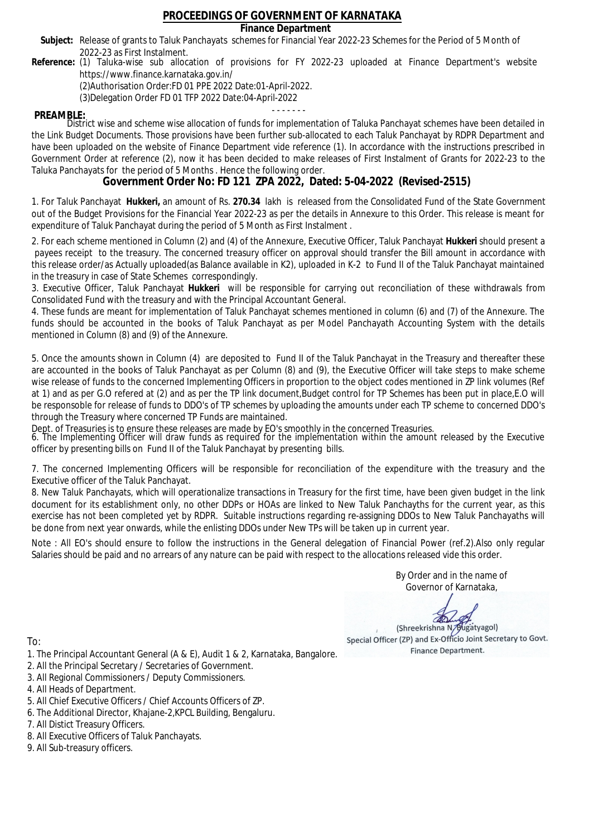### **Finance Department**

- Subject: Release of grants to Taluk Panchayats schemes for Financial Year 2022-23 Schemes for the Period of 5 Month of 2022-23 as First Instalment.
- **Reference:** (1) Taluka-wise sub allocation of provisions for FY 2022-23 uploaded at Finance Department's website https://www.finance.karnataka.gov.in/

(2)Authorisation Order:FD 01 PPE 2022 Date:01-April-2022.

(3)Delegation Order FD 01 TFP 2022 Date:04-April-2022

- - - - - - - **PREAMBLE:** District wise and scheme wise allocation of funds for implementation of Taluka Panchayat schemes have been detailed in the Link Budget Documents. Those provisions have been further sub-allocated to each Taluk Panchayat by RDPR Department and have been uploaded on the website of Finance Department vide reference (1). In accordance with the instructions prescribed in Government Order at reference (2), now it has been decided to make releases of First Instalment of Grants for 2022-23 to the Taluka Panchayats for the period of 5 Months . Hence the following order.

**Government Order No: FD 121 ZPA 2022, Dated: 5-04-2022 (Revised-2515)**

1. For Taluk Panchayat **Hukkeri,** an amount of Rs. **270.34** lakh is released from the Consolidated Fund of the State Government out of the Budget Provisions for the Financial Year 2022-23 as per the details in Annexure to this Order. This release is meant for expenditure of Taluk Panchayat during the period of 5 Month as First Instalment .

2. For each scheme mentioned in Column (2) and (4) of the Annexure, Executive Officer, Taluk Panchayat **Hukkeri** should present a payees receipt to the treasury. The concerned treasury officer on approval should transfer the Bill amount in accordance with this release order/as Actually uploaded(as Balance available in K2), uploaded in K-2 to Fund II of the Taluk Panchayat maintained in the treasury in case of State Schemes correspondingly.

3. Executive Officer, Taluk Panchayat **Hukkeri** will be responsible for carrying out reconciliation of these withdrawals from Consolidated Fund with the treasury and with the Principal Accountant General.

4. These funds are meant for implementation of Taluk Panchayat schemes mentioned in column (6) and (7) of the Annexure. The funds should be accounted in the books of Taluk Panchayat as per Model Panchayath Accounting System with the details mentioned in Column (8) and (9) of the Annexure.

5. Once the amounts shown in Column (4) are deposited to Fund II of the Taluk Panchayat in the Treasury and thereafter these are accounted in the books of Taluk Panchayat as per Column (8) and (9), the Executive Officer will take steps to make scheme wise release of funds to the concerned Implementing Officers in proportion to the object codes mentioned in ZP link volumes (Ref at 1) and as per G.O refered at (2) and as per the TP link document,Budget control for TP Schemes has been put in place,E.O will be responsoble for release of funds to DDO's of TP schemes by uploading the amounts under each TP scheme to concerned DDO's through the Treasury where concerned TP Funds are maintained.

Dept. of Treasuries is to ensure these releases are made by EO's smoothly in the concerned Treasuries.

6. The Implementing Officer will draw funds as required for the implementation within the amount released by the Executive officer by presenting bills on Fund II of the Taluk Panchayat by presenting bills.

7. The concerned Implementing Officers will be responsible for reconciliation of the expenditure with the treasury and the Executive officer of the Taluk Panchayat.

8. New Taluk Panchayats, which will operationalize transactions in Treasury for the first time, have been given budget in the link document for its establishment only, no other DDPs or HOAs are linked to New Taluk Panchayths for the current year, as this exercise has not been completed yet by RDPR. Suitable instructions regarding re-assigning DDOs to New Taluk Panchayaths will be done from next year onwards, while the enlisting DDOs under New TPs will be taken up in current year.

Note : All EO's should ensure to follow the instructions in the General delegation of Financial Power (ref.2).Also only regular Salaries should be paid and no arrears of any nature can be paid with respect to the allocations released vide this order.

> By Order and in the name of Governor of Karnataka,

**PD** 

(Shreekrishna N/Bugatyagol) Special Officer (ZP) and Ex-Officio Joint Secretary to Govt. Finance Department.

- 1. The Principal Accountant General (A & E), Audit 1 & 2, Karnataka, Bangalore.
- 2. All the Principal Secretary / Secretaries of Government.
- 3. All Regional Commissioners / Deputy Commissioners.
- 4. All Heads of Department.
- 5. All Chief Executive Officers / Chief Accounts Officers of ZP.
- 6. The Additional Director, Khajane-2,KPCL Building, Bengaluru.
- 7. All Distict Treasury Officers.
- 8. All Executive Officers of Taluk Panchayats.
- 9. All Sub-treasury officers.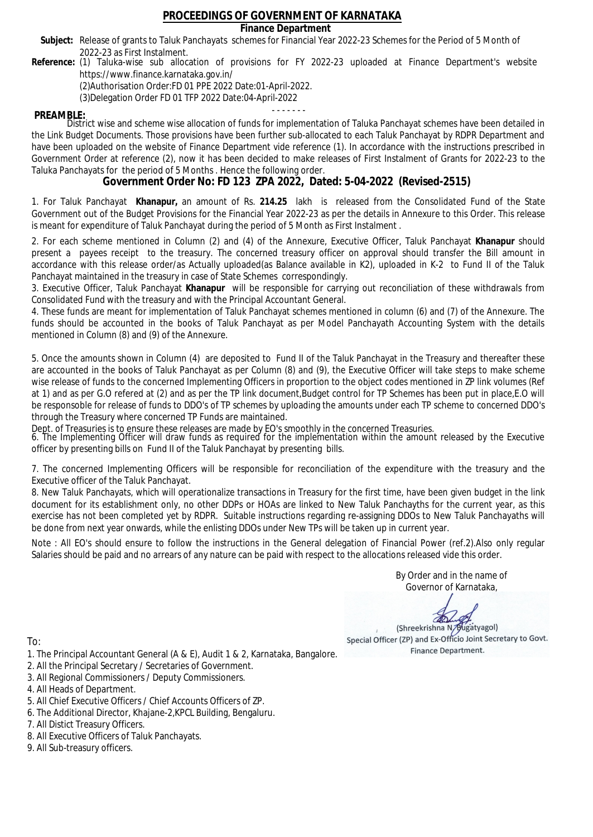### **Finance Department**

- Subject: Release of grants to Taluk Panchayats schemes for Financial Year 2022-23 Schemes for the Period of 5 Month of 2022-23 as First Instalment.
- **Reference:** (1) Taluka-wise sub allocation of provisions for FY 2022-23 uploaded at Finance Department's website https://www.finance.karnataka.gov.in/

(2)Authorisation Order:FD 01 PPE 2022 Date:01-April-2022.

(3)Delegation Order FD 01 TFP 2022 Date:04-April-2022

- - - - - - - **PREAMBLE:** District wise and scheme wise allocation of funds for implementation of Taluka Panchayat schemes have been detailed in the Link Budget Documents. Those provisions have been further sub-allocated to each Taluk Panchayat by RDPR Department and have been uploaded on the website of Finance Department vide reference (1). In accordance with the instructions prescribed in Government Order at reference (2), now it has been decided to make releases of First Instalment of Grants for 2022-23 to the Taluka Panchayats for the period of 5 Months . Hence the following order.

**Government Order No: FD 123 ZPA 2022, Dated: 5-04-2022 (Revised-2515)**

1. For Taluk Panchayat **Khanapur,** an amount of Rs. **214.25** lakh is released from the Consolidated Fund of the State Government out of the Budget Provisions for the Financial Year 2022-23 as per the details in Annexure to this Order. This release is meant for expenditure of Taluk Panchayat during the period of 5 Month as First Instalment .

2. For each scheme mentioned in Column (2) and (4) of the Annexure, Executive Officer, Taluk Panchayat **Khanapur** should present a payees receipt to the treasury. The concerned treasury officer on approval should transfer the Bill amount in accordance with this release order/as Actually uploaded(as Balance available in K2), uploaded in K-2 to Fund II of the Taluk Panchayat maintained in the treasury in case of State Schemes correspondingly.

3. Executive Officer, Taluk Panchayat **Khanapur** will be responsible for carrying out reconciliation of these withdrawals from Consolidated Fund with the treasury and with the Principal Accountant General.

4. These funds are meant for implementation of Taluk Panchayat schemes mentioned in column (6) and (7) of the Annexure. The funds should be accounted in the books of Taluk Panchayat as per Model Panchayath Accounting System with the details mentioned in Column (8) and (9) of the Annexure.

5. Once the amounts shown in Column (4) are deposited to Fund II of the Taluk Panchayat in the Treasury and thereafter these are accounted in the books of Taluk Panchayat as per Column (8) and (9), the Executive Officer will take steps to make scheme wise release of funds to the concerned Implementing Officers in proportion to the object codes mentioned in ZP link volumes (Ref at 1) and as per G.O refered at (2) and as per the TP link document,Budget control for TP Schemes has been put in place,E.O will be responsoble for release of funds to DDO's of TP schemes by uploading the amounts under each TP scheme to concerned DDO's through the Treasury where concerned TP Funds are maintained.

Dept. of Treasuries is to ensure these releases are made by EO's smoothly in the concerned Treasuries.

6. The Implementing Officer will draw funds as required for the implementation within the amount released by the Executive officer by presenting bills on Fund II of the Taluk Panchayat by presenting bills.

7. The concerned Implementing Officers will be responsible for reconciliation of the expenditure with the treasury and the Executive officer of the Taluk Panchayat.

8. New Taluk Panchayats, which will operationalize transactions in Treasury for the first time, have been given budget in the link document for its establishment only, no other DDPs or HOAs are linked to New Taluk Panchayths for the current year, as this exercise has not been completed yet by RDPR. Suitable instructions regarding re-assigning DDOs to New Taluk Panchayaths will be done from next year onwards, while the enlisting DDOs under New TPs will be taken up in current year.

Note : All EO's should ensure to follow the instructions in the General delegation of Financial Power (ref.2).Also only regular Salaries should be paid and no arrears of any nature can be paid with respect to the allocations released vide this order.

> By Order and in the name of Governor of Karnataka,

**PD** 

(Shreekrishna N/Bugatyagol) Special Officer (ZP) and Ex-Officio Joint Secretary to Govt. Finance Department.

- 1. The Principal Accountant General (A & E), Audit 1 & 2, Karnataka, Bangalore.
- 2. All the Principal Secretary / Secretaries of Government.
- 3. All Regional Commissioners / Deputy Commissioners.
- 4. All Heads of Department.
- 5. All Chief Executive Officers / Chief Accounts Officers of ZP.
- 6. The Additional Director, Khajane-2,KPCL Building, Bengaluru.
- 7. All Distict Treasury Officers.
- 8. All Executive Officers of Taluk Panchayats.
- 9. All Sub-treasury officers.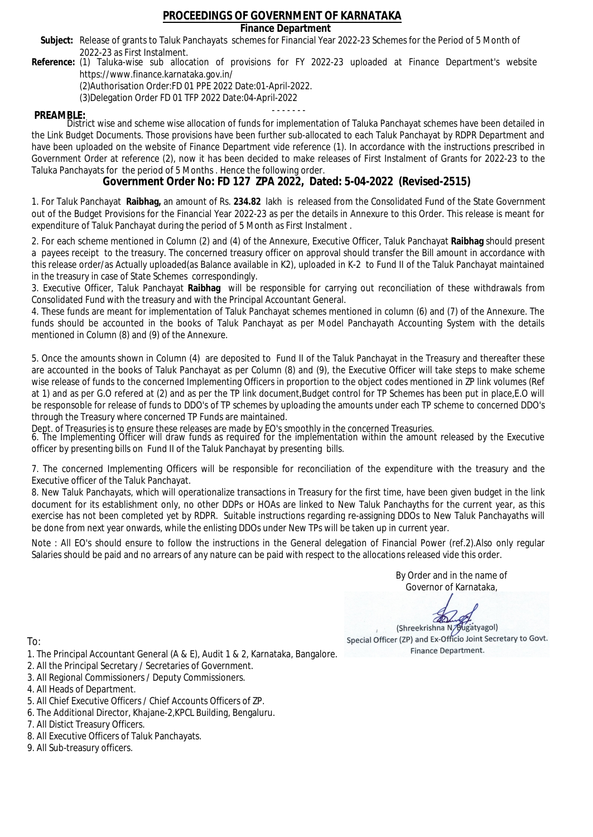### **Finance Department**

- Subject: Release of grants to Taluk Panchayats schemes for Financial Year 2022-23 Schemes for the Period of 5 Month of 2022-23 as First Instalment.
- **Reference:** (1) Taluka-wise sub allocation of provisions for FY 2022-23 uploaded at Finance Department's website https://www.finance.karnataka.gov.in/

(2)Authorisation Order:FD 01 PPE 2022 Date:01-April-2022.

(3)Delegation Order FD 01 TFP 2022 Date:04-April-2022

- - - - - - - **PREAMBLE:** District wise and scheme wise allocation of funds for implementation of Taluka Panchayat schemes have been detailed in the Link Budget Documents. Those provisions have been further sub-allocated to each Taluk Panchayat by RDPR Department and have been uploaded on the website of Finance Department vide reference (1). In accordance with the instructions prescribed in Government Order at reference (2), now it has been decided to make releases of First Instalment of Grants for 2022-23 to the Taluka Panchayats for the period of 5 Months . Hence the following order.

**Government Order No: FD 127 ZPA 2022, Dated: 5-04-2022 (Revised-2515)**

1. For Taluk Panchayat **Raibhag,** an amount of Rs. **234.82** lakh is released from the Consolidated Fund of the State Government out of the Budget Provisions for the Financial Year 2022-23 as per the details in Annexure to this Order. This release is meant for expenditure of Taluk Panchayat during the period of 5 Month as First Instalment .

2. For each scheme mentioned in Column (2) and (4) of the Annexure, Executive Officer, Taluk Panchayat **Raibhag** should present a payees receipt to the treasury. The concerned treasury officer on approval should transfer the Bill amount in accordance with this release order/as Actually uploaded(as Balance available in K2), uploaded in K-2 to Fund II of the Taluk Panchayat maintained in the treasury in case of State Schemes correspondingly.

3. Executive Officer, Taluk Panchayat **Raibhag** will be responsible for carrying out reconciliation of these withdrawals from Consolidated Fund with the treasury and with the Principal Accountant General.

4. These funds are meant for implementation of Taluk Panchayat schemes mentioned in column (6) and (7) of the Annexure. The funds should be accounted in the books of Taluk Panchayat as per Model Panchayath Accounting System with the details mentioned in Column (8) and (9) of the Annexure.

5. Once the amounts shown in Column (4) are deposited to Fund II of the Taluk Panchayat in the Treasury and thereafter these are accounted in the books of Taluk Panchayat as per Column (8) and (9), the Executive Officer will take steps to make scheme wise release of funds to the concerned Implementing Officers in proportion to the object codes mentioned in ZP link volumes (Ref at 1) and as per G.O refered at (2) and as per the TP link document,Budget control for TP Schemes has been put in place,E.O will be responsoble for release of funds to DDO's of TP schemes by uploading the amounts under each TP scheme to concerned DDO's through the Treasury where concerned TP Funds are maintained.

Dept. of Treasuries is to ensure these releases are made by EO's smoothly in the concerned Treasuries.

6. The Implementing Officer will draw funds as required for the implementation within the amount released by the Executive officer by presenting bills on Fund II of the Taluk Panchayat by presenting bills.

7. The concerned Implementing Officers will be responsible for reconciliation of the expenditure with the treasury and the Executive officer of the Taluk Panchayat.

8. New Taluk Panchayats, which will operationalize transactions in Treasury for the first time, have been given budget in the link document for its establishment only, no other DDPs or HOAs are linked to New Taluk Panchayths for the current year, as this exercise has not been completed yet by RDPR. Suitable instructions regarding re-assigning DDOs to New Taluk Panchayaths will be done from next year onwards, while the enlisting DDOs under New TPs will be taken up in current year.

Note : All EO's should ensure to follow the instructions in the General delegation of Financial Power (ref.2).Also only regular Salaries should be paid and no arrears of any nature can be paid with respect to the allocations released vide this order.

> By Order and in the name of Governor of Karnataka,

**PD** 

(Shreekrishna N/Bugatyagol) Special Officer (ZP) and Ex-Officio Joint Secretary to Govt. Finance Department.

To:

- 1. The Principal Accountant General (A & E), Audit 1 & 2, Karnataka, Bangalore.
- 2. All the Principal Secretary / Secretaries of Government.
- 3. All Regional Commissioners / Deputy Commissioners.
- 4. All Heads of Department.
- 5. All Chief Executive Officers / Chief Accounts Officers of ZP.
- 6. The Additional Director, Khajane-2,KPCL Building, Bengaluru.

- 8. All Executive Officers of Taluk Panchayats.
- 9. All Sub-treasury officers.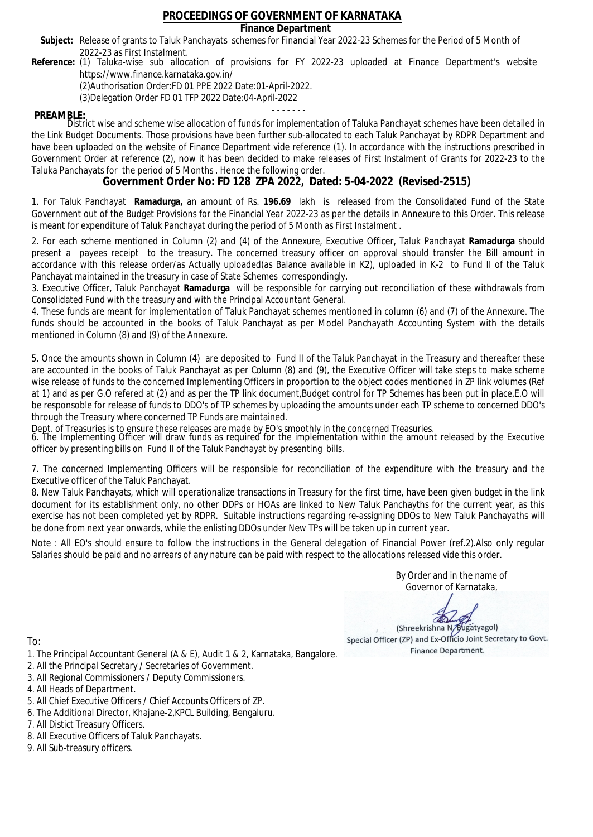### **Finance Department**

- Subject: Release of grants to Taluk Panchayats schemes for Financial Year 2022-23 Schemes for the Period of 5 Month of 2022-23 as First Instalment.
- **Reference:** (1) Taluka-wise sub allocation of provisions for FY 2022-23 uploaded at Finance Department's website https://www.finance.karnataka.gov.in/

(2)Authorisation Order:FD 01 PPE 2022 Date:01-April-2022.

(3)Delegation Order FD 01 TFP 2022 Date:04-April-2022

- - - - - - - **PREAMBLE:** District wise and scheme wise allocation of funds for implementation of Taluka Panchayat schemes have been detailed in the Link Budget Documents. Those provisions have been further sub-allocated to each Taluk Panchayat by RDPR Department and have been uploaded on the website of Finance Department vide reference (1). In accordance with the instructions prescribed in Government Order at reference (2), now it has been decided to make releases of First Instalment of Grants for 2022-23 to the Taluka Panchayats for the period of 5 Months . Hence the following order.

**Government Order No: FD 128 ZPA 2022, Dated: 5-04-2022 (Revised-2515)**

1. For Taluk Panchayat **Ramadurga,** an amount of Rs. **196.69** lakh is released from the Consolidated Fund of the State Government out of the Budget Provisions for the Financial Year 2022-23 as per the details in Annexure to this Order. This release is meant for expenditure of Taluk Panchayat during the period of 5 Month as First Instalment .

2. For each scheme mentioned in Column (2) and (4) of the Annexure, Executive Officer, Taluk Panchayat **Ramadurga** should present a payees receipt to the treasury. The concerned treasury officer on approval should transfer the Bill amount in accordance with this release order/as Actually uploaded(as Balance available in K2), uploaded in K-2 to Fund II of the Taluk Panchayat maintained in the treasury in case of State Schemes correspondingly.

3. Executive Officer, Taluk Panchayat **Ramadurga** will be responsible for carrying out reconciliation of these withdrawals from Consolidated Fund with the treasury and with the Principal Accountant General.

4. These funds are meant for implementation of Taluk Panchayat schemes mentioned in column (6) and (7) of the Annexure. The funds should be accounted in the books of Taluk Panchayat as per Model Panchayath Accounting System with the details mentioned in Column (8) and (9) of the Annexure.

5. Once the amounts shown in Column (4) are deposited to Fund II of the Taluk Panchayat in the Treasury and thereafter these are accounted in the books of Taluk Panchayat as per Column (8) and (9), the Executive Officer will take steps to make scheme wise release of funds to the concerned Implementing Officers in proportion to the object codes mentioned in ZP link volumes (Ref at 1) and as per G.O refered at (2) and as per the TP link document,Budget control for TP Schemes has been put in place,E.O will be responsoble for release of funds to DDO's of TP schemes by uploading the amounts under each TP scheme to concerned DDO's through the Treasury where concerned TP Funds are maintained.

Dept. of Treasuries is to ensure these releases are made by EO's smoothly in the concerned Treasuries.

6. The Implementing Officer will draw funds as required for the implementation within the amount released by the Executive officer by presenting bills on Fund II of the Taluk Panchayat by presenting bills.

7. The concerned Implementing Officers will be responsible for reconciliation of the expenditure with the treasury and the Executive officer of the Taluk Panchayat.

8. New Taluk Panchayats, which will operationalize transactions in Treasury for the first time, have been given budget in the link document for its establishment only, no other DDPs or HOAs are linked to New Taluk Panchayths for the current year, as this exercise has not been completed yet by RDPR. Suitable instructions regarding re-assigning DDOs to New Taluk Panchayaths will be done from next year onwards, while the enlisting DDOs under New TPs will be taken up in current year.

Note : All EO's should ensure to follow the instructions in the General delegation of Financial Power (ref.2).Also only regular Salaries should be paid and no arrears of any nature can be paid with respect to the allocations released vide this order.

> By Order and in the name of Governor of Karnataka,

**PD** 

(Shreekrishna N/Bugatyagol) Special Officer (ZP) and Ex-Officio Joint Secretary to Govt. Finance Department.

- 1. The Principal Accountant General (A & E), Audit 1 & 2, Karnataka, Bangalore.
- 2. All the Principal Secretary / Secretaries of Government.
- 3. All Regional Commissioners / Deputy Commissioners.
- 4. All Heads of Department.
- 5. All Chief Executive Officers / Chief Accounts Officers of ZP.
- 6. The Additional Director, Khajane-2,KPCL Building, Bengaluru.
- 7. All Distict Treasury Officers.
- 8. All Executive Officers of Taluk Panchayats.
- 9. All Sub-treasury officers.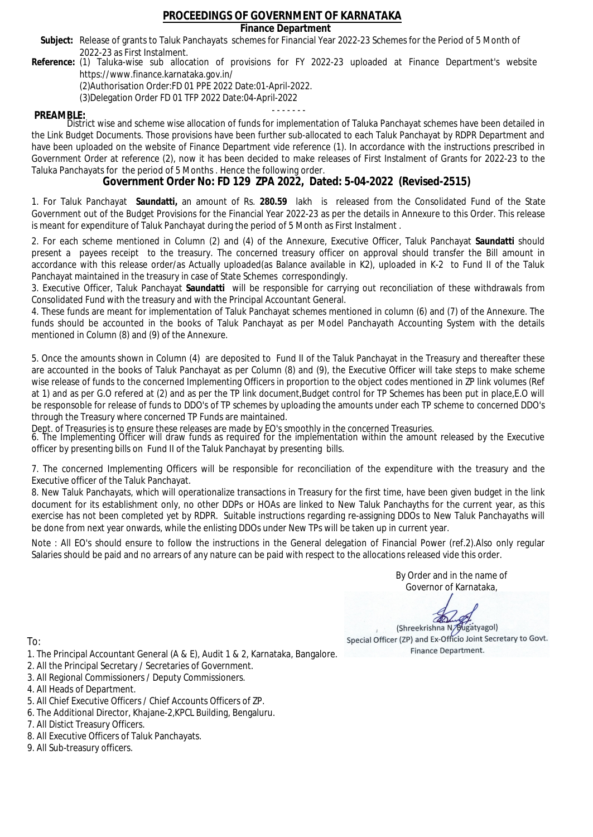### **Finance Department**

- Subject: Release of grants to Taluk Panchayats schemes for Financial Year 2022-23 Schemes for the Period of 5 Month of 2022-23 as First Instalment.
- **Reference:** (1) Taluka-wise sub allocation of provisions for FY 2022-23 uploaded at Finance Department's website https://www.finance.karnataka.gov.in/

(2)Authorisation Order:FD 01 PPE 2022 Date:01-April-2022.

(3)Delegation Order FD 01 TFP 2022 Date:04-April-2022

- - - - - - - **PREAMBLE:** District wise and scheme wise allocation of funds for implementation of Taluka Panchayat schemes have been detailed in the Link Budget Documents. Those provisions have been further sub-allocated to each Taluk Panchayat by RDPR Department and have been uploaded on the website of Finance Department vide reference (1). In accordance with the instructions prescribed in Government Order at reference (2), now it has been decided to make releases of First Instalment of Grants for 2022-23 to the Taluka Panchayats for the period of 5 Months . Hence the following order.

**Government Order No: FD 129 ZPA 2022, Dated: 5-04-2022 (Revised-2515)**

1. For Taluk Panchayat **Saundatti,** an amount of Rs. **280.59** lakh is released from the Consolidated Fund of the State Government out of the Budget Provisions for the Financial Year 2022-23 as per the details in Annexure to this Order. This release is meant for expenditure of Taluk Panchayat during the period of 5 Month as First Instalment .

2. For each scheme mentioned in Column (2) and (4) of the Annexure, Executive Officer, Taluk Panchayat **Saundatti** should present a payees receipt to the treasury. The concerned treasury officer on approval should transfer the Bill amount in accordance with this release order/as Actually uploaded(as Balance available in K2), uploaded in K-2 to Fund II of the Taluk Panchayat maintained in the treasury in case of State Schemes correspondingly.

3. Executive Officer, Taluk Panchayat **Saundatti** will be responsible for carrying out reconciliation of these withdrawals from Consolidated Fund with the treasury and with the Principal Accountant General.

4. These funds are meant for implementation of Taluk Panchayat schemes mentioned in column (6) and (7) of the Annexure. The funds should be accounted in the books of Taluk Panchayat as per Model Panchayath Accounting System with the details mentioned in Column (8) and (9) of the Annexure.

5. Once the amounts shown in Column (4) are deposited to Fund II of the Taluk Panchayat in the Treasury and thereafter these are accounted in the books of Taluk Panchayat as per Column (8) and (9), the Executive Officer will take steps to make scheme wise release of funds to the concerned Implementing Officers in proportion to the object codes mentioned in ZP link volumes (Ref at 1) and as per G.O refered at (2) and as per the TP link document,Budget control for TP Schemes has been put in place,E.O will be responsoble for release of funds to DDO's of TP schemes by uploading the amounts under each TP scheme to concerned DDO's through the Treasury where concerned TP Funds are maintained.

Dept. of Treasuries is to ensure these releases are made by EO's smoothly in the concerned Treasuries.

6. The Implementing Officer will draw funds as required for the implementation within the amount released by the Executive officer by presenting bills on Fund II of the Taluk Panchayat by presenting bills.

7. The concerned Implementing Officers will be responsible for reconciliation of the expenditure with the treasury and the Executive officer of the Taluk Panchayat.

8. New Taluk Panchayats, which will operationalize transactions in Treasury for the first time, have been given budget in the link document for its establishment only, no other DDPs or HOAs are linked to New Taluk Panchayths for the current year, as this exercise has not been completed yet by RDPR. Suitable instructions regarding re-assigning DDOs to New Taluk Panchayaths will be done from next year onwards, while the enlisting DDOs under New TPs will be taken up in current year.

Note : All EO's should ensure to follow the instructions in the General delegation of Financial Power (ref.2).Also only regular Salaries should be paid and no arrears of any nature can be paid with respect to the allocations released vide this order.

> By Order and in the name of Governor of Karnataka,

**PD** 

(Shreekrishna N/Bugatyagol) Special Officer (ZP) and Ex-Officio Joint Secretary to Govt. Finance Department.

- 1. The Principal Accountant General (A & E), Audit 1 & 2, Karnataka, Bangalore.
- 2. All the Principal Secretary / Secretaries of Government.
- 3. All Regional Commissioners / Deputy Commissioners.
- 4. All Heads of Department.
- 5. All Chief Executive Officers / Chief Accounts Officers of ZP.
- 6. The Additional Director, Khajane-2,KPCL Building, Bengaluru.
- 7. All Distict Treasury Officers.
- 8. All Executive Officers of Taluk Panchayats.
- 9. All Sub-treasury officers.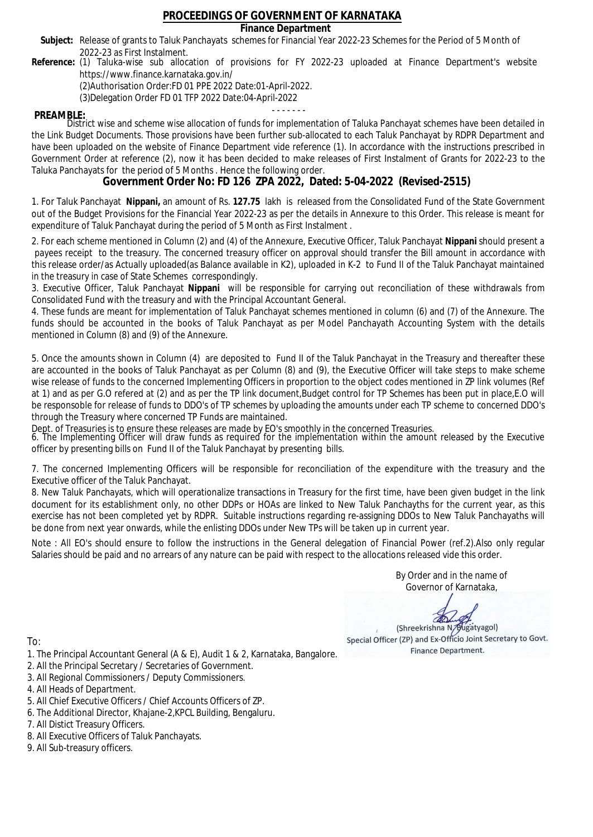### **Finance Department**

- Subject: Release of grants to Taluk Panchayats schemes for Financial Year 2022-23 Schemes for the Period of 5 Month of 2022-23 as First Instalment.
- **Reference:** (1) Taluka-wise sub allocation of provisions for FY 2022-23 uploaded at Finance Department's website https://www.finance.karnataka.gov.in/

(2)Authorisation Order:FD 01 PPE 2022 Date:01-April-2022.

(3)Delegation Order FD 01 TFP 2022 Date:04-April-2022

- - - - - - - **PREAMBLE:** District wise and scheme wise allocation of funds for implementation of Taluka Panchayat schemes have been detailed in the Link Budget Documents. Those provisions have been further sub-allocated to each Taluk Panchayat by RDPR Department and have been uploaded on the website of Finance Department vide reference (1). In accordance with the instructions prescribed in Government Order at reference (2), now it has been decided to make releases of First Instalment of Grants for 2022-23 to the Taluka Panchayats for the period of 5 Months . Hence the following order.

**Government Order No: FD 126 ZPA 2022, Dated: 5-04-2022 (Revised-2515)**

1. For Taluk Panchayat **Nippani,** an amount of Rs. **127.75** lakh is released from the Consolidated Fund of the State Government out of the Budget Provisions for the Financial Year 2022-23 as per the details in Annexure to this Order. This release is meant for expenditure of Taluk Panchayat during the period of 5 Month as First Instalment .

2. For each scheme mentioned in Column (2) and (4) of the Annexure, Executive Officer, Taluk Panchayat **Nippani** should present a payees receipt to the treasury. The concerned treasury officer on approval should transfer the Bill amount in accordance with this release order/as Actually uploaded(as Balance available in K2), uploaded in K-2 to Fund II of the Taluk Panchayat maintained in the treasury in case of State Schemes correspondingly.

3. Executive Officer, Taluk Panchayat **Nippani** will be responsible for carrying out reconciliation of these withdrawals from Consolidated Fund with the treasury and with the Principal Accountant General.

4. These funds are meant for implementation of Taluk Panchayat schemes mentioned in column (6) and (7) of the Annexure. The funds should be accounted in the books of Taluk Panchayat as per Model Panchayath Accounting System with the details mentioned in Column (8) and (9) of the Annexure.

5. Once the amounts shown in Column (4) are deposited to Fund II of the Taluk Panchayat in the Treasury and thereafter these are accounted in the books of Taluk Panchayat as per Column (8) and (9), the Executive Officer will take steps to make scheme wise release of funds to the concerned Implementing Officers in proportion to the object codes mentioned in ZP link volumes (Ref at 1) and as per G.O refered at (2) and as per the TP link document,Budget control for TP Schemes has been put in place,E.O will be responsoble for release of funds to DDO's of TP schemes by uploading the amounts under each TP scheme to concerned DDO's through the Treasury where concerned TP Funds are maintained.

Dept. of Treasuries is to ensure these releases are made by EO's smoothly in the concerned Treasuries.

6. The Implementing Officer will draw funds as required for the implementation within the amount released by the Executive officer by presenting bills on Fund II of the Taluk Panchayat by presenting bills.

7. The concerned Implementing Officers will be responsible for reconciliation of the expenditure with the treasury and the Executive officer of the Taluk Panchayat.

8. New Taluk Panchayats, which will operationalize transactions in Treasury for the first time, have been given budget in the link document for its establishment only, no other DDPs or HOAs are linked to New Taluk Panchayths for the current year, as this exercise has not been completed yet by RDPR. Suitable instructions regarding re-assigning DDOs to New Taluk Panchayaths will be done from next year onwards, while the enlisting DDOs under New TPs will be taken up in current year.

Note : All EO's should ensure to follow the instructions in the General delegation of Financial Power (ref.2).Also only regular Salaries should be paid and no arrears of any nature can be paid with respect to the allocations released vide this order.

> By Order and in the name of Governor of Karnataka,

**PD** 

(Shreekrishna N/Bugatyagol) Special Officer (ZP) and Ex-Officio Joint Secretary to Govt. Finance Department.

- 1. The Principal Accountant General (A & E), Audit 1 & 2, Karnataka, Bangalore.
- 2. All the Principal Secretary / Secretaries of Government.
- 3. All Regional Commissioners / Deputy Commissioners.
- 4. All Heads of Department.
- 5. All Chief Executive Officers / Chief Accounts Officers of ZP.
- 6. The Additional Director, Khajane-2,KPCL Building, Bengaluru.
- 7. All Distict Treasury Officers.
- 8. All Executive Officers of Taluk Panchayats.
- 9. All Sub-treasury officers.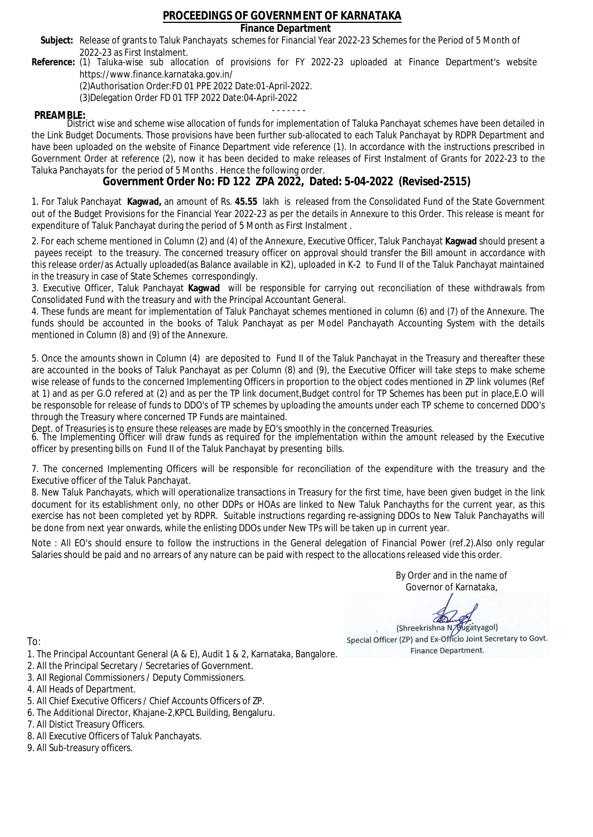### **Finance Department**

- Subject: Release of grants to Taluk Panchayats schemes for Financial Year 2022-23 Schemes for the Period of 5 Month of 2022-23 as First Instalment.
- **Reference:** (1) Taluka-wise sub allocation of provisions for FY 2022-23 uploaded at Finance Department's website https://www.finance.karnataka.gov.in/

(2)Authorisation Order:FD 01 PPE 2022 Date:01-April-2022.

(3)Delegation Order FD 01 TFP 2022 Date:04-April-2022

- - - - - - - **PREAMBLE:** District wise and scheme wise allocation of funds for implementation of Taluka Panchayat schemes have been detailed in the Link Budget Documents. Those provisions have been further sub-allocated to each Taluk Panchayat by RDPR Department and have been uploaded on the website of Finance Department vide reference (1). In accordance with the instructions prescribed in Government Order at reference (2), now it has been decided to make releases of First Instalment of Grants for 2022-23 to the Taluka Panchayats for the period of 5 Months . Hence the following order.

**Government Order No: FD 122 ZPA 2022, Dated: 5-04-2022 (Revised-2515)**

1. For Taluk Panchayat **Kagwad,** an amount of Rs. **45.55** lakh is released from the Consolidated Fund of the State Government out of the Budget Provisions for the Financial Year 2022-23 as per the details in Annexure to this Order. This release is meant for expenditure of Taluk Panchayat during the period of 5 Month as First Instalment .

2. For each scheme mentioned in Column (2) and (4) of the Annexure, Executive Officer, Taluk Panchayat **Kagwad** should present a payees receipt to the treasury. The concerned treasury officer on approval should transfer the Bill amount in accordance with this release order/as Actually uploaded(as Balance available in K2), uploaded in K-2 to Fund II of the Taluk Panchayat maintained in the treasury in case of State Schemes correspondingly.

3. Executive Officer, Taluk Panchayat **Kagwad** will be responsible for carrying out reconciliation of these withdrawals from Consolidated Fund with the treasury and with the Principal Accountant General.

4. These funds are meant for implementation of Taluk Panchayat schemes mentioned in column (6) and (7) of the Annexure. The funds should be accounted in the books of Taluk Panchayat as per Model Panchayath Accounting System with the details mentioned in Column (8) and (9) of the Annexure.

5. Once the amounts shown in Column (4) are deposited to Fund II of the Taluk Panchayat in the Treasury and thereafter these are accounted in the books of Taluk Panchayat as per Column (8) and (9), the Executive Officer will take steps to make scheme wise release of funds to the concerned Implementing Officers in proportion to the object codes mentioned in ZP link volumes (Ref at 1) and as per G.O refered at (2) and as per the TP link document,Budget control for TP Schemes has been put in place,E.O will be responsoble for release of funds to DDO's of TP schemes by uploading the amounts under each TP scheme to concerned DDO's through the Treasury where concerned TP Funds are maintained.

Dept. of Treasuries is to ensure these releases are made by EO's smoothly in the concerned Treasuries.

6. The Implementing Officer will draw funds as required for the implementation within the amount released by the Executive officer by presenting bills on Fund II of the Taluk Panchayat by presenting bills.

7. The concerned Implementing Officers will be responsible for reconciliation of the expenditure with the treasury and the Executive officer of the Taluk Panchayat.

8. New Taluk Panchayats, which will operationalize transactions in Treasury for the first time, have been given budget in the link document for its establishment only, no other DDPs or HOAs are linked to New Taluk Panchayths for the current year, as this exercise has not been completed yet by RDPR. Suitable instructions regarding re-assigning DDOs to New Taluk Panchayaths will be done from next year onwards, while the enlisting DDOs under New TPs will be taken up in current year.

Note : All EO's should ensure to follow the instructions in the General delegation of Financial Power (ref.2).Also only regular Salaries should be paid and no arrears of any nature can be paid with respect to the allocations released vide this order.

> By Order and in the name of Governor of Karnataka,

**PD** 

(Shreekrishna N/Bugatyagol) Special Officer (ZP) and Ex-Officio Joint Secretary to Govt. Finance Department.

- 1. The Principal Accountant General (A & E), Audit 1 & 2, Karnataka, Bangalore.
- 2. All the Principal Secretary / Secretaries of Government.
- 3. All Regional Commissioners / Deputy Commissioners.
- 4. All Heads of Department.
- 5. All Chief Executive Officers / Chief Accounts Officers of ZP.
- 6. The Additional Director, Khajane-2,KPCL Building, Bengaluru.
- 7. All Distict Treasury Officers.
- 8. All Executive Officers of Taluk Panchayats.
- 9. All Sub-treasury officers.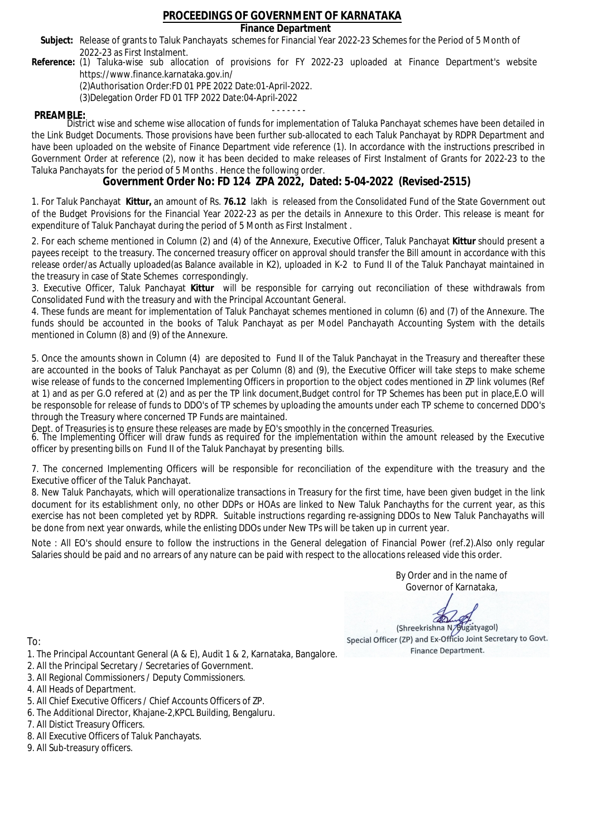### **Finance Department**

- Subject: Release of grants to Taluk Panchayats schemes for Financial Year 2022-23 Schemes for the Period of 5 Month of 2022-23 as First Instalment.
- **Reference:** (1) Taluka-wise sub allocation of provisions for FY 2022-23 uploaded at Finance Department's website https://www.finance.karnataka.gov.in/

(2)Authorisation Order:FD 01 PPE 2022 Date:01-April-2022.

(3)Delegation Order FD 01 TFP 2022 Date:04-April-2022

- - - - - - - **PREAMBLE:** District wise and scheme wise allocation of funds for implementation of Taluka Panchayat schemes have been detailed in the Link Budget Documents. Those provisions have been further sub-allocated to each Taluk Panchayat by RDPR Department and have been uploaded on the website of Finance Department vide reference (1). In accordance with the instructions prescribed in Government Order at reference (2), now it has been decided to make releases of First Instalment of Grants for 2022-23 to the Taluka Panchayats for the period of 5 Months . Hence the following order.

**Government Order No: FD 124 ZPA 2022, Dated: 5-04-2022 (Revised-2515)**

1. For Taluk Panchayat **Kittur,** an amount of Rs. **76.12** lakh is released from the Consolidated Fund of the State Government out of the Budget Provisions for the Financial Year 2022-23 as per the details in Annexure to this Order. This release is meant for expenditure of Taluk Panchayat during the period of 5 Month as First Instalment .

2. For each scheme mentioned in Column (2) and (4) of the Annexure, Executive Officer, Taluk Panchayat **Kittur** should present a payees receipt to the treasury. The concerned treasury officer on approval should transfer the Bill amount in accordance with this release order/as Actually uploaded(as Balance available in K2), uploaded in K-2 to Fund II of the Taluk Panchayat maintained in the treasury in case of State Schemes correspondingly.

3. Executive Officer, Taluk Panchayat **Kittur** will be responsible for carrying out reconciliation of these withdrawals from Consolidated Fund with the treasury and with the Principal Accountant General.

4. These funds are meant for implementation of Taluk Panchayat schemes mentioned in column (6) and (7) of the Annexure. The funds should be accounted in the books of Taluk Panchayat as per Model Panchayath Accounting System with the details mentioned in Column (8) and (9) of the Annexure.

5. Once the amounts shown in Column (4) are deposited to Fund II of the Taluk Panchayat in the Treasury and thereafter these are accounted in the books of Taluk Panchayat as per Column (8) and (9), the Executive Officer will take steps to make scheme wise release of funds to the concerned Implementing Officers in proportion to the object codes mentioned in ZP link volumes (Ref at 1) and as per G.O refered at (2) and as per the TP link document,Budget control for TP Schemes has been put in place,E.O will be responsoble for release of funds to DDO's of TP schemes by uploading the amounts under each TP scheme to concerned DDO's through the Treasury where concerned TP Funds are maintained.

Dept. of Treasuries is to ensure these releases are made by EO's smoothly in the concerned Treasuries.

6. The Implementing Officer will draw funds as required for the implementation within the amount released by the Executive officer by presenting bills on Fund II of the Taluk Panchayat by presenting bills.

7. The concerned Implementing Officers will be responsible for reconciliation of the expenditure with the treasury and the Executive officer of the Taluk Panchayat.

8. New Taluk Panchayats, which will operationalize transactions in Treasury for the first time, have been given budget in the link document for its establishment only, no other DDPs or HOAs are linked to New Taluk Panchayths for the current year, as this exercise has not been completed yet by RDPR. Suitable instructions regarding re-assigning DDOs to New Taluk Panchayaths will be done from next year onwards, while the enlisting DDOs under New TPs will be taken up in current year.

Note : All EO's should ensure to follow the instructions in the General delegation of Financial Power (ref.2).Also only regular Salaries should be paid and no arrears of any nature can be paid with respect to the allocations released vide this order.

> By Order and in the name of Governor of Karnataka,

**PD** 

(Shreekrishna N/Bugatyagol) Special Officer (ZP) and Ex-Officio Joint Secretary to Govt. Finance Department.

To:

- 1. The Principal Accountant General (A & E), Audit 1 & 2, Karnataka, Bangalore.
- 2. All the Principal Secretary / Secretaries of Government.
- 3. All Regional Commissioners / Deputy Commissioners.
- 4. All Heads of Department.
- 5. All Chief Executive Officers / Chief Accounts Officers of ZP.
- 6. The Additional Director, Khajane-2,KPCL Building, Bengaluru.

- 8. All Executive Officers of Taluk Panchayats.
- 9. All Sub-treasury officers.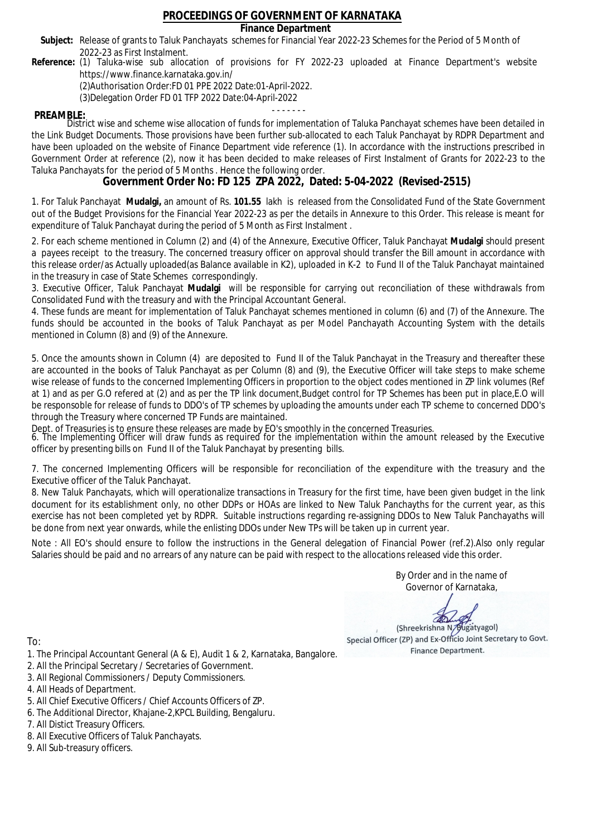### **Finance Department**

- Subject: Release of grants to Taluk Panchayats schemes for Financial Year 2022-23 Schemes for the Period of 5 Month of 2022-23 as First Instalment.
- **Reference:** (1) Taluka-wise sub allocation of provisions for FY 2022-23 uploaded at Finance Department's website https://www.finance.karnataka.gov.in/

(2)Authorisation Order:FD 01 PPE 2022 Date:01-April-2022.

(3)Delegation Order FD 01 TFP 2022 Date:04-April-2022

- - - - - - - **PREAMBLE:** District wise and scheme wise allocation of funds for implementation of Taluka Panchayat schemes have been detailed in the Link Budget Documents. Those provisions have been further sub-allocated to each Taluk Panchayat by RDPR Department and have been uploaded on the website of Finance Department vide reference (1). In accordance with the instructions prescribed in Government Order at reference (2), now it has been decided to make releases of First Instalment of Grants for 2022-23 to the Taluka Panchayats for the period of 5 Months . Hence the following order.

**Government Order No: FD 125 ZPA 2022, Dated: 5-04-2022 (Revised-2515)**

1. For Taluk Panchayat **Mudalgi,** an amount of Rs. **101.55** lakh is released from the Consolidated Fund of the State Government out of the Budget Provisions for the Financial Year 2022-23 as per the details in Annexure to this Order. This release is meant for expenditure of Taluk Panchayat during the period of 5 Month as First Instalment .

2. For each scheme mentioned in Column (2) and (4) of the Annexure, Executive Officer, Taluk Panchayat **Mudalgi** should present a payees receipt to the treasury. The concerned treasury officer on approval should transfer the Bill amount in accordance with this release order/as Actually uploaded(as Balance available in K2), uploaded in K-2 to Fund II of the Taluk Panchayat maintained in the treasury in case of State Schemes correspondingly.

3. Executive Officer, Taluk Panchayat **Mudalgi** will be responsible for carrying out reconciliation of these withdrawals from Consolidated Fund with the treasury and with the Principal Accountant General.

4. These funds are meant for implementation of Taluk Panchayat schemes mentioned in column (6) and (7) of the Annexure. The funds should be accounted in the books of Taluk Panchayat as per Model Panchayath Accounting System with the details mentioned in Column (8) and (9) of the Annexure.

5. Once the amounts shown in Column (4) are deposited to Fund II of the Taluk Panchayat in the Treasury and thereafter these are accounted in the books of Taluk Panchayat as per Column (8) and (9), the Executive Officer will take steps to make scheme wise release of funds to the concerned Implementing Officers in proportion to the object codes mentioned in ZP link volumes (Ref at 1) and as per G.O refered at (2) and as per the TP link document,Budget control for TP Schemes has been put in place,E.O will be responsoble for release of funds to DDO's of TP schemes by uploading the amounts under each TP scheme to concerned DDO's through the Treasury where concerned TP Funds are maintained.

Dept. of Treasuries is to ensure these releases are made by EO's smoothly in the concerned Treasuries.

6. The Implementing Officer will draw funds as required for the implementation within the amount released by the Executive officer by presenting bills on Fund II of the Taluk Panchayat by presenting bills.

7. The concerned Implementing Officers will be responsible for reconciliation of the expenditure with the treasury and the Executive officer of the Taluk Panchayat.

8. New Taluk Panchayats, which will operationalize transactions in Treasury for the first time, have been given budget in the link document for its establishment only, no other DDPs or HOAs are linked to New Taluk Panchayths for the current year, as this exercise has not been completed yet by RDPR. Suitable instructions regarding re-assigning DDOs to New Taluk Panchayaths will be done from next year onwards, while the enlisting DDOs under New TPs will be taken up in current year.

Note : All EO's should ensure to follow the instructions in the General delegation of Financial Power (ref.2).Also only regular Salaries should be paid and no arrears of any nature can be paid with respect to the allocations released vide this order.

> By Order and in the name of Governor of Karnataka,

**PD** 

(Shreekrishna N/Bugatyagol) Special Officer (ZP) and Ex-Officio Joint Secretary to Govt. Finance Department.

- 1. The Principal Accountant General (A & E), Audit 1 & 2, Karnataka, Bangalore.
- 2. All the Principal Secretary / Secretaries of Government.
- 3. All Regional Commissioners / Deputy Commissioners.
- 4. All Heads of Department.
- 5. All Chief Executive Officers / Chief Accounts Officers of ZP.
- 6. The Additional Director, Khajane-2,KPCL Building, Bengaluru.
- 7. All Distict Treasury Officers.
- 8. All Executive Officers of Taluk Panchayats.
- 9. All Sub-treasury officers.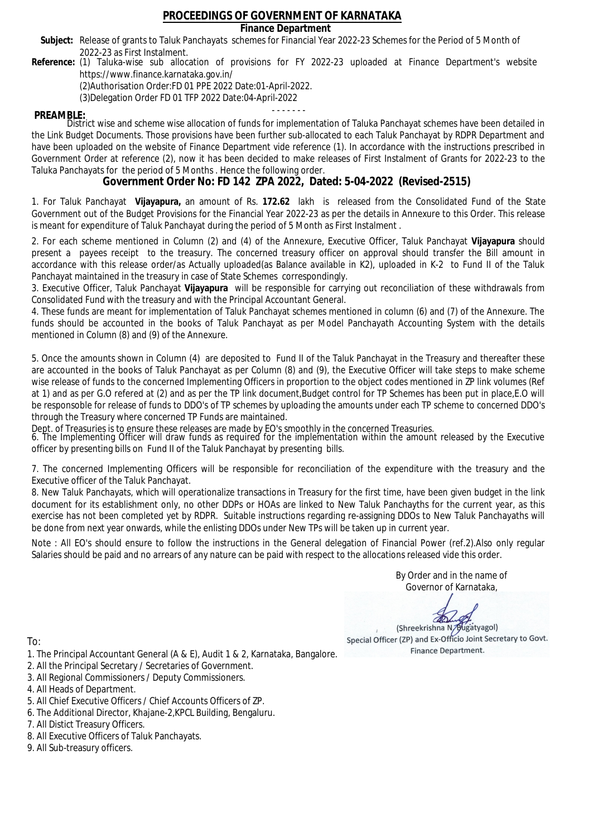**Finance Department**

- Subject: Release of grants to Taluk Panchayats schemes for Financial Year 2022-23 Schemes for the Period of 5 Month of 2022-23 as First Instalment.
- **Reference:** (1) Taluka-wise sub allocation of provisions for FY 2022-23 uploaded at Finance Department's website https://www.finance.karnataka.gov.in/

(2)Authorisation Order:FD 01 PPE 2022 Date:01-April-2022.

(3)Delegation Order FD 01 TFP 2022 Date:04-April-2022

- - - - - - - **PREAMBLE:** District wise and scheme wise allocation of funds for implementation of Taluka Panchayat schemes have been detailed in the Link Budget Documents. Those provisions have been further sub-allocated to each Taluk Panchayat by RDPR Department and have been uploaded on the website of Finance Department vide reference (1). In accordance with the instructions prescribed in Government Order at reference (2), now it has been decided to make releases of First Instalment of Grants for 2022-23 to the Taluka Panchayats for the period of 5 Months . Hence the following order.

**Government Order No: FD 142 ZPA 2022, Dated: 5-04-2022 (Revised-2515)**

1. For Taluk Panchayat **Vijayapura,** an amount of Rs. **172.62** lakh is released from the Consolidated Fund of the State Government out of the Budget Provisions for the Financial Year 2022-23 as per the details in Annexure to this Order. This release is meant for expenditure of Taluk Panchayat during the period of 5 Month as First Instalment .

2. For each scheme mentioned in Column (2) and (4) of the Annexure, Executive Officer, Taluk Panchayat **Vijayapura** should present a payees receipt to the treasury. The concerned treasury officer on approval should transfer the Bill amount in accordance with this release order/as Actually uploaded(as Balance available in K2), uploaded in K-2 to Fund II of the Taluk Panchayat maintained in the treasury in case of State Schemes correspondingly.

3. Executive Officer, Taluk Panchayat **Vijayapura** will be responsible for carrying out reconciliation of these withdrawals from Consolidated Fund with the treasury and with the Principal Accountant General.

4. These funds are meant for implementation of Taluk Panchayat schemes mentioned in column (6) and (7) of the Annexure. The funds should be accounted in the books of Taluk Panchayat as per Model Panchayath Accounting System with the details mentioned in Column (8) and (9) of the Annexure.

5. Once the amounts shown in Column (4) are deposited to Fund II of the Taluk Panchayat in the Treasury and thereafter these are accounted in the books of Taluk Panchayat as per Column (8) and (9), the Executive Officer will take steps to make scheme wise release of funds to the concerned Implementing Officers in proportion to the object codes mentioned in ZP link volumes (Ref at 1) and as per G.O refered at (2) and as per the TP link document,Budget control for TP Schemes has been put in place,E.O will be responsoble for release of funds to DDO's of TP schemes by uploading the amounts under each TP scheme to concerned DDO's through the Treasury where concerned TP Funds are maintained.

Dept. of Treasuries is to ensure these releases are made by EO's smoothly in the concerned Treasuries.

6. The Implementing Officer will draw funds as required for the implementation within the amount released by the Executive officer by presenting bills on Fund II of the Taluk Panchayat by presenting bills.

7. The concerned Implementing Officers will be responsible for reconciliation of the expenditure with the treasury and the Executive officer of the Taluk Panchayat.

8. New Taluk Panchayats, which will operationalize transactions in Treasury for the first time, have been given budget in the link document for its establishment only, no other DDPs or HOAs are linked to New Taluk Panchayths for the current year, as this exercise has not been completed yet by RDPR. Suitable instructions regarding re-assigning DDOs to New Taluk Panchayaths will be done from next year onwards, while the enlisting DDOs under New TPs will be taken up in current year.

Note : All EO's should ensure to follow the instructions in the General delegation of Financial Power (ref.2).Also only regular Salaries should be paid and no arrears of any nature can be paid with respect to the allocations released vide this order.

> By Order and in the name of Governor of Karnataka,

**PD** 

(Shreekrishna N/Bugatyagol) Special Officer (ZP) and Ex-Officio Joint Secretary to Govt. Finance Department.

- 1. The Principal Accountant General (A & E), Audit 1 & 2, Karnataka, Bangalore.
- 2. All the Principal Secretary / Secretaries of Government.
- 3. All Regional Commissioners / Deputy Commissioners.
- 4. All Heads of Department.
- 5. All Chief Executive Officers / Chief Accounts Officers of ZP.
- 6. The Additional Director, Khajane-2,KPCL Building, Bengaluru.
- 7. All Distict Treasury Officers.
- 8. All Executive Officers of Taluk Panchayats.
- 9. All Sub-treasury officers.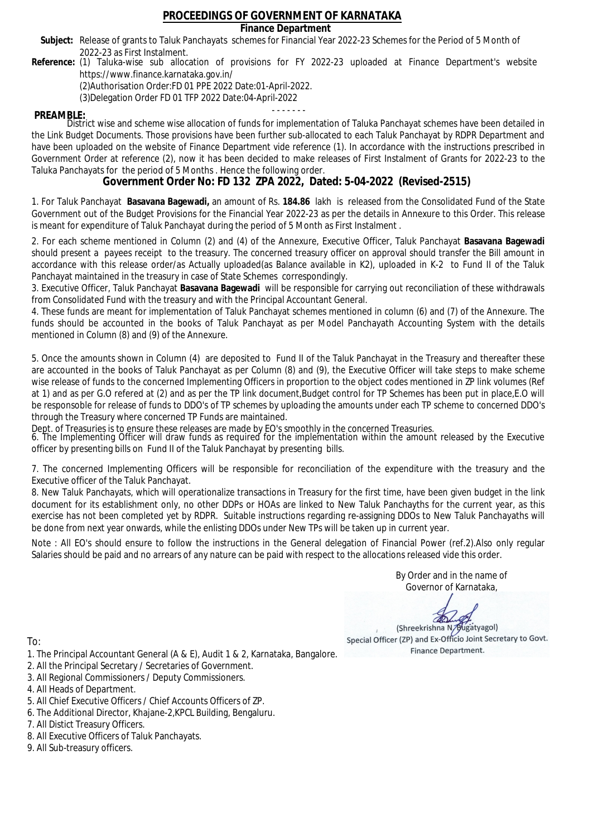### **Finance Department**

- Subject: Release of grants to Taluk Panchayats schemes for Financial Year 2022-23 Schemes for the Period of 5 Month of 2022-23 as First Instalment.
- **Reference:** (1) Taluka-wise sub allocation of provisions for FY 2022-23 uploaded at Finance Department's website https://www.finance.karnataka.gov.in/

(2)Authorisation Order:FD 01 PPE 2022 Date:01-April-2022.

(3)Delegation Order FD 01 TFP 2022 Date:04-April-2022

- - - - - - - **PREAMBLE:** District wise and scheme wise allocation of funds for implementation of Taluka Panchayat schemes have been detailed in the Link Budget Documents. Those provisions have been further sub-allocated to each Taluk Panchayat by RDPR Department and have been uploaded on the website of Finance Department vide reference (1). In accordance with the instructions prescribed in Government Order at reference (2), now it has been decided to make releases of First Instalment of Grants for 2022-23 to the Taluka Panchayats for the period of 5 Months . Hence the following order.

**Government Order No: FD 132 ZPA 2022, Dated: 5-04-2022 (Revised-2515)**

1. For Taluk Panchayat **Basavana Bagewadi,** an amount of Rs. **184.86** lakh is released from the Consolidated Fund of the State Government out of the Budget Provisions for the Financial Year 2022-23 as per the details in Annexure to this Order. This release is meant for expenditure of Taluk Panchayat during the period of 5 Month as First Instalment .

2. For each scheme mentioned in Column (2) and (4) of the Annexure, Executive Officer, Taluk Panchayat **Basavana Bagewadi** should present a payees receipt to the treasury. The concerned treasury officer on approval should transfer the Bill amount in accordance with this release order/as Actually uploaded(as Balance available in K2), uploaded in K-2 to Fund II of the Taluk Panchayat maintained in the treasury in case of State Schemes correspondingly.

3. Executive Officer, Taluk Panchayat **Basavana Bagewadi** will be responsible for carrying out reconciliation of these withdrawals from Consolidated Fund with the treasury and with the Principal Accountant General.

4. These funds are meant for implementation of Taluk Panchayat schemes mentioned in column (6) and (7) of the Annexure. The funds should be accounted in the books of Taluk Panchayat as per Model Panchayath Accounting System with the details mentioned in Column (8) and (9) of the Annexure.

5. Once the amounts shown in Column (4) are deposited to Fund II of the Taluk Panchayat in the Treasury and thereafter these are accounted in the books of Taluk Panchayat as per Column (8) and (9), the Executive Officer will take steps to make scheme wise release of funds to the concerned Implementing Officers in proportion to the object codes mentioned in ZP link volumes (Ref at 1) and as per G.O refered at (2) and as per the TP link document,Budget control for TP Schemes has been put in place,E.O will be responsoble for release of funds to DDO's of TP schemes by uploading the amounts under each TP scheme to concerned DDO's through the Treasury where concerned TP Funds are maintained.

Dept. of Treasuries is to ensure these releases are made by EO's smoothly in the concerned Treasuries.

6. The Implementing Officer will draw funds as required for the implementation within the amount released by the Executive officer by presenting bills on Fund II of the Taluk Panchayat by presenting bills.

7. The concerned Implementing Officers will be responsible for reconciliation of the expenditure with the treasury and the Executive officer of the Taluk Panchayat.

8. New Taluk Panchayats, which will operationalize transactions in Treasury for the first time, have been given budget in the link document for its establishment only, no other DDPs or HOAs are linked to New Taluk Panchayths for the current year, as this exercise has not been completed yet by RDPR. Suitable instructions regarding re-assigning DDOs to New Taluk Panchayaths will be done from next year onwards, while the enlisting DDOs under New TPs will be taken up in current year.

Note : All EO's should ensure to follow the instructions in the General delegation of Financial Power (ref.2).Also only regular Salaries should be paid and no arrears of any nature can be paid with respect to the allocations released vide this order.

> By Order and in the name of Governor of Karnataka,

**PD** 

(Shreekrishna N/Bugatyagol) Special Officer (ZP) and Ex-Officio Joint Secretary to Govt. Finance Department.

- 1. The Principal Accountant General (A & E), Audit 1 & 2, Karnataka, Bangalore.
- 2. All the Principal Secretary / Secretaries of Government.
- 3. All Regional Commissioners / Deputy Commissioners.
- 4. All Heads of Department.
- 5. All Chief Executive Officers / Chief Accounts Officers of ZP.
- 6. The Additional Director, Khajane-2,KPCL Building, Bengaluru.
- 7. All Distict Treasury Officers.
- 8. All Executive Officers of Taluk Panchayats.
- 9. All Sub-treasury officers.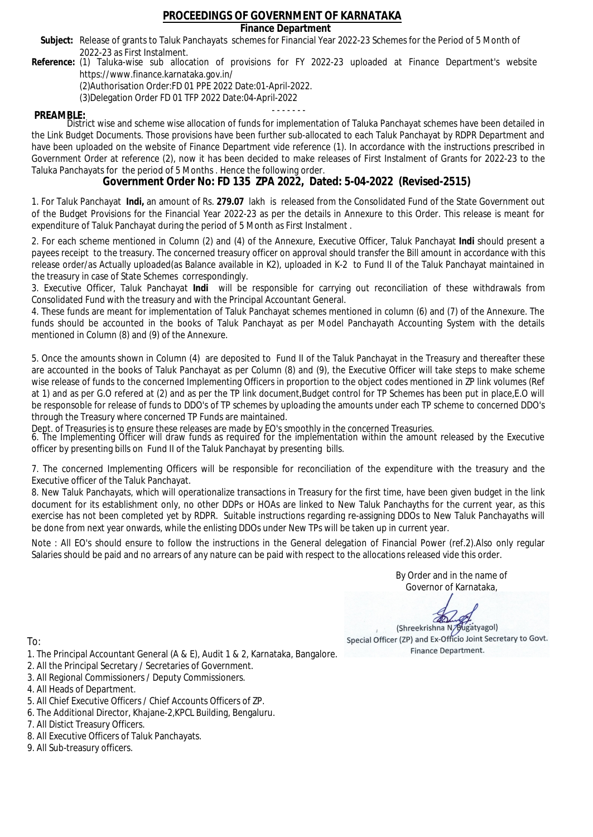### **Finance Department**

- Subject: Release of grants to Taluk Panchayats schemes for Financial Year 2022-23 Schemes for the Period of 5 Month of 2022-23 as First Instalment.
- **Reference:** (1) Taluka-wise sub allocation of provisions for FY 2022-23 uploaded at Finance Department's website https://www.finance.karnataka.gov.in/

(2)Authorisation Order:FD 01 PPE 2022 Date:01-April-2022.

(3)Delegation Order FD 01 TFP 2022 Date:04-April-2022

- - - - - - - **PREAMBLE:** District wise and scheme wise allocation of funds for implementation of Taluka Panchayat schemes have been detailed in the Link Budget Documents. Those provisions have been further sub-allocated to each Taluk Panchayat by RDPR Department and have been uploaded on the website of Finance Department vide reference (1). In accordance with the instructions prescribed in Government Order at reference (2), now it has been decided to make releases of First Instalment of Grants for 2022-23 to the Taluka Panchayats for the period of 5 Months . Hence the following order.

**Government Order No: FD 135 ZPA 2022, Dated: 5-04-2022 (Revised-2515)**

1. For Taluk Panchayat **Indi,** an amount of Rs. **279.07** lakh is released from the Consolidated Fund of the State Government out of the Budget Provisions for the Financial Year 2022-23 as per the details in Annexure to this Order. This release is meant for expenditure of Taluk Panchayat during the period of 5 Month as First Instalment .

2. For each scheme mentioned in Column (2) and (4) of the Annexure, Executive Officer, Taluk Panchayat **Indi** should present a payees receipt to the treasury. The concerned treasury officer on approval should transfer the Bill amount in accordance with this release order/as Actually uploaded(as Balance available in K2), uploaded in K-2 to Fund II of the Taluk Panchayat maintained in the treasury in case of State Schemes correspondingly.

3. Executive Officer, Taluk Panchayat **Indi** will be responsible for carrying out reconciliation of these withdrawals from Consolidated Fund with the treasury and with the Principal Accountant General.

4. These funds are meant for implementation of Taluk Panchayat schemes mentioned in column (6) and (7) of the Annexure. The funds should be accounted in the books of Taluk Panchayat as per Model Panchayath Accounting System with the details mentioned in Column (8) and (9) of the Annexure.

5. Once the amounts shown in Column (4) are deposited to Fund II of the Taluk Panchayat in the Treasury and thereafter these are accounted in the books of Taluk Panchayat as per Column (8) and (9), the Executive Officer will take steps to make scheme wise release of funds to the concerned Implementing Officers in proportion to the object codes mentioned in ZP link volumes (Ref at 1) and as per G.O refered at (2) and as per the TP link document,Budget control for TP Schemes has been put in place,E.O will be responsoble for release of funds to DDO's of TP schemes by uploading the amounts under each TP scheme to concerned DDO's through the Treasury where concerned TP Funds are maintained.

Dept. of Treasuries is to ensure these releases are made by EO's smoothly in the concerned Treasuries.

6. The Implementing Officer will draw funds as required for the implementation within the amount released by the Executive officer by presenting bills on Fund II of the Taluk Panchayat by presenting bills.

7. The concerned Implementing Officers will be responsible for reconciliation of the expenditure with the treasury and the Executive officer of the Taluk Panchayat.

8. New Taluk Panchayats, which will operationalize transactions in Treasury for the first time, have been given budget in the link document for its establishment only, no other DDPs or HOAs are linked to New Taluk Panchayths for the current year, as this exercise has not been completed yet by RDPR. Suitable instructions regarding re-assigning DDOs to New Taluk Panchayaths will be done from next year onwards, while the enlisting DDOs under New TPs will be taken up in current year.

Note : All EO's should ensure to follow the instructions in the General delegation of Financial Power (ref.2).Also only regular Salaries should be paid and no arrears of any nature can be paid with respect to the allocations released vide this order.

> By Order and in the name of Governor of Karnataka,

**PD** 

(Shreekrishna N/Bugatyagol) Special Officer (ZP) and Ex-Officio Joint Secretary to Govt. Finance Department.

To:

- 1. The Principal Accountant General (A & E), Audit 1 & 2, Karnataka, Bangalore.
- 2. All the Principal Secretary / Secretaries of Government.
- 3. All Regional Commissioners / Deputy Commissioners.
- 4. All Heads of Department.
- 5. All Chief Executive Officers / Chief Accounts Officers of ZP.
- 6. The Additional Director, Khajane-2,KPCL Building, Bengaluru.

- 8. All Executive Officers of Taluk Panchayats.
- 9. All Sub-treasury officers.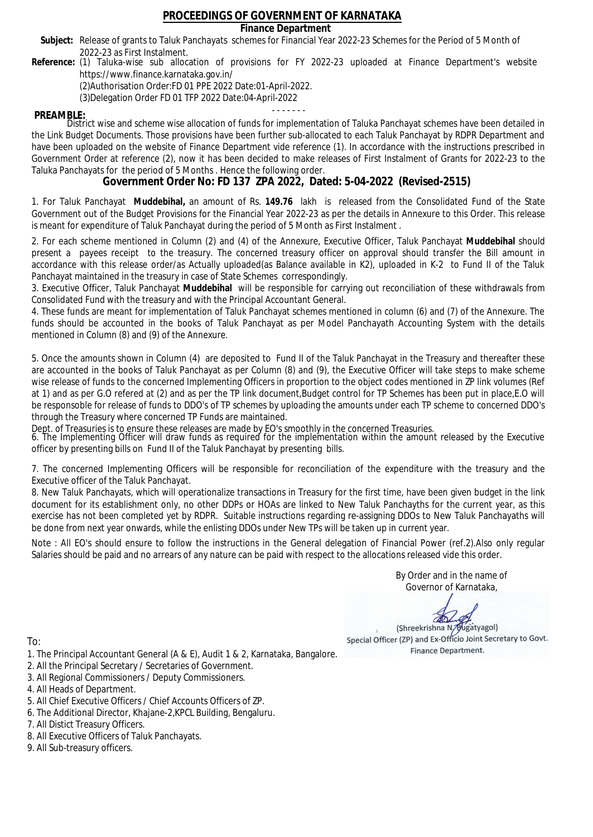### **Finance Department**

- Subject: Release of grants to Taluk Panchayats schemes for Financial Year 2022-23 Schemes for the Period of 5 Month of 2022-23 as First Instalment.
- **Reference:** (1) Taluka-wise sub allocation of provisions for FY 2022-23 uploaded at Finance Department's website https://www.finance.karnataka.gov.in/

(2)Authorisation Order:FD 01 PPE 2022 Date:01-April-2022.

(3)Delegation Order FD 01 TFP 2022 Date:04-April-2022

- - - - - - - **PREAMBLE:** District wise and scheme wise allocation of funds for implementation of Taluka Panchayat schemes have been detailed in the Link Budget Documents. Those provisions have been further sub-allocated to each Taluk Panchayat by RDPR Department and have been uploaded on the website of Finance Department vide reference (1). In accordance with the instructions prescribed in Government Order at reference (2), now it has been decided to make releases of First Instalment of Grants for 2022-23 to the Taluka Panchayats for the period of 5 Months . Hence the following order.

**Government Order No: FD 137 ZPA 2022, Dated: 5-04-2022 (Revised-2515)**

1. For Taluk Panchayat **Muddebihal,** an amount of Rs. **149.76** lakh is released from the Consolidated Fund of the State Government out of the Budget Provisions for the Financial Year 2022-23 as per the details in Annexure to this Order. This release is meant for expenditure of Taluk Panchayat during the period of 5 Month as First Instalment .

2. For each scheme mentioned in Column (2) and (4) of the Annexure, Executive Officer, Taluk Panchayat **Muddebihal** should present a payees receipt to the treasury. The concerned treasury officer on approval should transfer the Bill amount in accordance with this release order/as Actually uploaded(as Balance available in K2), uploaded in K-2 to Fund II of the Taluk Panchayat maintained in the treasury in case of State Schemes correspondingly.

3. Executive Officer, Taluk Panchayat **Muddebihal** will be responsible for carrying out reconciliation of these withdrawals from Consolidated Fund with the treasury and with the Principal Accountant General.

4. These funds are meant for implementation of Taluk Panchayat schemes mentioned in column (6) and (7) of the Annexure. The funds should be accounted in the books of Taluk Panchayat as per Model Panchayath Accounting System with the details mentioned in Column (8) and (9) of the Annexure.

5. Once the amounts shown in Column (4) are deposited to Fund II of the Taluk Panchayat in the Treasury and thereafter these are accounted in the books of Taluk Panchayat as per Column (8) and (9), the Executive Officer will take steps to make scheme wise release of funds to the concerned Implementing Officers in proportion to the object codes mentioned in ZP link volumes (Ref at 1) and as per G.O refered at (2) and as per the TP link document,Budget control for TP Schemes has been put in place,E.O will be responsoble for release of funds to DDO's of TP schemes by uploading the amounts under each TP scheme to concerned DDO's through the Treasury where concerned TP Funds are maintained.

Dept. of Treasuries is to ensure these releases are made by EO's smoothly in the concerned Treasuries.

6. The Implementing Officer will draw funds as required for the implementation within the amount released by the Executive officer by presenting bills on Fund II of the Taluk Panchayat by presenting bills.

7. The concerned Implementing Officers will be responsible for reconciliation of the expenditure with the treasury and the Executive officer of the Taluk Panchayat.

8. New Taluk Panchayats, which will operationalize transactions in Treasury for the first time, have been given budget in the link document for its establishment only, no other DDPs or HOAs are linked to New Taluk Panchayths for the current year, as this exercise has not been completed yet by RDPR. Suitable instructions regarding re-assigning DDOs to New Taluk Panchayaths will be done from next year onwards, while the enlisting DDOs under New TPs will be taken up in current year.

Note : All EO's should ensure to follow the instructions in the General delegation of Financial Power (ref.2).Also only regular Salaries should be paid and no arrears of any nature can be paid with respect to the allocations released vide this order.

> By Order and in the name of Governor of Karnataka,

**PD** 

(Shreekrishna N/Bugatyagol) Special Officer (ZP) and Ex-Officio Joint Secretary to Govt. Finance Department.

- 1. The Principal Accountant General (A & E), Audit 1 & 2, Karnataka, Bangalore.
- 2. All the Principal Secretary / Secretaries of Government.
- 3. All Regional Commissioners / Deputy Commissioners.
- 4. All Heads of Department.
- 5. All Chief Executive Officers / Chief Accounts Officers of ZP.
- 6. The Additional Director, Khajane-2,KPCL Building, Bengaluru.
- 7. All Distict Treasury Officers.
- 8. All Executive Officers of Taluk Panchayats.
- 9. All Sub-treasury officers.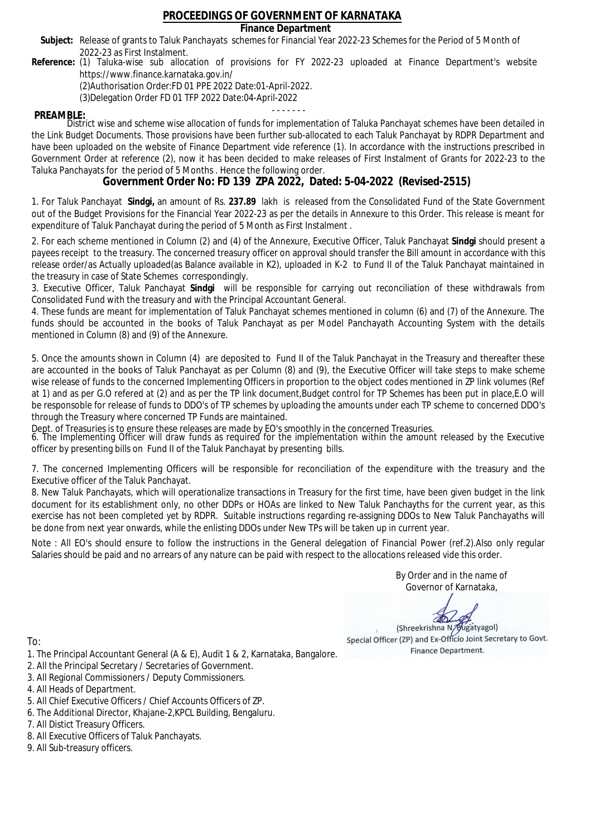### **Finance Department**

- Subject: Release of grants to Taluk Panchayats schemes for Financial Year 2022-23 Schemes for the Period of 5 Month of 2022-23 as First Instalment.
- **Reference:** (1) Taluka-wise sub allocation of provisions for FY 2022-23 uploaded at Finance Department's website https://www.finance.karnataka.gov.in/

(2)Authorisation Order:FD 01 PPE 2022 Date:01-April-2022.

(3)Delegation Order FD 01 TFP 2022 Date:04-April-2022

- - - - - - - **PREAMBLE:** District wise and scheme wise allocation of funds for implementation of Taluka Panchayat schemes have been detailed in the Link Budget Documents. Those provisions have been further sub-allocated to each Taluk Panchayat by RDPR Department and have been uploaded on the website of Finance Department vide reference (1). In accordance with the instructions prescribed in Government Order at reference (2), now it has been decided to make releases of First Instalment of Grants for 2022-23 to the Taluka Panchayats for the period of 5 Months . Hence the following order.

**Government Order No: FD 139 ZPA 2022, Dated: 5-04-2022 (Revised-2515)**

1. For Taluk Panchayat **Sindgi,** an amount of Rs. **237.89** lakh is released from the Consolidated Fund of the State Government out of the Budget Provisions for the Financial Year 2022-23 as per the details in Annexure to this Order. This release is meant for expenditure of Taluk Panchayat during the period of 5 Month as First Instalment .

2. For each scheme mentioned in Column (2) and (4) of the Annexure, Executive Officer, Taluk Panchayat **Sindgi** should present a payees receipt to the treasury. The concerned treasury officer on approval should transfer the Bill amount in accordance with this release order/as Actually uploaded(as Balance available in K2), uploaded in K-2 to Fund II of the Taluk Panchayat maintained in the treasury in case of State Schemes correspondingly.

3. Executive Officer, Taluk Panchayat **Sindgi** will be responsible for carrying out reconciliation of these withdrawals from Consolidated Fund with the treasury and with the Principal Accountant General.

4. These funds are meant for implementation of Taluk Panchayat schemes mentioned in column (6) and (7) of the Annexure. The funds should be accounted in the books of Taluk Panchayat as per Model Panchayath Accounting System with the details mentioned in Column (8) and (9) of the Annexure.

5. Once the amounts shown in Column (4) are deposited to Fund II of the Taluk Panchayat in the Treasury and thereafter these are accounted in the books of Taluk Panchayat as per Column (8) and (9), the Executive Officer will take steps to make scheme wise release of funds to the concerned Implementing Officers in proportion to the object codes mentioned in ZP link volumes (Ref at 1) and as per G.O refered at (2) and as per the TP link document,Budget control for TP Schemes has been put in place,E.O will be responsoble for release of funds to DDO's of TP schemes by uploading the amounts under each TP scheme to concerned DDO's through the Treasury where concerned TP Funds are maintained.

Dept. of Treasuries is to ensure these releases are made by EO's smoothly in the concerned Treasuries.

6. The Implementing Officer will draw funds as required for the implementation within the amount released by the Executive officer by presenting bills on Fund II of the Taluk Panchayat by presenting bills.

7. The concerned Implementing Officers will be responsible for reconciliation of the expenditure with the treasury and the Executive officer of the Taluk Panchayat.

8. New Taluk Panchayats, which will operationalize transactions in Treasury for the first time, have been given budget in the link document for its establishment only, no other DDPs or HOAs are linked to New Taluk Panchayths for the current year, as this exercise has not been completed yet by RDPR. Suitable instructions regarding re-assigning DDOs to New Taluk Panchayaths will be done from next year onwards, while the enlisting DDOs under New TPs will be taken up in current year.

Note : All EO's should ensure to follow the instructions in the General delegation of Financial Power (ref.2).Also only regular Salaries should be paid and no arrears of any nature can be paid with respect to the allocations released vide this order.

> By Order and in the name of Governor of Karnataka,

**PD** 

(Shreekrishna N/Bugatyagol) Special Officer (ZP) and Ex-Officio Joint Secretary to Govt. Finance Department.

- 1. The Principal Accountant General (A & E), Audit 1 & 2, Karnataka, Bangalore.
- 2. All the Principal Secretary / Secretaries of Government.
- 3. All Regional Commissioners / Deputy Commissioners.
- 4. All Heads of Department.
- 5. All Chief Executive Officers / Chief Accounts Officers of ZP.
- 6. The Additional Director, Khajane-2,KPCL Building, Bengaluru.
- 7. All Distict Treasury Officers.
- 8. All Executive Officers of Taluk Panchayats.
- 9. All Sub-treasury officers.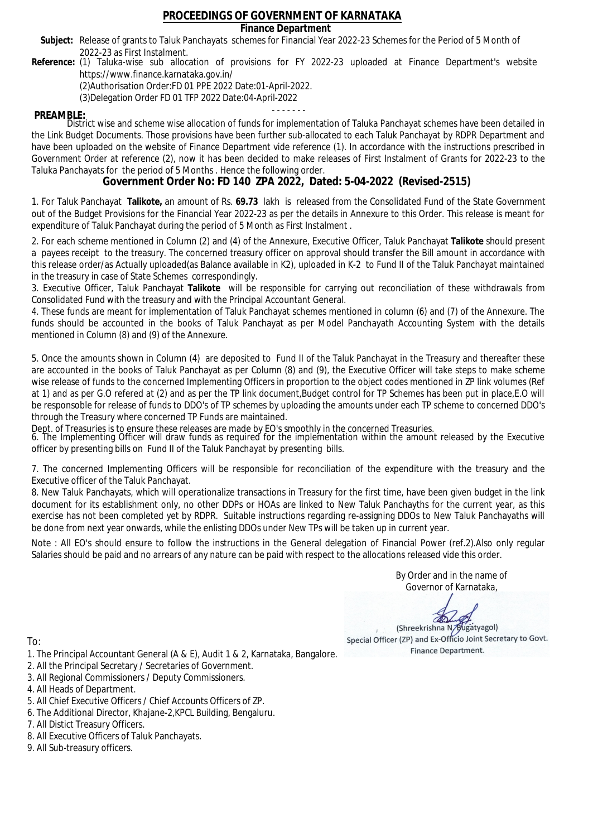### **Finance Department**

- Subject: Release of grants to Taluk Panchayats schemes for Financial Year 2022-23 Schemes for the Period of 5 Month of 2022-23 as First Instalment.
- **Reference:** (1) Taluka-wise sub allocation of provisions for FY 2022-23 uploaded at Finance Department's website https://www.finance.karnataka.gov.in/

(2)Authorisation Order:FD 01 PPE 2022 Date:01-April-2022.

(3)Delegation Order FD 01 TFP 2022 Date:04-April-2022

- - - - - - - **PREAMBLE:** District wise and scheme wise allocation of funds for implementation of Taluka Panchayat schemes have been detailed in the Link Budget Documents. Those provisions have been further sub-allocated to each Taluk Panchayat by RDPR Department and have been uploaded on the website of Finance Department vide reference (1). In accordance with the instructions prescribed in Government Order at reference (2), now it has been decided to make releases of First Instalment of Grants for 2022-23 to the Taluka Panchayats for the period of 5 Months . Hence the following order.

**Government Order No: FD 140 ZPA 2022, Dated: 5-04-2022 (Revised-2515)**

1. For Taluk Panchayat **Talikote,** an amount of Rs. **69.73** lakh is released from the Consolidated Fund of the State Government out of the Budget Provisions for the Financial Year 2022-23 as per the details in Annexure to this Order. This release is meant for expenditure of Taluk Panchayat during the period of 5 Month as First Instalment .

2. For each scheme mentioned in Column (2) and (4) of the Annexure, Executive Officer, Taluk Panchayat **Talikote** should present a payees receipt to the treasury. The concerned treasury officer on approval should transfer the Bill amount in accordance with this release order/as Actually uploaded(as Balance available in K2), uploaded in K-2 to Fund II of the Taluk Panchayat maintained in the treasury in case of State Schemes correspondingly.

3. Executive Officer, Taluk Panchayat **Talikote** will be responsible for carrying out reconciliation of these withdrawals from Consolidated Fund with the treasury and with the Principal Accountant General.

4. These funds are meant for implementation of Taluk Panchayat schemes mentioned in column (6) and (7) of the Annexure. The funds should be accounted in the books of Taluk Panchayat as per Model Panchayath Accounting System with the details mentioned in Column (8) and (9) of the Annexure.

5. Once the amounts shown in Column (4) are deposited to Fund II of the Taluk Panchayat in the Treasury and thereafter these are accounted in the books of Taluk Panchayat as per Column (8) and (9), the Executive Officer will take steps to make scheme wise release of funds to the concerned Implementing Officers in proportion to the object codes mentioned in ZP link volumes (Ref at 1) and as per G.O refered at (2) and as per the TP link document,Budget control for TP Schemes has been put in place,E.O will be responsoble for release of funds to DDO's of TP schemes by uploading the amounts under each TP scheme to concerned DDO's through the Treasury where concerned TP Funds are maintained.

Dept. of Treasuries is to ensure these releases are made by EO's smoothly in the concerned Treasuries.

6. The Implementing Officer will draw funds as required for the implementation within the amount released by the Executive officer by presenting bills on Fund II of the Taluk Panchayat by presenting bills.

7. The concerned Implementing Officers will be responsible for reconciliation of the expenditure with the treasury and the Executive officer of the Taluk Panchayat.

8. New Taluk Panchayats, which will operationalize transactions in Treasury for the first time, have been given budget in the link document for its establishment only, no other DDPs or HOAs are linked to New Taluk Panchayths for the current year, as this exercise has not been completed yet by RDPR. Suitable instructions regarding re-assigning DDOs to New Taluk Panchayaths will be done from next year onwards, while the enlisting DDOs under New TPs will be taken up in current year.

Note : All EO's should ensure to follow the instructions in the General delegation of Financial Power (ref.2).Also only regular Salaries should be paid and no arrears of any nature can be paid with respect to the allocations released vide this order.

> By Order and in the name of Governor of Karnataka,

**PD** 

(Shreekrishna N/Bugatyagol) Special Officer (ZP) and Ex-Officio Joint Secretary to Govt. Finance Department.

- 1. The Principal Accountant General (A & E), Audit 1 & 2, Karnataka, Bangalore.
- 2. All the Principal Secretary / Secretaries of Government.
- 3. All Regional Commissioners / Deputy Commissioners.
- 4. All Heads of Department.
- 5. All Chief Executive Officers / Chief Accounts Officers of ZP.
- 6. The Additional Director, Khajane-2,KPCL Building, Bengaluru.
- 7. All Distict Treasury Officers.
- 8. All Executive Officers of Taluk Panchayats.
- 9. All Sub-treasury officers.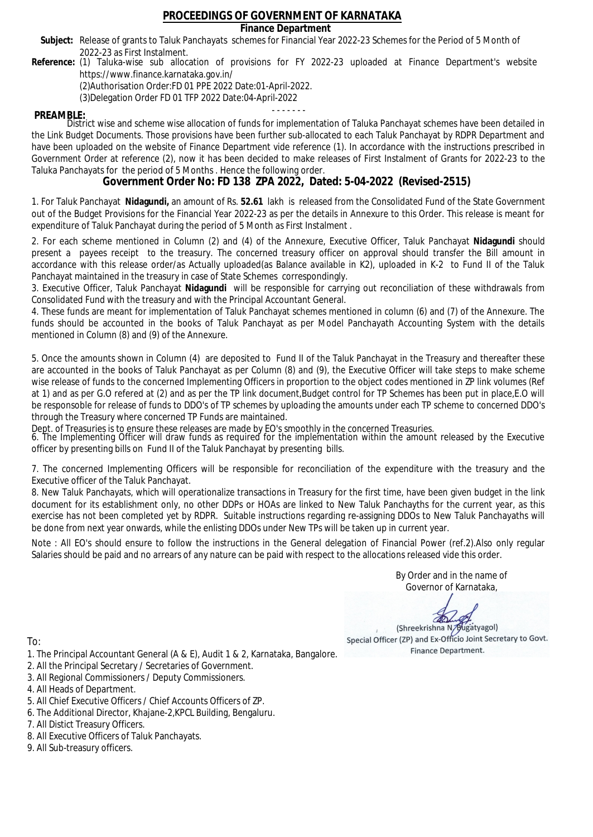### **Finance Department**

- Subject: Release of grants to Taluk Panchayats schemes for Financial Year 2022-23 Schemes for the Period of 5 Month of 2022-23 as First Instalment.
- **Reference:** (1) Taluka-wise sub allocation of provisions for FY 2022-23 uploaded at Finance Department's website https://www.finance.karnataka.gov.in/

(2)Authorisation Order:FD 01 PPE 2022 Date:01-April-2022.

(3)Delegation Order FD 01 TFP 2022 Date:04-April-2022

- - - - - - - **PREAMBLE:** District wise and scheme wise allocation of funds for implementation of Taluka Panchayat schemes have been detailed in the Link Budget Documents. Those provisions have been further sub-allocated to each Taluk Panchayat by RDPR Department and have been uploaded on the website of Finance Department vide reference (1). In accordance with the instructions prescribed in Government Order at reference (2), now it has been decided to make releases of First Instalment of Grants for 2022-23 to the Taluka Panchayats for the period of 5 Months . Hence the following order.

**Government Order No: FD 138 ZPA 2022, Dated: 5-04-2022 (Revised-2515)**

1. For Taluk Panchayat **Nidagundi,** an amount of Rs. **52.61** lakh is released from the Consolidated Fund of the State Government out of the Budget Provisions for the Financial Year 2022-23 as per the details in Annexure to this Order. This release is meant for expenditure of Taluk Panchayat during the period of 5 Month as First Instalment .

2. For each scheme mentioned in Column (2) and (4) of the Annexure, Executive Officer, Taluk Panchayat **Nidagundi** should present a payees receipt to the treasury. The concerned treasury officer on approval should transfer the Bill amount in accordance with this release order/as Actually uploaded(as Balance available in K2), uploaded in K-2 to Fund II of the Taluk Panchayat maintained in the treasury in case of State Schemes correspondingly.

3. Executive Officer, Taluk Panchayat **Nidagundi** will be responsible for carrying out reconciliation of these withdrawals from Consolidated Fund with the treasury and with the Principal Accountant General.

4. These funds are meant for implementation of Taluk Panchayat schemes mentioned in column (6) and (7) of the Annexure. The funds should be accounted in the books of Taluk Panchayat as per Model Panchayath Accounting System with the details mentioned in Column (8) and (9) of the Annexure.

5. Once the amounts shown in Column (4) are deposited to Fund II of the Taluk Panchayat in the Treasury and thereafter these are accounted in the books of Taluk Panchayat as per Column (8) and (9), the Executive Officer will take steps to make scheme wise release of funds to the concerned Implementing Officers in proportion to the object codes mentioned in ZP link volumes (Ref at 1) and as per G.O refered at (2) and as per the TP link document,Budget control for TP Schemes has been put in place,E.O will be responsoble for release of funds to DDO's of TP schemes by uploading the amounts under each TP scheme to concerned DDO's through the Treasury where concerned TP Funds are maintained.

Dept. of Treasuries is to ensure these releases are made by EO's smoothly in the concerned Treasuries.

6. The Implementing Officer will draw funds as required for the implementation within the amount released by the Executive officer by presenting bills on Fund II of the Taluk Panchayat by presenting bills.

7. The concerned Implementing Officers will be responsible for reconciliation of the expenditure with the treasury and the Executive officer of the Taluk Panchayat.

8. New Taluk Panchayats, which will operationalize transactions in Treasury for the first time, have been given budget in the link document for its establishment only, no other DDPs or HOAs are linked to New Taluk Panchayths for the current year, as this exercise has not been completed yet by RDPR. Suitable instructions regarding re-assigning DDOs to New Taluk Panchayaths will be done from next year onwards, while the enlisting DDOs under New TPs will be taken up in current year.

Note : All EO's should ensure to follow the instructions in the General delegation of Financial Power (ref.2).Also only regular Salaries should be paid and no arrears of any nature can be paid with respect to the allocations released vide this order.

> By Order and in the name of Governor of Karnataka,

**PD** 

(Shreekrishna N/Bugatyagol) Special Officer (ZP) and Ex-Officio Joint Secretary to Govt. Finance Department.

- 1. The Principal Accountant General (A & E), Audit 1 & 2, Karnataka, Bangalore.
- 2. All the Principal Secretary / Secretaries of Government.
- 3. All Regional Commissioners / Deputy Commissioners.
- 4. All Heads of Department.
- 5. All Chief Executive Officers / Chief Accounts Officers of ZP.
- 6. The Additional Director, Khajane-2,KPCL Building, Bengaluru.
- 7. All Distict Treasury Officers.
- 8. All Executive Officers of Taluk Panchayats.
- 9. All Sub-treasury officers.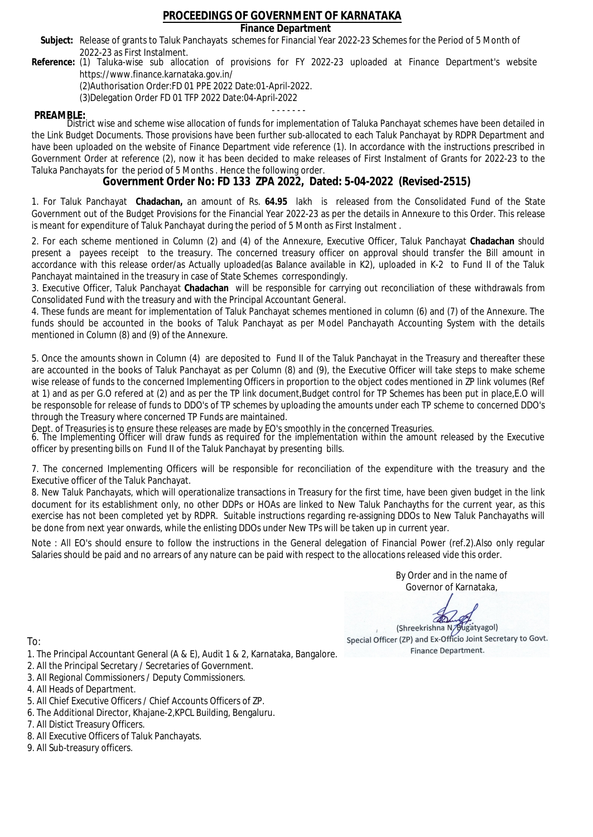### **Finance Department**

- Subject: Release of grants to Taluk Panchayats schemes for Financial Year 2022-23 Schemes for the Period of 5 Month of 2022-23 as First Instalment.
- **Reference:** (1) Taluka-wise sub allocation of provisions for FY 2022-23 uploaded at Finance Department's website https://www.finance.karnataka.gov.in/

(2)Authorisation Order:FD 01 PPE 2022 Date:01-April-2022.

(3)Delegation Order FD 01 TFP 2022 Date:04-April-2022

- - - - - - - **PREAMBLE:** District wise and scheme wise allocation of funds for implementation of Taluka Panchayat schemes have been detailed in the Link Budget Documents. Those provisions have been further sub-allocated to each Taluk Panchayat by RDPR Department and have been uploaded on the website of Finance Department vide reference (1). In accordance with the instructions prescribed in Government Order at reference (2), now it has been decided to make releases of First Instalment of Grants for 2022-23 to the Taluka Panchayats for the period of 5 Months . Hence the following order.

**Government Order No: FD 133 ZPA 2022, Dated: 5-04-2022 (Revised-2515)**

1. For Taluk Panchayat **Chadachan,** an amount of Rs. **64.95** lakh is released from the Consolidated Fund of the State Government out of the Budget Provisions for the Financial Year 2022-23 as per the details in Annexure to this Order. This release is meant for expenditure of Taluk Panchayat during the period of 5 Month as First Instalment .

2. For each scheme mentioned in Column (2) and (4) of the Annexure, Executive Officer, Taluk Panchayat **Chadachan** should present a payees receipt to the treasury. The concerned treasury officer on approval should transfer the Bill amount in accordance with this release order/as Actually uploaded(as Balance available in K2), uploaded in K-2 to Fund II of the Taluk Panchayat maintained in the treasury in case of State Schemes correspondingly.

3. Executive Officer, Taluk Panchayat **Chadachan** will be responsible for carrying out reconciliation of these withdrawals from Consolidated Fund with the treasury and with the Principal Accountant General.

4. These funds are meant for implementation of Taluk Panchayat schemes mentioned in column (6) and (7) of the Annexure. The funds should be accounted in the books of Taluk Panchayat as per Model Panchayath Accounting System with the details mentioned in Column (8) and (9) of the Annexure.

5. Once the amounts shown in Column (4) are deposited to Fund II of the Taluk Panchayat in the Treasury and thereafter these are accounted in the books of Taluk Panchayat as per Column (8) and (9), the Executive Officer will take steps to make scheme wise release of funds to the concerned Implementing Officers in proportion to the object codes mentioned in ZP link volumes (Ref at 1) and as per G.O refered at (2) and as per the TP link document,Budget control for TP Schemes has been put in place,E.O will be responsoble for release of funds to DDO's of TP schemes by uploading the amounts under each TP scheme to concerned DDO's through the Treasury where concerned TP Funds are maintained.

Dept. of Treasuries is to ensure these releases are made by EO's smoothly in the concerned Treasuries.

6. The Implementing Officer will draw funds as required for the implementation within the amount released by the Executive officer by presenting bills on Fund II of the Taluk Panchayat by presenting bills.

7. The concerned Implementing Officers will be responsible for reconciliation of the expenditure with the treasury and the Executive officer of the Taluk Panchayat.

8. New Taluk Panchayats, which will operationalize transactions in Treasury for the first time, have been given budget in the link document for its establishment only, no other DDPs or HOAs are linked to New Taluk Panchayths for the current year, as this exercise has not been completed yet by RDPR. Suitable instructions regarding re-assigning DDOs to New Taluk Panchayaths will be done from next year onwards, while the enlisting DDOs under New TPs will be taken up in current year.

Note : All EO's should ensure to follow the instructions in the General delegation of Financial Power (ref.2).Also only regular Salaries should be paid and no arrears of any nature can be paid with respect to the allocations released vide this order.

> By Order and in the name of Governor of Karnataka,

**PD** 

(Shreekrishna N/Bugatyagol) Special Officer (ZP) and Ex-Officio Joint Secretary to Govt. Finance Department.

- 1. The Principal Accountant General (A & E), Audit 1 & 2, Karnataka, Bangalore.
- 2. All the Principal Secretary / Secretaries of Government.
- 3. All Regional Commissioners / Deputy Commissioners.
- 4. All Heads of Department.
- 5. All Chief Executive Officers / Chief Accounts Officers of ZP.
- 6. The Additional Director, Khajane-2,KPCL Building, Bengaluru.
- 7. All Distict Treasury Officers.
- 8. All Executive Officers of Taluk Panchayats.
- 9. All Sub-treasury officers.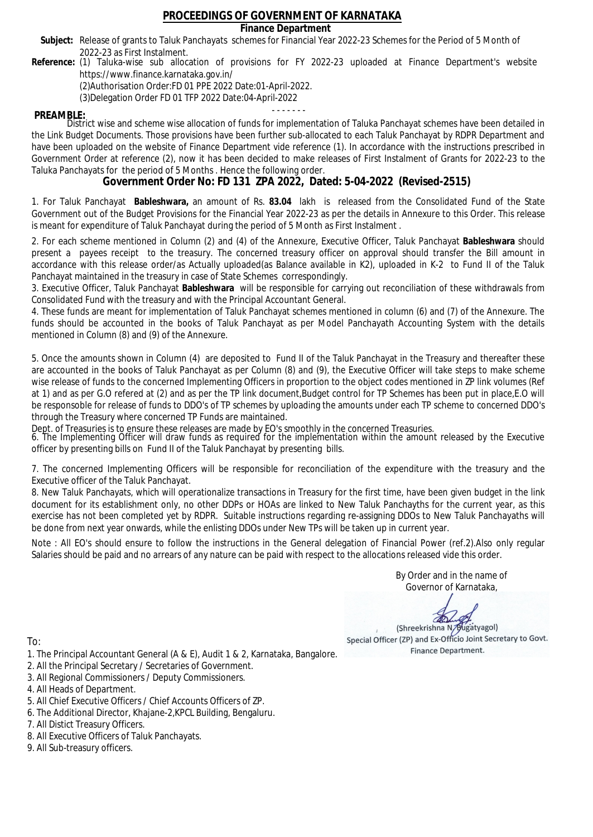### **Finance Department**

- Subject: Release of grants to Taluk Panchayats schemes for Financial Year 2022-23 Schemes for the Period of 5 Month of 2022-23 as First Instalment.
- **Reference:** (1) Taluka-wise sub allocation of provisions for FY 2022-23 uploaded at Finance Department's website https://www.finance.karnataka.gov.in/

(2)Authorisation Order:FD 01 PPE 2022 Date:01-April-2022.

(3)Delegation Order FD 01 TFP 2022 Date:04-April-2022

- - - - - - - **PREAMBLE:** District wise and scheme wise allocation of funds for implementation of Taluka Panchayat schemes have been detailed in the Link Budget Documents. Those provisions have been further sub-allocated to each Taluk Panchayat by RDPR Department and have been uploaded on the website of Finance Department vide reference (1). In accordance with the instructions prescribed in Government Order at reference (2), now it has been decided to make releases of First Instalment of Grants for 2022-23 to the Taluka Panchayats for the period of 5 Months . Hence the following order.

**Government Order No: FD 131 ZPA 2022, Dated: 5-04-2022 (Revised-2515)**

1. For Taluk Panchayat **Bableshwara,** an amount of Rs. **83.04** lakh is released from the Consolidated Fund of the State Government out of the Budget Provisions for the Financial Year 2022-23 as per the details in Annexure to this Order. This release is meant for expenditure of Taluk Panchayat during the period of 5 Month as First Instalment .

2. For each scheme mentioned in Column (2) and (4) of the Annexure, Executive Officer, Taluk Panchayat **Bableshwara** should present a payees receipt to the treasury. The concerned treasury officer on approval should transfer the Bill amount in accordance with this release order/as Actually uploaded(as Balance available in K2), uploaded in K-2 to Fund II of the Taluk Panchayat maintained in the treasury in case of State Schemes correspondingly.

3. Executive Officer, Taluk Panchayat **Bableshwara** will be responsible for carrying out reconciliation of these withdrawals from Consolidated Fund with the treasury and with the Principal Accountant General.

4. These funds are meant for implementation of Taluk Panchayat schemes mentioned in column (6) and (7) of the Annexure. The funds should be accounted in the books of Taluk Panchayat as per Model Panchayath Accounting System with the details mentioned in Column (8) and (9) of the Annexure.

5. Once the amounts shown in Column (4) are deposited to Fund II of the Taluk Panchayat in the Treasury and thereafter these are accounted in the books of Taluk Panchayat as per Column (8) and (9), the Executive Officer will take steps to make scheme wise release of funds to the concerned Implementing Officers in proportion to the object codes mentioned in ZP link volumes (Ref at 1) and as per G.O refered at (2) and as per the TP link document,Budget control for TP Schemes has been put in place,E.O will be responsoble for release of funds to DDO's of TP schemes by uploading the amounts under each TP scheme to concerned DDO's through the Treasury where concerned TP Funds are maintained.

Dept. of Treasuries is to ensure these releases are made by EO's smoothly in the concerned Treasuries.

6. The Implementing Officer will draw funds as required for the implementation within the amount released by the Executive officer by presenting bills on Fund II of the Taluk Panchayat by presenting bills.

7. The concerned Implementing Officers will be responsible for reconciliation of the expenditure with the treasury and the Executive officer of the Taluk Panchayat.

8. New Taluk Panchayats, which will operationalize transactions in Treasury for the first time, have been given budget in the link document for its establishment only, no other DDPs or HOAs are linked to New Taluk Panchayths for the current year, as this exercise has not been completed yet by RDPR. Suitable instructions regarding re-assigning DDOs to New Taluk Panchayaths will be done from next year onwards, while the enlisting DDOs under New TPs will be taken up in current year.

Note : All EO's should ensure to follow the instructions in the General delegation of Financial Power (ref.2).Also only regular Salaries should be paid and no arrears of any nature can be paid with respect to the allocations released vide this order.

> By Order and in the name of Governor of Karnataka,

**PD** 

(Shreekrishna N/Bugatyagol) Special Officer (ZP) and Ex-Officio Joint Secretary to Govt. Finance Department.

- 1. The Principal Accountant General (A & E), Audit 1 & 2, Karnataka, Bangalore.
- 2. All the Principal Secretary / Secretaries of Government.
- 3. All Regional Commissioners / Deputy Commissioners.
- 4. All Heads of Department.
- 5. All Chief Executive Officers / Chief Accounts Officers of ZP.
- 6. The Additional Director, Khajane-2,KPCL Building, Bengaluru.
- 7. All Distict Treasury Officers.
- 8. All Executive Officers of Taluk Panchayats.
- 9. All Sub-treasury officers.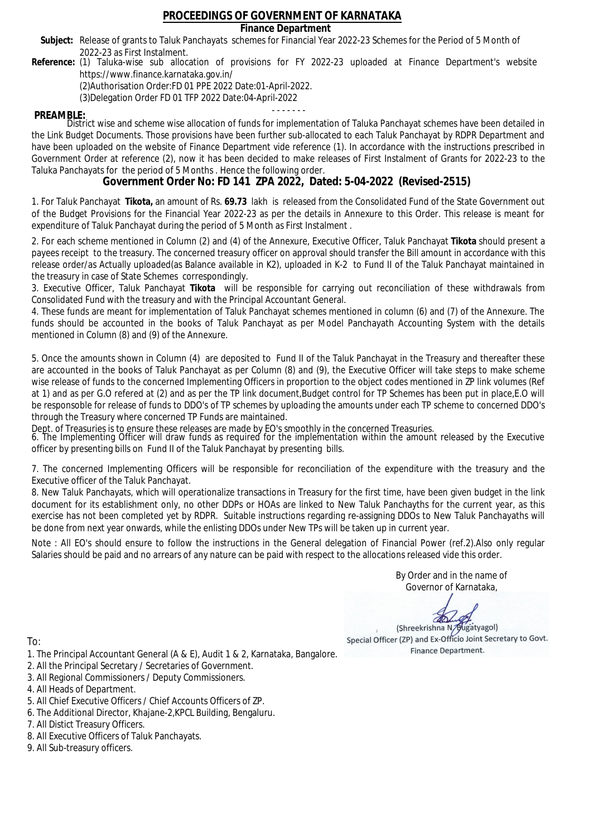### **Finance Department**

- Subject: Release of grants to Taluk Panchayats schemes for Financial Year 2022-23 Schemes for the Period of 5 Month of 2022-23 as First Instalment.
- **Reference:** (1) Taluka-wise sub allocation of provisions for FY 2022-23 uploaded at Finance Department's website https://www.finance.karnataka.gov.in/

(2)Authorisation Order:FD 01 PPE 2022 Date:01-April-2022.

(3)Delegation Order FD 01 TFP 2022 Date:04-April-2022

- - - - - - - **PREAMBLE:** District wise and scheme wise allocation of funds for implementation of Taluka Panchayat schemes have been detailed in the Link Budget Documents. Those provisions have been further sub-allocated to each Taluk Panchayat by RDPR Department and have been uploaded on the website of Finance Department vide reference (1). In accordance with the instructions prescribed in Government Order at reference (2), now it has been decided to make releases of First Instalment of Grants for 2022-23 to the Taluka Panchayats for the period of 5 Months . Hence the following order.

**Government Order No: FD 141 ZPA 2022, Dated: 5-04-2022 (Revised-2515)**

1. For Taluk Panchayat **Tikota,** an amount of Rs. **69.73** lakh is released from the Consolidated Fund of the State Government out of the Budget Provisions for the Financial Year 2022-23 as per the details in Annexure to this Order. This release is meant for expenditure of Taluk Panchayat during the period of 5 Month as First Instalment .

2. For each scheme mentioned in Column (2) and (4) of the Annexure, Executive Officer, Taluk Panchayat **Tikota** should present a payees receipt to the treasury. The concerned treasury officer on approval should transfer the Bill amount in accordance with this release order/as Actually uploaded(as Balance available in K2), uploaded in K-2 to Fund II of the Taluk Panchayat maintained in the treasury in case of State Schemes correspondingly.

3. Executive Officer, Taluk Panchayat **Tikota** will be responsible for carrying out reconciliation of these withdrawals from Consolidated Fund with the treasury and with the Principal Accountant General.

4. These funds are meant for implementation of Taluk Panchayat schemes mentioned in column (6) and (7) of the Annexure. The funds should be accounted in the books of Taluk Panchayat as per Model Panchayath Accounting System with the details mentioned in Column (8) and (9) of the Annexure.

5. Once the amounts shown in Column (4) are deposited to Fund II of the Taluk Panchayat in the Treasury and thereafter these are accounted in the books of Taluk Panchayat as per Column (8) and (9), the Executive Officer will take steps to make scheme wise release of funds to the concerned Implementing Officers in proportion to the object codes mentioned in ZP link volumes (Ref at 1) and as per G.O refered at (2) and as per the TP link document,Budget control for TP Schemes has been put in place,E.O will be responsoble for release of funds to DDO's of TP schemes by uploading the amounts under each TP scheme to concerned DDO's through the Treasury where concerned TP Funds are maintained.

Dept. of Treasuries is to ensure these releases are made by EO's smoothly in the concerned Treasuries.

6. The Implementing Officer will draw funds as required for the implementation within the amount released by the Executive officer by presenting bills on Fund II of the Taluk Panchayat by presenting bills.

7. The concerned Implementing Officers will be responsible for reconciliation of the expenditure with the treasury and the Executive officer of the Taluk Panchayat.

8. New Taluk Panchayats, which will operationalize transactions in Treasury for the first time, have been given budget in the link document for its establishment only, no other DDPs or HOAs are linked to New Taluk Panchayths for the current year, as this exercise has not been completed yet by RDPR. Suitable instructions regarding re-assigning DDOs to New Taluk Panchayaths will be done from next year onwards, while the enlisting DDOs under New TPs will be taken up in current year.

Note : All EO's should ensure to follow the instructions in the General delegation of Financial Power (ref.2).Also only regular Salaries should be paid and no arrears of any nature can be paid with respect to the allocations released vide this order.

> By Order and in the name of Governor of Karnataka,

**PD** 

(Shreekrishna N/Bugatyagol) Special Officer (ZP) and Ex-Officio Joint Secretary to Govt. Finance Department.

- 1. The Principal Accountant General (A & E), Audit 1 & 2, Karnataka, Bangalore.
- 2. All the Principal Secretary / Secretaries of Government.
- 3. All Regional Commissioners / Deputy Commissioners.
- 4. All Heads of Department.
- 5. All Chief Executive Officers / Chief Accounts Officers of ZP.
- 6. The Additional Director, Khajane-2,KPCL Building, Bengaluru.
- 7. All Distict Treasury Officers.
- 8. All Executive Officers of Taluk Panchayats.
- 9. All Sub-treasury officers.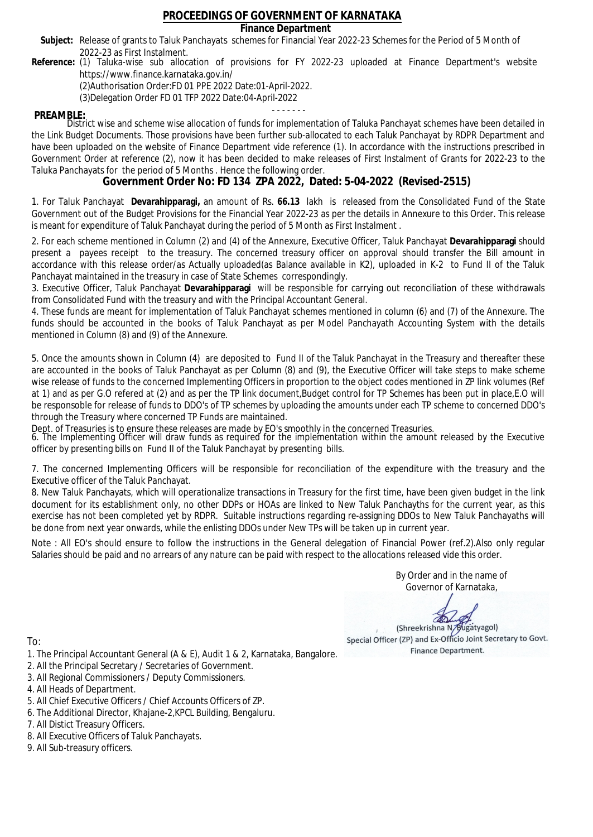### **Finance Department**

- Subject: Release of grants to Taluk Panchayats schemes for Financial Year 2022-23 Schemes for the Period of 5 Month of 2022-23 as First Instalment.
- **Reference:** (1) Taluka-wise sub allocation of provisions for FY 2022-23 uploaded at Finance Department's website https://www.finance.karnataka.gov.in/

(2)Authorisation Order:FD 01 PPE 2022 Date:01-April-2022.

(3)Delegation Order FD 01 TFP 2022 Date:04-April-2022

- - - - - - - **PREAMBLE:** District wise and scheme wise allocation of funds for implementation of Taluka Panchayat schemes have been detailed in the Link Budget Documents. Those provisions have been further sub-allocated to each Taluk Panchayat by RDPR Department and have been uploaded on the website of Finance Department vide reference (1). In accordance with the instructions prescribed in Government Order at reference (2), now it has been decided to make releases of First Instalment of Grants for 2022-23 to the Taluka Panchayats for the period of 5 Months . Hence the following order.

**Government Order No: FD 134 ZPA 2022, Dated: 5-04-2022 (Revised-2515)**

1. For Taluk Panchayat **Devarahipparagi,** an amount of Rs. **66.13** lakh is released from the Consolidated Fund of the State Government out of the Budget Provisions for the Financial Year 2022-23 as per the details in Annexure to this Order. This release is meant for expenditure of Taluk Panchayat during the period of 5 Month as First Instalment .

2. For each scheme mentioned in Column (2) and (4) of the Annexure, Executive Officer, Taluk Panchayat **Devarahipparagi** should present a payees receipt to the treasury. The concerned treasury officer on approval should transfer the Bill amount in accordance with this release order/as Actually uploaded(as Balance available in K2), uploaded in K-2 to Fund II of the Taluk Panchayat maintained in the treasury in case of State Schemes correspondingly.

3. Executive Officer, Taluk Panchayat **Devarahipparagi** will be responsible for carrying out reconciliation of these withdrawals from Consolidated Fund with the treasury and with the Principal Accountant General.

4. These funds are meant for implementation of Taluk Panchayat schemes mentioned in column (6) and (7) of the Annexure. The funds should be accounted in the books of Taluk Panchayat as per Model Panchayath Accounting System with the details mentioned in Column (8) and (9) of the Annexure.

5. Once the amounts shown in Column (4) are deposited to Fund II of the Taluk Panchayat in the Treasury and thereafter these are accounted in the books of Taluk Panchayat as per Column (8) and (9), the Executive Officer will take steps to make scheme wise release of funds to the concerned Implementing Officers in proportion to the object codes mentioned in ZP link volumes (Ref at 1) and as per G.O refered at (2) and as per the TP link document,Budget control for TP Schemes has been put in place,E.O will be responsoble for release of funds to DDO's of TP schemes by uploading the amounts under each TP scheme to concerned DDO's through the Treasury where concerned TP Funds are maintained.

Dept. of Treasuries is to ensure these releases are made by EO's smoothly in the concerned Treasuries.

6. The Implementing Officer will draw funds as required for the implementation within the amount released by the Executive officer by presenting bills on Fund II of the Taluk Panchayat by presenting bills.

7. The concerned Implementing Officers will be responsible for reconciliation of the expenditure with the treasury and the Executive officer of the Taluk Panchayat.

8. New Taluk Panchayats, which will operationalize transactions in Treasury for the first time, have been given budget in the link document for its establishment only, no other DDPs or HOAs are linked to New Taluk Panchayths for the current year, as this exercise has not been completed yet by RDPR. Suitable instructions regarding re-assigning DDOs to New Taluk Panchayaths will be done from next year onwards, while the enlisting DDOs under New TPs will be taken up in current year.

Note : All EO's should ensure to follow the instructions in the General delegation of Financial Power (ref.2).Also only regular Salaries should be paid and no arrears of any nature can be paid with respect to the allocations released vide this order.

> By Order and in the name of Governor of Karnataka,

**PD** 

(Shreekrishna N/Bugatyagol) Special Officer (ZP) and Ex-Officio Joint Secretary to Govt. Finance Department.

- 1. The Principal Accountant General (A & E), Audit 1 & 2, Karnataka, Bangalore.
- 2. All the Principal Secretary / Secretaries of Government.
- 3. All Regional Commissioners / Deputy Commissioners.
- 4. All Heads of Department.
- 5. All Chief Executive Officers / Chief Accounts Officers of ZP.
- 6. The Additional Director, Khajane-2,KPCL Building, Bengaluru.
- 7. All Distict Treasury Officers.
- 8. All Executive Officers of Taluk Panchayats.
- 9. All Sub-treasury officers.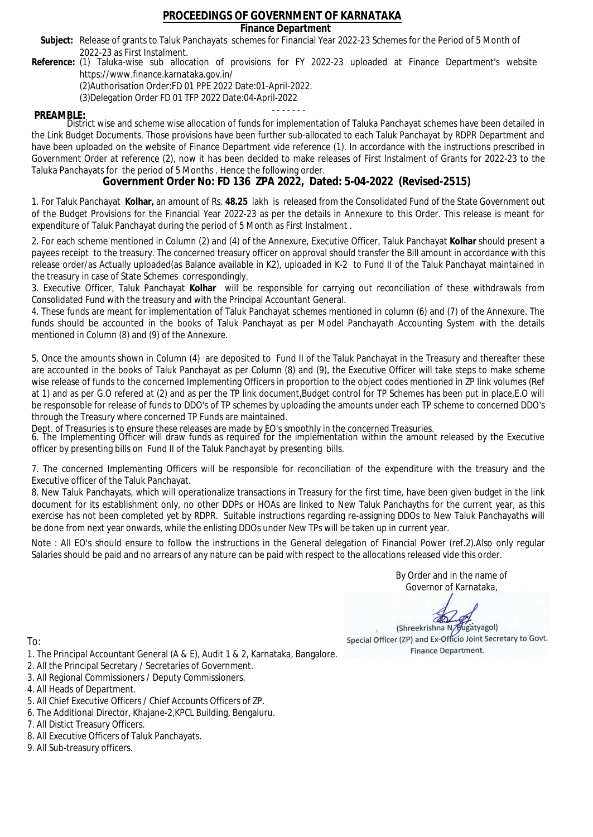### **Finance Department**

- Subject: Release of grants to Taluk Panchayats schemes for Financial Year 2022-23 Schemes for the Period of 5 Month of 2022-23 as First Instalment.
- **Reference:** (1) Taluka-wise sub allocation of provisions for FY 2022-23 uploaded at Finance Department's website https://www.finance.karnataka.gov.in/

(2)Authorisation Order:FD 01 PPE 2022 Date:01-April-2022.

(3)Delegation Order FD 01 TFP 2022 Date:04-April-2022

- - - - - - - **PREAMBLE:** District wise and scheme wise allocation of funds for implementation of Taluka Panchayat schemes have been detailed in the Link Budget Documents. Those provisions have been further sub-allocated to each Taluk Panchayat by RDPR Department and have been uploaded on the website of Finance Department vide reference (1). In accordance with the instructions prescribed in Government Order at reference (2), now it has been decided to make releases of First Instalment of Grants for 2022-23 to the Taluka Panchayats for the period of 5 Months . Hence the following order.

**Government Order No: FD 136 ZPA 2022, Dated: 5-04-2022 (Revised-2515)**

1. For Taluk Panchayat **Kolhar,** an amount of Rs. **48.25** lakh is released from the Consolidated Fund of the State Government out of the Budget Provisions for the Financial Year 2022-23 as per the details in Annexure to this Order. This release is meant for expenditure of Taluk Panchayat during the period of 5 Month as First Instalment .

2. For each scheme mentioned in Column (2) and (4) of the Annexure, Executive Officer, Taluk Panchayat **Kolhar** should present a payees receipt to the treasury. The concerned treasury officer on approval should transfer the Bill amount in accordance with this release order/as Actually uploaded(as Balance available in K2), uploaded in K-2 to Fund II of the Taluk Panchayat maintained in the treasury in case of State Schemes correspondingly.

3. Executive Officer, Taluk Panchayat **Kolhar** will be responsible for carrying out reconciliation of these withdrawals from Consolidated Fund with the treasury and with the Principal Accountant General.

4. These funds are meant for implementation of Taluk Panchayat schemes mentioned in column (6) and (7) of the Annexure. The funds should be accounted in the books of Taluk Panchayat as per Model Panchayath Accounting System with the details mentioned in Column (8) and (9) of the Annexure.

5. Once the amounts shown in Column (4) are deposited to Fund II of the Taluk Panchayat in the Treasury and thereafter these are accounted in the books of Taluk Panchayat as per Column (8) and (9), the Executive Officer will take steps to make scheme wise release of funds to the concerned Implementing Officers in proportion to the object codes mentioned in ZP link volumes (Ref at 1) and as per G.O refered at (2) and as per the TP link document,Budget control for TP Schemes has been put in place,E.O will be responsoble for release of funds to DDO's of TP schemes by uploading the amounts under each TP scheme to concerned DDO's through the Treasury where concerned TP Funds are maintained.

Dept. of Treasuries is to ensure these releases are made by EO's smoothly in the concerned Treasuries.

6. The Implementing Officer will draw funds as required for the implementation within the amount released by the Executive officer by presenting bills on Fund II of the Taluk Panchayat by presenting bills.

7. The concerned Implementing Officers will be responsible for reconciliation of the expenditure with the treasury and the Executive officer of the Taluk Panchayat.

8. New Taluk Panchayats, which will operationalize transactions in Treasury for the first time, have been given budget in the link document for its establishment only, no other DDPs or HOAs are linked to New Taluk Panchayths for the current year, as this exercise has not been completed yet by RDPR. Suitable instructions regarding re-assigning DDOs to New Taluk Panchayaths will be done from next year onwards, while the enlisting DDOs under New TPs will be taken up in current year.

Note : All EO's should ensure to follow the instructions in the General delegation of Financial Power (ref.2).Also only regular Salaries should be paid and no arrears of any nature can be paid with respect to the allocations released vide this order.

> By Order and in the name of Governor of Karnataka,

**PD** 

(Shreekrishna N/Bugatyagol) Special Officer (ZP) and Ex-Officio Joint Secretary to Govt. Finance Department.

To:

- 1. The Principal Accountant General (A & E), Audit 1 & 2, Karnataka, Bangalore.
- 2. All the Principal Secretary / Secretaries of Government.
- 3. All Regional Commissioners / Deputy Commissioners.
- 4. All Heads of Department.
- 5. All Chief Executive Officers / Chief Accounts Officers of ZP.
- 6. The Additional Director, Khajane-2,KPCL Building, Bengaluru.

- 8. All Executive Officers of Taluk Panchayats.
- 9. All Sub-treasury officers.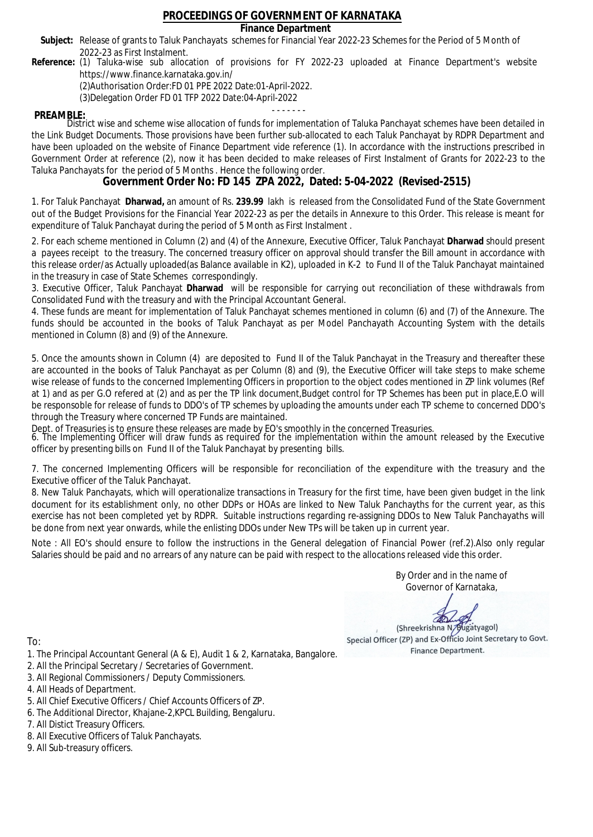### **Finance Department**

- Subject: Release of grants to Taluk Panchayats schemes for Financial Year 2022-23 Schemes for the Period of 5 Month of 2022-23 as First Instalment.
- **Reference:** (1) Taluka-wise sub allocation of provisions for FY 2022-23 uploaded at Finance Department's website https://www.finance.karnataka.gov.in/

(2)Authorisation Order:FD 01 PPE 2022 Date:01-April-2022.

(3)Delegation Order FD 01 TFP 2022 Date:04-April-2022

- - - - - - - **PREAMBLE:** District wise and scheme wise allocation of funds for implementation of Taluka Panchayat schemes have been detailed in the Link Budget Documents. Those provisions have been further sub-allocated to each Taluk Panchayat by RDPR Department and have been uploaded on the website of Finance Department vide reference (1). In accordance with the instructions prescribed in Government Order at reference (2), now it has been decided to make releases of First Instalment of Grants for 2022-23 to the Taluka Panchayats for the period of 5 Months . Hence the following order.

**Government Order No: FD 145 ZPA 2022, Dated: 5-04-2022 (Revised-2515)**

1. For Taluk Panchayat **Dharwad,** an amount of Rs. **239.99** lakh is released from the Consolidated Fund of the State Government out of the Budget Provisions for the Financial Year 2022-23 as per the details in Annexure to this Order. This release is meant for expenditure of Taluk Panchayat during the period of 5 Month as First Instalment .

2. For each scheme mentioned in Column (2) and (4) of the Annexure, Executive Officer, Taluk Panchayat **Dharwad** should present a payees receipt to the treasury. The concerned treasury officer on approval should transfer the Bill amount in accordance with this release order/as Actually uploaded(as Balance available in K2), uploaded in K-2 to Fund II of the Taluk Panchayat maintained in the treasury in case of State Schemes correspondingly.

3. Executive Officer, Taluk Panchayat **Dharwad** will be responsible for carrying out reconciliation of these withdrawals from Consolidated Fund with the treasury and with the Principal Accountant General.

4. These funds are meant for implementation of Taluk Panchayat schemes mentioned in column (6) and (7) of the Annexure. The funds should be accounted in the books of Taluk Panchayat as per Model Panchayath Accounting System with the details mentioned in Column (8) and (9) of the Annexure.

5. Once the amounts shown in Column (4) are deposited to Fund II of the Taluk Panchayat in the Treasury and thereafter these are accounted in the books of Taluk Panchayat as per Column (8) and (9), the Executive Officer will take steps to make scheme wise release of funds to the concerned Implementing Officers in proportion to the object codes mentioned in ZP link volumes (Ref at 1) and as per G.O refered at (2) and as per the TP link document,Budget control for TP Schemes has been put in place,E.O will be responsoble for release of funds to DDO's of TP schemes by uploading the amounts under each TP scheme to concerned DDO's through the Treasury where concerned TP Funds are maintained.

Dept. of Treasuries is to ensure these releases are made by EO's smoothly in the concerned Treasuries.

6. The Implementing Officer will draw funds as required for the implementation within the amount released by the Executive officer by presenting bills on Fund II of the Taluk Panchayat by presenting bills.

7. The concerned Implementing Officers will be responsible for reconciliation of the expenditure with the treasury and the Executive officer of the Taluk Panchayat.

8. New Taluk Panchayats, which will operationalize transactions in Treasury for the first time, have been given budget in the link document for its establishment only, no other DDPs or HOAs are linked to New Taluk Panchayths for the current year, as this exercise has not been completed yet by RDPR. Suitable instructions regarding re-assigning DDOs to New Taluk Panchayaths will be done from next year onwards, while the enlisting DDOs under New TPs will be taken up in current year.

Note : All EO's should ensure to follow the instructions in the General delegation of Financial Power (ref.2).Also only regular Salaries should be paid and no arrears of any nature can be paid with respect to the allocations released vide this order.

> By Order and in the name of Governor of Karnataka,

**PD** 

(Shreekrishna N/Bugatyagol) Special Officer (ZP) and Ex-Officio Joint Secretary to Govt. Finance Department.

- 1. The Principal Accountant General (A & E), Audit 1 & 2, Karnataka, Bangalore.
- 2. All the Principal Secretary / Secretaries of Government.
- 3. All Regional Commissioners / Deputy Commissioners.
- 4. All Heads of Department.
- 5. All Chief Executive Officers / Chief Accounts Officers of ZP.
- 6. The Additional Director, Khajane-2,KPCL Building, Bengaluru.
- 7. All Distict Treasury Officers.
- 8. All Executive Officers of Taluk Panchayats.
- 9. All Sub-treasury officers.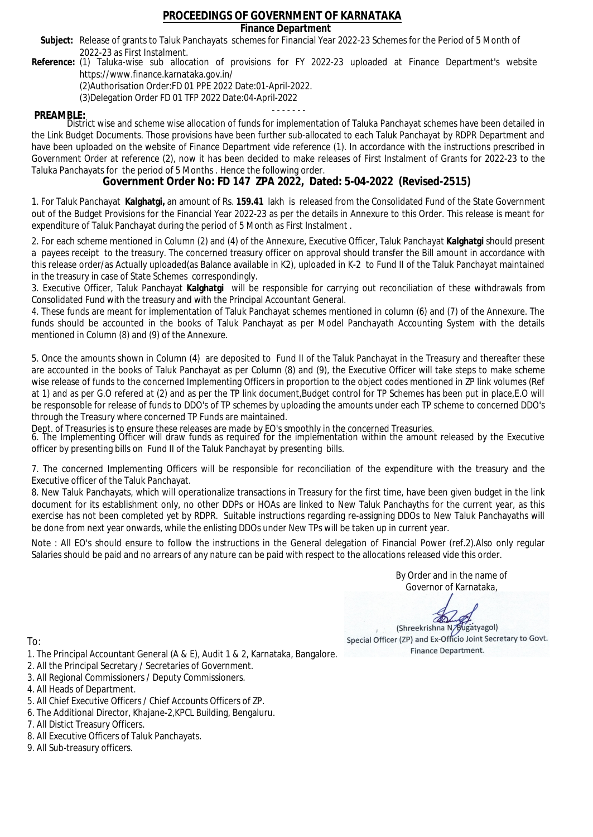### **Finance Department**

- Subject: Release of grants to Taluk Panchayats schemes for Financial Year 2022-23 Schemes for the Period of 5 Month of 2022-23 as First Instalment.
- **Reference:** (1) Taluka-wise sub allocation of provisions for FY 2022-23 uploaded at Finance Department's website https://www.finance.karnataka.gov.in/

(2)Authorisation Order:FD 01 PPE 2022 Date:01-April-2022.

(3)Delegation Order FD 01 TFP 2022 Date:04-April-2022

- - - - - - - **PREAMBLE:** District wise and scheme wise allocation of funds for implementation of Taluka Panchayat schemes have been detailed in the Link Budget Documents. Those provisions have been further sub-allocated to each Taluk Panchayat by RDPR Department and have been uploaded on the website of Finance Department vide reference (1). In accordance with the instructions prescribed in Government Order at reference (2), now it has been decided to make releases of First Instalment of Grants for 2022-23 to the Taluka Panchayats for the period of 5 Months . Hence the following order.

**Government Order No: FD 147 ZPA 2022, Dated: 5-04-2022 (Revised-2515)**

1. For Taluk Panchayat **Kalghatgi,** an amount of Rs. **159.41** lakh is released from the Consolidated Fund of the State Government out of the Budget Provisions for the Financial Year 2022-23 as per the details in Annexure to this Order. This release is meant for expenditure of Taluk Panchayat during the period of 5 Month as First Instalment .

2. For each scheme mentioned in Column (2) and (4) of the Annexure, Executive Officer, Taluk Panchayat **Kalghatgi** should present a payees receipt to the treasury. The concerned treasury officer on approval should transfer the Bill amount in accordance with this release order/as Actually uploaded(as Balance available in K2), uploaded in K-2 to Fund II of the Taluk Panchayat maintained in the treasury in case of State Schemes correspondingly.

3. Executive Officer, Taluk Panchayat **Kalghatgi** will be responsible for carrying out reconciliation of these withdrawals from Consolidated Fund with the treasury and with the Principal Accountant General.

4. These funds are meant for implementation of Taluk Panchayat schemes mentioned in column (6) and (7) of the Annexure. The funds should be accounted in the books of Taluk Panchayat as per Model Panchayath Accounting System with the details mentioned in Column (8) and (9) of the Annexure.

5. Once the amounts shown in Column (4) are deposited to Fund II of the Taluk Panchayat in the Treasury and thereafter these are accounted in the books of Taluk Panchayat as per Column (8) and (9), the Executive Officer will take steps to make scheme wise release of funds to the concerned Implementing Officers in proportion to the object codes mentioned in ZP link volumes (Ref at 1) and as per G.O refered at (2) and as per the TP link document,Budget control for TP Schemes has been put in place,E.O will be responsoble for release of funds to DDO's of TP schemes by uploading the amounts under each TP scheme to concerned DDO's through the Treasury where concerned TP Funds are maintained.

Dept. of Treasuries is to ensure these releases are made by EO's smoothly in the concerned Treasuries.

6. The Implementing Officer will draw funds as required for the implementation within the amount released by the Executive officer by presenting bills on Fund II of the Taluk Panchayat by presenting bills.

7. The concerned Implementing Officers will be responsible for reconciliation of the expenditure with the treasury and the Executive officer of the Taluk Panchayat.

8. New Taluk Panchayats, which will operationalize transactions in Treasury for the first time, have been given budget in the link document for its establishment only, no other DDPs or HOAs are linked to New Taluk Panchayths for the current year, as this exercise has not been completed yet by RDPR. Suitable instructions regarding re-assigning DDOs to New Taluk Panchayaths will be done from next year onwards, while the enlisting DDOs under New TPs will be taken up in current year.

Note : All EO's should ensure to follow the instructions in the General delegation of Financial Power (ref.2).Also only regular Salaries should be paid and no arrears of any nature can be paid with respect to the allocations released vide this order.

> By Order and in the name of Governor of Karnataka,

**PD** 

(Shreekrishna N/Bugatyagol) Special Officer (ZP) and Ex-Officio Joint Secretary to Govt. Finance Department.

- 1. The Principal Accountant General (A & E), Audit 1 & 2, Karnataka, Bangalore.
- 2. All the Principal Secretary / Secretaries of Government.
- 3. All Regional Commissioners / Deputy Commissioners.
- 4. All Heads of Department.
- 5. All Chief Executive Officers / Chief Accounts Officers of ZP.
- 6. The Additional Director, Khajane-2,KPCL Building, Bengaluru.
- 7. All Distict Treasury Officers.
- 8. All Executive Officers of Taluk Panchayats.
- 9. All Sub-treasury officers.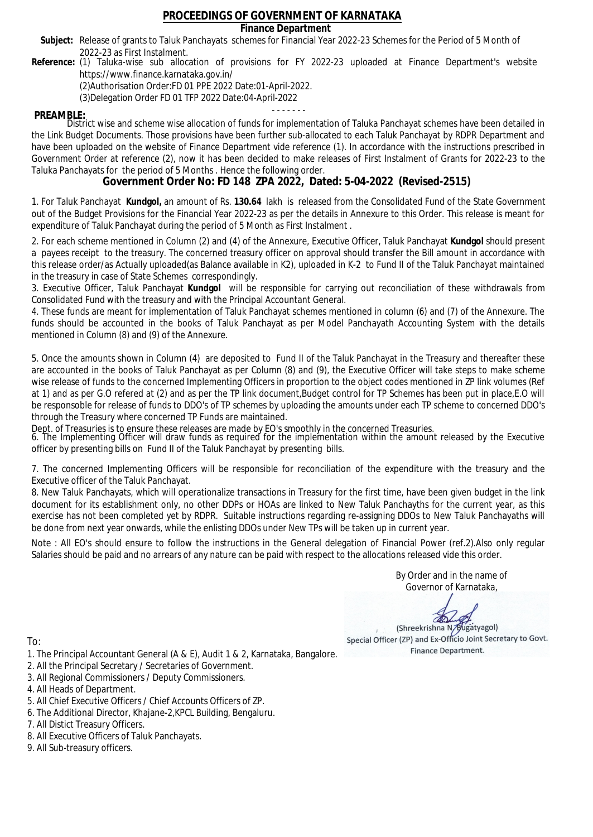### **Finance Department**

- Subject: Release of grants to Taluk Panchayats schemes for Financial Year 2022-23 Schemes for the Period of 5 Month of 2022-23 as First Instalment.
- **Reference:** (1) Taluka-wise sub allocation of provisions for FY 2022-23 uploaded at Finance Department's website https://www.finance.karnataka.gov.in/

(2)Authorisation Order:FD 01 PPE 2022 Date:01-April-2022.

(3)Delegation Order FD 01 TFP 2022 Date:04-April-2022

- - - - - - - **PREAMBLE:** District wise and scheme wise allocation of funds for implementation of Taluka Panchayat schemes have been detailed in the Link Budget Documents. Those provisions have been further sub-allocated to each Taluk Panchayat by RDPR Department and have been uploaded on the website of Finance Department vide reference (1). In accordance with the instructions prescribed in Government Order at reference (2), now it has been decided to make releases of First Instalment of Grants for 2022-23 to the Taluka Panchayats for the period of 5 Months . Hence the following order.

**Government Order No: FD 148 ZPA 2022, Dated: 5-04-2022 (Revised-2515)**

1. For Taluk Panchayat **Kundgol,** an amount of Rs. **130.64** lakh is released from the Consolidated Fund of the State Government out of the Budget Provisions for the Financial Year 2022-23 as per the details in Annexure to this Order. This release is meant for expenditure of Taluk Panchayat during the period of 5 Month as First Instalment .

2. For each scheme mentioned in Column (2) and (4) of the Annexure, Executive Officer, Taluk Panchayat **Kundgol** should present a payees receipt to the treasury. The concerned treasury officer on approval should transfer the Bill amount in accordance with this release order/as Actually uploaded(as Balance available in K2), uploaded in K-2 to Fund II of the Taluk Panchayat maintained in the treasury in case of State Schemes correspondingly.

3. Executive Officer, Taluk Panchayat **Kundgol** will be responsible for carrying out reconciliation of these withdrawals from Consolidated Fund with the treasury and with the Principal Accountant General.

4. These funds are meant for implementation of Taluk Panchayat schemes mentioned in column (6) and (7) of the Annexure. The funds should be accounted in the books of Taluk Panchayat as per Model Panchayath Accounting System with the details mentioned in Column (8) and (9) of the Annexure.

5. Once the amounts shown in Column (4) are deposited to Fund II of the Taluk Panchayat in the Treasury and thereafter these are accounted in the books of Taluk Panchayat as per Column (8) and (9), the Executive Officer will take steps to make scheme wise release of funds to the concerned Implementing Officers in proportion to the object codes mentioned in ZP link volumes (Ref at 1) and as per G.O refered at (2) and as per the TP link document,Budget control for TP Schemes has been put in place,E.O will be responsoble for release of funds to DDO's of TP schemes by uploading the amounts under each TP scheme to concerned DDO's through the Treasury where concerned TP Funds are maintained.

Dept. of Treasuries is to ensure these releases are made by EO's smoothly in the concerned Treasuries.

6. The Implementing Officer will draw funds as required for the implementation within the amount released by the Executive officer by presenting bills on Fund II of the Taluk Panchayat by presenting bills.

7. The concerned Implementing Officers will be responsible for reconciliation of the expenditure with the treasury and the Executive officer of the Taluk Panchayat.

8. New Taluk Panchayats, which will operationalize transactions in Treasury for the first time, have been given budget in the link document for its establishment only, no other DDPs or HOAs are linked to New Taluk Panchayths for the current year, as this exercise has not been completed yet by RDPR. Suitable instructions regarding re-assigning DDOs to New Taluk Panchayaths will be done from next year onwards, while the enlisting DDOs under New TPs will be taken up in current year.

Note : All EO's should ensure to follow the instructions in the General delegation of Financial Power (ref.2).Also only regular Salaries should be paid and no arrears of any nature can be paid with respect to the allocations released vide this order.

> By Order and in the name of Governor of Karnataka,

**PD** 

(Shreekrishna N/Bugatyagol) Special Officer (ZP) and Ex-Officio Joint Secretary to Govt. Finance Department.

- 1. The Principal Accountant General (A & E), Audit 1 & 2, Karnataka, Bangalore.
- 2. All the Principal Secretary / Secretaries of Government.
- 3. All Regional Commissioners / Deputy Commissioners.
- 4. All Heads of Department.
- 5. All Chief Executive Officers / Chief Accounts Officers of ZP.
- 6. The Additional Director, Khajane-2,KPCL Building, Bengaluru.
- 7. All Distict Treasury Officers.
- 8. All Executive Officers of Taluk Panchayats.
- 9. All Sub-treasury officers.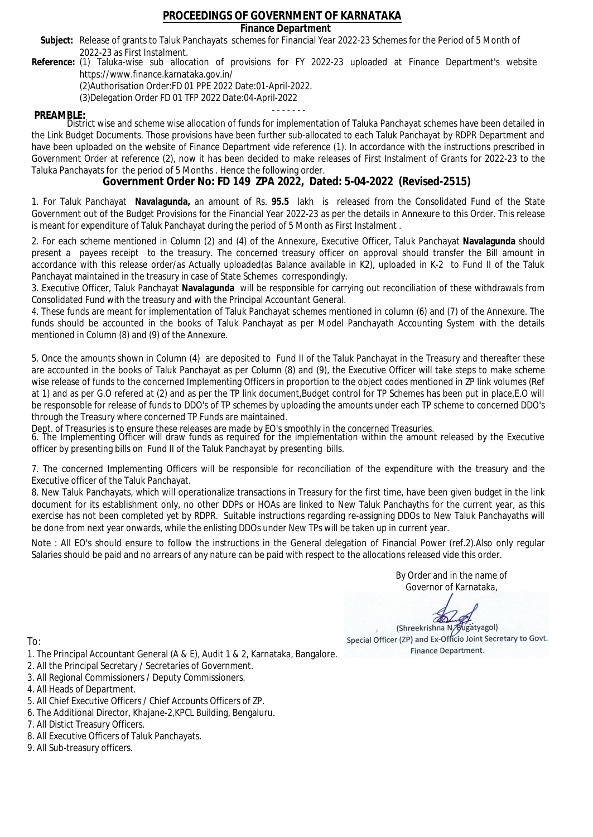### **Finance Department**

- Subject: Release of grants to Taluk Panchayats schemes for Financial Year 2022-23 Schemes for the Period of 5 Month of 2022-23 as First Instalment.
- **Reference:** (1) Taluka-wise sub allocation of provisions for FY 2022-23 uploaded at Finance Department's website https://www.finance.karnataka.gov.in/

(2)Authorisation Order:FD 01 PPE 2022 Date:01-April-2022.

(3)Delegation Order FD 01 TFP 2022 Date:04-April-2022

- - - - - - - **PREAMBLE:** District wise and scheme wise allocation of funds for implementation of Taluka Panchayat schemes have been detailed in the Link Budget Documents. Those provisions have been further sub-allocated to each Taluk Panchayat by RDPR Department and have been uploaded on the website of Finance Department vide reference (1). In accordance with the instructions prescribed in Government Order at reference (2), now it has been decided to make releases of First Instalment of Grants for 2022-23 to the Taluka Panchayats for the period of 5 Months . Hence the following order.

**Government Order No: FD 149 ZPA 2022, Dated: 5-04-2022 (Revised-2515)**

1. For Taluk Panchayat **Navalagunda,** an amount of Rs. **95.5** lakh is released from the Consolidated Fund of the State Government out of the Budget Provisions for the Financial Year 2022-23 as per the details in Annexure to this Order. This release is meant for expenditure of Taluk Panchayat during the period of 5 Month as First Instalment .

2. For each scheme mentioned in Column (2) and (4) of the Annexure, Executive Officer, Taluk Panchayat **Navalagunda** should present a payees receipt to the treasury. The concerned treasury officer on approval should transfer the Bill amount in accordance with this release order/as Actually uploaded(as Balance available in K2), uploaded in K-2 to Fund II of the Taluk Panchayat maintained in the treasury in case of State Schemes correspondingly.

3. Executive Officer, Taluk Panchayat **Navalagunda** will be responsible for carrying out reconciliation of these withdrawals from Consolidated Fund with the treasury and with the Principal Accountant General.

4. These funds are meant for implementation of Taluk Panchayat schemes mentioned in column (6) and (7) of the Annexure. The funds should be accounted in the books of Taluk Panchayat as per Model Panchayath Accounting System with the details mentioned in Column (8) and (9) of the Annexure.

5. Once the amounts shown in Column (4) are deposited to Fund II of the Taluk Panchayat in the Treasury and thereafter these are accounted in the books of Taluk Panchayat as per Column (8) and (9), the Executive Officer will take steps to make scheme wise release of funds to the concerned Implementing Officers in proportion to the object codes mentioned in ZP link volumes (Ref at 1) and as per G.O refered at (2) and as per the TP link document,Budget control for TP Schemes has been put in place,E.O will be responsoble for release of funds to DDO's of TP schemes by uploading the amounts under each TP scheme to concerned DDO's through the Treasury where concerned TP Funds are maintained.

Dept. of Treasuries is to ensure these releases are made by EO's smoothly in the concerned Treasuries.

6. The Implementing Officer will draw funds as required for the implementation within the amount released by the Executive officer by presenting bills on Fund II of the Taluk Panchayat by presenting bills.

7. The concerned Implementing Officers will be responsible for reconciliation of the expenditure with the treasury and the Executive officer of the Taluk Panchayat.

8. New Taluk Panchayats, which will operationalize transactions in Treasury for the first time, have been given budget in the link document for its establishment only, no other DDPs or HOAs are linked to New Taluk Panchayths for the current year, as this exercise has not been completed yet by RDPR. Suitable instructions regarding re-assigning DDOs to New Taluk Panchayaths will be done from next year onwards, while the enlisting DDOs under New TPs will be taken up in current year.

Note : All EO's should ensure to follow the instructions in the General delegation of Financial Power (ref.2).Also only regular Salaries should be paid and no arrears of any nature can be paid with respect to the allocations released vide this order.

> By Order and in the name of Governor of Karnataka,

**PD** 

(Shreekrishna N/Bugatyagol) Special Officer (ZP) and Ex-Officio Joint Secretary to Govt. Finance Department.

- 1. The Principal Accountant General (A & E), Audit 1 & 2, Karnataka, Bangalore.
- 2. All the Principal Secretary / Secretaries of Government.
- 3. All Regional Commissioners / Deputy Commissioners.
- 4. All Heads of Department.
- 5. All Chief Executive Officers / Chief Accounts Officers of ZP.
- 6. The Additional Director, Khajane-2,KPCL Building, Bengaluru.
- 7. All Distict Treasury Officers.
- 8. All Executive Officers of Taluk Panchayats.
- 9. All Sub-treasury officers.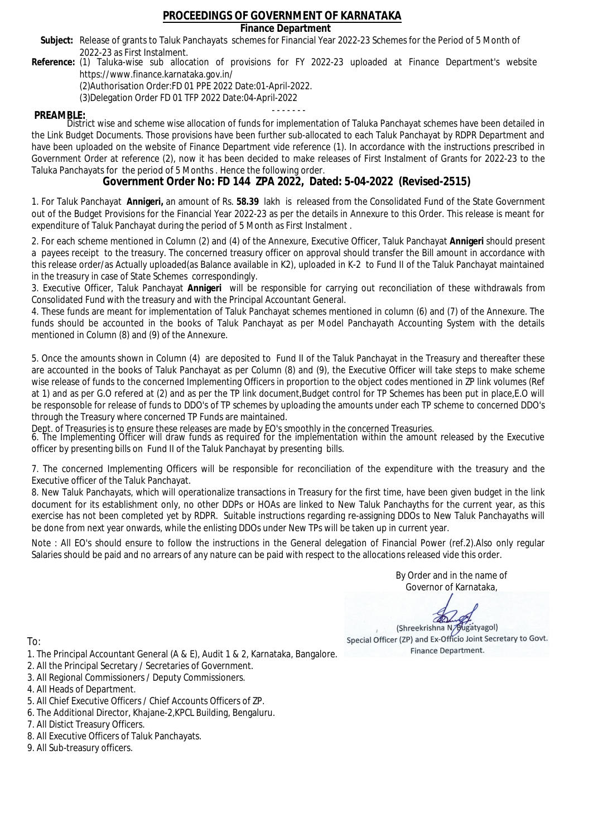### **Finance Department**

- Subject: Release of grants to Taluk Panchayats schemes for Financial Year 2022-23 Schemes for the Period of 5 Month of 2022-23 as First Instalment.
- **Reference:** (1) Taluka-wise sub allocation of provisions for FY 2022-23 uploaded at Finance Department's website https://www.finance.karnataka.gov.in/

(2)Authorisation Order:FD 01 PPE 2022 Date:01-April-2022.

(3)Delegation Order FD 01 TFP 2022 Date:04-April-2022

- - - - - - - **PREAMBLE:** District wise and scheme wise allocation of funds for implementation of Taluka Panchayat schemes have been detailed in the Link Budget Documents. Those provisions have been further sub-allocated to each Taluk Panchayat by RDPR Department and have been uploaded on the website of Finance Department vide reference (1). In accordance with the instructions prescribed in Government Order at reference (2), now it has been decided to make releases of First Instalment of Grants for 2022-23 to the Taluka Panchayats for the period of 5 Months . Hence the following order.

**Government Order No: FD 144 ZPA 2022, Dated: 5-04-2022 (Revised-2515)**

1. For Taluk Panchayat **Annigeri,** an amount of Rs. **58.39** lakh is released from the Consolidated Fund of the State Government out of the Budget Provisions for the Financial Year 2022-23 as per the details in Annexure to this Order. This release is meant for expenditure of Taluk Panchayat during the period of 5 Month as First Instalment .

2. For each scheme mentioned in Column (2) and (4) of the Annexure, Executive Officer, Taluk Panchayat **Annigeri** should present a payees receipt to the treasury. The concerned treasury officer on approval should transfer the Bill amount in accordance with this release order/as Actually uploaded(as Balance available in K2), uploaded in K-2 to Fund II of the Taluk Panchayat maintained in the treasury in case of State Schemes correspondingly.

3. Executive Officer, Taluk Panchayat **Annigeri** will be responsible for carrying out reconciliation of these withdrawals from Consolidated Fund with the treasury and with the Principal Accountant General.

4. These funds are meant for implementation of Taluk Panchayat schemes mentioned in column (6) and (7) of the Annexure. The funds should be accounted in the books of Taluk Panchayat as per Model Panchayath Accounting System with the details mentioned in Column (8) and (9) of the Annexure.

5. Once the amounts shown in Column (4) are deposited to Fund II of the Taluk Panchayat in the Treasury and thereafter these are accounted in the books of Taluk Panchayat as per Column (8) and (9), the Executive Officer will take steps to make scheme wise release of funds to the concerned Implementing Officers in proportion to the object codes mentioned in ZP link volumes (Ref at 1) and as per G.O refered at (2) and as per the TP link document,Budget control for TP Schemes has been put in place,E.O will be responsoble for release of funds to DDO's of TP schemes by uploading the amounts under each TP scheme to concerned DDO's through the Treasury where concerned TP Funds are maintained.

Dept. of Treasuries is to ensure these releases are made by EO's smoothly in the concerned Treasuries.

6. The Implementing Officer will draw funds as required for the implementation within the amount released by the Executive officer by presenting bills on Fund II of the Taluk Panchayat by presenting bills.

7. The concerned Implementing Officers will be responsible for reconciliation of the expenditure with the treasury and the Executive officer of the Taluk Panchayat.

8. New Taluk Panchayats, which will operationalize transactions in Treasury for the first time, have been given budget in the link document for its establishment only, no other DDPs or HOAs are linked to New Taluk Panchayths for the current year, as this exercise has not been completed yet by RDPR. Suitable instructions regarding re-assigning DDOs to New Taluk Panchayaths will be done from next year onwards, while the enlisting DDOs under New TPs will be taken up in current year.

Note : All EO's should ensure to follow the instructions in the General delegation of Financial Power (ref.2).Also only regular Salaries should be paid and no arrears of any nature can be paid with respect to the allocations released vide this order.

> By Order and in the name of Governor of Karnataka,

**PD** 

(Shreekrishna N/Bugatyagol) Special Officer (ZP) and Ex-Officio Joint Secretary to Govt. Finance Department.

- 1. The Principal Accountant General (A & E), Audit 1 & 2, Karnataka, Bangalore.
- 2. All the Principal Secretary / Secretaries of Government.
- 3. All Regional Commissioners / Deputy Commissioners.
- 4. All Heads of Department.
- 5. All Chief Executive Officers / Chief Accounts Officers of ZP.
- 6. The Additional Director, Khajane-2,KPCL Building, Bengaluru.
- 7. All Distict Treasury Officers.
- 8. All Executive Officers of Taluk Panchayats.
- 9. All Sub-treasury officers.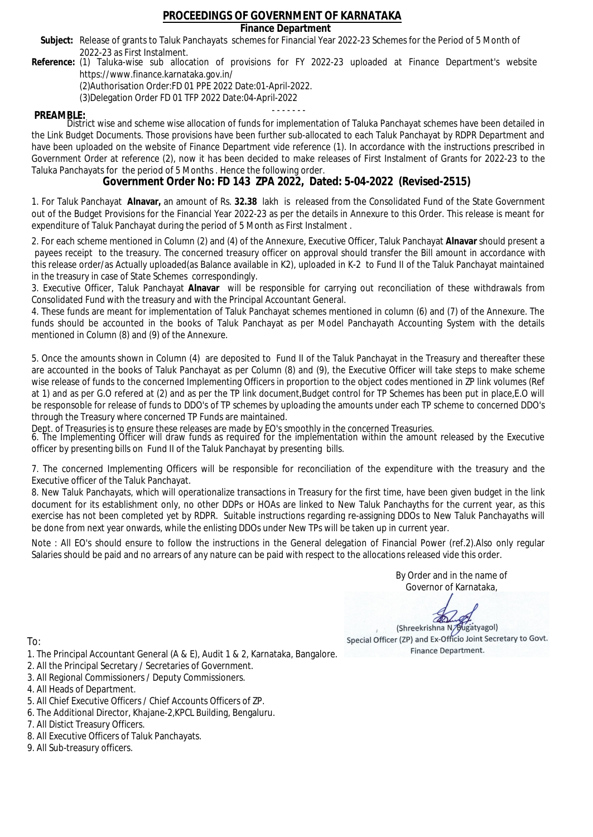### **Finance Department**

- Subject: Release of grants to Taluk Panchayats schemes for Financial Year 2022-23 Schemes for the Period of 5 Month of 2022-23 as First Instalment.
- **Reference:** (1) Taluka-wise sub allocation of provisions for FY 2022-23 uploaded at Finance Department's website https://www.finance.karnataka.gov.in/

(2)Authorisation Order:FD 01 PPE 2022 Date:01-April-2022.

(3)Delegation Order FD 01 TFP 2022 Date:04-April-2022

- - - - - - - **PREAMBLE:** District wise and scheme wise allocation of funds for implementation of Taluka Panchayat schemes have been detailed in the Link Budget Documents. Those provisions have been further sub-allocated to each Taluk Panchayat by RDPR Department and have been uploaded on the website of Finance Department vide reference (1). In accordance with the instructions prescribed in Government Order at reference (2), now it has been decided to make releases of First Instalment of Grants for 2022-23 to the Taluka Panchayats for the period of 5 Months . Hence the following order.

**Government Order No: FD 143 ZPA 2022, Dated: 5-04-2022 (Revised-2515)**

1. For Taluk Panchayat **Alnavar,** an amount of Rs. **32.38** lakh is released from the Consolidated Fund of the State Government out of the Budget Provisions for the Financial Year 2022-23 as per the details in Annexure to this Order. This release is meant for expenditure of Taluk Panchayat during the period of 5 Month as First Instalment .

2. For each scheme mentioned in Column (2) and (4) of the Annexure, Executive Officer, Taluk Panchayat **Alnavar** should present a payees receipt to the treasury. The concerned treasury officer on approval should transfer the Bill amount in accordance with this release order/as Actually uploaded(as Balance available in K2), uploaded in K-2 to Fund II of the Taluk Panchayat maintained in the treasury in case of State Schemes correspondingly.

3. Executive Officer, Taluk Panchayat **Alnavar** will be responsible for carrying out reconciliation of these withdrawals from Consolidated Fund with the treasury and with the Principal Accountant General.

4. These funds are meant for implementation of Taluk Panchayat schemes mentioned in column (6) and (7) of the Annexure. The funds should be accounted in the books of Taluk Panchayat as per Model Panchayath Accounting System with the details mentioned in Column (8) and (9) of the Annexure.

5. Once the amounts shown in Column (4) are deposited to Fund II of the Taluk Panchayat in the Treasury and thereafter these are accounted in the books of Taluk Panchayat as per Column (8) and (9), the Executive Officer will take steps to make scheme wise release of funds to the concerned Implementing Officers in proportion to the object codes mentioned in ZP link volumes (Ref at 1) and as per G.O refered at (2) and as per the TP link document,Budget control for TP Schemes has been put in place,E.O will be responsoble for release of funds to DDO's of TP schemes by uploading the amounts under each TP scheme to concerned DDO's through the Treasury where concerned TP Funds are maintained.

Dept. of Treasuries is to ensure these releases are made by EO's smoothly in the concerned Treasuries.

6. The Implementing Officer will draw funds as required for the implementation within the amount released by the Executive officer by presenting bills on Fund II of the Taluk Panchayat by presenting bills.

7. The concerned Implementing Officers will be responsible for reconciliation of the expenditure with the treasury and the Executive officer of the Taluk Panchayat.

8. New Taluk Panchayats, which will operationalize transactions in Treasury for the first time, have been given budget in the link document for its establishment only, no other DDPs or HOAs are linked to New Taluk Panchayths for the current year, as this exercise has not been completed yet by RDPR. Suitable instructions regarding re-assigning DDOs to New Taluk Panchayaths will be done from next year onwards, while the enlisting DDOs under New TPs will be taken up in current year.

Note : All EO's should ensure to follow the instructions in the General delegation of Financial Power (ref.2).Also only regular Salaries should be paid and no arrears of any nature can be paid with respect to the allocations released vide this order.

> By Order and in the name of Governor of Karnataka,

**PD** 

(Shreekrishna N/Bugatyagol) Special Officer (ZP) and Ex-Officio Joint Secretary to Govt. Finance Department.

- 1. The Principal Accountant General (A & E), Audit 1 & 2, Karnataka, Bangalore.
- 2. All the Principal Secretary / Secretaries of Government.
- 3. All Regional Commissioners / Deputy Commissioners.
- 4. All Heads of Department.
- 5. All Chief Executive Officers / Chief Accounts Officers of ZP.
- 6. The Additional Director, Khajane-2,KPCL Building, Bengaluru.
- 7. All Distict Treasury Officers.
- 8. All Executive Officers of Taluk Panchayats.
- 9. All Sub-treasury officers.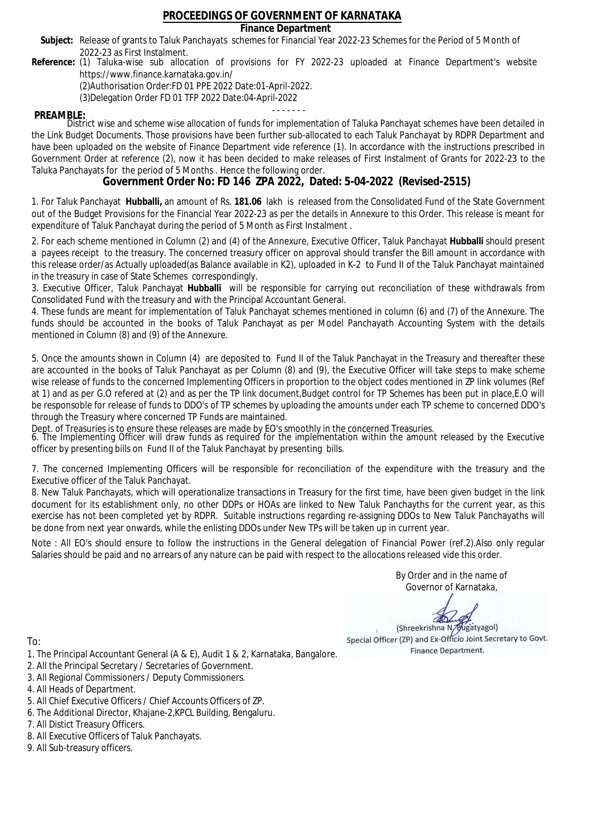### **Finance Department**

- Subject: Release of grants to Taluk Panchayats schemes for Financial Year 2022-23 Schemes for the Period of 5 Month of 2022-23 as First Instalment.
- **Reference:** (1) Taluka-wise sub allocation of provisions for FY 2022-23 uploaded at Finance Department's website https://www.finance.karnataka.gov.in/

(2)Authorisation Order:FD 01 PPE 2022 Date:01-April-2022.

(3)Delegation Order FD 01 TFP 2022 Date:04-April-2022

- - - - - - - **PREAMBLE:** District wise and scheme wise allocation of funds for implementation of Taluka Panchayat schemes have been detailed in the Link Budget Documents. Those provisions have been further sub-allocated to each Taluk Panchayat by RDPR Department and have been uploaded on the website of Finance Department vide reference (1). In accordance with the instructions prescribed in Government Order at reference (2), now it has been decided to make releases of First Instalment of Grants for 2022-23 to the Taluka Panchayats for the period of 5 Months . Hence the following order.

**Government Order No: FD 146 ZPA 2022, Dated: 5-04-2022 (Revised-2515)**

1. For Taluk Panchayat **Hubballi,** an amount of Rs. **181.06** lakh is released from the Consolidated Fund of the State Government out of the Budget Provisions for the Financial Year 2022-23 as per the details in Annexure to this Order. This release is meant for expenditure of Taluk Panchayat during the period of 5 Month as First Instalment .

2. For each scheme mentioned in Column (2) and (4) of the Annexure, Executive Officer, Taluk Panchayat **Hubballi** should present a payees receipt to the treasury. The concerned treasury officer on approval should transfer the Bill amount in accordance with this release order/as Actually uploaded(as Balance available in K2), uploaded in K-2 to Fund II of the Taluk Panchayat maintained in the treasury in case of State Schemes correspondingly.

3. Executive Officer, Taluk Panchayat **Hubballi** will be responsible for carrying out reconciliation of these withdrawals from Consolidated Fund with the treasury and with the Principal Accountant General.

4. These funds are meant for implementation of Taluk Panchayat schemes mentioned in column (6) and (7) of the Annexure. The funds should be accounted in the books of Taluk Panchayat as per Model Panchayath Accounting System with the details mentioned in Column (8) and (9) of the Annexure.

5. Once the amounts shown in Column (4) are deposited to Fund II of the Taluk Panchayat in the Treasury and thereafter these are accounted in the books of Taluk Panchayat as per Column (8) and (9), the Executive Officer will take steps to make scheme wise release of funds to the concerned Implementing Officers in proportion to the object codes mentioned in ZP link volumes (Ref at 1) and as per G.O refered at (2) and as per the TP link document,Budget control for TP Schemes has been put in place,E.O will be responsoble for release of funds to DDO's of TP schemes by uploading the amounts under each TP scheme to concerned DDO's through the Treasury where concerned TP Funds are maintained.

Dept. of Treasuries is to ensure these releases are made by EO's smoothly in the concerned Treasuries.

6. The Implementing Officer will draw funds as required for the implementation within the amount released by the Executive officer by presenting bills on Fund II of the Taluk Panchayat by presenting bills.

7. The concerned Implementing Officers will be responsible for reconciliation of the expenditure with the treasury and the Executive officer of the Taluk Panchayat.

8. New Taluk Panchayats, which will operationalize transactions in Treasury for the first time, have been given budget in the link document for its establishment only, no other DDPs or HOAs are linked to New Taluk Panchayths for the current year, as this exercise has not been completed yet by RDPR. Suitable instructions regarding re-assigning DDOs to New Taluk Panchayaths will be done from next year onwards, while the enlisting DDOs under New TPs will be taken up in current year.

Note : All EO's should ensure to follow the instructions in the General delegation of Financial Power (ref.2).Also only regular Salaries should be paid and no arrears of any nature can be paid with respect to the allocations released vide this order.

> By Order and in the name of Governor of Karnataka,

**PD** 

(Shreekrishna N/Bugatyagol) Special Officer (ZP) and Ex-Officio Joint Secretary to Govt. Finance Department.

- 1. The Principal Accountant General (A & E), Audit 1 & 2, Karnataka, Bangalore.
- 2. All the Principal Secretary / Secretaries of Government.
- 3. All Regional Commissioners / Deputy Commissioners.
- 4. All Heads of Department.
- 5. All Chief Executive Officers / Chief Accounts Officers of ZP.
- 6. The Additional Director, Khajane-2,KPCL Building, Bengaluru.
- 7. All Distict Treasury Officers.
- 8. All Executive Officers of Taluk Panchayats.
- 9. All Sub-treasury officers.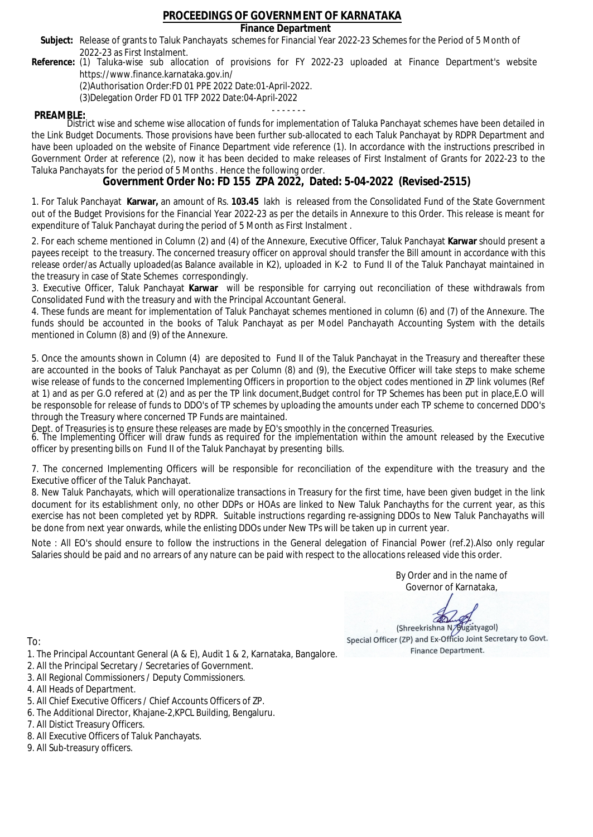### **Finance Department**

- Subject: Release of grants to Taluk Panchayats schemes for Financial Year 2022-23 Schemes for the Period of 5 Month of 2022-23 as First Instalment.
- **Reference:** (1) Taluka-wise sub allocation of provisions for FY 2022-23 uploaded at Finance Department's website https://www.finance.karnataka.gov.in/

(2)Authorisation Order:FD 01 PPE 2022 Date:01-April-2022.

(3)Delegation Order FD 01 TFP 2022 Date:04-April-2022

- - - - - - - **PREAMBLE:** District wise and scheme wise allocation of funds for implementation of Taluka Panchayat schemes have been detailed in the Link Budget Documents. Those provisions have been further sub-allocated to each Taluk Panchayat by RDPR Department and have been uploaded on the website of Finance Department vide reference (1). In accordance with the instructions prescribed in Government Order at reference (2), now it has been decided to make releases of First Instalment of Grants for 2022-23 to the Taluka Panchayats for the period of 5 Months . Hence the following order.

**Government Order No: FD 155 ZPA 2022, Dated: 5-04-2022 (Revised-2515)**

1. For Taluk Panchayat **Karwar,** an amount of Rs. **103.45** lakh is released from the Consolidated Fund of the State Government out of the Budget Provisions for the Financial Year 2022-23 as per the details in Annexure to this Order. This release is meant for expenditure of Taluk Panchayat during the period of 5 Month as First Instalment .

2. For each scheme mentioned in Column (2) and (4) of the Annexure, Executive Officer, Taluk Panchayat **Karwar** should present a payees receipt to the treasury. The concerned treasury officer on approval should transfer the Bill amount in accordance with this release order/as Actually uploaded(as Balance available in K2), uploaded in K-2 to Fund II of the Taluk Panchayat maintained in the treasury in case of State Schemes correspondingly.

3. Executive Officer, Taluk Panchayat **Karwar** will be responsible for carrying out reconciliation of these withdrawals from Consolidated Fund with the treasury and with the Principal Accountant General.

4. These funds are meant for implementation of Taluk Panchayat schemes mentioned in column (6) and (7) of the Annexure. The funds should be accounted in the books of Taluk Panchayat as per Model Panchayath Accounting System with the details mentioned in Column (8) and (9) of the Annexure.

5. Once the amounts shown in Column (4) are deposited to Fund II of the Taluk Panchayat in the Treasury and thereafter these are accounted in the books of Taluk Panchayat as per Column (8) and (9), the Executive Officer will take steps to make scheme wise release of funds to the concerned Implementing Officers in proportion to the object codes mentioned in ZP link volumes (Ref at 1) and as per G.O refered at (2) and as per the TP link document,Budget control for TP Schemes has been put in place,E.O will be responsoble for release of funds to DDO's of TP schemes by uploading the amounts under each TP scheme to concerned DDO's through the Treasury where concerned TP Funds are maintained.

Dept. of Treasuries is to ensure these releases are made by EO's smoothly in the concerned Treasuries.

6. The Implementing Officer will draw funds as required for the implementation within the amount released by the Executive officer by presenting bills on Fund II of the Taluk Panchayat by presenting bills.

7. The concerned Implementing Officers will be responsible for reconciliation of the expenditure with the treasury and the Executive officer of the Taluk Panchayat.

8. New Taluk Panchayats, which will operationalize transactions in Treasury for the first time, have been given budget in the link document for its establishment only, no other DDPs or HOAs are linked to New Taluk Panchayths for the current year, as this exercise has not been completed yet by RDPR. Suitable instructions regarding re-assigning DDOs to New Taluk Panchayaths will be done from next year onwards, while the enlisting DDOs under New TPs will be taken up in current year.

Note : All EO's should ensure to follow the instructions in the General delegation of Financial Power (ref.2).Also only regular Salaries should be paid and no arrears of any nature can be paid with respect to the allocations released vide this order.

> By Order and in the name of Governor of Karnataka,

**PD** 

(Shreekrishna N/Bugatyagol) Special Officer (ZP) and Ex-Officio Joint Secretary to Govt. Finance Department.

- 1. The Principal Accountant General (A & E), Audit 1 & 2, Karnataka, Bangalore.
- 2. All the Principal Secretary / Secretaries of Government.
- 3. All Regional Commissioners / Deputy Commissioners.
- 4. All Heads of Department.
- 5. All Chief Executive Officers / Chief Accounts Officers of ZP.
- 6. The Additional Director, Khajane-2,KPCL Building, Bengaluru.
- 7. All Distict Treasury Officers.
- 8. All Executive Officers of Taluk Panchayats.
- 9. All Sub-treasury officers.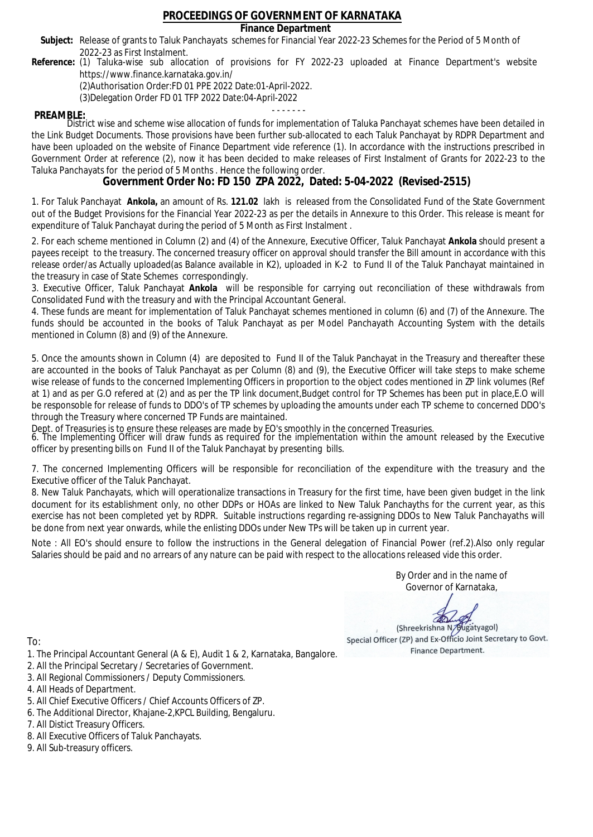### **Finance Department**

- Subject: Release of grants to Taluk Panchayats schemes for Financial Year 2022-23 Schemes for the Period of 5 Month of 2022-23 as First Instalment.
- **Reference:** (1) Taluka-wise sub allocation of provisions for FY 2022-23 uploaded at Finance Department's website https://www.finance.karnataka.gov.in/

(2)Authorisation Order:FD 01 PPE 2022 Date:01-April-2022.

(3)Delegation Order FD 01 TFP 2022 Date:04-April-2022

- - - - - - - **PREAMBLE:** District wise and scheme wise allocation of funds for implementation of Taluka Panchayat schemes have been detailed in the Link Budget Documents. Those provisions have been further sub-allocated to each Taluk Panchayat by RDPR Department and have been uploaded on the website of Finance Department vide reference (1). In accordance with the instructions prescribed in Government Order at reference (2), now it has been decided to make releases of First Instalment of Grants for 2022-23 to the Taluka Panchayats for the period of 5 Months . Hence the following order.

**Government Order No: FD 150 ZPA 2022, Dated: 5-04-2022 (Revised-2515)**

1. For Taluk Panchayat **Ankola,** an amount of Rs. **121.02** lakh is released from the Consolidated Fund of the State Government out of the Budget Provisions for the Financial Year 2022-23 as per the details in Annexure to this Order. This release is meant for expenditure of Taluk Panchayat during the period of 5 Month as First Instalment .

2. For each scheme mentioned in Column (2) and (4) of the Annexure, Executive Officer, Taluk Panchayat **Ankola** should present a payees receipt to the treasury. The concerned treasury officer on approval should transfer the Bill amount in accordance with this release order/as Actually uploaded(as Balance available in K2), uploaded in K-2 to Fund II of the Taluk Panchayat maintained in the treasury in case of State Schemes correspondingly.

3. Executive Officer, Taluk Panchayat **Ankola** will be responsible for carrying out reconciliation of these withdrawals from Consolidated Fund with the treasury and with the Principal Accountant General.

4. These funds are meant for implementation of Taluk Panchayat schemes mentioned in column (6) and (7) of the Annexure. The funds should be accounted in the books of Taluk Panchayat as per Model Panchayath Accounting System with the details mentioned in Column (8) and (9) of the Annexure.

5. Once the amounts shown in Column (4) are deposited to Fund II of the Taluk Panchayat in the Treasury and thereafter these are accounted in the books of Taluk Panchayat as per Column (8) and (9), the Executive Officer will take steps to make scheme wise release of funds to the concerned Implementing Officers in proportion to the object codes mentioned in ZP link volumes (Ref at 1) and as per G.O refered at (2) and as per the TP link document,Budget control for TP Schemes has been put in place,E.O will be responsoble for release of funds to DDO's of TP schemes by uploading the amounts under each TP scheme to concerned DDO's through the Treasury where concerned TP Funds are maintained.

Dept. of Treasuries is to ensure these releases are made by EO's smoothly in the concerned Treasuries.

6. The Implementing Officer will draw funds as required for the implementation within the amount released by the Executive officer by presenting bills on Fund II of the Taluk Panchayat by presenting bills.

7. The concerned Implementing Officers will be responsible for reconciliation of the expenditure with the treasury and the Executive officer of the Taluk Panchayat.

8. New Taluk Panchayats, which will operationalize transactions in Treasury for the first time, have been given budget in the link document for its establishment only, no other DDPs or HOAs are linked to New Taluk Panchayths for the current year, as this exercise has not been completed yet by RDPR. Suitable instructions regarding re-assigning DDOs to New Taluk Panchayaths will be done from next year onwards, while the enlisting DDOs under New TPs will be taken up in current year.

Note : All EO's should ensure to follow the instructions in the General delegation of Financial Power (ref.2).Also only regular Salaries should be paid and no arrears of any nature can be paid with respect to the allocations released vide this order.

> By Order and in the name of Governor of Karnataka,

**PD** 

(Shreekrishna N/Bugatyagol) Special Officer (ZP) and Ex-Officio Joint Secretary to Govt. Finance Department.

To:

- 1. The Principal Accountant General (A & E), Audit 1 & 2, Karnataka, Bangalore.
- 2. All the Principal Secretary / Secretaries of Government.
- 3. All Regional Commissioners / Deputy Commissioners.
- 4. All Heads of Department.
- 5. All Chief Executive Officers / Chief Accounts Officers of ZP.
- 6. The Additional Director, Khajane-2,KPCL Building, Bengaluru.

- 8. All Executive Officers of Taluk Panchayats.
- 9. All Sub-treasury officers.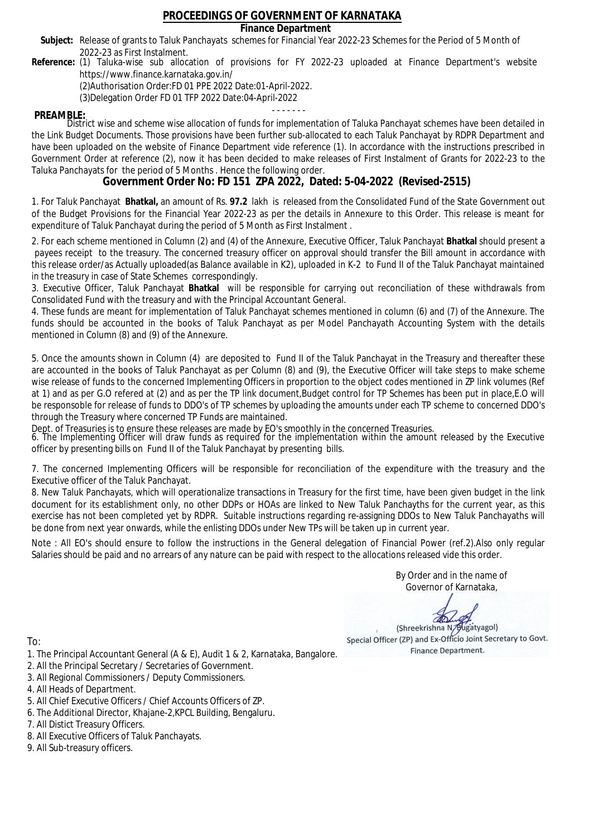### **Finance Department**

- Subject: Release of grants to Taluk Panchayats schemes for Financial Year 2022-23 Schemes for the Period of 5 Month of 2022-23 as First Instalment.
- **Reference:** (1) Taluka-wise sub allocation of provisions for FY 2022-23 uploaded at Finance Department's website https://www.finance.karnataka.gov.in/

(2)Authorisation Order:FD 01 PPE 2022 Date:01-April-2022.

(3)Delegation Order FD 01 TFP 2022 Date:04-April-2022

- - - - - - - **PREAMBLE:** District wise and scheme wise allocation of funds for implementation of Taluka Panchayat schemes have been detailed in the Link Budget Documents. Those provisions have been further sub-allocated to each Taluk Panchayat by RDPR Department and have been uploaded on the website of Finance Department vide reference (1). In accordance with the instructions prescribed in Government Order at reference (2), now it has been decided to make releases of First Instalment of Grants for 2022-23 to the Taluka Panchayats for the period of 5 Months . Hence the following order.

**Government Order No: FD 151 ZPA 2022, Dated: 5-04-2022 (Revised-2515)**

1. For Taluk Panchayat **Bhatkal,** an amount of Rs. **97.2** lakh is released from the Consolidated Fund of the State Government out of the Budget Provisions for the Financial Year 2022-23 as per the details in Annexure to this Order. This release is meant for expenditure of Taluk Panchayat during the period of 5 Month as First Instalment .

2. For each scheme mentioned in Column (2) and (4) of the Annexure, Executive Officer, Taluk Panchayat **Bhatkal** should present a payees receipt to the treasury. The concerned treasury officer on approval should transfer the Bill amount in accordance with this release order/as Actually uploaded(as Balance available in K2), uploaded in K-2 to Fund II of the Taluk Panchayat maintained in the treasury in case of State Schemes correspondingly.

3. Executive Officer, Taluk Panchayat **Bhatkal** will be responsible for carrying out reconciliation of these withdrawals from Consolidated Fund with the treasury and with the Principal Accountant General.

4. These funds are meant for implementation of Taluk Panchayat schemes mentioned in column (6) and (7) of the Annexure. The funds should be accounted in the books of Taluk Panchayat as per Model Panchayath Accounting System with the details mentioned in Column (8) and (9) of the Annexure.

5. Once the amounts shown in Column (4) are deposited to Fund II of the Taluk Panchayat in the Treasury and thereafter these are accounted in the books of Taluk Panchayat as per Column (8) and (9), the Executive Officer will take steps to make scheme wise release of funds to the concerned Implementing Officers in proportion to the object codes mentioned in ZP link volumes (Ref at 1) and as per G.O refered at (2) and as per the TP link document,Budget control for TP Schemes has been put in place,E.O will be responsoble for release of funds to DDO's of TP schemes by uploading the amounts under each TP scheme to concerned DDO's through the Treasury where concerned TP Funds are maintained.

Dept. of Treasuries is to ensure these releases are made by EO's smoothly in the concerned Treasuries.

6. The Implementing Officer will draw funds as required for the implementation within the amount released by the Executive officer by presenting bills on Fund II of the Taluk Panchayat by presenting bills.

7. The concerned Implementing Officers will be responsible for reconciliation of the expenditure with the treasury and the Executive officer of the Taluk Panchayat.

8. New Taluk Panchayats, which will operationalize transactions in Treasury for the first time, have been given budget in the link document for its establishment only, no other DDPs or HOAs are linked to New Taluk Panchayths for the current year, as this exercise has not been completed yet by RDPR. Suitable instructions regarding re-assigning DDOs to New Taluk Panchayaths will be done from next year onwards, while the enlisting DDOs under New TPs will be taken up in current year.

Note : All EO's should ensure to follow the instructions in the General delegation of Financial Power (ref.2).Also only regular Salaries should be paid and no arrears of any nature can be paid with respect to the allocations released vide this order.

> By Order and in the name of Governor of Karnataka,

**PD** 

(Shreekrishna N/Bugatyagol) Special Officer (ZP) and Ex-Officio Joint Secretary to Govt. Finance Department.

To:

- 1. The Principal Accountant General (A & E), Audit 1 & 2, Karnataka, Bangalore.
- 2. All the Principal Secretary / Secretaries of Government.
- 3. All Regional Commissioners / Deputy Commissioners.
- 4. All Heads of Department.
- 5. All Chief Executive Officers / Chief Accounts Officers of ZP.
- 6. The Additional Director, Khajane-2,KPCL Building, Bengaluru.

- 8. All Executive Officers of Taluk Panchayats.
- 9. All Sub-treasury officers.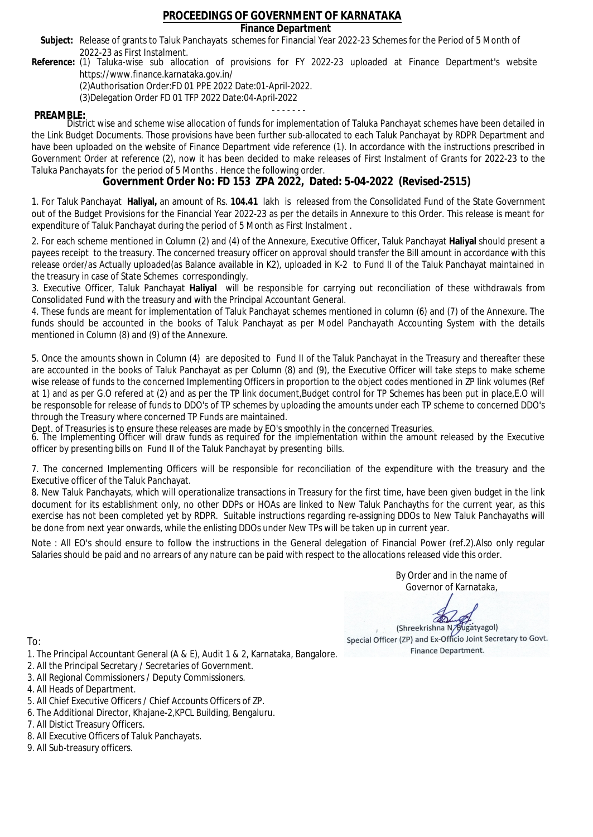### **Finance Department**

- Subject: Release of grants to Taluk Panchayats schemes for Financial Year 2022-23 Schemes for the Period of 5 Month of 2022-23 as First Instalment.
- **Reference:** (1) Taluka-wise sub allocation of provisions for FY 2022-23 uploaded at Finance Department's website https://www.finance.karnataka.gov.in/

(2)Authorisation Order:FD 01 PPE 2022 Date:01-April-2022.

(3)Delegation Order FD 01 TFP 2022 Date:04-April-2022

- - - - - - - **PREAMBLE:** District wise and scheme wise allocation of funds for implementation of Taluka Panchayat schemes have been detailed in the Link Budget Documents. Those provisions have been further sub-allocated to each Taluk Panchayat by RDPR Department and have been uploaded on the website of Finance Department vide reference (1). In accordance with the instructions prescribed in Government Order at reference (2), now it has been decided to make releases of First Instalment of Grants for 2022-23 to the Taluka Panchayats for the period of 5 Months . Hence the following order.

**Government Order No: FD 153 ZPA 2022, Dated: 5-04-2022 (Revised-2515)**

1. For Taluk Panchayat **Haliyal,** an amount of Rs. **104.41** lakh is released from the Consolidated Fund of the State Government out of the Budget Provisions for the Financial Year 2022-23 as per the details in Annexure to this Order. This release is meant for expenditure of Taluk Panchayat during the period of 5 Month as First Instalment .

2. For each scheme mentioned in Column (2) and (4) of the Annexure, Executive Officer, Taluk Panchayat **Haliyal** should present a payees receipt to the treasury. The concerned treasury officer on approval should transfer the Bill amount in accordance with this release order/as Actually uploaded(as Balance available in K2), uploaded in K-2 to Fund II of the Taluk Panchayat maintained in the treasury in case of State Schemes correspondingly.

3. Executive Officer, Taluk Panchayat **Haliyal** will be responsible for carrying out reconciliation of these withdrawals from Consolidated Fund with the treasury and with the Principal Accountant General.

4. These funds are meant for implementation of Taluk Panchayat schemes mentioned in column (6) and (7) of the Annexure. The funds should be accounted in the books of Taluk Panchayat as per Model Panchayath Accounting System with the details mentioned in Column (8) and (9) of the Annexure.

5. Once the amounts shown in Column (4) are deposited to Fund II of the Taluk Panchayat in the Treasury and thereafter these are accounted in the books of Taluk Panchayat as per Column (8) and (9), the Executive Officer will take steps to make scheme wise release of funds to the concerned Implementing Officers in proportion to the object codes mentioned in ZP link volumes (Ref at 1) and as per G.O refered at (2) and as per the TP link document,Budget control for TP Schemes has been put in place,E.O will be responsoble for release of funds to DDO's of TP schemes by uploading the amounts under each TP scheme to concerned DDO's through the Treasury where concerned TP Funds are maintained.

Dept. of Treasuries is to ensure these releases are made by EO's smoothly in the concerned Treasuries.

6. The Implementing Officer will draw funds as required for the implementation within the amount released by the Executive officer by presenting bills on Fund II of the Taluk Panchayat by presenting bills.

7. The concerned Implementing Officers will be responsible for reconciliation of the expenditure with the treasury and the Executive officer of the Taluk Panchayat.

8. New Taluk Panchayats, which will operationalize transactions in Treasury for the first time, have been given budget in the link document for its establishment only, no other DDPs or HOAs are linked to New Taluk Panchayths for the current year, as this exercise has not been completed yet by RDPR. Suitable instructions regarding re-assigning DDOs to New Taluk Panchayaths will be done from next year onwards, while the enlisting DDOs under New TPs will be taken up in current year.

Note : All EO's should ensure to follow the instructions in the General delegation of Financial Power (ref.2).Also only regular Salaries should be paid and no arrears of any nature can be paid with respect to the allocations released vide this order.

> By Order and in the name of Governor of Karnataka,

**PD** 

(Shreekrishna N/Bugatyagol) Special Officer (ZP) and Ex-Officio Joint Secretary to Govt. Finance Department.

To:

- 1. The Principal Accountant General (A & E), Audit 1 & 2, Karnataka, Bangalore.
- 2. All the Principal Secretary / Secretaries of Government.
- 3. All Regional Commissioners / Deputy Commissioners.
- 4. All Heads of Department.
- 5. All Chief Executive Officers / Chief Accounts Officers of ZP.
- 6. The Additional Director, Khajane-2,KPCL Building, Bengaluru.

- 8. All Executive Officers of Taluk Panchayats.
- 9. All Sub-treasury officers.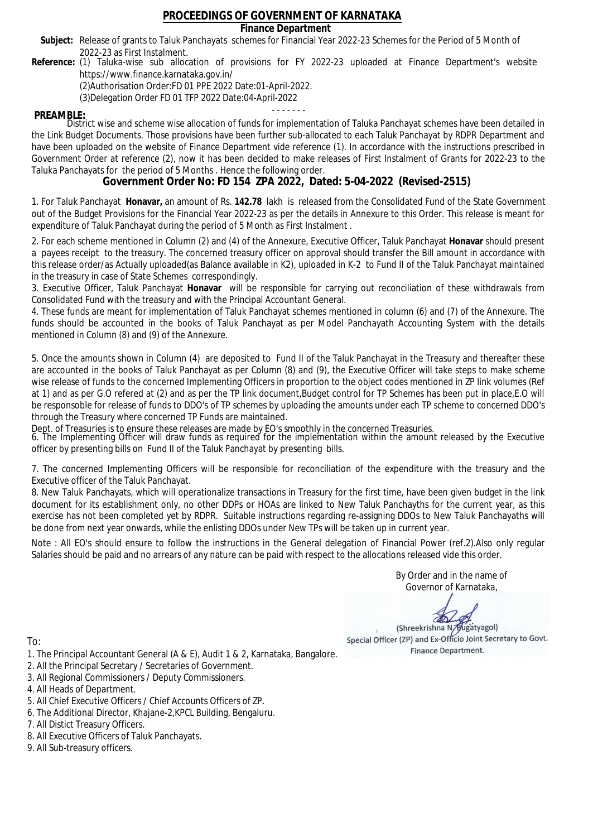### **Finance Department**

- Subject: Release of grants to Taluk Panchayats schemes for Financial Year 2022-23 Schemes for the Period of 5 Month of 2022-23 as First Instalment.
- **Reference:** (1) Taluka-wise sub allocation of provisions for FY 2022-23 uploaded at Finance Department's website https://www.finance.karnataka.gov.in/

(2)Authorisation Order:FD 01 PPE 2022 Date:01-April-2022.

(3)Delegation Order FD 01 TFP 2022 Date:04-April-2022

- - - - - - - **PREAMBLE:** District wise and scheme wise allocation of funds for implementation of Taluka Panchayat schemes have been detailed in the Link Budget Documents. Those provisions have been further sub-allocated to each Taluk Panchayat by RDPR Department and have been uploaded on the website of Finance Department vide reference (1). In accordance with the instructions prescribed in Government Order at reference (2), now it has been decided to make releases of First Instalment of Grants for 2022-23 to the Taluka Panchayats for the period of 5 Months . Hence the following order.

**Government Order No: FD 154 ZPA 2022, Dated: 5-04-2022 (Revised-2515)**

1. For Taluk Panchayat **Honavar,** an amount of Rs. **142.78** lakh is released from the Consolidated Fund of the State Government out of the Budget Provisions for the Financial Year 2022-23 as per the details in Annexure to this Order. This release is meant for expenditure of Taluk Panchayat during the period of 5 Month as First Instalment .

2. For each scheme mentioned in Column (2) and (4) of the Annexure, Executive Officer, Taluk Panchayat **Honavar** should present a payees receipt to the treasury. The concerned treasury officer on approval should transfer the Bill amount in accordance with this release order/as Actually uploaded(as Balance available in K2), uploaded in K-2 to Fund II of the Taluk Panchayat maintained in the treasury in case of State Schemes correspondingly.

3. Executive Officer, Taluk Panchayat **Honavar** will be responsible for carrying out reconciliation of these withdrawals from Consolidated Fund with the treasury and with the Principal Accountant General.

4. These funds are meant for implementation of Taluk Panchayat schemes mentioned in column (6) and (7) of the Annexure. The funds should be accounted in the books of Taluk Panchayat as per Model Panchayath Accounting System with the details mentioned in Column (8) and (9) of the Annexure.

5. Once the amounts shown in Column (4) are deposited to Fund II of the Taluk Panchayat in the Treasury and thereafter these are accounted in the books of Taluk Panchayat as per Column (8) and (9), the Executive Officer will take steps to make scheme wise release of funds to the concerned Implementing Officers in proportion to the object codes mentioned in ZP link volumes (Ref at 1) and as per G.O refered at (2) and as per the TP link document,Budget control for TP Schemes has been put in place,E.O will be responsoble for release of funds to DDO's of TP schemes by uploading the amounts under each TP scheme to concerned DDO's through the Treasury where concerned TP Funds are maintained.

Dept. of Treasuries is to ensure these releases are made by EO's smoothly in the concerned Treasuries.

6. The Implementing Officer will draw funds as required for the implementation within the amount released by the Executive officer by presenting bills on Fund II of the Taluk Panchayat by presenting bills.

7. The concerned Implementing Officers will be responsible for reconciliation of the expenditure with the treasury and the Executive officer of the Taluk Panchayat.

8. New Taluk Panchayats, which will operationalize transactions in Treasury for the first time, have been given budget in the link document for its establishment only, no other DDPs or HOAs are linked to New Taluk Panchayths for the current year, as this exercise has not been completed yet by RDPR. Suitable instructions regarding re-assigning DDOs to New Taluk Panchayaths will be done from next year onwards, while the enlisting DDOs under New TPs will be taken up in current year.

Note : All EO's should ensure to follow the instructions in the General delegation of Financial Power (ref.2).Also only regular Salaries should be paid and no arrears of any nature can be paid with respect to the allocations released vide this order.

> By Order and in the name of Governor of Karnataka,

**PD** 

(Shreekrishna N/Bugatyagol) Special Officer (ZP) and Ex-Officio Joint Secretary to Govt. Finance Department.

- 1. The Principal Accountant General (A & E), Audit 1 & 2, Karnataka, Bangalore.
- 2. All the Principal Secretary / Secretaries of Government.
- 3. All Regional Commissioners / Deputy Commissioners.
- 4. All Heads of Department.
- 5. All Chief Executive Officers / Chief Accounts Officers of ZP.
- 6. The Additional Director, Khajane-2,KPCL Building, Bengaluru.
- 7. All Distict Treasury Officers.
- 8. All Executive Officers of Taluk Panchayats.
- 9. All Sub-treasury officers.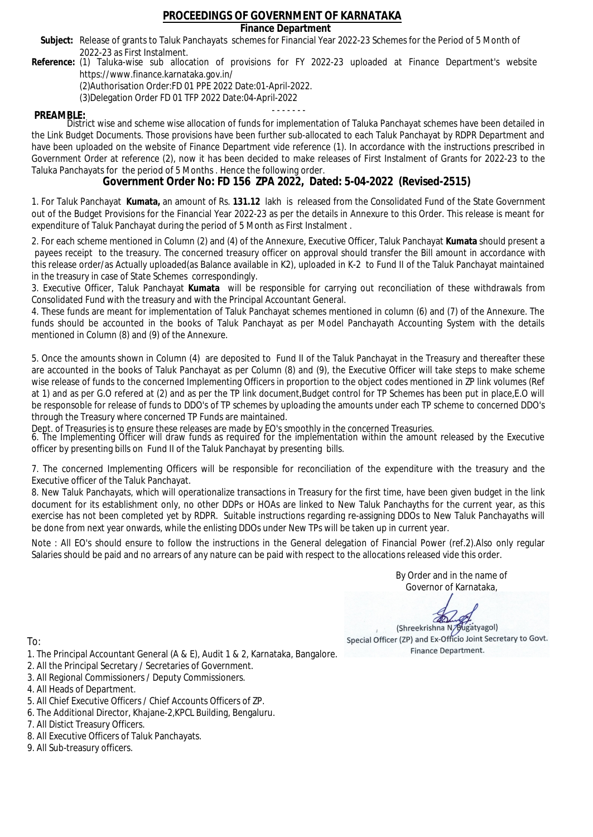### **Finance Department**

- Subject: Release of grants to Taluk Panchayats schemes for Financial Year 2022-23 Schemes for the Period of 5 Month of 2022-23 as First Instalment.
- **Reference:** (1) Taluka-wise sub allocation of provisions for FY 2022-23 uploaded at Finance Department's website https://www.finance.karnataka.gov.in/

(2)Authorisation Order:FD 01 PPE 2022 Date:01-April-2022.

(3)Delegation Order FD 01 TFP 2022 Date:04-April-2022

- - - - - - - **PREAMBLE:** District wise and scheme wise allocation of funds for implementation of Taluka Panchayat schemes have been detailed in the Link Budget Documents. Those provisions have been further sub-allocated to each Taluk Panchayat by RDPR Department and have been uploaded on the website of Finance Department vide reference (1). In accordance with the instructions prescribed in Government Order at reference (2), now it has been decided to make releases of First Instalment of Grants for 2022-23 to the Taluka Panchayats for the period of 5 Months . Hence the following order.

**Government Order No: FD 156 ZPA 2022, Dated: 5-04-2022 (Revised-2515)**

1. For Taluk Panchayat **Kumata,** an amount of Rs. **131.12** lakh is released from the Consolidated Fund of the State Government out of the Budget Provisions for the Financial Year 2022-23 as per the details in Annexure to this Order. This release is meant for expenditure of Taluk Panchayat during the period of 5 Month as First Instalment .

2. For each scheme mentioned in Column (2) and (4) of the Annexure, Executive Officer, Taluk Panchayat **Kumata** should present a payees receipt to the treasury. The concerned treasury officer on approval should transfer the Bill amount in accordance with this release order/as Actually uploaded(as Balance available in K2), uploaded in K-2 to Fund II of the Taluk Panchayat maintained in the treasury in case of State Schemes correspondingly.

3. Executive Officer, Taluk Panchayat **Kumata** will be responsible for carrying out reconciliation of these withdrawals from Consolidated Fund with the treasury and with the Principal Accountant General.

4. These funds are meant for implementation of Taluk Panchayat schemes mentioned in column (6) and (7) of the Annexure. The funds should be accounted in the books of Taluk Panchayat as per Model Panchayath Accounting System with the details mentioned in Column (8) and (9) of the Annexure.

5. Once the amounts shown in Column (4) are deposited to Fund II of the Taluk Panchayat in the Treasury and thereafter these are accounted in the books of Taluk Panchayat as per Column (8) and (9), the Executive Officer will take steps to make scheme wise release of funds to the concerned Implementing Officers in proportion to the object codes mentioned in ZP link volumes (Ref at 1) and as per G.O refered at (2) and as per the TP link document,Budget control for TP Schemes has been put in place,E.O will be responsoble for release of funds to DDO's of TP schemes by uploading the amounts under each TP scheme to concerned DDO's through the Treasury where concerned TP Funds are maintained.

Dept. of Treasuries is to ensure these releases are made by EO's smoothly in the concerned Treasuries.

6. The Implementing Officer will draw funds as required for the implementation within the amount released by the Executive officer by presenting bills on Fund II of the Taluk Panchayat by presenting bills.

7. The concerned Implementing Officers will be responsible for reconciliation of the expenditure with the treasury and the Executive officer of the Taluk Panchayat.

8. New Taluk Panchayats, which will operationalize transactions in Treasury for the first time, have been given budget in the link document for its establishment only, no other DDPs or HOAs are linked to New Taluk Panchayths for the current year, as this exercise has not been completed yet by RDPR. Suitable instructions regarding re-assigning DDOs to New Taluk Panchayaths will be done from next year onwards, while the enlisting DDOs under New TPs will be taken up in current year.

Note : All EO's should ensure to follow the instructions in the General delegation of Financial Power (ref.2).Also only regular Salaries should be paid and no arrears of any nature can be paid with respect to the allocations released vide this order.

> By Order and in the name of Governor of Karnataka,

**PD** 

(Shreekrishna N/Bugatyagol) Special Officer (ZP) and Ex-Officio Joint Secretary to Govt. Finance Department.

- 1. The Principal Accountant General (A & E), Audit 1 & 2, Karnataka, Bangalore.
- 2. All the Principal Secretary / Secretaries of Government.
- 3. All Regional Commissioners / Deputy Commissioners.
- 4. All Heads of Department.
- 5. All Chief Executive Officers / Chief Accounts Officers of ZP.
- 6. The Additional Director, Khajane-2,KPCL Building, Bengaluru.
- 7. All Distict Treasury Officers.
- 8. All Executive Officers of Taluk Panchayats.
- 9. All Sub-treasury officers.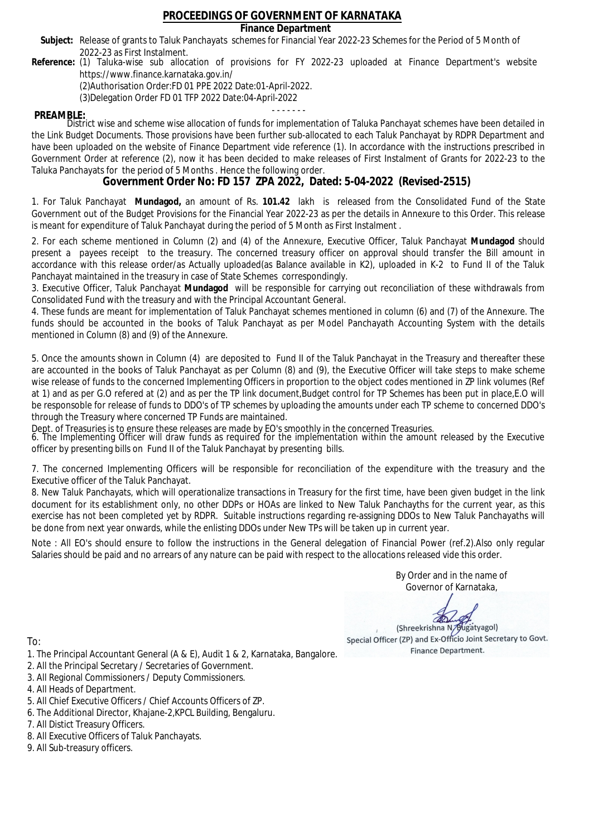### **Finance Department**

- Subject: Release of grants to Taluk Panchayats schemes for Financial Year 2022-23 Schemes for the Period of 5 Month of 2022-23 as First Instalment.
- **Reference:** (1) Taluka-wise sub allocation of provisions for FY 2022-23 uploaded at Finance Department's website https://www.finance.karnataka.gov.in/

(2)Authorisation Order:FD 01 PPE 2022 Date:01-April-2022.

(3)Delegation Order FD 01 TFP 2022 Date:04-April-2022

- - - - - - - **PREAMBLE:** District wise and scheme wise allocation of funds for implementation of Taluka Panchayat schemes have been detailed in the Link Budget Documents. Those provisions have been further sub-allocated to each Taluk Panchayat by RDPR Department and have been uploaded on the website of Finance Department vide reference (1). In accordance with the instructions prescribed in Government Order at reference (2), now it has been decided to make releases of First Instalment of Grants for 2022-23 to the Taluka Panchayats for the period of 5 Months . Hence the following order.

**Government Order No: FD 157 ZPA 2022, Dated: 5-04-2022 (Revised-2515)**

1. For Taluk Panchayat **Mundagod,** an amount of Rs. **101.42** lakh is released from the Consolidated Fund of the State Government out of the Budget Provisions for the Financial Year 2022-23 as per the details in Annexure to this Order. This release is meant for expenditure of Taluk Panchayat during the period of 5 Month as First Instalment .

2. For each scheme mentioned in Column (2) and (4) of the Annexure, Executive Officer, Taluk Panchayat **Mundagod** should present a payees receipt to the treasury. The concerned treasury officer on approval should transfer the Bill amount in accordance with this release order/as Actually uploaded(as Balance available in K2), uploaded in K-2 to Fund II of the Taluk Panchayat maintained in the treasury in case of State Schemes correspondingly.

3. Executive Officer, Taluk Panchayat **Mundagod** will be responsible for carrying out reconciliation of these withdrawals from Consolidated Fund with the treasury and with the Principal Accountant General.

4. These funds are meant for implementation of Taluk Panchayat schemes mentioned in column (6) and (7) of the Annexure. The funds should be accounted in the books of Taluk Panchayat as per Model Panchayath Accounting System with the details mentioned in Column (8) and (9) of the Annexure.

5. Once the amounts shown in Column (4) are deposited to Fund II of the Taluk Panchayat in the Treasury and thereafter these are accounted in the books of Taluk Panchayat as per Column (8) and (9), the Executive Officer will take steps to make scheme wise release of funds to the concerned Implementing Officers in proportion to the object codes mentioned in ZP link volumes (Ref at 1) and as per G.O refered at (2) and as per the TP link document,Budget control for TP Schemes has been put in place,E.O will be responsoble for release of funds to DDO's of TP schemes by uploading the amounts under each TP scheme to concerned DDO's through the Treasury where concerned TP Funds are maintained.

Dept. of Treasuries is to ensure these releases are made by EO's smoothly in the concerned Treasuries.

6. The Implementing Officer will draw funds as required for the implementation within the amount released by the Executive officer by presenting bills on Fund II of the Taluk Panchayat by presenting bills.

7. The concerned Implementing Officers will be responsible for reconciliation of the expenditure with the treasury and the Executive officer of the Taluk Panchayat.

8. New Taluk Panchayats, which will operationalize transactions in Treasury for the first time, have been given budget in the link document for its establishment only, no other DDPs or HOAs are linked to New Taluk Panchayths for the current year, as this exercise has not been completed yet by RDPR. Suitable instructions regarding re-assigning DDOs to New Taluk Panchayaths will be done from next year onwards, while the enlisting DDOs under New TPs will be taken up in current year.

Note : All EO's should ensure to follow the instructions in the General delegation of Financial Power (ref.2).Also only regular Salaries should be paid and no arrears of any nature can be paid with respect to the allocations released vide this order.

> By Order and in the name of Governor of Karnataka,

**PD** 

(Shreekrishna N/Bugatyagol) Special Officer (ZP) and Ex-Officio Joint Secretary to Govt. Finance Department.

- 1. The Principal Accountant General (A & E), Audit 1 & 2, Karnataka, Bangalore.
- 2. All the Principal Secretary / Secretaries of Government.
- 3. All Regional Commissioners / Deputy Commissioners.
- 4. All Heads of Department.
- 5. All Chief Executive Officers / Chief Accounts Officers of ZP.
- 6. The Additional Director, Khajane-2,KPCL Building, Bengaluru.
- 7. All Distict Treasury Officers.
- 8. All Executive Officers of Taluk Panchayats.
- 9. All Sub-treasury officers.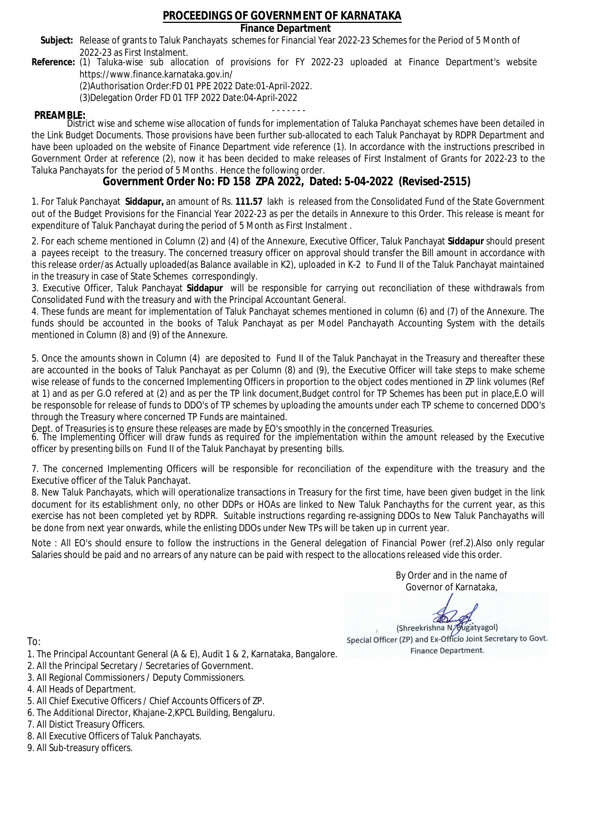### **Finance Department**

- Subject: Release of grants to Taluk Panchayats schemes for Financial Year 2022-23 Schemes for the Period of 5 Month of 2022-23 as First Instalment.
- **Reference:** (1) Taluka-wise sub allocation of provisions for FY 2022-23 uploaded at Finance Department's website https://www.finance.karnataka.gov.in/

(2)Authorisation Order:FD 01 PPE 2022 Date:01-April-2022.

(3)Delegation Order FD 01 TFP 2022 Date:04-April-2022

- - - - - - - **PREAMBLE:** District wise and scheme wise allocation of funds for implementation of Taluka Panchayat schemes have been detailed in the Link Budget Documents. Those provisions have been further sub-allocated to each Taluk Panchayat by RDPR Department and have been uploaded on the website of Finance Department vide reference (1). In accordance with the instructions prescribed in Government Order at reference (2), now it has been decided to make releases of First Instalment of Grants for 2022-23 to the Taluka Panchayats for the period of 5 Months . Hence the following order.

**Government Order No: FD 158 ZPA 2022, Dated: 5-04-2022 (Revised-2515)**

1. For Taluk Panchayat **Siddapur,** an amount of Rs. **111.57** lakh is released from the Consolidated Fund of the State Government out of the Budget Provisions for the Financial Year 2022-23 as per the details in Annexure to this Order. This release is meant for expenditure of Taluk Panchayat during the period of 5 Month as First Instalment .

2. For each scheme mentioned in Column (2) and (4) of the Annexure, Executive Officer, Taluk Panchayat **Siddapur** should present a payees receipt to the treasury. The concerned treasury officer on approval should transfer the Bill amount in accordance with this release order/as Actually uploaded(as Balance available in K2), uploaded in K-2 to Fund II of the Taluk Panchayat maintained in the treasury in case of State Schemes correspondingly.

3. Executive Officer, Taluk Panchayat **Siddapur** will be responsible for carrying out reconciliation of these withdrawals from Consolidated Fund with the treasury and with the Principal Accountant General.

4. These funds are meant for implementation of Taluk Panchayat schemes mentioned in column (6) and (7) of the Annexure. The funds should be accounted in the books of Taluk Panchayat as per Model Panchayath Accounting System with the details mentioned in Column (8) and (9) of the Annexure.

5. Once the amounts shown in Column (4) are deposited to Fund II of the Taluk Panchayat in the Treasury and thereafter these are accounted in the books of Taluk Panchayat as per Column (8) and (9), the Executive Officer will take steps to make scheme wise release of funds to the concerned Implementing Officers in proportion to the object codes mentioned in ZP link volumes (Ref at 1) and as per G.O refered at (2) and as per the TP link document,Budget control for TP Schemes has been put in place,E.O will be responsoble for release of funds to DDO's of TP schemes by uploading the amounts under each TP scheme to concerned DDO's through the Treasury where concerned TP Funds are maintained.

Dept. of Treasuries is to ensure these releases are made by EO's smoothly in the concerned Treasuries.

6. The Implementing Officer will draw funds as required for the implementation within the amount released by the Executive officer by presenting bills on Fund II of the Taluk Panchayat by presenting bills.

7. The concerned Implementing Officers will be responsible for reconciliation of the expenditure with the treasury and the Executive officer of the Taluk Panchayat.

8. New Taluk Panchayats, which will operationalize transactions in Treasury for the first time, have been given budget in the link document for its establishment only, no other DDPs or HOAs are linked to New Taluk Panchayths for the current year, as this exercise has not been completed yet by RDPR. Suitable instructions regarding re-assigning DDOs to New Taluk Panchayaths will be done from next year onwards, while the enlisting DDOs under New TPs will be taken up in current year.

Note : All EO's should ensure to follow the instructions in the General delegation of Financial Power (ref.2).Also only regular Salaries should be paid and no arrears of any nature can be paid with respect to the allocations released vide this order.

> By Order and in the name of Governor of Karnataka,

**PD** 

(Shreekrishna N/Bugatyagol) Special Officer (ZP) and Ex-Officio Joint Secretary to Govt. Finance Department.

To:

- 1. The Principal Accountant General (A & E), Audit 1 & 2, Karnataka, Bangalore.
- 2. All the Principal Secretary / Secretaries of Government.
- 3. All Regional Commissioners / Deputy Commissioners.
- 4. All Heads of Department.
- 5. All Chief Executive Officers / Chief Accounts Officers of ZP.
- 6. The Additional Director, Khajane-2,KPCL Building, Bengaluru.

- 8. All Executive Officers of Taluk Panchayats.
- 9. All Sub-treasury officers.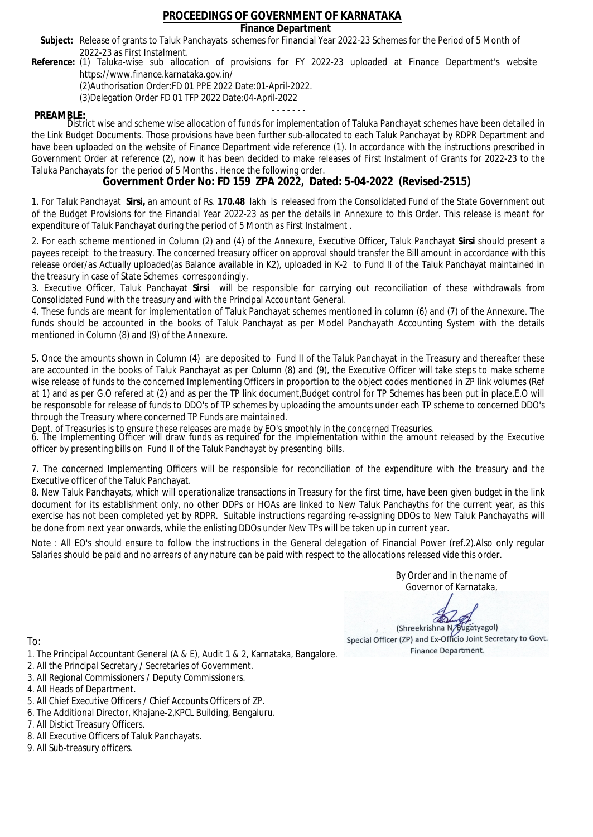### **Finance Department**

- Subject: Release of grants to Taluk Panchayats schemes for Financial Year 2022-23 Schemes for the Period of 5 Month of 2022-23 as First Instalment.
- **Reference:** (1) Taluka-wise sub allocation of provisions for FY 2022-23 uploaded at Finance Department's website https://www.finance.karnataka.gov.in/

(2)Authorisation Order:FD 01 PPE 2022 Date:01-April-2022.

(3)Delegation Order FD 01 TFP 2022 Date:04-April-2022

- - - - - - - **PREAMBLE:** District wise and scheme wise allocation of funds for implementation of Taluka Panchayat schemes have been detailed in the Link Budget Documents. Those provisions have been further sub-allocated to each Taluk Panchayat by RDPR Department and have been uploaded on the website of Finance Department vide reference (1). In accordance with the instructions prescribed in Government Order at reference (2), now it has been decided to make releases of First Instalment of Grants for 2022-23 to the Taluka Panchayats for the period of 5 Months . Hence the following order.

**Government Order No: FD 159 ZPA 2022, Dated: 5-04-2022 (Revised-2515)**

1. For Taluk Panchayat **Sirsi,** an amount of Rs. **170.48** lakh is released from the Consolidated Fund of the State Government out of the Budget Provisions for the Financial Year 2022-23 as per the details in Annexure to this Order. This release is meant for expenditure of Taluk Panchayat during the period of 5 Month as First Instalment .

2. For each scheme mentioned in Column (2) and (4) of the Annexure, Executive Officer, Taluk Panchayat **Sirsi** should present a payees receipt to the treasury. The concerned treasury officer on approval should transfer the Bill amount in accordance with this release order/as Actually uploaded(as Balance available in K2), uploaded in K-2 to Fund II of the Taluk Panchayat maintained in the treasury in case of State Schemes correspondingly.

3. Executive Officer, Taluk Panchayat **Sirsi** will be responsible for carrying out reconciliation of these withdrawals from Consolidated Fund with the treasury and with the Principal Accountant General.

4. These funds are meant for implementation of Taluk Panchayat schemes mentioned in column (6) and (7) of the Annexure. The funds should be accounted in the books of Taluk Panchayat as per Model Panchayath Accounting System with the details mentioned in Column (8) and (9) of the Annexure.

5. Once the amounts shown in Column (4) are deposited to Fund II of the Taluk Panchayat in the Treasury and thereafter these are accounted in the books of Taluk Panchayat as per Column (8) and (9), the Executive Officer will take steps to make scheme wise release of funds to the concerned Implementing Officers in proportion to the object codes mentioned in ZP link volumes (Ref at 1) and as per G.O refered at (2) and as per the TP link document,Budget control for TP Schemes has been put in place,E.O will be responsoble for release of funds to DDO's of TP schemes by uploading the amounts under each TP scheme to concerned DDO's through the Treasury where concerned TP Funds are maintained.

Dept. of Treasuries is to ensure these releases are made by EO's smoothly in the concerned Treasuries.

6. The Implementing Officer will draw funds as required for the implementation within the amount released by the Executive officer by presenting bills on Fund II of the Taluk Panchayat by presenting bills.

7. The concerned Implementing Officers will be responsible for reconciliation of the expenditure with the treasury and the Executive officer of the Taluk Panchayat.

8. New Taluk Panchayats, which will operationalize transactions in Treasury for the first time, have been given budget in the link document for its establishment only, no other DDPs or HOAs are linked to New Taluk Panchayths for the current year, as this exercise has not been completed yet by RDPR. Suitable instructions regarding re-assigning DDOs to New Taluk Panchayaths will be done from next year onwards, while the enlisting DDOs under New TPs will be taken up in current year.

Note : All EO's should ensure to follow the instructions in the General delegation of Financial Power (ref.2).Also only regular Salaries should be paid and no arrears of any nature can be paid with respect to the allocations released vide this order.

> By Order and in the name of Governor of Karnataka,

**PD** 

(Shreekrishna N/Bugatyagol) Special Officer (ZP) and Ex-Officio Joint Secretary to Govt. Finance Department.

To:

- 1. The Principal Accountant General (A & E), Audit 1 & 2, Karnataka, Bangalore.
- 2. All the Principal Secretary / Secretaries of Government.
- 3. All Regional Commissioners / Deputy Commissioners.
- 4. All Heads of Department.
- 5. All Chief Executive Officers / Chief Accounts Officers of ZP.
- 6. The Additional Director, Khajane-2,KPCL Building, Bengaluru.

- 8. All Executive Officers of Taluk Panchayats.
- 9. All Sub-treasury officers.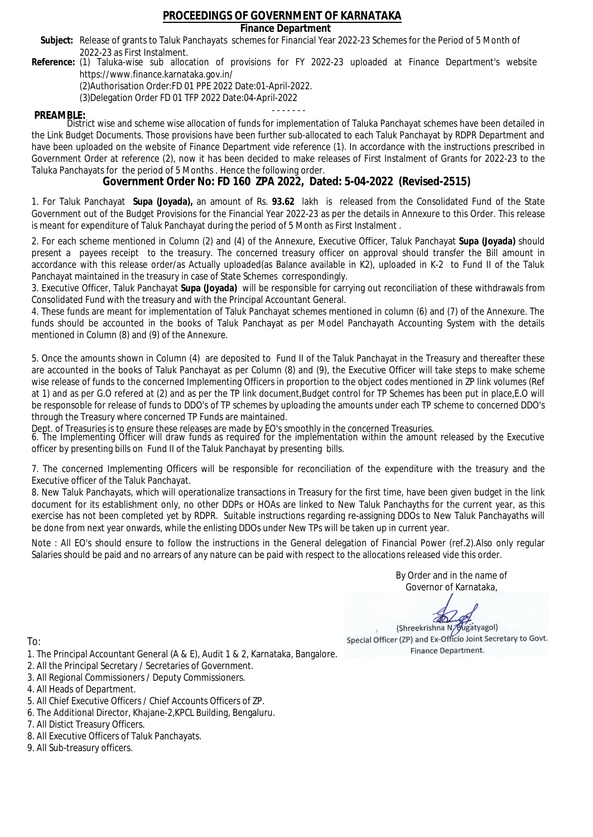### **Finance Department**

- Subject: Release of grants to Taluk Panchayats schemes for Financial Year 2022-23 Schemes for the Period of 5 Month of 2022-23 as First Instalment.
- **Reference:** (1) Taluka-wise sub allocation of provisions for FY 2022-23 uploaded at Finance Department's website https://www.finance.karnataka.gov.in/

(2)Authorisation Order:FD 01 PPE 2022 Date:01-April-2022.

(3)Delegation Order FD 01 TFP 2022 Date:04-April-2022

- - - - - - - **PREAMBLE:** District wise and scheme wise allocation of funds for implementation of Taluka Panchayat schemes have been detailed in the Link Budget Documents. Those provisions have been further sub-allocated to each Taluk Panchayat by RDPR Department and have been uploaded on the website of Finance Department vide reference (1). In accordance with the instructions prescribed in Government Order at reference (2), now it has been decided to make releases of First Instalment of Grants for 2022-23 to the Taluka Panchayats for the period of 5 Months . Hence the following order.

**Government Order No: FD 160 ZPA 2022, Dated: 5-04-2022 (Revised-2515)**

1. For Taluk Panchayat **Supa (Joyada),** an amount of Rs. **93.62** lakh is released from the Consolidated Fund of the State Government out of the Budget Provisions for the Financial Year 2022-23 as per the details in Annexure to this Order. This release is meant for expenditure of Taluk Panchayat during the period of 5 Month as First Instalment .

2. For each scheme mentioned in Column (2) and (4) of the Annexure, Executive Officer, Taluk Panchayat **Supa (Joyada)** should present a payees receipt to the treasury. The concerned treasury officer on approval should transfer the Bill amount in accordance with this release order/as Actually uploaded(as Balance available in K2), uploaded in K-2 to Fund II of the Taluk Panchayat maintained in the treasury in case of State Schemes correspondingly.

3. Executive Officer, Taluk Panchayat **Supa (Joyada)** will be responsible for carrying out reconciliation of these withdrawals from Consolidated Fund with the treasury and with the Principal Accountant General.

4. These funds are meant for implementation of Taluk Panchayat schemes mentioned in column (6) and (7) of the Annexure. The funds should be accounted in the books of Taluk Panchayat as per Model Panchayath Accounting System with the details mentioned in Column (8) and (9) of the Annexure.

5. Once the amounts shown in Column (4) are deposited to Fund II of the Taluk Panchayat in the Treasury and thereafter these are accounted in the books of Taluk Panchayat as per Column (8) and (9), the Executive Officer will take steps to make scheme wise release of funds to the concerned Implementing Officers in proportion to the object codes mentioned in ZP link volumes (Ref at 1) and as per G.O refered at (2) and as per the TP link document,Budget control for TP Schemes has been put in place,E.O will be responsoble for release of funds to DDO's of TP schemes by uploading the amounts under each TP scheme to concerned DDO's through the Treasury where concerned TP Funds are maintained.

Dept. of Treasuries is to ensure these releases are made by EO's smoothly in the concerned Treasuries.

6. The Implementing Officer will draw funds as required for the implementation within the amount released by the Executive officer by presenting bills on Fund II of the Taluk Panchayat by presenting bills.

7. The concerned Implementing Officers will be responsible for reconciliation of the expenditure with the treasury and the Executive officer of the Taluk Panchayat.

8. New Taluk Panchayats, which will operationalize transactions in Treasury for the first time, have been given budget in the link document for its establishment only, no other DDPs or HOAs are linked to New Taluk Panchayths for the current year, as this exercise has not been completed yet by RDPR. Suitable instructions regarding re-assigning DDOs to New Taluk Panchayaths will be done from next year onwards, while the enlisting DDOs under New TPs will be taken up in current year.

Note : All EO's should ensure to follow the instructions in the General delegation of Financial Power (ref.2).Also only regular Salaries should be paid and no arrears of any nature can be paid with respect to the allocations released vide this order.

> By Order and in the name of Governor of Karnataka,

**PD** 

(Shreekrishna N/Bugatyagol) Special Officer (ZP) and Ex-Officio Joint Secretary to Govt. Finance Department.

- 1. The Principal Accountant General (A & E), Audit 1 & 2, Karnataka, Bangalore.
- 2. All the Principal Secretary / Secretaries of Government.
- 3. All Regional Commissioners / Deputy Commissioners.
- 4. All Heads of Department.
- 5. All Chief Executive Officers / Chief Accounts Officers of ZP.
- 6. The Additional Director, Khajane-2,KPCL Building, Bengaluru.
- 7. All Distict Treasury Officers.
- 8. All Executive Officers of Taluk Panchayats.
- 9. All Sub-treasury officers.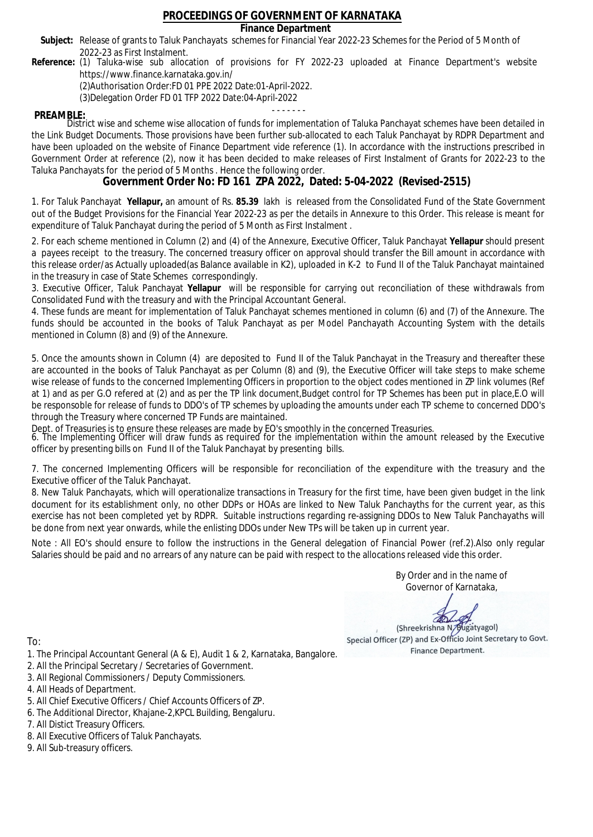### **Finance Department**

- Subject: Release of grants to Taluk Panchayats schemes for Financial Year 2022-23 Schemes for the Period of 5 Month of 2022-23 as First Instalment.
- **Reference:** (1) Taluka-wise sub allocation of provisions for FY 2022-23 uploaded at Finance Department's website https://www.finance.karnataka.gov.in/

(2)Authorisation Order:FD 01 PPE 2022 Date:01-April-2022.

(3)Delegation Order FD 01 TFP 2022 Date:04-April-2022

- - - - - - - **PREAMBLE:** District wise and scheme wise allocation of funds for implementation of Taluka Panchayat schemes have been detailed in the Link Budget Documents. Those provisions have been further sub-allocated to each Taluk Panchayat by RDPR Department and have been uploaded on the website of Finance Department vide reference (1). In accordance with the instructions prescribed in Government Order at reference (2), now it has been decided to make releases of First Instalment of Grants for 2022-23 to the Taluka Panchayats for the period of 5 Months . Hence the following order.

**Government Order No: FD 161 ZPA 2022, Dated: 5-04-2022 (Revised-2515)**

1. For Taluk Panchayat **Yellapur,** an amount of Rs. **85.39** lakh is released from the Consolidated Fund of the State Government out of the Budget Provisions for the Financial Year 2022-23 as per the details in Annexure to this Order. This release is meant for expenditure of Taluk Panchayat during the period of 5 Month as First Instalment .

2. For each scheme mentioned in Column (2) and (4) of the Annexure, Executive Officer, Taluk Panchayat **Yellapur** should present a payees receipt to the treasury. The concerned treasury officer on approval should transfer the Bill amount in accordance with this release order/as Actually uploaded(as Balance available in K2), uploaded in K-2 to Fund II of the Taluk Panchayat maintained in the treasury in case of State Schemes correspondingly.

3. Executive Officer, Taluk Panchayat **Yellapur** will be responsible for carrying out reconciliation of these withdrawals from Consolidated Fund with the treasury and with the Principal Accountant General.

4. These funds are meant for implementation of Taluk Panchayat schemes mentioned in column (6) and (7) of the Annexure. The funds should be accounted in the books of Taluk Panchayat as per Model Panchayath Accounting System with the details mentioned in Column (8) and (9) of the Annexure.

5. Once the amounts shown in Column (4) are deposited to Fund II of the Taluk Panchayat in the Treasury and thereafter these are accounted in the books of Taluk Panchayat as per Column (8) and (9), the Executive Officer will take steps to make scheme wise release of funds to the concerned Implementing Officers in proportion to the object codes mentioned in ZP link volumes (Ref at 1) and as per G.O refered at (2) and as per the TP link document,Budget control for TP Schemes has been put in place,E.O will be responsoble for release of funds to DDO's of TP schemes by uploading the amounts under each TP scheme to concerned DDO's through the Treasury where concerned TP Funds are maintained.

Dept. of Treasuries is to ensure these releases are made by EO's smoothly in the concerned Treasuries.

6. The Implementing Officer will draw funds as required for the implementation within the amount released by the Executive officer by presenting bills on Fund II of the Taluk Panchayat by presenting bills.

7. The concerned Implementing Officers will be responsible for reconciliation of the expenditure with the treasury and the Executive officer of the Taluk Panchayat.

8. New Taluk Panchayats, which will operationalize transactions in Treasury for the first time, have been given budget in the link document for its establishment only, no other DDPs or HOAs are linked to New Taluk Panchayths for the current year, as this exercise has not been completed yet by RDPR. Suitable instructions regarding re-assigning DDOs to New Taluk Panchayaths will be done from next year onwards, while the enlisting DDOs under New TPs will be taken up in current year.

Note : All EO's should ensure to follow the instructions in the General delegation of Financial Power (ref.2).Also only regular Salaries should be paid and no arrears of any nature can be paid with respect to the allocations released vide this order.

> By Order and in the name of Governor of Karnataka,

**PD** 

(Shreekrishna N/Bugatyagol) Special Officer (ZP) and Ex-Officio Joint Secretary to Govt. Finance Department.

- 1. The Principal Accountant General (A & E), Audit 1 & 2, Karnataka, Bangalore.
- 2. All the Principal Secretary / Secretaries of Government.
- 3. All Regional Commissioners / Deputy Commissioners.
- 4. All Heads of Department.
- 5. All Chief Executive Officers / Chief Accounts Officers of ZP.
- 6. The Additional Director, Khajane-2,KPCL Building, Bengaluru.
- 7. All Distict Treasury Officers.
- 8. All Executive Officers of Taluk Panchayats.
- 9. All Sub-treasury officers.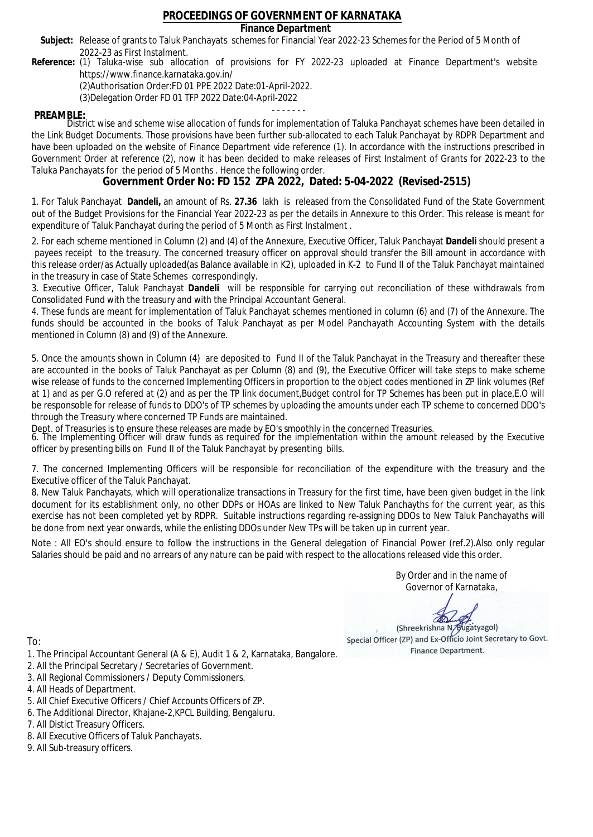### **Finance Department**

- Subject: Release of grants to Taluk Panchayats schemes for Financial Year 2022-23 Schemes for the Period of 5 Month of 2022-23 as First Instalment.
- **Reference:** (1) Taluka-wise sub allocation of provisions for FY 2022-23 uploaded at Finance Department's website https://www.finance.karnataka.gov.in/

(2)Authorisation Order:FD 01 PPE 2022 Date:01-April-2022.

(3)Delegation Order FD 01 TFP 2022 Date:04-April-2022

- - - - - - - **PREAMBLE:** District wise and scheme wise allocation of funds for implementation of Taluka Panchayat schemes have been detailed in the Link Budget Documents. Those provisions have been further sub-allocated to each Taluk Panchayat by RDPR Department and have been uploaded on the website of Finance Department vide reference (1). In accordance with the instructions prescribed in Government Order at reference (2), now it has been decided to make releases of First Instalment of Grants for 2022-23 to the Taluka Panchayats for the period of 5 Months . Hence the following order.

**Government Order No: FD 152 ZPA 2022, Dated: 5-04-2022 (Revised-2515)**

1. For Taluk Panchayat **Dandeli,** an amount of Rs. **27.36** lakh is released from the Consolidated Fund of the State Government out of the Budget Provisions for the Financial Year 2022-23 as per the details in Annexure to this Order. This release is meant for expenditure of Taluk Panchayat during the period of 5 Month as First Instalment .

2. For each scheme mentioned in Column (2) and (4) of the Annexure, Executive Officer, Taluk Panchayat **Dandeli** should present a payees receipt to the treasury. The concerned treasury officer on approval should transfer the Bill amount in accordance with this release order/as Actually uploaded(as Balance available in K2), uploaded in K-2 to Fund II of the Taluk Panchayat maintained in the treasury in case of State Schemes correspondingly.

3. Executive Officer, Taluk Panchayat **Dandeli** will be responsible for carrying out reconciliation of these withdrawals from Consolidated Fund with the treasury and with the Principal Accountant General.

4. These funds are meant for implementation of Taluk Panchayat schemes mentioned in column (6) and (7) of the Annexure. The funds should be accounted in the books of Taluk Panchayat as per Model Panchayath Accounting System with the details mentioned in Column (8) and (9) of the Annexure.

5. Once the amounts shown in Column (4) are deposited to Fund II of the Taluk Panchayat in the Treasury and thereafter these are accounted in the books of Taluk Panchayat as per Column (8) and (9), the Executive Officer will take steps to make scheme wise release of funds to the concerned Implementing Officers in proportion to the object codes mentioned in ZP link volumes (Ref at 1) and as per G.O refered at (2) and as per the TP link document,Budget control for TP Schemes has been put in place,E.O will be responsoble for release of funds to DDO's of TP schemes by uploading the amounts under each TP scheme to concerned DDO's through the Treasury where concerned TP Funds are maintained.

Dept. of Treasuries is to ensure these releases are made by EO's smoothly in the concerned Treasuries.

6. The Implementing Officer will draw funds as required for the implementation within the amount released by the Executive officer by presenting bills on Fund II of the Taluk Panchayat by presenting bills.

7. The concerned Implementing Officers will be responsible for reconciliation of the expenditure with the treasury and the Executive officer of the Taluk Panchayat.

8. New Taluk Panchayats, which will operationalize transactions in Treasury for the first time, have been given budget in the link document for its establishment only, no other DDPs or HOAs are linked to New Taluk Panchayths for the current year, as this exercise has not been completed yet by RDPR. Suitable instructions regarding re-assigning DDOs to New Taluk Panchayaths will be done from next year onwards, while the enlisting DDOs under New TPs will be taken up in current year.

Note : All EO's should ensure to follow the instructions in the General delegation of Financial Power (ref.2).Also only regular Salaries should be paid and no arrears of any nature can be paid with respect to the allocations released vide this order.

> By Order and in the name of Governor of Karnataka,

**PD** 

(Shreekrishna N/Bugatyagol) Special Officer (ZP) and Ex-Officio Joint Secretary to Govt. Finance Department.

- 1. The Principal Accountant General (A & E), Audit 1 & 2, Karnataka, Bangalore.
- 2. All the Principal Secretary / Secretaries of Government.
- 3. All Regional Commissioners / Deputy Commissioners.
- 4. All Heads of Department.
- 5. All Chief Executive Officers / Chief Accounts Officers of ZP.
- 6. The Additional Director, Khajane-2,KPCL Building, Bengaluru.
- 7. All Distict Treasury Officers.
- 8. All Executive Officers of Taluk Panchayats.
- 9. All Sub-treasury officers.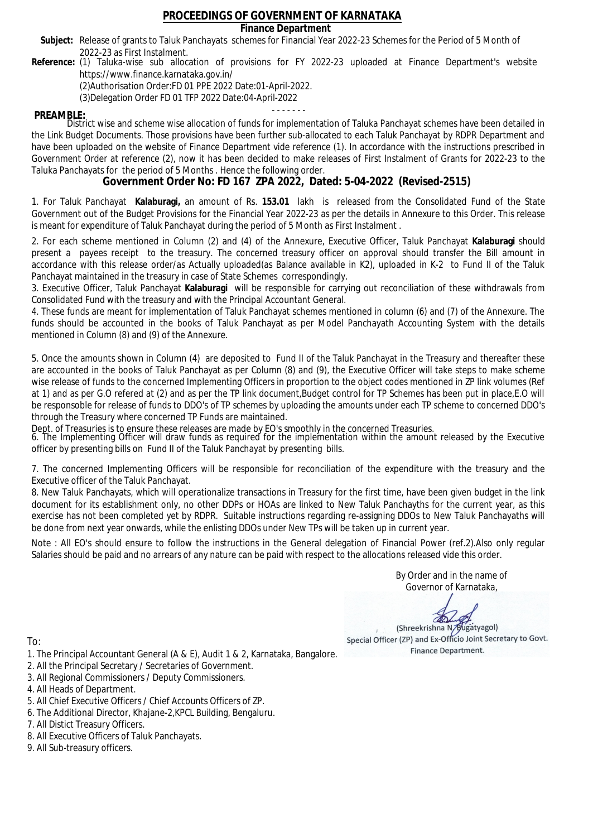**Finance Department**

- Subject: Release of grants to Taluk Panchayats schemes for Financial Year 2022-23 Schemes for the Period of 5 Month of 2022-23 as First Instalment.
- **Reference:** (1) Taluka-wise sub allocation of provisions for FY 2022-23 uploaded at Finance Department's website https://www.finance.karnataka.gov.in/

(2)Authorisation Order:FD 01 PPE 2022 Date:01-April-2022.

(3)Delegation Order FD 01 TFP 2022 Date:04-April-2022

- - - - - - - **PREAMBLE:** District wise and scheme wise allocation of funds for implementation of Taluka Panchayat schemes have been detailed in the Link Budget Documents. Those provisions have been further sub-allocated to each Taluk Panchayat by RDPR Department and have been uploaded on the website of Finance Department vide reference (1). In accordance with the instructions prescribed in Government Order at reference (2), now it has been decided to make releases of First Instalment of Grants for 2022-23 to the Taluka Panchayats for the period of 5 Months . Hence the following order.

**Government Order No: FD 167 ZPA 2022, Dated: 5-04-2022 (Revised-2515)**

1. For Taluk Panchayat **Kalaburagi,** an amount of Rs. **153.01** lakh is released from the Consolidated Fund of the State Government out of the Budget Provisions for the Financial Year 2022-23 as per the details in Annexure to this Order. This release is meant for expenditure of Taluk Panchayat during the period of 5 Month as First Instalment .

2. For each scheme mentioned in Column (2) and (4) of the Annexure, Executive Officer, Taluk Panchayat **Kalaburagi** should present a payees receipt to the treasury. The concerned treasury officer on approval should transfer the Bill amount in accordance with this release order/as Actually uploaded(as Balance available in K2), uploaded in K-2 to Fund II of the Taluk Panchayat maintained in the treasury in case of State Schemes correspondingly.

3. Executive Officer, Taluk Panchayat **Kalaburagi** will be responsible for carrying out reconciliation of these withdrawals from Consolidated Fund with the treasury and with the Principal Accountant General.

4. These funds are meant for implementation of Taluk Panchayat schemes mentioned in column (6) and (7) of the Annexure. The funds should be accounted in the books of Taluk Panchayat as per Model Panchayath Accounting System with the details mentioned in Column (8) and (9) of the Annexure.

5. Once the amounts shown in Column (4) are deposited to Fund II of the Taluk Panchayat in the Treasury and thereafter these are accounted in the books of Taluk Panchayat as per Column (8) and (9), the Executive Officer will take steps to make scheme wise release of funds to the concerned Implementing Officers in proportion to the object codes mentioned in ZP link volumes (Ref at 1) and as per G.O refered at (2) and as per the TP link document,Budget control for TP Schemes has been put in place,E.O will be responsoble for release of funds to DDO's of TP schemes by uploading the amounts under each TP scheme to concerned DDO's through the Treasury where concerned TP Funds are maintained.

Dept. of Treasuries is to ensure these releases are made by EO's smoothly in the concerned Treasuries.

6. The Implementing Officer will draw funds as required for the implementation within the amount released by the Executive officer by presenting bills on Fund II of the Taluk Panchayat by presenting bills.

7. The concerned Implementing Officers will be responsible for reconciliation of the expenditure with the treasury and the Executive officer of the Taluk Panchayat.

8. New Taluk Panchayats, which will operationalize transactions in Treasury for the first time, have been given budget in the link document for its establishment only, no other DDPs or HOAs are linked to New Taluk Panchayths for the current year, as this exercise has not been completed yet by RDPR. Suitable instructions regarding re-assigning DDOs to New Taluk Panchayaths will be done from next year onwards, while the enlisting DDOs under New TPs will be taken up in current year.

Note : All EO's should ensure to follow the instructions in the General delegation of Financial Power (ref.2).Also only regular Salaries should be paid and no arrears of any nature can be paid with respect to the allocations released vide this order.

> By Order and in the name of Governor of Karnataka,

**PD** 

(Shreekrishna N/Bugatyagol) Special Officer (ZP) and Ex-Officio Joint Secretary to Govt. Finance Department.

- 1. The Principal Accountant General (A & E), Audit 1 & 2, Karnataka, Bangalore.
- 2. All the Principal Secretary / Secretaries of Government.
- 3. All Regional Commissioners / Deputy Commissioners.
- 4. All Heads of Department.
- 5. All Chief Executive Officers / Chief Accounts Officers of ZP.
- 6. The Additional Director, Khajane-2,KPCL Building, Bengaluru.
- 7. All Distict Treasury Officers.
- 8. All Executive Officers of Taluk Panchayats.
- 9. All Sub-treasury officers.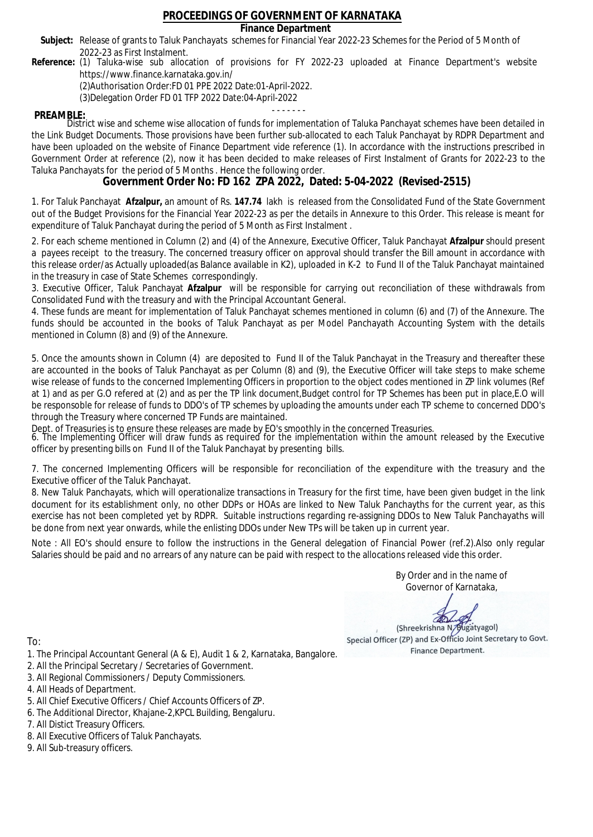### **Finance Department**

- Subject: Release of grants to Taluk Panchayats schemes for Financial Year 2022-23 Schemes for the Period of 5 Month of 2022-23 as First Instalment.
- **Reference:** (1) Taluka-wise sub allocation of provisions for FY 2022-23 uploaded at Finance Department's website https://www.finance.karnataka.gov.in/

(2)Authorisation Order:FD 01 PPE 2022 Date:01-April-2022.

(3)Delegation Order FD 01 TFP 2022 Date:04-April-2022

- - - - - - - **PREAMBLE:** District wise and scheme wise allocation of funds for implementation of Taluka Panchayat schemes have been detailed in the Link Budget Documents. Those provisions have been further sub-allocated to each Taluk Panchayat by RDPR Department and have been uploaded on the website of Finance Department vide reference (1). In accordance with the instructions prescribed in Government Order at reference (2), now it has been decided to make releases of First Instalment of Grants for 2022-23 to the Taluka Panchayats for the period of 5 Months . Hence the following order.

**Government Order No: FD 162 ZPA 2022, Dated: 5-04-2022 (Revised-2515)**

1. For Taluk Panchayat **Afzalpur,** an amount of Rs. **147.74** lakh is released from the Consolidated Fund of the State Government out of the Budget Provisions for the Financial Year 2022-23 as per the details in Annexure to this Order. This release is meant for expenditure of Taluk Panchayat during the period of 5 Month as First Instalment .

2. For each scheme mentioned in Column (2) and (4) of the Annexure, Executive Officer, Taluk Panchayat **Afzalpur** should present a payees receipt to the treasury. The concerned treasury officer on approval should transfer the Bill amount in accordance with this release order/as Actually uploaded(as Balance available in K2), uploaded in K-2 to Fund II of the Taluk Panchayat maintained in the treasury in case of State Schemes correspondingly.

3. Executive Officer, Taluk Panchayat **Afzalpur** will be responsible for carrying out reconciliation of these withdrawals from Consolidated Fund with the treasury and with the Principal Accountant General.

4. These funds are meant for implementation of Taluk Panchayat schemes mentioned in column (6) and (7) of the Annexure. The funds should be accounted in the books of Taluk Panchayat as per Model Panchayath Accounting System with the details mentioned in Column (8) and (9) of the Annexure.

5. Once the amounts shown in Column (4) are deposited to Fund II of the Taluk Panchayat in the Treasury and thereafter these are accounted in the books of Taluk Panchayat as per Column (8) and (9), the Executive Officer will take steps to make scheme wise release of funds to the concerned Implementing Officers in proportion to the object codes mentioned in ZP link volumes (Ref at 1) and as per G.O refered at (2) and as per the TP link document,Budget control for TP Schemes has been put in place,E.O will be responsoble for release of funds to DDO's of TP schemes by uploading the amounts under each TP scheme to concerned DDO's through the Treasury where concerned TP Funds are maintained.

Dept. of Treasuries is to ensure these releases are made by EO's smoothly in the concerned Treasuries.

6. The Implementing Officer will draw funds as required for the implementation within the amount released by the Executive officer by presenting bills on Fund II of the Taluk Panchayat by presenting bills.

7. The concerned Implementing Officers will be responsible for reconciliation of the expenditure with the treasury and the Executive officer of the Taluk Panchayat.

8. New Taluk Panchayats, which will operationalize transactions in Treasury for the first time, have been given budget in the link document for its establishment only, no other DDPs or HOAs are linked to New Taluk Panchayths for the current year, as this exercise has not been completed yet by RDPR. Suitable instructions regarding re-assigning DDOs to New Taluk Panchayaths will be done from next year onwards, while the enlisting DDOs under New TPs will be taken up in current year.

Note : All EO's should ensure to follow the instructions in the General delegation of Financial Power (ref.2).Also only regular Salaries should be paid and no arrears of any nature can be paid with respect to the allocations released vide this order.

> By Order and in the name of Governor of Karnataka,

**PD** 

(Shreekrishna N/Bugatyagol) Special Officer (ZP) and Ex-Officio Joint Secretary to Govt. Finance Department.

To:

- 1. The Principal Accountant General (A & E), Audit 1 & 2, Karnataka, Bangalore.
- 2. All the Principal Secretary / Secretaries of Government.
- 3. All Regional Commissioners / Deputy Commissioners.
- 4. All Heads of Department.
- 5. All Chief Executive Officers / Chief Accounts Officers of ZP.
- 6. The Additional Director, Khajane-2,KPCL Building, Bengaluru.

- 8. All Executive Officers of Taluk Panchayats.
- 9. All Sub-treasury officers.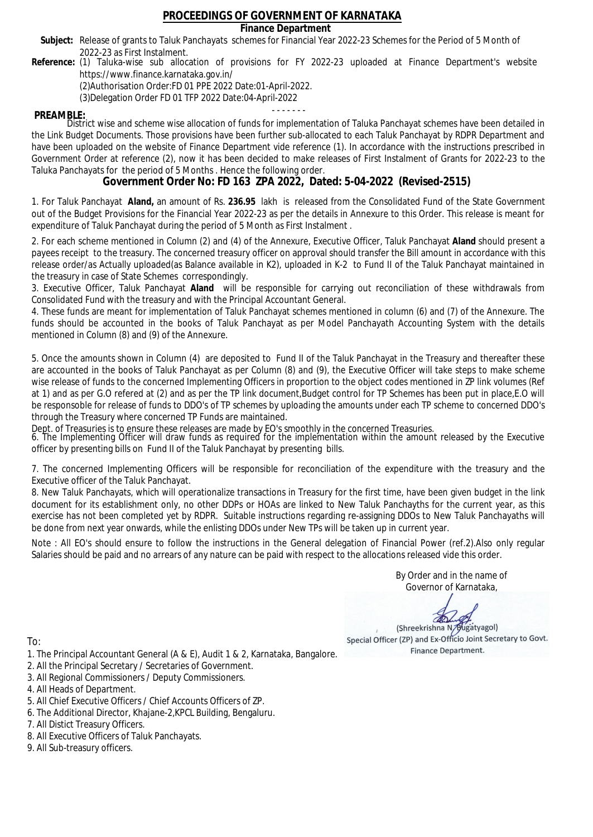### **Finance Department**

- Subject: Release of grants to Taluk Panchayats schemes for Financial Year 2022-23 Schemes for the Period of 5 Month of 2022-23 as First Instalment.
- **Reference:** (1) Taluka-wise sub allocation of provisions for FY 2022-23 uploaded at Finance Department's website https://www.finance.karnataka.gov.in/

(2)Authorisation Order:FD 01 PPE 2022 Date:01-April-2022.

(3)Delegation Order FD 01 TFP 2022 Date:04-April-2022

- - - - - - - **PREAMBLE:** District wise and scheme wise allocation of funds for implementation of Taluka Panchayat schemes have been detailed in the Link Budget Documents. Those provisions have been further sub-allocated to each Taluk Panchayat by RDPR Department and have been uploaded on the website of Finance Department vide reference (1). In accordance with the instructions prescribed in Government Order at reference (2), now it has been decided to make releases of First Instalment of Grants for 2022-23 to the Taluka Panchayats for the period of 5 Months . Hence the following order.

**Government Order No: FD 163 ZPA 2022, Dated: 5-04-2022 (Revised-2515)**

1. For Taluk Panchayat **Aland,** an amount of Rs. **236.95** lakh is released from the Consolidated Fund of the State Government out of the Budget Provisions for the Financial Year 2022-23 as per the details in Annexure to this Order. This release is meant for expenditure of Taluk Panchayat during the period of 5 Month as First Instalment .

2. For each scheme mentioned in Column (2) and (4) of the Annexure, Executive Officer, Taluk Panchayat **Aland** should present a payees receipt to the treasury. The concerned treasury officer on approval should transfer the Bill amount in accordance with this release order/as Actually uploaded(as Balance available in K2), uploaded in K-2 to Fund II of the Taluk Panchayat maintained in the treasury in case of State Schemes correspondingly.

3. Executive Officer, Taluk Panchayat **Aland** will be responsible for carrying out reconciliation of these withdrawals from Consolidated Fund with the treasury and with the Principal Accountant General.

4. These funds are meant for implementation of Taluk Panchayat schemes mentioned in column (6) and (7) of the Annexure. The funds should be accounted in the books of Taluk Panchayat as per Model Panchayath Accounting System with the details mentioned in Column (8) and (9) of the Annexure.

5. Once the amounts shown in Column (4) are deposited to Fund II of the Taluk Panchayat in the Treasury and thereafter these are accounted in the books of Taluk Panchayat as per Column (8) and (9), the Executive Officer will take steps to make scheme wise release of funds to the concerned Implementing Officers in proportion to the object codes mentioned in ZP link volumes (Ref at 1) and as per G.O refered at (2) and as per the TP link document,Budget control for TP Schemes has been put in place,E.O will be responsoble for release of funds to DDO's of TP schemes by uploading the amounts under each TP scheme to concerned DDO's through the Treasury where concerned TP Funds are maintained.

Dept. of Treasuries is to ensure these releases are made by EO's smoothly in the concerned Treasuries.

6. The Implementing Officer will draw funds as required for the implementation within the amount released by the Executive officer by presenting bills on Fund II of the Taluk Panchayat by presenting bills.

7. The concerned Implementing Officers will be responsible for reconciliation of the expenditure with the treasury and the Executive officer of the Taluk Panchayat.

8. New Taluk Panchayats, which will operationalize transactions in Treasury for the first time, have been given budget in the link document for its establishment only, no other DDPs or HOAs are linked to New Taluk Panchayths for the current year, as this exercise has not been completed yet by RDPR. Suitable instructions regarding re-assigning DDOs to New Taluk Panchayaths will be done from next year onwards, while the enlisting DDOs under New TPs will be taken up in current year.

Note : All EO's should ensure to follow the instructions in the General delegation of Financial Power (ref.2).Also only regular Salaries should be paid and no arrears of any nature can be paid with respect to the allocations released vide this order.

> By Order and in the name of Governor of Karnataka,

**PD** 

(Shreekrishna N/Bugatyagol) Special Officer (ZP) and Ex-Officio Joint Secretary to Govt. Finance Department.

To:

- 1. The Principal Accountant General (A & E), Audit 1 & 2, Karnataka, Bangalore.
- 2. All the Principal Secretary / Secretaries of Government.
- 3. All Regional Commissioners / Deputy Commissioners.
- 4. All Heads of Department.
- 5. All Chief Executive Officers / Chief Accounts Officers of ZP.
- 6. The Additional Director, Khajane-2,KPCL Building, Bengaluru.

- 8. All Executive Officers of Taluk Panchayats.
- 9. All Sub-treasury officers.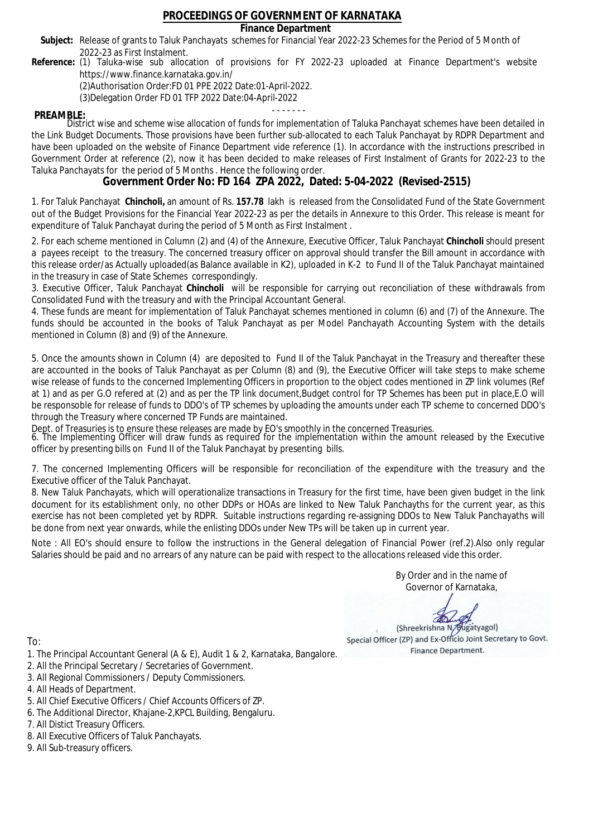### **Finance Department**

- Subject: Release of grants to Taluk Panchayats schemes for Financial Year 2022-23 Schemes for the Period of 5 Month of 2022-23 as First Instalment.
- **Reference:** (1) Taluka-wise sub allocation of provisions for FY 2022-23 uploaded at Finance Department's website https://www.finance.karnataka.gov.in/

(2)Authorisation Order:FD 01 PPE 2022 Date:01-April-2022.

(3)Delegation Order FD 01 TFP 2022 Date:04-April-2022

- - - - - - - **PREAMBLE:** District wise and scheme wise allocation of funds for implementation of Taluka Panchayat schemes have been detailed in the Link Budget Documents. Those provisions have been further sub-allocated to each Taluk Panchayat by RDPR Department and have been uploaded on the website of Finance Department vide reference (1). In accordance with the instructions prescribed in Government Order at reference (2), now it has been decided to make releases of First Instalment of Grants for 2022-23 to the Taluka Panchayats for the period of 5 Months . Hence the following order.

**Government Order No: FD 164 ZPA 2022, Dated: 5-04-2022 (Revised-2515)**

1. For Taluk Panchayat **Chincholi,** an amount of Rs. **157.78** lakh is released from the Consolidated Fund of the State Government out of the Budget Provisions for the Financial Year 2022-23 as per the details in Annexure to this Order. This release is meant for expenditure of Taluk Panchayat during the period of 5 Month as First Instalment .

2. For each scheme mentioned in Column (2) and (4) of the Annexure, Executive Officer, Taluk Panchayat **Chincholi** should present a payees receipt to the treasury. The concerned treasury officer on approval should transfer the Bill amount in accordance with this release order/as Actually uploaded(as Balance available in K2), uploaded in K-2 to Fund II of the Taluk Panchayat maintained in the treasury in case of State Schemes correspondingly.

3. Executive Officer, Taluk Panchayat **Chincholi** will be responsible for carrying out reconciliation of these withdrawals from Consolidated Fund with the treasury and with the Principal Accountant General.

4. These funds are meant for implementation of Taluk Panchayat schemes mentioned in column (6) and (7) of the Annexure. The funds should be accounted in the books of Taluk Panchayat as per Model Panchayath Accounting System with the details mentioned in Column (8) and (9) of the Annexure.

5. Once the amounts shown in Column (4) are deposited to Fund II of the Taluk Panchayat in the Treasury and thereafter these are accounted in the books of Taluk Panchayat as per Column (8) and (9), the Executive Officer will take steps to make scheme wise release of funds to the concerned Implementing Officers in proportion to the object codes mentioned in ZP link volumes (Ref at 1) and as per G.O refered at (2) and as per the TP link document,Budget control for TP Schemes has been put in place,E.O will be responsoble for release of funds to DDO's of TP schemes by uploading the amounts under each TP scheme to concerned DDO's through the Treasury where concerned TP Funds are maintained.

Dept. of Treasuries is to ensure these releases are made by EO's smoothly in the concerned Treasuries.

6. The Implementing Officer will draw funds as required for the implementation within the amount released by the Executive officer by presenting bills on Fund II of the Taluk Panchayat by presenting bills.

7. The concerned Implementing Officers will be responsible for reconciliation of the expenditure with the treasury and the Executive officer of the Taluk Panchayat.

8. New Taluk Panchayats, which will operationalize transactions in Treasury for the first time, have been given budget in the link document for its establishment only, no other DDPs or HOAs are linked to New Taluk Panchayths for the current year, as this exercise has not been completed yet by RDPR. Suitable instructions regarding re-assigning DDOs to New Taluk Panchayaths will be done from next year onwards, while the enlisting DDOs under New TPs will be taken up in current year.

Note : All EO's should ensure to follow the instructions in the General delegation of Financial Power (ref.2).Also only regular Salaries should be paid and no arrears of any nature can be paid with respect to the allocations released vide this order.

> By Order and in the name of Governor of Karnataka,

**PD** 

(Shreekrishna N/Bugatyagol) Special Officer (ZP) and Ex-Officio Joint Secretary to Govt. Finance Department.

- 1. The Principal Accountant General (A & E), Audit 1 & 2, Karnataka, Bangalore.
- 2. All the Principal Secretary / Secretaries of Government.
- 3. All Regional Commissioners / Deputy Commissioners.
- 4. All Heads of Department.
- 5. All Chief Executive Officers / Chief Accounts Officers of ZP.
- 6. The Additional Director, Khajane-2,KPCL Building, Bengaluru.
- 7. All Distict Treasury Officers.
- 8. All Executive Officers of Taluk Panchayats.
- 9. All Sub-treasury officers.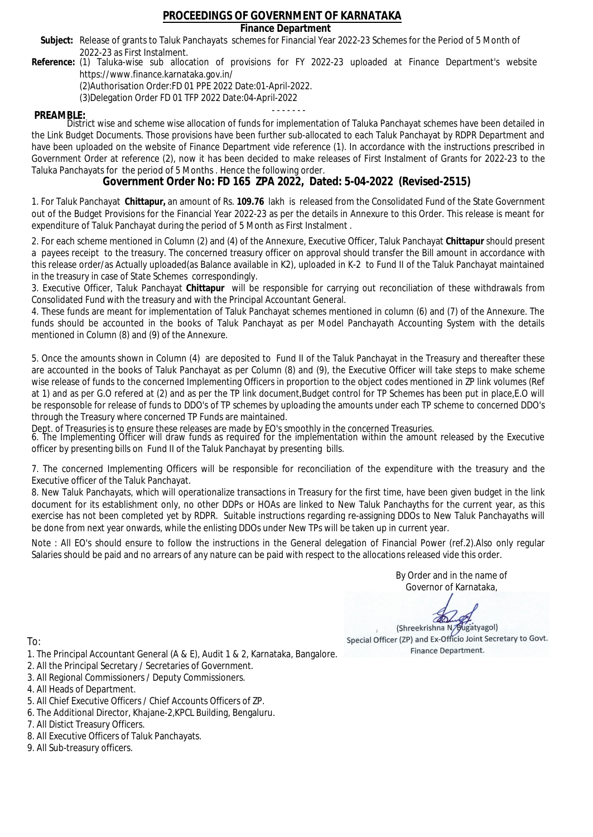### **Finance Department**

- Subject: Release of grants to Taluk Panchayats schemes for Financial Year 2022-23 Schemes for the Period of 5 Month of 2022-23 as First Instalment.
- **Reference:** (1) Taluka-wise sub allocation of provisions for FY 2022-23 uploaded at Finance Department's website https://www.finance.karnataka.gov.in/

(2)Authorisation Order:FD 01 PPE 2022 Date:01-April-2022.

(3)Delegation Order FD 01 TFP 2022 Date:04-April-2022

- - - - - - - **PREAMBLE:** District wise and scheme wise allocation of funds for implementation of Taluka Panchayat schemes have been detailed in the Link Budget Documents. Those provisions have been further sub-allocated to each Taluk Panchayat by RDPR Department and have been uploaded on the website of Finance Department vide reference (1). In accordance with the instructions prescribed in Government Order at reference (2), now it has been decided to make releases of First Instalment of Grants for 2022-23 to the Taluka Panchayats for the period of 5 Months . Hence the following order.

**Government Order No: FD 165 ZPA 2022, Dated: 5-04-2022 (Revised-2515)**

1. For Taluk Panchayat **Chittapur,** an amount of Rs. **109.76** lakh is released from the Consolidated Fund of the State Government out of the Budget Provisions for the Financial Year 2022-23 as per the details in Annexure to this Order. This release is meant for expenditure of Taluk Panchayat during the period of 5 Month as First Instalment .

2. For each scheme mentioned in Column (2) and (4) of the Annexure, Executive Officer, Taluk Panchayat **Chittapur** should present a payees receipt to the treasury. The concerned treasury officer on approval should transfer the Bill amount in accordance with this release order/as Actually uploaded(as Balance available in K2), uploaded in K-2 to Fund II of the Taluk Panchayat maintained in the treasury in case of State Schemes correspondingly.

3. Executive Officer, Taluk Panchayat **Chittapur** will be responsible for carrying out reconciliation of these withdrawals from Consolidated Fund with the treasury and with the Principal Accountant General.

4. These funds are meant for implementation of Taluk Panchayat schemes mentioned in column (6) and (7) of the Annexure. The funds should be accounted in the books of Taluk Panchayat as per Model Panchayath Accounting System with the details mentioned in Column (8) and (9) of the Annexure.

5. Once the amounts shown in Column (4) are deposited to Fund II of the Taluk Panchayat in the Treasury and thereafter these are accounted in the books of Taluk Panchayat as per Column (8) and (9), the Executive Officer will take steps to make scheme wise release of funds to the concerned Implementing Officers in proportion to the object codes mentioned in ZP link volumes (Ref at 1) and as per G.O refered at (2) and as per the TP link document,Budget control for TP Schemes has been put in place,E.O will be responsoble for release of funds to DDO's of TP schemes by uploading the amounts under each TP scheme to concerned DDO's through the Treasury where concerned TP Funds are maintained.

Dept. of Treasuries is to ensure these releases are made by EO's smoothly in the concerned Treasuries.

6. The Implementing Officer will draw funds as required for the implementation within the amount released by the Executive officer by presenting bills on Fund II of the Taluk Panchayat by presenting bills.

7. The concerned Implementing Officers will be responsible for reconciliation of the expenditure with the treasury and the Executive officer of the Taluk Panchayat.

8. New Taluk Panchayats, which will operationalize transactions in Treasury for the first time, have been given budget in the link document for its establishment only, no other DDPs or HOAs are linked to New Taluk Panchayths for the current year, as this exercise has not been completed yet by RDPR. Suitable instructions regarding re-assigning DDOs to New Taluk Panchayaths will be done from next year onwards, while the enlisting DDOs under New TPs will be taken up in current year.

Note : All EO's should ensure to follow the instructions in the General delegation of Financial Power (ref.2).Also only regular Salaries should be paid and no arrears of any nature can be paid with respect to the allocations released vide this order.

> By Order and in the name of Governor of Karnataka,

**PD** 

(Shreekrishna N/Bugatyagol) Special Officer (ZP) and Ex-Officio Joint Secretary to Govt. Finance Department.

- 1. The Principal Accountant General (A & E), Audit 1 & 2, Karnataka, Bangalore.
- 2. All the Principal Secretary / Secretaries of Government.
- 3. All Regional Commissioners / Deputy Commissioners.
- 4. All Heads of Department.
- 5. All Chief Executive Officers / Chief Accounts Officers of ZP.
- 6. The Additional Director, Khajane-2,KPCL Building, Bengaluru.
- 7. All Distict Treasury Officers.
- 8. All Executive Officers of Taluk Panchayats.
- 9. All Sub-treasury officers.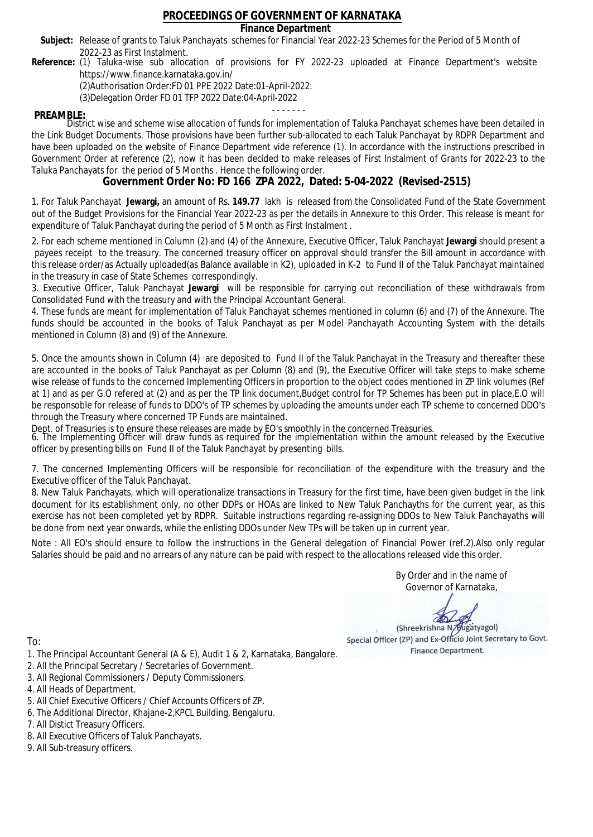### **Finance Department**

- Subject: Release of grants to Taluk Panchayats schemes for Financial Year 2022-23 Schemes for the Period of 5 Month of 2022-23 as First Instalment.
- **Reference:** (1) Taluka-wise sub allocation of provisions for FY 2022-23 uploaded at Finance Department's website https://www.finance.karnataka.gov.in/

(2)Authorisation Order:FD 01 PPE 2022 Date:01-April-2022.

(3)Delegation Order FD 01 TFP 2022 Date:04-April-2022

- - - - - - - **PREAMBLE:** District wise and scheme wise allocation of funds for implementation of Taluka Panchayat schemes have been detailed in the Link Budget Documents. Those provisions have been further sub-allocated to each Taluk Panchayat by RDPR Department and have been uploaded on the website of Finance Department vide reference (1). In accordance with the instructions prescribed in Government Order at reference (2), now it has been decided to make releases of First Instalment of Grants for 2022-23 to the Taluka Panchayats for the period of 5 Months . Hence the following order.

**Government Order No: FD 166 ZPA 2022, Dated: 5-04-2022 (Revised-2515)**

1. For Taluk Panchayat **Jewargi,** an amount of Rs. **149.77** lakh is released from the Consolidated Fund of the State Government out of the Budget Provisions for the Financial Year 2022-23 as per the details in Annexure to this Order. This release is meant for expenditure of Taluk Panchayat during the period of 5 Month as First Instalment .

2. For each scheme mentioned in Column (2) and (4) of the Annexure, Executive Officer, Taluk Panchayat **Jewargi** should present a payees receipt to the treasury. The concerned treasury officer on approval should transfer the Bill amount in accordance with this release order/as Actually uploaded(as Balance available in K2), uploaded in K-2 to Fund II of the Taluk Panchayat maintained in the treasury in case of State Schemes correspondingly.

3. Executive Officer, Taluk Panchayat **Jewargi** will be responsible for carrying out reconciliation of these withdrawals from Consolidated Fund with the treasury and with the Principal Accountant General.

4. These funds are meant for implementation of Taluk Panchayat schemes mentioned in column (6) and (7) of the Annexure. The funds should be accounted in the books of Taluk Panchayat as per Model Panchayath Accounting System with the details mentioned in Column (8) and (9) of the Annexure.

5. Once the amounts shown in Column (4) are deposited to Fund II of the Taluk Panchayat in the Treasury and thereafter these are accounted in the books of Taluk Panchayat as per Column (8) and (9), the Executive Officer will take steps to make scheme wise release of funds to the concerned Implementing Officers in proportion to the object codes mentioned in ZP link volumes (Ref at 1) and as per G.O refered at (2) and as per the TP link document,Budget control for TP Schemes has been put in place,E.O will be responsoble for release of funds to DDO's of TP schemes by uploading the amounts under each TP scheme to concerned DDO's through the Treasury where concerned TP Funds are maintained.

Dept. of Treasuries is to ensure these releases are made by EO's smoothly in the concerned Treasuries.

6. The Implementing Officer will draw funds as required for the implementation within the amount released by the Executive officer by presenting bills on Fund II of the Taluk Panchayat by presenting bills.

7. The concerned Implementing Officers will be responsible for reconciliation of the expenditure with the treasury and the Executive officer of the Taluk Panchayat.

8. New Taluk Panchayats, which will operationalize transactions in Treasury for the first time, have been given budget in the link document for its establishment only, no other DDPs or HOAs are linked to New Taluk Panchayths for the current year, as this exercise has not been completed yet by RDPR. Suitable instructions regarding re-assigning DDOs to New Taluk Panchayaths will be done from next year onwards, while the enlisting DDOs under New TPs will be taken up in current year.

Note : All EO's should ensure to follow the instructions in the General delegation of Financial Power (ref.2).Also only regular Salaries should be paid and no arrears of any nature can be paid with respect to the allocations released vide this order.

> By Order and in the name of Governor of Karnataka,

**PD** 

(Shreekrishna N/Bugatyagol) Special Officer (ZP) and Ex-Officio Joint Secretary to Govt. Finance Department.

To:

- 1. The Principal Accountant General (A & E), Audit 1 & 2, Karnataka, Bangalore.
- 2. All the Principal Secretary / Secretaries of Government.
- 3. All Regional Commissioners / Deputy Commissioners.
- 4. All Heads of Department.
- 5. All Chief Executive Officers / Chief Accounts Officers of ZP.
- 6. The Additional Director, Khajane-2,KPCL Building, Bengaluru.

- 8. All Executive Officers of Taluk Panchayats.
- 9. All Sub-treasury officers.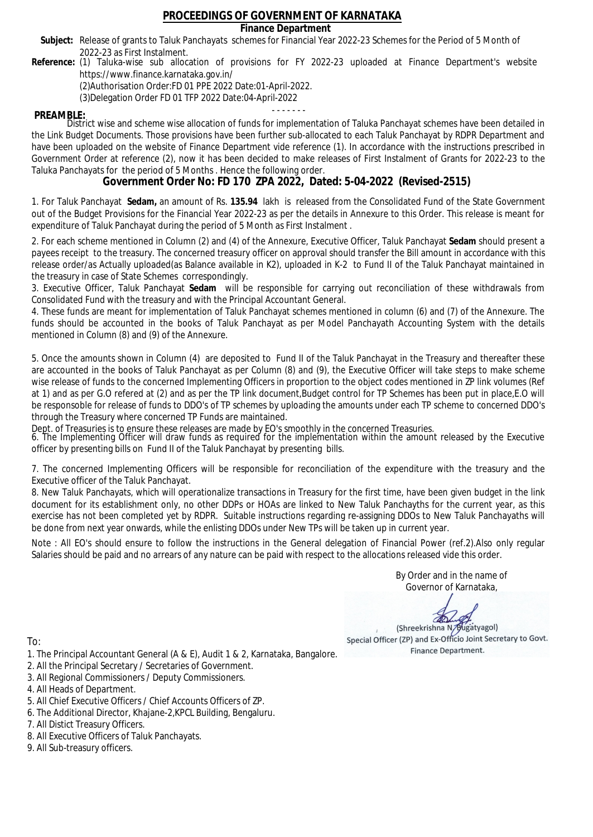### **Finance Department**

- Subject: Release of grants to Taluk Panchayats schemes for Financial Year 2022-23 Schemes for the Period of 5 Month of 2022-23 as First Instalment.
- **Reference:** (1) Taluka-wise sub allocation of provisions for FY 2022-23 uploaded at Finance Department's website https://www.finance.karnataka.gov.in/

(2)Authorisation Order:FD 01 PPE 2022 Date:01-April-2022.

(3)Delegation Order FD 01 TFP 2022 Date:04-April-2022

- - - - - - - **PREAMBLE:** District wise and scheme wise allocation of funds for implementation of Taluka Panchayat schemes have been detailed in the Link Budget Documents. Those provisions have been further sub-allocated to each Taluk Panchayat by RDPR Department and have been uploaded on the website of Finance Department vide reference (1). In accordance with the instructions prescribed in Government Order at reference (2), now it has been decided to make releases of First Instalment of Grants for 2022-23 to the Taluka Panchayats for the period of 5 Months . Hence the following order.

**Government Order No: FD 170 ZPA 2022, Dated: 5-04-2022 (Revised-2515)**

1. For Taluk Panchayat **Sedam,** an amount of Rs. **135.94** lakh is released from the Consolidated Fund of the State Government out of the Budget Provisions for the Financial Year 2022-23 as per the details in Annexure to this Order. This release is meant for expenditure of Taluk Panchayat during the period of 5 Month as First Instalment .

2. For each scheme mentioned in Column (2) and (4) of the Annexure, Executive Officer, Taluk Panchayat **Sedam** should present a payees receipt to the treasury. The concerned treasury officer on approval should transfer the Bill amount in accordance with this release order/as Actually uploaded(as Balance available in K2), uploaded in K-2 to Fund II of the Taluk Panchayat maintained in the treasury in case of State Schemes correspondingly.

3. Executive Officer, Taluk Panchayat **Sedam** will be responsible for carrying out reconciliation of these withdrawals from Consolidated Fund with the treasury and with the Principal Accountant General.

4. These funds are meant for implementation of Taluk Panchayat schemes mentioned in column (6) and (7) of the Annexure. The funds should be accounted in the books of Taluk Panchayat as per Model Panchayath Accounting System with the details mentioned in Column (8) and (9) of the Annexure.

5. Once the amounts shown in Column (4) are deposited to Fund II of the Taluk Panchayat in the Treasury and thereafter these are accounted in the books of Taluk Panchayat as per Column (8) and (9), the Executive Officer will take steps to make scheme wise release of funds to the concerned Implementing Officers in proportion to the object codes mentioned in ZP link volumes (Ref at 1) and as per G.O refered at (2) and as per the TP link document,Budget control for TP Schemes has been put in place,E.O will be responsoble for release of funds to DDO's of TP schemes by uploading the amounts under each TP scheme to concerned DDO's through the Treasury where concerned TP Funds are maintained.

Dept. of Treasuries is to ensure these releases are made by EO's smoothly in the concerned Treasuries.

6. The Implementing Officer will draw funds as required for the implementation within the amount released by the Executive officer by presenting bills on Fund II of the Taluk Panchayat by presenting bills.

7. The concerned Implementing Officers will be responsible for reconciliation of the expenditure with the treasury and the Executive officer of the Taluk Panchayat.

8. New Taluk Panchayats, which will operationalize transactions in Treasury for the first time, have been given budget in the link document for its establishment only, no other DDPs or HOAs are linked to New Taluk Panchayths for the current year, as this exercise has not been completed yet by RDPR. Suitable instructions regarding re-assigning DDOs to New Taluk Panchayaths will be done from next year onwards, while the enlisting DDOs under New TPs will be taken up in current year.

Note : All EO's should ensure to follow the instructions in the General delegation of Financial Power (ref.2).Also only regular Salaries should be paid and no arrears of any nature can be paid with respect to the allocations released vide this order.

> By Order and in the name of Governor of Karnataka,

**PD** 

(Shreekrishna N/Bugatyagol) Special Officer (ZP) and Ex-Officio Joint Secretary to Govt. Finance Department.

To:

- 1. The Principal Accountant General (A & E), Audit 1 & 2, Karnataka, Bangalore.
- 2. All the Principal Secretary / Secretaries of Government.
- 3. All Regional Commissioners / Deputy Commissioners.
- 4. All Heads of Department.
- 5. All Chief Executive Officers / Chief Accounts Officers of ZP.
- 6. The Additional Director, Khajane-2,KPCL Building, Bengaluru.

- 8. All Executive Officers of Taluk Panchayats.
- 9. All Sub-treasury officers.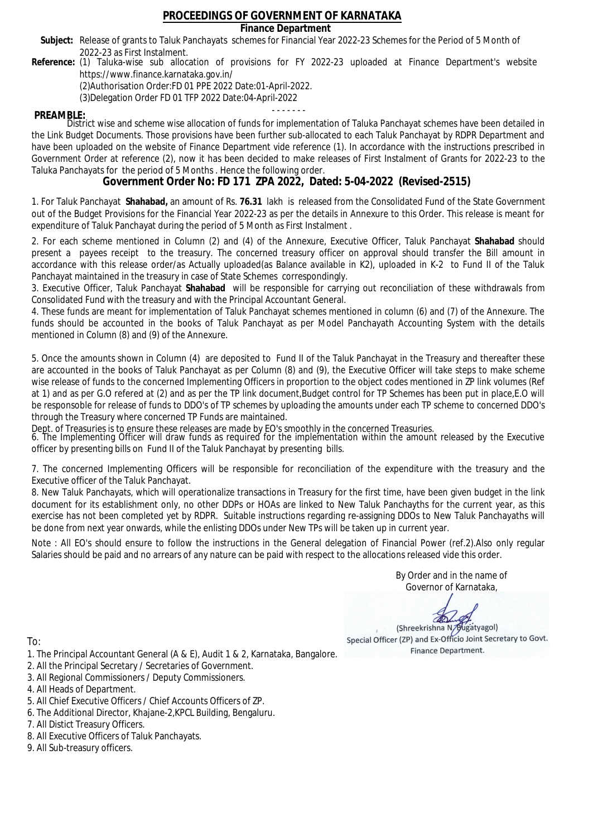### **Finance Department**

- Subject: Release of grants to Taluk Panchayats schemes for Financial Year 2022-23 Schemes for the Period of 5 Month of 2022-23 as First Instalment.
- **Reference:** (1) Taluka-wise sub allocation of provisions for FY 2022-23 uploaded at Finance Department's website https://www.finance.karnataka.gov.in/

(2)Authorisation Order:FD 01 PPE 2022 Date:01-April-2022.

(3)Delegation Order FD 01 TFP 2022 Date:04-April-2022

- - - - - - - **PREAMBLE:** District wise and scheme wise allocation of funds for implementation of Taluka Panchayat schemes have been detailed in the Link Budget Documents. Those provisions have been further sub-allocated to each Taluk Panchayat by RDPR Department and have been uploaded on the website of Finance Department vide reference (1). In accordance with the instructions prescribed in Government Order at reference (2), now it has been decided to make releases of First Instalment of Grants for 2022-23 to the Taluka Panchayats for the period of 5 Months . Hence the following order.

**Government Order No: FD 171 ZPA 2022, Dated: 5-04-2022 (Revised-2515)**

1. For Taluk Panchayat **Shahabad,** an amount of Rs. **76.31** lakh is released from the Consolidated Fund of the State Government out of the Budget Provisions for the Financial Year 2022-23 as per the details in Annexure to this Order. This release is meant for expenditure of Taluk Panchayat during the period of 5 Month as First Instalment .

2. For each scheme mentioned in Column (2) and (4) of the Annexure, Executive Officer, Taluk Panchayat **Shahabad** should present a payees receipt to the treasury. The concerned treasury officer on approval should transfer the Bill amount in accordance with this release order/as Actually uploaded(as Balance available in K2), uploaded in K-2 to Fund II of the Taluk Panchayat maintained in the treasury in case of State Schemes correspondingly.

3. Executive Officer, Taluk Panchayat **Shahabad** will be responsible for carrying out reconciliation of these withdrawals from Consolidated Fund with the treasury and with the Principal Accountant General.

4. These funds are meant for implementation of Taluk Panchayat schemes mentioned in column (6) and (7) of the Annexure. The funds should be accounted in the books of Taluk Panchayat as per Model Panchayath Accounting System with the details mentioned in Column (8) and (9) of the Annexure.

5. Once the amounts shown in Column (4) are deposited to Fund II of the Taluk Panchayat in the Treasury and thereafter these are accounted in the books of Taluk Panchayat as per Column (8) and (9), the Executive Officer will take steps to make scheme wise release of funds to the concerned Implementing Officers in proportion to the object codes mentioned in ZP link volumes (Ref at 1) and as per G.O refered at (2) and as per the TP link document,Budget control for TP Schemes has been put in place,E.O will be responsoble for release of funds to DDO's of TP schemes by uploading the amounts under each TP scheme to concerned DDO's through the Treasury where concerned TP Funds are maintained.

Dept. of Treasuries is to ensure these releases are made by EO's smoothly in the concerned Treasuries.

6. The Implementing Officer will draw funds as required for the implementation within the amount released by the Executive officer by presenting bills on Fund II of the Taluk Panchayat by presenting bills.

7. The concerned Implementing Officers will be responsible for reconciliation of the expenditure with the treasury and the Executive officer of the Taluk Panchayat.

8. New Taluk Panchayats, which will operationalize transactions in Treasury for the first time, have been given budget in the link document for its establishment only, no other DDPs or HOAs are linked to New Taluk Panchayths for the current year, as this exercise has not been completed yet by RDPR. Suitable instructions regarding re-assigning DDOs to New Taluk Panchayaths will be done from next year onwards, while the enlisting DDOs under New TPs will be taken up in current year.

Note : All EO's should ensure to follow the instructions in the General delegation of Financial Power (ref.2).Also only regular Salaries should be paid and no arrears of any nature can be paid with respect to the allocations released vide this order.

> By Order and in the name of Governor of Karnataka,

**PD** 

(Shreekrishna N/Bugatyagol) Special Officer (ZP) and Ex-Officio Joint Secretary to Govt. Finance Department.

- 1. The Principal Accountant General (A & E), Audit 1 & 2, Karnataka, Bangalore.
- 2. All the Principal Secretary / Secretaries of Government.
- 3. All Regional Commissioners / Deputy Commissioners.
- 4. All Heads of Department.
- 5. All Chief Executive Officers / Chief Accounts Officers of ZP.
- 6. The Additional Director, Khajane-2,KPCL Building, Bengaluru.
- 7. All Distict Treasury Officers.
- 8. All Executive Officers of Taluk Panchayats.
- 9. All Sub-treasury officers.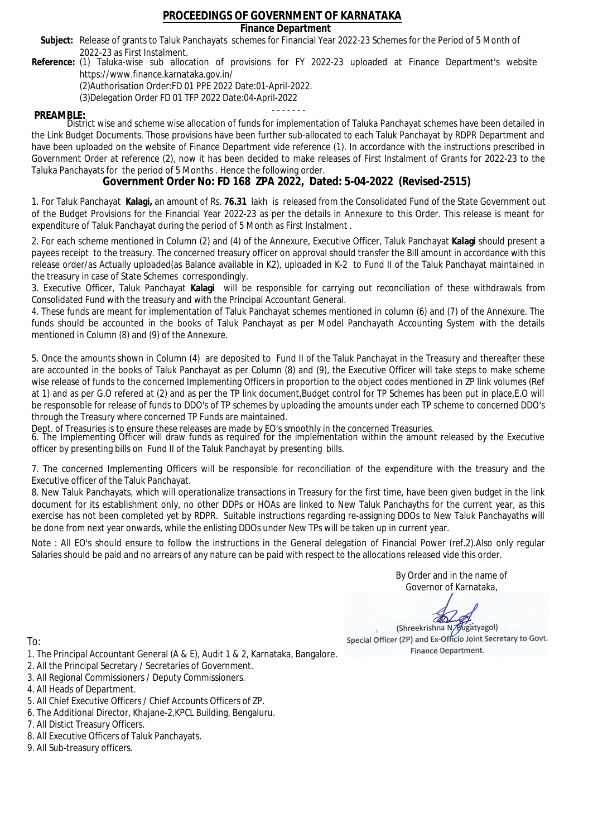### **Finance Department**

- Subject: Release of grants to Taluk Panchayats schemes for Financial Year 2022-23 Schemes for the Period of 5 Month of 2022-23 as First Instalment.
- **Reference:** (1) Taluka-wise sub allocation of provisions for FY 2022-23 uploaded at Finance Department's website https://www.finance.karnataka.gov.in/

(2)Authorisation Order:FD 01 PPE 2022 Date:01-April-2022.

(3)Delegation Order FD 01 TFP 2022 Date:04-April-2022

- - - - - - - **PREAMBLE:** District wise and scheme wise allocation of funds for implementation of Taluka Panchayat schemes have been detailed in the Link Budget Documents. Those provisions have been further sub-allocated to each Taluk Panchayat by RDPR Department and have been uploaded on the website of Finance Department vide reference (1). In accordance with the instructions prescribed in Government Order at reference (2), now it has been decided to make releases of First Instalment of Grants for 2022-23 to the Taluka Panchayats for the period of 5 Months . Hence the following order.

**Government Order No: FD 168 ZPA 2022, Dated: 5-04-2022 (Revised-2515)**

1. For Taluk Panchayat **Kalagi,** an amount of Rs. **76.31** lakh is released from the Consolidated Fund of the State Government out of the Budget Provisions for the Financial Year 2022-23 as per the details in Annexure to this Order. This release is meant for expenditure of Taluk Panchayat during the period of 5 Month as First Instalment .

2. For each scheme mentioned in Column (2) and (4) of the Annexure, Executive Officer, Taluk Panchayat **Kalagi** should present a payees receipt to the treasury. The concerned treasury officer on approval should transfer the Bill amount in accordance with this release order/as Actually uploaded(as Balance available in K2), uploaded in K-2 to Fund II of the Taluk Panchayat maintained in the treasury in case of State Schemes correspondingly.

3. Executive Officer, Taluk Panchayat **Kalagi** will be responsible for carrying out reconciliation of these withdrawals from Consolidated Fund with the treasury and with the Principal Accountant General.

4. These funds are meant for implementation of Taluk Panchayat schemes mentioned in column (6) and (7) of the Annexure. The funds should be accounted in the books of Taluk Panchayat as per Model Panchayath Accounting System with the details mentioned in Column (8) and (9) of the Annexure.

5. Once the amounts shown in Column (4) are deposited to Fund II of the Taluk Panchayat in the Treasury and thereafter these are accounted in the books of Taluk Panchayat as per Column (8) and (9), the Executive Officer will take steps to make scheme wise release of funds to the concerned Implementing Officers in proportion to the object codes mentioned in ZP link volumes (Ref at 1) and as per G.O refered at (2) and as per the TP link document,Budget control for TP Schemes has been put in place,E.O will be responsoble for release of funds to DDO's of TP schemes by uploading the amounts under each TP scheme to concerned DDO's through the Treasury where concerned TP Funds are maintained.

Dept. of Treasuries is to ensure these releases are made by EO's smoothly in the concerned Treasuries.

6. The Implementing Officer will draw funds as required for the implementation within the amount released by the Executive officer by presenting bills on Fund II of the Taluk Panchayat by presenting bills.

7. The concerned Implementing Officers will be responsible for reconciliation of the expenditure with the treasury and the Executive officer of the Taluk Panchayat.

8. New Taluk Panchayats, which will operationalize transactions in Treasury for the first time, have been given budget in the link document for its establishment only, no other DDPs or HOAs are linked to New Taluk Panchayths for the current year, as this exercise has not been completed yet by RDPR. Suitable instructions regarding re-assigning DDOs to New Taluk Panchayaths will be done from next year onwards, while the enlisting DDOs under New TPs will be taken up in current year.

Note : All EO's should ensure to follow the instructions in the General delegation of Financial Power (ref.2).Also only regular Salaries should be paid and no arrears of any nature can be paid with respect to the allocations released vide this order.

> By Order and in the name of Governor of Karnataka,

**PD** 

(Shreekrishna N/Bugatyagol) Special Officer (ZP) and Ex-Officio Joint Secretary to Govt. Finance Department.

To:

- 1. The Principal Accountant General (A & E), Audit 1 & 2, Karnataka, Bangalore.
- 2. All the Principal Secretary / Secretaries of Government.
- 3. All Regional Commissioners / Deputy Commissioners.
- 4. All Heads of Department.
- 5. All Chief Executive Officers / Chief Accounts Officers of ZP.
- 6. The Additional Director, Khajane-2,KPCL Building, Bengaluru.

- 8. All Executive Officers of Taluk Panchayats.
- 9. All Sub-treasury officers.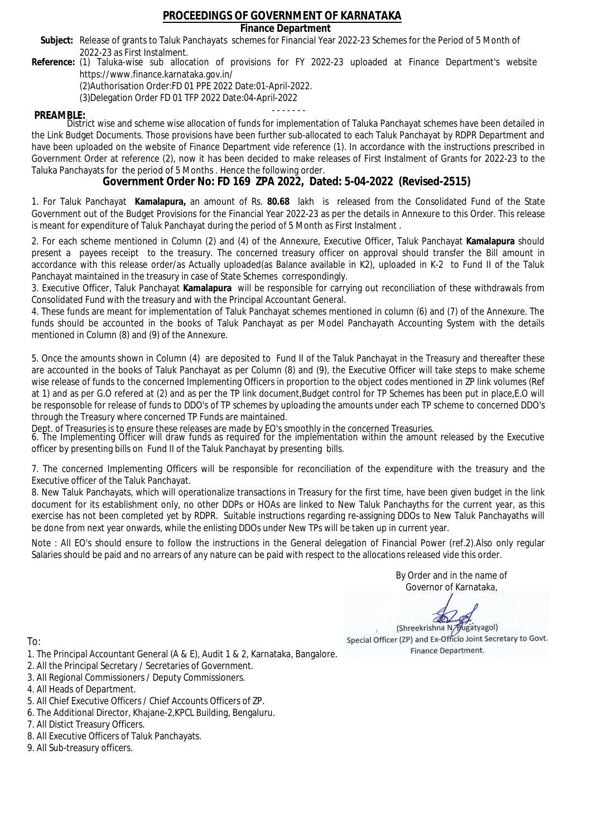### **Finance Department**

- Subject: Release of grants to Taluk Panchayats schemes for Financial Year 2022-23 Schemes for the Period of 5 Month of 2022-23 as First Instalment.
- **Reference:** (1) Taluka-wise sub allocation of provisions for FY 2022-23 uploaded at Finance Department's website https://www.finance.karnataka.gov.in/

(2)Authorisation Order:FD 01 PPE 2022 Date:01-April-2022.

(3)Delegation Order FD 01 TFP 2022 Date:04-April-2022

- - - - - - - **PREAMBLE:** District wise and scheme wise allocation of funds for implementation of Taluka Panchayat schemes have been detailed in the Link Budget Documents. Those provisions have been further sub-allocated to each Taluk Panchayat by RDPR Department and have been uploaded on the website of Finance Department vide reference (1). In accordance with the instructions prescribed in Government Order at reference (2), now it has been decided to make releases of First Instalment of Grants for 2022-23 to the Taluka Panchayats for the period of 5 Months . Hence the following order.

**Government Order No: FD 169 ZPA 2022, Dated: 5-04-2022 (Revised-2515)**

1. For Taluk Panchayat **Kamalapura,** an amount of Rs. **80.68** lakh is released from the Consolidated Fund of the State Government out of the Budget Provisions for the Financial Year 2022-23 as per the details in Annexure to this Order. This release is meant for expenditure of Taluk Panchayat during the period of 5 Month as First Instalment .

2. For each scheme mentioned in Column (2) and (4) of the Annexure, Executive Officer, Taluk Panchayat **Kamalapura** should present a payees receipt to the treasury. The concerned treasury officer on approval should transfer the Bill amount in accordance with this release order/as Actually uploaded(as Balance available in K2), uploaded in K-2 to Fund II of the Taluk Panchayat maintained in the treasury in case of State Schemes correspondingly.

3. Executive Officer, Taluk Panchayat **Kamalapura** will be responsible for carrying out reconciliation of these withdrawals from Consolidated Fund with the treasury and with the Principal Accountant General.

4. These funds are meant for implementation of Taluk Panchayat schemes mentioned in column (6) and (7) of the Annexure. The funds should be accounted in the books of Taluk Panchayat as per Model Panchayath Accounting System with the details mentioned in Column (8) and (9) of the Annexure.

5. Once the amounts shown in Column (4) are deposited to Fund II of the Taluk Panchayat in the Treasury and thereafter these are accounted in the books of Taluk Panchayat as per Column (8) and (9), the Executive Officer will take steps to make scheme wise release of funds to the concerned Implementing Officers in proportion to the object codes mentioned in ZP link volumes (Ref at 1) and as per G.O refered at (2) and as per the TP link document,Budget control for TP Schemes has been put in place,E.O will be responsoble for release of funds to DDO's of TP schemes by uploading the amounts under each TP scheme to concerned DDO's through the Treasury where concerned TP Funds are maintained.

Dept. of Treasuries is to ensure these releases are made by EO's smoothly in the concerned Treasuries.

6. The Implementing Officer will draw funds as required for the implementation within the amount released by the Executive officer by presenting bills on Fund II of the Taluk Panchayat by presenting bills.

7. The concerned Implementing Officers will be responsible for reconciliation of the expenditure with the treasury and the Executive officer of the Taluk Panchayat.

8. New Taluk Panchayats, which will operationalize transactions in Treasury for the first time, have been given budget in the link document for its establishment only, no other DDPs or HOAs are linked to New Taluk Panchayths for the current year, as this exercise has not been completed yet by RDPR. Suitable instructions regarding re-assigning DDOs to New Taluk Panchayaths will be done from next year onwards, while the enlisting DDOs under New TPs will be taken up in current year.

Note : All EO's should ensure to follow the instructions in the General delegation of Financial Power (ref.2).Also only regular Salaries should be paid and no arrears of any nature can be paid with respect to the allocations released vide this order.

> By Order and in the name of Governor of Karnataka,

**PD** 

(Shreekrishna N/Bugatyagol) Special Officer (ZP) and Ex-Officio Joint Secretary to Govt. Finance Department.

- 1. The Principal Accountant General (A & E), Audit 1 & 2, Karnataka, Bangalore.
- 2. All the Principal Secretary / Secretaries of Government.
- 3. All Regional Commissioners / Deputy Commissioners.
- 4. All Heads of Department.
- 5. All Chief Executive Officers / Chief Accounts Officers of ZP.
- 6. The Additional Director, Khajane-2,KPCL Building, Bengaluru.
- 7. All Distict Treasury Officers.
- 8. All Executive Officers of Taluk Panchayats.
- 9. All Sub-treasury officers.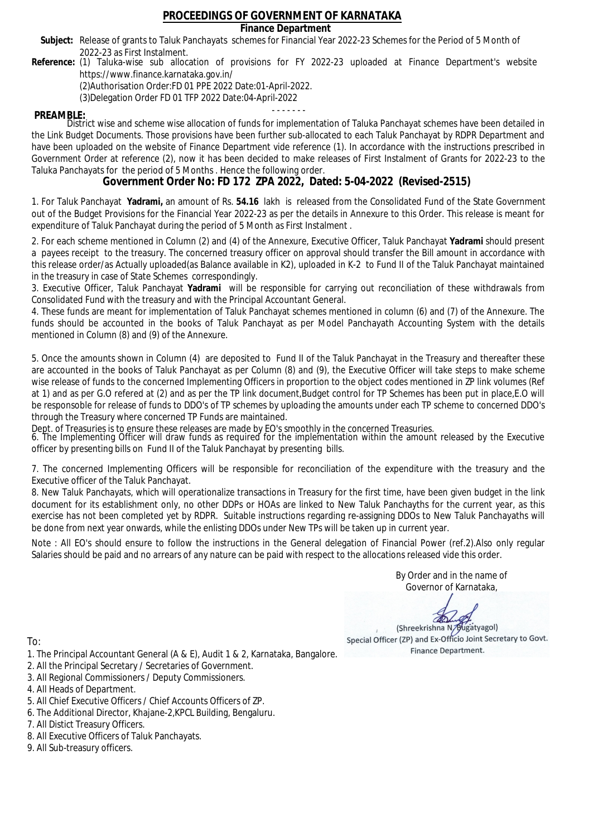### **Finance Department**

- Subject: Release of grants to Taluk Panchayats schemes for Financial Year 2022-23 Schemes for the Period of 5 Month of 2022-23 as First Instalment.
- **Reference:** (1) Taluka-wise sub allocation of provisions for FY 2022-23 uploaded at Finance Department's website https://www.finance.karnataka.gov.in/

(2)Authorisation Order:FD 01 PPE 2022 Date:01-April-2022.

(3)Delegation Order FD 01 TFP 2022 Date:04-April-2022

- - - - - - - **PREAMBLE:** District wise and scheme wise allocation of funds for implementation of Taluka Panchayat schemes have been detailed in the Link Budget Documents. Those provisions have been further sub-allocated to each Taluk Panchayat by RDPR Department and have been uploaded on the website of Finance Department vide reference (1). In accordance with the instructions prescribed in Government Order at reference (2), now it has been decided to make releases of First Instalment of Grants for 2022-23 to the Taluka Panchayats for the period of 5 Months . Hence the following order.

**Government Order No: FD 172 ZPA 2022, Dated: 5-04-2022 (Revised-2515)**

1. For Taluk Panchayat **Yadrami,** an amount of Rs. **54.16** lakh is released from the Consolidated Fund of the State Government out of the Budget Provisions for the Financial Year 2022-23 as per the details in Annexure to this Order. This release is meant for expenditure of Taluk Panchayat during the period of 5 Month as First Instalment .

2. For each scheme mentioned in Column (2) and (4) of the Annexure, Executive Officer, Taluk Panchayat **Yadrami** should present a payees receipt to the treasury. The concerned treasury officer on approval should transfer the Bill amount in accordance with this release order/as Actually uploaded(as Balance available in K2), uploaded in K-2 to Fund II of the Taluk Panchayat maintained in the treasury in case of State Schemes correspondingly.

3. Executive Officer, Taluk Panchayat **Yadrami** will be responsible for carrying out reconciliation of these withdrawals from Consolidated Fund with the treasury and with the Principal Accountant General.

4. These funds are meant for implementation of Taluk Panchayat schemes mentioned in column (6) and (7) of the Annexure. The funds should be accounted in the books of Taluk Panchayat as per Model Panchayath Accounting System with the details mentioned in Column (8) and (9) of the Annexure.

5. Once the amounts shown in Column (4) are deposited to Fund II of the Taluk Panchayat in the Treasury and thereafter these are accounted in the books of Taluk Panchayat as per Column (8) and (9), the Executive Officer will take steps to make scheme wise release of funds to the concerned Implementing Officers in proportion to the object codes mentioned in ZP link volumes (Ref at 1) and as per G.O refered at (2) and as per the TP link document,Budget control for TP Schemes has been put in place,E.O will be responsoble for release of funds to DDO's of TP schemes by uploading the amounts under each TP scheme to concerned DDO's through the Treasury where concerned TP Funds are maintained.

Dept. of Treasuries is to ensure these releases are made by EO's smoothly in the concerned Treasuries.

6. The Implementing Officer will draw funds as required for the implementation within the amount released by the Executive officer by presenting bills on Fund II of the Taluk Panchayat by presenting bills.

7. The concerned Implementing Officers will be responsible for reconciliation of the expenditure with the treasury and the Executive officer of the Taluk Panchayat.

8. New Taluk Panchayats, which will operationalize transactions in Treasury for the first time, have been given budget in the link document for its establishment only, no other DDPs or HOAs are linked to New Taluk Panchayths for the current year, as this exercise has not been completed yet by RDPR. Suitable instructions regarding re-assigning DDOs to New Taluk Panchayaths will be done from next year onwards, while the enlisting DDOs under New TPs will be taken up in current year.

Note : All EO's should ensure to follow the instructions in the General delegation of Financial Power (ref.2).Also only regular Salaries should be paid and no arrears of any nature can be paid with respect to the allocations released vide this order.

> By Order and in the name of Governor of Karnataka,

**PD** 

(Shreekrishna N/Bugatyagol) Special Officer (ZP) and Ex-Officio Joint Secretary to Govt. Finance Department.

- 1. The Principal Accountant General (A & E), Audit 1 & 2, Karnataka, Bangalore.
- 2. All the Principal Secretary / Secretaries of Government.
- 3. All Regional Commissioners / Deputy Commissioners.
- 4. All Heads of Department.
- 5. All Chief Executive Officers / Chief Accounts Officers of ZP.
- 6. The Additional Director, Khajane-2,KPCL Building, Bengaluru.
- 7. All Distict Treasury Officers.
- 8. All Executive Officers of Taluk Panchayats.
- 9. All Sub-treasury officers.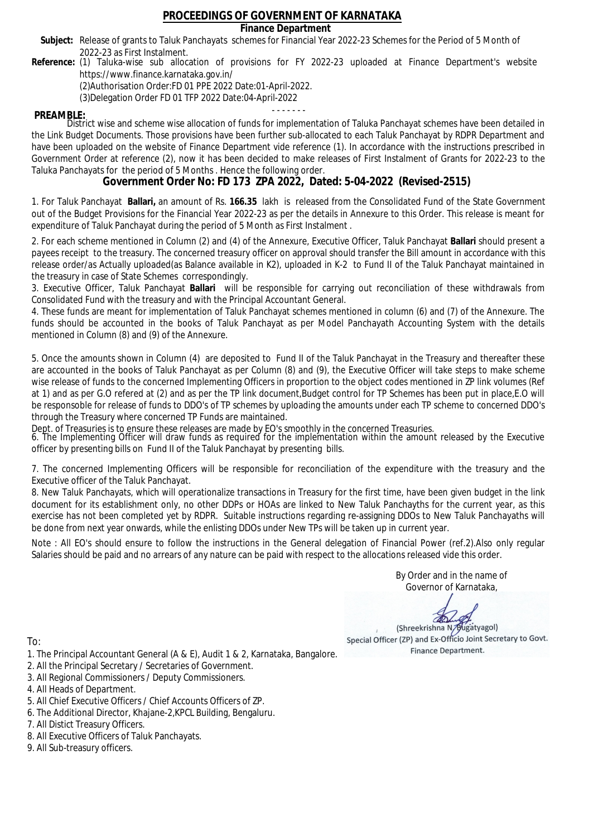### **Finance Department**

- Subject: Release of grants to Taluk Panchayats schemes for Financial Year 2022-23 Schemes for the Period of 5 Month of 2022-23 as First Instalment.
- **Reference:** (1) Taluka-wise sub allocation of provisions for FY 2022-23 uploaded at Finance Department's website https://www.finance.karnataka.gov.in/

(2)Authorisation Order:FD 01 PPE 2022 Date:01-April-2022.

(3)Delegation Order FD 01 TFP 2022 Date:04-April-2022

- - - - - - - **PREAMBLE:** District wise and scheme wise allocation of funds for implementation of Taluka Panchayat schemes have been detailed in the Link Budget Documents. Those provisions have been further sub-allocated to each Taluk Panchayat by RDPR Department and have been uploaded on the website of Finance Department vide reference (1). In accordance with the instructions prescribed in Government Order at reference (2), now it has been decided to make releases of First Instalment of Grants for 2022-23 to the Taluka Panchayats for the period of 5 Months . Hence the following order.

**Government Order No: FD 173 ZPA 2022, Dated: 5-04-2022 (Revised-2515)**

1. For Taluk Panchayat **Ballari,** an amount of Rs. **166.35** lakh is released from the Consolidated Fund of the State Government out of the Budget Provisions for the Financial Year 2022-23 as per the details in Annexure to this Order. This release is meant for expenditure of Taluk Panchayat during the period of 5 Month as First Instalment .

2. For each scheme mentioned in Column (2) and (4) of the Annexure, Executive Officer, Taluk Panchayat **Ballari** should present a payees receipt to the treasury. The concerned treasury officer on approval should transfer the Bill amount in accordance with this release order/as Actually uploaded(as Balance available in K2), uploaded in K-2 to Fund II of the Taluk Panchayat maintained in the treasury in case of State Schemes correspondingly.

3. Executive Officer, Taluk Panchayat **Ballari** will be responsible for carrying out reconciliation of these withdrawals from Consolidated Fund with the treasury and with the Principal Accountant General.

4. These funds are meant for implementation of Taluk Panchayat schemes mentioned in column (6) and (7) of the Annexure. The funds should be accounted in the books of Taluk Panchayat as per Model Panchayath Accounting System with the details mentioned in Column (8) and (9) of the Annexure.

5. Once the amounts shown in Column (4) are deposited to Fund II of the Taluk Panchayat in the Treasury and thereafter these are accounted in the books of Taluk Panchayat as per Column (8) and (9), the Executive Officer will take steps to make scheme wise release of funds to the concerned Implementing Officers in proportion to the object codes mentioned in ZP link volumes (Ref at 1) and as per G.O refered at (2) and as per the TP link document,Budget control for TP Schemes has been put in place,E.O will be responsoble for release of funds to DDO's of TP schemes by uploading the amounts under each TP scheme to concerned DDO's through the Treasury where concerned TP Funds are maintained.

Dept. of Treasuries is to ensure these releases are made by EO's smoothly in the concerned Treasuries.

6. The Implementing Officer will draw funds as required for the implementation within the amount released by the Executive officer by presenting bills on Fund II of the Taluk Panchayat by presenting bills.

7. The concerned Implementing Officers will be responsible for reconciliation of the expenditure with the treasury and the Executive officer of the Taluk Panchayat.

8. New Taluk Panchayats, which will operationalize transactions in Treasury for the first time, have been given budget in the link document for its establishment only, no other DDPs or HOAs are linked to New Taluk Panchayths for the current year, as this exercise has not been completed yet by RDPR. Suitable instructions regarding re-assigning DDOs to New Taluk Panchayaths will be done from next year onwards, while the enlisting DDOs under New TPs will be taken up in current year.

Note : All EO's should ensure to follow the instructions in the General delegation of Financial Power (ref.2).Also only regular Salaries should be paid and no arrears of any nature can be paid with respect to the allocations released vide this order.

> By Order and in the name of Governor of Karnataka,

**PD** 

(Shreekrishna N/Bugatyagol) Special Officer (ZP) and Ex-Officio Joint Secretary to Govt. Finance Department.

- 1. The Principal Accountant General (A & E), Audit 1 & 2, Karnataka, Bangalore.
- 2. All the Principal Secretary / Secretaries of Government.
- 3. All Regional Commissioners / Deputy Commissioners.
- 4. All Heads of Department.
- 5. All Chief Executive Officers / Chief Accounts Officers of ZP.
- 6. The Additional Director, Khajane-2,KPCL Building, Bengaluru.
- 7. All Distict Treasury Officers.
- 8. All Executive Officers of Taluk Panchayats.
- 9. All Sub-treasury officers.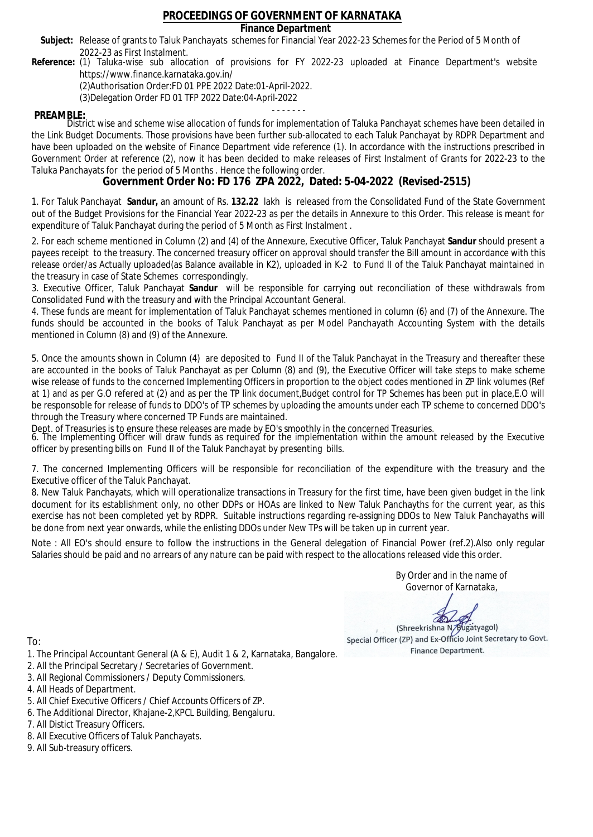### **Finance Department**

- Subject: Release of grants to Taluk Panchayats schemes for Financial Year 2022-23 Schemes for the Period of 5 Month of 2022-23 as First Instalment.
- **Reference:** (1) Taluka-wise sub allocation of provisions for FY 2022-23 uploaded at Finance Department's website https://www.finance.karnataka.gov.in/

(2)Authorisation Order:FD 01 PPE 2022 Date:01-April-2022.

(3)Delegation Order FD 01 TFP 2022 Date:04-April-2022

- - - - - - - **PREAMBLE:** District wise and scheme wise allocation of funds for implementation of Taluka Panchayat schemes have been detailed in the Link Budget Documents. Those provisions have been further sub-allocated to each Taluk Panchayat by RDPR Department and have been uploaded on the website of Finance Department vide reference (1). In accordance with the instructions prescribed in Government Order at reference (2), now it has been decided to make releases of First Instalment of Grants for 2022-23 to the Taluka Panchayats for the period of 5 Months . Hence the following order.

**Government Order No: FD 176 ZPA 2022, Dated: 5-04-2022 (Revised-2515)**

1. For Taluk Panchayat **Sandur,** an amount of Rs. **132.22** lakh is released from the Consolidated Fund of the State Government out of the Budget Provisions for the Financial Year 2022-23 as per the details in Annexure to this Order. This release is meant for expenditure of Taluk Panchayat during the period of 5 Month as First Instalment .

2. For each scheme mentioned in Column (2) and (4) of the Annexure, Executive Officer, Taluk Panchayat **Sandur** should present a payees receipt to the treasury. The concerned treasury officer on approval should transfer the Bill amount in accordance with this release order/as Actually uploaded(as Balance available in K2), uploaded in K-2 to Fund II of the Taluk Panchayat maintained in the treasury in case of State Schemes correspondingly.

3. Executive Officer, Taluk Panchayat **Sandur** will be responsible for carrying out reconciliation of these withdrawals from Consolidated Fund with the treasury and with the Principal Accountant General.

4. These funds are meant for implementation of Taluk Panchayat schemes mentioned in column (6) and (7) of the Annexure. The funds should be accounted in the books of Taluk Panchayat as per Model Panchayath Accounting System with the details mentioned in Column (8) and (9) of the Annexure.

5. Once the amounts shown in Column (4) are deposited to Fund II of the Taluk Panchayat in the Treasury and thereafter these are accounted in the books of Taluk Panchayat as per Column (8) and (9), the Executive Officer will take steps to make scheme wise release of funds to the concerned Implementing Officers in proportion to the object codes mentioned in ZP link volumes (Ref at 1) and as per G.O refered at (2) and as per the TP link document,Budget control for TP Schemes has been put in place,E.O will be responsoble for release of funds to DDO's of TP schemes by uploading the amounts under each TP scheme to concerned DDO's through the Treasury where concerned TP Funds are maintained.

Dept. of Treasuries is to ensure these releases are made by EO's smoothly in the concerned Treasuries.

6. The Implementing Officer will draw funds as required for the implementation within the amount released by the Executive officer by presenting bills on Fund II of the Taluk Panchayat by presenting bills.

7. The concerned Implementing Officers will be responsible for reconciliation of the expenditure with the treasury and the Executive officer of the Taluk Panchayat.

8. New Taluk Panchayats, which will operationalize transactions in Treasury for the first time, have been given budget in the link document for its establishment only, no other DDPs or HOAs are linked to New Taluk Panchayths for the current year, as this exercise has not been completed yet by RDPR. Suitable instructions regarding re-assigning DDOs to New Taluk Panchayaths will be done from next year onwards, while the enlisting DDOs under New TPs will be taken up in current year.

Note : All EO's should ensure to follow the instructions in the General delegation of Financial Power (ref.2).Also only regular Salaries should be paid and no arrears of any nature can be paid with respect to the allocations released vide this order.

> By Order and in the name of Governor of Karnataka,

**PD** 

(Shreekrishna N/Bugatyagol) Special Officer (ZP) and Ex-Officio Joint Secretary to Govt. Finance Department.

To:

- 1. The Principal Accountant General (A & E), Audit 1 & 2, Karnataka, Bangalore.
- 2. All the Principal Secretary / Secretaries of Government.
- 3. All Regional Commissioners / Deputy Commissioners.
- 4. All Heads of Department.
- 5. All Chief Executive Officers / Chief Accounts Officers of ZP.
- 6. The Additional Director, Khajane-2,KPCL Building, Bengaluru.

- 8. All Executive Officers of Taluk Panchayats.
- 9. All Sub-treasury officers.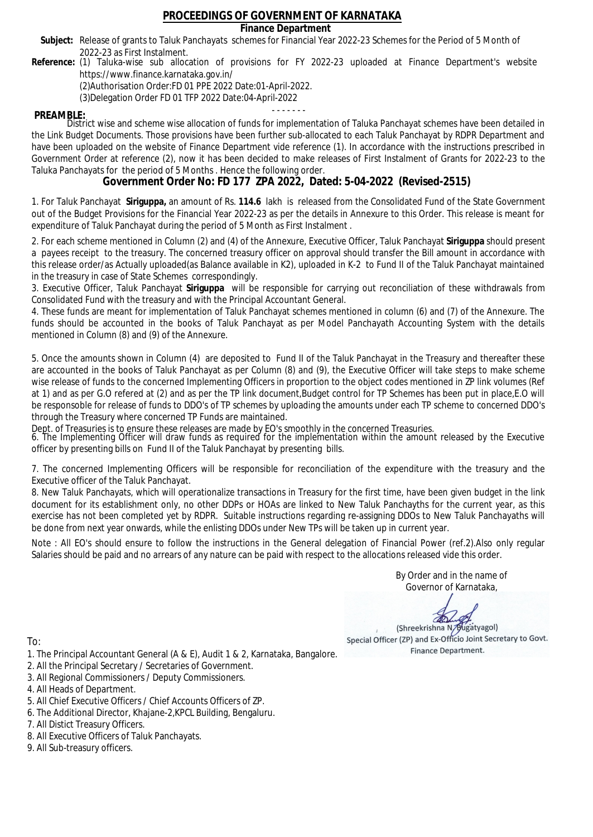### **Finance Department**

- Subject: Release of grants to Taluk Panchayats schemes for Financial Year 2022-23 Schemes for the Period of 5 Month of 2022-23 as First Instalment.
- **Reference:** (1) Taluka-wise sub allocation of provisions for FY 2022-23 uploaded at Finance Department's website https://www.finance.karnataka.gov.in/

(2)Authorisation Order:FD 01 PPE 2022 Date:01-April-2022.

(3)Delegation Order FD 01 TFP 2022 Date:04-April-2022

- - - - - - - **PREAMBLE:** District wise and scheme wise allocation of funds for implementation of Taluka Panchayat schemes have been detailed in the Link Budget Documents. Those provisions have been further sub-allocated to each Taluk Panchayat by RDPR Department and have been uploaded on the website of Finance Department vide reference (1). In accordance with the instructions prescribed in Government Order at reference (2), now it has been decided to make releases of First Instalment of Grants for 2022-23 to the Taluka Panchayats for the period of 5 Months . Hence the following order.

**Government Order No: FD 177 ZPA 2022, Dated: 5-04-2022 (Revised-2515)**

1. For Taluk Panchayat **Siriguppa,** an amount of Rs. **114.6** lakh is released from the Consolidated Fund of the State Government out of the Budget Provisions for the Financial Year 2022-23 as per the details in Annexure to this Order. This release is meant for expenditure of Taluk Panchayat during the period of 5 Month as First Instalment .

2. For each scheme mentioned in Column (2) and (4) of the Annexure, Executive Officer, Taluk Panchayat **Siriguppa** should present a payees receipt to the treasury. The concerned treasury officer on approval should transfer the Bill amount in accordance with this release order/as Actually uploaded(as Balance available in K2), uploaded in K-2 to Fund II of the Taluk Panchayat maintained in the treasury in case of State Schemes correspondingly.

3. Executive Officer, Taluk Panchayat **Siriguppa** will be responsible for carrying out reconciliation of these withdrawals from Consolidated Fund with the treasury and with the Principal Accountant General.

4. These funds are meant for implementation of Taluk Panchayat schemes mentioned in column (6) and (7) of the Annexure. The funds should be accounted in the books of Taluk Panchayat as per Model Panchayath Accounting System with the details mentioned in Column (8) and (9) of the Annexure.

5. Once the amounts shown in Column (4) are deposited to Fund II of the Taluk Panchayat in the Treasury and thereafter these are accounted in the books of Taluk Panchayat as per Column (8) and (9), the Executive Officer will take steps to make scheme wise release of funds to the concerned Implementing Officers in proportion to the object codes mentioned in ZP link volumes (Ref at 1) and as per G.O refered at (2) and as per the TP link document,Budget control for TP Schemes has been put in place,E.O will be responsoble for release of funds to DDO's of TP schemes by uploading the amounts under each TP scheme to concerned DDO's through the Treasury where concerned TP Funds are maintained.

Dept. of Treasuries is to ensure these releases are made by EO's smoothly in the concerned Treasuries.

6. The Implementing Officer will draw funds as required for the implementation within the amount released by the Executive officer by presenting bills on Fund II of the Taluk Panchayat by presenting bills.

7. The concerned Implementing Officers will be responsible for reconciliation of the expenditure with the treasury and the Executive officer of the Taluk Panchayat.

8. New Taluk Panchayats, which will operationalize transactions in Treasury for the first time, have been given budget in the link document for its establishment only, no other DDPs or HOAs are linked to New Taluk Panchayths for the current year, as this exercise has not been completed yet by RDPR. Suitable instructions regarding re-assigning DDOs to New Taluk Panchayaths will be done from next year onwards, while the enlisting DDOs under New TPs will be taken up in current year.

Note : All EO's should ensure to follow the instructions in the General delegation of Financial Power (ref.2).Also only regular Salaries should be paid and no arrears of any nature can be paid with respect to the allocations released vide this order.

> By Order and in the name of Governor of Karnataka,

**PD** 

(Shreekrishna N/Bugatyagol) Special Officer (ZP) and Ex-Officio Joint Secretary to Govt. Finance Department.

To:

- 1. The Principal Accountant General (A & E), Audit 1 & 2, Karnataka, Bangalore.
- 2. All the Principal Secretary / Secretaries of Government.
- 3. All Regional Commissioners / Deputy Commissioners.
- 4. All Heads of Department.
- 5. All Chief Executive Officers / Chief Accounts Officers of ZP.
- 6. The Additional Director, Khajane-2,KPCL Building, Bengaluru.

- 8. All Executive Officers of Taluk Panchayats.
- 9. All Sub-treasury officers.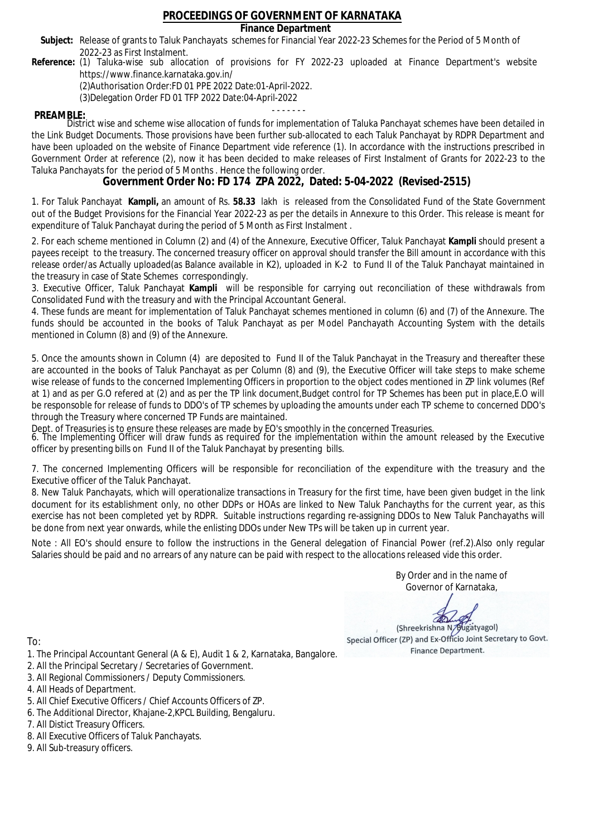### **Finance Department**

- Subject: Release of grants to Taluk Panchayats schemes for Financial Year 2022-23 Schemes for the Period of 5 Month of 2022-23 as First Instalment.
- **Reference:** (1) Taluka-wise sub allocation of provisions for FY 2022-23 uploaded at Finance Department's website https://www.finance.karnataka.gov.in/

(2)Authorisation Order:FD 01 PPE 2022 Date:01-April-2022.

(3)Delegation Order FD 01 TFP 2022 Date:04-April-2022

- - - - - - - **PREAMBLE:** District wise and scheme wise allocation of funds for implementation of Taluka Panchayat schemes have been detailed in the Link Budget Documents. Those provisions have been further sub-allocated to each Taluk Panchayat by RDPR Department and have been uploaded on the website of Finance Department vide reference (1). In accordance with the instructions prescribed in Government Order at reference (2), now it has been decided to make releases of First Instalment of Grants for 2022-23 to the Taluka Panchayats for the period of 5 Months . Hence the following order.

**Government Order No: FD 174 ZPA 2022, Dated: 5-04-2022 (Revised-2515)**

1. For Taluk Panchayat **Kampli,** an amount of Rs. **58.33** lakh is released from the Consolidated Fund of the State Government out of the Budget Provisions for the Financial Year 2022-23 as per the details in Annexure to this Order. This release is meant for expenditure of Taluk Panchayat during the period of 5 Month as First Instalment .

2. For each scheme mentioned in Column (2) and (4) of the Annexure, Executive Officer, Taluk Panchayat **Kampli** should present a payees receipt to the treasury. The concerned treasury officer on approval should transfer the Bill amount in accordance with this release order/as Actually uploaded(as Balance available in K2), uploaded in K-2 to Fund II of the Taluk Panchayat maintained in the treasury in case of State Schemes correspondingly.

3. Executive Officer, Taluk Panchayat **Kampli** will be responsible for carrying out reconciliation of these withdrawals from Consolidated Fund with the treasury and with the Principal Accountant General.

4. These funds are meant for implementation of Taluk Panchayat schemes mentioned in column (6) and (7) of the Annexure. The funds should be accounted in the books of Taluk Panchayat as per Model Panchayath Accounting System with the details mentioned in Column (8) and (9) of the Annexure.

5. Once the amounts shown in Column (4) are deposited to Fund II of the Taluk Panchayat in the Treasury and thereafter these are accounted in the books of Taluk Panchayat as per Column (8) and (9), the Executive Officer will take steps to make scheme wise release of funds to the concerned Implementing Officers in proportion to the object codes mentioned in ZP link volumes (Ref at 1) and as per G.O refered at (2) and as per the TP link document,Budget control for TP Schemes has been put in place,E.O will be responsoble for release of funds to DDO's of TP schemes by uploading the amounts under each TP scheme to concerned DDO's through the Treasury where concerned TP Funds are maintained.

Dept. of Treasuries is to ensure these releases are made by EO's smoothly in the concerned Treasuries.

6. The Implementing Officer will draw funds as required for the implementation within the amount released by the Executive officer by presenting bills on Fund II of the Taluk Panchayat by presenting bills.

7. The concerned Implementing Officers will be responsible for reconciliation of the expenditure with the treasury and the Executive officer of the Taluk Panchayat.

8. New Taluk Panchayats, which will operationalize transactions in Treasury for the first time, have been given budget in the link document for its establishment only, no other DDPs or HOAs are linked to New Taluk Panchayths for the current year, as this exercise has not been completed yet by RDPR. Suitable instructions regarding re-assigning DDOs to New Taluk Panchayaths will be done from next year onwards, while the enlisting DDOs under New TPs will be taken up in current year.

Note : All EO's should ensure to follow the instructions in the General delegation of Financial Power (ref.2).Also only regular Salaries should be paid and no arrears of any nature can be paid with respect to the allocations released vide this order.

> By Order and in the name of Governor of Karnataka,

**PD** 

(Shreekrishna N/Bugatyagol) Special Officer (ZP) and Ex-Officio Joint Secretary to Govt. Finance Department.

To:

- 1. The Principal Accountant General (A & E), Audit 1 & 2, Karnataka, Bangalore.
- 2. All the Principal Secretary / Secretaries of Government.
- 3. All Regional Commissioners / Deputy Commissioners.
- 4. All Heads of Department.
- 5. All Chief Executive Officers / Chief Accounts Officers of ZP.
- 6. The Additional Director, Khajane-2,KPCL Building, Bengaluru.

- 8. All Executive Officers of Taluk Panchayats.
- 9. All Sub-treasury officers.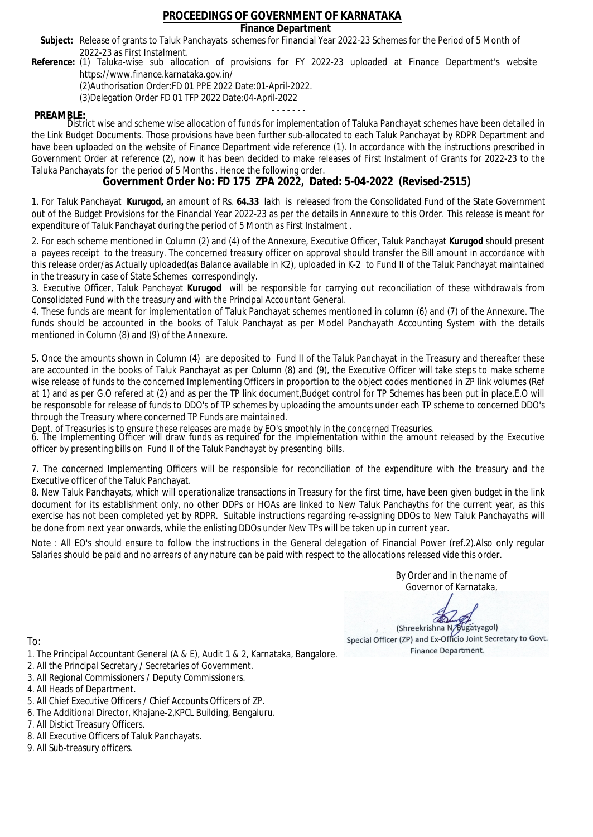### **Finance Department**

- Subject: Release of grants to Taluk Panchayats schemes for Financial Year 2022-23 Schemes for the Period of 5 Month of 2022-23 as First Instalment.
- **Reference:** (1) Taluka-wise sub allocation of provisions for FY 2022-23 uploaded at Finance Department's website https://www.finance.karnataka.gov.in/

(2)Authorisation Order:FD 01 PPE 2022 Date:01-April-2022.

(3)Delegation Order FD 01 TFP 2022 Date:04-April-2022

- - - - - - - **PREAMBLE:** District wise and scheme wise allocation of funds for implementation of Taluka Panchayat schemes have been detailed in the Link Budget Documents. Those provisions have been further sub-allocated to each Taluk Panchayat by RDPR Department and have been uploaded on the website of Finance Department vide reference (1). In accordance with the instructions prescribed in Government Order at reference (2), now it has been decided to make releases of First Instalment of Grants for 2022-23 to the Taluka Panchayats for the period of 5 Months . Hence the following order.

**Government Order No: FD 175 ZPA 2022, Dated: 5-04-2022 (Revised-2515)**

1. For Taluk Panchayat **Kurugod,** an amount of Rs. **64.33** lakh is released from the Consolidated Fund of the State Government out of the Budget Provisions for the Financial Year 2022-23 as per the details in Annexure to this Order. This release is meant for expenditure of Taluk Panchayat during the period of 5 Month as First Instalment .

2. For each scheme mentioned in Column (2) and (4) of the Annexure, Executive Officer, Taluk Panchayat **Kurugod** should present a payees receipt to the treasury. The concerned treasury officer on approval should transfer the Bill amount in accordance with this release order/as Actually uploaded(as Balance available in K2), uploaded in K-2 to Fund II of the Taluk Panchayat maintained in the treasury in case of State Schemes correspondingly.

3. Executive Officer, Taluk Panchayat **Kurugod** will be responsible for carrying out reconciliation of these withdrawals from Consolidated Fund with the treasury and with the Principal Accountant General.

4. These funds are meant for implementation of Taluk Panchayat schemes mentioned in column (6) and (7) of the Annexure. The funds should be accounted in the books of Taluk Panchayat as per Model Panchayath Accounting System with the details mentioned in Column (8) and (9) of the Annexure.

5. Once the amounts shown in Column (4) are deposited to Fund II of the Taluk Panchayat in the Treasury and thereafter these are accounted in the books of Taluk Panchayat as per Column (8) and (9), the Executive Officer will take steps to make scheme wise release of funds to the concerned Implementing Officers in proportion to the object codes mentioned in ZP link volumes (Ref at 1) and as per G.O refered at (2) and as per the TP link document,Budget control for TP Schemes has been put in place,E.O will be responsoble for release of funds to DDO's of TP schemes by uploading the amounts under each TP scheme to concerned DDO's through the Treasury where concerned TP Funds are maintained.

Dept. of Treasuries is to ensure these releases are made by EO's smoothly in the concerned Treasuries.

6. The Implementing Officer will draw funds as required for the implementation within the amount released by the Executive officer by presenting bills on Fund II of the Taluk Panchayat by presenting bills.

7. The concerned Implementing Officers will be responsible for reconciliation of the expenditure with the treasury and the Executive officer of the Taluk Panchayat.

8. New Taluk Panchayats, which will operationalize transactions in Treasury for the first time, have been given budget in the link document for its establishment only, no other DDPs or HOAs are linked to New Taluk Panchayths for the current year, as this exercise has not been completed yet by RDPR. Suitable instructions regarding re-assigning DDOs to New Taluk Panchayaths will be done from next year onwards, while the enlisting DDOs under New TPs will be taken up in current year.

Note : All EO's should ensure to follow the instructions in the General delegation of Financial Power (ref.2).Also only regular Salaries should be paid and no arrears of any nature can be paid with respect to the allocations released vide this order.

> By Order and in the name of Governor of Karnataka,

**PD** 

(Shreekrishna N/Bugatyagol) Special Officer (ZP) and Ex-Officio Joint Secretary to Govt. Finance Department.

To:

- 1. The Principal Accountant General (A & E), Audit 1 & 2, Karnataka, Bangalore.
- 2. All the Principal Secretary / Secretaries of Government.
- 3. All Regional Commissioners / Deputy Commissioners.
- 4. All Heads of Department.
- 5. All Chief Executive Officers / Chief Accounts Officers of ZP.
- 6. The Additional Director, Khajane-2,KPCL Building, Bengaluru.

- 8. All Executive Officers of Taluk Panchayats.
- 9. All Sub-treasury officers.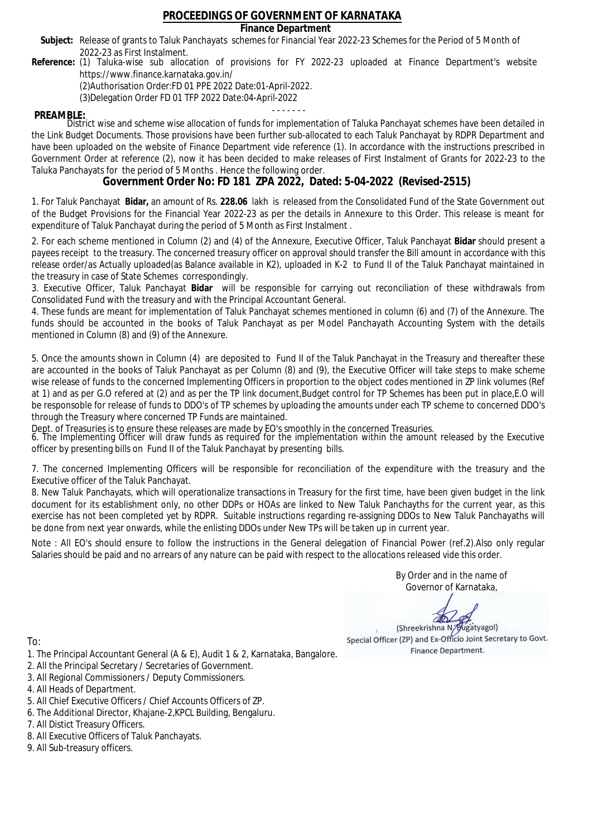### **Finance Department**

- Subject: Release of grants to Taluk Panchayats schemes for Financial Year 2022-23 Schemes for the Period of 5 Month of 2022-23 as First Instalment.
- **Reference:** (1) Taluka-wise sub allocation of provisions for FY 2022-23 uploaded at Finance Department's website https://www.finance.karnataka.gov.in/

(2)Authorisation Order:FD 01 PPE 2022 Date:01-April-2022.

(3)Delegation Order FD 01 TFP 2022 Date:04-April-2022

- - - - - - - **PREAMBLE:** District wise and scheme wise allocation of funds for implementation of Taluka Panchayat schemes have been detailed in the Link Budget Documents. Those provisions have been further sub-allocated to each Taluk Panchayat by RDPR Department and have been uploaded on the website of Finance Department vide reference (1). In accordance with the instructions prescribed in Government Order at reference (2), now it has been decided to make releases of First Instalment of Grants for 2022-23 to the Taluka Panchayats for the period of 5 Months . Hence the following order.

**Government Order No: FD 181 ZPA 2022, Dated: 5-04-2022 (Revised-2515)**

1. For Taluk Panchayat **Bidar,** an amount of Rs. **228.06** lakh is released from the Consolidated Fund of the State Government out of the Budget Provisions for the Financial Year 2022-23 as per the details in Annexure to this Order. This release is meant for expenditure of Taluk Panchayat during the period of 5 Month as First Instalment .

2. For each scheme mentioned in Column (2) and (4) of the Annexure, Executive Officer, Taluk Panchayat **Bidar** should present a payees receipt to the treasury. The concerned treasury officer on approval should transfer the Bill amount in accordance with this release order/as Actually uploaded(as Balance available in K2), uploaded in K-2 to Fund II of the Taluk Panchayat maintained in the treasury in case of State Schemes correspondingly.

3. Executive Officer, Taluk Panchayat **Bidar** will be responsible for carrying out reconciliation of these withdrawals from Consolidated Fund with the treasury and with the Principal Accountant General.

4. These funds are meant for implementation of Taluk Panchayat schemes mentioned in column (6) and (7) of the Annexure. The funds should be accounted in the books of Taluk Panchayat as per Model Panchayath Accounting System with the details mentioned in Column (8) and (9) of the Annexure.

5. Once the amounts shown in Column (4) are deposited to Fund II of the Taluk Panchayat in the Treasury and thereafter these are accounted in the books of Taluk Panchayat as per Column (8) and (9), the Executive Officer will take steps to make scheme wise release of funds to the concerned Implementing Officers in proportion to the object codes mentioned in ZP link volumes (Ref at 1) and as per G.O refered at (2) and as per the TP link document,Budget control for TP Schemes has been put in place,E.O will be responsoble for release of funds to DDO's of TP schemes by uploading the amounts under each TP scheme to concerned DDO's through the Treasury where concerned TP Funds are maintained.

Dept. of Treasuries is to ensure these releases are made by EO's smoothly in the concerned Treasuries.

6. The Implementing Officer will draw funds as required for the implementation within the amount released by the Executive officer by presenting bills on Fund II of the Taluk Panchayat by presenting bills.

7. The concerned Implementing Officers will be responsible for reconciliation of the expenditure with the treasury and the Executive officer of the Taluk Panchayat.

8. New Taluk Panchayats, which will operationalize transactions in Treasury for the first time, have been given budget in the link document for its establishment only, no other DDPs or HOAs are linked to New Taluk Panchayths for the current year, as this exercise has not been completed yet by RDPR. Suitable instructions regarding re-assigning DDOs to New Taluk Panchayaths will be done from next year onwards, while the enlisting DDOs under New TPs will be taken up in current year.

Note : All EO's should ensure to follow the instructions in the General delegation of Financial Power (ref.2).Also only regular Salaries should be paid and no arrears of any nature can be paid with respect to the allocations released vide this order.

> By Order and in the name of Governor of Karnataka,

**PD** 

(Shreekrishna N/Bugatyagol) Special Officer (ZP) and Ex-Officio Joint Secretary to Govt. Finance Department.

- 1. The Principal Accountant General (A & E), Audit 1 & 2, Karnataka, Bangalore.
- 2. All the Principal Secretary / Secretaries of Government.
- 3. All Regional Commissioners / Deputy Commissioners.
- 4. All Heads of Department.
- 5. All Chief Executive Officers / Chief Accounts Officers of ZP.
- 6. The Additional Director, Khajane-2,KPCL Building, Bengaluru.
- 7. All Distict Treasury Officers.
- 8. All Executive Officers of Taluk Panchayats.
- 9. All Sub-treasury officers.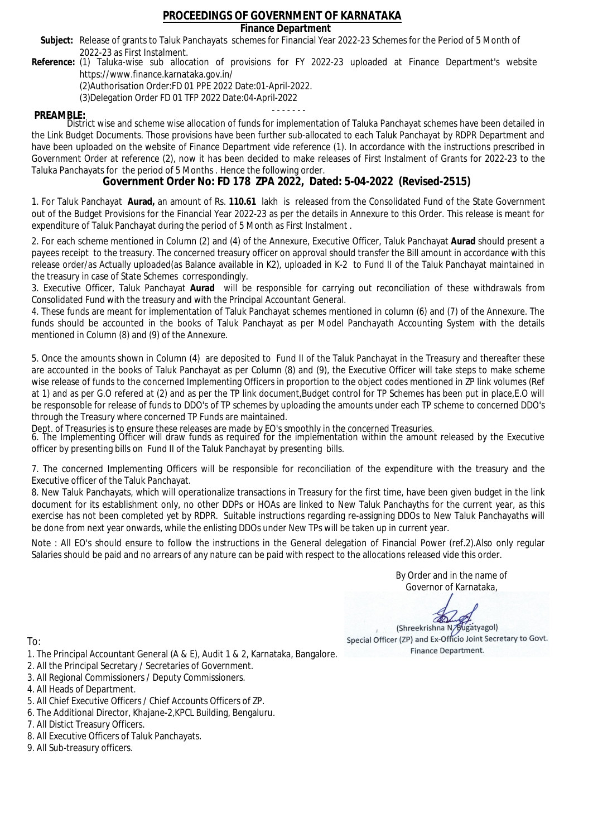### **Finance Department**

- Subject: Release of grants to Taluk Panchayats schemes for Financial Year 2022-23 Schemes for the Period of 5 Month of 2022-23 as First Instalment.
- **Reference:** (1) Taluka-wise sub allocation of provisions for FY 2022-23 uploaded at Finance Department's website https://www.finance.karnataka.gov.in/

(2)Authorisation Order:FD 01 PPE 2022 Date:01-April-2022.

(3)Delegation Order FD 01 TFP 2022 Date:04-April-2022

- - - - - - - **PREAMBLE:** District wise and scheme wise allocation of funds for implementation of Taluka Panchayat schemes have been detailed in the Link Budget Documents. Those provisions have been further sub-allocated to each Taluk Panchayat by RDPR Department and have been uploaded on the website of Finance Department vide reference (1). In accordance with the instructions prescribed in Government Order at reference (2), now it has been decided to make releases of First Instalment of Grants for 2022-23 to the Taluka Panchayats for the period of 5 Months . Hence the following order.

**Government Order No: FD 178 ZPA 2022, Dated: 5-04-2022 (Revised-2515)**

1. For Taluk Panchayat **Aurad,** an amount of Rs. **110.61** lakh is released from the Consolidated Fund of the State Government out of the Budget Provisions for the Financial Year 2022-23 as per the details in Annexure to this Order. This release is meant for expenditure of Taluk Panchayat during the period of 5 Month as First Instalment .

2. For each scheme mentioned in Column (2) and (4) of the Annexure, Executive Officer, Taluk Panchayat **Aurad** should present a payees receipt to the treasury. The concerned treasury officer on approval should transfer the Bill amount in accordance with this release order/as Actually uploaded(as Balance available in K2), uploaded in K-2 to Fund II of the Taluk Panchayat maintained in the treasury in case of State Schemes correspondingly.

3. Executive Officer, Taluk Panchayat **Aurad** will be responsible for carrying out reconciliation of these withdrawals from Consolidated Fund with the treasury and with the Principal Accountant General.

4. These funds are meant for implementation of Taluk Panchayat schemes mentioned in column (6) and (7) of the Annexure. The funds should be accounted in the books of Taluk Panchayat as per Model Panchayath Accounting System with the details mentioned in Column (8) and (9) of the Annexure.

5. Once the amounts shown in Column (4) are deposited to Fund II of the Taluk Panchayat in the Treasury and thereafter these are accounted in the books of Taluk Panchayat as per Column (8) and (9), the Executive Officer will take steps to make scheme wise release of funds to the concerned Implementing Officers in proportion to the object codes mentioned in ZP link volumes (Ref at 1) and as per G.O refered at (2) and as per the TP link document,Budget control for TP Schemes has been put in place,E.O will be responsoble for release of funds to DDO's of TP schemes by uploading the amounts under each TP scheme to concerned DDO's through the Treasury where concerned TP Funds are maintained.

Dept. of Treasuries is to ensure these releases are made by EO's smoothly in the concerned Treasuries.

6. The Implementing Officer will draw funds as required for the implementation within the amount released by the Executive officer by presenting bills on Fund II of the Taluk Panchayat by presenting bills.

7. The concerned Implementing Officers will be responsible for reconciliation of the expenditure with the treasury and the Executive officer of the Taluk Panchayat.

8. New Taluk Panchayats, which will operationalize transactions in Treasury for the first time, have been given budget in the link document for its establishment only, no other DDPs or HOAs are linked to New Taluk Panchayths for the current year, as this exercise has not been completed yet by RDPR. Suitable instructions regarding re-assigning DDOs to New Taluk Panchayaths will be done from next year onwards, while the enlisting DDOs under New TPs will be taken up in current year.

Note : All EO's should ensure to follow the instructions in the General delegation of Financial Power (ref.2).Also only regular Salaries should be paid and no arrears of any nature can be paid with respect to the allocations released vide this order.

> By Order and in the name of Governor of Karnataka,

**PD** 

(Shreekrishna N/Bugatyagol) Special Officer (ZP) and Ex-Officio Joint Secretary to Govt. Finance Department.

- 1. The Principal Accountant General (A & E), Audit 1 & 2, Karnataka, Bangalore.
- 2. All the Principal Secretary / Secretaries of Government.
- 3. All Regional Commissioners / Deputy Commissioners.
- 4. All Heads of Department.
- 5. All Chief Executive Officers / Chief Accounts Officers of ZP.
- 6. The Additional Director, Khajane-2,KPCL Building, Bengaluru.
- 7. All Distict Treasury Officers.
- 8. All Executive Officers of Taluk Panchayats.
- 9. All Sub-treasury officers.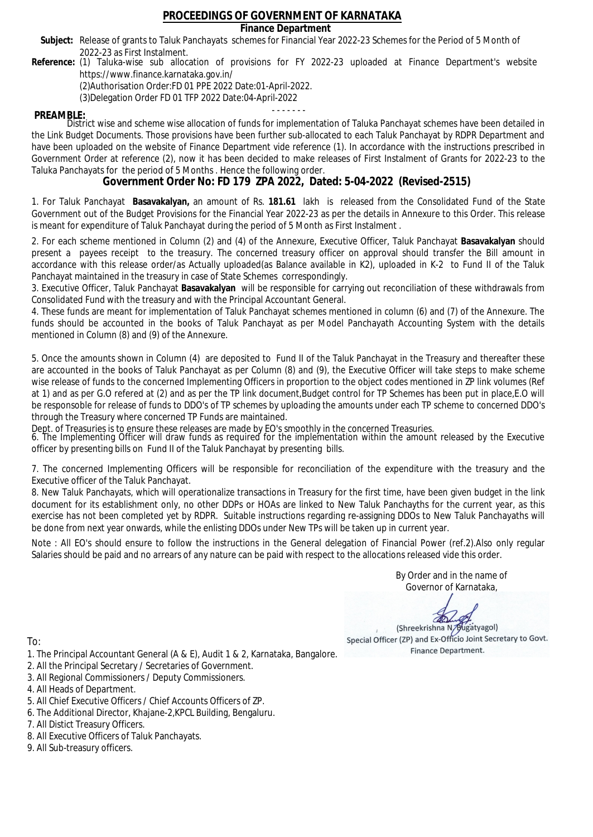### **Finance Department**

- Subject: Release of grants to Taluk Panchayats schemes for Financial Year 2022-23 Schemes for the Period of 5 Month of 2022-23 as First Instalment.
- **Reference:** (1) Taluka-wise sub allocation of provisions for FY 2022-23 uploaded at Finance Department's website https://www.finance.karnataka.gov.in/

(2)Authorisation Order:FD 01 PPE 2022 Date:01-April-2022.

(3)Delegation Order FD 01 TFP 2022 Date:04-April-2022

- - - - - - - **PREAMBLE:** District wise and scheme wise allocation of funds for implementation of Taluka Panchayat schemes have been detailed in the Link Budget Documents. Those provisions have been further sub-allocated to each Taluk Panchayat by RDPR Department and have been uploaded on the website of Finance Department vide reference (1). In accordance with the instructions prescribed in Government Order at reference (2), now it has been decided to make releases of First Instalment of Grants for 2022-23 to the Taluka Panchayats for the period of 5 Months . Hence the following order.

**Government Order No: FD 179 ZPA 2022, Dated: 5-04-2022 (Revised-2515)**

1. For Taluk Panchayat **Basavakalyan,** an amount of Rs. **181.61** lakh is released from the Consolidated Fund of the State Government out of the Budget Provisions for the Financial Year 2022-23 as per the details in Annexure to this Order. This release is meant for expenditure of Taluk Panchayat during the period of 5 Month as First Instalment .

2. For each scheme mentioned in Column (2) and (4) of the Annexure, Executive Officer, Taluk Panchayat **Basavakalyan** should present a payees receipt to the treasury. The concerned treasury officer on approval should transfer the Bill amount in accordance with this release order/as Actually uploaded(as Balance available in K2), uploaded in K-2 to Fund II of the Taluk Panchayat maintained in the treasury in case of State Schemes correspondingly.

3. Executive Officer, Taluk Panchayat **Basavakalyan** will be responsible for carrying out reconciliation of these withdrawals from Consolidated Fund with the treasury and with the Principal Accountant General.

4. These funds are meant for implementation of Taluk Panchayat schemes mentioned in column (6) and (7) of the Annexure. The funds should be accounted in the books of Taluk Panchayat as per Model Panchayath Accounting System with the details mentioned in Column (8) and (9) of the Annexure.

5. Once the amounts shown in Column (4) are deposited to Fund II of the Taluk Panchayat in the Treasury and thereafter these are accounted in the books of Taluk Panchayat as per Column (8) and (9), the Executive Officer will take steps to make scheme wise release of funds to the concerned Implementing Officers in proportion to the object codes mentioned in ZP link volumes (Ref at 1) and as per G.O refered at (2) and as per the TP link document,Budget control for TP Schemes has been put in place,E.O will be responsoble for release of funds to DDO's of TP schemes by uploading the amounts under each TP scheme to concerned DDO's through the Treasury where concerned TP Funds are maintained.

Dept. of Treasuries is to ensure these releases are made by EO's smoothly in the concerned Treasuries.

6. The Implementing Officer will draw funds as required for the implementation within the amount released by the Executive officer by presenting bills on Fund II of the Taluk Panchayat by presenting bills.

7. The concerned Implementing Officers will be responsible for reconciliation of the expenditure with the treasury and the Executive officer of the Taluk Panchayat.

8. New Taluk Panchayats, which will operationalize transactions in Treasury for the first time, have been given budget in the link document for its establishment only, no other DDPs or HOAs are linked to New Taluk Panchayths for the current year, as this exercise has not been completed yet by RDPR. Suitable instructions regarding re-assigning DDOs to New Taluk Panchayaths will be done from next year onwards, while the enlisting DDOs under New TPs will be taken up in current year.

Note : All EO's should ensure to follow the instructions in the General delegation of Financial Power (ref.2).Also only regular Salaries should be paid and no arrears of any nature can be paid with respect to the allocations released vide this order.

> By Order and in the name of Governor of Karnataka,

**PD** 

(Shreekrishna N/Bugatyagol) Special Officer (ZP) and Ex-Officio Joint Secretary to Govt. Finance Department.

- 1. The Principal Accountant General (A & E), Audit 1 & 2, Karnataka, Bangalore.
- 2. All the Principal Secretary / Secretaries of Government.
- 3. All Regional Commissioners / Deputy Commissioners.
- 4. All Heads of Department.
- 5. All Chief Executive Officers / Chief Accounts Officers of ZP.
- 6. The Additional Director, Khajane-2,KPCL Building, Bengaluru.
- 7. All Distict Treasury Officers.
- 8. All Executive Officers of Taluk Panchayats.
- 9. All Sub-treasury officers.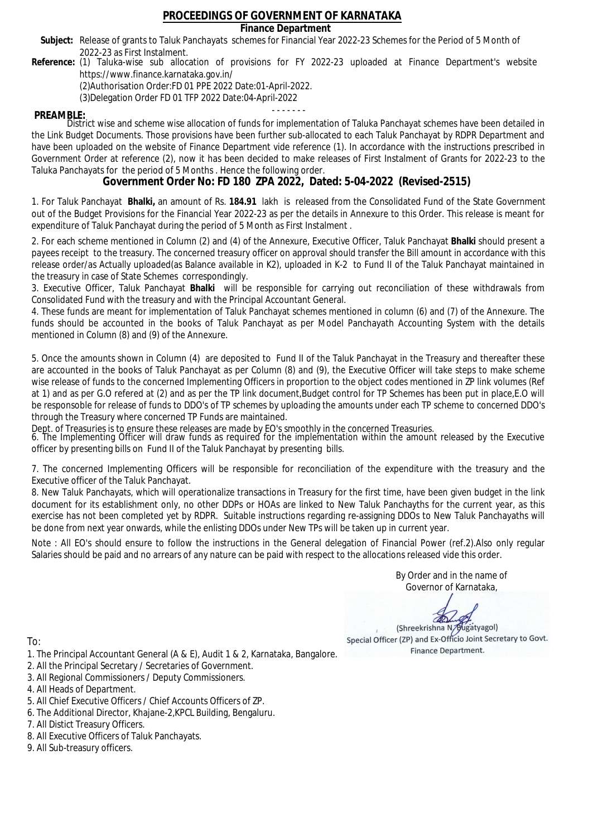### **Finance Department**

- Subject: Release of grants to Taluk Panchayats schemes for Financial Year 2022-23 Schemes for the Period of 5 Month of 2022-23 as First Instalment.
- **Reference:** (1) Taluka-wise sub allocation of provisions for FY 2022-23 uploaded at Finance Department's website https://www.finance.karnataka.gov.in/

(2)Authorisation Order:FD 01 PPE 2022 Date:01-April-2022.

(3)Delegation Order FD 01 TFP 2022 Date:04-April-2022

- - - - - - - **PREAMBLE:** District wise and scheme wise allocation of funds for implementation of Taluka Panchayat schemes have been detailed in the Link Budget Documents. Those provisions have been further sub-allocated to each Taluk Panchayat by RDPR Department and have been uploaded on the website of Finance Department vide reference (1). In accordance with the instructions prescribed in Government Order at reference (2), now it has been decided to make releases of First Instalment of Grants for 2022-23 to the Taluka Panchayats for the period of 5 Months . Hence the following order.

**Government Order No: FD 180 ZPA 2022, Dated: 5-04-2022 (Revised-2515)**

1. For Taluk Panchayat **Bhalki,** an amount of Rs. **184.91** lakh is released from the Consolidated Fund of the State Government out of the Budget Provisions for the Financial Year 2022-23 as per the details in Annexure to this Order. This release is meant for expenditure of Taluk Panchayat during the period of 5 Month as First Instalment .

2. For each scheme mentioned in Column (2) and (4) of the Annexure, Executive Officer, Taluk Panchayat **Bhalki** should present a payees receipt to the treasury. The concerned treasury officer on approval should transfer the Bill amount in accordance with this release order/as Actually uploaded(as Balance available in K2), uploaded in K-2 to Fund II of the Taluk Panchayat maintained in the treasury in case of State Schemes correspondingly.

3. Executive Officer, Taluk Panchayat **Bhalki** will be responsible for carrying out reconciliation of these withdrawals from Consolidated Fund with the treasury and with the Principal Accountant General.

4. These funds are meant for implementation of Taluk Panchayat schemes mentioned in column (6) and (7) of the Annexure. The funds should be accounted in the books of Taluk Panchayat as per Model Panchayath Accounting System with the details mentioned in Column (8) and (9) of the Annexure.

5. Once the amounts shown in Column (4) are deposited to Fund II of the Taluk Panchayat in the Treasury and thereafter these are accounted in the books of Taluk Panchayat as per Column (8) and (9), the Executive Officer will take steps to make scheme wise release of funds to the concerned Implementing Officers in proportion to the object codes mentioned in ZP link volumes (Ref at 1) and as per G.O refered at (2) and as per the TP link document,Budget control for TP Schemes has been put in place,E.O will be responsoble for release of funds to DDO's of TP schemes by uploading the amounts under each TP scheme to concerned DDO's through the Treasury where concerned TP Funds are maintained.

Dept. of Treasuries is to ensure these releases are made by EO's smoothly in the concerned Treasuries.

6. The Implementing Officer will draw funds as required for the implementation within the amount released by the Executive officer by presenting bills on Fund II of the Taluk Panchayat by presenting bills.

7. The concerned Implementing Officers will be responsible for reconciliation of the expenditure with the treasury and the Executive officer of the Taluk Panchayat.

8. New Taluk Panchayats, which will operationalize transactions in Treasury for the first time, have been given budget in the link document for its establishment only, no other DDPs or HOAs are linked to New Taluk Panchayths for the current year, as this exercise has not been completed yet by RDPR. Suitable instructions regarding re-assigning DDOs to New Taluk Panchayaths will be done from next year onwards, while the enlisting DDOs under New TPs will be taken up in current year.

Note : All EO's should ensure to follow the instructions in the General delegation of Financial Power (ref.2).Also only regular Salaries should be paid and no arrears of any nature can be paid with respect to the allocations released vide this order.

> By Order and in the name of Governor of Karnataka,

**PD** 

(Shreekrishna N/Bugatyagol) Special Officer (ZP) and Ex-Officio Joint Secretary to Govt. Finance Department.

To:

- 1. The Principal Accountant General (A & E), Audit 1 & 2, Karnataka, Bangalore.
- 2. All the Principal Secretary / Secretaries of Government.
- 3. All Regional Commissioners / Deputy Commissioners.
- 4. All Heads of Department.
- 5. All Chief Executive Officers / Chief Accounts Officers of ZP.
- 6. The Additional Director, Khajane-2,KPCL Building, Bengaluru.

- 8. All Executive Officers of Taluk Panchayats.
- 9. All Sub-treasury officers.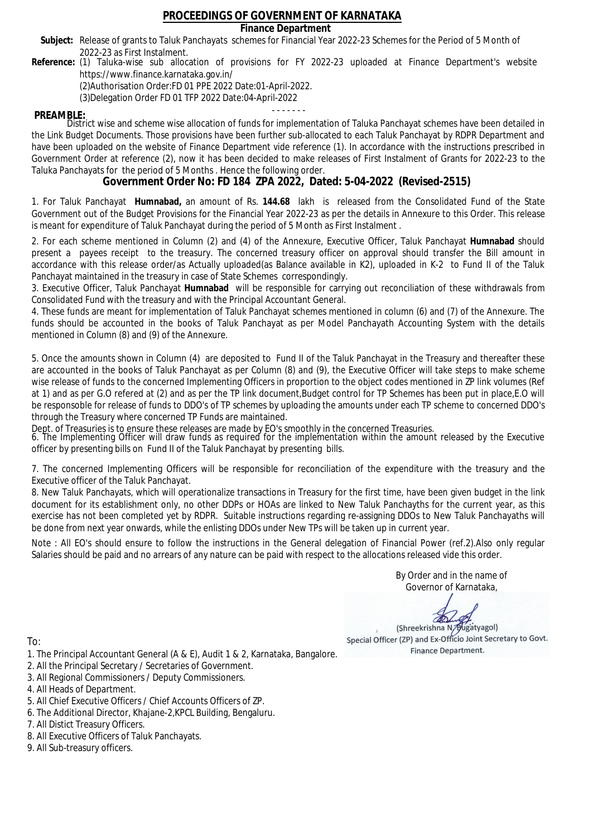### **Finance Department**

- Subject: Release of grants to Taluk Panchayats schemes for Financial Year 2022-23 Schemes for the Period of 5 Month of 2022-23 as First Instalment.
- **Reference:** (1) Taluka-wise sub allocation of provisions for FY 2022-23 uploaded at Finance Department's website https://www.finance.karnataka.gov.in/

(2)Authorisation Order:FD 01 PPE 2022 Date:01-April-2022.

(3)Delegation Order FD 01 TFP 2022 Date:04-April-2022

- - - - - - - **PREAMBLE:** District wise and scheme wise allocation of funds for implementation of Taluka Panchayat schemes have been detailed in the Link Budget Documents. Those provisions have been further sub-allocated to each Taluk Panchayat by RDPR Department and have been uploaded on the website of Finance Department vide reference (1). In accordance with the instructions prescribed in Government Order at reference (2), now it has been decided to make releases of First Instalment of Grants for 2022-23 to the Taluka Panchayats for the period of 5 Months . Hence the following order.

**Government Order No: FD 184 ZPA 2022, Dated: 5-04-2022 (Revised-2515)**

1. For Taluk Panchayat **Humnabad,** an amount of Rs. **144.68** lakh is released from the Consolidated Fund of the State Government out of the Budget Provisions for the Financial Year 2022-23 as per the details in Annexure to this Order. This release is meant for expenditure of Taluk Panchayat during the period of 5 Month as First Instalment .

2. For each scheme mentioned in Column (2) and (4) of the Annexure, Executive Officer, Taluk Panchayat **Humnabad** should present a payees receipt to the treasury. The concerned treasury officer on approval should transfer the Bill amount in accordance with this release order/as Actually uploaded(as Balance available in K2), uploaded in K-2 to Fund II of the Taluk Panchayat maintained in the treasury in case of State Schemes correspondingly.

3. Executive Officer, Taluk Panchayat **Humnabad** will be responsible for carrying out reconciliation of these withdrawals from Consolidated Fund with the treasury and with the Principal Accountant General.

4. These funds are meant for implementation of Taluk Panchayat schemes mentioned in column (6) and (7) of the Annexure. The funds should be accounted in the books of Taluk Panchayat as per Model Panchayath Accounting System with the details mentioned in Column (8) and (9) of the Annexure.

5. Once the amounts shown in Column (4) are deposited to Fund II of the Taluk Panchayat in the Treasury and thereafter these are accounted in the books of Taluk Panchayat as per Column (8) and (9), the Executive Officer will take steps to make scheme wise release of funds to the concerned Implementing Officers in proportion to the object codes mentioned in ZP link volumes (Ref at 1) and as per G.O refered at (2) and as per the TP link document,Budget control for TP Schemes has been put in place,E.O will be responsoble for release of funds to DDO's of TP schemes by uploading the amounts under each TP scheme to concerned DDO's through the Treasury where concerned TP Funds are maintained.

Dept. of Treasuries is to ensure these releases are made by EO's smoothly in the concerned Treasuries.

6. The Implementing Officer will draw funds as required for the implementation within the amount released by the Executive officer by presenting bills on Fund II of the Taluk Panchayat by presenting bills.

7. The concerned Implementing Officers will be responsible for reconciliation of the expenditure with the treasury and the Executive officer of the Taluk Panchayat.

8. New Taluk Panchayats, which will operationalize transactions in Treasury for the first time, have been given budget in the link document for its establishment only, no other DDPs or HOAs are linked to New Taluk Panchayths for the current year, as this exercise has not been completed yet by RDPR. Suitable instructions regarding re-assigning DDOs to New Taluk Panchayaths will be done from next year onwards, while the enlisting DDOs under New TPs will be taken up in current year.

Note : All EO's should ensure to follow the instructions in the General delegation of Financial Power (ref.2).Also only regular Salaries should be paid and no arrears of any nature can be paid with respect to the allocations released vide this order.

> By Order and in the name of Governor of Karnataka,

**PD** 

(Shreekrishna N/Bugatyagol) Special Officer (ZP) and Ex-Officio Joint Secretary to Govt. Finance Department.

- 1. The Principal Accountant General (A & E), Audit 1 & 2, Karnataka, Bangalore.
- 2. All the Principal Secretary / Secretaries of Government.
- 3. All Regional Commissioners / Deputy Commissioners.
- 4. All Heads of Department.
- 5. All Chief Executive Officers / Chief Accounts Officers of ZP.
- 6. The Additional Director, Khajane-2,KPCL Building, Bengaluru.
- 7. All Distict Treasury Officers.
- 8. All Executive Officers of Taluk Panchayats.
- 9. All Sub-treasury officers.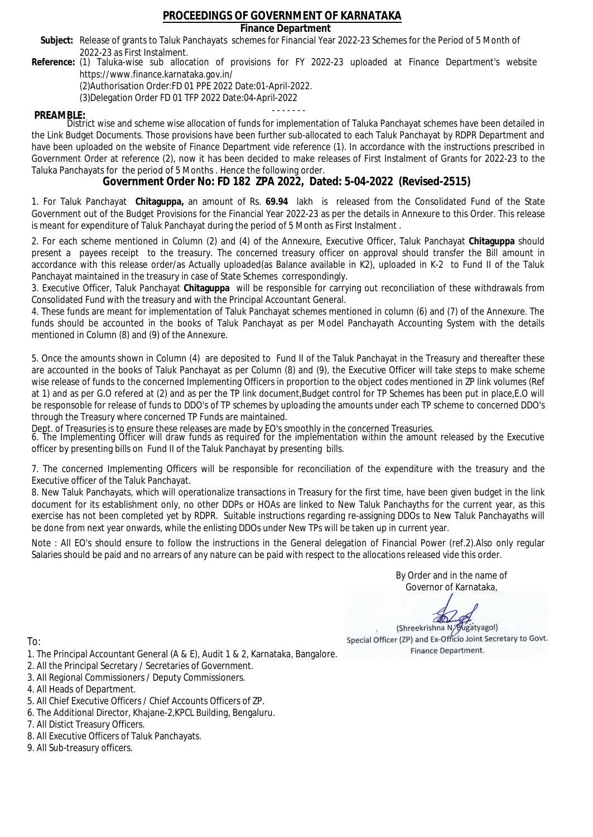### **Finance Department**

- Subject: Release of grants to Taluk Panchayats schemes for Financial Year 2022-23 Schemes for the Period of 5 Month of 2022-23 as First Instalment.
- **Reference:** (1) Taluka-wise sub allocation of provisions for FY 2022-23 uploaded at Finance Department's website https://www.finance.karnataka.gov.in/

(2)Authorisation Order:FD 01 PPE 2022 Date:01-April-2022.

(3)Delegation Order FD 01 TFP 2022 Date:04-April-2022

- - - - - - - **PREAMBLE:** District wise and scheme wise allocation of funds for implementation of Taluka Panchayat schemes have been detailed in the Link Budget Documents. Those provisions have been further sub-allocated to each Taluk Panchayat by RDPR Department and have been uploaded on the website of Finance Department vide reference (1). In accordance with the instructions prescribed in Government Order at reference (2), now it has been decided to make releases of First Instalment of Grants for 2022-23 to the Taluka Panchayats for the period of 5 Months . Hence the following order.

**Government Order No: FD 182 ZPA 2022, Dated: 5-04-2022 (Revised-2515)**

1. For Taluk Panchayat **Chitaguppa,** an amount of Rs. **69.94** lakh is released from the Consolidated Fund of the State Government out of the Budget Provisions for the Financial Year 2022-23 as per the details in Annexure to this Order. This release is meant for expenditure of Taluk Panchayat during the period of 5 Month as First Instalment .

2. For each scheme mentioned in Column (2) and (4) of the Annexure, Executive Officer, Taluk Panchayat **Chitaguppa** should present a payees receipt to the treasury. The concerned treasury officer on approval should transfer the Bill amount in accordance with this release order/as Actually uploaded(as Balance available in K2), uploaded in K-2 to Fund II of the Taluk Panchayat maintained in the treasury in case of State Schemes correspondingly.

3. Executive Officer, Taluk Panchayat **Chitaguppa** will be responsible for carrying out reconciliation of these withdrawals from Consolidated Fund with the treasury and with the Principal Accountant General.

4. These funds are meant for implementation of Taluk Panchayat schemes mentioned in column (6) and (7) of the Annexure. The funds should be accounted in the books of Taluk Panchayat as per Model Panchayath Accounting System with the details mentioned in Column (8) and (9) of the Annexure.

5. Once the amounts shown in Column (4) are deposited to Fund II of the Taluk Panchayat in the Treasury and thereafter these are accounted in the books of Taluk Panchayat as per Column (8) and (9), the Executive Officer will take steps to make scheme wise release of funds to the concerned Implementing Officers in proportion to the object codes mentioned in ZP link volumes (Ref at 1) and as per G.O refered at (2) and as per the TP link document,Budget control for TP Schemes has been put in place,E.O will be responsoble for release of funds to DDO's of TP schemes by uploading the amounts under each TP scheme to concerned DDO's through the Treasury where concerned TP Funds are maintained.

Dept. of Treasuries is to ensure these releases are made by EO's smoothly in the concerned Treasuries.

6. The Implementing Officer will draw funds as required for the implementation within the amount released by the Executive officer by presenting bills on Fund II of the Taluk Panchayat by presenting bills.

7. The concerned Implementing Officers will be responsible for reconciliation of the expenditure with the treasury and the Executive officer of the Taluk Panchayat.

8. New Taluk Panchayats, which will operationalize transactions in Treasury for the first time, have been given budget in the link document for its establishment only, no other DDPs or HOAs are linked to New Taluk Panchayths for the current year, as this exercise has not been completed yet by RDPR. Suitable instructions regarding re-assigning DDOs to New Taluk Panchayaths will be done from next year onwards, while the enlisting DDOs under New TPs will be taken up in current year.

Note : All EO's should ensure to follow the instructions in the General delegation of Financial Power (ref.2).Also only regular Salaries should be paid and no arrears of any nature can be paid with respect to the allocations released vide this order.

> By Order and in the name of Governor of Karnataka,

**PD** 

(Shreekrishna N/Bugatyagol) Special Officer (ZP) and Ex-Officio Joint Secretary to Govt. Finance Department.

- 1. The Principal Accountant General (A & E), Audit 1 & 2, Karnataka, Bangalore.
- 2. All the Principal Secretary / Secretaries of Government.
- 3. All Regional Commissioners / Deputy Commissioners.
- 4. All Heads of Department.
- 5. All Chief Executive Officers / Chief Accounts Officers of ZP.
- 6. The Additional Director, Khajane-2,KPCL Building, Bengaluru.
- 7. All Distict Treasury Officers.
- 8. All Executive Officers of Taluk Panchayats.
- 9. All Sub-treasury officers.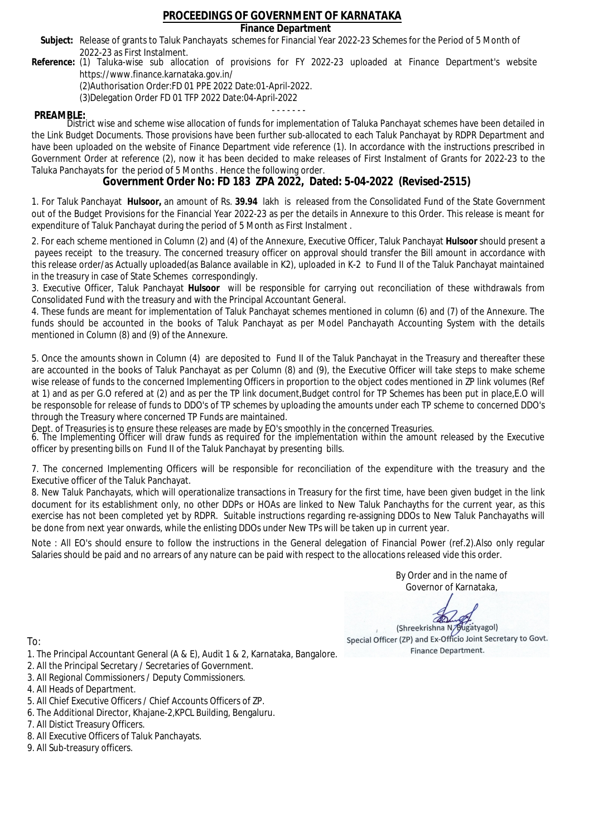### **Finance Department**

- Subject: Release of grants to Taluk Panchayats schemes for Financial Year 2022-23 Schemes for the Period of 5 Month of 2022-23 as First Instalment.
- **Reference:** (1) Taluka-wise sub allocation of provisions for FY 2022-23 uploaded at Finance Department's website https://www.finance.karnataka.gov.in/

(2)Authorisation Order:FD 01 PPE 2022 Date:01-April-2022.

(3)Delegation Order FD 01 TFP 2022 Date:04-April-2022

- - - - - - - **PREAMBLE:** District wise and scheme wise allocation of funds for implementation of Taluka Panchayat schemes have been detailed in the Link Budget Documents. Those provisions have been further sub-allocated to each Taluk Panchayat by RDPR Department and have been uploaded on the website of Finance Department vide reference (1). In accordance with the instructions prescribed in Government Order at reference (2), now it has been decided to make releases of First Instalment of Grants for 2022-23 to the Taluka Panchayats for the period of 5 Months . Hence the following order.

**Government Order No: FD 183 ZPA 2022, Dated: 5-04-2022 (Revised-2515)**

1. For Taluk Panchayat **Hulsoor,** an amount of Rs. **39.94** lakh is released from the Consolidated Fund of the State Government out of the Budget Provisions for the Financial Year 2022-23 as per the details in Annexure to this Order. This release is meant for expenditure of Taluk Panchayat during the period of 5 Month as First Instalment .

2. For each scheme mentioned in Column (2) and (4) of the Annexure, Executive Officer, Taluk Panchayat **Hulsoor** should present a payees receipt to the treasury. The concerned treasury officer on approval should transfer the Bill amount in accordance with this release order/as Actually uploaded(as Balance available in K2), uploaded in K-2 to Fund II of the Taluk Panchayat maintained in the treasury in case of State Schemes correspondingly.

3. Executive Officer, Taluk Panchayat **Hulsoor** will be responsible for carrying out reconciliation of these withdrawals from Consolidated Fund with the treasury and with the Principal Accountant General.

4. These funds are meant for implementation of Taluk Panchayat schemes mentioned in column (6) and (7) of the Annexure. The funds should be accounted in the books of Taluk Panchayat as per Model Panchayath Accounting System with the details mentioned in Column (8) and (9) of the Annexure.

5. Once the amounts shown in Column (4) are deposited to Fund II of the Taluk Panchayat in the Treasury and thereafter these are accounted in the books of Taluk Panchayat as per Column (8) and (9), the Executive Officer will take steps to make scheme wise release of funds to the concerned Implementing Officers in proportion to the object codes mentioned in ZP link volumes (Ref at 1) and as per G.O refered at (2) and as per the TP link document,Budget control for TP Schemes has been put in place,E.O will be responsoble for release of funds to DDO's of TP schemes by uploading the amounts under each TP scheme to concerned DDO's through the Treasury where concerned TP Funds are maintained.

Dept. of Treasuries is to ensure these releases are made by EO's smoothly in the concerned Treasuries.

6. The Implementing Officer will draw funds as required for the implementation within the amount released by the Executive officer by presenting bills on Fund II of the Taluk Panchayat by presenting bills.

7. The concerned Implementing Officers will be responsible for reconciliation of the expenditure with the treasury and the Executive officer of the Taluk Panchayat.

8. New Taluk Panchayats, which will operationalize transactions in Treasury for the first time, have been given budget in the link document for its establishment only, no other DDPs or HOAs are linked to New Taluk Panchayths for the current year, as this exercise has not been completed yet by RDPR. Suitable instructions regarding re-assigning DDOs to New Taluk Panchayaths will be done from next year onwards, while the enlisting DDOs under New TPs will be taken up in current year.

Note : All EO's should ensure to follow the instructions in the General delegation of Financial Power (ref.2).Also only regular Salaries should be paid and no arrears of any nature can be paid with respect to the allocations released vide this order.

> By Order and in the name of Governor of Karnataka,

**PD** 

(Shreekrishna N/Bugatyagol) Special Officer (ZP) and Ex-Officio Joint Secretary to Govt. Finance Department.

- 1. The Principal Accountant General (A & E), Audit 1 & 2, Karnataka, Bangalore.
- 2. All the Principal Secretary / Secretaries of Government.
- 3. All Regional Commissioners / Deputy Commissioners.
- 4. All Heads of Department.
- 5. All Chief Executive Officers / Chief Accounts Officers of ZP.
- 6. The Additional Director, Khajane-2,KPCL Building, Bengaluru.
- 7. All Distict Treasury Officers.
- 8. All Executive Officers of Taluk Panchayats.
- 9. All Sub-treasury officers.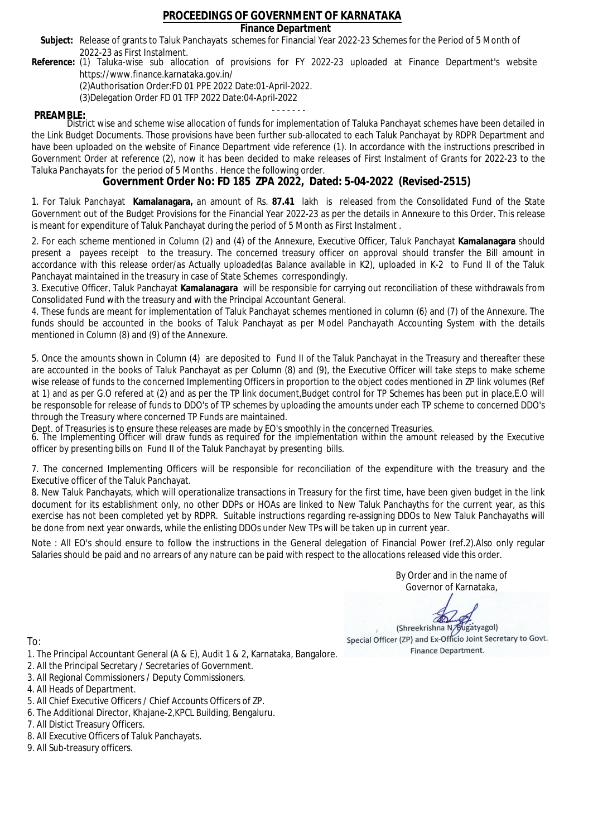### **Finance Department**

- Subject: Release of grants to Taluk Panchayats schemes for Financial Year 2022-23 Schemes for the Period of 5 Month of 2022-23 as First Instalment.
- **Reference:** (1) Taluka-wise sub allocation of provisions for FY 2022-23 uploaded at Finance Department's website https://www.finance.karnataka.gov.in/

(2)Authorisation Order:FD 01 PPE 2022 Date:01-April-2022.

(3)Delegation Order FD 01 TFP 2022 Date:04-April-2022

- - - - - - - **PREAMBLE:** District wise and scheme wise allocation of funds for implementation of Taluka Panchayat schemes have been detailed in the Link Budget Documents. Those provisions have been further sub-allocated to each Taluk Panchayat by RDPR Department and have been uploaded on the website of Finance Department vide reference (1). In accordance with the instructions prescribed in Government Order at reference (2), now it has been decided to make releases of First Instalment of Grants for 2022-23 to the Taluka Panchayats for the period of 5 Months . Hence the following order.

**Government Order No: FD 185 ZPA 2022, Dated: 5-04-2022 (Revised-2515)**

1. For Taluk Panchayat **Kamalanagara,** an amount of Rs. **87.41** lakh is released from the Consolidated Fund of the State Government out of the Budget Provisions for the Financial Year 2022-23 as per the details in Annexure to this Order. This release is meant for expenditure of Taluk Panchayat during the period of 5 Month as First Instalment .

2. For each scheme mentioned in Column (2) and (4) of the Annexure, Executive Officer, Taluk Panchayat **Kamalanagara** should present a payees receipt to the treasury. The concerned treasury officer on approval should transfer the Bill amount in accordance with this release order/as Actually uploaded(as Balance available in K2), uploaded in K-2 to Fund II of the Taluk Panchayat maintained in the treasury in case of State Schemes correspondingly.

3. Executive Officer, Taluk Panchayat **Kamalanagara** will be responsible for carrying out reconciliation of these withdrawals from Consolidated Fund with the treasury and with the Principal Accountant General.

4. These funds are meant for implementation of Taluk Panchayat schemes mentioned in column (6) and (7) of the Annexure. The funds should be accounted in the books of Taluk Panchayat as per Model Panchayath Accounting System with the details mentioned in Column (8) and (9) of the Annexure.

5. Once the amounts shown in Column (4) are deposited to Fund II of the Taluk Panchayat in the Treasury and thereafter these are accounted in the books of Taluk Panchayat as per Column (8) and (9), the Executive Officer will take steps to make scheme wise release of funds to the concerned Implementing Officers in proportion to the object codes mentioned in ZP link volumes (Ref at 1) and as per G.O refered at (2) and as per the TP link document,Budget control for TP Schemes has been put in place,E.O will be responsoble for release of funds to DDO's of TP schemes by uploading the amounts under each TP scheme to concerned DDO's through the Treasury where concerned TP Funds are maintained.

Dept. of Treasuries is to ensure these releases are made by EO's smoothly in the concerned Treasuries.

6. The Implementing Officer will draw funds as required for the implementation within the amount released by the Executive officer by presenting bills on Fund II of the Taluk Panchayat by presenting bills.

7. The concerned Implementing Officers will be responsible for reconciliation of the expenditure with the treasury and the Executive officer of the Taluk Panchayat.

8. New Taluk Panchayats, which will operationalize transactions in Treasury for the first time, have been given budget in the link document for its establishment only, no other DDPs or HOAs are linked to New Taluk Panchayths for the current year, as this exercise has not been completed yet by RDPR. Suitable instructions regarding re-assigning DDOs to New Taluk Panchayaths will be done from next year onwards, while the enlisting DDOs under New TPs will be taken up in current year.

Note : All EO's should ensure to follow the instructions in the General delegation of Financial Power (ref.2).Also only regular Salaries should be paid and no arrears of any nature can be paid with respect to the allocations released vide this order.

> By Order and in the name of Governor of Karnataka,

**PD** 

(Shreekrishna N/Bugatyagol) Special Officer (ZP) and Ex-Officio Joint Secretary to Govt. Finance Department.

- 1. The Principal Accountant General (A & E), Audit 1 & 2, Karnataka, Bangalore.
- 2. All the Principal Secretary / Secretaries of Government.
- 3. All Regional Commissioners / Deputy Commissioners.
- 4. All Heads of Department.
- 5. All Chief Executive Officers / Chief Accounts Officers of ZP.
- 6. The Additional Director, Khajane-2,KPCL Building, Bengaluru.
- 7. All Distict Treasury Officers.
- 8. All Executive Officers of Taluk Panchayats.
- 9. All Sub-treasury officers.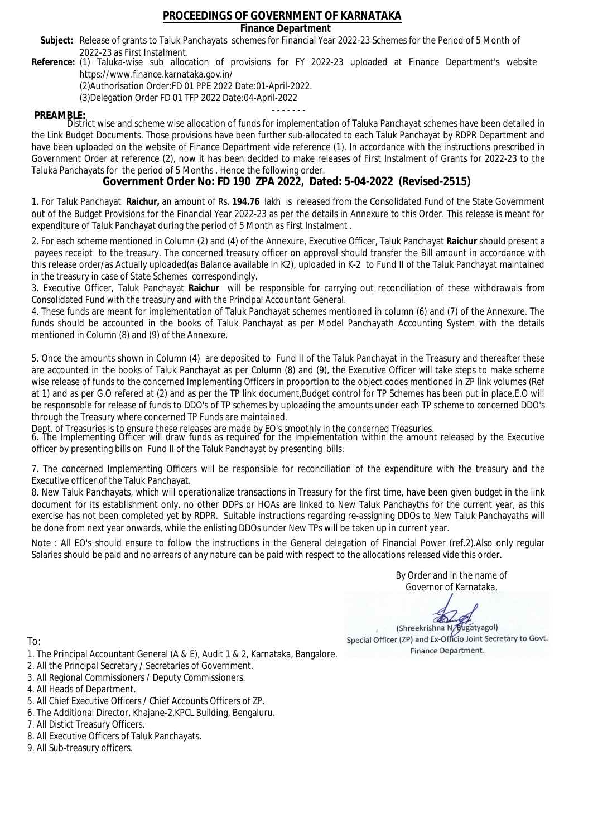### **Finance Department**

- Subject: Release of grants to Taluk Panchayats schemes for Financial Year 2022-23 Schemes for the Period of 5 Month of 2022-23 as First Instalment.
- **Reference:** (1) Taluka-wise sub allocation of provisions for FY 2022-23 uploaded at Finance Department's website https://www.finance.karnataka.gov.in/

(2)Authorisation Order:FD 01 PPE 2022 Date:01-April-2022.

(3)Delegation Order FD 01 TFP 2022 Date:04-April-2022

- - - - - - - **PREAMBLE:** District wise and scheme wise allocation of funds for implementation of Taluka Panchayat schemes have been detailed in the Link Budget Documents. Those provisions have been further sub-allocated to each Taluk Panchayat by RDPR Department and have been uploaded on the website of Finance Department vide reference (1). In accordance with the instructions prescribed in Government Order at reference (2), now it has been decided to make releases of First Instalment of Grants for 2022-23 to the Taluka Panchayats for the period of 5 Months . Hence the following order.

**Government Order No: FD 190 ZPA 2022, Dated: 5-04-2022 (Revised-2515)**

1. For Taluk Panchayat **Raichur,** an amount of Rs. **194.76** lakh is released from the Consolidated Fund of the State Government out of the Budget Provisions for the Financial Year 2022-23 as per the details in Annexure to this Order. This release is meant for expenditure of Taluk Panchayat during the period of 5 Month as First Instalment .

2. For each scheme mentioned in Column (2) and (4) of the Annexure, Executive Officer, Taluk Panchayat **Raichur** should present a payees receipt to the treasury. The concerned treasury officer on approval should transfer the Bill amount in accordance with this release order/as Actually uploaded(as Balance available in K2), uploaded in K-2 to Fund II of the Taluk Panchayat maintained in the treasury in case of State Schemes correspondingly.

3. Executive Officer, Taluk Panchayat **Raichur** will be responsible for carrying out reconciliation of these withdrawals from Consolidated Fund with the treasury and with the Principal Accountant General.

4. These funds are meant for implementation of Taluk Panchayat schemes mentioned in column (6) and (7) of the Annexure. The funds should be accounted in the books of Taluk Panchayat as per Model Panchayath Accounting System with the details mentioned in Column (8) and (9) of the Annexure.

5. Once the amounts shown in Column (4) are deposited to Fund II of the Taluk Panchayat in the Treasury and thereafter these are accounted in the books of Taluk Panchayat as per Column (8) and (9), the Executive Officer will take steps to make scheme wise release of funds to the concerned Implementing Officers in proportion to the object codes mentioned in ZP link volumes (Ref at 1) and as per G.O refered at (2) and as per the TP link document,Budget control for TP Schemes has been put in place,E.O will be responsoble for release of funds to DDO's of TP schemes by uploading the amounts under each TP scheme to concerned DDO's through the Treasury where concerned TP Funds are maintained.

Dept. of Treasuries is to ensure these releases are made by EO's smoothly in the concerned Treasuries.

6. The Implementing Officer will draw funds as required for the implementation within the amount released by the Executive officer by presenting bills on Fund II of the Taluk Panchayat by presenting bills.

7. The concerned Implementing Officers will be responsible for reconciliation of the expenditure with the treasury and the Executive officer of the Taluk Panchayat.

8. New Taluk Panchayats, which will operationalize transactions in Treasury for the first time, have been given budget in the link document for its establishment only, no other DDPs or HOAs are linked to New Taluk Panchayths for the current year, as this exercise has not been completed yet by RDPR. Suitable instructions regarding re-assigning DDOs to New Taluk Panchayaths will be done from next year onwards, while the enlisting DDOs under New TPs will be taken up in current year.

Note : All EO's should ensure to follow the instructions in the General delegation of Financial Power (ref.2).Also only regular Salaries should be paid and no arrears of any nature can be paid with respect to the allocations released vide this order.

> By Order and in the name of Governor of Karnataka,

**PD** 

(Shreekrishna N/Bugatyagol) Special Officer (ZP) and Ex-Officio Joint Secretary to Govt. Finance Department.

- 1. The Principal Accountant General (A & E), Audit 1 & 2, Karnataka, Bangalore.
- 2. All the Principal Secretary / Secretaries of Government.
- 3. All Regional Commissioners / Deputy Commissioners.
- 4. All Heads of Department.
- 5. All Chief Executive Officers / Chief Accounts Officers of ZP.
- 6. The Additional Director, Khajane-2,KPCL Building, Bengaluru.
- 7. All Distict Treasury Officers.
- 8. All Executive Officers of Taluk Panchayats.
- 9. All Sub-treasury officers.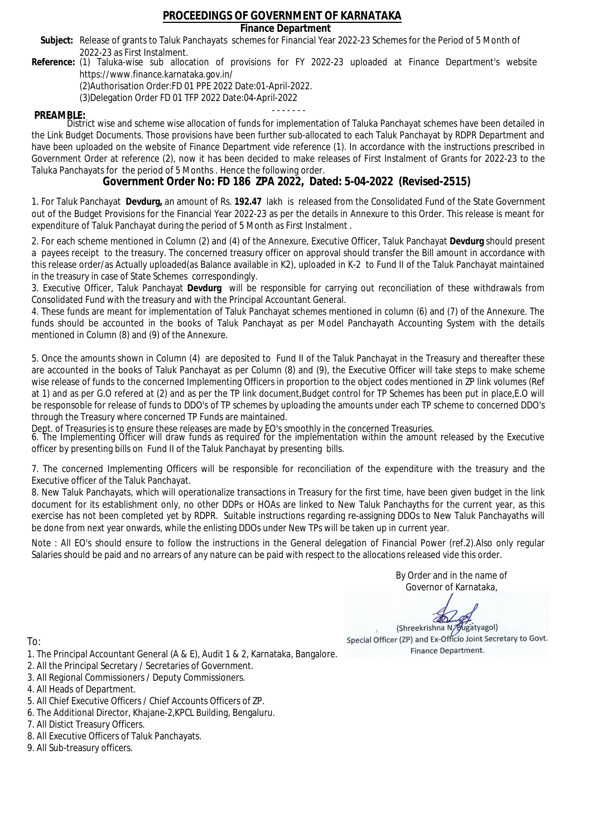### **Finance Department**

- Subject: Release of grants to Taluk Panchayats schemes for Financial Year 2022-23 Schemes for the Period of 5 Month of 2022-23 as First Instalment.
- **Reference:** (1) Taluka-wise sub allocation of provisions for FY 2022-23 uploaded at Finance Department's website https://www.finance.karnataka.gov.in/

(2)Authorisation Order:FD 01 PPE 2022 Date:01-April-2022.

(3)Delegation Order FD 01 TFP 2022 Date:04-April-2022

- - - - - - - **PREAMBLE:** District wise and scheme wise allocation of funds for implementation of Taluka Panchayat schemes have been detailed in the Link Budget Documents. Those provisions have been further sub-allocated to each Taluk Panchayat by RDPR Department and have been uploaded on the website of Finance Department vide reference (1). In accordance with the instructions prescribed in Government Order at reference (2), now it has been decided to make releases of First Instalment of Grants for 2022-23 to the Taluka Panchayats for the period of 5 Months . Hence the following order.

**Government Order No: FD 186 ZPA 2022, Dated: 5-04-2022 (Revised-2515)**

1. For Taluk Panchayat **Devdurg,** an amount of Rs. **192.47** lakh is released from the Consolidated Fund of the State Government out of the Budget Provisions for the Financial Year 2022-23 as per the details in Annexure to this Order. This release is meant for expenditure of Taluk Panchayat during the period of 5 Month as First Instalment .

2. For each scheme mentioned in Column (2) and (4) of the Annexure, Executive Officer, Taluk Panchayat **Devdurg** should present a payees receipt to the treasury. The concerned treasury officer on approval should transfer the Bill amount in accordance with this release order/as Actually uploaded(as Balance available in K2), uploaded in K-2 to Fund II of the Taluk Panchayat maintained in the treasury in case of State Schemes correspondingly.

3. Executive Officer, Taluk Panchayat **Devdurg** will be responsible for carrying out reconciliation of these withdrawals from Consolidated Fund with the treasury and with the Principal Accountant General.

4. These funds are meant for implementation of Taluk Panchayat schemes mentioned in column (6) and (7) of the Annexure. The funds should be accounted in the books of Taluk Panchayat as per Model Panchayath Accounting System with the details mentioned in Column (8) and (9) of the Annexure.

5. Once the amounts shown in Column (4) are deposited to Fund II of the Taluk Panchayat in the Treasury and thereafter these are accounted in the books of Taluk Panchayat as per Column (8) and (9), the Executive Officer will take steps to make scheme wise release of funds to the concerned Implementing Officers in proportion to the object codes mentioned in ZP link volumes (Ref at 1) and as per G.O refered at (2) and as per the TP link document,Budget control for TP Schemes has been put in place,E.O will be responsoble for release of funds to DDO's of TP schemes by uploading the amounts under each TP scheme to concerned DDO's through the Treasury where concerned TP Funds are maintained.

Dept. of Treasuries is to ensure these releases are made by EO's smoothly in the concerned Treasuries.

6. The Implementing Officer will draw funds as required for the implementation within the amount released by the Executive officer by presenting bills on Fund II of the Taluk Panchayat by presenting bills.

7. The concerned Implementing Officers will be responsible for reconciliation of the expenditure with the treasury and the Executive officer of the Taluk Panchayat.

8. New Taluk Panchayats, which will operationalize transactions in Treasury for the first time, have been given budget in the link document for its establishment only, no other DDPs or HOAs are linked to New Taluk Panchayths for the current year, as this exercise has not been completed yet by RDPR. Suitable instructions regarding re-assigning DDOs to New Taluk Panchayaths will be done from next year onwards, while the enlisting DDOs under New TPs will be taken up in current year.

Note : All EO's should ensure to follow the instructions in the General delegation of Financial Power (ref.2).Also only regular Salaries should be paid and no arrears of any nature can be paid with respect to the allocations released vide this order.

> By Order and in the name of Governor of Karnataka,

**PD** 

(Shreekrishna N/Bugatyagol) Special Officer (ZP) and Ex-Officio Joint Secretary to Govt. Finance Department.

- 1. The Principal Accountant General (A & E), Audit 1 & 2, Karnataka, Bangalore.
- 2. All the Principal Secretary / Secretaries of Government.
- 3. All Regional Commissioners / Deputy Commissioners.
- 4. All Heads of Department.
- 5. All Chief Executive Officers / Chief Accounts Officers of ZP.
- 6. The Additional Director, Khajane-2,KPCL Building, Bengaluru.
- 7. All Distict Treasury Officers.
- 8. All Executive Officers of Taluk Panchayats.
- 9. All Sub-treasury officers.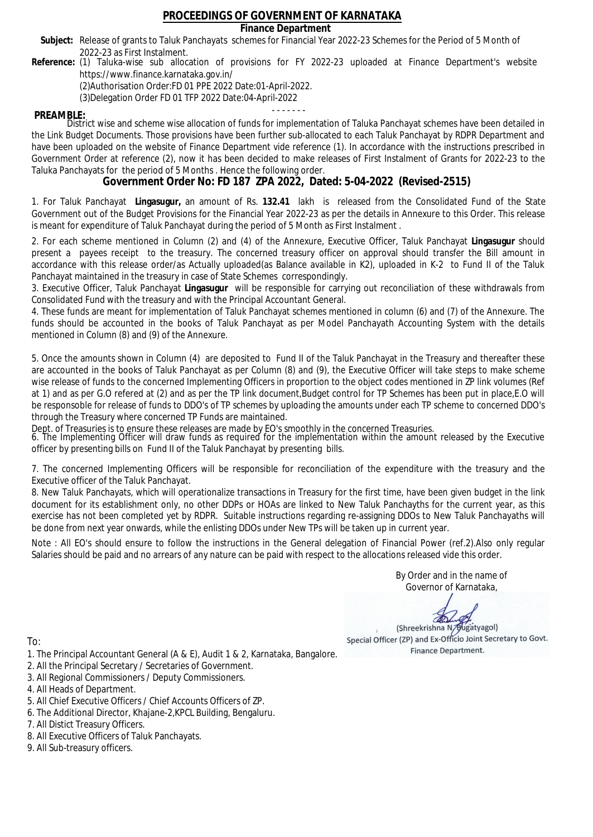### **Finance Department**

- Subject: Release of grants to Taluk Panchayats schemes for Financial Year 2022-23 Schemes for the Period of 5 Month of 2022-23 as First Instalment.
- **Reference:** (1) Taluka-wise sub allocation of provisions for FY 2022-23 uploaded at Finance Department's website https://www.finance.karnataka.gov.in/

(2)Authorisation Order:FD 01 PPE 2022 Date:01-April-2022.

(3)Delegation Order FD 01 TFP 2022 Date:04-April-2022

- - - - - - - **PREAMBLE:** District wise and scheme wise allocation of funds for implementation of Taluka Panchayat schemes have been detailed in the Link Budget Documents. Those provisions have been further sub-allocated to each Taluk Panchayat by RDPR Department and have been uploaded on the website of Finance Department vide reference (1). In accordance with the instructions prescribed in Government Order at reference (2), now it has been decided to make releases of First Instalment of Grants for 2022-23 to the Taluka Panchayats for the period of 5 Months . Hence the following order.

**Government Order No: FD 187 ZPA 2022, Dated: 5-04-2022 (Revised-2515)**

1. For Taluk Panchayat **Lingasugur,** an amount of Rs. **132.41** lakh is released from the Consolidated Fund of the State Government out of the Budget Provisions for the Financial Year 2022-23 as per the details in Annexure to this Order. This release is meant for expenditure of Taluk Panchayat during the period of 5 Month as First Instalment .

2. For each scheme mentioned in Column (2) and (4) of the Annexure, Executive Officer, Taluk Panchayat **Lingasugur** should present a payees receipt to the treasury. The concerned treasury officer on approval should transfer the Bill amount in accordance with this release order/as Actually uploaded(as Balance available in K2), uploaded in K-2 to Fund II of the Taluk Panchayat maintained in the treasury in case of State Schemes correspondingly.

3. Executive Officer, Taluk Panchayat **Lingasugur** will be responsible for carrying out reconciliation of these withdrawals from Consolidated Fund with the treasury and with the Principal Accountant General.

4. These funds are meant for implementation of Taluk Panchayat schemes mentioned in column (6) and (7) of the Annexure. The funds should be accounted in the books of Taluk Panchayat as per Model Panchayath Accounting System with the details mentioned in Column (8) and (9) of the Annexure.

5. Once the amounts shown in Column (4) are deposited to Fund II of the Taluk Panchayat in the Treasury and thereafter these are accounted in the books of Taluk Panchayat as per Column (8) and (9), the Executive Officer will take steps to make scheme wise release of funds to the concerned Implementing Officers in proportion to the object codes mentioned in ZP link volumes (Ref at 1) and as per G.O refered at (2) and as per the TP link document,Budget control for TP Schemes has been put in place,E.O will be responsoble for release of funds to DDO's of TP schemes by uploading the amounts under each TP scheme to concerned DDO's through the Treasury where concerned TP Funds are maintained.

Dept. of Treasuries is to ensure these releases are made by EO's smoothly in the concerned Treasuries.

6. The Implementing Officer will draw funds as required for the implementation within the amount released by the Executive officer by presenting bills on Fund II of the Taluk Panchayat by presenting bills.

7. The concerned Implementing Officers will be responsible for reconciliation of the expenditure with the treasury and the Executive officer of the Taluk Panchayat.

8. New Taluk Panchayats, which will operationalize transactions in Treasury for the first time, have been given budget in the link document for its establishment only, no other DDPs or HOAs are linked to New Taluk Panchayths for the current year, as this exercise has not been completed yet by RDPR. Suitable instructions regarding re-assigning DDOs to New Taluk Panchayaths will be done from next year onwards, while the enlisting DDOs under New TPs will be taken up in current year.

Note : All EO's should ensure to follow the instructions in the General delegation of Financial Power (ref.2).Also only regular Salaries should be paid and no arrears of any nature can be paid with respect to the allocations released vide this order.

> By Order and in the name of Governor of Karnataka,

**PD** 

(Shreekrishna N/Bugatyagol) Special Officer (ZP) and Ex-Officio Joint Secretary to Govt. Finance Department.

- 1. The Principal Accountant General (A & E), Audit 1 & 2, Karnataka, Bangalore.
- 2. All the Principal Secretary / Secretaries of Government.
- 3. All Regional Commissioners / Deputy Commissioners.
- 4. All Heads of Department.
- 5. All Chief Executive Officers / Chief Accounts Officers of ZP.
- 6. The Additional Director, Khajane-2,KPCL Building, Bengaluru.
- 7. All Distict Treasury Officers.
- 8. All Executive Officers of Taluk Panchayats.
- 9. All Sub-treasury officers.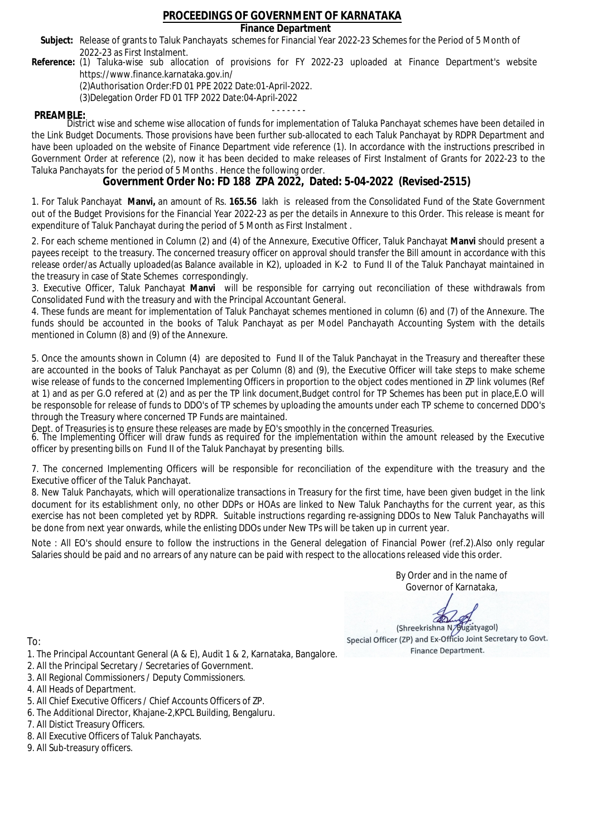### **Finance Department**

- Subject: Release of grants to Taluk Panchayats schemes for Financial Year 2022-23 Schemes for the Period of 5 Month of 2022-23 as First Instalment.
- **Reference:** (1) Taluka-wise sub allocation of provisions for FY 2022-23 uploaded at Finance Department's website https://www.finance.karnataka.gov.in/

(2)Authorisation Order:FD 01 PPE 2022 Date:01-April-2022.

(3)Delegation Order FD 01 TFP 2022 Date:04-April-2022

- - - - - - - **PREAMBLE:** District wise and scheme wise allocation of funds for implementation of Taluka Panchayat schemes have been detailed in the Link Budget Documents. Those provisions have been further sub-allocated to each Taluk Panchayat by RDPR Department and have been uploaded on the website of Finance Department vide reference (1). In accordance with the instructions prescribed in Government Order at reference (2), now it has been decided to make releases of First Instalment of Grants for 2022-23 to the Taluka Panchayats for the period of 5 Months . Hence the following order.

**Government Order No: FD 188 ZPA 2022, Dated: 5-04-2022 (Revised-2515)**

1. For Taluk Panchayat **Manvi,** an amount of Rs. **165.56** lakh is released from the Consolidated Fund of the State Government out of the Budget Provisions for the Financial Year 2022-23 as per the details in Annexure to this Order. This release is meant for expenditure of Taluk Panchayat during the period of 5 Month as First Instalment .

2. For each scheme mentioned in Column (2) and (4) of the Annexure, Executive Officer, Taluk Panchayat **Manvi** should present a payees receipt to the treasury. The concerned treasury officer on approval should transfer the Bill amount in accordance with this release order/as Actually uploaded(as Balance available in K2), uploaded in K-2 to Fund II of the Taluk Panchayat maintained in the treasury in case of State Schemes correspondingly.

3. Executive Officer, Taluk Panchayat **Manvi** will be responsible for carrying out reconciliation of these withdrawals from Consolidated Fund with the treasury and with the Principal Accountant General.

4. These funds are meant for implementation of Taluk Panchayat schemes mentioned in column (6) and (7) of the Annexure. The funds should be accounted in the books of Taluk Panchayat as per Model Panchayath Accounting System with the details mentioned in Column (8) and (9) of the Annexure.

5. Once the amounts shown in Column (4) are deposited to Fund II of the Taluk Panchayat in the Treasury and thereafter these are accounted in the books of Taluk Panchayat as per Column (8) and (9), the Executive Officer will take steps to make scheme wise release of funds to the concerned Implementing Officers in proportion to the object codes mentioned in ZP link volumes (Ref at 1) and as per G.O refered at (2) and as per the TP link document,Budget control for TP Schemes has been put in place,E.O will be responsoble for release of funds to DDO's of TP schemes by uploading the amounts under each TP scheme to concerned DDO's through the Treasury where concerned TP Funds are maintained.

Dept. of Treasuries is to ensure these releases are made by EO's smoothly in the concerned Treasuries.

6. The Implementing Officer will draw funds as required for the implementation within the amount released by the Executive officer by presenting bills on Fund II of the Taluk Panchayat by presenting bills.

7. The concerned Implementing Officers will be responsible for reconciliation of the expenditure with the treasury and the Executive officer of the Taluk Panchayat.

8. New Taluk Panchayats, which will operationalize transactions in Treasury for the first time, have been given budget in the link document for its establishment only, no other DDPs or HOAs are linked to New Taluk Panchayths for the current year, as this exercise has not been completed yet by RDPR. Suitable instructions regarding re-assigning DDOs to New Taluk Panchayaths will be done from next year onwards, while the enlisting DDOs under New TPs will be taken up in current year.

Note : All EO's should ensure to follow the instructions in the General delegation of Financial Power (ref.2).Also only regular Salaries should be paid and no arrears of any nature can be paid with respect to the allocations released vide this order.

> By Order and in the name of Governor of Karnataka,

**PD** 

(Shreekrishna N/Bugatyagol) Special Officer (ZP) and Ex-Officio Joint Secretary to Govt. Finance Department.

To:

- 1. The Principal Accountant General (A & E), Audit 1 & 2, Karnataka, Bangalore.
- 2. All the Principal Secretary / Secretaries of Government.
- 3. All Regional Commissioners / Deputy Commissioners.
- 4. All Heads of Department.
- 5. All Chief Executive Officers / Chief Accounts Officers of ZP.
- 6. The Additional Director, Khajane-2,KPCL Building, Bengaluru.

7. All Distict Treasury Officers.

- 8. All Executive Officers of Taluk Panchayats.
- 9. All Sub-treasury officers.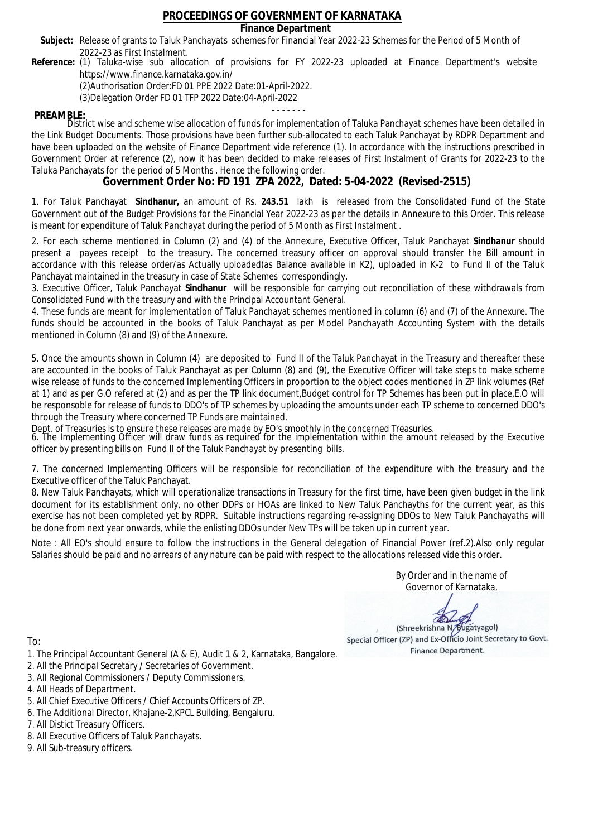**Finance Department**

- Subject: Release of grants to Taluk Panchayats schemes for Financial Year 2022-23 Schemes for the Period of 5 Month of 2022-23 as First Instalment.
- **Reference:** (1) Taluka-wise sub allocation of provisions for FY 2022-23 uploaded at Finance Department's website https://www.finance.karnataka.gov.in/

(2)Authorisation Order:FD 01 PPE 2022 Date:01-April-2022.

(3)Delegation Order FD 01 TFP 2022 Date:04-April-2022

- - - - - - - **PREAMBLE:** District wise and scheme wise allocation of funds for implementation of Taluka Panchayat schemes have been detailed in the Link Budget Documents. Those provisions have been further sub-allocated to each Taluk Panchayat by RDPR Department and have been uploaded on the website of Finance Department vide reference (1). In accordance with the instructions prescribed in Government Order at reference (2), now it has been decided to make releases of First Instalment of Grants for 2022-23 to the Taluka Panchayats for the period of 5 Months . Hence the following order.

**Government Order No: FD 191 ZPA 2022, Dated: 5-04-2022 (Revised-2515)**

1. For Taluk Panchayat **Sindhanur,** an amount of Rs. **243.51** lakh is released from the Consolidated Fund of the State Government out of the Budget Provisions for the Financial Year 2022-23 as per the details in Annexure to this Order. This release is meant for expenditure of Taluk Panchayat during the period of 5 Month as First Instalment .

2. For each scheme mentioned in Column (2) and (4) of the Annexure, Executive Officer, Taluk Panchayat **Sindhanur** should present a payees receipt to the treasury. The concerned treasury officer on approval should transfer the Bill amount in accordance with this release order/as Actually uploaded(as Balance available in K2), uploaded in K-2 to Fund II of the Taluk Panchayat maintained in the treasury in case of State Schemes correspondingly.

3. Executive Officer, Taluk Panchayat **Sindhanur** will be responsible for carrying out reconciliation of these withdrawals from Consolidated Fund with the treasury and with the Principal Accountant General.

4. These funds are meant for implementation of Taluk Panchayat schemes mentioned in column (6) and (7) of the Annexure. The funds should be accounted in the books of Taluk Panchayat as per Model Panchayath Accounting System with the details mentioned in Column (8) and (9) of the Annexure.

5. Once the amounts shown in Column (4) are deposited to Fund II of the Taluk Panchayat in the Treasury and thereafter these are accounted in the books of Taluk Panchayat as per Column (8) and (9), the Executive Officer will take steps to make scheme wise release of funds to the concerned Implementing Officers in proportion to the object codes mentioned in ZP link volumes (Ref at 1) and as per G.O refered at (2) and as per the TP link document,Budget control for TP Schemes has been put in place,E.O will be responsoble for release of funds to DDO's of TP schemes by uploading the amounts under each TP scheme to concerned DDO's through the Treasury where concerned TP Funds are maintained.

Dept. of Treasuries is to ensure these releases are made by EO's smoothly in the concerned Treasuries.

6. The Implementing Officer will draw funds as required for the implementation within the amount released by the Executive officer by presenting bills on Fund II of the Taluk Panchayat by presenting bills.

7. The concerned Implementing Officers will be responsible for reconciliation of the expenditure with the treasury and the Executive officer of the Taluk Panchayat.

8. New Taluk Panchayats, which will operationalize transactions in Treasury for the first time, have been given budget in the link document for its establishment only, no other DDPs or HOAs are linked to New Taluk Panchayths for the current year, as this exercise has not been completed yet by RDPR. Suitable instructions regarding re-assigning DDOs to New Taluk Panchayaths will be done from next year onwards, while the enlisting DDOs under New TPs will be taken up in current year.

Note : All EO's should ensure to follow the instructions in the General delegation of Financial Power (ref.2).Also only regular Salaries should be paid and no arrears of any nature can be paid with respect to the allocations released vide this order.

> By Order and in the name of Governor of Karnataka,

**PD** 

(Shreekrishna N/Bugatyagol) Special Officer (ZP) and Ex-Officio Joint Secretary to Govt. Finance Department.

- 1. The Principal Accountant General (A & E), Audit 1 & 2, Karnataka, Bangalore.
- 2. All the Principal Secretary / Secretaries of Government.
- 3. All Regional Commissioners / Deputy Commissioners.
- 4. All Heads of Department.
- 5. All Chief Executive Officers / Chief Accounts Officers of ZP.
- 6. The Additional Director, Khajane-2,KPCL Building, Bengaluru.
- 7. All Distict Treasury Officers.
- 8. All Executive Officers of Taluk Panchayats.
- 9. All Sub-treasury officers.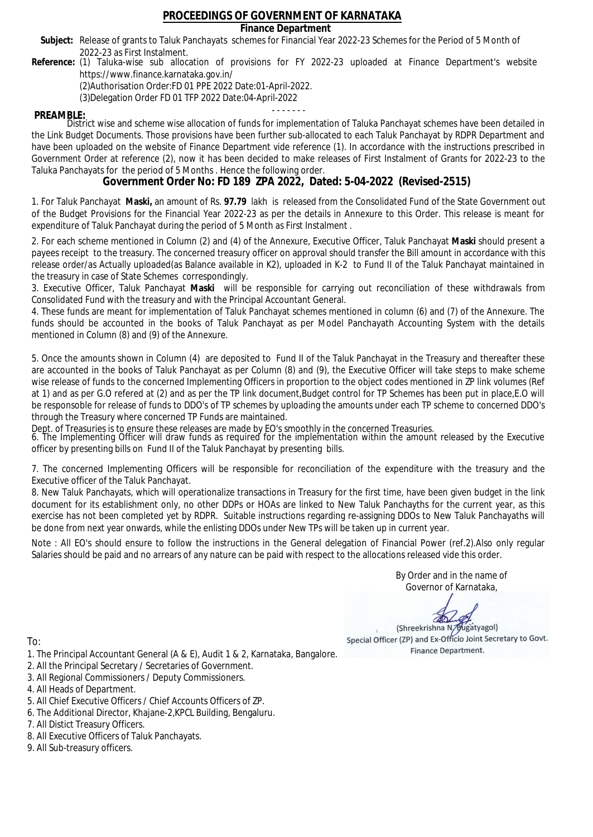### **Finance Department**

- Subject: Release of grants to Taluk Panchayats schemes for Financial Year 2022-23 Schemes for the Period of 5 Month of 2022-23 as First Instalment.
- **Reference:** (1) Taluka-wise sub allocation of provisions for FY 2022-23 uploaded at Finance Department's website https://www.finance.karnataka.gov.in/

(2)Authorisation Order:FD 01 PPE 2022 Date:01-April-2022.

(3)Delegation Order FD 01 TFP 2022 Date:04-April-2022

- - - - - - - **PREAMBLE:** District wise and scheme wise allocation of funds for implementation of Taluka Panchayat schemes have been detailed in the Link Budget Documents. Those provisions have been further sub-allocated to each Taluk Panchayat by RDPR Department and have been uploaded on the website of Finance Department vide reference (1). In accordance with the instructions prescribed in Government Order at reference (2), now it has been decided to make releases of First Instalment of Grants for 2022-23 to the Taluka Panchayats for the period of 5 Months . Hence the following order.

**Government Order No: FD 189 ZPA 2022, Dated: 5-04-2022 (Revised-2515)**

1. For Taluk Panchayat **Maski,** an amount of Rs. **97.79** lakh is released from the Consolidated Fund of the State Government out of the Budget Provisions for the Financial Year 2022-23 as per the details in Annexure to this Order. This release is meant for expenditure of Taluk Panchayat during the period of 5 Month as First Instalment .

2. For each scheme mentioned in Column (2) and (4) of the Annexure, Executive Officer, Taluk Panchayat **Maski** should present a payees receipt to the treasury. The concerned treasury officer on approval should transfer the Bill amount in accordance with this release order/as Actually uploaded(as Balance available in K2), uploaded in K-2 to Fund II of the Taluk Panchayat maintained in the treasury in case of State Schemes correspondingly.

3. Executive Officer, Taluk Panchayat **Maski** will be responsible for carrying out reconciliation of these withdrawals from Consolidated Fund with the treasury and with the Principal Accountant General.

4. These funds are meant for implementation of Taluk Panchayat schemes mentioned in column (6) and (7) of the Annexure. The funds should be accounted in the books of Taluk Panchayat as per Model Panchayath Accounting System with the details mentioned in Column (8) and (9) of the Annexure.

5. Once the amounts shown in Column (4) are deposited to Fund II of the Taluk Panchayat in the Treasury and thereafter these are accounted in the books of Taluk Panchayat as per Column (8) and (9), the Executive Officer will take steps to make scheme wise release of funds to the concerned Implementing Officers in proportion to the object codes mentioned in ZP link volumes (Ref at 1) and as per G.O refered at (2) and as per the TP link document,Budget control for TP Schemes has been put in place,E.O will be responsoble for release of funds to DDO's of TP schemes by uploading the amounts under each TP scheme to concerned DDO's through the Treasury where concerned TP Funds are maintained.

Dept. of Treasuries is to ensure these releases are made by EO's smoothly in the concerned Treasuries.

6. The Implementing Officer will draw funds as required for the implementation within the amount released by the Executive officer by presenting bills on Fund II of the Taluk Panchayat by presenting bills.

7. The concerned Implementing Officers will be responsible for reconciliation of the expenditure with the treasury and the Executive officer of the Taluk Panchayat.

8. New Taluk Panchayats, which will operationalize transactions in Treasury for the first time, have been given budget in the link document for its establishment only, no other DDPs or HOAs are linked to New Taluk Panchayths for the current year, as this exercise has not been completed yet by RDPR. Suitable instructions regarding re-assigning DDOs to New Taluk Panchayaths will be done from next year onwards, while the enlisting DDOs under New TPs will be taken up in current year.

Note : All EO's should ensure to follow the instructions in the General delegation of Financial Power (ref.2).Also only regular Salaries should be paid and no arrears of any nature can be paid with respect to the allocations released vide this order.

> By Order and in the name of Governor of Karnataka,

**PD** 

(Shreekrishna N/Bugatyagol) Special Officer (ZP) and Ex-Officio Joint Secretary to Govt. Finance Department.

To:

- 1. The Principal Accountant General (A & E), Audit 1 & 2, Karnataka, Bangalore.
- 2. All the Principal Secretary / Secretaries of Government.
- 3. All Regional Commissioners / Deputy Commissioners.
- 4. All Heads of Department.
- 5. All Chief Executive Officers / Chief Accounts Officers of ZP.
- 6. The Additional Director, Khajane-2,KPCL Building, Bengaluru.

7. All Distict Treasury Officers.

- 8. All Executive Officers of Taluk Panchayats.
- 9. All Sub-treasury officers.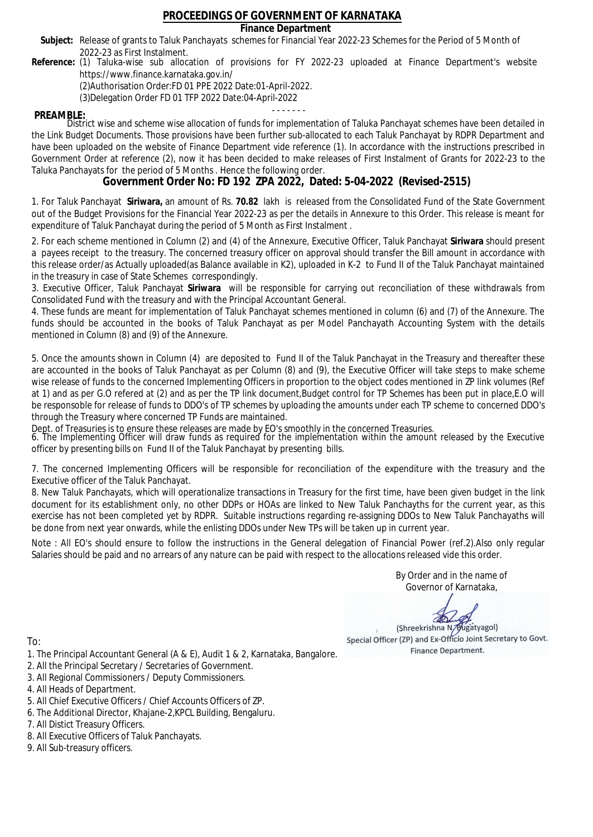### **Finance Department**

- Subject: Release of grants to Taluk Panchayats schemes for Financial Year 2022-23 Schemes for the Period of 5 Month of 2022-23 as First Instalment.
- **Reference:** (1) Taluka-wise sub allocation of provisions for FY 2022-23 uploaded at Finance Department's website https://www.finance.karnataka.gov.in/

(2)Authorisation Order:FD 01 PPE 2022 Date:01-April-2022.

(3)Delegation Order FD 01 TFP 2022 Date:04-April-2022

- - - - - - - **PREAMBLE:** District wise and scheme wise allocation of funds for implementation of Taluka Panchayat schemes have been detailed in the Link Budget Documents. Those provisions have been further sub-allocated to each Taluk Panchayat by RDPR Department and have been uploaded on the website of Finance Department vide reference (1). In accordance with the instructions prescribed in Government Order at reference (2), now it has been decided to make releases of First Instalment of Grants for 2022-23 to the Taluka Panchayats for the period of 5 Months . Hence the following order.

**Government Order No: FD 192 ZPA 2022, Dated: 5-04-2022 (Revised-2515)**

1. For Taluk Panchayat **Siriwara,** an amount of Rs. **70.82** lakh is released from the Consolidated Fund of the State Government out of the Budget Provisions for the Financial Year 2022-23 as per the details in Annexure to this Order. This release is meant for expenditure of Taluk Panchayat during the period of 5 Month as First Instalment .

2. For each scheme mentioned in Column (2) and (4) of the Annexure, Executive Officer, Taluk Panchayat **Siriwara** should present a payees receipt to the treasury. The concerned treasury officer on approval should transfer the Bill amount in accordance with this release order/as Actually uploaded(as Balance available in K2), uploaded in K-2 to Fund II of the Taluk Panchayat maintained in the treasury in case of State Schemes correspondingly.

3. Executive Officer, Taluk Panchayat **Siriwara** will be responsible for carrying out reconciliation of these withdrawals from Consolidated Fund with the treasury and with the Principal Accountant General.

4. These funds are meant for implementation of Taluk Panchayat schemes mentioned in column (6) and (7) of the Annexure. The funds should be accounted in the books of Taluk Panchayat as per Model Panchayath Accounting System with the details mentioned in Column (8) and (9) of the Annexure.

5. Once the amounts shown in Column (4) are deposited to Fund II of the Taluk Panchayat in the Treasury and thereafter these are accounted in the books of Taluk Panchayat as per Column (8) and (9), the Executive Officer will take steps to make scheme wise release of funds to the concerned Implementing Officers in proportion to the object codes mentioned in ZP link volumes (Ref at 1) and as per G.O refered at (2) and as per the TP link document,Budget control for TP Schemes has been put in place,E.O will be responsoble for release of funds to DDO's of TP schemes by uploading the amounts under each TP scheme to concerned DDO's through the Treasury where concerned TP Funds are maintained.

Dept. of Treasuries is to ensure these releases are made by EO's smoothly in the concerned Treasuries.

6. The Implementing Officer will draw funds as required for the implementation within the amount released by the Executive officer by presenting bills on Fund II of the Taluk Panchayat by presenting bills.

7. The concerned Implementing Officers will be responsible for reconciliation of the expenditure with the treasury and the Executive officer of the Taluk Panchayat.

8. New Taluk Panchayats, which will operationalize transactions in Treasury for the first time, have been given budget in the link document for its establishment only, no other DDPs or HOAs are linked to New Taluk Panchayths for the current year, as this exercise has not been completed yet by RDPR. Suitable instructions regarding re-assigning DDOs to New Taluk Panchayaths will be done from next year onwards, while the enlisting DDOs under New TPs will be taken up in current year.

Note : All EO's should ensure to follow the instructions in the General delegation of Financial Power (ref.2).Also only regular Salaries should be paid and no arrears of any nature can be paid with respect to the allocations released vide this order.

> By Order and in the name of Governor of Karnataka,

**PD** 

(Shreekrishna N/Bugatyagol) Special Officer (ZP) and Ex-Officio Joint Secretary to Govt. Finance Department.

- 1. The Principal Accountant General (A & E), Audit 1 & 2, Karnataka, Bangalore.
- 2. All the Principal Secretary / Secretaries of Government.
- 3. All Regional Commissioners / Deputy Commissioners.
- 4. All Heads of Department.
- 5. All Chief Executive Officers / Chief Accounts Officers of ZP.
- 6. The Additional Director, Khajane-2,KPCL Building, Bengaluru.
- 7. All Distict Treasury Officers.
- 8. All Executive Officers of Taluk Panchayats.
- 9. All Sub-treasury officers.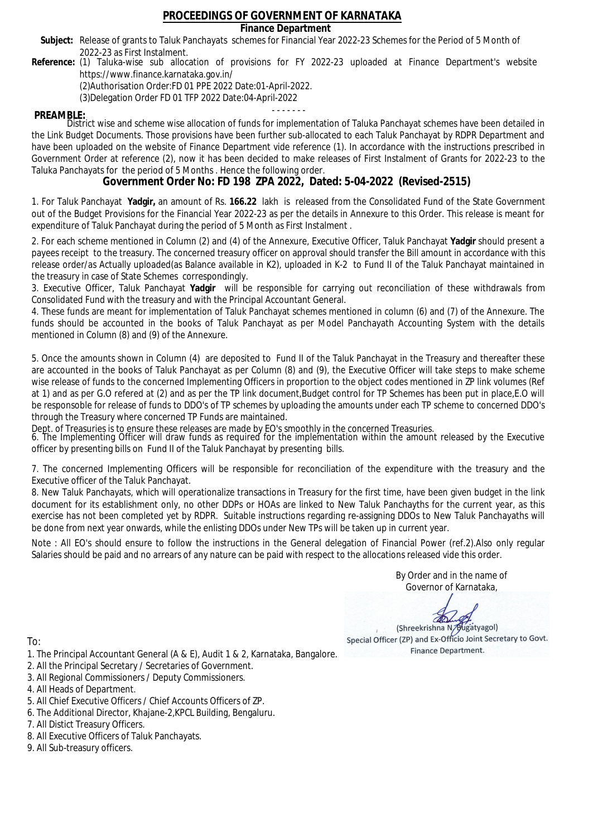### **Finance Department**

- Subject: Release of grants to Taluk Panchayats schemes for Financial Year 2022-23 Schemes for the Period of 5 Month of 2022-23 as First Instalment.
- **Reference:** (1) Taluka-wise sub allocation of provisions for FY 2022-23 uploaded at Finance Department's website https://www.finance.karnataka.gov.in/

(2)Authorisation Order:FD 01 PPE 2022 Date:01-April-2022.

(3)Delegation Order FD 01 TFP 2022 Date:04-April-2022

- - - - - - - **PREAMBLE:** District wise and scheme wise allocation of funds for implementation of Taluka Panchayat schemes have been detailed in the Link Budget Documents. Those provisions have been further sub-allocated to each Taluk Panchayat by RDPR Department and have been uploaded on the website of Finance Department vide reference (1). In accordance with the instructions prescribed in Government Order at reference (2), now it has been decided to make releases of First Instalment of Grants for 2022-23 to the Taluka Panchayats for the period of 5 Months . Hence the following order.

**Government Order No: FD 198 ZPA 2022, Dated: 5-04-2022 (Revised-2515)**

1. For Taluk Panchayat **Yadgir,** an amount of Rs. **166.22** lakh is released from the Consolidated Fund of the State Government out of the Budget Provisions for the Financial Year 2022-23 as per the details in Annexure to this Order. This release is meant for expenditure of Taluk Panchayat during the period of 5 Month as First Instalment .

2. For each scheme mentioned in Column (2) and (4) of the Annexure, Executive Officer, Taluk Panchayat **Yadgir** should present a payees receipt to the treasury. The concerned treasury officer on approval should transfer the Bill amount in accordance with this release order/as Actually uploaded(as Balance available in K2), uploaded in K-2 to Fund II of the Taluk Panchayat maintained in the treasury in case of State Schemes correspondingly.

3. Executive Officer, Taluk Panchayat **Yadgir** will be responsible for carrying out reconciliation of these withdrawals from Consolidated Fund with the treasury and with the Principal Accountant General.

4. These funds are meant for implementation of Taluk Panchayat schemes mentioned in column (6) and (7) of the Annexure. The funds should be accounted in the books of Taluk Panchayat as per Model Panchayath Accounting System with the details mentioned in Column (8) and (9) of the Annexure.

5. Once the amounts shown in Column (4) are deposited to Fund II of the Taluk Panchayat in the Treasury and thereafter these are accounted in the books of Taluk Panchayat as per Column (8) and (9), the Executive Officer will take steps to make scheme wise release of funds to the concerned Implementing Officers in proportion to the object codes mentioned in ZP link volumes (Ref at 1) and as per G.O refered at (2) and as per the TP link document,Budget control for TP Schemes has been put in place,E.O will be responsoble for release of funds to DDO's of TP schemes by uploading the amounts under each TP scheme to concerned DDO's through the Treasury where concerned TP Funds are maintained.

Dept. of Treasuries is to ensure these releases are made by EO's smoothly in the concerned Treasuries.

6. The Implementing Officer will draw funds as required for the implementation within the amount released by the Executive officer by presenting bills on Fund II of the Taluk Panchayat by presenting bills.

7. The concerned Implementing Officers will be responsible for reconciliation of the expenditure with the treasury and the Executive officer of the Taluk Panchayat.

8. New Taluk Panchayats, which will operationalize transactions in Treasury for the first time, have been given budget in the link document for its establishment only, no other DDPs or HOAs are linked to New Taluk Panchayths for the current year, as this exercise has not been completed yet by RDPR. Suitable instructions regarding re-assigning DDOs to New Taluk Panchayaths will be done from next year onwards, while the enlisting DDOs under New TPs will be taken up in current year.

Note : All EO's should ensure to follow the instructions in the General delegation of Financial Power (ref.2).Also only regular Salaries should be paid and no arrears of any nature can be paid with respect to the allocations released vide this order.

> By Order and in the name of Governor of Karnataka,

**PD** 

(Shreekrishna N/Bugatyagol) Special Officer (ZP) and Ex-Officio Joint Secretary to Govt. Finance Department.

To:

- 1. The Principal Accountant General (A & E), Audit 1 & 2, Karnataka, Bangalore.
- 2. All the Principal Secretary / Secretaries of Government.
- 3. All Regional Commissioners / Deputy Commissioners.
- 4. All Heads of Department.
- 5. All Chief Executive Officers / Chief Accounts Officers of ZP.
- 6. The Additional Director, Khajane-2,KPCL Building, Bengaluru.

7. All Distict Treasury Officers.

- 8. All Executive Officers of Taluk Panchayats.
- 9. All Sub-treasury officers.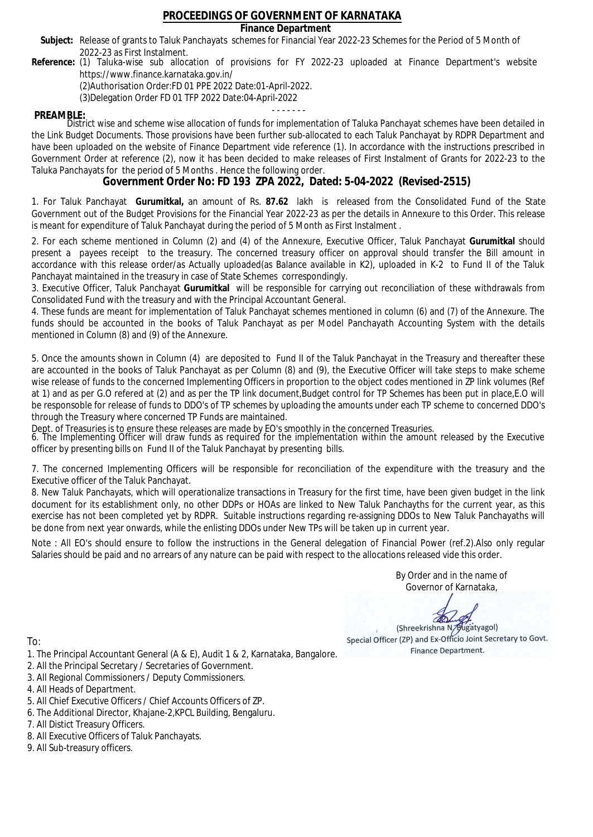**Finance Department**

- Subject: Release of grants to Taluk Panchayats schemes for Financial Year 2022-23 Schemes for the Period of 5 Month of 2022-23 as First Instalment.
- **Reference:** (1) Taluka-wise sub allocation of provisions for FY 2022-23 uploaded at Finance Department's website https://www.finance.karnataka.gov.in/

(2)Authorisation Order:FD 01 PPE 2022 Date:01-April-2022.

(3)Delegation Order FD 01 TFP 2022 Date:04-April-2022

- - - - - - - **PREAMBLE:** District wise and scheme wise allocation of funds for implementation of Taluka Panchayat schemes have been detailed in the Link Budget Documents. Those provisions have been further sub-allocated to each Taluk Panchayat by RDPR Department and have been uploaded on the website of Finance Department vide reference (1). In accordance with the instructions prescribed in Government Order at reference (2), now it has been decided to make releases of First Instalment of Grants for 2022-23 to the Taluka Panchayats for the period of 5 Months . Hence the following order.

**Government Order No: FD 193 ZPA 2022, Dated: 5-04-2022 (Revised-2515)**

1. For Taluk Panchayat **Gurumitkal,** an amount of Rs. **87.62** lakh is released from the Consolidated Fund of the State Government out of the Budget Provisions for the Financial Year 2022-23 as per the details in Annexure to this Order. This release is meant for expenditure of Taluk Panchayat during the period of 5 Month as First Instalment .

2. For each scheme mentioned in Column (2) and (4) of the Annexure, Executive Officer, Taluk Panchayat **Gurumitkal** should present a payees receipt to the treasury. The concerned treasury officer on approval should transfer the Bill amount in accordance with this release order/as Actually uploaded(as Balance available in K2), uploaded in K-2 to Fund II of the Taluk Panchayat maintained in the treasury in case of State Schemes correspondingly.

3. Executive Officer, Taluk Panchayat **Gurumitkal** will be responsible for carrying out reconciliation of these withdrawals from Consolidated Fund with the treasury and with the Principal Accountant General.

4. These funds are meant for implementation of Taluk Panchayat schemes mentioned in column (6) and (7) of the Annexure. The funds should be accounted in the books of Taluk Panchayat as per Model Panchayath Accounting System with the details mentioned in Column (8) and (9) of the Annexure.

5. Once the amounts shown in Column (4) are deposited to Fund II of the Taluk Panchayat in the Treasury and thereafter these are accounted in the books of Taluk Panchayat as per Column (8) and (9), the Executive Officer will take steps to make scheme wise release of funds to the concerned Implementing Officers in proportion to the object codes mentioned in ZP link volumes (Ref at 1) and as per G.O refered at (2) and as per the TP link document,Budget control for TP Schemes has been put in place,E.O will be responsoble for release of funds to DDO's of TP schemes by uploading the amounts under each TP scheme to concerned DDO's through the Treasury where concerned TP Funds are maintained.

Dept. of Treasuries is to ensure these releases are made by EO's smoothly in the concerned Treasuries.

6. The Implementing Officer will draw funds as required for the implementation within the amount released by the Executive officer by presenting bills on Fund II of the Taluk Panchayat by presenting bills.

7. The concerned Implementing Officers will be responsible for reconciliation of the expenditure with the treasury and the Executive officer of the Taluk Panchayat.

8. New Taluk Panchayats, which will operationalize transactions in Treasury for the first time, have been given budget in the link document for its establishment only, no other DDPs or HOAs are linked to New Taluk Panchayths for the current year, as this exercise has not been completed yet by RDPR. Suitable instructions regarding re-assigning DDOs to New Taluk Panchayaths will be done from next year onwards, while the enlisting DDOs under New TPs will be taken up in current year.

Note : All EO's should ensure to follow the instructions in the General delegation of Financial Power (ref.2).Also only regular Salaries should be paid and no arrears of any nature can be paid with respect to the allocations released vide this order.

> By Order and in the name of Governor of Karnataka,

**PD** 

(Shreekrishna N/Bugatyagol) Special Officer (ZP) and Ex-Officio Joint Secretary to Govt. Finance Department.

- 1. The Principal Accountant General (A & E), Audit 1 & 2, Karnataka, Bangalore.
- 2. All the Principal Secretary / Secretaries of Government.
- 3. All Regional Commissioners / Deputy Commissioners.
- 4. All Heads of Department.
- 5. All Chief Executive Officers / Chief Accounts Officers of ZP.
- 6. The Additional Director, Khajane-2,KPCL Building, Bengaluru.
- 7. All Distict Treasury Officers.
- 8. All Executive Officers of Taluk Panchayats.
- 9. All Sub-treasury officers.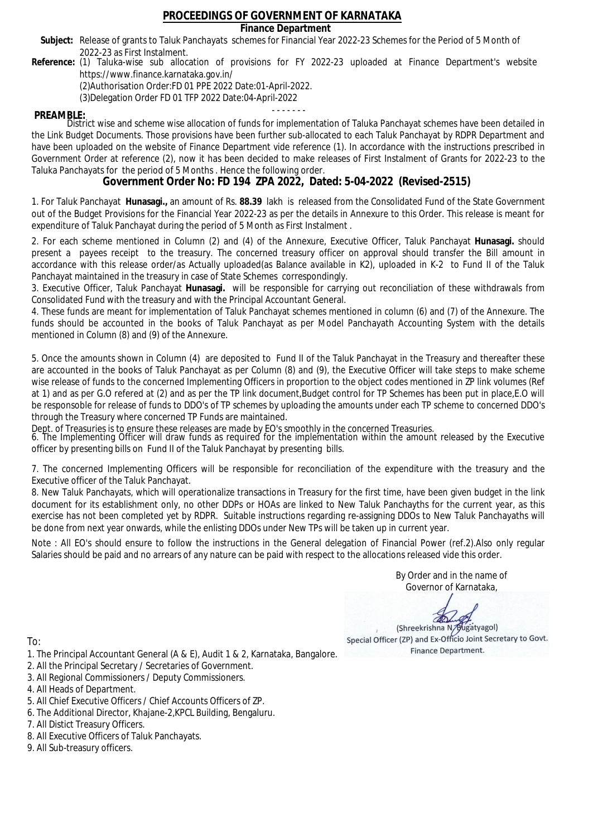### **Finance Department**

- Subject: Release of grants to Taluk Panchayats schemes for Financial Year 2022-23 Schemes for the Period of 5 Month of 2022-23 as First Instalment.
- **Reference:** (1) Taluka-wise sub allocation of provisions for FY 2022-23 uploaded at Finance Department's website https://www.finance.karnataka.gov.in/

(2)Authorisation Order:FD 01 PPE 2022 Date:01-April-2022.

(3)Delegation Order FD 01 TFP 2022 Date:04-April-2022

- - - - - - - **PREAMBLE:** District wise and scheme wise allocation of funds for implementation of Taluka Panchayat schemes have been detailed in the Link Budget Documents. Those provisions have been further sub-allocated to each Taluk Panchayat by RDPR Department and have been uploaded on the website of Finance Department vide reference (1). In accordance with the instructions prescribed in Government Order at reference (2), now it has been decided to make releases of First Instalment of Grants for 2022-23 to the Taluka Panchayats for the period of 5 Months . Hence the following order.

**Government Order No: FD 194 ZPA 2022, Dated: 5-04-2022 (Revised-2515)**

1. For Taluk Panchayat **Hunasagi.,** an amount of Rs. **88.39** lakh is released from the Consolidated Fund of the State Government out of the Budget Provisions for the Financial Year 2022-23 as per the details in Annexure to this Order. This release is meant for expenditure of Taluk Panchayat during the period of 5 Month as First Instalment .

2. For each scheme mentioned in Column (2) and (4) of the Annexure, Executive Officer, Taluk Panchayat **Hunasagi.** should present a payees receipt to the treasury. The concerned treasury officer on approval should transfer the Bill amount in accordance with this release order/as Actually uploaded(as Balance available in K2), uploaded in K-2 to Fund II of the Taluk Panchayat maintained in the treasury in case of State Schemes correspondingly.

3. Executive Officer, Taluk Panchayat **Hunasagi.** will be responsible for carrying out reconciliation of these withdrawals from Consolidated Fund with the treasury and with the Principal Accountant General.

4. These funds are meant for implementation of Taluk Panchayat schemes mentioned in column (6) and (7) of the Annexure. The funds should be accounted in the books of Taluk Panchayat as per Model Panchayath Accounting System with the details mentioned in Column (8) and (9) of the Annexure.

5. Once the amounts shown in Column (4) are deposited to Fund II of the Taluk Panchayat in the Treasury and thereafter these are accounted in the books of Taluk Panchayat as per Column (8) and (9), the Executive Officer will take steps to make scheme wise release of funds to the concerned Implementing Officers in proportion to the object codes mentioned in ZP link volumes (Ref at 1) and as per G.O refered at (2) and as per the TP link document,Budget control for TP Schemes has been put in place,E.O will be responsoble for release of funds to DDO's of TP schemes by uploading the amounts under each TP scheme to concerned DDO's through the Treasury where concerned TP Funds are maintained.

Dept. of Treasuries is to ensure these releases are made by EO's smoothly in the concerned Treasuries.

6. The Implementing Officer will draw funds as required for the implementation within the amount released by the Executive officer by presenting bills on Fund II of the Taluk Panchayat by presenting bills.

7. The concerned Implementing Officers will be responsible for reconciliation of the expenditure with the treasury and the Executive officer of the Taluk Panchayat.

8. New Taluk Panchayats, which will operationalize transactions in Treasury for the first time, have been given budget in the link document for its establishment only, no other DDPs or HOAs are linked to New Taluk Panchayths for the current year, as this exercise has not been completed yet by RDPR. Suitable instructions regarding re-assigning DDOs to New Taluk Panchayaths will be done from next year onwards, while the enlisting DDOs under New TPs will be taken up in current year.

Note : All EO's should ensure to follow the instructions in the General delegation of Financial Power (ref.2).Also only regular Salaries should be paid and no arrears of any nature can be paid with respect to the allocations released vide this order.

> By Order and in the name of Governor of Karnataka,

**PD** 

(Shreekrishna N/Bugatyagol) Special Officer (ZP) and Ex-Officio Joint Secretary to Govt. Finance Department.

- 1. The Principal Accountant General (A & E), Audit 1 & 2, Karnataka, Bangalore.
- 2. All the Principal Secretary / Secretaries of Government.
- 3. All Regional Commissioners / Deputy Commissioners.
- 4. All Heads of Department.
- 5. All Chief Executive Officers / Chief Accounts Officers of ZP.
- 6. The Additional Director, Khajane-2,KPCL Building, Bengaluru.
- 7. All Distict Treasury Officers.
- 8. All Executive Officers of Taluk Panchayats.
- 9. All Sub-treasury officers.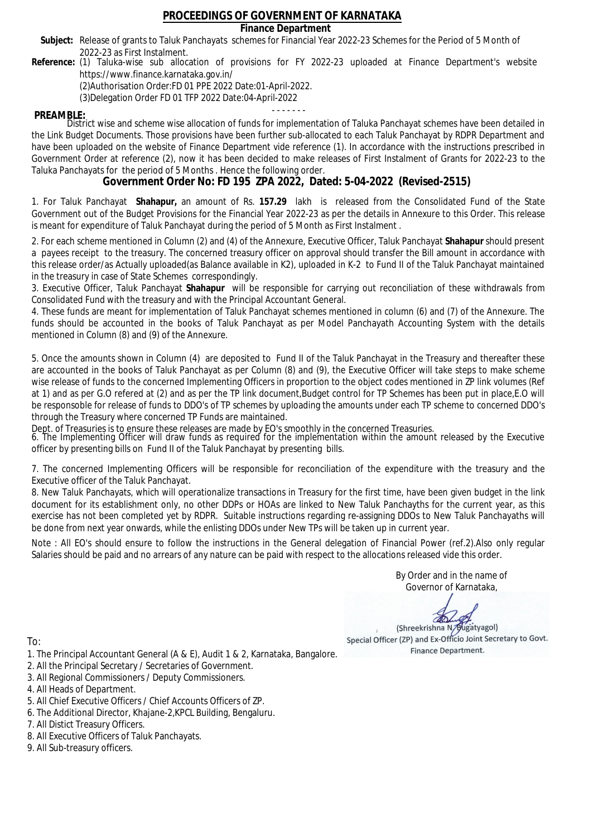### **Finance Department**

- Subject: Release of grants to Taluk Panchayats schemes for Financial Year 2022-23 Schemes for the Period of 5 Month of 2022-23 as First Instalment.
- **Reference:** (1) Taluka-wise sub allocation of provisions for FY 2022-23 uploaded at Finance Department's website https://www.finance.karnataka.gov.in/

(2)Authorisation Order:FD 01 PPE 2022 Date:01-April-2022.

(3)Delegation Order FD 01 TFP 2022 Date:04-April-2022

- - - - - - - **PREAMBLE:** District wise and scheme wise allocation of funds for implementation of Taluka Panchayat schemes have been detailed in the Link Budget Documents. Those provisions have been further sub-allocated to each Taluk Panchayat by RDPR Department and have been uploaded on the website of Finance Department vide reference (1). In accordance with the instructions prescribed in Government Order at reference (2), now it has been decided to make releases of First Instalment of Grants for 2022-23 to the Taluka Panchayats for the period of 5 Months . Hence the following order.

**Government Order No: FD 195 ZPA 2022, Dated: 5-04-2022 (Revised-2515)**

1. For Taluk Panchayat **Shahapur,** an amount of Rs. **157.29** lakh is released from the Consolidated Fund of the State Government out of the Budget Provisions for the Financial Year 2022-23 as per the details in Annexure to this Order. This release is meant for expenditure of Taluk Panchayat during the period of 5 Month as First Instalment .

2. For each scheme mentioned in Column (2) and (4) of the Annexure, Executive Officer, Taluk Panchayat **Shahapur** should present a payees receipt to the treasury. The concerned treasury officer on approval should transfer the Bill amount in accordance with this release order/as Actually uploaded(as Balance available in K2), uploaded in K-2 to Fund II of the Taluk Panchayat maintained in the treasury in case of State Schemes correspondingly.

3. Executive Officer, Taluk Panchayat **Shahapur** will be responsible for carrying out reconciliation of these withdrawals from Consolidated Fund with the treasury and with the Principal Accountant General.

4. These funds are meant for implementation of Taluk Panchayat schemes mentioned in column (6) and (7) of the Annexure. The funds should be accounted in the books of Taluk Panchayat as per Model Panchayath Accounting System with the details mentioned in Column (8) and (9) of the Annexure.

5. Once the amounts shown in Column (4) are deposited to Fund II of the Taluk Panchayat in the Treasury and thereafter these are accounted in the books of Taluk Panchayat as per Column (8) and (9), the Executive Officer will take steps to make scheme wise release of funds to the concerned Implementing Officers in proportion to the object codes mentioned in ZP link volumes (Ref at 1) and as per G.O refered at (2) and as per the TP link document,Budget control for TP Schemes has been put in place,E.O will be responsoble for release of funds to DDO's of TP schemes by uploading the amounts under each TP scheme to concerned DDO's through the Treasury where concerned TP Funds are maintained.

Dept. of Treasuries is to ensure these releases are made by EO's smoothly in the concerned Treasuries.

6. The Implementing Officer will draw funds as required for the implementation within the amount released by the Executive officer by presenting bills on Fund II of the Taluk Panchayat by presenting bills.

7. The concerned Implementing Officers will be responsible for reconciliation of the expenditure with the treasury and the Executive officer of the Taluk Panchayat.

8. New Taluk Panchayats, which will operationalize transactions in Treasury for the first time, have been given budget in the link document for its establishment only, no other DDPs or HOAs are linked to New Taluk Panchayths for the current year, as this exercise has not been completed yet by RDPR. Suitable instructions regarding re-assigning DDOs to New Taluk Panchayaths will be done from next year onwards, while the enlisting DDOs under New TPs will be taken up in current year.

Note : All EO's should ensure to follow the instructions in the General delegation of Financial Power (ref.2).Also only regular Salaries should be paid and no arrears of any nature can be paid with respect to the allocations released vide this order.

> By Order and in the name of Governor of Karnataka,

**PD** 

(Shreekrishna N/Bugatyagol) Special Officer (ZP) and Ex-Officio Joint Secretary to Govt. Finance Department.

- 1. The Principal Accountant General (A & E), Audit 1 & 2, Karnataka, Bangalore.
- 2. All the Principal Secretary / Secretaries of Government.
- 3. All Regional Commissioners / Deputy Commissioners.
- 4. All Heads of Department.
- 5. All Chief Executive Officers / Chief Accounts Officers of ZP.
- 6. The Additional Director, Khajane-2,KPCL Building, Bengaluru.
- 7. All Distict Treasury Officers.
- 8. All Executive Officers of Taluk Panchayats.
- 9. All Sub-treasury officers.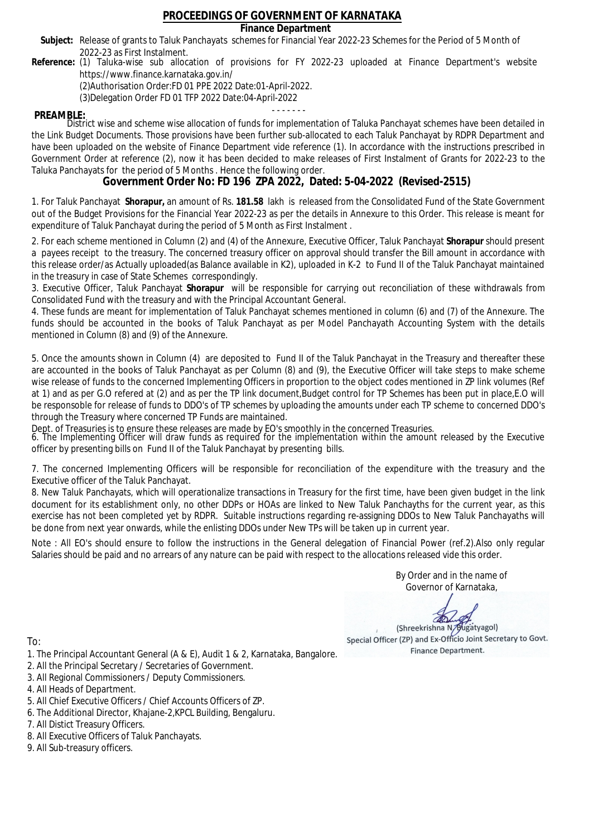### **Finance Department**

- Subject: Release of grants to Taluk Panchayats schemes for Financial Year 2022-23 Schemes for the Period of 5 Month of 2022-23 as First Instalment.
- **Reference:** (1) Taluka-wise sub allocation of provisions for FY 2022-23 uploaded at Finance Department's website https://www.finance.karnataka.gov.in/

(2)Authorisation Order:FD 01 PPE 2022 Date:01-April-2022.

(3)Delegation Order FD 01 TFP 2022 Date:04-April-2022

- - - - - - - **PREAMBLE:** District wise and scheme wise allocation of funds for implementation of Taluka Panchayat schemes have been detailed in the Link Budget Documents. Those provisions have been further sub-allocated to each Taluk Panchayat by RDPR Department and have been uploaded on the website of Finance Department vide reference (1). In accordance with the instructions prescribed in Government Order at reference (2), now it has been decided to make releases of First Instalment of Grants for 2022-23 to the Taluka Panchayats for the period of 5 Months . Hence the following order.

**Government Order No: FD 196 ZPA 2022, Dated: 5-04-2022 (Revised-2515)**

1. For Taluk Panchayat **Shorapur,** an amount of Rs. **181.58** lakh is released from the Consolidated Fund of the State Government out of the Budget Provisions for the Financial Year 2022-23 as per the details in Annexure to this Order. This release is meant for expenditure of Taluk Panchayat during the period of 5 Month as First Instalment .

2. For each scheme mentioned in Column (2) and (4) of the Annexure, Executive Officer, Taluk Panchayat **Shorapur** should present a payees receipt to the treasury. The concerned treasury officer on approval should transfer the Bill amount in accordance with this release order/as Actually uploaded(as Balance available in K2), uploaded in K-2 to Fund II of the Taluk Panchayat maintained in the treasury in case of State Schemes correspondingly.

3. Executive Officer, Taluk Panchayat **Shorapur** will be responsible for carrying out reconciliation of these withdrawals from Consolidated Fund with the treasury and with the Principal Accountant General.

4. These funds are meant for implementation of Taluk Panchayat schemes mentioned in column (6) and (7) of the Annexure. The funds should be accounted in the books of Taluk Panchayat as per Model Panchayath Accounting System with the details mentioned in Column (8) and (9) of the Annexure.

5. Once the amounts shown in Column (4) are deposited to Fund II of the Taluk Panchayat in the Treasury and thereafter these are accounted in the books of Taluk Panchayat as per Column (8) and (9), the Executive Officer will take steps to make scheme wise release of funds to the concerned Implementing Officers in proportion to the object codes mentioned in ZP link volumes (Ref at 1) and as per G.O refered at (2) and as per the TP link document,Budget control for TP Schemes has been put in place,E.O will be responsoble for release of funds to DDO's of TP schemes by uploading the amounts under each TP scheme to concerned DDO's through the Treasury where concerned TP Funds are maintained.

Dept. of Treasuries is to ensure these releases are made by EO's smoothly in the concerned Treasuries.

6. The Implementing Officer will draw funds as required for the implementation within the amount released by the Executive officer by presenting bills on Fund II of the Taluk Panchayat by presenting bills.

7. The concerned Implementing Officers will be responsible for reconciliation of the expenditure with the treasury and the Executive officer of the Taluk Panchayat.

8. New Taluk Panchayats, which will operationalize transactions in Treasury for the first time, have been given budget in the link document for its establishment only, no other DDPs or HOAs are linked to New Taluk Panchayths for the current year, as this exercise has not been completed yet by RDPR. Suitable instructions regarding re-assigning DDOs to New Taluk Panchayaths will be done from next year onwards, while the enlisting DDOs under New TPs will be taken up in current year.

Note : All EO's should ensure to follow the instructions in the General delegation of Financial Power (ref.2).Also only regular Salaries should be paid and no arrears of any nature can be paid with respect to the allocations released vide this order.

> By Order and in the name of Governor of Karnataka,

**PD** 

(Shreekrishna N/Bugatyagol) Special Officer (ZP) and Ex-Officio Joint Secretary to Govt. Finance Department.

- 1. The Principal Accountant General (A & E), Audit 1 & 2, Karnataka, Bangalore.
- 2. All the Principal Secretary / Secretaries of Government.
- 3. All Regional Commissioners / Deputy Commissioners.
- 4. All Heads of Department.
- 5. All Chief Executive Officers / Chief Accounts Officers of ZP.
- 6. The Additional Director, Khajane-2,KPCL Building, Bengaluru.
- 7. All Distict Treasury Officers.
- 8. All Executive Officers of Taluk Panchayats.
- 9. All Sub-treasury officers.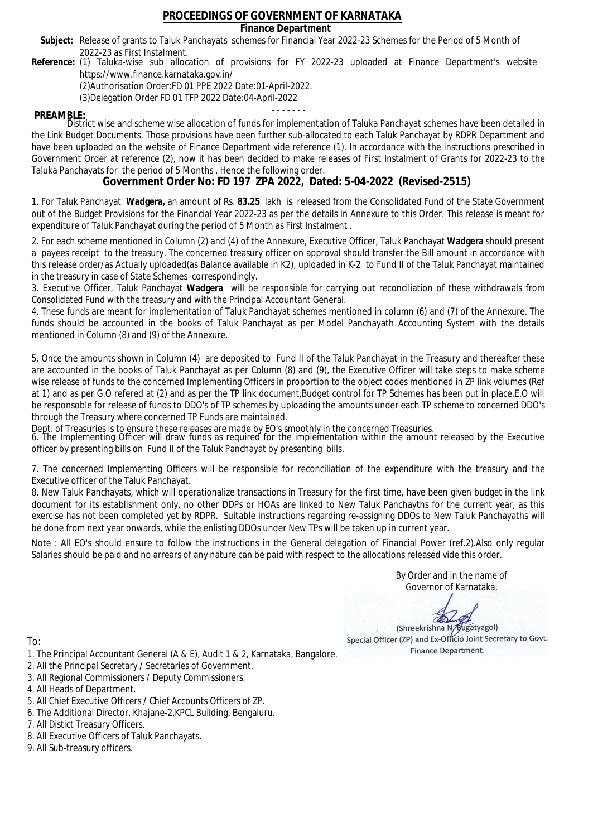### **Finance Department**

- Subject: Release of grants to Taluk Panchayats schemes for Financial Year 2022-23 Schemes for the Period of 5 Month of 2022-23 as First Instalment.
- **Reference:** (1) Taluka-wise sub allocation of provisions for FY 2022-23 uploaded at Finance Department's website https://www.finance.karnataka.gov.in/

(2)Authorisation Order:FD 01 PPE 2022 Date:01-April-2022.

(3)Delegation Order FD 01 TFP 2022 Date:04-April-2022

- - - - - - - **PREAMBLE:** District wise and scheme wise allocation of funds for implementation of Taluka Panchayat schemes have been detailed in the Link Budget Documents. Those provisions have been further sub-allocated to each Taluk Panchayat by RDPR Department and have been uploaded on the website of Finance Department vide reference (1). In accordance with the instructions prescribed in Government Order at reference (2), now it has been decided to make releases of First Instalment of Grants for 2022-23 to the Taluka Panchayats for the period of 5 Months . Hence the following order.

**Government Order No: FD 197 ZPA 2022, Dated: 5-04-2022 (Revised-2515)**

1. For Taluk Panchayat **Wadgera,** an amount of Rs. **83.25** lakh is released from the Consolidated Fund of the State Government out of the Budget Provisions for the Financial Year 2022-23 as per the details in Annexure to this Order. This release is meant for expenditure of Taluk Panchayat during the period of 5 Month as First Instalment .

2. For each scheme mentioned in Column (2) and (4) of the Annexure, Executive Officer, Taluk Panchayat **Wadgera** should present a payees receipt to the treasury. The concerned treasury officer on approval should transfer the Bill amount in accordance with this release order/as Actually uploaded(as Balance available in K2), uploaded in K-2 to Fund II of the Taluk Panchayat maintained in the treasury in case of State Schemes correspondingly.

3. Executive Officer, Taluk Panchayat **Wadgera** will be responsible for carrying out reconciliation of these withdrawals from Consolidated Fund with the treasury and with the Principal Accountant General.

4. These funds are meant for implementation of Taluk Panchayat schemes mentioned in column (6) and (7) of the Annexure. The funds should be accounted in the books of Taluk Panchayat as per Model Panchayath Accounting System with the details mentioned in Column (8) and (9) of the Annexure.

5. Once the amounts shown in Column (4) are deposited to Fund II of the Taluk Panchayat in the Treasury and thereafter these are accounted in the books of Taluk Panchayat as per Column (8) and (9), the Executive Officer will take steps to make scheme wise release of funds to the concerned Implementing Officers in proportion to the object codes mentioned in ZP link volumes (Ref at 1) and as per G.O refered at (2) and as per the TP link document,Budget control for TP Schemes has been put in place,E.O will be responsoble for release of funds to DDO's of TP schemes by uploading the amounts under each TP scheme to concerned DDO's through the Treasury where concerned TP Funds are maintained.

Dept. of Treasuries is to ensure these releases are made by EO's smoothly in the concerned Treasuries.

6. The Implementing Officer will draw funds as required for the implementation within the amount released by the Executive officer by presenting bills on Fund II of the Taluk Panchayat by presenting bills.

7. The concerned Implementing Officers will be responsible for reconciliation of the expenditure with the treasury and the Executive officer of the Taluk Panchayat.

8. New Taluk Panchayats, which will operationalize transactions in Treasury for the first time, have been given budget in the link document for its establishment only, no other DDPs or HOAs are linked to New Taluk Panchayths for the current year, as this exercise has not been completed yet by RDPR. Suitable instructions regarding re-assigning DDOs to New Taluk Panchayaths will be done from next year onwards, while the enlisting DDOs under New TPs will be taken up in current year.

Note : All EO's should ensure to follow the instructions in the General delegation of Financial Power (ref.2).Also only regular Salaries should be paid and no arrears of any nature can be paid with respect to the allocations released vide this order.

> By Order and in the name of Governor of Karnataka,

**PD** 

(Shreekrishna N/Bugatyagol) Special Officer (ZP) and Ex-Officio Joint Secretary to Govt. Finance Department.

- 1. The Principal Accountant General (A & E), Audit 1 & 2, Karnataka, Bangalore.
- 2. All the Principal Secretary / Secretaries of Government.
- 3. All Regional Commissioners / Deputy Commissioners.
- 4. All Heads of Department.
- 5. All Chief Executive Officers / Chief Accounts Officers of ZP.
- 6. The Additional Director, Khajane-2,KPCL Building, Bengaluru.
- 7. All Distict Treasury Officers.
- 8. All Executive Officers of Taluk Panchayats.
- 9. All Sub-treasury officers.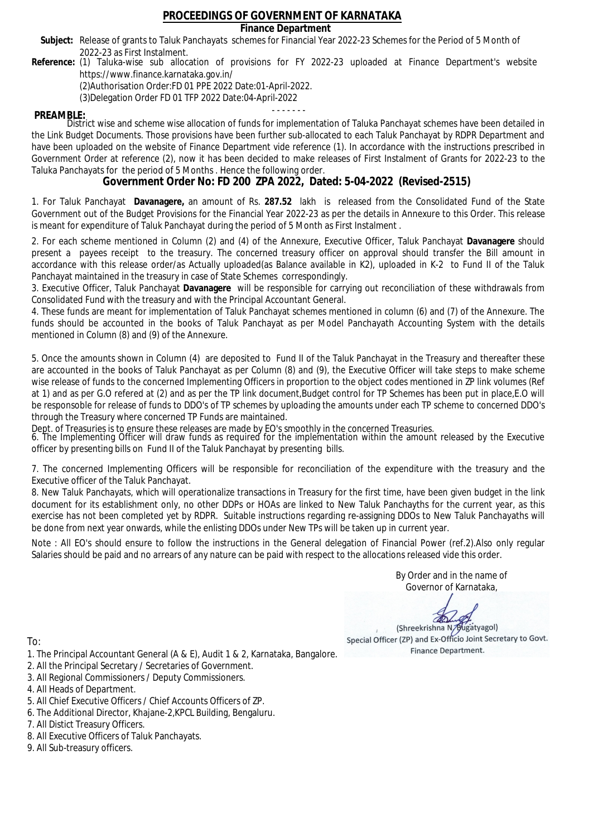### **Finance Department**

- Subject: Release of grants to Taluk Panchayats schemes for Financial Year 2022-23 Schemes for the Period of 5 Month of 2022-23 as First Instalment.
- **Reference:** (1) Taluka-wise sub allocation of provisions for FY 2022-23 uploaded at Finance Department's website https://www.finance.karnataka.gov.in/

(2)Authorisation Order:FD 01 PPE 2022 Date:01-April-2022.

(3)Delegation Order FD 01 TFP 2022 Date:04-April-2022

- - - - - - - **PREAMBLE:** District wise and scheme wise allocation of funds for implementation of Taluka Panchayat schemes have been detailed in the Link Budget Documents. Those provisions have been further sub-allocated to each Taluk Panchayat by RDPR Department and have been uploaded on the website of Finance Department vide reference (1). In accordance with the instructions prescribed in Government Order at reference (2), now it has been decided to make releases of First Instalment of Grants for 2022-23 to the Taluka Panchayats for the period of 5 Months . Hence the following order.

**Government Order No: FD 200 ZPA 2022, Dated: 5-04-2022 (Revised-2515)**

1. For Taluk Panchayat **Davanagere,** an amount of Rs. **287.52** lakh is released from the Consolidated Fund of the State Government out of the Budget Provisions for the Financial Year 2022-23 as per the details in Annexure to this Order. This release is meant for expenditure of Taluk Panchayat during the period of 5 Month as First Instalment .

2. For each scheme mentioned in Column (2) and (4) of the Annexure, Executive Officer, Taluk Panchayat **Davanagere** should present a payees receipt to the treasury. The concerned treasury officer on approval should transfer the Bill amount in accordance with this release order/as Actually uploaded(as Balance available in K2), uploaded in K-2 to Fund II of the Taluk Panchayat maintained in the treasury in case of State Schemes correspondingly.

3. Executive Officer, Taluk Panchayat **Davanagere** will be responsible for carrying out reconciliation of these withdrawals from Consolidated Fund with the treasury and with the Principal Accountant General.

4. These funds are meant for implementation of Taluk Panchayat schemes mentioned in column (6) and (7) of the Annexure. The funds should be accounted in the books of Taluk Panchayat as per Model Panchayath Accounting System with the details mentioned in Column (8) and (9) of the Annexure.

5. Once the amounts shown in Column (4) are deposited to Fund II of the Taluk Panchayat in the Treasury and thereafter these are accounted in the books of Taluk Panchayat as per Column (8) and (9), the Executive Officer will take steps to make scheme wise release of funds to the concerned Implementing Officers in proportion to the object codes mentioned in ZP link volumes (Ref at 1) and as per G.O refered at (2) and as per the TP link document,Budget control for TP Schemes has been put in place,E.O will be responsoble for release of funds to DDO's of TP schemes by uploading the amounts under each TP scheme to concerned DDO's through the Treasury where concerned TP Funds are maintained.

Dept. of Treasuries is to ensure these releases are made by EO's smoothly in the concerned Treasuries.

6. The Implementing Officer will draw funds as required for the implementation within the amount released by the Executive officer by presenting bills on Fund II of the Taluk Panchayat by presenting bills.

7. The concerned Implementing Officers will be responsible for reconciliation of the expenditure with the treasury and the Executive officer of the Taluk Panchayat.

8. New Taluk Panchayats, which will operationalize transactions in Treasury for the first time, have been given budget in the link document for its establishment only, no other DDPs or HOAs are linked to New Taluk Panchayths for the current year, as this exercise has not been completed yet by RDPR. Suitable instructions regarding re-assigning DDOs to New Taluk Panchayaths will be done from next year onwards, while the enlisting DDOs under New TPs will be taken up in current year.

Note : All EO's should ensure to follow the instructions in the General delegation of Financial Power (ref.2).Also only regular Salaries should be paid and no arrears of any nature can be paid with respect to the allocations released vide this order.

> By Order and in the name of Governor of Karnataka,

**PD** 

(Shreekrishna N/Bugatyagol) Special Officer (ZP) and Ex-Officio Joint Secretary to Govt. Finance Department.

- 1. The Principal Accountant General (A & E), Audit 1 & 2, Karnataka, Bangalore.
- 2. All the Principal Secretary / Secretaries of Government.
- 3. All Regional Commissioners / Deputy Commissioners.
- 4. All Heads of Department.
- 5. All Chief Executive Officers / Chief Accounts Officers of ZP.
- 6. The Additional Director, Khajane-2,KPCL Building, Bengaluru.
- 7. All Distict Treasury Officers.
- 8. All Executive Officers of Taluk Panchayats.
- 9. All Sub-treasury officers.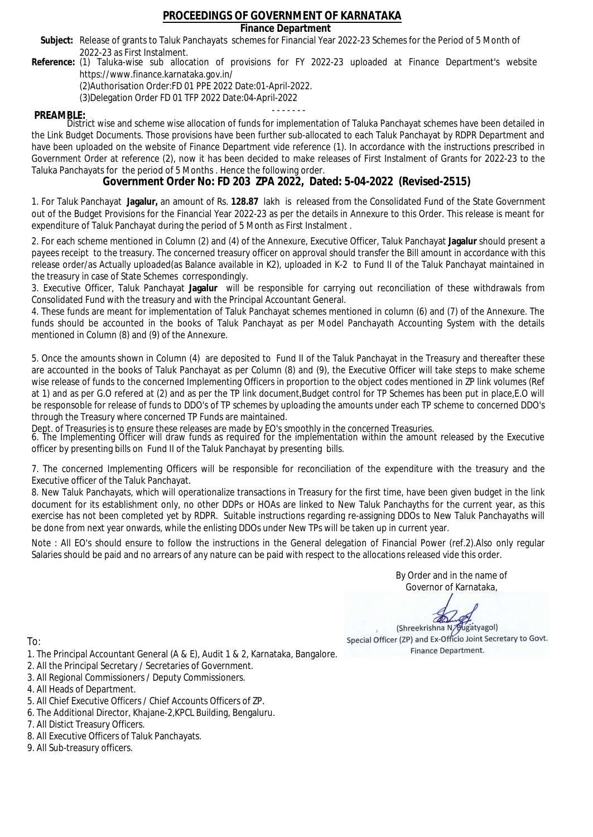### **Finance Department**

- Subject: Release of grants to Taluk Panchayats schemes for Financial Year 2022-23 Schemes for the Period of 5 Month of 2022-23 as First Instalment.
- **Reference:** (1) Taluka-wise sub allocation of provisions for FY 2022-23 uploaded at Finance Department's website https://www.finance.karnataka.gov.in/

(2)Authorisation Order:FD 01 PPE 2022 Date:01-April-2022.

(3)Delegation Order FD 01 TFP 2022 Date:04-April-2022

- - - - - - - **PREAMBLE:** District wise and scheme wise allocation of funds for implementation of Taluka Panchayat schemes have been detailed in the Link Budget Documents. Those provisions have been further sub-allocated to each Taluk Panchayat by RDPR Department and have been uploaded on the website of Finance Department vide reference (1). In accordance with the instructions prescribed in Government Order at reference (2), now it has been decided to make releases of First Instalment of Grants for 2022-23 to the Taluka Panchayats for the period of 5 Months . Hence the following order.

**Government Order No: FD 203 ZPA 2022, Dated: 5-04-2022 (Revised-2515)**

1. For Taluk Panchayat **Jagalur,** an amount of Rs. **128.87** lakh is released from the Consolidated Fund of the State Government out of the Budget Provisions for the Financial Year 2022-23 as per the details in Annexure to this Order. This release is meant for expenditure of Taluk Panchayat during the period of 5 Month as First Instalment .

2. For each scheme mentioned in Column (2) and (4) of the Annexure, Executive Officer, Taluk Panchayat **Jagalur** should present a payees receipt to the treasury. The concerned treasury officer on approval should transfer the Bill amount in accordance with this release order/as Actually uploaded(as Balance available in K2), uploaded in K-2 to Fund II of the Taluk Panchayat maintained in the treasury in case of State Schemes correspondingly.

3. Executive Officer, Taluk Panchayat **Jagalur** will be responsible for carrying out reconciliation of these withdrawals from Consolidated Fund with the treasury and with the Principal Accountant General.

4. These funds are meant for implementation of Taluk Panchayat schemes mentioned in column (6) and (7) of the Annexure. The funds should be accounted in the books of Taluk Panchayat as per Model Panchayath Accounting System with the details mentioned in Column (8) and (9) of the Annexure.

5. Once the amounts shown in Column (4) are deposited to Fund II of the Taluk Panchayat in the Treasury and thereafter these are accounted in the books of Taluk Panchayat as per Column (8) and (9), the Executive Officer will take steps to make scheme wise release of funds to the concerned Implementing Officers in proportion to the object codes mentioned in ZP link volumes (Ref at 1) and as per G.O refered at (2) and as per the TP link document,Budget control for TP Schemes has been put in place,E.O will be responsoble for release of funds to DDO's of TP schemes by uploading the amounts under each TP scheme to concerned DDO's through the Treasury where concerned TP Funds are maintained.

Dept. of Treasuries is to ensure these releases are made by EO's smoothly in the concerned Treasuries.

6. The Implementing Officer will draw funds as required for the implementation within the amount released by the Executive officer by presenting bills on Fund II of the Taluk Panchayat by presenting bills.

7. The concerned Implementing Officers will be responsible for reconciliation of the expenditure with the treasury and the Executive officer of the Taluk Panchayat.

8. New Taluk Panchayats, which will operationalize transactions in Treasury for the first time, have been given budget in the link document for its establishment only, no other DDPs or HOAs are linked to New Taluk Panchayths for the current year, as this exercise has not been completed yet by RDPR. Suitable instructions regarding re-assigning DDOs to New Taluk Panchayaths will be done from next year onwards, while the enlisting DDOs under New TPs will be taken up in current year.

Note : All EO's should ensure to follow the instructions in the General delegation of Financial Power (ref.2).Also only regular Salaries should be paid and no arrears of any nature can be paid with respect to the allocations released vide this order.

> By Order and in the name of Governor of Karnataka,

**PD** 

(Shreekrishna N/Bugatyagol) Special Officer (ZP) and Ex-Officio Joint Secretary to Govt. Finance Department.

- 1. The Principal Accountant General (A & E), Audit 1 & 2, Karnataka, Bangalore.
- 2. All the Principal Secretary / Secretaries of Government.
- 3. All Regional Commissioners / Deputy Commissioners.
- 4. All Heads of Department.
- 5. All Chief Executive Officers / Chief Accounts Officers of ZP.
- 6. The Additional Director, Khajane-2,KPCL Building, Bengaluru.
- 7. All Distict Treasury Officers.
- 8. All Executive Officers of Taluk Panchayats.
- 9. All Sub-treasury officers.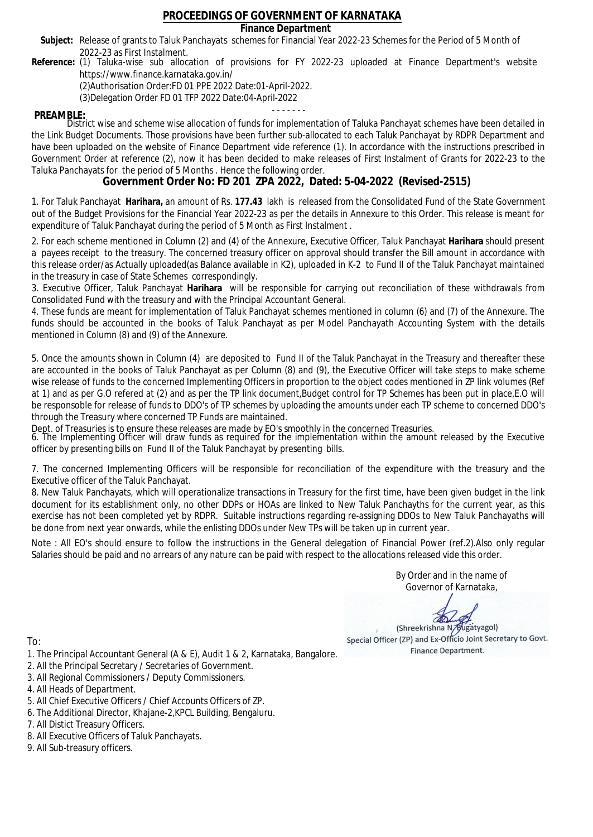### **Finance Department**

- Subject: Release of grants to Taluk Panchayats schemes for Financial Year 2022-23 Schemes for the Period of 5 Month of 2022-23 as First Instalment.
- **Reference:** (1) Taluka-wise sub allocation of provisions for FY 2022-23 uploaded at Finance Department's website https://www.finance.karnataka.gov.in/

(2)Authorisation Order:FD 01 PPE 2022 Date:01-April-2022.

(3)Delegation Order FD 01 TFP 2022 Date:04-April-2022

- - - - - - - **PREAMBLE:** District wise and scheme wise allocation of funds for implementation of Taluka Panchayat schemes have been detailed in the Link Budget Documents. Those provisions have been further sub-allocated to each Taluk Panchayat by RDPR Department and have been uploaded on the website of Finance Department vide reference (1). In accordance with the instructions prescribed in Government Order at reference (2), now it has been decided to make releases of First Instalment of Grants for 2022-23 to the Taluka Panchayats for the period of 5 Months . Hence the following order.

**Government Order No: FD 201 ZPA 2022, Dated: 5-04-2022 (Revised-2515)**

1. For Taluk Panchayat **Harihara,** an amount of Rs. **177.43** lakh is released from the Consolidated Fund of the State Government out of the Budget Provisions for the Financial Year 2022-23 as per the details in Annexure to this Order. This release is meant for expenditure of Taluk Panchayat during the period of 5 Month as First Instalment .

2. For each scheme mentioned in Column (2) and (4) of the Annexure, Executive Officer, Taluk Panchayat **Harihara** should present a payees receipt to the treasury. The concerned treasury officer on approval should transfer the Bill amount in accordance with this release order/as Actually uploaded(as Balance available in K2), uploaded in K-2 to Fund II of the Taluk Panchayat maintained in the treasury in case of State Schemes correspondingly.

3. Executive Officer, Taluk Panchayat **Harihara** will be responsible for carrying out reconciliation of these withdrawals from Consolidated Fund with the treasury and with the Principal Accountant General.

4. These funds are meant for implementation of Taluk Panchayat schemes mentioned in column (6) and (7) of the Annexure. The funds should be accounted in the books of Taluk Panchayat as per Model Panchayath Accounting System with the details mentioned in Column (8) and (9) of the Annexure.

5. Once the amounts shown in Column (4) are deposited to Fund II of the Taluk Panchayat in the Treasury and thereafter these are accounted in the books of Taluk Panchayat as per Column (8) and (9), the Executive Officer will take steps to make scheme wise release of funds to the concerned Implementing Officers in proportion to the object codes mentioned in ZP link volumes (Ref at 1) and as per G.O refered at (2) and as per the TP link document,Budget control for TP Schemes has been put in place,E.O will be responsoble for release of funds to DDO's of TP schemes by uploading the amounts under each TP scheme to concerned DDO's through the Treasury where concerned TP Funds are maintained.

Dept. of Treasuries is to ensure these releases are made by EO's smoothly in the concerned Treasuries.

6. The Implementing Officer will draw funds as required for the implementation within the amount released by the Executive officer by presenting bills on Fund II of the Taluk Panchayat by presenting bills.

7. The concerned Implementing Officers will be responsible for reconciliation of the expenditure with the treasury and the Executive officer of the Taluk Panchayat.

8. New Taluk Panchayats, which will operationalize transactions in Treasury for the first time, have been given budget in the link document for its establishment only, no other DDPs or HOAs are linked to New Taluk Panchayths for the current year, as this exercise has not been completed yet by RDPR. Suitable instructions regarding re-assigning DDOs to New Taluk Panchayaths will be done from next year onwards, while the enlisting DDOs under New TPs will be taken up in current year.

Note : All EO's should ensure to follow the instructions in the General delegation of Financial Power (ref.2).Also only regular Salaries should be paid and no arrears of any nature can be paid with respect to the allocations released vide this order.

> By Order and in the name of Governor of Karnataka,

**PD** 

(Shreekrishna N/Bugatyagol) Special Officer (ZP) and Ex-Officio Joint Secretary to Govt. Finance Department.

- 1. The Principal Accountant General (A & E), Audit 1 & 2, Karnataka, Bangalore.
- 2. All the Principal Secretary / Secretaries of Government.
- 3. All Regional Commissioners / Deputy Commissioners.
- 4. All Heads of Department.
- 5. All Chief Executive Officers / Chief Accounts Officers of ZP.
- 6. The Additional Director, Khajane-2,KPCL Building, Bengaluru.
- 7. All Distict Treasury Officers.
- 8. All Executive Officers of Taluk Panchayats.
- 9. All Sub-treasury officers.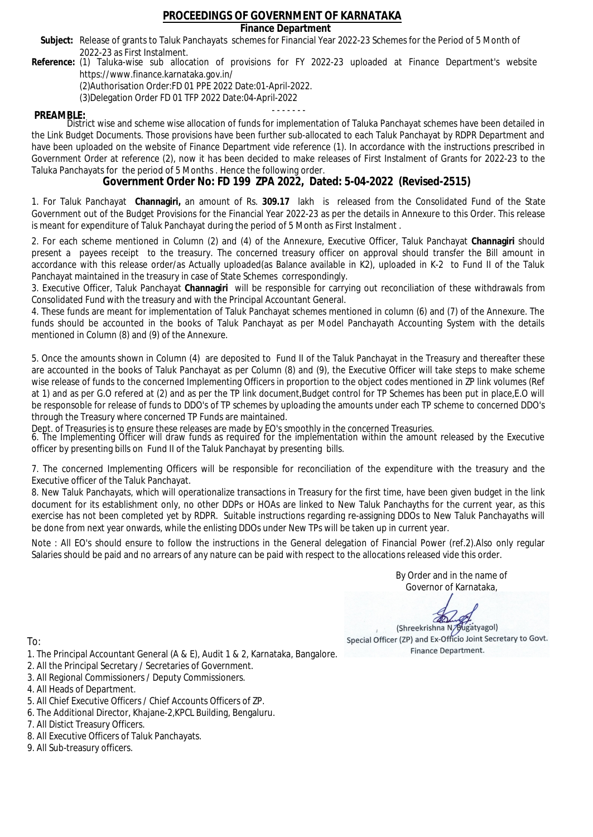**Finance Department**

- Subject: Release of grants to Taluk Panchayats schemes for Financial Year 2022-23 Schemes for the Period of 5 Month of 2022-23 as First Instalment.
- **Reference:** (1) Taluka-wise sub allocation of provisions for FY 2022-23 uploaded at Finance Department's website https://www.finance.karnataka.gov.in/

(2)Authorisation Order:FD 01 PPE 2022 Date:01-April-2022.

(3)Delegation Order FD 01 TFP 2022 Date:04-April-2022

- - - - - - - **PREAMBLE:** District wise and scheme wise allocation of funds for implementation of Taluka Panchayat schemes have been detailed in the Link Budget Documents. Those provisions have been further sub-allocated to each Taluk Panchayat by RDPR Department and have been uploaded on the website of Finance Department vide reference (1). In accordance with the instructions prescribed in Government Order at reference (2), now it has been decided to make releases of First Instalment of Grants for 2022-23 to the Taluka Panchayats for the period of 5 Months . Hence the following order.

**Government Order No: FD 199 ZPA 2022, Dated: 5-04-2022 (Revised-2515)**

1. For Taluk Panchayat **Channagiri,** an amount of Rs. **309.17** lakh is released from the Consolidated Fund of the State Government out of the Budget Provisions for the Financial Year 2022-23 as per the details in Annexure to this Order. This release is meant for expenditure of Taluk Panchayat during the period of 5 Month as First Instalment .

2. For each scheme mentioned in Column (2) and (4) of the Annexure, Executive Officer, Taluk Panchayat **Channagiri** should present a payees receipt to the treasury. The concerned treasury officer on approval should transfer the Bill amount in accordance with this release order/as Actually uploaded(as Balance available in K2), uploaded in K-2 to Fund II of the Taluk Panchayat maintained in the treasury in case of State Schemes correspondingly.

3. Executive Officer, Taluk Panchayat **Channagiri** will be responsible for carrying out reconciliation of these withdrawals from Consolidated Fund with the treasury and with the Principal Accountant General.

4. These funds are meant for implementation of Taluk Panchayat schemes mentioned in column (6) and (7) of the Annexure. The funds should be accounted in the books of Taluk Panchayat as per Model Panchayath Accounting System with the details mentioned in Column (8) and (9) of the Annexure.

5. Once the amounts shown in Column (4) are deposited to Fund II of the Taluk Panchayat in the Treasury and thereafter these are accounted in the books of Taluk Panchayat as per Column (8) and (9), the Executive Officer will take steps to make scheme wise release of funds to the concerned Implementing Officers in proportion to the object codes mentioned in ZP link volumes (Ref at 1) and as per G.O refered at (2) and as per the TP link document,Budget control for TP Schemes has been put in place,E.O will be responsoble for release of funds to DDO's of TP schemes by uploading the amounts under each TP scheme to concerned DDO's through the Treasury where concerned TP Funds are maintained.

Dept. of Treasuries is to ensure these releases are made by EO's smoothly in the concerned Treasuries.

6. The Implementing Officer will draw funds as required for the implementation within the amount released by the Executive officer by presenting bills on Fund II of the Taluk Panchayat by presenting bills.

7. The concerned Implementing Officers will be responsible for reconciliation of the expenditure with the treasury and the Executive officer of the Taluk Panchayat.

8. New Taluk Panchayats, which will operationalize transactions in Treasury for the first time, have been given budget in the link document for its establishment only, no other DDPs or HOAs are linked to New Taluk Panchayths for the current year, as this exercise has not been completed yet by RDPR. Suitable instructions regarding re-assigning DDOs to New Taluk Panchayaths will be done from next year onwards, while the enlisting DDOs under New TPs will be taken up in current year.

Note : All EO's should ensure to follow the instructions in the General delegation of Financial Power (ref.2).Also only regular Salaries should be paid and no arrears of any nature can be paid with respect to the allocations released vide this order.

> By Order and in the name of Governor of Karnataka,

**PD** 

(Shreekrishna N/Bugatyagol) Special Officer (ZP) and Ex-Officio Joint Secretary to Govt. Finance Department.

- 1. The Principal Accountant General (A & E), Audit 1 & 2, Karnataka, Bangalore.
- 2. All the Principal Secretary / Secretaries of Government.
- 3. All Regional Commissioners / Deputy Commissioners.
- 4. All Heads of Department.
- 5. All Chief Executive Officers / Chief Accounts Officers of ZP.
- 6. The Additional Director, Khajane-2,KPCL Building, Bengaluru.
- 7. All Distict Treasury Officers.
- 8. All Executive Officers of Taluk Panchayats.
- 9. All Sub-treasury officers.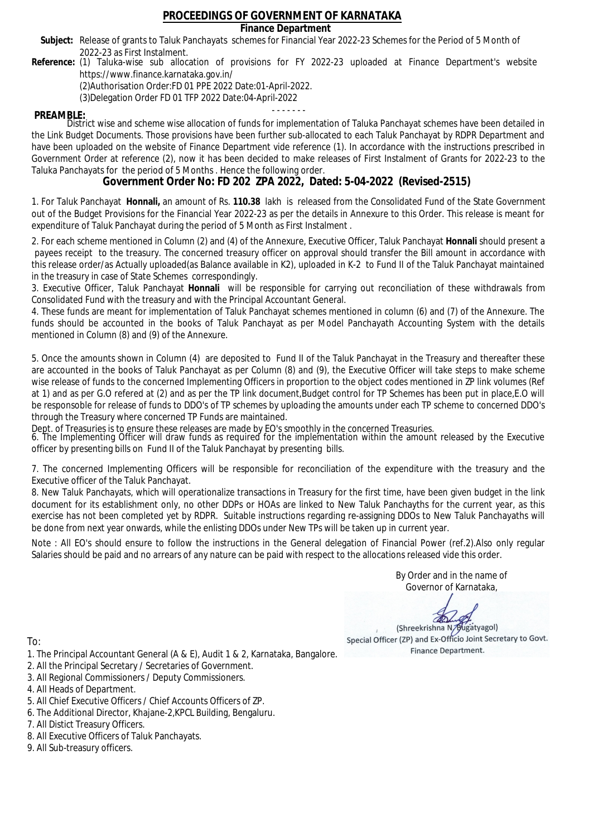### **Finance Department**

- Subject: Release of grants to Taluk Panchayats schemes for Financial Year 2022-23 Schemes for the Period of 5 Month of 2022-23 as First Instalment.
- **Reference:** (1) Taluka-wise sub allocation of provisions for FY 2022-23 uploaded at Finance Department's website https://www.finance.karnataka.gov.in/

(2)Authorisation Order:FD 01 PPE 2022 Date:01-April-2022.

(3)Delegation Order FD 01 TFP 2022 Date:04-April-2022

- - - - - - - **PREAMBLE:** District wise and scheme wise allocation of funds for implementation of Taluka Panchayat schemes have been detailed in the Link Budget Documents. Those provisions have been further sub-allocated to each Taluk Panchayat by RDPR Department and have been uploaded on the website of Finance Department vide reference (1). In accordance with the instructions prescribed in Government Order at reference (2), now it has been decided to make releases of First Instalment of Grants for 2022-23 to the Taluka Panchayats for the period of 5 Months . Hence the following order.

**Government Order No: FD 202 ZPA 2022, Dated: 5-04-2022 (Revised-2515)**

1. For Taluk Panchayat **Honnali,** an amount of Rs. **110.38** lakh is released from the Consolidated Fund of the State Government out of the Budget Provisions for the Financial Year 2022-23 as per the details in Annexure to this Order. This release is meant for expenditure of Taluk Panchayat during the period of 5 Month as First Instalment .

2. For each scheme mentioned in Column (2) and (4) of the Annexure, Executive Officer, Taluk Panchayat **Honnali** should present a payees receipt to the treasury. The concerned treasury officer on approval should transfer the Bill amount in accordance with this release order/as Actually uploaded(as Balance available in K2), uploaded in K-2 to Fund II of the Taluk Panchayat maintained in the treasury in case of State Schemes correspondingly.

3. Executive Officer, Taluk Panchayat **Honnali** will be responsible for carrying out reconciliation of these withdrawals from Consolidated Fund with the treasury and with the Principal Accountant General.

4. These funds are meant for implementation of Taluk Panchayat schemes mentioned in column (6) and (7) of the Annexure. The funds should be accounted in the books of Taluk Panchayat as per Model Panchayath Accounting System with the details mentioned in Column (8) and (9) of the Annexure.

5. Once the amounts shown in Column (4) are deposited to Fund II of the Taluk Panchayat in the Treasury and thereafter these are accounted in the books of Taluk Panchayat as per Column (8) and (9), the Executive Officer will take steps to make scheme wise release of funds to the concerned Implementing Officers in proportion to the object codes mentioned in ZP link volumes (Ref at 1) and as per G.O refered at (2) and as per the TP link document,Budget control for TP Schemes has been put in place,E.O will be responsoble for release of funds to DDO's of TP schemes by uploading the amounts under each TP scheme to concerned DDO's through the Treasury where concerned TP Funds are maintained.

Dept. of Treasuries is to ensure these releases are made by EO's smoothly in the concerned Treasuries.

6. The Implementing Officer will draw funds as required for the implementation within the amount released by the Executive officer by presenting bills on Fund II of the Taluk Panchayat by presenting bills.

7. The concerned Implementing Officers will be responsible for reconciliation of the expenditure with the treasury and the Executive officer of the Taluk Panchayat.

8. New Taluk Panchayats, which will operationalize transactions in Treasury for the first time, have been given budget in the link document for its establishment only, no other DDPs or HOAs are linked to New Taluk Panchayths for the current year, as this exercise has not been completed yet by RDPR. Suitable instructions regarding re-assigning DDOs to New Taluk Panchayaths will be done from next year onwards, while the enlisting DDOs under New TPs will be taken up in current year.

Note : All EO's should ensure to follow the instructions in the General delegation of Financial Power (ref.2).Also only regular Salaries should be paid and no arrears of any nature can be paid with respect to the allocations released vide this order.

> By Order and in the name of Governor of Karnataka,

**PD** 

(Shreekrishna N/Bugatyagol) Special Officer (ZP) and Ex-Officio Joint Secretary to Govt. Finance Department.

- 1. The Principal Accountant General (A & E), Audit 1 & 2, Karnataka, Bangalore.
- 2. All the Principal Secretary / Secretaries of Government.
- 3. All Regional Commissioners / Deputy Commissioners.
- 4. All Heads of Department.
- 5. All Chief Executive Officers / Chief Accounts Officers of ZP.
- 6. The Additional Director, Khajane-2,KPCL Building, Bengaluru.
- 7. All Distict Treasury Officers.
- 8. All Executive Officers of Taluk Panchayats.
- 9. All Sub-treasury officers.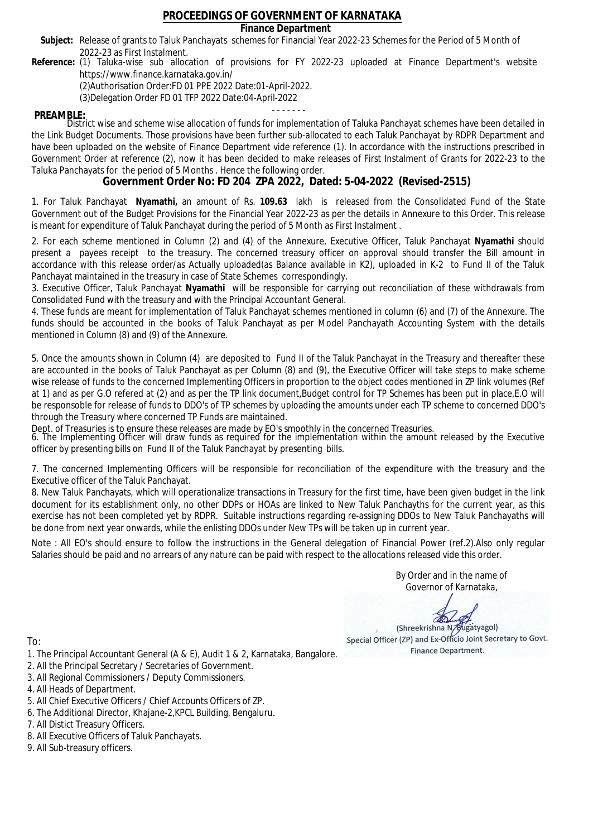### **Finance Department**

- Subject: Release of grants to Taluk Panchayats schemes for Financial Year 2022-23 Schemes for the Period of 5 Month of 2022-23 as First Instalment.
- **Reference:** (1) Taluka-wise sub allocation of provisions for FY 2022-23 uploaded at Finance Department's website https://www.finance.karnataka.gov.in/

(2)Authorisation Order:FD 01 PPE 2022 Date:01-April-2022.

(3)Delegation Order FD 01 TFP 2022 Date:04-April-2022

- - - - - - - **PREAMBLE:** District wise and scheme wise allocation of funds for implementation of Taluka Panchayat schemes have been detailed in the Link Budget Documents. Those provisions have been further sub-allocated to each Taluk Panchayat by RDPR Department and have been uploaded on the website of Finance Department vide reference (1). In accordance with the instructions prescribed in Government Order at reference (2), now it has been decided to make releases of First Instalment of Grants for 2022-23 to the Taluka Panchayats for the period of 5 Months . Hence the following order.

**Government Order No: FD 204 ZPA 2022, Dated: 5-04-2022 (Revised-2515)**

1. For Taluk Panchayat **Nyamathi,** an amount of Rs. **109.63** lakh is released from the Consolidated Fund of the State Government out of the Budget Provisions for the Financial Year 2022-23 as per the details in Annexure to this Order. This release is meant for expenditure of Taluk Panchayat during the period of 5 Month as First Instalment .

2. For each scheme mentioned in Column (2) and (4) of the Annexure, Executive Officer, Taluk Panchayat **Nyamathi** should present a payees receipt to the treasury. The concerned treasury officer on approval should transfer the Bill amount in accordance with this release order/as Actually uploaded(as Balance available in K2), uploaded in K-2 to Fund II of the Taluk Panchayat maintained in the treasury in case of State Schemes correspondingly.

3. Executive Officer, Taluk Panchayat **Nyamathi** will be responsible for carrying out reconciliation of these withdrawals from Consolidated Fund with the treasury and with the Principal Accountant General.

4. These funds are meant for implementation of Taluk Panchayat schemes mentioned in column (6) and (7) of the Annexure. The funds should be accounted in the books of Taluk Panchayat as per Model Panchayath Accounting System with the details mentioned in Column (8) and (9) of the Annexure.

5. Once the amounts shown in Column (4) are deposited to Fund II of the Taluk Panchayat in the Treasury and thereafter these are accounted in the books of Taluk Panchayat as per Column (8) and (9), the Executive Officer will take steps to make scheme wise release of funds to the concerned Implementing Officers in proportion to the object codes mentioned in ZP link volumes (Ref at 1) and as per G.O refered at (2) and as per the TP link document,Budget control for TP Schemes has been put in place,E.O will be responsoble for release of funds to DDO's of TP schemes by uploading the amounts under each TP scheme to concerned DDO's through the Treasury where concerned TP Funds are maintained.

Dept. of Treasuries is to ensure these releases are made by EO's smoothly in the concerned Treasuries.

6. The Implementing Officer will draw funds as required for the implementation within the amount released by the Executive officer by presenting bills on Fund II of the Taluk Panchayat by presenting bills.

7. The concerned Implementing Officers will be responsible for reconciliation of the expenditure with the treasury and the Executive officer of the Taluk Panchayat.

8. New Taluk Panchayats, which will operationalize transactions in Treasury for the first time, have been given budget in the link document for its establishment only, no other DDPs or HOAs are linked to New Taluk Panchayths for the current year, as this exercise has not been completed yet by RDPR. Suitable instructions regarding re-assigning DDOs to New Taluk Panchayaths will be done from next year onwards, while the enlisting DDOs under New TPs will be taken up in current year.

Note : All EO's should ensure to follow the instructions in the General delegation of Financial Power (ref.2).Also only regular Salaries should be paid and no arrears of any nature can be paid with respect to the allocations released vide this order.

> By Order and in the name of Governor of Karnataka,

**PD** 

(Shreekrishna N/Bugatyagol) Special Officer (ZP) and Ex-Officio Joint Secretary to Govt. Finance Department.

- 1. The Principal Accountant General (A & E), Audit 1 & 2, Karnataka, Bangalore.
- 2. All the Principal Secretary / Secretaries of Government.
- 3. All Regional Commissioners / Deputy Commissioners.
- 4. All Heads of Department.
- 5. All Chief Executive Officers / Chief Accounts Officers of ZP.
- 6. The Additional Director, Khajane-2,KPCL Building, Bengaluru.
- 7. All Distict Treasury Officers.
- 8. All Executive Officers of Taluk Panchayats.
- 9. All Sub-treasury officers.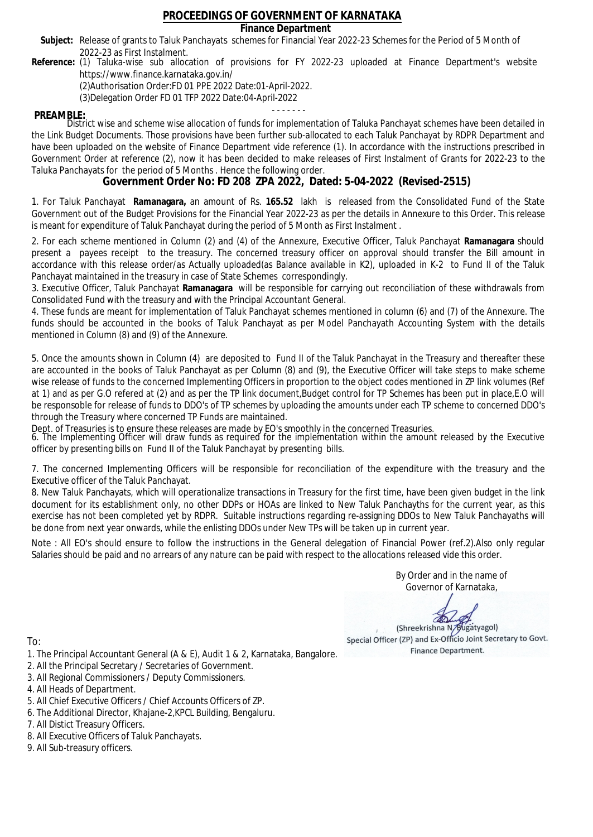### **Finance Department**

- Subject: Release of grants to Taluk Panchayats schemes for Financial Year 2022-23 Schemes for the Period of 5 Month of 2022-23 as First Instalment.
- **Reference:** (1) Taluka-wise sub allocation of provisions for FY 2022-23 uploaded at Finance Department's website https://www.finance.karnataka.gov.in/

(2)Authorisation Order:FD 01 PPE 2022 Date:01-April-2022.

(3)Delegation Order FD 01 TFP 2022 Date:04-April-2022

- - - - - - - **PREAMBLE:** District wise and scheme wise allocation of funds for implementation of Taluka Panchayat schemes have been detailed in the Link Budget Documents. Those provisions have been further sub-allocated to each Taluk Panchayat by RDPR Department and have been uploaded on the website of Finance Department vide reference (1). In accordance with the instructions prescribed in Government Order at reference (2), now it has been decided to make releases of First Instalment of Grants for 2022-23 to the Taluka Panchayats for the period of 5 Months . Hence the following order.

**Government Order No: FD 208 ZPA 2022, Dated: 5-04-2022 (Revised-2515)**

1. For Taluk Panchayat **Ramanagara,** an amount of Rs. **165.52** lakh is released from the Consolidated Fund of the State Government out of the Budget Provisions for the Financial Year 2022-23 as per the details in Annexure to this Order. This release is meant for expenditure of Taluk Panchayat during the period of 5 Month as First Instalment .

2. For each scheme mentioned in Column (2) and (4) of the Annexure, Executive Officer, Taluk Panchayat **Ramanagara** should present a payees receipt to the treasury. The concerned treasury officer on approval should transfer the Bill amount in accordance with this release order/as Actually uploaded(as Balance available in K2), uploaded in K-2 to Fund II of the Taluk Panchayat maintained in the treasury in case of State Schemes correspondingly.

3. Executive Officer, Taluk Panchayat **Ramanagara** will be responsible for carrying out reconciliation of these withdrawals from Consolidated Fund with the treasury and with the Principal Accountant General.

4. These funds are meant for implementation of Taluk Panchayat schemes mentioned in column (6) and (7) of the Annexure. The funds should be accounted in the books of Taluk Panchayat as per Model Panchayath Accounting System with the details mentioned in Column (8) and (9) of the Annexure.

5. Once the amounts shown in Column (4) are deposited to Fund II of the Taluk Panchayat in the Treasury and thereafter these are accounted in the books of Taluk Panchayat as per Column (8) and (9), the Executive Officer will take steps to make scheme wise release of funds to the concerned Implementing Officers in proportion to the object codes mentioned in ZP link volumes (Ref at 1) and as per G.O refered at (2) and as per the TP link document,Budget control for TP Schemes has been put in place,E.O will be responsoble for release of funds to DDO's of TP schemes by uploading the amounts under each TP scheme to concerned DDO's through the Treasury where concerned TP Funds are maintained.

Dept. of Treasuries is to ensure these releases are made by EO's smoothly in the concerned Treasuries.

6. The Implementing Officer will draw funds as required for the implementation within the amount released by the Executive officer by presenting bills on Fund II of the Taluk Panchayat by presenting bills.

7. The concerned Implementing Officers will be responsible for reconciliation of the expenditure with the treasury and the Executive officer of the Taluk Panchayat.

8. New Taluk Panchayats, which will operationalize transactions in Treasury for the first time, have been given budget in the link document for its establishment only, no other DDPs or HOAs are linked to New Taluk Panchayths for the current year, as this exercise has not been completed yet by RDPR. Suitable instructions regarding re-assigning DDOs to New Taluk Panchayaths will be done from next year onwards, while the enlisting DDOs under New TPs will be taken up in current year.

Note : All EO's should ensure to follow the instructions in the General delegation of Financial Power (ref.2).Also only regular Salaries should be paid and no arrears of any nature can be paid with respect to the allocations released vide this order.

> By Order and in the name of Governor of Karnataka,

**PD** 

(Shreekrishna N/Bugatyagol) Special Officer (ZP) and Ex-Officio Joint Secretary to Govt. Finance Department.

- 1. The Principal Accountant General (A & E), Audit 1 & 2, Karnataka, Bangalore.
- 2. All the Principal Secretary / Secretaries of Government.
- 3. All Regional Commissioners / Deputy Commissioners.
- 4. All Heads of Department.
- 5. All Chief Executive Officers / Chief Accounts Officers of ZP.
- 6. The Additional Director, Khajane-2,KPCL Building, Bengaluru.
- 7. All Distict Treasury Officers.
- 8. All Executive Officers of Taluk Panchayats.
- 9. All Sub-treasury officers.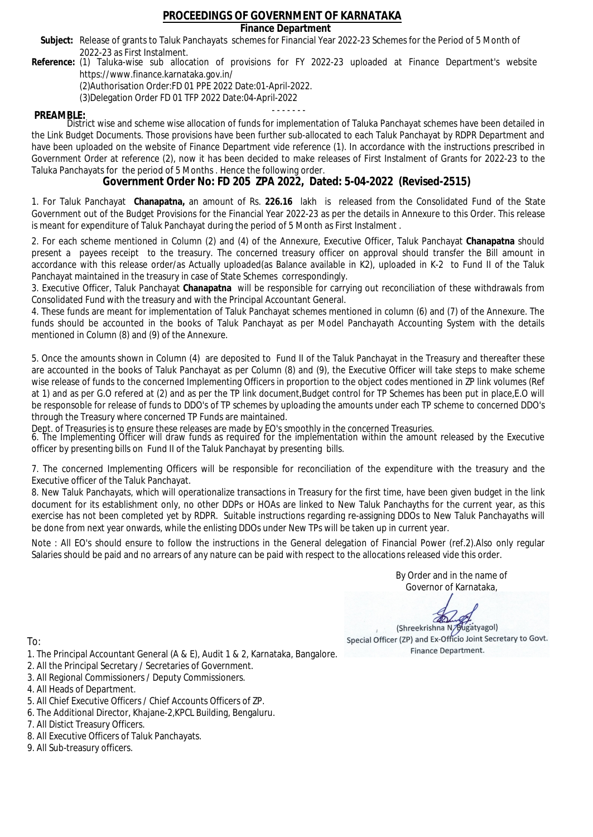### **Finance Department**

- Subject: Release of grants to Taluk Panchayats schemes for Financial Year 2022-23 Schemes for the Period of 5 Month of 2022-23 as First Instalment.
- **Reference:** (1) Taluka-wise sub allocation of provisions for FY 2022-23 uploaded at Finance Department's website https://www.finance.karnataka.gov.in/

(2)Authorisation Order:FD 01 PPE 2022 Date:01-April-2022.

(3)Delegation Order FD 01 TFP 2022 Date:04-April-2022

- - - - - - - **PREAMBLE:** District wise and scheme wise allocation of funds for implementation of Taluka Panchayat schemes have been detailed in the Link Budget Documents. Those provisions have been further sub-allocated to each Taluk Panchayat by RDPR Department and have been uploaded on the website of Finance Department vide reference (1). In accordance with the instructions prescribed in Government Order at reference (2), now it has been decided to make releases of First Instalment of Grants for 2022-23 to the Taluka Panchayats for the period of 5 Months . Hence the following order.

**Government Order No: FD 205 ZPA 2022, Dated: 5-04-2022 (Revised-2515)**

1. For Taluk Panchayat **Chanapatna,** an amount of Rs. **226.16** lakh is released from the Consolidated Fund of the State Government out of the Budget Provisions for the Financial Year 2022-23 as per the details in Annexure to this Order. This release is meant for expenditure of Taluk Panchayat during the period of 5 Month as First Instalment .

2. For each scheme mentioned in Column (2) and (4) of the Annexure, Executive Officer, Taluk Panchayat **Chanapatna** should present a payees receipt to the treasury. The concerned treasury officer on approval should transfer the Bill amount in accordance with this release order/as Actually uploaded(as Balance available in K2), uploaded in K-2 to Fund II of the Taluk Panchayat maintained in the treasury in case of State Schemes correspondingly.

3. Executive Officer, Taluk Panchayat **Chanapatna** will be responsible for carrying out reconciliation of these withdrawals from Consolidated Fund with the treasury and with the Principal Accountant General.

4. These funds are meant for implementation of Taluk Panchayat schemes mentioned in column (6) and (7) of the Annexure. The funds should be accounted in the books of Taluk Panchayat as per Model Panchayath Accounting System with the details mentioned in Column (8) and (9) of the Annexure.

5. Once the amounts shown in Column (4) are deposited to Fund II of the Taluk Panchayat in the Treasury and thereafter these are accounted in the books of Taluk Panchayat as per Column (8) and (9), the Executive Officer will take steps to make scheme wise release of funds to the concerned Implementing Officers in proportion to the object codes mentioned in ZP link volumes (Ref at 1) and as per G.O refered at (2) and as per the TP link document,Budget control for TP Schemes has been put in place,E.O will be responsoble for release of funds to DDO's of TP schemes by uploading the amounts under each TP scheme to concerned DDO's through the Treasury where concerned TP Funds are maintained.

Dept. of Treasuries is to ensure these releases are made by EO's smoothly in the concerned Treasuries.

6. The Implementing Officer will draw funds as required for the implementation within the amount released by the Executive officer by presenting bills on Fund II of the Taluk Panchayat by presenting bills.

7. The concerned Implementing Officers will be responsible for reconciliation of the expenditure with the treasury and the Executive officer of the Taluk Panchayat.

8. New Taluk Panchayats, which will operationalize transactions in Treasury for the first time, have been given budget in the link document for its establishment only, no other DDPs or HOAs are linked to New Taluk Panchayths for the current year, as this exercise has not been completed yet by RDPR. Suitable instructions regarding re-assigning DDOs to New Taluk Panchayaths will be done from next year onwards, while the enlisting DDOs under New TPs will be taken up in current year.

Note : All EO's should ensure to follow the instructions in the General delegation of Financial Power (ref.2).Also only regular Salaries should be paid and no arrears of any nature can be paid with respect to the allocations released vide this order.

> By Order and in the name of Governor of Karnataka,

**PD** 

(Shreekrishna N/Bugatyagol) Special Officer (ZP) and Ex-Officio Joint Secretary to Govt. Finance Department.

- 1. The Principal Accountant General (A & E), Audit 1 & 2, Karnataka, Bangalore.
- 2. All the Principal Secretary / Secretaries of Government.
- 3. All Regional Commissioners / Deputy Commissioners.
- 4. All Heads of Department.
- 5. All Chief Executive Officers / Chief Accounts Officers of ZP.
- 6. The Additional Director, Khajane-2,KPCL Building, Bengaluru.
- 7. All Distict Treasury Officers.
- 8. All Executive Officers of Taluk Panchayats.
- 9. All Sub-treasury officers.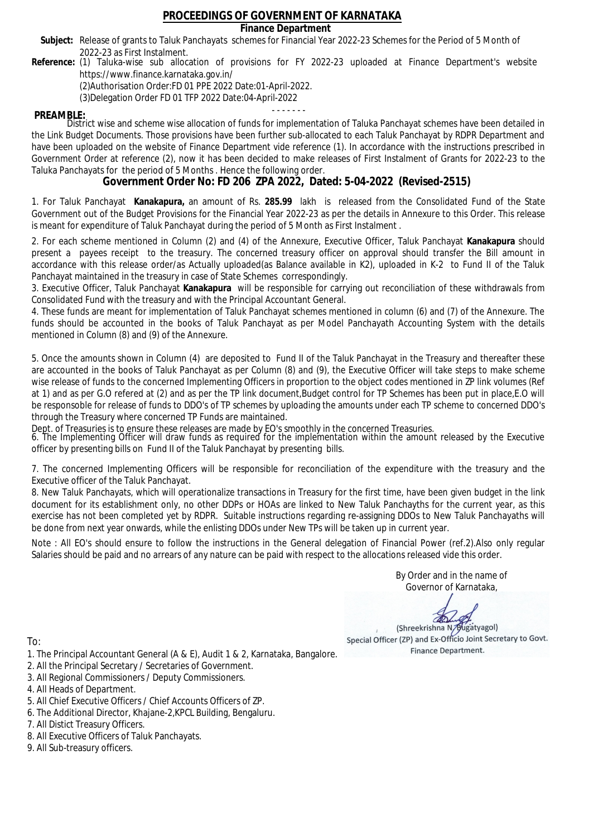### **Finance Department**

- Subject: Release of grants to Taluk Panchayats schemes for Financial Year 2022-23 Schemes for the Period of 5 Month of 2022-23 as First Instalment.
- **Reference:** (1) Taluka-wise sub allocation of provisions for FY 2022-23 uploaded at Finance Department's website https://www.finance.karnataka.gov.in/

(2)Authorisation Order:FD 01 PPE 2022 Date:01-April-2022.

(3)Delegation Order FD 01 TFP 2022 Date:04-April-2022

- - - - - - - **PREAMBLE:** District wise and scheme wise allocation of funds for implementation of Taluka Panchayat schemes have been detailed in the Link Budget Documents. Those provisions have been further sub-allocated to each Taluk Panchayat by RDPR Department and have been uploaded on the website of Finance Department vide reference (1). In accordance with the instructions prescribed in Government Order at reference (2), now it has been decided to make releases of First Instalment of Grants for 2022-23 to the Taluka Panchayats for the period of 5 Months . Hence the following order.

**Government Order No: FD 206 ZPA 2022, Dated: 5-04-2022 (Revised-2515)**

1. For Taluk Panchayat **Kanakapura,** an amount of Rs. **285.99** lakh is released from the Consolidated Fund of the State Government out of the Budget Provisions for the Financial Year 2022-23 as per the details in Annexure to this Order. This release is meant for expenditure of Taluk Panchayat during the period of 5 Month as First Instalment .

2. For each scheme mentioned in Column (2) and (4) of the Annexure, Executive Officer, Taluk Panchayat **Kanakapura** should present a payees receipt to the treasury. The concerned treasury officer on approval should transfer the Bill amount in accordance with this release order/as Actually uploaded(as Balance available in K2), uploaded in K-2 to Fund II of the Taluk Panchayat maintained in the treasury in case of State Schemes correspondingly.

3. Executive Officer, Taluk Panchayat **Kanakapura** will be responsible for carrying out reconciliation of these withdrawals from Consolidated Fund with the treasury and with the Principal Accountant General.

4. These funds are meant for implementation of Taluk Panchayat schemes mentioned in column (6) and (7) of the Annexure. The funds should be accounted in the books of Taluk Panchayat as per Model Panchayath Accounting System with the details mentioned in Column (8) and (9) of the Annexure.

5. Once the amounts shown in Column (4) are deposited to Fund II of the Taluk Panchayat in the Treasury and thereafter these are accounted in the books of Taluk Panchayat as per Column (8) and (9), the Executive Officer will take steps to make scheme wise release of funds to the concerned Implementing Officers in proportion to the object codes mentioned in ZP link volumes (Ref at 1) and as per G.O refered at (2) and as per the TP link document,Budget control for TP Schemes has been put in place,E.O will be responsoble for release of funds to DDO's of TP schemes by uploading the amounts under each TP scheme to concerned DDO's through the Treasury where concerned TP Funds are maintained.

Dept. of Treasuries is to ensure these releases are made by EO's smoothly in the concerned Treasuries.

6. The Implementing Officer will draw funds as required for the implementation within the amount released by the Executive officer by presenting bills on Fund II of the Taluk Panchayat by presenting bills.

7. The concerned Implementing Officers will be responsible for reconciliation of the expenditure with the treasury and the Executive officer of the Taluk Panchayat.

8. New Taluk Panchayats, which will operationalize transactions in Treasury for the first time, have been given budget in the link document for its establishment only, no other DDPs or HOAs are linked to New Taluk Panchayths for the current year, as this exercise has not been completed yet by RDPR. Suitable instructions regarding re-assigning DDOs to New Taluk Panchayaths will be done from next year onwards, while the enlisting DDOs under New TPs will be taken up in current year.

Note : All EO's should ensure to follow the instructions in the General delegation of Financial Power (ref.2).Also only regular Salaries should be paid and no arrears of any nature can be paid with respect to the allocations released vide this order.

> By Order and in the name of Governor of Karnataka,

**PD** 

(Shreekrishna N/Bugatyagol) Special Officer (ZP) and Ex-Officio Joint Secretary to Govt. Finance Department.

- 1. The Principal Accountant General (A & E), Audit 1 & 2, Karnataka, Bangalore.
- 2. All the Principal Secretary / Secretaries of Government.
- 3. All Regional Commissioners / Deputy Commissioners.
- 4. All Heads of Department.
- 5. All Chief Executive Officers / Chief Accounts Officers of ZP.
- 6. The Additional Director, Khajane-2,KPCL Building, Bengaluru.
- 7. All Distict Treasury Officers.
- 8. All Executive Officers of Taluk Panchayats.
- 9. All Sub-treasury officers.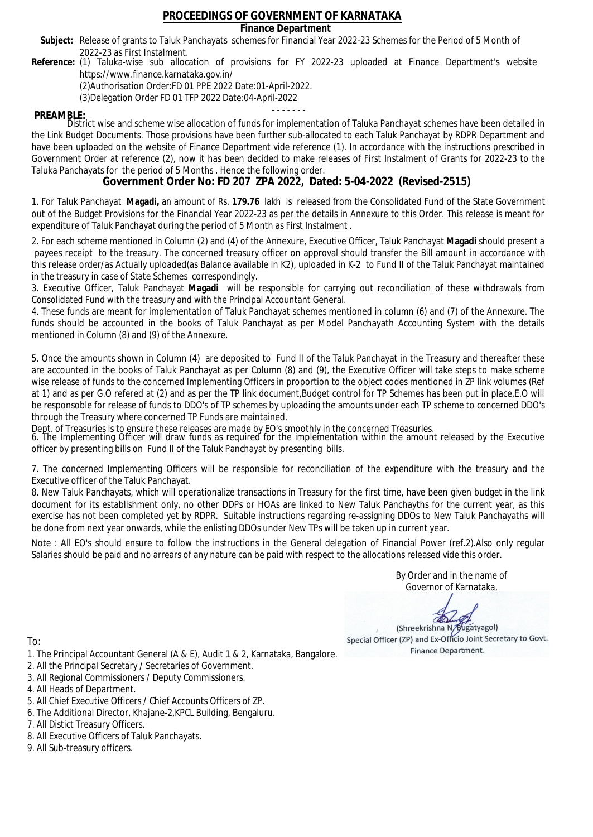### **Finance Department**

- Subject: Release of grants to Taluk Panchayats schemes for Financial Year 2022-23 Schemes for the Period of 5 Month of 2022-23 as First Instalment.
- **Reference:** (1) Taluka-wise sub allocation of provisions for FY 2022-23 uploaded at Finance Department's website https://www.finance.karnataka.gov.in/

(2)Authorisation Order:FD 01 PPE 2022 Date:01-April-2022.

(3)Delegation Order FD 01 TFP 2022 Date:04-April-2022

- - - - - - - **PREAMBLE:** District wise and scheme wise allocation of funds for implementation of Taluka Panchayat schemes have been detailed in the Link Budget Documents. Those provisions have been further sub-allocated to each Taluk Panchayat by RDPR Department and have been uploaded on the website of Finance Department vide reference (1). In accordance with the instructions prescribed in Government Order at reference (2), now it has been decided to make releases of First Instalment of Grants for 2022-23 to the Taluka Panchayats for the period of 5 Months . Hence the following order.

**Government Order No: FD 207 ZPA 2022, Dated: 5-04-2022 (Revised-2515)**

1. For Taluk Panchayat **Magadi,** an amount of Rs. **179.76** lakh is released from the Consolidated Fund of the State Government out of the Budget Provisions for the Financial Year 2022-23 as per the details in Annexure to this Order. This release is meant for expenditure of Taluk Panchayat during the period of 5 Month as First Instalment .

2. For each scheme mentioned in Column (2) and (4) of the Annexure, Executive Officer, Taluk Panchayat **Magadi** should present a payees receipt to the treasury. The concerned treasury officer on approval should transfer the Bill amount in accordance with this release order/as Actually uploaded(as Balance available in K2), uploaded in K-2 to Fund II of the Taluk Panchayat maintained in the treasury in case of State Schemes correspondingly.

3. Executive Officer, Taluk Panchayat **Magadi** will be responsible for carrying out reconciliation of these withdrawals from Consolidated Fund with the treasury and with the Principal Accountant General.

4. These funds are meant for implementation of Taluk Panchayat schemes mentioned in column (6) and (7) of the Annexure. The funds should be accounted in the books of Taluk Panchayat as per Model Panchayath Accounting System with the details mentioned in Column (8) and (9) of the Annexure.

5. Once the amounts shown in Column (4) are deposited to Fund II of the Taluk Panchayat in the Treasury and thereafter these are accounted in the books of Taluk Panchayat as per Column (8) and (9), the Executive Officer will take steps to make scheme wise release of funds to the concerned Implementing Officers in proportion to the object codes mentioned in ZP link volumes (Ref at 1) and as per G.O refered at (2) and as per the TP link document,Budget control for TP Schemes has been put in place,E.O will be responsoble for release of funds to DDO's of TP schemes by uploading the amounts under each TP scheme to concerned DDO's through the Treasury where concerned TP Funds are maintained.

Dept. of Treasuries is to ensure these releases are made by EO's smoothly in the concerned Treasuries.

6. The Implementing Officer will draw funds as required for the implementation within the amount released by the Executive officer by presenting bills on Fund II of the Taluk Panchayat by presenting bills.

7. The concerned Implementing Officers will be responsible for reconciliation of the expenditure with the treasury and the Executive officer of the Taluk Panchayat.

8. New Taluk Panchayats, which will operationalize transactions in Treasury for the first time, have been given budget in the link document for its establishment only, no other DDPs or HOAs are linked to New Taluk Panchayths for the current year, as this exercise has not been completed yet by RDPR. Suitable instructions regarding re-assigning DDOs to New Taluk Panchayaths will be done from next year onwards, while the enlisting DDOs under New TPs will be taken up in current year.

Note : All EO's should ensure to follow the instructions in the General delegation of Financial Power (ref.2).Also only regular Salaries should be paid and no arrears of any nature can be paid with respect to the allocations released vide this order.

> By Order and in the name of Governor of Karnataka,

**PD** 

(Shreekrishna N/Bugatyagol) Special Officer (ZP) and Ex-Officio Joint Secretary to Govt. Finance Department.

- 1. The Principal Accountant General (A & E), Audit 1 & 2, Karnataka, Bangalore.
- 2. All the Principal Secretary / Secretaries of Government.
- 3. All Regional Commissioners / Deputy Commissioners.
- 4. All Heads of Department.
- 5. All Chief Executive Officers / Chief Accounts Officers of ZP.
- 6. The Additional Director, Khajane-2,KPCL Building, Bengaluru.
- 7. All Distict Treasury Officers.
- 8. All Executive Officers of Taluk Panchayats.
- 9. All Sub-treasury officers.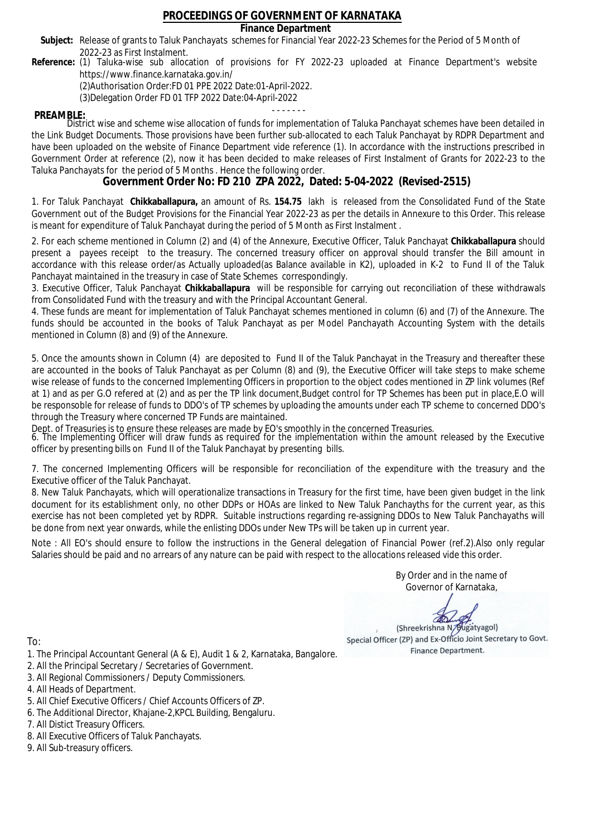### **Finance Department**

- Subject: Release of grants to Taluk Panchayats schemes for Financial Year 2022-23 Schemes for the Period of 5 Month of 2022-23 as First Instalment.
- **Reference:** (1) Taluka-wise sub allocation of provisions for FY 2022-23 uploaded at Finance Department's website https://www.finance.karnataka.gov.in/

(2)Authorisation Order:FD 01 PPE 2022 Date:01-April-2022.

(3)Delegation Order FD 01 TFP 2022 Date:04-April-2022

- - - - - - - **PREAMBLE:** District wise and scheme wise allocation of funds for implementation of Taluka Panchayat schemes have been detailed in the Link Budget Documents. Those provisions have been further sub-allocated to each Taluk Panchayat by RDPR Department and have been uploaded on the website of Finance Department vide reference (1). In accordance with the instructions prescribed in Government Order at reference (2), now it has been decided to make releases of First Instalment of Grants for 2022-23 to the Taluka Panchayats for the period of 5 Months . Hence the following order.

**Government Order No: FD 210 ZPA 2022, Dated: 5-04-2022 (Revised-2515)**

1. For Taluk Panchayat **Chikkaballapura,** an amount of Rs. **154.75** lakh is released from the Consolidated Fund of the State Government out of the Budget Provisions for the Financial Year 2022-23 as per the details in Annexure to this Order. This release is meant for expenditure of Taluk Panchayat during the period of 5 Month as First Instalment .

2. For each scheme mentioned in Column (2) and (4) of the Annexure, Executive Officer, Taluk Panchayat **Chikkaballapura** should present a payees receipt to the treasury. The concerned treasury officer on approval should transfer the Bill amount in accordance with this release order/as Actually uploaded(as Balance available in K2), uploaded in K-2 to Fund II of the Taluk Panchayat maintained in the treasury in case of State Schemes correspondingly.

3. Executive Officer, Taluk Panchayat **Chikkaballapura** will be responsible for carrying out reconciliation of these withdrawals from Consolidated Fund with the treasury and with the Principal Accountant General.

4. These funds are meant for implementation of Taluk Panchayat schemes mentioned in column (6) and (7) of the Annexure. The funds should be accounted in the books of Taluk Panchayat as per Model Panchayath Accounting System with the details mentioned in Column (8) and (9) of the Annexure.

5. Once the amounts shown in Column (4) are deposited to Fund II of the Taluk Panchayat in the Treasury and thereafter these are accounted in the books of Taluk Panchayat as per Column (8) and (9), the Executive Officer will take steps to make scheme wise release of funds to the concerned Implementing Officers in proportion to the object codes mentioned in ZP link volumes (Ref at 1) and as per G.O refered at (2) and as per the TP link document,Budget control for TP Schemes has been put in place,E.O will be responsoble for release of funds to DDO's of TP schemes by uploading the amounts under each TP scheme to concerned DDO's through the Treasury where concerned TP Funds are maintained.

Dept. of Treasuries is to ensure these releases are made by EO's smoothly in the concerned Treasuries.

6. The Implementing Officer will draw funds as required for the implementation within the amount released by the Executive officer by presenting bills on Fund II of the Taluk Panchayat by presenting bills.

7. The concerned Implementing Officers will be responsible for reconciliation of the expenditure with the treasury and the Executive officer of the Taluk Panchayat.

8. New Taluk Panchayats, which will operationalize transactions in Treasury for the first time, have been given budget in the link document for its establishment only, no other DDPs or HOAs are linked to New Taluk Panchayths for the current year, as this exercise has not been completed yet by RDPR. Suitable instructions regarding re-assigning DDOs to New Taluk Panchayaths will be done from next year onwards, while the enlisting DDOs under New TPs will be taken up in current year.

Note : All EO's should ensure to follow the instructions in the General delegation of Financial Power (ref.2).Also only regular Salaries should be paid and no arrears of any nature can be paid with respect to the allocations released vide this order.

> By Order and in the name of Governor of Karnataka,

**PD** 

(Shreekrishna N/Bugatyagol) Special Officer (ZP) and Ex-Officio Joint Secretary to Govt. Finance Department.

- 1. The Principal Accountant General (A & E), Audit 1 & 2, Karnataka, Bangalore.
- 2. All the Principal Secretary / Secretaries of Government.
- 3. All Regional Commissioners / Deputy Commissioners.
- 4. All Heads of Department.
- 5. All Chief Executive Officers / Chief Accounts Officers of ZP.
- 6. The Additional Director, Khajane-2,KPCL Building, Bengaluru.
- 7. All Distict Treasury Officers.
- 8. All Executive Officers of Taluk Panchayats.
- 9. All Sub-treasury officers.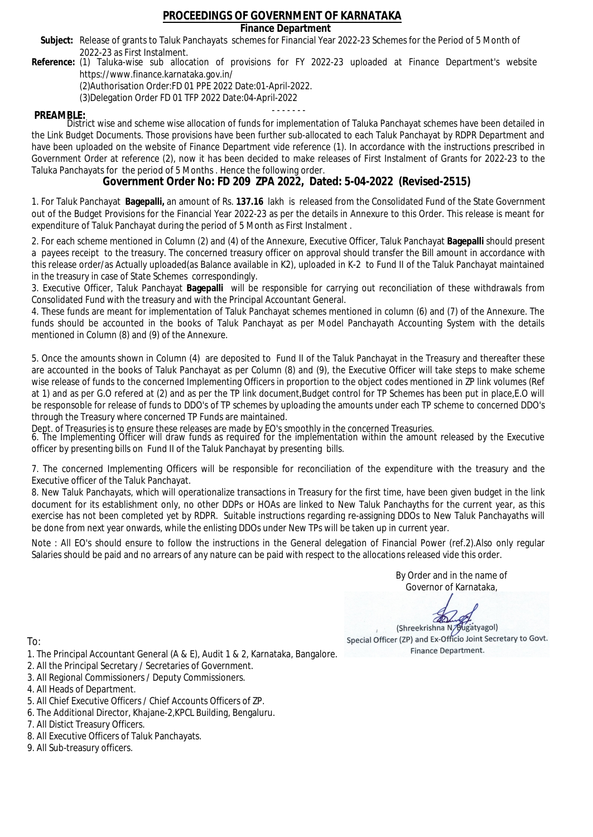### **Finance Department**

- Subject: Release of grants to Taluk Panchayats schemes for Financial Year 2022-23 Schemes for the Period of 5 Month of 2022-23 as First Instalment.
- **Reference:** (1) Taluka-wise sub allocation of provisions for FY 2022-23 uploaded at Finance Department's website https://www.finance.karnataka.gov.in/

(2)Authorisation Order:FD 01 PPE 2022 Date:01-April-2022.

(3)Delegation Order FD 01 TFP 2022 Date:04-April-2022

- - - - - - - **PREAMBLE:** District wise and scheme wise allocation of funds for implementation of Taluka Panchayat schemes have been detailed in the Link Budget Documents. Those provisions have been further sub-allocated to each Taluk Panchayat by RDPR Department and have been uploaded on the website of Finance Department vide reference (1). In accordance with the instructions prescribed in Government Order at reference (2), now it has been decided to make releases of First Instalment of Grants for 2022-23 to the Taluka Panchayats for the period of 5 Months . Hence the following order.

**Government Order No: FD 209 ZPA 2022, Dated: 5-04-2022 (Revised-2515)**

1. For Taluk Panchayat **Bagepalli,** an amount of Rs. **137.16** lakh is released from the Consolidated Fund of the State Government out of the Budget Provisions for the Financial Year 2022-23 as per the details in Annexure to this Order. This release is meant for expenditure of Taluk Panchayat during the period of 5 Month as First Instalment .

2. For each scheme mentioned in Column (2) and (4) of the Annexure, Executive Officer, Taluk Panchayat **Bagepalli** should present a payees receipt to the treasury. The concerned treasury officer on approval should transfer the Bill amount in accordance with this release order/as Actually uploaded(as Balance available in K2), uploaded in K-2 to Fund II of the Taluk Panchayat maintained in the treasury in case of State Schemes correspondingly.

3. Executive Officer, Taluk Panchayat **Bagepalli** will be responsible for carrying out reconciliation of these withdrawals from Consolidated Fund with the treasury and with the Principal Accountant General.

4. These funds are meant for implementation of Taluk Panchayat schemes mentioned in column (6) and (7) of the Annexure. The funds should be accounted in the books of Taluk Panchayat as per Model Panchayath Accounting System with the details mentioned in Column (8) and (9) of the Annexure.

5. Once the amounts shown in Column (4) are deposited to Fund II of the Taluk Panchayat in the Treasury and thereafter these are accounted in the books of Taluk Panchayat as per Column (8) and (9), the Executive Officer will take steps to make scheme wise release of funds to the concerned Implementing Officers in proportion to the object codes mentioned in ZP link volumes (Ref at 1) and as per G.O refered at (2) and as per the TP link document,Budget control for TP Schemes has been put in place,E.O will be responsoble for release of funds to DDO's of TP schemes by uploading the amounts under each TP scheme to concerned DDO's through the Treasury where concerned TP Funds are maintained.

Dept. of Treasuries is to ensure these releases are made by EO's smoothly in the concerned Treasuries.

6. The Implementing Officer will draw funds as required for the implementation within the amount released by the Executive officer by presenting bills on Fund II of the Taluk Panchayat by presenting bills.

7. The concerned Implementing Officers will be responsible for reconciliation of the expenditure with the treasury and the Executive officer of the Taluk Panchayat.

8. New Taluk Panchayats, which will operationalize transactions in Treasury for the first time, have been given budget in the link document for its establishment only, no other DDPs or HOAs are linked to New Taluk Panchayths for the current year, as this exercise has not been completed yet by RDPR. Suitable instructions regarding re-assigning DDOs to New Taluk Panchayaths will be done from next year onwards, while the enlisting DDOs under New TPs will be taken up in current year.

Note : All EO's should ensure to follow the instructions in the General delegation of Financial Power (ref.2).Also only regular Salaries should be paid and no arrears of any nature can be paid with respect to the allocations released vide this order.

> By Order and in the name of Governor of Karnataka,

**PD** 

(Shreekrishna N/Bugatyagol) Special Officer (ZP) and Ex-Officio Joint Secretary to Govt. Finance Department.

To:

- 1. The Principal Accountant General (A & E), Audit 1 & 2, Karnataka, Bangalore.
- 2. All the Principal Secretary / Secretaries of Government.
- 3. All Regional Commissioners / Deputy Commissioners.
- 4. All Heads of Department.
- 5. All Chief Executive Officers / Chief Accounts Officers of ZP.
- 6. The Additional Director, Khajane-2,KPCL Building, Bengaluru.

7. All Distict Treasury Officers.

- 8. All Executive Officers of Taluk Panchayats.
- 9. All Sub-treasury officers.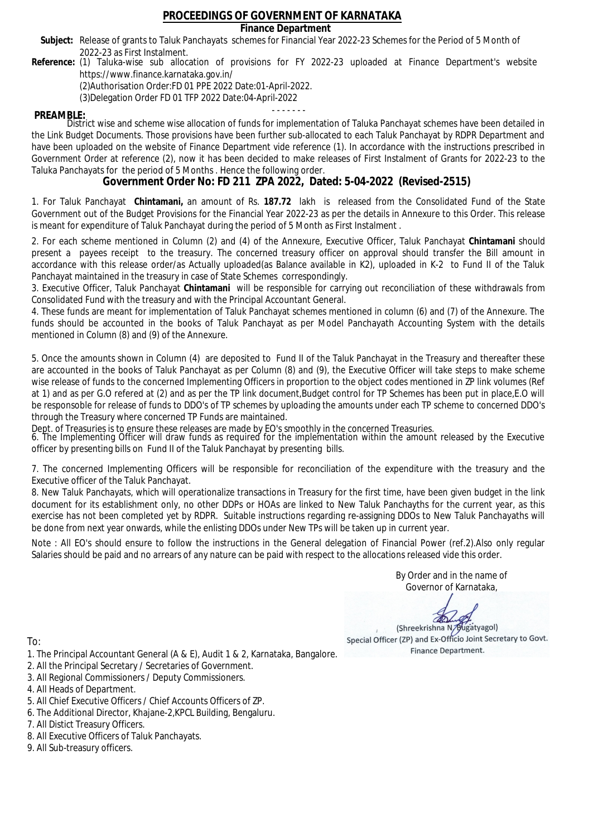### **Finance Department**

- Subject: Release of grants to Taluk Panchayats schemes for Financial Year 2022-23 Schemes for the Period of 5 Month of 2022-23 as First Instalment.
- **Reference:** (1) Taluka-wise sub allocation of provisions for FY 2022-23 uploaded at Finance Department's website https://www.finance.karnataka.gov.in/

(2)Authorisation Order:FD 01 PPE 2022 Date:01-April-2022.

(3)Delegation Order FD 01 TFP 2022 Date:04-April-2022

- - - - - - - **PREAMBLE:** District wise and scheme wise allocation of funds for implementation of Taluka Panchayat schemes have been detailed in the Link Budget Documents. Those provisions have been further sub-allocated to each Taluk Panchayat by RDPR Department and have been uploaded on the website of Finance Department vide reference (1). In accordance with the instructions prescribed in Government Order at reference (2), now it has been decided to make releases of First Instalment of Grants for 2022-23 to the Taluka Panchayats for the period of 5 Months . Hence the following order.

**Government Order No: FD 211 ZPA 2022, Dated: 5-04-2022 (Revised-2515)**

1. For Taluk Panchayat **Chintamani,** an amount of Rs. **187.72** lakh is released from the Consolidated Fund of the State Government out of the Budget Provisions for the Financial Year 2022-23 as per the details in Annexure to this Order. This release is meant for expenditure of Taluk Panchayat during the period of 5 Month as First Instalment .

2. For each scheme mentioned in Column (2) and (4) of the Annexure, Executive Officer, Taluk Panchayat **Chintamani** should present a payees receipt to the treasury. The concerned treasury officer on approval should transfer the Bill amount in accordance with this release order/as Actually uploaded(as Balance available in K2), uploaded in K-2 to Fund II of the Taluk Panchayat maintained in the treasury in case of State Schemes correspondingly.

3. Executive Officer, Taluk Panchayat **Chintamani** will be responsible for carrying out reconciliation of these withdrawals from Consolidated Fund with the treasury and with the Principal Accountant General.

4. These funds are meant for implementation of Taluk Panchayat schemes mentioned in column (6) and (7) of the Annexure. The funds should be accounted in the books of Taluk Panchayat as per Model Panchayath Accounting System with the details mentioned in Column (8) and (9) of the Annexure.

5. Once the amounts shown in Column (4) are deposited to Fund II of the Taluk Panchayat in the Treasury and thereafter these are accounted in the books of Taluk Panchayat as per Column (8) and (9), the Executive Officer will take steps to make scheme wise release of funds to the concerned Implementing Officers in proportion to the object codes mentioned in ZP link volumes (Ref at 1) and as per G.O refered at (2) and as per the TP link document,Budget control for TP Schemes has been put in place,E.O will be responsoble for release of funds to DDO's of TP schemes by uploading the amounts under each TP scheme to concerned DDO's through the Treasury where concerned TP Funds are maintained.

Dept. of Treasuries is to ensure these releases are made by EO's smoothly in the concerned Treasuries.

6. The Implementing Officer will draw funds as required for the implementation within the amount released by the Executive officer by presenting bills on Fund II of the Taluk Panchayat by presenting bills.

7. The concerned Implementing Officers will be responsible for reconciliation of the expenditure with the treasury and the Executive officer of the Taluk Panchayat.

8. New Taluk Panchayats, which will operationalize transactions in Treasury for the first time, have been given budget in the link document for its establishment only, no other DDPs or HOAs are linked to New Taluk Panchayths for the current year, as this exercise has not been completed yet by RDPR. Suitable instructions regarding re-assigning DDOs to New Taluk Panchayaths will be done from next year onwards, while the enlisting DDOs under New TPs will be taken up in current year.

Note : All EO's should ensure to follow the instructions in the General delegation of Financial Power (ref.2).Also only regular Salaries should be paid and no arrears of any nature can be paid with respect to the allocations released vide this order.

> By Order and in the name of Governor of Karnataka,

**PD** 

(Shreekrishna N/Bugatyagol) Special Officer (ZP) and Ex-Officio Joint Secretary to Govt. Finance Department.

- 1. The Principal Accountant General (A & E), Audit 1 & 2, Karnataka, Bangalore.
- 2. All the Principal Secretary / Secretaries of Government.
- 3. All Regional Commissioners / Deputy Commissioners.
- 4. All Heads of Department.
- 5. All Chief Executive Officers / Chief Accounts Officers of ZP.
- 6. The Additional Director, Khajane-2,KPCL Building, Bengaluru.
- 7. All Distict Treasury Officers.
- 8. All Executive Officers of Taluk Panchayats.
- 9. All Sub-treasury officers.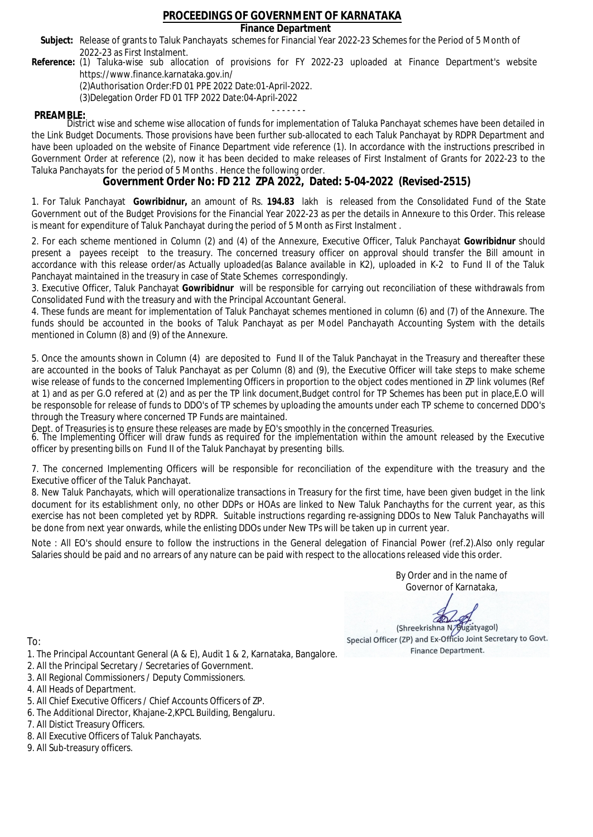### **Finance Department**

- Subject: Release of grants to Taluk Panchayats schemes for Financial Year 2022-23 Schemes for the Period of 5 Month of 2022-23 as First Instalment.
- **Reference:** (1) Taluka-wise sub allocation of provisions for FY 2022-23 uploaded at Finance Department's website https://www.finance.karnataka.gov.in/

(2)Authorisation Order:FD 01 PPE 2022 Date:01-April-2022.

(3)Delegation Order FD 01 TFP 2022 Date:04-April-2022

- - - - - - - **PREAMBLE:** District wise and scheme wise allocation of funds for implementation of Taluka Panchayat schemes have been detailed in the Link Budget Documents. Those provisions have been further sub-allocated to each Taluk Panchayat by RDPR Department and have been uploaded on the website of Finance Department vide reference (1). In accordance with the instructions prescribed in Government Order at reference (2), now it has been decided to make releases of First Instalment of Grants for 2022-23 to the Taluka Panchayats for the period of 5 Months . Hence the following order.

**Government Order No: FD 212 ZPA 2022, Dated: 5-04-2022 (Revised-2515)**

1. For Taluk Panchayat **Gowribidnur,** an amount of Rs. **194.83** lakh is released from the Consolidated Fund of the State Government out of the Budget Provisions for the Financial Year 2022-23 as per the details in Annexure to this Order. This release is meant for expenditure of Taluk Panchayat during the period of 5 Month as First Instalment .

2. For each scheme mentioned in Column (2) and (4) of the Annexure, Executive Officer, Taluk Panchayat **Gowribidnur** should present a payees receipt to the treasury. The concerned treasury officer on approval should transfer the Bill amount in accordance with this release order/as Actually uploaded(as Balance available in K2), uploaded in K-2 to Fund II of the Taluk Panchayat maintained in the treasury in case of State Schemes correspondingly.

3. Executive Officer, Taluk Panchayat **Gowribidnur** will be responsible for carrying out reconciliation of these withdrawals from Consolidated Fund with the treasury and with the Principal Accountant General.

4. These funds are meant for implementation of Taluk Panchayat schemes mentioned in column (6) and (7) of the Annexure. The funds should be accounted in the books of Taluk Panchayat as per Model Panchayath Accounting System with the details mentioned in Column (8) and (9) of the Annexure.

5. Once the amounts shown in Column (4) are deposited to Fund II of the Taluk Panchayat in the Treasury and thereafter these are accounted in the books of Taluk Panchayat as per Column (8) and (9), the Executive Officer will take steps to make scheme wise release of funds to the concerned Implementing Officers in proportion to the object codes mentioned in ZP link volumes (Ref at 1) and as per G.O refered at (2) and as per the TP link document,Budget control for TP Schemes has been put in place,E.O will be responsoble for release of funds to DDO's of TP schemes by uploading the amounts under each TP scheme to concerned DDO's through the Treasury where concerned TP Funds are maintained.

Dept. of Treasuries is to ensure these releases are made by EO's smoothly in the concerned Treasuries.

6. The Implementing Officer will draw funds as required for the implementation within the amount released by the Executive officer by presenting bills on Fund II of the Taluk Panchayat by presenting bills.

7. The concerned Implementing Officers will be responsible for reconciliation of the expenditure with the treasury and the Executive officer of the Taluk Panchayat.

8. New Taluk Panchayats, which will operationalize transactions in Treasury for the first time, have been given budget in the link document for its establishment only, no other DDPs or HOAs are linked to New Taluk Panchayths for the current year, as this exercise has not been completed yet by RDPR. Suitable instructions regarding re-assigning DDOs to New Taluk Panchayaths will be done from next year onwards, while the enlisting DDOs under New TPs will be taken up in current year.

Note : All EO's should ensure to follow the instructions in the General delegation of Financial Power (ref.2).Also only regular Salaries should be paid and no arrears of any nature can be paid with respect to the allocations released vide this order.

> By Order and in the name of Governor of Karnataka,

**PD** 

(Shreekrishna N/Bugatyagol) Special Officer (ZP) and Ex-Officio Joint Secretary to Govt. Finance Department.

- 1. The Principal Accountant General (A & E), Audit 1 & 2, Karnataka, Bangalore.
- 2. All the Principal Secretary / Secretaries of Government.
- 3. All Regional Commissioners / Deputy Commissioners.
- 4. All Heads of Department.
- 5. All Chief Executive Officers / Chief Accounts Officers of ZP.
- 6. The Additional Director, Khajane-2,KPCL Building, Bengaluru.
- 7. All Distict Treasury Officers.
- 8. All Executive Officers of Taluk Panchayats.
- 9. All Sub-treasury officers.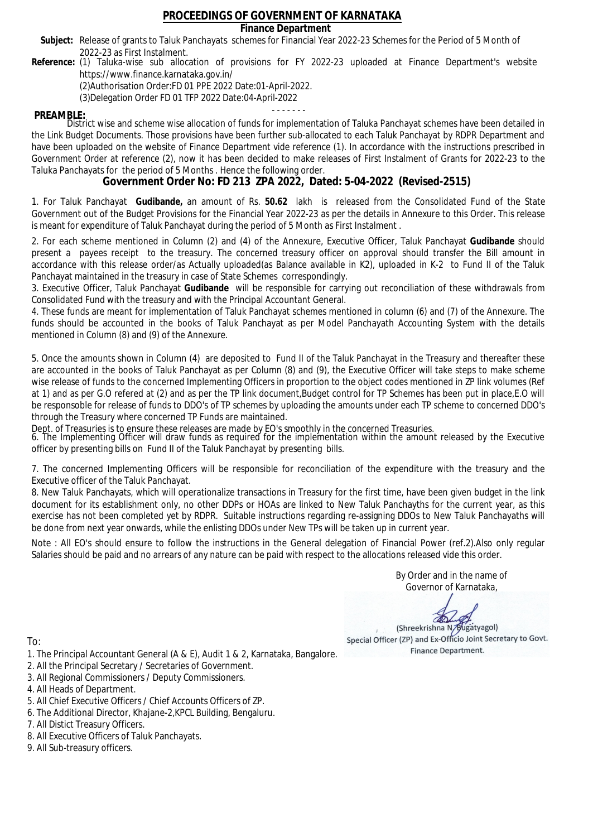### **Finance Department**

- Subject: Release of grants to Taluk Panchayats schemes for Financial Year 2022-23 Schemes for the Period of 5 Month of 2022-23 as First Instalment.
- **Reference:** (1) Taluka-wise sub allocation of provisions for FY 2022-23 uploaded at Finance Department's website https://www.finance.karnataka.gov.in/

(2)Authorisation Order:FD 01 PPE 2022 Date:01-April-2022.

(3)Delegation Order FD 01 TFP 2022 Date:04-April-2022

- - - - - - - **PREAMBLE:** District wise and scheme wise allocation of funds for implementation of Taluka Panchayat schemes have been detailed in the Link Budget Documents. Those provisions have been further sub-allocated to each Taluk Panchayat by RDPR Department and have been uploaded on the website of Finance Department vide reference (1). In accordance with the instructions prescribed in Government Order at reference (2), now it has been decided to make releases of First Instalment of Grants for 2022-23 to the Taluka Panchayats for the period of 5 Months . Hence the following order.

**Government Order No: FD 213 ZPA 2022, Dated: 5-04-2022 (Revised-2515)**

1. For Taluk Panchayat **Gudibande,** an amount of Rs. **50.62** lakh is released from the Consolidated Fund of the State Government out of the Budget Provisions for the Financial Year 2022-23 as per the details in Annexure to this Order. This release is meant for expenditure of Taluk Panchayat during the period of 5 Month as First Instalment .

2. For each scheme mentioned in Column (2) and (4) of the Annexure, Executive Officer, Taluk Panchayat **Gudibande** should present a payees receipt to the treasury. The concerned treasury officer on approval should transfer the Bill amount in accordance with this release order/as Actually uploaded(as Balance available in K2), uploaded in K-2 to Fund II of the Taluk Panchayat maintained in the treasury in case of State Schemes correspondingly.

3. Executive Officer, Taluk Panchayat **Gudibande** will be responsible for carrying out reconciliation of these withdrawals from Consolidated Fund with the treasury and with the Principal Accountant General.

4. These funds are meant for implementation of Taluk Panchayat schemes mentioned in column (6) and (7) of the Annexure. The funds should be accounted in the books of Taluk Panchayat as per Model Panchayath Accounting System with the details mentioned in Column (8) and (9) of the Annexure.

5. Once the amounts shown in Column (4) are deposited to Fund II of the Taluk Panchayat in the Treasury and thereafter these are accounted in the books of Taluk Panchayat as per Column (8) and (9), the Executive Officer will take steps to make scheme wise release of funds to the concerned Implementing Officers in proportion to the object codes mentioned in ZP link volumes (Ref at 1) and as per G.O refered at (2) and as per the TP link document,Budget control for TP Schemes has been put in place,E.O will be responsoble for release of funds to DDO's of TP schemes by uploading the amounts under each TP scheme to concerned DDO's through the Treasury where concerned TP Funds are maintained.

Dept. of Treasuries is to ensure these releases are made by EO's smoothly in the concerned Treasuries.

6. The Implementing Officer will draw funds as required for the implementation within the amount released by the Executive officer by presenting bills on Fund II of the Taluk Panchayat by presenting bills.

7. The concerned Implementing Officers will be responsible for reconciliation of the expenditure with the treasury and the Executive officer of the Taluk Panchayat.

8. New Taluk Panchayats, which will operationalize transactions in Treasury for the first time, have been given budget in the link document for its establishment only, no other DDPs or HOAs are linked to New Taluk Panchayths for the current year, as this exercise has not been completed yet by RDPR. Suitable instructions regarding re-assigning DDOs to New Taluk Panchayaths will be done from next year onwards, while the enlisting DDOs under New TPs will be taken up in current year.

Note : All EO's should ensure to follow the instructions in the General delegation of Financial Power (ref.2).Also only regular Salaries should be paid and no arrears of any nature can be paid with respect to the allocations released vide this order.

> By Order and in the name of Governor of Karnataka,

**PD** 

(Shreekrishna N/Bugatyagol) Special Officer (ZP) and Ex-Officio Joint Secretary to Govt. Finance Department.

- 1. The Principal Accountant General (A & E), Audit 1 & 2, Karnataka, Bangalore.
- 2. All the Principal Secretary / Secretaries of Government.
- 3. All Regional Commissioners / Deputy Commissioners.
- 4. All Heads of Department.
- 5. All Chief Executive Officers / Chief Accounts Officers of ZP.
- 6. The Additional Director, Khajane-2,KPCL Building, Bengaluru.
- 7. All Distict Treasury Officers.
- 8. All Executive Officers of Taluk Panchayats.
- 9. All Sub-treasury officers.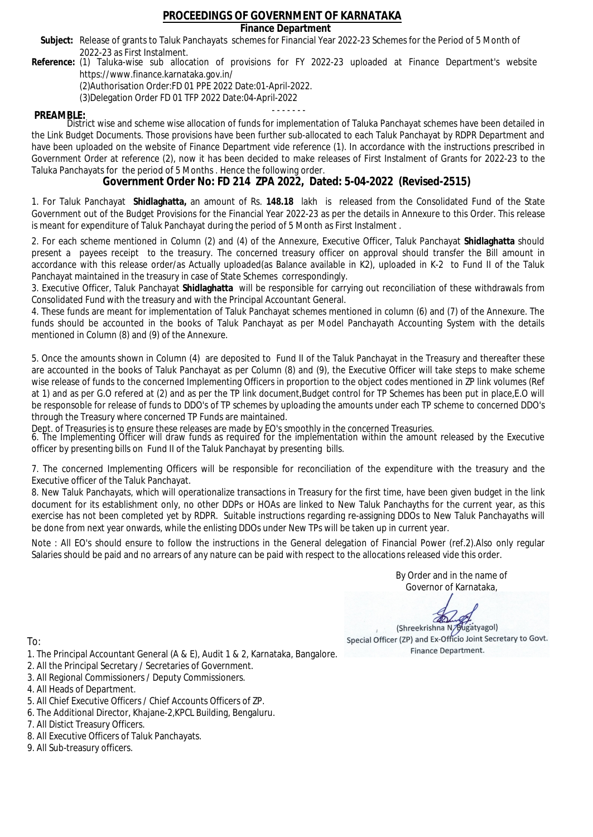### **Finance Department**

- Subject: Release of grants to Taluk Panchayats schemes for Financial Year 2022-23 Schemes for the Period of 5 Month of 2022-23 as First Instalment.
- **Reference:** (1) Taluka-wise sub allocation of provisions for FY 2022-23 uploaded at Finance Department's website https://www.finance.karnataka.gov.in/

(2)Authorisation Order:FD 01 PPE 2022 Date:01-April-2022.

(3)Delegation Order FD 01 TFP 2022 Date:04-April-2022

- - - - - - - **PREAMBLE:** District wise and scheme wise allocation of funds for implementation of Taluka Panchayat schemes have been detailed in the Link Budget Documents. Those provisions have been further sub-allocated to each Taluk Panchayat by RDPR Department and have been uploaded on the website of Finance Department vide reference (1). In accordance with the instructions prescribed in Government Order at reference (2), now it has been decided to make releases of First Instalment of Grants for 2022-23 to the Taluka Panchayats for the period of 5 Months . Hence the following order.

**Government Order No: FD 214 ZPA 2022, Dated: 5-04-2022 (Revised-2515)**

1. For Taluk Panchayat **Shidlaghatta,** an amount of Rs. **148.18** lakh is released from the Consolidated Fund of the State Government out of the Budget Provisions for the Financial Year 2022-23 as per the details in Annexure to this Order. This release is meant for expenditure of Taluk Panchayat during the period of 5 Month as First Instalment .

2. For each scheme mentioned in Column (2) and (4) of the Annexure, Executive Officer, Taluk Panchayat **Shidlaghatta** should present a payees receipt to the treasury. The concerned treasury officer on approval should transfer the Bill amount in accordance with this release order/as Actually uploaded(as Balance available in K2), uploaded in K-2 to Fund II of the Taluk Panchayat maintained in the treasury in case of State Schemes correspondingly.

3. Executive Officer, Taluk Panchayat **Shidlaghatta** will be responsible for carrying out reconciliation of these withdrawals from Consolidated Fund with the treasury and with the Principal Accountant General.

4. These funds are meant for implementation of Taluk Panchayat schemes mentioned in column (6) and (7) of the Annexure. The funds should be accounted in the books of Taluk Panchayat as per Model Panchayath Accounting System with the details mentioned in Column (8) and (9) of the Annexure.

5. Once the amounts shown in Column (4) are deposited to Fund II of the Taluk Panchayat in the Treasury and thereafter these are accounted in the books of Taluk Panchayat as per Column (8) and (9), the Executive Officer will take steps to make scheme wise release of funds to the concerned Implementing Officers in proportion to the object codes mentioned in ZP link volumes (Ref at 1) and as per G.O refered at (2) and as per the TP link document,Budget control for TP Schemes has been put in place,E.O will be responsoble for release of funds to DDO's of TP schemes by uploading the amounts under each TP scheme to concerned DDO's through the Treasury where concerned TP Funds are maintained.

Dept. of Treasuries is to ensure these releases are made by EO's smoothly in the concerned Treasuries.

6. The Implementing Officer will draw funds as required for the implementation within the amount released by the Executive officer by presenting bills on Fund II of the Taluk Panchayat by presenting bills.

7. The concerned Implementing Officers will be responsible for reconciliation of the expenditure with the treasury and the Executive officer of the Taluk Panchayat.

8. New Taluk Panchayats, which will operationalize transactions in Treasury for the first time, have been given budget in the link document for its establishment only, no other DDPs or HOAs are linked to New Taluk Panchayths for the current year, as this exercise has not been completed yet by RDPR. Suitable instructions regarding re-assigning DDOs to New Taluk Panchayaths will be done from next year onwards, while the enlisting DDOs under New TPs will be taken up in current year.

Note : All EO's should ensure to follow the instructions in the General delegation of Financial Power (ref.2).Also only regular Salaries should be paid and no arrears of any nature can be paid with respect to the allocations released vide this order.

> By Order and in the name of Governor of Karnataka,

**PD** 

(Shreekrishna N/Bugatyagol) Special Officer (ZP) and Ex-Officio Joint Secretary to Govt. Finance Department.

- 1. The Principal Accountant General (A & E), Audit 1 & 2, Karnataka, Bangalore.
- 2. All the Principal Secretary / Secretaries of Government.
- 3. All Regional Commissioners / Deputy Commissioners.
- 4. All Heads of Department.
- 5. All Chief Executive Officers / Chief Accounts Officers of ZP.
- 6. The Additional Director, Khajane-2,KPCL Building, Bengaluru.
- 7. All Distict Treasury Officers.
- 8. All Executive Officers of Taluk Panchayats.
- 9. All Sub-treasury officers.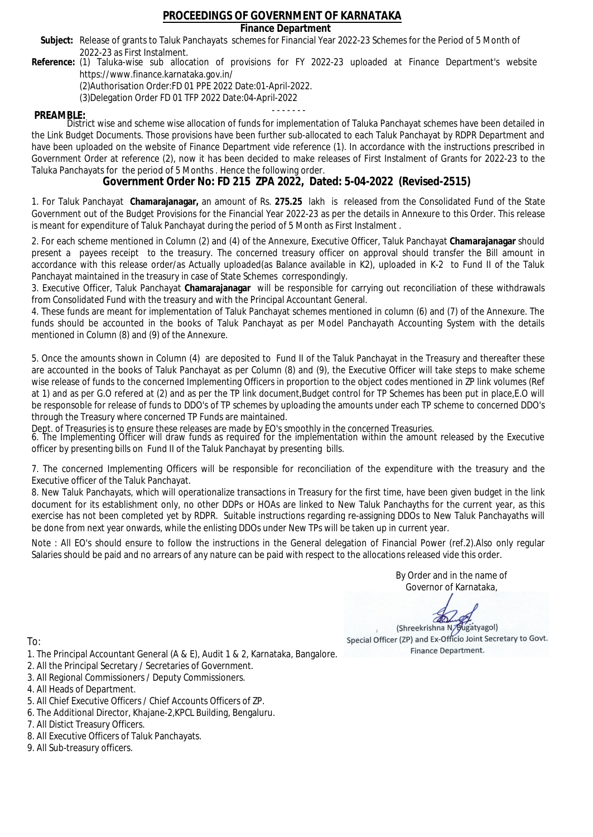### **Finance Department**

- Subject: Release of grants to Taluk Panchayats schemes for Financial Year 2022-23 Schemes for the Period of 5 Month of 2022-23 as First Instalment.
- **Reference:** (1) Taluka-wise sub allocation of provisions for FY 2022-23 uploaded at Finance Department's website https://www.finance.karnataka.gov.in/

(2)Authorisation Order:FD 01 PPE 2022 Date:01-April-2022.

(3)Delegation Order FD 01 TFP 2022 Date:04-April-2022

- - - - - - - **PREAMBLE:** District wise and scheme wise allocation of funds for implementation of Taluka Panchayat schemes have been detailed in the Link Budget Documents. Those provisions have been further sub-allocated to each Taluk Panchayat by RDPR Department and have been uploaded on the website of Finance Department vide reference (1). In accordance with the instructions prescribed in Government Order at reference (2), now it has been decided to make releases of First Instalment of Grants for 2022-23 to the Taluka Panchayats for the period of 5 Months . Hence the following order.

**Government Order No: FD 215 ZPA 2022, Dated: 5-04-2022 (Revised-2515)**

1. For Taluk Panchayat **Chamarajanagar,** an amount of Rs. **275.25** lakh is released from the Consolidated Fund of the State Government out of the Budget Provisions for the Financial Year 2022-23 as per the details in Annexure to this Order. This release is meant for expenditure of Taluk Panchayat during the period of 5 Month as First Instalment .

2. For each scheme mentioned in Column (2) and (4) of the Annexure, Executive Officer, Taluk Panchayat **Chamarajanagar** should present a payees receipt to the treasury. The concerned treasury officer on approval should transfer the Bill amount in accordance with this release order/as Actually uploaded(as Balance available in K2), uploaded in K-2 to Fund II of the Taluk Panchayat maintained in the treasury in case of State Schemes correspondingly.

3. Executive Officer, Taluk Panchayat **Chamarajanagar** will be responsible for carrying out reconciliation of these withdrawals from Consolidated Fund with the treasury and with the Principal Accountant General.

4. These funds are meant for implementation of Taluk Panchayat schemes mentioned in column (6) and (7) of the Annexure. The funds should be accounted in the books of Taluk Panchayat as per Model Panchayath Accounting System with the details mentioned in Column (8) and (9) of the Annexure.

5. Once the amounts shown in Column (4) are deposited to Fund II of the Taluk Panchayat in the Treasury and thereafter these are accounted in the books of Taluk Panchayat as per Column (8) and (9), the Executive Officer will take steps to make scheme wise release of funds to the concerned Implementing Officers in proportion to the object codes mentioned in ZP link volumes (Ref at 1) and as per G.O refered at (2) and as per the TP link document,Budget control for TP Schemes has been put in place,E.O will be responsoble for release of funds to DDO's of TP schemes by uploading the amounts under each TP scheme to concerned DDO's through the Treasury where concerned TP Funds are maintained.

Dept. of Treasuries is to ensure these releases are made by EO's smoothly in the concerned Treasuries.

6. The Implementing Officer will draw funds as required for the implementation within the amount released by the Executive officer by presenting bills on Fund II of the Taluk Panchayat by presenting bills.

7. The concerned Implementing Officers will be responsible for reconciliation of the expenditure with the treasury and the Executive officer of the Taluk Panchayat.

8. New Taluk Panchayats, which will operationalize transactions in Treasury for the first time, have been given budget in the link document for its establishment only, no other DDPs or HOAs are linked to New Taluk Panchayths for the current year, as this exercise has not been completed yet by RDPR. Suitable instructions regarding re-assigning DDOs to New Taluk Panchayaths will be done from next year onwards, while the enlisting DDOs under New TPs will be taken up in current year.

Note : All EO's should ensure to follow the instructions in the General delegation of Financial Power (ref.2).Also only regular Salaries should be paid and no arrears of any nature can be paid with respect to the allocations released vide this order.

> By Order and in the name of Governor of Karnataka,

**PD** 

(Shreekrishna N/Bugatyagol) Special Officer (ZP) and Ex-Officio Joint Secretary to Govt. Finance Department.

- 1. The Principal Accountant General (A & E), Audit 1 & 2, Karnataka, Bangalore.
- 2. All the Principal Secretary / Secretaries of Government.
- 3. All Regional Commissioners / Deputy Commissioners.
- 4. All Heads of Department.
- 5. All Chief Executive Officers / Chief Accounts Officers of ZP.
- 6. The Additional Director, Khajane-2,KPCL Building, Bengaluru.
- 7. All Distict Treasury Officers.
- 8. All Executive Officers of Taluk Panchayats.
- 9. All Sub-treasury officers.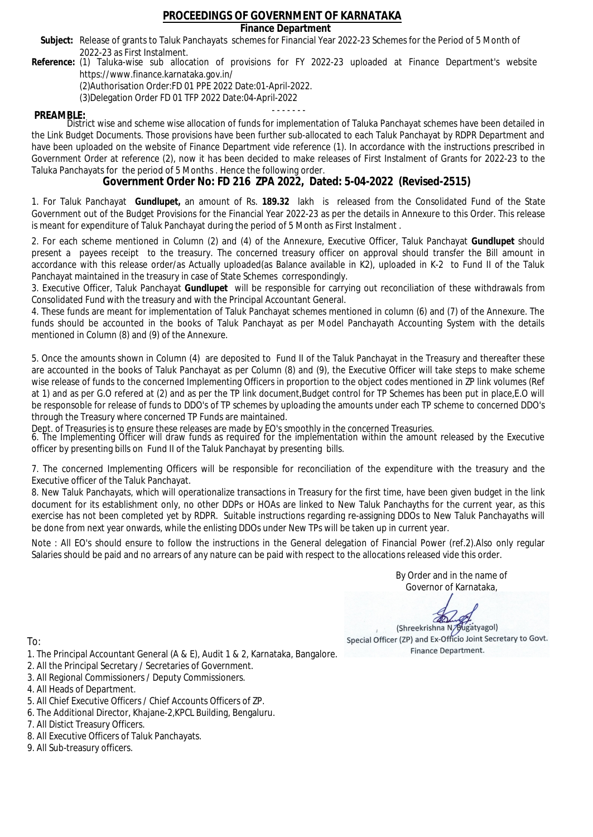### **Finance Department**

- Subject: Release of grants to Taluk Panchayats schemes for Financial Year 2022-23 Schemes for the Period of 5 Month of 2022-23 as First Instalment.
- **Reference:** (1) Taluka-wise sub allocation of provisions for FY 2022-23 uploaded at Finance Department's website https://www.finance.karnataka.gov.in/

(2)Authorisation Order:FD 01 PPE 2022 Date:01-April-2022.

(3)Delegation Order FD 01 TFP 2022 Date:04-April-2022

- - - - - - - **PREAMBLE:** District wise and scheme wise allocation of funds for implementation of Taluka Panchayat schemes have been detailed in the Link Budget Documents. Those provisions have been further sub-allocated to each Taluk Panchayat by RDPR Department and have been uploaded on the website of Finance Department vide reference (1). In accordance with the instructions prescribed in Government Order at reference (2), now it has been decided to make releases of First Instalment of Grants for 2022-23 to the Taluka Panchayats for the period of 5 Months . Hence the following order.

**Government Order No: FD 216 ZPA 2022, Dated: 5-04-2022 (Revised-2515)**

1. For Taluk Panchayat **Gundlupet,** an amount of Rs. **189.32** lakh is released from the Consolidated Fund of the State Government out of the Budget Provisions for the Financial Year 2022-23 as per the details in Annexure to this Order. This release is meant for expenditure of Taluk Panchayat during the period of 5 Month as First Instalment .

2. For each scheme mentioned in Column (2) and (4) of the Annexure, Executive Officer, Taluk Panchayat **Gundlupet** should present a payees receipt to the treasury. The concerned treasury officer on approval should transfer the Bill amount in accordance with this release order/as Actually uploaded(as Balance available in K2), uploaded in K-2 to Fund II of the Taluk Panchayat maintained in the treasury in case of State Schemes correspondingly.

3. Executive Officer, Taluk Panchayat **Gundlupet** will be responsible for carrying out reconciliation of these withdrawals from Consolidated Fund with the treasury and with the Principal Accountant General.

4. These funds are meant for implementation of Taluk Panchayat schemes mentioned in column (6) and (7) of the Annexure. The funds should be accounted in the books of Taluk Panchayat as per Model Panchayath Accounting System with the details mentioned in Column (8) and (9) of the Annexure.

5. Once the amounts shown in Column (4) are deposited to Fund II of the Taluk Panchayat in the Treasury and thereafter these are accounted in the books of Taluk Panchayat as per Column (8) and (9), the Executive Officer will take steps to make scheme wise release of funds to the concerned Implementing Officers in proportion to the object codes mentioned in ZP link volumes (Ref at 1) and as per G.O refered at (2) and as per the TP link document,Budget control for TP Schemes has been put in place,E.O will be responsoble for release of funds to DDO's of TP schemes by uploading the amounts under each TP scheme to concerned DDO's through the Treasury where concerned TP Funds are maintained.

Dept. of Treasuries is to ensure these releases are made by EO's smoothly in the concerned Treasuries.

6. The Implementing Officer will draw funds as required for the implementation within the amount released by the Executive officer by presenting bills on Fund II of the Taluk Panchayat by presenting bills.

7. The concerned Implementing Officers will be responsible for reconciliation of the expenditure with the treasury and the Executive officer of the Taluk Panchayat.

8. New Taluk Panchayats, which will operationalize transactions in Treasury for the first time, have been given budget in the link document for its establishment only, no other DDPs or HOAs are linked to New Taluk Panchayths for the current year, as this exercise has not been completed yet by RDPR. Suitable instructions regarding re-assigning DDOs to New Taluk Panchayaths will be done from next year onwards, while the enlisting DDOs under New TPs will be taken up in current year.

Note : All EO's should ensure to follow the instructions in the General delegation of Financial Power (ref.2).Also only regular Salaries should be paid and no arrears of any nature can be paid with respect to the allocations released vide this order.

> By Order and in the name of Governor of Karnataka,

**PD** 

(Shreekrishna N/Bugatyagol) Special Officer (ZP) and Ex-Officio Joint Secretary to Govt. Finance Department.

- 1. The Principal Accountant General (A & E), Audit 1 & 2, Karnataka, Bangalore.
- 2. All the Principal Secretary / Secretaries of Government.
- 3. All Regional Commissioners / Deputy Commissioners.
- 4. All Heads of Department.
- 5. All Chief Executive Officers / Chief Accounts Officers of ZP.
- 6. The Additional Director, Khajane-2,KPCL Building, Bengaluru.
- 7. All Distict Treasury Officers.
- 8. All Executive Officers of Taluk Panchayats.
- 9. All Sub-treasury officers.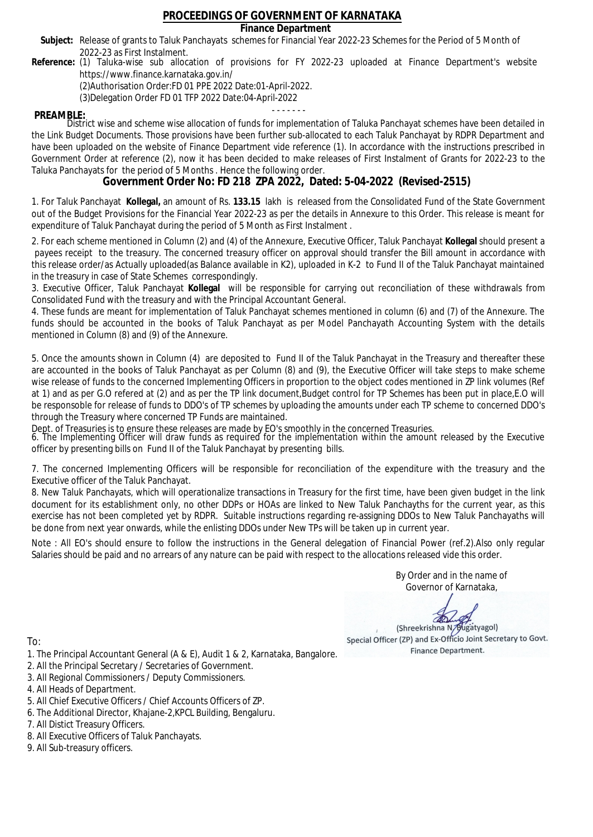### **Finance Department**

- Subject: Release of grants to Taluk Panchayats schemes for Financial Year 2022-23 Schemes for the Period of 5 Month of 2022-23 as First Instalment.
- **Reference:** (1) Taluka-wise sub allocation of provisions for FY 2022-23 uploaded at Finance Department's website https://www.finance.karnataka.gov.in/

(2)Authorisation Order:FD 01 PPE 2022 Date:01-April-2022.

(3)Delegation Order FD 01 TFP 2022 Date:04-April-2022

- - - - - - - **PREAMBLE:** District wise and scheme wise allocation of funds for implementation of Taluka Panchayat schemes have been detailed in the Link Budget Documents. Those provisions have been further sub-allocated to each Taluk Panchayat by RDPR Department and have been uploaded on the website of Finance Department vide reference (1). In accordance with the instructions prescribed in Government Order at reference (2), now it has been decided to make releases of First Instalment of Grants for 2022-23 to the Taluka Panchayats for the period of 5 Months . Hence the following order.

**Government Order No: FD 218 ZPA 2022, Dated: 5-04-2022 (Revised-2515)**

1. For Taluk Panchayat **Kollegal,** an amount of Rs. **133.15** lakh is released from the Consolidated Fund of the State Government out of the Budget Provisions for the Financial Year 2022-23 as per the details in Annexure to this Order. This release is meant for expenditure of Taluk Panchayat during the period of 5 Month as First Instalment .

2. For each scheme mentioned in Column (2) and (4) of the Annexure, Executive Officer, Taluk Panchayat **Kollegal** should present a payees receipt to the treasury. The concerned treasury officer on approval should transfer the Bill amount in accordance with this release order/as Actually uploaded(as Balance available in K2), uploaded in K-2 to Fund II of the Taluk Panchayat maintained in the treasury in case of State Schemes correspondingly.

3. Executive Officer, Taluk Panchayat **Kollegal** will be responsible for carrying out reconciliation of these withdrawals from Consolidated Fund with the treasury and with the Principal Accountant General.

4. These funds are meant for implementation of Taluk Panchayat schemes mentioned in column (6) and (7) of the Annexure. The funds should be accounted in the books of Taluk Panchayat as per Model Panchayath Accounting System with the details mentioned in Column (8) and (9) of the Annexure.

5. Once the amounts shown in Column (4) are deposited to Fund II of the Taluk Panchayat in the Treasury and thereafter these are accounted in the books of Taluk Panchayat as per Column (8) and (9), the Executive Officer will take steps to make scheme wise release of funds to the concerned Implementing Officers in proportion to the object codes mentioned in ZP link volumes (Ref at 1) and as per G.O refered at (2) and as per the TP link document,Budget control for TP Schemes has been put in place,E.O will be responsoble for release of funds to DDO's of TP schemes by uploading the amounts under each TP scheme to concerned DDO's through the Treasury where concerned TP Funds are maintained.

Dept. of Treasuries is to ensure these releases are made by EO's smoothly in the concerned Treasuries.

6. The Implementing Officer will draw funds as required for the implementation within the amount released by the Executive officer by presenting bills on Fund II of the Taluk Panchayat by presenting bills.

7. The concerned Implementing Officers will be responsible for reconciliation of the expenditure with the treasury and the Executive officer of the Taluk Panchayat.

8. New Taluk Panchayats, which will operationalize transactions in Treasury for the first time, have been given budget in the link document for its establishment only, no other DDPs or HOAs are linked to New Taluk Panchayths for the current year, as this exercise has not been completed yet by RDPR. Suitable instructions regarding re-assigning DDOs to New Taluk Panchayaths will be done from next year onwards, while the enlisting DDOs under New TPs will be taken up in current year.

Note : All EO's should ensure to follow the instructions in the General delegation of Financial Power (ref.2).Also only regular Salaries should be paid and no arrears of any nature can be paid with respect to the allocations released vide this order.

> By Order and in the name of Governor of Karnataka,

**PD** 

(Shreekrishna N/Bugatyagol) Special Officer (ZP) and Ex-Officio Joint Secretary to Govt. Finance Department.

- 1. The Principal Accountant General (A & E), Audit 1 & 2, Karnataka, Bangalore.
- 2. All the Principal Secretary / Secretaries of Government.
- 3. All Regional Commissioners / Deputy Commissioners.
- 4. All Heads of Department.
- 5. All Chief Executive Officers / Chief Accounts Officers of ZP.
- 6. The Additional Director, Khajane-2,KPCL Building, Bengaluru.
- 7. All Distict Treasury Officers.
- 8. All Executive Officers of Taluk Panchayats.
- 9. All Sub-treasury officers.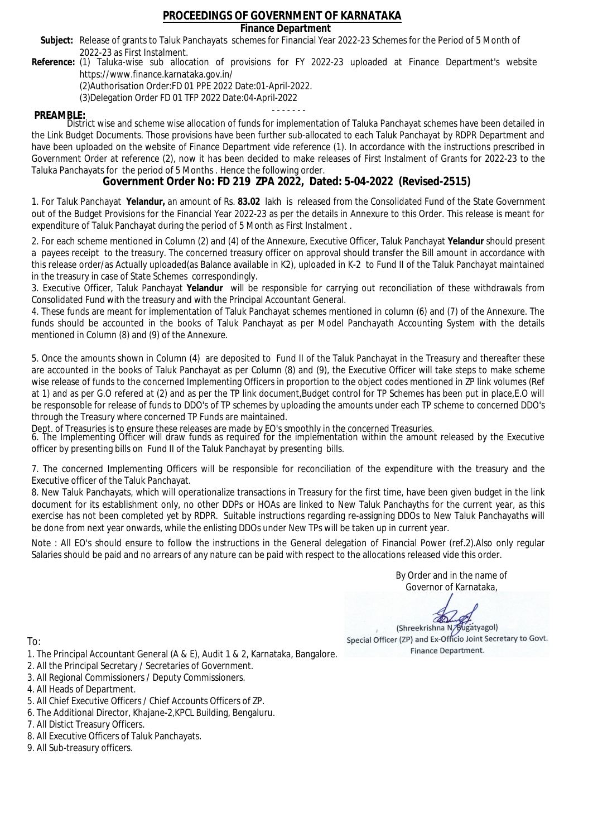### **Finance Department**

- Subject: Release of grants to Taluk Panchayats schemes for Financial Year 2022-23 Schemes for the Period of 5 Month of 2022-23 as First Instalment.
- **Reference:** (1) Taluka-wise sub allocation of provisions for FY 2022-23 uploaded at Finance Department's website https://www.finance.karnataka.gov.in/

(2)Authorisation Order:FD 01 PPE 2022 Date:01-April-2022.

(3)Delegation Order FD 01 TFP 2022 Date:04-April-2022

- - - - - - - **PREAMBLE:** District wise and scheme wise allocation of funds for implementation of Taluka Panchayat schemes have been detailed in the Link Budget Documents. Those provisions have been further sub-allocated to each Taluk Panchayat by RDPR Department and have been uploaded on the website of Finance Department vide reference (1). In accordance with the instructions prescribed in Government Order at reference (2), now it has been decided to make releases of First Instalment of Grants for 2022-23 to the Taluka Panchayats for the period of 5 Months . Hence the following order.

**Government Order No: FD 219 ZPA 2022, Dated: 5-04-2022 (Revised-2515)**

1. For Taluk Panchayat **Yelandur,** an amount of Rs. **83.02** lakh is released from the Consolidated Fund of the State Government out of the Budget Provisions for the Financial Year 2022-23 as per the details in Annexure to this Order. This release is meant for expenditure of Taluk Panchayat during the period of 5 Month as First Instalment .

2. For each scheme mentioned in Column (2) and (4) of the Annexure, Executive Officer, Taluk Panchayat **Yelandur** should present a payees receipt to the treasury. The concerned treasury officer on approval should transfer the Bill amount in accordance with this release order/as Actually uploaded(as Balance available in K2), uploaded in K-2 to Fund II of the Taluk Panchayat maintained in the treasury in case of State Schemes correspondingly.

3. Executive Officer, Taluk Panchayat **Yelandur** will be responsible for carrying out reconciliation of these withdrawals from Consolidated Fund with the treasury and with the Principal Accountant General.

4. These funds are meant for implementation of Taluk Panchayat schemes mentioned in column (6) and (7) of the Annexure. The funds should be accounted in the books of Taluk Panchayat as per Model Panchayath Accounting System with the details mentioned in Column (8) and (9) of the Annexure.

5. Once the amounts shown in Column (4) are deposited to Fund II of the Taluk Panchayat in the Treasury and thereafter these are accounted in the books of Taluk Panchayat as per Column (8) and (9), the Executive Officer will take steps to make scheme wise release of funds to the concerned Implementing Officers in proportion to the object codes mentioned in ZP link volumes (Ref at 1) and as per G.O refered at (2) and as per the TP link document,Budget control for TP Schemes has been put in place,E.O will be responsoble for release of funds to DDO's of TP schemes by uploading the amounts under each TP scheme to concerned DDO's through the Treasury where concerned TP Funds are maintained.

Dept. of Treasuries is to ensure these releases are made by EO's smoothly in the concerned Treasuries.

6. The Implementing Officer will draw funds as required for the implementation within the amount released by the Executive officer by presenting bills on Fund II of the Taluk Panchayat by presenting bills.

7. The concerned Implementing Officers will be responsible for reconciliation of the expenditure with the treasury and the Executive officer of the Taluk Panchayat.

8. New Taluk Panchayats, which will operationalize transactions in Treasury for the first time, have been given budget in the link document for its establishment only, no other DDPs or HOAs are linked to New Taluk Panchayths for the current year, as this exercise has not been completed yet by RDPR. Suitable instructions regarding re-assigning DDOs to New Taluk Panchayaths will be done from next year onwards, while the enlisting DDOs under New TPs will be taken up in current year.

Note : All EO's should ensure to follow the instructions in the General delegation of Financial Power (ref.2).Also only regular Salaries should be paid and no arrears of any nature can be paid with respect to the allocations released vide this order.

> By Order and in the name of Governor of Karnataka,

**PD** 

(Shreekrishna N/Bugatyagol) Special Officer (ZP) and Ex-Officio Joint Secretary to Govt. Finance Department.

- 1. The Principal Accountant General (A & E), Audit 1 & 2, Karnataka, Bangalore.
- 2. All the Principal Secretary / Secretaries of Government.
- 3. All Regional Commissioners / Deputy Commissioners.
- 4. All Heads of Department.
- 5. All Chief Executive Officers / Chief Accounts Officers of ZP.
- 6. The Additional Director, Khajane-2,KPCL Building, Bengaluru.
- 7. All Distict Treasury Officers.
- 8. All Executive Officers of Taluk Panchayats.
- 9. All Sub-treasury officers.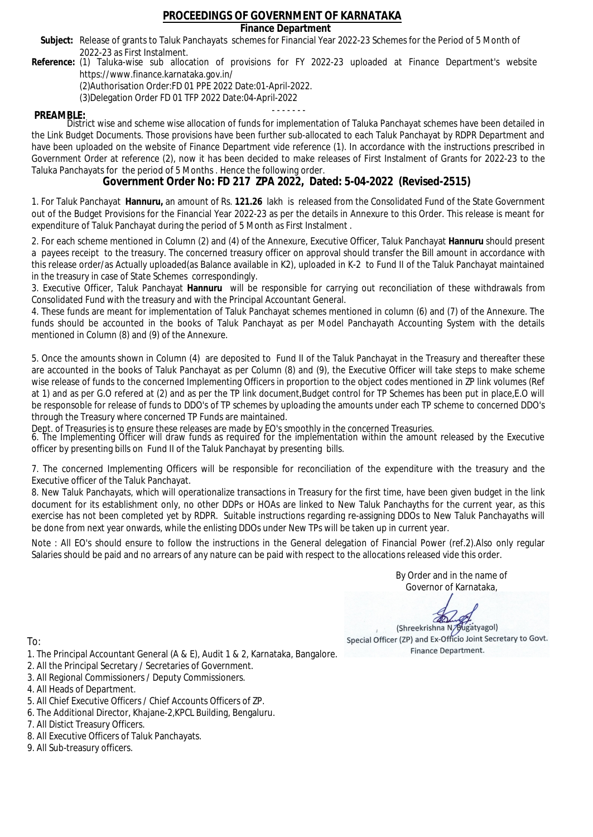### **Finance Department**

- Subject: Release of grants to Taluk Panchayats schemes for Financial Year 2022-23 Schemes for the Period of 5 Month of 2022-23 as First Instalment.
- **Reference:** (1) Taluka-wise sub allocation of provisions for FY 2022-23 uploaded at Finance Department's website https://www.finance.karnataka.gov.in/

(2)Authorisation Order:FD 01 PPE 2022 Date:01-April-2022.

(3)Delegation Order FD 01 TFP 2022 Date:04-April-2022

- - - - - - - **PREAMBLE:** District wise and scheme wise allocation of funds for implementation of Taluka Panchayat schemes have been detailed in the Link Budget Documents. Those provisions have been further sub-allocated to each Taluk Panchayat by RDPR Department and have been uploaded on the website of Finance Department vide reference (1). In accordance with the instructions prescribed in Government Order at reference (2), now it has been decided to make releases of First Instalment of Grants for 2022-23 to the Taluka Panchayats for the period of 5 Months . Hence the following order.

**Government Order No: FD 217 ZPA 2022, Dated: 5-04-2022 (Revised-2515)**

1. For Taluk Panchayat **Hannuru,** an amount of Rs. **121.26** lakh is released from the Consolidated Fund of the State Government out of the Budget Provisions for the Financial Year 2022-23 as per the details in Annexure to this Order. This release is meant for expenditure of Taluk Panchayat during the period of 5 Month as First Instalment .

2. For each scheme mentioned in Column (2) and (4) of the Annexure, Executive Officer, Taluk Panchayat **Hannuru** should present a payees receipt to the treasury. The concerned treasury officer on approval should transfer the Bill amount in accordance with this release order/as Actually uploaded(as Balance available in K2), uploaded in K-2 to Fund II of the Taluk Panchayat maintained in the treasury in case of State Schemes correspondingly.

3. Executive Officer, Taluk Panchayat **Hannuru** will be responsible for carrying out reconciliation of these withdrawals from Consolidated Fund with the treasury and with the Principal Accountant General.

4. These funds are meant for implementation of Taluk Panchayat schemes mentioned in column (6) and (7) of the Annexure. The funds should be accounted in the books of Taluk Panchayat as per Model Panchayath Accounting System with the details mentioned in Column (8) and (9) of the Annexure.

5. Once the amounts shown in Column (4) are deposited to Fund II of the Taluk Panchayat in the Treasury and thereafter these are accounted in the books of Taluk Panchayat as per Column (8) and (9), the Executive Officer will take steps to make scheme wise release of funds to the concerned Implementing Officers in proportion to the object codes mentioned in ZP link volumes (Ref at 1) and as per G.O refered at (2) and as per the TP link document,Budget control for TP Schemes has been put in place,E.O will be responsoble for release of funds to DDO's of TP schemes by uploading the amounts under each TP scheme to concerned DDO's through the Treasury where concerned TP Funds are maintained.

Dept. of Treasuries is to ensure these releases are made by EO's smoothly in the concerned Treasuries.

6. The Implementing Officer will draw funds as required for the implementation within the amount released by the Executive officer by presenting bills on Fund II of the Taluk Panchayat by presenting bills.

7. The concerned Implementing Officers will be responsible for reconciliation of the expenditure with the treasury and the Executive officer of the Taluk Panchayat.

8. New Taluk Panchayats, which will operationalize transactions in Treasury for the first time, have been given budget in the link document for its establishment only, no other DDPs or HOAs are linked to New Taluk Panchayths for the current year, as this exercise has not been completed yet by RDPR. Suitable instructions regarding re-assigning DDOs to New Taluk Panchayaths will be done from next year onwards, while the enlisting DDOs under New TPs will be taken up in current year.

Note : All EO's should ensure to follow the instructions in the General delegation of Financial Power (ref.2).Also only regular Salaries should be paid and no arrears of any nature can be paid with respect to the allocations released vide this order.

> By Order and in the name of Governor of Karnataka,

**PD** 

(Shreekrishna N/Bugatyagol) Special Officer (ZP) and Ex-Officio Joint Secretary to Govt. Finance Department.

To:

- 1. The Principal Accountant General (A & E), Audit 1 & 2, Karnataka, Bangalore.
- 2. All the Principal Secretary / Secretaries of Government.
- 3. All Regional Commissioners / Deputy Commissioners.
- 4. All Heads of Department.
- 5. All Chief Executive Officers / Chief Accounts Officers of ZP.
- 6. The Additional Director, Khajane-2,KPCL Building, Bengaluru.

- 8. All Executive Officers of Taluk Panchayats.
- 9. All Sub-treasury officers.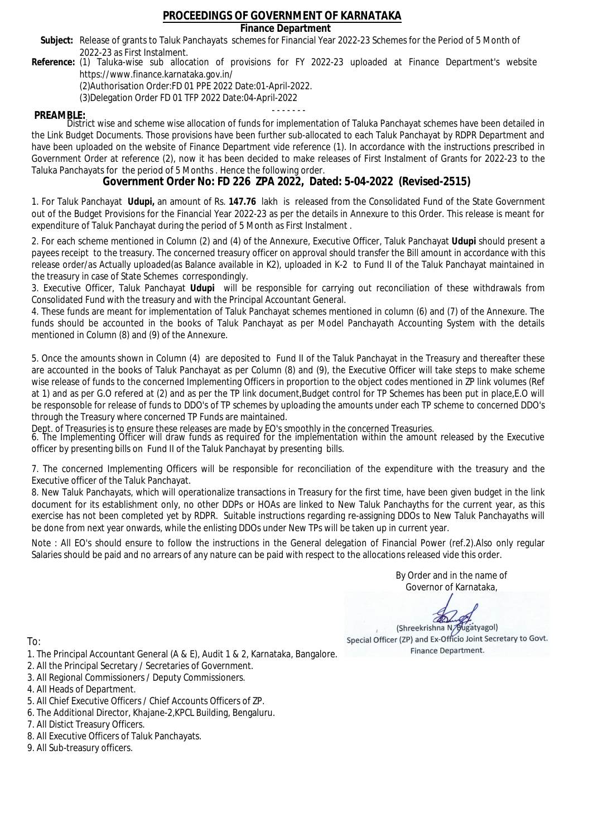### **Finance Department**

- Subject: Release of grants to Taluk Panchayats schemes for Financial Year 2022-23 Schemes for the Period of 5 Month of 2022-23 as First Instalment.
- **Reference:** (1) Taluka-wise sub allocation of provisions for FY 2022-23 uploaded at Finance Department's website https://www.finance.karnataka.gov.in/

(2)Authorisation Order:FD 01 PPE 2022 Date:01-April-2022.

(3)Delegation Order FD 01 TFP 2022 Date:04-April-2022

- - - - - - - **PREAMBLE:** District wise and scheme wise allocation of funds for implementation of Taluka Panchayat schemes have been detailed in the Link Budget Documents. Those provisions have been further sub-allocated to each Taluk Panchayat by RDPR Department and have been uploaded on the website of Finance Department vide reference (1). In accordance with the instructions prescribed in Government Order at reference (2), now it has been decided to make releases of First Instalment of Grants for 2022-23 to the Taluka Panchayats for the period of 5 Months . Hence the following order.

**Government Order No: FD 226 ZPA 2022, Dated: 5-04-2022 (Revised-2515)**

1. For Taluk Panchayat **Udupi,** an amount of Rs. **147.76** lakh is released from the Consolidated Fund of the State Government out of the Budget Provisions for the Financial Year 2022-23 as per the details in Annexure to this Order. This release is meant for expenditure of Taluk Panchayat during the period of 5 Month as First Instalment .

2. For each scheme mentioned in Column (2) and (4) of the Annexure, Executive Officer, Taluk Panchayat **Udupi** should present a payees receipt to the treasury. The concerned treasury officer on approval should transfer the Bill amount in accordance with this release order/as Actually uploaded(as Balance available in K2), uploaded in K-2 to Fund II of the Taluk Panchayat maintained in the treasury in case of State Schemes correspondingly.

3. Executive Officer, Taluk Panchayat **Udupi** will be responsible for carrying out reconciliation of these withdrawals from Consolidated Fund with the treasury and with the Principal Accountant General.

4. These funds are meant for implementation of Taluk Panchayat schemes mentioned in column (6) and (7) of the Annexure. The funds should be accounted in the books of Taluk Panchayat as per Model Panchayath Accounting System with the details mentioned in Column (8) and (9) of the Annexure.

5. Once the amounts shown in Column (4) are deposited to Fund II of the Taluk Panchayat in the Treasury and thereafter these are accounted in the books of Taluk Panchayat as per Column (8) and (9), the Executive Officer will take steps to make scheme wise release of funds to the concerned Implementing Officers in proportion to the object codes mentioned in ZP link volumes (Ref at 1) and as per G.O refered at (2) and as per the TP link document,Budget control for TP Schemes has been put in place,E.O will be responsoble for release of funds to DDO's of TP schemes by uploading the amounts under each TP scheme to concerned DDO's through the Treasury where concerned TP Funds are maintained.

Dept. of Treasuries is to ensure these releases are made by EO's smoothly in the concerned Treasuries.

6. The Implementing Officer will draw funds as required for the implementation within the amount released by the Executive officer by presenting bills on Fund II of the Taluk Panchayat by presenting bills.

7. The concerned Implementing Officers will be responsible for reconciliation of the expenditure with the treasury and the Executive officer of the Taluk Panchayat.

8. New Taluk Panchayats, which will operationalize transactions in Treasury for the first time, have been given budget in the link document for its establishment only, no other DDPs or HOAs are linked to New Taluk Panchayths for the current year, as this exercise has not been completed yet by RDPR. Suitable instructions regarding re-assigning DDOs to New Taluk Panchayaths will be done from next year onwards, while the enlisting DDOs under New TPs will be taken up in current year.

Note : All EO's should ensure to follow the instructions in the General delegation of Financial Power (ref.2).Also only regular Salaries should be paid and no arrears of any nature can be paid with respect to the allocations released vide this order.

> By Order and in the name of Governor of Karnataka,

**PD** 

(Shreekrishna N/Bugatyagol) Special Officer (ZP) and Ex-Officio Joint Secretary to Govt. Finance Department.

- 1. The Principal Accountant General (A & E), Audit 1 & 2, Karnataka, Bangalore.
- 2. All the Principal Secretary / Secretaries of Government.
- 3. All Regional Commissioners / Deputy Commissioners.
- 4. All Heads of Department.
- 5. All Chief Executive Officers / Chief Accounts Officers of ZP.
- 6. The Additional Director, Khajane-2,KPCL Building, Bengaluru.
- 7. All Distict Treasury Officers.
- 8. All Executive Officers of Taluk Panchayats.
- 9. All Sub-treasury officers.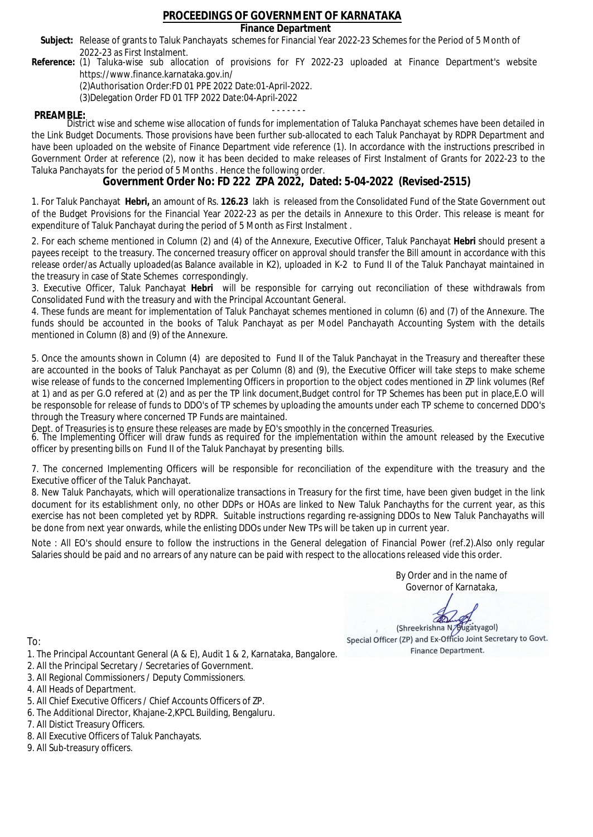### **Finance Department**

- Subject: Release of grants to Taluk Panchayats schemes for Financial Year 2022-23 Schemes for the Period of 5 Month of 2022-23 as First Instalment.
- **Reference:** (1) Taluka-wise sub allocation of provisions for FY 2022-23 uploaded at Finance Department's website https://www.finance.karnataka.gov.in/

(2)Authorisation Order:FD 01 PPE 2022 Date:01-April-2022.

(3)Delegation Order FD 01 TFP 2022 Date:04-April-2022

- - - - - - - **PREAMBLE:** District wise and scheme wise allocation of funds for implementation of Taluka Panchayat schemes have been detailed in the Link Budget Documents. Those provisions have been further sub-allocated to each Taluk Panchayat by RDPR Department and have been uploaded on the website of Finance Department vide reference (1). In accordance with the instructions prescribed in Government Order at reference (2), now it has been decided to make releases of First Instalment of Grants for 2022-23 to the Taluka Panchayats for the period of 5 Months . Hence the following order.

**Government Order No: FD 222 ZPA 2022, Dated: 5-04-2022 (Revised-2515)**

1. For Taluk Panchayat **Hebri,** an amount of Rs. **126.23** lakh is released from the Consolidated Fund of the State Government out of the Budget Provisions for the Financial Year 2022-23 as per the details in Annexure to this Order. This release is meant for expenditure of Taluk Panchayat during the period of 5 Month as First Instalment .

2. For each scheme mentioned in Column (2) and (4) of the Annexure, Executive Officer, Taluk Panchayat **Hebri** should present a payees receipt to the treasury. The concerned treasury officer on approval should transfer the Bill amount in accordance with this release order/as Actually uploaded(as Balance available in K2), uploaded in K-2 to Fund II of the Taluk Panchayat maintained in the treasury in case of State Schemes correspondingly.

3. Executive Officer, Taluk Panchayat **Hebri** will be responsible for carrying out reconciliation of these withdrawals from Consolidated Fund with the treasury and with the Principal Accountant General.

4. These funds are meant for implementation of Taluk Panchayat schemes mentioned in column (6) and (7) of the Annexure. The funds should be accounted in the books of Taluk Panchayat as per Model Panchayath Accounting System with the details mentioned in Column (8) and (9) of the Annexure.

5. Once the amounts shown in Column (4) are deposited to Fund II of the Taluk Panchayat in the Treasury and thereafter these are accounted in the books of Taluk Panchayat as per Column (8) and (9), the Executive Officer will take steps to make scheme wise release of funds to the concerned Implementing Officers in proportion to the object codes mentioned in ZP link volumes (Ref at 1) and as per G.O refered at (2) and as per the TP link document,Budget control for TP Schemes has been put in place,E.O will be responsoble for release of funds to DDO's of TP schemes by uploading the amounts under each TP scheme to concerned DDO's through the Treasury where concerned TP Funds are maintained.

Dept. of Treasuries is to ensure these releases are made by EO's smoothly in the concerned Treasuries.

6. The Implementing Officer will draw funds as required for the implementation within the amount released by the Executive officer by presenting bills on Fund II of the Taluk Panchayat by presenting bills.

7. The concerned Implementing Officers will be responsible for reconciliation of the expenditure with the treasury and the Executive officer of the Taluk Panchayat.

8. New Taluk Panchayats, which will operationalize transactions in Treasury for the first time, have been given budget in the link document for its establishment only, no other DDPs or HOAs are linked to New Taluk Panchayths for the current year, as this exercise has not been completed yet by RDPR. Suitable instructions regarding re-assigning DDOs to New Taluk Panchayaths will be done from next year onwards, while the enlisting DDOs under New TPs will be taken up in current year.

Note : All EO's should ensure to follow the instructions in the General delegation of Financial Power (ref.2).Also only regular Salaries should be paid and no arrears of any nature can be paid with respect to the allocations released vide this order.

> By Order and in the name of Governor of Karnataka,

**PD** 

(Shreekrishna N/Bugatyagol) Special Officer (ZP) and Ex-Officio Joint Secretary to Govt. Finance Department.

To:

- 1. The Principal Accountant General (A & E), Audit 1 & 2, Karnataka, Bangalore.
- 2. All the Principal Secretary / Secretaries of Government.
- 3. All Regional Commissioners / Deputy Commissioners.
- 4. All Heads of Department.
- 5. All Chief Executive Officers / Chief Accounts Officers of ZP.
- 6. The Additional Director, Khajane-2,KPCL Building, Bengaluru.

- 8. All Executive Officers of Taluk Panchayats.
- 9. All Sub-treasury officers.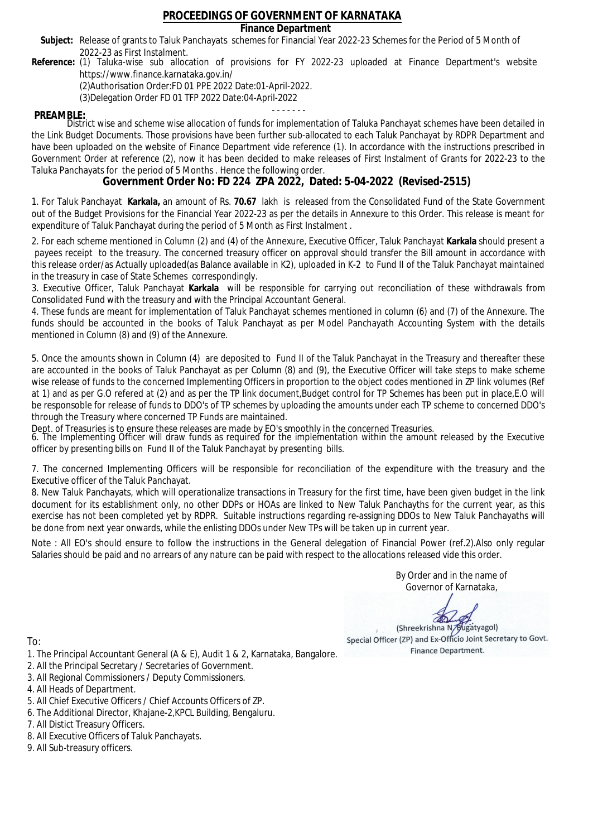### **Finance Department**

- Subject: Release of grants to Taluk Panchayats schemes for Financial Year 2022-23 Schemes for the Period of 5 Month of 2022-23 as First Instalment.
- **Reference:** (1) Taluka-wise sub allocation of provisions for FY 2022-23 uploaded at Finance Department's website https://www.finance.karnataka.gov.in/

(2)Authorisation Order:FD 01 PPE 2022 Date:01-April-2022.

(3)Delegation Order FD 01 TFP 2022 Date:04-April-2022

- - - - - - - **PREAMBLE:** District wise and scheme wise allocation of funds for implementation of Taluka Panchayat schemes have been detailed in the Link Budget Documents. Those provisions have been further sub-allocated to each Taluk Panchayat by RDPR Department and have been uploaded on the website of Finance Department vide reference (1). In accordance with the instructions prescribed in Government Order at reference (2), now it has been decided to make releases of First Instalment of Grants for 2022-23 to the Taluka Panchayats for the period of 5 Months . Hence the following order.

**Government Order No: FD 224 ZPA 2022, Dated: 5-04-2022 (Revised-2515)**

1. For Taluk Panchayat **Karkala,** an amount of Rs. **70.67** lakh is released from the Consolidated Fund of the State Government out of the Budget Provisions for the Financial Year 2022-23 as per the details in Annexure to this Order. This release is meant for expenditure of Taluk Panchayat during the period of 5 Month as First Instalment .

2. For each scheme mentioned in Column (2) and (4) of the Annexure, Executive Officer, Taluk Panchayat **Karkala** should present a payees receipt to the treasury. The concerned treasury officer on approval should transfer the Bill amount in accordance with this release order/as Actually uploaded(as Balance available in K2), uploaded in K-2 to Fund II of the Taluk Panchayat maintained in the treasury in case of State Schemes correspondingly.

3. Executive Officer, Taluk Panchayat **Karkala** will be responsible for carrying out reconciliation of these withdrawals from Consolidated Fund with the treasury and with the Principal Accountant General.

4. These funds are meant for implementation of Taluk Panchayat schemes mentioned in column (6) and (7) of the Annexure. The funds should be accounted in the books of Taluk Panchayat as per Model Panchayath Accounting System with the details mentioned in Column (8) and (9) of the Annexure.

5. Once the amounts shown in Column (4) are deposited to Fund II of the Taluk Panchayat in the Treasury and thereafter these are accounted in the books of Taluk Panchayat as per Column (8) and (9), the Executive Officer will take steps to make scheme wise release of funds to the concerned Implementing Officers in proportion to the object codes mentioned in ZP link volumes (Ref at 1) and as per G.O refered at (2) and as per the TP link document,Budget control for TP Schemes has been put in place,E.O will be responsoble for release of funds to DDO's of TP schemes by uploading the amounts under each TP scheme to concerned DDO's through the Treasury where concerned TP Funds are maintained.

Dept. of Treasuries is to ensure these releases are made by EO's smoothly in the concerned Treasuries.

6. The Implementing Officer will draw funds as required for the implementation within the amount released by the Executive officer by presenting bills on Fund II of the Taluk Panchayat by presenting bills.

7. The concerned Implementing Officers will be responsible for reconciliation of the expenditure with the treasury and the Executive officer of the Taluk Panchayat.

8. New Taluk Panchayats, which will operationalize transactions in Treasury for the first time, have been given budget in the link document for its establishment only, no other DDPs or HOAs are linked to New Taluk Panchayths for the current year, as this exercise has not been completed yet by RDPR. Suitable instructions regarding re-assigning DDOs to New Taluk Panchayaths will be done from next year onwards, while the enlisting DDOs under New TPs will be taken up in current year.

Note : All EO's should ensure to follow the instructions in the General delegation of Financial Power (ref.2).Also only regular Salaries should be paid and no arrears of any nature can be paid with respect to the allocations released vide this order.

> By Order and in the name of Governor of Karnataka,

**PD** 

(Shreekrishna N/Bugatyagol) Special Officer (ZP) and Ex-Officio Joint Secretary to Govt. Finance Department.

- 1. The Principal Accountant General (A & E), Audit 1 & 2, Karnataka, Bangalore.
- 2. All the Principal Secretary / Secretaries of Government.
- 3. All Regional Commissioners / Deputy Commissioners.
- 4. All Heads of Department.
- 5. All Chief Executive Officers / Chief Accounts Officers of ZP.
- 6. The Additional Director, Khajane-2,KPCL Building, Bengaluru.
- 7. All Distict Treasury Officers.
- 8. All Executive Officers of Taluk Panchayats.
- 9. All Sub-treasury officers.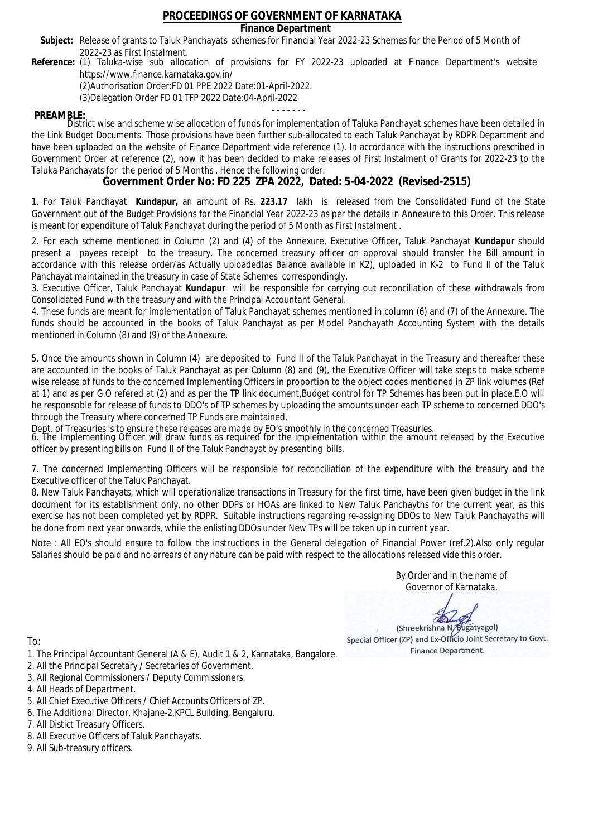### **Finance Department**

- Subject: Release of grants to Taluk Panchayats schemes for Financial Year 2022-23 Schemes for the Period of 5 Month of 2022-23 as First Instalment.
- **Reference:** (1) Taluka-wise sub allocation of provisions for FY 2022-23 uploaded at Finance Department's website https://www.finance.karnataka.gov.in/

(2)Authorisation Order:FD 01 PPE 2022 Date:01-April-2022.

(3)Delegation Order FD 01 TFP 2022 Date:04-April-2022

- - - - - - - **PREAMBLE:** District wise and scheme wise allocation of funds for implementation of Taluka Panchayat schemes have been detailed in the Link Budget Documents. Those provisions have been further sub-allocated to each Taluk Panchayat by RDPR Department and have been uploaded on the website of Finance Department vide reference (1). In accordance with the instructions prescribed in Government Order at reference (2), now it has been decided to make releases of First Instalment of Grants for 2022-23 to the Taluka Panchayats for the period of 5 Months . Hence the following order.

**Government Order No: FD 225 ZPA 2022, Dated: 5-04-2022 (Revised-2515)**

1. For Taluk Panchayat **Kundapur,** an amount of Rs. **223.17** lakh is released from the Consolidated Fund of the State Government out of the Budget Provisions for the Financial Year 2022-23 as per the details in Annexure to this Order. This release is meant for expenditure of Taluk Panchayat during the period of 5 Month as First Instalment .

2. For each scheme mentioned in Column (2) and (4) of the Annexure, Executive Officer, Taluk Panchayat **Kundapur** should present a payees receipt to the treasury. The concerned treasury officer on approval should transfer the Bill amount in accordance with this release order/as Actually uploaded(as Balance available in K2), uploaded in K-2 to Fund II of the Taluk Panchayat maintained in the treasury in case of State Schemes correspondingly.

3. Executive Officer, Taluk Panchayat **Kundapur** will be responsible for carrying out reconciliation of these withdrawals from Consolidated Fund with the treasury and with the Principal Accountant General.

4. These funds are meant for implementation of Taluk Panchayat schemes mentioned in column (6) and (7) of the Annexure. The funds should be accounted in the books of Taluk Panchayat as per Model Panchayath Accounting System with the details mentioned in Column (8) and (9) of the Annexure.

5. Once the amounts shown in Column (4) are deposited to Fund II of the Taluk Panchayat in the Treasury and thereafter these are accounted in the books of Taluk Panchayat as per Column (8) and (9), the Executive Officer will take steps to make scheme wise release of funds to the concerned Implementing Officers in proportion to the object codes mentioned in ZP link volumes (Ref at 1) and as per G.O refered at (2) and as per the TP link document,Budget control for TP Schemes has been put in place,E.O will be responsoble for release of funds to DDO's of TP schemes by uploading the amounts under each TP scheme to concerned DDO's through the Treasury where concerned TP Funds are maintained.

Dept. of Treasuries is to ensure these releases are made by EO's smoothly in the concerned Treasuries.

6. The Implementing Officer will draw funds as required for the implementation within the amount released by the Executive officer by presenting bills on Fund II of the Taluk Panchayat by presenting bills.

7. The concerned Implementing Officers will be responsible for reconciliation of the expenditure with the treasury and the Executive officer of the Taluk Panchayat.

8. New Taluk Panchayats, which will operationalize transactions in Treasury for the first time, have been given budget in the link document for its establishment only, no other DDPs or HOAs are linked to New Taluk Panchayths for the current year, as this exercise has not been completed yet by RDPR. Suitable instructions regarding re-assigning DDOs to New Taluk Panchayaths will be done from next year onwards, while the enlisting DDOs under New TPs will be taken up in current year.

Note : All EO's should ensure to follow the instructions in the General delegation of Financial Power (ref.2).Also only regular Salaries should be paid and no arrears of any nature can be paid with respect to the allocations released vide this order.

> By Order and in the name of Governor of Karnataka,

**PD** 

(Shreekrishna N/Bugatyagol) Special Officer (ZP) and Ex-Officio Joint Secretary to Govt. Finance Department.

- 1. The Principal Accountant General (A & E), Audit 1 & 2, Karnataka, Bangalore.
- 2. All the Principal Secretary / Secretaries of Government.
- 3. All Regional Commissioners / Deputy Commissioners.
- 4. All Heads of Department.
- 5. All Chief Executive Officers / Chief Accounts Officers of ZP.
- 6. The Additional Director, Khajane-2,KPCL Building, Bengaluru.
- 7. All Distict Treasury Officers.
- 8. All Executive Officers of Taluk Panchayats.
- 9. All Sub-treasury officers.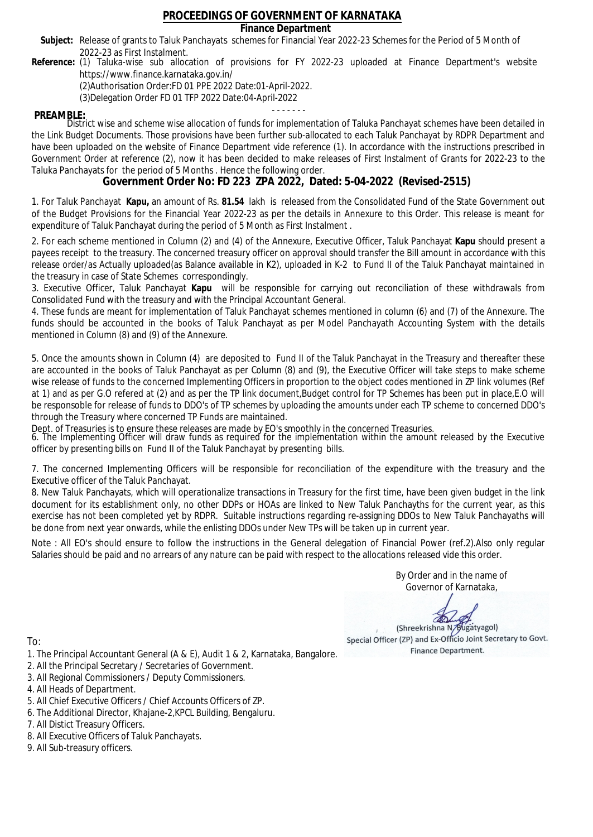### **Finance Department**

- Subject: Release of grants to Taluk Panchayats schemes for Financial Year 2022-23 Schemes for the Period of 5 Month of 2022-23 as First Instalment.
- **Reference:** (1) Taluka-wise sub allocation of provisions for FY 2022-23 uploaded at Finance Department's website https://www.finance.karnataka.gov.in/

(2)Authorisation Order:FD 01 PPE 2022 Date:01-April-2022.

(3)Delegation Order FD 01 TFP 2022 Date:04-April-2022

- - - - - - - **PREAMBLE:** District wise and scheme wise allocation of funds for implementation of Taluka Panchayat schemes have been detailed in the Link Budget Documents. Those provisions have been further sub-allocated to each Taluk Panchayat by RDPR Department and have been uploaded on the website of Finance Department vide reference (1). In accordance with the instructions prescribed in Government Order at reference (2), now it has been decided to make releases of First Instalment of Grants for 2022-23 to the Taluka Panchayats for the period of 5 Months . Hence the following order.

**Government Order No: FD 223 ZPA 2022, Dated: 5-04-2022 (Revised-2515)**

1. For Taluk Panchayat **Kapu,** an amount of Rs. **81.54** lakh is released from the Consolidated Fund of the State Government out of the Budget Provisions for the Financial Year 2022-23 as per the details in Annexure to this Order. This release is meant for expenditure of Taluk Panchayat during the period of 5 Month as First Instalment .

2. For each scheme mentioned in Column (2) and (4) of the Annexure, Executive Officer, Taluk Panchayat **Kapu** should present a payees receipt to the treasury. The concerned treasury officer on approval should transfer the Bill amount in accordance with this release order/as Actually uploaded(as Balance available in K2), uploaded in K-2 to Fund II of the Taluk Panchayat maintained in the treasury in case of State Schemes correspondingly.

3. Executive Officer, Taluk Panchayat **Kapu** will be responsible for carrying out reconciliation of these withdrawals from Consolidated Fund with the treasury and with the Principal Accountant General.

4. These funds are meant for implementation of Taluk Panchayat schemes mentioned in column (6) and (7) of the Annexure. The funds should be accounted in the books of Taluk Panchayat as per Model Panchayath Accounting System with the details mentioned in Column (8) and (9) of the Annexure.

5. Once the amounts shown in Column (4) are deposited to Fund II of the Taluk Panchayat in the Treasury and thereafter these are accounted in the books of Taluk Panchayat as per Column (8) and (9), the Executive Officer will take steps to make scheme wise release of funds to the concerned Implementing Officers in proportion to the object codes mentioned in ZP link volumes (Ref at 1) and as per G.O refered at (2) and as per the TP link document,Budget control for TP Schemes has been put in place,E.O will be responsoble for release of funds to DDO's of TP schemes by uploading the amounts under each TP scheme to concerned DDO's through the Treasury where concerned TP Funds are maintained.

Dept. of Treasuries is to ensure these releases are made by EO's smoothly in the concerned Treasuries.

6. The Implementing Officer will draw funds as required for the implementation within the amount released by the Executive officer by presenting bills on Fund II of the Taluk Panchayat by presenting bills.

7. The concerned Implementing Officers will be responsible for reconciliation of the expenditure with the treasury and the Executive officer of the Taluk Panchayat.

8. New Taluk Panchayats, which will operationalize transactions in Treasury for the first time, have been given budget in the link document for its establishment only, no other DDPs or HOAs are linked to New Taluk Panchayths for the current year, as this exercise has not been completed yet by RDPR. Suitable instructions regarding re-assigning DDOs to New Taluk Panchayaths will be done from next year onwards, while the enlisting DDOs under New TPs will be taken up in current year.

Note : All EO's should ensure to follow the instructions in the General delegation of Financial Power (ref.2).Also only regular Salaries should be paid and no arrears of any nature can be paid with respect to the allocations released vide this order.

> By Order and in the name of Governor of Karnataka,

**PD** 

(Shreekrishna N/Bugatyagol) Special Officer (ZP) and Ex-Officio Joint Secretary to Govt. Finance Department.

To:

- 1. The Principal Accountant General (A & E), Audit 1 & 2, Karnataka, Bangalore.
- 2. All the Principal Secretary / Secretaries of Government.
- 3. All Regional Commissioners / Deputy Commissioners.
- 4. All Heads of Department.
- 5. All Chief Executive Officers / Chief Accounts Officers of ZP.
- 6. The Additional Director, Khajane-2,KPCL Building, Bengaluru.

- 8. All Executive Officers of Taluk Panchayats.
- 9. All Sub-treasury officers.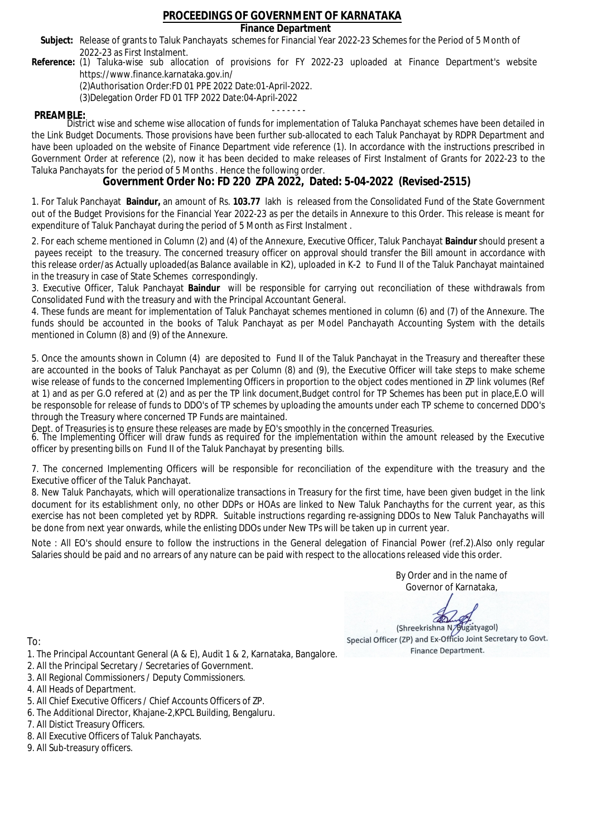### **Finance Department**

- Subject: Release of grants to Taluk Panchayats schemes for Financial Year 2022-23 Schemes for the Period of 5 Month of 2022-23 as First Instalment.
- **Reference:** (1) Taluka-wise sub allocation of provisions for FY 2022-23 uploaded at Finance Department's website https://www.finance.karnataka.gov.in/

(2)Authorisation Order:FD 01 PPE 2022 Date:01-April-2022.

(3)Delegation Order FD 01 TFP 2022 Date:04-April-2022

- - - - - - - **PREAMBLE:** District wise and scheme wise allocation of funds for implementation of Taluka Panchayat schemes have been detailed in the Link Budget Documents. Those provisions have been further sub-allocated to each Taluk Panchayat by RDPR Department and have been uploaded on the website of Finance Department vide reference (1). In accordance with the instructions prescribed in Government Order at reference (2), now it has been decided to make releases of First Instalment of Grants for 2022-23 to the Taluka Panchayats for the period of 5 Months . Hence the following order.

**Government Order No: FD 220 ZPA 2022, Dated: 5-04-2022 (Revised-2515)**

1. For Taluk Panchayat **Baindur,** an amount of Rs. **103.77** lakh is released from the Consolidated Fund of the State Government out of the Budget Provisions for the Financial Year 2022-23 as per the details in Annexure to this Order. This release is meant for expenditure of Taluk Panchayat during the period of 5 Month as First Instalment .

2. For each scheme mentioned in Column (2) and (4) of the Annexure, Executive Officer, Taluk Panchayat **Baindur** should present a payees receipt to the treasury. The concerned treasury officer on approval should transfer the Bill amount in accordance with this release order/as Actually uploaded(as Balance available in K2), uploaded in K-2 to Fund II of the Taluk Panchayat maintained in the treasury in case of State Schemes correspondingly.

3. Executive Officer, Taluk Panchayat **Baindur** will be responsible for carrying out reconciliation of these withdrawals from Consolidated Fund with the treasury and with the Principal Accountant General.

4. These funds are meant for implementation of Taluk Panchayat schemes mentioned in column (6) and (7) of the Annexure. The funds should be accounted in the books of Taluk Panchayat as per Model Panchayath Accounting System with the details mentioned in Column (8) and (9) of the Annexure.

5. Once the amounts shown in Column (4) are deposited to Fund II of the Taluk Panchayat in the Treasury and thereafter these are accounted in the books of Taluk Panchayat as per Column (8) and (9), the Executive Officer will take steps to make scheme wise release of funds to the concerned Implementing Officers in proportion to the object codes mentioned in ZP link volumes (Ref at 1) and as per G.O refered at (2) and as per the TP link document,Budget control for TP Schemes has been put in place,E.O will be responsoble for release of funds to DDO's of TP schemes by uploading the amounts under each TP scheme to concerned DDO's through the Treasury where concerned TP Funds are maintained.

Dept. of Treasuries is to ensure these releases are made by EO's smoothly in the concerned Treasuries.

6. The Implementing Officer will draw funds as required for the implementation within the amount released by the Executive officer by presenting bills on Fund II of the Taluk Panchayat by presenting bills.

7. The concerned Implementing Officers will be responsible for reconciliation of the expenditure with the treasury and the Executive officer of the Taluk Panchayat.

8. New Taluk Panchayats, which will operationalize transactions in Treasury for the first time, have been given budget in the link document for its establishment only, no other DDPs or HOAs are linked to New Taluk Panchayths for the current year, as this exercise has not been completed yet by RDPR. Suitable instructions regarding re-assigning DDOs to New Taluk Panchayaths will be done from next year onwards, while the enlisting DDOs under New TPs will be taken up in current year.

Note : All EO's should ensure to follow the instructions in the General delegation of Financial Power (ref.2).Also only regular Salaries should be paid and no arrears of any nature can be paid with respect to the allocations released vide this order.

> By Order and in the name of Governor of Karnataka,

**PD** 

(Shreekrishna N/Bugatyagol) Special Officer (ZP) and Ex-Officio Joint Secretary to Govt. Finance Department.

- 1. The Principal Accountant General (A & E), Audit 1 & 2, Karnataka, Bangalore.
- 2. All the Principal Secretary / Secretaries of Government.
- 3. All Regional Commissioners / Deputy Commissioners.
- 4. All Heads of Department.
- 5. All Chief Executive Officers / Chief Accounts Officers of ZP.
- 6. The Additional Director, Khajane-2,KPCL Building, Bengaluru.
- 7. All Distict Treasury Officers.
- 8. All Executive Officers of Taluk Panchayats.
- 9. All Sub-treasury officers.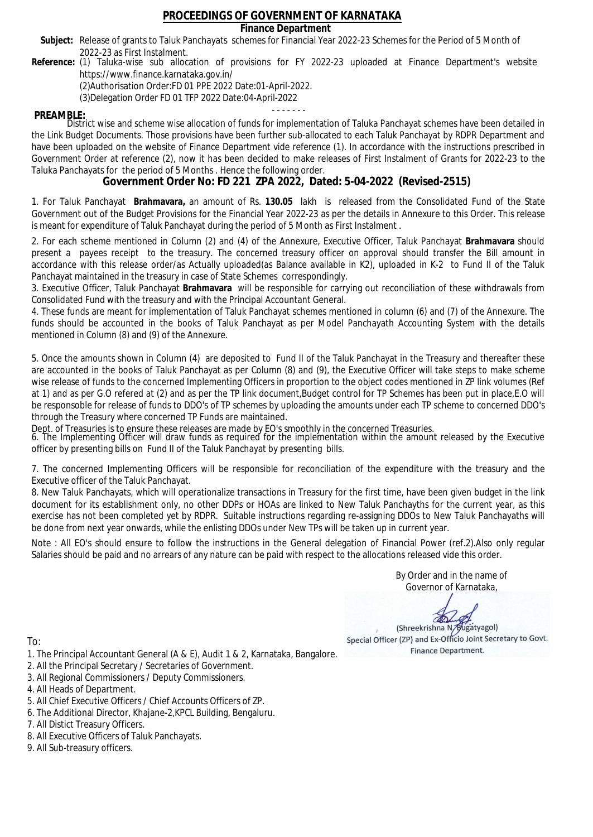### **Finance Department**

- Subject: Release of grants to Taluk Panchayats schemes for Financial Year 2022-23 Schemes for the Period of 5 Month of 2022-23 as First Instalment.
- **Reference:** (1) Taluka-wise sub allocation of provisions for FY 2022-23 uploaded at Finance Department's website https://www.finance.karnataka.gov.in/

(2)Authorisation Order:FD 01 PPE 2022 Date:01-April-2022.

(3)Delegation Order FD 01 TFP 2022 Date:04-April-2022

- - - - - - - **PREAMBLE:** District wise and scheme wise allocation of funds for implementation of Taluka Panchayat schemes have been detailed in the Link Budget Documents. Those provisions have been further sub-allocated to each Taluk Panchayat by RDPR Department and have been uploaded on the website of Finance Department vide reference (1). In accordance with the instructions prescribed in Government Order at reference (2), now it has been decided to make releases of First Instalment of Grants for 2022-23 to the Taluka Panchayats for the period of 5 Months . Hence the following order.

**Government Order No: FD 221 ZPA 2022, Dated: 5-04-2022 (Revised-2515)**

1. For Taluk Panchayat **Brahmavara,** an amount of Rs. **130.05** lakh is released from the Consolidated Fund of the State Government out of the Budget Provisions for the Financial Year 2022-23 as per the details in Annexure to this Order. This release is meant for expenditure of Taluk Panchayat during the period of 5 Month as First Instalment .

2. For each scheme mentioned in Column (2) and (4) of the Annexure, Executive Officer, Taluk Panchayat **Brahmavara** should present a payees receipt to the treasury. The concerned treasury officer on approval should transfer the Bill amount in accordance with this release order/as Actually uploaded(as Balance available in K2), uploaded in K-2 to Fund II of the Taluk Panchayat maintained in the treasury in case of State Schemes correspondingly.

3. Executive Officer, Taluk Panchayat **Brahmavara** will be responsible for carrying out reconciliation of these withdrawals from Consolidated Fund with the treasury and with the Principal Accountant General.

4. These funds are meant for implementation of Taluk Panchayat schemes mentioned in column (6) and (7) of the Annexure. The funds should be accounted in the books of Taluk Panchayat as per Model Panchayath Accounting System with the details mentioned in Column (8) and (9) of the Annexure.

5. Once the amounts shown in Column (4) are deposited to Fund II of the Taluk Panchayat in the Treasury and thereafter these are accounted in the books of Taluk Panchayat as per Column (8) and (9), the Executive Officer will take steps to make scheme wise release of funds to the concerned Implementing Officers in proportion to the object codes mentioned in ZP link volumes (Ref at 1) and as per G.O refered at (2) and as per the TP link document,Budget control for TP Schemes has been put in place,E.O will be responsoble for release of funds to DDO's of TP schemes by uploading the amounts under each TP scheme to concerned DDO's through the Treasury where concerned TP Funds are maintained.

Dept. of Treasuries is to ensure these releases are made by EO's smoothly in the concerned Treasuries.

6. The Implementing Officer will draw funds as required for the implementation within the amount released by the Executive officer by presenting bills on Fund II of the Taluk Panchayat by presenting bills.

7. The concerned Implementing Officers will be responsible for reconciliation of the expenditure with the treasury and the Executive officer of the Taluk Panchayat.

8. New Taluk Panchayats, which will operationalize transactions in Treasury for the first time, have been given budget in the link document for its establishment only, no other DDPs or HOAs are linked to New Taluk Panchayths for the current year, as this exercise has not been completed yet by RDPR. Suitable instructions regarding re-assigning DDOs to New Taluk Panchayaths will be done from next year onwards, while the enlisting DDOs under New TPs will be taken up in current year.

Note : All EO's should ensure to follow the instructions in the General delegation of Financial Power (ref.2).Also only regular Salaries should be paid and no arrears of any nature can be paid with respect to the allocations released vide this order.

> By Order and in the name of Governor of Karnataka,

**PD** 

(Shreekrishna N/Bugatyagol) Special Officer (ZP) and Ex-Officio Joint Secretary to Govt. Finance Department.

- 1. The Principal Accountant General (A & E), Audit 1 & 2, Karnataka, Bangalore.
- 2. All the Principal Secretary / Secretaries of Government.
- 3. All Regional Commissioners / Deputy Commissioners.
- 4. All Heads of Department.
- 5. All Chief Executive Officers / Chief Accounts Officers of ZP.
- 6. The Additional Director, Khajane-2,KPCL Building, Bengaluru.
- 7. All Distict Treasury Officers.
- 8. All Executive Officers of Taluk Panchayats.
- 9. All Sub-treasury officers.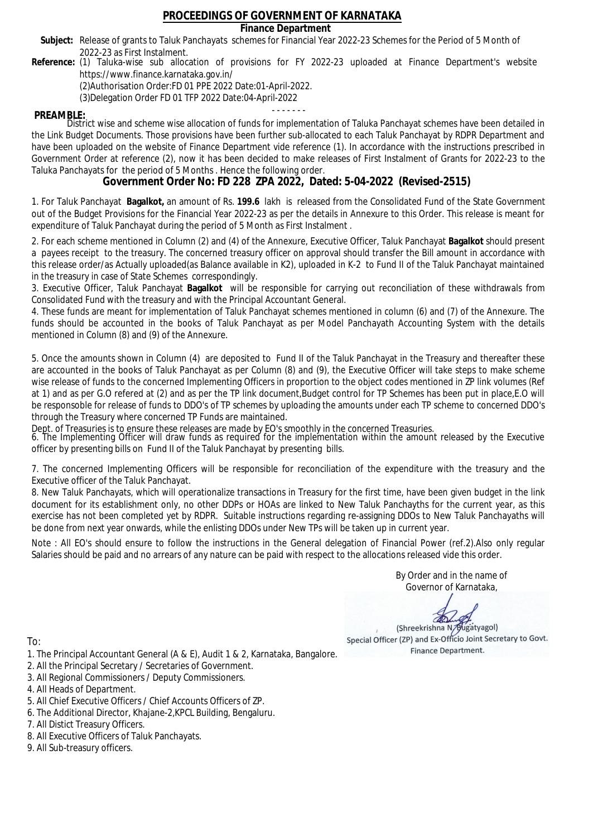### **Finance Department**

- Subject: Release of grants to Taluk Panchayats schemes for Financial Year 2022-23 Schemes for the Period of 5 Month of 2022-23 as First Instalment.
- **Reference:** (1) Taluka-wise sub allocation of provisions for FY 2022-23 uploaded at Finance Department's website https://www.finance.karnataka.gov.in/

(2)Authorisation Order:FD 01 PPE 2022 Date:01-April-2022.

(3)Delegation Order FD 01 TFP 2022 Date:04-April-2022

- - - - - - - **PREAMBLE:** District wise and scheme wise allocation of funds for implementation of Taluka Panchayat schemes have been detailed in the Link Budget Documents. Those provisions have been further sub-allocated to each Taluk Panchayat by RDPR Department and have been uploaded on the website of Finance Department vide reference (1). In accordance with the instructions prescribed in Government Order at reference (2), now it has been decided to make releases of First Instalment of Grants for 2022-23 to the Taluka Panchayats for the period of 5 Months . Hence the following order.

**Government Order No: FD 228 ZPA 2022, Dated: 5-04-2022 (Revised-2515)**

1. For Taluk Panchayat **Bagalkot,** an amount of Rs. **199.6** lakh is released from the Consolidated Fund of the State Government out of the Budget Provisions for the Financial Year 2022-23 as per the details in Annexure to this Order. This release is meant for expenditure of Taluk Panchayat during the period of 5 Month as First Instalment .

2. For each scheme mentioned in Column (2) and (4) of the Annexure, Executive Officer, Taluk Panchayat **Bagalkot** should present a payees receipt to the treasury. The concerned treasury officer on approval should transfer the Bill amount in accordance with this release order/as Actually uploaded(as Balance available in K2), uploaded in K-2 to Fund II of the Taluk Panchayat maintained in the treasury in case of State Schemes correspondingly.

3. Executive Officer, Taluk Panchayat **Bagalkot** will be responsible for carrying out reconciliation of these withdrawals from Consolidated Fund with the treasury and with the Principal Accountant General.

4. These funds are meant for implementation of Taluk Panchayat schemes mentioned in column (6) and (7) of the Annexure. The funds should be accounted in the books of Taluk Panchayat as per Model Panchayath Accounting System with the details mentioned in Column (8) and (9) of the Annexure.

5. Once the amounts shown in Column (4) are deposited to Fund II of the Taluk Panchayat in the Treasury and thereafter these are accounted in the books of Taluk Panchayat as per Column (8) and (9), the Executive Officer will take steps to make scheme wise release of funds to the concerned Implementing Officers in proportion to the object codes mentioned in ZP link volumes (Ref at 1) and as per G.O refered at (2) and as per the TP link document,Budget control for TP Schemes has been put in place,E.O will be responsoble for release of funds to DDO's of TP schemes by uploading the amounts under each TP scheme to concerned DDO's through the Treasury where concerned TP Funds are maintained.

Dept. of Treasuries is to ensure these releases are made by EO's smoothly in the concerned Treasuries.

6. The Implementing Officer will draw funds as required for the implementation within the amount released by the Executive officer by presenting bills on Fund II of the Taluk Panchayat by presenting bills.

7. The concerned Implementing Officers will be responsible for reconciliation of the expenditure with the treasury and the Executive officer of the Taluk Panchayat.

8. New Taluk Panchayats, which will operationalize transactions in Treasury for the first time, have been given budget in the link document for its establishment only, no other DDPs or HOAs are linked to New Taluk Panchayths for the current year, as this exercise has not been completed yet by RDPR. Suitable instructions regarding re-assigning DDOs to New Taluk Panchayaths will be done from next year onwards, while the enlisting DDOs under New TPs will be taken up in current year.

Note : All EO's should ensure to follow the instructions in the General delegation of Financial Power (ref.2).Also only regular Salaries should be paid and no arrears of any nature can be paid with respect to the allocations released vide this order.

> By Order and in the name of Governor of Karnataka,

**PD** 

(Shreekrishna N/Bugatyagol) Special Officer (ZP) and Ex-Officio Joint Secretary to Govt. Finance Department.

- 1. The Principal Accountant General (A & E), Audit 1 & 2, Karnataka, Bangalore.
- 2. All the Principal Secretary / Secretaries of Government.
- 3. All Regional Commissioners / Deputy Commissioners.
- 4. All Heads of Department.
- 5. All Chief Executive Officers / Chief Accounts Officers of ZP.
- 6. The Additional Director, Khajane-2,KPCL Building, Bengaluru.
- 7. All Distict Treasury Officers.
- 8. All Executive Officers of Taluk Panchayats.
- 9. All Sub-treasury officers.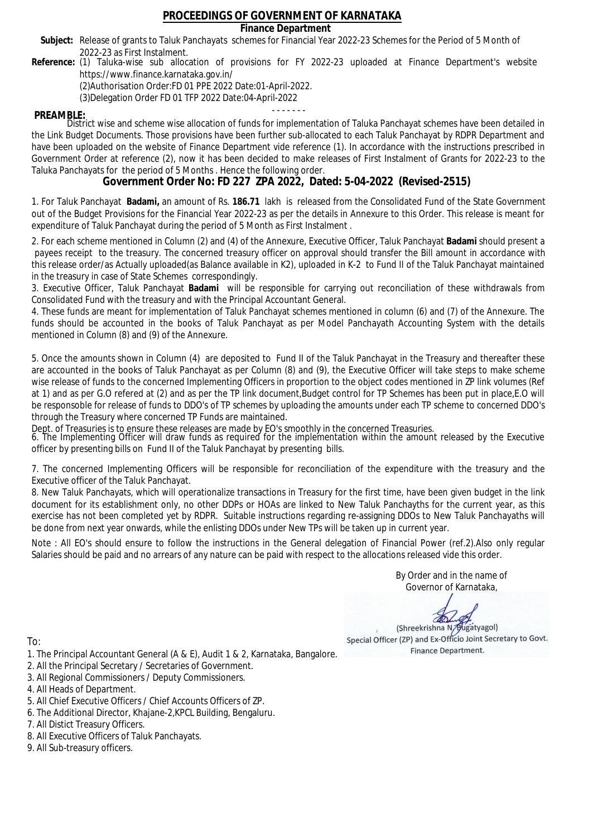### **Finance Department**

- Subject: Release of grants to Taluk Panchayats schemes for Financial Year 2022-23 Schemes for the Period of 5 Month of 2022-23 as First Instalment.
- **Reference:** (1) Taluka-wise sub allocation of provisions for FY 2022-23 uploaded at Finance Department's website https://www.finance.karnataka.gov.in/

(2)Authorisation Order:FD 01 PPE 2022 Date:01-April-2022.

(3)Delegation Order FD 01 TFP 2022 Date:04-April-2022

- - - - - - - **PREAMBLE:** District wise and scheme wise allocation of funds for implementation of Taluka Panchayat schemes have been detailed in the Link Budget Documents. Those provisions have been further sub-allocated to each Taluk Panchayat by RDPR Department and have been uploaded on the website of Finance Department vide reference (1). In accordance with the instructions prescribed in Government Order at reference (2), now it has been decided to make releases of First Instalment of Grants for 2022-23 to the Taluka Panchayats for the period of 5 Months . Hence the following order.

**Government Order No: FD 227 ZPA 2022, Dated: 5-04-2022 (Revised-2515)**

1. For Taluk Panchayat **Badami,** an amount of Rs. **186.71** lakh is released from the Consolidated Fund of the State Government out of the Budget Provisions for the Financial Year 2022-23 as per the details in Annexure to this Order. This release is meant for expenditure of Taluk Panchayat during the period of 5 Month as First Instalment .

2. For each scheme mentioned in Column (2) and (4) of the Annexure, Executive Officer, Taluk Panchayat **Badami** should present a payees receipt to the treasury. The concerned treasury officer on approval should transfer the Bill amount in accordance with this release order/as Actually uploaded(as Balance available in K2), uploaded in K-2 to Fund II of the Taluk Panchayat maintained in the treasury in case of State Schemes correspondingly.

3. Executive Officer, Taluk Panchayat **Badami** will be responsible for carrying out reconciliation of these withdrawals from Consolidated Fund with the treasury and with the Principal Accountant General.

4. These funds are meant for implementation of Taluk Panchayat schemes mentioned in column (6) and (7) of the Annexure. The funds should be accounted in the books of Taluk Panchayat as per Model Panchayath Accounting System with the details mentioned in Column (8) and (9) of the Annexure.

5. Once the amounts shown in Column (4) are deposited to Fund II of the Taluk Panchayat in the Treasury and thereafter these are accounted in the books of Taluk Panchayat as per Column (8) and (9), the Executive Officer will take steps to make scheme wise release of funds to the concerned Implementing Officers in proportion to the object codes mentioned in ZP link volumes (Ref at 1) and as per G.O refered at (2) and as per the TP link document,Budget control for TP Schemes has been put in place,E.O will be responsoble for release of funds to DDO's of TP schemes by uploading the amounts under each TP scheme to concerned DDO's through the Treasury where concerned TP Funds are maintained.

Dept. of Treasuries is to ensure these releases are made by EO's smoothly in the concerned Treasuries.

6. The Implementing Officer will draw funds as required for the implementation within the amount released by the Executive officer by presenting bills on Fund II of the Taluk Panchayat by presenting bills.

7. The concerned Implementing Officers will be responsible for reconciliation of the expenditure with the treasury and the Executive officer of the Taluk Panchayat.

8. New Taluk Panchayats, which will operationalize transactions in Treasury for the first time, have been given budget in the link document for its establishment only, no other DDPs or HOAs are linked to New Taluk Panchayths for the current year, as this exercise has not been completed yet by RDPR. Suitable instructions regarding re-assigning DDOs to New Taluk Panchayaths will be done from next year onwards, while the enlisting DDOs under New TPs will be taken up in current year.

Note : All EO's should ensure to follow the instructions in the General delegation of Financial Power (ref.2).Also only regular Salaries should be paid and no arrears of any nature can be paid with respect to the allocations released vide this order.

> By Order and in the name of Governor of Karnataka,

**PD** 

(Shreekrishna N/Bugatyagol) Special Officer (ZP) and Ex-Officio Joint Secretary to Govt. Finance Department.

To:

- 1. The Principal Accountant General (A & E), Audit 1 & 2, Karnataka, Bangalore.
- 2. All the Principal Secretary / Secretaries of Government.
- 3. All Regional Commissioners / Deputy Commissioners.
- 4. All Heads of Department.
- 5. All Chief Executive Officers / Chief Accounts Officers of ZP.
- 6. The Additional Director, Khajane-2,KPCL Building, Bengaluru.

- 8. All Executive Officers of Taluk Panchayats.
- 9. All Sub-treasury officers.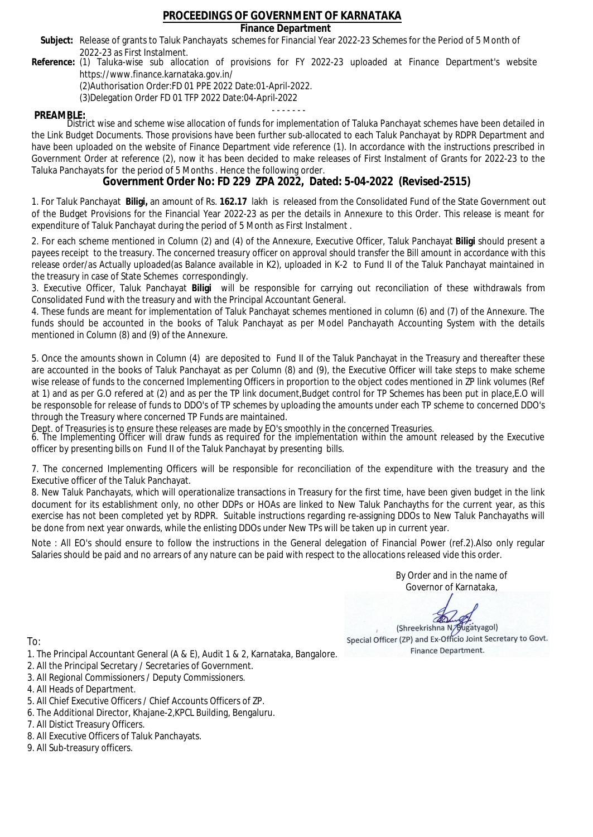### **Finance Department**

- Subject: Release of grants to Taluk Panchayats schemes for Financial Year 2022-23 Schemes for the Period of 5 Month of 2022-23 as First Instalment.
- **Reference:** (1) Taluka-wise sub allocation of provisions for FY 2022-23 uploaded at Finance Department's website https://www.finance.karnataka.gov.in/

(2)Authorisation Order:FD 01 PPE 2022 Date:01-April-2022.

(3)Delegation Order FD 01 TFP 2022 Date:04-April-2022

- - - - - - - **PREAMBLE:** District wise and scheme wise allocation of funds for implementation of Taluka Panchayat schemes have been detailed in the Link Budget Documents. Those provisions have been further sub-allocated to each Taluk Panchayat by RDPR Department and have been uploaded on the website of Finance Department vide reference (1). In accordance with the instructions prescribed in Government Order at reference (2), now it has been decided to make releases of First Instalment of Grants for 2022-23 to the Taluka Panchayats for the period of 5 Months . Hence the following order.

**Government Order No: FD 229 ZPA 2022, Dated: 5-04-2022 (Revised-2515)**

1. For Taluk Panchayat **Biligi,** an amount of Rs. **162.17** lakh is released from the Consolidated Fund of the State Government out of the Budget Provisions for the Financial Year 2022-23 as per the details in Annexure to this Order. This release is meant for expenditure of Taluk Panchayat during the period of 5 Month as First Instalment .

2. For each scheme mentioned in Column (2) and (4) of the Annexure, Executive Officer, Taluk Panchayat **Biligi** should present a payees receipt to the treasury. The concerned treasury officer on approval should transfer the Bill amount in accordance with this release order/as Actually uploaded(as Balance available in K2), uploaded in K-2 to Fund II of the Taluk Panchayat maintained in the treasury in case of State Schemes correspondingly.

3. Executive Officer, Taluk Panchayat **Biligi** will be responsible for carrying out reconciliation of these withdrawals from Consolidated Fund with the treasury and with the Principal Accountant General.

4. These funds are meant for implementation of Taluk Panchayat schemes mentioned in column (6) and (7) of the Annexure. The funds should be accounted in the books of Taluk Panchayat as per Model Panchayath Accounting System with the details mentioned in Column (8) and (9) of the Annexure.

5. Once the amounts shown in Column (4) are deposited to Fund II of the Taluk Panchayat in the Treasury and thereafter these are accounted in the books of Taluk Panchayat as per Column (8) and (9), the Executive Officer will take steps to make scheme wise release of funds to the concerned Implementing Officers in proportion to the object codes mentioned in ZP link volumes (Ref at 1) and as per G.O refered at (2) and as per the TP link document,Budget control for TP Schemes has been put in place,E.O will be responsoble for release of funds to DDO's of TP schemes by uploading the amounts under each TP scheme to concerned DDO's through the Treasury where concerned TP Funds are maintained.

Dept. of Treasuries is to ensure these releases are made by EO's smoothly in the concerned Treasuries.

6. The Implementing Officer will draw funds as required for the implementation within the amount released by the Executive officer by presenting bills on Fund II of the Taluk Panchayat by presenting bills.

7. The concerned Implementing Officers will be responsible for reconciliation of the expenditure with the treasury and the Executive officer of the Taluk Panchayat.

8. New Taluk Panchayats, which will operationalize transactions in Treasury for the first time, have been given budget in the link document for its establishment only, no other DDPs or HOAs are linked to New Taluk Panchayths for the current year, as this exercise has not been completed yet by RDPR. Suitable instructions regarding re-assigning DDOs to New Taluk Panchayaths will be done from next year onwards, while the enlisting DDOs under New TPs will be taken up in current year.

Note : All EO's should ensure to follow the instructions in the General delegation of Financial Power (ref.2).Also only regular Salaries should be paid and no arrears of any nature can be paid with respect to the allocations released vide this order.

> By Order and in the name of Governor of Karnataka,

**PD** 

(Shreekrishna N/Bugatyagol) Special Officer (ZP) and Ex-Officio Joint Secretary to Govt. Finance Department.

- 1. The Principal Accountant General (A & E), Audit 1 & 2, Karnataka, Bangalore.
- 2. All the Principal Secretary / Secretaries of Government.
- 3. All Regional Commissioners / Deputy Commissioners.
- 4. All Heads of Department.
- 5. All Chief Executive Officers / Chief Accounts Officers of ZP.
- 6. The Additional Director, Khajane-2,KPCL Building, Bengaluru.
- 7. All Distict Treasury Officers.
- 8. All Executive Officers of Taluk Panchayats.
- 9. All Sub-treasury officers.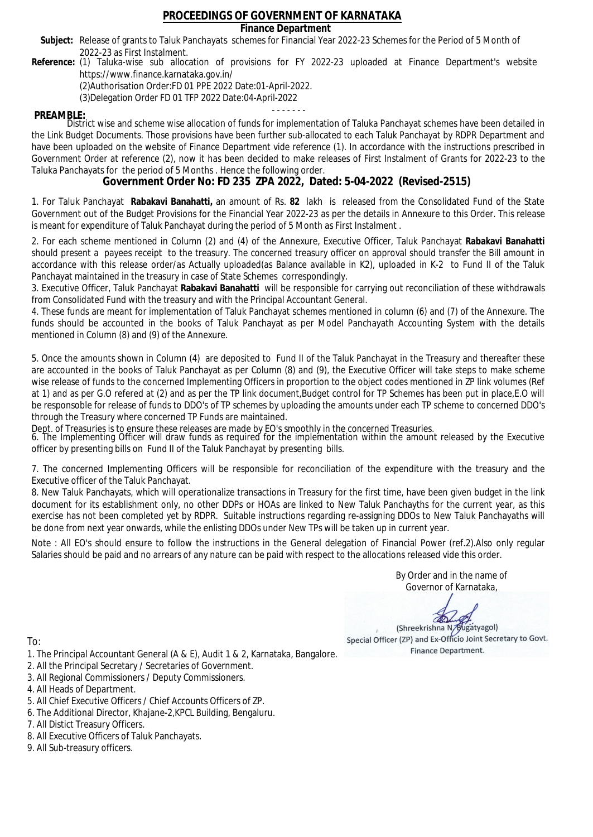### **Finance Department**

- Subject: Release of grants to Taluk Panchayats schemes for Financial Year 2022-23 Schemes for the Period of 5 Month of 2022-23 as First Instalment.
- **Reference:** (1) Taluka-wise sub allocation of provisions for FY 2022-23 uploaded at Finance Department's website https://www.finance.karnataka.gov.in/

(2)Authorisation Order:FD 01 PPE 2022 Date:01-April-2022.

(3)Delegation Order FD 01 TFP 2022 Date:04-April-2022

- - - - - - - **PREAMBLE:** District wise and scheme wise allocation of funds for implementation of Taluka Panchayat schemes have been detailed in the Link Budget Documents. Those provisions have been further sub-allocated to each Taluk Panchayat by RDPR Department and have been uploaded on the website of Finance Department vide reference (1). In accordance with the instructions prescribed in Government Order at reference (2), now it has been decided to make releases of First Instalment of Grants for 2022-23 to the Taluka Panchayats for the period of 5 Months . Hence the following order.

**Government Order No: FD 235 ZPA 2022, Dated: 5-04-2022 (Revised-2515)**

1. For Taluk Panchayat **Rabakavi Banahatti,** an amount of Rs. **82** lakh is released from the Consolidated Fund of the State Government out of the Budget Provisions for the Financial Year 2022-23 as per the details in Annexure to this Order. This release is meant for expenditure of Taluk Panchayat during the period of 5 Month as First Instalment .

2. For each scheme mentioned in Column (2) and (4) of the Annexure, Executive Officer, Taluk Panchayat **Rabakavi Banahatti** should present a payees receipt to the treasury. The concerned treasury officer on approval should transfer the Bill amount in accordance with this release order/as Actually uploaded(as Balance available in K2), uploaded in K-2 to Fund II of the Taluk Panchayat maintained in the treasury in case of State Schemes correspondingly.

3. Executive Officer, Taluk Panchayat **Rabakavi Banahatti** will be responsible for carrying out reconciliation of these withdrawals from Consolidated Fund with the treasury and with the Principal Accountant General.

4. These funds are meant for implementation of Taluk Panchayat schemes mentioned in column (6) and (7) of the Annexure. The funds should be accounted in the books of Taluk Panchayat as per Model Panchayath Accounting System with the details mentioned in Column (8) and (9) of the Annexure.

5. Once the amounts shown in Column (4) are deposited to Fund II of the Taluk Panchayat in the Treasury and thereafter these are accounted in the books of Taluk Panchayat as per Column (8) and (9), the Executive Officer will take steps to make scheme wise release of funds to the concerned Implementing Officers in proportion to the object codes mentioned in ZP link volumes (Ref at 1) and as per G.O refered at (2) and as per the TP link document,Budget control for TP Schemes has been put in place,E.O will be responsoble for release of funds to DDO's of TP schemes by uploading the amounts under each TP scheme to concerned DDO's through the Treasury where concerned TP Funds are maintained.

Dept. of Treasuries is to ensure these releases are made by EO's smoothly in the concerned Treasuries.

6. The Implementing Officer will draw funds as required for the implementation within the amount released by the Executive officer by presenting bills on Fund II of the Taluk Panchayat by presenting bills.

7. The concerned Implementing Officers will be responsible for reconciliation of the expenditure with the treasury and the Executive officer of the Taluk Panchayat.

8. New Taluk Panchayats, which will operationalize transactions in Treasury for the first time, have been given budget in the link document for its establishment only, no other DDPs or HOAs are linked to New Taluk Panchayths for the current year, as this exercise has not been completed yet by RDPR. Suitable instructions regarding re-assigning DDOs to New Taluk Panchayaths will be done from next year onwards, while the enlisting DDOs under New TPs will be taken up in current year.

Note : All EO's should ensure to follow the instructions in the General delegation of Financial Power (ref.2).Also only regular Salaries should be paid and no arrears of any nature can be paid with respect to the allocations released vide this order.

> By Order and in the name of Governor of Karnataka,

**PD** 

(Shreekrishna N/Bugatyagol) Special Officer (ZP) and Ex-Officio Joint Secretary to Govt. Finance Department.

- 1. The Principal Accountant General (A & E), Audit 1 & 2, Karnataka, Bangalore.
- 2. All the Principal Secretary / Secretaries of Government.
- 3. All Regional Commissioners / Deputy Commissioners.
- 4. All Heads of Department.
- 5. All Chief Executive Officers / Chief Accounts Officers of ZP.
- 6. The Additional Director, Khajane-2,KPCL Building, Bengaluru.
- 7. All Distict Treasury Officers.
- 8. All Executive Officers of Taluk Panchayats.
- 9. All Sub-treasury officers.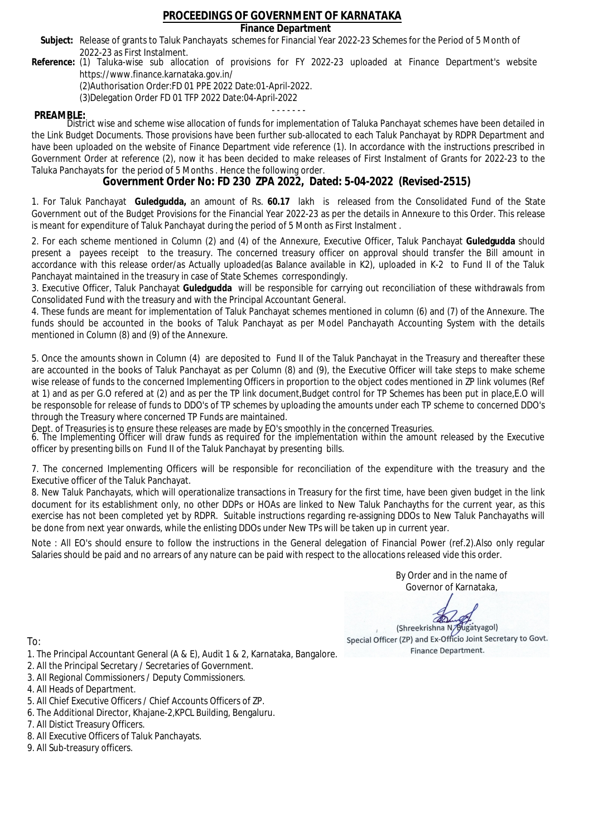### **Finance Department**

- Subject: Release of grants to Taluk Panchayats schemes for Financial Year 2022-23 Schemes for the Period of 5 Month of 2022-23 as First Instalment.
- **Reference:** (1) Taluka-wise sub allocation of provisions for FY 2022-23 uploaded at Finance Department's website https://www.finance.karnataka.gov.in/

(2)Authorisation Order:FD 01 PPE 2022 Date:01-April-2022.

(3)Delegation Order FD 01 TFP 2022 Date:04-April-2022

- - - - - - - **PREAMBLE:** District wise and scheme wise allocation of funds for implementation of Taluka Panchayat schemes have been detailed in the Link Budget Documents. Those provisions have been further sub-allocated to each Taluk Panchayat by RDPR Department and have been uploaded on the website of Finance Department vide reference (1). In accordance with the instructions prescribed in Government Order at reference (2), now it has been decided to make releases of First Instalment of Grants for 2022-23 to the Taluka Panchayats for the period of 5 Months . Hence the following order.

**Government Order No: FD 230 ZPA 2022, Dated: 5-04-2022 (Revised-2515)**

1. For Taluk Panchayat **Guledgudda,** an amount of Rs. **60.17** lakh is released from the Consolidated Fund of the State Government out of the Budget Provisions for the Financial Year 2022-23 as per the details in Annexure to this Order. This release is meant for expenditure of Taluk Panchayat during the period of 5 Month as First Instalment .

2. For each scheme mentioned in Column (2) and (4) of the Annexure, Executive Officer, Taluk Panchayat **Guledgudda** should present a payees receipt to the treasury. The concerned treasury officer on approval should transfer the Bill amount in accordance with this release order/as Actually uploaded(as Balance available in K2), uploaded in K-2 to Fund II of the Taluk Panchayat maintained in the treasury in case of State Schemes correspondingly.

3. Executive Officer, Taluk Panchayat **Guledgudda** will be responsible for carrying out reconciliation of these withdrawals from Consolidated Fund with the treasury and with the Principal Accountant General.

4. These funds are meant for implementation of Taluk Panchayat schemes mentioned in column (6) and (7) of the Annexure. The funds should be accounted in the books of Taluk Panchayat as per Model Panchayath Accounting System with the details mentioned in Column (8) and (9) of the Annexure.

5. Once the amounts shown in Column (4) are deposited to Fund II of the Taluk Panchayat in the Treasury and thereafter these are accounted in the books of Taluk Panchayat as per Column (8) and (9), the Executive Officer will take steps to make scheme wise release of funds to the concerned Implementing Officers in proportion to the object codes mentioned in ZP link volumes (Ref at 1) and as per G.O refered at (2) and as per the TP link document,Budget control for TP Schemes has been put in place,E.O will be responsoble for release of funds to DDO's of TP schemes by uploading the amounts under each TP scheme to concerned DDO's through the Treasury where concerned TP Funds are maintained.

Dept. of Treasuries is to ensure these releases are made by EO's smoothly in the concerned Treasuries.

6. The Implementing Officer will draw funds as required for the implementation within the amount released by the Executive officer by presenting bills on Fund II of the Taluk Panchayat by presenting bills.

7. The concerned Implementing Officers will be responsible for reconciliation of the expenditure with the treasury and the Executive officer of the Taluk Panchayat.

8. New Taluk Panchayats, which will operationalize transactions in Treasury for the first time, have been given budget in the link document for its establishment only, no other DDPs or HOAs are linked to New Taluk Panchayths for the current year, as this exercise has not been completed yet by RDPR. Suitable instructions regarding re-assigning DDOs to New Taluk Panchayaths will be done from next year onwards, while the enlisting DDOs under New TPs will be taken up in current year.

Note : All EO's should ensure to follow the instructions in the General delegation of Financial Power (ref.2).Also only regular Salaries should be paid and no arrears of any nature can be paid with respect to the allocations released vide this order.

> By Order and in the name of Governor of Karnataka,

**PD** 

(Shreekrishna N/Bugatyagol) Special Officer (ZP) and Ex-Officio Joint Secretary to Govt. Finance Department.

- 1. The Principal Accountant General (A & E), Audit 1 & 2, Karnataka, Bangalore.
- 2. All the Principal Secretary / Secretaries of Government.
- 3. All Regional Commissioners / Deputy Commissioners.
- 4. All Heads of Department.
- 5. All Chief Executive Officers / Chief Accounts Officers of ZP.
- 6. The Additional Director, Khajane-2,KPCL Building, Bengaluru.
- 7. All Distict Treasury Officers.
- 8. All Executive Officers of Taluk Panchayats.
- 9. All Sub-treasury officers.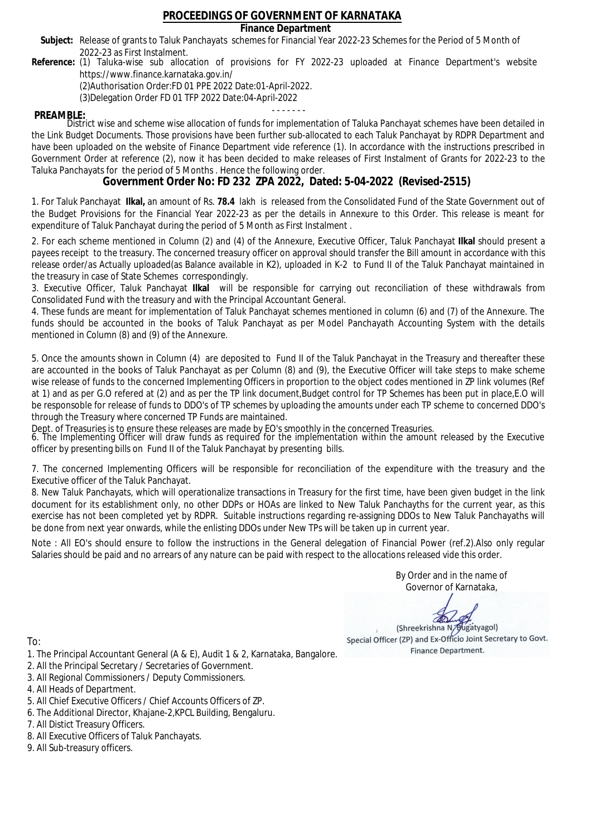### **Finance Department**

- Subject: Release of grants to Taluk Panchayats schemes for Financial Year 2022-23 Schemes for the Period of 5 Month of 2022-23 as First Instalment.
- **Reference:** (1) Taluka-wise sub allocation of provisions for FY 2022-23 uploaded at Finance Department's website https://www.finance.karnataka.gov.in/

(2)Authorisation Order:FD 01 PPE 2022 Date:01-April-2022.

(3)Delegation Order FD 01 TFP 2022 Date:04-April-2022

- - - - - - - **PREAMBLE:** District wise and scheme wise allocation of funds for implementation of Taluka Panchayat schemes have been detailed in the Link Budget Documents. Those provisions have been further sub-allocated to each Taluk Panchayat by RDPR Department and have been uploaded on the website of Finance Department vide reference (1). In accordance with the instructions prescribed in Government Order at reference (2), now it has been decided to make releases of First Instalment of Grants for 2022-23 to the Taluka Panchayats for the period of 5 Months . Hence the following order.

**Government Order No: FD 232 ZPA 2022, Dated: 5-04-2022 (Revised-2515)**

1. For Taluk Panchayat **Ilkal,** an amount of Rs. **78.4** lakh is released from the Consolidated Fund of the State Government out of the Budget Provisions for the Financial Year 2022-23 as per the details in Annexure to this Order. This release is meant for expenditure of Taluk Panchayat during the period of 5 Month as First Instalment .

2. For each scheme mentioned in Column (2) and (4) of the Annexure, Executive Officer, Taluk Panchayat **Ilkal** should present a payees receipt to the treasury. The concerned treasury officer on approval should transfer the Bill amount in accordance with this release order/as Actually uploaded(as Balance available in K2), uploaded in K-2 to Fund II of the Taluk Panchayat maintained in the treasury in case of State Schemes correspondingly.

3. Executive Officer, Taluk Panchayat **Ilkal** will be responsible for carrying out reconciliation of these withdrawals from Consolidated Fund with the treasury and with the Principal Accountant General.

4. These funds are meant for implementation of Taluk Panchayat schemes mentioned in column (6) and (7) of the Annexure. The funds should be accounted in the books of Taluk Panchayat as per Model Panchayath Accounting System with the details mentioned in Column (8) and (9) of the Annexure.

5. Once the amounts shown in Column (4) are deposited to Fund II of the Taluk Panchayat in the Treasury and thereafter these are accounted in the books of Taluk Panchayat as per Column (8) and (9), the Executive Officer will take steps to make scheme wise release of funds to the concerned Implementing Officers in proportion to the object codes mentioned in ZP link volumes (Ref at 1) and as per G.O refered at (2) and as per the TP link document,Budget control for TP Schemes has been put in place,E.O will be responsoble for release of funds to DDO's of TP schemes by uploading the amounts under each TP scheme to concerned DDO's through the Treasury where concerned TP Funds are maintained.

Dept. of Treasuries is to ensure these releases are made by EO's smoothly in the concerned Treasuries.

6. The Implementing Officer will draw funds as required for the implementation within the amount released by the Executive officer by presenting bills on Fund II of the Taluk Panchayat by presenting bills.

7. The concerned Implementing Officers will be responsible for reconciliation of the expenditure with the treasury and the Executive officer of the Taluk Panchayat.

8. New Taluk Panchayats, which will operationalize transactions in Treasury for the first time, have been given budget in the link document for its establishment only, no other DDPs or HOAs are linked to New Taluk Panchayths for the current year, as this exercise has not been completed yet by RDPR. Suitable instructions regarding re-assigning DDOs to New Taluk Panchayaths will be done from next year onwards, while the enlisting DDOs under New TPs will be taken up in current year.

Note : All EO's should ensure to follow the instructions in the General delegation of Financial Power (ref.2).Also only regular Salaries should be paid and no arrears of any nature can be paid with respect to the allocations released vide this order.

> By Order and in the name of Governor of Karnataka,

**PD** 

(Shreekrishna N/Bugatyagol) Special Officer (ZP) and Ex-Officio Joint Secretary to Govt. Finance Department.

To:

- 1. The Principal Accountant General (A & E), Audit 1 & 2, Karnataka, Bangalore.
- 2. All the Principal Secretary / Secretaries of Government.
- 3. All Regional Commissioners / Deputy Commissioners.
- 4. All Heads of Department.
- 5. All Chief Executive Officers / Chief Accounts Officers of ZP.
- 6. The Additional Director, Khajane-2,KPCL Building, Bengaluru.

- 8. All Executive Officers of Taluk Panchayats.
- 9. All Sub-treasury officers.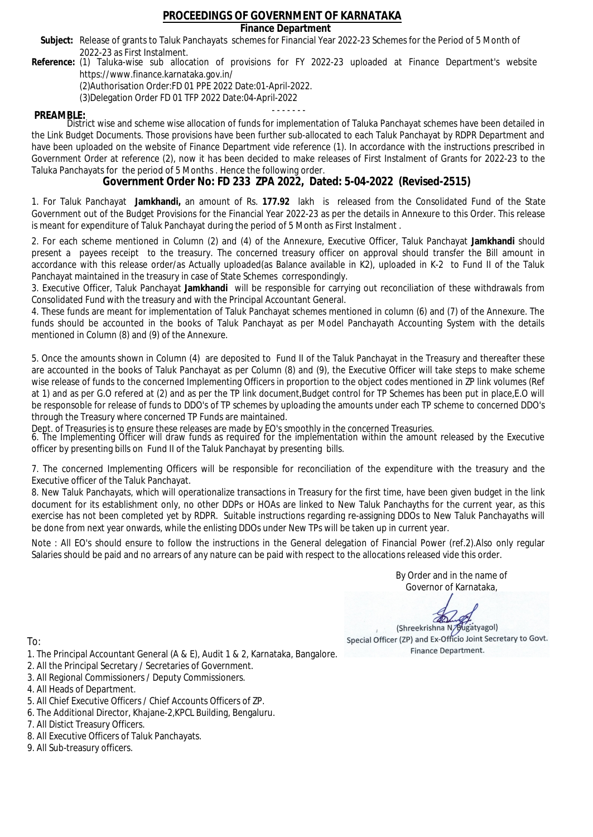### **Finance Department**

- Subject: Release of grants to Taluk Panchayats schemes for Financial Year 2022-23 Schemes for the Period of 5 Month of 2022-23 as First Instalment.
- **Reference:** (1) Taluka-wise sub allocation of provisions for FY 2022-23 uploaded at Finance Department's website https://www.finance.karnataka.gov.in/

(2)Authorisation Order:FD 01 PPE 2022 Date:01-April-2022.

(3)Delegation Order FD 01 TFP 2022 Date:04-April-2022

- - - - - - - **PREAMBLE:** District wise and scheme wise allocation of funds for implementation of Taluka Panchayat schemes have been detailed in the Link Budget Documents. Those provisions have been further sub-allocated to each Taluk Panchayat by RDPR Department and have been uploaded on the website of Finance Department vide reference (1). In accordance with the instructions prescribed in Government Order at reference (2), now it has been decided to make releases of First Instalment of Grants for 2022-23 to the Taluka Panchayats for the period of 5 Months . Hence the following order.

**Government Order No: FD 233 ZPA 2022, Dated: 5-04-2022 (Revised-2515)**

1. For Taluk Panchayat **Jamkhandi,** an amount of Rs. **177.92** lakh is released from the Consolidated Fund of the State Government out of the Budget Provisions for the Financial Year 2022-23 as per the details in Annexure to this Order. This release is meant for expenditure of Taluk Panchayat during the period of 5 Month as First Instalment .

2. For each scheme mentioned in Column (2) and (4) of the Annexure, Executive Officer, Taluk Panchayat **Jamkhandi** should present a payees receipt to the treasury. The concerned treasury officer on approval should transfer the Bill amount in accordance with this release order/as Actually uploaded(as Balance available in K2), uploaded in K-2 to Fund II of the Taluk Panchayat maintained in the treasury in case of State Schemes correspondingly.

3. Executive Officer, Taluk Panchayat **Jamkhandi** will be responsible for carrying out reconciliation of these withdrawals from Consolidated Fund with the treasury and with the Principal Accountant General.

4. These funds are meant for implementation of Taluk Panchayat schemes mentioned in column (6) and (7) of the Annexure. The funds should be accounted in the books of Taluk Panchayat as per Model Panchayath Accounting System with the details mentioned in Column (8) and (9) of the Annexure.

5. Once the amounts shown in Column (4) are deposited to Fund II of the Taluk Panchayat in the Treasury and thereafter these are accounted in the books of Taluk Panchayat as per Column (8) and (9), the Executive Officer will take steps to make scheme wise release of funds to the concerned Implementing Officers in proportion to the object codes mentioned in ZP link volumes (Ref at 1) and as per G.O refered at (2) and as per the TP link document,Budget control for TP Schemes has been put in place,E.O will be responsoble for release of funds to DDO's of TP schemes by uploading the amounts under each TP scheme to concerned DDO's through the Treasury where concerned TP Funds are maintained.

Dept. of Treasuries is to ensure these releases are made by EO's smoothly in the concerned Treasuries.

6. The Implementing Officer will draw funds as required for the implementation within the amount released by the Executive officer by presenting bills on Fund II of the Taluk Panchayat by presenting bills.

7. The concerned Implementing Officers will be responsible for reconciliation of the expenditure with the treasury and the Executive officer of the Taluk Panchayat.

8. New Taluk Panchayats, which will operationalize transactions in Treasury for the first time, have been given budget in the link document for its establishment only, no other DDPs or HOAs are linked to New Taluk Panchayths for the current year, as this exercise has not been completed yet by RDPR. Suitable instructions regarding re-assigning DDOs to New Taluk Panchayaths will be done from next year onwards, while the enlisting DDOs under New TPs will be taken up in current year.

Note : All EO's should ensure to follow the instructions in the General delegation of Financial Power (ref.2).Also only regular Salaries should be paid and no arrears of any nature can be paid with respect to the allocations released vide this order.

> By Order and in the name of Governor of Karnataka,

**PD** 

(Shreekrishna N/Bugatyagol) Special Officer (ZP) and Ex-Officio Joint Secretary to Govt. Finance Department.

- 1. The Principal Accountant General (A & E), Audit 1 & 2, Karnataka, Bangalore.
- 2. All the Principal Secretary / Secretaries of Government.
- 3. All Regional Commissioners / Deputy Commissioners.
- 4. All Heads of Department.
- 5. All Chief Executive Officers / Chief Accounts Officers of ZP.
- 6. The Additional Director, Khajane-2,KPCL Building, Bengaluru.
- 7. All Distict Treasury Officers.
- 8. All Executive Officers of Taluk Panchayats.
- 9. All Sub-treasury officers.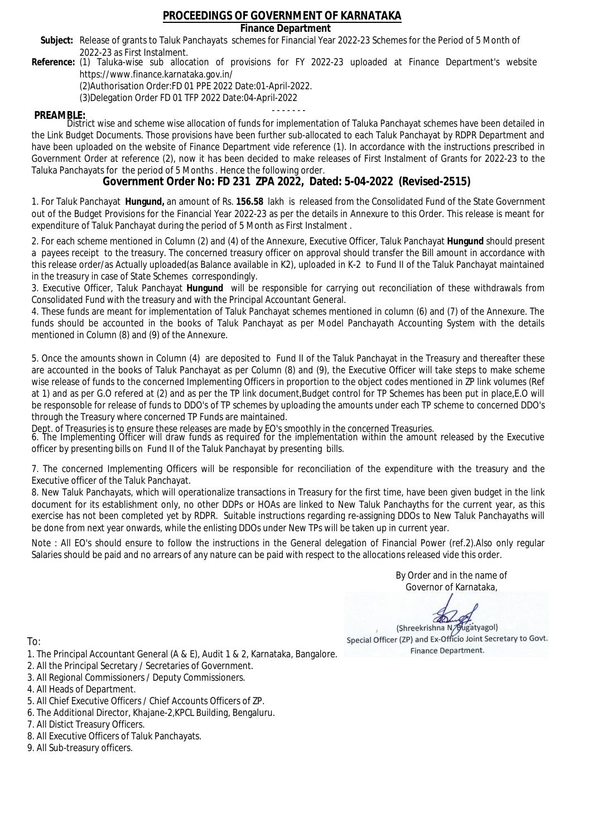### **Finance Department**

- Subject: Release of grants to Taluk Panchayats schemes for Financial Year 2022-23 Schemes for the Period of 5 Month of 2022-23 as First Instalment.
- **Reference:** (1) Taluka-wise sub allocation of provisions for FY 2022-23 uploaded at Finance Department's website https://www.finance.karnataka.gov.in/

(2)Authorisation Order:FD 01 PPE 2022 Date:01-April-2022.

(3)Delegation Order FD 01 TFP 2022 Date:04-April-2022

- - - - - - - **PREAMBLE:** District wise and scheme wise allocation of funds for implementation of Taluka Panchayat schemes have been detailed in the Link Budget Documents. Those provisions have been further sub-allocated to each Taluk Panchayat by RDPR Department and have been uploaded on the website of Finance Department vide reference (1). In accordance with the instructions prescribed in Government Order at reference (2), now it has been decided to make releases of First Instalment of Grants for 2022-23 to the Taluka Panchayats for the period of 5 Months . Hence the following order.

**Government Order No: FD 231 ZPA 2022, Dated: 5-04-2022 (Revised-2515)**

1. For Taluk Panchayat **Hungund,** an amount of Rs. **156.58** lakh is released from the Consolidated Fund of the State Government out of the Budget Provisions for the Financial Year 2022-23 as per the details in Annexure to this Order. This release is meant for expenditure of Taluk Panchayat during the period of 5 Month as First Instalment .

2. For each scheme mentioned in Column (2) and (4) of the Annexure, Executive Officer, Taluk Panchayat **Hungund** should present a payees receipt to the treasury. The concerned treasury officer on approval should transfer the Bill amount in accordance with this release order/as Actually uploaded(as Balance available in K2), uploaded in K-2 to Fund II of the Taluk Panchayat maintained in the treasury in case of State Schemes correspondingly.

3. Executive Officer, Taluk Panchayat **Hungund** will be responsible for carrying out reconciliation of these withdrawals from Consolidated Fund with the treasury and with the Principal Accountant General.

4. These funds are meant for implementation of Taluk Panchayat schemes mentioned in column (6) and (7) of the Annexure. The funds should be accounted in the books of Taluk Panchayat as per Model Panchayath Accounting System with the details mentioned in Column (8) and (9) of the Annexure.

5. Once the amounts shown in Column (4) are deposited to Fund II of the Taluk Panchayat in the Treasury and thereafter these are accounted in the books of Taluk Panchayat as per Column (8) and (9), the Executive Officer will take steps to make scheme wise release of funds to the concerned Implementing Officers in proportion to the object codes mentioned in ZP link volumes (Ref at 1) and as per G.O refered at (2) and as per the TP link document,Budget control for TP Schemes has been put in place,E.O will be responsoble for release of funds to DDO's of TP schemes by uploading the amounts under each TP scheme to concerned DDO's through the Treasury where concerned TP Funds are maintained.

Dept. of Treasuries is to ensure these releases are made by EO's smoothly in the concerned Treasuries.

6. The Implementing Officer will draw funds as required for the implementation within the amount released by the Executive officer by presenting bills on Fund II of the Taluk Panchayat by presenting bills.

7. The concerned Implementing Officers will be responsible for reconciliation of the expenditure with the treasury and the Executive officer of the Taluk Panchayat.

8. New Taluk Panchayats, which will operationalize transactions in Treasury for the first time, have been given budget in the link document for its establishment only, no other DDPs or HOAs are linked to New Taluk Panchayths for the current year, as this exercise has not been completed yet by RDPR. Suitable instructions regarding re-assigning DDOs to New Taluk Panchayaths will be done from next year onwards, while the enlisting DDOs under New TPs will be taken up in current year.

Note : All EO's should ensure to follow the instructions in the General delegation of Financial Power (ref.2).Also only regular Salaries should be paid and no arrears of any nature can be paid with respect to the allocations released vide this order.

> By Order and in the name of Governor of Karnataka,

**PD** 

(Shreekrishna N/Bugatyagol) Special Officer (ZP) and Ex-Officio Joint Secretary to Govt. Finance Department.

To:

- 1. The Principal Accountant General (A & E), Audit 1 & 2, Karnataka, Bangalore.
- 2. All the Principal Secretary / Secretaries of Government.
- 3. All Regional Commissioners / Deputy Commissioners.
- 4. All Heads of Department.
- 5. All Chief Executive Officers / Chief Accounts Officers of ZP.
- 6. The Additional Director, Khajane-2,KPCL Building, Bengaluru.

- 8. All Executive Officers of Taluk Panchayats.
- 9. All Sub-treasury officers.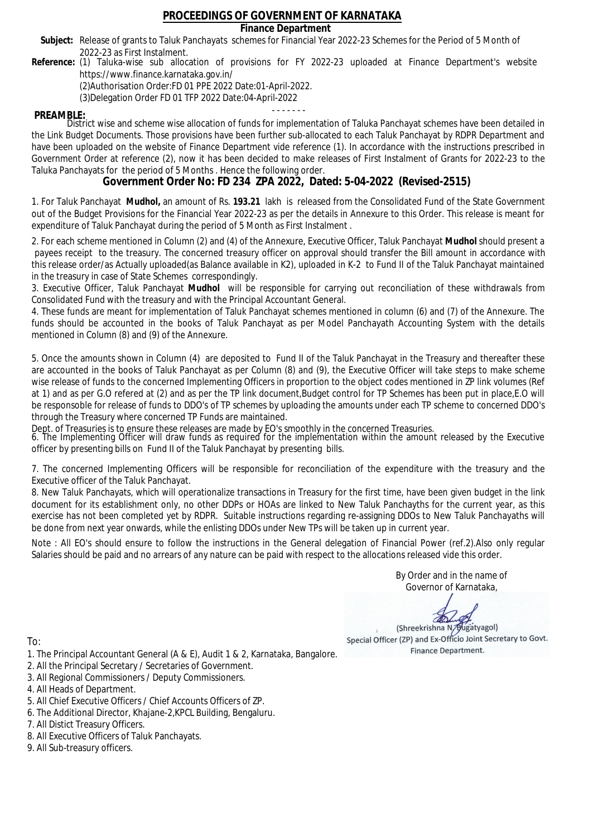### **Finance Department**

- Subject: Release of grants to Taluk Panchayats schemes for Financial Year 2022-23 Schemes for the Period of 5 Month of 2022-23 as First Instalment.
- **Reference:** (1) Taluka-wise sub allocation of provisions for FY 2022-23 uploaded at Finance Department's website https://www.finance.karnataka.gov.in/

(2)Authorisation Order:FD 01 PPE 2022 Date:01-April-2022.

(3)Delegation Order FD 01 TFP 2022 Date:04-April-2022

- - - - - - - **PREAMBLE:** District wise and scheme wise allocation of funds for implementation of Taluka Panchayat schemes have been detailed in the Link Budget Documents. Those provisions have been further sub-allocated to each Taluk Panchayat by RDPR Department and have been uploaded on the website of Finance Department vide reference (1). In accordance with the instructions prescribed in Government Order at reference (2), now it has been decided to make releases of First Instalment of Grants for 2022-23 to the Taluka Panchayats for the period of 5 Months . Hence the following order.

**Government Order No: FD 234 ZPA 2022, Dated: 5-04-2022 (Revised-2515)**

1. For Taluk Panchayat **Mudhol,** an amount of Rs. **193.21** lakh is released from the Consolidated Fund of the State Government out of the Budget Provisions for the Financial Year 2022-23 as per the details in Annexure to this Order. This release is meant for expenditure of Taluk Panchayat during the period of 5 Month as First Instalment .

2. For each scheme mentioned in Column (2) and (4) of the Annexure, Executive Officer, Taluk Panchayat **Mudhol** should present a payees receipt to the treasury. The concerned treasury officer on approval should transfer the Bill amount in accordance with this release order/as Actually uploaded(as Balance available in K2), uploaded in K-2 to Fund II of the Taluk Panchayat maintained in the treasury in case of State Schemes correspondingly.

3. Executive Officer, Taluk Panchayat **Mudhol** will be responsible for carrying out reconciliation of these withdrawals from Consolidated Fund with the treasury and with the Principal Accountant General.

4. These funds are meant for implementation of Taluk Panchayat schemes mentioned in column (6) and (7) of the Annexure. The funds should be accounted in the books of Taluk Panchayat as per Model Panchayath Accounting System with the details mentioned in Column (8) and (9) of the Annexure.

5. Once the amounts shown in Column (4) are deposited to Fund II of the Taluk Panchayat in the Treasury and thereafter these are accounted in the books of Taluk Panchayat as per Column (8) and (9), the Executive Officer will take steps to make scheme wise release of funds to the concerned Implementing Officers in proportion to the object codes mentioned in ZP link volumes (Ref at 1) and as per G.O refered at (2) and as per the TP link document,Budget control for TP Schemes has been put in place,E.O will be responsoble for release of funds to DDO's of TP schemes by uploading the amounts under each TP scheme to concerned DDO's through the Treasury where concerned TP Funds are maintained.

Dept. of Treasuries is to ensure these releases are made by EO's smoothly in the concerned Treasuries.

6. The Implementing Officer will draw funds as required for the implementation within the amount released by the Executive officer by presenting bills on Fund II of the Taluk Panchayat by presenting bills.

7. The concerned Implementing Officers will be responsible for reconciliation of the expenditure with the treasury and the Executive officer of the Taluk Panchayat.

8. New Taluk Panchayats, which will operationalize transactions in Treasury for the first time, have been given budget in the link document for its establishment only, no other DDPs or HOAs are linked to New Taluk Panchayths for the current year, as this exercise has not been completed yet by RDPR. Suitable instructions regarding re-assigning DDOs to New Taluk Panchayaths will be done from next year onwards, while the enlisting DDOs under New TPs will be taken up in current year.

Note : All EO's should ensure to follow the instructions in the General delegation of Financial Power (ref.2).Also only regular Salaries should be paid and no arrears of any nature can be paid with respect to the allocations released vide this order.

> By Order and in the name of Governor of Karnataka,

**PD** 

(Shreekrishna N/Bugatyagol) Special Officer (ZP) and Ex-Officio Joint Secretary to Govt. Finance Department.

- 1. The Principal Accountant General (A & E), Audit 1 & 2, Karnataka, Bangalore.
- 2. All the Principal Secretary / Secretaries of Government.
- 3. All Regional Commissioners / Deputy Commissioners.
- 4. All Heads of Department.
- 5. All Chief Executive Officers / Chief Accounts Officers of ZP.
- 6. The Additional Director, Khajane-2,KPCL Building, Bengaluru.
- 7. All Distict Treasury Officers.
- 8. All Executive Officers of Taluk Panchayats.
- 9. All Sub-treasury officers.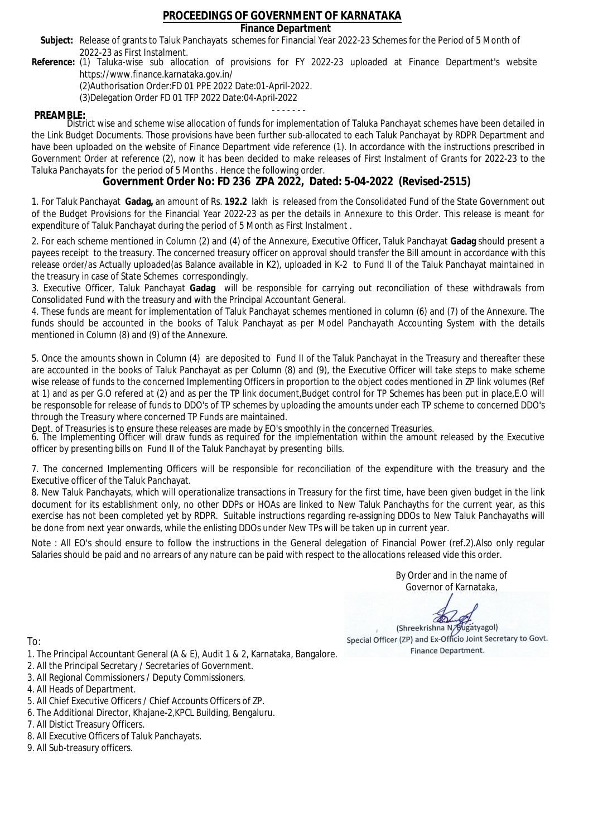### **Finance Department**

- Subject: Release of grants to Taluk Panchayats schemes for Financial Year 2022-23 Schemes for the Period of 5 Month of 2022-23 as First Instalment.
- **Reference:** (1) Taluka-wise sub allocation of provisions for FY 2022-23 uploaded at Finance Department's website https://www.finance.karnataka.gov.in/

(2)Authorisation Order:FD 01 PPE 2022 Date:01-April-2022.

(3)Delegation Order FD 01 TFP 2022 Date:04-April-2022

- - - - - - - **PREAMBLE:** District wise and scheme wise allocation of funds for implementation of Taluka Panchayat schemes have been detailed in the Link Budget Documents. Those provisions have been further sub-allocated to each Taluk Panchayat by RDPR Department and have been uploaded on the website of Finance Department vide reference (1). In accordance with the instructions prescribed in Government Order at reference (2), now it has been decided to make releases of First Instalment of Grants for 2022-23 to the Taluka Panchayats for the period of 5 Months . Hence the following order.

**Government Order No: FD 236 ZPA 2022, Dated: 5-04-2022 (Revised-2515)**

1. For Taluk Panchayat **Gadag,** an amount of Rs. **192.2** lakh is released from the Consolidated Fund of the State Government out of the Budget Provisions for the Financial Year 2022-23 as per the details in Annexure to this Order. This release is meant for expenditure of Taluk Panchayat during the period of 5 Month as First Instalment .

2. For each scheme mentioned in Column (2) and (4) of the Annexure, Executive Officer, Taluk Panchayat **Gadag** should present a payees receipt to the treasury. The concerned treasury officer on approval should transfer the Bill amount in accordance with this release order/as Actually uploaded(as Balance available in K2), uploaded in K-2 to Fund II of the Taluk Panchayat maintained in the treasury in case of State Schemes correspondingly.

3. Executive Officer, Taluk Panchayat **Gadag** will be responsible for carrying out reconciliation of these withdrawals from Consolidated Fund with the treasury and with the Principal Accountant General.

4. These funds are meant for implementation of Taluk Panchayat schemes mentioned in column (6) and (7) of the Annexure. The funds should be accounted in the books of Taluk Panchayat as per Model Panchayath Accounting System with the details mentioned in Column (8) and (9) of the Annexure.

5. Once the amounts shown in Column (4) are deposited to Fund II of the Taluk Panchayat in the Treasury and thereafter these are accounted in the books of Taluk Panchayat as per Column (8) and (9), the Executive Officer will take steps to make scheme wise release of funds to the concerned Implementing Officers in proportion to the object codes mentioned in ZP link volumes (Ref at 1) and as per G.O refered at (2) and as per the TP link document,Budget control for TP Schemes has been put in place,E.O will be responsoble for release of funds to DDO's of TP schemes by uploading the amounts under each TP scheme to concerned DDO's through the Treasury where concerned TP Funds are maintained.

Dept. of Treasuries is to ensure these releases are made by EO's smoothly in the concerned Treasuries.

6. The Implementing Officer will draw funds as required for the implementation within the amount released by the Executive officer by presenting bills on Fund II of the Taluk Panchayat by presenting bills.

7. The concerned Implementing Officers will be responsible for reconciliation of the expenditure with the treasury and the Executive officer of the Taluk Panchayat.

8. New Taluk Panchayats, which will operationalize transactions in Treasury for the first time, have been given budget in the link document for its establishment only, no other DDPs or HOAs are linked to New Taluk Panchayths for the current year, as this exercise has not been completed yet by RDPR. Suitable instructions regarding re-assigning DDOs to New Taluk Panchayaths will be done from next year onwards, while the enlisting DDOs under New TPs will be taken up in current year.

Note : All EO's should ensure to follow the instructions in the General delegation of Financial Power (ref.2).Also only regular Salaries should be paid and no arrears of any nature can be paid with respect to the allocations released vide this order.

> By Order and in the name of Governor of Karnataka,

**PD** 

(Shreekrishna N/Bugatyagol) Special Officer (ZP) and Ex-Officio Joint Secretary to Govt. Finance Department.

To:

- 1. The Principal Accountant General (A & E), Audit 1 & 2, Karnataka, Bangalore.
- 2. All the Principal Secretary / Secretaries of Government.
- 3. All Regional Commissioners / Deputy Commissioners.
- 4. All Heads of Department.
- 5. All Chief Executive Officers / Chief Accounts Officers of ZP.
- 6. The Additional Director, Khajane-2,KPCL Building, Bengaluru.

- 8. All Executive Officers of Taluk Panchayats.
- 9. All Sub-treasury officers.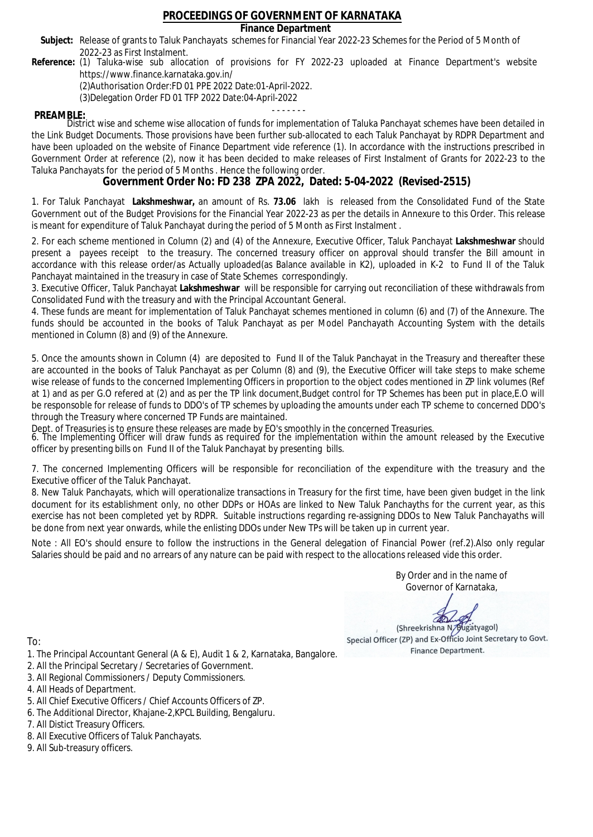### **Finance Department**

- Subject: Release of grants to Taluk Panchayats schemes for Financial Year 2022-23 Schemes for the Period of 5 Month of 2022-23 as First Instalment.
- **Reference:** (1) Taluka-wise sub allocation of provisions for FY 2022-23 uploaded at Finance Department's website https://www.finance.karnataka.gov.in/

(2)Authorisation Order:FD 01 PPE 2022 Date:01-April-2022.

(3)Delegation Order FD 01 TFP 2022 Date:04-April-2022

- - - - - - - **PREAMBLE:** District wise and scheme wise allocation of funds for implementation of Taluka Panchayat schemes have been detailed in the Link Budget Documents. Those provisions have been further sub-allocated to each Taluk Panchayat by RDPR Department and have been uploaded on the website of Finance Department vide reference (1). In accordance with the instructions prescribed in Government Order at reference (2), now it has been decided to make releases of First Instalment of Grants for 2022-23 to the Taluka Panchayats for the period of 5 Months . Hence the following order.

**Government Order No: FD 238 ZPA 2022, Dated: 5-04-2022 (Revised-2515)**

1. For Taluk Panchayat **Lakshmeshwar,** an amount of Rs. **73.06** lakh is released from the Consolidated Fund of the State Government out of the Budget Provisions for the Financial Year 2022-23 as per the details in Annexure to this Order. This release is meant for expenditure of Taluk Panchayat during the period of 5 Month as First Instalment .

2. For each scheme mentioned in Column (2) and (4) of the Annexure, Executive Officer, Taluk Panchayat **Lakshmeshwar** should present a payees receipt to the treasury. The concerned treasury officer on approval should transfer the Bill amount in accordance with this release order/as Actually uploaded(as Balance available in K2), uploaded in K-2 to Fund II of the Taluk Panchayat maintained in the treasury in case of State Schemes correspondingly.

3. Executive Officer, Taluk Panchayat **Lakshmeshwar** will be responsible for carrying out reconciliation of these withdrawals from Consolidated Fund with the treasury and with the Principal Accountant General.

4. These funds are meant for implementation of Taluk Panchayat schemes mentioned in column (6) and (7) of the Annexure. The funds should be accounted in the books of Taluk Panchayat as per Model Panchayath Accounting System with the details mentioned in Column (8) and (9) of the Annexure.

5. Once the amounts shown in Column (4) are deposited to Fund II of the Taluk Panchayat in the Treasury and thereafter these are accounted in the books of Taluk Panchayat as per Column (8) and (9), the Executive Officer will take steps to make scheme wise release of funds to the concerned Implementing Officers in proportion to the object codes mentioned in ZP link volumes (Ref at 1) and as per G.O refered at (2) and as per the TP link document,Budget control for TP Schemes has been put in place,E.O will be responsoble for release of funds to DDO's of TP schemes by uploading the amounts under each TP scheme to concerned DDO's through the Treasury where concerned TP Funds are maintained.

Dept. of Treasuries is to ensure these releases are made by EO's smoothly in the concerned Treasuries.

6. The Implementing Officer will draw funds as required for the implementation within the amount released by the Executive officer by presenting bills on Fund II of the Taluk Panchayat by presenting bills.

7. The concerned Implementing Officers will be responsible for reconciliation of the expenditure with the treasury and the Executive officer of the Taluk Panchayat.

8. New Taluk Panchayats, which will operationalize transactions in Treasury for the first time, have been given budget in the link document for its establishment only, no other DDPs or HOAs are linked to New Taluk Panchayths for the current year, as this exercise has not been completed yet by RDPR. Suitable instructions regarding re-assigning DDOs to New Taluk Panchayaths will be done from next year onwards, while the enlisting DDOs under New TPs will be taken up in current year.

Note : All EO's should ensure to follow the instructions in the General delegation of Financial Power (ref.2).Also only regular Salaries should be paid and no arrears of any nature can be paid with respect to the allocations released vide this order.

> By Order and in the name of Governor of Karnataka,

**PD** 

(Shreekrishna N/Bugatyagol) Special Officer (ZP) and Ex-Officio Joint Secretary to Govt. Finance Department.

- 1. The Principal Accountant General (A & E), Audit 1 & 2, Karnataka, Bangalore.
- 2. All the Principal Secretary / Secretaries of Government.
- 3. All Regional Commissioners / Deputy Commissioners.
- 4. All Heads of Department.
- 5. All Chief Executive Officers / Chief Accounts Officers of ZP.
- 6. The Additional Director, Khajane-2,KPCL Building, Bengaluru.
- 7. All Distict Treasury Officers.
- 8. All Executive Officers of Taluk Panchayats.
- 9. All Sub-treasury officers.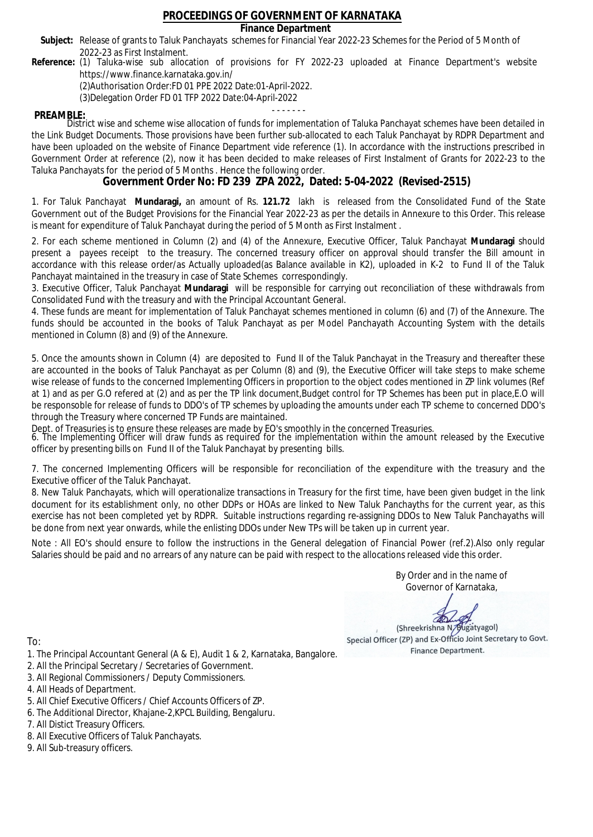### **Finance Department**

- Subject: Release of grants to Taluk Panchayats schemes for Financial Year 2022-23 Schemes for the Period of 5 Month of 2022-23 as First Instalment.
- **Reference:** (1) Taluka-wise sub allocation of provisions for FY 2022-23 uploaded at Finance Department's website https://www.finance.karnataka.gov.in/

(2)Authorisation Order:FD 01 PPE 2022 Date:01-April-2022.

(3)Delegation Order FD 01 TFP 2022 Date:04-April-2022

- - - - - - - **PREAMBLE:** District wise and scheme wise allocation of funds for implementation of Taluka Panchayat schemes have been detailed in the Link Budget Documents. Those provisions have been further sub-allocated to each Taluk Panchayat by RDPR Department and have been uploaded on the website of Finance Department vide reference (1). In accordance with the instructions prescribed in Government Order at reference (2), now it has been decided to make releases of First Instalment of Grants for 2022-23 to the Taluka Panchayats for the period of 5 Months . Hence the following order.

**Government Order No: FD 239 ZPA 2022, Dated: 5-04-2022 (Revised-2515)**

1. For Taluk Panchayat **Mundaragi,** an amount of Rs. **121.72** lakh is released from the Consolidated Fund of the State Government out of the Budget Provisions for the Financial Year 2022-23 as per the details in Annexure to this Order. This release is meant for expenditure of Taluk Panchayat during the period of 5 Month as First Instalment .

2. For each scheme mentioned in Column (2) and (4) of the Annexure, Executive Officer, Taluk Panchayat **Mundaragi** should present a payees receipt to the treasury. The concerned treasury officer on approval should transfer the Bill amount in accordance with this release order/as Actually uploaded(as Balance available in K2), uploaded in K-2 to Fund II of the Taluk Panchayat maintained in the treasury in case of State Schemes correspondingly.

3. Executive Officer, Taluk Panchayat **Mundaragi** will be responsible for carrying out reconciliation of these withdrawals from Consolidated Fund with the treasury and with the Principal Accountant General.

4. These funds are meant for implementation of Taluk Panchayat schemes mentioned in column (6) and (7) of the Annexure. The funds should be accounted in the books of Taluk Panchayat as per Model Panchayath Accounting System with the details mentioned in Column (8) and (9) of the Annexure.

5. Once the amounts shown in Column (4) are deposited to Fund II of the Taluk Panchayat in the Treasury and thereafter these are accounted in the books of Taluk Panchayat as per Column (8) and (9), the Executive Officer will take steps to make scheme wise release of funds to the concerned Implementing Officers in proportion to the object codes mentioned in ZP link volumes (Ref at 1) and as per G.O refered at (2) and as per the TP link document,Budget control for TP Schemes has been put in place,E.O will be responsoble for release of funds to DDO's of TP schemes by uploading the amounts under each TP scheme to concerned DDO's through the Treasury where concerned TP Funds are maintained.

Dept. of Treasuries is to ensure these releases are made by EO's smoothly in the concerned Treasuries.

6. The Implementing Officer will draw funds as required for the implementation within the amount released by the Executive officer by presenting bills on Fund II of the Taluk Panchayat by presenting bills.

7. The concerned Implementing Officers will be responsible for reconciliation of the expenditure with the treasury and the Executive officer of the Taluk Panchayat.

8. New Taluk Panchayats, which will operationalize transactions in Treasury for the first time, have been given budget in the link document for its establishment only, no other DDPs or HOAs are linked to New Taluk Panchayths for the current year, as this exercise has not been completed yet by RDPR. Suitable instructions regarding re-assigning DDOs to New Taluk Panchayaths will be done from next year onwards, while the enlisting DDOs under New TPs will be taken up in current year.

Note : All EO's should ensure to follow the instructions in the General delegation of Financial Power (ref.2).Also only regular Salaries should be paid and no arrears of any nature can be paid with respect to the allocations released vide this order.

> By Order and in the name of Governor of Karnataka,

**PD** 

(Shreekrishna N/Bugatyagol) Special Officer (ZP) and Ex-Officio Joint Secretary to Govt. Finance Department.

- 1. The Principal Accountant General (A & E), Audit 1 & 2, Karnataka, Bangalore.
- 2. All the Principal Secretary / Secretaries of Government.
- 3. All Regional Commissioners / Deputy Commissioners.
- 4. All Heads of Department.
- 5. All Chief Executive Officers / Chief Accounts Officers of ZP.
- 6. The Additional Director, Khajane-2,KPCL Building, Bengaluru.
- 7. All Distict Treasury Officers.
- 8. All Executive Officers of Taluk Panchayats.
- 9. All Sub-treasury officers.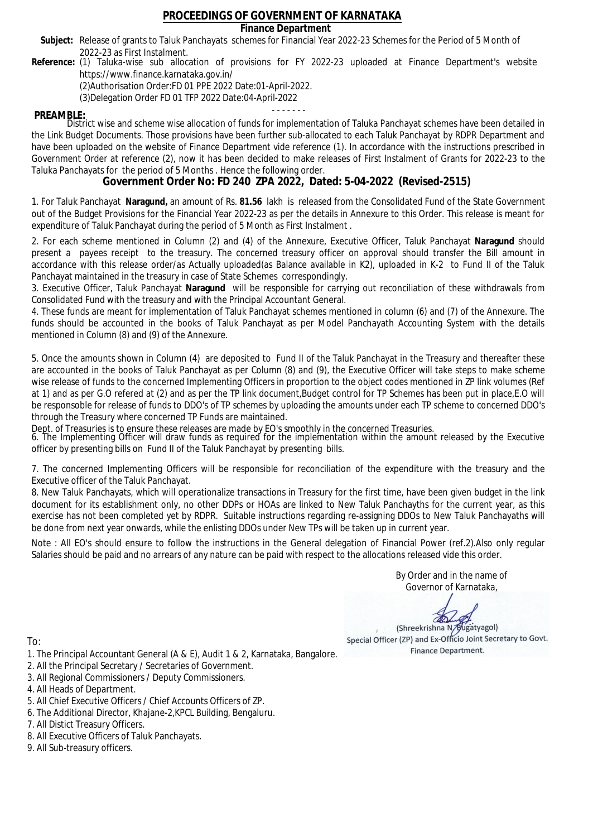### **Finance Department**

- Subject: Release of grants to Taluk Panchayats schemes for Financial Year 2022-23 Schemes for the Period of 5 Month of 2022-23 as First Instalment.
- **Reference:** (1) Taluka-wise sub allocation of provisions for FY 2022-23 uploaded at Finance Department's website https://www.finance.karnataka.gov.in/

(2)Authorisation Order:FD 01 PPE 2022 Date:01-April-2022.

(3)Delegation Order FD 01 TFP 2022 Date:04-April-2022

- - - - - - - **PREAMBLE:** District wise and scheme wise allocation of funds for implementation of Taluka Panchayat schemes have been detailed in the Link Budget Documents. Those provisions have been further sub-allocated to each Taluk Panchayat by RDPR Department and have been uploaded on the website of Finance Department vide reference (1). In accordance with the instructions prescribed in Government Order at reference (2), now it has been decided to make releases of First Instalment of Grants for 2022-23 to the Taluka Panchayats for the period of 5 Months . Hence the following order.

**Government Order No: FD 240 ZPA 2022, Dated: 5-04-2022 (Revised-2515)**

1. For Taluk Panchayat **Naragund,** an amount of Rs. **81.56** lakh is released from the Consolidated Fund of the State Government out of the Budget Provisions for the Financial Year 2022-23 as per the details in Annexure to this Order. This release is meant for expenditure of Taluk Panchayat during the period of 5 Month as First Instalment .

2. For each scheme mentioned in Column (2) and (4) of the Annexure, Executive Officer, Taluk Panchayat **Naragund** should present a payees receipt to the treasury. The concerned treasury officer on approval should transfer the Bill amount in accordance with this release order/as Actually uploaded(as Balance available in K2), uploaded in K-2 to Fund II of the Taluk Panchayat maintained in the treasury in case of State Schemes correspondingly.

3. Executive Officer, Taluk Panchayat **Naragund** will be responsible for carrying out reconciliation of these withdrawals from Consolidated Fund with the treasury and with the Principal Accountant General.

4. These funds are meant for implementation of Taluk Panchayat schemes mentioned in column (6) and (7) of the Annexure. The funds should be accounted in the books of Taluk Panchayat as per Model Panchayath Accounting System with the details mentioned in Column (8) and (9) of the Annexure.

5. Once the amounts shown in Column (4) are deposited to Fund II of the Taluk Panchayat in the Treasury and thereafter these are accounted in the books of Taluk Panchayat as per Column (8) and (9), the Executive Officer will take steps to make scheme wise release of funds to the concerned Implementing Officers in proportion to the object codes mentioned in ZP link volumes (Ref at 1) and as per G.O refered at (2) and as per the TP link document,Budget control for TP Schemes has been put in place,E.O will be responsoble for release of funds to DDO's of TP schemes by uploading the amounts under each TP scheme to concerned DDO's through the Treasury where concerned TP Funds are maintained.

Dept. of Treasuries is to ensure these releases are made by EO's smoothly in the concerned Treasuries.

6. The Implementing Officer will draw funds as required for the implementation within the amount released by the Executive officer by presenting bills on Fund II of the Taluk Panchayat by presenting bills.

7. The concerned Implementing Officers will be responsible for reconciliation of the expenditure with the treasury and the Executive officer of the Taluk Panchayat.

8. New Taluk Panchayats, which will operationalize transactions in Treasury for the first time, have been given budget in the link document for its establishment only, no other DDPs or HOAs are linked to New Taluk Panchayths for the current year, as this exercise has not been completed yet by RDPR. Suitable instructions regarding re-assigning DDOs to New Taluk Panchayaths will be done from next year onwards, while the enlisting DDOs under New TPs will be taken up in current year.

Note : All EO's should ensure to follow the instructions in the General delegation of Financial Power (ref.2).Also only regular Salaries should be paid and no arrears of any nature can be paid with respect to the allocations released vide this order.

> By Order and in the name of Governor of Karnataka,

**PD** 

(Shreekrishna N/Bugatyagol) Special Officer (ZP) and Ex-Officio Joint Secretary to Govt. Finance Department.

- 1. The Principal Accountant General (A & E), Audit 1 & 2, Karnataka, Bangalore.
- 2. All the Principal Secretary / Secretaries of Government.
- 3. All Regional Commissioners / Deputy Commissioners.
- 4. All Heads of Department.
- 5. All Chief Executive Officers / Chief Accounts Officers of ZP.
- 6. The Additional Director, Khajane-2,KPCL Building, Bengaluru.
- 7. All Distict Treasury Officers.
- 8. All Executive Officers of Taluk Panchayats.
- 9. All Sub-treasury officers.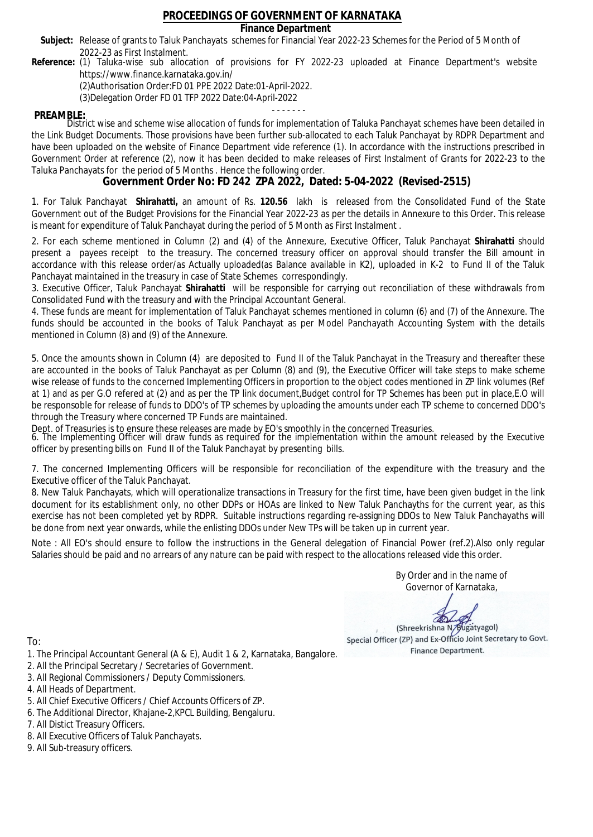**Finance Department**

- Subject: Release of grants to Taluk Panchayats schemes for Financial Year 2022-23 Schemes for the Period of 5 Month of 2022-23 as First Instalment.
- **Reference:** (1) Taluka-wise sub allocation of provisions for FY 2022-23 uploaded at Finance Department's website https://www.finance.karnataka.gov.in/

(2)Authorisation Order:FD 01 PPE 2022 Date:01-April-2022.

(3)Delegation Order FD 01 TFP 2022 Date:04-April-2022

- - - - - - - **PREAMBLE:** District wise and scheme wise allocation of funds for implementation of Taluka Panchayat schemes have been detailed in the Link Budget Documents. Those provisions have been further sub-allocated to each Taluk Panchayat by RDPR Department and have been uploaded on the website of Finance Department vide reference (1). In accordance with the instructions prescribed in Government Order at reference (2), now it has been decided to make releases of First Instalment of Grants for 2022-23 to the Taluka Panchayats for the period of 5 Months . Hence the following order.

**Government Order No: FD 242 ZPA 2022, Dated: 5-04-2022 (Revised-2515)**

1. For Taluk Panchayat **Shirahatti,** an amount of Rs. **120.56** lakh is released from the Consolidated Fund of the State Government out of the Budget Provisions for the Financial Year 2022-23 as per the details in Annexure to this Order. This release is meant for expenditure of Taluk Panchayat during the period of 5 Month as First Instalment .

2. For each scheme mentioned in Column (2) and (4) of the Annexure, Executive Officer, Taluk Panchayat **Shirahatti** should present a payees receipt to the treasury. The concerned treasury officer on approval should transfer the Bill amount in accordance with this release order/as Actually uploaded(as Balance available in K2), uploaded in K-2 to Fund II of the Taluk Panchayat maintained in the treasury in case of State Schemes correspondingly.

3. Executive Officer, Taluk Panchayat **Shirahatti** will be responsible for carrying out reconciliation of these withdrawals from Consolidated Fund with the treasury and with the Principal Accountant General.

4. These funds are meant for implementation of Taluk Panchayat schemes mentioned in column (6) and (7) of the Annexure. The funds should be accounted in the books of Taluk Panchayat as per Model Panchayath Accounting System with the details mentioned in Column (8) and (9) of the Annexure.

5. Once the amounts shown in Column (4) are deposited to Fund II of the Taluk Panchayat in the Treasury and thereafter these are accounted in the books of Taluk Panchayat as per Column (8) and (9), the Executive Officer will take steps to make scheme wise release of funds to the concerned Implementing Officers in proportion to the object codes mentioned in ZP link volumes (Ref at 1) and as per G.O refered at (2) and as per the TP link document,Budget control for TP Schemes has been put in place,E.O will be responsoble for release of funds to DDO's of TP schemes by uploading the amounts under each TP scheme to concerned DDO's through the Treasury where concerned TP Funds are maintained.

Dept. of Treasuries is to ensure these releases are made by EO's smoothly in the concerned Treasuries.

6. The Implementing Officer will draw funds as required for the implementation within the amount released by the Executive officer by presenting bills on Fund II of the Taluk Panchayat by presenting bills.

7. The concerned Implementing Officers will be responsible for reconciliation of the expenditure with the treasury and the Executive officer of the Taluk Panchayat.

8. New Taluk Panchayats, which will operationalize transactions in Treasury for the first time, have been given budget in the link document for its establishment only, no other DDPs or HOAs are linked to New Taluk Panchayths for the current year, as this exercise has not been completed yet by RDPR. Suitable instructions regarding re-assigning DDOs to New Taluk Panchayaths will be done from next year onwards, while the enlisting DDOs under New TPs will be taken up in current year.

Note : All EO's should ensure to follow the instructions in the General delegation of Financial Power (ref.2).Also only regular Salaries should be paid and no arrears of any nature can be paid with respect to the allocations released vide this order.

> By Order and in the name of Governor of Karnataka,

**PD** 

(Shreekrishna N/Bugatyagol) Special Officer (ZP) and Ex-Officio Joint Secretary to Govt. Finance Department.

- 1. The Principal Accountant General (A & E), Audit 1 & 2, Karnataka, Bangalore.
- 2. All the Principal Secretary / Secretaries of Government.
- 3. All Regional Commissioners / Deputy Commissioners.
- 4. All Heads of Department.
- 5. All Chief Executive Officers / Chief Accounts Officers of ZP.
- 6. The Additional Director, Khajane-2,KPCL Building, Bengaluru.
- 7. All Distict Treasury Officers.
- 8. All Executive Officers of Taluk Panchayats.
- 9. All Sub-treasury officers.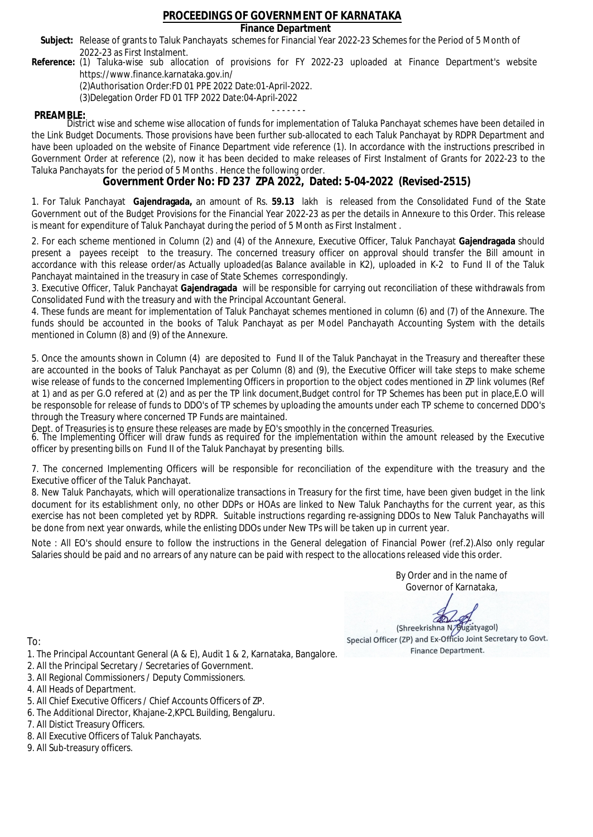### **Finance Department**

- Subject: Release of grants to Taluk Panchayats schemes for Financial Year 2022-23 Schemes for the Period of 5 Month of 2022-23 as First Instalment.
- **Reference:** (1) Taluka-wise sub allocation of provisions for FY 2022-23 uploaded at Finance Department's website https://www.finance.karnataka.gov.in/

(2)Authorisation Order:FD 01 PPE 2022 Date:01-April-2022.

(3)Delegation Order FD 01 TFP 2022 Date:04-April-2022

- - - - - - - **PREAMBLE:** District wise and scheme wise allocation of funds for implementation of Taluka Panchayat schemes have been detailed in the Link Budget Documents. Those provisions have been further sub-allocated to each Taluk Panchayat by RDPR Department and have been uploaded on the website of Finance Department vide reference (1). In accordance with the instructions prescribed in Government Order at reference (2), now it has been decided to make releases of First Instalment of Grants for 2022-23 to the Taluka Panchayats for the period of 5 Months . Hence the following order.

**Government Order No: FD 237 ZPA 2022, Dated: 5-04-2022 (Revised-2515)**

1. For Taluk Panchayat **Gajendragada,** an amount of Rs. **59.13** lakh is released from the Consolidated Fund of the State Government out of the Budget Provisions for the Financial Year 2022-23 as per the details in Annexure to this Order. This release is meant for expenditure of Taluk Panchayat during the period of 5 Month as First Instalment .

2. For each scheme mentioned in Column (2) and (4) of the Annexure, Executive Officer, Taluk Panchayat **Gajendragada** should present a payees receipt to the treasury. The concerned treasury officer on approval should transfer the Bill amount in accordance with this release order/as Actually uploaded(as Balance available in K2), uploaded in K-2 to Fund II of the Taluk Panchayat maintained in the treasury in case of State Schemes correspondingly.

3. Executive Officer, Taluk Panchayat **Gajendragada** will be responsible for carrying out reconciliation of these withdrawals from Consolidated Fund with the treasury and with the Principal Accountant General.

4. These funds are meant for implementation of Taluk Panchayat schemes mentioned in column (6) and (7) of the Annexure. The funds should be accounted in the books of Taluk Panchayat as per Model Panchayath Accounting System with the details mentioned in Column (8) and (9) of the Annexure.

5. Once the amounts shown in Column (4) are deposited to Fund II of the Taluk Panchayat in the Treasury and thereafter these are accounted in the books of Taluk Panchayat as per Column (8) and (9), the Executive Officer will take steps to make scheme wise release of funds to the concerned Implementing Officers in proportion to the object codes mentioned in ZP link volumes (Ref at 1) and as per G.O refered at (2) and as per the TP link document,Budget control for TP Schemes has been put in place,E.O will be responsoble for release of funds to DDO's of TP schemes by uploading the amounts under each TP scheme to concerned DDO's through the Treasury where concerned TP Funds are maintained.

Dept. of Treasuries is to ensure these releases are made by EO's smoothly in the concerned Treasuries.

6. The Implementing Officer will draw funds as required for the implementation within the amount released by the Executive officer by presenting bills on Fund II of the Taluk Panchayat by presenting bills.

7. The concerned Implementing Officers will be responsible for reconciliation of the expenditure with the treasury and the Executive officer of the Taluk Panchayat.

8. New Taluk Panchayats, which will operationalize transactions in Treasury for the first time, have been given budget in the link document for its establishment only, no other DDPs or HOAs are linked to New Taluk Panchayths for the current year, as this exercise has not been completed yet by RDPR. Suitable instructions regarding re-assigning DDOs to New Taluk Panchayaths will be done from next year onwards, while the enlisting DDOs under New TPs will be taken up in current year.

Note : All EO's should ensure to follow the instructions in the General delegation of Financial Power (ref.2).Also only regular Salaries should be paid and no arrears of any nature can be paid with respect to the allocations released vide this order.

> By Order and in the name of Governor of Karnataka,

**PD** 

(Shreekrishna N/Bugatyagol) Special Officer (ZP) and Ex-Officio Joint Secretary to Govt. Finance Department.

- 1. The Principal Accountant General (A & E), Audit 1 & 2, Karnataka, Bangalore.
- 2. All the Principal Secretary / Secretaries of Government.
- 3. All Regional Commissioners / Deputy Commissioners.
- 4. All Heads of Department.
- 5. All Chief Executive Officers / Chief Accounts Officers of ZP.
- 6. The Additional Director, Khajane-2,KPCL Building, Bengaluru.
- 7. All Distict Treasury Officers.
- 8. All Executive Officers of Taluk Panchayats.
- 9. All Sub-treasury officers.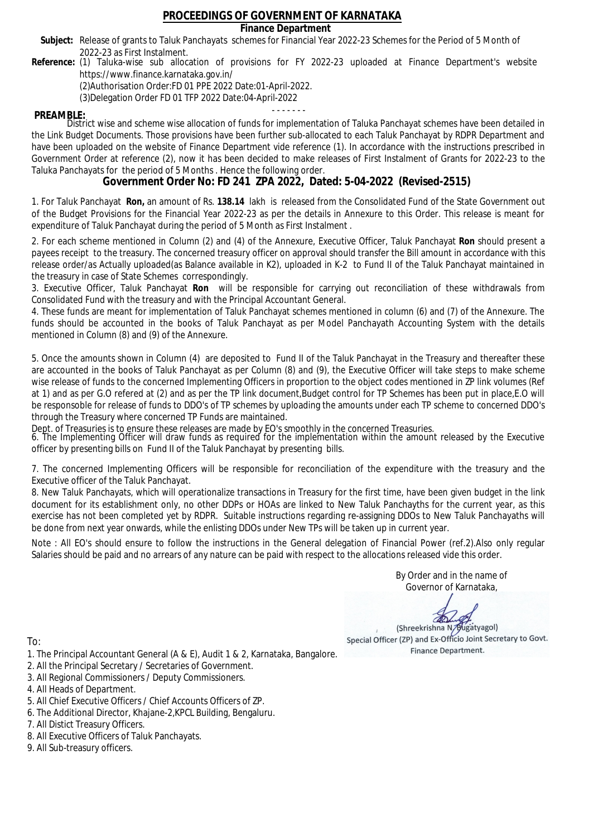### **Finance Department**

- Subject: Release of grants to Taluk Panchayats schemes for Financial Year 2022-23 Schemes for the Period of 5 Month of 2022-23 as First Instalment.
- **Reference:** (1) Taluka-wise sub allocation of provisions for FY 2022-23 uploaded at Finance Department's website https://www.finance.karnataka.gov.in/

(2)Authorisation Order:FD 01 PPE 2022 Date:01-April-2022.

(3)Delegation Order FD 01 TFP 2022 Date:04-April-2022

- - - - - - - **PREAMBLE:** District wise and scheme wise allocation of funds for implementation of Taluka Panchayat schemes have been detailed in the Link Budget Documents. Those provisions have been further sub-allocated to each Taluk Panchayat by RDPR Department and have been uploaded on the website of Finance Department vide reference (1). In accordance with the instructions prescribed in Government Order at reference (2), now it has been decided to make releases of First Instalment of Grants for 2022-23 to the Taluka Panchayats for the period of 5 Months . Hence the following order.

**Government Order No: FD 241 ZPA 2022, Dated: 5-04-2022 (Revised-2515)**

1. For Taluk Panchayat **Ron,** an amount of Rs. **138.14** lakh is released from the Consolidated Fund of the State Government out of the Budget Provisions for the Financial Year 2022-23 as per the details in Annexure to this Order. This release is meant for expenditure of Taluk Panchayat during the period of 5 Month as First Instalment .

2. For each scheme mentioned in Column (2) and (4) of the Annexure, Executive Officer, Taluk Panchayat **Ron** should present a payees receipt to the treasury. The concerned treasury officer on approval should transfer the Bill amount in accordance with this release order/as Actually uploaded(as Balance available in K2), uploaded in K-2 to Fund II of the Taluk Panchayat maintained in the treasury in case of State Schemes correspondingly.

3. Executive Officer, Taluk Panchayat **Ron** will be responsible for carrying out reconciliation of these withdrawals from Consolidated Fund with the treasury and with the Principal Accountant General.

4. These funds are meant for implementation of Taluk Panchayat schemes mentioned in column (6) and (7) of the Annexure. The funds should be accounted in the books of Taluk Panchayat as per Model Panchayath Accounting System with the details mentioned in Column (8) and (9) of the Annexure.

5. Once the amounts shown in Column (4) are deposited to Fund II of the Taluk Panchayat in the Treasury and thereafter these are accounted in the books of Taluk Panchayat as per Column (8) and (9), the Executive Officer will take steps to make scheme wise release of funds to the concerned Implementing Officers in proportion to the object codes mentioned in ZP link volumes (Ref at 1) and as per G.O refered at (2) and as per the TP link document,Budget control for TP Schemes has been put in place,E.O will be responsoble for release of funds to DDO's of TP schemes by uploading the amounts under each TP scheme to concerned DDO's through the Treasury where concerned TP Funds are maintained.

Dept. of Treasuries is to ensure these releases are made by EO's smoothly in the concerned Treasuries.

6. The Implementing Officer will draw funds as required for the implementation within the amount released by the Executive officer by presenting bills on Fund II of the Taluk Panchayat by presenting bills.

7. The concerned Implementing Officers will be responsible for reconciliation of the expenditure with the treasury and the Executive officer of the Taluk Panchayat.

8. New Taluk Panchayats, which will operationalize transactions in Treasury for the first time, have been given budget in the link document for its establishment only, no other DDPs or HOAs are linked to New Taluk Panchayths for the current year, as this exercise has not been completed yet by RDPR. Suitable instructions regarding re-assigning DDOs to New Taluk Panchayaths will be done from next year onwards, while the enlisting DDOs under New TPs will be taken up in current year.

Note : All EO's should ensure to follow the instructions in the General delegation of Financial Power (ref.2).Also only regular Salaries should be paid and no arrears of any nature can be paid with respect to the allocations released vide this order.

> By Order and in the name of Governor of Karnataka,

**PD** 

(Shreekrishna N/Bugatyagol) Special Officer (ZP) and Ex-Officio Joint Secretary to Govt. Finance Department.

To:

- 1. The Principal Accountant General (A & E), Audit 1 & 2, Karnataka, Bangalore.
- 2. All the Principal Secretary / Secretaries of Government.
- 3. All Regional Commissioners / Deputy Commissioners.
- 4. All Heads of Department.
- 5. All Chief Executive Officers / Chief Accounts Officers of ZP.
- 6. The Additional Director, Khajane-2,KPCL Building, Bengaluru.

- 8. All Executive Officers of Taluk Panchayats.
- 9. All Sub-treasury officers.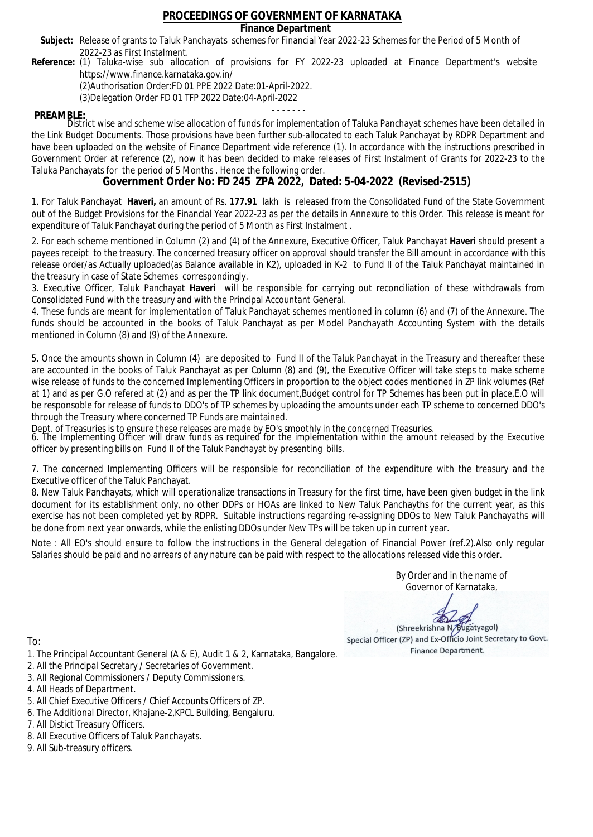### **Finance Department**

- Subject: Release of grants to Taluk Panchayats schemes for Financial Year 2022-23 Schemes for the Period of 5 Month of 2022-23 as First Instalment.
- **Reference:** (1) Taluka-wise sub allocation of provisions for FY 2022-23 uploaded at Finance Department's website https://www.finance.karnataka.gov.in/

(2)Authorisation Order:FD 01 PPE 2022 Date:01-April-2022.

(3)Delegation Order FD 01 TFP 2022 Date:04-April-2022

- - - - - - - **PREAMBLE:** District wise and scheme wise allocation of funds for implementation of Taluka Panchayat schemes have been detailed in the Link Budget Documents. Those provisions have been further sub-allocated to each Taluk Panchayat by RDPR Department and have been uploaded on the website of Finance Department vide reference (1). In accordance with the instructions prescribed in Government Order at reference (2), now it has been decided to make releases of First Instalment of Grants for 2022-23 to the Taluka Panchayats for the period of 5 Months . Hence the following order.

**Government Order No: FD 245 ZPA 2022, Dated: 5-04-2022 (Revised-2515)**

1. For Taluk Panchayat **Haveri,** an amount of Rs. **177.91** lakh is released from the Consolidated Fund of the State Government out of the Budget Provisions for the Financial Year 2022-23 as per the details in Annexure to this Order. This release is meant for expenditure of Taluk Panchayat during the period of 5 Month as First Instalment .

2. For each scheme mentioned in Column (2) and (4) of the Annexure, Executive Officer, Taluk Panchayat **Haveri** should present a payees receipt to the treasury. The concerned treasury officer on approval should transfer the Bill amount in accordance with this release order/as Actually uploaded(as Balance available in K2), uploaded in K-2 to Fund II of the Taluk Panchayat maintained in the treasury in case of State Schemes correspondingly.

3. Executive Officer, Taluk Panchayat **Haveri** will be responsible for carrying out reconciliation of these withdrawals from Consolidated Fund with the treasury and with the Principal Accountant General.

4. These funds are meant for implementation of Taluk Panchayat schemes mentioned in column (6) and (7) of the Annexure. The funds should be accounted in the books of Taluk Panchayat as per Model Panchayath Accounting System with the details mentioned in Column (8) and (9) of the Annexure.

5. Once the amounts shown in Column (4) are deposited to Fund II of the Taluk Panchayat in the Treasury and thereafter these are accounted in the books of Taluk Panchayat as per Column (8) and (9), the Executive Officer will take steps to make scheme wise release of funds to the concerned Implementing Officers in proportion to the object codes mentioned in ZP link volumes (Ref at 1) and as per G.O refered at (2) and as per the TP link document,Budget control for TP Schemes has been put in place,E.O will be responsoble for release of funds to DDO's of TP schemes by uploading the amounts under each TP scheme to concerned DDO's through the Treasury where concerned TP Funds are maintained.

Dept. of Treasuries is to ensure these releases are made by EO's smoothly in the concerned Treasuries.

6. The Implementing Officer will draw funds as required for the implementation within the amount released by the Executive officer by presenting bills on Fund II of the Taluk Panchayat by presenting bills.

7. The concerned Implementing Officers will be responsible for reconciliation of the expenditure with the treasury and the Executive officer of the Taluk Panchayat.

8. New Taluk Panchayats, which will operationalize transactions in Treasury for the first time, have been given budget in the link document for its establishment only, no other DDPs or HOAs are linked to New Taluk Panchayths for the current year, as this exercise has not been completed yet by RDPR. Suitable instructions regarding re-assigning DDOs to New Taluk Panchayaths will be done from next year onwards, while the enlisting DDOs under New TPs will be taken up in current year.

Note : All EO's should ensure to follow the instructions in the General delegation of Financial Power (ref.2).Also only regular Salaries should be paid and no arrears of any nature can be paid with respect to the allocations released vide this order.

> By Order and in the name of Governor of Karnataka,

**PD** 

(Shreekrishna N/Bugatyagol) Special Officer (ZP) and Ex-Officio Joint Secretary to Govt. Finance Department.

- 1. The Principal Accountant General (A & E), Audit 1 & 2, Karnataka, Bangalore.
- 2. All the Principal Secretary / Secretaries of Government.
- 3. All Regional Commissioners / Deputy Commissioners.
- 4. All Heads of Department.
- 5. All Chief Executive Officers / Chief Accounts Officers of ZP.
- 6. The Additional Director, Khajane-2,KPCL Building, Bengaluru.
- 7. All Distict Treasury Officers.
- 8. All Executive Officers of Taluk Panchayats.
- 9. All Sub-treasury officers.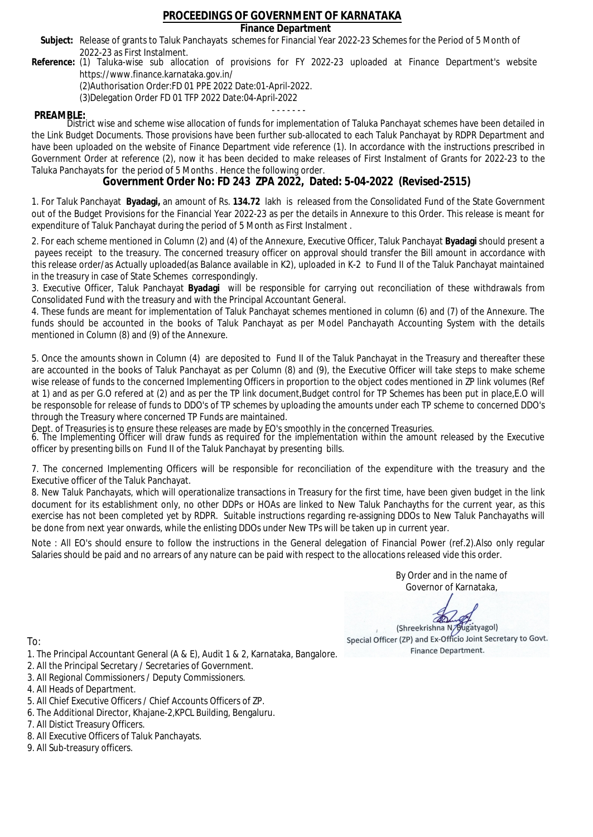### **Finance Department**

- Subject: Release of grants to Taluk Panchayats schemes for Financial Year 2022-23 Schemes for the Period of 5 Month of 2022-23 as First Instalment.
- **Reference:** (1) Taluka-wise sub allocation of provisions for FY 2022-23 uploaded at Finance Department's website https://www.finance.karnataka.gov.in/

(2)Authorisation Order:FD 01 PPE 2022 Date:01-April-2022.

(3)Delegation Order FD 01 TFP 2022 Date:04-April-2022

- - - - - - - **PREAMBLE:** District wise and scheme wise allocation of funds for implementation of Taluka Panchayat schemes have been detailed in the Link Budget Documents. Those provisions have been further sub-allocated to each Taluk Panchayat by RDPR Department and have been uploaded on the website of Finance Department vide reference (1). In accordance with the instructions prescribed in Government Order at reference (2), now it has been decided to make releases of First Instalment of Grants for 2022-23 to the Taluka Panchayats for the period of 5 Months . Hence the following order.

**Government Order No: FD 243 ZPA 2022, Dated: 5-04-2022 (Revised-2515)**

1. For Taluk Panchayat **Byadagi,** an amount of Rs. **134.72** lakh is released from the Consolidated Fund of the State Government out of the Budget Provisions for the Financial Year 2022-23 as per the details in Annexure to this Order. This release is meant for expenditure of Taluk Panchayat during the period of 5 Month as First Instalment .

2. For each scheme mentioned in Column (2) and (4) of the Annexure, Executive Officer, Taluk Panchayat **Byadagi** should present a payees receipt to the treasury. The concerned treasury officer on approval should transfer the Bill amount in accordance with this release order/as Actually uploaded(as Balance available in K2), uploaded in K-2 to Fund II of the Taluk Panchayat maintained in the treasury in case of State Schemes correspondingly.

3. Executive Officer, Taluk Panchayat **Byadagi** will be responsible for carrying out reconciliation of these withdrawals from Consolidated Fund with the treasury and with the Principal Accountant General.

4. These funds are meant for implementation of Taluk Panchayat schemes mentioned in column (6) and (7) of the Annexure. The funds should be accounted in the books of Taluk Panchayat as per Model Panchayath Accounting System with the details mentioned in Column (8) and (9) of the Annexure.

5. Once the amounts shown in Column (4) are deposited to Fund II of the Taluk Panchayat in the Treasury and thereafter these are accounted in the books of Taluk Panchayat as per Column (8) and (9), the Executive Officer will take steps to make scheme wise release of funds to the concerned Implementing Officers in proportion to the object codes mentioned in ZP link volumes (Ref at 1) and as per G.O refered at (2) and as per the TP link document,Budget control for TP Schemes has been put in place,E.O will be responsoble for release of funds to DDO's of TP schemes by uploading the amounts under each TP scheme to concerned DDO's through the Treasury where concerned TP Funds are maintained.

Dept. of Treasuries is to ensure these releases are made by EO's smoothly in the concerned Treasuries.

6. The Implementing Officer will draw funds as required for the implementation within the amount released by the Executive officer by presenting bills on Fund II of the Taluk Panchayat by presenting bills.

7. The concerned Implementing Officers will be responsible for reconciliation of the expenditure with the treasury and the Executive officer of the Taluk Panchayat.

8. New Taluk Panchayats, which will operationalize transactions in Treasury for the first time, have been given budget in the link document for its establishment only, no other DDPs or HOAs are linked to New Taluk Panchayths for the current year, as this exercise has not been completed yet by RDPR. Suitable instructions regarding re-assigning DDOs to New Taluk Panchayaths will be done from next year onwards, while the enlisting DDOs under New TPs will be taken up in current year.

Note : All EO's should ensure to follow the instructions in the General delegation of Financial Power (ref.2).Also only regular Salaries should be paid and no arrears of any nature can be paid with respect to the allocations released vide this order.

> By Order and in the name of Governor of Karnataka,

**PD** 

(Shreekrishna N/Bugatyagol) Special Officer (ZP) and Ex-Officio Joint Secretary to Govt. Finance Department.

To:

- 1. The Principal Accountant General (A & E), Audit 1 & 2, Karnataka, Bangalore.
- 2. All the Principal Secretary / Secretaries of Government.
- 3. All Regional Commissioners / Deputy Commissioners.
- 4. All Heads of Department.
- 5. All Chief Executive Officers / Chief Accounts Officers of ZP.
- 6. The Additional Director, Khajane-2,KPCL Building, Bengaluru.

- 8. All Executive Officers of Taluk Panchayats.
- 9. All Sub-treasury officers.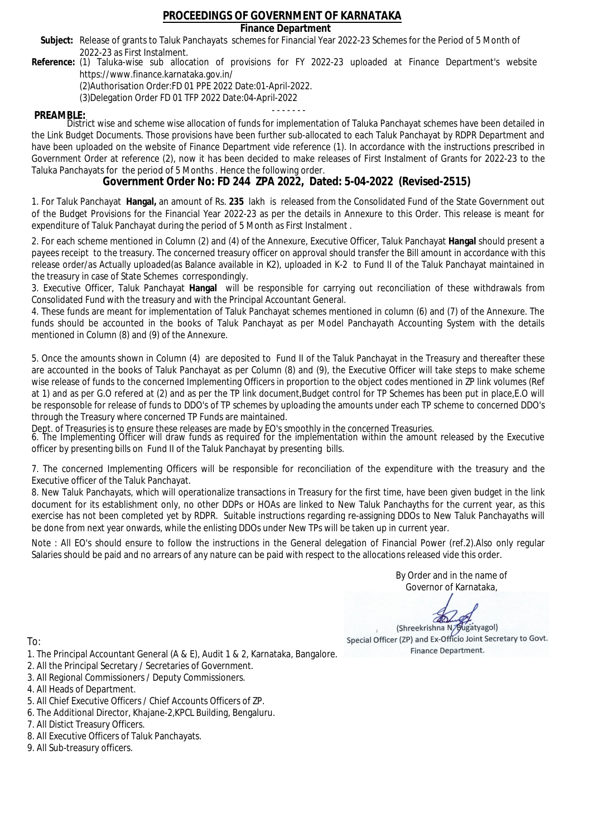### **Finance Department**

- Subject: Release of grants to Taluk Panchayats schemes for Financial Year 2022-23 Schemes for the Period of 5 Month of 2022-23 as First Instalment.
- **Reference:** (1) Taluka-wise sub allocation of provisions for FY 2022-23 uploaded at Finance Department's website https://www.finance.karnataka.gov.in/

(2)Authorisation Order:FD 01 PPE 2022 Date:01-April-2022.

(3)Delegation Order FD 01 TFP 2022 Date:04-April-2022

- - - - - - - **PREAMBLE:** District wise and scheme wise allocation of funds for implementation of Taluka Panchayat schemes have been detailed in the Link Budget Documents. Those provisions have been further sub-allocated to each Taluk Panchayat by RDPR Department and have been uploaded on the website of Finance Department vide reference (1). In accordance with the instructions prescribed in Government Order at reference (2), now it has been decided to make releases of First Instalment of Grants for 2022-23 to the Taluka Panchayats for the period of 5 Months . Hence the following order.

**Government Order No: FD 244 ZPA 2022, Dated: 5-04-2022 (Revised-2515)**

1. For Taluk Panchayat **Hangal,** an amount of Rs. **235** lakh is released from the Consolidated Fund of the State Government out of the Budget Provisions for the Financial Year 2022-23 as per the details in Annexure to this Order. This release is meant for expenditure of Taluk Panchayat during the period of 5 Month as First Instalment .

2. For each scheme mentioned in Column (2) and (4) of the Annexure, Executive Officer, Taluk Panchayat **Hangal** should present a payees receipt to the treasury. The concerned treasury officer on approval should transfer the Bill amount in accordance with this release order/as Actually uploaded(as Balance available in K2), uploaded in K-2 to Fund II of the Taluk Panchayat maintained in the treasury in case of State Schemes correspondingly.

3. Executive Officer, Taluk Panchayat **Hangal** will be responsible for carrying out reconciliation of these withdrawals from Consolidated Fund with the treasury and with the Principal Accountant General.

4. These funds are meant for implementation of Taluk Panchayat schemes mentioned in column (6) and (7) of the Annexure. The funds should be accounted in the books of Taluk Panchayat as per Model Panchayath Accounting System with the details mentioned in Column (8) and (9) of the Annexure.

5. Once the amounts shown in Column (4) are deposited to Fund II of the Taluk Panchayat in the Treasury and thereafter these are accounted in the books of Taluk Panchayat as per Column (8) and (9), the Executive Officer will take steps to make scheme wise release of funds to the concerned Implementing Officers in proportion to the object codes mentioned in ZP link volumes (Ref at 1) and as per G.O refered at (2) and as per the TP link document,Budget control for TP Schemes has been put in place,E.O will be responsoble for release of funds to DDO's of TP schemes by uploading the amounts under each TP scheme to concerned DDO's through the Treasury where concerned TP Funds are maintained.

Dept. of Treasuries is to ensure these releases are made by EO's smoothly in the concerned Treasuries.

6. The Implementing Officer will draw funds as required for the implementation within the amount released by the Executive officer by presenting bills on Fund II of the Taluk Panchayat by presenting bills.

7. The concerned Implementing Officers will be responsible for reconciliation of the expenditure with the treasury and the Executive officer of the Taluk Panchayat.

8. New Taluk Panchayats, which will operationalize transactions in Treasury for the first time, have been given budget in the link document for its establishment only, no other DDPs or HOAs are linked to New Taluk Panchayths for the current year, as this exercise has not been completed yet by RDPR. Suitable instructions regarding re-assigning DDOs to New Taluk Panchayaths will be done from next year onwards, while the enlisting DDOs under New TPs will be taken up in current year.

Note : All EO's should ensure to follow the instructions in the General delegation of Financial Power (ref.2).Also only regular Salaries should be paid and no arrears of any nature can be paid with respect to the allocations released vide this order.

> By Order and in the name of Governor of Karnataka,

**PD** 

(Shreekrishna N/Bugatyagol) Special Officer (ZP) and Ex-Officio Joint Secretary to Govt. Finance Department.

To:

- 1. The Principal Accountant General (A & E), Audit 1 & 2, Karnataka, Bangalore.
- 2. All the Principal Secretary / Secretaries of Government.
- 3. All Regional Commissioners / Deputy Commissioners.
- 4. All Heads of Department.
- 5. All Chief Executive Officers / Chief Accounts Officers of ZP.
- 6. The Additional Director, Khajane-2,KPCL Building, Bengaluru.

- 8. All Executive Officers of Taluk Panchayats.
- 9. All Sub-treasury officers.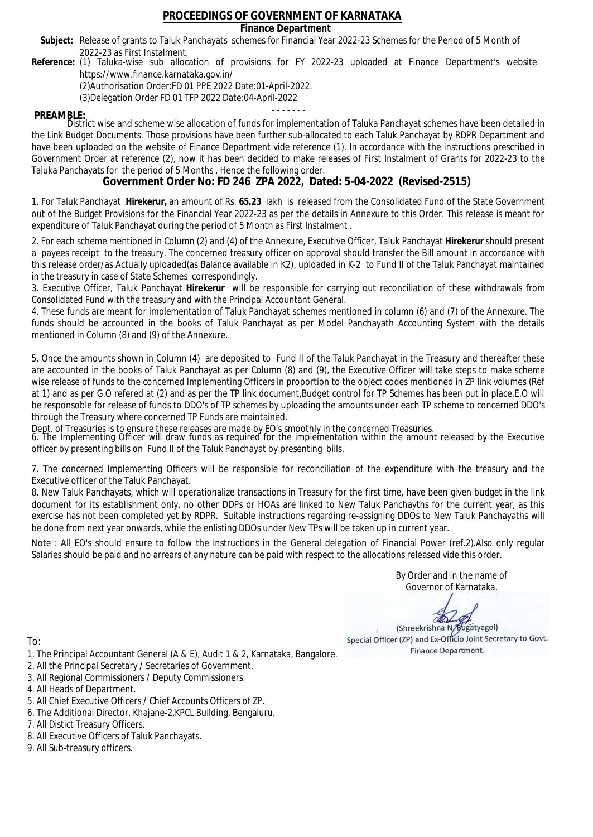### **Finance Department**

- Subject: Release of grants to Taluk Panchayats schemes for Financial Year 2022-23 Schemes for the Period of 5 Month of 2022-23 as First Instalment.
- **Reference:** (1) Taluka-wise sub allocation of provisions for FY 2022-23 uploaded at Finance Department's website https://www.finance.karnataka.gov.in/

(2)Authorisation Order:FD 01 PPE 2022 Date:01-April-2022.

(3)Delegation Order FD 01 TFP 2022 Date:04-April-2022

- - - - - - - **PREAMBLE:** District wise and scheme wise allocation of funds for implementation of Taluka Panchayat schemes have been detailed in the Link Budget Documents. Those provisions have been further sub-allocated to each Taluk Panchayat by RDPR Department and have been uploaded on the website of Finance Department vide reference (1). In accordance with the instructions prescribed in Government Order at reference (2), now it has been decided to make releases of First Instalment of Grants for 2022-23 to the Taluka Panchayats for the period of 5 Months . Hence the following order.

**Government Order No: FD 246 ZPA 2022, Dated: 5-04-2022 (Revised-2515)**

1. For Taluk Panchayat **Hirekerur,** an amount of Rs. **65.23** lakh is released from the Consolidated Fund of the State Government out of the Budget Provisions for the Financial Year 2022-23 as per the details in Annexure to this Order. This release is meant for expenditure of Taluk Panchayat during the period of 5 Month as First Instalment .

2. For each scheme mentioned in Column (2) and (4) of the Annexure, Executive Officer, Taluk Panchayat **Hirekerur** should present a payees receipt to the treasury. The concerned treasury officer on approval should transfer the Bill amount in accordance with this release order/as Actually uploaded(as Balance available in K2), uploaded in K-2 to Fund II of the Taluk Panchayat maintained in the treasury in case of State Schemes correspondingly.

3. Executive Officer, Taluk Panchayat **Hirekerur** will be responsible for carrying out reconciliation of these withdrawals from Consolidated Fund with the treasury and with the Principal Accountant General.

4. These funds are meant for implementation of Taluk Panchayat schemes mentioned in column (6) and (7) of the Annexure. The funds should be accounted in the books of Taluk Panchayat as per Model Panchayath Accounting System with the details mentioned in Column (8) and (9) of the Annexure.

5. Once the amounts shown in Column (4) are deposited to Fund II of the Taluk Panchayat in the Treasury and thereafter these are accounted in the books of Taluk Panchayat as per Column (8) and (9), the Executive Officer will take steps to make scheme wise release of funds to the concerned Implementing Officers in proportion to the object codes mentioned in ZP link volumes (Ref at 1) and as per G.O refered at (2) and as per the TP link document,Budget control for TP Schemes has been put in place,E.O will be responsoble for release of funds to DDO's of TP schemes by uploading the amounts under each TP scheme to concerned DDO's through the Treasury where concerned TP Funds are maintained.

Dept. of Treasuries is to ensure these releases are made by EO's smoothly in the concerned Treasuries.

6. The Implementing Officer will draw funds as required for the implementation within the amount released by the Executive officer by presenting bills on Fund II of the Taluk Panchayat by presenting bills.

7. The concerned Implementing Officers will be responsible for reconciliation of the expenditure with the treasury and the Executive officer of the Taluk Panchayat.

8. New Taluk Panchayats, which will operationalize transactions in Treasury for the first time, have been given budget in the link document for its establishment only, no other DDPs or HOAs are linked to New Taluk Panchayths for the current year, as this exercise has not been completed yet by RDPR. Suitable instructions regarding re-assigning DDOs to New Taluk Panchayaths will be done from next year onwards, while the enlisting DDOs under New TPs will be taken up in current year.

Note : All EO's should ensure to follow the instructions in the General delegation of Financial Power (ref.2).Also only regular Salaries should be paid and no arrears of any nature can be paid with respect to the allocations released vide this order.

> By Order and in the name of Governor of Karnataka,

**PD** 

(Shreekrishna N/Bugatyagol) Special Officer (ZP) and Ex-Officio Joint Secretary to Govt. Finance Department.

- 1. The Principal Accountant General (A & E), Audit 1 & 2, Karnataka, Bangalore.
- 2. All the Principal Secretary / Secretaries of Government.
- 3. All Regional Commissioners / Deputy Commissioners.
- 4. All Heads of Department.
- 5. All Chief Executive Officers / Chief Accounts Officers of ZP.
- 6. The Additional Director, Khajane-2,KPCL Building, Bengaluru.
- 7. All Distict Treasury Officers.
- 8. All Executive Officers of Taluk Panchayats.
- 9. All Sub-treasury officers.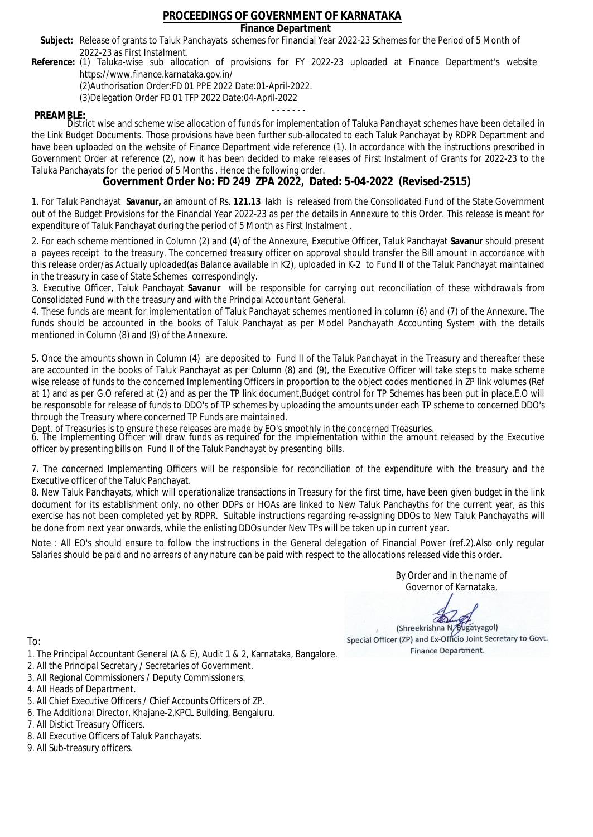### **Finance Department**

- Subject: Release of grants to Taluk Panchayats schemes for Financial Year 2022-23 Schemes for the Period of 5 Month of 2022-23 as First Instalment.
- **Reference:** (1) Taluka-wise sub allocation of provisions for FY 2022-23 uploaded at Finance Department's website https://www.finance.karnataka.gov.in/

(2)Authorisation Order:FD 01 PPE 2022 Date:01-April-2022.

(3)Delegation Order FD 01 TFP 2022 Date:04-April-2022

- - - - - - - **PREAMBLE:** District wise and scheme wise allocation of funds for implementation of Taluka Panchayat schemes have been detailed in the Link Budget Documents. Those provisions have been further sub-allocated to each Taluk Panchayat by RDPR Department and have been uploaded on the website of Finance Department vide reference (1). In accordance with the instructions prescribed in Government Order at reference (2), now it has been decided to make releases of First Instalment of Grants for 2022-23 to the Taluka Panchayats for the period of 5 Months . Hence the following order.

**Government Order No: FD 249 ZPA 2022, Dated: 5-04-2022 (Revised-2515)**

1. For Taluk Panchayat **Savanur,** an amount of Rs. **121.13** lakh is released from the Consolidated Fund of the State Government out of the Budget Provisions for the Financial Year 2022-23 as per the details in Annexure to this Order. This release is meant for expenditure of Taluk Panchayat during the period of 5 Month as First Instalment .

2. For each scheme mentioned in Column (2) and (4) of the Annexure, Executive Officer, Taluk Panchayat **Savanur** should present a payees receipt to the treasury. The concerned treasury officer on approval should transfer the Bill amount in accordance with this release order/as Actually uploaded(as Balance available in K2), uploaded in K-2 to Fund II of the Taluk Panchayat maintained in the treasury in case of State Schemes correspondingly.

3. Executive Officer, Taluk Panchayat **Savanur** will be responsible for carrying out reconciliation of these withdrawals from Consolidated Fund with the treasury and with the Principal Accountant General.

4. These funds are meant for implementation of Taluk Panchayat schemes mentioned in column (6) and (7) of the Annexure. The funds should be accounted in the books of Taluk Panchayat as per Model Panchayath Accounting System with the details mentioned in Column (8) and (9) of the Annexure.

5. Once the amounts shown in Column (4) are deposited to Fund II of the Taluk Panchayat in the Treasury and thereafter these are accounted in the books of Taluk Panchayat as per Column (8) and (9), the Executive Officer will take steps to make scheme wise release of funds to the concerned Implementing Officers in proportion to the object codes mentioned in ZP link volumes (Ref at 1) and as per G.O refered at (2) and as per the TP link document,Budget control for TP Schemes has been put in place,E.O will be responsoble for release of funds to DDO's of TP schemes by uploading the amounts under each TP scheme to concerned DDO's through the Treasury where concerned TP Funds are maintained.

Dept. of Treasuries is to ensure these releases are made by EO's smoothly in the concerned Treasuries.

6. The Implementing Officer will draw funds as required for the implementation within the amount released by the Executive officer by presenting bills on Fund II of the Taluk Panchayat by presenting bills.

7. The concerned Implementing Officers will be responsible for reconciliation of the expenditure with the treasury and the Executive officer of the Taluk Panchayat.

8. New Taluk Panchayats, which will operationalize transactions in Treasury for the first time, have been given budget in the link document for its establishment only, no other DDPs or HOAs are linked to New Taluk Panchayths for the current year, as this exercise has not been completed yet by RDPR. Suitable instructions regarding re-assigning DDOs to New Taluk Panchayaths will be done from next year onwards, while the enlisting DDOs under New TPs will be taken up in current year.

Note : All EO's should ensure to follow the instructions in the General delegation of Financial Power (ref.2).Also only regular Salaries should be paid and no arrears of any nature can be paid with respect to the allocations released vide this order.

> By Order and in the name of Governor of Karnataka,

**PD** 

(Shreekrishna N/Bugatyagol) Special Officer (ZP) and Ex-Officio Joint Secretary to Govt. Finance Department.

- 1. The Principal Accountant General (A & E), Audit 1 & 2, Karnataka, Bangalore.
- 2. All the Principal Secretary / Secretaries of Government.
- 3. All Regional Commissioners / Deputy Commissioners.
- 4. All Heads of Department.
- 5. All Chief Executive Officers / Chief Accounts Officers of ZP.
- 6. The Additional Director, Khajane-2,KPCL Building, Bengaluru.
- 7. All Distict Treasury Officers.
- 8. All Executive Officers of Taluk Panchayats.
- 9. All Sub-treasury officers.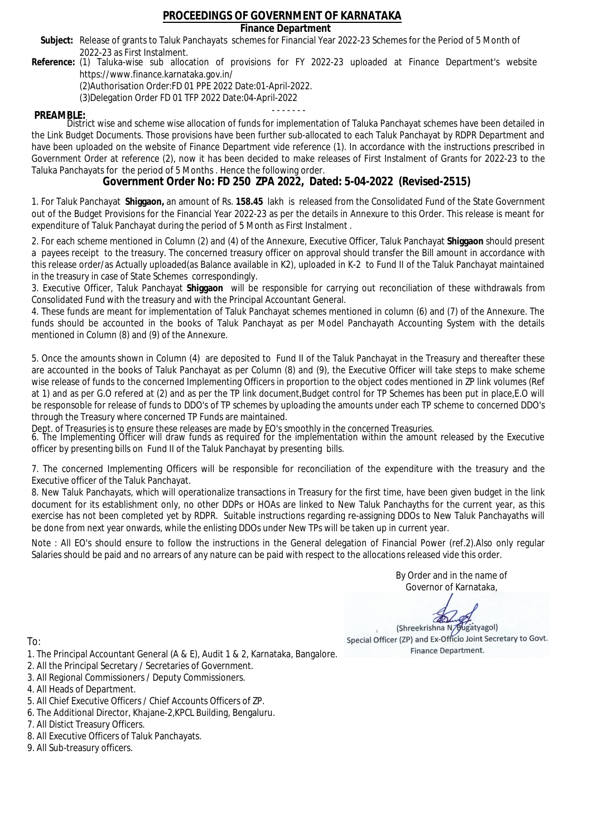### **Finance Department**

- Subject: Release of grants to Taluk Panchayats schemes for Financial Year 2022-23 Schemes for the Period of 5 Month of 2022-23 as First Instalment.
- **Reference:** (1) Taluka-wise sub allocation of provisions for FY 2022-23 uploaded at Finance Department's website https://www.finance.karnataka.gov.in/

(2)Authorisation Order:FD 01 PPE 2022 Date:01-April-2022.

(3)Delegation Order FD 01 TFP 2022 Date:04-April-2022

- - - - - - - **PREAMBLE:** District wise and scheme wise allocation of funds for implementation of Taluka Panchayat schemes have been detailed in the Link Budget Documents. Those provisions have been further sub-allocated to each Taluk Panchayat by RDPR Department and have been uploaded on the website of Finance Department vide reference (1). In accordance with the instructions prescribed in Government Order at reference (2), now it has been decided to make releases of First Instalment of Grants for 2022-23 to the Taluka Panchayats for the period of 5 Months . Hence the following order.

**Government Order No: FD 250 ZPA 2022, Dated: 5-04-2022 (Revised-2515)**

1. For Taluk Panchayat **Shiggaon,** an amount of Rs. **158.45** lakh is released from the Consolidated Fund of the State Government out of the Budget Provisions for the Financial Year 2022-23 as per the details in Annexure to this Order. This release is meant for expenditure of Taluk Panchayat during the period of 5 Month as First Instalment .

2. For each scheme mentioned in Column (2) and (4) of the Annexure, Executive Officer, Taluk Panchayat **Shiggaon** should present a payees receipt to the treasury. The concerned treasury officer on approval should transfer the Bill amount in accordance with this release order/as Actually uploaded(as Balance available in K2), uploaded in K-2 to Fund II of the Taluk Panchayat maintained in the treasury in case of State Schemes correspondingly.

3. Executive Officer, Taluk Panchayat **Shiggaon** will be responsible for carrying out reconciliation of these withdrawals from Consolidated Fund with the treasury and with the Principal Accountant General.

4. These funds are meant for implementation of Taluk Panchayat schemes mentioned in column (6) and (7) of the Annexure. The funds should be accounted in the books of Taluk Panchayat as per Model Panchayath Accounting System with the details mentioned in Column (8) and (9) of the Annexure.

5. Once the amounts shown in Column (4) are deposited to Fund II of the Taluk Panchayat in the Treasury and thereafter these are accounted in the books of Taluk Panchayat as per Column (8) and (9), the Executive Officer will take steps to make scheme wise release of funds to the concerned Implementing Officers in proportion to the object codes mentioned in ZP link volumes (Ref at 1) and as per G.O refered at (2) and as per the TP link document,Budget control for TP Schemes has been put in place,E.O will be responsoble for release of funds to DDO's of TP schemes by uploading the amounts under each TP scheme to concerned DDO's through the Treasury where concerned TP Funds are maintained.

Dept. of Treasuries is to ensure these releases are made by EO's smoothly in the concerned Treasuries.

6. The Implementing Officer will draw funds as required for the implementation within the amount released by the Executive officer by presenting bills on Fund II of the Taluk Panchayat by presenting bills.

7. The concerned Implementing Officers will be responsible for reconciliation of the expenditure with the treasury and the Executive officer of the Taluk Panchayat.

8. New Taluk Panchayats, which will operationalize transactions in Treasury for the first time, have been given budget in the link document for its establishment only, no other DDPs or HOAs are linked to New Taluk Panchayths for the current year, as this exercise has not been completed yet by RDPR. Suitable instructions regarding re-assigning DDOs to New Taluk Panchayaths will be done from next year onwards, while the enlisting DDOs under New TPs will be taken up in current year.

Note : All EO's should ensure to follow the instructions in the General delegation of Financial Power (ref.2).Also only regular Salaries should be paid and no arrears of any nature can be paid with respect to the allocations released vide this order.

> By Order and in the name of Governor of Karnataka,

**PD** 

(Shreekrishna N/Bugatyagol) Special Officer (ZP) and Ex-Officio Joint Secretary to Govt. Finance Department.

- 1. The Principal Accountant General (A & E), Audit 1 & 2, Karnataka, Bangalore.
- 2. All the Principal Secretary / Secretaries of Government.
- 3. All Regional Commissioners / Deputy Commissioners.
- 4. All Heads of Department.
- 5. All Chief Executive Officers / Chief Accounts Officers of ZP.
- 6. The Additional Director, Khajane-2,KPCL Building, Bengaluru.
- 7. All Distict Treasury Officers.
- 8. All Executive Officers of Taluk Panchayats.
- 9. All Sub-treasury officers.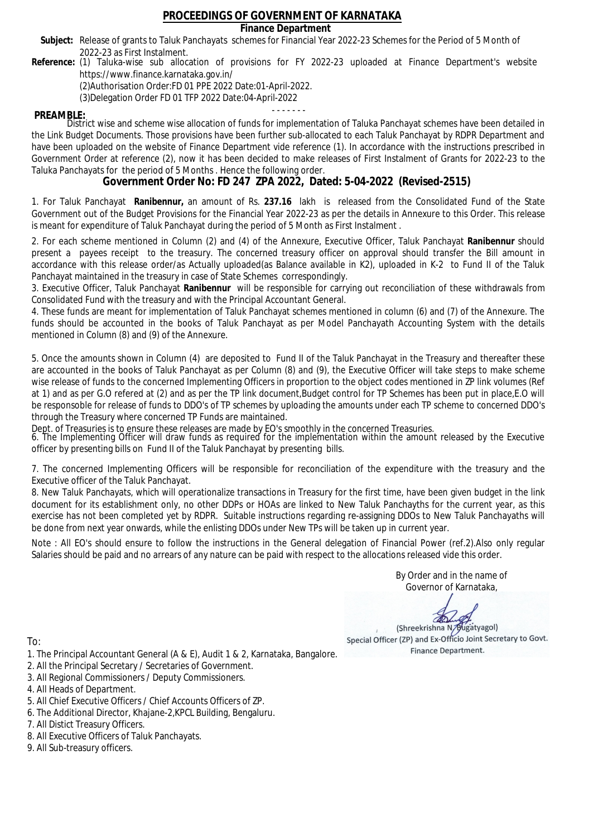### **Finance Department**

- Subject: Release of grants to Taluk Panchayats schemes for Financial Year 2022-23 Schemes for the Period of 5 Month of 2022-23 as First Instalment.
- **Reference:** (1) Taluka-wise sub allocation of provisions for FY 2022-23 uploaded at Finance Department's website https://www.finance.karnataka.gov.in/

(2)Authorisation Order:FD 01 PPE 2022 Date:01-April-2022.

(3)Delegation Order FD 01 TFP 2022 Date:04-April-2022

- - - - - - - **PREAMBLE:** District wise and scheme wise allocation of funds for implementation of Taluka Panchayat schemes have been detailed in the Link Budget Documents. Those provisions have been further sub-allocated to each Taluk Panchayat by RDPR Department and have been uploaded on the website of Finance Department vide reference (1). In accordance with the instructions prescribed in Government Order at reference (2), now it has been decided to make releases of First Instalment of Grants for 2022-23 to the Taluka Panchayats for the period of 5 Months . Hence the following order.

**Government Order No: FD 247 ZPA 2022, Dated: 5-04-2022 (Revised-2515)**

1. For Taluk Panchayat **Ranibennur,** an amount of Rs. **237.16** lakh is released from the Consolidated Fund of the State Government out of the Budget Provisions for the Financial Year 2022-23 as per the details in Annexure to this Order. This release is meant for expenditure of Taluk Panchayat during the period of 5 Month as First Instalment .

2. For each scheme mentioned in Column (2) and (4) of the Annexure, Executive Officer, Taluk Panchayat **Ranibennur** should present a payees receipt to the treasury. The concerned treasury officer on approval should transfer the Bill amount in accordance with this release order/as Actually uploaded(as Balance available in K2), uploaded in K-2 to Fund II of the Taluk Panchayat maintained in the treasury in case of State Schemes correspondingly.

3. Executive Officer, Taluk Panchayat **Ranibennur** will be responsible for carrying out reconciliation of these withdrawals from Consolidated Fund with the treasury and with the Principal Accountant General.

4. These funds are meant for implementation of Taluk Panchayat schemes mentioned in column (6) and (7) of the Annexure. The funds should be accounted in the books of Taluk Panchayat as per Model Panchayath Accounting System with the details mentioned in Column (8) and (9) of the Annexure.

5. Once the amounts shown in Column (4) are deposited to Fund II of the Taluk Panchayat in the Treasury and thereafter these are accounted in the books of Taluk Panchayat as per Column (8) and (9), the Executive Officer will take steps to make scheme wise release of funds to the concerned Implementing Officers in proportion to the object codes mentioned in ZP link volumes (Ref at 1) and as per G.O refered at (2) and as per the TP link document,Budget control for TP Schemes has been put in place,E.O will be responsoble for release of funds to DDO's of TP schemes by uploading the amounts under each TP scheme to concerned DDO's through the Treasury where concerned TP Funds are maintained.

Dept. of Treasuries is to ensure these releases are made by EO's smoothly in the concerned Treasuries.

6. The Implementing Officer will draw funds as required for the implementation within the amount released by the Executive officer by presenting bills on Fund II of the Taluk Panchayat by presenting bills.

7. The concerned Implementing Officers will be responsible for reconciliation of the expenditure with the treasury and the Executive officer of the Taluk Panchayat.

8. New Taluk Panchayats, which will operationalize transactions in Treasury for the first time, have been given budget in the link document for its establishment only, no other DDPs or HOAs are linked to New Taluk Panchayths for the current year, as this exercise has not been completed yet by RDPR. Suitable instructions regarding re-assigning DDOs to New Taluk Panchayaths will be done from next year onwards, while the enlisting DDOs under New TPs will be taken up in current year.

Note : All EO's should ensure to follow the instructions in the General delegation of Financial Power (ref.2).Also only regular Salaries should be paid and no arrears of any nature can be paid with respect to the allocations released vide this order.

> By Order and in the name of Governor of Karnataka,

**PD** 

(Shreekrishna N/Bugatyagol) Special Officer (ZP) and Ex-Officio Joint Secretary to Govt. Finance Department.

- 1. The Principal Accountant General (A & E), Audit 1 & 2, Karnataka, Bangalore.
- 2. All the Principal Secretary / Secretaries of Government.
- 3. All Regional Commissioners / Deputy Commissioners.
- 4. All Heads of Department.
- 5. All Chief Executive Officers / Chief Accounts Officers of ZP.
- 6. The Additional Director, Khajane-2,KPCL Building, Bengaluru.
- 7. All Distict Treasury Officers.
- 8. All Executive Officers of Taluk Panchayats.
- 9. All Sub-treasury officers.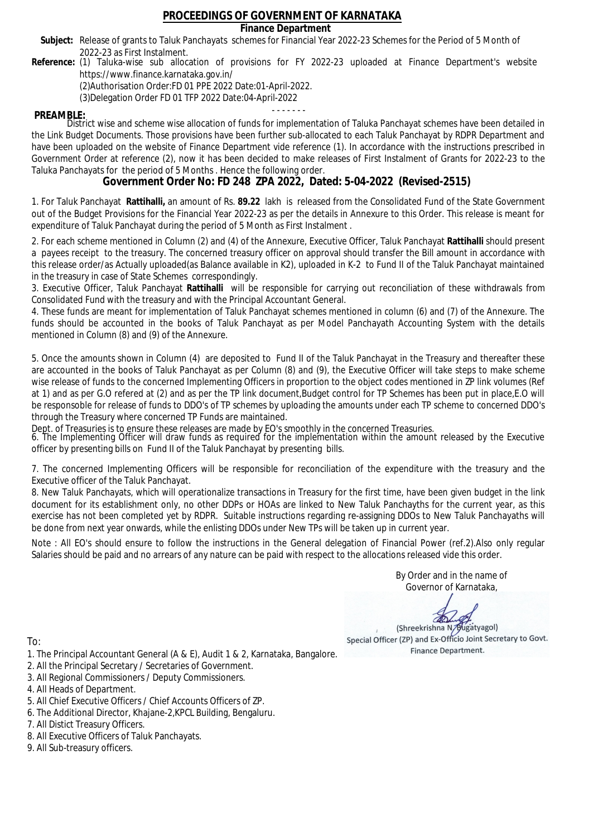### **Finance Department**

- Subject: Release of grants to Taluk Panchayats schemes for Financial Year 2022-23 Schemes for the Period of 5 Month of 2022-23 as First Instalment.
- **Reference:** (1) Taluka-wise sub allocation of provisions for FY 2022-23 uploaded at Finance Department's website https://www.finance.karnataka.gov.in/

(2)Authorisation Order:FD 01 PPE 2022 Date:01-April-2022.

(3)Delegation Order FD 01 TFP 2022 Date:04-April-2022

- - - - - - - **PREAMBLE:** District wise and scheme wise allocation of funds for implementation of Taluka Panchayat schemes have been detailed in the Link Budget Documents. Those provisions have been further sub-allocated to each Taluk Panchayat by RDPR Department and have been uploaded on the website of Finance Department vide reference (1). In accordance with the instructions prescribed in Government Order at reference (2), now it has been decided to make releases of First Instalment of Grants for 2022-23 to the Taluka Panchayats for the period of 5 Months . Hence the following order.

**Government Order No: FD 248 ZPA 2022, Dated: 5-04-2022 (Revised-2515)**

1. For Taluk Panchayat **Rattihalli,** an amount of Rs. **89.22** lakh is released from the Consolidated Fund of the State Government out of the Budget Provisions for the Financial Year 2022-23 as per the details in Annexure to this Order. This release is meant for expenditure of Taluk Panchayat during the period of 5 Month as First Instalment .

2. For each scheme mentioned in Column (2) and (4) of the Annexure, Executive Officer, Taluk Panchayat **Rattihalli** should present a payees receipt to the treasury. The concerned treasury officer on approval should transfer the Bill amount in accordance with this release order/as Actually uploaded(as Balance available in K2), uploaded in K-2 to Fund II of the Taluk Panchayat maintained in the treasury in case of State Schemes correspondingly.

3. Executive Officer, Taluk Panchayat **Rattihalli** will be responsible for carrying out reconciliation of these withdrawals from Consolidated Fund with the treasury and with the Principal Accountant General.

4. These funds are meant for implementation of Taluk Panchayat schemes mentioned in column (6) and (7) of the Annexure. The funds should be accounted in the books of Taluk Panchayat as per Model Panchayath Accounting System with the details mentioned in Column (8) and (9) of the Annexure.

5. Once the amounts shown in Column (4) are deposited to Fund II of the Taluk Panchayat in the Treasury and thereafter these are accounted in the books of Taluk Panchayat as per Column (8) and (9), the Executive Officer will take steps to make scheme wise release of funds to the concerned Implementing Officers in proportion to the object codes mentioned in ZP link volumes (Ref at 1) and as per G.O refered at (2) and as per the TP link document,Budget control for TP Schemes has been put in place,E.O will be responsoble for release of funds to DDO's of TP schemes by uploading the amounts under each TP scheme to concerned DDO's through the Treasury where concerned TP Funds are maintained.

Dept. of Treasuries is to ensure these releases are made by EO's smoothly in the concerned Treasuries.

6. The Implementing Officer will draw funds as required for the implementation within the amount released by the Executive officer by presenting bills on Fund II of the Taluk Panchayat by presenting bills.

7. The concerned Implementing Officers will be responsible for reconciliation of the expenditure with the treasury and the Executive officer of the Taluk Panchayat.

8. New Taluk Panchayats, which will operationalize transactions in Treasury for the first time, have been given budget in the link document for its establishment only, no other DDPs or HOAs are linked to New Taluk Panchayths for the current year, as this exercise has not been completed yet by RDPR. Suitable instructions regarding re-assigning DDOs to New Taluk Panchayaths will be done from next year onwards, while the enlisting DDOs under New TPs will be taken up in current year.

Note : All EO's should ensure to follow the instructions in the General delegation of Financial Power (ref.2).Also only regular Salaries should be paid and no arrears of any nature can be paid with respect to the allocations released vide this order.

> By Order and in the name of Governor of Karnataka,

**PD** 

(Shreekrishna N/Bugatyagol) Special Officer (ZP) and Ex-Officio Joint Secretary to Govt. Finance Department.

- 1. The Principal Accountant General (A & E), Audit 1 & 2, Karnataka, Bangalore.
- 2. All the Principal Secretary / Secretaries of Government.
- 3. All Regional Commissioners / Deputy Commissioners.
- 4. All Heads of Department.
- 5. All Chief Executive Officers / Chief Accounts Officers of ZP.
- 6. The Additional Director, Khajane-2,KPCL Building, Bengaluru.
- 7. All Distict Treasury Officers.
- 8. All Executive Officers of Taluk Panchayats.
- 9. All Sub-treasury officers.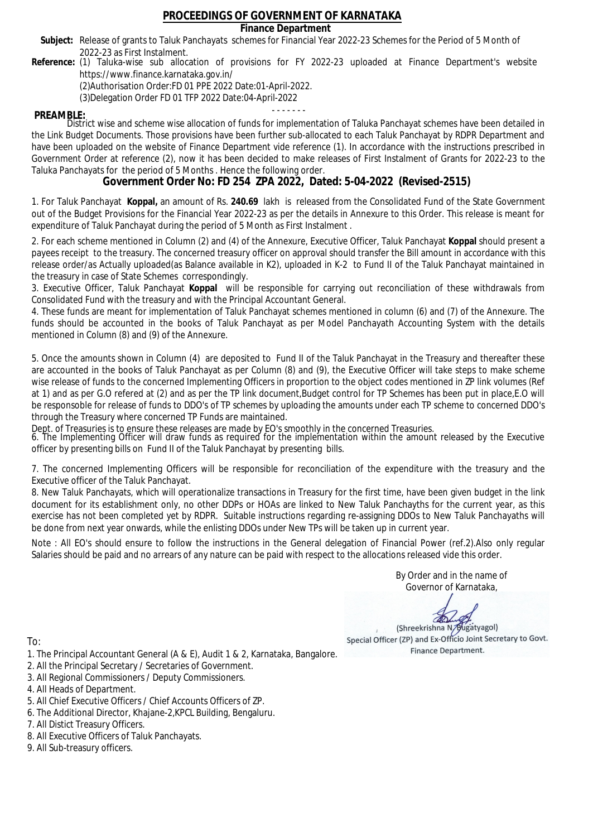### **Finance Department**

- Subject: Release of grants to Taluk Panchayats schemes for Financial Year 2022-23 Schemes for the Period of 5 Month of 2022-23 as First Instalment.
- **Reference:** (1) Taluka-wise sub allocation of provisions for FY 2022-23 uploaded at Finance Department's website https://www.finance.karnataka.gov.in/

(2)Authorisation Order:FD 01 PPE 2022 Date:01-April-2022.

(3)Delegation Order FD 01 TFP 2022 Date:04-April-2022

- - - - - - - **PREAMBLE:** District wise and scheme wise allocation of funds for implementation of Taluka Panchayat schemes have been detailed in the Link Budget Documents. Those provisions have been further sub-allocated to each Taluk Panchayat by RDPR Department and have been uploaded on the website of Finance Department vide reference (1). In accordance with the instructions prescribed in Government Order at reference (2), now it has been decided to make releases of First Instalment of Grants for 2022-23 to the Taluka Panchayats for the period of 5 Months . Hence the following order.

**Government Order No: FD 254 ZPA 2022, Dated: 5-04-2022 (Revised-2515)**

1. For Taluk Panchayat **Koppal,** an amount of Rs. **240.69** lakh is released from the Consolidated Fund of the State Government out of the Budget Provisions for the Financial Year 2022-23 as per the details in Annexure to this Order. This release is meant for expenditure of Taluk Panchayat during the period of 5 Month as First Instalment .

2. For each scheme mentioned in Column (2) and (4) of the Annexure, Executive Officer, Taluk Panchayat **Koppal** should present a payees receipt to the treasury. The concerned treasury officer on approval should transfer the Bill amount in accordance with this release order/as Actually uploaded(as Balance available in K2), uploaded in K-2 to Fund II of the Taluk Panchayat maintained in the treasury in case of State Schemes correspondingly.

3. Executive Officer, Taluk Panchayat **Koppal** will be responsible for carrying out reconciliation of these withdrawals from Consolidated Fund with the treasury and with the Principal Accountant General.

4. These funds are meant for implementation of Taluk Panchayat schemes mentioned in column (6) and (7) of the Annexure. The funds should be accounted in the books of Taluk Panchayat as per Model Panchayath Accounting System with the details mentioned in Column (8) and (9) of the Annexure.

5. Once the amounts shown in Column (4) are deposited to Fund II of the Taluk Panchayat in the Treasury and thereafter these are accounted in the books of Taluk Panchayat as per Column (8) and (9), the Executive Officer will take steps to make scheme wise release of funds to the concerned Implementing Officers in proportion to the object codes mentioned in ZP link volumes (Ref at 1) and as per G.O refered at (2) and as per the TP link document,Budget control for TP Schemes has been put in place,E.O will be responsoble for release of funds to DDO's of TP schemes by uploading the amounts under each TP scheme to concerned DDO's through the Treasury where concerned TP Funds are maintained.

Dept. of Treasuries is to ensure these releases are made by EO's smoothly in the concerned Treasuries.

6. The Implementing Officer will draw funds as required for the implementation within the amount released by the Executive officer by presenting bills on Fund II of the Taluk Panchayat by presenting bills.

7. The concerned Implementing Officers will be responsible for reconciliation of the expenditure with the treasury and the Executive officer of the Taluk Panchayat.

8. New Taluk Panchayats, which will operationalize transactions in Treasury for the first time, have been given budget in the link document for its establishment only, no other DDPs or HOAs are linked to New Taluk Panchayths for the current year, as this exercise has not been completed yet by RDPR. Suitable instructions regarding re-assigning DDOs to New Taluk Panchayaths will be done from next year onwards, while the enlisting DDOs under New TPs will be taken up in current year.

Note : All EO's should ensure to follow the instructions in the General delegation of Financial Power (ref.2).Also only regular Salaries should be paid and no arrears of any nature can be paid with respect to the allocations released vide this order.

> By Order and in the name of Governor of Karnataka,

**PD** 

(Shreekrishna N/Bugatyagol) Special Officer (ZP) and Ex-Officio Joint Secretary to Govt. Finance Department.

- 1. The Principal Accountant General (A & E), Audit 1 & 2, Karnataka, Bangalore.
- 2. All the Principal Secretary / Secretaries of Government.
- 3. All Regional Commissioners / Deputy Commissioners.
- 4. All Heads of Department.
- 5. All Chief Executive Officers / Chief Accounts Officers of ZP.
- 6. The Additional Director, Khajane-2,KPCL Building, Bengaluru.
- 7. All Distict Treasury Officers.
- 8. All Executive Officers of Taluk Panchayats.
- 9. All Sub-treasury officers.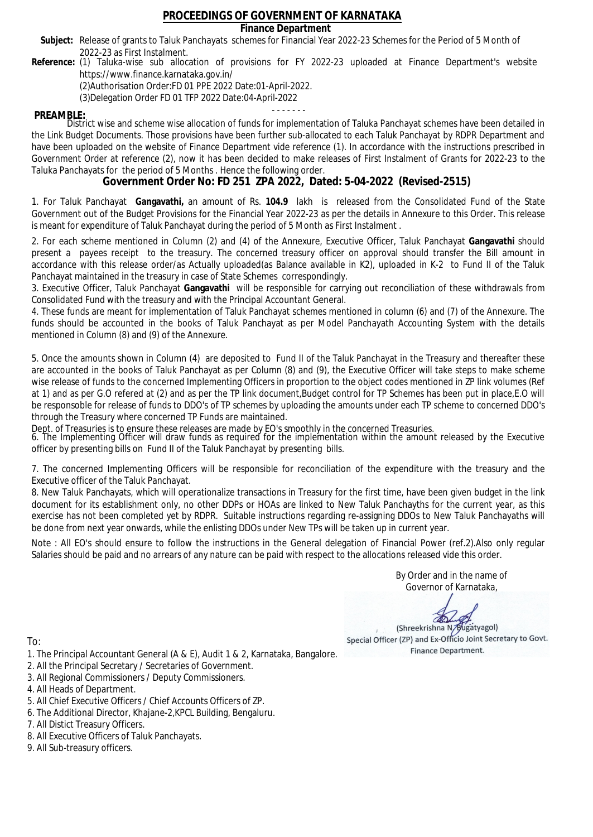### **Finance Department**

- Subject: Release of grants to Taluk Panchayats schemes for Financial Year 2022-23 Schemes for the Period of 5 Month of 2022-23 as First Instalment.
- **Reference:** (1) Taluka-wise sub allocation of provisions for FY 2022-23 uploaded at Finance Department's website https://www.finance.karnataka.gov.in/

(2)Authorisation Order:FD 01 PPE 2022 Date:01-April-2022.

(3)Delegation Order FD 01 TFP 2022 Date:04-April-2022

- - - - - - - **PREAMBLE:** District wise and scheme wise allocation of funds for implementation of Taluka Panchayat schemes have been detailed in the Link Budget Documents. Those provisions have been further sub-allocated to each Taluk Panchayat by RDPR Department and have been uploaded on the website of Finance Department vide reference (1). In accordance with the instructions prescribed in Government Order at reference (2), now it has been decided to make releases of First Instalment of Grants for 2022-23 to the Taluka Panchayats for the period of 5 Months . Hence the following order.

**Government Order No: FD 251 ZPA 2022, Dated: 5-04-2022 (Revised-2515)**

1. For Taluk Panchayat **Gangavathi,** an amount of Rs. **104.9** lakh is released from the Consolidated Fund of the State Government out of the Budget Provisions for the Financial Year 2022-23 as per the details in Annexure to this Order. This release is meant for expenditure of Taluk Panchayat during the period of 5 Month as First Instalment .

2. For each scheme mentioned in Column (2) and (4) of the Annexure, Executive Officer, Taluk Panchayat **Gangavathi** should present a payees receipt to the treasury. The concerned treasury officer on approval should transfer the Bill amount in accordance with this release order/as Actually uploaded(as Balance available in K2), uploaded in K-2 to Fund II of the Taluk Panchayat maintained in the treasury in case of State Schemes correspondingly.

3. Executive Officer, Taluk Panchayat **Gangavathi** will be responsible for carrying out reconciliation of these withdrawals from Consolidated Fund with the treasury and with the Principal Accountant General.

4. These funds are meant for implementation of Taluk Panchayat schemes mentioned in column (6) and (7) of the Annexure. The funds should be accounted in the books of Taluk Panchayat as per Model Panchayath Accounting System with the details mentioned in Column (8) and (9) of the Annexure.

5. Once the amounts shown in Column (4) are deposited to Fund II of the Taluk Panchayat in the Treasury and thereafter these are accounted in the books of Taluk Panchayat as per Column (8) and (9), the Executive Officer will take steps to make scheme wise release of funds to the concerned Implementing Officers in proportion to the object codes mentioned in ZP link volumes (Ref at 1) and as per G.O refered at (2) and as per the TP link document,Budget control for TP Schemes has been put in place,E.O will be responsoble for release of funds to DDO's of TP schemes by uploading the amounts under each TP scheme to concerned DDO's through the Treasury where concerned TP Funds are maintained.

Dept. of Treasuries is to ensure these releases are made by EO's smoothly in the concerned Treasuries.

6. The Implementing Officer will draw funds as required for the implementation within the amount released by the Executive officer by presenting bills on Fund II of the Taluk Panchayat by presenting bills.

7. The concerned Implementing Officers will be responsible for reconciliation of the expenditure with the treasury and the Executive officer of the Taluk Panchayat.

8. New Taluk Panchayats, which will operationalize transactions in Treasury for the first time, have been given budget in the link document for its establishment only, no other DDPs or HOAs are linked to New Taluk Panchayths for the current year, as this exercise has not been completed yet by RDPR. Suitable instructions regarding re-assigning DDOs to New Taluk Panchayaths will be done from next year onwards, while the enlisting DDOs under New TPs will be taken up in current year.

Note : All EO's should ensure to follow the instructions in the General delegation of Financial Power (ref.2).Also only regular Salaries should be paid and no arrears of any nature can be paid with respect to the allocations released vide this order.

> By Order and in the name of Governor of Karnataka,

**PD** 

(Shreekrishna N/Bugatyagol) Special Officer (ZP) and Ex-Officio Joint Secretary to Govt. Finance Department.

- 1. The Principal Accountant General (A & E), Audit 1 & 2, Karnataka, Bangalore.
- 2. All the Principal Secretary / Secretaries of Government.
- 3. All Regional Commissioners / Deputy Commissioners.
- 4. All Heads of Department.
- 5. All Chief Executive Officers / Chief Accounts Officers of ZP.
- 6. The Additional Director, Khajane-2,KPCL Building, Bengaluru.
- 7. All Distict Treasury Officers.
- 8. All Executive Officers of Taluk Panchayats.
- 9. All Sub-treasury officers.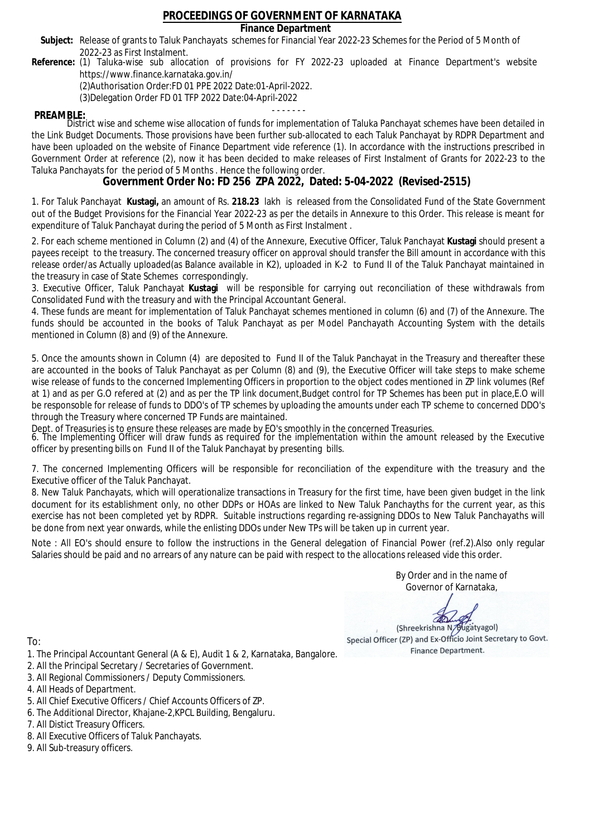### **Finance Department**

- Subject: Release of grants to Taluk Panchayats schemes for Financial Year 2022-23 Schemes for the Period of 5 Month of 2022-23 as First Instalment.
- **Reference:** (1) Taluka-wise sub allocation of provisions for FY 2022-23 uploaded at Finance Department's website https://www.finance.karnataka.gov.in/

(2)Authorisation Order:FD 01 PPE 2022 Date:01-April-2022.

(3)Delegation Order FD 01 TFP 2022 Date:04-April-2022

- - - - - - - **PREAMBLE:** District wise and scheme wise allocation of funds for implementation of Taluka Panchayat schemes have been detailed in the Link Budget Documents. Those provisions have been further sub-allocated to each Taluk Panchayat by RDPR Department and have been uploaded on the website of Finance Department vide reference (1). In accordance with the instructions prescribed in Government Order at reference (2), now it has been decided to make releases of First Instalment of Grants for 2022-23 to the Taluka Panchayats for the period of 5 Months . Hence the following order.

**Government Order No: FD 256 ZPA 2022, Dated: 5-04-2022 (Revised-2515)**

1. For Taluk Panchayat **Kustagi,** an amount of Rs. **218.23** lakh is released from the Consolidated Fund of the State Government out of the Budget Provisions for the Financial Year 2022-23 as per the details in Annexure to this Order. This release is meant for expenditure of Taluk Panchayat during the period of 5 Month as First Instalment .

2. For each scheme mentioned in Column (2) and (4) of the Annexure, Executive Officer, Taluk Panchayat **Kustagi** should present a payees receipt to the treasury. The concerned treasury officer on approval should transfer the Bill amount in accordance with this release order/as Actually uploaded(as Balance available in K2), uploaded in K-2 to Fund II of the Taluk Panchayat maintained in the treasury in case of State Schemes correspondingly.

3. Executive Officer, Taluk Panchayat **Kustagi** will be responsible for carrying out reconciliation of these withdrawals from Consolidated Fund with the treasury and with the Principal Accountant General.

4. These funds are meant for implementation of Taluk Panchayat schemes mentioned in column (6) and (7) of the Annexure. The funds should be accounted in the books of Taluk Panchayat as per Model Panchayath Accounting System with the details mentioned in Column (8) and (9) of the Annexure.

5. Once the amounts shown in Column (4) are deposited to Fund II of the Taluk Panchayat in the Treasury and thereafter these are accounted in the books of Taluk Panchayat as per Column (8) and (9), the Executive Officer will take steps to make scheme wise release of funds to the concerned Implementing Officers in proportion to the object codes mentioned in ZP link volumes (Ref at 1) and as per G.O refered at (2) and as per the TP link document,Budget control for TP Schemes has been put in place,E.O will be responsoble for release of funds to DDO's of TP schemes by uploading the amounts under each TP scheme to concerned DDO's through the Treasury where concerned TP Funds are maintained.

Dept. of Treasuries is to ensure these releases are made by EO's smoothly in the concerned Treasuries.

6. The Implementing Officer will draw funds as required for the implementation within the amount released by the Executive officer by presenting bills on Fund II of the Taluk Panchayat by presenting bills.

7. The concerned Implementing Officers will be responsible for reconciliation of the expenditure with the treasury and the Executive officer of the Taluk Panchayat.

8. New Taluk Panchayats, which will operationalize transactions in Treasury for the first time, have been given budget in the link document for its establishment only, no other DDPs or HOAs are linked to New Taluk Panchayths for the current year, as this exercise has not been completed yet by RDPR. Suitable instructions regarding re-assigning DDOs to New Taluk Panchayaths will be done from next year onwards, while the enlisting DDOs under New TPs will be taken up in current year.

Note : All EO's should ensure to follow the instructions in the General delegation of Financial Power (ref.2).Also only regular Salaries should be paid and no arrears of any nature can be paid with respect to the allocations released vide this order.

> By Order and in the name of Governor of Karnataka,

**PD** 

(Shreekrishna N/Bugatyagol) Special Officer (ZP) and Ex-Officio Joint Secretary to Govt. Finance Department.

- 1. The Principal Accountant General (A & E), Audit 1 & 2, Karnataka, Bangalore.
- 2. All the Principal Secretary / Secretaries of Government.
- 3. All Regional Commissioners / Deputy Commissioners.
- 4. All Heads of Department.
- 5. All Chief Executive Officers / Chief Accounts Officers of ZP.
- 6. The Additional Director, Khajane-2,KPCL Building, Bengaluru.
- 7. All Distict Treasury Officers.
- 8. All Executive Officers of Taluk Panchayats.
- 9. All Sub-treasury officers.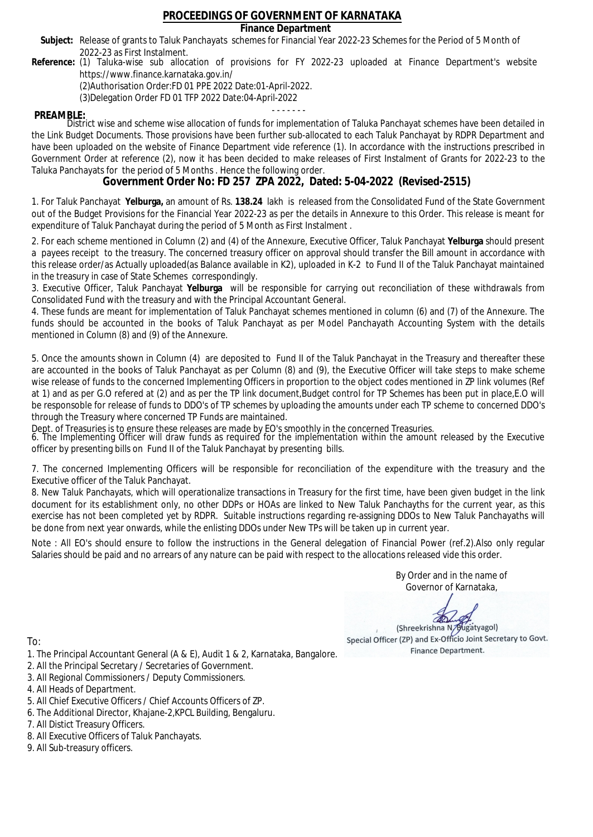### **Finance Department**

- Subject: Release of grants to Taluk Panchayats schemes for Financial Year 2022-23 Schemes for the Period of 5 Month of 2022-23 as First Instalment.
- **Reference:** (1) Taluka-wise sub allocation of provisions for FY 2022-23 uploaded at Finance Department's website https://www.finance.karnataka.gov.in/

(2)Authorisation Order:FD 01 PPE 2022 Date:01-April-2022.

(3)Delegation Order FD 01 TFP 2022 Date:04-April-2022

- - - - - - - **PREAMBLE:** District wise and scheme wise allocation of funds for implementation of Taluka Panchayat schemes have been detailed in the Link Budget Documents. Those provisions have been further sub-allocated to each Taluk Panchayat by RDPR Department and have been uploaded on the website of Finance Department vide reference (1). In accordance with the instructions prescribed in Government Order at reference (2), now it has been decided to make releases of First Instalment of Grants for 2022-23 to the Taluka Panchayats for the period of 5 Months . Hence the following order.

**Government Order No: FD 257 ZPA 2022, Dated: 5-04-2022 (Revised-2515)**

1. For Taluk Panchayat **Yelburga,** an amount of Rs. **138.24** lakh is released from the Consolidated Fund of the State Government out of the Budget Provisions for the Financial Year 2022-23 as per the details in Annexure to this Order. This release is meant for expenditure of Taluk Panchayat during the period of 5 Month as First Instalment .

2. For each scheme mentioned in Column (2) and (4) of the Annexure, Executive Officer, Taluk Panchayat **Yelburga** should present a payees receipt to the treasury. The concerned treasury officer on approval should transfer the Bill amount in accordance with this release order/as Actually uploaded(as Balance available in K2), uploaded in K-2 to Fund II of the Taluk Panchayat maintained in the treasury in case of State Schemes correspondingly.

3. Executive Officer, Taluk Panchayat **Yelburga** will be responsible for carrying out reconciliation of these withdrawals from Consolidated Fund with the treasury and with the Principal Accountant General.

4. These funds are meant for implementation of Taluk Panchayat schemes mentioned in column (6) and (7) of the Annexure. The funds should be accounted in the books of Taluk Panchayat as per Model Panchayath Accounting System with the details mentioned in Column (8) and (9) of the Annexure.

5. Once the amounts shown in Column (4) are deposited to Fund II of the Taluk Panchayat in the Treasury and thereafter these are accounted in the books of Taluk Panchayat as per Column (8) and (9), the Executive Officer will take steps to make scheme wise release of funds to the concerned Implementing Officers in proportion to the object codes mentioned in ZP link volumes (Ref at 1) and as per G.O refered at (2) and as per the TP link document,Budget control for TP Schemes has been put in place,E.O will be responsoble for release of funds to DDO's of TP schemes by uploading the amounts under each TP scheme to concerned DDO's through the Treasury where concerned TP Funds are maintained.

Dept. of Treasuries is to ensure these releases are made by EO's smoothly in the concerned Treasuries.

6. The Implementing Officer will draw funds as required for the implementation within the amount released by the Executive officer by presenting bills on Fund II of the Taluk Panchayat by presenting bills.

7. The concerned Implementing Officers will be responsible for reconciliation of the expenditure with the treasury and the Executive officer of the Taluk Panchayat.

8. New Taluk Panchayats, which will operationalize transactions in Treasury for the first time, have been given budget in the link document for its establishment only, no other DDPs or HOAs are linked to New Taluk Panchayths for the current year, as this exercise has not been completed yet by RDPR. Suitable instructions regarding re-assigning DDOs to New Taluk Panchayaths will be done from next year onwards, while the enlisting DDOs under New TPs will be taken up in current year.

Note : All EO's should ensure to follow the instructions in the General delegation of Financial Power (ref.2).Also only regular Salaries should be paid and no arrears of any nature can be paid with respect to the allocations released vide this order.

> By Order and in the name of Governor of Karnataka,

**PD** 

(Shreekrishna N/Bugatyagol) Special Officer (ZP) and Ex-Officio Joint Secretary to Govt. Finance Department.

To:

- 1. The Principal Accountant General (A & E), Audit 1 & 2, Karnataka, Bangalore.
- 2. All the Principal Secretary / Secretaries of Government.
- 3. All Regional Commissioners / Deputy Commissioners.
- 4. All Heads of Department.
- 5. All Chief Executive Officers / Chief Accounts Officers of ZP.
- 6. The Additional Director, Khajane-2,KPCL Building, Bengaluru.

7. All Distict Treasury Officers.

- 8. All Executive Officers of Taluk Panchayats.
- 9. All Sub-treasury officers.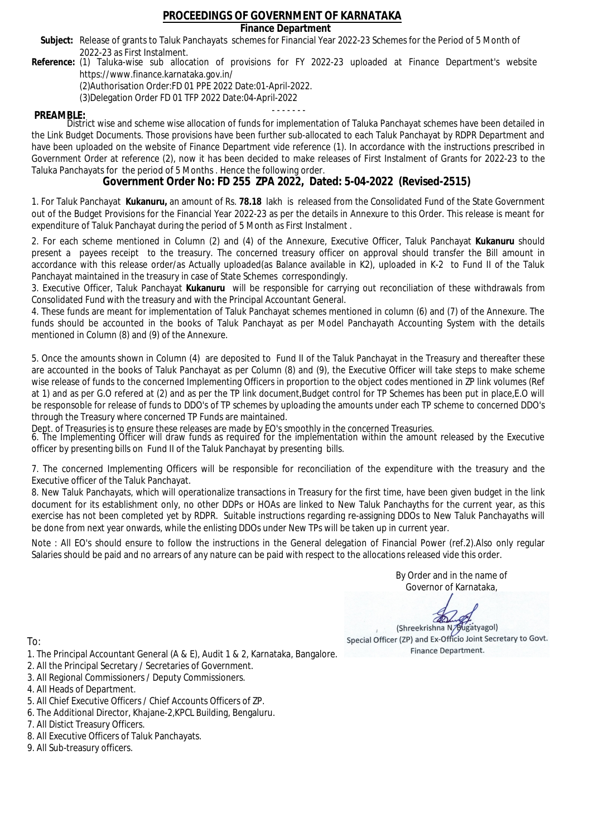### **Finance Department**

- Subject: Release of grants to Taluk Panchayats schemes for Financial Year 2022-23 Schemes for the Period of 5 Month of 2022-23 as First Instalment.
- **Reference:** (1) Taluka-wise sub allocation of provisions for FY 2022-23 uploaded at Finance Department's website https://www.finance.karnataka.gov.in/

(2)Authorisation Order:FD 01 PPE 2022 Date:01-April-2022.

(3)Delegation Order FD 01 TFP 2022 Date:04-April-2022

- - - - - - - **PREAMBLE:** District wise and scheme wise allocation of funds for implementation of Taluka Panchayat schemes have been detailed in the Link Budget Documents. Those provisions have been further sub-allocated to each Taluk Panchayat by RDPR Department and have been uploaded on the website of Finance Department vide reference (1). In accordance with the instructions prescribed in Government Order at reference (2), now it has been decided to make releases of First Instalment of Grants for 2022-23 to the Taluka Panchayats for the period of 5 Months . Hence the following order.

**Government Order No: FD 255 ZPA 2022, Dated: 5-04-2022 (Revised-2515)**

1. For Taluk Panchayat **Kukanuru,** an amount of Rs. **78.18** lakh is released from the Consolidated Fund of the State Government out of the Budget Provisions for the Financial Year 2022-23 as per the details in Annexure to this Order. This release is meant for expenditure of Taluk Panchayat during the period of 5 Month as First Instalment .

2. For each scheme mentioned in Column (2) and (4) of the Annexure, Executive Officer, Taluk Panchayat **Kukanuru** should present a payees receipt to the treasury. The concerned treasury officer on approval should transfer the Bill amount in accordance with this release order/as Actually uploaded(as Balance available in K2), uploaded in K-2 to Fund II of the Taluk Panchayat maintained in the treasury in case of State Schemes correspondingly.

3. Executive Officer, Taluk Panchayat **Kukanuru** will be responsible for carrying out reconciliation of these withdrawals from Consolidated Fund with the treasury and with the Principal Accountant General.

4. These funds are meant for implementation of Taluk Panchayat schemes mentioned in column (6) and (7) of the Annexure. The funds should be accounted in the books of Taluk Panchayat as per Model Panchayath Accounting System with the details mentioned in Column (8) and (9) of the Annexure.

5. Once the amounts shown in Column (4) are deposited to Fund II of the Taluk Panchayat in the Treasury and thereafter these are accounted in the books of Taluk Panchayat as per Column (8) and (9), the Executive Officer will take steps to make scheme wise release of funds to the concerned Implementing Officers in proportion to the object codes mentioned in ZP link volumes (Ref at 1) and as per G.O refered at (2) and as per the TP link document,Budget control for TP Schemes has been put in place,E.O will be responsoble for release of funds to DDO's of TP schemes by uploading the amounts under each TP scheme to concerned DDO's through the Treasury where concerned TP Funds are maintained.

Dept. of Treasuries is to ensure these releases are made by EO's smoothly in the concerned Treasuries.

6. The Implementing Officer will draw funds as required for the implementation within the amount released by the Executive officer by presenting bills on Fund II of the Taluk Panchayat by presenting bills.

7. The concerned Implementing Officers will be responsible for reconciliation of the expenditure with the treasury and the Executive officer of the Taluk Panchayat.

8. New Taluk Panchayats, which will operationalize transactions in Treasury for the first time, have been given budget in the link document for its establishment only, no other DDPs or HOAs are linked to New Taluk Panchayths for the current year, as this exercise has not been completed yet by RDPR. Suitable instructions regarding re-assigning DDOs to New Taluk Panchayaths will be done from next year onwards, while the enlisting DDOs under New TPs will be taken up in current year.

Note : All EO's should ensure to follow the instructions in the General delegation of Financial Power (ref.2).Also only regular Salaries should be paid and no arrears of any nature can be paid with respect to the allocations released vide this order.

> By Order and in the name of Governor of Karnataka,

**PD** 

(Shreekrishna N/Bugatyagol) Special Officer (ZP) and Ex-Officio Joint Secretary to Govt. Finance Department.

- 1. The Principal Accountant General (A & E), Audit 1 & 2, Karnataka, Bangalore.
- 2. All the Principal Secretary / Secretaries of Government.
- 3. All Regional Commissioners / Deputy Commissioners.
- 4. All Heads of Department.
- 5. All Chief Executive Officers / Chief Accounts Officers of ZP.
- 6. The Additional Director, Khajane-2,KPCL Building, Bengaluru.
- 7. All Distict Treasury Officers.
- 8. All Executive Officers of Taluk Panchayats.
- 9. All Sub-treasury officers.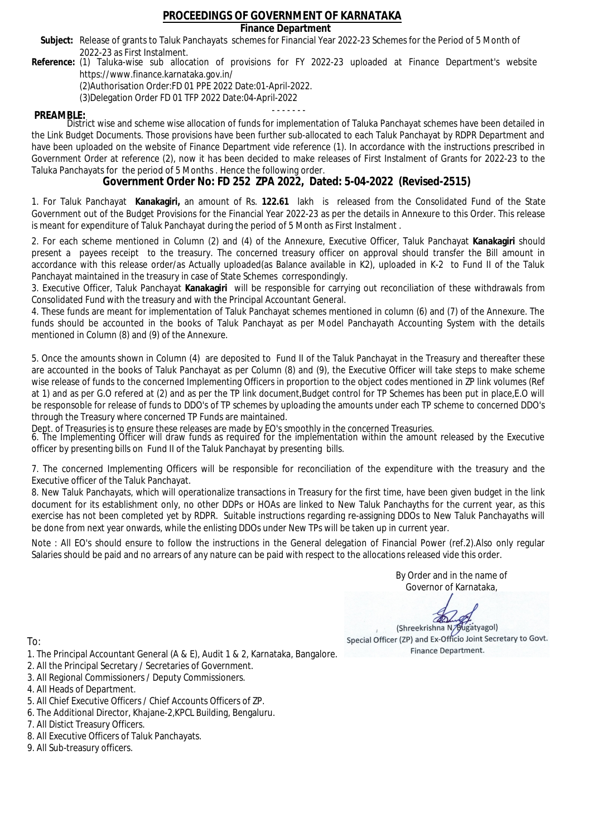### **Finance Department**

- Subject: Release of grants to Taluk Panchayats schemes for Financial Year 2022-23 Schemes for the Period of 5 Month of 2022-23 as First Instalment.
- **Reference:** (1) Taluka-wise sub allocation of provisions for FY 2022-23 uploaded at Finance Department's website https://www.finance.karnataka.gov.in/

(2)Authorisation Order:FD 01 PPE 2022 Date:01-April-2022.

(3)Delegation Order FD 01 TFP 2022 Date:04-April-2022

- - - - - - - **PREAMBLE:** District wise and scheme wise allocation of funds for implementation of Taluka Panchayat schemes have been detailed in the Link Budget Documents. Those provisions have been further sub-allocated to each Taluk Panchayat by RDPR Department and have been uploaded on the website of Finance Department vide reference (1). In accordance with the instructions prescribed in Government Order at reference (2), now it has been decided to make releases of First Instalment of Grants for 2022-23 to the Taluka Panchayats for the period of 5 Months . Hence the following order.

**Government Order No: FD 252 ZPA 2022, Dated: 5-04-2022 (Revised-2515)**

1. For Taluk Panchayat **Kanakagiri,** an amount of Rs. **122.61** lakh is released from the Consolidated Fund of the State Government out of the Budget Provisions for the Financial Year 2022-23 as per the details in Annexure to this Order. This release is meant for expenditure of Taluk Panchayat during the period of 5 Month as First Instalment .

2. For each scheme mentioned in Column (2) and (4) of the Annexure, Executive Officer, Taluk Panchayat **Kanakagiri** should present a payees receipt to the treasury. The concerned treasury officer on approval should transfer the Bill amount in accordance with this release order/as Actually uploaded(as Balance available in K2), uploaded in K-2 to Fund II of the Taluk Panchayat maintained in the treasury in case of State Schemes correspondingly.

3. Executive Officer, Taluk Panchayat **Kanakagiri** will be responsible for carrying out reconciliation of these withdrawals from Consolidated Fund with the treasury and with the Principal Accountant General.

4. These funds are meant for implementation of Taluk Panchayat schemes mentioned in column (6) and (7) of the Annexure. The funds should be accounted in the books of Taluk Panchayat as per Model Panchayath Accounting System with the details mentioned in Column (8) and (9) of the Annexure.

5. Once the amounts shown in Column (4) are deposited to Fund II of the Taluk Panchayat in the Treasury and thereafter these are accounted in the books of Taluk Panchayat as per Column (8) and (9), the Executive Officer will take steps to make scheme wise release of funds to the concerned Implementing Officers in proportion to the object codes mentioned in ZP link volumes (Ref at 1) and as per G.O refered at (2) and as per the TP link document,Budget control for TP Schemes has been put in place,E.O will be responsoble for release of funds to DDO's of TP schemes by uploading the amounts under each TP scheme to concerned DDO's through the Treasury where concerned TP Funds are maintained.

Dept. of Treasuries is to ensure these releases are made by EO's smoothly in the concerned Treasuries.

6. The Implementing Officer will draw funds as required for the implementation within the amount released by the Executive officer by presenting bills on Fund II of the Taluk Panchayat by presenting bills.

7. The concerned Implementing Officers will be responsible for reconciliation of the expenditure with the treasury and the Executive officer of the Taluk Panchayat.

8. New Taluk Panchayats, which will operationalize transactions in Treasury for the first time, have been given budget in the link document for its establishment only, no other DDPs or HOAs are linked to New Taluk Panchayths for the current year, as this exercise has not been completed yet by RDPR. Suitable instructions regarding re-assigning DDOs to New Taluk Panchayaths will be done from next year onwards, while the enlisting DDOs under New TPs will be taken up in current year.

Note : All EO's should ensure to follow the instructions in the General delegation of Financial Power (ref.2).Also only regular Salaries should be paid and no arrears of any nature can be paid with respect to the allocations released vide this order.

> By Order and in the name of Governor of Karnataka,

**PD** 

(Shreekrishna N/Bugatyagol) Special Officer (ZP) and Ex-Officio Joint Secretary to Govt. Finance Department.

- 1. The Principal Accountant General (A & E), Audit 1 & 2, Karnataka, Bangalore.
- 2. All the Principal Secretary / Secretaries of Government.
- 3. All Regional Commissioners / Deputy Commissioners.
- 4. All Heads of Department.
- 5. All Chief Executive Officers / Chief Accounts Officers of ZP.
- 6. The Additional Director, Khajane-2,KPCL Building, Bengaluru.
- 7. All Distict Treasury Officers.
- 8. All Executive Officers of Taluk Panchayats.
- 9. All Sub-treasury officers.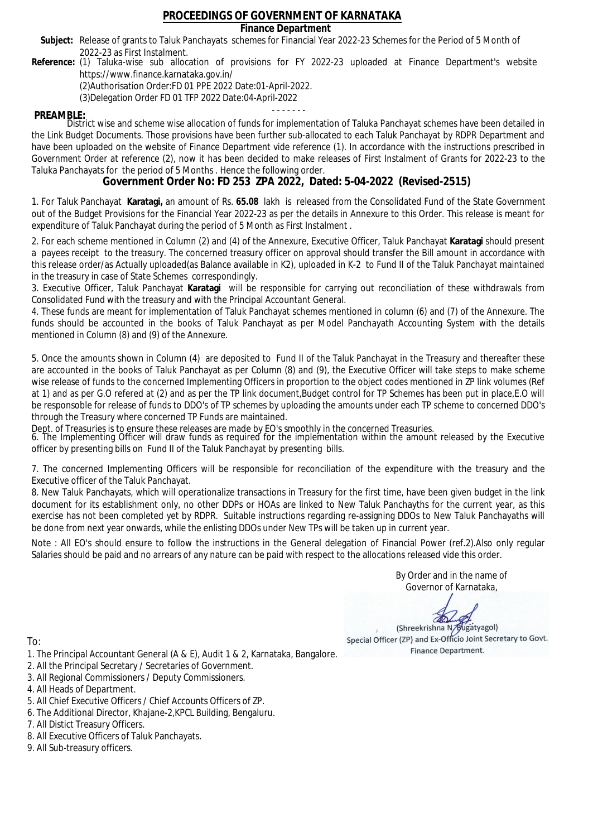### **Finance Department**

- Subject: Release of grants to Taluk Panchayats schemes for Financial Year 2022-23 Schemes for the Period of 5 Month of 2022-23 as First Instalment.
- **Reference:** (1) Taluka-wise sub allocation of provisions for FY 2022-23 uploaded at Finance Department's website https://www.finance.karnataka.gov.in/

(2)Authorisation Order:FD 01 PPE 2022 Date:01-April-2022.

(3)Delegation Order FD 01 TFP 2022 Date:04-April-2022

- - - - - - - **PREAMBLE:** District wise and scheme wise allocation of funds for implementation of Taluka Panchayat schemes have been detailed in the Link Budget Documents. Those provisions have been further sub-allocated to each Taluk Panchayat by RDPR Department and have been uploaded on the website of Finance Department vide reference (1). In accordance with the instructions prescribed in Government Order at reference (2), now it has been decided to make releases of First Instalment of Grants for 2022-23 to the Taluka Panchayats for the period of 5 Months . Hence the following order.

**Government Order No: FD 253 ZPA 2022, Dated: 5-04-2022 (Revised-2515)**

1. For Taluk Panchayat **Karatagi,** an amount of Rs. **65.08** lakh is released from the Consolidated Fund of the State Government out of the Budget Provisions for the Financial Year 2022-23 as per the details in Annexure to this Order. This release is meant for expenditure of Taluk Panchayat during the period of 5 Month as First Instalment .

2. For each scheme mentioned in Column (2) and (4) of the Annexure, Executive Officer, Taluk Panchayat **Karatagi** should present a payees receipt to the treasury. The concerned treasury officer on approval should transfer the Bill amount in accordance with this release order/as Actually uploaded(as Balance available in K2), uploaded in K-2 to Fund II of the Taluk Panchayat maintained in the treasury in case of State Schemes correspondingly.

3. Executive Officer, Taluk Panchayat **Karatagi** will be responsible for carrying out reconciliation of these withdrawals from Consolidated Fund with the treasury and with the Principal Accountant General.

4. These funds are meant for implementation of Taluk Panchayat schemes mentioned in column (6) and (7) of the Annexure. The funds should be accounted in the books of Taluk Panchayat as per Model Panchayath Accounting System with the details mentioned in Column (8) and (9) of the Annexure.

5. Once the amounts shown in Column (4) are deposited to Fund II of the Taluk Panchayat in the Treasury and thereafter these are accounted in the books of Taluk Panchayat as per Column (8) and (9), the Executive Officer will take steps to make scheme wise release of funds to the concerned Implementing Officers in proportion to the object codes mentioned in ZP link volumes (Ref at 1) and as per G.O refered at (2) and as per the TP link document,Budget control for TP Schemes has been put in place,E.O will be responsoble for release of funds to DDO's of TP schemes by uploading the amounts under each TP scheme to concerned DDO's through the Treasury where concerned TP Funds are maintained.

Dept. of Treasuries is to ensure these releases are made by EO's smoothly in the concerned Treasuries.

6. The Implementing Officer will draw funds as required for the implementation within the amount released by the Executive officer by presenting bills on Fund II of the Taluk Panchayat by presenting bills.

7. The concerned Implementing Officers will be responsible for reconciliation of the expenditure with the treasury and the Executive officer of the Taluk Panchayat.

8. New Taluk Panchayats, which will operationalize transactions in Treasury for the first time, have been given budget in the link document for its establishment only, no other DDPs or HOAs are linked to New Taluk Panchayths for the current year, as this exercise has not been completed yet by RDPR. Suitable instructions regarding re-assigning DDOs to New Taluk Panchayaths will be done from next year onwards, while the enlisting DDOs under New TPs will be taken up in current year.

Note : All EO's should ensure to follow the instructions in the General delegation of Financial Power (ref.2).Also only regular Salaries should be paid and no arrears of any nature can be paid with respect to the allocations released vide this order.

> By Order and in the name of Governor of Karnataka,

**PD** 

(Shreekrishna N/Bugatyagol) Special Officer (ZP) and Ex-Officio Joint Secretary to Govt. Finance Department.

- 1. The Principal Accountant General (A & E), Audit 1 & 2, Karnataka, Bangalore.
- 2. All the Principal Secretary / Secretaries of Government.
- 3. All Regional Commissioners / Deputy Commissioners.
- 4. All Heads of Department.
- 5. All Chief Executive Officers / Chief Accounts Officers of ZP.
- 6. The Additional Director, Khajane-2,KPCL Building, Bengaluru.
- 7. All Distict Treasury Officers.
- 8. All Executive Officers of Taluk Panchayats.
- 9. All Sub-treasury officers.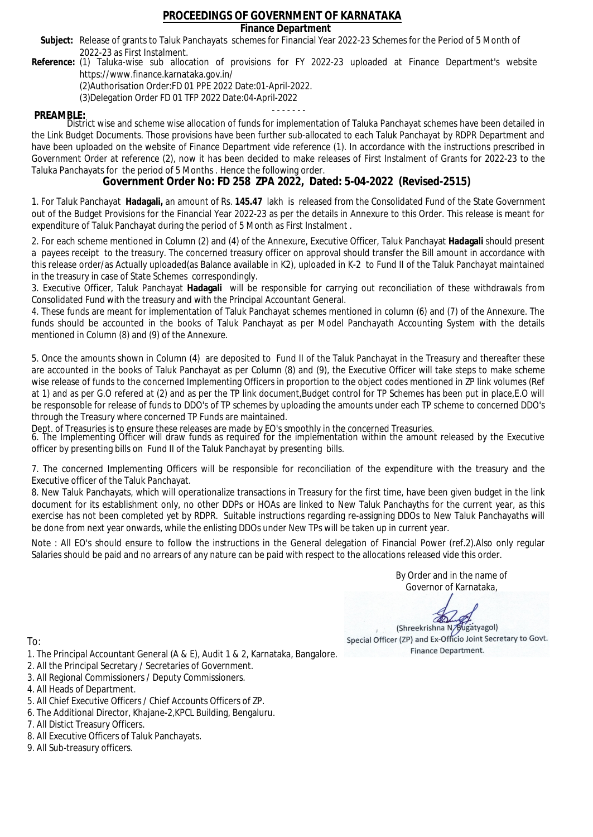### **Finance Department**

- Subject: Release of grants to Taluk Panchayats schemes for Financial Year 2022-23 Schemes for the Period of 5 Month of 2022-23 as First Instalment.
- **Reference:** (1) Taluka-wise sub allocation of provisions for FY 2022-23 uploaded at Finance Department's website https://www.finance.karnataka.gov.in/

(2)Authorisation Order:FD 01 PPE 2022 Date:01-April-2022.

(3)Delegation Order FD 01 TFP 2022 Date:04-April-2022

- - - - - - - **PREAMBLE:** District wise and scheme wise allocation of funds for implementation of Taluka Panchayat schemes have been detailed in the Link Budget Documents. Those provisions have been further sub-allocated to each Taluk Panchayat by RDPR Department and have been uploaded on the website of Finance Department vide reference (1). In accordance with the instructions prescribed in Government Order at reference (2), now it has been decided to make releases of First Instalment of Grants for 2022-23 to the Taluka Panchayats for the period of 5 Months . Hence the following order.

**Government Order No: FD 258 ZPA 2022, Dated: 5-04-2022 (Revised-2515)**

1. For Taluk Panchayat **Hadagali,** an amount of Rs. **145.47** lakh is released from the Consolidated Fund of the State Government out of the Budget Provisions for the Financial Year 2022-23 as per the details in Annexure to this Order. This release is meant for expenditure of Taluk Panchayat during the period of 5 Month as First Instalment .

2. For each scheme mentioned in Column (2) and (4) of the Annexure, Executive Officer, Taluk Panchayat **Hadagali** should present a payees receipt to the treasury. The concerned treasury officer on approval should transfer the Bill amount in accordance with this release order/as Actually uploaded(as Balance available in K2), uploaded in K-2 to Fund II of the Taluk Panchayat maintained in the treasury in case of State Schemes correspondingly.

3. Executive Officer, Taluk Panchayat **Hadagali** will be responsible for carrying out reconciliation of these withdrawals from Consolidated Fund with the treasury and with the Principal Accountant General.

4. These funds are meant for implementation of Taluk Panchayat schemes mentioned in column (6) and (7) of the Annexure. The funds should be accounted in the books of Taluk Panchayat as per Model Panchayath Accounting System with the details mentioned in Column (8) and (9) of the Annexure.

5. Once the amounts shown in Column (4) are deposited to Fund II of the Taluk Panchayat in the Treasury and thereafter these are accounted in the books of Taluk Panchayat as per Column (8) and (9), the Executive Officer will take steps to make scheme wise release of funds to the concerned Implementing Officers in proportion to the object codes mentioned in ZP link volumes (Ref at 1) and as per G.O refered at (2) and as per the TP link document,Budget control for TP Schemes has been put in place,E.O will be responsoble for release of funds to DDO's of TP schemes by uploading the amounts under each TP scheme to concerned DDO's through the Treasury where concerned TP Funds are maintained.

Dept. of Treasuries is to ensure these releases are made by EO's smoothly in the concerned Treasuries.

6. The Implementing Officer will draw funds as required for the implementation within the amount released by the Executive officer by presenting bills on Fund II of the Taluk Panchayat by presenting bills.

7. The concerned Implementing Officers will be responsible for reconciliation of the expenditure with the treasury and the Executive officer of the Taluk Panchayat.

8. New Taluk Panchayats, which will operationalize transactions in Treasury for the first time, have been given budget in the link document for its establishment only, no other DDPs or HOAs are linked to New Taluk Panchayths for the current year, as this exercise has not been completed yet by RDPR. Suitable instructions regarding re-assigning DDOs to New Taluk Panchayaths will be done from next year onwards, while the enlisting DDOs under New TPs will be taken up in current year.

Note : All EO's should ensure to follow the instructions in the General delegation of Financial Power (ref.2).Also only regular Salaries should be paid and no arrears of any nature can be paid with respect to the allocations released vide this order.

> By Order and in the name of Governor of Karnataka,

**PD** 

(Shreekrishna N/Bugatyagol) Special Officer (ZP) and Ex-Officio Joint Secretary to Govt. Finance Department.

To:

- 1. The Principal Accountant General (A & E), Audit 1 & 2, Karnataka, Bangalore.
- 2. All the Principal Secretary / Secretaries of Government.
- 3. All Regional Commissioners / Deputy Commissioners.
- 4. All Heads of Department.
- 5. All Chief Executive Officers / Chief Accounts Officers of ZP.
- 6. The Additional Director, Khajane-2,KPCL Building, Bengaluru.

7. All Distict Treasury Officers.

- 8. All Executive Officers of Taluk Panchayats.
- 9. All Sub-treasury officers.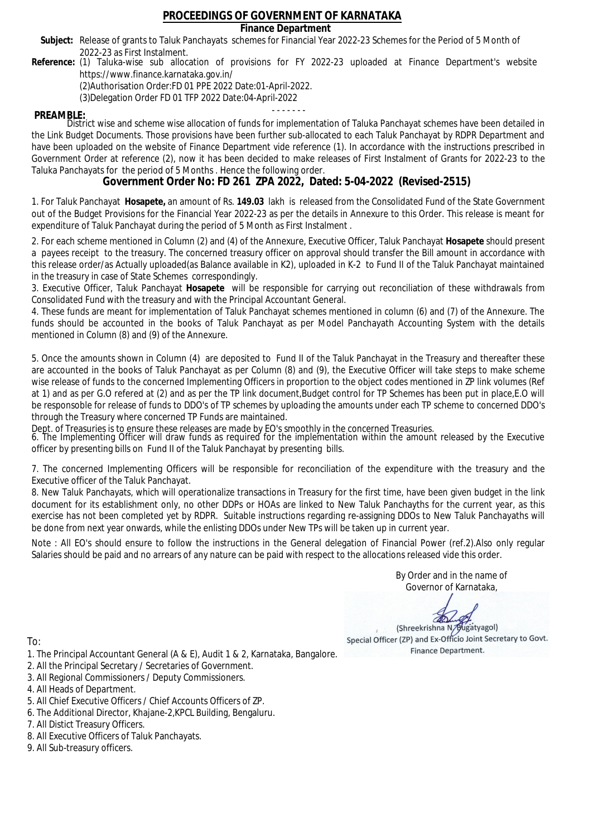### **Finance Department**

- Subject: Release of grants to Taluk Panchayats schemes for Financial Year 2022-23 Schemes for the Period of 5 Month of 2022-23 as First Instalment.
- **Reference:** (1) Taluka-wise sub allocation of provisions for FY 2022-23 uploaded at Finance Department's website https://www.finance.karnataka.gov.in/

(2)Authorisation Order:FD 01 PPE 2022 Date:01-April-2022.

(3)Delegation Order FD 01 TFP 2022 Date:04-April-2022

- - - - - - - **PREAMBLE:** District wise and scheme wise allocation of funds for implementation of Taluka Panchayat schemes have been detailed in the Link Budget Documents. Those provisions have been further sub-allocated to each Taluk Panchayat by RDPR Department and have been uploaded on the website of Finance Department vide reference (1). In accordance with the instructions prescribed in Government Order at reference (2), now it has been decided to make releases of First Instalment of Grants for 2022-23 to the Taluka Panchayats for the period of 5 Months . Hence the following order.

**Government Order No: FD 261 ZPA 2022, Dated: 5-04-2022 (Revised-2515)**

1. For Taluk Panchayat **Hosapete,** an amount of Rs. **149.03** lakh is released from the Consolidated Fund of the State Government out of the Budget Provisions for the Financial Year 2022-23 as per the details in Annexure to this Order. This release is meant for expenditure of Taluk Panchayat during the period of 5 Month as First Instalment .

2. For each scheme mentioned in Column (2) and (4) of the Annexure, Executive Officer, Taluk Panchayat **Hosapete** should present a payees receipt to the treasury. The concerned treasury officer on approval should transfer the Bill amount in accordance with this release order/as Actually uploaded(as Balance available in K2), uploaded in K-2 to Fund II of the Taluk Panchayat maintained in the treasury in case of State Schemes correspondingly.

3. Executive Officer, Taluk Panchayat **Hosapete** will be responsible for carrying out reconciliation of these withdrawals from Consolidated Fund with the treasury and with the Principal Accountant General.

4. These funds are meant for implementation of Taluk Panchayat schemes mentioned in column (6) and (7) of the Annexure. The funds should be accounted in the books of Taluk Panchayat as per Model Panchayath Accounting System with the details mentioned in Column (8) and (9) of the Annexure.

5. Once the amounts shown in Column (4) are deposited to Fund II of the Taluk Panchayat in the Treasury and thereafter these are accounted in the books of Taluk Panchayat as per Column (8) and (9), the Executive Officer will take steps to make scheme wise release of funds to the concerned Implementing Officers in proportion to the object codes mentioned in ZP link volumes (Ref at 1) and as per G.O refered at (2) and as per the TP link document,Budget control for TP Schemes has been put in place,E.O will be responsoble for release of funds to DDO's of TP schemes by uploading the amounts under each TP scheme to concerned DDO's through the Treasury where concerned TP Funds are maintained.

Dept. of Treasuries is to ensure these releases are made by EO's smoothly in the concerned Treasuries.

6. The Implementing Officer will draw funds as required for the implementation within the amount released by the Executive officer by presenting bills on Fund II of the Taluk Panchayat by presenting bills.

7. The concerned Implementing Officers will be responsible for reconciliation of the expenditure with the treasury and the Executive officer of the Taluk Panchayat.

8. New Taluk Panchayats, which will operationalize transactions in Treasury for the first time, have been given budget in the link document for its establishment only, no other DDPs or HOAs are linked to New Taluk Panchayths for the current year, as this exercise has not been completed yet by RDPR. Suitable instructions regarding re-assigning DDOs to New Taluk Panchayaths will be done from next year onwards, while the enlisting DDOs under New TPs will be taken up in current year.

Note : All EO's should ensure to follow the instructions in the General delegation of Financial Power (ref.2).Also only regular Salaries should be paid and no arrears of any nature can be paid with respect to the allocations released vide this order.

> By Order and in the name of Governor of Karnataka,

**PD** 

(Shreekrishna N/Bugatyagol) Special Officer (ZP) and Ex-Officio Joint Secretary to Govt. Finance Department.

To:

- 1. The Principal Accountant General (A & E), Audit 1 & 2, Karnataka, Bangalore.
- 2. All the Principal Secretary / Secretaries of Government.
- 3. All Regional Commissioners / Deputy Commissioners.
- 4. All Heads of Department.
- 5. All Chief Executive Officers / Chief Accounts Officers of ZP.
- 6. The Additional Director, Khajane-2,KPCL Building, Bengaluru.

7. All Distict Treasury Officers.

- 8. All Executive Officers of Taluk Panchayats.
- 9. All Sub-treasury officers.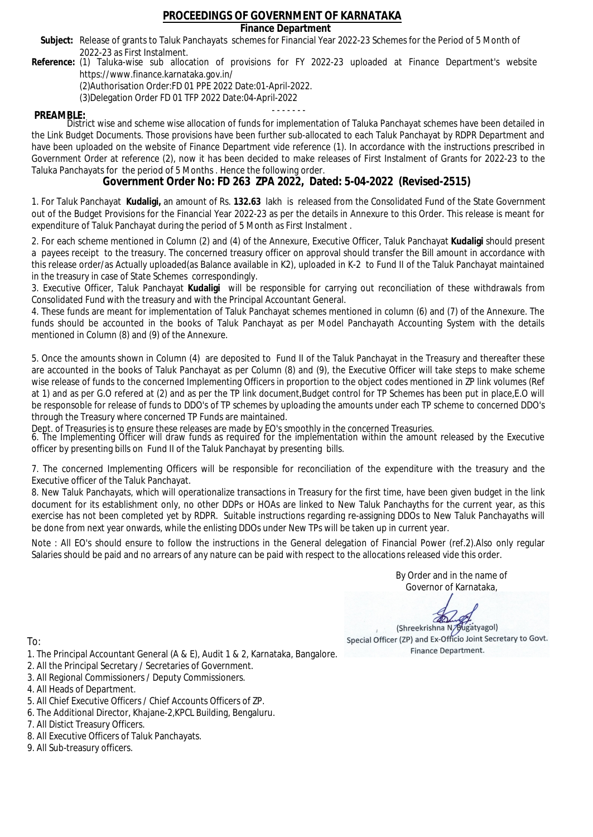### **Finance Department**

- Subject: Release of grants to Taluk Panchayats schemes for Financial Year 2022-23 Schemes for the Period of 5 Month of 2022-23 as First Instalment.
- **Reference:** (1) Taluka-wise sub allocation of provisions for FY 2022-23 uploaded at Finance Department's website https://www.finance.karnataka.gov.in/

(2)Authorisation Order:FD 01 PPE 2022 Date:01-April-2022.

(3)Delegation Order FD 01 TFP 2022 Date:04-April-2022

- - - - - - - **PREAMBLE:** District wise and scheme wise allocation of funds for implementation of Taluka Panchayat schemes have been detailed in the Link Budget Documents. Those provisions have been further sub-allocated to each Taluk Panchayat by RDPR Department and have been uploaded on the website of Finance Department vide reference (1). In accordance with the instructions prescribed in Government Order at reference (2), now it has been decided to make releases of First Instalment of Grants for 2022-23 to the Taluka Panchayats for the period of 5 Months . Hence the following order.

**Government Order No: FD 263 ZPA 2022, Dated: 5-04-2022 (Revised-2515)**

1. For Taluk Panchayat **Kudaligi,** an amount of Rs. **132.63** lakh is released from the Consolidated Fund of the State Government out of the Budget Provisions for the Financial Year 2022-23 as per the details in Annexure to this Order. This release is meant for expenditure of Taluk Panchayat during the period of 5 Month as First Instalment .

2. For each scheme mentioned in Column (2) and (4) of the Annexure, Executive Officer, Taluk Panchayat **Kudaligi** should present a payees receipt to the treasury. The concerned treasury officer on approval should transfer the Bill amount in accordance with this release order/as Actually uploaded(as Balance available in K2), uploaded in K-2 to Fund II of the Taluk Panchayat maintained in the treasury in case of State Schemes correspondingly.

3. Executive Officer, Taluk Panchayat **Kudaligi** will be responsible for carrying out reconciliation of these withdrawals from Consolidated Fund with the treasury and with the Principal Accountant General.

4. These funds are meant for implementation of Taluk Panchayat schemes mentioned in column (6) and (7) of the Annexure. The funds should be accounted in the books of Taluk Panchayat as per Model Panchayath Accounting System with the details mentioned in Column (8) and (9) of the Annexure.

5. Once the amounts shown in Column (4) are deposited to Fund II of the Taluk Panchayat in the Treasury and thereafter these are accounted in the books of Taluk Panchayat as per Column (8) and (9), the Executive Officer will take steps to make scheme wise release of funds to the concerned Implementing Officers in proportion to the object codes mentioned in ZP link volumes (Ref at 1) and as per G.O refered at (2) and as per the TP link document,Budget control for TP Schemes has been put in place,E.O will be responsoble for release of funds to DDO's of TP schemes by uploading the amounts under each TP scheme to concerned DDO's through the Treasury where concerned TP Funds are maintained.

Dept. of Treasuries is to ensure these releases are made by EO's smoothly in the concerned Treasuries.

6. The Implementing Officer will draw funds as required for the implementation within the amount released by the Executive officer by presenting bills on Fund II of the Taluk Panchayat by presenting bills.

7. The concerned Implementing Officers will be responsible for reconciliation of the expenditure with the treasury and the Executive officer of the Taluk Panchayat.

8. New Taluk Panchayats, which will operationalize transactions in Treasury for the first time, have been given budget in the link document for its establishment only, no other DDPs or HOAs are linked to New Taluk Panchayths for the current year, as this exercise has not been completed yet by RDPR. Suitable instructions regarding re-assigning DDOs to New Taluk Panchayaths will be done from next year onwards, while the enlisting DDOs under New TPs will be taken up in current year.

Note : All EO's should ensure to follow the instructions in the General delegation of Financial Power (ref.2).Also only regular Salaries should be paid and no arrears of any nature can be paid with respect to the allocations released vide this order.

> By Order and in the name of Governor of Karnataka,

**PD** 

(Shreekrishna N/Bugatyagol) Special Officer (ZP) and Ex-Officio Joint Secretary to Govt. Finance Department.

- 1. The Principal Accountant General (A & E), Audit 1 & 2, Karnataka, Bangalore.
- 2. All the Principal Secretary / Secretaries of Government.
- 3. All Regional Commissioners / Deputy Commissioners.
- 4. All Heads of Department.
- 5. All Chief Executive Officers / Chief Accounts Officers of ZP.
- 6. The Additional Director, Khajane-2,KPCL Building, Bengaluru.
- 7. All Distict Treasury Officers.
- 8. All Executive Officers of Taluk Panchayats.
- 9. All Sub-treasury officers.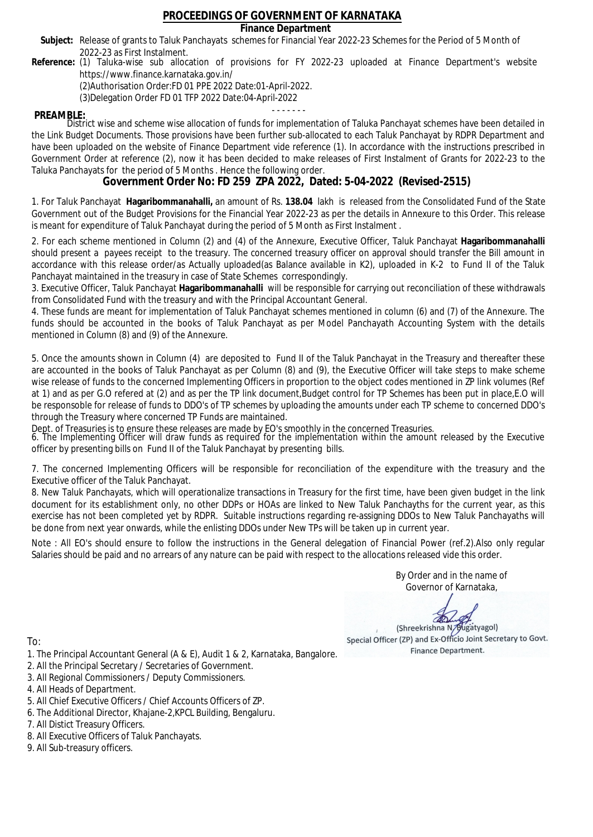### **Finance Department**

- Subject: Release of grants to Taluk Panchayats schemes for Financial Year 2022-23 Schemes for the Period of 5 Month of 2022-23 as First Instalment.
- **Reference:** (1) Taluka-wise sub allocation of provisions for FY 2022-23 uploaded at Finance Department's website https://www.finance.karnataka.gov.in/

(2)Authorisation Order:FD 01 PPE 2022 Date:01-April-2022.

(3)Delegation Order FD 01 TFP 2022 Date:04-April-2022

- - - - - - - **PREAMBLE:** District wise and scheme wise allocation of funds for implementation of Taluka Panchayat schemes have been detailed in the Link Budget Documents. Those provisions have been further sub-allocated to each Taluk Panchayat by RDPR Department and have been uploaded on the website of Finance Department vide reference (1). In accordance with the instructions prescribed in Government Order at reference (2), now it has been decided to make releases of First Instalment of Grants for 2022-23 to the Taluka Panchayats for the period of 5 Months . Hence the following order.

**Government Order No: FD 259 ZPA 2022, Dated: 5-04-2022 (Revised-2515)**

1. For Taluk Panchayat **Hagaribommanahalli,** an amount of Rs. **138.04** lakh is released from the Consolidated Fund of the State Government out of the Budget Provisions for the Financial Year 2022-23 as per the details in Annexure to this Order. This release is meant for expenditure of Taluk Panchayat during the period of 5 Month as First Instalment .

2. For each scheme mentioned in Column (2) and (4) of the Annexure, Executive Officer, Taluk Panchayat **Hagaribommanahalli** should present a payees receipt to the treasury. The concerned treasury officer on approval should transfer the Bill amount in accordance with this release order/as Actually uploaded(as Balance available in K2), uploaded in K-2 to Fund II of the Taluk Panchayat maintained in the treasury in case of State Schemes correspondingly.

3. Executive Officer, Taluk Panchayat **Hagaribommanahalli** will be responsible for carrying out reconciliation of these withdrawals from Consolidated Fund with the treasury and with the Principal Accountant General.

4. These funds are meant for implementation of Taluk Panchayat schemes mentioned in column (6) and (7) of the Annexure. The funds should be accounted in the books of Taluk Panchayat as per Model Panchayath Accounting System with the details mentioned in Column (8) and (9) of the Annexure.

5. Once the amounts shown in Column (4) are deposited to Fund II of the Taluk Panchayat in the Treasury and thereafter these are accounted in the books of Taluk Panchayat as per Column (8) and (9), the Executive Officer will take steps to make scheme wise release of funds to the concerned Implementing Officers in proportion to the object codes mentioned in ZP link volumes (Ref at 1) and as per G.O refered at (2) and as per the TP link document,Budget control for TP Schemes has been put in place,E.O will be responsoble for release of funds to DDO's of TP schemes by uploading the amounts under each TP scheme to concerned DDO's through the Treasury where concerned TP Funds are maintained.

Dept. of Treasuries is to ensure these releases are made by EO's smoothly in the concerned Treasuries.

6. The Implementing Officer will draw funds as required for the implementation within the amount released by the Executive officer by presenting bills on Fund II of the Taluk Panchayat by presenting bills.

7. The concerned Implementing Officers will be responsible for reconciliation of the expenditure with the treasury and the Executive officer of the Taluk Panchayat.

8. New Taluk Panchayats, which will operationalize transactions in Treasury for the first time, have been given budget in the link document for its establishment only, no other DDPs or HOAs are linked to New Taluk Panchayths for the current year, as this exercise has not been completed yet by RDPR. Suitable instructions regarding re-assigning DDOs to New Taluk Panchayaths will be done from next year onwards, while the enlisting DDOs under New TPs will be taken up in current year.

Note : All EO's should ensure to follow the instructions in the General delegation of Financial Power (ref.2).Also only regular Salaries should be paid and no arrears of any nature can be paid with respect to the allocations released vide this order.

> By Order and in the name of Governor of Karnataka,

**PD** 

(Shreekrishna N/Bugatyagol) Special Officer (ZP) and Ex-Officio Joint Secretary to Govt. Finance Department.

To:

- 1. The Principal Accountant General (A & E), Audit 1 & 2, Karnataka, Bangalore.
- 2. All the Principal Secretary / Secretaries of Government.
- 3. All Regional Commissioners / Deputy Commissioners.
- 4. All Heads of Department.
- 5. All Chief Executive Officers / Chief Accounts Officers of ZP.
- 6. The Additional Director, Khajane-2,KPCL Building, Bengaluru.

7. All Distict Treasury Officers.

- 8. All Executive Officers of Taluk Panchayats.
- 9. All Sub-treasury officers.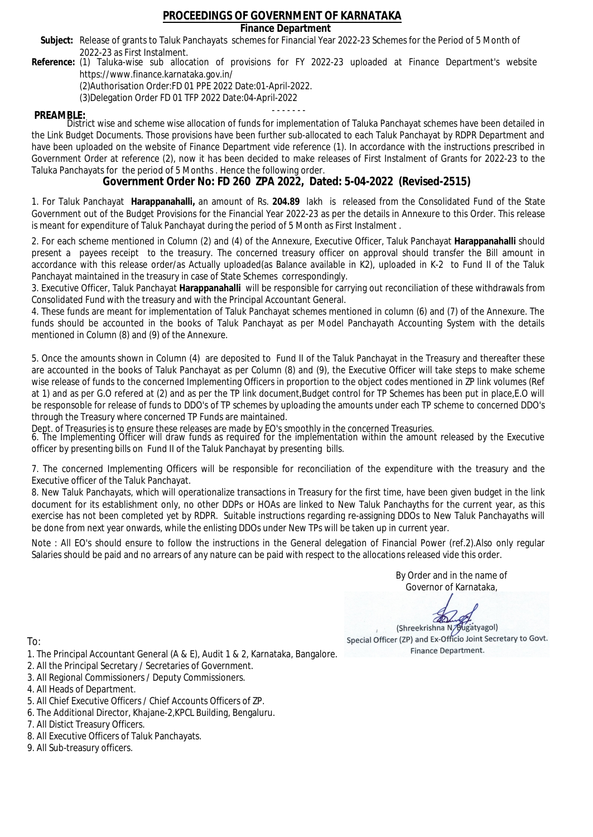### **Finance Department**

- Subject: Release of grants to Taluk Panchayats schemes for Financial Year 2022-23 Schemes for the Period of 5 Month of 2022-23 as First Instalment.
- **Reference:** (1) Taluka-wise sub allocation of provisions for FY 2022-23 uploaded at Finance Department's website https://www.finance.karnataka.gov.in/

(2)Authorisation Order:FD 01 PPE 2022 Date:01-April-2022.

(3)Delegation Order FD 01 TFP 2022 Date:04-April-2022

- - - - - - - **PREAMBLE:** District wise and scheme wise allocation of funds for implementation of Taluka Panchayat schemes have been detailed in the Link Budget Documents. Those provisions have been further sub-allocated to each Taluk Panchayat by RDPR Department and have been uploaded on the website of Finance Department vide reference (1). In accordance with the instructions prescribed in Government Order at reference (2), now it has been decided to make releases of First Instalment of Grants for 2022-23 to the Taluka Panchayats for the period of 5 Months . Hence the following order.

**Government Order No: FD 260 ZPA 2022, Dated: 5-04-2022 (Revised-2515)**

1. For Taluk Panchayat **Harappanahalli,** an amount of Rs. **204.89** lakh is released from the Consolidated Fund of the State Government out of the Budget Provisions for the Financial Year 2022-23 as per the details in Annexure to this Order. This release is meant for expenditure of Taluk Panchayat during the period of 5 Month as First Instalment .

2. For each scheme mentioned in Column (2) and (4) of the Annexure, Executive Officer, Taluk Panchayat **Harappanahalli** should present a payees receipt to the treasury. The concerned treasury officer on approval should transfer the Bill amount in accordance with this release order/as Actually uploaded(as Balance available in K2), uploaded in K-2 to Fund II of the Taluk Panchayat maintained in the treasury in case of State Schemes correspondingly.

3. Executive Officer, Taluk Panchayat **Harappanahalli** will be responsible for carrying out reconciliation of these withdrawals from Consolidated Fund with the treasury and with the Principal Accountant General.

4. These funds are meant for implementation of Taluk Panchayat schemes mentioned in column (6) and (7) of the Annexure. The funds should be accounted in the books of Taluk Panchayat as per Model Panchayath Accounting System with the details mentioned in Column (8) and (9) of the Annexure.

5. Once the amounts shown in Column (4) are deposited to Fund II of the Taluk Panchayat in the Treasury and thereafter these are accounted in the books of Taluk Panchayat as per Column (8) and (9), the Executive Officer will take steps to make scheme wise release of funds to the concerned Implementing Officers in proportion to the object codes mentioned in ZP link volumes (Ref at 1) and as per G.O refered at (2) and as per the TP link document,Budget control for TP Schemes has been put in place,E.O will be responsoble for release of funds to DDO's of TP schemes by uploading the amounts under each TP scheme to concerned DDO's through the Treasury where concerned TP Funds are maintained.

Dept. of Treasuries is to ensure these releases are made by EO's smoothly in the concerned Treasuries.

6. The Implementing Officer will draw funds as required for the implementation within the amount released by the Executive officer by presenting bills on Fund II of the Taluk Panchayat by presenting bills.

7. The concerned Implementing Officers will be responsible for reconciliation of the expenditure with the treasury and the Executive officer of the Taluk Panchayat.

8. New Taluk Panchayats, which will operationalize transactions in Treasury for the first time, have been given budget in the link document for its establishment only, no other DDPs or HOAs are linked to New Taluk Panchayths for the current year, as this exercise has not been completed yet by RDPR. Suitable instructions regarding re-assigning DDOs to New Taluk Panchayaths will be done from next year onwards, while the enlisting DDOs under New TPs will be taken up in current year.

Note : All EO's should ensure to follow the instructions in the General delegation of Financial Power (ref.2).Also only regular Salaries should be paid and no arrears of any nature can be paid with respect to the allocations released vide this order.

> By Order and in the name of Governor of Karnataka,

**PD** 

(Shreekrishna N/Bugatyagol) Special Officer (ZP) and Ex-Officio Joint Secretary to Govt. Finance Department.

- 1. The Principal Accountant General (A & E), Audit 1 & 2, Karnataka, Bangalore.
- 2. All the Principal Secretary / Secretaries of Government.
- 3. All Regional Commissioners / Deputy Commissioners.
- 4. All Heads of Department.
- 5. All Chief Executive Officers / Chief Accounts Officers of ZP.
- 6. The Additional Director, Khajane-2,KPCL Building, Bengaluru.
- 7. All Distict Treasury Officers.
- 8. All Executive Officers of Taluk Panchayats.
- 9. All Sub-treasury officers.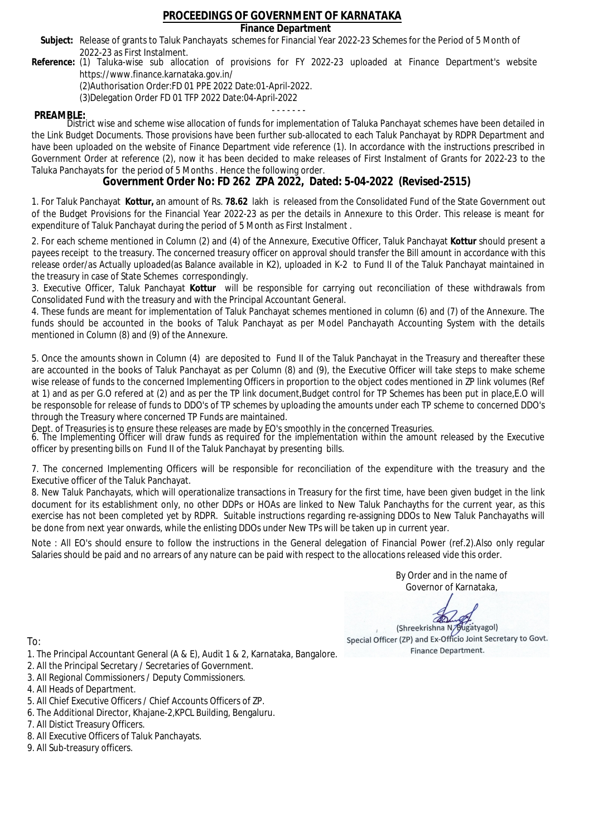### **Finance Department**

- Subject: Release of grants to Taluk Panchayats schemes for Financial Year 2022-23 Schemes for the Period of 5 Month of 2022-23 as First Instalment.
- **Reference:** (1) Taluka-wise sub allocation of provisions for FY 2022-23 uploaded at Finance Department's website https://www.finance.karnataka.gov.in/

(2)Authorisation Order:FD 01 PPE 2022 Date:01-April-2022.

(3)Delegation Order FD 01 TFP 2022 Date:04-April-2022

- - - - - - - **PREAMBLE:** District wise and scheme wise allocation of funds for implementation of Taluka Panchayat schemes have been detailed in the Link Budget Documents. Those provisions have been further sub-allocated to each Taluk Panchayat by RDPR Department and have been uploaded on the website of Finance Department vide reference (1). In accordance with the instructions prescribed in Government Order at reference (2), now it has been decided to make releases of First Instalment of Grants for 2022-23 to the Taluka Panchayats for the period of 5 Months . Hence the following order.

**Government Order No: FD 262 ZPA 2022, Dated: 5-04-2022 (Revised-2515)**

1. For Taluk Panchayat **Kottur,** an amount of Rs. **78.62** lakh is released from the Consolidated Fund of the State Government out of the Budget Provisions for the Financial Year 2022-23 as per the details in Annexure to this Order. This release is meant for expenditure of Taluk Panchayat during the period of 5 Month as First Instalment .

2. For each scheme mentioned in Column (2) and (4) of the Annexure, Executive Officer, Taluk Panchayat **Kottur** should present a payees receipt to the treasury. The concerned treasury officer on approval should transfer the Bill amount in accordance with this release order/as Actually uploaded(as Balance available in K2), uploaded in K-2 to Fund II of the Taluk Panchayat maintained in the treasury in case of State Schemes correspondingly.

3. Executive Officer, Taluk Panchayat **Kottur** will be responsible for carrying out reconciliation of these withdrawals from Consolidated Fund with the treasury and with the Principal Accountant General.

4. These funds are meant for implementation of Taluk Panchayat schemes mentioned in column (6) and (7) of the Annexure. The funds should be accounted in the books of Taluk Panchayat as per Model Panchayath Accounting System with the details mentioned in Column (8) and (9) of the Annexure.

5. Once the amounts shown in Column (4) are deposited to Fund II of the Taluk Panchayat in the Treasury and thereafter these are accounted in the books of Taluk Panchayat as per Column (8) and (9), the Executive Officer will take steps to make scheme wise release of funds to the concerned Implementing Officers in proportion to the object codes mentioned in ZP link volumes (Ref at 1) and as per G.O refered at (2) and as per the TP link document,Budget control for TP Schemes has been put in place,E.O will be responsoble for release of funds to DDO's of TP schemes by uploading the amounts under each TP scheme to concerned DDO's through the Treasury where concerned TP Funds are maintained.

Dept. of Treasuries is to ensure these releases are made by EO's smoothly in the concerned Treasuries.

6. The Implementing Officer will draw funds as required for the implementation within the amount released by the Executive officer by presenting bills on Fund II of the Taluk Panchayat by presenting bills.

7. The concerned Implementing Officers will be responsible for reconciliation of the expenditure with the treasury and the Executive officer of the Taluk Panchayat.

8. New Taluk Panchayats, which will operationalize transactions in Treasury for the first time, have been given budget in the link document for its establishment only, no other DDPs or HOAs are linked to New Taluk Panchayths for the current year, as this exercise has not been completed yet by RDPR. Suitable instructions regarding re-assigning DDOs to New Taluk Panchayaths will be done from next year onwards, while the enlisting DDOs under New TPs will be taken up in current year.

Note : All EO's should ensure to follow the instructions in the General delegation of Financial Power (ref.2).Also only regular Salaries should be paid and no arrears of any nature can be paid with respect to the allocations released vide this order.

> By Order and in the name of Governor of Karnataka,

**PD** 

(Shreekrishna N/Bugatyagol) Special Officer (ZP) and Ex-Officio Joint Secretary to Govt. Finance Department.

To:

- 1. The Principal Accountant General (A & E), Audit 1 & 2, Karnataka, Bangalore.
- 2. All the Principal Secretary / Secretaries of Government.
- 3. All Regional Commissioners / Deputy Commissioners.
- 4. All Heads of Department.
- 5. All Chief Executive Officers / Chief Accounts Officers of ZP.
- 6. The Additional Director, Khajane-2,KPCL Building, Bengaluru.

7. All Distict Treasury Officers.

- 8. All Executive Officers of Taluk Panchayats.
- 9. All Sub-treasury officers.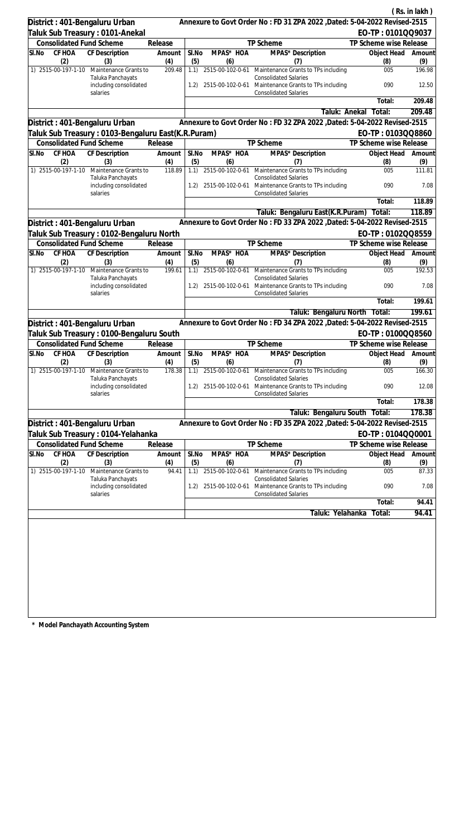|                                 |                                                         |               |              |                       |                                                                                                                           |                        | (Rs. in lakh) |
|---------------------------------|---------------------------------------------------------|---------------|--------------|-----------------------|---------------------------------------------------------------------------------------------------------------------------|------------------------|---------------|
| District: 401-Bengaluru Urban   |                                                         |               |              |                       | Annexure to Govt Order No: FD 31 ZPA 2022 , Dated: 5-04-2022 Revised-2515                                                 |                        |               |
| Taluk Sub Treasury: 0101-Anekal |                                                         |               |              |                       |                                                                                                                           | EO-TP: 0101QQ9037      |               |
| <b>Consolidated Fund Scheme</b> |                                                         | Release       |              |                       | TP Scheme                                                                                                                 | TP Scheme wise Release |               |
| CF HOA<br>SI.No                 | CF Description                                          | Amount        | SI.No        | MPAS* HOA             | MPAS* Description                                                                                                         | Object Head            | Amount        |
| (2)                             | (3)                                                     | (4)           | (5)          | (6)                   | (7)                                                                                                                       | (8)                    | (9)           |
| 1) 2515-00-197-1-10             | Maintenance Grants to                                   | 209.48        | 1.1)         |                       | 2515-00-102-0-61 Maintenance Grants to TPs including                                                                      | 005                    | 196.98        |
|                                 | Taluka Panchayats<br>including consolidated<br>salaries |               |              |                       | <b>Consolidated Salaries</b><br>1.2) 2515-00-102-0-61 Maintenance Grants to TPs including<br><b>Consolidated Salaries</b> | 090                    | 12.50         |
|                                 |                                                         |               |              |                       |                                                                                                                           | Total:                 | 209.48        |
|                                 |                                                         |               |              |                       | Taluk: Anekal                                                                                                             | Total:                 | 209.48        |
| District: 401-Bengaluru Urban   |                                                         |               |              |                       | Annexure to Govt Order No: FD 32 ZPA 2022, Dated: 5-04-2022 Revised-2515                                                  |                        |               |
|                                 | Taluk Sub Treasury: 0103-Bengaluru East(K.R.Puram)      |               |              |                       |                                                                                                                           | EO-TP: 0103QQ8860      |               |
| <b>Consolidated Fund Scheme</b> |                                                         | Release       |              |                       | TP Scheme                                                                                                                 | TP Scheme wise Release |               |
| SI.No<br>CF HOA<br>(2)          | CF Description<br>(3)                                   | Amount<br>(4) | SI.No<br>(5) | MPAS* HOA<br>(6)      | MPAS <sup>*</sup> Description<br>(7)                                                                                      | Object Head<br>(8)     | Amount<br>(9) |
|                                 | 1) 2515-00-197-1-10 Maintenance Grants to               | 118.89        |              | 1.1) 2515-00-102-0-61 | Maintenance Grants to TPs including                                                                                       | 005                    | 111.81        |
|                                 | Taluka Panchayats<br>including consolidated             |               | 1.2)         |                       | <b>Consolidated Salaries</b><br>2515-00-102-0-61 Maintenance Grants to TPs including                                      | 090                    | 7.08          |
|                                 | salaries                                                |               |              |                       | <b>Consolidated Salaries</b>                                                                                              | Total:                 | 118.89        |
|                                 |                                                         |               |              |                       | Taluk: Bengaluru East(K.R.Puram)                                                                                          | Total:                 | 118.89        |
|                                 |                                                         |               |              |                       | Annexure to Govt Order No: FD 33 ZPA 2022 , Dated: 5-04-2022 Revised-2515                                                 |                        |               |
| District: 401-Bengaluru Urban   |                                                         |               |              |                       |                                                                                                                           |                        |               |
|                                 | Taluk Sub Treasury : 0102-Bengaluru North               |               |              |                       |                                                                                                                           | EO-TP: 0102QQ8559      |               |
| <b>Consolidated Fund Scheme</b> |                                                         | Release       |              | MPAS* HOA             | TP Scheme                                                                                                                 | TP Scheme wise Release |               |
| CF HOA<br>SI.No<br>(2)          | CF Description<br>(3)                                   | Amount<br>(4) | SI.No<br>(5) | (6)                   | MPAS* Description<br>(7)                                                                                                  | Object Head<br>(8)     | Amount<br>(9) |
| 1) 2515-00-197-1-10             | Maintenance Grants to<br>Taluka Panchayats              | 199.61        |              |                       | 1.1) 2515-00-102-0-61 Maintenance Grants to TPs including<br><b>Consolidated Salaries</b>                                 | 005                    | 192.53        |
|                                 | including consolidated<br>salaries                      |               | 1.2)         | 2515-00-102-0-61      | Maintenance Grants to TPs including<br><b>Consolidated Salaries</b>                                                       | 090                    | 7.08          |
|                                 |                                                         |               |              |                       |                                                                                                                           | Total:                 | 199.61        |
|                                 |                                                         |               |              |                       | Taluk: Bengaluru North Total:                                                                                             |                        | 199.61        |
| District: 401-Bengaluru Urban   |                                                         |               |              |                       | Annexure to Govt Order No: FD 34 ZPA 2022 , Dated: 5-04-2022 Revised-2515                                                 |                        |               |
|                                 | Taluk Sub Treasury: 0100-Bengaluru South                |               |              |                       |                                                                                                                           | EO-TP: 0100QQ8560      |               |
| <b>Consolidated Fund Scheme</b> |                                                         | Release       |              |                       | TP Scheme                                                                                                                 | TP Scheme wise Release |               |
| SI.No CF HOA CF Description     |                                                         | Amount        | SI.No        | MPAS* HOA             | MPAS* Description                                                                                                         | Object Head Amount     |               |
| (2)                             | (3)                                                     | (4)           | (5)          | (6)                   | (7)                                                                                                                       | (8)                    | (9)           |
| 1) 2515-00-197-1-10             | Maintenance Grants to<br>Taluka Panchayats              | 178.38        | 1.1)         | 2515-00-102-0-61      | Maintenance Grants to TPs including<br><b>Consolidated Salaries</b>                                                       | 005                    | 166.30        |
|                                 | including consolidated<br>salaries                      |               | 1.2)         | 2515-00-102-0-61      | Maintenance Grants to TPs including<br><b>Consolidated Salaries</b>                                                       | 090                    | 12.08         |
|                                 |                                                         |               |              |                       |                                                                                                                           | Total:                 | 178.38        |
|                                 |                                                         |               |              |                       | Taluk: Bengaluru South Total:                                                                                             |                        | 178.38        |
| District: 401-Bengaluru Urban   |                                                         |               |              |                       | Annexure to Govt Order No: FD 35 ZPA 2022, Dated: 5-04-2022 Revised-2515                                                  |                        |               |
|                                 | Taluk Sub Treasury : 0104-Yelahanka                     |               |              |                       |                                                                                                                           | EO-TP: 0104QQ0001      |               |
| <b>Consolidated Fund Scheme</b> |                                                         | Release       |              |                       | TP Scheme                                                                                                                 | TP Scheme wise Release |               |
| CF HOA<br>SI.No<br>(2)          | <b>CF Description</b><br>(3)                            | Amount<br>(4) | SI.No<br>(5) | MPAS* HOA<br>(6)      | MPAS* Description<br>(7)                                                                                                  | Object Head<br>(8)     | Amount<br>(9) |
| 1) 2515-00-197-1-10             | Maintenance Grants to                                   | 94.41         | 1.1)         | 2515-00-102-0-61      | Maintenance Grants to TPs including                                                                                       | 005                    | 87.33         |
|                                 | Taluka Panchayats<br>including consolidated<br>salaries |               | 1.2)         | 2515-00-102-0-61      | <b>Consolidated Salaries</b><br>Maintenance Grants to TPs including<br><b>Consolidated Salaries</b>                       | 090                    | 7.08          |
|                                 |                                                         |               |              |                       |                                                                                                                           | Total:                 | 94.41         |
|                                 |                                                         |               |              |                       | Taluk: Yelahanka                                                                                                          | Total:                 | 94.41         |
|                                 |                                                         |               |              |                       |                                                                                                                           |                        |               |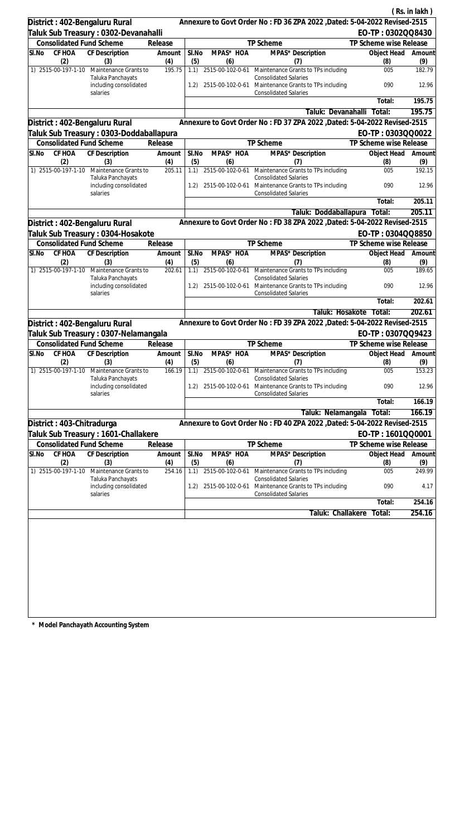|                           |               |                                                                             |                   |              |                                      |                                                                                                            |                                       | (Rs. in lakh) |
|---------------------------|---------------|-----------------------------------------------------------------------------|-------------------|--------------|--------------------------------------|------------------------------------------------------------------------------------------------------------|---------------------------------------|---------------|
|                           |               | District: 402-Bengaluru Rural                                               |                   |              |                                      | Annexure to Govt Order No: FD 36 ZPA 2022 , Dated: 5-04-2022 Revised-2515                                  |                                       |               |
|                           |               | Taluk Sub Treasury: 0302-Devanahalli                                        |                   |              |                                      |                                                                                                            | EO-TP: 0302QQ8430                     |               |
|                           |               | <b>Consolidated Fund Scheme</b>                                             | Release           |              |                                      | TP Scheme                                                                                                  | TP Scheme wise Release                |               |
| SI.No                     | CF HOA        | CF Description                                                              | Amount            | SI.No        | MPAS* HOA                            | MPAS* Description                                                                                          | Object Head                           | Amount        |
| 1) 2515-00-197-1-10       | (2)           | (3)<br>Maintenance Grants to                                                | (4)<br>195.75     | (5)<br>1.1)  | (6)                                  | (7)<br>2515-00-102-0-61 Maintenance Grants to TPs including                                                | (8)<br>005                            | (9)<br>182.79 |
|                           |               | Taluka Panchayats<br>including consolidated                                 |                   | 1.2)         |                                      | <b>Consolidated Salaries</b><br>2515-00-102-0-61 Maintenance Grants to TPs including                       | 090                                   | 12.96         |
|                           |               | salaries                                                                    |                   |              |                                      | <b>Consolidated Salaries</b>                                                                               | Total:                                | 195.75        |
|                           |               |                                                                             |                   |              |                                      |                                                                                                            |                                       | 195.75        |
|                           |               |                                                                             |                   |              |                                      | Taluk: Devanahalli<br>Annexure to Govt Order No: FD 37 ZPA 2022, Dated: 5-04-2022 Revised-2515             | Total:                                |               |
|                           |               | District: 402-Bengaluru Rural                                               |                   |              |                                      |                                                                                                            | EO-TP: 0303QQ0022                     |               |
|                           |               | Taluk Sub Treasury : 0303-Doddaballapura<br><b>Consolidated Fund Scheme</b> | Release           |              |                                      | TP Scheme                                                                                                  | TP Scheme wise Release                |               |
| SI.No                     | CF HOA        | CF Description                                                              | Amount            | SI.No        | MPAS* HOA                            | MPAS <sup>*</sup> Description                                                                              | Object Head                           | Amount        |
| 1) 2515-00-197-1-10       | (2)           | (3)                                                                         | (4)<br>205.11     | (5)          | (6)                                  | (7)                                                                                                        | (8)<br>005                            | (9)<br>192.15 |
|                           |               | Maintenance Grants to<br>Taluka Panchayats<br>including consolidated        |                   | 1.1)<br>1.2) | 2515-00-102-0-61<br>2515-00-102-0-61 | Maintenance Grants to TPs including<br><b>Consolidated Salaries</b><br>Maintenance Grants to TPs including | 090                                   | 12.96         |
|                           |               | salaries                                                                    |                   |              |                                      | <b>Consolidated Salaries</b>                                                                               | Total:                                | 205.11        |
|                           |               |                                                                             |                   |              |                                      | Taluk: Doddaballapura                                                                                      |                                       | 205.11        |
|                           |               |                                                                             |                   |              |                                      | Annexure to Govt Order No: FD 38 ZPA 2022 , Dated: 5-04-2022 Revised-2515                                  | Total:                                |               |
|                           |               | District: 402-Bengaluru Rural                                               |                   |              |                                      |                                                                                                            |                                       |               |
|                           |               | Taluk Sub Treasury : 0304-Hosakote<br><b>Consolidated Fund Scheme</b>       |                   |              |                                      | TP Scheme                                                                                                  | EO-TP: 0304QQ8850                     |               |
| SI.No                     | CF HOA        | CF Description                                                              | Release<br>Amount | SI.No        | MPAS* HOA                            | MPAS* Description                                                                                          | TP Scheme wise Release<br>Object Head | Amount        |
|                           | (2)           | (3)                                                                         | (4)               | (5)          | (6)                                  | (7)                                                                                                        | (8)                                   | (9)           |
| 1) 2515-00-197-1-10       |               | Maintenance Grants to<br>Taluka Panchayats                                  | 202.61            | 1.1)         |                                      | 2515-00-102-0-61 Maintenance Grants to TPs including<br><b>Consolidated Salaries</b>                       | 005                                   | 189.65        |
|                           |               | including consolidated<br>salaries                                          |                   | 1.2)         | 2515-00-102-0-61                     | Maintenance Grants to TPs including<br><b>Consolidated Salaries</b>                                        | 090                                   | 12.96         |
|                           |               |                                                                             |                   |              |                                      |                                                                                                            | Total:                                | 202.61        |
|                           |               |                                                                             |                   |              |                                      | Taluk: Hosakote                                                                                            | Total:                                | 202.61        |
|                           |               | District: 402-Bengaluru Rural                                               |                   |              |                                      | Annexure to Govt Order No: FD 39 ZPA 2022 , Dated: 5-04-2022 Revised-2515                                  |                                       |               |
|                           |               | Taluk Sub Treasury : 0307-Nelamangala                                       |                   |              |                                      |                                                                                                            | EO-TP: 0307QQ9423                     |               |
|                           |               | <b>Consolidated Fund Scheme</b>                                             | Release           |              |                                      | TP Scheme                                                                                                  | TP Scheme wise Release                |               |
|                           | (2)           | SI.No CF HOA CF Description<br>(3)                                          | Amount<br>(4)     | SI.No<br>(5) | MPAS* HOA<br>(6)                     | MPAS* Description<br>(7)                                                                                   | Object Head Amount<br>(8)             | (9)           |
| 1) 2515-00-197-1-10       |               | Maintenance Grants to                                                       | 166.19            |              | 1.1) 2515-00-102-0-61                | Maintenance Grants to TPs including                                                                        | 005                                   | 153.23        |
|                           |               | Taluka Panchayats<br>including consolidated<br>salaries                     |                   | 1.2)         | 2515-00-102-0-61                     | <b>Consolidated Salaries</b><br>Maintenance Grants to TPs including<br><b>Consolidated Salaries</b>        | 090                                   | 12.96         |
|                           |               |                                                                             |                   |              |                                      |                                                                                                            | Total:                                | 166.19        |
|                           |               |                                                                             |                   |              |                                      | Taluk: Nelamangala                                                                                         | Total:                                | 166.19        |
| District: 403-Chitradurga |               |                                                                             |                   |              |                                      | Annexure to Govt Order No: FD 40 ZPA 2022, Dated: 5-04-2022 Revised-2515                                   |                                       |               |
|                           |               | Taluk Sub Treasury : 1601-Challakere                                        |                   |              |                                      |                                                                                                            | EO-TP: 1601QQ0001                     |               |
|                           |               | <b>Consolidated Fund Scheme</b>                                             | Release           |              |                                      | TP Scheme                                                                                                  | TP Scheme wise Release                |               |
| SI.No                     | CF HOA<br>(2) | <b>CF Description</b><br>(3)                                                | Amount<br>(4)     | SI.No<br>(5) | MPAS* HOA<br>(6)                     | MPAS* Description<br>(7)                                                                                   | Object Head<br>(8)                    | Amount<br>(9) |
| 1) 2515-00-197-1-10       |               | Maintenance Grants to                                                       | 254.16            | 1.1)         | 2515-00-102-0-61                     | Maintenance Grants to TPs including                                                                        | 005                                   | 249.99        |
|                           |               | Taluka Panchayats<br>including consolidated                                 |                   | 1.2)         | 2515-00-102-0-61                     | <b>Consolidated Salaries</b><br>Maintenance Grants to TPs including                                        | 090                                   | 4.17          |
|                           |               | salaries                                                                    |                   |              |                                      | <b>Consolidated Salaries</b>                                                                               | Total:                                | 254.16        |
|                           |               |                                                                             |                   |              |                                      |                                                                                                            |                                       |               |
|                           |               |                                                                             |                   |              |                                      | Taluk: Challakere                                                                                          | Total:                                | 254.16        |
|                           |               |                                                                             |                   |              |                                      |                                                                                                            |                                       |               |
|                           |               |                                                                             |                   |              |                                      |                                                                                                            |                                       |               |
|                           |               |                                                                             |                   |              |                                      |                                                                                                            |                                       |               |
|                           |               |                                                                             |                   |              |                                      |                                                                                                            |                                       |               |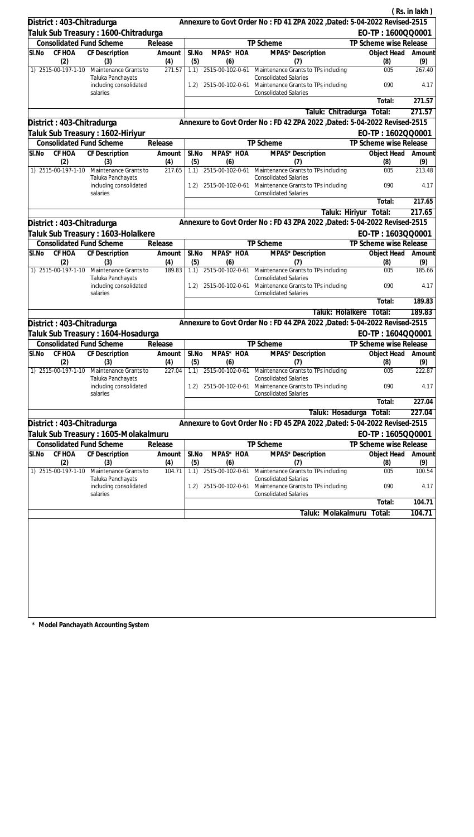|       |                            |                                                         |               |              |                         |                                                                                                                      |                           | (Rs. in lakh) |
|-------|----------------------------|---------------------------------------------------------|---------------|--------------|-------------------------|----------------------------------------------------------------------------------------------------------------------|---------------------------|---------------|
|       | District: 403-Chitradurga  |                                                         |               |              |                         | Annexure to Govt Order No: FD 41 ZPA 2022, Dated: 5-04-2022 Revised-2515                                             |                           |               |
|       |                            | Taluk Sub Treasury : 1600-Chitradurga                   |               |              |                         |                                                                                                                      | EO-TP: 1600QQ0001         |               |
|       |                            | <b>Consolidated Fund Scheme</b>                         | Release       |              |                         | TP Scheme                                                                                                            | TP Scheme wise Release    |               |
| SI.No | CF HOA                     | <b>CF Description</b>                                   | Amount        | SI.No        | MPAS* HOA               | MPAS* Description                                                                                                    | Object Head               | Amount        |
|       | (2)<br>1) 2515-00-197-1-10 | (3)<br>Maintenance Grants to                            | (4)<br>271.57 | (5)<br>1.1)  | (6)                     | (7)<br>2515-00-102-0-61 Maintenance Grants to TPs including                                                          | (8)<br>005                | (9)<br>267.40 |
|       |                            | Taluka Panchayats<br>including consolidated             |               | 1.2)         |                         | <b>Consolidated Salaries</b><br>2515-00-102-0-61 Maintenance Grants to TPs including                                 | 090                       | 4.17          |
|       |                            | salaries                                                |               |              |                         | <b>Consolidated Salaries</b>                                                                                         | Total:                    | 271.57        |
|       |                            |                                                         |               |              |                         | Taluk: Chitradurga                                                                                                   | Total:                    | 271.57        |
|       | District: 403-Chitradurga  |                                                         |               |              |                         | Annexure to Govt Order No: FD 42 ZPA 2022, Dated: 5-04-2022 Revised-2515                                             |                           |               |
|       |                            | Taluk Sub Treasury : 1602-Hiriyur                       |               |              |                         |                                                                                                                      | EO-TP: 1602QQ0001         |               |
|       |                            | <b>Consolidated Fund Scheme</b>                         | Release       |              |                         | TP Scheme                                                                                                            | TP Scheme wise Release    |               |
| SI.No | CF HOA                     | CF Description                                          | Amount        | SI.No        | MPAS* HOA               | MPAS* Description                                                                                                    | Object Head               | Amount        |
|       | (2)                        | (3)                                                     | (4)           | (5)          | (6)                     | (7)                                                                                                                  | (8)                       | (9)           |
|       | 1) 2515-00-197-1-10        | Maintenance Grants to<br>Taluka Panchayats              | 217.65        | 1.1)         |                         | 2515-00-102-0-61 Maintenance Grants to TPs including<br><b>Consolidated Salaries</b>                                 | 005                       | 213.48        |
|       |                            | including consolidated<br>salaries                      |               | 1.2)         |                         | 2515-00-102-0-61 Maintenance Grants to TPs including<br><b>Consolidated Salaries</b>                                 | 090                       | 4.17          |
|       |                            |                                                         |               |              |                         |                                                                                                                      | Total:                    | 217.65        |
|       |                            |                                                         |               |              |                         | Taluk: Hiriyur                                                                                                       | Total:                    | 217.65        |
|       | District: 403-Chitradurga  |                                                         |               |              |                         | Annexure to Govt Order No: FD 43 ZPA 2022 , Dated: 5-04-2022 Revised-2515                                            |                           |               |
|       |                            | Taluk Sub Treasury : 1603-Holalkere                     |               |              |                         |                                                                                                                      | EO-TP: 1603QQ0001         |               |
|       |                            | <b>Consolidated Fund Scheme</b>                         | Release       |              |                         | TP Scheme                                                                                                            | TP Scheme wise Release    |               |
| SI.No | CF HOA<br>(2)              | CF Description<br>(3)                                   | Amount<br>(4) | SI.No<br>(5) | MPAS* HOA<br>(6)        | MPAS* Description<br>(7)                                                                                             | Object Head<br>(8)        | Amount<br>(9) |
|       | 1) 2515-00-197-1-10        | Maintenance Grants to<br>Taluka Panchayats              | 189.83        | 1.1)         |                         | 2515-00-102-0-61 Maintenance Grants to TPs including<br><b>Consolidated Salaries</b>                                 | 005                       | 185.66        |
|       |                            | including consolidated<br>salaries                      |               | 1.2)         | 2515-00-102-0-61        | Maintenance Grants to TPs including<br><b>Consolidated Salaries</b>                                                  | 090                       | 4.17          |
|       |                            |                                                         |               |              |                         |                                                                                                                      | Total:                    | 189.83        |
|       |                            |                                                         |               |              |                         | Taluk: Holalkere                                                                                                     | Total:                    | 189.83        |
|       | District: 403-Chitradurga  |                                                         |               |              |                         | Annexure to Govt Order No: FD 44 ZPA 2022 , Dated: 5-04-2022 Revised-2515                                            |                           |               |
|       |                            | Taluk Sub Treasury : 1604-Hosadurga                     |               |              |                         |                                                                                                                      | EO-TP: 1604QQ0001         |               |
|       |                            | <b>Consolidated Fund Scheme</b>                         | Release       |              |                         | <b>TP Scheme</b>                                                                                                     | TP Scheme wise Release    |               |
| SI.No | (2)                        | CF HOA CF Description<br>(3)                            | Amount<br>(4) | SI.No<br>(5) | MPAS* HOA<br>(6)        | MPAS* Description<br>(7)                                                                                             | Object Head Amount<br>(8) | (9)           |
|       | 1) 2515-00-197-1-10        | Maintenance Grants to                                   | 227.04        | 1.1)         | 2515-00-102-0-61        | Maintenance Grants to TPs including                                                                                  | 005                       | 222.87        |
|       |                            | Taluka Panchayats<br>including consolidated<br>salaries |               | 1.2)         |                         | <b>Consolidated Salaries</b><br>2515-00-102-0-61 Maintenance Grants to TPs including<br><b>Consolidated Salaries</b> | 090                       | 4.17          |
|       |                            |                                                         |               |              |                         |                                                                                                                      | Total:                    | 227.04        |
|       |                            |                                                         |               |              |                         | Taluk: Hosadurga                                                                                                     | Total:                    | 227.04        |
|       | District: 403-Chitradurga  |                                                         |               |              |                         | Annexure to Govt Order No: FD 45 ZPA 2022 , Dated: 5-04-2022 Revised-2515                                            |                           |               |
|       |                            | Taluk Sub Treasury : 1605-Molakalmuru                   |               |              |                         |                                                                                                                      | EO-TP: 1605QQ0001         |               |
|       |                            | <b>Consolidated Fund Scheme</b>                         | Release       |              |                         | TP Scheme                                                                                                            | TP Scheme wise Release    |               |
| SI.No | CF HOA<br>(2)              | <b>CF Description</b>                                   | Amount<br>(4) | SI.No<br>(5) | MPAS* HOA               | MPAS* Description<br>(7)                                                                                             | Object Head               | Amount<br>(9) |
|       | 1) 2515-00-197-1-10        | (3)<br>Maintenance Grants to                            | 104.71        | 1.1)         | (6)<br>2515-00-102-0-61 | Maintenance Grants to TPs including                                                                                  | (8)<br>005                | 100.54        |
|       |                            | Taluka Panchayats<br>including consolidated             |               | 1.2)         | 2515-00-102-0-61        | <b>Consolidated Salaries</b><br>Maintenance Grants to TPs including                                                  | 090                       | 4.17          |
|       |                            | salaries                                                |               |              |                         | <b>Consolidated Salaries</b>                                                                                         |                           |               |
|       |                            |                                                         |               |              |                         |                                                                                                                      | Total:                    | 104.71        |
|       |                            |                                                         |               |              |                         | Taluk: Molakalmuru                                                                                                   | Total:                    | 104.71        |
|       |                            |                                                         |               |              |                         |                                                                                                                      |                           |               |
|       |                            |                                                         |               |              |                         |                                                                                                                      |                           |               |
|       |                            |                                                         |               |              |                         |                                                                                                                      |                           |               |
|       |                            |                                                         |               |              |                         |                                                                                                                      |                           |               |
|       |                            |                                                         |               |              |                         |                                                                                                                      |                           |               |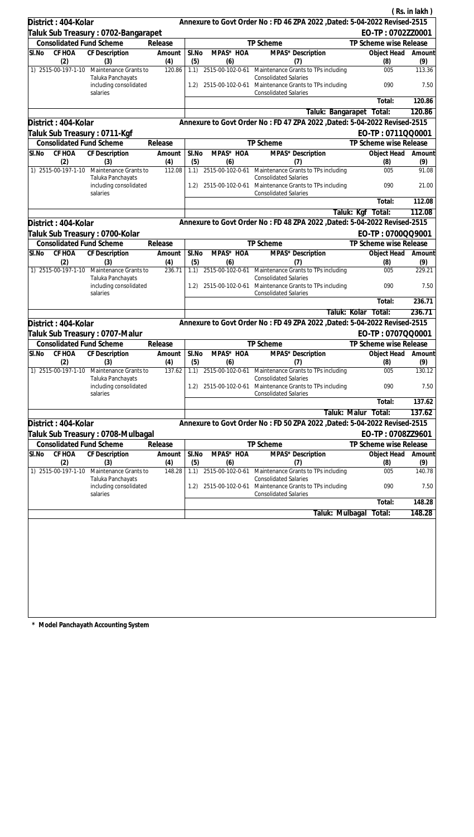|       |                      |                                                                      |               |              |                  |                                                                                                                                              |                          | (Rs. in lakh)  |
|-------|----------------------|----------------------------------------------------------------------|---------------|--------------|------------------|----------------------------------------------------------------------------------------------------------------------------------------------|--------------------------|----------------|
|       | District: 404-Kolar  |                                                                      |               |              |                  | Annexure to Govt Order No: FD 46 ZPA 2022, Dated: 5-04-2022 Revised-2515                                                                     |                          |                |
|       |                      | Taluk Sub Treasury: 0702-Bangarapet                                  |               |              |                  |                                                                                                                                              | EO-TP: 0702ZZ0001        |                |
|       |                      | <b>Consolidated Fund Scheme</b>                                      | Release       |              |                  | TP Scheme                                                                                                                                    | TP Scheme wise Release   |                |
| SI.No | CF HOA               | CF Description                                                       | Amount        | SI.No        | MPAS* HOA        | <b>MPAS*</b> Description                                                                                                                     | Object Head              | Amount         |
|       | (2)                  | (3)                                                                  | (4)           | (5)          | (6)              | (7)                                                                                                                                          | (8)                      | (9)            |
|       | 1) 2515-00-197-1-10  | Maintenance Grants to<br>Taluka Panchayats<br>including consolidated | 120.86        | 1.1)<br>1.2) |                  | 2515-00-102-0-61 Maintenance Grants to TPs including<br><b>Consolidated Salaries</b><br>2515-00-102-0-61 Maintenance Grants to TPs including | 005<br>090               | 113.36<br>7.50 |
|       |                      | salaries                                                             |               |              |                  | <b>Consolidated Salaries</b>                                                                                                                 | Total:                   | 120.86         |
|       |                      |                                                                      |               |              |                  |                                                                                                                                              | Taluk: Bangarapet Total: | 120.86         |
|       |                      |                                                                      |               |              |                  |                                                                                                                                              |                          |                |
|       | District: 404-Kolar  |                                                                      |               |              |                  | Annexure to Govt Order No: FD 47 ZPA 2022, Dated: 5-04-2022 Revised-2515                                                                     |                          |                |
|       |                      | Taluk Sub Treasury: 0711-Kgf                                         |               |              |                  |                                                                                                                                              | EO-TP: 0711QQ0001        |                |
|       |                      | <b>Consolidated Fund Scheme</b>                                      | Release       |              |                  | TP Scheme                                                                                                                                    | TP Scheme wise Release   |                |
| SI.No | CF HOA<br>(2)        | CF Description<br>(3)                                                | Amount<br>(4) | SI.No<br>(5) | MPAS* HOA<br>(6) | MPAS* Description<br>(7)                                                                                                                     | Object Head<br>(8)       | Amount<br>(9)  |
|       | 1) 2515-00-197-1-10  | Maintenance Grants to<br>Taluka Panchayats                           | 112.08        | 1.1)         |                  | 2515-00-102-0-61 Maintenance Grants to TPs including<br><b>Consolidated Salaries</b>                                                         | 005                      | 91.08          |
|       |                      | including consolidated<br>salaries                                   |               | 1.2)         |                  | 2515-00-102-0-61 Maintenance Grants to TPs including<br><b>Consolidated Salaries</b>                                                         | 090                      | 21.00          |
|       |                      |                                                                      |               |              |                  |                                                                                                                                              | Total:                   | 112.08         |
|       |                      |                                                                      |               |              |                  |                                                                                                                                              | Taluk: Kgf<br>Total:     | 112.08         |
|       | District: 404-Kolar  |                                                                      |               |              |                  | Annexure to Govt Order No: FD 48 ZPA 2022 , Dated: 5-04-2022 Revised-2515                                                                    |                          |                |
|       |                      | Taluk Sub Treasury : 0700-Kolar                                      |               |              |                  |                                                                                                                                              | EO-TP: 0700QQ9001        |                |
|       |                      | <b>Consolidated Fund Scheme</b>                                      | Release       |              |                  | TP Scheme                                                                                                                                    | TP Scheme wise Release   |                |
| SI.No | CF HOA<br>(2)        | CF Description<br>(3)                                                | Amount<br>(4) | SI.No<br>(5) | MPAS* HOA<br>(6) | MPAS* Description<br>(7)                                                                                                                     | Object Head<br>(8)       | Amount<br>(9)  |
|       | 1) 2515-00-197-1-10  | Maintenance Grants to                                                | 236.71        | 1.1)         |                  | 2515-00-102-0-61 Maintenance Grants to TPs including                                                                                         | 005                      | 229.21         |
|       |                      | Taluka Panchayats<br>including consolidated<br>salaries              |               | 1.2)         | 2515-00-102-0-61 | <b>Consolidated Salaries</b><br>Maintenance Grants to TPs including<br><b>Consolidated Salaries</b>                                          | 090                      | 7.50           |
|       |                      |                                                                      |               |              |                  |                                                                                                                                              | Total:                   | 236.71         |
|       |                      |                                                                      |               |              |                  | Taluk: Kolar                                                                                                                                 | Total:                   | 236.71         |
|       | District: 404-Kolar  |                                                                      |               |              |                  | Annexure to Govt Order No: FD 49 ZPA 2022 , Dated: 5-04-2022 Revised-2515                                                                    |                          |                |
|       |                      | Taluk Sub Treasury: 0707-Malur                                       |               |              |                  |                                                                                                                                              | EO-TP: 0707QQ0001        |                |
|       |                      | <b>Consolidated Fund Scheme</b>                                      | Release       |              |                  | TP Scheme                                                                                                                                    | TP Scheme wise Release   |                |
| SI.No |                      | CF HOA CF Description                                                | Amount        | SI.No        | MPAS* HOA        | MPAS* Description                                                                                                                            | Object Head Amount       |                |
|       | (2)                  | (3)                                                                  | (4)           | (5)          | (6)              | (7)                                                                                                                                          | (8)                      | (9)            |
|       | 1) 2515-00-197-1-10  | Maintenance Grants to<br>Taluka Panchayats                           | 137.62        | 1.1)         | 2515-00-102-0-61 | Maintenance Grants to TPs including<br><b>Consolidated Salaries</b>                                                                          | 005                      | 130.12         |
|       |                      | including consolidated<br>salaries                                   |               | 1.2)         |                  | 2515-00-102-0-61 Maintenance Grants to TPs including<br><b>Consolidated Salaries</b>                                                         | 090                      | 7.50           |
|       |                      |                                                                      |               |              |                  |                                                                                                                                              | Total:                   | 137.62         |
|       |                      |                                                                      |               |              |                  | Taluk: Malur                                                                                                                                 | Total:                   | 137.62         |
|       | District: 404-Kolar  |                                                                      |               |              |                  | Annexure to Govt Order No: FD 50 ZPA 2022 , Dated: 5-04-2022 Revised-2515                                                                    |                          |                |
|       |                      | Taluk Sub Treasury : 0708-Mulbagal                                   |               |              |                  |                                                                                                                                              | EO-TP: 0708ZZ9601        |                |
|       |                      | <b>Consolidated Fund Scheme</b>                                      | Release       |              |                  | TP Scheme                                                                                                                                    | TP Scheme wise Release   |                |
| SI.No | <b>CF HOA</b><br>(2) | <b>CF Description</b><br>(3)                                         | Amount<br>(4) | SI.No<br>(5) | MPAS* HOA<br>(6) | MPAS* Description<br>(7)                                                                                                                     | Object Head<br>(8)       | Amount<br>(9)  |
|       | 1) 2515-00-197-1-10  | Maintenance Grants to                                                | 148.28        | 1.1)         | 2515-00-102-0-61 | Maintenance Grants to TPs including                                                                                                          | 005                      | 140.78         |
|       |                      | Taluka Panchayats<br>including consolidated                          |               | 1.2)         | 2515-00-102-0-61 | <b>Consolidated Salaries</b><br>Maintenance Grants to TPs including                                                                          | 090                      | 7.50           |
|       |                      | salaries                                                             |               |              |                  | <b>Consolidated Salaries</b>                                                                                                                 | Total:                   | 148.28         |
|       |                      |                                                                      |               |              |                  | Taluk: Mulbagal                                                                                                                              | Total:                   | 148.28         |
|       |                      |                                                                      |               |              |                  |                                                                                                                                              |                          |                |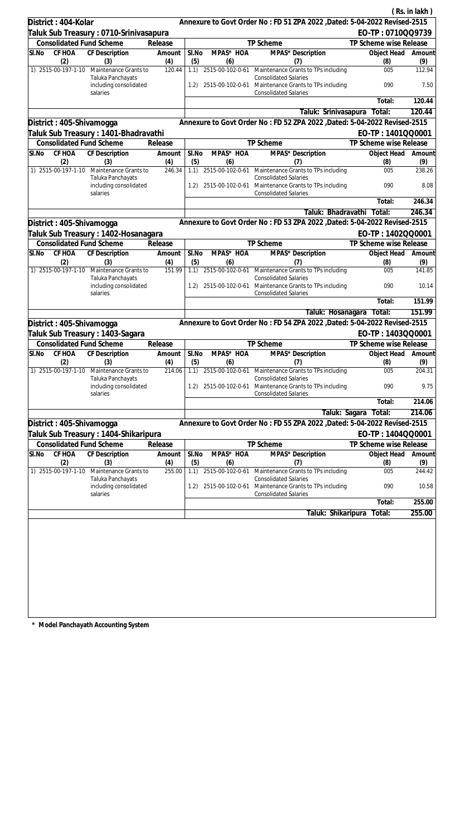|       |                          |                                                         |               |              |                  |                                                                                                                      |                        | (Rs. in lakh) |
|-------|--------------------------|---------------------------------------------------------|---------------|--------------|------------------|----------------------------------------------------------------------------------------------------------------------|------------------------|---------------|
|       | District: 404-Kolar      |                                                         |               |              |                  | Annexure to Govt Order No: FD 51 ZPA 2022, Dated: 5-04-2022 Revised-2515                                             |                        |               |
|       |                          | Taluk Sub Treasury: 0710-Srinivasapura                  |               |              |                  |                                                                                                                      | EO-TP: 0710QQ9739      |               |
|       |                          | <b>Consolidated Fund Scheme</b>                         | Release       |              |                  | TP Scheme                                                                                                            | TP Scheme wise Release |               |
| SI.No | CF HOA<br>(2)            | CF Description<br>(3)                                   | Amount<br>(4) | SI.No<br>(5) | MPAS* HOA<br>(6) | MPAS* Description<br>(7)                                                                                             | Object Head<br>(8)     | Amount<br>(9) |
|       | 1) 2515-00-197-1-10      | Maintenance Grants to                                   | 120.44        | 1.1)         |                  | 2515-00-102-0-61 Maintenance Grants to TPs including                                                                 | 005                    | 112.94        |
|       |                          | Taluka Panchayats<br>including consolidated             |               | 1.2)         |                  | <b>Consolidated Salaries</b><br>2515-00-102-0-61 Maintenance Grants to TPs including                                 | 090                    | 7.50          |
|       |                          | salaries                                                |               |              |                  | <b>Consolidated Salaries</b>                                                                                         | Total:                 | 120.44        |
|       |                          |                                                         |               |              |                  |                                                                                                                      |                        |               |
|       |                          |                                                         |               |              |                  | Taluk: Srinivasapura                                                                                                 | Total:                 | 120.44        |
|       | District: 405-Shivamogga |                                                         |               |              |                  | Annexure to Govt Order No: FD 52 ZPA 2022, Dated: 5-04-2022 Revised-2515                                             |                        |               |
|       |                          | Taluk Sub Treasury: 1401-Bhadravathi                    |               |              |                  |                                                                                                                      | EO-TP: 1401QQ0001      |               |
|       |                          | <b>Consolidated Fund Scheme</b>                         | Release       |              |                  | TP Scheme                                                                                                            | TP Scheme wise Release |               |
| SI.No | CF HOA<br>(2)            | CF Description<br>(3)                                   | Amount<br>(4) | SI.No<br>(5) | MPAS* HOA<br>(6) | MPAS* Description<br>(7)                                                                                             | Object Head<br>(8)     | Amount<br>(9) |
|       | 1) 2515-00-197-1-10      | Maintenance Grants to<br>Taluka Panchayats              | 246.34        | 1.1)         |                  | 2515-00-102-0-61 Maintenance Grants to TPs including<br><b>Consolidated Salaries</b>                                 | 005                    | 238.26        |
|       |                          | including consolidated<br>salaries                      |               | 1.2)         |                  | 2515-00-102-0-61 Maintenance Grants to TPs including<br><b>Consolidated Salaries</b>                                 | 090                    | 8.08          |
|       |                          |                                                         |               |              |                  |                                                                                                                      | Total:                 | 246.34        |
|       |                          |                                                         |               |              |                  | Taluk: Bhadravathi                                                                                                   | Total:                 | 246.34        |
|       | District: 405-Shivamogga |                                                         |               |              |                  | Annexure to Govt Order No: FD 53 ZPA 2022 , Dated: 5-04-2022 Revised-2515                                            |                        |               |
|       |                          | Taluk Sub Treasury : 1402-Hosanagara                    |               |              |                  |                                                                                                                      | EO-TP: 1402QQ0001      |               |
|       |                          | <b>Consolidated Fund Scheme</b>                         | Release       |              |                  | TP Scheme                                                                                                            | TP Scheme wise Release |               |
| SI.No | CF HOA<br>(2)            | CF Description<br>(3)                                   | Amount<br>(4) | SI.No<br>(5) | MPAS* HOA<br>(6) | MPAS* Description<br>(7)                                                                                             | Object Head<br>(8)     | Amount<br>(9) |
|       | 1) 2515-00-197-1-10      | Maintenance Grants to                                   | 151.99        | 1.1)         | 2515-00-102-0-61 | Maintenance Grants to TPs including                                                                                  | 005                    | 141.85        |
|       |                          | Taluka Panchayats<br>including consolidated<br>salaries |               | 1.2)         | 2515-00-102-0-61 | <b>Consolidated Salaries</b><br>Maintenance Grants to TPs including<br><b>Consolidated Salaries</b>                  | 090                    | 10.14         |
|       |                          |                                                         |               |              |                  |                                                                                                                      | Total:                 | 151.99        |
|       |                          |                                                         |               |              |                  | Taluk: Hosanagara                                                                                                    | Total:                 | 151.99        |
|       | District: 405-Shivamogga |                                                         |               |              |                  | Annexure to Govt Order No: FD 54 ZPA 2022 , Dated: 5-04-2022 Revised-2515                                            |                        |               |
|       |                          | Taluk Sub Treasury: 1403-Sagara                         |               |              |                  |                                                                                                                      | EO-TP: 1403QQ0001      |               |
|       |                          | <b>Consolidated Fund Scheme</b>                         | Release       |              |                  | TP Scheme                                                                                                            | TP Scheme wise Release |               |
| SI.No | CF HOA                   | CF Description                                          | Amount        | SI.No        | MPAS* HOA        | MPAS* Description                                                                                                    | Object Head            | Amount        |
|       | (2)                      | (3)                                                     | (4)           | (5)          | (6)              | (7)                                                                                                                  | (8)                    | (9)           |
|       | 1) 2515-00-197-1-10      | Maintenance Grants to                                   | 214.06        | 1.1)         | 2515-00-102-0-61 | Maintenance Grants to TPs including                                                                                  | 005                    | 204.31        |
|       |                          | Taluka Panchayats<br>including consolidated<br>salaries |               | 1.2)         |                  | <b>Consolidated Salaries</b><br>2515-00-102-0-61 Maintenance Grants to TPs including<br><b>Consolidated Salaries</b> | 090                    | 9.75          |
|       |                          |                                                         |               |              |                  |                                                                                                                      | Total:                 | 214.06        |
|       |                          |                                                         |               |              |                  | Taluk: Sagara                                                                                                        | Total:                 | 214.06        |
|       | District: 405-Shivamogga |                                                         |               |              |                  | Annexure to Govt Order No: FD 55 ZPA 2022 , Dated: 5-04-2022 Revised-2515                                            |                        |               |
|       |                          | Taluk Sub Treasury : 1404-Shikaripura                   |               |              |                  |                                                                                                                      | EO-TP: 1404QQ0001      |               |
|       |                          | <b>Consolidated Fund Scheme</b>                         | Release       |              |                  | TP Scheme                                                                                                            | TP Scheme wise Release |               |
| SI.No | CF HOA                   | CF Description                                          | Amount        | SI.No        | MPAS* HOA        | MPAS* Description                                                                                                    | Object Head            | Amount        |
|       | (2)                      | (3)                                                     | (4)           | (5)          | (6)              | (7)                                                                                                                  | (8)                    | (9)           |
|       | 1) 2515-00-197-1-10      | Maintenance Grants to                                   | 255.00        | 1.1)         | 2515-00-102-0-61 | Maintenance Grants to TPs including                                                                                  | 005                    | 244.42        |
|       |                          | Taluka Panchayats<br>including consolidated<br>salaries |               | 1.2)         |                  | <b>Consolidated Salaries</b><br>2515-00-102-0-61 Maintenance Grants to TPs including<br><b>Consolidated Salaries</b> | 090                    | 10.58         |
|       |                          |                                                         |               |              |                  |                                                                                                                      | Total:                 | 255.00        |
|       |                          |                                                         |               |              |                  | Taluk: Shikaripura                                                                                                   | Total:                 | 255.00        |
|       |                          |                                                         |               |              |                  |                                                                                                                      |                        |               |
|       |                          |                                                         |               |              |                  |                                                                                                                      |                        |               |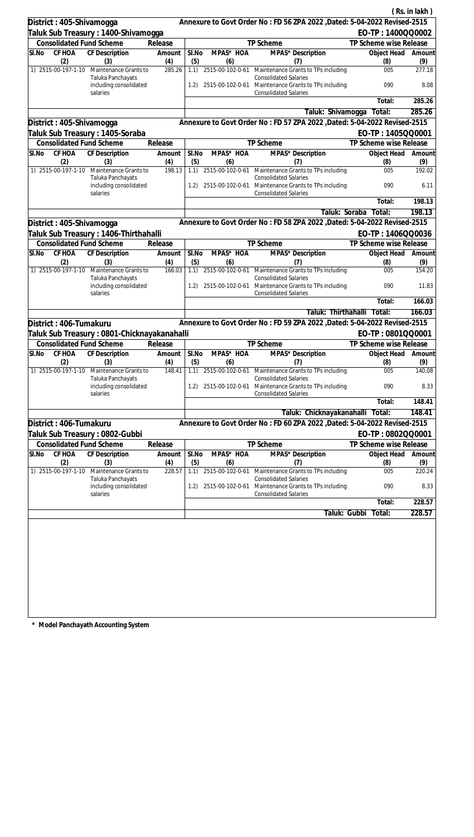|                                  |                                                                      |                |              |                         |                                                                                                                                                   |                        | (Rs. in lakh)  |
|----------------------------------|----------------------------------------------------------------------|----------------|--------------|-------------------------|---------------------------------------------------------------------------------------------------------------------------------------------------|------------------------|----------------|
| District: 405-Shivamogga         |                                                                      |                |              |                         | Annexure to Govt Order No: FD 56 ZPA 2022 , Dated: 5-04-2022 Revised-2515                                                                         |                        |                |
|                                  | Taluk Sub Treasury : 1400-Shivamogga                                 |                |              |                         |                                                                                                                                                   | EO-TP: 1400QQ0002      |                |
| <b>Consolidated Fund Scheme</b>  |                                                                      | Release        |              |                         | TP Scheme                                                                                                                                         | TP Scheme wise Release |                |
| CF HOA<br>SI.No                  | CF Description                                                       | Amount         | SI.No        | MPAS* HOA               | MPAS* Description                                                                                                                                 | Object Head            | Amount         |
| (2)                              | (3)                                                                  | (4)            | (5)          | (6)                     | (7)                                                                                                                                               | (8)                    | (9)            |
| 1) 2515-00-197-1-10              | Maintenance Grants to<br>Taluka Panchayats<br>including consolidated | 285.26         | 1.1)         |                         | 2515-00-102-0-61 Maintenance Grants to TPs including<br><b>Consolidated Salaries</b><br>1.2) 2515-00-102-0-61 Maintenance Grants to TPs including | 005<br>090             | 277.18<br>8.08 |
|                                  | salaries                                                             |                |              |                         | <b>Consolidated Salaries</b>                                                                                                                      | Total:                 | 285.26         |
|                                  |                                                                      |                |              |                         | Taluk: Shivamogga                                                                                                                                 | Total:                 | 285.26         |
| District: 405-Shivamogga         |                                                                      |                |              |                         | Annexure to Govt Order No: FD 57 ZPA 2022, Dated: 5-04-2022 Revised-2515                                                                          |                        |                |
| Taluk Sub Treasury : 1405-Soraba |                                                                      |                |              |                         |                                                                                                                                                   | EO-TP: 1405QQ0001      |                |
| <b>Consolidated Fund Scheme</b>  |                                                                      | Release        |              |                         | TP Scheme                                                                                                                                         | TP Scheme wise Release |                |
| SI.No<br>CF HOA                  | CF Description                                                       | Amount         | SI.No        | MPAS* HOA               | MPAS* Description                                                                                                                                 | Object Head            | Amount         |
| (2)                              | (3)                                                                  | (4)            | (5)          | (6)                     | (7)                                                                                                                                               | (8)                    | (9)            |
| 1) 2515-00-197-1-10              | Maintenance Grants to<br>Taluka Panchayats                           | 198.13         |              |                         | 1.1) 2515-00-102-0-61 Maintenance Grants to TPs including<br><b>Consolidated Salaries</b>                                                         | 005                    | 192.02         |
|                                  | including consolidated<br>salaries                                   |                | 1.2)         | 2515-00-102-0-61        | Maintenance Grants to TPs including<br><b>Consolidated Salaries</b>                                                                               | 090                    | 6.11           |
|                                  |                                                                      |                |              |                         |                                                                                                                                                   | Total:                 | 198.13         |
|                                  |                                                                      |                |              |                         | Taluk: Soraba                                                                                                                                     | Total:                 | 198.13         |
| District: 405-Shivamogga         |                                                                      |                |              |                         | Annexure to Govt Order No: FD 58 ZPA 2022 , Dated: 5-04-2022 Revised-2515                                                                         |                        |                |
|                                  | Taluk Sub Treasury : 1406-Thirthahalli                               |                |              |                         |                                                                                                                                                   | EO-TP: 1406QQ0036      |                |
| <b>Consolidated Fund Scheme</b>  |                                                                      | Release        |              |                         | TP Scheme                                                                                                                                         | TP Scheme wise Release |                |
| CF HOA<br>SI.No<br>(2)           | <b>CF</b> Description<br>(3)                                         | Amount<br>(4)  | SI.No<br>(5) | MPAS* HOA<br>(6)        | MPAS* Description<br>(7)                                                                                                                          | Object Head<br>(8)     | Amount<br>(9)  |
| 1) 2515-00-197-1-10              | Maintenance Grants to<br>Taluka Panchayats                           | 166.03         |              |                         | 1.1) 2515-00-102-0-61 Maintenance Grants to TPs including<br><b>Consolidated Salaries</b>                                                         | 005                    | 154.20         |
|                                  | including consolidated<br>salaries                                   |                | 1.2)         |                         | 2515-00-102-0-61 Maintenance Grants to TPs including<br><b>Consolidated Salaries</b>                                                              | 090                    | 11.83          |
|                                  |                                                                      |                |              |                         |                                                                                                                                                   | Total:                 | 166.03         |
|                                  |                                                                      |                |              |                         | Taluk: Thirthahalli                                                                                                                               | Total:                 | 166.03         |
| District: 406-Tumakuru           |                                                                      |                |              |                         | Annexure to Govt Order No: FD 59 ZPA 2022 , Dated: 5-04-2022 Revised-2515                                                                         |                        |                |
|                                  | Taluk Sub Treasury : 0801-Chicknayakanahalli                         |                |              |                         |                                                                                                                                                   | EO-TP: 0801QQ0001      |                |
| <b>Consolidated Fund Scheme</b>  |                                                                      | Release        |              |                         | TP Scheme                                                                                                                                         | TP Scheme wise Release |                |
| SI.No CF HOA CF Description      |                                                                      | Amount   SI.No |              | MPAS* HOA               | MPAS* Description                                                                                                                                 | Object Head Amount     |                |
| (2)<br>1) 2515-00-197-1-10       | (3)<br>Maintenance Grants to                                         | (4)<br>148.41  | (5)<br>1.1)  | (6)<br>2515-00-102-0-61 | (7)<br>Maintenance Grants to TPs including                                                                                                        | (8)<br>005             | (9)<br>140.08  |
|                                  | Taluka Panchayats<br>including consolidated<br>salaries              |                | 1.2)         | 2515-00-102-0-61        | <b>Consolidated Salaries</b><br>Maintenance Grants to TPs including<br><b>Consolidated Salaries</b>                                               | 090                    | 8.33           |
|                                  |                                                                      |                |              |                         |                                                                                                                                                   | Total:                 | 148.41         |
|                                  |                                                                      |                |              |                         | Taluk: Chicknayakanahalli Total:                                                                                                                  |                        | 148.41         |
| District: 406-Tumakuru           |                                                                      |                |              |                         | Annexure to Govt Order No: FD 60 ZPA 2022, Dated: 5-04-2022 Revised-2515                                                                          |                        |                |
| Taluk Sub Treasury : 0802-Gubbi  |                                                                      |                |              |                         |                                                                                                                                                   | EO-TP: 0802QQ0001      |                |
| <b>Consolidated Fund Scheme</b>  |                                                                      | Release        |              |                         | <b>TP Scheme</b>                                                                                                                                  | TP Scheme wise Release |                |
| CF HOA<br>SI.No                  | <b>CF Description</b>                                                | Amount         | SI.No        | MPAS* HOA               | MPAS* Description                                                                                                                                 | Object Head            | Amount         |
| (2)                              | (3)                                                                  | (4)            | (5)          | (6)                     | (7)                                                                                                                                               | (8)                    | (9)            |
| 1) 2515-00-197-1-10              | Maintenance Grants to<br>Taluka Panchayats                           | 228.57         | 1.1)         | 2515-00-102-0-61        | Maintenance Grants to TPs including<br><b>Consolidated Salaries</b>                                                                               | 005                    | 220.24         |
|                                  | including consolidated<br>salaries                                   |                | 1.2)         | 2515-00-102-0-61        | Maintenance Grants to TPs including<br><b>Consolidated Salaries</b>                                                                               | 090                    | 8.33           |
|                                  |                                                                      |                |              |                         |                                                                                                                                                   | Total:                 | 228.57         |
|                                  |                                                                      |                |              |                         | Taluk: Gubbi                                                                                                                                      | Total:                 | 228.57         |
|                                  |                                                                      |                |              |                         |                                                                                                                                                   |                        |                |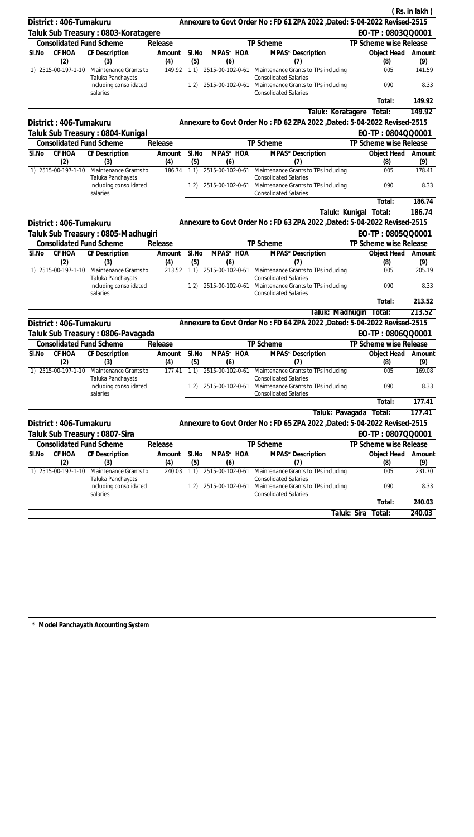|                                 |                                                                      |                |              |                  |                                                                                                                                              |                         | (Rs. in lakh)  |
|---------------------------------|----------------------------------------------------------------------|----------------|--------------|------------------|----------------------------------------------------------------------------------------------------------------------------------------------|-------------------------|----------------|
| District: 406-Tumakuru          |                                                                      |                |              |                  | Annexure to Govt Order No: FD 61 ZPA 2022, Dated: 5-04-2022 Revised-2515                                                                     |                         |                |
|                                 | Taluk Sub Treasury : 0803-Koratagere                                 |                |              |                  |                                                                                                                                              | EO-TP: 0803QQ0001       |                |
| <b>Consolidated Fund Scheme</b> |                                                                      | Release        |              |                  | TP Scheme                                                                                                                                    | TP Scheme wise Release  |                |
| CF HOA<br>SI.No                 | CF Description                                                       | Amount         | SI.No        | MPAS* HOA        | MPAS* Description                                                                                                                            | Object Head             | Amount         |
| (2)                             | (3)                                                                  | (4)            | (5)          | (6)              | (7)                                                                                                                                          | (8)                     | (9)            |
| 1) 2515-00-197-1-10             | Maintenance Grants to<br>Taluka Panchayats<br>including consolidated | 149.92         | 1.1)<br>1.2) |                  | 2515-00-102-0-61 Maintenance Grants to TPs including<br><b>Consolidated Salaries</b><br>2515-00-102-0-61 Maintenance Grants to TPs including | 005<br>090              | 141.59<br>8.33 |
|                                 | salaries                                                             |                |              |                  | <b>Consolidated Salaries</b>                                                                                                                 | Total:                  | 149.92         |
|                                 |                                                                      |                |              |                  | Taluk: Koratagere                                                                                                                            | Total:                  | 149.92         |
| District: 406-Tumakuru          |                                                                      |                |              |                  | Annexure to Govt Order No: FD 62 ZPA 2022, Dated: 5-04-2022 Revised-2515                                                                     |                         |                |
|                                 | Taluk Sub Treasury : 0804-Kunigal                                    |                |              |                  |                                                                                                                                              | EO-TP: 0804QQ0001       |                |
| <b>Consolidated Fund Scheme</b> |                                                                      | Release        |              |                  | TP Scheme                                                                                                                                    | TP Scheme wise Release  |                |
| SI.No<br>CF HOA                 | CF Description                                                       | Amount         | SI.No        | MPAS* HOA        | MPAS* Description                                                                                                                            | Object Head             | Amount         |
| (2)                             | (3)                                                                  | (4)            | (5)          | (6)              | (7)                                                                                                                                          | (8)                     | (9)            |
| 1) 2515-00-197-1-10             | Maintenance Grants to                                                | 186.74         | 1.1)         | 2515-00-102-0-61 | Maintenance Grants to TPs including                                                                                                          | 005                     | 178.41         |
|                                 | Taluka Panchayats<br>including consolidated<br>salaries              |                | 1.2)         | 2515-00-102-0-61 | <b>Consolidated Salaries</b><br>Maintenance Grants to TPs including<br><b>Consolidated Salaries</b>                                          | 090                     | 8.33           |
|                                 |                                                                      |                |              |                  |                                                                                                                                              | Total:                  | 186.74         |
|                                 |                                                                      |                |              |                  | Taluk: Kunigal                                                                                                                               | Total:                  | 186.74         |
| District: 406-Tumakuru          |                                                                      |                |              |                  | Annexure to Govt Order No: FD 63 ZPA 2022 , Dated: 5-04-2022 Revised-2515                                                                    |                         |                |
|                                 | Taluk Sub Treasury : 0805-Madhugiri                                  |                |              |                  |                                                                                                                                              | EO-TP: 0805QQ0001       |                |
| <b>Consolidated Fund Scheme</b> |                                                                      | Release        |              |                  | TP Scheme                                                                                                                                    | TP Scheme wise Release  |                |
| CF HOA<br>SI.No<br>(2)          | <b>CF</b> Description<br>(3)                                         | Amount<br>(4)  | SI.No<br>(5) | MPAS* HOA<br>(6) | MPAS* Description<br>(7)                                                                                                                     | Object Head<br>(8)      | Amount<br>(9)  |
| 1) 2515-00-197-1-10             | Maintenance Grants to                                                | 213.52         |              |                  | 1.1) 2515-00-102-0-61 Maintenance Grants to TPs including                                                                                    | 005                     | 205.19         |
|                                 | Taluka Panchayats<br>including consolidated<br>salaries              |                | 1.2)         |                  | <b>Consolidated Salaries</b><br>2515-00-102-0-61 Maintenance Grants to TPs including<br><b>Consolidated Salaries</b>                         | 090                     | 8.33           |
|                                 |                                                                      |                |              |                  |                                                                                                                                              | Total:                  | 213.52         |
|                                 |                                                                      |                |              |                  |                                                                                                                                              | Taluk: Madhugiri Total: | 213.52         |
| District: 406-Tumakuru          |                                                                      |                |              |                  | Annexure to Govt Order No: FD 64 ZPA 2022 , Dated: 5-04-2022 Revised-2515                                                                    |                         |                |
|                                 | Taluk Sub Treasury: 0806-Pavagada                                    |                |              |                  |                                                                                                                                              | EO-TP: 0806QQ0001       |                |
| <b>Consolidated Fund Scheme</b> |                                                                      | Release        |              |                  | TP Scheme                                                                                                                                    | TP Scheme wise Release  |                |
| SI.No CF HOA CF Description     |                                                                      | Amount   SI.No |              | MPAS* HOA        | MPAS* Description                                                                                                                            | Object Head Amount      |                |
| (2)                             | (3)                                                                  | (4)            | (5)          | (6)              | (7)                                                                                                                                          | (8)                     | (9)            |
| 1) 2515-00-197-1-10             | Maintenance Grants to<br>Taluka Panchayats                           | 177.41         | 1.1)         | 2515-00-102-0-61 | Maintenance Grants to TPs including<br><b>Consolidated Salaries</b>                                                                          | 005                     | 169.08         |
|                                 | including consolidated<br>salaries                                   |                | 1.2)         | 2515-00-102-0-61 | Maintenance Grants to TPs including<br><b>Consolidated Salaries</b>                                                                          | 090                     | 8.33           |
|                                 |                                                                      |                |              |                  |                                                                                                                                              | Total:                  | 177.41         |
|                                 |                                                                      |                |              |                  | Taluk: Pavagada                                                                                                                              | Total:                  | 177.41         |
| District: 406-Tumakuru          |                                                                      |                |              |                  | Annexure to Govt Order No: FD 65 ZPA 2022, Dated: 5-04-2022 Revised-2515                                                                     |                         |                |
| Taluk Sub Treasury : 0807-Sira  |                                                                      |                |              |                  |                                                                                                                                              | EO-TP: 0807QQ0001       |                |
| <b>Consolidated Fund Scheme</b> |                                                                      | Release        |              |                  | TP Scheme                                                                                                                                    | TP Scheme wise Release  |                |
| CF HOA<br>SI.No                 | <b>CF Description</b>                                                | Amount         | SI.No        | MPAS* HOA        | MPAS* Description                                                                                                                            | Object Head             | Amount         |
| (2)                             | (3)                                                                  | (4)            | (5)          | (6)              | (7)                                                                                                                                          | (8)                     | (9)            |
| 1) 2515-00-197-1-10             | Maintenance Grants to<br>Taluka Panchayats                           | 240.03         | 1.1)         | 2515-00-102-0-61 | Maintenance Grants to TPs including<br><b>Consolidated Salaries</b>                                                                          | 005                     | 231.70         |
|                                 | including consolidated<br>salaries                                   |                | 1.2)         | 2515-00-102-0-61 | Maintenance Grants to TPs including<br><b>Consolidated Salaries</b>                                                                          | 090                     | 8.33           |
|                                 |                                                                      |                |              |                  |                                                                                                                                              | Total:                  | 240.03         |
|                                 |                                                                      |                |              |                  |                                                                                                                                              | Taluk: Sira<br>Total:   | 240.03         |
|                                 |                                                                      |                |              |                  |                                                                                                                                              |                         |                |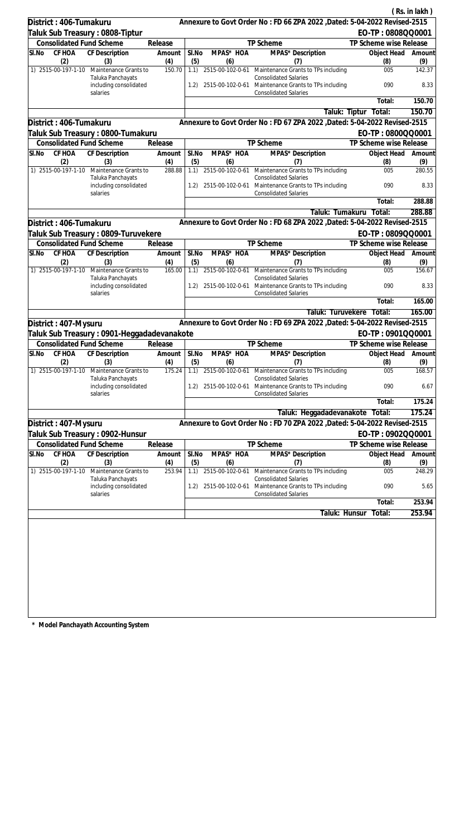|                                  |                                                         |               |              |                         |                                                                                                                      |                        | (Rs. in lakh) |
|----------------------------------|---------------------------------------------------------|---------------|--------------|-------------------------|----------------------------------------------------------------------------------------------------------------------|------------------------|---------------|
| District: 406-Tumakuru           |                                                         |               |              |                         | Annexure to Govt Order No: FD 66 ZPA 2022 , Dated: 5-04-2022 Revised-2515                                            |                        |               |
| Taluk Sub Treasury : 0808-Tiptur |                                                         |               |              |                         |                                                                                                                      | EO-TP: 0808QQ0001      |               |
| <b>Consolidated Fund Scheme</b>  |                                                         | Release       |              |                         | TP Scheme                                                                                                            | TP Scheme wise Release |               |
| CF HOA<br>SI.No<br>(2)           | CF Description<br>(3)                                   | Amount<br>(4) | SI.No<br>(5) | MPAS* HOA<br>(6)        | MPAS* Description<br>(7)                                                                                             | Object Head<br>(8)     | Amount<br>(9) |
| 1) 2515-00-197-1-10              | Maintenance Grants to                                   | 150.70        | 1.1)         |                         | 2515-00-102-0-61 Maintenance Grants to TPs including                                                                 | 005                    | 142.37        |
|                                  | Taluka Panchayats<br>including consolidated             |               |              |                         | <b>Consolidated Salaries</b><br>1.2) 2515-00-102-0-61 Maintenance Grants to TPs including                            | 090                    | 8.33          |
|                                  | salaries                                                |               |              |                         | <b>Consolidated Salaries</b>                                                                                         | Total:                 | 150.70        |
|                                  |                                                         |               |              |                         | Taluk: Tiptur                                                                                                        | Total:                 | 150.70        |
| District: 406-Tumakuru           |                                                         |               |              |                         | Annexure to Govt Order No: FD 67 ZPA 2022, Dated: 5-04-2022 Revised-2515                                             |                        |               |
|                                  | Taluk Sub Treasury : 0800-Tumakuru                      |               |              |                         |                                                                                                                      | EO-TP: 0800QQ0001      |               |
| <b>Consolidated Fund Scheme</b>  |                                                         | Release       |              |                         | TP Scheme                                                                                                            | TP Scheme wise Release |               |
| CF HOA<br>SI.No                  | CF Description                                          | Amount        | SI.No        | MPAS* HOA               | MPAS <sup>*</sup> Description                                                                                        | Object Head            | Amount        |
| (2)<br>1) 2515-00-197-1-10       | (3)<br>Maintenance Grants to                            | (4)<br>288.88 | (5)<br>1.1)  | (6)                     | (7)<br>2515-00-102-0-61 Maintenance Grants to TPs including                                                          | (8)<br>005             | (9)<br>280.55 |
|                                  | Taluka Panchayats                                       |               |              |                         | <b>Consolidated Salaries</b>                                                                                         |                        |               |
|                                  | including consolidated<br>salaries                      |               | 1.2)         |                         | 2515-00-102-0-61 Maintenance Grants to TPs including<br><b>Consolidated Salaries</b>                                 | 090                    | 8.33          |
|                                  |                                                         |               |              |                         |                                                                                                                      | Total:                 | 288.88        |
|                                  |                                                         |               |              |                         | Taluk: Tumakuru                                                                                                      | Total:                 | 288.88        |
| District: 406-Tumakuru           |                                                         |               |              |                         | Annexure to Govt Order No: FD 68 ZPA 2022 , Dated: 5-04-2022 Revised-2515                                            |                        |               |
|                                  | Taluk Sub Treasury : 0809-Turuvekere                    |               |              |                         |                                                                                                                      | EO-TP: 0809QQ0001      |               |
| <b>Consolidated Fund Scheme</b>  |                                                         | Release       |              |                         | TP Scheme                                                                                                            | TP Scheme wise Release |               |
| CF HOA<br>SI.No<br>(2)           | <b>CF</b> Description<br>(3)                            | Amount<br>(4) | SI.No<br>(5) | MPAS* HOA<br>(6)        | MPAS* Description<br>(7)                                                                                             | Object Head<br>(8)     | Amount<br>(9) |
| 1) 2515-00-197-1-10              | Maintenance Grants to<br>Taluka Panchayats              | 165.00        |              |                         | 1.1) 2515-00-102-0-61 Maintenance Grants to TPs including<br><b>Consolidated Salaries</b>                            | 005                    | 156.67        |
|                                  | including consolidated<br>salaries                      |               | 1.2)         | 2515-00-102-0-61        | Maintenance Grants to TPs including<br><b>Consolidated Salaries</b>                                                  | 090                    | 8.33          |
|                                  |                                                         |               |              |                         |                                                                                                                      | Total:                 | 165.00        |
|                                  |                                                         |               |              |                         | Taluk: Turuvekere                                                                                                    | Total:                 | 165.00        |
| District: 407-Mysuru             |                                                         |               |              |                         | Annexure to Govt Order No: FD 69 ZPA 2022 , Dated: 5-04-2022 Revised-2515                                            |                        |               |
|                                  | Taluk Sub Treasury: 0901-Heggadadevanakote              |               |              |                         |                                                                                                                      | EO-TP: 0901QQ0001      |               |
| <b>Consolidated Fund Scheme</b>  |                                                         | Release       |              |                         | <b>TP Scheme</b>                                                                                                     | TP Scheme wise Release |               |
| SI.No CF HOA CF Description      |                                                         | Amount        | $SI$ . No    | MPAS* HOA               | MPAS* Description                                                                                                    | Object Head Amount     |               |
| (2)<br>1) 2515-00-197-1-10       | (3)<br>Maintenance Grants to                            | (4)<br>175.24 | (5)<br>1.1)  | (6)<br>2515-00-102-0-61 | (7)<br>Maintenance Grants to TPs including                                                                           | (8)<br>005             | (9)<br>168.57 |
|                                  | Taluka Panchayats<br>including consolidated<br>salaries |               | 1.2)         |                         | <b>Consolidated Salaries</b><br>2515-00-102-0-61 Maintenance Grants to TPs including<br><b>Consolidated Salaries</b> | 090                    | 6.67          |
|                                  |                                                         |               |              |                         |                                                                                                                      | Total:                 | 175.24        |
|                                  |                                                         |               |              |                         | Taluk: Heggadadevanakote Total:                                                                                      |                        | 175.24        |
| District: 407-Mysuru             |                                                         |               |              |                         | Annexure to Govt Order No: FD 70 ZPA 2022, Dated: 5-04-2022 Revised-2515                                             |                        |               |
|                                  | Taluk Sub Treasury : 0902-Hunsur                        |               |              |                         |                                                                                                                      | EO-TP: 0902QQ0001      |               |
| <b>Consolidated Fund Scheme</b>  |                                                         | Release       |              |                         | TP Scheme                                                                                                            | TP Scheme wise Release |               |
| CF HOA<br>SI.No                  | <b>CF Description</b>                                   | Amount        | SI.No        | MPAS* HOA               | MPAS* Description                                                                                                    | Object Head            | Amount        |
| (2)                              | (3)                                                     | (4)           | (5)          | (6)                     | (7)                                                                                                                  | (8)                    | (9)           |
| 1) 2515-00-197-1-10              | Maintenance Grants to<br>Taluka Panchayats              | 253.94        | 1.1)         | 2515-00-102-0-61        | Maintenance Grants to TPs including<br><b>Consolidated Salaries</b>                                                  | 005                    | 248.29        |
|                                  | including consolidated<br>salaries                      |               | 1.2)         | 2515-00-102-0-61        | Maintenance Grants to TPs including<br><b>Consolidated Salaries</b>                                                  | 090                    | 5.65          |
|                                  |                                                         |               |              |                         |                                                                                                                      | Total:                 | 253.94        |
|                                  |                                                         |               |              |                         | Taluk: Hunsur                                                                                                        | Total:                 | 253.94        |
|                                  |                                                         |               |              |                         |                                                                                                                      |                        |               |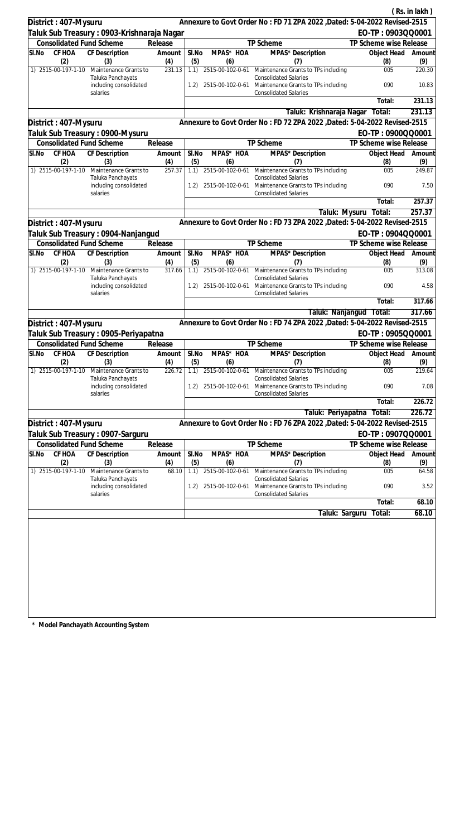|                                 |                                                         |                 |              |                  |                                                                                                                      |                           | (Rs. in lakh) |
|---------------------------------|---------------------------------------------------------|-----------------|--------------|------------------|----------------------------------------------------------------------------------------------------------------------|---------------------------|---------------|
| District: 407-Mysuru            |                                                         |                 |              |                  | Annexure to Govt Order No: FD 71 ZPA 2022 , Dated: 5-04-2022 Revised-2515                                            |                           |               |
|                                 | Taluk Sub Treasury : 0903-Krishnaraja Nagar             |                 |              |                  |                                                                                                                      | EO-TP: 0903QQ0001         |               |
| <b>Consolidated Fund Scheme</b> |                                                         | Release         |              |                  | TP Scheme                                                                                                            | TP Scheme wise Release    |               |
| CF HOA<br>SI.No<br>(2)          | <b>CF Description</b><br>(3)                            | Amount<br>(4)   | SI.No<br>(5) | MPAS* HOA<br>(6) | MPAS* Description<br>(7)                                                                                             | Object Head<br>(8)        | Amount<br>(9) |
| 1) 2515-00-197-1-10             | Maintenance Grants to                                   | 231.13          | 1.1)         | 2515-00-102-0-61 | Maintenance Grants to TPs including                                                                                  | 005                       | 220.30        |
|                                 | Taluka Panchayats<br>including consolidated<br>salaries |                 | 1.2)         |                  | <b>Consolidated Salaries</b><br>2515-00-102-0-61 Maintenance Grants to TPs including<br><b>Consolidated Salaries</b> | 090                       | 10.83         |
|                                 |                                                         |                 |              |                  |                                                                                                                      | Total:                    | 231.13        |
|                                 |                                                         |                 |              |                  | Taluk: Krishnaraja Nagar                                                                                             | Total:                    | 231.13        |
| District: 407-Mysuru            |                                                         |                 |              |                  | Annexure to Govt Order No: FD 72 ZPA 2022 , Dated: 5-04-2022 Revised-2515                                            |                           |               |
|                                 | Taluk Sub Treasury : 0900-Mysuru                        |                 |              |                  |                                                                                                                      | EO-TP: 0900QQ0001         |               |
| <b>Consolidated Fund Scheme</b> |                                                         | Release         |              |                  | TP Scheme                                                                                                            | TP Scheme wise Release    |               |
| SI.No<br>CF HOA<br>(2)          | CF Description<br>(3)                                   | Amount<br>(4)   | SI.No<br>(5) | MPAS* HOA<br>(6) | MPAS* Description<br>(7)                                                                                             | Object Head<br>(8)        | Amount<br>(9) |
|                                 | 1) 2515-00-197-1-10 Maintenance Grants to               | 257.37          | 1.1)         |                  | 2515-00-102-0-61 Maintenance Grants to TPs including<br><b>Consolidated Salaries</b>                                 | 005                       | 249.87        |
|                                 | Taluka Panchayats<br>including consolidated<br>salaries |                 | 1.2)         |                  | 2515-00-102-0-61 Maintenance Grants to TPs including<br><b>Consolidated Salaries</b>                                 | 090                       | 7.50          |
|                                 |                                                         |                 |              |                  |                                                                                                                      | Total:                    | 257.37        |
|                                 |                                                         |                 |              |                  | Taluk: Mysuru                                                                                                        | Total:                    | 257.37        |
| District: 407-Mysuru            |                                                         |                 |              |                  | Annexure to Govt Order No: FD 73 ZPA 2022 , Dated: 5-04-2022 Revised-2515                                            |                           |               |
|                                 | Taluk Sub Treasury : 0904-Nanjangud                     |                 |              |                  |                                                                                                                      | EO-TP: 0904QQ0001         |               |
| <b>Consolidated Fund Scheme</b> |                                                         | Release         |              |                  | TP Scheme                                                                                                            | TP Scheme wise Release    |               |
| CF HOA<br>SI.No<br>(2)          | CF Description<br>(3)                                   | Amount<br>(4)   | SI.No<br>(5) | MPAS* HOA<br>(6) | MPAS* Description<br>(7)                                                                                             | Object Head<br>(8)        | Amount<br>(9) |
| 1) 2515-00-197-1-10             | Maintenance Grants to                                   | 317.66          | 1.1)         |                  | 2515-00-102-0-61 Maintenance Grants to TPs including<br><b>Consolidated Salaries</b>                                 | 005                       | 313.08        |
|                                 | Taluka Panchayats<br>including consolidated<br>salaries |                 | 1.2)         |                  | 2515-00-102-0-61 Maintenance Grants to TPs including<br><b>Consolidated Salaries</b>                                 | 090                       | 4.58          |
|                                 |                                                         |                 |              |                  |                                                                                                                      | Total:                    | 317.66        |
|                                 |                                                         |                 |              |                  |                                                                                                                      | Taluk: Nanjangud Total:   | 317.66        |
| District: 407-Mysuru            |                                                         |                 |              |                  | Annexure to Govt Order No : FD 74 ZPA 2022 , Dated: 5-04-2022 Revised-2515                                           |                           |               |
|                                 | Taluk Sub Treasury : 0905-Periyapatna                   |                 |              |                  |                                                                                                                      | EO-TP: 0905QQ0001         |               |
| <b>Consolidated Fund Scheme</b> |                                                         | Release         |              |                  | TP Scheme                                                                                                            | TP Scheme wise Release    |               |
| SI.No<br>CF HOA<br>(2)          | CF Description<br>(3)                                   | Amount  <br>(4) | SI.No<br>(5) | MPAS* HOA<br>(6) | MPAS* Description<br>(7)                                                                                             | Object Head Amount<br>(8) | (9)           |
| 1) 2515-00-197-1-10             | Maintenance Grants to<br>Taluka Panchayats              | 226.72          | 1.1)         | 2515-00-102-0-61 | Maintenance Grants to TPs including<br><b>Consolidated Salaries</b>                                                  | 005                       | 219.64        |
|                                 | including consolidated<br>salaries                      |                 | 1.2)         | 2515-00-102-0-61 | Maintenance Grants to TPs including<br><b>Consolidated Salaries</b>                                                  | 090                       | 7.08          |
|                                 |                                                         |                 |              |                  |                                                                                                                      | Total:                    | 226.72        |
|                                 |                                                         |                 |              |                  | Taluk: Periyapatna                                                                                                   | Total:                    | 226.72        |
| District: 407-Mysuru            |                                                         |                 |              |                  | Annexure to Govt Order No: FD 76 ZPA 2022, Dated: 5-04-2022 Revised-2515                                             |                           |               |
|                                 | Taluk Sub Treasury : 0907-Sarguru                       |                 |              |                  |                                                                                                                      | EO-TP: 0907QQ0001         |               |
| <b>Consolidated Fund Scheme</b> |                                                         | Release         |              |                  | TP Scheme                                                                                                            | TP Scheme wise Release    |               |
| CF HOA<br>SI.No<br>(2)          | <b>CF Description</b><br>(3)                            | Amount<br>(4)   | SI.No<br>(5) | MPAS* HOA<br>(6) | MPAS* Description<br>(7)                                                                                             | Object Head<br>(8)        | Amount<br>(9) |
| 1) 2515-00-197-1-10             | Maintenance Grants to                                   | 68.10           | 1.1)         | 2515-00-102-0-61 | Maintenance Grants to TPs including                                                                                  | 005                       | 64.58         |
|                                 | Taluka Panchayats<br>including consolidated<br>salaries |                 | 1.2)         | 2515-00-102-0-61 | <b>Consolidated Salaries</b><br>Maintenance Grants to TPs including<br><b>Consolidated Salaries</b>                  | 090                       | 3.52          |
|                                 |                                                         |                 |              |                  |                                                                                                                      | Total:                    | 68.10         |
|                                 |                                                         |                 |              |                  | Taluk: Sarguru                                                                                                       | Total:                    | 68.10         |
|                                 |                                                         |                 |              |                  |                                                                                                                      |                           |               |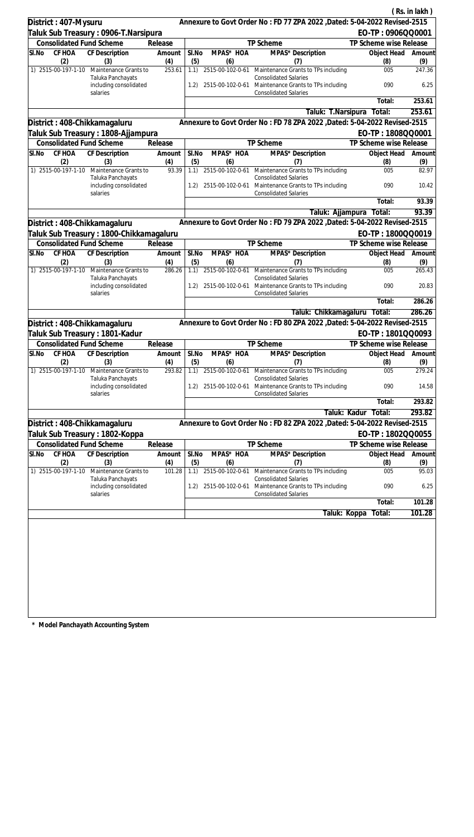|       |                            |                                                                        |               |              |                  |                                                                                                |                        | (Rs. in lakh)        |
|-------|----------------------------|------------------------------------------------------------------------|---------------|--------------|------------------|------------------------------------------------------------------------------------------------|------------------------|----------------------|
|       | District: 407-Mysuru       |                                                                        |               |              |                  | Annexure to Govt Order No: FD 77 ZPA 2022, Dated: 5-04-2022 Revised-2515                       |                        |                      |
|       |                            | Taluk Sub Treasury : 0906-T.Narsipura                                  |               |              |                  |                                                                                                | EO-TP: 0906QQ0001      |                      |
|       |                            | <b>Consolidated Fund Scheme</b>                                        | Release       |              |                  | TP Scheme                                                                                      | TP Scheme wise Release |                      |
| SI.No | CF HOA                     | <b>CF Description</b>                                                  | Amount        | SI.No        | MPAS* HOA        | MPAS* Description                                                                              | Object Head            | Amount               |
|       | (2)<br>1) 2515-00-197-1-10 | (3)<br>Maintenance Grants to                                           | (4)<br>253.61 | (5)<br>1.1)  | (6)              | (7)<br>2515-00-102-0-61 Maintenance Grants to TPs including                                    | (8)<br>005             | (9)<br>247.36        |
|       |                            | Taluka Panchayats<br>including consolidated                            |               | 1.2)         |                  | <b>Consolidated Salaries</b><br>2515-00-102-0-61 Maintenance Grants to TPs including           | 090                    | 6.25                 |
|       |                            | salaries                                                               |               |              |                  | <b>Consolidated Salaries</b>                                                                   | Total:                 | 253.61               |
|       |                            |                                                                        |               |              |                  |                                                                                                | Total:                 | 253.61               |
|       |                            |                                                                        |               |              |                  | Taluk: T.Narsipura<br>Annexure to Govt Order No: FD 78 ZPA 2022, Dated: 5-04-2022 Revised-2515 |                        |                      |
|       |                            | District: 408-Chikkamagaluru                                           |               |              |                  |                                                                                                |                        |                      |
|       |                            | Taluk Sub Treasury : 1808-Ajjampura<br><b>Consolidated Fund Scheme</b> |               |              |                  |                                                                                                | EO-TP: 1808QQ0001      |                      |
| SI.No | CF HOA                     |                                                                        | Release       |              | MPAS* HOA        | TP Scheme                                                                                      | TP Scheme wise Release |                      |
|       | (2)                        | CF Description<br>(3)                                                  | Amount<br>(4) | SI.No<br>(5) | (6)              | MPAS* Description<br>(7)                                                                       | Object Head<br>(8)     | Amount<br>(9)        |
|       | 1) 2515-00-197-1-10        | Maintenance Grants to<br>Taluka Panchayats                             | 93.39         | 1.1)         |                  | 2515-00-102-0-61 Maintenance Grants to TPs including<br><b>Consolidated Salaries</b>           | 005                    | 82.97                |
|       |                            | including consolidated<br>salaries                                     |               | 1.2)         |                  | 2515-00-102-0-61 Maintenance Grants to TPs including<br><b>Consolidated Salaries</b>           | 090                    | 10.42                |
|       |                            |                                                                        |               |              |                  |                                                                                                | Total:                 | 93.39                |
|       |                            |                                                                        |               |              |                  | Taluk: Ajjampura                                                                               | Total:                 | 93.39                |
|       |                            | District: 408-Chikkamagaluru                                           |               |              |                  | Annexure to Govt Order No: FD 79 ZPA 2022 , Dated: 5-04-2022 Revised-2515                      |                        |                      |
|       |                            | Taluk Sub Treasury : 1800-Chikkamagaluru                               |               |              |                  |                                                                                                | EO-TP: 1800QQ0019      |                      |
|       |                            | <b>Consolidated Fund Scheme</b>                                        | Release       |              |                  | TP Scheme                                                                                      | TP Scheme wise Release |                      |
| SI.No | CF HOA<br>(2)              | CF Description<br>(3)                                                  | Amount<br>(4) | SI.No<br>(5) | MPAS* HOA<br>(6) | MPAS* Description<br>(7)                                                                       | Object Head<br>(8)     | Amount<br>(9)        |
|       | 1) 2515-00-197-1-10        | Maintenance Grants to                                                  | 286.26        | 1.1)         |                  | 2515-00-102-0-61 Maintenance Grants to TPs including                                           | 005                    | 265.43               |
|       |                            | Taluka Panchayats<br>including consolidated                            |               | 1.2)         | 2515-00-102-0-61 | <b>Consolidated Salaries</b><br>Maintenance Grants to TPs including                            | 090                    | 20.83                |
|       |                            | salaries                                                               |               |              |                  | <b>Consolidated Salaries</b>                                                                   | Total:                 | 286.26               |
|       |                            |                                                                        |               |              |                  | Taluk: Chikkamagaluru Total:                                                                   |                        | 286.26               |
|       |                            |                                                                        |               |              |                  | Annexure to Govt Order No: FD 80 ZPA 2022 , Dated: 5-04-2022 Revised-2515                      |                        |                      |
|       |                            | District: 408-Chikkamagaluru                                           |               |              |                  |                                                                                                | EO-TP: 1801QQ0093      |                      |
|       |                            | Taluk Sub Treasury : 1801-Kadur<br><b>Consolidated Fund Scheme</b>     | Release       |              |                  | TP Scheme                                                                                      | TP Scheme wise Release |                      |
| SI.No |                            | CF HOA CF Description                                                  | Amount        | SI.No        | MPAS* HOA        | MPAS* Description                                                                              | Object Head Amount     |                      |
|       | (2)                        | (3)                                                                    | (4)           | (5)          | (6)              | (7)                                                                                            | (8)                    | (9)                  |
|       | 1) 2515-00-197-1-10        | Maintenance Grants to<br>Taluka Panchayats                             | 293.82        | 1.1)         | 2515-00-102-0-61 | Maintenance Grants to TPs including<br><b>Consolidated Salaries</b>                            | 005                    | 279.24               |
|       |                            | including consolidated<br>salaries                                     |               | 1.2)         |                  | 2515-00-102-0-61 Maintenance Grants to TPs including<br><b>Consolidated Salaries</b>           | 090                    | 14.58                |
|       |                            |                                                                        |               |              |                  |                                                                                                | Total:                 | 293.82               |
|       |                            |                                                                        |               |              |                  | Taluk: Kadur                                                                                   | Total:                 | 293.82               |
|       |                            | District: 408-Chikkamagaluru                                           |               |              |                  | Annexure to Govt Order No: FD 82 ZPA 2022 , Dated: 5-04-2022 Revised-2515                      |                        |                      |
|       |                            | Taluk Sub Treasury : 1802-Koppa                                        |               |              |                  |                                                                                                | EO-TP: 1802QQ0055      |                      |
|       |                            | <b>Consolidated Fund Scheme</b>                                        | Release       |              |                  | TP Scheme                                                                                      | TP Scheme wise Release |                      |
| SI.No | CF HOA<br>(2)              | <b>CF Description</b><br>(3)                                           | Amount<br>(4) | SI.No<br>(5) | MPAS* HOA<br>(6) | MPAS* Description<br>(7)                                                                       | Object Head<br>(8)     | Amount<br>(9)        |
|       | 1) 2515-00-197-1-10        | Maintenance Grants to                                                  | 101.28        | 1.1)         | 2515-00-102-0-61 | Maintenance Grants to TPs including<br><b>Consolidated Salaries</b>                            | 005                    | 95.03                |
|       |                            | Taluka Panchayats<br>including consolidated<br>salaries                |               | 1.2)         | 2515-00-102-0-61 | Maintenance Grants to TPs including<br><b>Consolidated Salaries</b>                            | 090                    | 6.25                 |
|       |                            |                                                                        |               |              |                  |                                                                                                | Total:                 | $\overline{101}$ .28 |
|       |                            |                                                                        |               |              |                  | Taluk: Koppa                                                                                   | Total:                 | 101.28               |
|       |                            |                                                                        |               |              |                  |                                                                                                |                        |                      |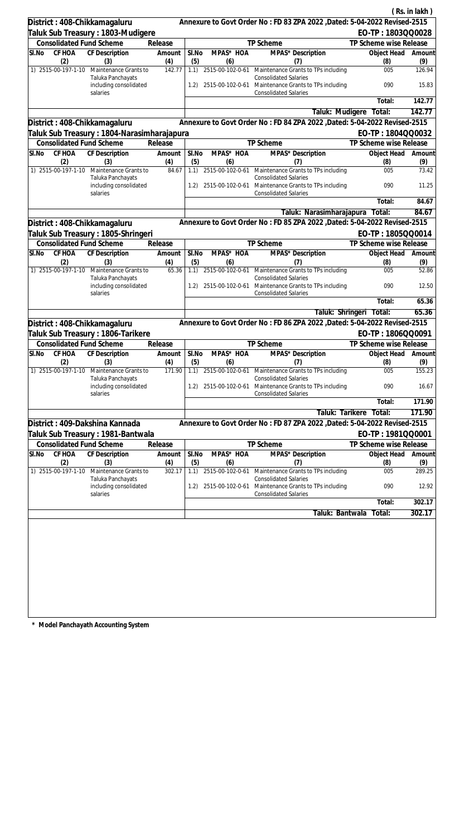|                                    |                                                         |               |              |                       |                                                                                                     |                           | (Rs. in lakh) |
|------------------------------------|---------------------------------------------------------|---------------|--------------|-----------------------|-----------------------------------------------------------------------------------------------------|---------------------------|---------------|
| District: 408-Chikkamagaluru       |                                                         |               |              |                       | Annexure to Govt Order No: FD 83 ZPA 2022 , Dated: 5-04-2022 Revised-2515                           |                           |               |
|                                    | Taluk Sub Treasury : 1803-Mudigere                      |               |              |                       |                                                                                                     | EO-TP: 1803QQ0028         |               |
| <b>Consolidated Fund Scheme</b>    |                                                         | Release       |              |                       | TP Scheme                                                                                           | TP Scheme wise Release    |               |
| CF HOA<br>SI.No<br>(2)             | <b>CF Description</b><br>(3)                            | Amount<br>(4) | SI.No<br>(5) | MPAS* HOA<br>(6)      | MPAS* Description<br>(7)                                                                            | Object Head<br>(8)        | Amount<br>(9) |
| 1) 2515-00-197-1-10                | Maintenance Grants to<br>Taluka Panchayats              | 142.77        | 1.1)         | 2515-00-102-0-61      | Maintenance Grants to TPs including<br><b>Consolidated Salaries</b>                                 | 005                       | 126.94        |
|                                    | including consolidated<br>salaries                      |               | (1.2)        | 2515-00-102-0-61      | Maintenance Grants to TPs including<br><b>Consolidated Salaries</b>                                 | 090                       | 15.83         |
|                                    |                                                         |               |              |                       |                                                                                                     | Total:                    | 142.77        |
|                                    |                                                         |               |              |                       | Taluk: Mudigere                                                                                     | Total:                    | 142.77        |
| District: 408-Chikkamagaluru       |                                                         |               |              |                       | Annexure to Govt Order No: FD 84 ZPA 2022, Dated: 5-04-2022 Revised-2515                            |                           |               |
|                                    | Taluk Sub Treasury : 1804-Narasimharajapura             |               |              |                       |                                                                                                     | EO-TP: 1804QQ0032         |               |
| <b>Consolidated Fund Scheme</b>    |                                                         | Release       |              |                       | TP Scheme                                                                                           | TP Scheme wise Release    |               |
| SI.No<br>CF HOA<br>(2)             | CF Description<br>(3)                                   | Amount<br>(4) | SI.No<br>(5) | MPAS* HOA<br>(6)      | MPAS* Description<br>(7)                                                                            | Object Head<br>(8)        | Amount<br>(9) |
| 1) 2515-00-197-1-10                | Maintenance Grants to<br>Taluka Panchayats              | 84.67         | 1.1)         | 2515-00-102-0-61      | Maintenance Grants to TPs including<br><b>Consolidated Salaries</b>                                 | 005                       | 73.42         |
|                                    | including consolidated<br>salaries                      |               | 1.2)         | 2515-00-102-0-61      | Maintenance Grants to TPs including<br><b>Consolidated Salaries</b>                                 | 090                       | 11.25         |
|                                    |                                                         |               |              |                       |                                                                                                     | Total:                    | 84.67         |
|                                    |                                                         |               |              |                       | Taluk: Narasimharajapura                                                                            | Total:                    | 84.67         |
| District: 408-Chikkamagaluru       |                                                         |               |              |                       | Annexure to Govt Order No: FD 85 ZPA 2022 , Dated: 5-04-2022 Revised-2515                           |                           |               |
|                                    | Taluk Sub Treasury: 1805-Shringeri                      |               |              |                       |                                                                                                     | EO-TP: 1805QQ0014         |               |
| <b>Consolidated Fund Scheme</b>    |                                                         | Release       |              |                       | TP Scheme                                                                                           | TP Scheme wise Release    |               |
| CF HOA<br>SI.No<br>(2)             | <b>CF</b> Description<br>(3)                            | Amount<br>(4) | SI.No<br>(5) | MPAS* HOA<br>(6)      | MPAS* Description<br>(7)                                                                            | Object Head<br>(8)        | Amount<br>(9) |
| 1) 2515-00-197-1-10                | Maintenance Grants to<br>Taluka Panchayats              | 65.36         |              | 1.1) 2515-00-102-0-61 | Maintenance Grants to TPs including<br><b>Consolidated Salaries</b>                                 | 005                       | 52.86         |
|                                    | including consolidated<br>salaries                      |               | 1.2)         | 2515-00-102-0-61      | Maintenance Grants to TPs including<br><b>Consolidated Salaries</b>                                 | 090                       | 12.50         |
|                                    |                                                         |               |              |                       |                                                                                                     | Total:                    | 65.36         |
|                                    |                                                         |               |              |                       | Taluk: Shringeri                                                                                    | Total:                    | 65.36         |
| District: 408-Chikkamagaluru       |                                                         |               |              |                       | Annexure to Govt Order No: FD 86 ZPA 2022 , Dated: 5-04-2022 Revised-2515                           |                           |               |
|                                    | Taluk Sub Treasury : 1806-Tarikere                      |               |              |                       |                                                                                                     | EO-TP: 1806QQ0091         |               |
| <b>Consolidated Fund Scheme</b>    |                                                         | Release       |              |                       | <b>TP Scheme</b>                                                                                    | TP Scheme wise Release    |               |
| SI.No CF HOA CF Description<br>(2) | (3)                                                     | Amount<br>(4) | SI.No<br>(5) | MPAS* HOA<br>(6)      | MPAS* Description<br>(7)                                                                            | Object Head Amount<br>(8) | (9)           |
| 1) 2515-00-197-1-10                | Maintenance Grants to<br>Taluka Panchayats              | 171.90        | 1.1)         | 2515-00-102-0-61      | Maintenance Grants to TPs including<br><b>Consolidated Salaries</b>                                 | 005                       | 155.23        |
|                                    | including consolidated<br>salaries                      |               | 1.2)         | 2515-00-102-0-61      | Maintenance Grants to TPs including<br><b>Consolidated Salaries</b>                                 | 090                       | 16.67         |
|                                    |                                                         |               |              |                       |                                                                                                     | Total:                    | 171.90        |
|                                    |                                                         |               |              |                       | Taluk: Tarikere                                                                                     | Total:                    | 171.90        |
| District: 409-Dakshina Kannada     |                                                         |               |              |                       | Annexure to Govt Order No: FD 87 ZPA 2022, Dated: 5-04-2022 Revised-2515                            |                           |               |
|                                    | Taluk Sub Treasury : 1981-Bantwala                      |               |              |                       |                                                                                                     | EO-TP: 1981QQ0001         |               |
| <b>Consolidated Fund Scheme</b>    |                                                         | Release       |              |                       | TP Scheme                                                                                           | TP Scheme wise Release    |               |
| CF HOA<br>SI.No<br>(2)             | <b>CF Description</b><br>(3)                            | Amount<br>(4) | SI.No<br>(5) | MPAS* HOA<br>(6)      | MPAS* Description<br>(7)                                                                            | Object Head<br>(8)        | Amount<br>(9) |
| 1) 2515-00-197-1-10                | Maintenance Grants to                                   | 302.17        | 1.1)         | 2515-00-102-0-61      | Maintenance Grants to TPs including                                                                 | 005                       | 289.25        |
|                                    | Taluka Panchayats<br>including consolidated<br>salaries |               | 1.2)         | 2515-00-102-0-61      | <b>Consolidated Salaries</b><br>Maintenance Grants to TPs including<br><b>Consolidated Salaries</b> | 090                       | 12.92         |
|                                    |                                                         |               |              |                       |                                                                                                     | Total:                    | 302.17        |
|                                    |                                                         |               |              |                       | Taluk: Bantwala                                                                                     | Total:                    | 302.17        |
|                                    |                                                         |               |              |                       |                                                                                                     |                           |               |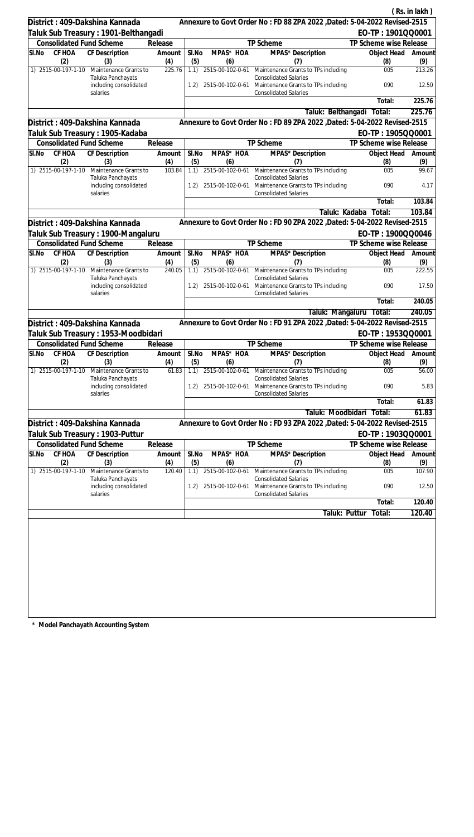|                                                                |                                                         |                   |              |                         |                                                                                                     |                                              | (Rs. in lakh) |
|----------------------------------------------------------------|---------------------------------------------------------|-------------------|--------------|-------------------------|-----------------------------------------------------------------------------------------------------|----------------------------------------------|---------------|
| District: 409-Dakshina Kannada                                 |                                                         |                   |              |                         | Annexure to Govt Order No: FD 88 ZPA 2022, Dated: 5-04-2022 Revised-2515                            |                                              |               |
|                                                                | Taluk Sub Treasury : 1901-Belthangadi                   |                   |              |                         |                                                                                                     | EO-TP: 1901QQ0001                            |               |
| <b>Consolidated Fund Scheme</b>                                |                                                         | Release           |              |                         | TP Scheme                                                                                           | TP Scheme wise Release                       |               |
| CF HOA<br>SI.No                                                | CF Description                                          | Amount            | SI.No        | MPAS* HOA               | MPAS* Description                                                                                   | Object Head                                  | Amount        |
| (2)<br>1) 2515-00-197-1-10                                     | (3)<br>Maintenance Grants to                            | (4)<br>225.76     | (5)<br>1.1)  | (6)                     | (7)<br>2515-00-102-0-61 Maintenance Grants to TPs including                                         | (8)<br>005                                   | (9)<br>213.26 |
|                                                                | Taluka Panchayats                                       |                   |              |                         | <b>Consolidated Salaries</b>                                                                        |                                              |               |
|                                                                | including consolidated<br>salaries                      |                   | 1.2)         |                         | 2515-00-102-0-61 Maintenance Grants to TPs including<br><b>Consolidated Salaries</b>                | 090                                          | 12.50         |
|                                                                |                                                         |                   |              |                         |                                                                                                     | Total:                                       | 225.76        |
|                                                                |                                                         |                   |              |                         | Taluk: Belthangadi                                                                                  | Total:                                       | 225.76        |
| District: 409-Dakshina Kannada                                 |                                                         |                   |              |                         | Annexure to Govt Order No: FD 89 ZPA 2022, Dated: 5-04-2022 Revised-2515                            |                                              |               |
|                                                                | Taluk Sub Treasury : 1905-Kadaba                        |                   |              |                         |                                                                                                     | EO-TP: 1905QQ0001                            |               |
| <b>Consolidated Fund Scheme</b>                                |                                                         | Release           |              |                         | TP Scheme                                                                                           | TP Scheme wise Release                       |               |
| SI.No<br>CF HOA<br>(2)                                         | CF Description<br>(3)                                   | Amount<br>(4)     | SI.No<br>(5) | MPAS* HOA<br>(6)        | MPAS* Description<br>(7)                                                                            | Object Head<br>(8)                           | Amount<br>(9) |
| 1) 2515-00-197-1-10                                            | Maintenance Grants to                                   | 103.84            | 1.1)         | 2515-00-102-0-61        | Maintenance Grants to TPs including                                                                 | 005                                          | 99.67         |
|                                                                | Taluka Panchayats<br>including consolidated<br>salaries |                   | 1.2)         | 2515-00-102-0-61        | <b>Consolidated Salaries</b><br>Maintenance Grants to TPs including<br><b>Consolidated Salaries</b> | 090                                          | 4.17          |
|                                                                |                                                         |                   |              |                         |                                                                                                     | Total:                                       | 103.84        |
|                                                                |                                                         |                   |              |                         | Taluk: Kadaba                                                                                       | Total:                                       | 103.84        |
| District: 409-Dakshina Kannada                                 |                                                         |                   |              |                         | Annexure to Govt Order No: FD 90 ZPA 2022 , Dated: 5-04-2022 Revised-2515                           |                                              |               |
|                                                                | Taluk Sub Treasury : 1900-Mangaluru                     |                   |              |                         |                                                                                                     | EO-TP: 1900QQ0046                            |               |
| <b>Consolidated Fund Scheme</b>                                |                                                         | Release           |              |                         | TP Scheme                                                                                           | TP Scheme wise Release                       |               |
| CF HOA<br>SI.No                                                | <b>CF</b> Description                                   | Amount            | SI.No        | MPAS* HOA               | MPAS* Description                                                                                   | Object Head                                  | Amount        |
| (2)                                                            | (3)                                                     | (4)               | (5)          | (6)                     | (7)                                                                                                 | (8)                                          | (9)           |
| 1) 2515-00-197-1-10                                            | Maintenance Grants to<br>Taluka Panchayats              | 240.05            | 1.1)         |                         | 2515-00-102-0-61 Maintenance Grants to TPs including<br><b>Consolidated Salaries</b>                | 005                                          | 222.55        |
|                                                                | including consolidated<br>salaries                      |                   | 1.2)         |                         | 2515-00-102-0-61 Maintenance Grants to TPs including<br><b>Consolidated Salaries</b>                | 090                                          | 17.50         |
|                                                                |                                                         |                   |              |                         |                                                                                                     | Total:                                       | 240.05        |
|                                                                |                                                         |                   |              |                         |                                                                                                     | Taluk: Mangaluru Total:                      | 240.05        |
| District: 409-Dakshina Kannada                                 |                                                         |                   |              |                         | Annexure to Govt Order No: FD 91 ZPA 2022 , Dated: 5-04-2022 Revised-2515                           |                                              |               |
|                                                                | Taluk Sub Treasury: 1953-Moodbidari                     |                   |              |                         |                                                                                                     | EO-TP: 1953QQ0001                            |               |
| <b>Consolidated Fund Scheme</b><br>SI.No CF HOA CF Description |                                                         | Release<br>Amount | SI.No        | MPAS* HOA               | TP Scheme<br>MPAS* Description                                                                      | TP Scheme wise Release<br>Object Head Amount |               |
| (2)                                                            | (3)                                                     | (4)               | (5)          | (6)                     | (7)                                                                                                 | (8)                                          | (9)           |
| 1) 2515-00-197-1-10                                            | Maintenance Grants to<br>Taluka Panchayats              | 61.83             |              | 1.1) 2515-00-102-0-61   | Maintenance Grants to TPs including<br><b>Consolidated Salaries</b>                                 | 005                                          | 56.00         |
|                                                                | including consolidated<br>salaries                      |                   | 1.2)         | 2515-00-102-0-61        | Maintenance Grants to TPs including<br><b>Consolidated Salaries</b>                                 | 090                                          | 5.83          |
|                                                                |                                                         |                   |              |                         |                                                                                                     | Total:                                       | 61.83         |
|                                                                |                                                         |                   |              |                         | Taluk: Moodbidari                                                                                   | Total:                                       | 61.83         |
| District: 409-Dakshina Kannada                                 |                                                         |                   |              |                         | Annexure to Govt Order No: FD 93 ZPA 2022, Dated: 5-04-2022 Revised-2515                            |                                              |               |
| Taluk Sub Treasury : 1903-Puttur                               |                                                         |                   |              |                         |                                                                                                     | EO-TP: 1903QQ0001                            |               |
| <b>Consolidated Fund Scheme</b>                                |                                                         | Release           |              |                         | TP Scheme                                                                                           | TP Scheme wise Release                       |               |
| CF HOA<br>SI.No                                                | <b>CF Description</b>                                   | Amount            | SI.No        | MPAS* HOA               | MPAS* Description                                                                                   | Object Head                                  | Amount        |
| (2)<br>1) 2515-00-197-1-10                                     | (3)<br>Maintenance Grants to                            | (4)<br>120.40     | (5)<br>1.1)  | (6)<br>2515-00-102-0-61 | (7)<br>Maintenance Grants to TPs including                                                          | (8)<br>005                                   | (9)<br>107.90 |
|                                                                | Taluka Panchayats<br>including consolidated<br>salaries |                   | 1.2)         | 2515-00-102-0-61        | <b>Consolidated Salaries</b><br>Maintenance Grants to TPs including<br><b>Consolidated Salaries</b> | 090                                          | 12.50         |
|                                                                |                                                         |                   |              |                         |                                                                                                     | Total:                                       | 120.40        |
|                                                                |                                                         |                   |              |                         | Taluk: Puttur                                                                                       | Total:                                       | 120.40        |
|                                                                |                                                         |                   |              |                         |                                                                                                     |                                              |               |
|                                                                |                                                         |                   |              |                         |                                                                                                     |                                              |               |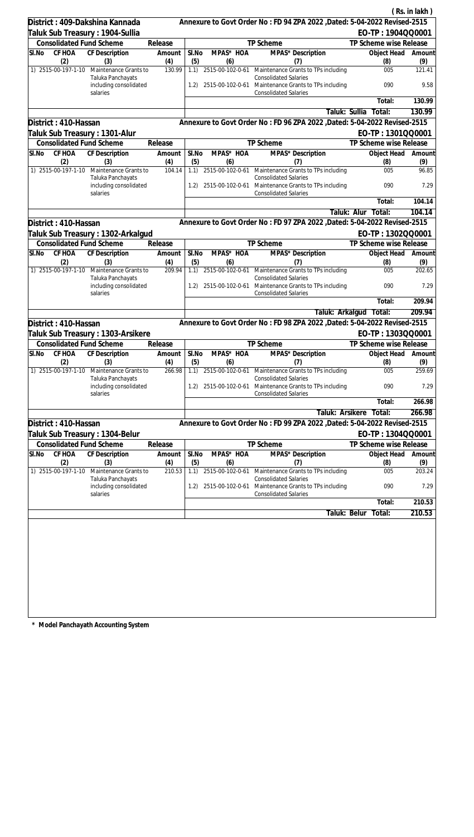|                                    |                                            |               |              |                       |                                                                                      |                           | (Rs. in lakh) |
|------------------------------------|--------------------------------------------|---------------|--------------|-----------------------|--------------------------------------------------------------------------------------|---------------------------|---------------|
| District: 409-Dakshina Kannada     |                                            |               |              |                       | Annexure to Govt Order No: FD 94 ZPA 2022, Dated: 5-04-2022 Revised-2515             |                           |               |
| Taluk Sub Treasury : 1904-Sullia   |                                            |               |              |                       |                                                                                      | EO-TP: 1904QQ0001         |               |
| <b>Consolidated Fund Scheme</b>    |                                            | Release       |              |                       | TP Scheme                                                                            | TP Scheme wise Release    |               |
| CF HOA<br>SI.No<br>(2)             | <b>CF Description</b><br>(3)               | Amount<br>(4) | SI.No<br>(5) | MPAS* HOA<br>(6)      | MPAS* Description<br>(7)                                                             | Object Head<br>(8)        | Amount<br>(9) |
| 1) 2515-00-197-1-10                | Maintenance Grants to<br>Taluka Panchayats | 130.99        | 1.1)         |                       | 2515-00-102-0-61 Maintenance Grants to TPs including<br><b>Consolidated Salaries</b> | 005                       | 121.41        |
|                                    | including consolidated<br>salaries         |               | 1.2)         | 2515-00-102-0-61      | Maintenance Grants to TPs including<br><b>Consolidated Salaries</b>                  | 090                       | 9.58          |
|                                    |                                            |               |              |                       |                                                                                      | Total:                    | 130.99        |
|                                    |                                            |               |              |                       | Taluk: Sullia                                                                        | Total:                    | 130.99        |
| District: 410-Hassan               |                                            |               |              |                       | Annexure to Govt Order No: FD 96 ZPA 2022, Dated: 5-04-2022 Revised-2515             |                           |               |
| Taluk Sub Treasury : 1301-Alur     |                                            |               |              |                       |                                                                                      | EO-TP: 1301QQ0001         |               |
| <b>Consolidated Fund Scheme</b>    |                                            | Release       |              |                       | TP Scheme                                                                            | TP Scheme wise Release    |               |
| CF HOA<br>SI.No<br>(2)             | CF Description<br>(3)                      | Amount<br>(4) | SI.No<br>(5) | MPAS* HOA<br>(6)      | MPAS* Description<br>(7)                                                             | Object Head<br>(8)        | Amount<br>(9) |
| 1) 2515-00-197-1-10                | Maintenance Grants to<br>Taluka Panchayats | 104.14        |              | 1.1) 2515-00-102-0-61 | Maintenance Grants to TPs including<br><b>Consolidated Salaries</b>                  | 005                       | 96.85         |
|                                    | including consolidated<br>salaries         |               | 1.2)         | 2515-00-102-0-61      | Maintenance Grants to TPs including<br><b>Consolidated Salaries</b>                  | 090                       | 7.29          |
|                                    |                                            |               |              |                       |                                                                                      | Total:                    | 104.14        |
|                                    |                                            |               |              |                       |                                                                                      | Taluk: Alur<br>Total:     | 104.14        |
| District: 410-Hassan               |                                            |               |              |                       | Annexure to Govt Order No: FD 97 ZPA 2022 , Dated: 5-04-2022 Revised-2515            |                           |               |
|                                    | Taluk Sub Treasury : 1302-Arkalgud         |               |              |                       |                                                                                      | EO-TP: 1302QQ0001         |               |
| <b>Consolidated Fund Scheme</b>    |                                            | Release       |              |                       | TP Scheme                                                                            | TP Scheme wise Release    |               |
| CF HOA<br>SI.No<br>(2)             | CF Description<br>(3)                      | Amount<br>(4) | SI.No<br>(5) | MPAS* HOA<br>(6)      | MPAS* Description<br>(7)                                                             | Object Head<br>(8)        | Amount<br>(9) |
| 1) 2515-00-197-1-10                | Maintenance Grants to<br>Taluka Panchayats | 209.94        |              | 1.1) 2515-00-102-0-61 | Maintenance Grants to TPs including<br><b>Consolidated Salaries</b>                  | 005                       | 202.65        |
|                                    | including consolidated<br>salaries         |               | (1.2)        | 2515-00-102-0-61      | Maintenance Grants to TPs including<br><b>Consolidated Salaries</b>                  | 090                       | 7.29          |
|                                    |                                            |               |              |                       |                                                                                      | Total:                    | 209.94        |
|                                    |                                            |               |              |                       |                                                                                      | Taluk: Arkalgud Total:    | 209.94        |
| District: 410-Hassan               |                                            |               |              |                       | Annexure to Govt Order No : FD 98 ZPA 2022 , Dated: 5-04-2022 Revised-2515           |                           |               |
|                                    | Taluk Sub Treasury: 1303-Arsikere          |               |              |                       |                                                                                      | EO-TP: 1303QQ0001         |               |
| <b>Consolidated Fund Scheme</b>    |                                            | Release       |              |                       | <b>TP Scheme</b>                                                                     | TP Scheme wise Release    |               |
| SI.No CF HOA CF Description<br>(2) | (3)                                        | Amount<br>(4) | SI.No<br>(5) | MPAS* HOA<br>(6)      | MPAS* Description<br>(7)                                                             | Object Head Amount<br>(8) | (9)           |
| 1) 2515-00-197-1-10                | Maintenance Grants to<br>Taluka Panchayats | 266.98        | 1.1)         | 2515-00-102-0-61      | Maintenance Grants to TPs including<br><b>Consolidated Salaries</b>                  | 005                       | 259.69        |
|                                    | including consolidated<br>salaries         |               | 1.2)         | 2515-00-102-0-61      | Maintenance Grants to TPs including<br><b>Consolidated Salaries</b>                  | 090                       | 7.29          |
|                                    |                                            |               |              |                       |                                                                                      | Total:                    | 266.98        |
|                                    |                                            |               |              |                       | Taluk: Arsikere                                                                      | Total:                    | 266.98        |
| District: 410-Hassan               |                                            |               |              |                       | Annexure to Govt Order No: FD 99 ZPA 2022, Dated: 5-04-2022 Revised-2515             |                           |               |
| Taluk Sub Treasury: 1304-Belur     |                                            |               |              |                       |                                                                                      | EO-TP: 1304QQ0001         |               |
| <b>Consolidated Fund Scheme</b>    |                                            | Release       |              |                       | TP Scheme                                                                            | TP Scheme wise Release    |               |
| CF HOA<br>SI.No<br>(2)             | <b>CF Description</b><br>(3)               | Amount<br>(4) | SI.No<br>(5) | MPAS* HOA<br>(6)      | MPAS* Description<br>(7)                                                             | Object Head<br>(8)        | Amount<br>(9) |
| 1) 2515-00-197-1-10                | Maintenance Grants to<br>Taluka Panchayats | 210.53        | 1.1)         | 2515-00-102-0-61      | Maintenance Grants to TPs including<br><b>Consolidated Salaries</b>                  | 005                       | 203.24        |
|                                    | including consolidated<br>salaries         |               | 1.2)         | 2515-00-102-0-61      | Maintenance Grants to TPs including<br><b>Consolidated Salaries</b>                  | 090                       | 7.29          |
|                                    |                                            |               |              |                       |                                                                                      | Total:                    | 210.53        |
|                                    |                                            |               |              |                       | Taluk: Belur                                                                         | Total:                    | 210.53        |
|                                    |                                            |               |              |                       |                                                                                      |                           |               |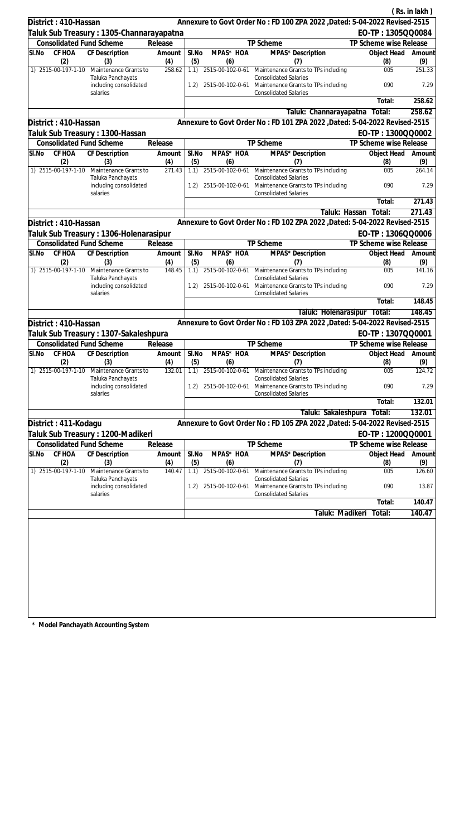|       |                                 |                                                         |               |              |                       |                                                                                                     |                        | (Rs. in lakh) |
|-------|---------------------------------|---------------------------------------------------------|---------------|--------------|-----------------------|-----------------------------------------------------------------------------------------------------|------------------------|---------------|
|       | District: 410-Hassan            |                                                         |               |              |                       | Annexure to Govt Order No: FD 100 ZPA 2022 , Dated: 5-04-2022 Revised-2515                          |                        |               |
|       |                                 | Taluk Sub Treasury : 1305-Channarayapatna               |               |              |                       |                                                                                                     | EO-TP: 1305QQ0084      |               |
|       | <b>Consolidated Fund Scheme</b> |                                                         | Release       |              |                       | TP Scheme                                                                                           | TP Scheme wise Release |               |
| SI.No | CF HOA                          | CF Description                                          | Amount        | SI.No        | MPAS* HOA             | MPAS* Description                                                                                   | Object Head            | Amount        |
|       | (2)<br>1) 2515-00-197-1-10      | (3)<br>Maintenance Grants to                            | (4)<br>258.62 | (5)<br>1.1)  | (6)                   | (7)<br>2515-00-102-0-61 Maintenance Grants to TPs including                                         | (8)<br>005             | (9)<br>251.33 |
|       |                                 | Taluka Panchayats<br>including consolidated             |               | 1.2)         | 2515-00-102-0-61      | <b>Consolidated Salaries</b><br>Maintenance Grants to TPs including                                 | 090                    | 7.29          |
|       |                                 | salaries                                                |               |              |                       | <b>Consolidated Salaries</b>                                                                        | Total:                 | 258.62        |
|       |                                 |                                                         |               |              |                       | Taluk: Channarayapatna                                                                              | Total:                 | 258.62        |
|       | District: 410-Hassan            |                                                         |               |              |                       | Annexure to Govt Order No: FD 101 ZPA 2022 , Dated: 5-04-2022 Revised-2515                          |                        |               |
|       |                                 | Taluk Sub Treasury : 1300-Hassan                        |               |              |                       |                                                                                                     | EO-TP: 1300QQ0002      |               |
|       | <b>Consolidated Fund Scheme</b> |                                                         | Release       |              |                       | TP Scheme                                                                                           | TP Scheme wise Release |               |
| SI.No | CF HOA                          | CF Description                                          | Amount        | SI.No        | MPAS* HOA             | MPAS* Description                                                                                   | Object Head            | Amount        |
|       | (2)                             | (3)                                                     | (4)           | (5)          | (6)                   | (7)                                                                                                 | (8)                    | (9)           |
|       | 1) 2515-00-197-1-10             | Maintenance Grants to<br>Taluka Panchayats              | 271.43        |              | 1.1) 2515-00-102-0-61 | Maintenance Grants to TPs including<br><b>Consolidated Salaries</b>                                 | 005                    | 264.14        |
|       |                                 | including consolidated<br>salaries                      |               | 1.2)         | 2515-00-102-0-61      | Maintenance Grants to TPs including<br><b>Consolidated Salaries</b>                                 | 090                    | 7.29          |
|       |                                 |                                                         |               |              |                       |                                                                                                     | Total:                 | 271.43        |
|       |                                 |                                                         |               |              |                       | Taluk: Hassan                                                                                       | Total:                 | 271.43        |
|       | District: 410-Hassan            |                                                         |               |              |                       | Annexure to Govt Order No: FD 102 ZPA 2022 , Dated: 5-04-2022 Revised-2515                          |                        |               |
|       |                                 | Taluk Sub Treasury : 1306-Holenarasipur                 |               |              |                       |                                                                                                     | EO-TP: 1306QQ0006      |               |
|       | <b>Consolidated Fund Scheme</b> |                                                         | Release       |              |                       | TP Scheme                                                                                           | TP Scheme wise Release |               |
| SI.No | CF HOA<br>(2)                   | CF Description<br>(3)                                   | Amount<br>(4) | SI.No<br>(5) | MPAS* HOA<br>(6)      | MPAS* Description<br>(7)                                                                            | Object Head<br>(8)     | Amount<br>(9) |
|       | 1) 2515-00-197-1-10             | Maintenance Grants to                                   | 148.45        |              | 1.1) 2515-00-102-0-61 | Maintenance Grants to TPs including                                                                 | 005                    | 141.16        |
|       |                                 | Taluka Panchayats<br>including consolidated<br>salaries |               | 1.2)         | 2515-00-102-0-61      | <b>Consolidated Salaries</b><br>Maintenance Grants to TPs including<br><b>Consolidated Salaries</b> | 090                    | 7.29          |
|       |                                 |                                                         |               |              |                       |                                                                                                     | Total:                 | 148.45        |
|       |                                 |                                                         |               |              |                       | Taluk: Holenarasipur Total:                                                                         |                        | 148.45        |
|       | District: 410-Hassan            |                                                         |               |              |                       | Annexure to Govt Order No: FD 103 ZPA 2022 , Dated: 5-04-2022 Revised-2515                          |                        |               |
|       |                                 | Taluk Sub Treasury: 1307-Sakaleshpura                   |               |              |                       |                                                                                                     | EO-TP: 1307QQ0001      |               |
|       | <b>Consolidated Fund Scheme</b> |                                                         | Release       |              |                       | <b>TP Scheme</b>                                                                                    | TP Scheme wise Release |               |
| SI.No |                                 | CF HOA CF Description Amount                            |               | SI.No        | MPAS* HOA             | MPAS* Description                                                                                   | Object Head Amount     |               |
|       | (2)                             | (3)                                                     | (4)           | (5)          | (6)                   | (7)                                                                                                 | (8)                    | (9)           |
|       | 1) 2515-00-197-1-10             | Maintenance Grants to                                   | 132.01        | 1.1)         | 2515-00-102-0-61      | Maintenance Grants to TPs including                                                                 | 005                    | 124.72        |
|       |                                 | Taluka Panchayats<br>including consolidated<br>salaries |               | 1.2)         | 2515-00-102-0-61      | <b>Consolidated Salaries</b><br>Maintenance Grants to TPs including<br><b>Consolidated Salaries</b> | 090                    | 7.29          |
|       |                                 |                                                         |               |              |                       |                                                                                                     | Total:                 | 132.01        |
|       |                                 |                                                         |               |              |                       | Taluk: Sakaleshpura                                                                                 | Total:                 | 132.01        |
|       | District: 411-Kodagu            |                                                         |               |              |                       | Annexure to Govt Order No: FD 105 ZPA 2022, Dated: 5-04-2022 Revised-2515                           |                        |               |
|       |                                 | Taluk Sub Treasury: 1200-Madikeri                       |               |              |                       |                                                                                                     | EO-TP: 1200QQ0001      |               |
|       | <b>Consolidated Fund Scheme</b> |                                                         | Release       |              |                       | TP Scheme                                                                                           | TP Scheme wise Release |               |
| SI.No | CF HOA                          | <b>CF Description</b>                                   | Amount        | SI.No        | MPAS* HOA             | MPAS* Description                                                                                   | Object Head            | Amount        |
|       | (2)                             | (3)                                                     | (4)           | (5)          | (6)                   | (7)                                                                                                 | (8)                    | (9)           |
|       | 1) 2515-00-197-1-10             | Maintenance Grants to                                   | 140.47        | 1.1)         | 2515-00-102-0-61      | Maintenance Grants to TPs including                                                                 | 005                    | 126.60        |
|       |                                 | Taluka Panchayats<br>including consolidated             |               | 1.2)         | 2515-00-102-0-61      | <b>Consolidated Salaries</b><br>Maintenance Grants to TPs including                                 | 090                    | 13.87         |
|       |                                 | salaries                                                |               |              |                       | <b>Consolidated Salaries</b>                                                                        | Total:                 | 140.47        |
|       |                                 |                                                         |               |              |                       |                                                                                                     |                        |               |
|       |                                 |                                                         |               |              |                       | Taluk: Madikeri                                                                                     | Total:                 | 140.47        |
|       |                                 |                                                         |               |              |                       |                                                                                                     |                        |               |
|       |                                 |                                                         |               |              |                       |                                                                                                     |                        |               |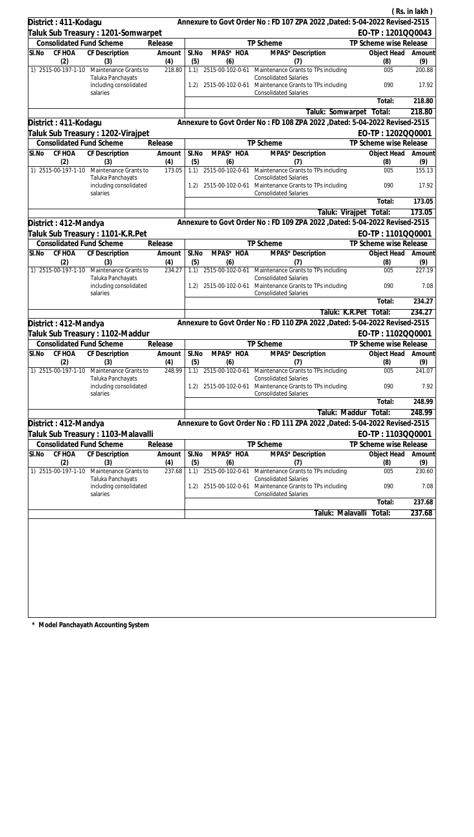|          |                                 |                                             |               |              |                  |                                                                                           |                       |                                             | (Rs. in lakh)       |
|----------|---------------------------------|---------------------------------------------|---------------|--------------|------------------|-------------------------------------------------------------------------------------------|-----------------------|---------------------------------------------|---------------------|
|          | District: 411-Kodagu            |                                             |               |              |                  | Annexure to Govt Order No: FD 107 ZPA 2022 , Dated: 5-04-2022 Revised-2515                |                       |                                             |                     |
|          |                                 | Taluk Sub Treasury : 1201-Somwarpet         |               |              |                  |                                                                                           |                       | EO-TP: 1201QQ0043                           |                     |
|          | <b>Consolidated Fund Scheme</b> |                                             | Release       |              |                  | TP Scheme                                                                                 |                       | TP Scheme wise Release                      |                     |
| SI.No    | CF HOA                          | <b>CF Description</b>                       | Amount        | SI.No        | MPAS* HOA        | MPAS* Description                                                                         |                       | Object Head                                 | Amount              |
|          | (2)<br>1) 2515-00-197-1-10      | (3)<br>Maintenance Grants to                | (4)<br>218.80 | (5)<br>1.1)  | (6)              | (7)<br>2515-00-102-0-61 Maintenance Grants to TPs including                               |                       | (8)<br>005                                  | (9)<br>200.88       |
|          |                                 | Taluka Panchayats<br>including consolidated |               | 1.2)         |                  | <b>Consolidated Salaries</b><br>2515-00-102-0-61 Maintenance Grants to TPs including      |                       | 090                                         | 17.92               |
|          |                                 | salaries                                    |               |              |                  | <b>Consolidated Salaries</b>                                                              |                       | Total:                                      | 218.80              |
|          |                                 |                                             |               |              |                  | Taluk: Somwarpet Total:                                                                   |                       |                                             | 218.80              |
|          | District: 411-Kodagu            |                                             |               |              |                  | Annexure to Govt Order No: FD 108 ZPA 2022 , Dated: 5-04-2022 Revised-2515                |                       |                                             |                     |
|          |                                 | Taluk Sub Treasury : 1202-Virajpet          |               |              |                  |                                                                                           |                       | EO-TP: 1202QQ0001                           |                     |
|          |                                 | <b>Consolidated Fund Scheme</b>             | Release       |              |                  | TP Scheme                                                                                 |                       | TP Scheme wise Release                      |                     |
| SI.No    | CF HOA                          | CF Description                              | Amount        | SI.No        | MPAS* HOA        | MPAS* Description                                                                         |                       | Object Head                                 | Amount              |
|          | (2)                             | (3)                                         | (4)           | (5)          | (6)              | (7)                                                                                       |                       | (8)                                         | (9)                 |
|          | 1) 2515-00-197-1-10             | Maintenance Grants to<br>Taluka Panchayats  | 173.05        | 1.1)         |                  | 2515-00-102-0-61 Maintenance Grants to TPs including<br><b>Consolidated Salaries</b>      |                       | 005                                         | 155.13              |
|          |                                 | including consolidated<br>salaries          |               | 1.2)         |                  | 2515-00-102-0-61 Maintenance Grants to TPs including<br><b>Consolidated Salaries</b>      |                       | 090                                         | 17.92               |
|          |                                 |                                             |               |              |                  |                                                                                           |                       | Total:                                      | 173.05              |
|          |                                 |                                             |               |              |                  |                                                                                           | Taluk: Virajpet       | Total:                                      | 173.05              |
|          | District: 412-Mandya            |                                             |               |              |                  | Annexure to Govt Order No: FD 109 ZPA 2022 , Dated: 5-04-2022 Revised-2515                |                       |                                             |                     |
|          |                                 | Taluk Sub Treasury: 1101-K.R.Pet            |               |              |                  |                                                                                           |                       | EO-TP: 1101QQ0001                           |                     |
|          | <b>Consolidated Fund Scheme</b> |                                             | Release       |              |                  | TP Scheme                                                                                 |                       | TP Scheme wise Release                      |                     |
| SI.No    | CF HOA<br>(2)                   | CF Description<br>(3)                       | Amount<br>(4) | SI.No<br>(5) | MPAS* HOA<br>(6) | MPAS* Description<br>(7)                                                                  |                       | Object Head<br>(8)                          | Amount<br>(9)       |
|          | 1) 2515-00-197-1-10             | Maintenance Grants to<br>Taluka Panchayats  | 234.27        | 1.1)         |                  | 2515-00-102-0-61 Maintenance Grants to TPs including<br><b>Consolidated Salaries</b>      |                       | 005                                         | 227.19              |
|          |                                 | including consolidated<br>salaries          |               | 1.2)         | 2515-00-102-0-61 | Maintenance Grants to TPs including<br><b>Consolidated Salaries</b>                       |                       | 090                                         | 7.08                |
|          |                                 |                                             |               |              |                  |                                                                                           |                       | Total:                                      | 234.27              |
|          |                                 |                                             |               |              |                  |                                                                                           | Taluk: K.R.Pet Total: |                                             | 234.27              |
|          | District: 412-Mandya            |                                             |               |              |                  | Annexure to Govt Order No: FD 110 ZPA 2022 , Dated: 5-04-2022 Revised-2515                |                       |                                             |                     |
|          |                                 | Taluk Sub Treasury: 1102-Maddur             |               |              |                  |                                                                                           |                       | EO-TP: 1102QQ0001                           |                     |
|          | <b>Consolidated Fund Scheme</b> |                                             | Release       |              |                  | TP Scheme                                                                                 |                       | TP Scheme wise Release                      |                     |
| $SI$ .No | (2)                             | CF HOA CF Description<br>(3)                | Amount<br>(4) | SI.No<br>(5) | MPAS* HOA<br>(6) | MPAS* Description<br>(7)                                                                  |                       | Object Head Amount<br>(8)                   | (9)                 |
|          | 1) 2515-00-197-1-10             | Maintenance Grants to<br>Taluka Panchayats  | 248.99        | 1.1)         | 2515-00-102-0-61 | Maintenance Grants to TPs including<br><b>Consolidated Salaries</b>                       |                       | 005                                         | 241.07              |
|          |                                 | including consolidated<br>salaries          |               |              |                  | 1.2) 2515-00-102-0-61 Maintenance Grants to TPs including<br><b>Consolidated Salaries</b> |                       | 090                                         | 7.92                |
|          |                                 |                                             |               |              |                  |                                                                                           |                       | Total:                                      | 248.99              |
|          |                                 |                                             |               |              |                  |                                                                                           | Taluk: Maddur         | Total:                                      | 248.99              |
|          | District: 412-Mandya            |                                             |               |              |                  | Annexure to Govt Order No: FD 111 ZPA 2022 , Dated: 5-04-2022 Revised-2515                |                       |                                             |                     |
|          | <b>Consolidated Fund Scheme</b> | Taluk Sub Treasury : 1103-Malavalli         | Release       |              |                  | TP Scheme                                                                                 |                       | EO-TP: 1103QQ0001<br>TP Scheme wise Release |                     |
| SI.No    | <b>CF HOA</b>                   | <b>CF Description</b>                       | Amount        | SI.No        | MPAS* HOA        | MPAS* Description                                                                         |                       | Object Head                                 | Amount              |
|          | (2)                             | (3)                                         | (4)           | (5)          | (6)              | (7)                                                                                       |                       | (8)                                         | (9)                 |
|          | 1) 2515-00-197-1-10             | Maintenance Grants to<br>Taluka Panchayats  | 237.68        | 1.1)         | 2515-00-102-0-61 | Maintenance Grants to TPs including<br><b>Consolidated Salaries</b>                       |                       | 005                                         | 230.60              |
|          |                                 | including consolidated<br>salaries          |               | 1.2)         | 2515-00-102-0-61 | Maintenance Grants to TPs including<br><b>Consolidated Salaries</b>                       |                       | 090                                         | 7.08                |
|          |                                 |                                             |               |              |                  |                                                                                           |                       | Total:                                      | $\overline{237.68}$ |
|          |                                 |                                             |               |              |                  | Taluk: Malavalli                                                                          |                       | Total:                                      | 237.68              |
|          |                                 |                                             |               |              |                  |                                                                                           |                       |                                             |                     |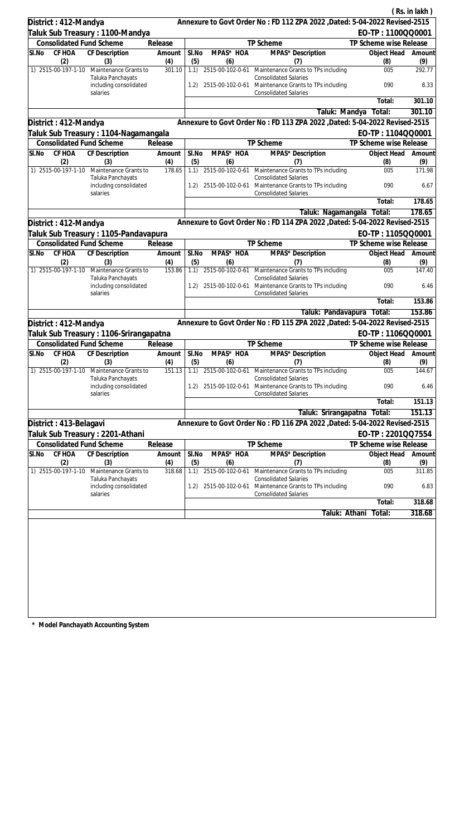|       |                                 |                                                         |               |              |                         |                                                                                                     |                           | (Rs. in lakh) |
|-------|---------------------------------|---------------------------------------------------------|---------------|--------------|-------------------------|-----------------------------------------------------------------------------------------------------|---------------------------|---------------|
|       | District: 412-Mandya            |                                                         |               |              |                         | Annexure to Govt Order No: FD 112 ZPA 2022 , Dated: 5-04-2022 Revised-2515                          |                           |               |
|       |                                 | Taluk Sub Treasury : 1100-Mandya                        |               |              |                         |                                                                                                     | EO-TP: 1100QQ0001         |               |
|       |                                 | <b>Consolidated Fund Scheme</b>                         | Release       |              |                         | TP Scheme                                                                                           | TP Scheme wise Release    |               |
| SI.No | CF HOA                          | CF Description                                          | Amount        | SI.No        | MPAS* HOA               | MPAS* Description                                                                                   | Object Head               | Amount        |
|       | (2)<br>1) 2515-00-197-1-10      | (3)<br>Maintenance Grants to                            | (4)<br>301.10 | (5)<br>1.1)  | (6)                     | (7)<br>2515-00-102-0-61 Maintenance Grants to TPs including                                         | (8)<br>005                | (9)<br>292.77 |
|       |                                 | Taluka Panchayats<br>including consolidated             |               | 1.2)         |                         | <b>Consolidated Salaries</b><br>2515-00-102-0-61 Maintenance Grants to TPs including                | 090                       | 8.33          |
|       |                                 | salaries                                                |               |              |                         | <b>Consolidated Salaries</b>                                                                        | Total:                    | 301.10        |
|       |                                 |                                                         |               |              |                         | Taluk: Mandya                                                                                       | Total:                    | 301.10        |
|       | District: 412-Mandya            |                                                         |               |              |                         | Annexure to Govt Order No: FD 113 ZPA 2022 , Dated: 5-04-2022 Revised-2515                          |                           |               |
|       |                                 | Taluk Sub Treasury : 1104-Nagamangala                   |               |              |                         |                                                                                                     | EO-TP: 1104QQ0001         |               |
|       |                                 | <b>Consolidated Fund Scheme</b>                         | Release       |              |                         | TP Scheme                                                                                           | TP Scheme wise Release    |               |
| SI.No | CF HOA                          | CF Description                                          | Amount        | SI.No        | MPAS* HOA               | MPAS* Description                                                                                   | Object Head               | Amount        |
|       | (2)<br>1) 2515-00-197-1-10      | (3)<br>Maintenance Grants to                            | (4)<br>178.65 | (5)<br>1.1)  | (6)                     | (7)<br>2515-00-102-0-61 Maintenance Grants to TPs including                                         | (8)<br>005                | (9)<br>171.98 |
|       |                                 | Taluka Panchayats<br>including consolidated             |               | 1.2)         |                         | <b>Consolidated Salaries</b><br>2515-00-102-0-61 Maintenance Grants to TPs including                | 090                       | 6.67          |
|       |                                 | salaries                                                |               |              |                         | <b>Consolidated Salaries</b>                                                                        | Total:                    | 178.65        |
|       |                                 |                                                         |               |              |                         | Taluk: Nagamangala                                                                                  | Total:                    | 178.65        |
|       | District: 412-Mandya            |                                                         |               |              |                         | Annexure to Govt Order No: FD 114 ZPA 2022 , Dated: 5-04-2022 Revised-2515                          |                           |               |
|       |                                 | Taluk Sub Treasury: 1105-Pandavapura                    |               |              |                         |                                                                                                     | EO-TP: 1105QQ0001         |               |
|       |                                 | <b>Consolidated Fund Scheme</b>                         | Release       |              |                         | TP Scheme                                                                                           | TP Scheme wise Release    |               |
| SI.No | CF HOA                          | CF Description                                          | Amount        | SI.No        | MPAS* HOA               | MPAS* Description                                                                                   | Object Head               | Amount        |
|       | (2)<br>1) 2515-00-197-1-10      | (3)<br>Maintenance Grants to                            | (4)<br>153.86 | (5)<br>1.1)  | (6)                     | (7)<br>2515-00-102-0-61 Maintenance Grants to TPs including                                         | (8)<br>005                | (9)<br>147.40 |
|       |                                 | Taluka Panchayats<br>including consolidated<br>salaries |               | 1.2)         | 2515-00-102-0-61        | <b>Consolidated Salaries</b><br>Maintenance Grants to TPs including<br><b>Consolidated Salaries</b> | 090                       | 6.46          |
|       |                                 |                                                         |               |              |                         |                                                                                                     | Total:                    | 153.86        |
|       |                                 |                                                         |               |              |                         | Taluk: Pandavapura                                                                                  | Total:                    | 153.86        |
|       | District: 412-Mandya            |                                                         |               |              |                         | Annexure to Govt Order No: FD 115 ZPA 2022 , Dated: 5-04-2022 Revised-2515                          |                           |               |
|       |                                 | Taluk Sub Treasury : 1106-Srirangapatna                 |               |              |                         |                                                                                                     | EO-TP: 1106QQ0001         |               |
|       |                                 | <b>Consolidated Fund Scheme</b>                         | Release       |              |                         | <b>TP Scheme</b>                                                                                    | TP Scheme wise Release    |               |
| SI.No | (2)                             | CF HOA CF Description<br>(3)                            | Amount<br>(4) | SI.No<br>(5) | MPAS* HOA<br>(6)        | MPAS* Description<br>(7)                                                                            | Object Head Amount<br>(8) | (9)           |
|       | 1) 2515-00-197-1-10             | Maintenance Grants to<br>Taluka Panchayats              | 151.13        | 1.1)         | 2515-00-102-0-61        | Maintenance Grants to TPs including<br><b>Consolidated Salaries</b>                                 | 005                       | 144.67        |
|       |                                 | including consolidated<br>salaries                      |               | 1.2)         |                         | 2515-00-102-0-61 Maintenance Grants to TPs including<br><b>Consolidated Salaries</b>                | 090                       | 6.46          |
|       |                                 |                                                         |               |              |                         |                                                                                                     | Total:                    | 151.13        |
|       |                                 |                                                         |               |              |                         | Taluk: Srirangapatna                                                                                | Total:                    | 151.13        |
|       | District: 413-Belagavi          |                                                         |               |              |                         | Annexure to Govt Order No: FD 116 ZPA 2022, Dated: 5-04-2022 Revised-2515                           |                           |               |
|       |                                 | Taluk Sub Treasury : 2201-Athani                        |               |              |                         |                                                                                                     | EO-TP: 2201QQ7554         |               |
|       | <b>Consolidated Fund Scheme</b> |                                                         | Release       |              |                         | TP Scheme                                                                                           | TP Scheme wise Release    |               |
| SI.No | CF HOA                          | <b>CF Description</b>                                   | Amount        | SI.No        | MPAS* HOA               | MPAS* Description                                                                                   | Object Head               | Amount        |
|       | (2)<br>1) 2515-00-197-1-10      | (3)<br>Maintenance Grants to                            | (4)<br>318.68 | (5)<br>1.1)  | (6)<br>2515-00-102-0-61 | (7)<br>Maintenance Grants to TPs including                                                          | (8)<br>005                | (9)<br>311.85 |
|       |                                 | Taluka Panchayats<br>including consolidated             |               | 1.2)         | 2515-00-102-0-61        | <b>Consolidated Salaries</b><br>Maintenance Grants to TPs including                                 | 090                       | 6.83          |
|       |                                 | salaries                                                |               |              |                         | <b>Consolidated Salaries</b>                                                                        | Total:                    | 318.68        |
|       |                                 |                                                         |               |              |                         | Taluk: Athani                                                                                       | Total:                    | 318.68        |
|       |                                 |                                                         |               |              |                         |                                                                                                     |                           |               |
|       |                                 |                                                         |               |              |                         |                                                                                                     |                           |               |
|       |                                 |                                                         |               |              |                         |                                                                                                     |                           |               |
|       |                                 |                                                         |               |              |                         |                                                                                                     |                           |               |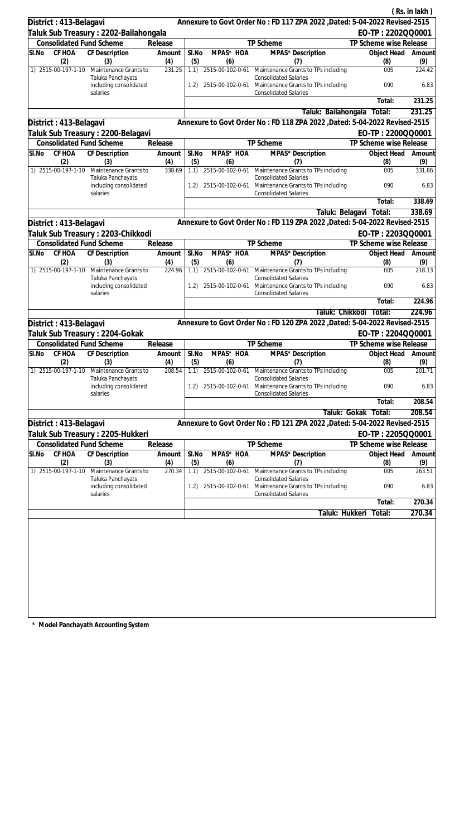|                        |               |                                                                       |               |              |                  |                                                                                                   |                                             | (Rs. in lakh) |
|------------------------|---------------|-----------------------------------------------------------------------|---------------|--------------|------------------|---------------------------------------------------------------------------------------------------|---------------------------------------------|---------------|
| District: 413-Belagavi |               |                                                                       |               |              |                  | Annexure to Govt Order No: FD 117 ZPA 2022 , Dated: 5-04-2022 Revised-2515                        |                                             |               |
|                        |               | Taluk Sub Treasury : 2202-Bailahongala                                |               |              |                  |                                                                                                   | EO-TP: 2202QQ0001                           |               |
|                        |               | <b>Consolidated Fund Scheme</b>                                       | Release       |              |                  | TP Scheme                                                                                         | TP Scheme wise Release                      |               |
| SI.No                  | CF HOA        | CF Description                                                        | Amount        | SI.No        | MPAS* HOA        | MPAS* Description                                                                                 | Object Head                                 | Amount        |
| 1) 2515-00-197-1-10    | (2)           | (3)<br>Maintenance Grants to                                          | (4)<br>231.25 | (5)<br>1.1)  | (6)              | (7)<br>2515-00-102-0-61 Maintenance Grants to TPs including                                       | (8)<br>005                                  | (9)<br>224.42 |
|                        |               | Taluka Panchayats<br>including consolidated                           |               | 1.2)         |                  | <b>Consolidated Salaries</b><br>2515-00-102-0-61 Maintenance Grants to TPs including              | 090                                         | 6.83          |
|                        |               | salaries                                                              |               |              |                  | <b>Consolidated Salaries</b>                                                                      |                                             | 231.25        |
|                        |               |                                                                       |               |              |                  |                                                                                                   | Total:                                      | 231.25        |
|                        |               |                                                                       |               |              |                  | Taluk: Bailahongala<br>Annexure to Govt Order No: FD 118 ZPA 2022 , Dated: 5-04-2022 Revised-2515 | Total:                                      |               |
| District: 413-Belagavi |               |                                                                       |               |              |                  |                                                                                                   |                                             |               |
|                        |               | Taluk Sub Treasury : 2200-Belagavi<br><b>Consolidated Fund Scheme</b> | Release       |              |                  | TP Scheme                                                                                         | EO-TP: 2200QQ0001<br>TP Scheme wise Release |               |
| SI.No                  | CF HOA        | CF Description                                                        | Amount        | SI.No        | MPAS* HOA        | MPAS* Description                                                                                 | Object Head                                 | Amount        |
|                        | (2)           | (3)                                                                   | (4)           | (5)          | (6)              | (7)                                                                                               | (8)                                         | (9)           |
| 1) 2515-00-197-1-10    |               | Maintenance Grants to<br>Taluka Panchayats                            | 338.69        | 1.1)         |                  | 2515-00-102-0-61 Maintenance Grants to TPs including<br><b>Consolidated Salaries</b>              | 005                                         | 331.86        |
|                        |               | including consolidated<br>salaries                                    |               | 1.2)         |                  | 2515-00-102-0-61 Maintenance Grants to TPs including<br><b>Consolidated Salaries</b>              | 090                                         | 6.83          |
|                        |               |                                                                       |               |              |                  |                                                                                                   | Total:                                      | 338.69        |
|                        |               |                                                                       |               |              |                  | Taluk: Belagavi                                                                                   | Total:                                      | 338.69        |
| District: 413-Belagavi |               |                                                                       |               |              |                  | Annexure to Govt Order No: FD 119 ZPA 2022 , Dated: 5-04-2022 Revised-2515                        |                                             |               |
|                        |               | Taluk Sub Treasury : 2203-Chikkodi                                    |               |              |                  |                                                                                                   | EO-TP: 2203QQ0001                           |               |
|                        |               | <b>Consolidated Fund Scheme</b>                                       | Release       |              |                  | TP Scheme                                                                                         | TP Scheme wise Release                      |               |
| SI.No                  | CF HOA<br>(2) | CF Description<br>(3)                                                 | Amount<br>(4) | SI.No<br>(5) | MPAS* HOA<br>(6) | MPAS* Description<br>(7)                                                                          | Object Head<br>(8)                          | Amount<br>(9) |
| 1) 2515-00-197-1-10    |               | Maintenance Grants to<br>Taluka Panchayats                            | 224.96        | 1.1)         |                  | 2515-00-102-0-61 Maintenance Grants to TPs including<br><b>Consolidated Salaries</b>              | 005                                         | 218.13        |
|                        |               | including consolidated<br>salaries                                    |               | 1.2)         | 2515-00-102-0-61 | Maintenance Grants to TPs including<br><b>Consolidated Salaries</b>                               | 090                                         | 6.83          |
|                        |               |                                                                       |               |              |                  |                                                                                                   | Total:                                      | 224.96        |
|                        |               |                                                                       |               |              |                  |                                                                                                   | Taluk: Chikkodi Total:                      | 224.96        |
| District: 413-Belagavi |               |                                                                       |               |              |                  | Annexure to Govt Order No: FD 120 ZPA 2022 , Dated: 5-04-2022 Revised-2515                        |                                             |               |
|                        |               | Taluk Sub Treasury: 2204-Gokak                                        |               |              |                  |                                                                                                   | EO-TP: 2204QQ0001                           |               |
|                        |               | <b>Consolidated Fund Scheme</b>                                       | Release       |              |                  | TP Scheme                                                                                         | TP Scheme wise Release                      |               |
| SI.No                  | (2)           | CF HOA CF Description<br>(3)                                          | Amount<br>(4) | SI.No<br>(5) | MPAS* HOA<br>(6) | MPAS* Description<br>(7)                                                                          | Object Head Amount<br>(8)                   | (9)           |
| 1) 2515-00-197-1-10    |               | Maintenance Grants to<br>Taluka Panchayats                            | 208.54        | 1.1)         | 2515-00-102-0-61 | Maintenance Grants to TPs including<br><b>Consolidated Salaries</b>                               | 005                                         | 201.71        |
|                        |               | including consolidated<br>salaries                                    |               |              |                  | 1.2) 2515-00-102-0-61 Maintenance Grants to TPs including<br><b>Consolidated Salaries</b>         | 090                                         | 6.83          |
|                        |               |                                                                       |               |              |                  |                                                                                                   | Total:                                      | 208.54        |
|                        |               |                                                                       |               |              |                  | Taluk: Gokak                                                                                      | Total:                                      | 208.54        |
| District: 413-Belagavi |               |                                                                       |               |              |                  | Annexure to Govt Order No: FD 121 ZPA 2022 , Dated: 5-04-2022 Revised-2515                        |                                             |               |
|                        |               | Taluk Sub Treasury : 2205-Hukkeri                                     |               |              |                  |                                                                                                   | EO-TP: 2205QQ0001                           |               |
|                        | <b>CF HOA</b> | <b>Consolidated Fund Scheme</b>                                       | Release       |              |                  | TP Scheme                                                                                         | TP Scheme wise Release                      |               |
| SI.No                  | (2)           | <b>CF Description</b><br>(3)                                          | Amount<br>(4) | SI.No<br>(5) | MPAS* HOA<br>(6) | MPAS* Description<br>(7)                                                                          | Object Head<br>(8)                          | Amount<br>(9) |
| 1) 2515-00-197-1-10    |               | Maintenance Grants to<br>Taluka Panchayats                            | 270.34        | 1.1)         | 2515-00-102-0-61 | Maintenance Grants to TPs including<br><b>Consolidated Salaries</b>                               | 005                                         | 263.51        |
|                        |               | including consolidated<br>salaries                                    |               | 1.2)         | 2515-00-102-0-61 | Maintenance Grants to TPs including<br><b>Consolidated Salaries</b>                               | 090                                         | 6.83          |
|                        |               |                                                                       |               |              |                  |                                                                                                   | Total:                                      | 270.34        |
|                        |               |                                                                       |               |              |                  | Taluk: Hukkeri                                                                                    | Total:                                      | 270.34        |
|                        |               |                                                                       |               |              |                  |                                                                                                   |                                             |               |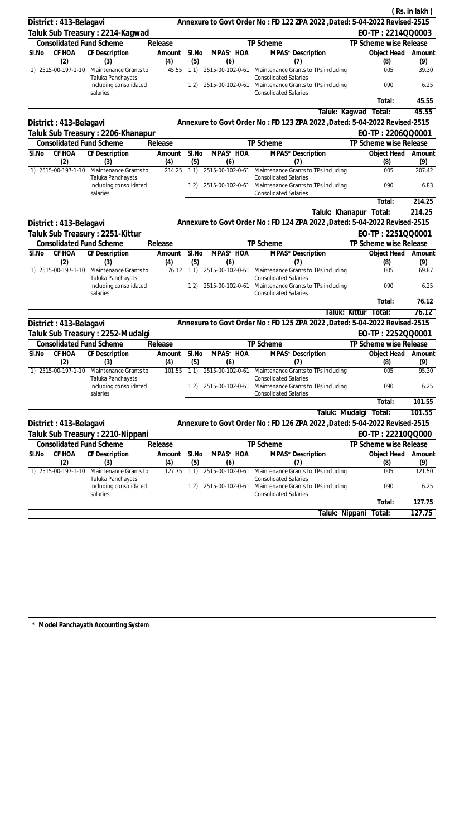|                                 |                                             |               |              |                         |                                                                                      |                           | (Rs. in lakh) |
|---------------------------------|---------------------------------------------|---------------|--------------|-------------------------|--------------------------------------------------------------------------------------|---------------------------|---------------|
| District: 413-Belagavi          |                                             |               |              |                         | Annexure to Govt Order No: FD 122 ZPA 2022 , Dated: 5-04-2022 Revised-2515           |                           |               |
|                                 | Taluk Sub Treasury : 2214-Kagwad            |               |              |                         |                                                                                      | EO-TP: 2214QQ0003         |               |
| <b>Consolidated Fund Scheme</b> |                                             | Release       |              |                         | TP Scheme                                                                            | TP Scheme wise Release    |               |
| CF HOA<br>SI.No<br>(2)          | CF Description                              | Amount        | SI.No        | MPAS* HOA<br>(6)        | MPAS* Description                                                                    | Object Head               | Amount        |
| 1) 2515-00-197-1-10             | (3)<br>Maintenance Grants to                | (4)<br>45.55  | (5)<br>1.1)  |                         | (7)<br>2515-00-102-0-61 Maintenance Grants to TPs including                          | (8)<br>005                | (9)<br>39.30  |
|                                 | Taluka Panchayats<br>including consolidated |               | 1.2)         |                         | <b>Consolidated Salaries</b><br>2515-00-102-0-61 Maintenance Grants to TPs including | 090                       | 6.25          |
|                                 | salaries                                    |               |              |                         | <b>Consolidated Salaries</b>                                                         | Total:                    | 45.55         |
|                                 |                                             |               |              |                         | Taluk: Kagwad                                                                        | Total:                    | 45.55         |
| District: 413-Belagavi          |                                             |               |              |                         | Annexure to Govt Order No: FD 123 ZPA 2022 , Dated: 5-04-2022 Revised-2515           |                           |               |
|                                 | Taluk Sub Treasury : 2206-Khanapur          |               |              |                         |                                                                                      | EO-TP: 2206QQ0001         |               |
| <b>Consolidated Fund Scheme</b> |                                             | Release       |              |                         | TP Scheme                                                                            | TP Scheme wise Release    |               |
| CF HOA<br>SI.No                 | CF Description                              | Amount        | SI.No        | MPAS* HOA               | MPAS* Description                                                                    | Object Head               | Amount        |
| (2)                             | (3)                                         | (4)           | (5)          | (6)                     | (7)                                                                                  | (8)                       | (9)           |
| 1) 2515-00-197-1-10             | Maintenance Grants to<br>Taluka Panchayats  | 214.25        | 1.1)         |                         | 2515-00-102-0-61 Maintenance Grants to TPs including<br><b>Consolidated Salaries</b> | 005                       | 207.42        |
|                                 | including consolidated<br>salaries          |               | 1.2)         |                         | 2515-00-102-0-61 Maintenance Grants to TPs including<br><b>Consolidated Salaries</b> | 090                       | 6.83          |
|                                 |                                             |               |              |                         |                                                                                      | Total:                    | 214.25        |
|                                 |                                             |               |              |                         | Taluk: Khanapur                                                                      | Total:                    | 214.25        |
| District: 413-Belagavi          |                                             |               |              |                         | Annexure to Govt Order No: FD 124 ZPA 2022 , Dated: 5-04-2022 Revised-2515           |                           |               |
|                                 | Taluk Sub Treasury : 2251-Kittur            |               |              |                         |                                                                                      | EO-TP: 2251QQ0001         |               |
| <b>Consolidated Fund Scheme</b> |                                             | Release       |              |                         | TP Scheme                                                                            | TP Scheme wise Release    |               |
| SI.No<br>CF HOA<br>(2)          | CF Description<br>(3)                       | Amount<br>(4) | SI.No<br>(5) | MPAS* HOA<br>(6)        | MPAS* Description<br>(7)                                                             | Object Head<br>(8)        | Amount<br>(9) |
| 1) 2515-00-197-1-10             | Maintenance Grants to<br>Taluka Panchayats  | 76.12         | 1.1)         |                         | 2515-00-102-0-61 Maintenance Grants to TPs including<br><b>Consolidated Salaries</b> | 005                       | 69.87         |
|                                 | including consolidated<br>salaries          |               | 1.2)         | 2515-00-102-0-61        | Maintenance Grants to TPs including<br><b>Consolidated Salaries</b>                  | 090                       | 6.25          |
|                                 |                                             |               |              |                         |                                                                                      | Total:                    | 76.12         |
|                                 |                                             |               |              |                         |                                                                                      | Taluk: Kittur Total:      | 76.12         |
| District: 413-Belagavi          |                                             |               |              |                         | Annexure to Govt Order No: FD 125 ZPA 2022 , Dated: 5-04-2022 Revised-2515           |                           |               |
|                                 | Taluk Sub Treasury : 2252-Mudalgi           |               |              |                         |                                                                                      | EO-TP: 2252QQ0001         |               |
| <b>Consolidated Fund Scheme</b> |                                             | Release       |              |                         | TP Scheme                                                                            | TP Scheme wise Release    |               |
| SI.No<br>(2)                    | CF HOA CF Description<br>(3)                | Amount<br>(4) | SI.No<br>(5) | MPAS* HOA<br>(6)        | MPAS* Description<br>(7)                                                             | Object Head Amount<br>(8) | (9)           |
| 1) 2515-00-197-1-10             | Maintenance Grants to<br>Taluka Panchayats  | 101.55        | 1.1)         | 2515-00-102-0-61        | Maintenance Grants to TPs including<br><b>Consolidated Salaries</b>                  | 005                       | 95.30         |
|                                 | including consolidated<br>salaries          |               | 1.2)         |                         | 2515-00-102-0-61 Maintenance Grants to TPs including<br><b>Consolidated Salaries</b> | 090                       | 6.25          |
|                                 |                                             |               |              |                         |                                                                                      | Total:                    | 101.55        |
|                                 |                                             |               |              |                         | Taluk: Mudalgi                                                                       | Total:                    | 101.55        |
| District: 413-Belagavi          |                                             |               |              |                         | Annexure to Govt Order No: FD 126 ZPA 2022, Dated: 5-04-2022 Revised-2515            |                           |               |
|                                 | Taluk Sub Treasury : 2210-Nippani           |               |              |                         |                                                                                      | EO-TP: 22210QQ000         |               |
| <b>Consolidated Fund Scheme</b> |                                             | Release       |              |                         | TP Scheme                                                                            | TP Scheme wise Release    |               |
| CF HOA<br>SI.No                 | <b>CF Description</b>                       | Amount        | SI.No        | MPAS* HOA               | MPAS* Description                                                                    | Object Head               | Amount        |
| (2)<br>1) 2515-00-197-1-10      | (3)<br>Maintenance Grants to                | (4)<br>127.75 | (5)<br>1.1)  | (6)<br>2515-00-102-0-61 | (7)<br>Maintenance Grants to TPs including                                           | (8)<br>005                | (9)<br>121.50 |
|                                 | Taluka Panchayats<br>including consolidated |               | 1.2)         | 2515-00-102-0-61        | <b>Consolidated Salaries</b><br>Maintenance Grants to TPs including                  | 090                       | 6.25          |
|                                 | salaries                                    |               |              |                         | <b>Consolidated Salaries</b>                                                         |                           |               |
|                                 |                                             |               |              |                         |                                                                                      | Total:                    | 127.75        |
|                                 |                                             |               |              |                         | Taluk: Nippani                                                                       | Total:                    | 127.75        |
|                                 |                                             |               |              |                         |                                                                                      |                           |               |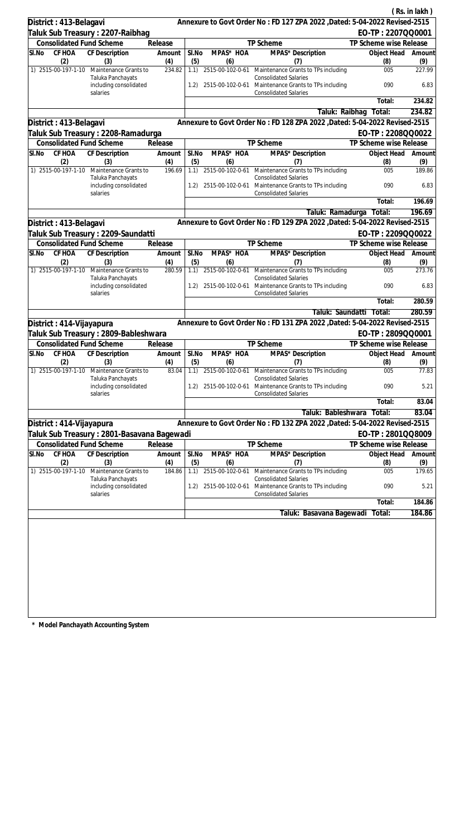|       |                            |                                                                        |                   |              |                              |                                                                                           |                                       | (Rs. in lakh) |
|-------|----------------------------|------------------------------------------------------------------------|-------------------|--------------|------------------------------|-------------------------------------------------------------------------------------------|---------------------------------------|---------------|
|       | District: 413-Belagavi     |                                                                        |                   |              |                              | Annexure to Govt Order No: FD 127 ZPA 2022 , Dated: 5-04-2022 Revised-2515                |                                       |               |
|       |                            | Taluk Sub Treasury: 2207-Raibhag                                       |                   |              |                              |                                                                                           | EO-TP: 2207QQ0001                     |               |
|       |                            | <b>Consolidated Fund Scheme</b>                                        | Release           |              |                              | TP Scheme                                                                                 | TP Scheme wise Release                |               |
| SI.No | CF HOA                     | CF Description                                                         | Amount            | SI.No        | MPAS* HOA                    | MPAS* Description                                                                         | Object Head                           | Amount        |
|       | (2)<br>1) 2515-00-197-1-10 | (3)<br>Maintenance Grants to                                           | (4)<br>234.82     | (5)<br>1.1)  | (6)                          | (7)<br>2515-00-102-0-61 Maintenance Grants to TPs including                               | (8)<br>005                            | (9)<br>227.99 |
|       |                            | Taluka Panchayats<br>including consolidated                            |                   | 1.2)         |                              | <b>Consolidated Salaries</b><br>2515-00-102-0-61 Maintenance Grants to TPs including      | 090                                   | 6.83          |
|       |                            | salaries                                                               |                   |              |                              | <b>Consolidated Salaries</b>                                                              | Total:                                | 234.82        |
|       |                            |                                                                        |                   |              |                              | Taluk: Raibhag                                                                            | Total:                                | 234.82        |
|       | District: 413-Belagavi     |                                                                        |                   |              |                              | Annexure to Govt Order No: FD 128 ZPA 2022 , Dated: 5-04-2022 Revised-2515                |                                       |               |
|       |                            | Taluk Sub Treasury : 2208-Ramadurga                                    |                   |              |                              |                                                                                           | EO-TP: 2208QQ0022                     |               |
|       |                            | <b>Consolidated Fund Scheme</b>                                        | Release           |              |                              | TP Scheme                                                                                 | TP Scheme wise Release                |               |
| SI.No | CF HOA                     | CF Description                                                         | Amount            | SI.No        | MPAS* HOA                    | MPAS* Description                                                                         | Object Head                           | Amount        |
|       | (2)                        | (3)                                                                    | (4)               | (5)          | (6)                          | (7)                                                                                       | (8)                                   | (9)           |
|       | 1) 2515-00-197-1-10        | Maintenance Grants to<br>Taluka Panchayats                             | 196.69            | 1.1)         | 2515-00-102-0-61             | Maintenance Grants to TPs including<br><b>Consolidated Salaries</b>                       | 005                                   | 189.86        |
|       |                            | including consolidated<br>salaries                                     |                   |              |                              | 1.2) 2515-00-102-0-61 Maintenance Grants to TPs including<br><b>Consolidated Salaries</b> | 090                                   | 6.83          |
|       |                            |                                                                        |                   |              |                              |                                                                                           | Total:                                | 196.69        |
|       |                            |                                                                        |                   |              |                              | Taluk: Ramadurga                                                                          | Total:                                | 196.69        |
|       | District: 413-Belagavi     |                                                                        |                   |              |                              | Annexure to Govt Order No: FD 129 ZPA 2022 , Dated: 5-04-2022 Revised-2515                |                                       |               |
|       |                            | Taluk Sub Treasury : 2209-Saundatti<br><b>Consolidated Fund Scheme</b> |                   |              |                              | TP Scheme                                                                                 | EO-TP: 2209QQ0022                     |               |
| SI.No | CF HOA                     | CF Description                                                         | Release<br>Amount | SI.No        | MPAS* HOA                    | MPAS* Description                                                                         | TP Scheme wise Release<br>Object Head | Amount        |
|       | (2)                        | (3)                                                                    | (4)               | (5)          | (6)                          | (7)                                                                                       | (8)                                   | (9)           |
|       | 1) 2515-00-197-1-10        | Maintenance Grants to<br>Taluka Panchayats                             | 280.59            | 1.1)         | 2515-00-102-0-61             | Maintenance Grants to TPs including<br><b>Consolidated Salaries</b>                       | 005                                   | 273.76        |
|       |                            | including consolidated<br>salaries                                     |                   | 1.2)         | 2515-00-102-0-61             | Maintenance Grants to TPs including<br><b>Consolidated Salaries</b>                       | 090                                   | 6.83          |
|       |                            |                                                                        |                   |              |                              |                                                                                           | Total:                                | 280.59        |
|       |                            |                                                                        |                   |              |                              | Taluk: Saundatti                                                                          | Total:                                | 280.59        |
|       | District: 414-Vijayapura   |                                                                        |                   |              |                              | Annexure to Govt Order No: FD 131 ZPA 2022 , Dated: 5-04-2022 Revised-2515                |                                       |               |
|       |                            | Taluk Sub Treasury : 2809-Bableshwara                                  |                   |              |                              |                                                                                           | EO-TP: 2809QQ0001                     |               |
|       |                            | <b>Consolidated Fund Scheme</b>                                        | Release           |              |                              | TP Scheme                                                                                 | TP Scheme wise Release                |               |
| SI.No | (2)                        | CF HOA CF Description<br>(3)                                           | Amount<br>(4)     | SI.No<br>(5) | MPAS* HOA<br>(6)             | MPAS* Description<br>(7)                                                                  | Object Head Amount<br>(8)             | (9)           |
|       | 1) 2515-00-197-1-10        | Maintenance Grants to<br>Taluka Panchayats                             | 83.04             | 1.1)         | 2515-00-102-0-61             | Maintenance Grants to TPs including<br><b>Consolidated Salaries</b>                       | 005                                   | 77.83         |
|       |                            | including consolidated<br>salaries                                     |                   | 1.2)         |                              | 2515-00-102-0-61 Maintenance Grants to TPs including<br><b>Consolidated Salaries</b>      | 090                                   | 5.21          |
|       |                            |                                                                        |                   |              |                              |                                                                                           | Total:                                | 83.04         |
|       |                            |                                                                        |                   |              |                              | Taluk: Bableshwara                                                                        | Total:                                | 83.04         |
|       | District: 414-Vijayapura   |                                                                        |                   |              |                              | Annexure to Govt Order No: FD 132 ZPA 2022, Dated: 5-04-2022 Revised-2515                 |                                       |               |
|       |                            | Taluk Sub Treasury : 2801-Basavana Bagewadi                            |                   |              |                              |                                                                                           | EO-TP: 2801QQ8009                     |               |
|       |                            | <b>Consolidated Fund Scheme</b>                                        | Release           |              |                              | TP Scheme                                                                                 | TP Scheme wise Release                |               |
| SI.No | <b>CF HOA</b><br>(2)       | CF Description<br>(3)                                                  | Amount<br>(4)     | SI.No<br>(5) | MPAS <sup>*</sup> HOA<br>(6) | MPAS* Description<br>(7)                                                                  | Object Head<br>(8)                    | Amount<br>(9) |
|       | 1) 2515-00-197-1-10        | Maintenance Grants to                                                  | 184.86            | 1.1)         | 2515-00-102-0-61             | Maintenance Grants to TPs including                                                       | 005                                   | 179.65        |
|       |                            | Taluka Panchayats<br>including consolidated                            |                   | 1.2)         |                              | <b>Consolidated Salaries</b><br>2515-00-102-0-61 Maintenance Grants to TPs including      | 090                                   | 5.21          |
|       |                            | salaries                                                               |                   |              |                              | <b>Consolidated Salaries</b>                                                              | Total:                                | 184.86        |
|       |                            |                                                                        |                   |              |                              | Taluk: Basavana Bagewadi                                                                  | Total:                                | 184.86        |
|       |                            |                                                                        |                   |              |                              |                                                                                           |                                       |               |
|       |                            |                                                                        |                   |              |                              |                                                                                           |                                       |               |
|       |                            |                                                                        |                   |              |                              |                                                                                           |                                       |               |
|       |                            |                                                                        |                   |              |                              |                                                                                           |                                       |               |
|       |                            |                                                                        |                   |              |                              |                                                                                           |                                       |               |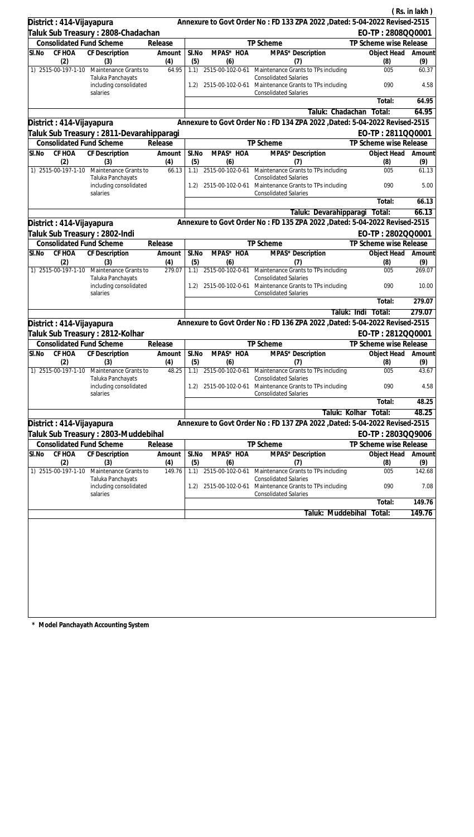|                                           |                                             |                       |              |                         |                                                                                      |                           | (Rs. in lakh) |
|-------------------------------------------|---------------------------------------------|-----------------------|--------------|-------------------------|--------------------------------------------------------------------------------------|---------------------------|---------------|
| District: 414-Vijayapura                  |                                             |                       |              |                         | Annexure to Govt Order No: FD 133 ZPA 2022 , Dated: 5-04-2022 Revised-2515           |                           |               |
| Taluk Sub Treasury : 2808-Chadachan       |                                             |                       |              |                         |                                                                                      | EO-TP: 2808QQ0001         |               |
| <b>Consolidated Fund Scheme</b>           |                                             | Release               |              |                         | TP Scheme                                                                            | TP Scheme wise Release    |               |
| CF HOA<br>SI.No<br>(2)                    | <b>CF Description</b><br>(3)                | Amount<br>(4)         | SI.No<br>(5) | MPAS* HOA<br>(6)        | MPAS* Description<br>(7)                                                             | Object Head<br>(8)        | Amount<br>(9) |
| 1) 2515-00-197-1-10                       | Maintenance Grants to<br>Taluka Panchayats  | 64.95                 | 1.1)         | 2515-00-102-0-61        | Maintenance Grants to TPs including<br><b>Consolidated Salaries</b>                  | 005                       | 60.37         |
|                                           | including consolidated<br>salaries          |                       | 1.2)         | 2515-00-102-0-61        | Maintenance Grants to TPs including<br><b>Consolidated Salaries</b>                  | 090                       | 4.58          |
|                                           |                                             |                       |              |                         |                                                                                      | Total:                    | 64.95         |
|                                           |                                             |                       |              |                         | Taluk: Chadachan                                                                     | Total:                    | 64.95         |
| District : 414-Vijayapura                 |                                             |                       |              |                         | Annexure to Govt Order No: FD 134 ZPA 2022, Dated: 5-04-2022 Revised-2515            |                           |               |
| Taluk Sub Treasury : 2811-Devarahipparagi |                                             |                       |              |                         |                                                                                      | EO-TP: 2811QQ0001         |               |
| <b>Consolidated Fund Scheme</b>           |                                             | Release               |              |                         | TP Scheme                                                                            | TP Scheme wise Release    |               |
| SI.No<br>CF HOA<br>(2)                    | CF Description<br>(3)                       | Amount<br>(4)         | SI.No<br>(5) | MPAS* HOA<br>(6)        | MPAS* Description<br>(7)                                                             | Object Head<br>(8)        | Amount<br>(9) |
| 1) 2515-00-197-1-10                       | Maintenance Grants to<br>Taluka Panchayats  | 66.13                 | 1.1)         | 2515-00-102-0-61        | Maintenance Grants to TPs including<br><b>Consolidated Salaries</b>                  | 005                       | 61.13         |
|                                           | including consolidated<br>salaries          |                       | 1.2)         |                         | 2515-00-102-0-61 Maintenance Grants to TPs including<br><b>Consolidated Salaries</b> | 090                       | 5.00          |
|                                           |                                             |                       |              |                         |                                                                                      | Total:                    | 66.13         |
|                                           |                                             |                       |              |                         | Taluk: Devarahipparagi                                                               | Total:                    | 66.13         |
| District: 414-Vijayapura                  |                                             |                       |              |                         | Annexure to Govt Order No: FD 135 ZPA 2022 , Dated: 5-04-2022 Revised-2515           |                           |               |
| Taluk Sub Treasury : 2802-Indi            |                                             |                       |              |                         |                                                                                      | EO-TP: 2802QQ0001         |               |
| <b>Consolidated Fund Scheme</b>           |                                             | Release               |              |                         | TP Scheme                                                                            | TP Scheme wise Release    |               |
| $\overline{\mathsf{S}}$ I.No<br>CF HOA    | CF Description                              | Amount                | SI.No        | MPAS* HOA               | MPAS* Description                                                                    | Object Head               | Amount        |
| (2)<br>1) 2515-00-197-1-10                | (3)<br>Maintenance Grants to                | (4)<br>279.07         | (5)<br>1.1)  | (6)<br>2515-00-102-0-61 | (7)<br>Maintenance Grants to TPs including                                           | (8)<br>005                | (9)<br>269.07 |
|                                           | Taluka Panchayats<br>including consolidated |                       | 1.2)         | 2515-00-102-0-61        | <b>Consolidated Salaries</b><br>Maintenance Grants to TPs including                  | 090                       | 10.00         |
|                                           | salaries                                    |                       |              |                         | <b>Consolidated Salaries</b>                                                         |                           |               |
|                                           |                                             |                       |              |                         |                                                                                      | Total:                    | 279.07        |
|                                           |                                             |                       |              |                         |                                                                                      | Taluk: Indi<br>Total:     | 279.07        |
| District: 414-Vijayapura                  |                                             |                       |              |                         | Annexure to Govt Order No: FD 136 ZPA 2022, Dated: 5-04-2022 Revised-2515            |                           |               |
| Taluk Sub Treasury : 2812-Kolhar          |                                             |                       |              |                         |                                                                                      | EO-TP: 2812QQ0001         |               |
| <b>Consolidated Fund Scheme</b>           |                                             | Release               |              |                         | TP Scheme                                                                            | TP Scheme wise Release    |               |
| SI.No CF HOA CF Description<br>(2)        | (3)                                         | Amount   SI.No<br>(4) | (5)          | MPAS* HOA<br>(6)        | MPAS* Description<br>(7)                                                             | Object Head Amount<br>(8) | (9)           |
| 1) 2515-00-197-1-10                       | Maintenance Grants to<br>Taluka Panchayats  | 48.25                 | 1.1)         | 2515-00-102-0-61        | Maintenance Grants to TPs including<br><b>Consolidated Salaries</b>                  | 005                       | 43.67         |
|                                           | including consolidated<br>salaries          |                       | 1.2)         | 2515-00-102-0-61        | Maintenance Grants to TPs including<br><b>Consolidated Salaries</b>                  | 090                       | 4.58          |
|                                           |                                             |                       |              |                         |                                                                                      | Total:                    | 48.25         |
|                                           |                                             |                       |              |                         | Taluk: Kolhar                                                                        | Total:                    | 48.25         |
| District: 414-Vijayapura                  |                                             |                       |              |                         | Annexure to Govt Order No: FD 137 ZPA 2022, Dated: 5-04-2022 Revised-2515            |                           |               |
| Taluk Sub Treasury : 2803-Muddebihal      |                                             |                       |              |                         |                                                                                      | EO-TP: 2803QQ9006         |               |
| <b>Consolidated Fund Scheme</b>           |                                             | Release               |              |                         | TP Scheme                                                                            | TP Scheme wise Release    |               |
| SI.No<br>CF HOA                           | <b>CF Description</b>                       | Amount                | SI.No        | MPAS* HOA               | MPAS* Description                                                                    | Object Head               | Amount        |
| (2)                                       | (3)                                         | (4)                   | (5)          | (6)                     | (7)                                                                                  | (8)                       | (9)           |
| 1) 2515-00-197-1-10                       | Maintenance Grants to<br>Taluka Panchayats  | 149.76                | 1.1)         | 2515-00-102-0-61        | Maintenance Grants to TPs including<br><b>Consolidated Salaries</b>                  | 005                       | 142.68        |
|                                           | including consolidated<br>salaries          |                       | 1.2)         | 2515-00-102-0-61        | Maintenance Grants to TPs including<br><b>Consolidated Salaries</b>                  | 090                       | 7.08          |
|                                           |                                             |                       |              |                         |                                                                                      | Total:                    | 149.76        |
|                                           |                                             |                       |              |                         | Taluk: Muddebihal                                                                    | Total:                    | 149.76        |
|                                           |                                             |                       |              |                         |                                                                                      |                           |               |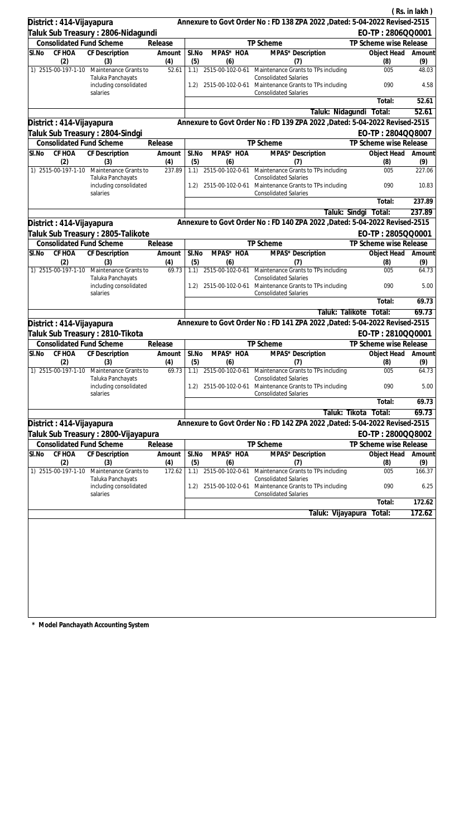|                                  |                                                         |               |              |                  |                                                                                                                      |                           | (Rs. in lakh)      |
|----------------------------------|---------------------------------------------------------|---------------|--------------|------------------|----------------------------------------------------------------------------------------------------------------------|---------------------------|--------------------|
| District: 414-Vijayapura         |                                                         |               |              |                  | Annexure to Govt Order No: FD 138 ZPA 2022 , Dated: 5-04-2022 Revised-2515                                           |                           |                    |
|                                  | Taluk Sub Treasury : 2806-Nidagundi                     |               |              |                  |                                                                                                                      | EO-TP: 2806QQ0001         |                    |
| <b>Consolidated Fund Scheme</b>  |                                                         | Release       |              |                  | TP Scheme                                                                                                            | TP Scheme wise Release    |                    |
| CF HOA<br>SI.No<br>(2)           | CF Description<br>(3)                                   | Amount<br>(4) | SI.No<br>(5) | MPAS* HOA<br>(6) | MPAS* Description<br>(7)                                                                                             | Object Head<br>(8)        | Amount<br>(9)      |
| 1) 2515-00-197-1-10              | Maintenance Grants to                                   | 52.61         | 1.1)         |                  | 2515-00-102-0-61 Maintenance Grants to TPs including                                                                 | 005                       | 48.03              |
|                                  | Taluka Panchayats<br>including consolidated<br>salaries |               | 1.2)         |                  | <b>Consolidated Salaries</b><br>2515-00-102-0-61 Maintenance Grants to TPs including<br><b>Consolidated Salaries</b> | 090                       | 4.58               |
|                                  |                                                         |               |              |                  |                                                                                                                      | Total:                    | $\overline{52.61}$ |
|                                  |                                                         |               |              |                  | Taluk: Nidagundi                                                                                                     | Total:                    | 52.61              |
| District : 414-Vijayapura        |                                                         |               |              |                  | Annexure to Govt Order No: FD 139 ZPA 2022 , Dated: 5-04-2022 Revised-2515                                           |                           |                    |
| Taluk Sub Treasury : 2804-Sindgi |                                                         |               |              |                  |                                                                                                                      | EO-TP: 2804QQ8007         |                    |
| <b>Consolidated Fund Scheme</b>  |                                                         | Release       |              |                  | TP Scheme                                                                                                            | TP Scheme wise Release    |                    |
| CF HOA<br>SI.No<br>(2)           | CF Description<br>(3)                                   | Amount<br>(4) | SI.No<br>(5) | MPAS* HOA<br>(6) | MPAS* Description<br>(7)                                                                                             | Object Head<br>(8)        | Amount<br>(9)      |
| 1) 2515-00-197-1-10              | Maintenance Grants to                                   | 237.89        | 1.1)         |                  | 2515-00-102-0-61 Maintenance Grants to TPs including                                                                 | 005                       | 227.06             |
|                                  | Taluka Panchayats<br>including consolidated<br>salaries |               | 1.2)         |                  | <b>Consolidated Salaries</b><br>2515-00-102-0-61 Maintenance Grants to TPs including<br><b>Consolidated Salaries</b> | 090                       | 10.83              |
|                                  |                                                         |               |              |                  |                                                                                                                      | Total:                    | 237.89             |
|                                  |                                                         |               |              |                  | Taluk: Sindgi                                                                                                        | Total:                    | 237.89             |
| District: 414-Vijayapura         |                                                         |               |              |                  | Annexure to Govt Order No: FD 140 ZPA 2022 , Dated: 5-04-2022 Revised-2515                                           |                           |                    |
|                                  | Taluk Sub Treasury : 2805-Talikote                      |               |              |                  |                                                                                                                      | EO-TP: 2805QQ0001         |                    |
| <b>Consolidated Fund Scheme</b>  |                                                         | Release       |              |                  | TP Scheme                                                                                                            | TP Scheme wise Release    |                    |
| SI.No<br>CF HOA<br>(2)           | CF Description<br>(3)                                   | Amount<br>(4) | SI.No<br>(5) | MPAS* HOA<br>(6) | MPAS* Description<br>(7)                                                                                             | Object Head<br>(8)        | Amount<br>(9)      |
| 1) 2515-00-197-1-10              | Maintenance Grants to<br>Taluka Panchayats              | 69.73         | 1.1)         | 2515-00-102-0-61 | Maintenance Grants to TPs including<br><b>Consolidated Salaries</b>                                                  | 005                       | 64.73              |
|                                  | including consolidated<br>salaries                      |               | 1.2)         | 2515-00-102-0-61 | Maintenance Grants to TPs including<br><b>Consolidated Salaries</b>                                                  | 090                       | 5.00               |
|                                  |                                                         |               |              |                  |                                                                                                                      | Total:                    | 69.73              |
|                                  |                                                         |               |              |                  | Taluk: Talikote                                                                                                      | Total:                    | 69.73              |
| District: 414-Vijayapura         |                                                         |               |              |                  | Annexure to Govt Order No: FD 141 ZPA 2022 , Dated: 5-04-2022 Revised-2515                                           |                           |                    |
| Taluk Sub Treasury: 2810-Tikota  |                                                         |               |              |                  |                                                                                                                      | EO-TP: 2810QQ0001         |                    |
| <b>Consolidated Fund Scheme</b>  |                                                         | Release       |              |                  | <b>TP Scheme</b>                                                                                                     | TP Scheme wise Release    |                    |
| SI.No<br>(2)                     | CF HOA CF Description<br>(3)                            | Amount<br>(4) | SI.No<br>(5) | MPAS* HOA<br>(6) | MPAS* Description<br>(7)                                                                                             | Object Head Amount<br>(8) | (9)                |
| 1) 2515-00-197-1-10              | Maintenance Grants to<br>Taluka Panchayats              | 69.73         | 1.1)         | 2515-00-102-0-61 | Maintenance Grants to TPs including<br><b>Consolidated Salaries</b>                                                  | 005                       | 64.73              |
|                                  | including consolidated<br>salaries                      |               | 1.2)         |                  | 2515-00-102-0-61 Maintenance Grants to TPs including<br><b>Consolidated Salaries</b>                                 | 090                       | 5.00               |
|                                  |                                                         |               |              |                  |                                                                                                                      | Total:                    | 69.73              |
|                                  |                                                         |               |              |                  | Taluk: Tikota                                                                                                        | Total:                    | 69.73              |
| District: 414-Vijayapura         |                                                         |               |              |                  | Annexure to Govt Order No: FD 142 ZPA 2022 , Dated: 5-04-2022 Revised-2515                                           |                           |                    |
|                                  | Taluk Sub Treasury : 2800-Vijayapura                    |               |              |                  |                                                                                                                      | EO-TP: 2800QQ8002         |                    |
| <b>Consolidated Fund Scheme</b>  |                                                         | Release       |              |                  | <b>TP Scheme</b>                                                                                                     | TP Scheme wise Release    |                    |
| <b>CF HOA</b><br>SI.No<br>(2)    | <b>CF Description</b><br>(3)                            | Amount<br>(4) | SI.No<br>(5) | MPAS* HOA<br>(6) | MPAS* Description<br>(7)                                                                                             | Object Head<br>(8)        | Amount<br>(9)      |
| 1) 2515-00-197-1-10              | Maintenance Grants to<br>Taluka Panchayats              | 172.62        | 1.1)         | 2515-00-102-0-61 | Maintenance Grants to TPs including<br><b>Consolidated Salaries</b>                                                  | 005                       | 166.37             |
|                                  | including consolidated<br>salaries                      |               | 1.2)         | 2515-00-102-0-61 | Maintenance Grants to TPs including<br><b>Consolidated Salaries</b>                                                  | 090                       | 6.25               |
|                                  |                                                         |               |              |                  |                                                                                                                      | Total:                    | 172.62             |
|                                  |                                                         |               |              |                  | Taluk: Vijayapura                                                                                                    | Total:                    | 172.62             |
|                                  |                                                         |               |              |                  |                                                                                                                      |                           |                    |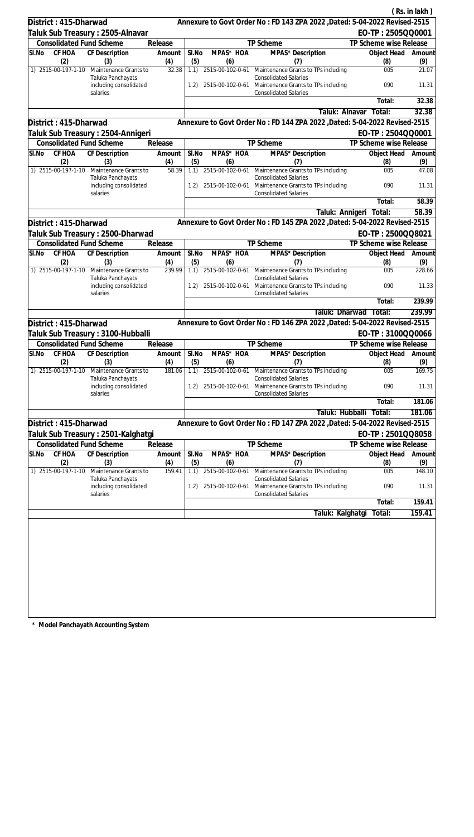|                                    |                                                         |                 |              |                  |                                                                                                                           |                           | (Rs. in lakh) |
|------------------------------------|---------------------------------------------------------|-----------------|--------------|------------------|---------------------------------------------------------------------------------------------------------------------------|---------------------------|---------------|
| District: 415-Dharwad              |                                                         |                 |              |                  | Annexure to Govt Order No: FD 143 ZPA 2022 , Dated: 5-04-2022 Revised-2515                                                |                           |               |
|                                    | Taluk Sub Treasury : 2505-Alnavar                       |                 |              |                  |                                                                                                                           | EO-TP: 2505QQ0001         |               |
| <b>Consolidated Fund Scheme</b>    |                                                         | Release         |              |                  | TP Scheme                                                                                                                 | TP Scheme wise Release    |               |
| CF HOA<br>SI.No<br>(2)             | CF Description<br>(3)                                   | Amount<br>(4)   | SI.No<br>(5) | MPAS* HOA<br>(6) | MPAS* Description<br>(7)                                                                                                  | Object Head<br>(8)        | Amount<br>(9) |
| 1) 2515-00-197-1-10                | Maintenance Grants to                                   | 32.38           | 1.1)         |                  | 2515-00-102-0-61 Maintenance Grants to TPs including                                                                      | 005                       | 21.07         |
|                                    | Taluka Panchayats<br>including consolidated<br>salaries |                 |              |                  | <b>Consolidated Salaries</b><br>1.2) 2515-00-102-0-61 Maintenance Grants to TPs including<br><b>Consolidated Salaries</b> | 090                       | 11.31         |
|                                    |                                                         |                 |              |                  |                                                                                                                           | Total:                    | 32.38         |
|                                    |                                                         |                 |              |                  | Taluk: Alnavar                                                                                                            | Total:                    | 32.38         |
| District: 415-Dharwad              |                                                         |                 |              |                  | Annexure to Govt Order No: FD 144 ZPA 2022 , Dated: 5-04-2022 Revised-2515                                                |                           |               |
|                                    | Taluk Sub Treasury : 2504-Annigeri                      |                 |              |                  |                                                                                                                           | EO-TP: 2504QQ0001         |               |
| <b>Consolidated Fund Scheme</b>    |                                                         | Release         |              |                  | TP Scheme                                                                                                                 | TP Scheme wise Release    |               |
| CF HOA<br>SI.No<br>(2)             | CF Description<br>(3)                                   | Amount<br>(4)   | SI.No<br>(5) | MPAS* HOA<br>(6) | MPAS <sup>*</sup> Description<br>(7)                                                                                      | Object Head<br>(8)        | Amount<br>(9) |
| 1) 2515-00-197-1-10                | Maintenance Grants to                                   | 58.39           | 1.1)         |                  | 2515-00-102-0-61 Maintenance Grants to TPs including                                                                      | 005                       | 47.08         |
|                                    | Taluka Panchayats<br>including consolidated<br>salaries |                 | 1.2)         |                  | <b>Consolidated Salaries</b><br>2515-00-102-0-61 Maintenance Grants to TPs including<br><b>Consolidated Salaries</b>      | 090                       | 11.31         |
|                                    |                                                         |                 |              |                  |                                                                                                                           | Total:                    | 58.39         |
|                                    |                                                         |                 |              |                  | Taluk: Annigeri                                                                                                           | Total:                    | 58.39         |
| District: 415-Dharwad              |                                                         |                 |              |                  | Annexure to Govt Order No: FD 145 ZPA 2022 , Dated: 5-04-2022 Revised-2515                                                |                           |               |
|                                    | Taluk Sub Treasury : 2500-Dharwad                       |                 |              |                  |                                                                                                                           | EO-TP: 2500QQ8021         |               |
| Consolidated Fund Scheme           |                                                         | Release         |              |                  | TP Scheme                                                                                                                 | TP Scheme wise Release    |               |
| CF HOA<br>SI.No<br>(2)             | <b>CF</b> Description<br>(3)                            | Amount<br>(4)   | SI.No<br>(5) | MPAS* HOA<br>(6) | MPAS* Description<br>(7)                                                                                                  | Object Head<br>(8)        | Amount<br>(9) |
| 1) 2515-00-197-1-10                | Maintenance Grants to                                   | 239.99          |              |                  | 1.1) 2515-00-102-0-61 Maintenance Grants to TPs including                                                                 | 005                       | 228.66        |
|                                    | Taluka Panchayats<br>including consolidated<br>salaries |                 | 1.2)         | 2515-00-102-0-61 | <b>Consolidated Salaries</b><br>Maintenance Grants to TPs including<br><b>Consolidated Salaries</b>                       | 090                       | 11.33         |
|                                    |                                                         |                 |              |                  |                                                                                                                           | Total:                    | 239.99        |
|                                    |                                                         |                 |              |                  | Taluk: Dharwad                                                                                                            | Total:                    | 239.99        |
| District: 415-Dharwad              |                                                         |                 |              |                  | Annexure to Govt Order No: FD 146 ZPA 2022 , Dated: 5-04-2022 Revised-2515                                                |                           |               |
|                                    | Taluk Sub Treasury : 3100-Hubballi                      |                 |              |                  |                                                                                                                           | EO-TP: 3100QQ0066         |               |
| <b>Consolidated Fund Scheme</b>    |                                                         | Release         |              |                  | <b>TP Scheme</b>                                                                                                          | TP Scheme wise Release    |               |
| SI.No CF HOA CF Description<br>(2) | (3)                                                     | Amount  <br>(4) | SI.No<br>(5) | MPAS* HOA<br>(6) | MPAS* Description<br>(7)                                                                                                  | Object Head Amount<br>(8) | (9)           |
| 1) 2515-00-197-1-10                | Maintenance Grants to<br>Taluka Panchayats              | 181.06          | 1.1)         | 2515-00-102-0-61 | Maintenance Grants to TPs including<br><b>Consolidated Salaries</b>                                                       | 005                       | 169.75        |
|                                    | including consolidated<br>salaries                      |                 | 1.2)         |                  | 2515-00-102-0-61 Maintenance Grants to TPs including<br><b>Consolidated Salaries</b>                                      | 090                       | 11.31         |
|                                    |                                                         |                 |              |                  |                                                                                                                           | Total:                    | 181.06        |
|                                    |                                                         |                 |              |                  | Taluk: Hubballi                                                                                                           | Total:                    | 181.06        |
| District: 415-Dharwad              |                                                         |                 |              |                  | Annexure to Govt Order No: FD 147 ZPA 2022 , Dated: 5-04-2022 Revised-2515                                                |                           |               |
|                                    | Taluk Sub Treasury : 2501-Kalghatgi                     |                 |              |                  |                                                                                                                           | EO-TP: 2501QQ8058         |               |
| <b>Consolidated Fund Scheme</b>    |                                                         | Release         |              |                  | TP Scheme                                                                                                                 | TP Scheme wise Release    |               |
| <b>CF HOA</b><br>SI.No<br>(2)      | <b>CF Description</b><br>(3)                            | Amount<br>(4)   | SI.No<br>(5) | MPAS* HOA<br>(6) | MPAS* Description<br>(7)                                                                                                  | Object Head<br>(8)        | Amount<br>(9) |
| 1) 2515-00-197-1-10                | Maintenance Grants to                                   | 159.41          | 1.1)         | 2515-00-102-0-61 | Maintenance Grants to TPs including<br><b>Consolidated Salaries</b>                                                       | 005                       | 148.10        |
|                                    | Taluka Panchayats<br>including consolidated<br>salaries |                 | 1.2)         | 2515-00-102-0-61 | Maintenance Grants to TPs including<br><b>Consolidated Salaries</b>                                                       | 090                       | 11.31         |
|                                    |                                                         |                 |              |                  |                                                                                                                           | Total:                    | 159.41        |
|                                    |                                                         |                 |              |                  | Taluk: Kalghatgi                                                                                                          | Total:                    | 159.41        |
|                                    |                                                         |                 |              |                  |                                                                                                                           |                           |               |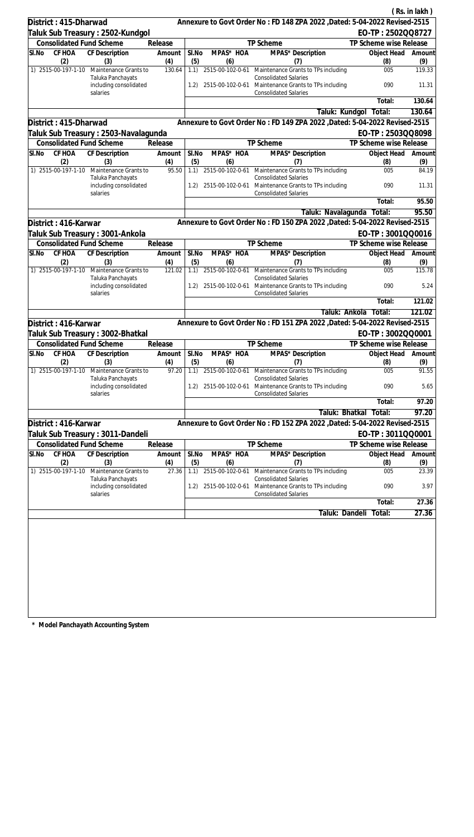|                                                                   |                       |              |                         |                                                                                                     |                           | (Rs. in lakh) |
|-------------------------------------------------------------------|-----------------------|--------------|-------------------------|-----------------------------------------------------------------------------------------------------|---------------------------|---------------|
| District: 415-Dharwad                                             |                       |              |                         | Annexure to Govt Order No: FD 148 ZPA 2022 , Dated: 5-04-2022 Revised-2515                          |                           |               |
| Taluk Sub Treasury : 2502-Kundgol                                 |                       |              |                         |                                                                                                     | EO-TP: 2502QQ8727         |               |
| <b>Consolidated Fund Scheme</b>                                   | Release               |              |                         | TP Scheme                                                                                           | TP Scheme wise Release    |               |
| CF HOA<br>SI.No<br>CF Description                                 | Amount                | SI.No        | MPAS* HOA               | MPAS* Description                                                                                   | Object Head               | Amount        |
| (2)<br>(3)<br>1) 2515-00-197-1-10<br>Maintenance Grants to        | (4)<br>130.64         | (5)<br>1.1)  | (6)                     | (7)<br>2515-00-102-0-61 Maintenance Grants to TPs including                                         | (8)<br>005                | (9)<br>119.33 |
| Taluka Panchayats<br>including consolidated                       |                       |              |                         | <b>Consolidated Salaries</b><br>1.2) 2515-00-102-0-61 Maintenance Grants to TPs including           | 090                       | 11.31         |
| salaries                                                          |                       |              |                         | <b>Consolidated Salaries</b>                                                                        | Total:                    | 130.64        |
|                                                                   |                       |              |                         | Taluk: Kundgol                                                                                      | Total:                    | 130.64        |
| District: 415-Dharwad                                             |                       |              |                         | Annexure to Govt Order No: FD 149 ZPA 2022 , Dated: 5-04-2022 Revised-2515                          |                           |               |
| Taluk Sub Treasury : 2503-Navalagunda                             |                       |              |                         |                                                                                                     | EO-TP: 2503QQ8098         |               |
| <b>Consolidated Fund Scheme</b>                                   | Release               |              |                         | TP Scheme                                                                                           | TP Scheme wise Release    |               |
| SI.No<br>CF HOA<br>CF Description<br>(2)<br>(3)                   | Amount<br>(4)         | SI.No<br>(5) | MPAS* HOA<br>(6)        | MPAS* Description<br>(7)                                                                            | Object Head<br>(8)        | Amount<br>(9) |
| 1) 2515-00-197-1-10 Maintenance Grants to                         | 95.50                 | 1.1)         | 2515-00-102-0-61        | Maintenance Grants to TPs including                                                                 | 005                       | 84.19         |
| Taluka Panchayats<br>including consolidated<br>salaries           |                       | 1.2)         | 2515-00-102-0-61        | <b>Consolidated Salaries</b><br>Maintenance Grants to TPs including<br><b>Consolidated Salaries</b> | 090                       | 11.31         |
|                                                                   |                       |              |                         |                                                                                                     | Total:                    | 95.50         |
|                                                                   |                       |              |                         | Taluk: Navalagunda                                                                                  | Total:                    | 95.50         |
| District: 416-Karwar                                              |                       |              |                         | Annexure to Govt Order No: FD 150 ZPA 2022 , Dated: 5-04-2022 Revised-2515                          |                           |               |
| Taluk Sub Treasury : 3001-Ankola                                  |                       |              |                         |                                                                                                     | EO-TP: 3001QQ0016         |               |
| <b>Consolidated Fund Scheme</b>                                   | Release               |              |                         | TP Scheme                                                                                           | TP Scheme wise Release    |               |
| CF HOA<br><b>CF</b> Description<br>SI.No                          | Amount                | SI.No        | MPAS* HOA               | MPAS* Description                                                                                   | Object Head               | Amount        |
| (2)<br>(3)<br>1) 2515-00-197-1-10<br>Maintenance Grants to        | (4)<br>121.02         | (5)<br>1.1)  | (6)                     | (7)<br>2515-00-102-0-61 Maintenance Grants to TPs including<br><b>Consolidated Salaries</b>         | (8)<br>005                | (9)<br>115.78 |
| Taluka Panchayats<br>including consolidated<br>salaries           |                       | 1.2)         |                         | 2515-00-102-0-61 Maintenance Grants to TPs including<br><b>Consolidated Salaries</b>                | 090                       | 5.24          |
|                                                                   |                       |              |                         |                                                                                                     | Total:                    | 121.02        |
|                                                                   |                       |              |                         | Taluk: Ankola                                                                                       | Total:                    | 121.02        |
| District: 416-Karwar                                              |                       |              |                         | Annexure to Govt Order No: FD 151 ZPA 2022 , Dated: 5-04-2022 Revised-2515                          |                           |               |
| Taluk Sub Treasury: 3002-Bhatkal                                  |                       |              |                         |                                                                                                     | EO-TP: 3002QQ0001         |               |
| <b>Consolidated Fund Scheme</b>                                   | Release               |              |                         | TP Scheme                                                                                           | TP Scheme wise Release    |               |
| SI.No CF HOA CF Description<br>(2)<br>(3)                         | Amount   SI.No<br>(4) | (5)          | MPAS* HOA<br>(6)        | MPAS* Description<br>(7)                                                                            | Object Head Amount<br>(8) | (9)           |
| 1) 2515-00-197-1-10<br>Maintenance Grants to<br>Taluka Panchayats | 97.20                 |              | 1.1) 2515-00-102-0-61   | Maintenance Grants to TPs including<br><b>Consolidated Salaries</b>                                 | 005                       | 91.55         |
| including consolidated<br>salaries                                |                       | 1.2)         | 2515-00-102-0-61        | Maintenance Grants to TPs including<br><b>Consolidated Salaries</b>                                 | 090                       | 5.65          |
|                                                                   |                       |              |                         |                                                                                                     | Total:                    | 97.20         |
|                                                                   |                       |              |                         | Taluk: Bhatkal                                                                                      | Total:                    | 97.20         |
| District: 416-Karwar                                              |                       |              |                         | Annexure to Govt Order No: FD 152 ZPA 2022, Dated: 5-04-2022 Revised-2515                           |                           |               |
| Taluk Sub Treasury : 3011-Dandeli                                 |                       |              |                         |                                                                                                     | EO-TP: 3011QQ0001         |               |
| <b>Consolidated Fund Scheme</b>                                   | Release               |              |                         | TP Scheme                                                                                           | TP Scheme wise Release    |               |
| CF HOA<br><b>CF Description</b><br>SI.No                          | Amount                | SI.No        | MPAS* HOA               | MPAS* Description                                                                                   | Object Head               | Amount        |
| (2)<br>(3)<br>1) 2515-00-197-1-10<br>Maintenance Grants to        | (4)<br>27.36          | (5)<br>1.1)  | (6)<br>2515-00-102-0-61 | (7)<br>Maintenance Grants to TPs including                                                          | (8)<br>005                | (9)<br>23.39  |
| Taluka Panchayats                                                 |                       |              |                         | <b>Consolidated Salaries</b>                                                                        |                           |               |
| including consolidated<br>salaries                                |                       | 1.2)         | 2515-00-102-0-61        | Maintenance Grants to TPs including<br><b>Consolidated Salaries</b>                                 | 090                       | 3.97          |
|                                                                   |                       |              |                         |                                                                                                     | Total:                    | 27.36         |
|                                                                   |                       |              |                         |                                                                                                     | Taluk: Dandeli Total:     | 27.36         |
|                                                                   |                       |              |                         |                                                                                                     |                           |               |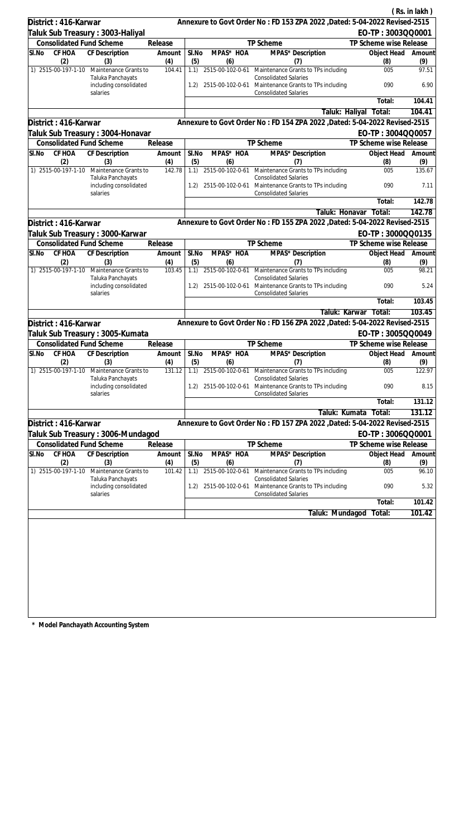|       |                            |                                                         |               |              |                  |                                                                                                                      |                           | (Rs. in lakh)       |
|-------|----------------------------|---------------------------------------------------------|---------------|--------------|------------------|----------------------------------------------------------------------------------------------------------------------|---------------------------|---------------------|
|       | District: 416-Karwar       |                                                         |               |              |                  | Annexure to Govt Order No: FD 153 ZPA 2022 , Dated: 5-04-2022 Revised-2515                                           |                           |                     |
|       |                            | Taluk Sub Treasury : 3003-Haliyal                       |               |              |                  |                                                                                                                      | EO-TP: 3003QQ0001         |                     |
|       |                            | <b>Consolidated Fund Scheme</b>                         | Release       |              |                  | TP Scheme                                                                                                            | TP Scheme wise Release    |                     |
| SI.No | CF HOA                     | CF Description                                          | Amount        | SI.No        | MPAS* HOA        | MPAS* Description                                                                                                    | Object Head               | Amount              |
|       | (2)<br>1) 2515-00-197-1-10 | (3)<br>Maintenance Grants to                            | (4)<br>104.41 | (5)<br>1.1)  | (6)              | (7)<br>2515-00-102-0-61 Maintenance Grants to TPs including                                                          | (8)<br>005                | (9)<br>97.51        |
|       |                            | Taluka Panchayats<br>including consolidated             |               | 1.2)         |                  | <b>Consolidated Salaries</b><br>2515-00-102-0-61 Maintenance Grants to TPs including                                 | 090                       | 6.90                |
|       |                            | salaries                                                |               |              |                  | <b>Consolidated Salaries</b>                                                                                         | Total:                    | 104.41              |
|       |                            |                                                         |               |              |                  |                                                                                                                      | Taluk: Haliyal<br>Total:  | 104.41              |
|       | District: 416-Karwar       |                                                         |               |              |                  | Annexure to Govt Order No: FD 154 ZPA 2022 , Dated: 5-04-2022 Revised-2515                                           |                           |                     |
|       |                            | Taluk Sub Treasury: 3004-Honavar                        |               |              |                  |                                                                                                                      | EO-TP: 3004QQ0057         |                     |
|       |                            | <b>Consolidated Fund Scheme</b>                         | Release       |              |                  | TP Scheme                                                                                                            | TP Scheme wise Release    |                     |
| SI.No | CF HOA                     | CF Description                                          | Amount        | SI.No        | MPAS* HOA        | MPAS* Description                                                                                                    | Object Head               | Amount              |
|       | (2)                        | (3)                                                     | (4)           | (5)          | (6)              | (7)                                                                                                                  | (8)                       | (9)                 |
|       | 1) 2515-00-197-1-10        | Maintenance Grants to<br>Taluka Panchayats              | 142.78        |              |                  | 1.1) 2515-00-102-0-61 Maintenance Grants to TPs including<br><b>Consolidated Salaries</b>                            | 005                       | 135.67              |
|       |                            | including consolidated<br>salaries                      |               | 1.2)         |                  | 2515-00-102-0-61 Maintenance Grants to TPs including<br><b>Consolidated Salaries</b>                                 | 090                       | 7.11                |
|       |                            |                                                         |               |              |                  |                                                                                                                      | Total:                    | 142.78              |
|       |                            |                                                         |               |              |                  | Taluk: Honavar                                                                                                       | Total:                    | 142.78              |
|       | District: 416-Karwar       |                                                         |               |              |                  | Annexure to Govt Order No: FD 155 ZPA 2022 , Dated: 5-04-2022 Revised-2515                                           |                           |                     |
|       |                            | Taluk Sub Treasury : 3000-Karwar                        |               |              |                  |                                                                                                                      | EO-TP: 3000QQ0135         |                     |
|       |                            | <b>Consolidated Fund Scheme</b>                         | Release       |              |                  | TP Scheme                                                                                                            | TP Scheme wise Release    |                     |
| SI.No | CF HOA<br>(2)              | CF Description<br>(3)                                   | Amount<br>(4) | SI.No<br>(5) | MPAS* HOA<br>(6) | MPAS* Description<br>(7)                                                                                             | Object Head<br>(8)        | Amount<br>(9)       |
|       | 1) 2515-00-197-1-10        | Maintenance Grants to                                   | 103.45        | 1.1)         |                  | 2515-00-102-0-61 Maintenance Grants to TPs including                                                                 | 005                       | 98.21               |
|       |                            | Taluka Panchayats<br>including consolidated<br>salaries |               | 1.2)         |                  | <b>Consolidated Salaries</b><br>2515-00-102-0-61 Maintenance Grants to TPs including<br><b>Consolidated Salaries</b> | 090                       | 5.24                |
|       |                            |                                                         |               |              |                  |                                                                                                                      | Total:                    | 103.45              |
|       |                            |                                                         |               |              |                  | Taluk: Karwar                                                                                                        | Total:                    | 103.45              |
|       | District: 416-Karwar       |                                                         |               |              |                  | Annexure to Govt Order No: FD 156 ZPA 2022 , Dated: 5-04-2022 Revised-2515                                           |                           |                     |
|       |                            | Taluk Sub Treasury: 3005-Kumata                         |               |              |                  |                                                                                                                      | EO-TP: 3005QQ0049         |                     |
|       |                            | <b>Consolidated Fund Scheme</b>                         | Release       |              |                  | <b>TP Scheme</b>                                                                                                     | TP Scheme wise Release    |                     |
| SI.No | (2)                        | CF HOA CF Description<br>(3)                            | Amount<br>(4) | SI.No<br>(5) | MPAS* HOA<br>(6) | MPAS* Description<br>(7)                                                                                             | Object Head Amount<br>(8) | (9)                 |
|       | 1) 2515-00-197-1-10        | Maintenance Grants to<br>Taluka Panchayats              | 131.12        | 1.1)         | 2515-00-102-0-61 | Maintenance Grants to TPs including<br><b>Consolidated Salaries</b>                                                  | 005                       | 122.97              |
|       |                            | including consolidated<br>salaries                      |               | 1.2)         |                  | 2515-00-102-0-61 Maintenance Grants to TPs including<br><b>Consolidated Salaries</b>                                 | 090                       | 8.15                |
|       |                            |                                                         |               |              |                  |                                                                                                                      | Total:                    | 131.12              |
|       |                            |                                                         |               |              |                  | Taluk: Kumata                                                                                                        | Total:                    | 131.12              |
|       | District: 416-Karwar       |                                                         |               |              |                  | Annexure to Govt Order No: FD 157 ZPA 2022 , Dated: 5-04-2022 Revised-2515                                           |                           |                     |
|       |                            | Taluk Sub Treasury : 3006-Mundagod                      |               |              |                  |                                                                                                                      | EO-TP: 3006QQ0001         |                     |
|       |                            | <b>Consolidated Fund Scheme</b>                         | Release       |              |                  | TP Scheme                                                                                                            | TP Scheme wise Release    |                     |
| SI.No | <b>CF HOA</b>              | <b>CF Description</b>                                   | Amount        | SI.No        | MPAS* HOA        | MPAS* Description                                                                                                    | Object Head               | Amount              |
|       | (2)                        | (3)                                                     | (4)           | (5)          | (6)              | (7)                                                                                                                  | (8)                       | (9)                 |
|       | 1) 2515-00-197-1-10        | Maintenance Grants to<br>Taluka Panchayats              | 101.42        | 1.1)         | 2515-00-102-0-61 | Maintenance Grants to TPs including<br><b>Consolidated Salaries</b>                                                  | 005                       | 96.10               |
|       |                            | including consolidated<br>salaries                      |               | 1.2)         | 2515-00-102-0-61 | Maintenance Grants to TPs including<br><b>Consolidated Salaries</b>                                                  | 090                       | 5.32                |
|       |                            |                                                         |               |              |                  |                                                                                                                      | Total:                    | $\overline{101.42}$ |
|       |                            |                                                         |               |              |                  | Taluk: Mundagod                                                                                                      | Total:                    | 101.42              |
|       |                            |                                                         |               |              |                  |                                                                                                                      |                           |                     |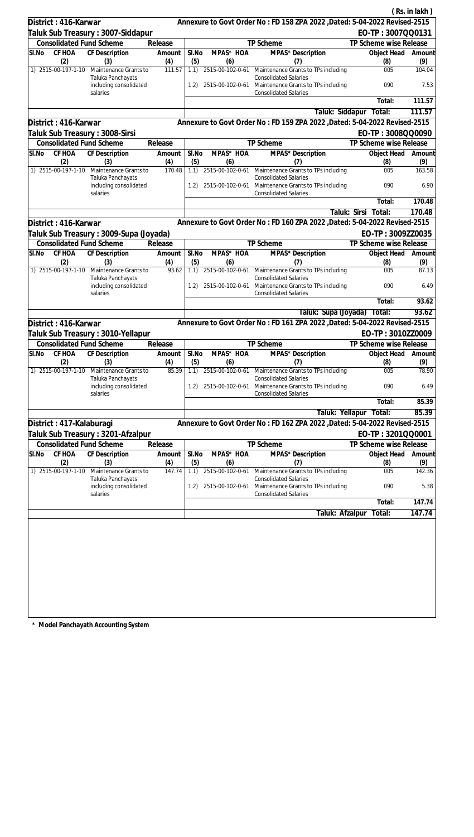|                                            |                                                         |                   |       |                  |                                                                                                                           |                        | (Rs. in lakh) |
|--------------------------------------------|---------------------------------------------------------|-------------------|-------|------------------|---------------------------------------------------------------------------------------------------------------------------|------------------------|---------------|
| District: 416-Karwar                       |                                                         |                   |       |                  | Annexure to Govt Order No: FD 158 ZPA 2022 , Dated: 5-04-2022 Revised-2515                                                |                        |               |
|                                            | Taluk Sub Treasury: 3007-Siddapur                       |                   |       |                  |                                                                                                                           | EO-TP: 3007QQ0131      |               |
| <b>Consolidated Fund Scheme</b>            |                                                         | Release           |       |                  | TP Scheme                                                                                                                 | TP Scheme wise Release |               |
| SI.No<br>CF HOA                            | CF Description                                          | Amount            | SI.No | MPAS* HOA        | MPAS* Description                                                                                                         | Object Head            | Amount        |
| (2)                                        | (3)                                                     | (4)               | (5)   | (6)              | (7)                                                                                                                       | (8)                    | (9)           |
| 1) 2515-00-197-1-10                        | Maintenance Grants to<br>Taluka Panchayats              | 111.57            | 1.1)  |                  | 2515-00-102-0-61 Maintenance Grants to TPs including<br><b>Consolidated Salaries</b>                                      | 005                    | 104.04        |
|                                            | including consolidated<br>salaries                      |                   | 1.2)  |                  | 2515-00-102-0-61 Maintenance Grants to TPs including<br><b>Consolidated Salaries</b>                                      | 090                    | 7.53          |
|                                            |                                                         |                   |       |                  |                                                                                                                           | Total:                 | 111.57        |
|                                            |                                                         |                   |       |                  | Taluk: Siddapur                                                                                                           | Total:                 | 111.57        |
| District: 416-Karwar                       |                                                         |                   |       |                  | Annexure to Govt Order No: FD 159 ZPA 2022 , Dated: 5-04-2022 Revised-2515                                                |                        |               |
| Taluk Sub Treasury: 3008-Sirsi             |                                                         |                   |       |                  |                                                                                                                           | EO-TP: 3008QQ0090      |               |
| <b>Consolidated Fund Scheme</b>            |                                                         | Release           |       |                  | TP Scheme                                                                                                                 | TP Scheme wise Release |               |
| CF HOA<br>SI.No                            | CF Description                                          | Amount            | SI.No | MPAS* HOA        | MPAS* Description                                                                                                         | Object Head            | Amount        |
| (2)                                        | (3)                                                     | (4)               | (5)   | (6)              | (7)                                                                                                                       | (8)                    | (9)           |
| 1) 2515-00-197-1-10                        | Maintenance Grants to                                   | 170.48            | 1.1)  | 2515-00-102-0-61 | Maintenance Grants to TPs including                                                                                       | 005                    | 163.58        |
|                                            | Taluka Panchayats<br>including consolidated<br>salaries |                   |       |                  | <b>Consolidated Salaries</b><br>1.2) 2515-00-102-0-61 Maintenance Grants to TPs including<br><b>Consolidated Salaries</b> | 090                    | 6.90          |
|                                            |                                                         |                   |       |                  |                                                                                                                           | Total:                 | 170.48        |
|                                            |                                                         |                   |       |                  |                                                                                                                           | Taluk: Sirsi<br>Total: | 170.48        |
| District: 416-Karwar                       |                                                         |                   |       |                  | Annexure to Govt Order No: FD 160 ZPA 2022 , Dated: 5-04-2022 Revised-2515                                                |                        |               |
|                                            |                                                         |                   |       |                  |                                                                                                                           | EO-TP: 3009ZZ0035      |               |
| <b>Consolidated Fund Scheme</b>            | Taluk Sub Treasury : 3009-Supa (Joyada)                 |                   |       |                  | TP Scheme                                                                                                                 | TP Scheme wise Release |               |
| SI.No<br>CF HOA                            | CF Description                                          | Release<br>Amount | SI.No | MPAS* HOA        | MPAS* Description                                                                                                         | Object Head            | Amount        |
| (2)                                        | (3)                                                     | (4)               | (5)   | (6)              | (7)                                                                                                                       | (8)                    | (9)           |
| 1) 2515-00-197-1-10                        | Maintenance Grants to                                   | 93.62             | 1.1)  | 2515-00-102-0-61 | Maintenance Grants to TPs including                                                                                       | 005                    | 87.13         |
|                                            | Taluka Panchayats<br>including consolidated             |                   | 1.2)  | 2515-00-102-0-61 | <b>Consolidated Salaries</b><br>Maintenance Grants to TPs including                                                       | 090                    | 6.49          |
|                                            | salaries                                                |                   |       |                  | <b>Consolidated Salaries</b>                                                                                              |                        |               |
|                                            |                                                         |                   |       |                  |                                                                                                                           | Total:                 | 93.62         |
|                                            |                                                         |                   |       |                  | Taluk: Supa (Joyada)                                                                                                      | Total:                 | 93.62         |
| District: 416-Karwar                       |                                                         |                   |       |                  | Annexure to Govt Order No: FD 161 ZPA 2022 , Dated: 5-04-2022 Revised-2515                                                |                        |               |
|                                            | Taluk Sub Treasury: 3010-Yellapur                       |                   |       |                  |                                                                                                                           | EO-TP: 3010ZZ0009      |               |
| <b>Consolidated Fund Scheme</b><br>Release |                                                         |                   |       |                  | TP Scheme                                                                                                                 | TP Scheme wise Release |               |
| SI.No                                      | CF HOA CF Description                                   | Amount            | SI.No | MPAS* HOA        | <b>MPAS*</b> Description                                                                                                  | Object Head Amount     |               |
| (2)                                        | (3)                                                     | (4)               | (5)   | (6)              | (7)                                                                                                                       | (8)                    | (9)           |
| 1) 2515-00-197-1-10                        | Maintenance Grants to<br>Taluka Panchayats              | 85.39             | 1.1)  | 2515-00-102-0-61 | Maintenance Grants to TPs including<br><b>Consolidated Salaries</b>                                                       | 005                    | 78.90         |
|                                            | including consolidated<br>salaries                      |                   | 1.2)  |                  | 2515-00-102-0-61 Maintenance Grants to TPs including<br><b>Consolidated Salaries</b>                                      | 090                    | 6.49          |
|                                            |                                                         |                   |       |                  |                                                                                                                           | Total:                 | 85.39         |
|                                            |                                                         |                   |       |                  | Taluk: Yellapur                                                                                                           | Total:                 | 85.39         |
| District : 417-Kalaburagi                  |                                                         |                   |       |                  | Annexure to Govt Order No: FD 162 ZPA 2022, Dated: 5-04-2022 Revised-2515                                                 |                        |               |
|                                            | Taluk Sub Treasury : 3201-Afzalpur                      |                   |       |                  |                                                                                                                           | EO-TP: 3201QQ0001      |               |
| <b>Consolidated Fund Scheme</b>            |                                                         | Release           |       |                  | TP Scheme                                                                                                                 | TP Scheme wise Release |               |
| SI.No<br>CF HOA                            | CF Description                                          | Amount            | SI.No | MPAS* HOA        | MPAS* Description                                                                                                         | Object Head            | Amount        |
| (2)                                        | (3)                                                     | (4)               | (5)   | (6)              | (7)                                                                                                                       | (8)                    | (9)           |
| 1) 2515-00-197-1-10                        | Maintenance Grants to                                   | 147.74            | 1.1)  | 2515-00-102-0-61 | Maintenance Grants to TPs including                                                                                       | 005                    | 142.36        |
|                                            | Taluka Panchayats<br>including consolidated<br>salaries |                   | 1.2)  |                  | <b>Consolidated Salaries</b><br>2515-00-102-0-61 Maintenance Grants to TPs including<br><b>Consolidated Salaries</b>      | 090                    | 5.38          |
|                                            |                                                         |                   |       |                  |                                                                                                                           | Total:                 | 147.74        |
|                                            |                                                         |                   |       |                  | Taluk: Afzalpur                                                                                                           | Total:                 | 147.74        |
|                                            |                                                         |                   |       |                  |                                                                                                                           |                        |               |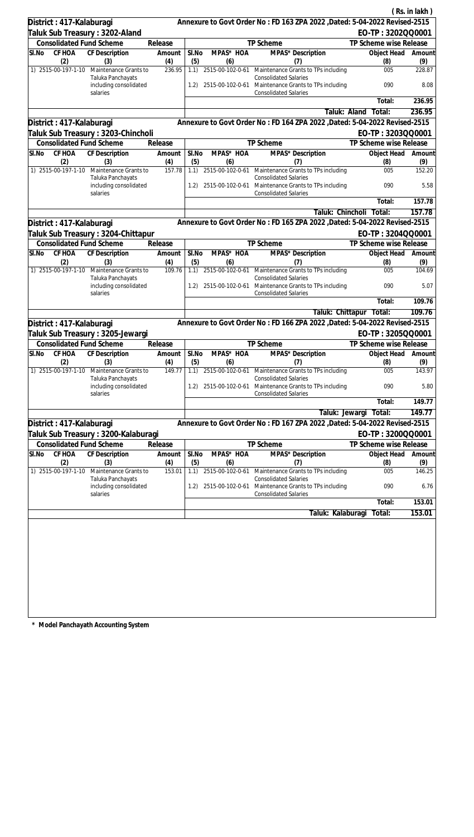|                                                                 |        |                                                         |                 |              |                         |                                                                                                     |                         |                           | (Rs. in lakh) |
|-----------------------------------------------------------------|--------|---------------------------------------------------------|-----------------|--------------|-------------------------|-----------------------------------------------------------------------------------------------------|-------------------------|---------------------------|---------------|
| District: 417-Kalaburagi                                        |        |                                                         |                 |              |                         | Annexure to Govt Order No: FD 163 ZPA 2022 , Dated: 5-04-2022 Revised-2515                          |                         |                           |               |
|                                                                 |        | Taluk Sub Treasury: 3202-Aland                          |                 |              |                         |                                                                                                     |                         | EO-TP: 3202QQ0001         |               |
|                                                                 |        | <b>Consolidated Fund Scheme</b>                         | Release         |              |                         | TP Scheme                                                                                           | TP Scheme wise Release  |                           |               |
| SI.No                                                           | CF HOA | CF Description                                          | Amount          | SI.No        | MPAS* HOA               | MPAS* Description                                                                                   |                         | Object Head               | Amount        |
| 1) 2515-00-197-1-10                                             | (2)    | (3)<br>Maintenance Grants to                            | (4)<br>236.95   | (5)<br>1.1)  | (6)                     | (7)<br>2515-00-102-0-61 Maintenance Grants to TPs including                                         |                         | (8)<br>005                | (9)<br>228.87 |
|                                                                 |        | Taluka Panchayats<br>including consolidated             |                 |              | 1.2) 2515-00-102-0-61   | <b>Consolidated Salaries</b><br>Maintenance Grants to TPs including                                 |                         | 090                       | 8.08          |
|                                                                 |        | salaries                                                |                 |              |                         | <b>Consolidated Salaries</b>                                                                        |                         | Total:                    | 236.95        |
|                                                                 |        |                                                         |                 |              |                         |                                                                                                     | Taluk: Aland            | Total:                    | 236.95        |
|                                                                 |        |                                                         |                 |              |                         | Annexure to Govt Order No: FD 164 ZPA 2022 , Dated: 5-04-2022 Revised-2515                          |                         |                           |               |
| District: 417-Kalaburagi<br>Taluk Sub Treasury : 3203-Chincholi |        |                                                         |                 |              |                         |                                                                                                     |                         |                           |               |
| <b>Consolidated Fund Scheme</b><br>Release                      |        |                                                         | TP Scheme       |              |                         | EO-TP: 3203QQ0001<br>TP Scheme wise Release                                                         |                         |                           |               |
| SI.No                                                           | CF HOA | CF Description                                          | Amount          | SI.No        | MPAS* HOA               | MPAS* Description                                                                                   |                         | Object Head               | Amount        |
|                                                                 | (2)    | (3)                                                     | (4)             | (5)          | (6)                     | (7)                                                                                                 |                         | (8)                       | (9)           |
| 1) 2515-00-197-1-10                                             |        | Maintenance Grants to                                   | 157.78          | 1.1)         | 2515-00-102-0-61        | Maintenance Grants to TPs including                                                                 |                         | 005                       | 152.20        |
|                                                                 |        | Taluka Panchayats<br>including consolidated<br>salaries |                 | 1.2)         | 2515-00-102-0-61        | <b>Consolidated Salaries</b><br>Maintenance Grants to TPs including<br><b>Consolidated Salaries</b> |                         | 090                       | 5.58          |
|                                                                 |        |                                                         |                 |              |                         |                                                                                                     |                         | Total:                    | 157.78        |
|                                                                 |        |                                                         |                 |              |                         | Taluk: Chincholi                                                                                    |                         | Total:                    | 157.78        |
| District: 417-Kalaburagi                                        |        |                                                         |                 |              |                         | Annexure to Govt Order No: FD 165 ZPA 2022 , Dated: 5-04-2022 Revised-2515                          |                         |                           |               |
|                                                                 |        | Taluk Sub Treasury : 3204-Chittapur                     |                 |              |                         |                                                                                                     |                         | EO-TP: 3204QQ0001         |               |
|                                                                 |        | <b>Consolidated Fund Scheme</b>                         | Release         |              |                         | TP Scheme                                                                                           | TP Scheme wise Release  |                           |               |
| SI.No                                                           | CF HOA | CF Description                                          | Amount          | SI.No        | MPAS* HOA               | MPAS* Description                                                                                   |                         | Object Head               | Amount        |
|                                                                 | (2)    | (3)                                                     | (4)             | (5)          | (6)                     | (7)                                                                                                 |                         | (8)                       | (9)           |
| 1) 2515-00-197-1-10                                             |        | Maintenance Grants to<br>Taluka Panchayats              | 109.76          | 1.1)         | 2515-00-102-0-61        | Maintenance Grants to TPs including<br><b>Consolidated Salaries</b>                                 |                         | 005                       | 104.69        |
|                                                                 |        | including consolidated<br>salaries                      |                 | 1.2)         | 2515-00-102-0-61        | Maintenance Grants to TPs including<br><b>Consolidated Salaries</b>                                 |                         | 090                       | 5.07          |
|                                                                 |        |                                                         |                 |              |                         |                                                                                                     |                         | Total:                    | 109.76        |
|                                                                 |        |                                                         |                 |              |                         |                                                                                                     | Taluk: Chittapur Total: |                           | 109.76        |
| District: 417-Kalaburagi                                        |        |                                                         |                 |              |                         | Annexure to Govt Order No: FD 166 ZPA 2022 , Dated: 5-04-2022 Revised-2515                          |                         |                           |               |
|                                                                 |        | Taluk Sub Treasury : 3205-Jewargi                       |                 |              |                         |                                                                                                     | EO-TP: 3205QQ0001       |                           |               |
|                                                                 |        | <b>Consolidated Fund Scheme</b>                         | Release         |              |                         | <b>TP Scheme</b>                                                                                    | TP Scheme wise Release  |                           |               |
| SI.No                                                           | (2)    | CF HOA CF Description<br>(3)                            | Amount  <br>(4) | SI.No<br>(5) | MPAS* HOA<br>(6)        | MPAS* Description<br>(7)                                                                            |                         | Object Head Amount<br>(8) | (9)           |
| 1) 2515-00-197-1-10                                             |        | Maintenance Grants to<br>Taluka Panchayats              | 149.77          | 1.1)         | 2515-00-102-0-61        | Maintenance Grants to TPs including<br><b>Consolidated Salaries</b>                                 |                         | 005                       | 143.97        |
|                                                                 |        | including consolidated<br>salaries                      |                 | (1.2)        | 2515-00-102-0-61        | Maintenance Grants to TPs including<br><b>Consolidated Salaries</b>                                 |                         | 090                       | 5.80          |
|                                                                 |        |                                                         |                 |              |                         |                                                                                                     |                         | Total:                    | 149.77        |
|                                                                 |        |                                                         |                 |              |                         |                                                                                                     | Taluk: Jewargi          | Total:                    | 149.77        |
| District: 417-Kalaburagi                                        |        |                                                         |                 |              |                         | Annexure to Govt Order No: FD 167 ZPA 2022 , Dated: 5-04-2022 Revised-2515                          |                         |                           |               |
| Taluk Sub Treasury : 3200-Kalaburagi                            |        |                                                         |                 |              |                         |                                                                                                     |                         | EO-TP: 3200QQ0001         |               |
|                                                                 |        | <b>Consolidated Fund Scheme</b>                         | Release         |              |                         | TP Scheme                                                                                           | TP Scheme wise Release  |                           |               |
| SI.No                                                           | CF HOA | <b>CF Description</b>                                   | Amount          | SI.No        | MPAS* HOA               | MPAS* Description                                                                                   |                         | Object Head               | Amount        |
| 1) 2515-00-197-1-10                                             | (2)    | (3)<br>Maintenance Grants to                            | (4)<br>153.01   | (5)<br>1.1)  | (6)<br>2515-00-102-0-61 | (7)<br>Maintenance Grants to TPs including                                                          |                         | (8)<br>005                | (9)<br>146.25 |
|                                                                 |        | Taluka Panchayats<br>including consolidated             |                 | (1.2)        | 2515-00-102-0-61        | <b>Consolidated Salaries</b><br>Maintenance Grants to TPs including                                 |                         | 090                       | 6.76          |
|                                                                 |        | salaries                                                |                 |              |                         | <b>Consolidated Salaries</b>                                                                        |                         |                           |               |
|                                                                 |        |                                                         |                 |              |                         |                                                                                                     |                         | Total:                    | 153.01        |
|                                                                 |        |                                                         |                 |              |                         | Taluk: Kalaburagi                                                                                   |                         | Total:                    | 153.01        |
|                                                                 |        |                                                         |                 |              |                         |                                                                                                     |                         |                           |               |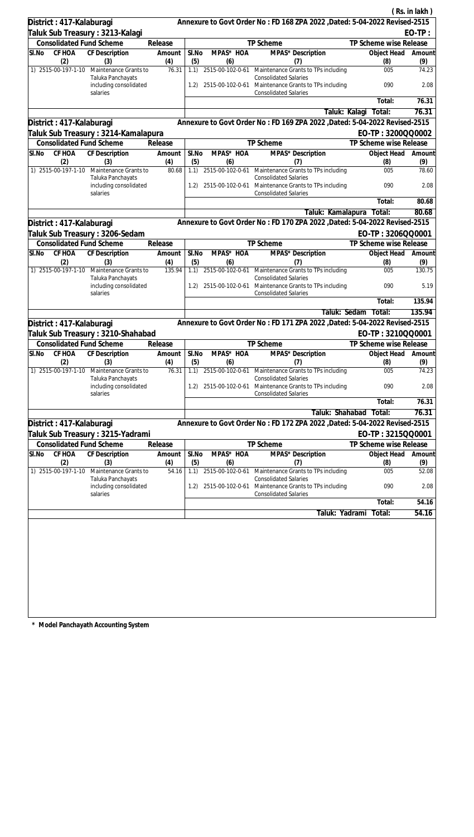|       |                          |                                                         |               |              |                                       |                                                                                                                      |                           | (Rs. in lakh) |
|-------|--------------------------|---------------------------------------------------------|---------------|--------------|---------------------------------------|----------------------------------------------------------------------------------------------------------------------|---------------------------|---------------|
|       | District: 417-Kalaburagi |                                                         |               |              |                                       | Annexure to Govt Order No: FD 168 ZPA 2022 , Dated: 5-04-2022 Revised-2515                                           |                           |               |
|       |                          | Taluk Sub Treasury : 3213-Kalagi                        |               |              |                                       |                                                                                                                      |                           | $EO-TP:$      |
|       |                          | <b>Consolidated Fund Scheme</b>                         | Release       |              |                                       | TP Scheme                                                                                                            | TP Scheme wise Release    |               |
| SI.No | CF HOA                   | CF Description                                          | Amount        | SI.No        | MPAS* HOA                             | MPAS* Description                                                                                                    | Object Head               | Amount        |
|       | (2)                      | (3)                                                     | (4)           | (5)          | (6)                                   | (7)                                                                                                                  | (8)                       | (9)           |
|       | 1) 2515-00-197-1-10      | Maintenance Grants to<br>Taluka Panchayats              | 76.31         | 1.1)         | 2515-00-102-0-61                      | Maintenance Grants to TPs including<br><b>Consolidated Salaries</b>                                                  | 005                       | 74.23         |
|       |                          | including consolidated<br>salaries                      |               | 1.2)         |                                       | 2515-00-102-0-61 Maintenance Grants to TPs including<br><b>Consolidated Salaries</b>                                 | 090                       | 2.08          |
|       |                          |                                                         |               |              |                                       |                                                                                                                      | Total:                    | 76.31         |
|       |                          |                                                         |               |              |                                       | Taluk: Kalagi                                                                                                        | Total:                    | 76.31         |
|       | District: 417-Kalaburagi |                                                         |               |              |                                       | Annexure to Govt Order No: FD 169 ZPA 2022 , Dated: 5-04-2022 Revised-2515                                           |                           |               |
|       |                          | Taluk Sub Treasury : 3214-Kamalapura                    |               |              |                                       |                                                                                                                      | EO-TP: 3200QQ0002         |               |
|       |                          | <b>Consolidated Fund Scheme</b>                         | Release       |              |                                       | TP Scheme                                                                                                            | TP Scheme wise Release    |               |
| SI.No | CF HOA<br>(2)            | CF Description<br>(3)                                   | Amount<br>(4) | SI.No<br>(5) | MPAS* HOA<br>(6)                      | MPAS* Description<br>(7)                                                                                             | Object Head<br>(8)        | Amount<br>(9) |
|       | 1) 2515-00-197-1-10      | Maintenance Grants to                                   | 80.68         | 1.1)         | 2515-00-102-0-61                      | Maintenance Grants to TPs including                                                                                  | 005                       | 78.60         |
|       |                          | Taluka Panchayats<br>including consolidated<br>salaries |               | 1.2)         |                                       | <b>Consolidated Salaries</b><br>2515-00-102-0-61 Maintenance Grants to TPs including<br><b>Consolidated Salaries</b> | 090                       | 2.08          |
|       |                          |                                                         |               |              |                                       |                                                                                                                      | Total:                    | 80.68         |
|       |                          |                                                         |               |              |                                       | Taluk: Kamalapura                                                                                                    | Total:                    | 80.68         |
|       | District: 417-Kalaburagi |                                                         |               |              |                                       | Annexure to Govt Order No: FD 170 ZPA 2022 , Dated: 5-04-2022 Revised-2515                                           |                           |               |
|       |                          | Taluk Sub Treasury: 3206-Sedam                          |               |              |                                       |                                                                                                                      | EO-TP: 3206QQ0001         |               |
|       |                          | <b>Consolidated Fund Scheme</b>                         | Release       |              |                                       | TP Scheme                                                                                                            | TP Scheme wise Release    |               |
| SI.No | CF HOA                   | CF Description                                          | Amount        | SI.No        | MPAS* HOA                             | MPAS* Description                                                                                                    | Object Head               | Amount        |
|       | (2)                      | (3)                                                     | (4)           | (5)          | (6)                                   | (7)                                                                                                                  | (8)                       | (9)           |
|       | 1) 2515-00-197-1-10      | Maintenance Grants to<br>Taluka Panchayats              | 135.94        | 1.1)         | 2515-00-102-0-61                      | Maintenance Grants to TPs including<br><b>Consolidated Salaries</b>                                                  | 005                       | 130.75        |
|       |                          | including consolidated<br>salaries                      |               | 1.2)         |                                       | 2515-00-102-0-61 Maintenance Grants to TPs including<br><b>Consolidated Salaries</b>                                 | 090                       | 5.19          |
|       |                          |                                                         |               |              |                                       |                                                                                                                      | Total:                    | 135.94        |
|       |                          |                                                         |               |              |                                       | Taluk: Sedam                                                                                                         | Total:                    | 135.94        |
|       | District: 417-Kalaburagi |                                                         |               |              |                                       | Annexure to Govt Order No: FD 171 ZPA 2022 , Dated: 5-04-2022 Revised-2515                                           |                           |               |
|       |                          | Taluk Sub Treasury : 3210-Shahabad                      |               |              |                                       |                                                                                                                      | EO-TP: 3210QQ0001         |               |
|       |                          | <b>Consolidated Fund Scheme</b>                         | Release       |              |                                       | <b>TP Scheme</b>                                                                                                     | TP Scheme wise Release    |               |
| SI.No | CF HOA<br>(2)            | <b>CF Description</b><br>(3)                            | Amount<br>(4) | SI.No<br>(5) | $\overline{\text{MPAS}}^*$ HOA<br>(6) | MPAS* Description<br>(7)                                                                                             | Object Head Amount<br>(8) | (9)           |
|       | 1) 2515-00-197-1-10      | Maintenance Grants to<br>Taluka Panchayats              | 76.31         | 1.1)         | 2515-00-102-0-61                      | Maintenance Grants to TPs including<br><b>Consolidated Salaries</b>                                                  | 005                       | 74.23         |
|       |                          | including consolidated<br>salaries                      |               |              |                                       | 1.2) 2515-00-102-0-61 Maintenance Grants to TPs including<br><b>Consolidated Salaries</b>                            | 090                       | 2.08          |
|       |                          |                                                         |               |              |                                       |                                                                                                                      | Total:                    | 76.31         |
|       |                          |                                                         |               |              |                                       | Taluk: Shahabad                                                                                                      | Total:                    | 76.31         |
|       | District: 417-Kalaburagi |                                                         |               |              |                                       | Annexure to Govt Order No: FD 172 ZPA 2022, Dated: 5-04-2022 Revised-2515                                            |                           |               |
|       |                          | Taluk Sub Treasury : 3215-Yadrami                       |               |              |                                       |                                                                                                                      | EO-TP: 3215QQ0001         |               |
|       |                          | <b>Consolidated Fund Scheme</b>                         | Release       |              |                                       | TP Scheme                                                                                                            | TP Scheme wise Release    |               |
| SI.No | CF HOA<br>(2)            | CF Description<br>(3)                                   | Amount<br>(4) | SI.No<br>(5) | MPAS <sup>*</sup> HOA<br>(6)          | MPAS* Description<br>(7)                                                                                             | Object Head<br>(8)        | Amount<br>(9) |
|       | 1) 2515-00-197-1-10      | Maintenance Grants to                                   | 54.16         | 1.1)         | 2515-00-102-0-61                      | Maintenance Grants to TPs including                                                                                  | 005                       | 52.08         |
|       |                          | Taluka Panchayats<br>including consolidated<br>salaries |               | 1.2)         |                                       | <b>Consolidated Salaries</b><br>2515-00-102-0-61 Maintenance Grants to TPs including<br><b>Consolidated Salaries</b> | 090                       | 2.08          |
|       |                          |                                                         |               |              |                                       |                                                                                                                      | Total:                    | 54.16         |
|       |                          |                                                         |               |              |                                       | Taluk: Yadrami                                                                                                       | Total:                    | 54.16         |
|       |                          |                                                         |               |              |                                       |                                                                                                                      |                           |               |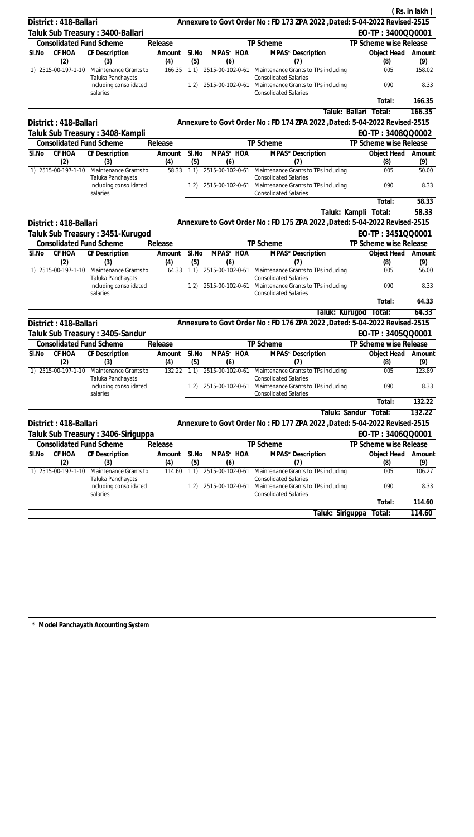| District: 418-Ballari |               |                                                                      |               |              |                  | Annexure to Govt Order No: FD 173 ZPA 2022 , Dated: 5-04-2022 Revised-2515           |                          | (Rs. in lakh) |
|-----------------------|---------------|----------------------------------------------------------------------|---------------|--------------|------------------|--------------------------------------------------------------------------------------|--------------------------|---------------|
|                       |               |                                                                      |               |              |                  |                                                                                      | EO-TP: 3400QQ0001        |               |
|                       |               | Taluk Sub Treasury : 3400-Ballari<br><b>Consolidated Fund Scheme</b> | Release       |              |                  | TP Scheme                                                                            | TP Scheme wise Release   |               |
| SI.No                 | CF HOA        | CF Description                                                       | Amount        | SI.No        | MPAS* HOA        | MPAS* Description                                                                    | Object Head              | Amount        |
|                       | (2)           | (3)                                                                  | (4)           | (5)          | (6)              | (7)                                                                                  | (8)                      | (9)           |
| 1) 2515-00-197-1-10   |               | Maintenance Grants to                                                | 166.35        | 1.1)         |                  | 2515-00-102-0-61 Maintenance Grants to TPs including                                 | 005                      | 158.02        |
|                       |               | Taluka Panchayats<br>including consolidated                          |               | 1.2)         |                  | <b>Consolidated Salaries</b><br>2515-00-102-0-61 Maintenance Grants to TPs including | 090                      | 8.33          |
|                       |               | salaries                                                             |               |              |                  | <b>Consolidated Salaries</b>                                                         | Total:                   | 166.35        |
|                       |               |                                                                      |               |              |                  |                                                                                      | Taluk: Ballari<br>Total: | 166.35        |
| District: 418-Ballari |               |                                                                      |               |              |                  | Annexure to Govt Order No: FD 174 ZPA 2022 , Dated: 5-04-2022 Revised-2515           |                          |               |
|                       |               |                                                                      |               |              |                  |                                                                                      | EO-TP: 3408QQ0002        |               |
|                       |               | Taluk Sub Treasury : 3408-Kampli<br><b>Consolidated Fund Scheme</b>  | Release       |              |                  | TP Scheme                                                                            | TP Scheme wise Release   |               |
| SI.No                 | CF HOA        | CF Description                                                       | Amount        | SI.No        | MPAS* HOA        | MPAS* Description                                                                    | Object Head              | Amount        |
| 1) 2515-00-197-1-10   | (2)           | (3)<br>Maintenance Grants to                                         | (4)<br>58.33  | (5)<br>1.1)  | (6)              | (7)<br>2515-00-102-0-61 Maintenance Grants to TPs including                          | (8)                      | (9)<br>50.00  |
|                       |               | Taluka Panchayats<br>including consolidated                          |               | 1.2)         |                  | <b>Consolidated Salaries</b><br>2515-00-102-0-61 Maintenance Grants to TPs including | 005<br>090               | 8.33          |
|                       |               | salaries                                                             |               |              |                  | <b>Consolidated Salaries</b>                                                         |                          | 58.33         |
|                       |               |                                                                      |               |              |                  |                                                                                      | Total:                   |               |
|                       |               |                                                                      |               |              |                  |                                                                                      | Taluk: Kampli Total:     | 58.33         |
| District: 418-Ballari |               |                                                                      |               |              |                  | Annexure to Govt Order No: FD 175 ZPA 2022 , Dated: 5-04-2022 Revised-2515           |                          |               |
|                       |               | Taluk Sub Treasury : 3451-Kurugod                                    |               |              |                  |                                                                                      | EO-TP: 3451QQ0001        |               |
|                       |               | <b>Consolidated Fund Scheme</b>                                      | Release       |              |                  | TP Scheme                                                                            | TP Scheme wise Release   |               |
| SI.No                 | CF HOA<br>(2) | CF Description<br>(3)                                                | Amount<br>(4) | SI.No<br>(5) | MPAS* HOA<br>(6) | MPAS* Description<br>(7)                                                             | Object Head<br>(8)       | Amount<br>(9) |
| 1) 2515-00-197-1-10   |               | Maintenance Grants to<br>Taluka Panchayats                           | 64.33         | 1.1)         | 2515-00-102-0-61 | Maintenance Grants to TPs including<br><b>Consolidated Salaries</b>                  | 005                      | 56.00         |
|                       |               | including consolidated<br>salaries                                   |               | 1.2)         | 2515-00-102-0-61 | Maintenance Grants to TPs including<br><b>Consolidated Salaries</b>                  | 090                      | 8.33          |
|                       |               |                                                                      |               |              |                  |                                                                                      | Total:                   | 64.33         |
|                       |               |                                                                      |               |              |                  |                                                                                      | Taluk: Kurugod Total:    | 64.33         |
| District: 418-Ballari |               |                                                                      |               |              |                  | Annexure to Govt Order No: FD 176 ZPA 2022 , Dated: 5-04-2022 Revised-2515           |                          |               |
|                       |               | Taluk Sub Treasury : 3405-Sandur                                     |               |              |                  |                                                                                      | EO-TP: 3405QQ0001        |               |
|                       |               | <b>Consolidated Fund Scheme</b>                                      | Release       |              |                  | TP Scheme                                                                            | TP Scheme wise Release   |               |
| SI.No                 | CF HOA<br>(2) | CF Description<br>(3)                                                | Amount<br>(4) | SI.No<br>(5) | MPAS* HOA<br>(6) | MPAS* Description<br>(7)                                                             | Object Head<br>(8)       | Amount<br>(9) |
| 1) 2515-00-197-1-10   |               | Maintenance Grants to<br>Taluka Panchayats                           | 132.22        | 1.1)         | 2515-00-102-0-61 | Maintenance Grants to TPs including<br><b>Consolidated Salaries</b>                  | 005                      | 123.89        |
|                       |               | including consolidated<br>salaries                                   |               | 1.2)         |                  | 2515-00-102-0-61 Maintenance Grants to TPs including<br><b>Consolidated Salaries</b> | 090                      | 8.33          |
|                       |               |                                                                      |               |              |                  |                                                                                      | Total:                   | 132.22        |
|                       |               |                                                                      |               |              |                  |                                                                                      | Taluk: Sandur<br>Total:  | 132.22        |
| District: 418-Ballari |               |                                                                      |               |              |                  | Annexure to Govt Order No: FD 177 ZPA 2022, Dated: 5-04-2022 Revised-2515            |                          |               |
|                       |               | Taluk Sub Treasury : 3406-Siriguppa                                  |               |              |                  |                                                                                      | EO-TP: 3406QQ0001        |               |
|                       |               | <b>Consolidated Fund Scheme</b>                                      | Release       |              |                  | TP Scheme                                                                            | TP Scheme wise Release   |               |
| SI.No                 | <b>CF HOA</b> | <b>CF Description</b>                                                | Amount        | SI.No        | MPAS* HOA        | MPAS* Description                                                                    | Object Head              | Amount        |
|                       | (2)           | (3)                                                                  | (4)           | (5)          | (6)              | (7)                                                                                  | (8)                      | (9)           |
| 1) 2515-00-197-1-10   |               | Maintenance Grants to<br>Taluka Panchayats                           | 114.60        | 1.1)         | 2515-00-102-0-61 | Maintenance Grants to TPs including<br><b>Consolidated Salaries</b>                  | 005                      | 106.27        |
|                       |               | including consolidated<br>salaries                                   |               | 1.2)         | 2515-00-102-0-61 | Maintenance Grants to TPs including<br><b>Consolidated Salaries</b>                  | 090                      | 8.33          |
|                       |               |                                                                      |               |              |                  |                                                                                      | Total:                   | 114.60        |
|                       |               |                                                                      |               |              |                  | Taluk: Siriguppa                                                                     | Total:                   | 114.60        |
|                       |               |                                                                      |               |              |                  |                                                                                      |                          |               |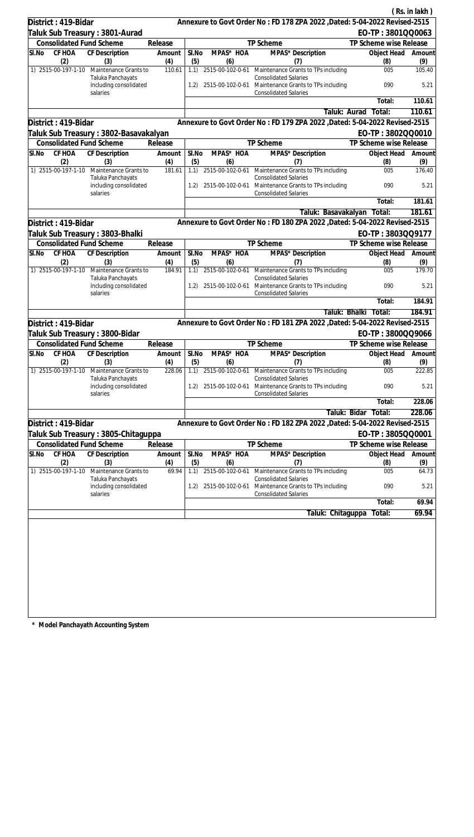|           | District: 419-Bidar             |                                                                           |               |              |                  | Annexure to Govt Order No: FD 178 ZPA 2022 , Dated: 5-04-2022 Revised-2515           |                                             | (Rs. in lakh) |
|-----------|---------------------------------|---------------------------------------------------------------------------|---------------|--------------|------------------|--------------------------------------------------------------------------------------|---------------------------------------------|---------------|
|           |                                 |                                                                           |               |              |                  |                                                                                      | EO-TP: 3801QQ0063                           |               |
|           | <b>Consolidated Fund Scheme</b> | Taluk Sub Treasury : 3801-Aurad                                           | Release       |              |                  | TP Scheme                                                                            | TP Scheme wise Release                      |               |
| SI.No     | CF HOA                          | CF Description                                                            | Amount        | SI.No        | MPAS* HOA        | MPAS* Description                                                                    | Object Head                                 | Amount        |
|           | (2)                             | (3)                                                                       | (4)           | (5)          | (6)              | (7)                                                                                  | (8)                                         | (9)           |
|           | 1) 2515-00-197-1-10             | Maintenance Grants to                                                     | 110.61        | 1.1)         |                  | 2515-00-102-0-61 Maintenance Grants to TPs including                                 | 005                                         | 105.40        |
|           |                                 | Taluka Panchayats<br>including consolidated                               |               | 1.2)         |                  | <b>Consolidated Salaries</b><br>2515-00-102-0-61 Maintenance Grants to TPs including | 090                                         | 5.21          |
|           |                                 | salaries                                                                  |               |              |                  | <b>Consolidated Salaries</b>                                                         | Total:                                      | 110.61        |
|           |                                 |                                                                           |               |              |                  | Taluk: Aurad                                                                         | Total:                                      | 110.61        |
|           | District: 419-Bidar             |                                                                           |               |              |                  | Annexure to Govt Order No: FD 179 ZPA 2022 , Dated: 5-04-2022 Revised-2515           |                                             |               |
|           |                                 |                                                                           |               |              |                  |                                                                                      | EO-TP: 3802QQ0010                           |               |
|           |                                 | Taluk Sub Treasury : 3802-Basavakalyan<br><b>Consolidated Fund Scheme</b> | Release       |              |                  | TP Scheme                                                                            | TP Scheme wise Release                      |               |
| SI.No     | CF HOA                          | CF Description                                                            | Amount        | SI.No        | MPAS* HOA        | MPAS* Description                                                                    | Object Head                                 | Amount        |
|           | (2)<br>1) 2515-00-197-1-10      | (3)<br>Maintenance Grants to                                              | (4)<br>181.61 | (5)<br>1.1)  | (6)              | (7)<br>2515-00-102-0-61 Maintenance Grants to TPs including                          | (8)<br>005                                  | (9)<br>176.40 |
|           |                                 | Taluka Panchayats<br>including consolidated                               |               | 1.2)         |                  | <b>Consolidated Salaries</b><br>2515-00-102-0-61 Maintenance Grants to TPs including | 090                                         | 5.21          |
|           |                                 | salaries                                                                  |               |              |                  | <b>Consolidated Salaries</b>                                                         | Total:                                      | 181.61        |
|           |                                 |                                                                           |               |              |                  | Taluk: Basavakalyan                                                                  | Total:                                      | 181.61        |
|           | District: 419-Bidar             |                                                                           |               |              |                  | Annexure to Govt Order No: FD 180 ZPA 2022 , Dated: 5-04-2022 Revised-2515           |                                             |               |
|           |                                 |                                                                           |               |              |                  |                                                                                      |                                             |               |
|           | <b>Consolidated Fund Scheme</b> | Taluk Sub Treasury : 3803-Bhalki                                          | Release       |              |                  | TP Scheme                                                                            | EO-TP: 3803QQ9177<br>TP Scheme wise Release |               |
| SI.No     | CF HOA                          | CF Description                                                            | Amount        | SI.No        | MPAS* HOA        | MPAS* Description                                                                    | Object Head                                 | Amount        |
|           | (2)                             | (3)                                                                       | (4)           | (5)          | (6)              | (7)                                                                                  | (8)                                         | (9)           |
|           | 1) 2515-00-197-1-10             | Maintenance Grants to<br>Taluka Panchayats                                | 184.91        | 1.1)         |                  | 2515-00-102-0-61 Maintenance Grants to TPs including<br><b>Consolidated Salaries</b> | 005                                         | 179.70        |
|           |                                 | including consolidated<br>salaries                                        |               | 1.2)         | 2515-00-102-0-61 | Maintenance Grants to TPs including<br><b>Consolidated Salaries</b>                  | 090                                         | 5.21          |
|           |                                 |                                                                           |               |              |                  |                                                                                      | Total:                                      | 184.91        |
|           |                                 |                                                                           |               |              |                  | Taluk: Bhalki                                                                        | Total:                                      | 184.91        |
|           | District: 419-Bidar             |                                                                           |               |              |                  | Annexure to Govt Order No: FD 181 ZPA 2022 , Dated: 5-04-2022 Revised-2515           |                                             |               |
|           |                                 | Taluk Sub Treasury: 3800-Bidar                                            |               |              |                  |                                                                                      | EO-TP: 3800QQ9066                           |               |
|           | <b>Consolidated Fund Scheme</b> |                                                                           | Release       |              |                  | TP Scheme                                                                            | TP Scheme wise Release                      |               |
| SI.No     | CF HOA<br>(2)                   | CF Description<br>(3)                                                     | Amount<br>(4) | SI.No<br>(5) | MPAS* HOA<br>(6) | MPAS* Description<br>(7)                                                             | Object Head<br>(8)                          | Amount<br>(9) |
|           | 1) 2515-00-197-1-10             | Maintenance Grants to<br>Taluka Panchayats                                | 228.06        | 1.1)         | 2515-00-102-0-61 | Maintenance Grants to TPs including<br><b>Consolidated Salaries</b>                  | 005                                         | 222.85        |
|           |                                 | including consolidated<br>salaries                                        |               | 1.2)         |                  | 2515-00-102-0-61 Maintenance Grants to TPs including<br><b>Consolidated Salaries</b> | 090                                         | 5.21          |
|           |                                 |                                                                           |               |              |                  |                                                                                      | Total:                                      | 228.06        |
|           |                                 |                                                                           |               |              |                  |                                                                                      | Taluk: Bidar<br>Total:                      | 228.06        |
|           | District: 419-Bidar             |                                                                           |               |              |                  | Annexure to Govt Order No: FD 182 ZPA 2022 , Dated: 5-04-2022 Revised-2515           |                                             |               |
|           |                                 | Taluk Sub Treasury : 3805-Chitaguppa                                      |               |              |                  |                                                                                      | EO-TP: 3805QQ0001                           |               |
|           | <b>Consolidated Fund Scheme</b> |                                                                           | Release       |              |                  | TP Scheme                                                                            | TP Scheme wise Release                      |               |
| $SI$ . No | CF HOA                          | <b>CF Description</b>                                                     | Amount        | SI.No        | MPAS* HOA        | MPAS* Description                                                                    | Object Head                                 | Amount        |
|           | (2)                             | (3)                                                                       | (4)           | (5)          | (6)              | (7)                                                                                  | (8)                                         | (9)           |
|           | 1) 2515-00-197-1-10             | Maintenance Grants to<br>Taluka Panchayats                                | 69.94         | 1.1)         | 2515-00-102-0-61 | Maintenance Grants to TPs including<br><b>Consolidated Salaries</b>                  | 005                                         | 64.73         |
|           |                                 | including consolidated<br>salaries                                        |               | 1.2)         | 2515-00-102-0-61 | Maintenance Grants to TPs including<br><b>Consolidated Salaries</b>                  | 090                                         | 5.21          |
|           |                                 |                                                                           |               |              |                  |                                                                                      | Total:                                      | 69.94         |
|           |                                 |                                                                           |               |              |                  | Taluk: Chitaguppa                                                                    | Total:                                      | 69.94         |
|           |                                 |                                                                           |               |              |                  |                                                                                      |                                             |               |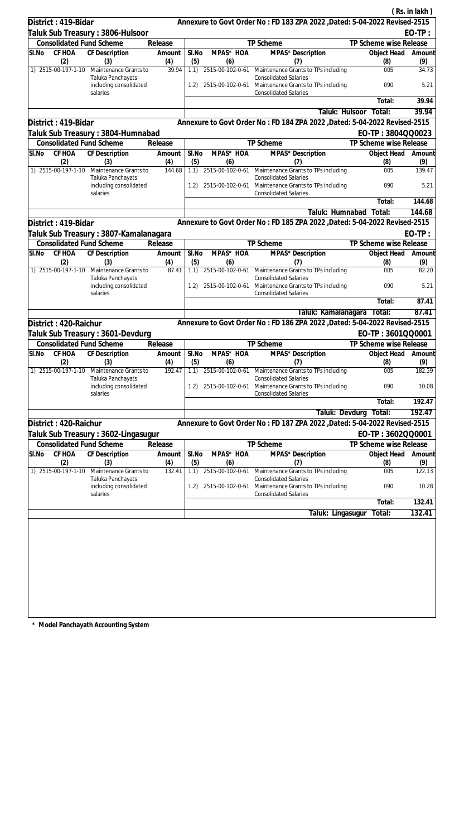|                                                                   |                       |              |                  |                                                                                                                      |                           | (Rs. in lakh) |
|-------------------------------------------------------------------|-----------------------|--------------|------------------|----------------------------------------------------------------------------------------------------------------------|---------------------------|---------------|
| District: 419-Bidar                                               |                       |              |                  | Annexure to Govt Order No: FD 183 ZPA 2022 , Dated: 5-04-2022 Revised-2515                                           |                           |               |
| Taluk Sub Treasury: 3806-Hulsoor                                  |                       |              |                  |                                                                                                                      |                           | $EO-TP:$      |
| <b>Consolidated Fund Scheme</b>                                   | Release               |              |                  | TP Scheme                                                                                                            | TP Scheme wise Release    |               |
| CF HOA<br>CF Description<br>SI.No                                 | Amount                | SI.No        | MPAS* HOA        | MPAS* Description                                                                                                    | Object Head               | Amount        |
| (2)<br>(3)                                                        | (4)                   | (5)          | (6)              | (7)                                                                                                                  | (8)                       | (9)           |
| 1) 2515-00-197-1-10<br>Maintenance Grants to<br>Taluka Panchayats | 39.94                 | 1.1)         | 2515-00-102-0-61 | Maintenance Grants to TPs including<br><b>Consolidated Salaries</b>                                                  | 005                       | 34.73         |
| including consolidated<br>salaries                                |                       | 1.2)         |                  | 2515-00-102-0-61 Maintenance Grants to TPs including<br><b>Consolidated Salaries</b>                                 | 090                       | 5.21          |
|                                                                   |                       |              |                  |                                                                                                                      | Total:                    | 39.94         |
|                                                                   |                       |              |                  | Taluk: Hulsoor                                                                                                       | Total:                    | 39.94         |
| District: 419-Bidar                                               |                       |              |                  | Annexure to Govt Order No: FD 184 ZPA 2022 , Dated: 5-04-2022 Revised-2515                                           |                           |               |
| Taluk Sub Treasury : 3804-Humnabad                                |                       |              |                  |                                                                                                                      | EO-TP: 3804QQ0023         |               |
| <b>Consolidated Fund Scheme</b>                                   | Release               |              |                  | TP Scheme                                                                                                            | TP Scheme wise Release    |               |
| SI.No<br>CF HOA<br>CF Description<br>(2)<br>(3)                   | Amount<br>(4)         | SI.No<br>(5) | MPAS* HOA<br>(6) | MPAS* Description<br>(7)                                                                                             | Object Head<br>(8)        | Amount<br>(9) |
| 1) 2515-00-197-1-10 Maintenance Grants to                         | 144.68                | 1.1)         |                  | 2515-00-102-0-61 Maintenance Grants to TPs including                                                                 | 005                       | 139.47        |
| Taluka Panchayats<br>including consolidated<br>salaries           |                       | 1.2)         |                  | <b>Consolidated Salaries</b><br>2515-00-102-0-61 Maintenance Grants to TPs including<br><b>Consolidated Salaries</b> | 090                       | 5.21          |
|                                                                   |                       |              |                  |                                                                                                                      | Total:                    | 144.68        |
|                                                                   |                       |              |                  | Taluk: Humnabad                                                                                                      | Total:                    | 144.68        |
| District: 419-Bidar                                               |                       |              |                  | Annexure to Govt Order No: FD 185 ZPA 2022 , Dated: 5-04-2022 Revised-2515                                           |                           |               |
| Taluk Sub Treasury : 3807-Kamalanagara                            |                       |              |                  |                                                                                                                      |                           | $EO-TP:$      |
| <b>Consolidated Fund Scheme</b>                                   | Release               |              |                  | TP Scheme                                                                                                            | TP Scheme wise Release    |               |
| CF HOA<br><b>CF Description</b><br>SI.No<br>(2)<br>(3)            | Amount                | SI.No        | MPAS* HOA        | MPAS* Description<br>(7)                                                                                             | Object Head<br>(8)        | Amount        |
| 1) 2515-00-197-1-10<br>Maintenance Grants to                      | (4)<br>87.41          | (5)<br>1.1)  | (6)              | 2515-00-102-0-61 Maintenance Grants to TPs including                                                                 | 005                       | (9)<br>82.20  |
| Taluka Panchayats<br>including consolidated                       |                       | 1.2)         |                  | <b>Consolidated Salaries</b><br>2515-00-102-0-61 Maintenance Grants to TPs including                                 | 090                       | 5.21          |
| salaries                                                          |                       |              |                  | <b>Consolidated Salaries</b>                                                                                         |                           |               |
|                                                                   |                       |              |                  |                                                                                                                      | Total:                    | 87.41         |
|                                                                   |                       |              |                  | Taluk: Kamalanagara Total:                                                                                           |                           | 87.41         |
| District: 420-Raichur                                             |                       |              |                  | Annexure to Govt Order No: FD 186 ZPA 2022 , Dated: 5-04-2022 Revised-2515                                           |                           |               |
| Taluk Sub Treasury : 3601-Devdurg                                 |                       |              |                  |                                                                                                                      | EO-TP: 3601QQ0001         |               |
| <b>Consolidated Fund Scheme</b>                                   | Release               |              |                  | TP Scheme                                                                                                            | TP Scheme wise Release    |               |
| SI.No<br>CF HOA<br>CF Description<br>(2)<br>(3)                   | Amount   SI.No<br>(4) | (5)          | MPAS* HOA<br>(6) | MPAS* Description<br>(7)                                                                                             | Object Head Amount<br>(8) | (9)           |
| 1) 2515-00-197-1-10<br>Maintenance Grants to<br>Taluka Panchayats | 192.47                | 1.1)         | 2515-00-102-0-61 | Maintenance Grants to TPs including<br><b>Consolidated Salaries</b>                                                  | 005                       | 182.39        |
| including consolidated<br>salaries                                |                       | 1.2)         | 2515-00-102-0-61 | Maintenance Grants to TPs including<br><b>Consolidated Salaries</b>                                                  | 090                       | 10.08         |
|                                                                   |                       |              |                  |                                                                                                                      | Total:                    | 192.47        |
|                                                                   |                       |              |                  | Taluk: Devdurg                                                                                                       | Total:                    | 192.47        |
| District: 420-Raichur                                             |                       |              |                  | Annexure to Govt Order No: FD 187 ZPA 2022 , Dated: 5-04-2022 Revised-2515                                           |                           |               |
| ∏aluk Sub Treasury : 3602-Lingasugur                              |                       |              |                  |                                                                                                                      | EO-TP: 3602QQ0001         |               |
| <b>Consolidated Fund Scheme</b>                                   | Release               |              |                  | TP Scheme                                                                                                            | TP Scheme wise Release    |               |
| <b>CF HOA</b><br><b>CF Description</b><br>SI.No<br>(2)<br>(3)     | Amount<br>(4)         | SI.No<br>(5) | MPAS* HOA<br>(6) | MPAS* Description<br>(7)                                                                                             | Object Head<br>(8)        | Amount<br>(9) |
| 1) 2515-00-197-1-10<br>Maintenance Grants to<br>Taluka Panchayats | 132.41                | 1.1)         | 2515-00-102-0-61 | Maintenance Grants to TPs including<br><b>Consolidated Salaries</b>                                                  | 005                       | 122.13        |
| including consolidated<br>salaries                                |                       | 1.2)         | 2515-00-102-0-61 | Maintenance Grants to TPs including<br><b>Consolidated Salaries</b>                                                  | 090                       | 10.28         |
|                                                                   |                       |              |                  |                                                                                                                      | Total:                    | 132.41        |
|                                                                   |                       |              |                  | Taluk: Lingasugur                                                                                                    | Total:                    | 132.41        |
|                                                                   |                       |              |                  |                                                                                                                      |                           |               |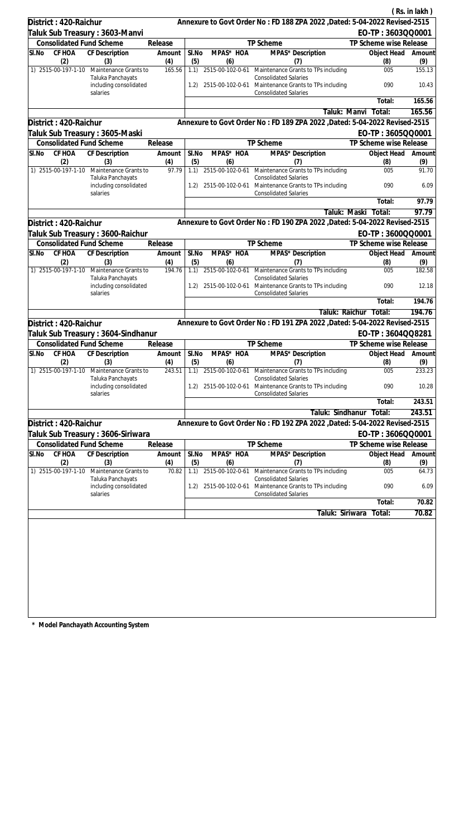| Annexure to Govt Order No: FD 188 ZPA 2022 , Dated: 5-04-2022 Revised-2515<br>District: 420-Raichur<br>EO-TP: 3603QQ0001<br>Taluk Sub Treasury : 3603-Manvi<br><b>Consolidated Fund Scheme</b><br>TP Scheme<br>Release<br>TP Scheme wise Release<br>CF HOA<br>SI.No<br>CF Description<br>MPAS* HOA<br>MPAS* Description<br>SI.No<br>Object Head<br>Amount<br>(2)<br>(5)<br>(9)<br>(3)<br>(4)<br>(6)<br>(7)<br>(8)<br>1) 2515-00-197-1-10<br>165.56<br>1.1)<br>2515-00-102-0-61 Maintenance Grants to TPs including<br>005<br>Maintenance Grants to<br>Taluka Panchayats<br><b>Consolidated Salaries</b><br>including consolidated<br>2515-00-102-0-61 Maintenance Grants to TPs including<br>090<br>1.2)<br><b>Consolidated Salaries</b><br>salaries<br>Total:<br>Total:<br>Taluk: Manvi<br>Annexure to Govt Order No: FD 189 ZPA 2022 , Dated: 5-04-2022 Revised-2515<br>District: 420-Raichur<br>EO-TP: 3605QQ0001<br>Taluk Sub Treasury : 3605-Maski<br><b>Consolidated Fund Scheme</b><br><b>TP Scheme</b><br>TP Scheme wise Release<br>Release<br>SI.No<br>CF HOA<br>SI.No<br>MPAS* HOA<br>MPAS* Description<br>CF Description<br>Amount<br>Object Head<br>(2)<br>(5)<br>(9)<br>(3)<br>(4)<br>(6)<br>(7)<br>(8)<br>1) 2515-00-197-1-10<br>Maintenance Grants to<br>97.79<br>1.1)<br>2515-00-102-0-61 Maintenance Grants to TPs including<br>005<br><b>Consolidated Salaries</b><br>Taluka Panchayats<br>including consolidated<br>2515-00-102-0-61 Maintenance Grants to TPs including<br>090<br>1.2)<br><b>Consolidated Salaries</b><br>salaries<br>Total:<br>Taluk: Maski<br>Total:<br>Annexure to Govt Order No: FD 190 ZPA 2022 , Dated: 5-04-2022 Revised-2515<br>District: 420-Raichur<br>EO-TP: 3600QQ0001<br>Taluk Sub Treasury : 3600-Raichur<br><b>Consolidated Fund Scheme</b><br>TP Scheme<br>Release<br>TP Scheme wise Release<br>MPAS* HOA<br>SI.No<br>CF HOA<br><b>CF</b> Description<br>MPAS* Description<br>SI.No<br>Object Head<br>Amount<br>(2)<br>(3)<br>(4)<br>(5)<br>(6)<br>(7)<br>(9)<br>(8)<br>1) 2515-00-197-1-10<br>2515-00-102-0-61 Maintenance Grants to TPs including<br>Maintenance Grants to<br>194.76<br>1.1)<br>005<br>Taluka Panchayats<br><b>Consolidated Salaries</b><br>including consolidated<br>2515-00-102-0-61<br>Maintenance Grants to TPs including<br>090<br>1.2)<br><b>Consolidated Salaries</b><br>salaries<br>Total:<br>Taluk: Raichur<br>Total:<br>Annexure to Govt Order No: FD 191 ZPA 2022 , Dated: 5-04-2022 Revised-2515<br>District: 420-Raichur<br>EO-TP: 3604QQ8281<br>Taluk Sub Treasury : 3604-Sindhanur<br><b>Consolidated Fund Scheme</b><br>TP Scheme<br>TP Scheme wise Release<br>Release<br>Amount   SI.No<br>MPAS* HOA<br>MPAS* Description<br>SI.No CF HOA CF Description<br>Object Head Amount<br>(4)<br>(2)<br>(3)<br>(5)<br>(6)<br>(7)<br>(8)<br>1) 2515-00-197-1-10<br>243.51<br>2515-00-102-0-61<br>005<br>Maintenance Grants to<br>1.1)<br>Maintenance Grants to TPs including<br><b>Consolidated Salaries</b><br>Taluka Panchayats<br>090<br>including consolidated<br>2515-00-102-0-61<br>Maintenance Grants to TPs including<br>1.2)<br><b>Consolidated Salaries</b><br>salaries<br>Total:<br>Taluk: Sindhanur<br>Total:<br>Annexure to Govt Order No: FD 192 ZPA 2022, Dated: 5-04-2022 Revised-2515<br>District: 420-Raichur<br>EO-TP: 3606QQ0001<br>Taluk Sub Treasury : 3606-Siriwara<br><b>Consolidated Fund Scheme</b><br>TP Scheme<br>TP Scheme wise Release<br>Release<br>SI.No<br>CF HOA<br><b>CF Description</b><br>SI.No<br>MPAS* HOA<br>MPAS* Description<br>Object Head<br>Amount<br>(4)<br>(2)<br>(5)<br>(6)<br>(3)<br>(7)<br>(8)<br>1) 2515-00-197-1-10<br>Maintenance Grants to<br>70.82<br>1.1)<br>2515-00-102-0-61<br>Maintenance Grants to TPs including<br>005<br><b>Consolidated Salaries</b><br>Taluka Panchayats<br>including consolidated<br>2515-00-102-0-61<br>Maintenance Grants to TPs including<br>090<br>1.2)<br><b>Consolidated Salaries</b><br>salaries<br>Total:<br>Taluk: Siriwara<br>Total: |  |  |  |  | (Rs. in lakh) |
|---------------------------------------------------------------------------------------------------------------------------------------------------------------------------------------------------------------------------------------------------------------------------------------------------------------------------------------------------------------------------------------------------------------------------------------------------------------------------------------------------------------------------------------------------------------------------------------------------------------------------------------------------------------------------------------------------------------------------------------------------------------------------------------------------------------------------------------------------------------------------------------------------------------------------------------------------------------------------------------------------------------------------------------------------------------------------------------------------------------------------------------------------------------------------------------------------------------------------------------------------------------------------------------------------------------------------------------------------------------------------------------------------------------------------------------------------------------------------------------------------------------------------------------------------------------------------------------------------------------------------------------------------------------------------------------------------------------------------------------------------------------------------------------------------------------------------------------------------------------------------------------------------------------------------------------------------------------------------------------------------------------------------------------------------------------------------------------------------------------------------------------------------------------------------------------------------------------------------------------------------------------------------------------------------------------------------------------------------------------------------------------------------------------------------------------------------------------------------------------------------------------------------------------------------------------------------------------------------------------------------------------------------------------------------------------------------------------------------------------------------------------------------------------------------------------------------------------------------------------------------------------------------------------------------------------------------------------------------------------------------------------------------------------------------------------------------------------------------------------------------------------------------------------------------------------------------------------------------------------------------------------------------------------------------------------------------------------------------------------------------------------------------------------------------------------------------------------------------------------------------------------------------------------------------------------------------------------------------------------------------------------------------------------------------------------------------------------------------------------------------------------------------------------------------------------------------------------------------------------------------------------------------------------------------------------------------------------------------------------------------------------|--|--|--|--|---------------|
|                                                                                                                                                                                                                                                                                                                                                                                                                                                                                                                                                                                                                                                                                                                                                                                                                                                                                                                                                                                                                                                                                                                                                                                                                                                                                                                                                                                                                                                                                                                                                                                                                                                                                                                                                                                                                                                                                                                                                                                                                                                                                                                                                                                                                                                                                                                                                                                                                                                                                                                                                                                                                                                                                                                                                                                                                                                                                                                                                                                                                                                                                                                                                                                                                                                                                                                                                                                                                                                                                                                                                                                                                                                                                                                                                                                                                                                                                                                                                                                                               |  |  |  |  |               |
|                                                                                                                                                                                                                                                                                                                                                                                                                                                                                                                                                                                                                                                                                                                                                                                                                                                                                                                                                                                                                                                                                                                                                                                                                                                                                                                                                                                                                                                                                                                                                                                                                                                                                                                                                                                                                                                                                                                                                                                                                                                                                                                                                                                                                                                                                                                                                                                                                                                                                                                                                                                                                                                                                                                                                                                                                                                                                                                                                                                                                                                                                                                                                                                                                                                                                                                                                                                                                                                                                                                                                                                                                                                                                                                                                                                                                                                                                                                                                                                                               |  |  |  |  |               |
|                                                                                                                                                                                                                                                                                                                                                                                                                                                                                                                                                                                                                                                                                                                                                                                                                                                                                                                                                                                                                                                                                                                                                                                                                                                                                                                                                                                                                                                                                                                                                                                                                                                                                                                                                                                                                                                                                                                                                                                                                                                                                                                                                                                                                                                                                                                                                                                                                                                                                                                                                                                                                                                                                                                                                                                                                                                                                                                                                                                                                                                                                                                                                                                                                                                                                                                                                                                                                                                                                                                                                                                                                                                                                                                                                                                                                                                                                                                                                                                                               |  |  |  |  |               |
|                                                                                                                                                                                                                                                                                                                                                                                                                                                                                                                                                                                                                                                                                                                                                                                                                                                                                                                                                                                                                                                                                                                                                                                                                                                                                                                                                                                                                                                                                                                                                                                                                                                                                                                                                                                                                                                                                                                                                                                                                                                                                                                                                                                                                                                                                                                                                                                                                                                                                                                                                                                                                                                                                                                                                                                                                                                                                                                                                                                                                                                                                                                                                                                                                                                                                                                                                                                                                                                                                                                                                                                                                                                                                                                                                                                                                                                                                                                                                                                                               |  |  |  |  | Amount        |
|                                                                                                                                                                                                                                                                                                                                                                                                                                                                                                                                                                                                                                                                                                                                                                                                                                                                                                                                                                                                                                                                                                                                                                                                                                                                                                                                                                                                                                                                                                                                                                                                                                                                                                                                                                                                                                                                                                                                                                                                                                                                                                                                                                                                                                                                                                                                                                                                                                                                                                                                                                                                                                                                                                                                                                                                                                                                                                                                                                                                                                                                                                                                                                                                                                                                                                                                                                                                                                                                                                                                                                                                                                                                                                                                                                                                                                                                                                                                                                                                               |  |  |  |  | 155.13        |
|                                                                                                                                                                                                                                                                                                                                                                                                                                                                                                                                                                                                                                                                                                                                                                                                                                                                                                                                                                                                                                                                                                                                                                                                                                                                                                                                                                                                                                                                                                                                                                                                                                                                                                                                                                                                                                                                                                                                                                                                                                                                                                                                                                                                                                                                                                                                                                                                                                                                                                                                                                                                                                                                                                                                                                                                                                                                                                                                                                                                                                                                                                                                                                                                                                                                                                                                                                                                                                                                                                                                                                                                                                                                                                                                                                                                                                                                                                                                                                                                               |  |  |  |  | 10.43         |
|                                                                                                                                                                                                                                                                                                                                                                                                                                                                                                                                                                                                                                                                                                                                                                                                                                                                                                                                                                                                                                                                                                                                                                                                                                                                                                                                                                                                                                                                                                                                                                                                                                                                                                                                                                                                                                                                                                                                                                                                                                                                                                                                                                                                                                                                                                                                                                                                                                                                                                                                                                                                                                                                                                                                                                                                                                                                                                                                                                                                                                                                                                                                                                                                                                                                                                                                                                                                                                                                                                                                                                                                                                                                                                                                                                                                                                                                                                                                                                                                               |  |  |  |  | 165.56        |
|                                                                                                                                                                                                                                                                                                                                                                                                                                                                                                                                                                                                                                                                                                                                                                                                                                                                                                                                                                                                                                                                                                                                                                                                                                                                                                                                                                                                                                                                                                                                                                                                                                                                                                                                                                                                                                                                                                                                                                                                                                                                                                                                                                                                                                                                                                                                                                                                                                                                                                                                                                                                                                                                                                                                                                                                                                                                                                                                                                                                                                                                                                                                                                                                                                                                                                                                                                                                                                                                                                                                                                                                                                                                                                                                                                                                                                                                                                                                                                                                               |  |  |  |  | 165.56        |
|                                                                                                                                                                                                                                                                                                                                                                                                                                                                                                                                                                                                                                                                                                                                                                                                                                                                                                                                                                                                                                                                                                                                                                                                                                                                                                                                                                                                                                                                                                                                                                                                                                                                                                                                                                                                                                                                                                                                                                                                                                                                                                                                                                                                                                                                                                                                                                                                                                                                                                                                                                                                                                                                                                                                                                                                                                                                                                                                                                                                                                                                                                                                                                                                                                                                                                                                                                                                                                                                                                                                                                                                                                                                                                                                                                                                                                                                                                                                                                                                               |  |  |  |  |               |
|                                                                                                                                                                                                                                                                                                                                                                                                                                                                                                                                                                                                                                                                                                                                                                                                                                                                                                                                                                                                                                                                                                                                                                                                                                                                                                                                                                                                                                                                                                                                                                                                                                                                                                                                                                                                                                                                                                                                                                                                                                                                                                                                                                                                                                                                                                                                                                                                                                                                                                                                                                                                                                                                                                                                                                                                                                                                                                                                                                                                                                                                                                                                                                                                                                                                                                                                                                                                                                                                                                                                                                                                                                                                                                                                                                                                                                                                                                                                                                                                               |  |  |  |  |               |
|                                                                                                                                                                                                                                                                                                                                                                                                                                                                                                                                                                                                                                                                                                                                                                                                                                                                                                                                                                                                                                                                                                                                                                                                                                                                                                                                                                                                                                                                                                                                                                                                                                                                                                                                                                                                                                                                                                                                                                                                                                                                                                                                                                                                                                                                                                                                                                                                                                                                                                                                                                                                                                                                                                                                                                                                                                                                                                                                                                                                                                                                                                                                                                                                                                                                                                                                                                                                                                                                                                                                                                                                                                                                                                                                                                                                                                                                                                                                                                                                               |  |  |  |  |               |
|                                                                                                                                                                                                                                                                                                                                                                                                                                                                                                                                                                                                                                                                                                                                                                                                                                                                                                                                                                                                                                                                                                                                                                                                                                                                                                                                                                                                                                                                                                                                                                                                                                                                                                                                                                                                                                                                                                                                                                                                                                                                                                                                                                                                                                                                                                                                                                                                                                                                                                                                                                                                                                                                                                                                                                                                                                                                                                                                                                                                                                                                                                                                                                                                                                                                                                                                                                                                                                                                                                                                                                                                                                                                                                                                                                                                                                                                                                                                                                                                               |  |  |  |  | Amount        |
|                                                                                                                                                                                                                                                                                                                                                                                                                                                                                                                                                                                                                                                                                                                                                                                                                                                                                                                                                                                                                                                                                                                                                                                                                                                                                                                                                                                                                                                                                                                                                                                                                                                                                                                                                                                                                                                                                                                                                                                                                                                                                                                                                                                                                                                                                                                                                                                                                                                                                                                                                                                                                                                                                                                                                                                                                                                                                                                                                                                                                                                                                                                                                                                                                                                                                                                                                                                                                                                                                                                                                                                                                                                                                                                                                                                                                                                                                                                                                                                                               |  |  |  |  | 91.70         |
|                                                                                                                                                                                                                                                                                                                                                                                                                                                                                                                                                                                                                                                                                                                                                                                                                                                                                                                                                                                                                                                                                                                                                                                                                                                                                                                                                                                                                                                                                                                                                                                                                                                                                                                                                                                                                                                                                                                                                                                                                                                                                                                                                                                                                                                                                                                                                                                                                                                                                                                                                                                                                                                                                                                                                                                                                                                                                                                                                                                                                                                                                                                                                                                                                                                                                                                                                                                                                                                                                                                                                                                                                                                                                                                                                                                                                                                                                                                                                                                                               |  |  |  |  | 6.09          |
|                                                                                                                                                                                                                                                                                                                                                                                                                                                                                                                                                                                                                                                                                                                                                                                                                                                                                                                                                                                                                                                                                                                                                                                                                                                                                                                                                                                                                                                                                                                                                                                                                                                                                                                                                                                                                                                                                                                                                                                                                                                                                                                                                                                                                                                                                                                                                                                                                                                                                                                                                                                                                                                                                                                                                                                                                                                                                                                                                                                                                                                                                                                                                                                                                                                                                                                                                                                                                                                                                                                                                                                                                                                                                                                                                                                                                                                                                                                                                                                                               |  |  |  |  | 97.79         |
|                                                                                                                                                                                                                                                                                                                                                                                                                                                                                                                                                                                                                                                                                                                                                                                                                                                                                                                                                                                                                                                                                                                                                                                                                                                                                                                                                                                                                                                                                                                                                                                                                                                                                                                                                                                                                                                                                                                                                                                                                                                                                                                                                                                                                                                                                                                                                                                                                                                                                                                                                                                                                                                                                                                                                                                                                                                                                                                                                                                                                                                                                                                                                                                                                                                                                                                                                                                                                                                                                                                                                                                                                                                                                                                                                                                                                                                                                                                                                                                                               |  |  |  |  | 97.79         |
|                                                                                                                                                                                                                                                                                                                                                                                                                                                                                                                                                                                                                                                                                                                                                                                                                                                                                                                                                                                                                                                                                                                                                                                                                                                                                                                                                                                                                                                                                                                                                                                                                                                                                                                                                                                                                                                                                                                                                                                                                                                                                                                                                                                                                                                                                                                                                                                                                                                                                                                                                                                                                                                                                                                                                                                                                                                                                                                                                                                                                                                                                                                                                                                                                                                                                                                                                                                                                                                                                                                                                                                                                                                                                                                                                                                                                                                                                                                                                                                                               |  |  |  |  |               |
|                                                                                                                                                                                                                                                                                                                                                                                                                                                                                                                                                                                                                                                                                                                                                                                                                                                                                                                                                                                                                                                                                                                                                                                                                                                                                                                                                                                                                                                                                                                                                                                                                                                                                                                                                                                                                                                                                                                                                                                                                                                                                                                                                                                                                                                                                                                                                                                                                                                                                                                                                                                                                                                                                                                                                                                                                                                                                                                                                                                                                                                                                                                                                                                                                                                                                                                                                                                                                                                                                                                                                                                                                                                                                                                                                                                                                                                                                                                                                                                                               |  |  |  |  |               |
|                                                                                                                                                                                                                                                                                                                                                                                                                                                                                                                                                                                                                                                                                                                                                                                                                                                                                                                                                                                                                                                                                                                                                                                                                                                                                                                                                                                                                                                                                                                                                                                                                                                                                                                                                                                                                                                                                                                                                                                                                                                                                                                                                                                                                                                                                                                                                                                                                                                                                                                                                                                                                                                                                                                                                                                                                                                                                                                                                                                                                                                                                                                                                                                                                                                                                                                                                                                                                                                                                                                                                                                                                                                                                                                                                                                                                                                                                                                                                                                                               |  |  |  |  |               |
|                                                                                                                                                                                                                                                                                                                                                                                                                                                                                                                                                                                                                                                                                                                                                                                                                                                                                                                                                                                                                                                                                                                                                                                                                                                                                                                                                                                                                                                                                                                                                                                                                                                                                                                                                                                                                                                                                                                                                                                                                                                                                                                                                                                                                                                                                                                                                                                                                                                                                                                                                                                                                                                                                                                                                                                                                                                                                                                                                                                                                                                                                                                                                                                                                                                                                                                                                                                                                                                                                                                                                                                                                                                                                                                                                                                                                                                                                                                                                                                                               |  |  |  |  | Amount        |
|                                                                                                                                                                                                                                                                                                                                                                                                                                                                                                                                                                                                                                                                                                                                                                                                                                                                                                                                                                                                                                                                                                                                                                                                                                                                                                                                                                                                                                                                                                                                                                                                                                                                                                                                                                                                                                                                                                                                                                                                                                                                                                                                                                                                                                                                                                                                                                                                                                                                                                                                                                                                                                                                                                                                                                                                                                                                                                                                                                                                                                                                                                                                                                                                                                                                                                                                                                                                                                                                                                                                                                                                                                                                                                                                                                                                                                                                                                                                                                                                               |  |  |  |  | 182.58        |
|                                                                                                                                                                                                                                                                                                                                                                                                                                                                                                                                                                                                                                                                                                                                                                                                                                                                                                                                                                                                                                                                                                                                                                                                                                                                                                                                                                                                                                                                                                                                                                                                                                                                                                                                                                                                                                                                                                                                                                                                                                                                                                                                                                                                                                                                                                                                                                                                                                                                                                                                                                                                                                                                                                                                                                                                                                                                                                                                                                                                                                                                                                                                                                                                                                                                                                                                                                                                                                                                                                                                                                                                                                                                                                                                                                                                                                                                                                                                                                                                               |  |  |  |  | 12.18         |
|                                                                                                                                                                                                                                                                                                                                                                                                                                                                                                                                                                                                                                                                                                                                                                                                                                                                                                                                                                                                                                                                                                                                                                                                                                                                                                                                                                                                                                                                                                                                                                                                                                                                                                                                                                                                                                                                                                                                                                                                                                                                                                                                                                                                                                                                                                                                                                                                                                                                                                                                                                                                                                                                                                                                                                                                                                                                                                                                                                                                                                                                                                                                                                                                                                                                                                                                                                                                                                                                                                                                                                                                                                                                                                                                                                                                                                                                                                                                                                                                               |  |  |  |  | 194.76        |
|                                                                                                                                                                                                                                                                                                                                                                                                                                                                                                                                                                                                                                                                                                                                                                                                                                                                                                                                                                                                                                                                                                                                                                                                                                                                                                                                                                                                                                                                                                                                                                                                                                                                                                                                                                                                                                                                                                                                                                                                                                                                                                                                                                                                                                                                                                                                                                                                                                                                                                                                                                                                                                                                                                                                                                                                                                                                                                                                                                                                                                                                                                                                                                                                                                                                                                                                                                                                                                                                                                                                                                                                                                                                                                                                                                                                                                                                                                                                                                                                               |  |  |  |  | 194.76        |
|                                                                                                                                                                                                                                                                                                                                                                                                                                                                                                                                                                                                                                                                                                                                                                                                                                                                                                                                                                                                                                                                                                                                                                                                                                                                                                                                                                                                                                                                                                                                                                                                                                                                                                                                                                                                                                                                                                                                                                                                                                                                                                                                                                                                                                                                                                                                                                                                                                                                                                                                                                                                                                                                                                                                                                                                                                                                                                                                                                                                                                                                                                                                                                                                                                                                                                                                                                                                                                                                                                                                                                                                                                                                                                                                                                                                                                                                                                                                                                                                               |  |  |  |  |               |
|                                                                                                                                                                                                                                                                                                                                                                                                                                                                                                                                                                                                                                                                                                                                                                                                                                                                                                                                                                                                                                                                                                                                                                                                                                                                                                                                                                                                                                                                                                                                                                                                                                                                                                                                                                                                                                                                                                                                                                                                                                                                                                                                                                                                                                                                                                                                                                                                                                                                                                                                                                                                                                                                                                                                                                                                                                                                                                                                                                                                                                                                                                                                                                                                                                                                                                                                                                                                                                                                                                                                                                                                                                                                                                                                                                                                                                                                                                                                                                                                               |  |  |  |  |               |
|                                                                                                                                                                                                                                                                                                                                                                                                                                                                                                                                                                                                                                                                                                                                                                                                                                                                                                                                                                                                                                                                                                                                                                                                                                                                                                                                                                                                                                                                                                                                                                                                                                                                                                                                                                                                                                                                                                                                                                                                                                                                                                                                                                                                                                                                                                                                                                                                                                                                                                                                                                                                                                                                                                                                                                                                                                                                                                                                                                                                                                                                                                                                                                                                                                                                                                                                                                                                                                                                                                                                                                                                                                                                                                                                                                                                                                                                                                                                                                                                               |  |  |  |  |               |
|                                                                                                                                                                                                                                                                                                                                                                                                                                                                                                                                                                                                                                                                                                                                                                                                                                                                                                                                                                                                                                                                                                                                                                                                                                                                                                                                                                                                                                                                                                                                                                                                                                                                                                                                                                                                                                                                                                                                                                                                                                                                                                                                                                                                                                                                                                                                                                                                                                                                                                                                                                                                                                                                                                                                                                                                                                                                                                                                                                                                                                                                                                                                                                                                                                                                                                                                                                                                                                                                                                                                                                                                                                                                                                                                                                                                                                                                                                                                                                                                               |  |  |  |  | (9)           |
|                                                                                                                                                                                                                                                                                                                                                                                                                                                                                                                                                                                                                                                                                                                                                                                                                                                                                                                                                                                                                                                                                                                                                                                                                                                                                                                                                                                                                                                                                                                                                                                                                                                                                                                                                                                                                                                                                                                                                                                                                                                                                                                                                                                                                                                                                                                                                                                                                                                                                                                                                                                                                                                                                                                                                                                                                                                                                                                                                                                                                                                                                                                                                                                                                                                                                                                                                                                                                                                                                                                                                                                                                                                                                                                                                                                                                                                                                                                                                                                                               |  |  |  |  | 233.23        |
|                                                                                                                                                                                                                                                                                                                                                                                                                                                                                                                                                                                                                                                                                                                                                                                                                                                                                                                                                                                                                                                                                                                                                                                                                                                                                                                                                                                                                                                                                                                                                                                                                                                                                                                                                                                                                                                                                                                                                                                                                                                                                                                                                                                                                                                                                                                                                                                                                                                                                                                                                                                                                                                                                                                                                                                                                                                                                                                                                                                                                                                                                                                                                                                                                                                                                                                                                                                                                                                                                                                                                                                                                                                                                                                                                                                                                                                                                                                                                                                                               |  |  |  |  | 10.28         |
|                                                                                                                                                                                                                                                                                                                                                                                                                                                                                                                                                                                                                                                                                                                                                                                                                                                                                                                                                                                                                                                                                                                                                                                                                                                                                                                                                                                                                                                                                                                                                                                                                                                                                                                                                                                                                                                                                                                                                                                                                                                                                                                                                                                                                                                                                                                                                                                                                                                                                                                                                                                                                                                                                                                                                                                                                                                                                                                                                                                                                                                                                                                                                                                                                                                                                                                                                                                                                                                                                                                                                                                                                                                                                                                                                                                                                                                                                                                                                                                                               |  |  |  |  | 243.51        |
|                                                                                                                                                                                                                                                                                                                                                                                                                                                                                                                                                                                                                                                                                                                                                                                                                                                                                                                                                                                                                                                                                                                                                                                                                                                                                                                                                                                                                                                                                                                                                                                                                                                                                                                                                                                                                                                                                                                                                                                                                                                                                                                                                                                                                                                                                                                                                                                                                                                                                                                                                                                                                                                                                                                                                                                                                                                                                                                                                                                                                                                                                                                                                                                                                                                                                                                                                                                                                                                                                                                                                                                                                                                                                                                                                                                                                                                                                                                                                                                                               |  |  |  |  | 243.51        |
|                                                                                                                                                                                                                                                                                                                                                                                                                                                                                                                                                                                                                                                                                                                                                                                                                                                                                                                                                                                                                                                                                                                                                                                                                                                                                                                                                                                                                                                                                                                                                                                                                                                                                                                                                                                                                                                                                                                                                                                                                                                                                                                                                                                                                                                                                                                                                                                                                                                                                                                                                                                                                                                                                                                                                                                                                                                                                                                                                                                                                                                                                                                                                                                                                                                                                                                                                                                                                                                                                                                                                                                                                                                                                                                                                                                                                                                                                                                                                                                                               |  |  |  |  |               |
|                                                                                                                                                                                                                                                                                                                                                                                                                                                                                                                                                                                                                                                                                                                                                                                                                                                                                                                                                                                                                                                                                                                                                                                                                                                                                                                                                                                                                                                                                                                                                                                                                                                                                                                                                                                                                                                                                                                                                                                                                                                                                                                                                                                                                                                                                                                                                                                                                                                                                                                                                                                                                                                                                                                                                                                                                                                                                                                                                                                                                                                                                                                                                                                                                                                                                                                                                                                                                                                                                                                                                                                                                                                                                                                                                                                                                                                                                                                                                                                                               |  |  |  |  |               |
|                                                                                                                                                                                                                                                                                                                                                                                                                                                                                                                                                                                                                                                                                                                                                                                                                                                                                                                                                                                                                                                                                                                                                                                                                                                                                                                                                                                                                                                                                                                                                                                                                                                                                                                                                                                                                                                                                                                                                                                                                                                                                                                                                                                                                                                                                                                                                                                                                                                                                                                                                                                                                                                                                                                                                                                                                                                                                                                                                                                                                                                                                                                                                                                                                                                                                                                                                                                                                                                                                                                                                                                                                                                                                                                                                                                                                                                                                                                                                                                                               |  |  |  |  |               |
|                                                                                                                                                                                                                                                                                                                                                                                                                                                                                                                                                                                                                                                                                                                                                                                                                                                                                                                                                                                                                                                                                                                                                                                                                                                                                                                                                                                                                                                                                                                                                                                                                                                                                                                                                                                                                                                                                                                                                                                                                                                                                                                                                                                                                                                                                                                                                                                                                                                                                                                                                                                                                                                                                                                                                                                                                                                                                                                                                                                                                                                                                                                                                                                                                                                                                                                                                                                                                                                                                                                                                                                                                                                                                                                                                                                                                                                                                                                                                                                                               |  |  |  |  | Amount<br>(9) |
|                                                                                                                                                                                                                                                                                                                                                                                                                                                                                                                                                                                                                                                                                                                                                                                                                                                                                                                                                                                                                                                                                                                                                                                                                                                                                                                                                                                                                                                                                                                                                                                                                                                                                                                                                                                                                                                                                                                                                                                                                                                                                                                                                                                                                                                                                                                                                                                                                                                                                                                                                                                                                                                                                                                                                                                                                                                                                                                                                                                                                                                                                                                                                                                                                                                                                                                                                                                                                                                                                                                                                                                                                                                                                                                                                                                                                                                                                                                                                                                                               |  |  |  |  | 64.73         |
|                                                                                                                                                                                                                                                                                                                                                                                                                                                                                                                                                                                                                                                                                                                                                                                                                                                                                                                                                                                                                                                                                                                                                                                                                                                                                                                                                                                                                                                                                                                                                                                                                                                                                                                                                                                                                                                                                                                                                                                                                                                                                                                                                                                                                                                                                                                                                                                                                                                                                                                                                                                                                                                                                                                                                                                                                                                                                                                                                                                                                                                                                                                                                                                                                                                                                                                                                                                                                                                                                                                                                                                                                                                                                                                                                                                                                                                                                                                                                                                                               |  |  |  |  | 6.09          |
|                                                                                                                                                                                                                                                                                                                                                                                                                                                                                                                                                                                                                                                                                                                                                                                                                                                                                                                                                                                                                                                                                                                                                                                                                                                                                                                                                                                                                                                                                                                                                                                                                                                                                                                                                                                                                                                                                                                                                                                                                                                                                                                                                                                                                                                                                                                                                                                                                                                                                                                                                                                                                                                                                                                                                                                                                                                                                                                                                                                                                                                                                                                                                                                                                                                                                                                                                                                                                                                                                                                                                                                                                                                                                                                                                                                                                                                                                                                                                                                                               |  |  |  |  | 70.82         |
|                                                                                                                                                                                                                                                                                                                                                                                                                                                                                                                                                                                                                                                                                                                                                                                                                                                                                                                                                                                                                                                                                                                                                                                                                                                                                                                                                                                                                                                                                                                                                                                                                                                                                                                                                                                                                                                                                                                                                                                                                                                                                                                                                                                                                                                                                                                                                                                                                                                                                                                                                                                                                                                                                                                                                                                                                                                                                                                                                                                                                                                                                                                                                                                                                                                                                                                                                                                                                                                                                                                                                                                                                                                                                                                                                                                                                                                                                                                                                                                                               |  |  |  |  | 70.82         |
|                                                                                                                                                                                                                                                                                                                                                                                                                                                                                                                                                                                                                                                                                                                                                                                                                                                                                                                                                                                                                                                                                                                                                                                                                                                                                                                                                                                                                                                                                                                                                                                                                                                                                                                                                                                                                                                                                                                                                                                                                                                                                                                                                                                                                                                                                                                                                                                                                                                                                                                                                                                                                                                                                                                                                                                                                                                                                                                                                                                                                                                                                                                                                                                                                                                                                                                                                                                                                                                                                                                                                                                                                                                                                                                                                                                                                                                                                                                                                                                                               |  |  |  |  |               |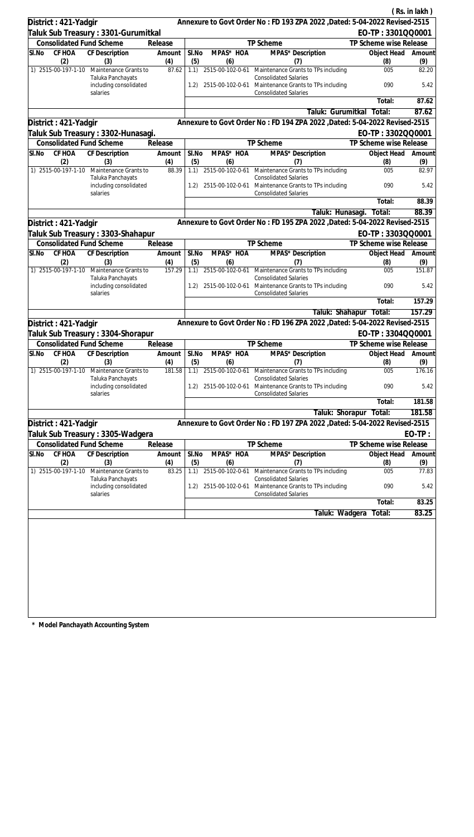|                                                                   |               |              |                  |                                                                                                                      |                        | (Rs. in lakh) |
|-------------------------------------------------------------------|---------------|--------------|------------------|----------------------------------------------------------------------------------------------------------------------|------------------------|---------------|
| District: 421-Yadgir                                              |               |              |                  | Annexure to Govt Order No: FD 193 ZPA 2022 , Dated: 5-04-2022 Revised-2515                                           |                        |               |
| Taluk Sub Treasury : 3301-Gurumitkal                              |               |              |                  |                                                                                                                      | EO-TP: 3301QQ0001      |               |
| <b>Consolidated Fund Scheme</b>                                   | Release       |              |                  | TP Scheme                                                                                                            | TP Scheme wise Release |               |
| CF HOA<br><b>CF Description</b><br>SI.No                          | Amount        | SI.No        | MPAS* HOA        | MPAS* Description                                                                                                    | Object Head            | Amount        |
| (2)<br>(3)<br>1) 2515-00-197-1-10<br>Maintenance Grants to        | (4)<br>87.62  | (5)<br>1.1)  | (6)              | (7)<br>2515-00-102-0-61 Maintenance Grants to TPs including                                                          | (8)<br>005             | (9)<br>82.20  |
| Taluka Panchayats                                                 |               |              |                  | <b>Consolidated Salaries</b>                                                                                         |                        |               |
| including consolidated<br>salaries                                |               | 1.2)         |                  | 2515-00-102-0-61 Maintenance Grants to TPs including<br><b>Consolidated Salaries</b>                                 | 090                    | 5.42          |
|                                                                   |               |              |                  |                                                                                                                      | Total:                 | 87.62         |
|                                                                   |               |              |                  | Taluk: Gurumitkal                                                                                                    | Total:                 | 87.62         |
| District: 421-Yadgir                                              |               |              |                  | Annexure to Govt Order No: FD 194 ZPA 2022 , Dated: 5-04-2022 Revised-2515                                           |                        |               |
| Taluk Sub Treasury : 3302-Hunasagi.                               |               |              |                  |                                                                                                                      | EO-TP: 3302QQ0001      |               |
| <b>Consolidated Fund Scheme</b>                                   | Release       |              |                  | TP Scheme                                                                                                            | TP Scheme wise Release |               |
| CF HOA<br>SI.No<br>CF Description<br>(2)<br>(3)                   | Amount<br>(4) | SI.No<br>(5) | MPAS* HOA<br>(6) | MPAS* Description<br>(7)                                                                                             | Object Head<br>(8)     | Amount<br>(9) |
| 1) 2515-00-197-1-10 Maintenance Grants to                         | 88.39         | 1.1)         |                  | 2515-00-102-0-61 Maintenance Grants to TPs including                                                                 | 005                    | 82.97         |
| Taluka Panchayats<br>including consolidated<br>salaries           |               | 1.2)         |                  | <b>Consolidated Salaries</b><br>2515-00-102-0-61 Maintenance Grants to TPs including<br><b>Consolidated Salaries</b> | 090                    | 5.42          |
|                                                                   |               |              |                  |                                                                                                                      | Total:                 | 88.39         |
|                                                                   |               |              |                  | Taluk: Hunasagi.                                                                                                     | Total:                 | 88.39         |
| District: 421-Yadgir                                              |               |              |                  | Annexure to Govt Order No: FD 195 ZPA 2022 , Dated: 5-04-2022 Revised-2515                                           |                        |               |
| Taluk Sub Treasury : 3303-Shahapur                                |               |              |                  |                                                                                                                      | EO-TP: 3303QQ0001      |               |
| <b>Consolidated Fund Scheme</b>                                   | Release       |              |                  | TP Scheme                                                                                                            | TP Scheme wise Release |               |
| SI.No<br>CF HOA<br>CF Description                                 | Amount        | SI.No        | MPAS* HOA        | MPAS* Description                                                                                                    | Object Head            | Amount        |
| (2)<br>(3)                                                        | (4)           | (5)          | (6)              | (7)                                                                                                                  | (8)                    | (9)           |
| 1) 2515-00-197-1-10<br>Maintenance Grants to<br>Taluka Panchayats | 157.29        | 1.1)         |                  | 2515-00-102-0-61 Maintenance Grants to TPs including<br><b>Consolidated Salaries</b>                                 | 005                    | 151.87        |
| including consolidated<br>salaries                                |               | 1.2)         | 2515-00-102-0-61 | Maintenance Grants to TPs including<br><b>Consolidated Salaries</b>                                                  | 090                    | 5.42          |
|                                                                   |               |              |                  |                                                                                                                      | Total:                 | 157.29        |
|                                                                   |               |              |                  |                                                                                                                      | Taluk: Shahapur Total: | 157.29        |
| District: 421-Yadgir                                              |               |              |                  | Annexure to Govt Order No: FD 196 ZPA 2022 , Dated: 5-04-2022 Revised-2515                                           |                        |               |
| Taluk Sub Treasury: 3304-Shorapur                                 |               |              |                  |                                                                                                                      | EO-TP: 3304QQ0001      |               |
| <b>Consolidated Fund Scheme</b>                                   | Release       |              |                  | <b>TP Scheme</b>                                                                                                     | TP Scheme wise Release |               |
| CF HOA CF Description<br>SI.No                                    | Amount        | SI.No        | MPAS* HOA        | MPAS* Description                                                                                                    | Object Head Amount     |               |
| (2)<br>(3)                                                        | (4)           | (5)          | (6)              | (7)                                                                                                                  | (8)                    | (9)           |
| 1) 2515-00-197-1-10<br>Maintenance Grants to<br>Taluka Panchayats | 181.58        | 1.1)         | 2515-00-102-0-61 | Maintenance Grants to TPs including<br><b>Consolidated Salaries</b>                                                  | 005                    | 176.16        |
| including consolidated<br>salaries                                |               | 1.2)         |                  | 2515-00-102-0-61 Maintenance Grants to TPs including<br><b>Consolidated Salaries</b>                                 | 090                    | 5.42          |
|                                                                   |               |              |                  |                                                                                                                      | Total:                 | 181.58        |
|                                                                   |               |              |                  | Taluk: Shorapur                                                                                                      | Total:                 | 181.58        |
| District: 421-Yadgir                                              |               |              |                  | Annexure to Govt Order No: FD 197 ZPA 2022, Dated: 5-04-2022 Revised-2515                                            |                        |               |
| Taluk Sub Treasury : 3305-Wadgera                                 |               |              |                  |                                                                                                                      |                        | $EO-TP:$      |
| <b>Consolidated Fund Scheme</b>                                   | Release       |              |                  | TP Scheme                                                                                                            | TP Scheme wise Release |               |
| CF HOA<br><b>CF Description</b><br>SI.No<br>(2)<br>(3)            | Amount<br>(4) | SI.No<br>(5) | MPAS* HOA<br>(6) | MPAS* Description<br>(7)                                                                                             | Object Head<br>(8)     | Amount<br>(9) |
| 1) 2515-00-197-1-10<br>Maintenance Grants to                      | 83.25         | 1.1)         | 2515-00-102-0-61 | Maintenance Grants to TPs including                                                                                  | 005                    | 77.83         |
| Taluka Panchayats<br>including consolidated<br>salaries           |               | 1.2)         | 2515-00-102-0-61 | <b>Consolidated Salaries</b><br>Maintenance Grants to TPs including<br><b>Consolidated Salaries</b>                  | 090                    | 5.42          |
|                                                                   |               |              |                  |                                                                                                                      | Total:                 | 83.25         |
|                                                                   |               |              |                  | Taluk: Wadgera                                                                                                       | Total:                 | 83.25         |
|                                                                   |               |              |                  |                                                                                                                      |                        |               |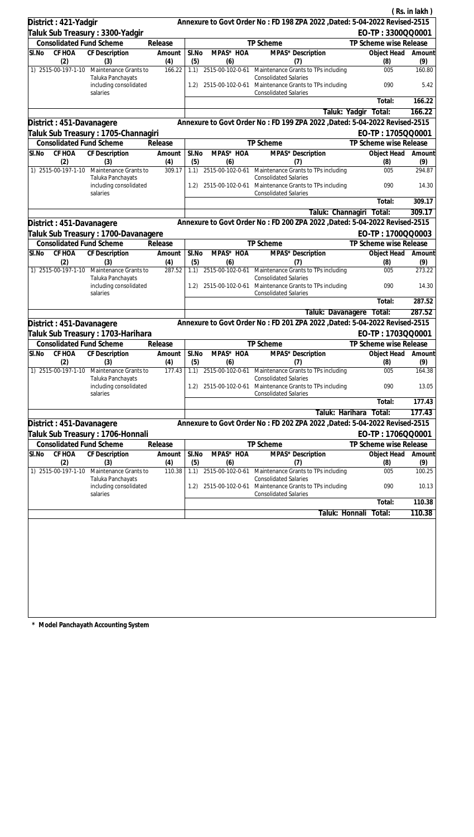|                                 |                                                         |               |              |                         | Annexure to Govt Order No: FD 198 ZPA 2022 , Dated: 5-04-2022 Revised-2515                                           |                                             | (Rs. in lakh)       |
|---------------------------------|---------------------------------------------------------|---------------|--------------|-------------------------|----------------------------------------------------------------------------------------------------------------------|---------------------------------------------|---------------------|
| District: 421-Yadgir            |                                                         |               |              |                         |                                                                                                                      |                                             |                     |
| <b>Consolidated Fund Scheme</b> | Taluk Sub Treasury: 3300-Yadgir                         | Release       |              |                         | TP Scheme                                                                                                            | EO-TP: 3300QQ0001<br>TP Scheme wise Release |                     |
| CF HOA<br>SI.No                 | CF Description                                          | Amount        | SI.No        | MPAS* HOA               | <b>MPAS*</b> Description                                                                                             | Object Head                                 | Amount              |
| (2)                             | (3)                                                     | (4)           | (5)          | (6)                     | (7)                                                                                                                  | (8)                                         | (9)                 |
| 1) 2515-00-197-1-10             | Maintenance Grants to                                   | 166.22        | 1.1)         |                         | 2515-00-102-0-61 Maintenance Grants to TPs including                                                                 | 005                                         | 160.80              |
|                                 | Taluka Panchayats<br>including consolidated             |               | 1.2)         |                         | <b>Consolidated Salaries</b><br>2515-00-102-0-61 Maintenance Grants to TPs including                                 | 090                                         | 5.42                |
|                                 | salaries                                                |               |              |                         | <b>Consolidated Salaries</b>                                                                                         | Total:                                      | 166.22              |
|                                 |                                                         |               |              |                         | Taluk: Yadgir                                                                                                        | Total:                                      | 166.22              |
| District: 451-Davanagere        |                                                         |               |              |                         | Annexure to Govt Order No: FD 199 ZPA 2022 , Dated: 5-04-2022 Revised-2515                                           |                                             |                     |
|                                 | Taluk Sub Treasury: 1705-Channagiri                     |               |              |                         |                                                                                                                      | EO-TP: 1705QQ0001                           |                     |
| <b>Consolidated Fund Scheme</b> |                                                         | Release       |              |                         | TP Scheme                                                                                                            | TP Scheme wise Release                      |                     |
| CF HOA<br>SI.No                 | CF Description                                          | Amount        | SI.No        | MPAS* HOA               | MPAS* Description                                                                                                    | Object Head                                 | Amount              |
| (2)                             | (3)                                                     | (4)           | (5)          | (6)                     | (7)                                                                                                                  | (8)                                         | (9)                 |
| 1) 2515-00-197-1-10             | Maintenance Grants to<br>Taluka Panchayats              | 309.17        | 1.1)         |                         | 2515-00-102-0-61 Maintenance Grants to TPs including<br><b>Consolidated Salaries</b>                                 | 005                                         | 294.87              |
|                                 | including consolidated<br>salaries                      |               | 1.2)         |                         | 2515-00-102-0-61 Maintenance Grants to TPs including<br><b>Consolidated Salaries</b>                                 | 090                                         | 14.30               |
|                                 |                                                         |               |              |                         |                                                                                                                      | Total:                                      | 309.17              |
|                                 |                                                         |               |              |                         | Taluk: Channagiri                                                                                                    | Total:                                      | 309.17              |
| District: 451-Davanagere        |                                                         |               |              |                         | Annexure to Govt Order No: FD 200 ZPA 2022 , Dated: 5-04-2022 Revised-2515                                           |                                             |                     |
|                                 | Taluk Sub Treasury: 1700-Davanagere                     |               |              |                         |                                                                                                                      | EO-TP: 1700QQ0003                           |                     |
| <b>Consolidated Fund Scheme</b> |                                                         | Release       |              |                         | TP Scheme                                                                                                            | TP Scheme wise Release                      |                     |
| SI.No<br>CF HOA                 | CF Description                                          | Amount        | SI.No        | MPAS* HOA               | MPAS* Description                                                                                                    | Object Head                                 | Amount              |
| (2)<br>1) 2515-00-197-1-10      | (3)<br>Maintenance Grants to                            | (4)<br>287.52 | (5)<br>1.1)  | (6)<br>2515-00-102-0-61 | (7)<br>Maintenance Grants to TPs including                                                                           | (8)<br>005                                  | (9)<br>273.22       |
|                                 | Taluka Panchayats<br>including consolidated             |               | 1.2)         | 2515-00-102-0-61        | <b>Consolidated Salaries</b><br>Maintenance Grants to TPs including                                                  | 090                                         | 14.30               |
|                                 | salaries                                                |               |              |                         | <b>Consolidated Salaries</b>                                                                                         | Total:                                      | 287.52              |
|                                 |                                                         |               |              |                         | Taluk: Davanagere                                                                                                    | Total:                                      | 287.52              |
| District : 451-Davanagere       |                                                         |               |              |                         | Annexure to Govt Order No: FD 201 ZPA 2022 , Dated: 5-04-2022 Revised-2515                                           |                                             |                     |
|                                 | Taluk Sub Treasury : 1703-Harihara                      |               |              |                         |                                                                                                                      | EO-TP: 1703QQ0001                           |                     |
| <b>Consolidated Fund Scheme</b> |                                                         | Release       |              |                         | <b>TP Scheme</b>                                                                                                     | TP Scheme wise Release                      |                     |
| SI.No<br>CF HOA                 | CF Description                                          | Amount        | SI.No        | MPAS* HOA               | MPAS* Description                                                                                                    | Object Head                                 | Amount              |
| (2)                             | (3)                                                     | (4)           | (5)          | (6)                     | (7)                                                                                                                  | (8)                                         | (9)                 |
| 1) 2515-00-197-1-10             | Maintenance Grants to<br>Taluka Panchayats              | 177.43        | 1.1)         | 2515-00-102-0-61        | Maintenance Grants to TPs including<br><b>Consolidated Salaries</b>                                                  | 005                                         | 164.38              |
|                                 | including consolidated<br>salaries                      |               | 1.2)         |                         | 2515-00-102-0-61 Maintenance Grants to TPs including<br><b>Consolidated Salaries</b>                                 | 090                                         | 13.05               |
|                                 |                                                         |               |              |                         |                                                                                                                      | Total:                                      | $\overline{177}.43$ |
|                                 |                                                         |               |              |                         | Taluk: Harihara                                                                                                      | Total:                                      | 177.43              |
| District: 451-Davanagere        |                                                         |               |              |                         | Annexure to Govt Order No: FD 202 ZPA 2022 , Dated: 5-04-2022 Revised-2515                                           |                                             |                     |
|                                 | Taluk Sub Treasury : 1706-Honnali                       |               |              |                         |                                                                                                                      | EO-TP: 1706QQ0001                           |                     |
| <b>Consolidated Fund Scheme</b> |                                                         | Release       |              |                         | TP Scheme                                                                                                            | TP Scheme wise Release                      |                     |
| SI.No<br><b>CF HOA</b><br>(2)   | CF Description<br>(3)                                   | Amount<br>(4) | SI.No<br>(5) | MPAS* HOA<br>(6)        | MPAS* Description<br>(7)                                                                                             | Object Head<br>(8)                          | Amount<br>(9)       |
| 1) 2515-00-197-1-10             | Maintenance Grants to                                   | 110.38        | 1.1)         | 2515-00-102-0-61        | Maintenance Grants to TPs including                                                                                  | 005                                         | 100.25              |
|                                 | Taluka Panchayats<br>including consolidated<br>salaries |               | 1.2)         |                         | <b>Consolidated Salaries</b><br>2515-00-102-0-61 Maintenance Grants to TPs including<br><b>Consolidated Salaries</b> | 090                                         | 10.13               |
|                                 |                                                         |               |              |                         |                                                                                                                      | Total:                                      | 110.38              |
|                                 |                                                         |               |              |                         | Taluk: Honnali                                                                                                       | Total:                                      | 110.38              |
|                                 |                                                         |               |              |                         |                                                                                                                      |                                             |                     |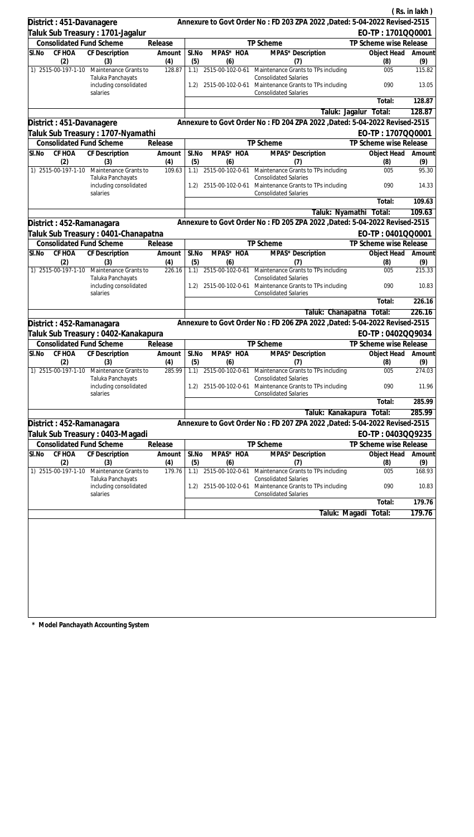|                                 |                                                         |               |              |                  |                                                                                                                      |                           | (Rs. in lakh) |
|---------------------------------|---------------------------------------------------------|---------------|--------------|------------------|----------------------------------------------------------------------------------------------------------------------|---------------------------|---------------|
| District: 451-Davanagere        |                                                         |               |              |                  | Annexure to Govt Order No: FD 203 ZPA 2022 , Dated: 5-04-2022 Revised-2515                                           |                           |               |
|                                 | Taluk Sub Treasury: 1701-Jagalur                        |               |              |                  |                                                                                                                      | EO-TP: 1701QQ0001         |               |
| <b>Consolidated Fund Scheme</b> |                                                         | Release       |              |                  | TP Scheme                                                                                                            | TP Scheme wise Release    |               |
| CF HOA<br>SI.No                 | <b>CF</b> Description                                   | Amount        | SI.No        | MPAS* HOA        | MPAS* Description                                                                                                    | Object Head               | Amount        |
| (2)<br>1) 2515-00-197-1-10      | (3)<br>Maintenance Grants to                            | (4)<br>128.87 | (5)<br>1.1)  | (6)              | (7)<br>2515-00-102-0-61 Maintenance Grants to TPs including                                                          | (8)<br>005                | (9)<br>115.82 |
|                                 | Taluka Panchayats<br>including consolidated             |               | 1.2)         |                  | <b>Consolidated Salaries</b><br>2515-00-102-0-61 Maintenance Grants to TPs including                                 | 090                       | 13.05         |
|                                 | salaries                                                |               |              |                  | <b>Consolidated Salaries</b>                                                                                         |                           | 128.87        |
|                                 |                                                         |               |              |                  |                                                                                                                      | Total:                    | 128.87        |
|                                 |                                                         |               |              |                  | Taluk: Jagalur<br>Annexure to Govt Order No: FD 204 ZPA 2022 , Dated: 5-04-2022 Revised-2515                         | Total:                    |               |
| District: 451-Davanagere        |                                                         |               |              |                  |                                                                                                                      | EO-TP: 1707QQ0001         |               |
| <b>Consolidated Fund Scheme</b> | Taluk Sub Treasury : 1707-Nyamathi                      | Release       |              |                  | TP Scheme                                                                                                            | TP Scheme wise Release    |               |
| CF HOA<br>SI.No                 | CF Description                                          | Amount        | SI.No        | MPAS* HOA        | MPAS* Description                                                                                                    | Object Head               | Amount        |
| (2)                             | (3)                                                     | (4)           | (5)          | (6)              | (7)                                                                                                                  | (8)                       | (9)           |
| 1) 2515-00-197-1-10             | Maintenance Grants to                                   | 109.63        | 1.1)         |                  | 2515-00-102-0-61 Maintenance Grants to TPs including                                                                 | 005                       | 95.30         |
|                                 | Taluka Panchayats<br>including consolidated<br>salaries |               | 1.2)         |                  | <b>Consolidated Salaries</b><br>2515-00-102-0-61 Maintenance Grants to TPs including<br><b>Consolidated Salaries</b> | 090                       | 14.33         |
|                                 |                                                         |               |              |                  |                                                                                                                      | Total:                    | 109.63        |
|                                 |                                                         |               |              |                  | Taluk: Nyamathi                                                                                                      | Total:                    | 109.63        |
| District : 452-Ramanagara       |                                                         |               |              |                  | Annexure to Govt Order No: FD 205 ZPA 2022 , Dated: 5-04-2022 Revised-2515                                           |                           |               |
|                                 | Taluk Sub Treasury : 0401-Chanapatna                    |               |              |                  |                                                                                                                      | EO-TP: 0401QQ0001         |               |
| <b>Consolidated Fund Scheme</b> |                                                         | Release       |              |                  | TP Scheme                                                                                                            | TP Scheme wise Release    |               |
| SI.No<br>CF HOA<br>(2)          | CF Description<br>(3)                                   | Amount<br>(4) | SI.No<br>(5) | MPAS* HOA<br>(6) | MPAS* Description<br>(7)                                                                                             | Object Head<br>(8)        | Amount<br>(9) |
| 1) 2515-00-197-1-10             | Maintenance Grants to                                   | 226.16        | 1.1)         | 2515-00-102-0-61 | Maintenance Grants to TPs including                                                                                  | 005                       | 215.33        |
|                                 | Taluka Panchayats<br>including consolidated             |               | 1.2)         | 2515-00-102-0-61 | <b>Consolidated Salaries</b><br>Maintenance Grants to TPs including                                                  | 090                       | 10.83         |
|                                 | salaries                                                |               |              |                  | <b>Consolidated Salaries</b>                                                                                         |                           |               |
|                                 |                                                         |               |              |                  |                                                                                                                      | Total:                    | 226.16        |
|                                 |                                                         |               |              |                  | Taluk: Chanapatna                                                                                                    | Total:                    | 226.16        |
| District: 452-Ramanagara        |                                                         |               |              |                  | Annexure to Govt Order No: FD 206 ZPA 2022 , Dated: 5-04-2022 Revised-2515                                           |                           |               |
|                                 | Taluk Sub Treasury : 0402-Kanakapura                    |               |              |                  |                                                                                                                      | EO-TP: 0402QQ9034         |               |
| <b>Consolidated Fund Scheme</b> |                                                         | Release       |              |                  | <b>TP Scheme</b>                                                                                                     | TP Scheme wise Release    |               |
| SI.No<br>(2)                    | CF HOA CF Description<br>(3)                            | Amount<br>(4) | SI.No<br>(5) | MPAS* HOA<br>(6) | MPAS* Description<br>(7)                                                                                             | Object Head Amount<br>(8) | (9)           |
| 1) 2515-00-197-1-10             | Maintenance Grants to<br>Taluka Panchayats              | 285.99        | 1.1)         | 2515-00-102-0-61 | Maintenance Grants to TPs including<br><b>Consolidated Salaries</b>                                                  | 005                       | 274.03        |
|                                 | including consolidated<br>salaries                      |               | 1.2)         |                  | 2515-00-102-0-61 Maintenance Grants to TPs including<br><b>Consolidated Salaries</b>                                 | 090                       | 11.96         |
|                                 |                                                         |               |              |                  |                                                                                                                      | Total:                    | 285.99        |
|                                 |                                                         |               |              |                  | Taluk: Kanakapura                                                                                                    | Total:                    | 285.99        |
| District : 452-Ramanagara       |                                                         |               |              |                  | Annexure to Govt Order No: FD 207 ZPA 2022 , Dated: 5-04-2022 Revised-2515                                           |                           |               |
|                                 | Taluk Sub Treasury: 0403-Magadi                         |               |              |                  |                                                                                                                      | EO-TP: 0403QQ9235         |               |
| <b>Consolidated Fund Scheme</b> |                                                         | Release       |              |                  | TP Scheme                                                                                                            | TP Scheme wise Release    |               |
| CF HOA<br>SI.No<br>(2)          | <b>CF Description</b><br>(3)                            | Amount<br>(4) | SI.No<br>(5) | MPAS* HOA<br>(6) | MPAS* Description<br>(7)                                                                                             | Object Head<br>(8)        | Amount<br>(9) |
| 1) 2515-00-197-1-10             | Maintenance Grants to<br>Taluka Panchayats              | 179.76        | 1.1)         | 2515-00-102-0-61 | Maintenance Grants to TPs including<br><b>Consolidated Salaries</b>                                                  | 005                       | 168.93        |
|                                 | including consolidated<br>salaries                      |               | 1.2)         | 2515-00-102-0-61 | Maintenance Grants to TPs including<br><b>Consolidated Salaries</b>                                                  | 090                       | 10.83         |
|                                 |                                                         |               |              |                  |                                                                                                                      | Total:                    | 179.76        |
|                                 |                                                         |               |              |                  | Taluk: Magadi                                                                                                        | Total:                    | 179.76        |
|                                 |                                                         |               |              |                  |                                                                                                                      |                           |               |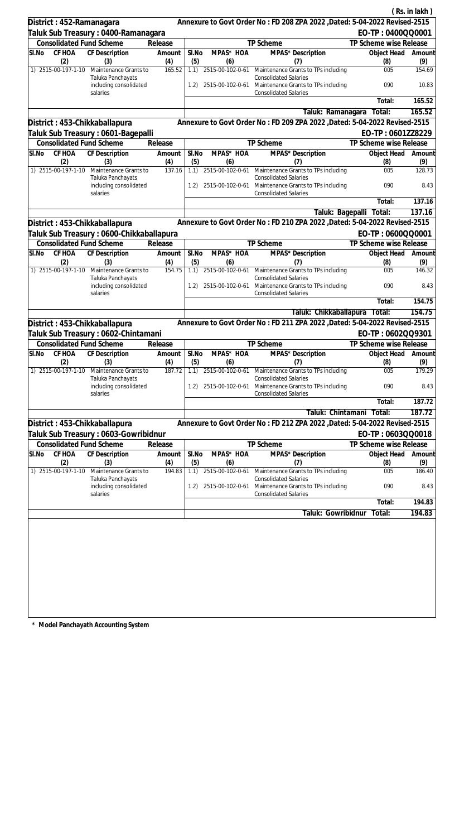|                                           |                                                                      |               |              |                         |                                                                                                                                              |                         | (Rs. in lakh)             |
|-------------------------------------------|----------------------------------------------------------------------|---------------|--------------|-------------------------|----------------------------------------------------------------------------------------------------------------------------------------------|-------------------------|---------------------------|
| District: 452-Ramanagara                  |                                                                      |               |              |                         | Annexure to Govt Order No: FD 208 ZPA 2022 , Dated: 5-04-2022 Revised-2515                                                                   |                         |                           |
| Taluk Sub Treasury : 0400-Ramanagara      |                                                                      |               |              |                         |                                                                                                                                              | EO-TP: 0400QQ0001       |                           |
| <b>Consolidated Fund Scheme</b>           |                                                                      | Release       |              |                         | TP Scheme                                                                                                                                    | TP Scheme wise Release  |                           |
| CF HOA<br>SI.No                           | CF Description                                                       | Amount        | SI.No        | MPAS* HOA               | MPAS* Description                                                                                                                            | Object Head             | Amount                    |
| (2)<br>1) 2515-00-197-1-10                | (3)                                                                  | (4)<br>165.52 | (5)          | (6)                     | (7)                                                                                                                                          | (8)<br>005              | (9)<br>154.69             |
|                                           | Maintenance Grants to<br>Taluka Panchayats<br>including consolidated |               | 1.1)<br>1.2) |                         | 2515-00-102-0-61 Maintenance Grants to TPs including<br><b>Consolidated Salaries</b><br>2515-00-102-0-61 Maintenance Grants to TPs including | 090                     | 10.83                     |
| salaries                                  |                                                                      |               |              |                         | <b>Consolidated Salaries</b>                                                                                                                 | Total:                  | 165.52                    |
|                                           |                                                                      |               |              |                         | Taluk: Ramanagara                                                                                                                            | Total:                  | 165.52                    |
| District: 453-Chikkaballapura             |                                                                      |               |              |                         | Annexure to Govt Order No: FD 209 ZPA 2022 , Dated: 5-04-2022 Revised-2515                                                                   |                         |                           |
| Taluk Sub Treasury : 0601-Bagepalli       |                                                                      |               |              |                         |                                                                                                                                              | EO-TP: 0601ZZ8229       |                           |
| <b>Consolidated Fund Scheme</b>           |                                                                      | Release       |              |                         | TP Scheme                                                                                                                                    | TP Scheme wise Release  |                           |
| SI.No<br>CF HOA                           | CF Description                                                       | Amount        | SI.No        | MPAS* HOA               | MPAS <sup>*</sup> Description                                                                                                                | Object Head             | Amount                    |
| (2)                                       | (3)                                                                  | (4)           | (5)          | (6)                     | (7)                                                                                                                                          | (8)                     | (9)                       |
| 1) 2515-00-197-1-10                       | Maintenance Grants to<br>Taluka Panchayats                           | 137.16        | 1.1)         | 2515-00-102-0-61        | Maintenance Grants to TPs including<br><b>Consolidated Salaries</b>                                                                          | 005                     | 128.73                    |
| salaries                                  | including consolidated                                               |               | 1.2)         | 2515-00-102-0-61        | Maintenance Grants to TPs including<br><b>Consolidated Salaries</b>                                                                          | 090                     | 8.43                      |
|                                           |                                                                      |               |              |                         |                                                                                                                                              | Total:                  | 137.16                    |
|                                           |                                                                      |               |              |                         |                                                                                                                                              | Taluk: Bagepalli Total: | 137.16                    |
| District: 453-Chikkaballapura             |                                                                      |               |              |                         | Annexure to Govt Order No: FD 210 ZPA 2022 , Dated: 5-04-2022 Revised-2515                                                                   |                         |                           |
| Taluk Sub Treasury : 0600-Chikkaballapura |                                                                      |               |              |                         |                                                                                                                                              | EO-TP: 0600QQ0001       |                           |
| <b>Consolidated Fund Scheme</b>           |                                                                      | Release       |              |                         | TP Scheme                                                                                                                                    | TP Scheme wise Release  |                           |
| CF HOA<br>SI.No<br>(2)                    | <b>CF</b> Description<br>(3)                                         | Amount<br>(4) | SI.No<br>(5) | MPAS* HOA<br>(6)        | MPAS* Description<br>(7)                                                                                                                     | Object Head<br>(8)      | Amount<br>(9)             |
| 1) 2515-00-197-1-10                       | Maintenance Grants to                                                | 154.75        | 1.1)         |                         | 2515-00-102-0-61 Maintenance Grants to TPs including                                                                                         | 005                     | 146.32                    |
| salaries                                  | Taluka Panchayats<br>including consolidated                          |               | 1.2)         | 2515-00-102-0-61        | <b>Consolidated Salaries</b><br>Maintenance Grants to TPs including<br><b>Consolidated Salaries</b>                                          | 090                     | 8.43                      |
|                                           |                                                                      |               |              |                         |                                                                                                                                              | Total:                  | 154.75                    |
|                                           |                                                                      |               |              |                         | Taluk: Chikkaballapura                                                                                                                       | Total:                  | 154.75                    |
| District: 453-Chikkaballapura             |                                                                      |               |              |                         | Annexure to Govt Order No: FD 211 ZPA 2022 , Dated: 5-04-2022 Revised-2515                                                                   |                         |                           |
| Taluk Sub Treasury : 0602-Chintamani      |                                                                      |               |              |                         |                                                                                                                                              | EO-TP: 0602QQ9301       |                           |
| <b>Consolidated Fund Scheme</b>           |                                                                      | Release       |              |                         | TP Scheme                                                                                                                                    | TP Scheme wise Release  |                           |
| SI.No CF HOA CF Description<br>(2)        | (3)                                                                  | Amount<br>(4) | SI.No<br>(5) | MPAS* HOA<br>(6)        | MPAS* Description<br>(7)                                                                                                                     | (8)                     | Object Head Amount<br>(9) |
| 1) 2515-00-197-1-10                       | Maintenance Grants to<br>Taluka Panchayats                           | 187.72        |              | 1.1) 2515-00-102-0-61   | Maintenance Grants to TPs including<br><b>Consolidated Salaries</b>                                                                          | 005                     | 179.29                    |
| salaries                                  | including consolidated                                               |               | 1.2)         | 2515-00-102-0-61        | Maintenance Grants to TPs including<br><b>Consolidated Salaries</b>                                                                          | 090                     | 8.43                      |
|                                           |                                                                      |               |              |                         |                                                                                                                                              | Total:                  | 187.72                    |
|                                           |                                                                      |               |              |                         | Taluk: Chintamani                                                                                                                            | Total:                  | 187.72                    |
| District: 453-Chikkaballapura             |                                                                      |               |              |                         | Annexure to Govt Order No: FD 212 ZPA 2022, Dated: 5-04-2022 Revised-2515                                                                    |                         |                           |
| Taluk Sub Treasury : 0603-Gowribidnur     |                                                                      |               |              |                         |                                                                                                                                              | EO-TP: 0603QQ0018       |                           |
| <b>Consolidated Fund Scheme</b>           |                                                                      | Release       |              |                         | TP Scheme                                                                                                                                    | TP Scheme wise Release  |                           |
| CF HOA<br>SI.No                           | <b>CF Description</b>                                                | Amount        | SI.No        | MPAS* HOA               | MPAS* Description                                                                                                                            | Object Head             | Amount                    |
| (2)                                       | (3)                                                                  | (4)           | (5)          | (6)<br>2515-00-102-0-61 | (7)                                                                                                                                          | (8)                     | (9)                       |
| 1) 2515-00-197-1-10                       | Maintenance Grants to<br>Taluka Panchayats                           | 194.83        | 1.1)         |                         | Maintenance Grants to TPs including<br><b>Consolidated Salaries</b>                                                                          | 005                     | 186.40                    |
| salaries                                  | including consolidated                                               |               | 1.2)         | 2515-00-102-0-61        | Maintenance Grants to TPs including<br><b>Consolidated Salaries</b>                                                                          | 090                     | 8.43                      |
|                                           |                                                                      |               |              |                         |                                                                                                                                              | Total:                  | 194.83                    |
|                                           |                                                                      |               |              |                         | Taluk: Gowribidnur                                                                                                                           | Total:                  | 194.83                    |
|                                           |                                                                      |               |              |                         |                                                                                                                                              |                         |                           |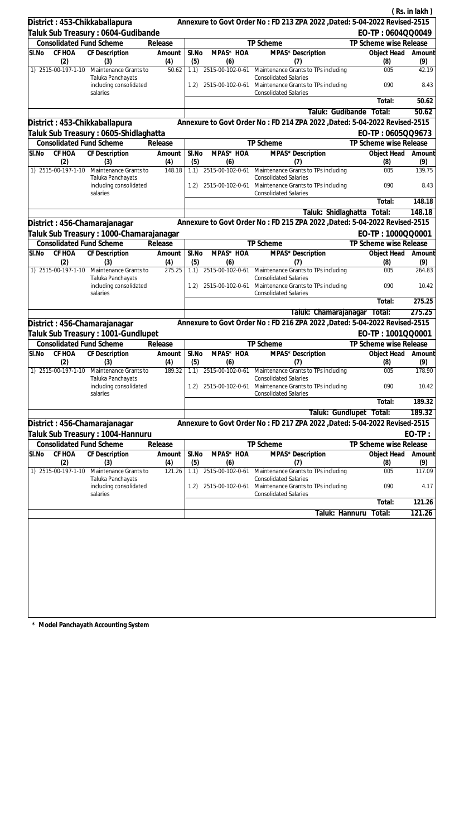|                                 |                                                         |               |              |                         |                                                                                                                      |                        | (Rs. in lakh) |
|---------------------------------|---------------------------------------------------------|---------------|--------------|-------------------------|----------------------------------------------------------------------------------------------------------------------|------------------------|---------------|
| District: 453-Chikkaballapura   |                                                         |               |              |                         | Annexure to Govt Order No: FD 213 ZPA 2022 , Dated: 5-04-2022 Revised-2515                                           |                        |               |
|                                 | Taluk Sub Treasury : 0604-Gudibande                     |               |              |                         |                                                                                                                      | EO-TP: 0604QQ0049      |               |
| <b>Consolidated Fund Scheme</b> |                                                         | Release       |              |                         | TP Scheme                                                                                                            | TP Scheme wise Release |               |
| CF HOA<br>SI.No                 | CF Description                                          | Amount        | SI.No        | MPAS* HOA               | MPAS* Description                                                                                                    | Object Head            | Amount        |
| (2)                             | (3)                                                     | (4)           | (5)          | (6)                     | (7)                                                                                                                  | (8)                    | (9)           |
| 1) 2515-00-197-1-10             | Maintenance Grants to                                   | 50.62         | 1.1)         |                         | 2515-00-102-0-61 Maintenance Grants to TPs including                                                                 | 005                    | 42.19         |
|                                 | Taluka Panchayats<br>including consolidated<br>salaries |               | 1.2)         |                         | <b>Consolidated Salaries</b><br>2515-00-102-0-61 Maintenance Grants to TPs including<br><b>Consolidated Salaries</b> | 090                    | 8.43          |
|                                 |                                                         |               |              |                         |                                                                                                                      | Total:                 | 50.62         |
|                                 |                                                         |               |              |                         | Taluk: Gudibande                                                                                                     | Total:                 | 50.62         |
| District: 453-Chikkaballapura   |                                                         |               |              |                         | Annexure to Govt Order No: FD 214 ZPA 2022 , Dated: 5-04-2022 Revised-2515                                           |                        |               |
|                                 | Taluk Sub Treasury : 0605-Shidlaghatta                  |               |              |                         |                                                                                                                      | EO-TP: 0605QQ9673      |               |
| Consolidated Fund Scheme        |                                                         | Release       |              |                         | TP Scheme                                                                                                            | TP Scheme wise Release |               |
| SI.No<br>CF HOA                 | CF Description                                          | Amount        | SI.No        | MPAS* HOA               | MPAS <sup>*</sup> Description                                                                                        | Object Head            | Amount        |
| (2)<br>1) 2515-00-197-1-10      | (3)<br>Maintenance Grants to                            | (4)<br>148.18 | (5)<br>1.1)  | (6)<br>2515-00-102-0-61 | (7)<br>Maintenance Grants to TPs including                                                                           | (8)<br>005             | (9)<br>139.75 |
|                                 | Taluka Panchayats                                       |               |              |                         | <b>Consolidated Salaries</b>                                                                                         |                        |               |
|                                 | including consolidated<br>salaries                      |               | 1.2)         | 2515-00-102-0-61        | Maintenance Grants to TPs including<br><b>Consolidated Salaries</b>                                                  | 090                    | 8.43          |
|                                 |                                                         |               |              |                         |                                                                                                                      | Total:                 | 148.18        |
|                                 |                                                         |               |              |                         | Taluk: Shidlaghatta                                                                                                  | Total:                 | 148.18        |
| District: 456-Chamarajanagar    |                                                         |               |              |                         | Annexure to Govt Order No: FD 215 ZPA 2022 , Dated: 5-04-2022 Revised-2515                                           |                        |               |
|                                 | Taluk Sub Treasury : 1000-Chamarajanagar                |               |              |                         |                                                                                                                      | EO-TP: 1000QQ0001      |               |
| <b>Consolidated Fund Scheme</b> |                                                         | Release       |              |                         | TP Scheme                                                                                                            | TP Scheme wise Release |               |
| CF HOA<br>SI.No<br>(2)          | CF Description<br>(3)                                   | Amount<br>(4) | SI.No<br>(5) | MPAS* HOA<br>(6)        | MPAS* Description<br>(7)                                                                                             | Object Head<br>(8)     | Amount<br>(9) |
| 1) 2515-00-197-1-10             | Maintenance Grants to                                   | 275.25        | 1.1)         |                         | 2515-00-102-0-61 Maintenance Grants to TPs including                                                                 | 005                    | 264.83        |
|                                 | Taluka Panchayats<br>including consolidated<br>salaries |               | 1.2)         | 2515-00-102-0-61        | <b>Consolidated Salaries</b><br>Maintenance Grants to TPs including<br><b>Consolidated Salaries</b>                  | 090                    | 10.42         |
|                                 |                                                         |               |              |                         |                                                                                                                      | Total:                 | 275.25        |
|                                 |                                                         |               |              |                         | Taluk: Chamarajanagar                                                                                                | Total:                 | 275.25        |
| District: 456-Chamarajanagar    |                                                         |               |              |                         | Annexure to Govt Order No: FD 216 ZPA 2022 , Dated: 5-04-2022 Revised-2515                                           |                        |               |
|                                 | Taluk Sub Treasury: 1001-Gundlupet                      |               |              |                         |                                                                                                                      | EO-TP: 1001QQ0001      |               |
| <b>Consolidated Fund Scheme</b> |                                                         | Release       |              |                         | TP Scheme                                                                                                            | TP Scheme wise Release |               |
| SI.No CF HOA CF Description     |                                                         | Amount        | SI.No        | MPAS* HOA               | MPAS* Description                                                                                                    | Object Head Amount     |               |
| (2)                             | (3)                                                     | (4)           | (5)          | (6)                     | (7)                                                                                                                  | (8)                    | (9)           |
| 1) 2515-00-197-1-10             | Maintenance Grants to<br>Taluka Panchayats              | 189.32        |              | 1.1) 2515-00-102-0-61   | Maintenance Grants to TPs including<br><b>Consolidated Salaries</b>                                                  | 005                    | 178.90        |
|                                 | including consolidated<br>salaries                      |               | 1.2)         | 2515-00-102-0-61        | Maintenance Grants to TPs including<br><b>Consolidated Salaries</b>                                                  | 090                    | 10.42         |
|                                 |                                                         |               |              |                         |                                                                                                                      | Total:                 | 189.32        |
|                                 |                                                         |               |              |                         | Taluk: Gundlupet                                                                                                     | Total:                 | 189.32        |
| District: 456-Chamarajanagar    |                                                         |               |              |                         | Annexure to Govt Order No: FD 217 ZPA 2022, Dated: 5-04-2022 Revised-2515                                            |                        |               |
|                                 | Taluk Sub Treasury : 1004-Hannuru                       |               |              |                         |                                                                                                                      |                        | $EO-TP:$      |
| <b>Consolidated Fund Scheme</b> |                                                         | Release       |              |                         | TP Scheme                                                                                                            | TP Scheme wise Release |               |
| CF HOA<br>SI.No<br>(2)          | <b>CF Description</b><br>(3)                            | Amount<br>(4) | SI.No<br>(5) | MPAS* HOA<br>(6)        | MPAS* Description<br>(7)                                                                                             | Object Head<br>(8)     | Amount<br>(9) |
| 1) 2515-00-197-1-10             | Maintenance Grants to                                   | 121.26        | 1.1)         | 2515-00-102-0-61        | Maintenance Grants to TPs including                                                                                  | 005                    | 117.09        |
|                                 | Taluka Panchayats<br>including consolidated<br>salaries |               | 1.2)         | 2515-00-102-0-61        | <b>Consolidated Salaries</b><br>Maintenance Grants to TPs including<br><b>Consolidated Salaries</b>                  | 090                    | 4.17          |
|                                 |                                                         |               |              |                         |                                                                                                                      | Total:                 | 121.26        |
|                                 |                                                         |               |              |                         | Taluk: Hannuru                                                                                                       | Total:                 | 121.26        |
|                                 |                                                         |               |              |                         |                                                                                                                      |                        |               |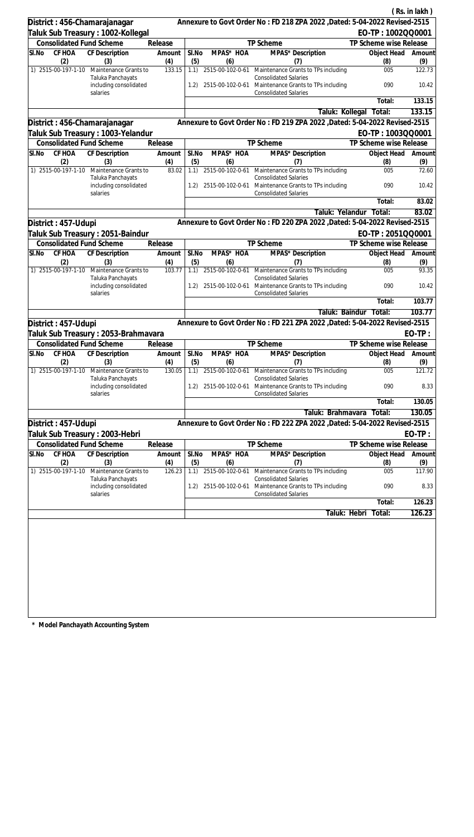|                                    |                                                         |               |              |                              |                                                                            |                           | (Rs. in lakh) |
|------------------------------------|---------------------------------------------------------|---------------|--------------|------------------------------|----------------------------------------------------------------------------|---------------------------|---------------|
| District: 456-Chamarajanagar       |                                                         |               |              |                              | Annexure to Govt Order No: FD 218 ZPA 2022 , Dated: 5-04-2022 Revised-2515 |                           |               |
|                                    | Taluk Sub Treasury : 1002-Kollegal                      |               |              |                              |                                                                            | EO-TP: 1002QQ0001         |               |
| <b>Consolidated Fund Scheme</b>    |                                                         | Release       |              |                              | TP Scheme                                                                  | TP Scheme wise Release    |               |
| CF HOA<br>SI.No                    | CF Description                                          | Amount        | SI.No        | MPAS* HOA                    | MPAS* Description                                                          | Object Head               | Amount        |
| (2)<br>1) 2515-00-197-1-10         | (3)<br>Maintenance Grants to                            | (4)<br>133.15 | (5)<br>1.1)  | (6)<br>2515-00-102-0-61      | (7)<br>Maintenance Grants to TPs including                                 | (8)<br>005                | (9)<br>122.73 |
|                                    | Taluka Panchayats                                       |               |              |                              | <b>Consolidated Salaries</b>                                               |                           |               |
|                                    | including consolidated<br>salaries                      |               |              | 1.2) 2515-00-102-0-61        | Maintenance Grants to TPs including<br><b>Consolidated Salaries</b>        | 090                       | 10.42         |
|                                    |                                                         |               |              |                              |                                                                            | Total:                    | 133.15        |
|                                    |                                                         |               |              |                              | Taluk: Kollegal                                                            | Total:                    | 133.15        |
| District : 456-Chamarajanagar      |                                                         |               |              |                              | Annexure to Govt Order No: FD 219 ZPA 2022 , Dated: 5-04-2022 Revised-2515 |                           |               |
|                                    | Taluk Sub Treasury : 1003-Yelandur                      |               |              |                              |                                                                            | EO-TP: 1003QQ0001         |               |
| <b>Consolidated Fund Scheme</b>    |                                                         | Release       |              |                              | TP Scheme                                                                  | TP Scheme wise Release    |               |
| CF HOA<br>SI.No<br>(2)             | CF Description<br>(3)                                   | Amount<br>(4) | SI.No<br>(5) | MPAS* HOA<br>(6)             | MPAS <sup>*</sup> Description<br>(7)                                       | Object Head<br>(8)        | Amount<br>(9) |
| 1) 2515-00-197-1-10                | Maintenance Grants to                                   | 83.02         | 1.1)         | 2515-00-102-0-61             | Maintenance Grants to TPs including<br><b>Consolidated Salaries</b>        | 005                       | 72.60         |
|                                    | Taluka Panchayats<br>including consolidated<br>salaries |               | 1.2)         | 2515-00-102-0-61             | Maintenance Grants to TPs including<br><b>Consolidated Salaries</b>        | 090                       | 10.42         |
|                                    |                                                         |               |              |                              |                                                                            | Total:                    | 83.02         |
|                                    |                                                         |               |              |                              | Taluk: Yelandur                                                            | Total:                    | 83.02         |
| District: 457-Udupi                |                                                         |               |              |                              | Annexure to Govt Order No: FD 220 ZPA 2022 , Dated: 5-04-2022 Revised-2515 |                           |               |
|                                    | Taluk Sub Treasury : 2051-Baindur                       |               |              |                              |                                                                            | EO-TP: 2051QQ0001         |               |
| <b>Consolidated Fund Scheme</b>    |                                                         | Release       |              |                              | TP Scheme                                                                  | TP Scheme wise Release    |               |
| CF HOA<br>SI.No                    | CF Description                                          | Amount        | SI.No        | MPAS* HOA                    | MPAS* Description                                                          | Object Head               | Amount        |
| (2)<br>1) 2515-00-197-1-10         | (3)<br>Maintenance Grants to                            | (4)<br>103.77 | (5)          | (6)<br>1.1) 2515-00-102-0-61 | (7)<br>Maintenance Grants to TPs including                                 | (8)<br>005                | (9)<br>93.35  |
|                                    | Taluka Panchayats<br>including consolidated             |               | 1.2)         | 2515-00-102-0-61             | <b>Consolidated Salaries</b><br>Maintenance Grants to TPs including        | 090                       | 10.42         |
|                                    | salaries                                                |               |              |                              | <b>Consolidated Salaries</b>                                               |                           |               |
|                                    |                                                         |               |              |                              |                                                                            | Total:                    | 103.77        |
|                                    |                                                         |               |              |                              |                                                                            | Taluk: Baindur Total:     | 103.77        |
| District: 457-Udupi                |                                                         |               |              |                              | Annexure to Govt Order No: FD 221 ZPA 2022 , Dated: 5-04-2022 Revised-2515 |                           |               |
|                                    | Taluk Sub Treasury : 2053-Brahmavara                    |               |              |                              |                                                                            |                           | $EO-TP:$      |
| <b>Consolidated Fund Scheme</b>    |                                                         | Release       |              |                              | <b>TP Scheme</b>                                                           | TP Scheme wise Release    |               |
| SI.No CF HOA CF Description<br>(2) | (3)                                                     | Amount<br>(4) | SI.No<br>(5) | MPAS* HOA<br>(6)             | MPAS* Description<br>(7)                                                   | Object Head Amount<br>(8) | (9)           |
| 1) 2515-00-197-1-10                | Maintenance Grants to<br>Taluka Panchayats              | 130.05        | 1.1)         | 2515-00-102-0-61             | Maintenance Grants to TPs including<br><b>Consolidated Salaries</b>        | 005                       | 121.72        |
|                                    | including consolidated<br>salaries                      |               | 1.2)         | 2515-00-102-0-61             | Maintenance Grants to TPs including<br><b>Consolidated Salaries</b>        | 090                       | 8.33          |
|                                    |                                                         |               |              |                              |                                                                            | Total:                    | 130.05        |
|                                    |                                                         |               |              |                              | Taluk: Brahmavara                                                          | Total:                    | 130.05        |
| District: 457-Udupi                |                                                         |               |              |                              | Annexure to Govt Order No: FD 222 ZPA 2022 , Dated: 5-04-2022 Revised-2515 |                           |               |
| Taluk Sub Treasury : 2003-Hebri    |                                                         |               |              |                              |                                                                            |                           | $EO-TP:$      |
| <b>Consolidated Fund Scheme</b>    |                                                         | Release       |              |                              | TP Scheme                                                                  | TP Scheme wise Release    |               |
| CF HOA<br>SI.No<br>(2)             | <b>CF Description</b><br>(3)                            | Amount<br>(4) | SI.No<br>(5) | MPAS* HOA<br>(6)             | MPAS* Description<br>(7)                                                   | Object Head<br>(8)        | Amount<br>(9) |
| 1) 2515-00-197-1-10                | Maintenance Grants to<br>Taluka Panchayats              | 126.23        | 1.1)         | 2515-00-102-0-61             | Maintenance Grants to TPs including<br><b>Consolidated Salaries</b>        | 005                       | 117.90        |
|                                    | including consolidated<br>salaries                      |               | 1.2)         | 2515-00-102-0-61             | Maintenance Grants to TPs including<br><b>Consolidated Salaries</b>        | 090                       | 8.33          |
|                                    |                                                         |               |              |                              |                                                                            | Total:                    | 126.23        |
|                                    |                                                         |               |              |                              | Taluk: Hebri                                                               | Total:                    | 126.23        |
|                                    |                                                         |               |              |                              |                                                                            |                           |               |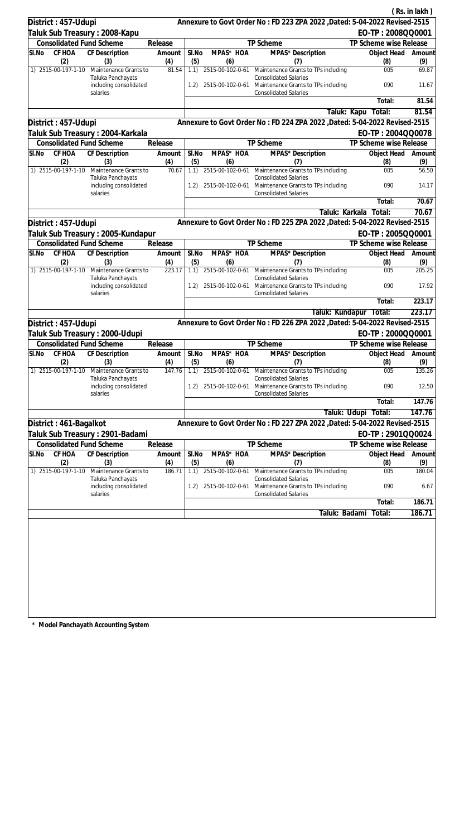|                                 |                                             |               |              |                         |                                                                                      |                        | (Rs. in lakh) |
|---------------------------------|---------------------------------------------|---------------|--------------|-------------------------|--------------------------------------------------------------------------------------|------------------------|---------------|
| District: 457-Udupi             |                                             |               |              |                         | Annexure to Govt Order No: FD 223 ZPA 2022 , Dated: 5-04-2022 Revised-2515           |                        |               |
|                                 | Taluk Sub Treasury: 2008-Kapu               |               |              |                         |                                                                                      | EO-TP: 2008QQ0001      |               |
| <b>Consolidated Fund Scheme</b> |                                             | Release       |              |                         | TP Scheme                                                                            | TP Scheme wise Release |               |
| CF HOA<br>SI.No<br>(2)          | CF Description<br>(3)                       | Amount<br>(4) | SI.No<br>(5) | MPAS* HOA<br>(6)        | MPAS* Description<br>(7)                                                             | Object Head<br>(8)     | Amount        |
| 1) 2515-00-197-1-10             | Maintenance Grants to                       | 81.54         | 1.1)         |                         | 2515-00-102-0-61 Maintenance Grants to TPs including                                 | 005                    | (9)<br>69.87  |
|                                 | Taluka Panchayats<br>including consolidated |               | 1.2)         |                         | <b>Consolidated Salaries</b><br>2515-00-102-0-61 Maintenance Grants to TPs including | 090                    | 11.67         |
|                                 | salaries                                    |               |              |                         | <b>Consolidated Salaries</b>                                                         | Total:                 | 81.54         |
|                                 |                                             |               |              |                         |                                                                                      | Taluk: Kapu<br>Total:  | 81.54         |
| District: 457-Udupi             |                                             |               |              |                         | Annexure to Govt Order No: FD 224 ZPA 2022 , Dated: 5-04-2022 Revised-2515           |                        |               |
|                                 | Taluk Sub Treasury : 2004-Karkala           |               |              |                         |                                                                                      | EO-TP: 2004QQ0078      |               |
| <b>Consolidated Fund Scheme</b> |                                             | Release       |              |                         | TP Scheme                                                                            | TP Scheme wise Release |               |
| CF HOA<br>SI.No                 | CF Description                              | Amount        | SI.No        | MPAS* HOA               | MPAS* Description                                                                    | Object Head            | Amount        |
| (2)                             | (3)                                         | (4)           | (5)          | (6)                     | (7)                                                                                  | (8)                    | (9)           |
| 1) 2515-00-197-1-10             | Maintenance Grants to<br>Taluka Panchayats  | 70.67         | 1.1)         |                         | 2515-00-102-0-61 Maintenance Grants to TPs including<br><b>Consolidated Salaries</b> | 005                    | 56.50         |
|                                 | including consolidated<br>salaries          |               | 1.2)         |                         | 2515-00-102-0-61 Maintenance Grants to TPs including<br><b>Consolidated Salaries</b> | 090                    | 14.17         |
|                                 |                                             |               |              |                         |                                                                                      | Total:                 | 70.67         |
|                                 |                                             |               |              |                         | Taluk: Karkala                                                                       | Total:                 | 70.67         |
| District: 457-Udupi             |                                             |               |              |                         | Annexure to Govt Order No: FD 225 ZPA 2022 , Dated: 5-04-2022 Revised-2515           |                        |               |
|                                 | Taluk Sub Treasury : 2005-Kundapur          |               |              |                         |                                                                                      | EO-TP: 2005QQ0001      |               |
| <b>Consolidated Fund Scheme</b> |                                             | Release       |              |                         | TP Scheme                                                                            | TP Scheme wise Release |               |
| SI.No<br>CF HOA<br>(2)          | CF Description<br>(3)                       | Amount<br>(4) | SI.No<br>(5) | MPAS* HOA<br>(6)        | MPAS* Description<br>(7)                                                             | Object Head<br>(8)     | Amount<br>(9) |
| 1) 2515-00-197-1-10             | Maintenance Grants to<br>Taluka Panchayats  | 223.17        | 1.1)         | 2515-00-102-0-61        | Maintenance Grants to TPs including<br><b>Consolidated Salaries</b>                  | 005                    | 205.25        |
|                                 | including consolidated<br>salaries          |               | 1.2)         | 2515-00-102-0-61        | Maintenance Grants to TPs including<br><b>Consolidated Salaries</b>                  | 090                    | 17.92         |
|                                 |                                             |               |              |                         |                                                                                      | Total:                 | 223.17        |
|                                 |                                             |               |              |                         | Taluk: Kundapur                                                                      | Total:                 | 223.17        |
| District: 457-Udupi             |                                             |               |              |                         | Annexure to Govt Order No: FD 226 ZPA 2022 , Dated: 5-04-2022 Revised-2515           |                        |               |
|                                 | Taluk Sub Treasury: 2000-Udupi              |               |              |                         |                                                                                      | EO-TP: 2000QQ0001      |               |
| <b>Consolidated Fund Scheme</b> |                                             | Release       |              |                         | TP Scheme                                                                            | TP Scheme wise Release |               |
| SI.No<br>CF HOA                 | CF Description                              | Amount        | SI.No        | MPAS* HOA               | MPAS* Description                                                                    | Object Head            | Amount        |
| (2)<br>1) 2515-00-197-1-10      | (3)<br>Maintenance Grants to                | (4)<br>147.76 | (5)<br>1.1)  | (6)<br>2515-00-102-0-61 | (7)<br>Maintenance Grants to TPs including                                           | (8)<br>005             | (9)<br>135.26 |
|                                 | Taluka Panchayats<br>including consolidated |               | 1.2)         |                         | <b>Consolidated Salaries</b><br>2515-00-102-0-61 Maintenance Grants to TPs including | 090                    | 12.50         |
|                                 | salaries                                    |               |              |                         | <b>Consolidated Salaries</b>                                                         | Total:                 | 147.76        |
|                                 |                                             |               |              |                         |                                                                                      | Taluk: Udupi Total:    | 147.76        |
| District: 461-Bagalkot          |                                             |               |              |                         | Annexure to Govt Order No: FD 227 ZPA 2022, Dated: 5-04-2022 Revised-2515            |                        |               |
|                                 | Taluk Sub Treasury : 2901-Badami            |               |              |                         |                                                                                      | EO-TP: 2901QQ0024      |               |
| <b>Consolidated Fund Scheme</b> |                                             | Release       |              |                         | TP Scheme                                                                            | TP Scheme wise Release |               |
| SI.No<br>CF HOA                 | CF Description                              | Amount        | SI.No        | MPAS* HOA               | MPAS* Description                                                                    | Object Head            | Amount        |
| (2)                             | (3)                                         | (4)           | (5)          | (6)                     | (7)                                                                                  | (8)                    | (9)           |
| 1) 2515-00-197-1-10             | Maintenance Grants to<br>Taluka Panchayats  | 186.71        | 1.1)         | 2515-00-102-0-61        | Maintenance Grants to TPs including<br><b>Consolidated Salaries</b>                  | 005                    | 180.04        |
|                                 | including consolidated<br>salaries          |               | 1.2)         | 2515-00-102-0-61        | Maintenance Grants to TPs including<br><b>Consolidated Salaries</b>                  | 090                    | 6.67          |
|                                 |                                             |               |              |                         |                                                                                      | Total:                 | 186.71        |
|                                 |                                             |               |              |                         | Taluk: Badami                                                                        | Total:                 | 186.71        |
|                                 |                                             |               |              |                         |                                                                                      |                        |               |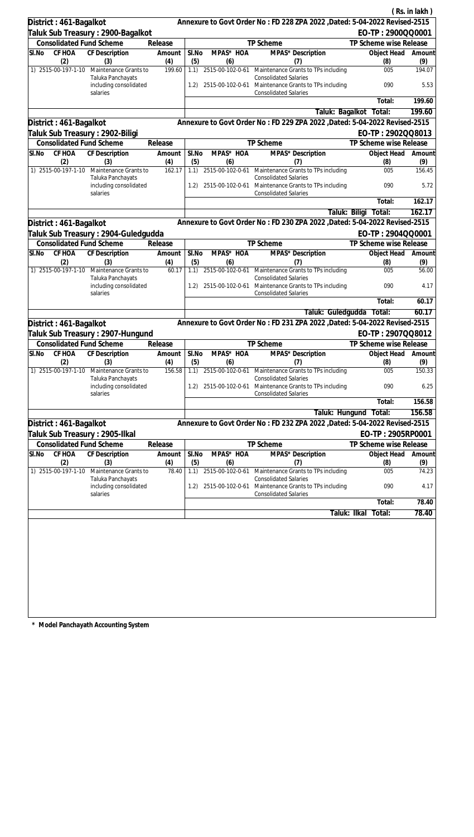|                                  |                                                                |               |              |                         |                                                                                                                      |                         | (Rs. in lakh)      |
|----------------------------------|----------------------------------------------------------------|---------------|--------------|-------------------------|----------------------------------------------------------------------------------------------------------------------|-------------------------|--------------------|
| District: 461-Bagalkot           |                                                                |               |              |                         | Annexure to Govt Order No: FD 228 ZPA 2022 , Dated: 5-04-2022 Revised-2515                                           |                         |                    |
|                                  | Taluk Sub Treasury: 2900-Bagalkot                              |               |              |                         |                                                                                                                      | EO-TP: 2900QQ0001       |                    |
| <b>Consolidated Fund Scheme</b>  |                                                                | Release       |              |                         | TP Scheme                                                                                                            | TP Scheme wise Release  |                    |
| CF HOA<br>SI.No<br>(2)           | CF Description<br>(3)                                          | Amount<br>(4) | SI.No<br>(5) | MPAS* HOA<br>(6)        | MPAS* Description<br>(7)                                                                                             | Object Head<br>(8)      | Amount<br>(9)      |
| 1) 2515-00-197-1-10              | Maintenance Grants to                                          | 199.60        | 1.1)         |                         | 2515-00-102-0-61 Maintenance Grants to TPs including                                                                 | 005                     | 194.07             |
|                                  | Taluka Panchayats<br>including consolidated<br>salaries        |               | 1.2)         |                         | <b>Consolidated Salaries</b><br>2515-00-102-0-61 Maintenance Grants to TPs including<br><b>Consolidated Salaries</b> | 090                     | 5.53               |
|                                  |                                                                |               |              |                         |                                                                                                                      | Total:                  | 199.60             |
|                                  |                                                                |               |              |                         | Taluk: Bagalkot                                                                                                      | Total:                  | 199.60             |
| District: 461-Bagalkot           |                                                                |               |              |                         | Annexure to Govt Order No: FD 229 ZPA 2022 , Dated: 5-04-2022 Revised-2515                                           |                         |                    |
| Taluk Sub Treasury : 2902-Biligi |                                                                |               |              |                         |                                                                                                                      | EO-TP: 2902QQ8013       |                    |
| Consolidated Fund Scheme         |                                                                | Release       |              |                         | TP Scheme                                                                                                            | TP Scheme wise Release  |                    |
| SI.No<br>CF HOA                  | CF Description                                                 | Amount        | SI.No        | MPAS* HOA               | MPAS <sup>*</sup> Description                                                                                        | Object Head             | Amount             |
| (2)                              | (3)                                                            | (4)           | (5)          | (6)                     | (7)                                                                                                                  | (8)                     | (9)                |
|                                  | 1) 2515-00-197-1-10 Maintenance Grants to<br>Taluka Panchayats | 162.17        | 1.1)         | 2515-00-102-0-61        | Maintenance Grants to TPs including<br><b>Consolidated Salaries</b>                                                  | 005                     | 156.45             |
|                                  | including consolidated<br>salaries                             |               | 1.2)         | 2515-00-102-0-61        | Maintenance Grants to TPs including<br><b>Consolidated Salaries</b>                                                  | 090                     | 5.72               |
|                                  |                                                                |               |              |                         |                                                                                                                      | Total:                  | 162.17             |
|                                  |                                                                |               |              |                         |                                                                                                                      | Taluk: Biligi<br>Total: | 162.17             |
| District: 461-Bagalkot           |                                                                |               |              |                         | Annexure to Govt Order No: FD 230 ZPA 2022 , Dated: 5-04-2022 Revised-2515                                           |                         |                    |
|                                  | Taluk Sub Treasury : 2904-Guledgudda                           |               |              |                         |                                                                                                                      | EO-TP: 2904QQ0001       |                    |
| <b>Consolidated Fund Scheme</b>  |                                                                | Release       |              |                         | TP Scheme                                                                                                            | TP Scheme wise Release  |                    |
| CF HOA<br>SI.No<br>(2)           | CF Description<br>(3)                                          | Amount<br>(4) | SI.No<br>(5) | MPAS* HOA<br>(6)        | MPAS* Description<br>(7)                                                                                             | Object Head<br>(8)      | Amount<br>(9)      |
| 1) 2515-00-197-1-10              | Maintenance Grants to<br>Taluka Panchayats                     | 60.17         | 1.1)         | 2515-00-102-0-61        | Maintenance Grants to TPs including<br><b>Consolidated Salaries</b>                                                  | 005                     | 56.00              |
|                                  | including consolidated<br>salaries                             |               | 1.2)         | 2515-00-102-0-61        | Maintenance Grants to TPs including<br><b>Consolidated Salaries</b>                                                  | 090                     | 4.17               |
|                                  |                                                                |               |              |                         |                                                                                                                      | Total:                  | 60.17              |
|                                  |                                                                |               |              |                         | Taluk: Guledgudda                                                                                                    | Total:                  | 60.17              |
| District: 461-Bagalkot           |                                                                |               |              |                         | Annexure to Govt Order No: FD 231 ZPA 2022 , Dated: 5-04-2022 Revised-2515                                           |                         |                    |
|                                  | Taluk Sub Treasury: 2907-Hungund                               |               |              |                         |                                                                                                                      | EO-TP: 2907QQ8012       |                    |
| <b>Consolidated Fund Scheme</b>  |                                                                | Release       |              |                         | TP Scheme                                                                                                            | TP Scheme wise Release  |                    |
| SI.No CF HOA CF Description      |                                                                | Amount        | SI.No        | MPAS* HOA               | MPAS* Description                                                                                                    |                         | Object Head Amount |
| (2)<br>1) 2515-00-197-1-10       | (3)<br>Maintenance Grants to                                   | (4)<br>156.58 | (5)<br>1.1)  | (6)<br>2515-00-102-0-61 | (7)<br>Maintenance Grants to TPs including                                                                           | (8)<br>005              | (9)<br>150.33      |
|                                  | Taluka Panchayats<br>including consolidated                    |               | 1.2)         | 2515-00-102-0-61        | <b>Consolidated Salaries</b><br>Maintenance Grants to TPs including                                                  | 090                     | 6.25               |
|                                  | salaries                                                       |               |              |                         | <b>Consolidated Salaries</b>                                                                                         |                         |                    |
|                                  |                                                                |               |              |                         |                                                                                                                      | Total:                  | 156.58             |
|                                  |                                                                |               |              |                         | Taluk: Hungund                                                                                                       | Total:                  | 156.58             |
| District: 461-Bagalkot           |                                                                |               |              |                         | Annexure to Govt Order No: FD 232 ZPA 2022 , Dated: 5-04-2022 Revised-2515                                           |                         |                    |
| Taluk Sub Treasury : 2905-Ilkal  |                                                                |               |              |                         |                                                                                                                      | EO-TP: 2905RP0001       |                    |
| <b>Consolidated Fund Scheme</b>  |                                                                | Release       |              |                         | TP Scheme                                                                                                            | TP Scheme wise Release  |                    |
| CF HOA<br>SI.No<br>(2)           | CF Description<br>(3)                                          | Amount<br>(4) | SI.No<br>(5) | MPAS* HOA<br>(6)        | MPAS* Description<br>(7)                                                                                             | Object Head<br>(8)      | Amount<br>(9)      |
| 1) 2515-00-197-1-10              | Maintenance Grants to                                          | 78.40         | 1.1)         | 2515-00-102-0-61        | Maintenance Grants to TPs including                                                                                  | 005                     | 74.23              |
|                                  | Taluka Panchayats<br>including consolidated<br>salaries        |               | 1.2)         | 2515-00-102-0-61        | <b>Consolidated Salaries</b><br>Maintenance Grants to TPs including<br><b>Consolidated Salaries</b>                  | 090                     | 4.17               |
|                                  |                                                                |               |              |                         |                                                                                                                      | Total:                  | 78.40              |
|                                  |                                                                |               |              |                         |                                                                                                                      | Taluk: Ilkal<br>Total:  | 78.40              |
|                                  |                                                                |               |              |                         |                                                                                                                      |                         |                    |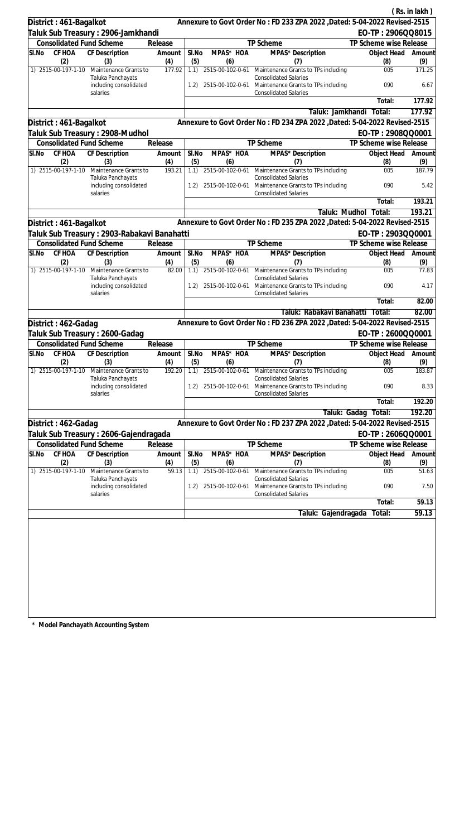|                            |                                              |               |              |                  |                                                                                      |                        | (Rs. in lakh) |
|----------------------------|----------------------------------------------|---------------|--------------|------------------|--------------------------------------------------------------------------------------|------------------------|---------------|
| District: 461-Bagalkot     |                                              |               |              |                  | Annexure to Govt Order No: FD 233 ZPA 2022 , Dated: 5-04-2022 Revised-2515           |                        |               |
|                            | Taluk Sub Treasury : 2906-Jamkhandi          |               |              |                  |                                                                                      | EO-TP: 2906QQ8015      |               |
|                            | <b>Consolidated Fund Scheme</b>              | Release       |              |                  | TP Scheme                                                                            | TP Scheme wise Release |               |
| CF HOA<br>SI.No            | CF Description                               | Amount        | SI.No        | MPAS* HOA        | MPAS* Description                                                                    | Object Head            | Amount        |
| (2)<br>1) 2515-00-197-1-10 | (3)<br>Maintenance Grants to                 | (4)<br>177.92 | (5)<br>1.1)  | (6)              | (7)<br>2515-00-102-0-61 Maintenance Grants to TPs including                          | (8)<br>005             | (9)<br>171.25 |
|                            | Taluka Panchayats<br>including consolidated  |               | 1.2)         |                  | <b>Consolidated Salaries</b><br>2515-00-102-0-61 Maintenance Grants to TPs including | 090                    | 6.67          |
|                            | salaries                                     |               |              |                  | <b>Consolidated Salaries</b>                                                         | Total:                 | 177.92        |
|                            |                                              |               |              |                  | Taluk: Jamkhandi                                                                     | Total:                 | 177.92        |
| District: 461-Bagalkot     |                                              |               |              |                  | Annexure to Govt Order No: FD 234 ZPA 2022 , Dated: 5-04-2022 Revised-2515           |                        |               |
|                            | Taluk Sub Treasury: 2908-Mudhol              |               |              |                  |                                                                                      | EO-TP: 2908QQ0001      |               |
|                            | <b>Consolidated Fund Scheme</b>              | Release       |              |                  | TP Scheme                                                                            | TP Scheme wise Release |               |
| CF HOA<br>SI.No            | CF Description                               | Amount        | SI.No        | MPAS* HOA        | MPAS* Description                                                                    | Object Head            | Amount        |
| (2)                        | (3)                                          | (4)           | (5)          | (6)              | (7)                                                                                  | (8)                    | (9)           |
| 1) 2515-00-197-1-10        | Maintenance Grants to<br>Taluka Panchayats   | 193.21        | 1.1)         |                  | 2515-00-102-0-61 Maintenance Grants to TPs including<br><b>Consolidated Salaries</b> | 005                    | 187.79        |
|                            | including consolidated<br>salaries           |               | 1.2)         |                  | 2515-00-102-0-61 Maintenance Grants to TPs including<br><b>Consolidated Salaries</b> | 090                    | 5.42          |
|                            |                                              |               |              |                  |                                                                                      | Total:                 | 193.21        |
|                            |                                              |               |              |                  | Taluk: Mudhol                                                                        | Total:                 | 193.21        |
| District: 461-Bagalkot     |                                              |               |              |                  | Annexure to Govt Order No: FD 235 ZPA 2022 , Dated: 5-04-2022 Revised-2515           |                        |               |
|                            | Taluk Sub Treasury : 2903-Rabakavi Banahatti |               |              |                  |                                                                                      | EO-TP: 2903QQ0001      |               |
|                            | <b>Consolidated Fund Scheme</b>              | Release       |              |                  | TP Scheme                                                                            | TP Scheme wise Release |               |
| SI.No<br>CF HOA<br>(2)     | CF Description<br>(3)                        | Amount<br>(4) | SI.No<br>(5) | MPAS* HOA<br>(6) | MPAS* Description<br>(7)                                                             | Object Head<br>(8)     | Amount<br>(9) |
| 1) 2515-00-197-1-10        | Maintenance Grants to<br>Taluka Panchayats   | 82.00         | 1.1)         |                  | 2515-00-102-0-61 Maintenance Grants to TPs including<br><b>Consolidated Salaries</b> | 005                    | 77.83         |
|                            | including consolidated<br>salaries           |               | 1.2)         | 2515-00-102-0-61 | Maintenance Grants to TPs including<br><b>Consolidated Salaries</b>                  | 090                    | 4.17          |
|                            |                                              |               |              |                  |                                                                                      | Total:                 | 82.00         |
|                            |                                              |               |              |                  | Taluk: Rabakavi Banahatti Total:                                                     |                        | 82.00         |
| District: 462-Gadag        |                                              |               |              |                  | Annexure to Govt Order No: FD 236 ZPA 2022 , Dated: 5-04-2022 Revised-2515           |                        |               |
|                            | Taluk Sub Treasury: 2600-Gadag               |               |              |                  |                                                                                      | EO-TP: 2600QQ0001      |               |
|                            | <b>Consolidated Fund Scheme</b>              | Release       |              |                  | TP Scheme                                                                            | TP Scheme wise Release |               |
| SI.No<br>CF HOA<br>(2)     | CF Description<br>(3)                        | Amount<br>(4) | SI.No<br>(5) | MPAS* HOA<br>(6) | MPAS* Description<br>(7)                                                             | Object Head<br>(8)     | Amount<br>(9) |
| 1) 2515-00-197-1-10        | Maintenance Grants to<br>Taluka Panchayats   | 192.20        | 1.1)         | 2515-00-102-0-61 | Maintenance Grants to TPs including<br><b>Consolidated Salaries</b>                  | 005                    | 183.87        |
|                            | including consolidated<br>salaries           |               | 1.2)         |                  | 2515-00-102-0-61 Maintenance Grants to TPs including<br><b>Consolidated Salaries</b> | 090                    | 8.33          |
|                            |                                              |               |              |                  |                                                                                      | Total:                 | 192.20        |
|                            |                                              |               |              |                  | Taluk: Gadag                                                                         | Total:                 | 192.20        |
| District: 462-Gadag        |                                              |               |              |                  | Annexure to Govt Order No: FD 237 ZPA 2022, Dated: 5-04-2022 Revised-2515            |                        |               |
|                            | Taluk Sub Treasury : 2606-Gajendragada       |               |              |                  |                                                                                      | EO-TP: 2606QQ0001      |               |
|                            | <b>Consolidated Fund Scheme</b>              | Release       |              |                  | TP Scheme                                                                            | TP Scheme wise Release |               |
| CF HOA<br>SI.No<br>(2)     | <b>CF Description</b><br>(3)                 | Amount<br>(4) | SI.No<br>(5) | MPAS* HOA<br>(6) | MPAS* Description<br>(7)                                                             | Object Head<br>(8)     | Amount<br>(9) |
| 1) 2515-00-197-1-10        | Maintenance Grants to<br>Taluka Panchayats   | 59.13         | 1.1)         | 2515-00-102-0-61 | Maintenance Grants to TPs including<br><b>Consolidated Salaries</b>                  | 005                    | 51.63         |
|                            | including consolidated<br>salaries           |               | 1.2)         | 2515-00-102-0-61 | Maintenance Grants to TPs including<br><b>Consolidated Salaries</b>                  | 090                    | 7.50          |
|                            |                                              |               |              |                  |                                                                                      | Total:                 | 59.13         |
|                            |                                              |               |              |                  | Taluk: Gajendragada                                                                  | Total:                 | 59.13         |
|                            |                                              |               |              |                  |                                                                                      |                        |               |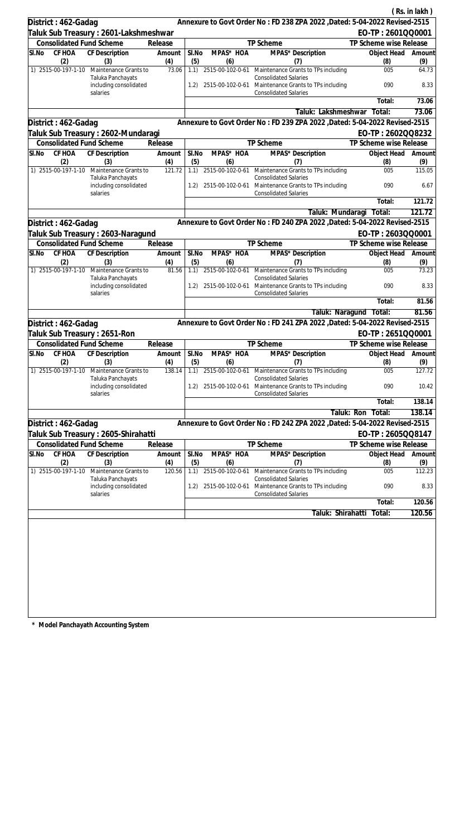|                                 |                                            |                |              |                              |                                                                                           |                        | (Rs. in lakh) |
|---------------------------------|--------------------------------------------|----------------|--------------|------------------------------|-------------------------------------------------------------------------------------------|------------------------|---------------|
| District: 462-Gadag             |                                            |                |              |                              | Annexure to Govt Order No: FD 238 ZPA 2022 , Dated: 5-04-2022 Revised-2515                |                        |               |
|                                 | Taluk Sub Treasury: 2601-Lakshmeshwar      |                |              |                              |                                                                                           | EO-TP: 2601QQ0001      |               |
| <b>Consolidated Fund Scheme</b> |                                            | Release        |              |                              | TP Scheme                                                                                 | TP Scheme wise Release |               |
| CF HOA<br>SI.No                 | CF Description                             | Amount         | SI.No        | MPAS* HOA                    | MPAS* Description                                                                         | Object Head            | Amount        |
| (2)<br>1) 2515-00-197-1-10      | (3)                                        | (4)<br>73.06   | (5)          | (6)                          | (7)                                                                                       | (8)<br>005             | (9)<br>64.73  |
|                                 | Maintenance Grants to<br>Taluka Panchayats |                | 1.1)         |                              | 2515-00-102-0-61 Maintenance Grants to TPs including<br><b>Consolidated Salaries</b>      |                        |               |
|                                 | including consolidated<br>salaries         |                |              |                              | 1.2) 2515-00-102-0-61 Maintenance Grants to TPs including<br><b>Consolidated Salaries</b> | 090                    | 8.33          |
|                                 |                                            |                |              |                              |                                                                                           | Total:                 | 73.06         |
|                                 |                                            |                |              |                              | Taluk: Lakshmeshwar                                                                       | Total:                 | 73.06         |
| District: 462-Gadag             |                                            |                |              |                              | Annexure to Govt Order No: FD 239 ZPA 2022 , Dated: 5-04-2022 Revised-2515                |                        |               |
|                                 | Taluk Sub Treasury : 2602-Mundaragi        |                |              |                              |                                                                                           | EO-TP: 2602QQ8232      |               |
| <b>Consolidated Fund Scheme</b> |                                            | Release        |              |                              | TP Scheme                                                                                 | TP Scheme wise Release |               |
| SI.No<br>CF HOA<br>(2)          | CF Description<br>(3)                      | Amount<br>(4)  | SI.No<br>(5) | MPAS* HOA<br>(6)             | MPAS* Description<br>(7)                                                                  | Object Head<br>(8)     | Amount<br>(9) |
| 1) 2515-00-197-1-10             | Maintenance Grants to<br>Taluka Panchayats | 121.72         | 1.1)         | 2515-00-102-0-61             | Maintenance Grants to TPs including<br><b>Consolidated Salaries</b>                       | 005                    | 115.05        |
|                                 | including consolidated<br>salaries         |                | 1.2)         | 2515-00-102-0-61             | Maintenance Grants to TPs including<br><b>Consolidated Salaries</b>                       | 090                    | 6.67          |
|                                 |                                            |                |              |                              |                                                                                           | Total:                 | 121.72        |
|                                 |                                            |                |              |                              | Taluk: Mundaragi                                                                          | Total:                 | 121.72        |
| District: 462-Gadag             |                                            |                |              |                              | Annexure to Govt Order No: FD 240 ZPA 2022 , Dated: 5-04-2022 Revised-2515                |                        |               |
|                                 | Taluk Sub Treasury: 2603-Naragund          |                |              |                              |                                                                                           | EO-TP: 2603QQ0001      |               |
| <b>Consolidated Fund Scheme</b> |                                            | Release        |              |                              | TP Scheme                                                                                 | TP Scheme wise Release |               |
| CF HOA<br>SI.No<br>(2)          | <b>CF</b> Description<br>(3)               | Amount<br>(4)  | SI.No<br>(5) | MPAS* HOA<br>(6)             | MPAS* Description<br>(7)                                                                  | Object Head<br>(8)     | Amount<br>(9) |
| 1) 2515-00-197-1-10             | Maintenance Grants to<br>Taluka Panchayats | 81.56          | 1.1)         |                              | 2515-00-102-0-61 Maintenance Grants to TPs including<br><b>Consolidated Salaries</b>      | 005                    | 73.23         |
|                                 | including consolidated<br>salaries         |                | 1.2)         |                              | 2515-00-102-0-61 Maintenance Grants to TPs including<br><b>Consolidated Salaries</b>      | 090                    | 8.33          |
|                                 |                                            |                |              |                              |                                                                                           | Total:                 | 81.56         |
|                                 |                                            |                |              |                              |                                                                                           | Taluk: Naragund Total: | 81.56         |
| District: 462-Gadag             |                                            |                |              |                              | Annexure to Govt Order No: FD 241 ZPA 2022 , Dated: 5-04-2022 Revised-2515                |                        |               |
| Taluk Sub Treasury: 2651-Ron    |                                            |                |              |                              |                                                                                           | EO-TP: 2651QQ0001      |               |
| <b>Consolidated Fund Scheme</b> |                                            | Release        |              |                              | TP Scheme                                                                                 | TP Scheme wise Release |               |
| SI.No CF HOA CF Description     |                                            | Amount   SI.No |              | MPAS* HOA                    | MPAS* Description                                                                         | Object Head Amount     |               |
| (2)<br>1) 2515-00-197-1-10      | (3)<br>Maintenance Grants to               | (4)<br>138.14  | (5)          | (6)<br>1.1) 2515-00-102-0-61 | (7)                                                                                       | (8)<br>005             | (9)<br>127.72 |
|                                 | Taluka Panchayats                          |                |              |                              | Maintenance Grants to TPs including<br><b>Consolidated Salaries</b>                       |                        |               |
|                                 | including consolidated<br>salaries         |                | 1.2)         | 2515-00-102-0-61             | Maintenance Grants to TPs including<br><b>Consolidated Salaries</b>                       | 090                    | 10.42         |
|                                 |                                            |                |              |                              |                                                                                           | Total:                 | 138.14        |
|                                 |                                            |                |              |                              |                                                                                           | Taluk: Ron<br>Total:   | 138.14        |
| District: 462-Gadag             |                                            |                |              |                              | Annexure to Govt Order No: FD 242 ZPA 2022, Dated: 5-04-2022 Revised-2515                 |                        |               |
|                                 | Taluk Sub Treasury : 2605-Shirahatti       |                |              |                              |                                                                                           | EO-TP: 2605QQ8147      |               |
| <b>Consolidated Fund Scheme</b> |                                            | Release        |              |                              | <b>TP Scheme</b>                                                                          | TP Scheme wise Release |               |
| <b>CF HOA</b><br>SI.No          | <b>CF Description</b>                      | Amount         | SI.No        | MPAS* HOA                    | MPAS* Description                                                                         | Object Head            | Amount        |
| (2)<br>1) 2515-00-197-1-10      | (3)<br>Maintenance Grants to               | (4)<br>120.56  | (5)<br>1.1)  | (6)<br>2515-00-102-0-61      | (7)<br>Maintenance Grants to TPs including                                                | (8)<br>005             | (9)<br>112.23 |
|                                 | Taluka Panchayats                          |                |              |                              | <b>Consolidated Salaries</b>                                                              |                        |               |
|                                 | including consolidated<br>salaries         |                | 1.2)         | 2515-00-102-0-61             | Maintenance Grants to TPs including<br><b>Consolidated Salaries</b>                       | 090                    | 8.33          |
|                                 |                                            |                |              |                              |                                                                                           | Total:                 | 120.56        |
|                                 |                                            |                |              |                              | Taluk: Shirahatti                                                                         | Total:                 | 120.56        |
|                                 |                                            |                |              |                              |                                                                                           |                        |               |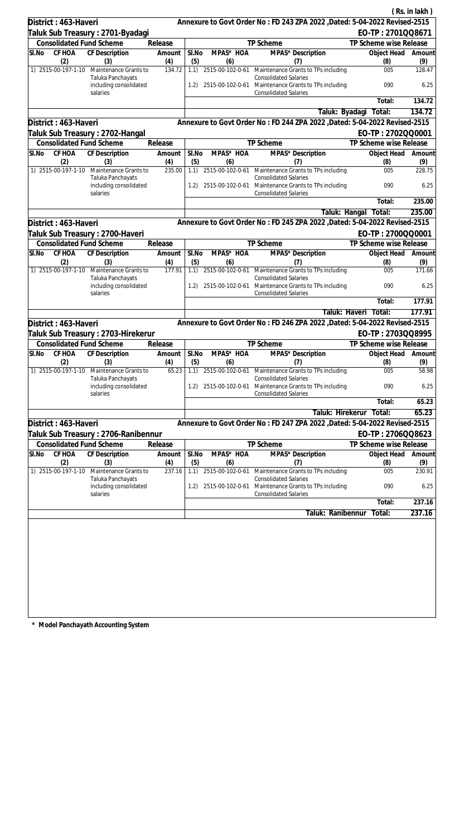|                                             |                                 |                                                         |                  |                                                                     |                         |                                                                                                                      |                         | (Rs. in lakh) |
|---------------------------------------------|---------------------------------|---------------------------------------------------------|------------------|---------------------------------------------------------------------|-------------------------|----------------------------------------------------------------------------------------------------------------------|-------------------------|---------------|
|                                             | District: 463-Haveri            |                                                         |                  |                                                                     |                         | Annexure to Govt Order No: FD 243 ZPA 2022 , Dated: 5-04-2022 Revised-2515                                           |                         |               |
|                                             |                                 | ∏aluk Sub Treasury : 2701-Byadagi                       |                  |                                                                     |                         |                                                                                                                      | EO-TP: 2701QQ8671       |               |
|                                             | <b>Consolidated Fund Scheme</b> |                                                         | Release          |                                                                     |                         | TP Scheme                                                                                                            | TP Scheme wise Release  |               |
| SI.No                                       | CF HOA                          | CF Description                                          | Amount           | SI.No                                                               | MPAS* HOA               | MPAS* Description                                                                                                    | Object Head             | Amount        |
|                                             | (2)<br>1) 2515-00-197-1-10      | (3)<br>Maintenance Grants to                            | (4)<br>134.72    | (5)<br>1.1)                                                         | (6)                     | (7)<br>2515-00-102-0-61 Maintenance Grants to TPs including                                                          | (8)<br>005              | (9)<br>128.47 |
|                                             |                                 | Taluka Panchayats<br>including consolidated             |                  | 1.2)                                                                |                         | <b>Consolidated Salaries</b><br>2515-00-102-0-61 Maintenance Grants to TPs including                                 | 090                     | 6.25          |
|                                             |                                 | salaries                                                |                  |                                                                     |                         | <b>Consolidated Salaries</b>                                                                                         | Total:                  | 134.72        |
|                                             |                                 |                                                         |                  |                                                                     |                         | Taluk: Byadagi                                                                                                       | Total:                  | 134.72        |
|                                             | District: 463-Haveri            |                                                         |                  |                                                                     |                         | Annexure to Govt Order No: FD 244 ZPA 2022 , Dated: 5-04-2022 Revised-2515                                           |                         |               |
|                                             |                                 | Taluk Sub Treasury: 2702-Hangal                         |                  |                                                                     |                         |                                                                                                                      | EO-TP: 2702QQ0001       |               |
|                                             | <b>Consolidated Fund Scheme</b> |                                                         | Release          |                                                                     |                         | TP Scheme                                                                                                            | TP Scheme wise Release  |               |
| SI.No                                       | CF HOA<br>(2)                   | CF Description<br>(3)                                   | Amount<br>(4)    | SI.No<br>(5)                                                        | MPAS* HOA<br>(6)        | MPAS* Description<br>(7)                                                                                             | Object Head<br>(8)      | Amount<br>(9) |
|                                             | 1) 2515-00-197-1-10             | Maintenance Grants to                                   | 235.00           |                                                                     |                         | 1.1) 2515-00-102-0-61 Maintenance Grants to TPs including                                                            | 005                     | 228.75        |
|                                             |                                 | Taluka Panchayats<br>including consolidated<br>salaries |                  | 1.2)                                                                |                         | <b>Consolidated Salaries</b><br>2515-00-102-0-61 Maintenance Grants to TPs including<br><b>Consolidated Salaries</b> | 090                     | 6.25          |
|                                             |                                 |                                                         |                  |                                                                     |                         |                                                                                                                      | Total:                  | 235.00        |
|                                             |                                 |                                                         |                  |                                                                     |                         | Taluk: Hangal                                                                                                        | Total:                  | 235.00        |
|                                             | District: 463-Haveri            |                                                         |                  |                                                                     |                         | Annexure to Govt Order No: FD 245 ZPA 2022 , Dated: 5-04-2022 Revised-2515                                           |                         |               |
|                                             |                                 | Taluk Sub Treasury : 2700-Haveri                        |                  |                                                                     |                         |                                                                                                                      | EO-TP: 2700QQ0001       |               |
|                                             | <b>Consolidated Fund Scheme</b> |                                                         | Release          |                                                                     |                         | TP Scheme                                                                                                            | TP Scheme wise Release  |               |
| SI.No                                       | CF HOA<br>(2)                   | CF Description<br>(3)                                   | Amount           | SI.No                                                               | MPAS* HOA<br>(6)        | MPAS* Description                                                                                                    | Object Head             | Amount        |
|                                             | 1) 2515-00-197-1-10             | Maintenance Grants to                                   | (4)<br>177.91    | (5)<br>1.1)                                                         |                         | (7)<br>2515-00-102-0-61 Maintenance Grants to TPs including                                                          | (8)<br>005              | (9)<br>171.66 |
| Taluka Panchayats<br>including consolidated |                                 | 1.2)                                                    | 2515-00-102-0-61 | <b>Consolidated Salaries</b><br>Maintenance Grants to TPs including | 090                     | 6.25                                                                                                                 |                         |               |
|                                             |                                 | salaries                                                |                  |                                                                     |                         | <b>Consolidated Salaries</b>                                                                                         | Total:                  | 177.91        |
|                                             |                                 |                                                         |                  |                                                                     |                         |                                                                                                                      | Taluk: Haveri<br>Total: | 177.91        |
|                                             | District: 463-Haveri            |                                                         |                  |                                                                     |                         | Annexure to Govt Order No: FD 246 ZPA 2022 , Dated: 5-04-2022 Revised-2515                                           |                         |               |
|                                             |                                 | Taluk Sub Treasury : 2703-Hirekerur                     |                  |                                                                     |                         |                                                                                                                      | EO-TP: 2703QQ8995       |               |
|                                             | <b>Consolidated Fund Scheme</b> |                                                         | Release          |                                                                     |                         | TP Scheme                                                                                                            | TP Scheme wise Release  |               |
| SI.No                                       |                                 | CF HOA CF Description                                   | Amount           | SI.No                                                               | MPAS* HOA               | MPAS* Description                                                                                                    | Object Head Amount      |               |
|                                             | (2)                             | (3)                                                     | (4)              | (5)                                                                 | (6)                     | (7)                                                                                                                  | (8)                     | (9)           |
|                                             | 1) 2515-00-197-1-10             | Maintenance Grants to<br>Taluka Panchayats              | 65.23            | 1.1)                                                                | 2515-00-102-0-61        | Maintenance Grants to TPs including<br><b>Consolidated Salaries</b>                                                  | 005                     | 58.98         |
|                                             |                                 | including consolidated<br>salaries                      |                  |                                                                     |                         | 1.2) 2515-00-102-0-61 Maintenance Grants to TPs including<br><b>Consolidated Salaries</b>                            | 090                     | 6.25          |
|                                             |                                 |                                                         |                  |                                                                     |                         |                                                                                                                      | Total:                  | 65.23         |
|                                             |                                 |                                                         |                  |                                                                     |                         | Taluk: Hirekerur                                                                                                     | Total:                  | 65.23         |
|                                             | District: 463-Haveri            |                                                         |                  |                                                                     |                         | Annexure to Govt Order No: FD 247 ZPA 2022 , Dated: 5-04-2022 Revised-2515                                           |                         |               |
|                                             |                                 | Taluk Sub Treasury : 2706-Ranibennur                    |                  |                                                                     |                         |                                                                                                                      | EO-TP: 2706QQ8623       |               |
|                                             | <b>Consolidated Fund Scheme</b> |                                                         | Release          |                                                                     |                         | TP Scheme                                                                                                            | TP Scheme wise Release  |               |
| SI.No                                       | CF HOA                          | <b>CF Description</b>                                   | Amount           | SI.No                                                               | MPAS* HOA               | MPAS* Description                                                                                                    | Object Head             | Amount        |
|                                             | (2)<br>1) 2515-00-197-1-10      | (3)<br>Maintenance Grants to                            | (4)<br>237.16    | (5)<br>1.1)                                                         | (6)<br>2515-00-102-0-61 | (7)<br>Maintenance Grants to TPs including                                                                           | (8)<br>005              | (9)<br>230.91 |
|                                             |                                 | Taluka Panchayats<br>including consolidated             |                  | 1.2)                                                                | 2515-00-102-0-61        | <b>Consolidated Salaries</b><br>Maintenance Grants to TPs including                                                  | 090                     | 6.25          |
|                                             |                                 | salaries                                                |                  |                                                                     |                         | <b>Consolidated Salaries</b>                                                                                         | Total:                  | 237.16        |
|                                             |                                 |                                                         |                  |                                                                     |                         | Taluk: Ranibennur                                                                                                    | Total:                  | 237.16        |
|                                             |                                 |                                                         |                  |                                                                     |                         |                                                                                                                      |                         |               |
|                                             |                                 |                                                         |                  |                                                                     |                         |                                                                                                                      |                         |               |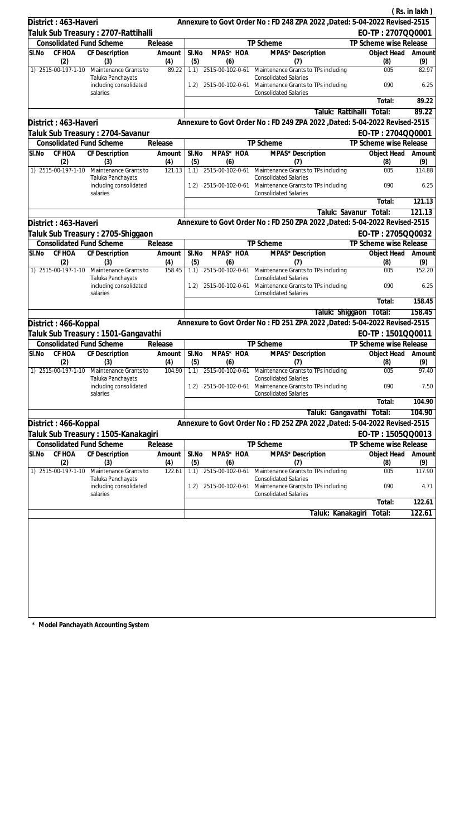|                                 |                                                                      |                |              |                           |                                                                                                                                                   |                        | (Rs. in lakh)  |
|---------------------------------|----------------------------------------------------------------------|----------------|--------------|---------------------------|---------------------------------------------------------------------------------------------------------------------------------------------------|------------------------|----------------|
| District: 463-Haveri            |                                                                      |                |              |                           | Annexure to Govt Order No: FD 248 ZPA 2022 , Dated: 5-04-2022 Revised-2515                                                                        |                        |                |
|                                 | Taluk Sub Treasury : 2707-Rattihalli                                 |                |              |                           |                                                                                                                                                   | EO-TP: 2707QQ0001      |                |
| <b>Consolidated Fund Scheme</b> |                                                                      | Release        |              |                           | TP Scheme                                                                                                                                         | TP Scheme wise Release |                |
| CF HOA<br>SI.No                 | CF Description                                                       | Amount         | SI.No        | MPAS* HOA                 | MPAS* Description                                                                                                                                 | Object Head            | Amount         |
| (2)                             | (3)                                                                  | (4)            | (5)          | (6)                       | (7)                                                                                                                                               | (8)                    | (9)            |
| 1) 2515-00-197-1-10             | Maintenance Grants to<br>Taluka Panchayats<br>including consolidated | 89.22          | 1.1)         |                           | 2515-00-102-0-61 Maintenance Grants to TPs including<br><b>Consolidated Salaries</b><br>1.2) 2515-00-102-0-61 Maintenance Grants to TPs including | 005<br>090             | 82.97<br>6.25  |
|                                 | salaries                                                             |                |              |                           | <b>Consolidated Salaries</b>                                                                                                                      |                        |                |
|                                 |                                                                      |                |              |                           |                                                                                                                                                   | Total:                 | 89.22<br>89.22 |
|                                 |                                                                      |                |              |                           | Taluk: Rattihalli                                                                                                                                 | Total:                 |                |
| District: 463-Haveri            |                                                                      |                |              |                           | Annexure to Govt Order No: FD 249 ZPA 2022 , Dated: 5-04-2022 Revised-2515                                                                        |                        |                |
|                                 | Taluk Sub Treasury : 2704-Savanur                                    |                |              |                           |                                                                                                                                                   | EO-TP: 2704QQ0001      |                |
| <b>Consolidated Fund Scheme</b> |                                                                      | Release        |              |                           | TP Scheme                                                                                                                                         | TP Scheme wise Release |                |
| SI.No<br>CF HOA<br>(2)          | CF Description<br>(3)                                                | Amount<br>(4)  | SI.No<br>(5) | MPAS* HOA<br>(6)          | MPAS* Description<br>(7)                                                                                                                          | Object Head<br>(8)     | Amount<br>(9)  |
| 1) 2515-00-197-1-10             | Maintenance Grants to<br>Taluka Panchayats                           | 121.13         |              |                           | 1.1) 2515-00-102-0-61 Maintenance Grants to TPs including<br><b>Consolidated Salaries</b>                                                         | 005                    | 114.88         |
|                                 | including consolidated<br>salaries                                   |                | 1.2)         | 2515-00-102-0-61          | Maintenance Grants to TPs including<br><b>Consolidated Salaries</b>                                                                               | 090                    | 6.25           |
|                                 |                                                                      |                |              |                           |                                                                                                                                                   | Total:                 | 121.13         |
|                                 |                                                                      |                |              |                           | Taluk: Savanur                                                                                                                                    | Total:                 | 121.13         |
| District: 463-Haveri            |                                                                      |                |              |                           | Annexure to Govt Order No: FD 250 ZPA 2022 , Dated: 5-04-2022 Revised-2515                                                                        |                        |                |
|                                 | Taluk Sub Treasury: 2705-Shiggaon                                    |                |              |                           |                                                                                                                                                   | EO-TP: 2705QQ0032      |                |
| <b>Consolidated Fund Scheme</b> |                                                                      | Release        |              |                           | TP Scheme                                                                                                                                         | TP Scheme wise Release |                |
| CF HOA<br>SI.No<br>(2)          | <b>CF</b> Description<br>(3)                                         | Amount<br>(4)  | SI.No<br>(5) | MPAS* HOA<br>(6)          | MPAS* Description<br>(7)                                                                                                                          | Object Head<br>(8)     | Amount<br>(9)  |
| 1) 2515-00-197-1-10             | Maintenance Grants to                                                | 158.45         |              |                           | 1.1) 2515-00-102-0-61 Maintenance Grants to TPs including                                                                                         | 005                    | 152.20         |
|                                 | Taluka Panchayats<br>including consolidated<br>salaries              |                | 1.2)         |                           | <b>Consolidated Salaries</b><br>2515-00-102-0-61 Maintenance Grants to TPs including<br><b>Consolidated Salaries</b>                              | 090                    | 6.25           |
|                                 |                                                                      |                |              |                           |                                                                                                                                                   | Total:                 | 158.45         |
|                                 |                                                                      |                |              |                           | Taluk: Shiggaon                                                                                                                                   | Total:                 | 158.45         |
| District: 466-Koppal            |                                                                      |                |              |                           | Annexure to Govt Order No: FD 251 ZPA 2022 , Dated: 5-04-2022 Revised-2515                                                                        |                        |                |
|                                 | Taluk Sub Treasury: 1501-Gangavathi                                  |                |              |                           |                                                                                                                                                   | EO-TP: 1501QQ0011      |                |
| <b>Consolidated Fund Scheme</b> |                                                                      | Release        |              |                           | TP Scheme                                                                                                                                         | TP Scheme wise Release |                |
| SI.No CF HOA CF Description     |                                                                      | Amount   SI.No |              | MPAS* HOA                 | MPAS* Description                                                                                                                                 | Object Head Amount     |                |
| (2)                             | (3)                                                                  | (4)            | (5)          | (6)                       | (7)                                                                                                                                               | (8)                    | (9)            |
| 1) 2515-00-197-1-10             | Maintenance Grants to<br>Taluka Panchayats                           | 104.90         |              | $1.1)$ $2515-00-102-0-61$ | Maintenance Grants to TPs including<br><b>Consolidated Salaries</b>                                                                               | 005                    | 97.40          |
|                                 | including consolidated<br>salaries                                   |                | 1.2)         | 2515-00-102-0-61          | Maintenance Grants to TPs including<br><b>Consolidated Salaries</b>                                                                               | 090                    | 7.50           |
|                                 |                                                                      |                |              |                           |                                                                                                                                                   | Total:                 | 104.90         |
|                                 |                                                                      |                |              |                           | Taluk: Gangavathi                                                                                                                                 | Total:                 | 104.90         |
| District: 466-Koppal            |                                                                      |                |              |                           | Annexure to Govt Order No: FD 252 ZPA 2022, Dated: 5-04-2022 Revised-2515                                                                         |                        |                |
|                                 | Taluk Sub Treasury : 1505-Kanakagiri                                 |                |              |                           |                                                                                                                                                   | EO-TP: 1505QQ0013      |                |
| <b>Consolidated Fund Scheme</b> |                                                                      | Release        |              |                           | TP Scheme                                                                                                                                         | TP Scheme wise Release |                |
| CF HOA<br>SI.No                 | CF Description                                                       | Amount         | SI.No        | MPAS* HOA                 | MPAS* Description                                                                                                                                 | Object Head            | Amount         |
| (2)                             | (3)                                                                  | (4)            | (5)          | (6)                       | (7)                                                                                                                                               | (8)                    | (9)            |
| 1) 2515-00-197-1-10             | Maintenance Grants to                                                | 122.61         | 1.1)         | 2515-00-102-0-61          | Maintenance Grants to TPs including                                                                                                               | 005                    | 117.90         |
|                                 | Taluka Panchayats<br>including consolidated<br>salaries              |                | 1.2)         | 2515-00-102-0-61          | <b>Consolidated Salaries</b><br>Maintenance Grants to TPs including<br><b>Consolidated Salaries</b>                                               | 090                    | 4.71           |
|                                 |                                                                      |                |              |                           |                                                                                                                                                   | Total:                 | 122.61         |
|                                 |                                                                      |                |              |                           | Taluk: Kanakagiri                                                                                                                                 | Total:                 | 122.61         |
|                                 |                                                                      |                |              |                           |                                                                                                                                                   |                        |                |
|                                 |                                                                      |                |              |                           |                                                                                                                                                   |                        |                |
|                                 |                                                                      |                |              |                           |                                                                                                                                                   |                        |                |
|                                 |                                                                      |                |              |                           |                                                                                                                                                   |                        |                |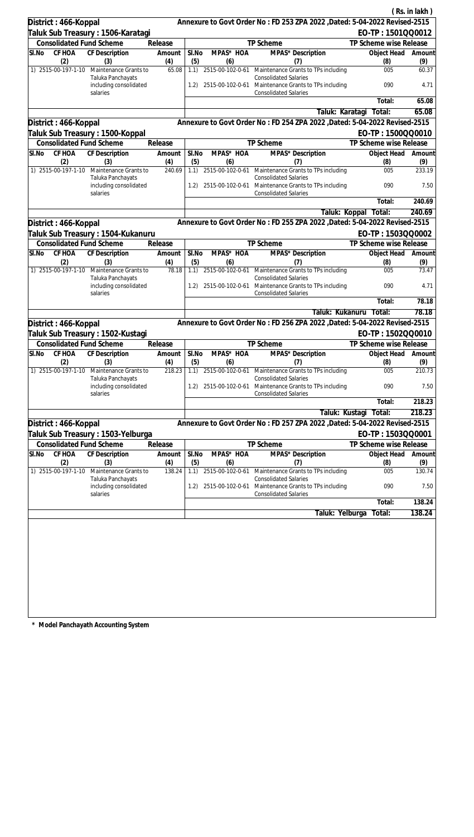|                                    |                                 |                                                                      |                  |                                                                     |                                      |                                                                                                            |                           | (Rs. in lakh)  |
|------------------------------------|---------------------------------|----------------------------------------------------------------------|------------------|---------------------------------------------------------------------|--------------------------------------|------------------------------------------------------------------------------------------------------------|---------------------------|----------------|
|                                    | District: 466-Koppal            |                                                                      |                  |                                                                     |                                      | Annexure to Govt Order No: FD 253 ZPA 2022 , Dated: 5-04-2022 Revised-2515                                 |                           |                |
|                                    |                                 | ∏aluk Sub Treasury : 1506-Karatagi                                   |                  |                                                                     |                                      |                                                                                                            | EO-TP: 1501QQ0012         |                |
|                                    | <b>Consolidated Fund Scheme</b> |                                                                      | Release          |                                                                     |                                      | TP Scheme                                                                                                  | TP Scheme wise Release    |                |
| SI.No                              | CF HOA                          | CF Description                                                       | Amount           | SI.No                                                               | MPAS* HOA                            | MPAS* Description                                                                                          | Object Head               | Amount         |
|                                    | (2)<br>1) 2515-00-197-1-10      | (3)<br>Maintenance Grants to                                         | (4)<br>65.08     | (5)<br>1.1)                                                         | (6)                                  | (7)<br>2515-00-102-0-61 Maintenance Grants to TPs including                                                | (8)<br>005                | (9)<br>60.37   |
|                                    |                                 | Taluka Panchayats<br>including consolidated                          |                  | 1.2)                                                                |                                      | <b>Consolidated Salaries</b><br>2515-00-102-0-61 Maintenance Grants to TPs including                       | 090                       | 4.71           |
|                                    |                                 | salaries                                                             |                  |                                                                     |                                      | <b>Consolidated Salaries</b>                                                                               | Total:                    | 65.08          |
|                                    |                                 |                                                                      |                  |                                                                     |                                      | Taluk: Karatagi                                                                                            | Total:                    | 65.08          |
|                                    | District: 466-Koppal            |                                                                      |                  |                                                                     |                                      | Annexure to Govt Order No: FD 254 ZPA 2022 , Dated: 5-04-2022 Revised-2515                                 |                           |                |
|                                    |                                 | Taluk Sub Treasury: 1500-Koppal                                      |                  |                                                                     |                                      |                                                                                                            | EO-TP: 1500QQ0010         |                |
|                                    | <b>Consolidated Fund Scheme</b> |                                                                      | Release          |                                                                     |                                      | TP Scheme                                                                                                  | TP Scheme wise Release    |                |
| SI.No                              | CF HOA<br>(2)                   | CF Description<br>(3)                                                | Amount<br>(4)    | SI.No<br>(5)                                                        | MPAS* HOA<br>(6)                     | MPAS* Description<br>(7)                                                                                   | Object Head<br>(8)        | Amount<br>(9)  |
|                                    | 1) 2515-00-197-1-10             | Maintenance Grants to<br>Taluka Panchayats                           | 240.69           | 1.1)                                                                |                                      | 2515-00-102-0-61 Maintenance Grants to TPs including<br><b>Consolidated Salaries</b>                       | 005                       | 233.19         |
|                                    |                                 | including consolidated<br>salaries                                   |                  | 1.2)                                                                |                                      | 2515-00-102-0-61 Maintenance Grants to TPs including<br><b>Consolidated Salaries</b>                       | 090                       | 7.50           |
|                                    |                                 |                                                                      |                  |                                                                     |                                      |                                                                                                            | Total:                    | 240.69         |
|                                    |                                 |                                                                      |                  |                                                                     |                                      | Taluk: Koppal                                                                                              | Total:                    | 240.69         |
|                                    | District: 466-Koppal            |                                                                      |                  |                                                                     |                                      | Annexure to Govt Order No: FD 255 ZPA 2022 , Dated: 5-04-2022 Revised-2515                                 |                           |                |
|                                    |                                 | Taluk Sub Treasury : 1504-Kukanuru                                   |                  |                                                                     |                                      |                                                                                                            | EO-TP: 1503QQ0002         |                |
|                                    | <b>Consolidated Fund Scheme</b> |                                                                      | Release          |                                                                     |                                      | TP Scheme                                                                                                  | TP Scheme wise Release    |                |
| SI.No                              | CF HOA<br>(2)                   | CF Description<br>(3)                                                | Amount<br>(4)    | SI.No<br>(5)                                                        | MPAS* HOA<br>(6)                     | MPAS* Description<br>(7)                                                                                   | Object Head<br>(8)        | Amount<br>(9)  |
|                                    | 1) 2515-00-197-1-10             | Maintenance Grants to<br>Taluka Panchayats                           | 78.18            | 1.1)                                                                |                                      | 2515-00-102-0-61 Maintenance Grants to TPs including<br><b>Consolidated Salaries</b>                       | 005                       | 73.47          |
| including consolidated<br>salaries |                                 | 1.2)                                                                 | 2515-00-102-0-61 | Maintenance Grants to TPs including<br><b>Consolidated Salaries</b> | 090                                  | 4.71                                                                                                       |                           |                |
|                                    |                                 |                                                                      |                  |                                                                     |                                      |                                                                                                            | Total:                    | 78.18          |
|                                    |                                 |                                                                      |                  |                                                                     |                                      | Taluk: Kukanuru                                                                                            | Total:                    | 78.18          |
|                                    | District: 466-Koppal            |                                                                      |                  |                                                                     |                                      | Annexure to Govt Order No: FD 256 ZPA 2022 , Dated: 5-04-2022 Revised-2515                                 |                           |                |
|                                    |                                 | Taluk Sub Treasury : 1502-Kustagi                                    |                  |                                                                     |                                      |                                                                                                            | EO-TP: 1502QQ0010         |                |
|                                    | <b>Consolidated Fund Scheme</b> |                                                                      | Release          |                                                                     |                                      | <b>TP Scheme</b>                                                                                           | TP Scheme wise Release    |                |
| SI.No                              | (2)                             | CF HOA CF Description<br>(3)                                         | Amount<br>(4)    | SI.No<br>(5)                                                        | MPAS* HOA<br>(6)                     | MPAS* Description<br>(7)                                                                                   | Object Head Amount<br>(8) | (9)            |
|                                    | 1) 2515-00-197-1-10             | Maintenance Grants to<br>Taluka Panchayats                           | 218.23           | 1.1)                                                                | 2515-00-102-0-61                     | Maintenance Grants to TPs including<br><b>Consolidated Salaries</b>                                        | 005                       | 210.73         |
|                                    |                                 | including consolidated<br>salaries                                   |                  |                                                                     |                                      | 1.2) 2515-00-102-0-61 Maintenance Grants to TPs including<br><b>Consolidated Salaries</b>                  | 090                       | 7.50           |
|                                    |                                 |                                                                      |                  |                                                                     |                                      |                                                                                                            | Total:                    | 218.23         |
|                                    |                                 |                                                                      |                  |                                                                     |                                      | Taluk: Kustagi                                                                                             | Total:                    | 218.23         |
|                                    | District: 466-Koppal            |                                                                      |                  |                                                                     |                                      | Annexure to Govt Order No: FD 257 ZPA 2022 , Dated: 5-04-2022 Revised-2515                                 |                           |                |
|                                    |                                 | Taluk Sub Treasury: 1503-Yelburga                                    |                  |                                                                     |                                      |                                                                                                            | EO-TP: 1503QQ0001         |                |
|                                    | <b>Consolidated Fund Scheme</b> |                                                                      | Release          |                                                                     |                                      | TP Scheme                                                                                                  | TP Scheme wise Release    |                |
| SI.No                              | CF HOA                          | <b>CF Description</b>                                                | Amount           | SI.No                                                               | MPAS* HOA                            | MPAS* Description                                                                                          | Object Head               | Amount         |
|                                    | (2)                             | (3)                                                                  | (4)              | (5)                                                                 | (6)                                  | (7)                                                                                                        | (8)                       | (9)            |
|                                    | 1) 2515-00-197-1-10             | Maintenance Grants to<br>Taluka Panchayats<br>including consolidated | 138.24           | 1.1)<br>1.2)                                                        | 2515-00-102-0-61<br>2515-00-102-0-61 | Maintenance Grants to TPs including<br><b>Consolidated Salaries</b><br>Maintenance Grants to TPs including | 005<br>090                | 130.74<br>7.50 |
|                                    |                                 | salaries                                                             |                  |                                                                     |                                      | <b>Consolidated Salaries</b>                                                                               |                           |                |
|                                    |                                 |                                                                      |                  |                                                                     |                                      |                                                                                                            | Total:                    | 138.24         |
|                                    |                                 |                                                                      |                  |                                                                     |                                      | Taluk: Yelburga                                                                                            | Total:                    | 138.24         |
|                                    |                                 |                                                                      |                  |                                                                     |                                      |                                                                                                            |                           |                |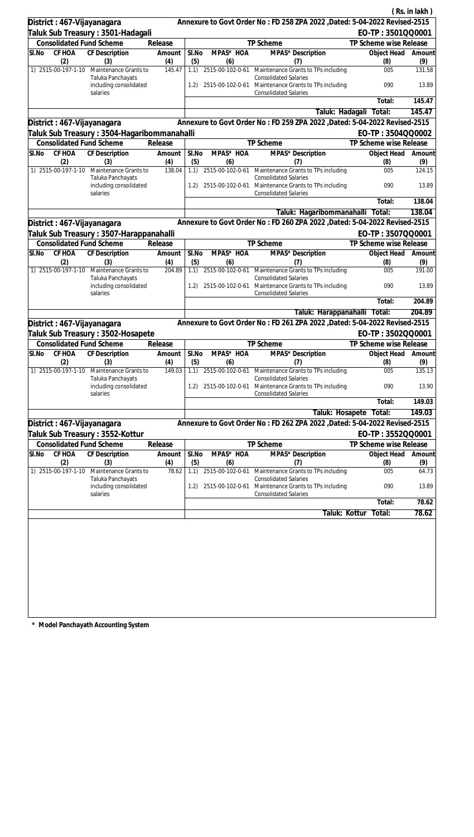|                                              |                                                                      |               |              |                              |                                                                                                                                              |                        | (Rs. in lakh)  |
|----------------------------------------------|----------------------------------------------------------------------|---------------|--------------|------------------------------|----------------------------------------------------------------------------------------------------------------------------------------------|------------------------|----------------|
| District: 467-Vijayanagara                   |                                                                      |               |              |                              | Annexure to Govt Order No: FD 258 ZPA 2022 , Dated: 5-04-2022 Revised-2515                                                                   |                        |                |
| Taluk Sub Treasury: 3501-Hadagali            |                                                                      |               |              |                              |                                                                                                                                              | EO-TP: 3501QQ0001      |                |
| <b>Consolidated Fund Scheme</b>              |                                                                      | Release       |              |                              | TP Scheme                                                                                                                                    | TP Scheme wise Release |                |
| CF HOA<br>SI.No<br>CF Description            |                                                                      | Amount        | SI.No        | MPAS* HOA                    | MPAS* Description                                                                                                                            | Object Head            | Amount         |
| (2)<br>(3)<br>1) 2515-00-197-1-10            |                                                                      | (4)<br>145.47 | (5)          | (6)                          | (7)                                                                                                                                          | (8)<br>005             | (9)<br>131.58  |
|                                              | Maintenance Grants to<br>Taluka Panchayats<br>including consolidated |               | 1.1)<br>1.2) |                              | 2515-00-102-0-61 Maintenance Grants to TPs including<br><b>Consolidated Salaries</b><br>2515-00-102-0-61 Maintenance Grants to TPs including | 090                    | 13.89          |
| salaries                                     |                                                                      |               |              |                              | <b>Consolidated Salaries</b>                                                                                                                 | Total:                 | 145.47         |
|                                              |                                                                      |               |              |                              | Taluk: Hadagali                                                                                                                              | Total:                 | 145.47         |
| District: 467-Vijayanagara                   |                                                                      |               |              |                              | Annexure to Govt Order No: FD 259 ZPA 2022, Dated: 5-04-2022 Revised-2515                                                                    |                        |                |
| Taluk Sub Treasury : 3504-Hagaribommanahalli |                                                                      |               |              |                              |                                                                                                                                              | EO-TP: 3504QQ0002      |                |
| <b>Consolidated Fund Scheme</b>              |                                                                      | Release       |              |                              | TP Scheme                                                                                                                                    | TP Scheme wise Release |                |
| SI.No<br>CF HOA<br>CF Description            |                                                                      | Amount        | SI.No        | MPAS* HOA                    | MPAS* Description                                                                                                                            | Object Head            | Amount         |
| (2)<br>(3)                                   |                                                                      | (4)           | (5)          | (6)                          | (7)                                                                                                                                          | (8)                    | (9)            |
| 1) 2515-00-197-1-10 Maintenance Grants to    | Taluka Panchayats                                                    | 138.04        | 1.1)         | 2515-00-102-0-61             | Maintenance Grants to TPs including<br><b>Consolidated Salaries</b>                                                                          | 005                    | 124.15         |
| salaries                                     | including consolidated                                               |               | 1.2)         | 2515-00-102-0-61             | Maintenance Grants to TPs including<br><b>Consolidated Salaries</b>                                                                          | 090                    | 13.89          |
|                                              |                                                                      |               |              |                              |                                                                                                                                              | Total:                 | 138.04         |
|                                              |                                                                      |               |              |                              | Taluk: Hagaribommanahalli Total:                                                                                                             |                        | 138.04         |
| District : 467-Vijayanagara                  |                                                                      |               |              |                              | Annexure to Govt Order No: FD 260 ZPA 2022 , Dated: 5-04-2022 Revised-2515                                                                   |                        |                |
| Taluk Sub Treasury : 3507-Harappanahalli     |                                                                      |               |              |                              |                                                                                                                                              | EO-TP: 3507QQ0001      |                |
| <b>Consolidated Fund Scheme</b>              |                                                                      | Release       |              |                              | TP Scheme                                                                                                                                    | TP Scheme wise Release |                |
| CF HOA<br>SI.No<br>CF Description            |                                                                      | Amount        | SI.No        | MPAS* HOA                    | MPAS* Description                                                                                                                            | Object Head            | Amount         |
| (2)<br>(3)<br>1) 2515-00-197-1-10            | Maintenance Grants to<br>Taluka Panchayats                           | (4)<br>204.89 | (5)<br>1.1)  | (6)<br>2515-00-102-0-61      | (7)<br>Maintenance Grants to TPs including<br><b>Consolidated Salaries</b>                                                                   | (8)<br>005             | (9)<br>191.00  |
| salaries                                     | including consolidated                                               |               | 1.2)         | 2515-00-102-0-61             | Maintenance Grants to TPs including<br><b>Consolidated Salaries</b>                                                                          | 090                    | 13.89          |
|                                              |                                                                      |               |              |                              |                                                                                                                                              | Total:                 | 204.89         |
|                                              |                                                                      |               |              |                              | Taluk: Harappanahalli Total:                                                                                                                 |                        | 204.89         |
| District : 467-Vijayanagara                  |                                                                      |               |              |                              | Annexure to Govt Order No: FD 261 ZPA 2022 , Dated: 5-04-2022 Revised-2515                                                                   |                        |                |
| Taluk Sub Treasury: 3502-Hosapete            |                                                                      |               |              |                              |                                                                                                                                              | EO-TP: 3502QQ0001      |                |
| <b>Consolidated Fund Scheme</b>              |                                                                      | Release       |              |                              | TP Scheme                                                                                                                                    | TP Scheme wise Release |                |
| SI.No CF HOA CF Description                  |                                                                      | Amount        | SI.No        | MPAS* HOA                    | MPAS* Description                                                                                                                            | Object Head Amount     |                |
| (2)<br>(3)<br>1) 2515-00-197-1-10            | Maintenance Grants to                                                | (4)<br>149.03 | (5)          | (6)<br>1.1) 2515-00-102-0-61 | (7)<br>Maintenance Grants to TPs including                                                                                                   | (8)<br>005             | (9)<br>135.13  |
| salaries                                     | Taluka Panchayats<br>including consolidated                          |               | 1.2)         | 2515-00-102-0-61             | <b>Consolidated Salaries</b><br>Maintenance Grants to TPs including<br><b>Consolidated Salaries</b>                                          | 090                    | 13.90          |
|                                              |                                                                      |               |              |                              |                                                                                                                                              | Total:                 | 149.03         |
|                                              |                                                                      |               |              |                              | Taluk: Hosapete                                                                                                                              | Total:                 | 149.03         |
| District: 467-Vijayanagara                   |                                                                      |               |              |                              | Annexure to Govt Order No: FD 262 ZPA 2022, Dated: 5-04-2022 Revised-2515                                                                    |                        |                |
| Taluk Sub Treasury : 3552-Kottur             |                                                                      |               |              |                              |                                                                                                                                              | EO-TP: 3552QQ0001      |                |
| <b>Consolidated Fund Scheme</b>              |                                                                      | Release       |              |                              | TP Scheme                                                                                                                                    | TP Scheme wise Release |                |
| CF HOA<br><b>CF Description</b><br>SI.No     |                                                                      | Amount        | SI.No        | MPAS* HOA                    | MPAS* Description                                                                                                                            | Object Head            | Amount         |
| (2)<br>(3)                                   |                                                                      | (4)           | (5)          | (6)                          | (7)                                                                                                                                          | (8)                    | (9)            |
| 1) 2515-00-197-1-10                          | Maintenance Grants to<br>Taluka Panchayats                           | 78.62         | 1.1)         | 2515-00-102-0-61             | Maintenance Grants to TPs including<br><b>Consolidated Salaries</b>                                                                          | 005                    | 64.73          |
| salaries                                     | including consolidated                                               |               | 1.2)         | 2515-00-102-0-61             | Maintenance Grants to TPs including<br><b>Consolidated Salaries</b>                                                                          | 090<br>Total:          | 13.89<br>78.62 |
|                                              |                                                                      |               |              |                              |                                                                                                                                              |                        |                |
|                                              |                                                                      |               |              |                              | Taluk: Kottur                                                                                                                                | Total:                 | 78.62          |
|                                              |                                                                      |               |              |                              |                                                                                                                                              |                        |                |